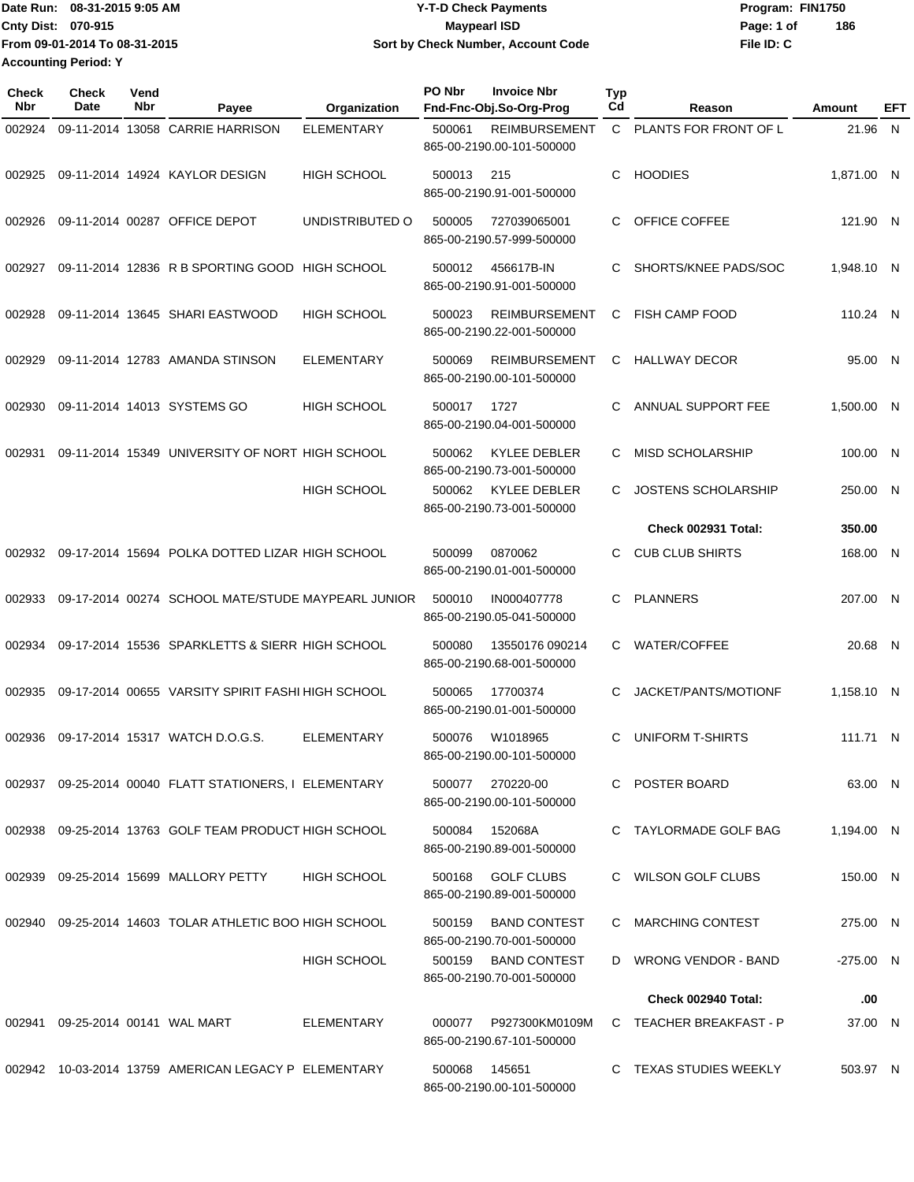Date Run: 08-31-2015 9:05 AM **Date Run:** 08-31-2015 9:05 AM **Cnty Dist:** 070-915 **Page: 1 of Page: 1 of Page: 1 of Page: 1 of Page: 1 of Page: 1 of File ID: C From 09-01-2014 To 08-31-2015 08-31-2015 9:05 AM Y-T-D Check Payments 070-915 Maypearl ISD Sort by Check Number, Account Code 186 Accounting Period: Y**

| <b>Check</b><br><b>Nbr</b> | Check<br>Date | Vend<br>Nbr | Payee                                                  | Organization       | PO Nbr | <b>Invoice Nbr</b><br>Fnd-Fnc-Obj.So-Org-Prog     | <b>Typ</b><br>Cd | Reason                  | Amount     | EFT      |
|----------------------------|---------------|-------------|--------------------------------------------------------|--------------------|--------|---------------------------------------------------|------------------|-------------------------|------------|----------|
| 002924                     |               |             | 09-11-2014 13058 CARRIE HARRISON                       | ELEMENTARY         | 500061 | <b>REIMBURSEMENT</b><br>865-00-2190.00-101-500000 | C                | PLANTS FOR FRONT OF L   | 21.96      | <b>N</b> |
| 002925                     |               |             | 09-11-2014 14924 KAYLOR DESIGN                         | <b>HIGH SCHOOL</b> | 500013 | 215<br>865-00-2190.91-001-500000                  | C                | <b>HOODIES</b>          | 1,871.00 N |          |
| 002926                     |               |             | 09-11-2014 00287 OFFICE DEPOT                          | UNDISTRIBUTED O    | 500005 | 727039065001<br>865-00-2190.57-999-500000         | C                | OFFICE COFFEE           | 121.90 N   |          |
| 002927                     |               |             | 09-11-2014 12836 R B SPORTING GOOD                     | <b>HIGH SCHOOL</b> | 500012 | 456617B-IN<br>865-00-2190.91-001-500000           | C                | SHORTS/KNEE PADS/SOC    | 1.948.10 N |          |
| 002928                     |               |             | 09-11-2014 13645 SHARI EASTWOOD                        | <b>HIGH SCHOOL</b> | 500023 | <b>REIMBURSEMENT</b><br>865-00-2190.22-001-500000 | C                | <b>FISH CAMP FOOD</b>   | 110.24 N   |          |
| 002929                     |               |             | 09-11-2014 12783 AMANDA STINSON                        | <b>ELEMENTARY</b>  | 500069 | REIMBURSEMENT<br>865-00-2190.00-101-500000        | C                | <b>HALLWAY DECOR</b>    | 95.00 N    |          |
| 002930                     |               |             | 09-11-2014 14013 SYSTEMS GO                            | <b>HIGH SCHOOL</b> | 500017 | 1727<br>865-00-2190.04-001-500000                 | С                | ANNUAL SUPPORT FEE      | 1,500.00 N |          |
| 002931                     |               |             | 09-11-2014 15349 UNIVERSITY OF NORT HIGH SCHOOL        |                    | 500062 | KYLEE DEBLER<br>865-00-2190.73-001-500000         | C                | <b>MISD SCHOLARSHIP</b> | 100.00 N   |          |
|                            |               |             |                                                        | <b>HIGH SCHOOL</b> | 500062 | <b>KYLEE DEBLER</b><br>865-00-2190.73-001-500000  | C.               | JOSTENS SCHOLARSHIP     | 250.00 N   |          |
|                            |               |             |                                                        |                    |        |                                                   |                  | Check 002931 Total:     | 350.00     |          |
| 002932                     |               |             | 09-17-2014 15694 POLKA DOTTED LIZAR HIGH SCHOOL        |                    | 500099 | 0870062<br>865-00-2190.01-001-500000              | C                | <b>CUB CLUB SHIRTS</b>  | 168.00 N   |          |
| 002933                     |               |             | 09-17-2014 00274 SCHOOL MATE/STUDE MAYPEARL JUNIOR     |                    | 500010 | IN000407778<br>865-00-2190.05-041-500000          | C                | <b>PLANNERS</b>         | 207.00 N   |          |
| 002934                     |               |             | 09-17-2014 15536 SPARKLETTS & SIERR HIGH SCHOOL        |                    | 500080 | 13550176 090214<br>865-00-2190.68-001-500000      | C                | <b>WATER/COFFEE</b>     | 20.68 N    |          |
| 002935                     |               |             | 09-17-2014 00655 VARSITY SPIRIT FASHI HIGH SCHOOL      |                    | 500065 | 17700374<br>865-00-2190.01-001-500000             | С                | JACKET/PANTS/MOTIONF    | 1,158.10 N |          |
| 002936                     |               |             | 09-17-2014 15317 WATCH D.O.G.S.                        | <b>ELEMENTARY</b>  | 500076 | W1018965<br>865-00-2190.00-101-500000             | С                | <b>UNIFORM T-SHIRTS</b> | 111.71 N   |          |
|                            |               |             | 002937 09-25-2014 00040 FLATT STATIONERS, I ELEMENTARY |                    | 500077 | 270220-00<br>865-00-2190.00-101-500000            |                  | C POSTER BOARD          | 63.00 N    |          |
| 002938                     |               |             | 09-25-2014 13763 GOLF TEAM PRODUCT HIGH SCHOOL         |                    | 500084 | 152068A<br>865-00-2190.89-001-500000              |                  | C TAYLORMADE GOLF BAG   | 1,194.00 N |          |
|                            |               |             | 002939 09-25-2014 15699 MALLORY PETTY                  | <b>HIGH SCHOOL</b> | 500168 | <b>GOLF CLUBS</b><br>865-00-2190.89-001-500000    |                  | C WILSON GOLF CLUBS     | 150.00 N   |          |
| 002940                     |               |             | 09-25-2014 14603 TOLAR ATHLETIC BOO HIGH SCHOOL        |                    | 500159 | <b>BAND CONTEST</b><br>865-00-2190.70-001-500000  |                  | C MARCHING CONTEST      | 275.00 N   |          |
|                            |               |             |                                                        | <b>HIGH SCHOOL</b> | 500159 | BAND CONTEST<br>865-00-2190.70-001-500000         |                  | D WRONG VENDOR - BAND   | -275.00 N  |          |
|                            |               |             |                                                        |                    |        |                                                   |                  | Check 002940 Total:     | .00        |          |
| 002941                     |               |             | 09-25-2014 00141 WAL MART                              | ELEMENTARY         | 000077 | P927300KM0109M<br>865-00-2190.67-101-500000       |                  | C TEACHER BREAKFAST - P | 37.00 N    |          |
|                            |               |             | 002942 10-03-2014 13759 AMERICAN LEGACY P ELEMENTARY   |                    | 500068 | 145651<br>865-00-2190.00-101-500000               |                  | C TEXAS STUDIES WEEKLY  | 503.97 N   |          |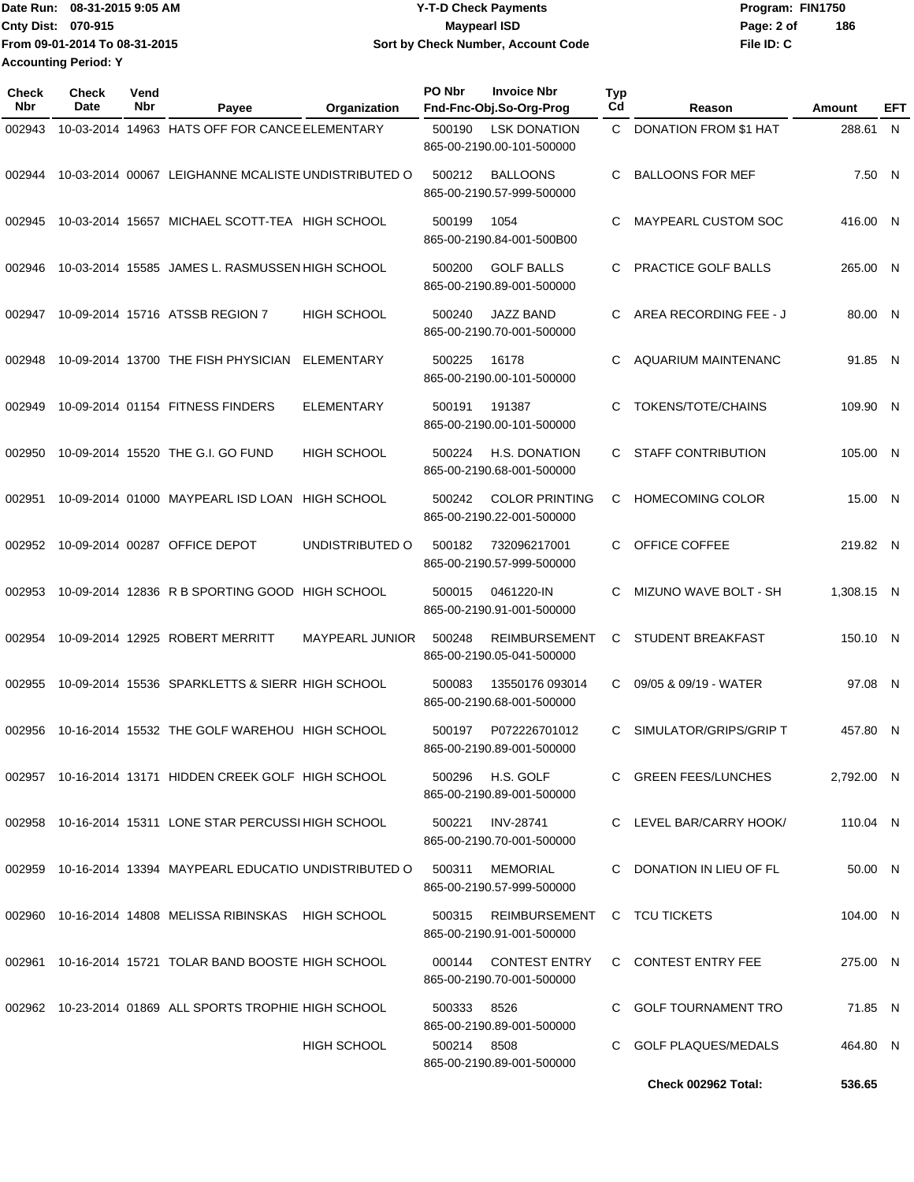Date Run: 08-31-2015 9:05 AM **Date Run:** 08-31-2015 9:05 AM **Cnty Dist:** 070-915 **Page: 2 of Page: 2 of MaypearI ISD File ID: C From 09-01-2014 To 08-31-2015 08-31-2015 9:05 AM Y-T-D Check Payments 070-915 Maypearl ISD Sort by Check Number, Account Code 186 Accounting Period: Y**

| Check<br>Nbr | <b>Check</b><br>Date | Vend<br>Nbr | Payee                                                  | Organization           | PO Nbr      | <b>Invoice Nbr</b><br>Fnd-Fnc-Obj.So-Org-Prog      | <b>Typ</b><br>Cd | Reason                       | Amount     | EFT |
|--------------|----------------------|-------------|--------------------------------------------------------|------------------------|-------------|----------------------------------------------------|------------------|------------------------------|------------|-----|
| 002943       |                      |             | 10-03-2014 14963 HATS OFF FOR CANCE ELEMENTARY         |                        | 500190      | <b>LSK DONATION</b><br>865-00-2190.00-101-500000   | $\mathbf{C}$     | <b>DONATION FROM \$1 HAT</b> | 288.61     | N   |
| 002944       |                      |             | 10-03-2014 00067 LEIGHANNE MCALISTE UNDISTRIBUTED O    |                        | 500212      | <b>BALLOONS</b><br>865-00-2190.57-999-500000       | C                | <b>BALLOONS FOR MEF</b>      | 7.50 N     |     |
| 002945       |                      |             | 10-03-2014 15657 MICHAEL SCOTT-TEA HIGH SCHOOL         |                        | 500199      | 1054<br>865-00-2190.84-001-500B00                  | C                | MAYPEARL CUSTOM SOC          | 416.00 N   |     |
| 002946       |                      |             | 10-03-2014 15585 JAMES L. RASMUSSEN HIGH SCHOOL        |                        | 500200      | <b>GOLF BALLS</b><br>865-00-2190.89-001-500000     | C                | PRACTICE GOLF BALLS          | 265.00 N   |     |
| 002947       |                      |             | 10-09-2014 15716 ATSSB REGION 7                        | <b>HIGH SCHOOL</b>     | 500240      | <b>JAZZ BAND</b><br>865-00-2190.70-001-500000      | С                | AREA RECORDING FEE - J       | 80.00 N    |     |
| 002948       |                      |             | 10-09-2014 13700 THE FISH PHYSICIAN                    | <b>ELEMENTARY</b>      | 500225      | 16178<br>865-00-2190.00-101-500000                 | C                | AQUARIUM MAINTENANC          | 91.85 N    |     |
| 002949       |                      |             | 10-09-2014 01154 FITNESS FINDERS                       | <b>ELEMENTARY</b>      | 500191      | 191387<br>865-00-2190.00-101-500000                | C                | <b>TOKENS/TOTE/CHAINS</b>    | 109.90 N   |     |
| 002950       |                      |             | 10-09-2014 15520 THE G.I. GO FUND                      | <b>HIGH SCHOOL</b>     | 500224      | <b>H.S. DONATION</b><br>865-00-2190.68-001-500000  | C.               | <b>STAFF CONTRIBUTION</b>    | 105.00 N   |     |
| 002951       |                      |             | 10-09-2014 01000 MAYPEARL ISD LOAN                     | <b>HIGH SCHOOL</b>     | 500242      | <b>COLOR PRINTING</b><br>865-00-2190.22-001-500000 | C                | <b>HOMECOMING COLOR</b>      | 15.00 N    |     |
| 002952       |                      |             | 10-09-2014 00287 OFFICE DEPOT                          | UNDISTRIBUTED O        | 500182      | 732096217001<br>865-00-2190.57-999-500000          | C.               | OFFICE COFFEE                | 219.82 N   |     |
| 002953       |                      |             | 10-09-2014 12836 R B SPORTING GOOD                     | HIGH SCHOOL            | 500015      | 0461220-IN<br>865-00-2190.91-001-500000            | C                | MIZUNO WAVE BOLT - SH        | 1,308.15 N |     |
| 002954       |                      |             | 10-09-2014 12925 ROBERT MERRITT                        | <b>MAYPEARL JUNIOR</b> | 500248      | <b>REIMBURSEMENT</b><br>865-00-2190.05-041-500000  | С                | <b>STUDENT BREAKFAST</b>     | 150.10 N   |     |
| 002955       |                      |             | 10-09-2014 15536 SPARKLETTS & SIERR HIGH SCHOOL        |                        | 500083      | 13550176 093014<br>865-00-2190.68-001-500000       | C                | 09/05 & 09/19 - WATER        | 97.08 N    |     |
| 002956       |                      |             | 10-16-2014 15532 THE GOLF WAREHOU HIGH SCHOOL          |                        | 500197      | P072226701012<br>865-00-2190.89-001-500000         | C                | SIMULATOR/GRIPS/GRIP T       | 457.80 N   |     |
|              |                      |             | 002957 10-16-2014 13171 HIDDEN CREEK GOLF HIGH SCHOOL  |                        | 500296      | H.S. GOLF<br>865-00-2190.89-001-500000             |                  | C GREEN FEES/LUNCHES         | 2,792.00 N |     |
|              |                      |             | 002958 10-16-2014 15311 LONE STAR PERCUSSI HIGH SCHOOL |                        | 500221      | <b>INV-28741</b><br>865-00-2190.70-001-500000      |                  | C LEVEL BAR/CARRY HOOK/      | 110.04 N   |     |
| 002959       |                      |             | 10-16-2014 13394 MAYPEARL EDUCATIO UNDISTRIBUTED O     |                        | 500311      | MEMORIAL<br>865-00-2190.57-999-500000              |                  | C DONATION IN LIEU OF FL     | 50.00 N    |     |
|              |                      |             | 002960 10-16-2014 14808 MELISSA RIBINSKAS HIGH SCHOOL  |                        | 500315      | REIMBURSEMENT<br>865-00-2190.91-001-500000         |                  | C TCU TICKETS                | 104.00 N   |     |
|              |                      |             | 002961 10-16-2014 15721 TOLAR BAND BOOSTE HIGH SCHOOL  |                        | 000144      | <b>CONTEST ENTRY</b><br>865-00-2190.70-001-500000  |                  | C CONTEST ENTRY FEE          | 275.00 N   |     |
|              |                      |             | 002962 10-23-2014 01869 ALL SPORTS TROPHIE HIGH SCHOOL |                        | 500333      | 8526<br>865-00-2190.89-001-500000                  |                  | C GOLF TOURNAMENT TRO        | 71.85 N    |     |
|              |                      |             |                                                        | <b>HIGH SCHOOL</b>     | 500214 8508 | 865-00-2190.89-001-500000                          |                  | C GOLF PLAQUES/MEDALS        | 464.80 N   |     |
|              |                      |             |                                                        |                        |             |                                                    |                  | Check 002962 Total:          | 536.65     |     |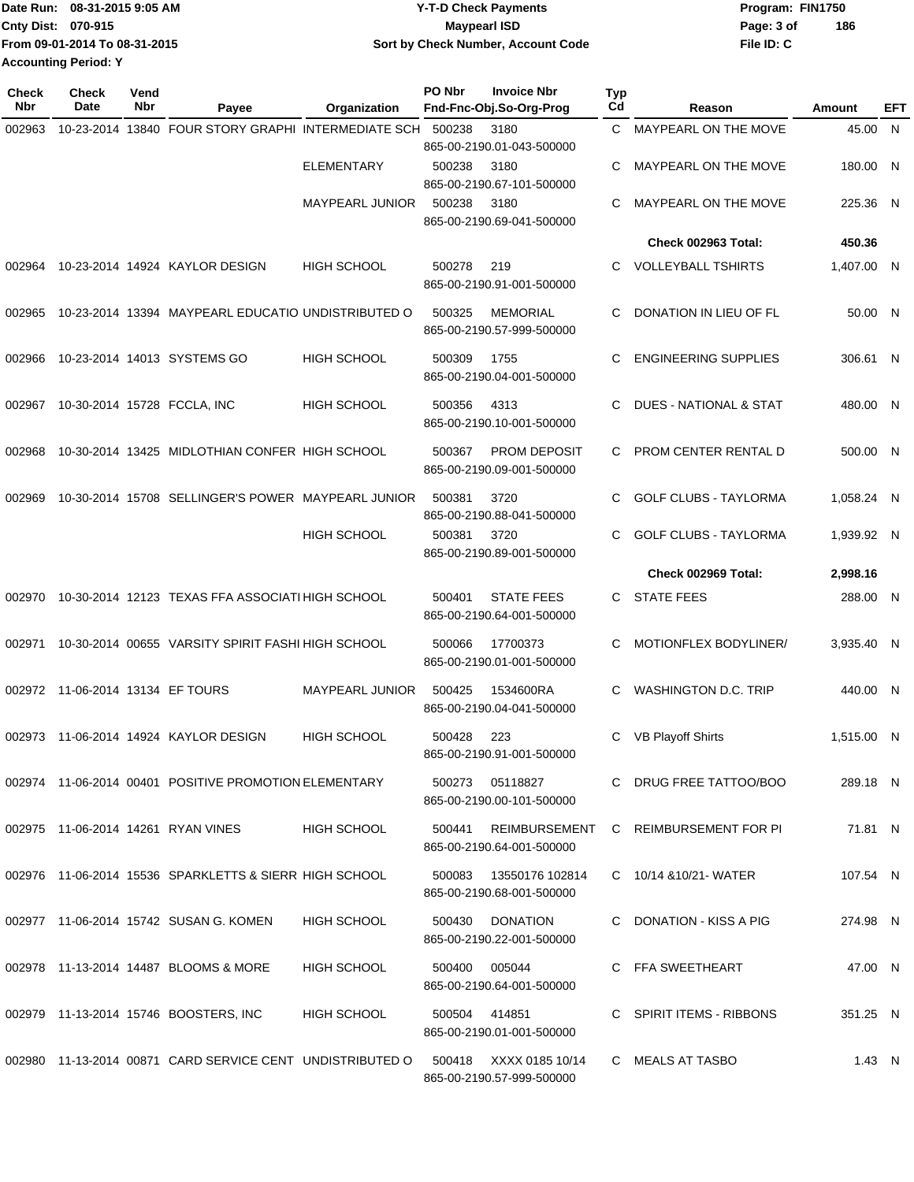|                             | Date Run: 08-31-2015 9:05 AM  | Y-T-D Check Payments               | Program: FIN1750 |     |  |  |
|-----------------------------|-------------------------------|------------------------------------|------------------|-----|--|--|
| <b>Cnty Dist: 070-915</b>   |                               | Maypearl ISD                       | Page: 3 of       | 186 |  |  |
|                             | From 09-01-2014 To 08-31-2015 | Sort by Check Number, Account Code | File ID: C       |     |  |  |
| <b>Accounting Period: Y</b> |                               |                                    |                  |     |  |  |

| Check<br><b>Nbr</b> | <b>Check</b><br>Date             | Vend<br>Nbr | Payee                                                     | Organization           | PO Nbr | <b>Invoice Nbr</b><br>Fnd-Fnc-Obj.So-Org-Prog | <b>Typ</b><br>Cd | Reason                       | Amount     | EFT |
|---------------------|----------------------------------|-------------|-----------------------------------------------------------|------------------------|--------|-----------------------------------------------|------------------|------------------------------|------------|-----|
| 002963              |                                  |             | 10-23-2014 13840 FOUR STORY GRAPHI INTERMEDIATE SCH       |                        | 500238 | 3180                                          | C                | MAYPEARL ON THE MOVE         | 45.00      | N   |
|                     |                                  |             |                                                           |                        |        | 865-00-2190.01-043-500000                     |                  |                              |            |     |
|                     |                                  |             |                                                           | <b>ELEMENTARY</b>      | 500238 | 3180                                          | С                | MAYPEARL ON THE MOVE         | 180.00 N   |     |
|                     |                                  |             |                                                           |                        |        | 865-00-2190.67-101-500000                     |                  |                              |            |     |
|                     |                                  |             |                                                           | <b>MAYPEARL JUNIOR</b> | 500238 | 3180                                          | C                | MAYPEARL ON THE MOVE         | 225.36 N   |     |
|                     |                                  |             |                                                           |                        |        | 865-00-2190.69-041-500000                     |                  |                              |            |     |
|                     |                                  |             |                                                           |                        |        |                                               |                  | Check 002963 Total:          | 450.36     |     |
| 002964              |                                  |             | 10-23-2014 14924 KAYLOR DESIGN                            | <b>HIGH SCHOOL</b>     | 500278 | 219                                           | C                | <b>VOLLEYBALL TSHIRTS</b>    | 1,407.00 N |     |
|                     |                                  |             |                                                           |                        |        | 865-00-2190.91-001-500000                     |                  |                              |            |     |
|                     |                                  |             |                                                           |                        |        |                                               |                  |                              |            |     |
| 002965              |                                  |             | 10-23-2014 13394 MAYPEARL EDUCATIO UNDISTRIBUTED O        |                        | 500325 | <b>MEMORIAL</b>                               | С                | DONATION IN LIEU OF FL       | 50.00 N    |     |
|                     |                                  |             |                                                           |                        |        | 865-00-2190.57-999-500000                     |                  |                              |            |     |
| 002966              |                                  |             | 10-23-2014 14013 SYSTEMS GO                               | HIGH SCHOOL            | 500309 | 1755                                          | C                | <b>ENGINEERING SUPPLIES</b>  | 306.61 N   |     |
|                     |                                  |             |                                                           |                        |        | 865-00-2190.04-001-500000                     |                  |                              |            |     |
|                     |                                  |             |                                                           |                        |        |                                               |                  |                              |            |     |
| 002967              |                                  |             | 10-30-2014 15728 FCCLA, INC                               | <b>HIGH SCHOOL</b>     | 500356 | 4313<br>865-00-2190.10-001-500000             | C                | DUES - NATIONAL & STAT       | 480.00 N   |     |
|                     |                                  |             |                                                           |                        |        |                                               |                  |                              |            |     |
| 002968              |                                  |             | 10-30-2014 13425 MIDLOTHIAN CONFER HIGH SCHOOL            |                        | 500367 | <b>PROM DEPOSIT</b>                           | С                | PROM CENTER RENTAL D         | 500.00 N   |     |
|                     |                                  |             |                                                           |                        |        | 865-00-2190.09-001-500000                     |                  |                              |            |     |
| 002969              |                                  |             | 10-30-2014 15708 SELLINGER'S POWER MAYPEARL JUNIOR        |                        | 500381 | 3720                                          | C                | <b>GOLF CLUBS - TAYLORMA</b> | 1,058.24 N |     |
|                     |                                  |             |                                                           |                        |        | 865-00-2190.88-041-500000                     |                  |                              |            |     |
|                     |                                  |             |                                                           | <b>HIGH SCHOOL</b>     | 500381 | 3720                                          | C                | <b>GOLF CLUBS - TAYLORMA</b> | 1,939.92 N |     |
|                     |                                  |             |                                                           |                        |        | 865-00-2190.89-001-500000                     |                  |                              |            |     |
|                     |                                  |             |                                                           |                        |        |                                               |                  | Check 002969 Total:          | 2,998.16   |     |
|                     |                                  |             |                                                           |                        |        |                                               |                  |                              |            |     |
| 002970              |                                  |             | 10-30-2014 12123 TEXAS FFA ASSOCIATI HIGH SCHOOL          |                        | 500401 | <b>STATE FEES</b>                             | C                | <b>STATE FEES</b>            | 288.00 N   |     |
|                     |                                  |             |                                                           |                        |        | 865-00-2190.64-001-500000                     |                  |                              |            |     |
| 002971              |                                  |             | 10-30-2014 00655 VARSITY SPIRIT FASHI HIGH SCHOOL         |                        | 500066 | 17700373                                      | С                | MOTIONFLEX BODYLINER/        | 3,935.40 N |     |
|                     |                                  |             |                                                           |                        |        | 865-00-2190.01-001-500000                     |                  |                              |            |     |
|                     | 002972 11-06-2014 13134 EF TOURS |             |                                                           | MAYPEARL JUNIOR        | 500425 | 1534600RA                                     | C                | <b>WASHINGTON D.C. TRIP</b>  | 440.00 N   |     |
|                     |                                  |             |                                                           |                        |        | 865-00-2190.04-041-500000                     |                  |                              |            |     |
|                     |                                  |             |                                                           |                        |        |                                               |                  |                              |            |     |
| 002973              |                                  |             | 11-06-2014 14924 KAYLOR DESIGN                            | <b>HIGH SCHOOL</b>     | 500428 | 223                                           | C                | <b>VB Playoff Shirts</b>     | 1.515.00 N |     |
|                     |                                  |             |                                                           |                        |        | 865-00-2190.91-001-500000                     |                  |                              |            |     |
|                     |                                  |             | 002974 11-06-2014 00401 POSITIVE PROMOTION ELEMENTARY     |                        | 500273 | 05118827                                      |                  | C DRUG FREE TATTOO/BOO       | 289.18 N   |     |
|                     |                                  |             |                                                           |                        |        | 865-00-2190.00-101-500000                     |                  |                              |            |     |
|                     |                                  |             |                                                           |                        |        |                                               |                  |                              |            |     |
|                     |                                  |             | 002975 11-06-2014 14261 RYAN VINES                        | <b>HIGH SCHOOL</b>     | 500441 | REIMBURSEMENT                                 |                  | C REIMBURSEMENT FOR PI       | 71.81 N    |     |
|                     |                                  |             |                                                           |                        |        | 865-00-2190.64-001-500000                     |                  |                              |            |     |
|                     |                                  |             | 002976 11-06-2014 15536 SPARKLETTS & SIERR HIGH SCHOOL    |                        | 500083 | 13550176 102814                               |                  | C 10/14 & 10/21 - WATER      | 107.54 N   |     |
|                     |                                  |             |                                                           |                        |        | 865-00-2190.68-001-500000                     |                  |                              |            |     |
|                     |                                  |             | 002977 11-06-2014 15742 SUSAN G. KOMEN                    | <b>HIGH SCHOOL</b>     | 500430 | DONATION                                      |                  | C DONATION - KISS A PIG      | 274.98 N   |     |
|                     |                                  |             |                                                           |                        |        | 865-00-2190.22-001-500000                     |                  |                              |            |     |
|                     |                                  |             |                                                           |                        |        |                                               |                  |                              |            |     |
|                     |                                  |             | 002978 11-13-2014 14487 BLOOMS & MORE                     | <b>HIGH SCHOOL</b>     | 500400 | 005044                                        |                  | C FFA SWEETHEART             | 47.00 N    |     |
|                     |                                  |             |                                                           |                        |        | 865-00-2190.64-001-500000                     |                  |                              |            |     |
|                     |                                  |             | 002979 11-13-2014 15746 BOOSTERS, INC                     | HIGH SCHOOL            |        | 500504 414851                                 |                  | C SPIRIT ITEMS - RIBBONS     | 351.25 N   |     |
|                     |                                  |             |                                                           |                        |        | 865-00-2190.01-001-500000                     |                  |                              |            |     |
|                     |                                  |             |                                                           |                        |        |                                               |                  |                              |            |     |
|                     |                                  |             | 002980 11-13-2014 00871 CARD SERVICE CENT UNDISTRIBUTED O |                        | 500418 | XXXX 0185 10/14                               |                  | C MEALS AT TASBO             | 1.43 N     |     |
|                     |                                  |             |                                                           |                        |        | 865-00-2190.57-999-500000                     |                  |                              |            |     |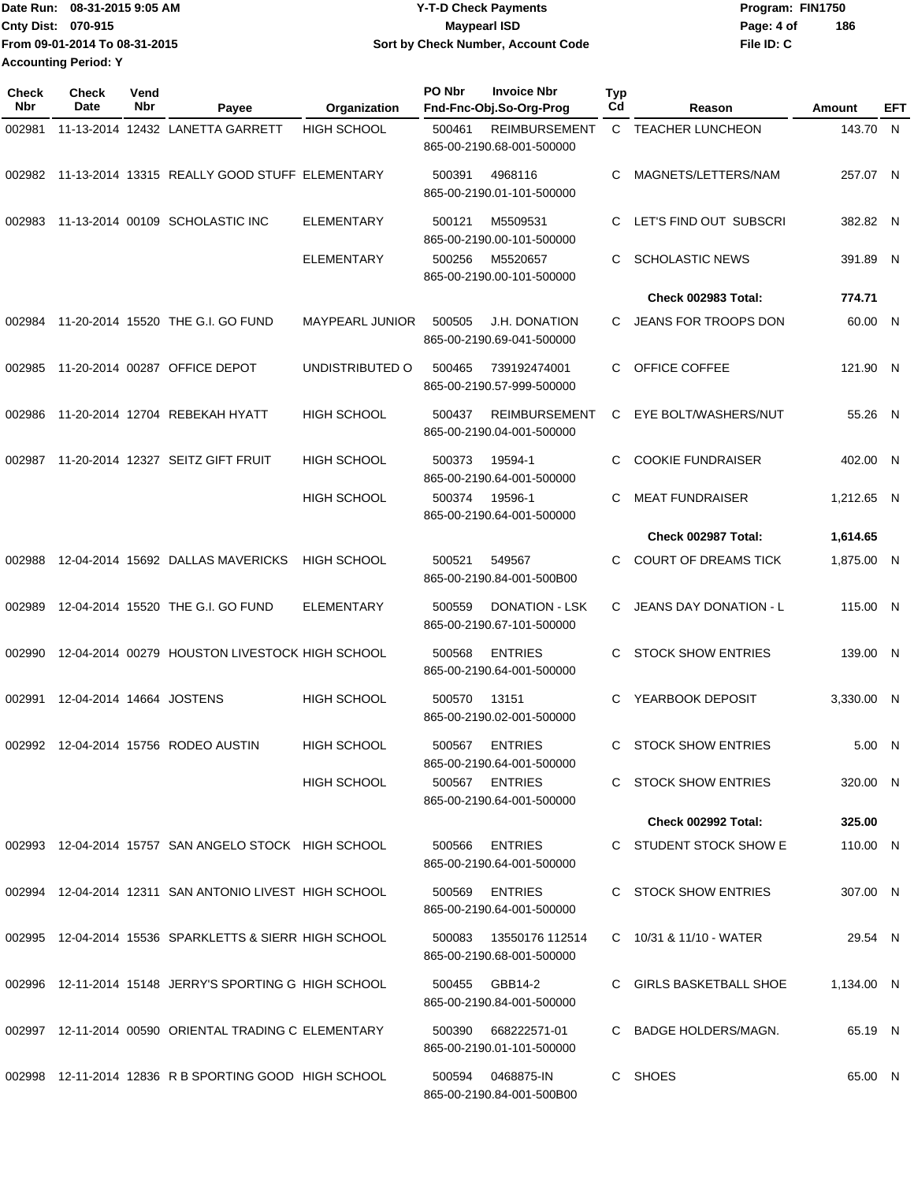| Date Run: 08-31-2015 9:05 AM  | Y-T-D Check Payments                      | Program: FIN1750 |     |  |
|-------------------------------|-------------------------------------------|------------------|-----|--|
| <b>Cnty Dist: 070-915</b>     | <b>Mavpearl ISD</b>                       | Page: 4 of       | 186 |  |
| From 09-01-2014 To 08-31-2015 | <b>Sort by Check Number, Account Code</b> | File ID: C       |     |  |
| <b>Accounting Period: Y</b>   |                                           |                  |     |  |

| <b>Check</b><br>Nbr | Check<br>Date            | Vend<br>Nbr | Payee                                                  | Organization           | PO Nbr | <b>Invoice Nbr</b><br>Fnd-Fnc-Obj.So-Org-Prog     | Typ<br>Cd | Reason                        | Amount     | EFT |
|---------------------|--------------------------|-------------|--------------------------------------------------------|------------------------|--------|---------------------------------------------------|-----------|-------------------------------|------------|-----|
| 002981              |                          |             | 11-13-2014 12432 LANETTA GARRETT                       | <b>HIGH SCHOOL</b>     | 500461 | <b>REIMBURSEMENT</b>                              |           | C TEACHER LUNCHEON            | 143.70 N   |     |
|                     |                          |             |                                                        |                        |        | 865-00-2190.68-001-500000                         |           |                               |            |     |
|                     |                          |             | 002982 11-13-2014 13315 REALLY GOOD STUFF ELEMENTARY   |                        | 500391 | 4968116                                           | С         | MAGNETS/LETTERS/NAM           | 257.07 N   |     |
|                     |                          |             |                                                        |                        |        | 865-00-2190.01-101-500000                         |           |                               |            |     |
| 002983              |                          |             | 11-13-2014 00109 SCHOLASTIC INC                        | <b>ELEMENTARY</b>      | 500121 | M5509531                                          | С         | LET'S FIND OUT SUBSCRI        | 382.82 N   |     |
|                     |                          |             |                                                        |                        |        | 865-00-2190.00-101-500000                         |           |                               |            |     |
|                     |                          |             |                                                        | <b>ELEMENTARY</b>      | 500256 | M5520657                                          | С         | <b>SCHOLASTIC NEWS</b>        | 391.89 N   |     |
|                     |                          |             |                                                        |                        |        | 865-00-2190.00-101-500000                         |           |                               |            |     |
|                     |                          |             |                                                        |                        |        |                                                   |           | Check 002983 Total:           | 774.71     |     |
| 002984              |                          |             | 11-20-2014 15520 THE G.I. GO FUND                      | <b>MAYPEARL JUNIOR</b> | 500505 | <b>J.H. DONATION</b><br>865-00-2190.69-041-500000 | C.        | JEANS FOR TROOPS DON          | 60.00 N    |     |
|                     |                          |             |                                                        |                        |        |                                                   |           |                               |            |     |
| 002985              |                          |             | 11-20-2014 00287 OFFICE DEPOT                          | UNDISTRIBUTED O        | 500465 | 739192474001<br>865-00-2190.57-999-500000         | C         | OFFICE COFFEE                 | 121.90 N   |     |
|                     |                          |             |                                                        |                        |        |                                                   |           |                               |            |     |
| 002986              |                          |             | 11-20-2014 12704 REBEKAH HYATT                         | <b>HIGH SCHOOL</b>     | 500437 | <b>REIMBURSEMENT</b>                              | С         | EYE BOLT/WASHERS/NUT          | 55.26 N    |     |
|                     |                          |             |                                                        |                        |        | 865-00-2190.04-001-500000                         |           |                               |            |     |
| 002987              |                          |             | 11-20-2014 12327 SEITZ GIFT FRUIT                      | <b>HIGH SCHOOL</b>     | 500373 | 19594-1                                           | С         | <b>COOKIE FUNDRAISER</b>      | 402.00 N   |     |
|                     |                          |             |                                                        | <b>HIGH SCHOOL</b>     | 500374 | 865-00-2190.64-001-500000<br>19596-1              | С         | <b>MEAT FUNDRAISER</b>        | 1,212.65 N |     |
|                     |                          |             |                                                        |                        |        | 865-00-2190.64-001-500000                         |           |                               |            |     |
|                     |                          |             |                                                        |                        |        |                                                   |           | Check 002987 Total:           | 1,614.65   |     |
| 002988              |                          |             | 12-04-2014 15692 DALLAS MAVERICKS                      | <b>HIGH SCHOOL</b>     | 500521 | 549567                                            | С         | <b>COURT OF DREAMS TICK</b>   | 1,875.00 N |     |
|                     |                          |             |                                                        |                        |        | 865-00-2190.84-001-500B00                         |           |                               |            |     |
| 002989              |                          |             | 12-04-2014 15520 THE G.I. GO FUND                      | <b>ELEMENTARY</b>      | 500559 | <b>DONATION - LSK</b>                             | C         | <b>JEANS DAY DONATION - L</b> | 115.00 N   |     |
|                     |                          |             |                                                        |                        |        | 865-00-2190.67-101-500000                         |           |                               |            |     |
| 002990              |                          |             | 12-04-2014 00279 HOUSTON LIVESTOCK HIGH SCHOOL         |                        | 500568 | <b>ENTRIES</b>                                    | С         | <b>STOCK SHOW ENTRIES</b>     | 139.00 N   |     |
|                     |                          |             |                                                        |                        |        | 865-00-2190.64-001-500000                         |           |                               |            |     |
| 002991              | 12-04-2014 14664 JOSTENS |             |                                                        | HIGH SCHOOL            | 500570 | 13151                                             | С         | YEARBOOK DEPOSIT              | 3,330.00 N |     |
|                     |                          |             |                                                        |                        |        | 865-00-2190.02-001-500000                         |           |                               |            |     |
|                     |                          |             | 002992 12-04-2014 15756 RODEO AUSTIN                   | <b>HIGH SCHOOL</b>     | 500567 | <b>ENTRIES</b>                                    | C         | <b>STOCK SHOW ENTRIES</b>     | 5.00 N     |     |
|                     |                          |             |                                                        |                        |        | 865-00-2190.64-001-500000                         |           |                               |            |     |
|                     |                          |             |                                                        | <b>HIGH SCHOOL</b>     | 500567 | <b>ENTRIES</b>                                    |           | C STOCK SHOW ENTRIES          | 320.00 N   |     |
|                     |                          |             |                                                        |                        |        | 865-00-2190.64-001-500000                         |           | <b>Check 002992 Total:</b>    | 325.00     |     |
|                     |                          |             |                                                        |                        |        |                                                   |           |                               |            |     |
|                     |                          |             | 002993 12-04-2014 15757 SAN ANGELO STOCK HIGH SCHOOL   |                        | 500566 | <b>ENTRIES</b><br>865-00-2190.64-001-500000       |           | C STUDENT STOCK SHOW E        | 110.00 N   |     |
|                     |                          |             |                                                        |                        |        |                                                   |           |                               |            |     |
|                     |                          |             | 002994 12-04-2014 12311 SAN ANTONIO LIVEST HIGH SCHOOL |                        | 500569 | <b>ENTRIES</b><br>865-00-2190.64-001-500000       |           | C STOCK SHOW ENTRIES          | 307.00 N   |     |
|                     |                          |             |                                                        |                        |        |                                                   |           |                               |            |     |
|                     |                          |             | 002995 12-04-2014 15536 SPARKLETTS & SIERR HIGH SCHOOL |                        | 500083 | 13550176 112514<br>865-00-2190.68-001-500000      |           | C 10/31 & 11/10 - WATER       | 29.54 N    |     |
|                     |                          |             |                                                        |                        |        |                                                   |           |                               |            |     |
|                     |                          |             | 002996 12-11-2014 15148 JERRY'S SPORTING G HIGH SCHOOL |                        | 500455 | GBB14-2<br>865-00-2190.84-001-500000              |           | GIRLS BASKETBALL SHOE         | 1,134.00 N |     |
|                     |                          |             |                                                        |                        |        |                                                   |           |                               |            |     |
|                     |                          |             | 002997 12-11-2014 00590 ORIENTAL TRADING C ELEMENTARY  |                        | 500390 | 668222571-01<br>865-00-2190.01-101-500000         |           | C BADGE HOLDERS/MAGN.         | 65.19 N    |     |
|                     |                          |             |                                                        |                        |        |                                                   |           |                               |            |     |
|                     |                          |             | 002998 12-11-2014 12836 R B SPORTING GOOD HIGH SCHOOL  |                        | 500594 | 0468875-IN<br>865-00-2190.84-001-500B00           |           | C SHOES                       | 65.00 N    |     |
|                     |                          |             |                                                        |                        |        |                                                   |           |                               |            |     |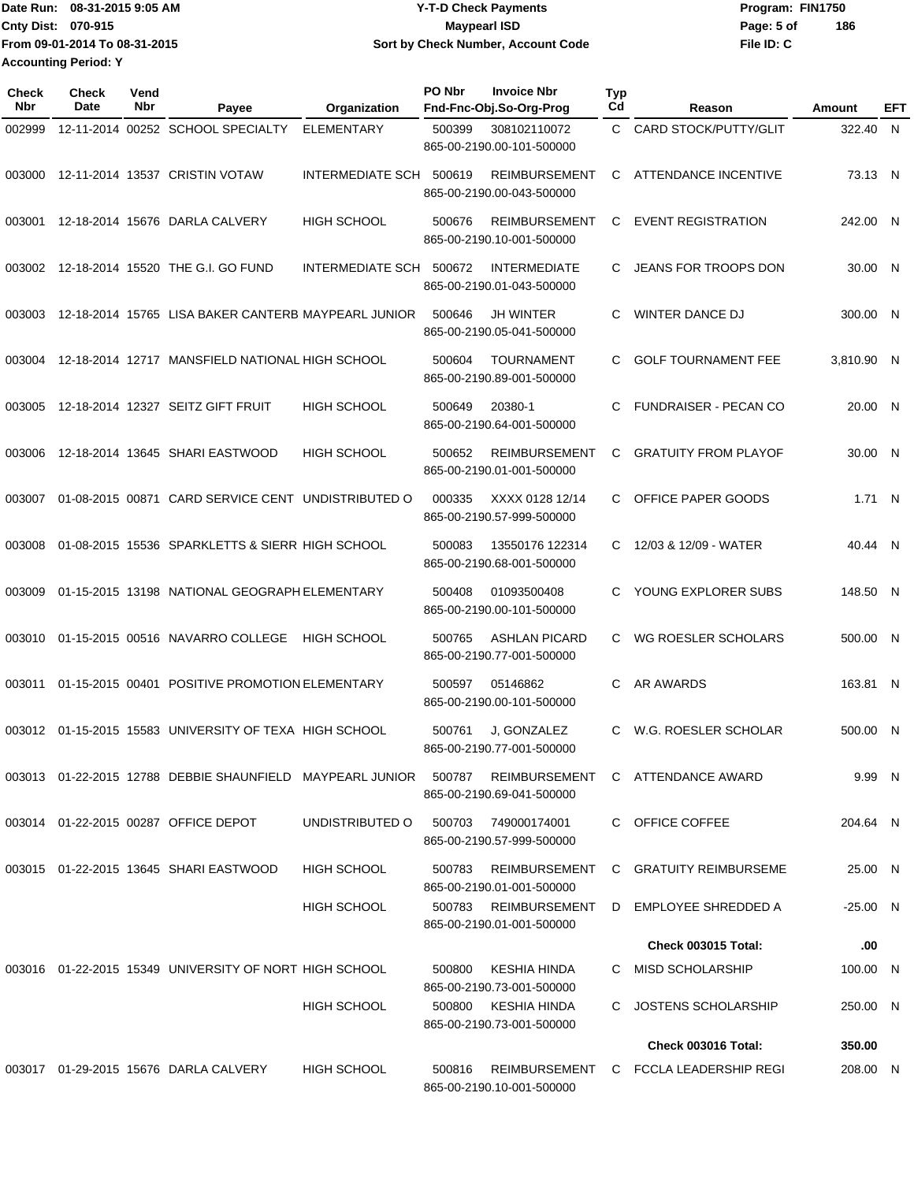|                             | TDate Run: 08-31-2015 9:05 AM | <b>Y-T-D Check Payments</b>        | Program: FIN1750  |
|-----------------------------|-------------------------------|------------------------------------|-------------------|
| <b>Cnty Dist: 070-915</b>   |                               | Maypearl ISD                       | 186<br>Page: 5 of |
|                             | From 09-01-2014 To 08-31-2015 | Sort by Check Number, Account Code | File ID: C        |
| <b>Accounting Period: Y</b> |                               |                                    |                   |

| <b>Check</b><br>Nbr | <b>Check</b><br>Date | Vend<br>Nbr | Payee                                                         | Organization       | PO Nbr | <b>Invoice Nbr</b><br>Fnd-Fnc-Obj.So-Org-Prog     | Typ<br>Cd    | Reason                       | Amount     | EFT |
|---------------------|----------------------|-------------|---------------------------------------------------------------|--------------------|--------|---------------------------------------------------|--------------|------------------------------|------------|-----|
| 002999              |                      |             | 12-11-2014 00252 SCHOOL SPECIALTY                             | <b>ELEMENTARY</b>  | 500399 | 308102110072<br>865-00-2190.00-101-500000         | C.           | CARD STOCK/PUTTY/GLIT        | 322.40     | N.  |
| 003000              |                      |             | 12-11-2014 13537 CRISTIN VOTAW                                | INTERMEDIATE SCH   | 500619 | <b>REIMBURSEMENT</b><br>865-00-2190.00-043-500000 | C            | ATTENDANCE INCENTIVE         | 73.13 N    |     |
| 003001              |                      |             | 12-18-2014 15676 DARLA CALVERY                                | <b>HIGH SCHOOL</b> | 500676 | <b>REIMBURSEMENT</b><br>865-00-2190.10-001-500000 | C            | <b>EVENT REGISTRATION</b>    | 242.00 N   |     |
| 003002              |                      |             | 12-18-2014 15520 THE G.I. GO FUND                             | INTERMEDIATE SCH   | 500672 | <b>INTERMEDIATE</b><br>865-00-2190.01-043-500000  | C            | JEANS FOR TROOPS DON         | 30.00 N    |     |
| 003003              |                      |             | 12-18-2014 15765 LISA BAKER CANTERB MAYPEARL JUNIOR           |                    | 500646 | <b>JH WINTER</b><br>865-00-2190.05-041-500000     | С            | <b>WINTER DANCE DJ</b>       | 300.00 N   |     |
| 003004              |                      |             | 12-18-2014 12717 MANSFIELD NATIONAL HIGH SCHOOL               |                    | 500604 | <b>TOURNAMENT</b><br>865-00-2190.89-001-500000    | C            | <b>GOLF TOURNAMENT FEE</b>   | 3,810.90 N |     |
| 003005              |                      |             | 12-18-2014 12327 SEITZ GIFT FRUIT                             | <b>HIGH SCHOOL</b> | 500649 | 20380-1<br>865-00-2190.64-001-500000              | C            | <b>FUNDRAISER - PECAN CO</b> | 20.00 N    |     |
| 003006              |                      |             | 12-18-2014 13645 SHARI EASTWOOD                               | <b>HIGH SCHOOL</b> | 500652 | <b>REIMBURSEMENT</b><br>865-00-2190.01-001-500000 | C            | <b>GRATUITY FROM PLAYOF</b>  | 30.00 N    |     |
| 003007              |                      |             | 01-08-2015 00871 CARD SERVICE CENT UNDISTRIBUTED O            |                    | 000335 | XXXX 0128 12/14<br>865-00-2190.57-999-500000      | C            | OFFICE PAPER GOODS           | 1.71 N     |     |
| 003008              |                      |             | 01-08-2015 15536 SPARKLETTS & SIERR HIGH SCHOOL               |                    | 500083 | 13550176 122314<br>865-00-2190.68-001-500000      | C            | 12/03 & 12/09 - WATER        | 40.44 N    |     |
| 003009              |                      |             | 01-15-2015 13198 NATIONAL GEOGRAPH ELEMENTARY                 |                    | 500408 | 01093500408<br>865-00-2190.00-101-500000          | C            | YOUNG EXPLORER SUBS          | 148.50 N   |     |
| 003010              |                      |             | 01-15-2015 00516 NAVARRO COLLEGE                              | HIGH SCHOOL        | 500765 | <b>ASHLAN PICARD</b><br>865-00-2190.77-001-500000 | C            | WG ROESLER SCHOLARS          | 500.00 N   |     |
| 003011              |                      |             | 01-15-2015 00401 POSITIVE PROMOTION ELEMENTARY                |                    | 500597 | 05146862<br>865-00-2190.00-101-500000             | C            | AR AWARDS                    | 163.81 N   |     |
| 003012              |                      |             | 01-15-2015 15583 UNIVERSITY OF TEXA HIGH SCHOOL               |                    | 500761 | J, GONZALEZ<br>865-00-2190.77-001-500000          | C.           | W.G. ROESLER SCHOLAR         | 500.00 N   |     |
|                     |                      |             | 003013  01-22-2015  12788  DEBBIE SHAUNFIELD  MAYPEARL JUNIOR |                    | 500787 | REIMBURSEMENT<br>865-00-2190.69-041-500000        |              | C ATTENDANCE AWARD           | 9.99 N     |     |
|                     |                      |             | 003014 01-22-2015 00287 OFFICE DEPOT                          | UNDISTRIBUTED O    | 500703 | 749000174001<br>865-00-2190.57-999-500000         |              | C OFFICE COFFEE              | 204.64 N   |     |
|                     |                      |             | 003015  01-22-2015  13645  SHARI EASTWOOD                     | <b>HIGH SCHOOL</b> | 500783 | <b>REIMBURSEMENT</b><br>865-00-2190.01-001-500000 | C.           | <b>GRATUITY REIMBURSEME</b>  | 25.00 N    |     |
|                     |                      |             |                                                               | <b>HIGH SCHOOL</b> | 500783 | REIMBURSEMENT<br>865-00-2190.01-001-500000        | D            | EMPLOYEE SHREDDED A          | -25.00 N   |     |
|                     |                      |             |                                                               |                    |        |                                                   |              | Check 003015 Total:          | .00        |     |
|                     |                      |             | 003016  01-22-2015  15349  UNIVERSITY OF NORT HIGH SCHOOL     |                    | 500800 | KESHIA HINDA<br>865-00-2190.73-001-500000         |              | C MISD SCHOLARSHIP           | 100.00 N   |     |
|                     |                      |             |                                                               | <b>HIGH SCHOOL</b> | 500800 | KESHIA HINDA<br>865-00-2190.73-001-500000         | $\mathbf{C}$ | JOSTENS SCHOLARSHIP          | 250.00 N   |     |
|                     |                      |             |                                                               |                    |        |                                                   |              | Check 003016 Total:          | 350.00     |     |
|                     |                      |             | 003017  01-29-2015  15676  DARLA CALVERY                      | <b>HIGH SCHOOL</b> | 500816 | <b>REIMBURSEMENT</b><br>865-00-2190.10-001-500000 |              | C FCCLA LEADERSHIP REGI      | 208.00 N   |     |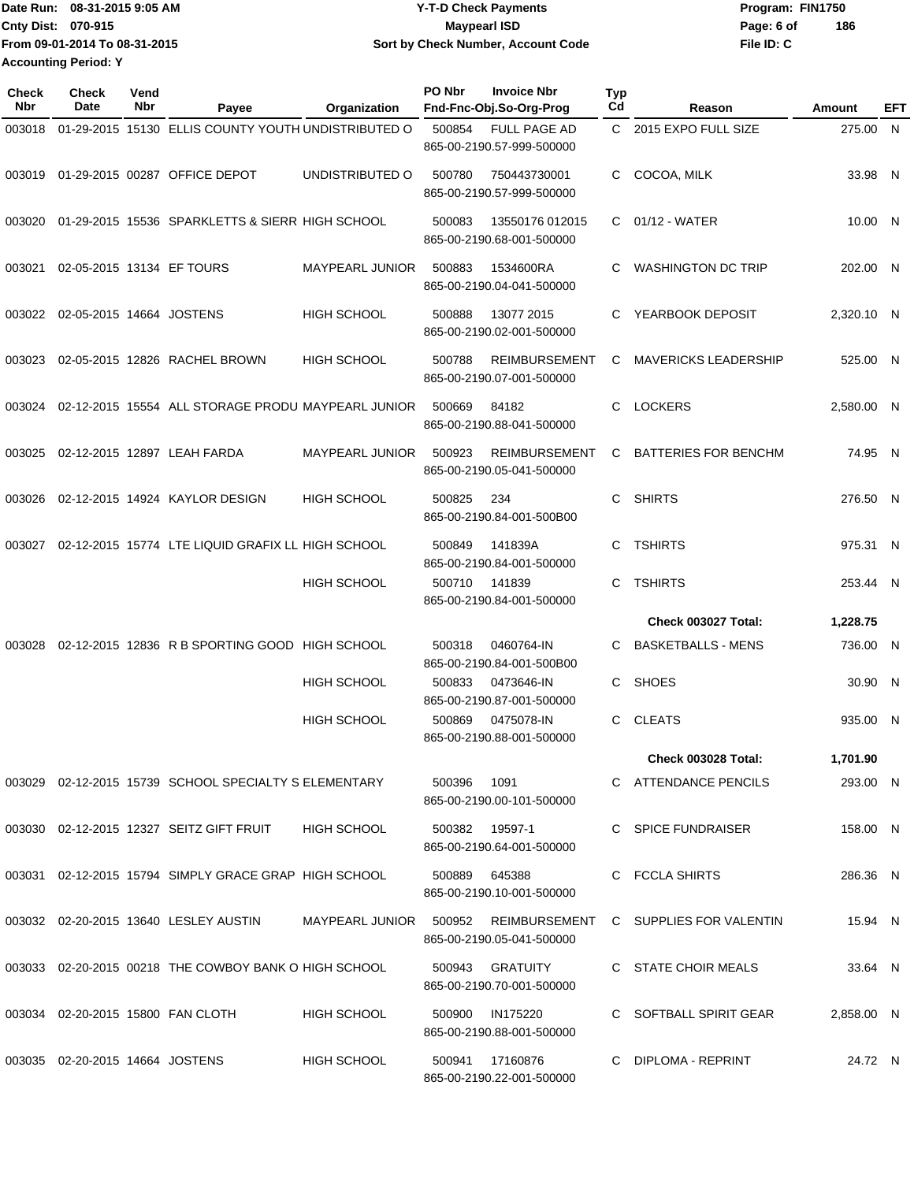|                             | IDate Run: 08-31-2015 9:05 AM | <b>Y-T-D Check Payments</b>        | Program: FIN1750  |  |  |  |
|-----------------------------|-------------------------------|------------------------------------|-------------------|--|--|--|
| <b>Cnty Dist: 070-915</b>   |                               | Maypearl ISD                       | 186<br>Page: 6 of |  |  |  |
|                             | From 09-01-2014 To 08-31-2015 | Sort by Check Number, Account Code | File ID: C        |  |  |  |
| <b>Accounting Period: Y</b> |                               |                                    |                   |  |  |  |

| <b>Check</b><br><b>Nbr</b> | <b>Check</b><br>Date            | Vend<br>Nbr | Payee                                                 | Organization           | PO Nbr         | <b>Invoice Nbr</b><br>Fnd-Fnc-Obj.So-Org-Prog     | <b>Typ</b><br>Cd | Reason                      | Amount     | EFT |
|----------------------------|---------------------------------|-------------|-------------------------------------------------------|------------------------|----------------|---------------------------------------------------|------------------|-----------------------------|------------|-----|
| 003018                     |                                 |             | 01-29-2015 15130 ELLIS COUNTY YOUTH UNDISTRIBUTED O   |                        | 500854         | <b>FULL PAGE AD</b><br>865-00-2190.57-999-500000  |                  | C 2015 EXPO FULL SIZE       | 275.00 N   |     |
|                            |                                 |             | 003019 01-29-2015 00287 OFFICE DEPOT                  | UNDISTRIBUTED O        | 500780         | 750443730001<br>865-00-2190.57-999-500000         | C                | COCOA, MILK                 | 33.98 N    |     |
| 003020                     |                                 |             | 01-29-2015 15536 SPARKLETTS & SIERR HIGH SCHOOL       |                        | 500083         | 13550176 012015<br>865-00-2190.68-001-500000      |                  | C 01/12 - WATER             | 10.00 N    |     |
| 003021                     |                                 |             | 02-05-2015 13134 EF TOURS                             | <b>MAYPEARL JUNIOR</b> | 500883         | 1534600RA<br>865-00-2190.04-041-500000            | C.               | WASHINGTON DC TRIP          | 202.00 N   |     |
| 003022                     | 02-05-2015 14664 JOSTENS        |             |                                                       | <b>HIGH SCHOOL</b>     | 500888         | 13077 2015<br>865-00-2190.02-001-500000           | C.               | YEARBOOK DEPOSIT            | 2,320.10 N |     |
| 003023                     |                                 |             | 02-05-2015 12826 RACHEL BROWN                         | <b>HIGH SCHOOL</b>     | 500788         | <b>REIMBURSEMENT</b><br>865-00-2190.07-001-500000 | С                | <b>MAVERICKS LEADERSHIP</b> | 525.00 N   |     |
| 003024                     |                                 |             | 02-12-2015 15554 ALL STORAGE PRODU MAYPEARL JUNIOR    |                        | 500669         | 84182<br>865-00-2190.88-041-500000                | C.               | <b>LOCKERS</b>              | 2,580.00 N |     |
| 003025                     |                                 |             | 02-12-2015 12897 LEAH FARDA                           | <b>MAYPEARL JUNIOR</b> | 500923         | <b>REIMBURSEMENT</b><br>865-00-2190.05-041-500000 | C                | <b>BATTERIES FOR BENCHM</b> | 74.95 N    |     |
| 003026                     |                                 |             | 02-12-2015 14924 KAYLOR DESIGN                        | <b>HIGH SCHOOL</b>     | 500825         | 234<br>865-00-2190.84-001-500B00                  | C.               | <b>SHIRTS</b>               | 276.50 N   |     |
| 003027                     |                                 |             | 02-12-2015 15774 LTE LIQUID GRAFIX LL HIGH SCHOOL     |                        | 500849         | 141839A<br>865-00-2190.84-001-500000              | C.               | <b>TSHIRTS</b>              | 975.31 N   |     |
|                            |                                 |             |                                                       | <b>HIGH SCHOOL</b>     | 500710         | 141839<br>865-00-2190.84-001-500000               | C.               | <b>TSHIRTS</b>              | 253.44 N   |     |
|                            |                                 |             |                                                       |                        |                |                                                   |                  | Check 003027 Total:         | 1,228.75   |     |
| 003028                     |                                 |             | 02-12-2015 12836 R B SPORTING GOOD HIGH SCHOOL        |                        | 500318         | 0460764-IN<br>865-00-2190.84-001-500B00           | C                | <b>BASKETBALLS - MENS</b>   | 736.00 N   |     |
|                            |                                 |             |                                                       | <b>HIGH SCHOOL</b>     | 500833         | 0473646-IN<br>865-00-2190.87-001-500000           | C                | <b>SHOES</b>                | 30.90 N    |     |
|                            |                                 |             |                                                       | <b>HIGH SCHOOL</b>     | 500869         | 0475078-IN<br>865-00-2190.88-001-500000           | C.               | <b>CLEATS</b>               | 935.00 N   |     |
|                            |                                 |             |                                                       |                        |                |                                                   |                  | <b>Check 003028 Total:</b>  | 1,701.90   |     |
|                            |                                 |             | 003029 02-12-2015 15739 SCHOOL SPECIALTY S ELEMENTARY |                        | 500396         | 1091<br>865-00-2190.00-101-500000                 |                  | C ATTENDANCE PENCILS        | 293.00 N   |     |
|                            |                                 |             | 003030 02-12-2015 12327 SEITZ GIFT FRUIT              | <b>HIGH SCHOOL</b>     | 500382 19597-1 | 865-00-2190.64-001-500000                         |                  | C SPICE FUNDRAISER          | 158.00 N   |     |
|                            |                                 |             | 003031 02-12-2015 15794 SIMPLY GRACE GRAP HIGH SCHOOL |                        | 500889         | 645388<br>865-00-2190.10-001-500000               |                  | C FCCLA SHIRTS              | 286.36 N   |     |
|                            |                                 |             | 003032 02-20-2015 13640 LESLEY AUSTIN                 | MAYPEARL JUNIOR        | 500952         | REIMBURSEMENT<br>865-00-2190.05-041-500000        |                  | C SUPPLIES FOR VALENTIN     | 15.94 N    |     |
|                            |                                 |             | 003033 02-20-2015 00218 THE COWBOY BANK O HIGH SCHOOL |                        | 500943         | GRATUITY<br>865-00-2190.70-001-500000             |                  | C STATE CHOIR MEALS         | 33.64 N    |     |
|                            |                                 |             | 003034 02-20-2015 15800 FAN CLOTH                     | <b>HIGH SCHOOL</b>     | 500900         | IN175220<br>865-00-2190.88-001-500000             |                  | C SOFTBALL SPIRIT GEAR      | 2,858.00 N |     |
|                            | 003035 02-20-2015 14664 JOSTENS |             |                                                       | <b>HIGH SCHOOL</b>     | 500941         | 17160876<br>865-00-2190.22-001-500000             |                  | C DIPLOMA - REPRINT         | 24.72 N    |     |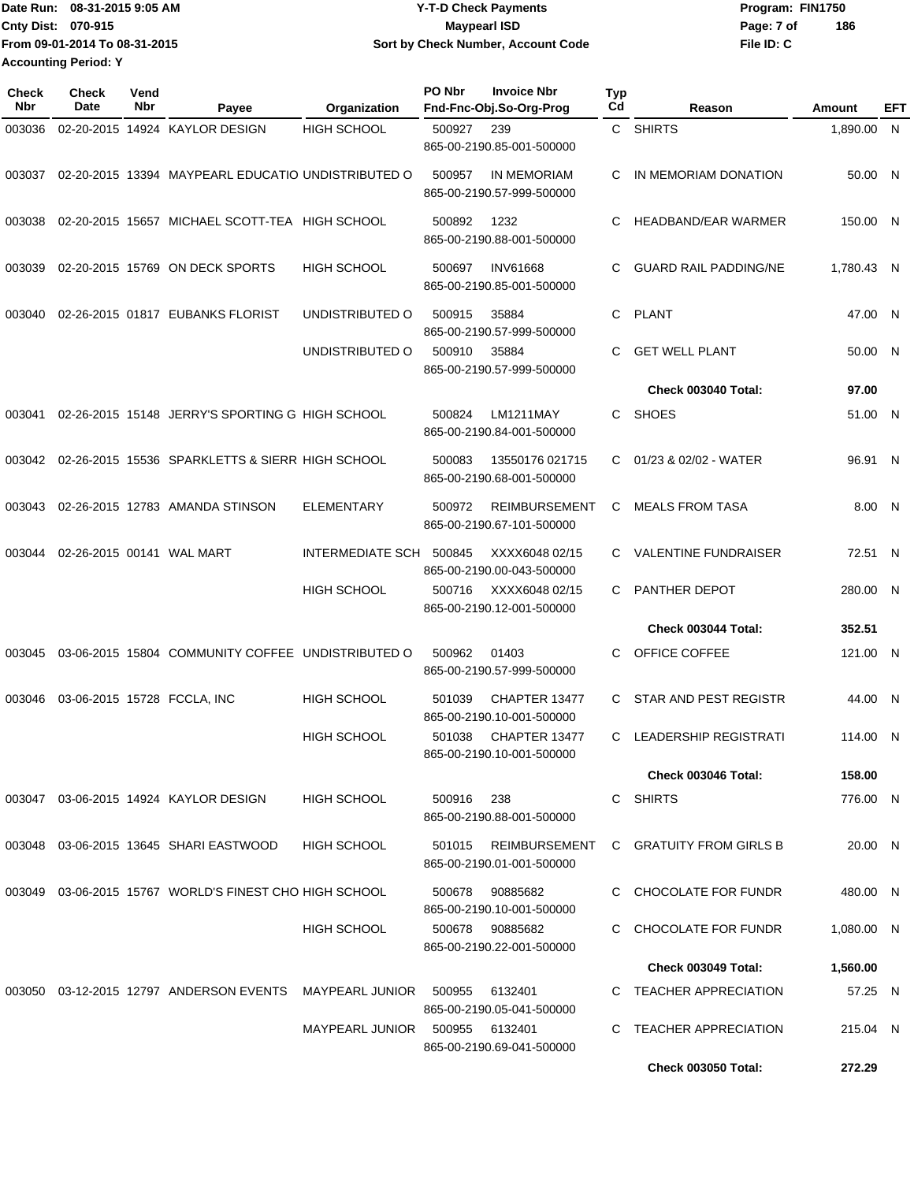Date Run: 08-31-2015 9:05 AM **Date Run:** 08-31-2015 9:05 AM **Cnty Dist:** 070-915 **Page: 7 of Page: 7 of Page: 7 of Page: 7 of Page: 7 of File ID: C From 09-01-2014 To 08-31-2015 08-31-2015 9:05 AM Y-T-D Check Payments 070-915 Maypearl ISD Sort by Check Number, Account Code 186 Accounting Period: Y**

| Check<br><b>Nbr</b> | <b>Check</b><br>Date | Vend<br>Nbr | Payee                                              | Organization       | PO Nbr | <b>Invoice Nbr</b><br>Fnd-Fnc-Obj.So-Org-Prog     | Typ<br>Cd | Reason                       | Amount     | EFT |
|---------------------|----------------------|-------------|----------------------------------------------------|--------------------|--------|---------------------------------------------------|-----------|------------------------------|------------|-----|
| 003036              |                      |             | 02-20-2015 14924 KAYLOR DESIGN                     | <b>HIGH SCHOOL</b> | 500927 | 239<br>865-00-2190.85-001-500000                  |           | C SHIRTS                     | 1,890.00 N |     |
| 003037              |                      |             | 02-20-2015 13394 MAYPEARL EDUCATIO UNDISTRIBUTED O |                    | 500957 | IN MEMORIAM<br>865-00-2190.57-999-500000          | C.        | IN MEMORIAM DONATION         | 50.00 N    |     |
| 003038              |                      |             | 02-20-2015 15657 MICHAEL SCOTT-TEA HIGH SCHOOL     |                    | 500892 | 1232<br>865-00-2190.88-001-500000                 |           | <b>HEADBAND/EAR WARMER</b>   | 150.00 N   |     |
| 003039              |                      |             | 02-20-2015 15769 ON DECK SPORTS                    | <b>HIGH SCHOOL</b> | 500697 | <b>INV61668</b><br>865-00-2190.85-001-500000      | C         | <b>GUARD RAIL PADDING/NE</b> | 1.780.43 N |     |
| 003040              |                      |             | 02-26-2015 01817 EUBANKS FLORIST                   | UNDISTRIBUTED O    | 500915 | 35884<br>865-00-2190.57-999-500000                | C.        | PLANT                        | 47.00 N    |     |
|                     |                      |             |                                                    | UNDISTRIBUTED O    | 500910 | 35884<br>865-00-2190.57-999-500000                | C.        | <b>GET WELL PLANT</b>        | 50.00 N    |     |
|                     |                      |             |                                                    |                    |        |                                                   |           | Check 003040 Total:          | 97.00      |     |
| 003041              |                      |             | 02-26-2015 15148 JERRY'S SPORTING G HIGH SCHOOL    |                    | 500824 | LM1211MAY<br>865-00-2190.84-001-500000            |           | C SHOES                      | 51.00 N    |     |
| 003042              |                      |             | 02-26-2015 15536 SPARKLETTS & SIERR HIGH SCHOOL    |                    | 500083 | 13550176 021715<br>865-00-2190.68-001-500000      | C.        | 01/23 & 02/02 - WATER        | 96.91 N    |     |
| 003043              |                      |             | 02-26-2015 12783 AMANDA STINSON                    | <b>ELEMENTARY</b>  | 500972 | <b>REIMBURSEMENT</b><br>865-00-2190.67-101-500000 | C         | <b>MEALS FROM TASA</b>       | 8.00 N     |     |
| 003044              |                      |             | 02-26-2015 00141 WAL MART                          | INTERMEDIATE SCH   | 500845 | XXXX6048 02/15<br>865-00-2190.00-043-500000       | C.        | <b>VALENTINE FUNDRAISER</b>  | 72.51 N    |     |
|                     |                      |             |                                                    | <b>HIGH SCHOOL</b> | 500716 | XXXX6048 02/15<br>865-00-2190.12-001-500000       | C         | PANTHER DEPOT                | 280.00 N   |     |
|                     |                      |             |                                                    |                    |        |                                                   |           | Check 003044 Total:          | 352.51     |     |
| 003045              |                      |             | 03-06-2015 15804 COMMUNITY COFFEE UNDISTRIBUTED O  |                    | 500962 | 01403<br>865-00-2190.57-999-500000                | C         | OFFICE COFFEE                | 121.00 N   |     |
| 003046              |                      |             | 03-06-2015 15728 FCCLA, INC                        | <b>HIGH SCHOOL</b> | 501039 | CHAPTER 13477<br>865-00-2190.10-001-500000        | C         | STAR AND PEST REGISTR        | 44.00 N    |     |
|                     |                      |             |                                                    | <b>HIGH SCHOOL</b> | 501038 | CHAPTER 13477<br>865-00-2190.10-001-500000        | C.        | LEADERSHIP REGISTRATI        | 114.00 N   |     |
|                     |                      |             |                                                    |                    |        |                                                   |           | <b>Check 003046 Total:</b>   | 158.00     |     |
| 003047              |                      |             | 03-06-2015 14924 KAYLOR DESIGN                     | <b>HIGH SCHOOL</b> | 500916 | 238<br>865-00-2190.88-001-500000                  |           | C SHIRTS                     | 776.00 N   |     |
|                     |                      |             | 003048 03-06-2015 13645 SHARI EASTWOOD             | <b>HIGH SCHOOL</b> | 501015 | REIMBURSEMENT<br>865-00-2190.01-001-500000        |           | C GRATUITY FROM GIRLS B      | 20.00 N    |     |
| 003049              |                      |             | 03-06-2015 15767 WORLD'S FINEST CHO HIGH SCHOOL    |                    | 500678 | 90885682<br>865-00-2190.10-001-500000             |           | C CHOCOLATE FOR FUNDR        | 480.00 N   |     |
|                     |                      |             |                                                    | HIGH SCHOOL        |        | 500678 90885682<br>865-00-2190.22-001-500000      |           | CHOCOLATE FOR FUNDR          | 1,080.00 N |     |
|                     |                      |             |                                                    |                    |        |                                                   |           | <b>Check 003049 Total:</b>   | 1,560.00   |     |
|                     |                      |             | 003050 03-12-2015 12797 ANDERSON EVENTS            | MAYPEARL JUNIOR    | 500955 | 6132401<br>865-00-2190.05-041-500000              |           | C TEACHER APPRECIATION       | 57.25 N    |     |
|                     |                      |             |                                                    | MAYPEARL JUNIOR    | 500955 | 6132401<br>865-00-2190.69-041-500000              | C.        | <b>TEACHER APPRECIATION</b>  | 215.04 N   |     |
|                     |                      |             |                                                    |                    |        |                                                   |           | <b>Check 003050 Total:</b>   | 272.29     |     |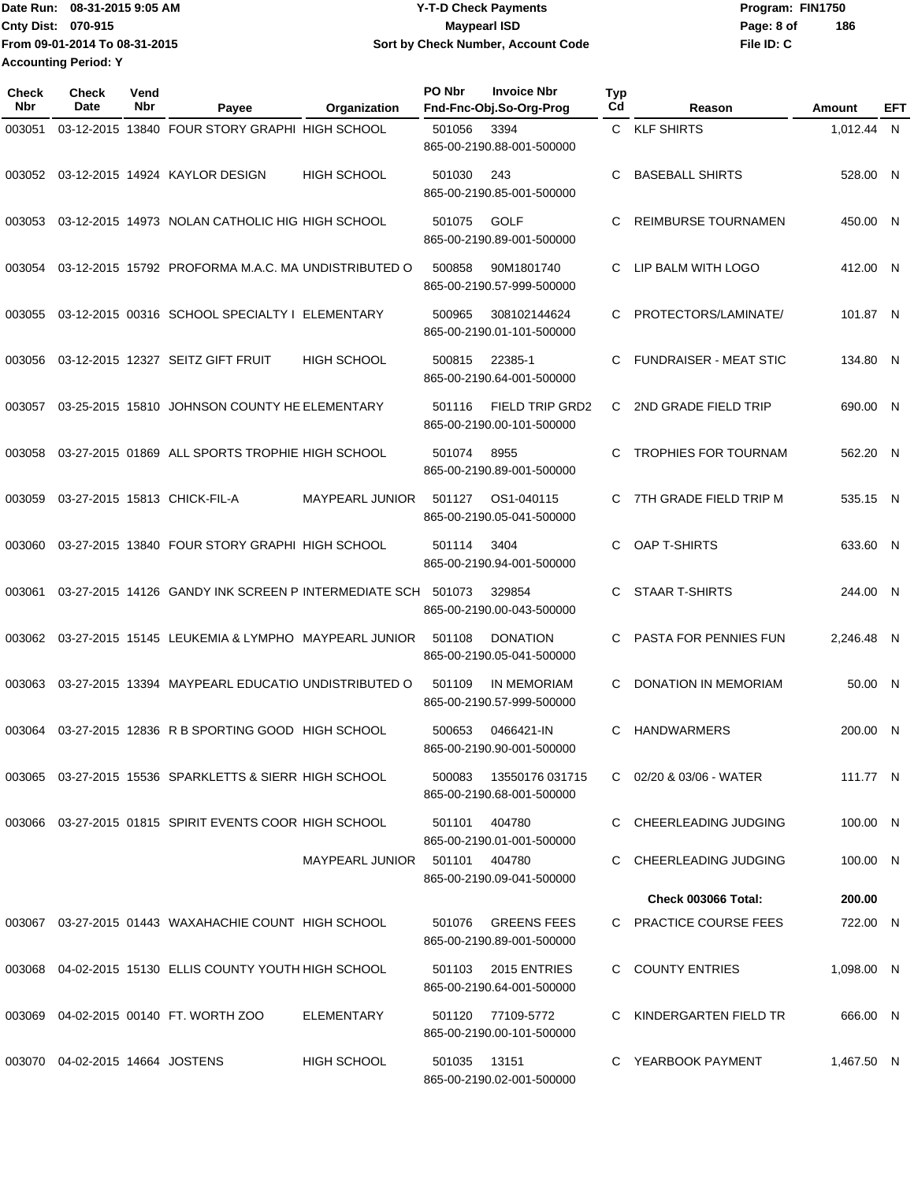Date Run: 08-31-2015 9:05 AM **Date Run:** 08-31-2015 9:05 AM **Cnty Dist:** 070-915 **Page: 8 of Page: 8 of Page: 8 of Page: 8 of Page: 8 of Page: 8 of File ID: C From 09-01-2014 To 08-31-2015 08-31-2015 9:05 AM Y-T-D Check Payments 070-915 Maypearl ISD Sort by Check Number, Account Code 186 Accounting Period: Y**

| <b>Check</b><br><b>Nbr</b> | <b>Check</b><br>Date            | Vend<br>Nbr | Payee                                                       | Organization           | PO Nbr | <b>Invoice Nbr</b><br>Fnd-Fnc-Obj.So-Org-Prog       | Typ<br>Cd | Reason                        | Amount     | EFT |
|----------------------------|---------------------------------|-------------|-------------------------------------------------------------|------------------------|--------|-----------------------------------------------------|-----------|-------------------------------|------------|-----|
| 003051                     |                                 |             | 03-12-2015 13840 FOUR STORY GRAPHI HIGH SCHOOL              |                        | 501056 | 3394<br>865-00-2190.88-001-500000                   |           | C KLF SHIRTS                  | 1,012.44 N |     |
| 003052                     |                                 |             | 03-12-2015 14924 KAYLOR DESIGN                              | <b>HIGH SCHOOL</b>     | 501030 | 243<br>865-00-2190.85-001-500000                    | С         | <b>BASEBALL SHIRTS</b>        | 528.00 N   |     |
| 003053                     |                                 |             | 03-12-2015 14973 NOLAN CATHOLIC HIG HIGH SCHOOL             |                        | 501075 | <b>GOLF</b><br>865-00-2190.89-001-500000            | C         | <b>REIMBURSE TOURNAMEN</b>    | 450.00 N   |     |
| 003054                     |                                 |             | 03-12-2015 15792 PROFORMA M.A.C. MA UNDISTRIBUTED O         |                        | 500858 | 90M1801740<br>865-00-2190.57-999-500000             | C         | LIP BALM WITH LOGO            | 412.00 N   |     |
| 003055                     |                                 |             | 03-12-2015 00316 SCHOOL SPECIALTY I ELEMENTARY              |                        | 500965 | 308102144624<br>865-00-2190.01-101-500000           | C.        | PROTECTORS/LAMINATE/          | 101.87 N   |     |
| 003056                     |                                 |             | 03-12-2015 12327 SEITZ GIFT FRUIT                           | <b>HIGH SCHOOL</b>     | 500815 | 22385-1<br>865-00-2190.64-001-500000                | C         | <b>FUNDRAISER - MEAT STIC</b> | 134.80 N   |     |
| 003057                     |                                 |             | 03-25-2015 15810 JOHNSON COUNTY HE ELEMENTARY               |                        | 501116 | <b>FIELD TRIP GRD2</b><br>865-00-2190.00-101-500000 | C.        | 2ND GRADE FIELD TRIP          | 690.00 N   |     |
| 003058                     |                                 |             | 03-27-2015 01869 ALL SPORTS TROPHIE HIGH SCHOOL             |                        | 501074 | 8955<br>865-00-2190.89-001-500000                   | C         | <b>TROPHIES FOR TOURNAM</b>   | 562.20 N   |     |
| 003059                     |                                 |             | 03-27-2015 15813 CHICK-FIL-A                                | <b>MAYPEARL JUNIOR</b> | 501127 | OS1-040115<br>865-00-2190.05-041-500000             | C         | 7TH GRADE FIELD TRIP M        | 535.15 N   |     |
| 003060                     |                                 |             | 03-27-2015 13840 FOUR STORY GRAPHI HIGH SCHOOL              |                        | 501114 | 3404<br>865-00-2190.94-001-500000                   | C         | OAP T-SHIRTS                  | 633.60 N   |     |
| 003061                     |                                 |             | 03-27-2015 14126 GANDY INK SCREEN P INTERMEDIATE SCH 501073 |                        |        | 329854<br>865-00-2190.00-043-500000                 | C         | <b>STAAR T-SHIRTS</b>         | 244.00 N   |     |
| 003062                     |                                 |             | 03-27-2015 15145 LEUKEMIA & LYMPHO MAYPEARL JUNIOR          |                        | 501108 | <b>DONATION</b><br>865-00-2190.05-041-500000        | C         | <b>PASTA FOR PENNIES FUN</b>  | 2,246.48 N |     |
| 003063                     |                                 |             | 03-27-2015 13394 MAYPEARL EDUCATIO UNDISTRIBUTED O          |                        | 501109 | IN MEMORIAM<br>865-00-2190.57-999-500000            | C         | <b>DONATION IN MEMORIAM</b>   | 50.00 N    |     |
| 003064                     |                                 |             | 03-27-2015 12836 R B SPORTING GOOD HIGH SCHOOL              |                        | 500653 | 0466421-IN<br>865-00-2190.90-001-500000             | C         | <b>HANDWARMERS</b>            | 200.00 N   |     |
|                            |                                 |             | 003065 03-27-2015 15536 SPARKLETTS & SIERR HIGH SCHOOL      |                        | 500083 | 13550176 031715<br>865-00-2190.68-001-500000        |           | C 02/20 & 03/06 - WATER       | 111.77 N   |     |
|                            |                                 |             | 003066 03-27-2015 01815 SPIRIT EVENTS COOR HIGH SCHOOL      |                        | 501101 | 404780<br>865-00-2190.01-001-500000                 |           | C CHEERLEADING JUDGING        | 100.00 N   |     |
|                            |                                 |             |                                                             | MAYPEARL JUNIOR        | 501101 | 404780<br>865-00-2190.09-041-500000                 | C         | CHEERLEADING JUDGING          | 100.00 N   |     |
|                            |                                 |             |                                                             |                        |        |                                                     |           | <b>Check 003066 Total:</b>    | 200.00     |     |
| 003067                     |                                 |             | 03-27-2015 01443 WAXAHACHIE COUNT HIGH SCHOOL               |                        | 501076 | <b>GREENS FEES</b><br>865-00-2190.89-001-500000     |           | C PRACTICE COURSE FEES        | 722.00 N   |     |
|                            |                                 |             | 003068 04-02-2015 15130 ELLIS COUNTY YOUTH HIGH SCHOOL      |                        | 501103 | 2015 ENTRIES<br>865-00-2190.64-001-500000           |           | C COUNTY ENTRIES              | 1,098.00 N |     |
| 003069                     |                                 |             | 04-02-2015 00140 FT. WORTH ZOO                              | <b>ELEMENTARY</b>      | 501120 | 77109-5772<br>865-00-2190.00-101-500000             | C         | KINDERGARTEN FIELD TR         | 666.00 N   |     |
|                            | 003070 04-02-2015 14664 JOSTENS |             |                                                             | <b>HIGH SCHOOL</b>     | 501035 | 13151<br>865-00-2190.02-001-500000                  |           | C YEARBOOK PAYMENT            | 1,467.50 N |     |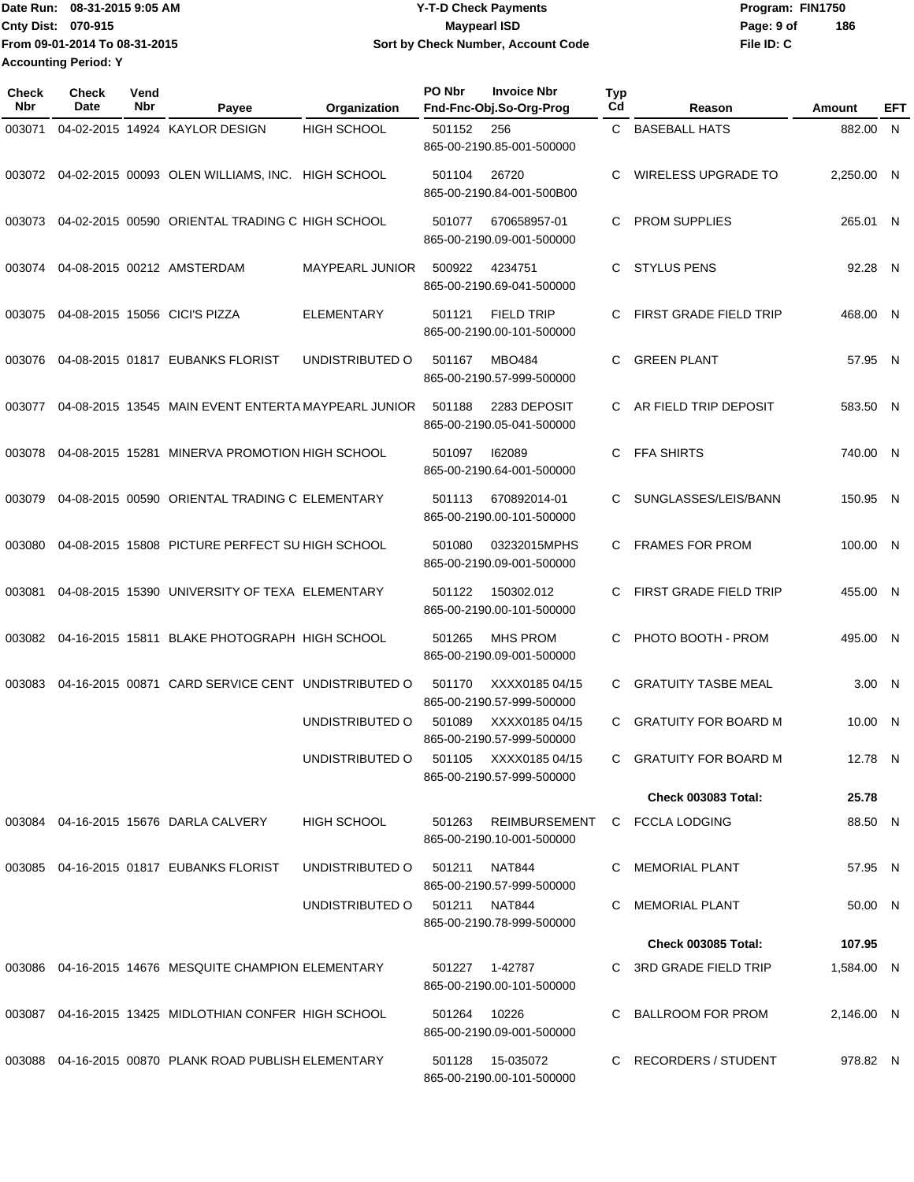**From 09-01-2014 To 08-31-2015 Accounting Period: Y**

## Date Run: 08-31-2015 9:05 AM **Date Run:** 08-31-2015 9:05 AM **Cnty Dist:** 070-915 **Page: 9 of Page: 9 of MaypearI ISD 08-31-2015 9:05 AM Y-T-D Check Payments 070-915 Maypearl ISD Sort by Check Number, Account Code**

**File ID: C 186**

| Check<br><b>Nbr</b> | Check<br><b>Date</b> | Vend<br>Nbr | Payee                                                 | Organization       | PO Nbr       | <b>Invoice Nbr</b><br>Fnd-Fnc-Obj.So-Org-Prog      | <b>Typ</b><br>Cd | Reason                        | <b>Amount</b> | EFT |
|---------------------|----------------------|-------------|-------------------------------------------------------|--------------------|--------------|----------------------------------------------------|------------------|-------------------------------|---------------|-----|
| 003071              |                      |             | 04-02-2015 14924 KAYLOR DESIGN                        | <b>HIGH SCHOOL</b> | 501152       | 256<br>865-00-2190.85-001-500000                   | C                | <b>BASEBALL HATS</b>          | 882.00 N      |     |
| 003072              |                      |             | 04-02-2015 00093 OLEN WILLIAMS, INC. HIGH SCHOOL      |                    | 501104       | 26720<br>865-00-2190.84-001-500B00                 | C                | <b>WIRELESS UPGRADE TO</b>    | 2,250.00 N    |     |
| 003073              |                      |             | 04-02-2015 00590 ORIENTAL TRADING C HIGH SCHOOL       |                    | 501077       | 670658957-01<br>865-00-2190.09-001-500000          | C.               | <b>PROM SUPPLIES</b>          | 265.01 N      |     |
| 003074              |                      |             | 04-08-2015 00212 AMSTERDAM                            | MAYPEARL JUNIOR    | 500922       | 4234751<br>865-00-2190.69-041-500000               | C.               | <b>STYLUS PENS</b>            | 92.28 N       |     |
| 003075              |                      |             | 04-08-2015 15056 CICI'S PIZZA                         | <b>ELEMENTARY</b>  | 501121       | <b>FIELD TRIP</b><br>865-00-2190.00-101-500000     | C                | <b>FIRST GRADE FIELD TRIP</b> | 468.00 N      |     |
| 003076              |                      |             | 04-08-2015 01817 EUBANKS FLORIST                      | UNDISTRIBUTED O    | 501167       | <b>MBO484</b><br>865-00-2190.57-999-500000         | C                | <b>GREEN PLANT</b>            | 57.95 N       |     |
| 003077              |                      |             | 04-08-2015 13545 MAIN EVENT ENTERTA MAYPEARL JUNIOR   |                    | 501188       | 2283 DEPOSIT<br>865-00-2190.05-041-500000          | C.               | AR FIELD TRIP DEPOSIT         | 583.50 N      |     |
| 003078              |                      |             | 04-08-2015 15281 MINERVA PROMOTION HIGH SCHOOL        |                    | 501097       | 162089<br>865-00-2190.64-001-500000                | C.               | <b>FFA SHIRTS</b>             | 740.00 N      |     |
| 003079              |                      |             | 04-08-2015 00590 ORIENTAL TRADING C ELEMENTARY        |                    | 501113       | 670892014-01<br>865-00-2190.00-101-500000          | C                | SUNGLASSES/LEIS/BANN          | 150.95 N      |     |
| 003080              |                      |             | 04-08-2015 15808 PICTURE PERFECT SU HIGH SCHOOL       |                    | 501080       | 03232015MPHS<br>865-00-2190.09-001-500000          | C.               | <b>FRAMES FOR PROM</b>        | 100.00 N      |     |
| 003081              |                      |             | 04-08-2015 15390 UNIVERSITY OF TEXA ELEMENTARY        |                    | 501122       | 150302.012<br>865-00-2190.00-101-500000            | C                | <b>FIRST GRADE FIELD TRIP</b> | 455.00 N      |     |
| 003082              |                      |             | 04-16-2015 15811 BLAKE PHOTOGRAPH HIGH SCHOOL         |                    | 501265       | <b>MHS PROM</b><br>865-00-2190.09-001-500000       | C.               | PHOTO BOOTH - PROM            | 495.00 N      |     |
| 003083              |                      |             | 04-16-2015 00871 CARD SERVICE CENT UNDISTRIBUTED O    |                    | 501170       | XXXX0185 04/15<br>865-00-2190.57-999-500000        | C                | <b>GRATUITY TASBE MEAL</b>    | 3.00 N        |     |
|                     |                      |             |                                                       | UNDISTRIBUTED O    | 501089       | XXXX0185 04/15<br>865-00-2190.57-999-500000        | C                | <b>GRATUITY FOR BOARD M</b>   | 10.00 N       |     |
|                     |                      |             |                                                       | UNDISTRIBUTED O    |              | 501105 XXXX0185 04/15<br>865-00-2190.57-999-500000 |                  | C GRATUITY FOR BOARD M        | 12.78 N       |     |
|                     |                      |             |                                                       |                    |              |                                                    |                  | <b>Check 003083 Total:</b>    | 25.78         |     |
|                     |                      |             | 003084 04-16-2015 15676 DARLA CALVERY                 | <b>HIGH SCHOOL</b> |              | 501263 REIMBURSEMENT<br>865-00-2190.10-001-500000  |                  | C FCCLA LODGING               | 88.50 N       |     |
|                     |                      |             | 003085 04-16-2015 01817 EUBANKS FLORIST               | UNDISTRIBUTED O    | 501211       | <b>NAT844</b><br>865-00-2190.57-999-500000         |                  | C MEMORIAL PLANT              | 57.95 N       |     |
|                     |                      |             |                                                       | UNDISTRIBUTED O    |              | 501211 NAT844<br>865-00-2190.78-999-500000         |                  | MEMORIAL PLANT                | 50.00 N       |     |
|                     |                      |             |                                                       |                    |              |                                                    |                  | <b>Check 003085 Total:</b>    | 107.95        |     |
|                     |                      |             | 003086 04-16-2015 14676 MESQUITE CHAMPION ELEMENTARY  |                    |              | 501227 1-42787<br>865-00-2190.00-101-500000        |                  | C 3RD GRADE FIELD TRIP        | 1,584.00 N    |     |
|                     |                      |             | 003087 04-16-2015 13425 MIDLOTHIAN CONFER HIGH SCHOOL |                    | 501264 10226 | 865-00-2190.09-001-500000                          |                  | BALLROOM FOR PROM             | 2,146.00 N    |     |
|                     |                      |             | 003088 04-16-2015 00870 PLANK ROAD PUBLISH ELEMENTARY |                    | 501128       | 15-035072<br>865-00-2190.00-101-500000             |                  | C RECORDERS / STUDENT         | 978.82 N      |     |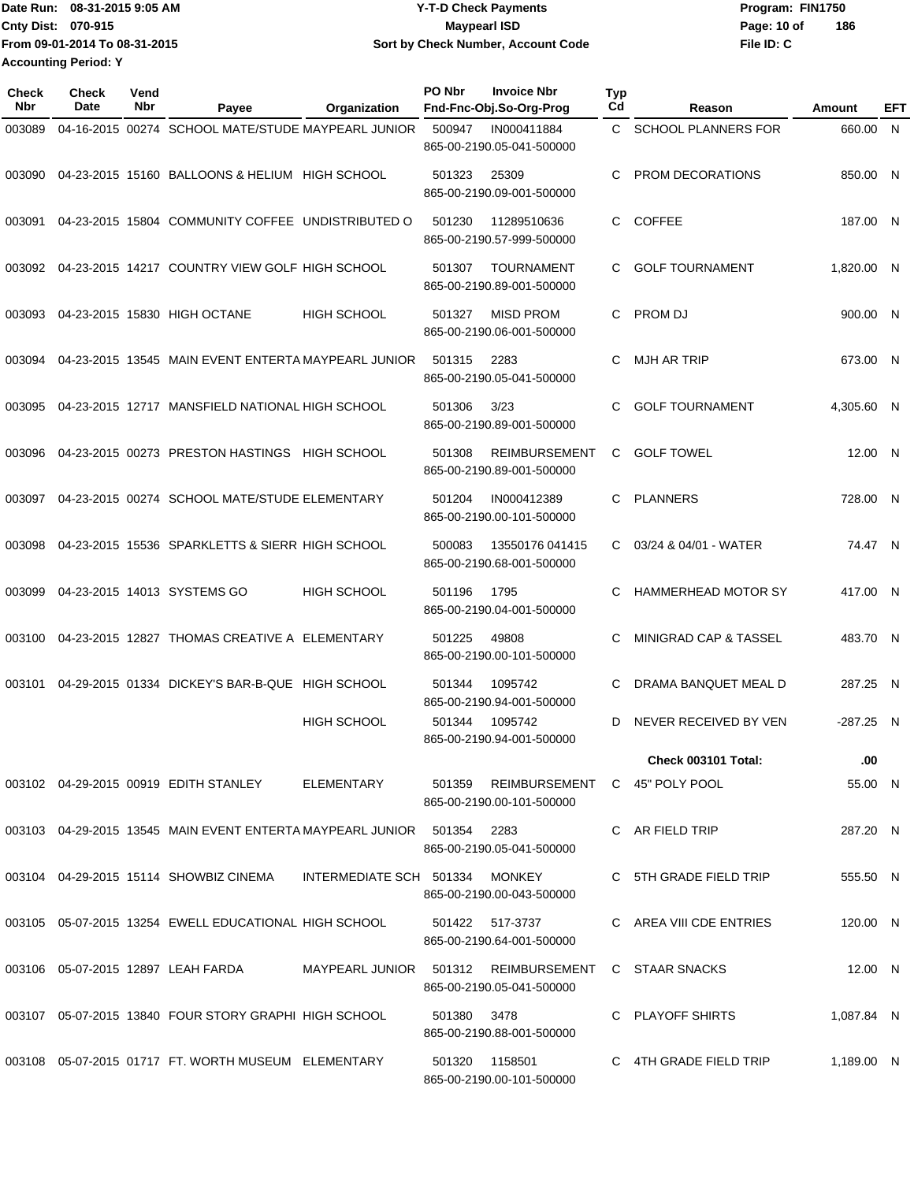Date Run: 08-31-2015 9:05 AM **Date Run:** 08-31-2015 9:05 AM **Cnty Dist:** 070-915 **Page: 10 of** Maypearl ISD **CONTEX Page: 10 of File ID: C From 09-01-2014 To 08-31-2015 08-31-2015 9:05 AM Y-T-D Check Payments 070-915 Maypearl ISD Sort by Check Number, Account Code 186 Accounting Period: Y**

| Check<br>Nbr | <b>Check</b><br>Date | Vend<br>Nbr | Payee                                                                  | Organization                   | PO Nbr      | <b>Invoice Nbr</b><br>Fnd-Fnc-Obj.So-Org-Prog                     | Typ<br>Cd | Reason                     | Amount      | EFT |
|--------------|----------------------|-------------|------------------------------------------------------------------------|--------------------------------|-------------|-------------------------------------------------------------------|-----------|----------------------------|-------------|-----|
| 003089       |                      |             | 04-16-2015 00274 SCHOOL MATE/STUDE MAYPEARL JUNIOR                     |                                | 500947      | IN000411884<br>865-00-2190.05-041-500000                          | C.        | <b>SCHOOL PLANNERS FOR</b> | 660.00 N    |     |
| 003090       |                      |             | 04-23-2015 15160 BALLOONS & HELIUM HIGH SCHOOL                         |                                | 501323      | 25309<br>865-00-2190.09-001-500000                                | C.        | PROM DECORATIONS           | 850.00 N    |     |
| 003091       |                      |             | 04-23-2015 15804 COMMUNITY COFFEE UNDISTRIBUTED O                      |                                | 501230      | 11289510636<br>865-00-2190.57-999-500000                          | C.        | <b>COFFEE</b>              | 187.00 N    |     |
| 003092       |                      |             | 04-23-2015 14217 COUNTRY VIEW GOLF HIGH SCHOOL                         |                                | 501307      | <b>TOURNAMENT</b><br>865-00-2190.89-001-500000                    | C.        | <b>GOLF TOURNAMENT</b>     | 1.820.00 N  |     |
| 003093       |                      |             | 04-23-2015 15830 HIGH OCTANE                                           | <b>HIGH SCHOOL</b>             | 501327      | <b>MISD PROM</b><br>865-00-2190.06-001-500000                     | C.        | PROM DJ                    | 900.00 N    |     |
| 003094       |                      |             | 04-23-2015 13545 MAIN EVENT ENTERTA MAYPEARL JUNIOR                    |                                | 501315      | 2283<br>865-00-2190.05-041-500000                                 | C         | <b>MJH AR TRIP</b>         | 673.00 N    |     |
| 003095       |                      |             | 04-23-2015 12717 MANSFIELD NATIONAL HIGH SCHOOL                        |                                | 501306      | 3/23<br>865-00-2190.89-001-500000                                 | C         | <b>GOLF TOURNAMENT</b>     | 4.305.60 N  |     |
| 003096       |                      |             | 04-23-2015 00273 PRESTON HASTINGS HIGH SCHOOL                          |                                | 501308      | <b>REIMBURSEMENT</b><br>865-00-2190.89-001-500000                 | C         | <b>GOLF TOWEL</b>          | 12.00 N     |     |
| 003097       |                      |             | 04-23-2015 00274 SCHOOL MATE/STUDE ELEMENTARY                          |                                | 501204      | IN000412389<br>865-00-2190.00-101-500000                          | C         | <b>PLANNERS</b>            | 728.00 N    |     |
| 003098       |                      |             | 04-23-2015 15536 SPARKLETTS & SIERR HIGH SCHOOL                        |                                | 500083      | 13550176 041415<br>865-00-2190.68-001-500000                      | C.        | 03/24 & 04/01 - WATER      | 74.47 N     |     |
| 003099       |                      |             | 04-23-2015 14013 SYSTEMS GO                                            | <b>HIGH SCHOOL</b>             | 501196      | 1795<br>865-00-2190.04-001-500000                                 | C         | <b>HAMMERHEAD MOTOR SY</b> | 417.00 N    |     |
| 003100       |                      |             | 04-23-2015 12827 THOMAS CREATIVE A ELEMENTARY                          |                                | 501225      | 49808<br>865-00-2190.00-101-500000                                | C         | MINIGRAD CAP & TASSEL      | 483.70 N    |     |
| 003101       |                      |             | 04-29-2015 01334 DICKEY'S BAR-B-QUE HIGH SCHOOL                        |                                | 501344      | 1095742<br>865-00-2190.94-001-500000                              | C         | DRAMA BANQUET MEAL D       | 287.25 N    |     |
|              |                      |             |                                                                        | <b>HIGH SCHOOL</b>             | 501344      | 1095742<br>865-00-2190.94-001-500000                              | D         | NEVER RECEIVED BY VEN      | $-287.25$ N |     |
|              |                      |             |                                                                        |                                |             |                                                                   |           | Check 003101 Total:        | .00         |     |
|              |                      |             | 003102 04-29-2015 00919 EDITH STANLEY                                  | ELEMENTARY                     |             | 501359 REIMBURSEMENT C 45" POLY POOL<br>865-00-2190.00-101-500000 |           |                            | 55.00 N     |     |
|              |                      |             | 003103 04-29-2015 13545 MAIN EVENT ENTERTA MAYPEARL JUNIOR 501354 2283 |                                |             | 865-00-2190.05-041-500000                                         |           | C AR FIELD TRIP            | 287.20 N    |     |
|              |                      |             | 003104 04-29-2015 15114 SHOWBIZ CINEMA                                 | INTERMEDIATE SCH 501334 MONKEY |             | 865-00-2190.00-043-500000                                         |           | C 5TH GRADE FIELD TRIP     | 555.50 N    |     |
|              |                      |             | 003105 05-07-2015 13254 EWELL EDUCATIONAL HIGH SCHOOL                  |                                |             | 501422 517-3737<br>865-00-2190.64-001-500000                      |           | C AREA VIII CDE ENTRIES    | 120.00 N    |     |
|              |                      |             | 003106 05-07-2015 12897 LEAH FARDA                                     |                                |             | MAYPEARL JUNIOR 501312 REIMBURSEMENT<br>865-00-2190.05-041-500000 |           | C STAAR SNACKS             | 12.00 N     |     |
|              |                      |             | 003107 05-07-2015 13840 FOUR STORY GRAPHI HIGH SCHOOL                  |                                | 501380 3478 | 865-00-2190.88-001-500000                                         |           | C PLAYOFF SHIRTS           | 1,087.84 N  |     |
|              |                      |             | 003108  05-07-2015  01717  FT. WORTH MUSEUM  ELEMENTARY                |                                |             | 501320 1158501<br>865-00-2190.00-101-500000                       |           | C 4TH GRADE FIELD TRIP     | 1,189.00 N  |     |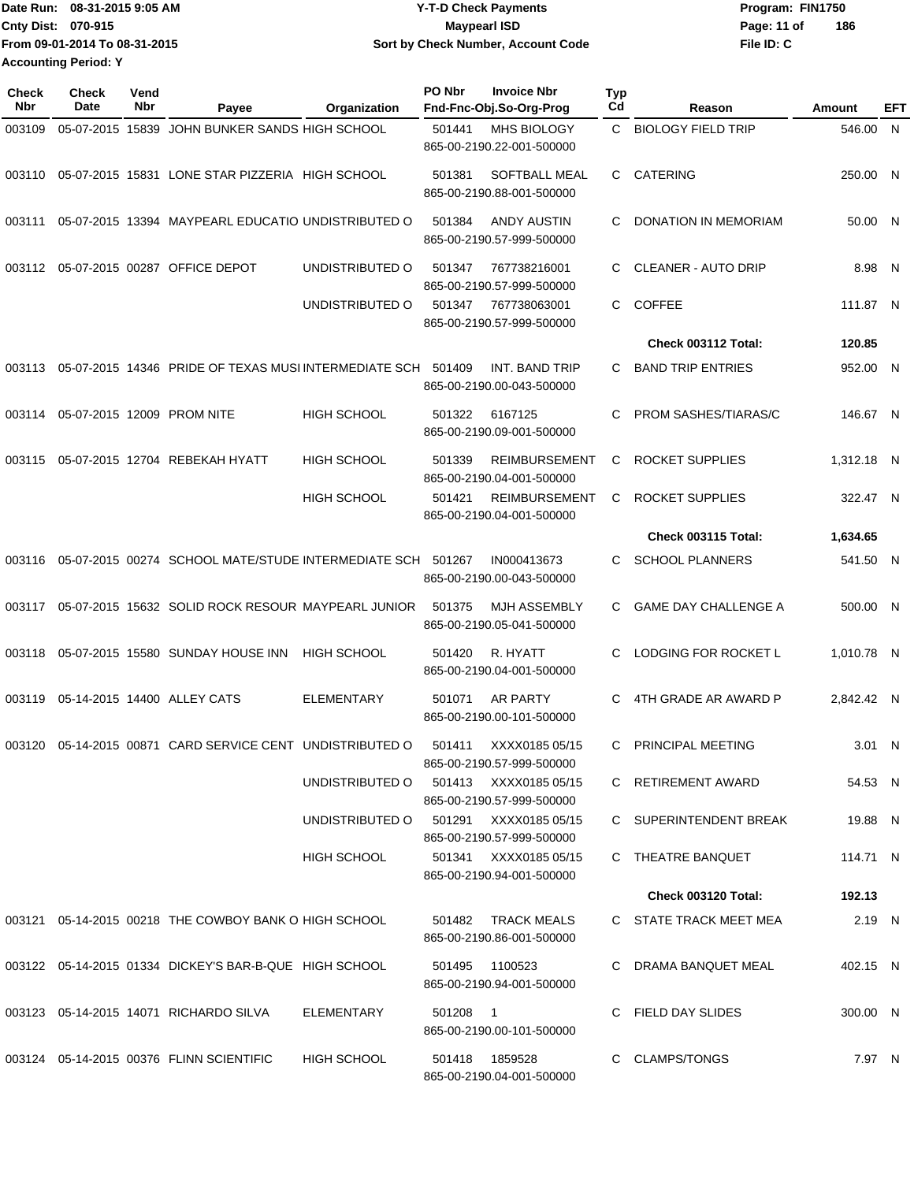|                             | Date Run: 08-31-2015 9:05 AM  | <b>Y-T-D Check Payments</b>        | Program: FIN1750   |  |
|-----------------------------|-------------------------------|------------------------------------|--------------------|--|
| <b>Cnty Dist: 070-915</b>   |                               | <b>Mavpearl ISD</b>                | 186<br>Page: 11 of |  |
|                             | From 09-01-2014 To 08-31-2015 | Sort by Check Number, Account Code | File ID: C         |  |
| <b>Accounting Period: Y</b> |                               |                                    |                    |  |

| <b>Check</b><br>Nbr | Check<br>Date    | Vend<br>Nbr | Payee                                                      | Organization       | PO Nbr | <b>Invoice Nbr</b><br>Fnd-Fnc-Obj.So-Org-Prog      | Typ<br>Cd    | Reason                      | Amount     | EFT |
|---------------------|------------------|-------------|------------------------------------------------------------|--------------------|--------|----------------------------------------------------|--------------|-----------------------------|------------|-----|
| 003109              | 05-07-2015 15839 |             | JOHN BUNKER SANDS HIGH SCHOOL                              |                    | 501441 | MHS BIOLOGY<br>865-00-2190.22-001-500000           | $\mathbf{C}$ | <b>BIOLOGY FIELD TRIP</b>   | 546.00 N   |     |
| 003110              |                  |             | 05-07-2015 15831 LONE STAR PIZZERIA HIGH SCHOOL            |                    | 501381 | SOFTBALL MEAL<br>865-00-2190.88-001-500000         | C.           | <b>CATERING</b>             | 250.00 N   |     |
| 003111              |                  |             | 05-07-2015 13394 MAYPEARL EDUCATIO UNDISTRIBUTED O         |                    | 501384 | <b>ANDY AUSTIN</b><br>865-00-2190.57-999-500000    | C.           | <b>DONATION IN MEMORIAM</b> | 50.00 N    |     |
| 003112              |                  |             | 05-07-2015 00287 OFFICE DEPOT                              | UNDISTRIBUTED O    | 501347 | 767738216001<br>865-00-2190.57-999-500000          | C            | <b>CLEANER - AUTO DRIP</b>  | 8.98 N     |     |
|                     |                  |             |                                                            | UNDISTRIBUTED O    | 501347 | 767738063001<br>865-00-2190.57-999-500000          | C.           | <b>COFFEE</b>               | 111.87 N   |     |
|                     |                  |             |                                                            |                    |        |                                                    |              | Check 003112 Total:         | 120.85     |     |
| 003113              |                  |             | 05-07-2015 14346 PRIDE OF TEXAS MUSI INTERMEDIATE SCH      |                    | 501409 | INT. BAND TRIP<br>865-00-2190.00-043-500000        | C.           | <b>BAND TRIP ENTRIES</b>    | 952.00 N   |     |
| 003114              |                  |             | 05-07-2015 12009 PROM NITE                                 | <b>HIGH SCHOOL</b> | 501322 | 6167125<br>865-00-2190.09-001-500000               | C            | PROM SASHES/TIARAS/C        | 146.67 N   |     |
| 003115              |                  |             | 05-07-2015 12704 REBEKAH HYATT                             | <b>HIGH SCHOOL</b> | 501339 | <b>REIMBURSEMENT</b><br>865-00-2190.04-001-500000  | C            | ROCKET SUPPLIES             | 1,312.18 N |     |
|                     |                  |             |                                                            | <b>HIGH SCHOOL</b> | 501421 | <b>REIMBURSEMENT</b><br>865-00-2190.04-001-500000  | С            | <b>ROCKET SUPPLIES</b>      | 322.47 N   |     |
|                     |                  |             |                                                            |                    |        |                                                    |              | <b>Check 003115 Total:</b>  | 1,634.65   |     |
| 003116              |                  |             | 05-07-2015 00274 SCHOOL MATE/STUDE INTERMEDIATE SCH 501267 |                    |        | IN000413673<br>865-00-2190.00-043-500000           | C            | <b>SCHOOL PLANNERS</b>      | 541.50 N   |     |
| 003117              |                  |             | 05-07-2015 15632 SOLID ROCK RESOUR MAYPEARL JUNIOR         |                    | 501375 | <b>MJH ASSEMBLY</b><br>865-00-2190.05-041-500000   | C.           | <b>GAME DAY CHALLENGE A</b> | 500.00 N   |     |
| 003118              |                  |             | 05-07-2015 15580 SUNDAY HOUSE INN                          | <b>HIGH SCHOOL</b> | 501420 | R. HYATT<br>865-00-2190.04-001-500000              | C            | LODGING FOR ROCKET L        | 1,010.78 N |     |
| 003119              |                  |             | 05-14-2015 14400 ALLEY CATS                                | <b>ELEMENTARY</b>  | 501071 | <b>AR PARTY</b><br>865-00-2190.00-101-500000       | C            | 4TH GRADE AR AWARD P        | 2,842.42 N |     |
| 003120              |                  |             | 05-14-2015 00871 CARD SERVICE CENT UNDISTRIBUTED O         |                    | 501411 | XXXX0185 05/15<br>865-00-2190.57-999-500000        | C            | PRINCIPAL MEETING           | 3.01 N     |     |
|                     |                  |             |                                                            | UNDISTRIBUTED O    |        | 501413 XXXX0185 05/15<br>865-00-2190.57-999-500000 |              | C RETIREMENT AWARD          | 54.53 N    |     |
|                     |                  |             |                                                            | UNDISTRIBUTED O    |        | 501291 XXXX0185 05/15<br>865-00-2190.57-999-500000 |              | C SUPERINTENDENT BREAK      | 19.88 N    |     |
|                     |                  |             |                                                            | <b>HIGH SCHOOL</b> |        | 501341 XXXX0185 05/15<br>865-00-2190.94-001-500000 |              | C THEATRE BANQUET           | 114.71 N   |     |
|                     |                  |             |                                                            |                    |        |                                                    |              | <b>Check 003120 Total:</b>  | 192.13     |     |
|                     |                  |             | 003121 05-14-2015 00218 THE COWBOY BANK O HIGH SCHOOL      |                    | 501482 | <b>TRACK MEALS</b><br>865-00-2190.86-001-500000    |              | C STATE TRACK MEET MEA      | 2.19 N     |     |
|                     |                  |             | 003122  05-14-2015  01334  DICKEY'S BAR-B-QUE  HIGH SCHOOL |                    |        | 501495 1100523<br>865-00-2190.94-001-500000        |              | C DRAMA BANQUET MEAL        | 402.15 N   |     |
|                     |                  |             | 003123 05-14-2015 14071 RICHARDO SILVA                     | ELEMENTARY         | 501208 | $\overline{1}$<br>865-00-2190.00-101-500000        |              | C FIELD DAY SLIDES          | 300.00 N   |     |
|                     |                  |             | 003124 05-14-2015 00376 FLINN SCIENTIFIC                   | <b>HIGH SCHOOL</b> | 501418 | 1859528<br>865-00-2190.04-001-500000               |              | C CLAMPS/TONGS              | 7.97 N     |     |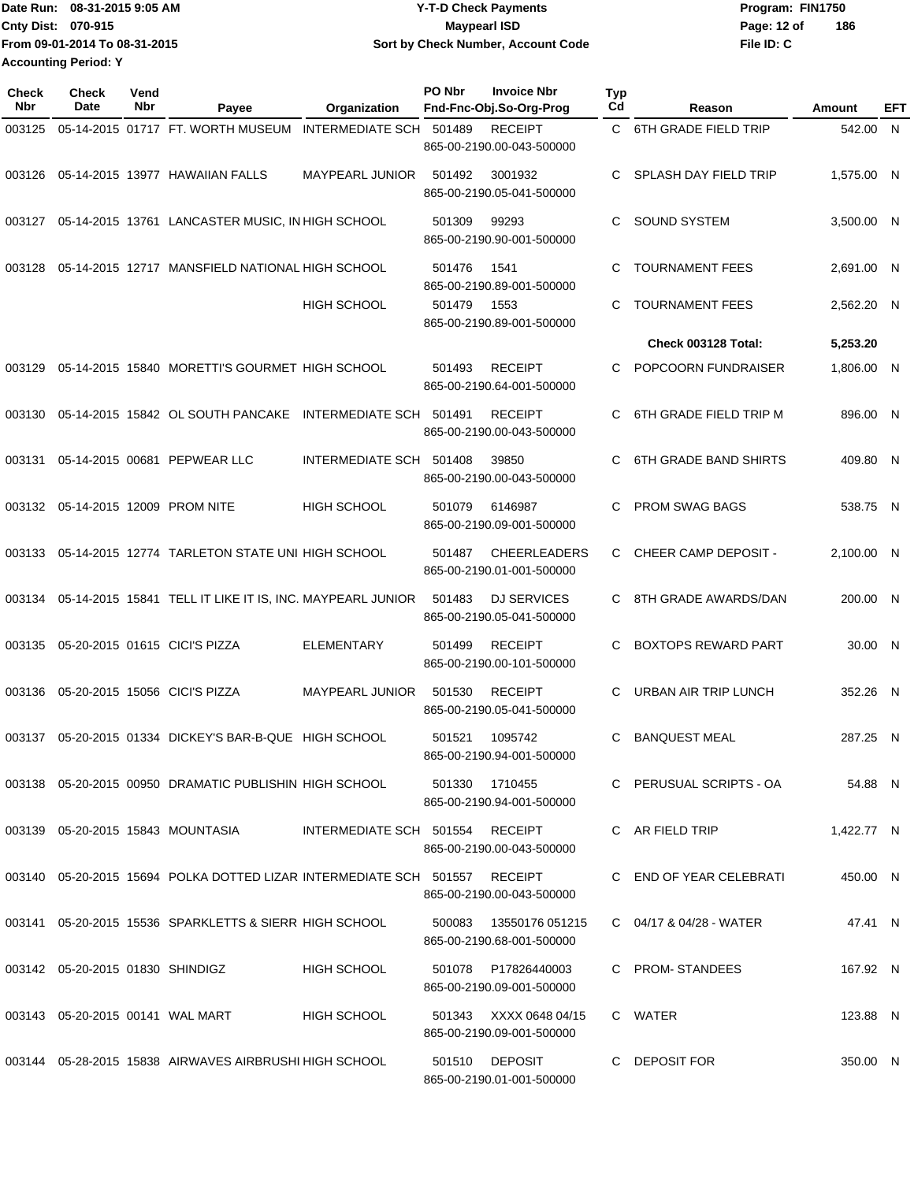Date Run: 08-31-2015 9:05 AM **Date Run:** 08-31-2015 9:05 AM **Cnty Dist:** 070-915 **Page: 12 of** Maypearl ISD **CONTEX 12 of** Maypearl ISD **From 09-01-2014 To 08-31-2015 08-31-2015 9:05 AM Y-T-D Check Payments 070-915 Maypearl ISD Sort by Check Number, Account Code Accounting Period: Y**

**File ID: C 186**

| <b>Check</b><br>Nbr | Check<br>Date                       | Vend<br>Nbr | Payee                                                                           | Organization                    | PO Nbr         | <b>Invoice Nbr</b><br>Fnd-Fnc-Obj.So-Org-Prog       | Typ<br>Cd | Reason                       | Amount     | EFT |
|---------------------|-------------------------------------|-------------|---------------------------------------------------------------------------------|---------------------------------|----------------|-----------------------------------------------------|-----------|------------------------------|------------|-----|
| 003125              |                                     |             | 05-14-2015 01717 FT. WORTH MUSEUM INTERMEDIATE SCH                              |                                 | 501489         | <b>RECEIPT</b><br>865-00-2190.00-043-500000         |           | C 6TH GRADE FIELD TRIP       | 542.00 N   |     |
| 003126              |                                     |             | 05-14-2015 13977 HAWAIIAN FALLS                                                 | <b>MAYPEARL JUNIOR</b>          | 501492         | 3001932<br>865-00-2190.05-041-500000                | C         | SPLASH DAY FIELD TRIP        | 1,575.00 N |     |
|                     |                                     |             | 003127 05-14-2015 13761 LANCASTER MUSIC, IN HIGH SCHOOL                         |                                 | 501309         | 99293<br>865-00-2190.90-001-500000                  | C         | <b>SOUND SYSTEM</b>          | 3,500.00 N |     |
| 003128              |                                     |             | 05-14-2015 12717 MANSFIELD NATIONAL HIGH SCHOOL                                 |                                 | 501476         | 1541<br>865-00-2190.89-001-500000                   | C         | <b>TOURNAMENT FEES</b>       | 2,691.00 N |     |
|                     |                                     |             |                                                                                 | <b>HIGH SCHOOL</b>              | 501479         | 1553<br>865-00-2190.89-001-500000                   | C         | <b>TOURNAMENT FEES</b>       | 2,562.20 N |     |
|                     |                                     |             |                                                                                 |                                 |                |                                                     |           | Check 003128 Total:          | 5,253.20   |     |
| 003129              |                                     |             | 05-14-2015 15840 MORETTI'S GOURMET HIGH SCHOOL                                  |                                 | 501493         | <b>RECEIPT</b><br>865-00-2190.64-001-500000         | C         | POPCOORN FUNDRAISER          | 1,806.00 N |     |
| 003130              |                                     |             | 05-14-2015 15842 OL SOUTH PANCAKE INTERMEDIATE SCH 501491                       |                                 |                | <b>RECEIPT</b><br>865-00-2190.00-043-500000         | C         | 6TH GRADE FIELD TRIP M       | 896.00 N   |     |
| 003131              |                                     |             | 05-14-2015 00681 PEPWEAR LLC                                                    | INTERMEDIATE SCH 501408         |                | 39850<br>865-00-2190.00-043-500000                  | C         | <b>6TH GRADE BAND SHIRTS</b> | 409.80 N   |     |
|                     |                                     |             | 003132 05-14-2015 12009 PROM NITE                                               | <b>HIGH SCHOOL</b>              | 501079         | 6146987<br>865-00-2190.09-001-500000                | C         | <b>PROM SWAG BAGS</b>        | 538.75 N   |     |
| 003133              |                                     |             | 05-14-2015 12774 TARLETON STATE UNI HIGH SCHOOL                                 |                                 | 501487         | <b>CHEERLEADERS</b><br>865-00-2190.01-001-500000    | C.        | CHEER CAMP DEPOSIT -         | 2,100.00 N |     |
| 003134              |                                     |             | 05-14-2015 15841 TELL IT LIKE IT IS, INC. MAYPEARL JUNIOR                       |                                 | 501483         | <b>DJ SERVICES</b><br>865-00-2190.05-041-500000     | C         | 8TH GRADE AWARDS/DAN         | 200.00 N   |     |
| 003135              |                                     |             | 05-20-2015 01615 CICI'S PIZZA                                                   | ELEMENTARY                      | 501499         | <b>RECEIPT</b><br>865-00-2190.00-101-500000         | C         | <b>BOXTOPS REWARD PART</b>   | 30.00 N    |     |
| 003136              |                                     |             | 05-20-2015 15056 CICI'S PIZZA                                                   | <b>MAYPEARL JUNIOR</b>          | 501530         | <b>RECEIPT</b><br>865-00-2190.05-041-500000         | C         | <b>URBAN AIR TRIP LUNCH</b>  | 352.26 N   |     |
|                     |                                     |             | 003137 05-20-2015 01334 DICKEY'S BAR-B-QUE HIGH SCHOOL                          |                                 | 501521         | 1095742<br>865-00-2190.94-001-500000                | C         | <b>BANQUEST MEAL</b>         | 287.25 N   |     |
|                     |                                     |             | 003138 05-20-2015 00950 DRAMATIC PUBLISHIN HIGH SCHOOL                          |                                 | 501330 1710455 | 865-00-2190.94-001-500000                           |           | C PERUSUAL SCRIPTS - OA      | 54.88 N    |     |
|                     |                                     |             | 003139  05-20-2015  15843  MOUNTASIA                                            | INTERMEDIATE SCH 501554 RECEIPT |                | 865-00-2190.00-043-500000                           |           | C AR FIELD TRIP              | 1,422.77 N |     |
|                     |                                     |             | 003140  05-20-2015  15694  POLKA DOTTED LIZAR INTERMEDIATE SCH  501557  RECEIPT |                                 |                | 865-00-2190.00-043-500000                           |           | C END OF YEAR CELEBRATI      | 450.00 N   |     |
|                     |                                     |             | 003141  05-20-2015  15536  SPARKLETTS & SIERR HIGH SCHOOL                       |                                 | 500083         | 13550176 051215<br>865-00-2190.68-001-500000        |           | C 04/17 & 04/28 - WATER      | 47.41 N    |     |
|                     | 003142 05-20-2015 01830 SHINDIGZ    |             |                                                                                 | <b>HIGH SCHOOL</b>              |                | 501078 P17826440003<br>865-00-2190.09-001-500000    |           | C PROM-STANDEES              | 167.92 N   |     |
|                     | 003143  05-20-2015  00141  WAL MART |             |                                                                                 | <b>HIGH SCHOOL</b>              |                | 501343 XXXX 0648 04/15<br>865-00-2190.09-001-500000 |           | C WATER                      | 123.88 N   |     |
|                     |                                     |             | 003144 05-28-2015 15838 AIRWAVES AIRBRUSHI HIGH SCHOOL                          |                                 |                | 501510 DEPOSIT<br>865-00-2190.01-001-500000         |           | C DEPOSIT FOR                | 350.00 N   |     |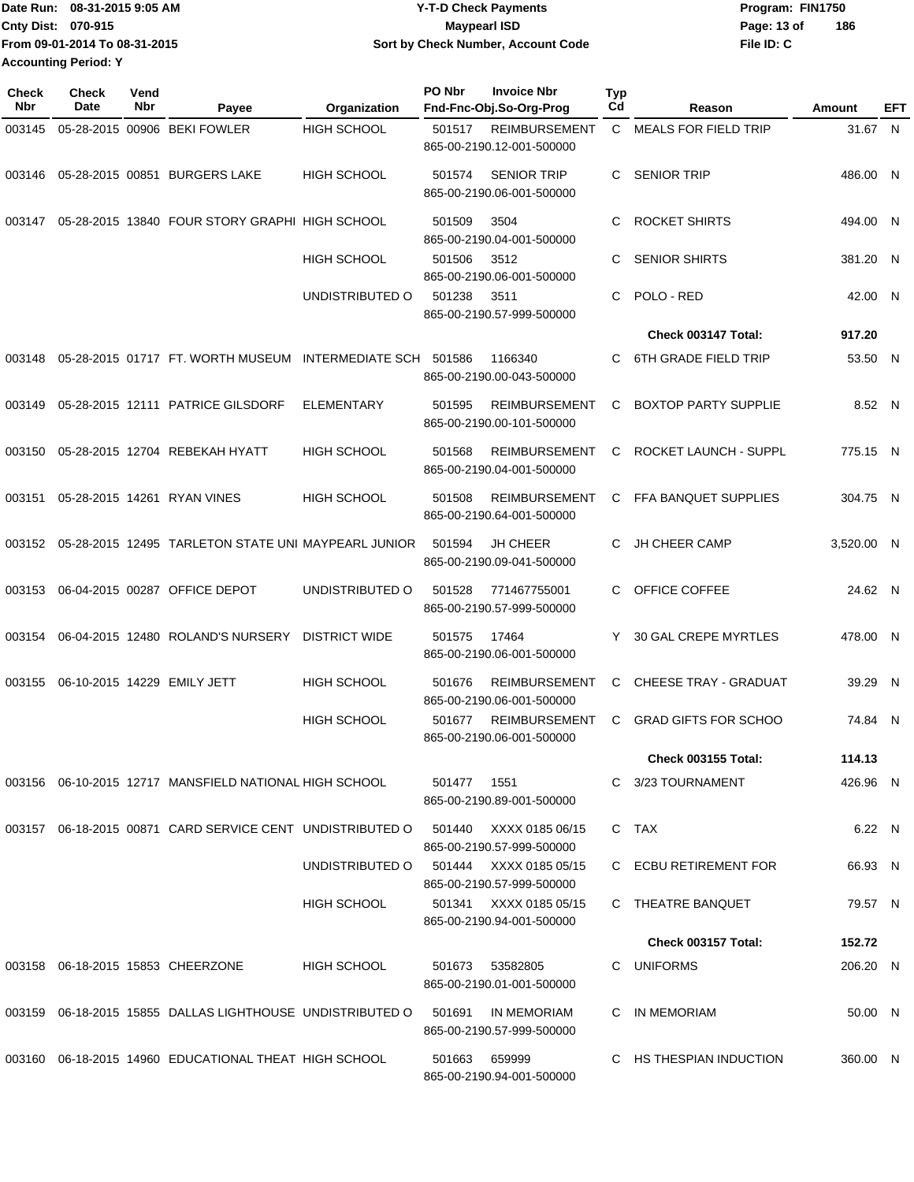|                             | Date Run: 08-31-2015 9:05 AM  | <b>Y-T-D Check Payments</b>        | Program: FIN1750 |     |
|-----------------------------|-------------------------------|------------------------------------|------------------|-----|
| <b>Cnty Dist: 070-915</b>   |                               | Maypearl ISD                       | Page: 13 of      | 186 |
|                             | From 09-01-2014 To 08-31-2015 | Sort by Check Number, Account Code | File ID: C       |     |
| <b>Accounting Period: Y</b> |                               |                                    |                  |     |

| Check<br>Nbr | Check<br>Date | Vend<br>Nbr | Payee                                                     | Organization         | PO Nbr | <b>Invoice Nbr</b><br>Fnd-Fnc-Obj.So-Org-Prog       | <b>Typ</b><br>Cd | Reason                       | Amount     | EFT |
|--------------|---------------|-------------|-----------------------------------------------------------|----------------------|--------|-----------------------------------------------------|------------------|------------------------------|------------|-----|
| 003145       |               |             | 05-28-2015 00906 BEKI FOWLER                              | HIGH SCHOOL          | 501517 | <b>REIMBURSEMENT</b><br>865-00-2190.12-001-500000   | C                | <b>MEALS FOR FIELD TRIP</b>  | 31.67 N    |     |
| 003146       |               |             | 05-28-2015 00851 BURGERS LAKE                             | <b>HIGH SCHOOL</b>   | 501574 | <b>SENIOR TRIP</b><br>865-00-2190.06-001-500000     | C.               | <b>SENIOR TRIP</b>           | 486.00 N   |     |
| 003147       |               |             | 05-28-2015 13840 FOUR STORY GRAPHI HIGH SCHOOL            |                      | 501509 | 3504<br>865-00-2190.04-001-500000                   | C                | <b>ROCKET SHIRTS</b>         | 494.00 N   |     |
|              |               |             |                                                           | HIGH SCHOOL          | 501506 | 3512<br>865-00-2190.06-001-500000                   | С                | <b>SENIOR SHIRTS</b>         | 381.20 N   |     |
|              |               |             |                                                           | UNDISTRIBUTED O      | 501238 | 3511<br>865-00-2190.57-999-500000                   | C.               | POLO - RED                   | 42.00 N    |     |
|              |               |             |                                                           |                      |        |                                                     |                  | Check 003147 Total:          | 917.20     |     |
| 003148       |               |             | 05-28-2015 01717 FT. WORTH MUSEUM INTERMEDIATE SCH        |                      | 501586 | 1166340<br>865-00-2190.00-043-500000                | C.               | <b>6TH GRADE FIELD TRIP</b>  | 53.50 N    |     |
| 003149       |               |             | 05-28-2015 12111 PATRICE GILSDORF                         | <b>ELEMENTARY</b>    | 501595 | <b>REIMBURSEMENT</b><br>865-00-2190.00-101-500000   | C                | <b>BOXTOP PARTY SUPPLIE</b>  | 8.52 N     |     |
| 003150       |               |             | 05-28-2015 12704 REBEKAH HYATT                            | <b>HIGH SCHOOL</b>   | 501568 | <b>REIMBURSEMENT</b><br>865-00-2190.04-001-500000   | C                | ROCKET LAUNCH - SUPPL        | 775.15 N   |     |
| 003151       |               |             | 05-28-2015 14261 RYAN VINES                               | <b>HIGH SCHOOL</b>   | 501508 | <b>REIMBURSEMENT</b><br>865-00-2190.64-001-500000   | C                | FFA BANQUET SUPPLIES         | 304.75 N   |     |
| 003152       |               |             | 05-28-2015 12495 TARLETON STATE UNI MAYPEARL JUNIOR       |                      | 501594 | <b>JH CHEER</b><br>865-00-2190.09-041-500000        | C.               | <b>JH CHEER CAMP</b>         | 3,520.00 N |     |
| 003153       |               |             | 06-04-2015 00287 OFFICE DEPOT                             | UNDISTRIBUTED O      | 501528 | 771467755001<br>865-00-2190.57-999-500000           | C                | OFFICE COFFEE                | 24.62 N    |     |
| 003154       |               |             | 06-04-2015 12480 ROLAND'S NURSERY                         | <b>DISTRICT WIDE</b> | 501575 | 17464<br>865-00-2190.06-001-500000                  | Y                | 30 GAL CREPE MYRTLES         | 478.00 N   |     |
| 003155       |               |             | 06-10-2015 14229 EMILY JETT                               | <b>HIGH SCHOOL</b>   | 501676 | <b>REIMBURSEMENT</b><br>865-00-2190.06-001-500000   | C                | <b>CHEESE TRAY - GRADUAT</b> | 39.29 N    |     |
|              |               |             |                                                           | HIGH SCHOOL          | 501677 | <b>REIMBURSEMENT</b><br>865-00-2190.06-001-500000   | C                | <b>GRAD GIFTS FOR SCHOO</b>  | 74.84 N    |     |
|              |               |             |                                                           |                      |        |                                                     |                  | <b>Check 003155 Total:</b>   | 114.13     |     |
|              |               |             | 003156 06-10-2015 12717 MANSFIELD NATIONAL HIGH SCHOOL    |                      | 501477 | 1551<br>865-00-2190.89-001-500000                   |                  | C 3/23 TOURNAMENT            | 426.96 N   |     |
|              |               |             | 003157 06-18-2015 00871 CARD SERVICE CENT UNDISTRIBUTED O |                      |        | 501440 XXXX 0185 06/15<br>865-00-2190.57-999-500000 |                  | C TAX                        | 6.22 N     |     |
|              |               |             |                                                           | UNDISTRIBUTED O      |        | 501444 XXXX 0185 05/15<br>865-00-2190.57-999-500000 |                  | C ECBU RETIREMENT FOR        | 66.93 N    |     |
|              |               |             |                                                           | HIGH SCHOOL          |        | 501341 XXXX 0185 05/15<br>865-00-2190.94-001-500000 |                  | C THEATRE BANQUET            | 79.57 N    |     |
|              |               |             |                                                           |                      |        |                                                     |                  | <b>Check 003157 Total:</b>   | 152.72     |     |
|              |               |             | 003158 06-18-2015 15853 CHEERZONE                         | HIGH SCHOOL          |        | 501673 53582805<br>865-00-2190.01-001-500000        |                  | C UNIFORMS                   | 206.20 N   |     |
|              |               |             | 003159 06-18-2015 15855 DALLAS LIGHTHOUSE UNDISTRIBUTED O |                      | 501691 | IN MEMORIAM<br>865-00-2190.57-999-500000            |                  | C IN MEMORIAM                | 50.00 N    |     |
|              |               |             | 003160 06-18-2015 14960 EDUCATIONAL THEAT HIGH SCHOOL     |                      | 501663 | 659999<br>865-00-2190.94-001-500000                 |                  | C HS THESPIAN INDUCTION      | 360.00 N   |     |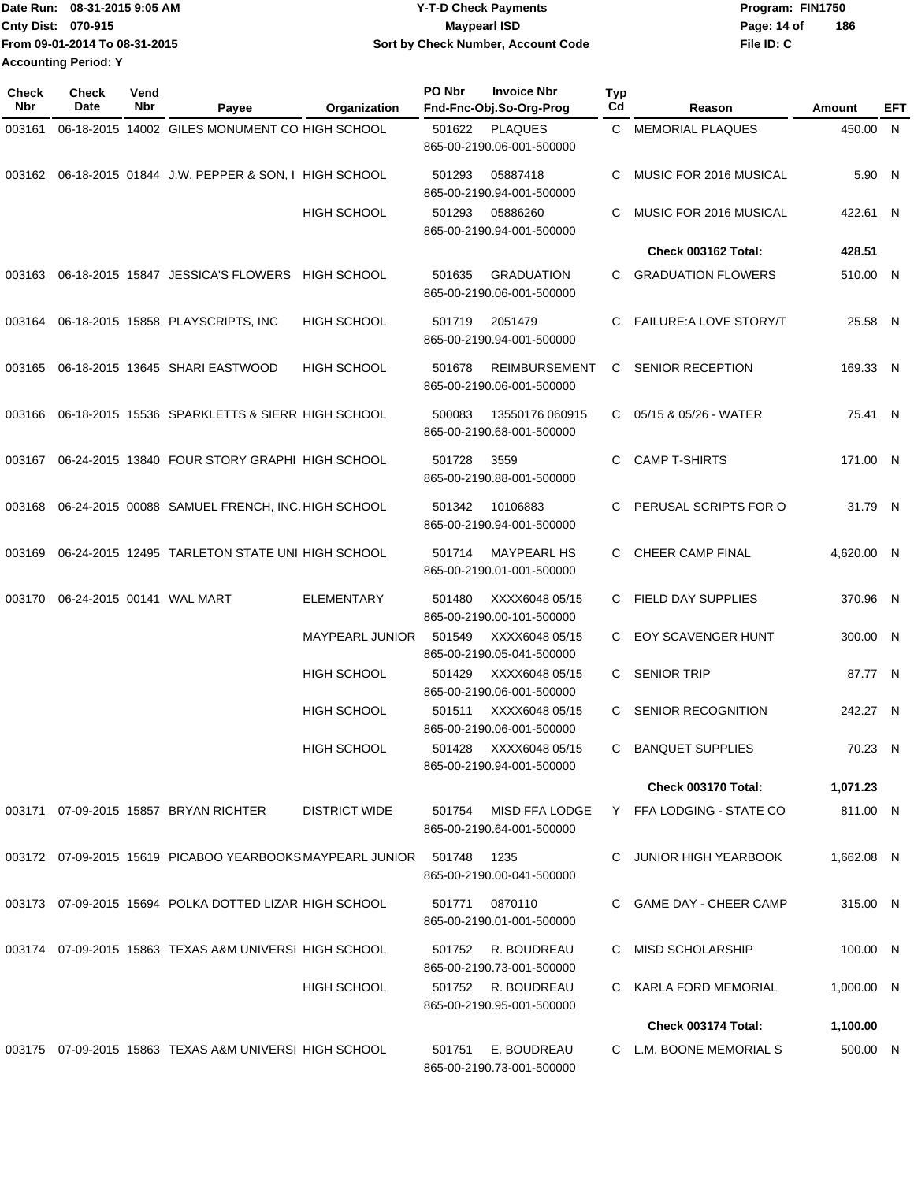| 1Date Run: 08-31-2015 9:05 AM | <b>Y-T-D Check Payments</b>        | Program: FIN1750   |
|-------------------------------|------------------------------------|--------------------|
| Cnty Dist: 070-915            | <b>Mavpearl ISD</b>                | 186<br>Page: 14 of |
| From 09-01-2014 To 08-31-2015 | Sort by Check Number, Account Code | File ID: C         |
| <b>Accounting Period: Y</b>   |                                    |                    |

| Check<br>Nbr | <b>Check</b><br>Date | Vend<br>Nbr | Payee                                                     | Organization         | PO Nbr | <b>Invoice Nbr</b><br>Fnd-Fnc-Obj.So-Org-Prog     | Typ<br>Cd | Reason                         | Amount       | EFT |
|--------------|----------------------|-------------|-----------------------------------------------------------|----------------------|--------|---------------------------------------------------|-----------|--------------------------------|--------------|-----|
| 003161       |                      |             | 06-18-2015 14002 GILES MONUMENT CO HIGH SCHOOL            |                      | 501622 | <b>PLAQUES</b><br>865-00-2190.06-001-500000       | C.        | <b>MEMORIAL PLAQUES</b>        | 450.00 N     |     |
|              |                      |             | 003162 06-18-2015 01844 J.W. PEPPER & SON, I HIGH SCHOOL  |                      | 501293 | 05887418<br>865-00-2190.94-001-500000             | C.        | MUSIC FOR 2016 MUSICAL         | 5.90 N       |     |
|              |                      |             |                                                           | <b>HIGH SCHOOL</b>   | 501293 | 05886260<br>865-00-2190.94-001-500000             | C.        | MUSIC FOR 2016 MUSICAL         | 422.61 N     |     |
|              |                      |             |                                                           |                      |        |                                                   |           | Check 003162 Total:            | 428.51       |     |
| 003163       |                      |             | 06-18-2015 15847 JESSICA'S FLOWERS                        | HIGH SCHOOL          | 501635 | <b>GRADUATION</b><br>865-00-2190.06-001-500000    | C.        | <b>GRADUATION FLOWERS</b>      | 510.00 N     |     |
| 003164       |                      |             | 06-18-2015 15858 PLAYSCRIPTS, INC                         | <b>HIGH SCHOOL</b>   | 501719 | 2051479<br>865-00-2190.94-001-500000              | C.        | <b>FAILURE: A LOVE STORY/T</b> | 25.58 N      |     |
| 003165       |                      |             | 06-18-2015 13645 SHARI EASTWOOD                           | <b>HIGH SCHOOL</b>   | 501678 | <b>REIMBURSEMENT</b><br>865-00-2190.06-001-500000 | C         | <b>SENIOR RECEPTION</b>        | 169.33 N     |     |
| 003166       |                      |             | 06-18-2015 15536 SPARKLETTS & SIERR HIGH SCHOOL           |                      | 500083 | 13550176 060915<br>865-00-2190.68-001-500000      | C.        | 05/15 & 05/26 - WATER          | 75.41 N      |     |
| 003167       |                      |             | 06-24-2015 13840 FOUR STORY GRAPHI HIGH SCHOOL            |                      | 501728 | 3559<br>865-00-2190.88-001-500000                 | C.        | <b>CAMP T-SHIRTS</b>           | 171.00 N     |     |
| 003168       |                      |             | 06-24-2015 00088 SAMUEL FRENCH, INC. HIGH SCHOOL          |                      | 501342 | 10106883<br>865-00-2190.94-001-500000             | C.        | PERUSAL SCRIPTS FOR O          | 31.79 N      |     |
| 003169       |                      |             | 06-24-2015 12495 TARLETON STATE UNI HIGH SCHOOL           |                      | 501714 | <b>MAYPEARL HS</b><br>865-00-2190.01-001-500000   | C.        | CHEER CAMP FINAL               | 4,620.00 N   |     |
| 003170       |                      |             | 06-24-2015 00141 WAL MART                                 | <b>ELEMENTARY</b>    | 501480 | XXXX6048 05/15<br>865-00-2190.00-101-500000       |           | C FIELD DAY SUPPLIES           | 370.96 N     |     |
|              |                      |             |                                                           | MAYPEARL JUNIOR      | 501549 | XXXX6048 05/15<br>865-00-2190.05-041-500000       | C.        | <b>EOY SCAVENGER HUNT</b>      | 300.00 N     |     |
|              |                      |             |                                                           | <b>HIGH SCHOOL</b>   | 501429 | XXXX6048 05/15<br>865-00-2190.06-001-500000       | C.        | <b>SENIOR TRIP</b>             | 87.77 N      |     |
|              |                      |             |                                                           | <b>HIGH SCHOOL</b>   | 501511 | XXXX6048 05/15<br>865-00-2190.06-001-500000       | C         | SENIOR RECOGNITION             | 242.27 N     |     |
|              |                      |             |                                                           | <b>HIGH SCHOOL</b>   | 501428 | XXXX6048 05/15<br>865-00-2190.94-001-500000       | C         | <b>BANQUET SUPPLIES</b>        | 70.23 N      |     |
|              |                      |             |                                                           |                      |        |                                                   |           | <b>Check 003170 Total:</b>     | 1,071.23     |     |
|              |                      |             | 003171 07-09-2015 15857 BRYAN RICHTER                     | <b>DISTRICT WIDE</b> | 501754 | MISD FFA LODGE<br>865-00-2190.64-001-500000       |           | Y FFA LODGING - STATE CO       | 811.00 N     |     |
|              |                      |             | 003172 07-09-2015 15619 PICABOO YEARBOOKS MAYPEARL JUNIOR |                      | 501748 | 1235<br>865-00-2190.00-041-500000                 | C.        | JUNIOR HIGH YEARBOOK           | 1,662.08 N   |     |
|              |                      |             | 003173 07-09-2015 15694 POLKA DOTTED LIZAR HIGH SCHOOL    |                      | 501771 | 0870110<br>865-00-2190.01-001-500000              |           | C GAME DAY - CHEER CAMP        | 315.00 N     |     |
|              |                      |             | 003174 07-09-2015 15863 TEXAS A&M UNIVERSI HIGH SCHOOL    |                      | 501752 | R. BOUDREAU<br>865-00-2190.73-001-500000          |           | <b>MISD SCHOLARSHIP</b>        | 100.00 N     |     |
|              |                      |             |                                                           | <b>HIGH SCHOOL</b>   |        | 501752 R. BOUDREAU<br>865-00-2190.95-001-500000   | C.        | KARLA FORD MEMORIAL            | $1,000.00$ N |     |
|              |                      |             |                                                           |                      |        |                                                   |           | <b>Check 003174 Total:</b>     | 1,100.00     |     |
|              |                      |             | 003175 07-09-2015 15863 TEXAS A&M UNIVERSI HIGH SCHOOL    |                      | 501751 | E. BOUDREAU<br>865-00-2190.73-001-500000          |           | C L.M. BOONE MEMORIAL S        | 500.00 N     |     |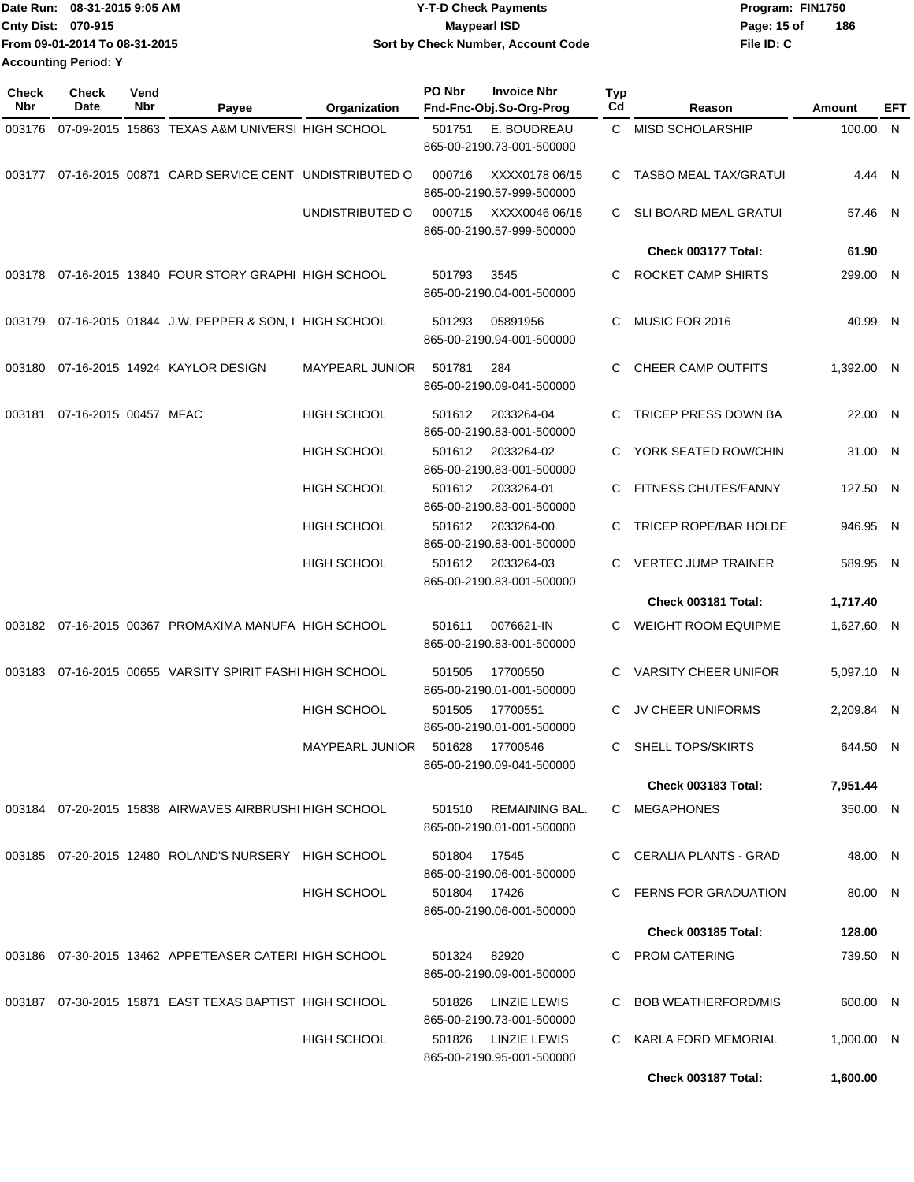| Date Run: 08-31-2015 9:05 AM  | <b>Y-T-D Check Payments</b>        | Program: FIN1750   |
|-------------------------------|------------------------------------|--------------------|
| <b>Cnty Dist: 070-915</b>     | <b>Mavpearl ISD</b>                | 186<br>Page: 15 of |
| From 09-01-2014 To 08-31-2015 | Sort by Check Number, Account Code | File ID: C         |
| <b>Accounting Period: Y</b>   |                                    |                    |

**PO Nbr Invoice Nbr**

| <b>Check</b><br><b>Nbr</b> | Check<br>Date         | Vend<br>Nbr | Payee                                                  | Organization           | PO Nbr       | <b>Invoice Nbr</b><br>Fnd-Fnc-Obj.So-Org-Prog      | Typ<br>C <sub>d</sub> | Reason                       | <b>Amount</b> | EFT |
|----------------------------|-----------------------|-------------|--------------------------------------------------------|------------------------|--------------|----------------------------------------------------|-----------------------|------------------------------|---------------|-----|
| 003176                     |                       |             | 07-09-2015 15863 TEXAS A&M UNIVERSI HIGH SCHOOL        |                        | 501751       | E. BOUDREAU<br>865-00-2190.73-001-500000           | C.                    | <b>MISD SCHOLARSHIP</b>      | 100.00 N      |     |
| 003177                     |                       |             | 07-16-2015 00871 CARD SERVICE CENT UNDISTRIBUTED O     |                        | 000716       | XXXX0178 06/15<br>865-00-2190.57-999-500000        | C.                    | TASBO MEAL TAX/GRATUI        | 4.44 N        |     |
|                            |                       |             |                                                        | UNDISTRIBUTED O        | 000715       | XXXX0046 06/15<br>865-00-2190.57-999-500000        | C.                    | <b>SLI BOARD MEAL GRATUI</b> | 57.46 N       |     |
|                            |                       |             |                                                        |                        |              |                                                    |                       | Check 003177 Total:          | 61.90         |     |
|                            |                       |             | 003178 07-16-2015 13840 FOUR STORY GRAPHI HIGH SCHOOL  |                        | 501793       | 3545<br>865-00-2190.04-001-500000                  | C                     | ROCKET CAMP SHIRTS           | 299.00 N      |     |
| 003179                     |                       |             | 07-16-2015 01844 J.W. PEPPER & SON, I HIGH SCHOOL      |                        | 501293       | 05891956<br>865-00-2190.94-001-500000              | C                     | MUSIC FOR 2016               | 40.99 N       |     |
|                            |                       |             | 003180 07-16-2015 14924 KAYLOR DESIGN                  | MAYPEARL JUNIOR        | 501781       | 284<br>865-00-2190.09-041-500000                   | C                     | CHEER CAMP OUTFITS           | 1,392.00 N    |     |
| 003181                     | 07-16-2015 00457 MFAC |             |                                                        | <b>HIGH SCHOOL</b>     | 501612       | 2033264-04<br>865-00-2190.83-001-500000            | C                     | TRICEP PRESS DOWN BA         | 22.00 N       |     |
|                            |                       |             |                                                        | <b>HIGH SCHOOL</b>     | 501612       | 2033264-02<br>865-00-2190.83-001-500000            | C                     | YORK SEATED ROW/CHIN         | 31.00 N       |     |
|                            |                       |             |                                                        | <b>HIGH SCHOOL</b>     | 501612       | 2033264-01<br>865-00-2190.83-001-500000            | C                     | FITNESS CHUTES/FANNY         | 127.50 N      |     |
|                            |                       |             |                                                        | <b>HIGH SCHOOL</b>     | 501612       | 2033264-00<br>865-00-2190.83-001-500000            | C.                    | <b>TRICEP ROPE/BAR HOLDE</b> | 946.95 N      |     |
|                            |                       |             |                                                        | <b>HIGH SCHOOL</b>     | 501612       | 2033264-03<br>865-00-2190.83-001-500000            | C.                    | <b>VERTEC JUMP TRAINER</b>   | 589.95 N      |     |
|                            |                       |             |                                                        |                        |              |                                                    |                       | Check 003181 Total:          | 1,717.40      |     |
|                            |                       |             | 003182 07-16-2015 00367 PROMAXIMA MANUFA HIGH SCHOOL   |                        | 501611       | 0076621-IN<br>865-00-2190.83-001-500000            | C                     | <b>WEIGHT ROOM EQUIPME</b>   | 1,627.60 N    |     |
| 003183                     |                       |             | 07-16-2015 00655 VARSITY SPIRIT FASHI HIGH SCHOOL      |                        | 501505       | 17700550<br>865-00-2190.01-001-500000              | C                     | <b>VARSITY CHEER UNIFOR</b>  | 5,097.10 N    |     |
|                            |                       |             |                                                        | <b>HIGH SCHOOL</b>     | 501505       | 17700551<br>865-00-2190.01-001-500000              | C.                    | JV CHEER UNIFORMS            | 2,209.84 N    |     |
|                            |                       |             |                                                        | <b>MAYPEARL JUNIOR</b> | 501628       | 17700546<br>865-00-2190.09-041-500000              | C.                    | <b>SHELL TOPS/SKIRTS</b>     | 644.50 N      |     |
|                            |                       |             |                                                        |                        |              |                                                    |                       | <b>Check 003183 Total:</b>   | 7,951.44      |     |
|                            |                       |             | 003184 07-20-2015 15838 AIRWAVES AIRBRUSHI HIGH SCHOOL |                        | 501510       | <b>REMAINING BAL.</b><br>865-00-2190.01-001-500000 |                       | C MEGAPHONES                 | 350.00 N      |     |
|                            |                       |             | 003185  07-20-2015  12480  ROLAND'S NURSERY            | <b>HIGH SCHOOL</b>     | 501804       | 17545<br>865-00-2190.06-001-500000                 |                       | C CERALIA PLANTS - GRAD      | 48.00 N       |     |
|                            |                       |             |                                                        | <b>HIGH SCHOOL</b>     | 501804 17426 | 865-00-2190.06-001-500000                          |                       | <b>FERNS FOR GRADUATION</b>  | 80.00 N       |     |
|                            |                       |             |                                                        |                        |              |                                                    |                       | <b>Check 003185 Total:</b>   | 128.00        |     |
|                            |                       |             | 003186 07-30-2015 13462 APPE'TEASER CATERI HIGH SCHOOL |                        | 501324       | 82920<br>865-00-2190.09-001-500000                 |                       | C PROM CATERING              | 739.50 N      |     |
|                            |                       |             | 003187 07-30-2015 15871 EAST TEXAS BAPTIST HIGH SCHOOL |                        | 501826       | LINZIE LEWIS<br>865-00-2190.73-001-500000          | C                     | <b>BOB WEATHERFORD/MIS</b>   | 600.00 N      |     |
|                            |                       |             |                                                        | <b>HIGH SCHOOL</b>     | 501826       | LINZIE LEWIS<br>865-00-2190.95-001-500000          | C.                    | <b>KARLA FORD MEMORIAL</b>   | $1,000.00$ N  |     |
|                            |                       |             |                                                        |                        |              |                                                    |                       | Check 003187 Total:          | 1,600.00      |     |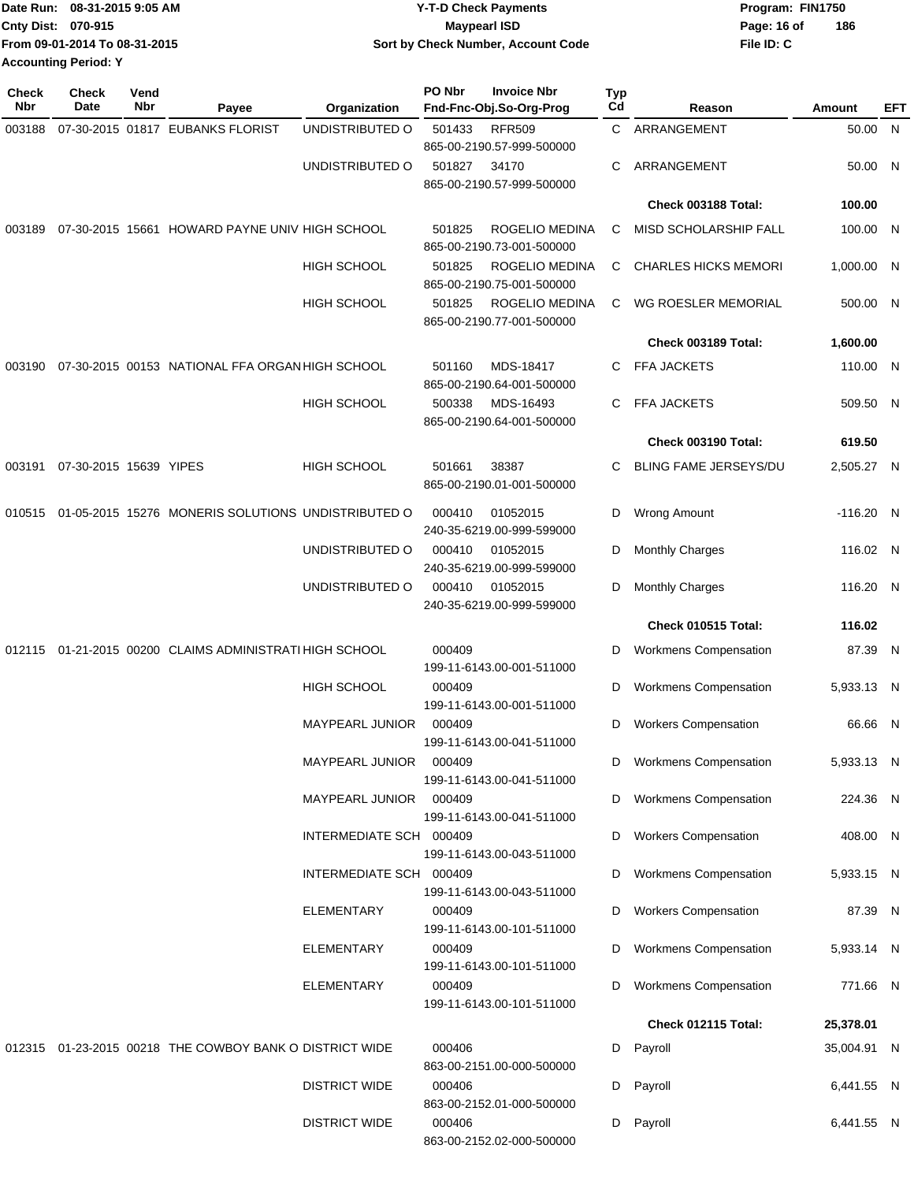| Date Run: 08-31-2015 9:05 AM  | <b>Y-T-D Check Payments</b>        | Program: FIN1750   |
|-------------------------------|------------------------------------|--------------------|
| <b>Cnty Dist: 070-915</b>     | <b>Maypearl ISD</b>                | 186<br>Page: 16 of |
| From 09-01-2014 To 08-31-2015 | Sort by Check Number, Account Code | File ID: C         |
| <b>Accounting Period: Y</b>   |                                    |                    |

| <b>Check</b> | <b>Check</b>           | Vend |                                                         |                         | <b>PO Nbr</b> | <b>Invoice Nbr</b>                          | <b>Typ</b> |                              |             |     |
|--------------|------------------------|------|---------------------------------------------------------|-------------------------|---------------|---------------------------------------------|------------|------------------------------|-------------|-----|
| Nbr          | Date                   | Nbr  | Payee                                                   | Organization            |               | Fnd-Fnc-Obj.So-Org-Prog                     | Cd         | Reason                       | Amount      | EFT |
| 003188       |                        |      | 07-30-2015 01817 EUBANKS FLORIST                        | UNDISTRIBUTED O         | 501433        | <b>RFR509</b><br>865-00-2190.57-999-500000  | C          | ARRANGEMENT                  | 50.00 N     |     |
|              |                        |      |                                                         | UNDISTRIBUTED O         | 501827        | 34170<br>865-00-2190.57-999-500000          | C          | ARRANGEMENT                  | 50.00 N     |     |
|              |                        |      |                                                         |                         |               |                                             |            | Check 003188 Total:          | 100.00      |     |
| 003189       |                        |      | 07-30-2015 15661 HOWARD PAYNE UNIV HIGH SCHOOL          |                         | 501825        | ROGELIO MEDINA<br>865-00-2190.73-001-500000 | С          | MISD SCHOLARSHIP FALL        | 100.00 N    |     |
|              |                        |      |                                                         | <b>HIGH SCHOOL</b>      | 501825        | ROGELIO MEDINA<br>865-00-2190.75-001-500000 | С          | <b>CHARLES HICKS MEMORI</b>  | 1,000.00    | N   |
|              |                        |      |                                                         | <b>HIGH SCHOOL</b>      | 501825        | ROGELIO MEDINA<br>865-00-2190.77-001-500000 | C          | WG ROESLER MEMORIAL          | 500.00 N    |     |
|              |                        |      |                                                         |                         |               |                                             |            | Check 003189 Total:          | 1,600.00    |     |
| 003190       |                        |      | 07-30-2015 00153 NATIONAL FFA ORGAN HIGH SCHOOL         |                         | 501160        | MDS-18417<br>865-00-2190.64-001-500000      | C          | <b>FFA JACKETS</b>           | 110.00 N    |     |
|              |                        |      |                                                         | <b>HIGH SCHOOL</b>      | 500338        | MDS-16493<br>865-00-2190.64-001-500000      | C          | FFA JACKETS                  | 509.50 N    |     |
|              |                        |      |                                                         |                         |               |                                             |            | Check 003190 Total:          | 619.50      |     |
| 003191       | 07-30-2015 15639 YIPES |      |                                                         | <b>HIGH SCHOOL</b>      | 501661        | 38387<br>865-00-2190.01-001-500000          | C          | BLING FAME JERSEYS/DU        | 2,505.27 N  |     |
| 010515       |                        |      | 01-05-2015 15276 MONERIS SOLUTIONS UNDISTRIBUTED O      |                         | 000410        | 01052015<br>240-35-6219.00-999-599000       | D          | <b>Wrong Amount</b>          | $-116.20$ N |     |
|              |                        |      |                                                         | UNDISTRIBUTED O         | 000410        | 01052015<br>240-35-6219.00-999-599000       | D          | <b>Monthly Charges</b>       | 116.02 N    |     |
|              |                        |      |                                                         | UNDISTRIBUTED O         | 000410        | 01052015<br>240-35-6219.00-999-599000       | D          | <b>Monthly Charges</b>       | 116.20 N    |     |
|              |                        |      |                                                         |                         |               |                                             |            | Check 010515 Total:          | 116.02      |     |
|              |                        |      | 012115 01-21-2015 00200 CLAIMS ADMINISTRATI HIGH SCHOOL |                         | 000409        | 199-11-6143.00-001-511000                   | D          | <b>Workmens Compensation</b> | 87.39 N     |     |
|              |                        |      |                                                         | <b>HIGH SCHOOL</b>      | 000409        | 199-11-6143.00-001-511000                   | D          | Workmens Compensation        | 5,933.13 N  |     |
|              |                        |      |                                                         | MAYPEARL JUNIOR         | 000409        | 199-11-6143.00-041-511000                   | D          | <b>Workers Compensation</b>  | 66.66 N     |     |
|              |                        |      |                                                         | MAYPEARL JUNIOR         | 000409        | 199-11-6143.00-041-511000                   |            | D Workmens Compensation      | 5,933.13 N  |     |
|              |                        |      |                                                         | <b>MAYPEARL JUNIOR</b>  | 000409        | 199-11-6143.00-041-511000                   | D          | <b>Workmens Compensation</b> | 224.36 N    |     |
|              |                        |      |                                                         | INTERMEDIATE SCH 000409 |               | 199-11-6143.00-043-511000                   | D          | <b>Workers Compensation</b>  | 408.00 N    |     |
|              |                        |      |                                                         | INTERMEDIATE SCH 000409 |               | 199-11-6143.00-043-511000                   | D          | <b>Workmens Compensation</b> | 5,933.15 N  |     |
|              |                        |      |                                                         | ELEMENTARY              | 000409        | 199-11-6143.00-101-511000                   | D          | <b>Workers Compensation</b>  | 87.39 N     |     |
|              |                        |      |                                                         | ELEMENTARY              | 000409        | 199-11-6143.00-101-511000                   | D          | <b>Workmens Compensation</b> | 5,933.14 N  |     |
|              |                        |      |                                                         | ELEMENTARY              | 000409        | 199-11-6143.00-101-511000                   | D          | <b>Workmens Compensation</b> | 771.66 N    |     |
|              |                        |      |                                                         |                         |               |                                             |            | Check 012115 Total:          | 25,378.01   |     |
|              |                        |      | 012315 01-23-2015 00218 THE COWBOY BANK O DISTRICT WIDE |                         | 000406        | 863-00-2151.00-000-500000                   | D          | Payroll                      | 35,004.91 N |     |
|              |                        |      |                                                         | <b>DISTRICT WIDE</b>    | 000406        | 863-00-2152.01-000-500000                   |            | D Payroll                    | 6,441.55 N  |     |
|              |                        |      |                                                         | <b>DISTRICT WIDE</b>    | 000406        | 863-00-2152.02-000-500000                   |            | D Payroll                    | 6,441.55 N  |     |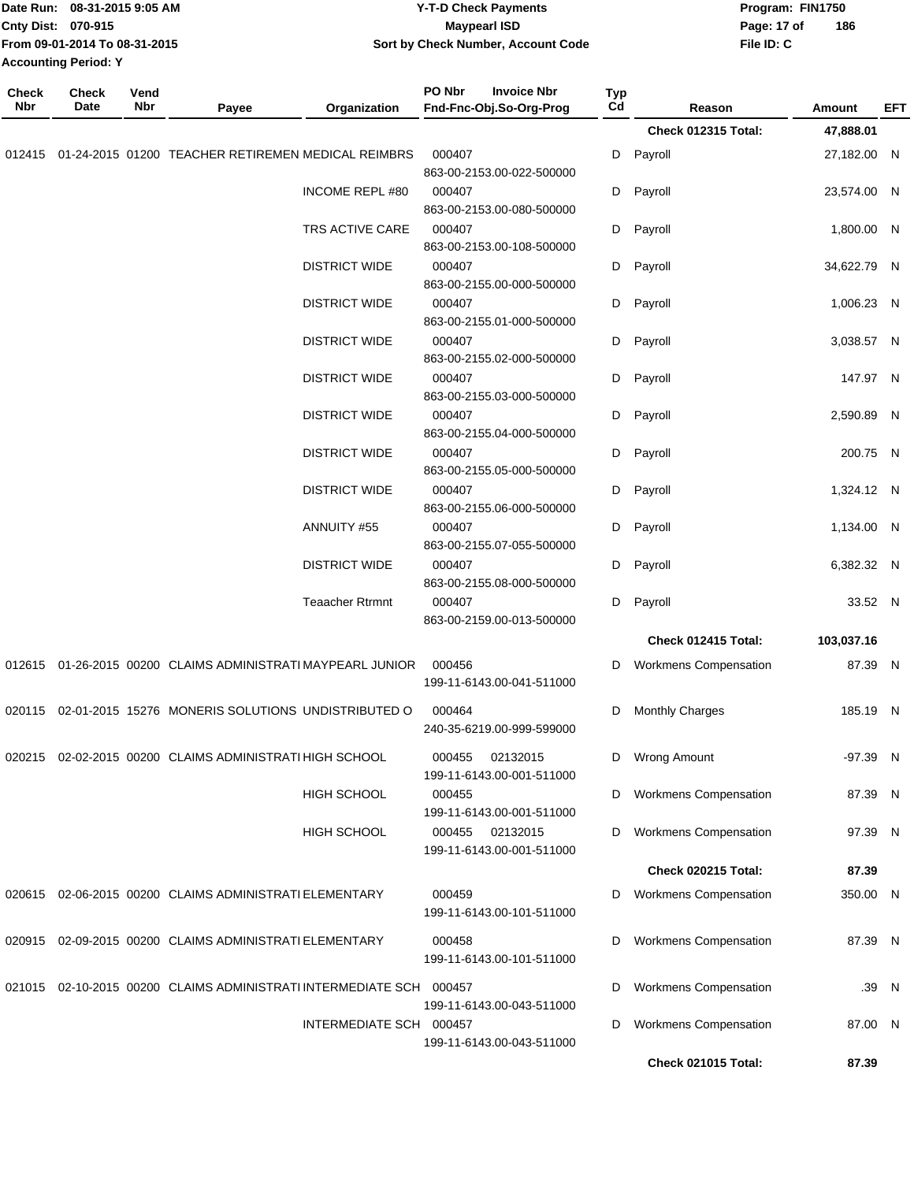| Date Run: 08-31-2015 9:05 AM<br>Cnty Dist: 070-915<br>From 09-01-2014 To 08-31-2015<br><b>Accounting Period: Y</b> |                      |             | <b>Y-T-D Check Payments</b><br><b>Maypearl ISD</b><br>Sort by Check Number, Account Code |                         | Page: 17 of<br>File ID: C                               | Program: FIN1750<br>186 |                              |  |             |       |
|--------------------------------------------------------------------------------------------------------------------|----------------------|-------------|------------------------------------------------------------------------------------------|-------------------------|---------------------------------------------------------|-------------------------|------------------------------|--|-------------|-------|
| <b>Check</b><br>Nbr                                                                                                | <b>Check</b><br>Date | Vend<br>Nbr | Payee                                                                                    | Organization            | PO Nbr<br><b>Invoice Nbr</b><br>Fnd-Fnc-Obj.So-Org-Prog | Typ<br>Cd               | Reason                       |  | Amount      | EFT   |
|                                                                                                                    |                      |             |                                                                                          |                         |                                                         |                         | Check 012315 Total:          |  | 47,888.01   |       |
| 012415                                                                                                             |                      |             | 01-24-2015 01200 TEACHER RETIREMEN MEDICAL REIMBRS                                       |                         | 000407<br>863-00-2153.00-022-500000                     | D                       | Payroll                      |  | 27,182.00 N |       |
|                                                                                                                    |                      |             |                                                                                          | <b>INCOME REPL #80</b>  | 000407<br>863-00-2153.00-080-500000                     | D                       | Payroll                      |  | 23,574.00 N |       |
|                                                                                                                    |                      |             |                                                                                          | TRS ACTIVE CARE         | 000407<br>863-00-2153.00-108-500000                     | D                       | Payroll                      |  | 1,800.00 N  |       |
|                                                                                                                    |                      |             |                                                                                          | <b>DISTRICT WIDE</b>    | 000407<br>863-00-2155.00-000-500000                     | D                       | Payroll                      |  | 34,622.79 N |       |
|                                                                                                                    |                      |             |                                                                                          | <b>DISTRICT WIDE</b>    | 000407<br>863-00-2155.01-000-500000                     | D                       | Payroll                      |  | 1,006.23 N  |       |
|                                                                                                                    |                      |             |                                                                                          | <b>DISTRICT WIDE</b>    | 000407<br>863-00-2155.02-000-500000                     | D                       | Payroll                      |  | 3,038.57 N  |       |
|                                                                                                                    |                      |             |                                                                                          | <b>DISTRICT WIDE</b>    | 000407<br>863-00-2155.03-000-500000                     | D                       | Payroll                      |  | 147.97 N    |       |
|                                                                                                                    |                      |             |                                                                                          | <b>DISTRICT WIDE</b>    | 000407<br>863-00-2155.04-000-500000                     | D                       | Payroll                      |  | 2,590.89 N  |       |
|                                                                                                                    |                      |             |                                                                                          | <b>DISTRICT WIDE</b>    | 000407<br>863-00-2155.05-000-500000                     | D                       | Payroll                      |  | 200.75 N    |       |
|                                                                                                                    |                      |             |                                                                                          | <b>DISTRICT WIDE</b>    | 000407<br>863-00-2155.06-000-500000                     | D                       | Payroll                      |  | 1,324.12 N  |       |
|                                                                                                                    |                      |             |                                                                                          | ANNUITY #55             | 000407<br>863-00-2155.07-055-500000                     | D                       | Payroll                      |  | 1,134.00 N  |       |
|                                                                                                                    |                      |             |                                                                                          | <b>DISTRICT WIDE</b>    | 000407<br>863-00-2155.08-000-500000                     | D                       | Payroll                      |  | 6,382.32 N  |       |
|                                                                                                                    |                      |             |                                                                                          | <b>Teaacher Rtrmnt</b>  | 000407<br>863-00-2159.00-013-500000                     | D                       | Payroll                      |  | 33.52 N     |       |
|                                                                                                                    |                      |             |                                                                                          |                         |                                                         |                         | Check 012415 Total:          |  | 103,037.16  |       |
|                                                                                                                    |                      |             | 012615 01-26-2015 00200 CLAIMS ADMINISTRATI MAYPEARL JUNIOR                              |                         | 000456<br>199-11-6143.00-041-511000                     | D                       | <b>Workmens Compensation</b> |  | 87.39 N     |       |
|                                                                                                                    |                      |             | 020115 02-01-2015 15276 MONERIS SOLUTIONS UNDISTRIBUTED O                                |                         | 000464<br>240-35-6219.00-999-599000                     | D                       | <b>Monthly Charges</b>       |  | 185.19 N    |       |
|                                                                                                                    |                      |             | 020215 02-02-2015 00200 CLAIMS ADMINISTRATI HIGH SCHOOL                                  |                         | 02132015<br>000455<br>199-11-6143.00-001-511000         | D                       | Wrong Amount                 |  | -97.39 N    |       |
|                                                                                                                    |                      |             |                                                                                          | <b>HIGH SCHOOL</b>      | 000455<br>199-11-6143.00-001-511000                     | D                       | Workmens Compensation        |  | 87.39 N     |       |
|                                                                                                                    |                      |             |                                                                                          | <b>HIGH SCHOOL</b>      | 000455<br>02132015<br>199-11-6143.00-001-511000         | D                       | Workmens Compensation        |  | 97.39 N     |       |
|                                                                                                                    |                      |             |                                                                                          |                         |                                                         |                         | <b>Check 020215 Total:</b>   |  | 87.39       |       |
|                                                                                                                    |                      |             | 020615 02-06-2015 00200 CLAIMS ADMINISTRATI ELEMENTARY                                   |                         | 000459<br>199-11-6143.00-101-511000                     | D                       | <b>Workmens Compensation</b> |  | 350.00 N    |       |
|                                                                                                                    |                      |             | 020915 02-09-2015 00200 CLAIMS ADMINISTRATI ELEMENTARY                                   |                         | 000458<br>199-11-6143.00-101-511000                     | D                       | Workmens Compensation        |  | 87.39 N     |       |
|                                                                                                                    |                      |             | 021015 02-10-2015 00200 CLAIMS ADMINISTRATI INTERMEDIATE SCH 000457                      |                         | 199-11-6143.00-043-511000                               | D                       | <b>Workmens Compensation</b> |  |             | .39 N |
|                                                                                                                    |                      |             |                                                                                          | INTERMEDIATE SCH 000457 | 199-11-6143.00-043-511000                               | D                       | Workmens Compensation        |  | 87.00 N     |       |
|                                                                                                                    |                      |             |                                                                                          |                         |                                                         |                         | <b>Check 021015 Total:</b>   |  | 87.39       |       |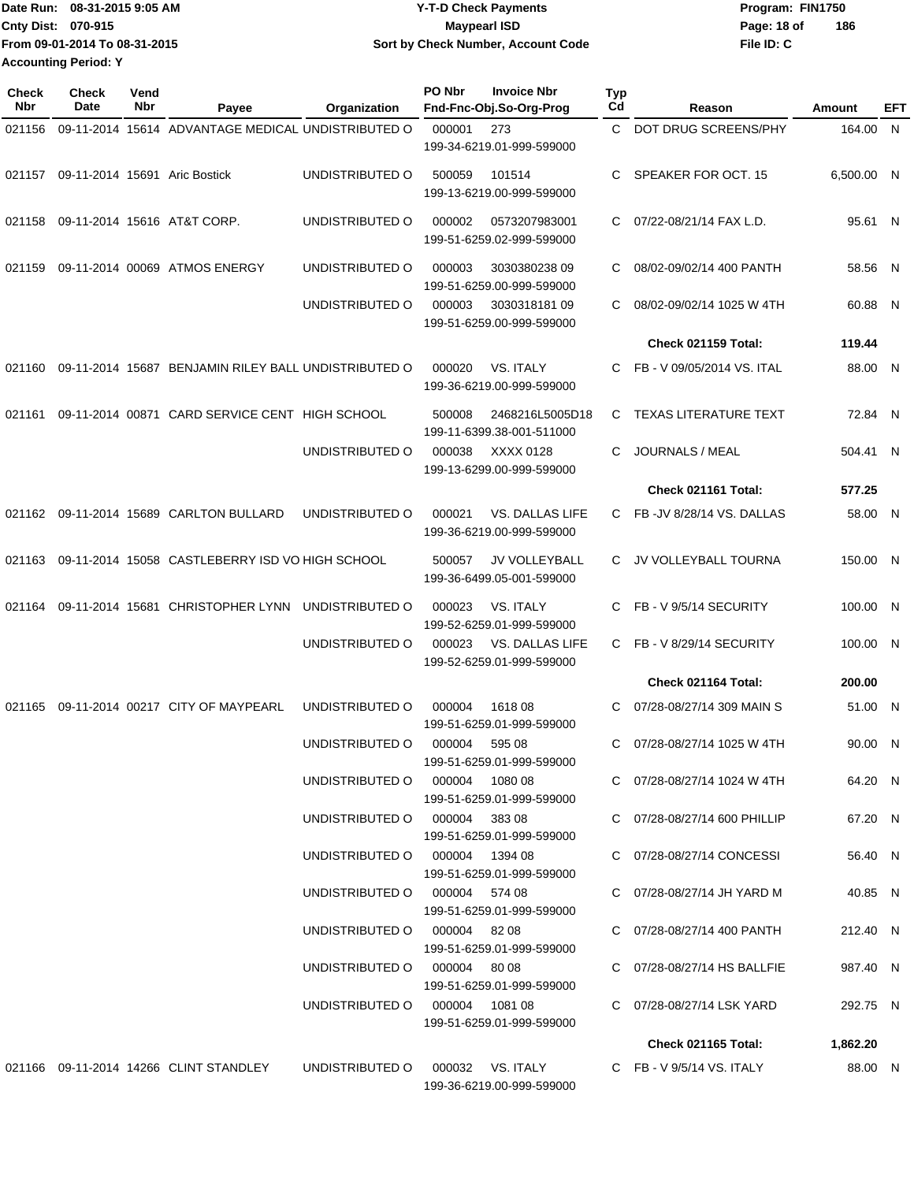|                             | Date Run: 08-31-2015 9:05 AM  | <b>Y-T-D Check Payments</b>        | Program: FIN1750   |
|-----------------------------|-------------------------------|------------------------------------|--------------------|
| Cnty Dist: 070-915          |                               | Maypearl ISD                       | 186<br>Page: 18 of |
|                             | From 09-01-2014 To 08-31-2015 | Sort by Check Number, Account Code | File ID: C         |
| <b>Accounting Period: Y</b> |                               |                                    |                    |

| Check<br><b>Nbr</b> | <b>Check</b><br>Date | Vend<br>Nbr | Payee                                                | Organization                                     | PO Nbr       | <b>Invoice Nbr</b><br>Fnd-Fnc-Obj.So-Org-Prog       | Typ<br>Cd | Reason                                                   | Amount              | EFT |
|---------------------|----------------------|-------------|------------------------------------------------------|--------------------------------------------------|--------------|-----------------------------------------------------|-----------|----------------------------------------------------------|---------------------|-----|
| 021156              |                      |             | 09-11-2014 15614 ADVANTAGE MEDICAL UNDISTRIBUTED O   |                                                  | 000001       | 273                                                 | C.        | DOT DRUG SCREENS/PHY                                     | 164.00 N            |     |
|                     |                      |             |                                                      |                                                  |              | 199-34-6219.01-999-599000                           |           |                                                          |                     |     |
| 021157              |                      |             | 09-11-2014 15691 Aric Bostick                        | UNDISTRIBUTED O                                  | 500059       | 101514<br>199-13-6219.00-999-599000                 | C         | SPEAKER FOR OCT. 15                                      | 6,500.00 N          |     |
| 021158              |                      |             | 09-11-2014 15616 AT&T CORP.                          | UNDISTRIBUTED O                                  | 000002       | 0573207983001<br>199-51-6259.02-999-599000          | C         | 07/22-08/21/14 FAX L.D.                                  | 95.61 N             |     |
| 021159              |                      |             | 09-11-2014 00069 ATMOS ENERGY                        | UNDISTRIBUTED O                                  | 000003       | 303038023809<br>199-51-6259.00-999-599000           | C         | 08/02-09/02/14 400 PANTH                                 | 58.56 N             |     |
|                     |                      |             |                                                      | UNDISTRIBUTED O                                  | 000003       | 303031818109<br>199-51-6259.00-999-599000           | C         | 08/02-09/02/14 1025 W 4TH                                | 60.88 N             |     |
|                     |                      |             |                                                      |                                                  |              |                                                     |           | Check 021159 Total:                                      | 119.44              |     |
| 021160              |                      |             | 09-11-2014 15687 BENJAMIN RILEY BALL UNDISTRIBUTED O |                                                  | 000020       | <b>VS. ITALY</b><br>199-36-6219.00-999-599000       | C         | FB - V 09/05/2014 VS. ITAL                               | 88.00 N             |     |
| 021161              |                      |             | 09-11-2014 00871 CARD SERVICE CENT HIGH SCHOOL       |                                                  | 500008       | 2468216L5005D18<br>199-11-6399.38-001-511000        | C         | <b>TEXAS LITERATURE TEXT</b>                             | 72.84 N             |     |
|                     |                      |             |                                                      | UNDISTRIBUTED O                                  | 000038       | XXXX 0128<br>199-13-6299.00-999-599000              | C         | JOURNALS / MEAL                                          | 504.41 N            |     |
|                     |                      |             |                                                      |                                                  |              |                                                     |           | Check 021161 Total:                                      | 577.25              |     |
| 021162              |                      |             | 09-11-2014 15689 CARLTON BULLARD                     | UNDISTRIBUTED O                                  | 000021       | <b>VS. DALLAS LIFE</b><br>199-36-6219.00-999-599000 | C.        | FB-JV 8/28/14 VS. DALLAS                                 | 58.00               | N   |
| 021163              |                      |             | 09-11-2014 15058 CASTLEBERRY ISD VO HIGH SCHOOL      |                                                  | 500057       | JV VOLLEYBALL<br>199-36-6499.05-001-599000          | C         | JV VOLLEYBALL TOURNA                                     | 150.00 N            |     |
| 021164              |                      |             | 09-11-2014 15681 CHRISTOPHER LYNN                    | UNDISTRIBUTED O                                  | 000023       | <b>VS. ITALY</b><br>199-52-6259.01-999-599000       | C.        | FB - V 9/5/14 SECURITY                                   | 100.00              | -N  |
|                     |                      |             |                                                      | UNDISTRIBUTED O                                  | 000023       | <b>VS. DALLAS LIFE</b><br>199-52-6259.01-999-599000 | C.        | FB - V 8/29/14 SECURITY                                  | 100.00 N            |     |
|                     |                      |             |                                                      |                                                  |              |                                                     |           | Check 021164 Total:                                      | 200.00              |     |
| 021165              |                      |             | 09-11-2014 00217 CITY OF MAYPEARL                    | UNDISTRIBUTED O                                  | 000004       | 1618 08<br>199-51-6259.01-999-599000                | C.        | 07/28-08/27/14 309 MAIN S                                | 51.00 N             |     |
|                     |                      |             |                                                      | UNDISTRIBUTED O                                  | 000004       | 595 08<br>199-51-6259.01-999-599000                 | C         | 07/28-08/27/14 1025 W 4TH                                | 90.00 N             |     |
|                     |                      |             |                                                      | UNDISTRIBUTED O                                  |              | 000004 1080 08<br>199-51-6259.01-999-599000         |           | C 07/28-08/27/14 1024 W 4TH                              | 64.20 N             |     |
|                     |                      |             |                                                      | UNDISTRIBUTED O 000004 383 08                    |              | 199-51-6259.01-999-599000                           |           | C 07/28-08/27/14 600 PHILLIP                             | 67.20 N             |     |
|                     |                      |             |                                                      | UNDISTRIBUTED O 000004 1394 08                   |              | 199-51-6259.01-999-599000                           |           | C 07/28-08/27/14 CONCESSI                                | 56.40 N             |     |
|                     |                      |             |                                                      | UNDISTRIBUTED O 000004 574 08<br>UNDISTRIBUTED O | 000004 82 08 | 199-51-6259.01-999-599000                           |           | C 07/28-08/27/14 JH YARD M<br>C 07/28-08/27/14 400 PANTH | 40.85 N<br>212.40 N |     |
|                     |                      |             |                                                      | UNDISTRIBUTED O                                  | 000004 80 08 | 199-51-6259.01-999-599000                           |           | C 07/28-08/27/14 HS BALLFIE                              | 987.40 N            |     |
|                     |                      |             |                                                      | UNDISTRIBUTED O 000004 1081 08                   |              | 199-51-6259.01-999-599000                           |           | C 07/28-08/27/14 LSK YARD                                | 292.75 N            |     |
|                     |                      |             |                                                      |                                                  |              | 199-51-6259.01-999-599000                           |           |                                                          |                     |     |
|                     |                      |             |                                                      |                                                  |              |                                                     |           | <b>Check 021165 Total:</b>                               | 1,862.20            |     |
|                     |                      |             | 021166  09-11-2014  14266  CLINT STANDLEY            | UNDISTRIBUTED O                                  |              | 000032 VS. ITALY<br>199-36-6219.00-999-599000       |           | C FB - V $9/5/14$ VS. ITALY                              | 88.00 N             |     |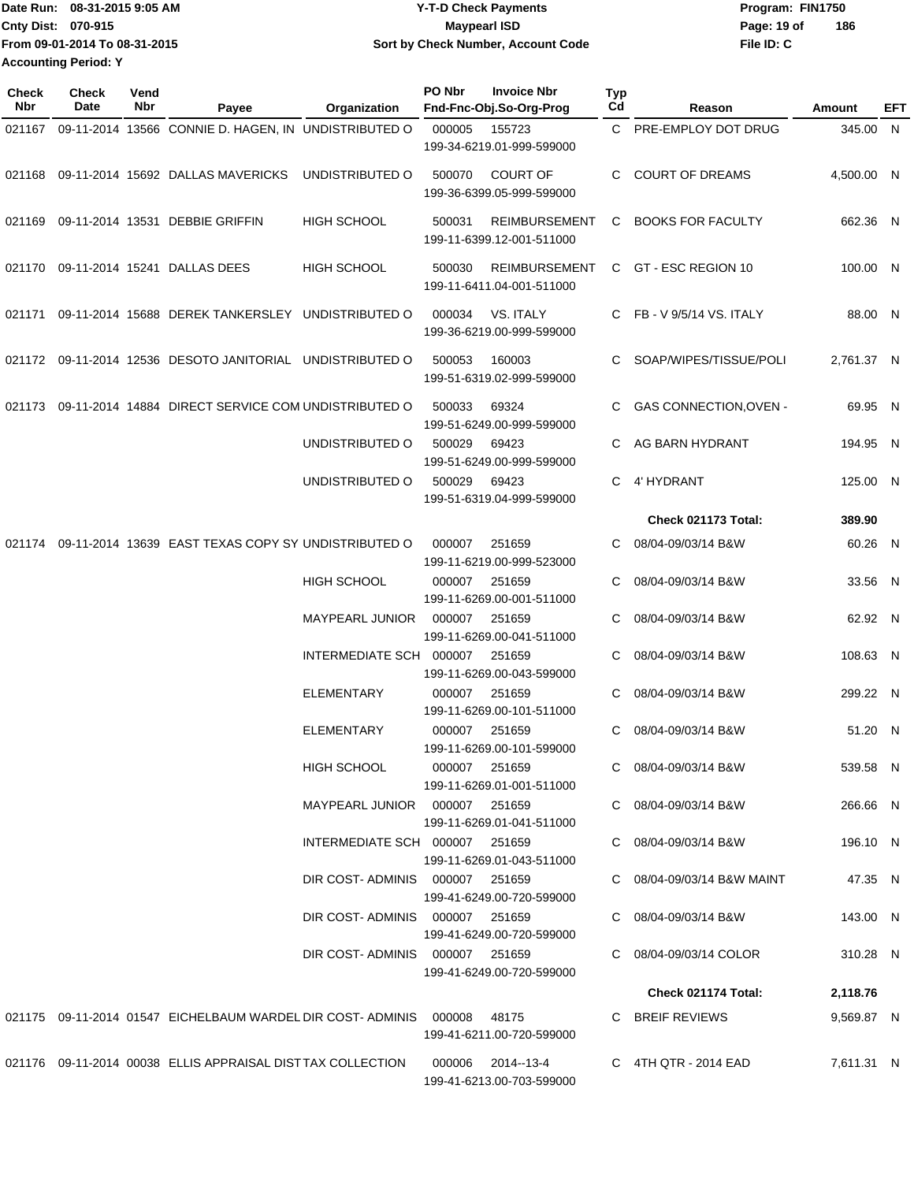Date Run: 08-31-2015 9:05 AM **Date Run:** 08-31-2015 9:05 AM **Cnty Dist:** 070-915 **Page: 19 of** Maypearl ISD **Contract Contract Page: 19 of** Maypearl ISD **File ID: C From 09-01-2014 To 08-31-2015 08-31-2015 9:05 AM Y-T-D Check Payments 070-915 Maypearl ISD Sort by Check Number, Account Code 186 Accounting Period: Y**

| Check<br><b>Nbr</b> | <b>Check</b><br>Date | Vend<br>Nbr | Payee                                                                    | Organization                    | PO Nbr | <b>Invoice Nbr</b><br>Fnd-Fnc-Obj.So-Org-Prog     | <b>Typ</b><br>Cd | Reason                     | Amount     | EFT |
|---------------------|----------------------|-------------|--------------------------------------------------------------------------|---------------------------------|--------|---------------------------------------------------|------------------|----------------------------|------------|-----|
| 021167              |                      |             | 09-11-2014 13566 CONNIE D. HAGEN, IN UNDISTRIBUTED O                     |                                 | 000005 | 155723                                            |                  | C PRE-EMPLOY DOT DRUG      | 345.00 N   |     |
|                     |                      |             |                                                                          |                                 |        | 199-34-6219.01-999-599000                         |                  |                            |            |     |
| 021168              |                      |             | 09-11-2014 15692 DALLAS MAVERICKS                                        | UNDISTRIBUTED O                 | 500070 | <b>COURT OF</b><br>199-36-6399.05-999-599000      | C                | <b>COURT OF DREAMS</b>     | 4,500.00 N |     |
| 021169              |                      |             | 09-11-2014 13531 DEBBIE GRIFFIN                                          | <b>HIGH SCHOOL</b>              | 500031 | REIMBURSEMENT<br>199-11-6399.12-001-511000        | C.               | <b>BOOKS FOR FACULTY</b>   | 662.36 N   |     |
| 021170              |                      |             | 09-11-2014 15241 DALLAS DEES                                             | <b>HIGH SCHOOL</b>              | 500030 | <b>REIMBURSEMENT</b><br>199-11-6411.04-001-511000 |                  | C GT - ESC REGION 10       | 100.00 N   |     |
| 021171              |                      |             | 09-11-2014 15688 DEREK TANKERSLEY UNDISTRIBUTED O                        |                                 | 000034 | VS. ITALY<br>199-36-6219.00-999-599000            |                  | FB - V 9/5/14 VS. ITALY    | 88.00 N    |     |
|                     |                      |             | 021172 09-11-2014 12536 DESOTO JANITORIAL UNDISTRIBUTED O                |                                 | 500053 | 160003<br>199-51-6319.02-999-599000               | C                | SOAP/WIPES/TISSUE/POLI     | 2,761.37 N |     |
| 021173              |                      |             | 09-11-2014 14884 DIRECT SERVICE COM UNDISTRIBUTED O                      |                                 | 500033 | 69324<br>199-51-6249.00-999-599000                | C                | GAS CONNECTION, OVEN -     | 69.95 N    |     |
|                     |                      |             |                                                                          | UNDISTRIBUTED O                 | 500029 | 69423<br>199-51-6249.00-999-599000                | C                | AG BARN HYDRANT            | 194.95 N   |     |
|                     |                      |             |                                                                          | UNDISTRIBUTED O                 | 500029 | 69423<br>199-51-6319.04-999-599000                | C.               | 4' HYDRANT                 | 125.00 N   |     |
|                     |                      |             |                                                                          |                                 |        |                                                   |                  | Check 021173 Total:        | 389.90     |     |
| 021174              |                      |             | 09-11-2014 13639 EAST TEXAS COPY SY UNDISTRIBUTED O                      |                                 | 000007 | 251659<br>199-11-6219.00-999-523000               | C                | 08/04-09/03/14 B&W         | 60.26 N    |     |
|                     |                      |             |                                                                          | <b>HIGH SCHOOL</b>              | 000007 | 251659<br>199-11-6269.00-001-511000               | C                | 08/04-09/03/14 B&W         | 33.56 N    |     |
|                     |                      |             |                                                                          | <b>MAYPEARL JUNIOR</b>          | 000007 | 251659<br>199-11-6269.00-041-511000               | C                | 08/04-09/03/14 B&W         | 62.92 N    |     |
|                     |                      |             |                                                                          | INTERMEDIATE SCH 000007         |        | 251659<br>199-11-6269.00-043-599000               | C                | 08/04-09/03/14 B&W         | 108.63 N   |     |
|                     |                      |             |                                                                          | ELEMENTARY                      | 000007 | 251659<br>199-11-6269.00-101-511000               | C                | 08/04-09/03/14 B&W         | 299.22 N   |     |
|                     |                      |             |                                                                          | <b>ELEMENTARY</b>               | 000007 | 251659<br>199-11-6269.00-101-599000               | C                | 08/04-09/03/14 B&W         | 51.20      | - N |
|                     |                      |             |                                                                          | HIGH SCHOOL                     |        | 000007 251659<br>199-11-6269.01-001-511000        |                  | C 08/04-09/03/14 B&W       | 539.58 N   |     |
|                     |                      |             |                                                                          | MAYPEARL JUNIOR  000007  251659 |        | 199-11-6269.01-041-511000                         |                  | C 08/04-09/03/14 B&W       | 266.66 N   |     |
|                     |                      |             |                                                                          | INTERMEDIATE SCH 000007 251659  |        | 199-11-6269.01-043-511000                         |                  | C 08/04-09/03/14 B&W       | 196.10 N   |     |
|                     |                      |             |                                                                          | DIR COST-ADMINIS 000007 251659  |        | 199-41-6249.00-720-599000                         |                  | C 08/04-09/03/14 B&W MAINT | 47.35 N    |     |
|                     |                      |             |                                                                          | DIR COST-ADMINIS 000007 251659  |        | 199-41-6249.00-720-599000                         |                  | C 08/04-09/03/14 B&W       | 143.00 N   |     |
|                     |                      |             |                                                                          | DIR COST-ADMINIS 000007 251659  |        | 199-41-6249.00-720-599000                         |                  | C 08/04-09/03/14 COLOR     | 310.28 N   |     |
|                     |                      |             |                                                                          |                                 |        |                                                   |                  | Check 021174 Total:        | 2,118.76   |     |
|                     |                      |             | 021175 09-11-2014 01547 EICHELBAUM WARDEL DIR COST- ADMINIS 000008 48175 |                                 |        | 199-41-6211.00-720-599000                         |                  | C BREIF REVIEWS            | 9,569.87 N |     |
|                     |                      |             | 021176 09-11-2014 00038 ELLIS APPRAISAL DISTTAX COLLECTION               |                                 | 000006 | 2014--13-4<br>199-41-6213.00-703-599000           |                  | C 4TH QTR - 2014 EAD       | 7,611.31 N |     |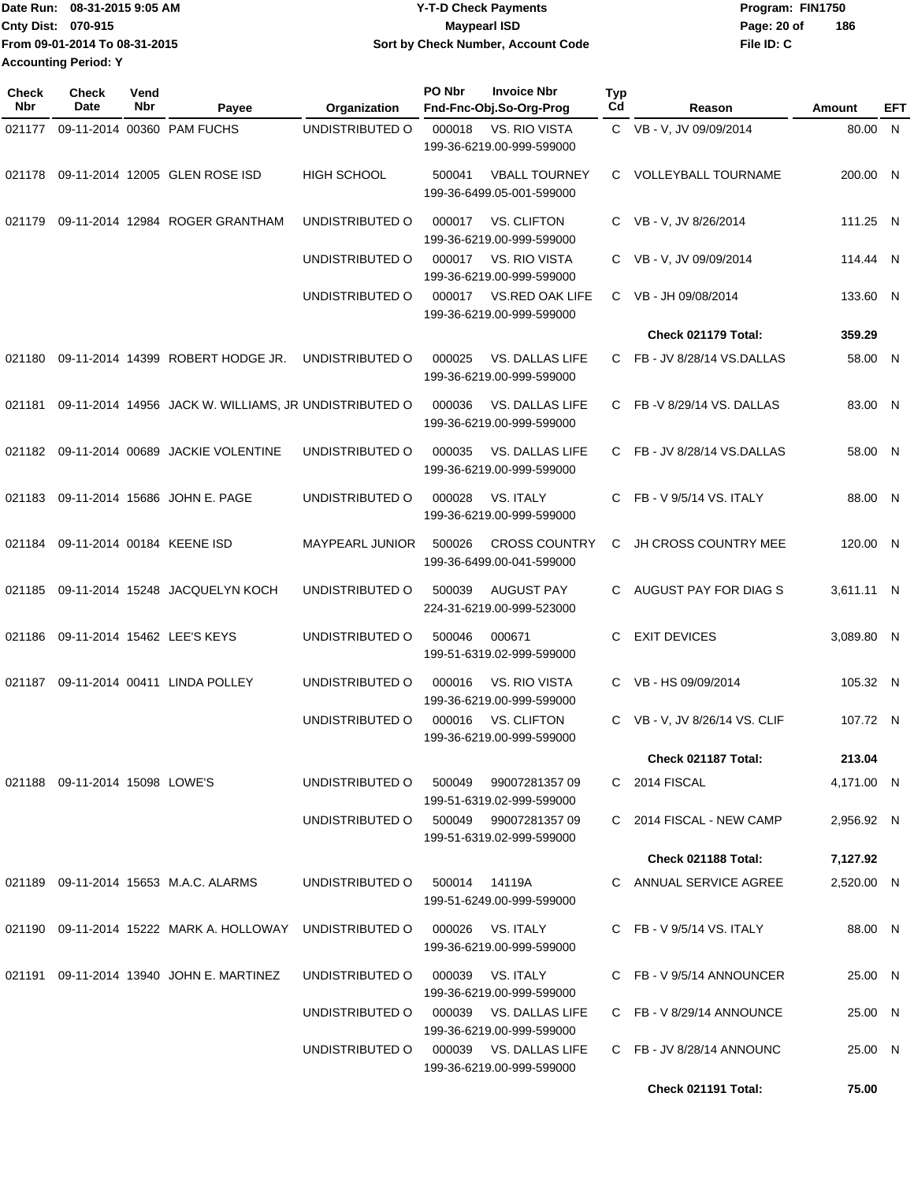| IDate Run: 08-31-2015 9:05 AM | <b>Y-T-D Check Payments</b>        | Program: FIN1750   |
|-------------------------------|------------------------------------|--------------------|
| <b>Cnty Dist: 070-915</b>     | <b>Maypearl ISD</b>                | 186<br>Page: 20 of |
| From 09-01-2014 To 08-31-2015 | Sort by Check Number, Account Code | File ID: C         |
| <b>Accounting Period: Y</b>   |                                    |                    |

| <b>Check</b><br><b>Nbr</b> | <b>Check</b><br><b>Date</b>       | Vend<br>Nbr | Payee                                                        | Organization           | PO Nbr<br><b>Invoice Nbr</b><br>Fnd-Fnc-Obj.So-Org-Prog            | <b>Typ</b><br>Cd | Reason                        | Amount     | EFT |
|----------------------------|-----------------------------------|-------------|--------------------------------------------------------------|------------------------|--------------------------------------------------------------------|------------------|-------------------------------|------------|-----|
| 021177                     |                                   |             | 09-11-2014 00360 PAM FUCHS                                   | UNDISTRIBUTED O        | <b>VS. RIO VISTA</b><br>000018<br>199-36-6219.00-999-599000        |                  | C VB - V, JV 09/09/2014       | 80.00 N    |     |
|                            |                                   |             | 021178 09-11-2014 12005 GLEN ROSE ISD                        | <b>HIGH SCHOOL</b>     | <b>VBALL TOURNEY</b><br>500041<br>199-36-6499.05-001-599000        |                  | C VOLLEYBALL TOURNAME         | 200.00 N   |     |
| 021179                     |                                   |             | 09-11-2014 12984 ROGER GRANTHAM                              | UNDISTRIBUTED O        | <b>VS. CLIFTON</b><br>000017<br>199-36-6219.00-999-599000          |                  | C VB - V, JV 8/26/2014        | 111.25 N   |     |
|                            |                                   |             |                                                              | UNDISTRIBUTED O        | 000017<br>VS. RIO VISTA<br>199-36-6219.00-999-599000               |                  | C VB - V, JV 09/09/2014       | 114.44 N   |     |
|                            |                                   |             |                                                              | UNDISTRIBUTED O        | VS.RED OAK LIFE<br>000017<br>199-36-6219.00-999-599000             |                  | C VB - JH 09/08/2014          | 133.60 N   |     |
|                            |                                   |             |                                                              |                        |                                                                    |                  | Check 021179 Total:           | 359.29     |     |
|                            |                                   |             | 021180 09-11-2014 14399 ROBERT HODGE JR.                     | UNDISTRIBUTED O        | 000025<br>VS. DALLAS LIFE<br>199-36-6219.00-999-599000             |                  | C FB-JV 8/28/14 VS.DALLAS     | 58.00 N    |     |
|                            |                                   |             | 021181 09-11-2014 14956 JACK W. WILLIAMS, JR UNDISTRIBUTED O |                        | 000036<br>VS. DALLAS LIFE<br>199-36-6219.00-999-599000             |                  | C FB-V 8/29/14 VS. DALLAS     | 83.00 N    |     |
|                            |                                   |             | 021182 09-11-2014 00689 JACKIE VOLENTINE                     | UNDISTRIBUTED O        | 000035<br>VS. DALLAS LIFE<br>199-36-6219.00-999-599000             |                  | C FB-JV 8/28/14 VS.DALLAS     | 58.00 N    |     |
|                            |                                   |             | 021183 09-11-2014 15686 JOHN E. PAGE                         | UNDISTRIBUTED O        | 000028<br>VS. ITALY<br>199-36-6219.00-999-599000                   |                  | C FB - V $9/5/14$ VS. ITALY   | 88.00 N    |     |
|                            | 021184 09-11-2014 00184 KEENE ISD |             |                                                              | <b>MAYPEARL JUNIOR</b> | <b>CROSS COUNTRY</b><br>500026<br>199-36-6499.00-041-599000        | C.               | JH CROSS COUNTRY MEE          | 120.00 N   |     |
| 021185                     |                                   |             | 09-11-2014 15248 JACQUELYN KOCH                              | UNDISTRIBUTED O        | 500039<br><b>AUGUST PAY</b><br>224-31-6219.00-999-523000           |                  | C AUGUST PAY FOR DIAG S       | 3,611.11 N |     |
|                            |                                   |             | 021186 09-11-2014 15462 LEE'S KEYS                           | UNDISTRIBUTED O        | 500046<br>000671<br>199-51-6319.02-999-599000                      | C                | <b>EXIT DEVICES</b>           | 3,089.80 N |     |
| 021187                     |                                   |             | 09-11-2014 00411 LINDA POLLEY                                | UNDISTRIBUTED O        | 000016<br>VS. RIO VISTA<br>199-36-6219.00-999-599000               |                  | C VB-HS 09/09/2014            | 105.32 N   |     |
|                            |                                   |             |                                                              | UNDISTRIBUTED O        | 000016<br><b>VS. CLIFTON</b><br>199-36-6219.00-999-599000          |                  | C VB - V, JV 8/26/14 VS. CLIF | 107.72 N   |     |
|                            |                                   |             |                                                              |                        |                                                                    |                  | Check 021187 Total:           | 213.04     |     |
|                            | 021188  09-11-2014  15098  LOWE'S |             |                                                              | UNDISTRIBUTED O        | 500049<br>99007281357 09<br>199-51-6319.02-999-599000              |                  | C 2014 FISCAL                 | 4,171.00 N |     |
|                            |                                   |             |                                                              |                        | UNDISTRIBUTED O 500049 99007281357 09<br>199-51-6319.02-999-599000 |                  | C 2014 FISCAL - NEW CAMP      | 2,956.92 N |     |
|                            |                                   |             |                                                              |                        |                                                                    |                  | Check 021188 Total:           | 7,127.92   |     |
|                            |                                   |             | 021189  09-11-2014  15653  M.A.C. ALARMS                     | UNDISTRIBUTED O        | 500014 14119A<br>199-51-6249.00-999-599000                         |                  | C ANNUAL SERVICE AGREE        | 2,520.00 N |     |
|                            |                                   |             |                                                              | UNDISTRIBUTED O        | VS. ITALY<br>000026<br>199-36-6219.00-999-599000                   |                  | C FB - V $9/5/14$ VS. ITALY   | 88.00 N    |     |
|                            |                                   |             | 021191  09-11-2014  13940  JOHN E. MARTINEZ                  | UNDISTRIBUTED O        | 000039<br>VS. ITALY<br>199-36-6219.00-999-599000                   |                  | C FB-V 9/5/14 ANNOUNCER       | 25.00 N    |     |
|                            |                                   |             |                                                              | UNDISTRIBUTED O        | 000039 VS. DALLAS LIFE<br>199-36-6219.00-999-599000                |                  | C FB-V 8/29/14 ANNOUNCE       | 25.00 N    |     |
|                            |                                   |             |                                                              | UNDISTRIBUTED O        | 000039 VS. DALLAS LIFE<br>199-36-6219.00-999-599000                |                  | C FB-JV 8/28/14 ANNOUNC       | 25.00 N    |     |
|                            |                                   |             |                                                              |                        |                                                                    |                  | Check 021191 Total:           | 75.00      |     |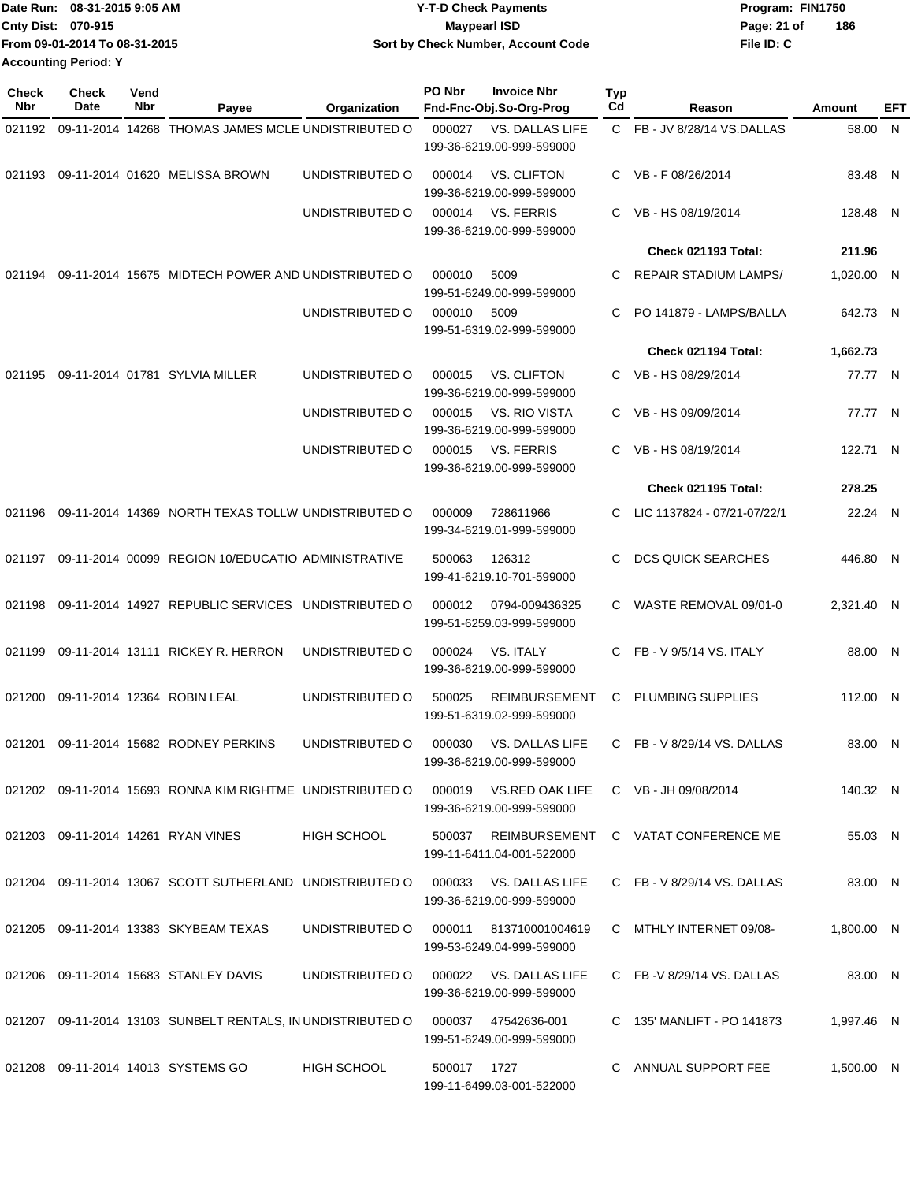|                             | Date Run: 08-31-2015 9:05 AM  | <b>Y-T-D Check Payments</b>        | Program: FIN1750 |     |
|-----------------------------|-------------------------------|------------------------------------|------------------|-----|
| Cnty Dist: 070-915          |                               | Maypearl ISD                       | Page: 21 of      | 186 |
|                             | From 09-01-2014 To 08-31-2015 | Sort by Check Number, Account Code | File ID: C       |     |
| <b>Accounting Period: Y</b> |                               |                                    |                  |     |

| Check<br><b>Nbr</b> | Check<br>Date | Vend<br>Nbr | Payee                                                                           | Organization    | PO Nbr      | <b>Invoice Nbr</b><br>Fnd-Fnc-Obj.So-Org-Prog                            | <b>Typ</b><br>Cd | Reason                              | Amount     | EFT |
|---------------------|---------------|-------------|---------------------------------------------------------------------------------|-----------------|-------------|--------------------------------------------------------------------------|------------------|-------------------------------------|------------|-----|
| 021192              |               |             | 09-11-2014 14268 THOMAS JAMES MCLE UNDISTRIBUTED O                              |                 | 000027      | VS. DALLAS LIFE<br>199-36-6219.00-999-599000                             |                  | C FB - JV 8/28/14 VS.DALLAS         | 58.00      | - N |
| 021193              |               |             | 09-11-2014 01620 MELISSA BROWN                                                  | UNDISTRIBUTED O | 000014      | <b>VS. CLIFTON</b><br>199-36-6219.00-999-599000                          | $\mathbf{C}$     | VB-F08/26/2014                      | 83.48 N    |     |
|                     |               |             |                                                                                 | UNDISTRIBUTED O | 000014      | <b>VS. FERRIS</b><br>199-36-6219.00-999-599000                           | C.               | VB - HS 08/19/2014                  | 128.48 N   |     |
|                     |               |             |                                                                                 |                 |             |                                                                          |                  | Check 021193 Total:                 | 211.96     |     |
| 021194              |               |             | 09-11-2014 15675 MIDTECH POWER AND UNDISTRIBUTED O                              |                 | 000010      | 5009<br>199-51-6249.00-999-599000                                        | C                | <b>REPAIR STADIUM LAMPS/</b>        | 1,020.00 N |     |
|                     |               |             |                                                                                 | UNDISTRIBUTED O | 000010      | 5009<br>199-51-6319.02-999-599000                                        | C                | PO 141879 - LAMPS/BALLA             | 642.73 N   |     |
|                     |               |             |                                                                                 |                 |             |                                                                          |                  | Check 021194 Total:                 | 1,662.73   |     |
| 021195              |               |             | 09-11-2014 01781 SYLVIA MILLER                                                  | UNDISTRIBUTED O | 000015      | <b>VS. CLIFTON</b><br>199-36-6219.00-999-599000                          |                  | C VB-HS 08/29/2014                  | 77.77 N    |     |
|                     |               |             |                                                                                 | UNDISTRIBUTED O | 000015      | VS. RIO VISTA<br>199-36-6219.00-999-599000                               | C.               | VB - HS 09/09/2014                  | 77.77 N    |     |
|                     |               |             |                                                                                 | UNDISTRIBUTED O | 000015      | <b>VS. FERRIS</b><br>199-36-6219.00-999-599000                           | C.               | VB - HS 08/19/2014                  | 122.71 N   |     |
|                     |               |             |                                                                                 |                 |             |                                                                          |                  | Check 021195 Total:                 | 278.25     |     |
| 021196              |               |             | 09-11-2014 14369 NORTH TEXAS TOLLW UNDISTRIBUTED O                              |                 | 000009      | 728611966<br>199-34-6219.01-999-599000                                   | C.               | LIC 1137824 - 07/21-07/22/1         | 22.24 N    |     |
| 021197              |               |             | 09-11-2014 00099 REGION 10/EDUCATIO ADMINISTRATIVE                              |                 | 500063      | 126312<br>199-41-6219.10-701-599000                                      | C.               | <b>DCS QUICK SEARCHES</b>           | 446.80 N   |     |
| 021198              |               |             | 09-11-2014 14927 REPUBLIC SERVICES                                              | UNDISTRIBUTED O | 000012      | 0794-009436325<br>199-51-6259.03-999-599000                              | C.               | WASTE REMOVAL 09/01-0               | 2,321.40 N |     |
| 021199              |               |             | 09-11-2014 13111 RICKEY R. HERRON                                               | UNDISTRIBUTED O | 000024      | <b>VS. ITALY</b><br>199-36-6219.00-999-599000                            | C.               | FB - V 9/5/14 VS. ITALY             | 88.00 N    |     |
| 021200              |               |             | 09-11-2014 12364 ROBIN LEAL                                                     | UNDISTRIBUTED O | 500025      | <b>REIMBURSEMENT</b><br>199-51-6319.02-999-599000                        | C                | PLUMBING SUPPLIES                   | 112.00 N   |     |
| 021201              |               |             | 09-11-2014 15682 RODNEY PERKINS                                                 | UNDISTRIBUTED O | 000030      | VS. DALLAS LIFE<br>199-36-6219.00-999-599000                             | C.               | FB - V 8/29/14 VS. DALLAS           | 83.00 N    |     |
|                     |               |             | 021202 09-11-2014 15693 RONNA KIM RIGHTME UNDISTRIBUTED O                       |                 |             | 000019 VS.RED OAK LIFE C VB - JH 09/08/2014<br>199-36-6219.00-999-599000 |                  |                                     | 140.32 N   |     |
|                     |               |             | 021203 09-11-2014 14261 RYAN VINES                                              | HIGH SCHOOL     | 500037      | 199-11-6411.04-001-522000                                                |                  | REIMBURSEMENT C VATAT CONFERENCE ME | 55.03 N    |     |
|                     |               |             | 021204 09-11-2014 13067 SCOTT SUTHERLAND UNDISTRIBUTED O                        |                 | 000033      | VS. DALLAS LIFE<br>199-36-6219.00-999-599000                             |                  | C FB - V 8/29/14 VS. DALLAS         | 83.00 N    |     |
|                     |               |             | 021205 09-11-2014 13383 SKYBEAM TEXAS                                           | UNDISTRIBUTED O | 000011      | 813710001004619<br>199-53-6249.04-999-599000                             |                  | C MTHLY INTERNET 09/08-             | 1,800.00 N |     |
|                     |               |             | 021206 09-11-2014 15683 STANLEY DAVIS                                           | UNDISTRIBUTED O |             | 000022 VS. DALLAS LIFE<br>199-36-6219.00-999-599000                      |                  | C FB-V 8/29/14 VS. DALLAS           | 83.00 N    |     |
|                     |               |             | 021207 09-11-2014 13103 SUNBELT RENTALS, IN UNDISTRIBUTED O 000037 47542636-001 |                 |             | 199-51-6249.00-999-599000                                                |                  | C 135' MANLIFT - PO 141873          | 1,997.46 N |     |
|                     |               |             | 021208 09-11-2014 14013 SYSTEMS GO                                              | HIGH SCHOOL     | 500017 1727 | 199-11-6499.03-001-522000                                                |                  | C ANNUAL SUPPORT FEE                | 1,500.00 N |     |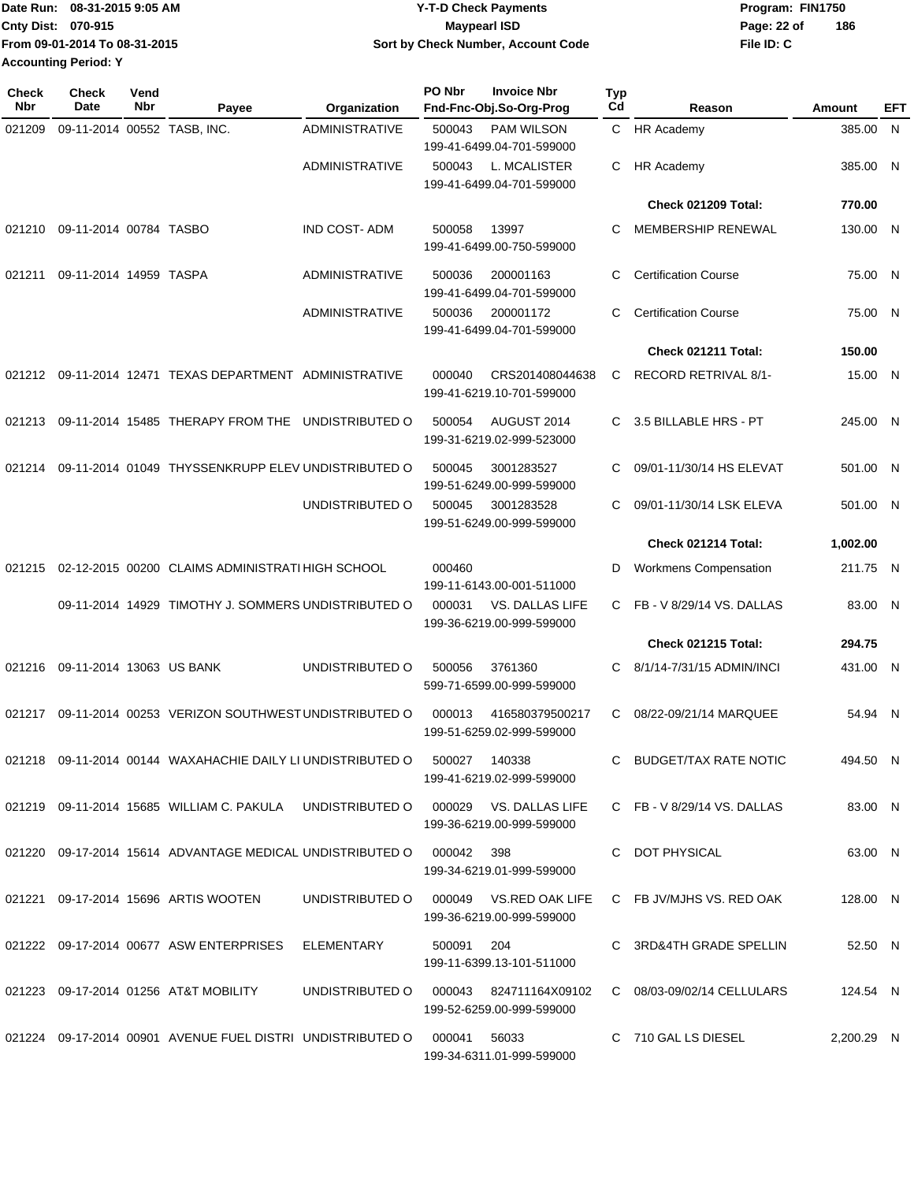|                             | Date Run: 08-31-2015 9:05 AM  | <b>Y-T-D Check Payments</b>        | Program: FIN1750   |
|-----------------------------|-------------------------------|------------------------------------|--------------------|
| <b>Cnty Dist: 070-915</b>   |                               | <b>Mavpearl ISD</b>                | 186<br>Page: 22 of |
|                             | From 09-01-2014 To 08-31-2015 | Sort by Check Number, Account Code | File ID: C         |
| <b>Accounting Period: Y</b> |                               |                                    |                    |

| Check<br>Date | Vend<br>Nbr | Payee | Organization                                                                                                                                                                                 | PO Nbr                                                                                                                                                                                                                                                                                                                                                                                                                                           | <b>Invoice Nbr</b> | <b>Typ</b><br>Cd                                                                                                                                                                                                                                                                                                                                                                                                                                                                                                                                                                                                                                                                                                                                                                                                                                                                                                         | Reason                       | Amount                                                                                                                                                         | EFT                                                                                                                                                                                                                                                                   |
|---------------|-------------|-------|----------------------------------------------------------------------------------------------------------------------------------------------------------------------------------------------|--------------------------------------------------------------------------------------------------------------------------------------------------------------------------------------------------------------------------------------------------------------------------------------------------------------------------------------------------------------------------------------------------------------------------------------------------|--------------------|--------------------------------------------------------------------------------------------------------------------------------------------------------------------------------------------------------------------------------------------------------------------------------------------------------------------------------------------------------------------------------------------------------------------------------------------------------------------------------------------------------------------------------------------------------------------------------------------------------------------------------------------------------------------------------------------------------------------------------------------------------------------------------------------------------------------------------------------------------------------------------------------------------------------------|------------------------------|----------------------------------------------------------------------------------------------------------------------------------------------------------------|-----------------------------------------------------------------------------------------------------------------------------------------------------------------------------------------------------------------------------------------------------------------------|
|               |             |       | <b>ADMINISTRATIVE</b>                                                                                                                                                                        | 500043                                                                                                                                                                                                                                                                                                                                                                                                                                           | <b>PAM WILSON</b>  | C.                                                                                                                                                                                                                                                                                                                                                                                                                                                                                                                                                                                                                                                                                                                                                                                                                                                                                                                       | <b>HR Academy</b>            |                                                                                                                                                                |                                                                                                                                                                                                                                                                       |
|               |             |       | <b>ADMINISTRATIVE</b>                                                                                                                                                                        | 500043                                                                                                                                                                                                                                                                                                                                                                                                                                           | L. MCALISTER       | С                                                                                                                                                                                                                                                                                                                                                                                                                                                                                                                                                                                                                                                                                                                                                                                                                                                                                                                        | <b>HR Academy</b>            |                                                                                                                                                                |                                                                                                                                                                                                                                                                       |
|               |             |       |                                                                                                                                                                                              |                                                                                                                                                                                                                                                                                                                                                                                                                                                  |                    |                                                                                                                                                                                                                                                                                                                                                                                                                                                                                                                                                                                                                                                                                                                                                                                                                                                                                                                          | Check 021209 Total:          | 770.00                                                                                                                                                         |                                                                                                                                                                                                                                                                       |
|               |             |       | <b>IND COST-ADM</b>                                                                                                                                                                          | 500058                                                                                                                                                                                                                                                                                                                                                                                                                                           | 13997              | С                                                                                                                                                                                                                                                                                                                                                                                                                                                                                                                                                                                                                                                                                                                                                                                                                                                                                                                        | MEMBERSHIP RENEWAL           |                                                                                                                                                                |                                                                                                                                                                                                                                                                       |
|               |             |       | <b>ADMINISTRATIVE</b>                                                                                                                                                                        | 500036                                                                                                                                                                                                                                                                                                                                                                                                                                           | 200001163          | С                                                                                                                                                                                                                                                                                                                                                                                                                                                                                                                                                                                                                                                                                                                                                                                                                                                                                                                        | <b>Certification Course</b>  |                                                                                                                                                                |                                                                                                                                                                                                                                                                       |
|               |             |       | <b>ADMINISTRATIVE</b>                                                                                                                                                                        | 500036                                                                                                                                                                                                                                                                                                                                                                                                                                           | 200001172          | С                                                                                                                                                                                                                                                                                                                                                                                                                                                                                                                                                                                                                                                                                                                                                                                                                                                                                                                        | <b>Certification Course</b>  |                                                                                                                                                                |                                                                                                                                                                                                                                                                       |
|               |             |       |                                                                                                                                                                                              |                                                                                                                                                                                                                                                                                                                                                                                                                                                  |                    |                                                                                                                                                                                                                                                                                                                                                                                                                                                                                                                                                                                                                                                                                                                                                                                                                                                                                                                          | Check 021211 Total:          | 150.00                                                                                                                                                         |                                                                                                                                                                                                                                                                       |
| 021212        |             |       |                                                                                                                                                                                              | 000040                                                                                                                                                                                                                                                                                                                                                                                                                                           | CRS201408044638    | С                                                                                                                                                                                                                                                                                                                                                                                                                                                                                                                                                                                                                                                                                                                                                                                                                                                                                                                        | RECORD RETRIVAL 8/1-         |                                                                                                                                                                |                                                                                                                                                                                                                                                                       |
|               |             |       |                                                                                                                                                                                              | 500054                                                                                                                                                                                                                                                                                                                                                                                                                                           | AUGUST 2014        | С                                                                                                                                                                                                                                                                                                                                                                                                                                                                                                                                                                                                                                                                                                                                                                                                                                                                                                                        | 3.5 BILLABLE HRS - PT        |                                                                                                                                                                |                                                                                                                                                                                                                                                                       |
|               |             |       |                                                                                                                                                                                              | 500045                                                                                                                                                                                                                                                                                                                                                                                                                                           | 3001283527         | С                                                                                                                                                                                                                                                                                                                                                                                                                                                                                                                                                                                                                                                                                                                                                                                                                                                                                                                        | 09/01-11/30/14 HS ELEVAT     |                                                                                                                                                                |                                                                                                                                                                                                                                                                       |
|               |             |       | UNDISTRIBUTED O                                                                                                                                                                              | 500045                                                                                                                                                                                                                                                                                                                                                                                                                                           | 3001283528         | С                                                                                                                                                                                                                                                                                                                                                                                                                                                                                                                                                                                                                                                                                                                                                                                                                                                                                                                        | 09/01-11/30/14 LSK ELEVA     |                                                                                                                                                                |                                                                                                                                                                                                                                                                       |
|               |             |       |                                                                                                                                                                                              |                                                                                                                                                                                                                                                                                                                                                                                                                                                  |                    |                                                                                                                                                                                                                                                                                                                                                                                                                                                                                                                                                                                                                                                                                                                                                                                                                                                                                                                          | Check 021214 Total:          | 1,002.00                                                                                                                                                       |                                                                                                                                                                                                                                                                       |
|               |             |       |                                                                                                                                                                                              | 000460                                                                                                                                                                                                                                                                                                                                                                                                                                           |                    | D                                                                                                                                                                                                                                                                                                                                                                                                                                                                                                                                                                                                                                                                                                                                                                                                                                                                                                                        | <b>Workmens Compensation</b> |                                                                                                                                                                |                                                                                                                                                                                                                                                                       |
|               |             |       |                                                                                                                                                                                              | 000031                                                                                                                                                                                                                                                                                                                                                                                                                                           | VS. DALLAS LIFE    | C.                                                                                                                                                                                                                                                                                                                                                                                                                                                                                                                                                                                                                                                                                                                                                                                                                                                                                                                       | FB - V 8/29/14 VS. DALLAS    |                                                                                                                                                                |                                                                                                                                                                                                                                                                       |
|               |             |       |                                                                                                                                                                                              |                                                                                                                                                                                                                                                                                                                                                                                                                                                  |                    |                                                                                                                                                                                                                                                                                                                                                                                                                                                                                                                                                                                                                                                                                                                                                                                                                                                                                                                          | <b>Check 021215 Total:</b>   | 294.75                                                                                                                                                         |                                                                                                                                                                                                                                                                       |
|               |             |       | UNDISTRIBUTED O                                                                                                                                                                              | 500056                                                                                                                                                                                                                                                                                                                                                                                                                                           | 3761360            | С                                                                                                                                                                                                                                                                                                                                                                                                                                                                                                                                                                                                                                                                                                                                                                                                                                                                                                                        | 8/1/14-7/31/15 ADMIN/INCI    |                                                                                                                                                                |                                                                                                                                                                                                                                                                       |
|               |             |       |                                                                                                                                                                                              | 000013                                                                                                                                                                                                                                                                                                                                                                                                                                           | 416580379500217    | C.                                                                                                                                                                                                                                                                                                                                                                                                                                                                                                                                                                                                                                                                                                                                                                                                                                                                                                                       | 08/22-09/21/14 MARQUEE       |                                                                                                                                                                |                                                                                                                                                                                                                                                                       |
|               |             |       |                                                                                                                                                                                              |                                                                                                                                                                                                                                                                                                                                                                                                                                                  |                    |                                                                                                                                                                                                                                                                                                                                                                                                                                                                                                                                                                                                                                                                                                                                                                                                                                                                                                                          |                              |                                                                                                                                                                |                                                                                                                                                                                                                                                                       |
|               |             |       |                                                                                                                                                                                              |                                                                                                                                                                                                                                                                                                                                                                                                                                                  |                    |                                                                                                                                                                                                                                                                                                                                                                                                                                                                                                                                                                                                                                                                                                                                                                                                                                                                                                                          |                              |                                                                                                                                                                |                                                                                                                                                                                                                                                                       |
|               |             |       |                                                                                                                                                                                              |                                                                                                                                                                                                                                                                                                                                                                                                                                                  |                    |                                                                                                                                                                                                                                                                                                                                                                                                                                                                                                                                                                                                                                                                                                                                                                                                                                                                                                                          |                              |                                                                                                                                                                |                                                                                                                                                                                                                                                                       |
|               |             |       |                                                                                                                                                                                              |                                                                                                                                                                                                                                                                                                                                                                                                                                                  |                    |                                                                                                                                                                                                                                                                                                                                                                                                                                                                                                                                                                                                                                                                                                                                                                                                                                                                                                                          |                              |                                                                                                                                                                |                                                                                                                                                                                                                                                                       |
|               |             |       |                                                                                                                                                                                              |                                                                                                                                                                                                                                                                                                                                                                                                                                                  | 204                |                                                                                                                                                                                                                                                                                                                                                                                                                                                                                                                                                                                                                                                                                                                                                                                                                                                                                                                          |                              |                                                                                                                                                                |                                                                                                                                                                                                                                                                       |
|               |             |       |                                                                                                                                                                                              |                                                                                                                                                                                                                                                                                                                                                                                                                                                  |                    |                                                                                                                                                                                                                                                                                                                                                                                                                                                                                                                                                                                                                                                                                                                                                                                                                                                                                                                          |                              |                                                                                                                                                                |                                                                                                                                                                                                                                                                       |
|               |             |       |                                                                                                                                                                                              |                                                                                                                                                                                                                                                                                                                                                                                                                                                  | 56033              |                                                                                                                                                                                                                                                                                                                                                                                                                                                                                                                                                                                                                                                                                                                                                                                                                                                                                                                          |                              |                                                                                                                                                                |                                                                                                                                                                                                                                                                       |
|               |             |       | 09-11-2014 00552 TASB, INC.<br>09-11-2014 00784 TASBO<br>09-11-2014 14959 TASPA<br>09-11-2014 13063 US BANK<br>021221 09-17-2014 15696 ARTIS WOOTEN<br>021223 09-17-2014 01256 AT&T MOBILITY | 09-11-2014 12471 TEXAS DEPARTMENT ADMINISTRATIVE<br>09-11-2014 15485 THERAPY FROM THE UNDISTRIBUTED O<br>09-11-2014 01049 THYSSENKRUPP ELEV UNDISTRIBUTED O<br>02-12-2015 00200 CLAIMS ADMINISTRATI HIGH SCHOOL<br>09-11-2014 14929 TIMOTHY J. SOMMERS UNDISTRIBUTED O<br>09-11-2014 00253 VERIZON SOUTHWEST UNDISTRIBUTED O<br>021222 09-17-2014 00677 ASW ENTERPRISES ELEMENTARY<br>021224 09-17-2014 00901 AVENUE FUEL DISTRI UNDISTRIBUTED O | 000041             | Fnd-Fnc-Obj.So-Org-Prog<br>199-41-6499.04-701-599000<br>199-41-6499.04-701-599000<br>199-41-6499.00-750-599000<br>199-41-6499.04-701-599000<br>199-41-6499.04-701-599000<br>199-41-6219.10-701-599000<br>199-31-6219.02-999-523000<br>199-51-6249.00-999-599000<br>199-51-6249.00-999-599000<br>199-11-6143.00-001-511000<br>199-36-6219.00-999-599000<br>599-71-6599.00-999-599000<br>199-51-6259.02-999-599000<br>021218 09-11-2014 00144 WAXAHACHIE DAILY LI UNDISTRIBUTED O 500027 140338<br>199-41-6219.02-999-599000<br>021219 09-11-2014 15685 WILLIAM C. PAKULA UNDISTRIBUTED O 000029 VS. DALLAS LIFE<br>199-36-6219.00-999-599000<br>021220 09-17-2014 15614 ADVANTAGE MEDICAL UNDISTRIBUTED O 000042 398<br>199-34-6219.01-999-599000<br>199-36-6219.00-999-599000<br>500091<br>199-11-6399.13-101-511000<br>UNDISTRIBUTED O 000043 824711164X09102<br>199-52-6259.00-999-599000<br>199-34-6311.01-999-599000 |                              | C BUDGET/TAX RATE NOTIC<br>C DOT PHYSICAL<br>UNDISTRIBUTED O 000049 VS.RED OAK LIFE C FB JV/MJHS VS. RED OAK<br>C 3RD&4TH GRADE SPELLIN<br>C 710 GAL LS DIESEL | 385.00 N<br>385.00 N<br>130.00 N<br>75.00 N<br>75.00 N<br>15.00 N<br>245.00 N<br>501.00 N<br>501.00 N<br>211.75 N<br>83.00 N<br>431.00 N<br>54.94 N<br>494.50 N<br>C FB - V 8/29/14 VS. DALLAS<br>83.00 N<br>63.00 N<br>128.00 N<br>52.50 N<br>124.54 N<br>2,200.29 N |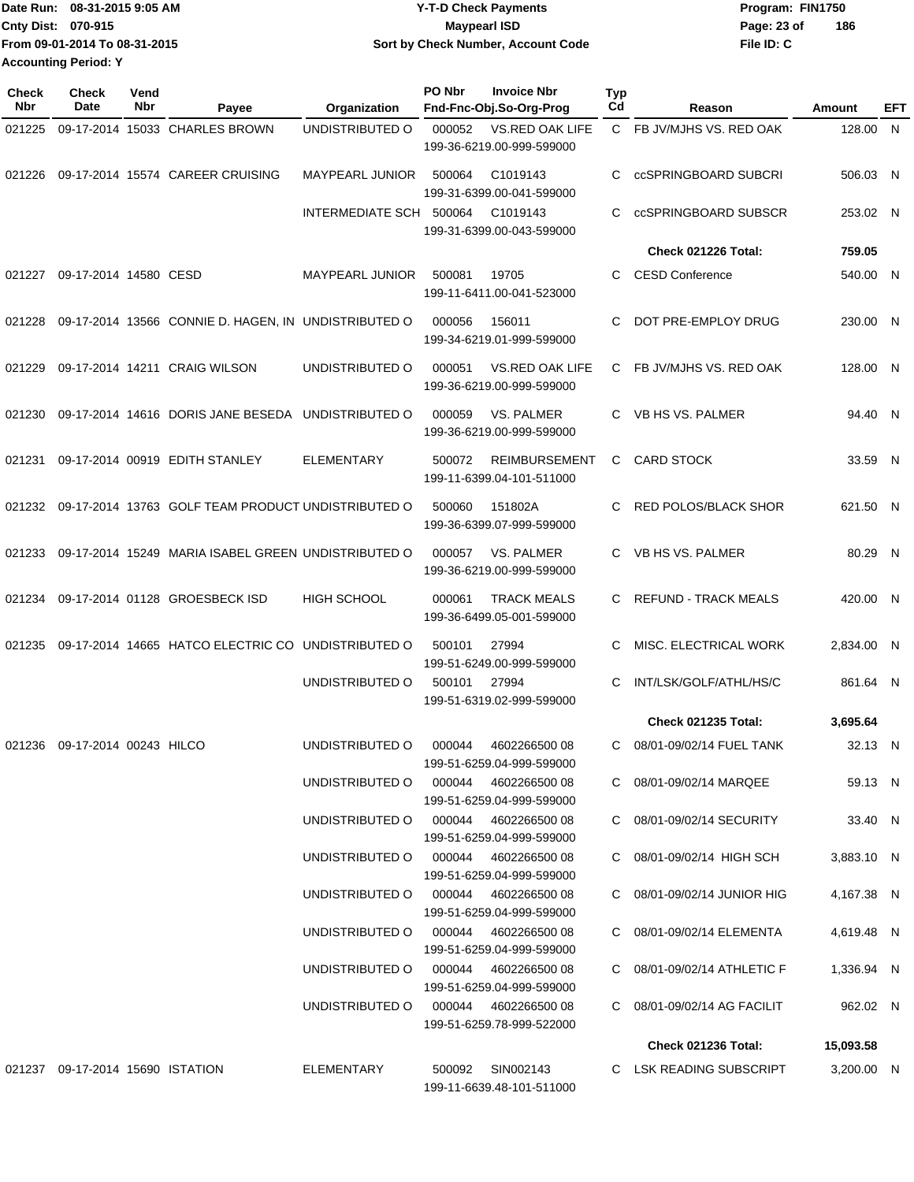|                             | Date Run: 08-31-2015 9:05 AM  | <b>Y-T-D Check Payments</b>        | Program: FIN1750 |     |
|-----------------------------|-------------------------------|------------------------------------|------------------|-----|
| <b>Cnty Dist: 070-915</b>   |                               | Maypearl ISD                       | Page: 23 of      | 186 |
|                             | From 09-01-2014 To 08-31-2015 | Sort by Check Number, Account Code | File ID: C       |     |
| <b>Accounting Period: Y</b> |                               |                                    |                  |     |

| <b>Check</b><br>Nbr | Check<br>Date                    | Vend<br>Nbr | Payee                                                | Organization                         | PO Nbr | <b>Invoice Nbr</b><br>Fnd-Fnc-Obj.So-Org-Prog     | <b>Typ</b><br>Cd | Reason                      | Amount     | EFT          |
|---------------------|----------------------------------|-------------|------------------------------------------------------|--------------------------------------|--------|---------------------------------------------------|------------------|-----------------------------|------------|--------------|
| 021225              |                                  |             | 09-17-2014 15033 CHARLES BROWN                       | UNDISTRIBUTED O                      | 000052 | VS.RED OAK LIFE<br>199-36-6219.00-999-599000      | $\mathsf{C}$     | FB JV/MJHS VS. RED OAK      | 128.00     | $\mathsf{N}$ |
| 021226              |                                  |             | 09-17-2014 15574 CAREER CRUISING                     | <b>MAYPEARL JUNIOR</b>               | 500064 | C1019143<br>199-31-6399.00-041-599000             | C                | ccSPRINGBOARD SUBCRI        | 506.03 N   |              |
|                     |                                  |             |                                                      | INTERMEDIATE SCH                     | 500064 | C1019143<br>199-31-6399.00-043-599000             | C                | ccSPRINGBOARD SUBSCR        | 253.02 N   |              |
|                     |                                  |             |                                                      |                                      |        |                                                   |                  | Check 021226 Total:         | 759.05     |              |
| 021227              | 09-17-2014 14580 CESD            |             |                                                      | <b>MAYPEARL JUNIOR</b>               | 500081 | 19705<br>199-11-6411.00-041-523000                | C.               | <b>CESD Conference</b>      | 540.00 N   |              |
| 021228              |                                  |             | 09-17-2014 13566 CONNIE D. HAGEN, IN UNDISTRIBUTED O |                                      | 000056 | 156011<br>199-34-6219.01-999-599000               | C                | DOT PRE-EMPLOY DRUG         | 230.00 N   |              |
| 021229              |                                  |             | 09-17-2014 14211 CRAIG WILSON                        | UNDISTRIBUTED O                      | 000051 | VS.RED OAK LIFE<br>199-36-6219.00-999-599000      | C.               | FB JV/MJHS VS. RED OAK      | 128.00 N   |              |
| 021230              |                                  |             | 09-17-2014 14616 DORIS JANE BESEDA UNDISTRIBUTED O   |                                      | 000059 | <b>VS. PALMER</b><br>199-36-6219.00-999-599000    | C.               | VB HS VS. PALMER            | 94.40 N    |              |
| 021231              |                                  |             | 09-17-2014 00919 EDITH STANLEY                       | <b>ELEMENTARY</b>                    | 500072 | <b>REIMBURSEMENT</b><br>199-11-6399.04-101-511000 | C                | <b>CARD STOCK</b>           | 33.59 N    |              |
| 021232              |                                  |             | 09-17-2014 13763 GOLF TEAM PRODUCT UNDISTRIBUTED O   |                                      | 500060 | 151802A<br>199-36-6399.07-999-599000              | C                | <b>RED POLOS/BLACK SHOR</b> | 621.50 N   |              |
| 021233              |                                  |             | 09-17-2014 15249 MARIA ISABEL GREEN UNDISTRIBUTED O  |                                      | 000057 | VS. PALMER<br>199-36-6219.00-999-599000           | C                | VB HS VS. PALMER            | 80.29 N    |              |
| 021234              |                                  |             | 09-17-2014 01128 GROESBECK ISD                       | <b>HIGH SCHOOL</b>                   | 000061 | <b>TRACK MEALS</b><br>199-36-6499.05-001-599000   | C.               | <b>REFUND - TRACK MEALS</b> | 420.00 N   |              |
| 021235              |                                  |             | 09-17-2014 14665 HATCO ELECTRIC CO UNDISTRIBUTED O   |                                      | 500101 | 27994<br>199-51-6249.00-999-599000                | C                | MISC. ELECTRICAL WORK       | 2,834.00 N |              |
|                     |                                  |             |                                                      | UNDISTRIBUTED O                      | 500101 | 27994<br>199-51-6319.02-999-599000                | C                | INT/LSK/GOLF/ATHL/HS/C      | 861.64 N   |              |
|                     |                                  |             |                                                      |                                      |        |                                                   |                  | Check 021235 Total:         | 3,695.64   |              |
| 021236              | 09-17-2014 00243 HILCO           |             |                                                      | UNDISTRIBUTED O                      | 000044 | 4602266500 08<br>199-51-6259.04-999-599000        | C.               | 08/01-09/02/14 FUEL TANK    | 32.13 N    |              |
|                     |                                  |             |                                                      | UNDISTRIBUTED O                      | 000044 | 4602266500 08<br>199-51-6259.04-999-599000        |                  | C 08/01-09/02/14 MARQEE     | 59.13 N    |              |
|                     |                                  |             |                                                      | UNDISTRIBUTED O 000044               |        | 460226650008<br>199-51-6259.04-999-599000         |                  | C 08/01-09/02/14 SECURITY   | 33.40 N    |              |
|                     |                                  |             |                                                      | UNDISTRIBUTED O 000044               |        | 4602266500 08<br>199-51-6259.04-999-599000        |                  | C 08/01-09/02/14 HIGH SCH   | 3,883.10 N |              |
|                     |                                  |             |                                                      | UNDISTRIBUTED O 000044 4602266500 08 |        | 199-51-6259.04-999-599000                         |                  | C 08/01-09/02/14 JUNIOR HIG | 4,167.38 N |              |
|                     |                                  |             |                                                      | UNDISTRIBUTED O 000044 4602266500 08 |        | 199-51-6259.04-999-599000                         |                  | C 08/01-09/02/14 ELEMENTA   | 4,619.48 N |              |
|                     |                                  |             |                                                      | UNDISTRIBUTED O 000044 4602266500 08 |        | 199-51-6259.04-999-599000                         |                  | C 08/01-09/02/14 ATHLETIC F | 1,336.94 N |              |
|                     |                                  |             |                                                      | UNDISTRIBUTED O 000044 4602266500 08 |        | 199-51-6259.78-999-522000                         |                  | C 08/01-09/02/14 AG FACILIT | 962.02 N   |              |
|                     |                                  |             |                                                      |                                      |        |                                                   |                  | Check 021236 Total:         | 15,093.58  |              |
|                     | 021237 09-17-2014 15690 ISTATION |             |                                                      | ELEMENTARY                           | 500092 | SIN002143<br>199-11-6639.48-101-511000            |                  | C LSK READING SUBSCRIPT     | 3,200.00 N |              |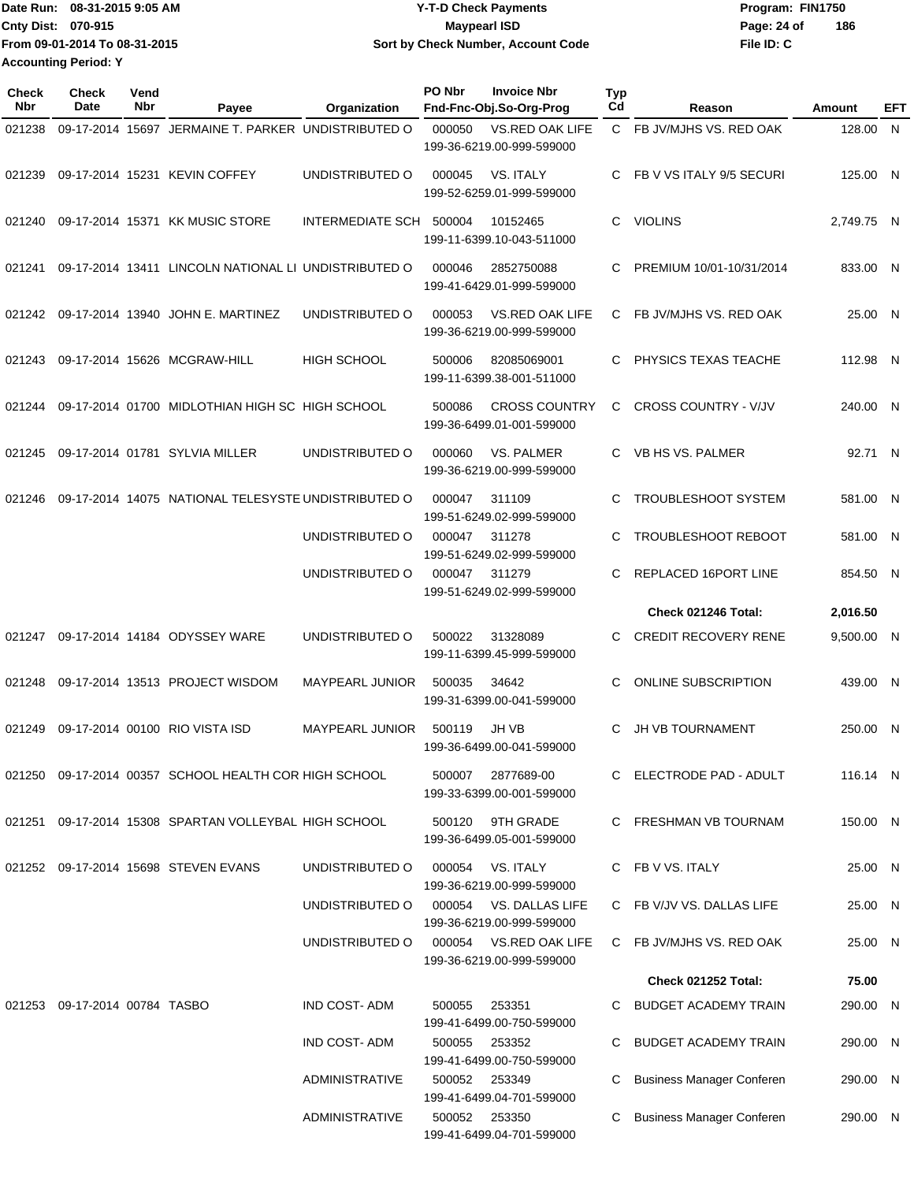| Date Run: 08-31-2015 9:05 AM  | <b>Y-T-D Check Payments</b>        | Program: FIN1750 |     |
|-------------------------------|------------------------------------|------------------|-----|
| <b>Cnty Dist: 070-915</b>     | <b>Mavpearl ISD</b>                | Page: 24 of      | 186 |
| From 09-01-2014 To 08-31-2015 | Sort by Check Number, Account Code | File ID: C       |     |
| <b>Accounting Period: Y</b>   |                                    |                  |     |

| Check<br><b>Nbr</b> | <b>Check</b><br>Date          | Vend<br>Nbr | Payee                                                 | Organization            | PO Nbr<br>Fnd-Fnc-Obj.So-Org-Prog                   | <b>Invoice Nbr</b>     | <b>Typ</b><br>Cd | Reason                           | Amount     | EFT |
|---------------------|-------------------------------|-------------|-------------------------------------------------------|-------------------------|-----------------------------------------------------|------------------------|------------------|----------------------------------|------------|-----|
| 021238              |                               |             | 09-17-2014 15697 JERMAINE T. PARKER UNDISTRIBUTED O   |                         | 000050<br>199-36-6219.00-999-599000                 | <b>VS.RED OAK LIFE</b> |                  | C FB JV/MJHS VS. RED OAK         | 128.00 N   |     |
| 021239              |                               |             | 09-17-2014 15231 KEVIN COFFEY                         | UNDISTRIBUTED O         | VS. ITALY<br>000045<br>199-52-6259.01-999-599000    |                        | C                | FB V VS ITALY 9/5 SECURI         | 125.00 N   |     |
| 021240              |                               |             | 09-17-2014 15371 KK MUSIC STORE                       | INTERMEDIATE SCH 500004 | 10152465<br>199-11-6399.10-043-511000               |                        | C.               | <b>VIOLINS</b>                   | 2,749.75 N |     |
| 021241              |                               |             | 09-17-2014 13411 LINCOLN NATIONAL LI UNDISTRIBUTED O  |                         | 000046<br>199-41-6429.01-999-599000                 | 2852750088             | C                | PREMIUM 10/01-10/31/2014         | 833.00 N   |     |
| 021242              |                               |             | 09-17-2014 13940 JOHN E. MARTINEZ                     | UNDISTRIBUTED O         | 000053<br>199-36-6219.00-999-599000                 | <b>VS.RED OAK LIFE</b> | C.               | FB JV/MJHS VS. RED OAK           | 25.00 N    |     |
| 021243              |                               |             | 09-17-2014 15626 MCGRAW-HILL                          | <b>HIGH SCHOOL</b>      | 500006<br>199-11-6399.38-001-511000                 | 82085069001            | C                | PHYSICS TEXAS TEACHE             | 112.98 N   |     |
| 021244              |                               |             | 09-17-2014 01700 MIDLOTHIAN HIGH SC HIGH SCHOOL       |                         | 500086<br>199-36-6499.01-001-599000                 | <b>CROSS COUNTRY</b>   | C                | <b>CROSS COUNTRY - V/JV</b>      | 240.00 N   |     |
| 021245              |                               |             | 09-17-2014 01781 SYLVIA MILLER                        | UNDISTRIBUTED O         | 000060<br>199-36-6219.00-999-599000                 | VS. PALMER             | C                | VB HS VS. PALMER                 | 92.71      | - N |
| 021246              |                               |             | 09-17-2014 14075 NATIONAL TELESYSTE UNDISTRIBUTED O   |                         | 000047<br>311109<br>199-51-6249.02-999-599000       |                        | C                | TROUBLESHOOT SYSTEM              | 581.00 N   |     |
|                     |                               |             |                                                       | UNDISTRIBUTED O         | 000047<br>311278<br>199-51-6249.02-999-599000       |                        | C                | TROUBLESHOOT REBOOT              | 581.00     | -N  |
|                     |                               |             |                                                       | UNDISTRIBUTED O         | 000047<br>311279<br>199-51-6249.02-999-599000       |                        | C.               | REPLACED 16PORT LINE             | 854.50 N   |     |
|                     |                               |             |                                                       |                         |                                                     |                        |                  | Check 021246 Total:              | 2,016.50   |     |
| 021247              |                               |             | 09-17-2014 14184 ODYSSEY WARE                         | UNDISTRIBUTED O         | 500022<br>31328089<br>199-11-6399.45-999-599000     |                        | C                | <b>CREDIT RECOVERY RENE</b>      | 9,500.00 N |     |
| 021248              |                               |             | 09-17-2014 13513 PROJECT WISDOM                       | <b>MAYPEARL JUNIOR</b>  | 500035<br>34642<br>199-31-6399.00-041-599000        |                        | C                | <b>ONLINE SUBSCRIPTION</b>       | 439.00 N   |     |
| 021249              |                               |             | 09-17-2014 00100 RIO VISTA ISD                        | <b>MAYPEARL JUNIOR</b>  | 500119<br>JH VB<br>199-36-6499.00-041-599000        |                        | C                | <b>JH VB TOURNAMENT</b>          | 250.00 N   |     |
|                     |                               |             | 021250 09-17-2014 00357 SCHOOL HEALTH COR HIGH SCHOOL |                         | 500007 2877689-00<br>199-33-6399.00-001-599000      |                        |                  | C ELECTRODE PAD - ADULT          | 116.14 N   |     |
| 021251              |                               |             | 09-17-2014 15308 SPARTAN VOLLEYBAL HIGH SCHOOL        |                         | 500120<br>199-36-6499.05-001-599000                 | 9TH GRADE              |                  | C FRESHMAN VB TOURNAM            | 150.00 N   |     |
|                     |                               |             | 021252 09-17-2014 15698 STEVEN EVANS                  | UNDISTRIBUTED O         | VS. ITALY<br>000054<br>199-36-6219.00-999-599000    |                        |                  | C FB V VS. ITALY                 | 25.00 N    |     |
|                     |                               |             |                                                       | UNDISTRIBUTED O         | 000054<br>199-36-6219.00-999-599000                 | VS. DALLAS LIFE        |                  | C FB V/JV VS. DALLAS LIFE        | 25.00 N    |     |
|                     |                               |             |                                                       | UNDISTRIBUTED O         | 000054 VS.RED OAK LIFE<br>199-36-6219.00-999-599000 |                        |                  | C FB JV/MJHS VS. RED OAK         | 25.00 N    |     |
|                     |                               |             |                                                       |                         |                                                     |                        |                  | <b>Check 021252 Total:</b>       | 75.00      |     |
|                     | 021253 09-17-2014 00784 TASBO |             |                                                       | IND COST-ADM            | 253351<br>500055<br>199-41-6499.00-750-599000       |                        |                  | C BUDGET ACADEMY TRAIN           | 290.00 N   |     |
|                     |                               |             |                                                       | <b>IND COST-ADM</b>     | 500055<br>253352<br>199-41-6499.00-750-599000       |                        |                  | BUDGET ACADEMY TRAIN             | 290.00 N   |     |
|                     |                               |             |                                                       | ADMINISTRATIVE          | 500052 253349<br>199-41-6499.04-701-599000          |                        |                  | <b>Business Manager Conferen</b> | 290.00 N   |     |
|                     |                               |             |                                                       | <b>ADMINISTRATIVE</b>   | 500052 253350<br>199-41-6499.04-701-599000          |                        |                  | <b>Business Manager Conferen</b> | 290.00 N   |     |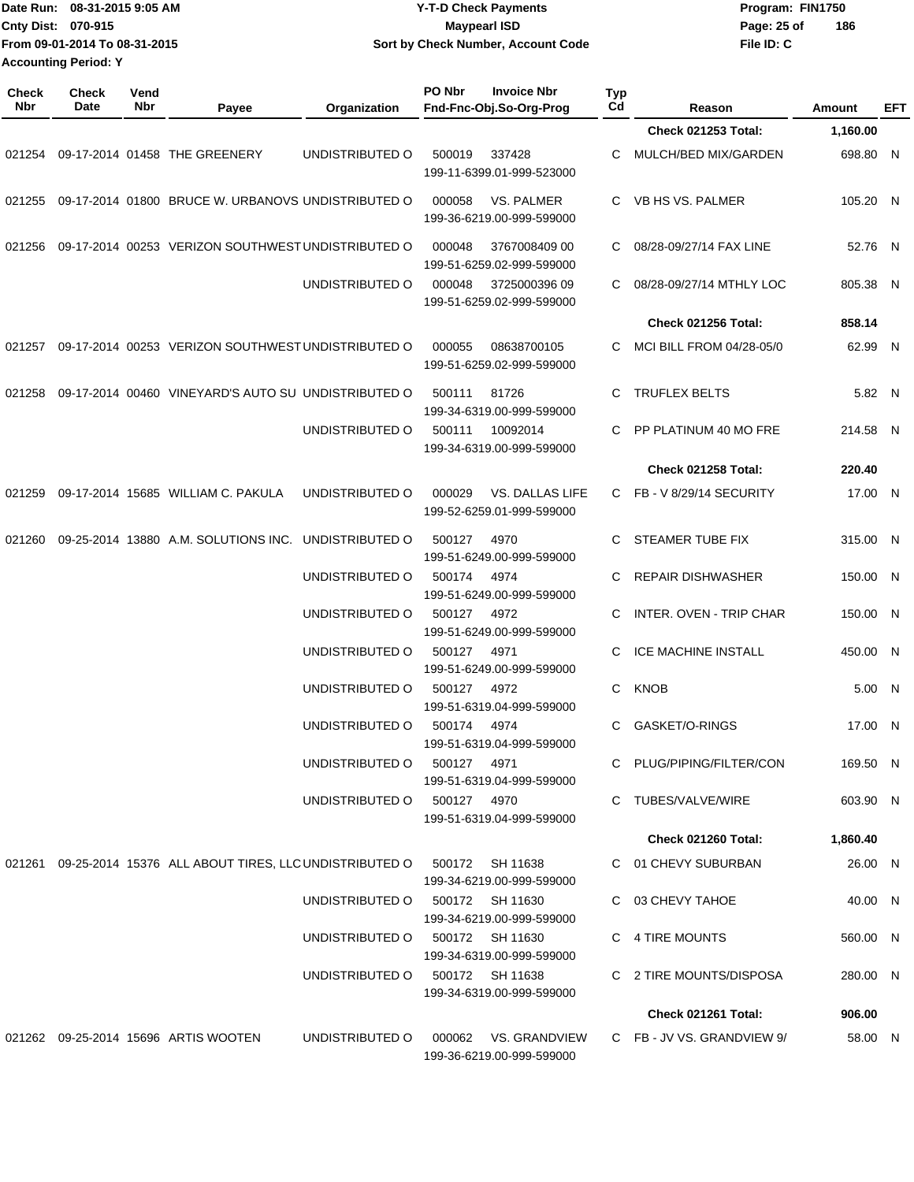|                      | Date Run: 08-31-2015 9:05 AM  | <b>Y-T-D Check Payments</b>        | Program: FIN1750 |     |
|----------------------|-------------------------------|------------------------------------|------------------|-----|
| Cnty Dist: 070-915   |                               | <b>Mavpearl ISD</b>                | Page: 25 of      | 186 |
|                      | From 09-01-2014 To 08-31-2015 | Sort by Check Number, Account Code | File ID: C       |     |
| Accounting Period: Y |                               |                                    |                  |     |

**PO Nbr Invoice Nbr**

**Typ**

**Check**

**Check**

**Vend**

| Nbr    | Date | Nbr | Payee                                                 | Organization    | Fnd-Fnc-Obj.So-Org-Prog                                  | Cd                  | Reason                     | <b>Amount</b> | EFT |
|--------|------|-----|-------------------------------------------------------|-----------------|----------------------------------------------------------|---------------------|----------------------------|---------------|-----|
|        |      |     |                                                       |                 |                                                          |                     | <b>Check 021253 Total:</b> | 1,160.00      |     |
|        |      |     | 021254 09-17-2014 01458 THE GREENERY                  | UNDISTRIBUTED O | 500019<br>337428<br>199-11-6399.01-999-523000            | C                   | MULCH/BED MIX/GARDEN       | 698.80 N      |     |
| 021255 |      |     | 09-17-2014 01800 BRUCE W. URBANOVS UNDISTRIBUTED O    |                 | <b>VS. PALMER</b><br>000058<br>199-36-6219.00-999-599000 |                     | C VB HS VS. PALMER         | 105.20 N      |     |
| 021256 |      |     | 09-17-2014 00253 VERIZON SOUTHWEST UNDISTRIBUTED O    |                 | 000048<br>199-51-6259.02-999-599000                      | 3767008409 00<br>C. | 08/28-09/27/14 FAX LINE    | 52.76 N       |     |
|        |      |     |                                                       | UNDISTRIBUTED O | 000048<br>199-51-6259.02-999-599000                      | 3725000396 09<br>C  | 08/28-09/27/14 MTHLY LOC   | 805.38 N      |     |
|        |      |     |                                                       |                 |                                                          |                     | <b>Check 021256 Total:</b> | 858.14        |     |
| 021257 |      |     | 09-17-2014 00253 VERIZON SOUTHWEST UNDISTRIBUTED O    |                 | 000055<br>199-51-6259.02-999-599000                      | 08638700105<br>C    | MCI BILL FROM 04/28-05/0   | 62.99 N       |     |
| 021258 |      |     | 09-17-2014 00460 VINEYARD'S AUTO SU UNDISTRIBUTED O   |                 | 81726<br>500111<br>199-34-6319.00-999-599000             | C                   | <b>TRUFLEX BELTS</b>       | 5.82 N        |     |
|        |      |     |                                                       | UNDISTRIBUTED O | 500111<br>10092014<br>199-34-6319.00-999-599000          | C.                  | PP PLATINUM 40 MO FRE      | 214.58 N      |     |
|        |      |     |                                                       |                 |                                                          |                     | <b>Check 021258 Total:</b> | 220.40        |     |
| 021259 |      |     | 09-17-2014 15685 WILLIAM C. PAKULA                    | UNDISTRIBUTED O | 000029<br>199-52-6259.01-999-599000                      | VS. DALLAS LIFE     | C FB-V 8/29/14 SECURITY    | 17.00 N       |     |
| 021260 |      |     | 09-25-2014 13880 A.M. SOLUTIONS INC.                  | UNDISTRIBUTED O | 500127<br>4970<br>199-51-6249.00-999-599000              | C                   | STEAMER TUBE FIX           | 315.00 N      |     |
|        |      |     |                                                       | UNDISTRIBUTED O | 500174<br>4974<br>199-51-6249.00-999-599000              | C.                  | <b>REPAIR DISHWASHER</b>   | 150.00 N      |     |
|        |      |     |                                                       | UNDISTRIBUTED O | 500127<br>4972<br>199-51-6249.00-999-599000              | C.                  | INTER. OVEN - TRIP CHAR    | 150.00 N      |     |
|        |      |     |                                                       | UNDISTRIBUTED O | 500127<br>4971<br>199-51-6249.00-999-599000              | C                   | ICE MACHINE INSTALL        | 450.00 N      |     |
|        |      |     |                                                       | UNDISTRIBUTED O | 500127<br>4972<br>199-51-6319.04-999-599000              | C                   | <b>KNOB</b>                | 5.00 N        |     |
|        |      |     |                                                       | UNDISTRIBUTED O | 500174<br>4974<br>199-51-6319.04-999-599000              | C                   | GASKET/O-RINGS             | 17.00 N       |     |
|        |      |     |                                                       | UNDISTRIBUTED O | 500127<br>4971<br>199-51-6319.04-999-599000              | C                   | PLUG/PIPING/FILTER/CON     | 169.50 N      |     |
|        |      |     |                                                       | UNDISTRIBUTED O | 500127 4970<br>199-51-6319.04-999-599000                 |                     | C TUBES/VALVE/WIRE         | 603.90 N      |     |
|        |      |     |                                                       |                 |                                                          |                     | Check 021260 Total:        | 1,860.40      |     |
| 021261 |      |     | 09-25-2014 15376 ALL ABOUT TIRES, LLC UNDISTRIBUTED O |                 | 500172 SH 11638<br>199-34-6219.00-999-599000             |                     | C 01 CHEVY SUBURBAN        | 26.00 N       |     |
|        |      |     |                                                       | UNDISTRIBUTED O | 500172 SH 11630<br>199-34-6219.00-999-599000             |                     | C 03 CHEVY TAHOE           | 40.00 N       |     |
|        |      |     |                                                       | UNDISTRIBUTED O | 500172 SH 11630<br>199-34-6319.00-999-599000             |                     | C 4 TIRE MOUNTS            | 560.00 N      |     |
|        |      |     |                                                       | UNDISTRIBUTED O | 500172 SH 11638<br>199-34-6319.00-999-599000             |                     | C 2 TIRE MOUNTS/DISPOSA    | 280.00 N      |     |
|        |      |     |                                                       |                 |                                                          |                     | Check 021261 Total:        | 906.00        |     |
|        |      |     | 021262 09-25-2014 15696 ARTIS WOOTEN                  | UNDISTRIBUTED O | 000062<br>199-36-6219.00-999-599000                      | VS. GRANDVIEW       | C FB-JV VS. GRANDVIEW 9/   | 58.00 N       |     |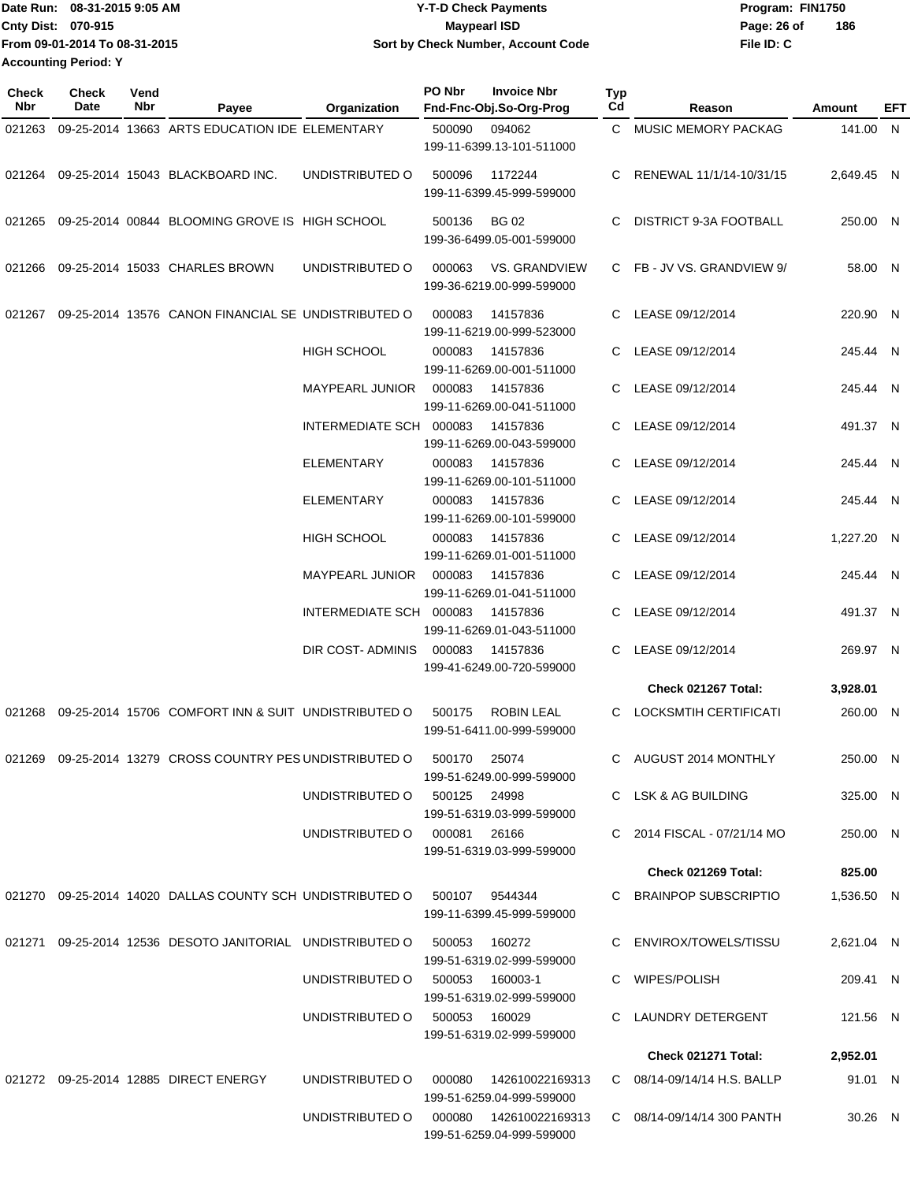Date Run: 08-31-2015 9:05 AM **Date Run:** 08-31-2015 9:05 AM **Cnty Dist:** 070-915 **Page: 26 of MaypearI ISD Page: 26 of File ID: C From 09-01-2014 To 08-31-2015 08-31-2015 9:05 AM Y-T-D Check Payments 070-915 Maypearl ISD Sort by Check Number, Account Code 186 Accounting Period: Y**

| <b>Check</b><br><b>Nbr</b> | Check<br>Date | Vend<br>Nbr | Payee                                                                    | Organization                 | PO Nbr        | <b>Invoice Nbr</b><br>Fnd-Fnc-Obj.So-Org-Prog        | Typ<br>Cd | Reason                        | Amount     | EFT |
|----------------------------|---------------|-------------|--------------------------------------------------------------------------|------------------------------|---------------|------------------------------------------------------|-----------|-------------------------------|------------|-----|
| 021263                     |               |             | 09-25-2014 13663 ARTS EDUCATION IDE ELEMENTARY                           |                              | 500090        | 094062<br>199-11-6399.13-101-511000                  |           | C MUSIC MEMORY PACKAG         | 141.00 N   |     |
| 021264                     |               |             | 09-25-2014 15043 BLACKBOARD INC.                                         | UNDISTRIBUTED O              | 500096        | 1172244<br>199-11-6399.45-999-599000                 | C         | RENEWAL 11/1/14-10/31/15      | 2,649.45 N |     |
| 021265                     |               |             | 09-25-2014 00844 BLOOMING GROVE IS HIGH SCHOOL                           |                              | 500136        | <b>BG 02</b><br>199-36-6499.05-001-599000            | C         | <b>DISTRICT 9-3A FOOTBALL</b> | 250.00 N   |     |
| 021266                     |               |             | 09-25-2014 15033 CHARLES BROWN                                           | UNDISTRIBUTED O              | 000063        | <b>VS. GRANDVIEW</b><br>199-36-6219.00-999-599000    |           | C FB-JV VS. GRANDVIEW 9/      | 58.00 N    |     |
| 021267                     |               |             | 09-25-2014 13576 CANON FINANCIAL SE UNDISTRIBUTED O                      |                              | 000083        | 14157836<br>199-11-6219.00-999-523000                | C.        | LEASE 09/12/2014              | 220.90 N   |     |
|                            |               |             |                                                                          | <b>HIGH SCHOOL</b>           | 000083        | 14157836<br>199-11-6269.00-001-511000                | C.        | LEASE 09/12/2014              | 245.44 N   |     |
|                            |               |             |                                                                          | <b>MAYPEARL JUNIOR</b>       | 000083        | 14157836<br>199-11-6269.00-041-511000                | C.        | LEASE 09/12/2014              | 245.44 N   |     |
|                            |               |             |                                                                          | INTERMEDIATE SCH             | 000083        | 14157836<br>199-11-6269.00-043-599000                | C.        | LEASE 09/12/2014              | 491.37 N   |     |
|                            |               |             |                                                                          | <b>ELEMENTARY</b>            | 000083        | 14157836<br>199-11-6269.00-101-511000                | C.        | LEASE 09/12/2014              | 245.44 N   |     |
|                            |               |             |                                                                          | <b>ELEMENTARY</b>            | 000083        | 14157836<br>199-11-6269.00-101-599000                | C         | LEASE 09/12/2014              | 245.44 N   |     |
|                            |               |             |                                                                          | <b>HIGH SCHOOL</b>           | 000083        | 14157836<br>199-11-6269.01-001-511000                | C         | LEASE 09/12/2014              | 1,227.20 N |     |
|                            |               |             |                                                                          | <b>MAYPEARL JUNIOR</b>       | 000083        | 14157836<br>199-11-6269.01-041-511000                | C         | LEASE 09/12/2014              | 245.44 N   |     |
|                            |               |             |                                                                          | INTERMEDIATE SCH 000083      |               | 14157836<br>199-11-6269.01-043-511000                |           | LEASE 09/12/2014              | 491.37 N   |     |
|                            |               |             |                                                                          | DIR COST- ADMINIS            | 000083        | 14157836<br>199-41-6249.00-720-599000                | C         | LEASE 09/12/2014              | 269.97 N   |     |
|                            |               |             |                                                                          |                              |               |                                                      |           | Check 021267 Total:           | 3,928.01   |     |
| 021268                     |               |             | 09-25-2014 15706 COMFORT INN & SUIT UNDISTRIBUTED O                      |                              | 500175        | <b>ROBIN LEAL</b><br>199-51-6411.00-999-599000       | C.        | <b>LOCKSMTIH CERTIFICATI</b>  | 260.00 N   |     |
|                            |               |             | 021269 09-25-2014 13279 CROSS COUNTRY PES UNDISTRIBUTED O                |                              | 500170        | 25074<br>199-51-6249.00-999-599000                   |           | C AUGUST 2014 MONTHLY         | 250.00 N   |     |
|                            |               |             |                                                                          | UNDISTRIBUTED O              | 500125 24998  | 199-51-6319.03-999-599000                            |           | C LSK & AG BUILDING           | 325.00 N   |     |
|                            |               |             |                                                                          | UNDISTRIBUTED O 000081 26166 |               | 199-51-6319.03-999-599000                            |           | C 2014 FISCAL - 07/21/14 MO   | 250.00 N   |     |
|                            |               |             |                                                                          |                              |               |                                                      |           | Check 021269 Total:           | 825.00     |     |
|                            |               |             | 021270 09-25-2014 14020 DALLAS COUNTY SCH UNDISTRIBUTED O 500107 9544344 |                              |               | 199-11-6399.45-999-599000                            |           | C BRAINPOP SUBSCRIPTIO        | 1,536.50 N |     |
|                            |               |             | 021271 09-25-2014 12536 DESOTO JANITORIAL UNDISTRIBUTED O                |                              | 500053        | 160272<br>199-51-6319.02-999-599000                  |           | C ENVIROX/TOWELS/TISSU        | 2,621.04 N |     |
|                            |               |             |                                                                          | UNDISTRIBUTED O              |               | 500053 160003-1<br>199-51-6319.02-999-599000         |           | C WIPES/POLISH                | 209.41 N   |     |
|                            |               |             |                                                                          | UNDISTRIBUTED O              | 500053 160029 | 199-51-6319.02-999-599000                            |           | C LAUNDRY DETERGENT           | 121.56 N   |     |
|                            |               |             |                                                                          |                              |               |                                                      |           | Check 021271 Total:           | 2,952.01   |     |
|                            |               |             | 021272 09-25-2014 12885 DIRECT ENERGY                                    | UNDISTRIBUTED O              | 000080        | 142610022169313<br>199-51-6259.04-999-599000         |           | C 08/14-09/14/14 H.S. BALLP   | 91.01 N    |     |
|                            |               |             |                                                                          | UNDISTRIBUTED O              |               | 000080  142610022169313<br>199-51-6259.04-999-599000 |           | C 08/14-09/14/14 300 PANTH    | 30.26 N    |     |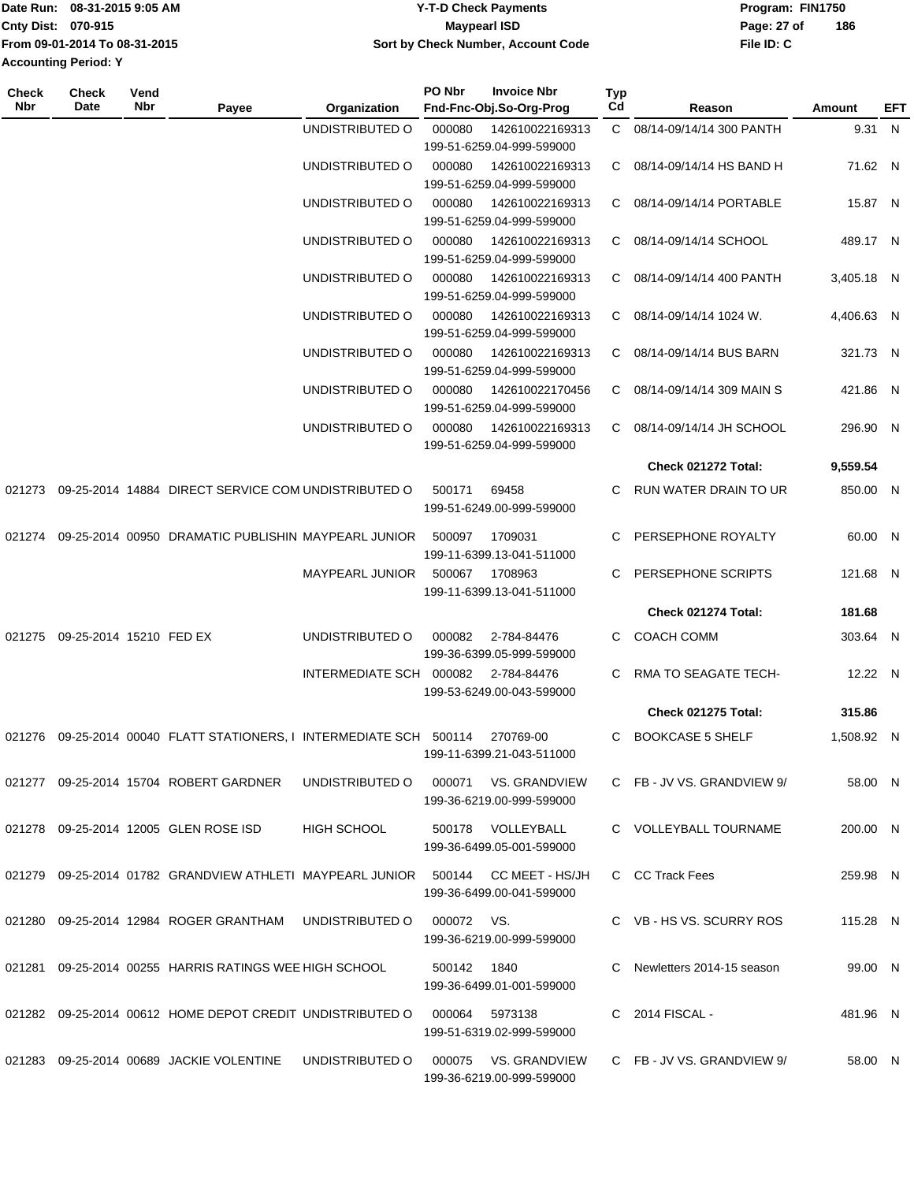|                             | Date Run: 08-31-2015 9:05 AM  | Y-T-D Check Payments               | Program: FIN1750 |     |
|-----------------------------|-------------------------------|------------------------------------|------------------|-----|
| Cnty Dist: 070-915          |                               | <b>Mavpearl ISD</b>                | Page: 27 of      | 186 |
|                             | From 09-01-2014 To 08-31-2015 | Sort by Check Number, Account Code | File ID: C       |     |
| <b>Accounting Period: Y</b> |                               |                                    |                  |     |

| Check<br>Nbr | <b>Check</b><br>Date           | Vend<br>Nbr | Payee                                                                            | Organization            | PO Nbr      | <b>Invoice Nbr</b><br>Fnd-Fnc-Obj.So-Org-Prog | Typ<br>Cd | Reason                                      | Amount     | EFT |
|--------------|--------------------------------|-------------|----------------------------------------------------------------------------------|-------------------------|-------------|-----------------------------------------------|-----------|---------------------------------------------|------------|-----|
|              |                                |             |                                                                                  | UNDISTRIBUTED O         | 000080      | 142610022169313<br>199-51-6259.04-999-599000  |           | C 08/14-09/14/14 300 PANTH                  | 9.31 N     |     |
|              |                                |             |                                                                                  | UNDISTRIBUTED O         | 000080      | 142610022169313<br>199-51-6259.04-999-599000  | C.        | 08/14-09/14/14 HS BAND H                    | 71.62 N    |     |
|              |                                |             |                                                                                  | UNDISTRIBUTED O         | 000080      | 142610022169313<br>199-51-6259.04-999-599000  | C.        | 08/14-09/14/14 PORTABLE                     | 15.87 N    |     |
|              |                                |             |                                                                                  | UNDISTRIBUTED O         | 000080      | 142610022169313<br>199-51-6259.04-999-599000  | C.        | 08/14-09/14/14 SCHOOL                       | 489.17 N   |     |
|              |                                |             |                                                                                  | UNDISTRIBUTED O         | 000080      | 142610022169313<br>199-51-6259.04-999-599000  | C         | 08/14-09/14/14 400 PANTH                    | 3.405.18 N |     |
|              |                                |             |                                                                                  | UNDISTRIBUTED O         | 000080      | 142610022169313<br>199-51-6259.04-999-599000  |           | $C = \frac{08}{14} - \frac{09}{14}$ 1024 W. | 4,406.63 N |     |
|              |                                |             |                                                                                  | UNDISTRIBUTED O         | 000080      | 142610022169313<br>199-51-6259.04-999-599000  |           | C 08/14-09/14/14 BUS BARN                   | 321.73 N   |     |
|              |                                |             |                                                                                  | UNDISTRIBUTED O         | 000080      | 142610022170456<br>199-51-6259.04-999-599000  |           | C 08/14-09/14/14 309 MAIN S                 | 421.86 N   |     |
|              |                                |             |                                                                                  | UNDISTRIBUTED O         | 000080      | 142610022169313<br>199-51-6259.04-999-599000  | C.        | 08/14-09/14/14 JH SCHOOL                    | 296.90 N   |     |
|              |                                |             |                                                                                  |                         |             |                                               |           | Check 021272 Total:                         | 9,559.54   |     |
| 021273       |                                |             | 09-25-2014 14884 DIRECT SERVICE COM UNDISTRIBUTED O                              |                         | 500171      | 69458<br>199-51-6249.00-999-599000            | C.        | RUN WATER DRAIN TO UR                       | 850.00 N   |     |
| 021274       |                                |             | 09-25-2014 00950 DRAMATIC PUBLISHIN MAYPEARL JUNIOR                              |                         | 500097      | 1709031<br>199-11-6399.13-041-511000          | C         | PERSEPHONE ROYALTY                          | 60.00 N    |     |
|              |                                |             |                                                                                  | <b>MAYPEARL JUNIOR</b>  | 500067      | 1708963<br>199-11-6399.13-041-511000          |           | PERSEPHONE SCRIPTS                          | 121.68 N   |     |
|              |                                |             |                                                                                  |                         |             |                                               |           | Check 021274 Total:                         | 181.68     |     |
|              | 021275 09-25-2014 15210 FED EX |             |                                                                                  | UNDISTRIBUTED O         | 000082      | 2-784-84476<br>199-36-6399.05-999-599000      |           | <b>COACH COMM</b>                           | 303.64 N   |     |
|              |                                |             |                                                                                  | INTERMEDIATE SCH 000082 |             | 2-784-84476<br>199-53-6249.00-043-599000      | C.        | <b>RMA TO SEAGATE TECH-</b>                 | 12.22 N    |     |
|              |                                |             |                                                                                  |                         |             |                                               |           | <b>Check 021275 Total:</b>                  | 315.86     |     |
|              |                                |             | 021276 09-25-2014 00040 FLATT STATIONERS, I INTERMEDIATE SCH 500114              |                         |             | 270769-00<br>199-11-6399.21-043-511000        | C.        | BOOKCASE 5 SHELF                            | 1,508.92 N |     |
|              |                                |             | 021277  09-25-2014  15704  ROBERT GARDNER                                        | UNDISTRIBUTED O         | 000071      | VS. GRANDVIEW<br>199-36-6219.00-999-599000    |           | C FB-JV VS. GRANDVIEW 9/                    | 58.00 N    |     |
|              |                                |             | 021278 09-25-2014 12005 GLEN ROSE ISD                                            | <b>HIGH SCHOOL</b>      | 500178      | VOLLEYBALL<br>199-36-6499.05-001-599000       |           | C VOLLEYBALL TOURNAME                       | 200.00 N   |     |
|              |                                |             | 021279    09-25-2014    01782    GRANDVIEW ATHLETI_MAYPEARL    JUNIOR    _500144 |                         |             | CC MEET - HS/JH<br>199-36-6499.00-041-599000  |           | C CC Track Fees                             | 259.98 N   |     |
|              |                                |             | 021280 09-25-2014 12984 ROGER GRANTHAM                                           | UNDISTRIBUTED O         | 000072 VS.  | 199-36-6219.00-999-599000                     |           | C VB - HS VS. SCURRY ROS                    | 115.28 N   |     |
|              |                                |             | 021281  09-25-2014  00255  HARRIS RATINGS WEE HIGH SCHOOL                        |                         | 500142 1840 | 199-36-6499.01-001-599000                     |           | Newletters 2014-15 season                   | 99.00 N    |     |
|              |                                |             | 021282 09-25-2014 00612 HOME DEPOT CREDIT UNDISTRIBUTED O                        |                         | 000064      | 5973138<br>199-51-6319.02-999-599000          |           | C 2014 FISCAL -                             | 481.96 N   |     |
|              |                                |             | 021283  09-25-2014  00689  JACKIE VOLENTINE                                      | UNDISTRIBUTED O         | 000075      | VS. GRANDVIEW<br>199-36-6219.00-999-599000    |           | C FB-JV VS. GRANDVIEW 9/                    | 58.00 N    |     |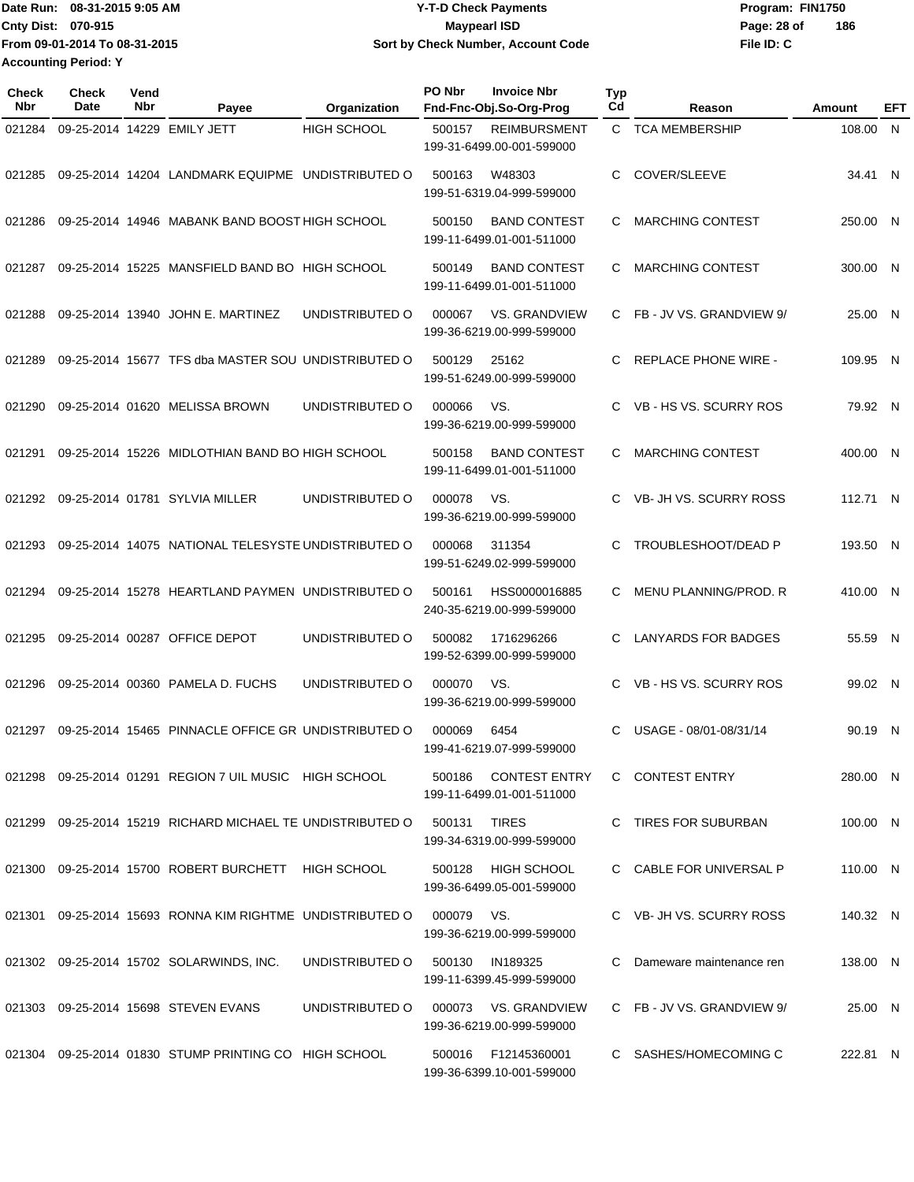Date Run: 08-31-2015 9:05 AM **Date Run:** 08-31-2015 9:05 AM **Cnty Dist:** 070-915 **Page: 28 of MaypearI ISD MaypearI ISD Page: 28 of File ID: C From 09-01-2014 To 08-31-2015 08-31-2015 9:05 AM Y-T-D Check Payments 070-915 Maypearl ISD Sort by Check Number, Account Code 186 Accounting Period: Y**

| Check<br>Nbr | Check<br>Date | Vend<br><b>Nbr</b> | Payee                                                      | Organization                         | PO Nbr     | <b>Invoice Nbr</b><br>Fnd-Fnc-Obj.So-Org-Prog     | <b>Typ</b><br>Cd | Reason                      | Amount   | EFT |
|--------------|---------------|--------------------|------------------------------------------------------------|--------------------------------------|------------|---------------------------------------------------|------------------|-----------------------------|----------|-----|
| 021284       |               |                    | 09-25-2014 14229 EMILY JETT                                | <b>HIGH SCHOOL</b>                   | 500157     | <b>REIMBURSMENT</b><br>199-31-6499.00-001-599000  |                  | C TCA MEMBERSHIP            | 108.00 N |     |
| 021285       |               |                    | 09-25-2014 14204 LANDMARK EQUIPME UNDISTRIBUTED O          |                                      | 500163     | W48303<br>199-51-6319.04-999-599000               | C                | COVER/SLEEVE                | 34.41 N  |     |
| 021286       |               |                    | 09-25-2014 14946 MABANK BAND BOOST HIGH SCHOOL             |                                      | 500150     | <b>BAND CONTEST</b><br>199-11-6499.01-001-511000  | C                | <b>MARCHING CONTEST</b>     | 250.00 N |     |
| 021287       |               |                    | 09-25-2014 15225 MANSFIELD BAND BO HIGH SCHOOL             |                                      | 500149     | <b>BAND CONTEST</b><br>199-11-6499.01-001-511000  | C                | <b>MARCHING CONTEST</b>     | 300.00 N |     |
| 021288       |               |                    | 09-25-2014 13940 JOHN E. MARTINEZ                          | UNDISTRIBUTED O                      | 000067     | VS. GRANDVIEW<br>199-36-6219.00-999-599000        | C.               | FB - JV VS. GRANDVIEW 9/    | 25.00 N  |     |
| 021289       |               |                    | 09-25-2014 15677 TFS dba MASTER SOU UNDISTRIBUTED O        |                                      | 500129     | 25162<br>199-51-6249.00-999-599000                | C                | <b>REPLACE PHONE WIRE -</b> | 109.95 N |     |
| 021290       |               |                    | 09-25-2014 01620 MELISSA BROWN                             | UNDISTRIBUTED O                      | 000066     | VS.<br>199-36-6219.00-999-599000                  | C.               | VB - HS VS. SCURRY ROS      | 79.92 N  |     |
| 021291       |               |                    | 09-25-2014 15226 MIDLOTHIAN BAND BO HIGH SCHOOL            |                                      | 500158     | <b>BAND CONTEST</b><br>199-11-6499.01-001-511000  | C                | <b>MARCHING CONTEST</b>     | 400.00 N |     |
| 021292       |               |                    | 09-25-2014 01781 SYLVIA MILLER                             | UNDISTRIBUTED O                      | 000078     | VS.<br>199-36-6219.00-999-599000                  | C.               | VB- JH VS. SCURRY ROSS      | 112.71 N |     |
| 021293       |               |                    | 09-25-2014 14075 NATIONAL TELESYSTE UNDISTRIBUTED O        |                                      | 000068     | 311354<br>199-51-6249.02-999-599000               | C                | <b>TROUBLESHOOT/DEAD P</b>  | 193.50 N |     |
| 021294       |               |                    | 09-25-2014 15278 HEARTLAND PAYMEN UNDISTRIBUTED O          |                                      | 500161     | HSS0000016885<br>240-35-6219.00-999-599000        | C.               | MENU PLANNING/PROD. R       | 410.00 N |     |
| 021295       |               |                    | 09-25-2014 00287 OFFICE DEPOT                              | UNDISTRIBUTED O                      | 500082     | 1716296266<br>199-52-6399.00-999-599000           | C                | <b>LANYARDS FOR BADGES</b>  | 55.59 N  |     |
| 021296       |               |                    | 09-25-2014 00360 PAMELA D. FUCHS                           | UNDISTRIBUTED O                      | 000070     | VS.<br>199-36-6219.00-999-599000                  | C.               | VB - HS VS. SCURRY ROS      | 99.02 N  |     |
| 021297       |               |                    | 09-25-2014 15465 PINNACLE OFFICE GR UNDISTRIBUTED O        |                                      | 000069     | 6454<br>199-41-6219.07-999-599000                 | C                | USAGE - 08/01-08/31/14      | 90.19 N  |     |
|              |               |                    | 021298 09-25-2014 01291 REGION 7 UIL MUSIC HIGH SCHOOL     |                                      |            | 500186 CONTEST ENTRY<br>199-11-6499.01-001-511000 |                  | C CONTEST ENTRY             | 280.00 N |     |
|              |               |                    | 021299 09-25-2014 15219 RICHARD MICHAEL TE UNDISTRIBUTED O |                                      | 500131     | <b>TIRES</b><br>199-34-6319.00-999-599000         |                  | C TIRES FOR SUBURBAN        | 100.00 N |     |
|              |               |                    | 021300  09-25-2014  15700  ROBERT BURCHETT  HIGH SCHOOL    |                                      | 500128     | <b>HIGH SCHOOL</b><br>199-36-6499.05-001-599000   |                  | C CABLE FOR UNIVERSAL P     | 110.00 N |     |
|              |               |                    | 021301 09-25-2014 15693 RONNA KIM RIGHTME UNDISTRIBUTED O  |                                      | 000079 VS. | 199-36-6219.00-999-599000                         |                  | C VB-JH VS. SCURRY ROSS     | 140.32 N |     |
|              |               |                    | 021302 09-25-2014 15702 SOLARWINDS, INC.                   | UNDISTRIBUTED O                      | 500130     | IN189325<br>199-11-6399.45-999-599000             | C                | Dameware maintenance ren    | 138.00 N |     |
|              |               |                    | 021303 09-25-2014 15698 STEVEN EVANS                       | UNDISTRIBUTED O 000073 VS. GRANDVIEW |            | 199-36-6219.00-999-599000                         |                  | C FB-JV VS. GRANDVIEW 9/    | 25.00 N  |     |
|              |               |                    | 021304 09-25-2014 01830 STUMP PRINTING CO HIGH SCHOOL      |                                      |            | 500016 F12145360001<br>199-36-6399.10-001-599000  |                  | C SASHES/HOMECOMING C       | 222.81 N |     |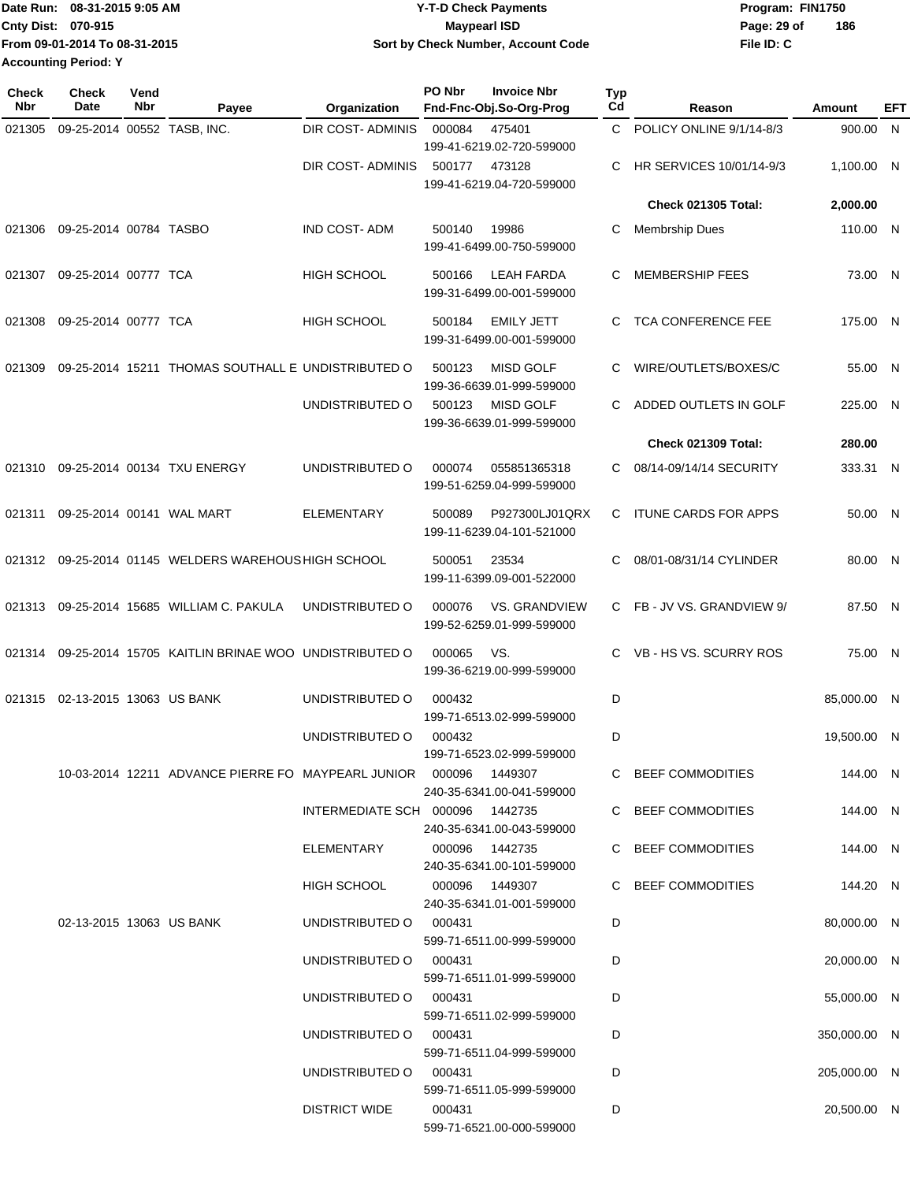| Date Run: 08-31-2015 9:05 AM  | <b>Y-T-D Check Payments</b>        | Program: FIN1750   |
|-------------------------------|------------------------------------|--------------------|
| Cnty Dist: 070-915            | <b>Mavpearl ISD</b>                | 186<br>Page: 29 of |
| From 09-01-2014 To 08-31-2015 | Sort by Check Number, Account Code | File ID: C         |
| <b>Accounting Period: Y</b>   |                                    |                    |

| <b>Check</b><br>Nbr | <b>Check</b><br>Date        | Vend<br>Nbr | Payee                                                                         | Organization                    | PO Nbr         | <b>Invoice Nbr</b><br>Fnd-Fnc-Obj.So-Org-Prog  | Typ<br>Cd | Reason                      | Amount       | EFT |
|---------------------|-----------------------------|-------------|-------------------------------------------------------------------------------|---------------------------------|----------------|------------------------------------------------|-----------|-----------------------------|--------------|-----|
| 021305              | 09-25-2014 00552 TASB, INC. |             |                                                                               | <b>DIR COST- ADMINIS</b>        | 000084         | 475401<br>199-41-6219.02-720-599000            | C.        | POLICY ONLINE 9/1/14-8/3    | 900.00 N     |     |
|                     |                             |             |                                                                               | DIR COST- ADMINIS               | 500177         | 473128<br>199-41-6219.04-720-599000            | C         | HR SERVICES 10/01/14-9/3    | 1,100.00 N   |     |
|                     |                             |             |                                                                               |                                 |                |                                                |           | <b>Check 021305 Total:</b>  | 2,000.00     |     |
| 021306              | 09-25-2014 00784 TASBO      |             |                                                                               | IND COST-ADM                    | 500140         | 19986<br>199-41-6499.00-750-599000             | С         | <b>Membrship Dues</b>       | 110.00 N     |     |
| 021307              | 09-25-2014 00777 TCA        |             |                                                                               | <b>HIGH SCHOOL</b>              | 500166         | <b>LEAH FARDA</b><br>199-31-6499.00-001-599000 | C         | <b>MEMBERSHIP FEES</b>      | 73.00 N      |     |
| 021308              | 09-25-2014 00777 TCA        |             |                                                                               | HIGH SCHOOL                     | 500184         | <b>EMILY JETT</b><br>199-31-6499.00-001-599000 | C.        | TCA CONFERENCE FEE          | 175.00 N     |     |
| 021309              |                             |             | 09-25-2014 15211 THOMAS SOUTHALL E UNDISTRIBUTED O                            |                                 | 500123         | <b>MISD GOLF</b><br>199-36-6639.01-999-599000  | C         | WIRE/OUTLETS/BOXES/C        | 55.00 N      |     |
|                     |                             |             |                                                                               | UNDISTRIBUTED O                 | 500123         | <b>MISD GOLF</b><br>199-36-6639.01-999-599000  | C.        | ADDED OUTLETS IN GOLF       | 225.00 N     |     |
|                     |                             |             |                                                                               |                                 |                |                                                |           | <b>Check 021309 Total:</b>  | 280.00       |     |
| 021310              |                             |             | 09-25-2014 00134 TXU ENERGY                                                   | UNDISTRIBUTED O                 | 000074         | 055851365318<br>199-51-6259.04-999-599000      | C.        | 08/14-09/14/14 SECURITY     | 333.31 N     |     |
| 021311              |                             |             | 09-25-2014 00141 WAL MART                                                     | <b>ELEMENTARY</b>               | 500089         | P927300LJ01QRX<br>199-11-6239.04-101-521000    | C         | <b>ITUNE CARDS FOR APPS</b> | 50.00 N      |     |
|                     |                             |             | 021312 09-25-2014 01145 WELDERS WAREHOUS HIGH SCHOOL                          |                                 | 500051         | 23534<br>199-11-6399.09-001-522000             | C         | 08/01-08/31/14 CYLINDER     | 80.00 N      |     |
| 021313              |                             |             | 09-25-2014 15685 WILLIAM C. PAKULA                                            | UNDISTRIBUTED O                 | 000076         | VS. GRANDVIEW<br>199-52-6259.01-999-599000     |           | C FB-JV VS. GRANDVIEW 9/    | 87.50 N      |     |
| 021314              |                             |             | 09-25-2014 15705 KAITLIN BRINAE WOO UNDISTRIBUTED O                           |                                 | 000065         | VS.<br>199-36-6219.00-999-599000               | C.        | VB - HS VS. SCURRY ROS      | 75.00 N      |     |
| 021315              | 02-13-2015 13063 US BANK    |             |                                                                               | UNDISTRIBUTED O                 | 000432         | 199-71-6513.02-999-599000                      | D         |                             | 85,000.00 N  |     |
|                     |                             |             |                                                                               | UNDISTRIBUTED O                 | 000432         | 199-71-6523.02-999-599000                      | D         |                             | 19,500.00 N  |     |
|                     |                             |             | 10-03-2014 12211 ADVANCE PIERRE FO MAYPEARL JUNIOR     000096         1449307 |                                 |                | 240-35-6341.00-041-599000                      |           | C BEEF COMMODITIES          | 144.00 N     |     |
|                     |                             |             |                                                                               | INTERMEDIATE SCH 000096 1442735 |                | 240-35-6341.00-043-599000                      |           | C BEEF COMMODITIES          | 144.00 N     |     |
|                     |                             |             |                                                                               | ELEMENTARY                      | 000096 1442735 | 240-35-6341.00-101-599000                      |           | C BEEF COMMODITIES          | 144.00 N     |     |
|                     |                             |             |                                                                               | HIGH SCHOOL                     | 000096 1449307 | 240-35-6341.01-001-599000                      |           | C BEEF COMMODITIES          | 144.20 N     |     |
|                     | 02-13-2015 13063 US BANK    |             |                                                                               | UNDISTRIBUTED O 000431          |                | 599-71-6511.00-999-599000                      | D         |                             | 80,000.00 N  |     |
|                     |                             |             |                                                                               | UNDISTRIBUTED O                 | 000431         | 599-71-6511.01-999-599000                      | D         |                             | 20,000.00 N  |     |
|                     |                             |             |                                                                               | UNDISTRIBUTED O                 | 000431         | 599-71-6511.02-999-599000                      | D         |                             | 55,000.00 N  |     |
|                     |                             |             |                                                                               | UNDISTRIBUTED O 000431          |                | 599-71-6511.04-999-599000                      | D         |                             | 350,000.00 N |     |
|                     |                             |             |                                                                               | UNDISTRIBUTED O 000431          |                | 599-71-6511.05-999-599000                      | D         |                             | 205,000.00 N |     |
|                     |                             |             |                                                                               | <b>DISTRICT WIDE</b>            | 000431         | 599-71-6521.00-000-599000                      | D         |                             | 20,500.00 N  |     |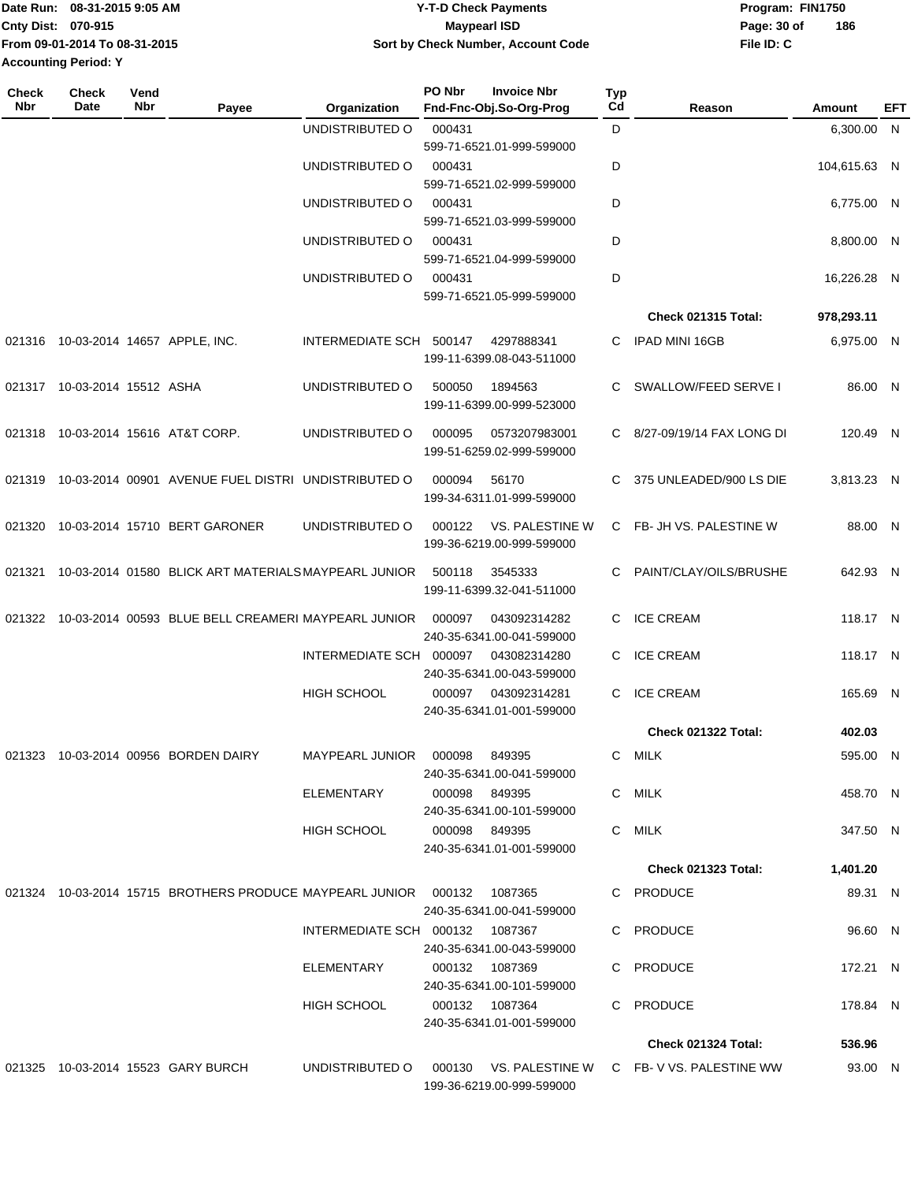|                             | Date Run: 08-31-2015 9:05 AM  | <b>Y-T-D Check Payments</b>        | Program: FIN1750 |     |
|-----------------------------|-------------------------------|------------------------------------|------------------|-----|
| <b>Cnty Dist: 070-915</b>   |                               | Mavpearl ISD                       | Page: 30 of      | 186 |
|                             | From 09-01-2014 To 08-31-2015 | Sort by Check Number, Account Code | File ID: C       |     |
| <b>Accounting Period: Y</b> |                               |                                    |                  |     |

| Check<br>Nbr | <b>Check</b><br>Date         | Vend<br>Nbr | Payee                                                                     | Organization                    | PO Nbr        | <b>Invoice Nbr</b><br>Fnd-Fnc-Obj.So-Org-Prog | Typ<br>Cd | Reason                                         | Amount       | EFT |
|--------------|------------------------------|-------------|---------------------------------------------------------------------------|---------------------------------|---------------|-----------------------------------------------|-----------|------------------------------------------------|--------------|-----|
|              |                              |             |                                                                           | UNDISTRIBUTED O                 | 000431        | 599-71-6521.01-999-599000                     | D         |                                                | 6,300.00 N   |     |
|              |                              |             |                                                                           | UNDISTRIBUTED O                 | 000431        | 599-71-6521.02-999-599000                     | D         |                                                | 104,615.63 N |     |
|              |                              |             |                                                                           | UNDISTRIBUTED O                 | 000431        | 599-71-6521.03-999-599000                     | D         |                                                | 6,775.00 N   |     |
|              |                              |             |                                                                           | UNDISTRIBUTED O                 | 000431        | 599-71-6521.04-999-599000                     | D         |                                                | 8,800.00 N   |     |
|              |                              |             |                                                                           | UNDISTRIBUTED O                 | 000431        | 599-71-6521.05-999-599000                     | D         |                                                | 16,226.28 N  |     |
|              |                              |             |                                                                           |                                 |               |                                               |           | <b>Check 021315 Total:</b>                     | 978,293.11   |     |
|              |                              |             | 021316 10-03-2014 14657 APPLE, INC.                                       | INTERMEDIATE SCH 500147         |               | 4297888341<br>199-11-6399.08-043-511000       | C         | <b>IPAD MINI 16GB</b>                          | 6,975.00 N   |     |
|              | 021317 10-03-2014 15512 ASHA |             |                                                                           | UNDISTRIBUTED O                 | 500050        | 1894563<br>199-11-6399.00-999-523000          | C         | SWALLOW/FEED SERVE I                           | 86.00 N      |     |
| 021318       |                              |             | 10-03-2014 15616 AT&T CORP.                                               | UNDISTRIBUTED O                 | 000095        | 0573207983001<br>199-51-6259.02-999-599000    |           | C 8/27-09/19/14 FAX LONG DI                    | 120.49 N     |     |
| 021319       |                              |             | 10-03-2014 00901 AVENUE FUEL DISTRI UNDISTRIBUTED O                       |                                 | 000094        | 56170<br>199-34-6311.01-999-599000            | C.        | 375 UNLEADED/900 LS DIE                        | 3,813.23 N   |     |
| 021320       |                              |             | 10-03-2014 15710 BERT GARONER                                             | UNDISTRIBUTED O                 | 000122        | VS. PALESTINE W<br>199-36-6219.00-999-599000  |           | C FB- JH VS. PALESTINE W                       | 88.00 N      |     |
| 021321       |                              |             | 10-03-2014 01580 BLICK ART MATERIALS MAYPEARL JUNIOR                      |                                 | 500118        | 3545333<br>199-11-6399.32-041-511000          | C.        | PAINT/CLAY/OILS/BRUSHE                         | 642.93 N     |     |
| 021322       |                              |             | 10-03-2014 00593 BLUE BELL CREAMERI MAYPEARL JUNIOR                       |                                 | 000097        | 043092314282<br>240-35-6341.00-041-599000     | C.        | <b>ICE CREAM</b>                               | 118.17 N     |     |
|              |                              |             |                                                                           | INTERMEDIATE SCH 000097         |               | 043082314280<br>240-35-6341.00-043-599000     | C.        | <b>ICE CREAM</b>                               | 118.17 N     |     |
|              |                              |             |                                                                           | <b>HIGH SCHOOL</b>              | 000097        | 043092314281<br>240-35-6341.01-001-599000     | C.        | <b>ICE CREAM</b>                               | 165.69 N     |     |
|              |                              |             |                                                                           |                                 |               |                                               |           | <b>Check 021322 Total:</b>                     | 402.03       |     |
|              |                              |             | 021323 10-03-2014 00956 BORDEN DAIRY                                      | MAYPEARL JUNIOR                 | 000098        | 849395<br>240-35-6341.00-041-599000           |           | C MILK                                         | 595.00 N     |     |
|              |                              |             |                                                                           | ELEMENTARY                      | 000098 849395 | 240-35-6341.00-101-599000                     |           | C MILK                                         | 458.70 N     |     |
|              |                              |             |                                                                           | HIGH SCHOOL                     | 000098 849395 | 240-35-6341.01-001-599000                     |           | C MILK                                         | 347.50 N     |     |
|              |                              |             |                                                                           |                                 |               |                                               |           | <b>Check 021323 Total:</b>                     | 1,401.20     |     |
|              |                              |             | 021324 10-03-2014 15715 BROTHERS PRODUCE MAYPEARL JUNIOR  000132  1087365 |                                 |               | 240-35-6341.00-041-599000                     |           | C PRODUCE                                      | 89.31 N      |     |
|              |                              |             |                                                                           | INTERMEDIATE SCH 000132 1087367 |               | 240-35-6341.00-043-599000                     |           | C PRODUCE                                      | 96.60 N      |     |
|              |                              |             |                                                                           | ELEMENTARY                      |               | 000132 1087369<br>240-35-6341.00-101-599000   |           | C PRODUCE                                      | 172.21 N     |     |
|              |                              |             |                                                                           | <b>HIGH SCHOOL</b>              |               | 000132 1087364<br>240-35-6341.01-001-599000   |           | C PRODUCE                                      | 178.84 N     |     |
|              |                              |             |                                                                           |                                 |               |                                               |           | Check 021324 Total:                            | 536.96       |     |
|              |                              |             | 021325 10-03-2014 15523 GARY BURCH                                        | UNDISTRIBUTED O                 |               | 199-36-6219.00-999-599000                     |           | 000130 VS. PALESTINE W C FB-V VS. PALESTINE WW | 93.00 N      |     |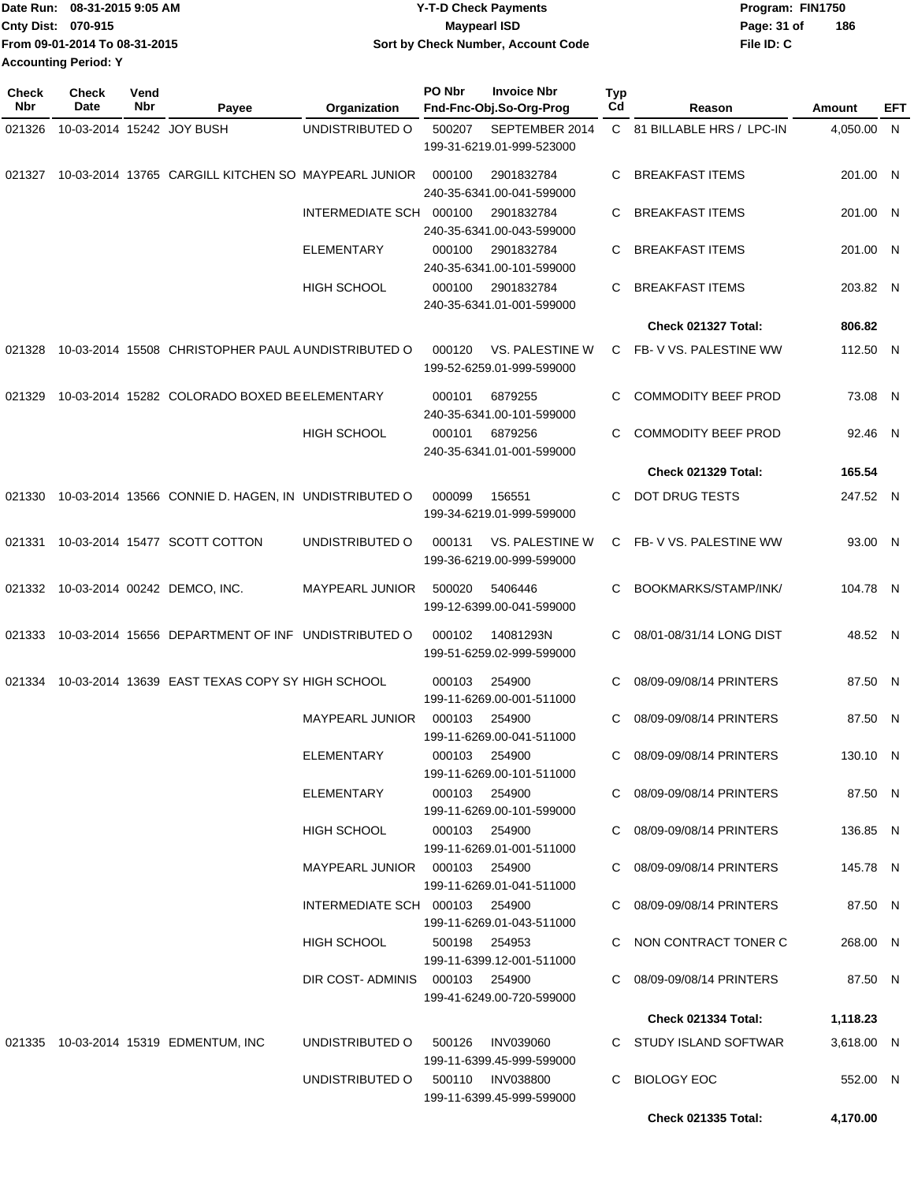|                             | Date Run: 08-31-2015 9:05 AM  | <b>Y-T-D Check Payments</b>        | Program: FIN1750 |     |
|-----------------------------|-------------------------------|------------------------------------|------------------|-----|
| Cnty Dist: 070-915          |                               | Maypearl ISD                       | Page: 31 of      | 186 |
|                             | From 09-01-2014 To 08-31-2015 | Sort by Check Number, Account Code | File ID: C       |     |
| <b>Accounting Period: Y</b> |                               |                                    |                  |     |

| <b>Check</b><br>Nbr | <b>Check</b><br>Date      | Vend<br>Nbr | Payee                                                | Organization                    | PO Nbr        | <b>Invoice Nbr</b><br>Fnd-Fnc-Obj.So-Org-Prog | Typ<br>Cd | Reason                     | Amount     | EFT |
|---------------------|---------------------------|-------------|------------------------------------------------------|---------------------------------|---------------|-----------------------------------------------|-----------|----------------------------|------------|-----|
| 021326              | 10-03-2014 15242 JOY BUSH |             |                                                      | UNDISTRIBUTED O                 | 500207        | SEPTEMBER 2014<br>199-31-6219.01-999-523000   |           | C 81 BILLABLE HRS / LPC-IN | 4,050.00 N |     |
| 021327              |                           |             | 10-03-2014 13765 CARGILL KITCHEN SO MAYPEARL JUNIOR  |                                 | 000100        | 2901832784<br>240-35-6341.00-041-599000       | C.        | <b>BREAKFAST ITEMS</b>     | 201.00 N   |     |
|                     |                           |             |                                                      | INTERMEDIATE SCH 000100         |               | 2901832784<br>240-35-6341.00-043-599000       | C         | <b>BREAKFAST ITEMS</b>     | 201.00 N   |     |
|                     |                           |             |                                                      | <b>ELEMENTARY</b>               | 000100        | 2901832784<br>240-35-6341.00-101-599000       | C         | <b>BREAKFAST ITEMS</b>     | 201.00 N   |     |
|                     |                           |             |                                                      | <b>HIGH SCHOOL</b>              | 000100        | 2901832784<br>240-35-6341.01-001-599000       | C         | <b>BREAKFAST ITEMS</b>     | 203.82 N   |     |
|                     |                           |             |                                                      |                                 |               |                                               |           | <b>Check 021327 Total:</b> | 806.82     |     |
| 021328              |                           |             | 10-03-2014 15508 CHRISTOPHER PAUL A UNDISTRIBUTED O  |                                 | 000120        | VS. PALESTINE W<br>199-52-6259.01-999-599000  | C.        | FB-VVS. PALESTINE WW       | 112.50 N   |     |
| 021329              |                           |             | 10-03-2014 15282 COLORADO BOXED BE ELEMENTARY        |                                 | 000101        | 6879255<br>240-35-6341.00-101-599000          | C         | <b>COMMODITY BEEF PROD</b> | 73.08 N    |     |
|                     |                           |             |                                                      | <b>HIGH SCHOOL</b>              | 000101        | 6879256<br>240-35-6341.01-001-599000          | C         | <b>COMMODITY BEEF PROD</b> | 92.46 N    |     |
|                     |                           |             |                                                      |                                 |               |                                               |           | Check 021329 Total:        | 165.54     |     |
| 021330              |                           |             | 10-03-2014 13566 CONNIE D. HAGEN, IN UNDISTRIBUTED O |                                 | 000099        | 156551<br>199-34-6219.01-999-599000           | C.        | DOT DRUG TESTS             | 247.52 N   |     |
| 021331              |                           |             | 10-03-2014 15477 SCOTT COTTON                        | UNDISTRIBUTED O                 | 000131        | VS. PALESTINE W<br>199-36-6219.00-999-599000  |           | C FB-V VS. PALESTINE WW    | 93.00 N    |     |
| 021332              |                           |             | 10-03-2014 00242 DEMCO, INC.                         | <b>MAYPEARL JUNIOR</b>          | 500020        | 5406446<br>199-12-6399.00-041-599000          | C         | BOOKMARKS/STAMP/INK/       | 104.78 N   |     |
| 021333              |                           |             | 10-03-2014 15656 DEPARTMENT OF INF UNDISTRIBUTED O   |                                 | 000102        | 14081293N<br>199-51-6259.02-999-599000        | C         | 08/01-08/31/14 LONG DIST   | 48.52 N    |     |
| 021334              |                           |             | 10-03-2014 13639 EAST TEXAS COPY SY HIGH SCHOOL      |                                 | 000103        | 254900<br>199-11-6269.00-001-511000           | С         | 08/09-09/08/14 PRINTERS    | 87.50 N    |     |
|                     |                           |             |                                                      | <b>MAYPEARL JUNIOR</b>          | 000103        | 254900<br>199-11-6269.00-041-511000           | C         | 08/09-09/08/14 PRINTERS    | 87.50 N    |     |
|                     |                           |             |                                                      | <b>ELEMENTARY</b>               | 000103 254900 | 199-11-6269.00-101-511000                     |           | C 08/09-09/08/14 PRINTERS  | 130.10 N   |     |
|                     |                           |             |                                                      | ELEMENTARY                      | 000103 254900 | 199-11-6269.00-101-599000                     |           | C 08/09-09/08/14 PRINTERS  | 87.50 N    |     |
|                     |                           |             |                                                      | HIGH SCHOOL                     | 000103 254900 | 199-11-6269.01-001-511000                     |           | C 08/09-09/08/14 PRINTERS  | 136.85 N   |     |
|                     |                           |             |                                                      | MAYPEARL JUNIOR  000103  254900 |               | 199-11-6269.01-041-511000                     |           | C 08/09-09/08/14 PRINTERS  | 145.78 N   |     |
|                     |                           |             |                                                      | INTERMEDIATE SCH 000103 254900  |               | 199-11-6269.01-043-511000                     |           | C 08/09-09/08/14 PRINTERS  | 87.50 N    |     |
|                     |                           |             |                                                      | HIGH SCHOOL                     | 500198 254953 | 199-11-6399.12-001-511000                     |           | C NON CONTRACT TONER C     | 268.00 N   |     |
|                     |                           |             |                                                      | DIR COST-ADMINIS 000103 254900  |               | 199-41-6249.00-720-599000                     |           | C 08/09-09/08/14 PRINTERS  | 87.50 N    |     |
|                     |                           |             |                                                      |                                 |               |                                               |           | Check 021334 Total:        | 1,118.23   |     |
|                     |                           |             | 021335 10-03-2014 15319 EDMENTUM, INC                | UNDISTRIBUTED O                 | 500126        | INV039060<br>199-11-6399.45-999-599000        |           | C STUDY ISLAND SOFTWAR     | 3,618.00 N |     |
|                     |                           |             |                                                      | UNDISTRIBUTED O                 |               | 500110 INV038800<br>199-11-6399.45-999-599000 | C.        | <b>BIOLOGY EOC</b>         | 552.00 N   |     |
|                     |                           |             |                                                      |                                 |               |                                               |           | <b>Check 021335 Total:</b> | 4,170.00   |     |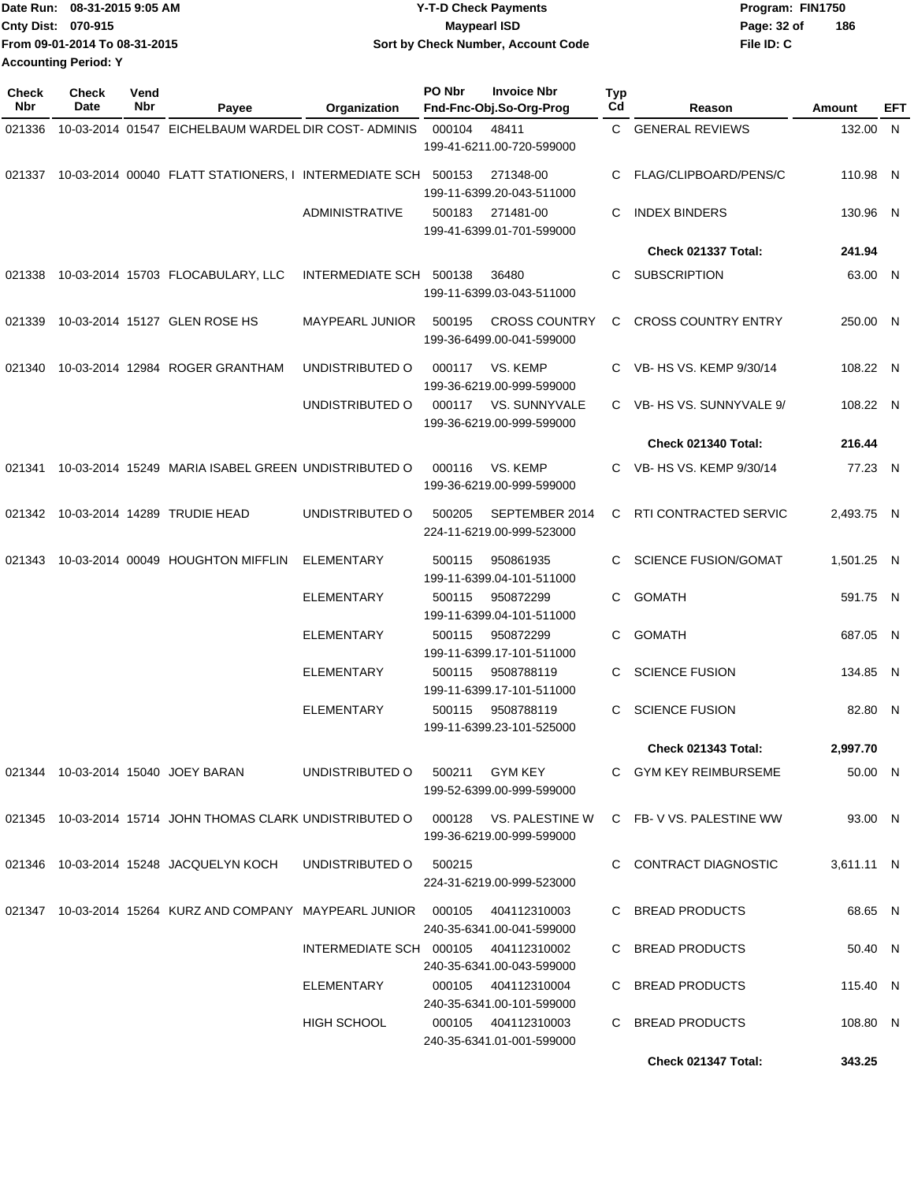| Date Run: 08-31-2015 9:05 AM  | <b>Y-T-D Check Payments</b>        | Program: FIN1750 |     |
|-------------------------------|------------------------------------|------------------|-----|
| <b>Cnty Dist: 070-915</b>     | <b>Maypearl ISD</b>                | Page: 32 of      | 186 |
| From 09-01-2014 To 08-31-2015 | Sort by Check Number, Account Code | File ID: C       |     |
| <b>Accounting Period: Y</b>   |                                    |                  |     |

| <b>Check</b><br><b>Nbr</b> | <b>Check</b><br>Date | Vend<br>Nbr | Payee                                                                        | Organization                         | PO Nbr | <b>Invoice Nbr</b><br>Fnd-Fnc-Obj.So-Org-Prog       | Typ<br>Cd | Reason                      | Amount     | EFT |
|----------------------------|----------------------|-------------|------------------------------------------------------------------------------|--------------------------------------|--------|-----------------------------------------------------|-----------|-----------------------------|------------|-----|
| 021336                     |                      |             | 10-03-2014 01547 EICHELBAUM WARDEL DIR COST- ADMINIS                         |                                      | 000104 | 48411<br>199-41-6211.00-720-599000                  | C.        | <b>GENERAL REVIEWS</b>      | 132.00 N   |     |
| 021337                     |                      |             | 10-03-2014 00040 FLATT STATIONERS, I INTERMEDIATE SCH 500153                 |                                      |        | 271348-00<br>199-11-6399.20-043-511000              | C.        | FLAG/CLIPBOARD/PENS/C       | 110.98 N   |     |
|                            |                      |             |                                                                              | <b>ADMINISTRATIVE</b>                | 500183 | 271481-00<br>199-41-6399.01-701-599000              | C         | <b>INDEX BINDERS</b>        | 130.96 N   |     |
|                            |                      |             |                                                                              |                                      |        |                                                     |           | Check 021337 Total:         | 241.94     |     |
| 021338                     |                      |             | 10-03-2014 15703 FLOCABULARY, LLC                                            | INTERMEDIATE SCH 500138              |        | 36480<br>199-11-6399.03-043-511000                  | C.        | <b>SUBSCRIPTION</b>         | 63.00 N    |     |
| 021339                     |                      |             | 10-03-2014 15127 GLEN ROSE HS                                                | MAYPEARL JUNIOR                      | 500195 | <b>CROSS COUNTRY</b><br>199-36-6499.00-041-599000   | C.        | <b>CROSS COUNTRY ENTRY</b>  | 250.00 N   |     |
|                            |                      |             | 021340 10-03-2014 12984 ROGER GRANTHAM                                       | UNDISTRIBUTED O                      | 000117 | VS. KEMP<br>199-36-6219.00-999-599000               |           | C VB- HS VS. KEMP 9/30/14   | 108.22 N   |     |
|                            |                      |             |                                                                              | UNDISTRIBUTED O                      | 000117 | VS. SUNNYVALE<br>199-36-6219.00-999-599000          |           | C VB-HS VS. SUNNYVALE 9/    | 108.22 N   |     |
|                            |                      |             |                                                                              |                                      |        |                                                     |           | Check 021340 Total:         | 216.44     |     |
| 021341                     |                      |             | 10-03-2014 15249 MARIA ISABEL GREEN UNDISTRIBUTED O                          |                                      | 000116 | VS. KEMP<br>199-36-6219.00-999-599000               |           | C VB- HS VS. KEMP 9/30/14   | 77.23 N    |     |
| 021342                     |                      |             | 10-03-2014 14289 TRUDIE HEAD                                                 | UNDISTRIBUTED O                      | 500205 | SEPTEMBER 2014<br>224-11-6219.00-999-523000         | C.        | RTI CONTRACTED SERVIC       | 2,493.75 N |     |
| 021343                     |                      |             | 10-03-2014 00049 HOUGHTON MIFFLIN                                            | <b>ELEMENTARY</b>                    | 500115 | 950861935<br>199-11-6399.04-101-511000              | C.        | <b>SCIENCE FUSION/GOMAT</b> | 1,501.25 N |     |
|                            |                      |             |                                                                              | <b>ELEMENTARY</b>                    | 500115 | 950872299<br>199-11-6399.04-101-511000              | C.        | <b>GOMATH</b>               | 591.75 N   |     |
|                            |                      |             |                                                                              | <b>ELEMENTARY</b>                    | 500115 | 950872299<br>199-11-6399.17-101-511000              | C.        | <b>GOMATH</b>               | 687.05 N   |     |
|                            |                      |             |                                                                              | <b>ELEMENTARY</b>                    | 500115 | 9508788119<br>199-11-6399.17-101-511000             | C.        | <b>SCIENCE FUSION</b>       | 134.85 N   |     |
|                            |                      |             |                                                                              | <b>ELEMENTARY</b>                    | 500115 | 9508788119<br>199-11-6399.23-101-525000             | C.        | <b>SCIENCE FUSION</b>       | 82.80 N    |     |
|                            |                      |             |                                                                              |                                      |        |                                                     |           | Check 021343 Total:         | 2,997.70   |     |
|                            |                      |             | 021344 10-03-2014 15040 JOEY BARAN                                           | UNDISTRIBUTED O                      |        | 500211 GYM KEY<br>199-52-6399.00-999-599000         |           | C GYM KEY REIMBURSEME       | 50.00 N    |     |
|                            |                      |             | 021345 10-03-2014 15714 JOHN THOMAS CLARK UNDISTRIBUTED O                    |                                      |        | 000128 VS. PALESTINE W<br>199-36-6219.00-999-599000 |           | C FB-V VS. PALESTINE WW     | 93.00 N    |     |
|                            |                      |             | 021346 10-03-2014 15248 JACQUELYN KOCH                                       | UNDISTRIBUTED O                      | 500215 | 224-31-6219.00-999-523000                           |           | C CONTRACT DIAGNOSTIC       | 3,611.11 N |     |
|                            |                      |             | 021347 10-03-2014 15264 KURZ AND COMPANY MAYPEARL JUNIOR 000105 404112310003 |                                      |        | 240-35-6341.00-041-599000                           |           | C BREAD PRODUCTS            | 68.65 N    |     |
|                            |                      |             |                                                                              | INTERMEDIATE SCH 000105 404112310002 |        | 240-35-6341.00-043-599000                           |           | C BREAD PRODUCTS            | 50.40 N    |     |
|                            |                      |             |                                                                              | ELEMENTARY                           |        | 000105 404112310004<br>240-35-6341.00-101-599000    |           | C BREAD PRODUCTS            | 115.40 N   |     |
|                            |                      |             |                                                                              | <b>HIGH SCHOOL</b>                   |        | 000105 404112310003<br>240-35-6341.01-001-599000    |           | C BREAD PRODUCTS            | 108.80 N   |     |
|                            |                      |             |                                                                              |                                      |        |                                                     |           | Check 021347 Total:         | 343.25     |     |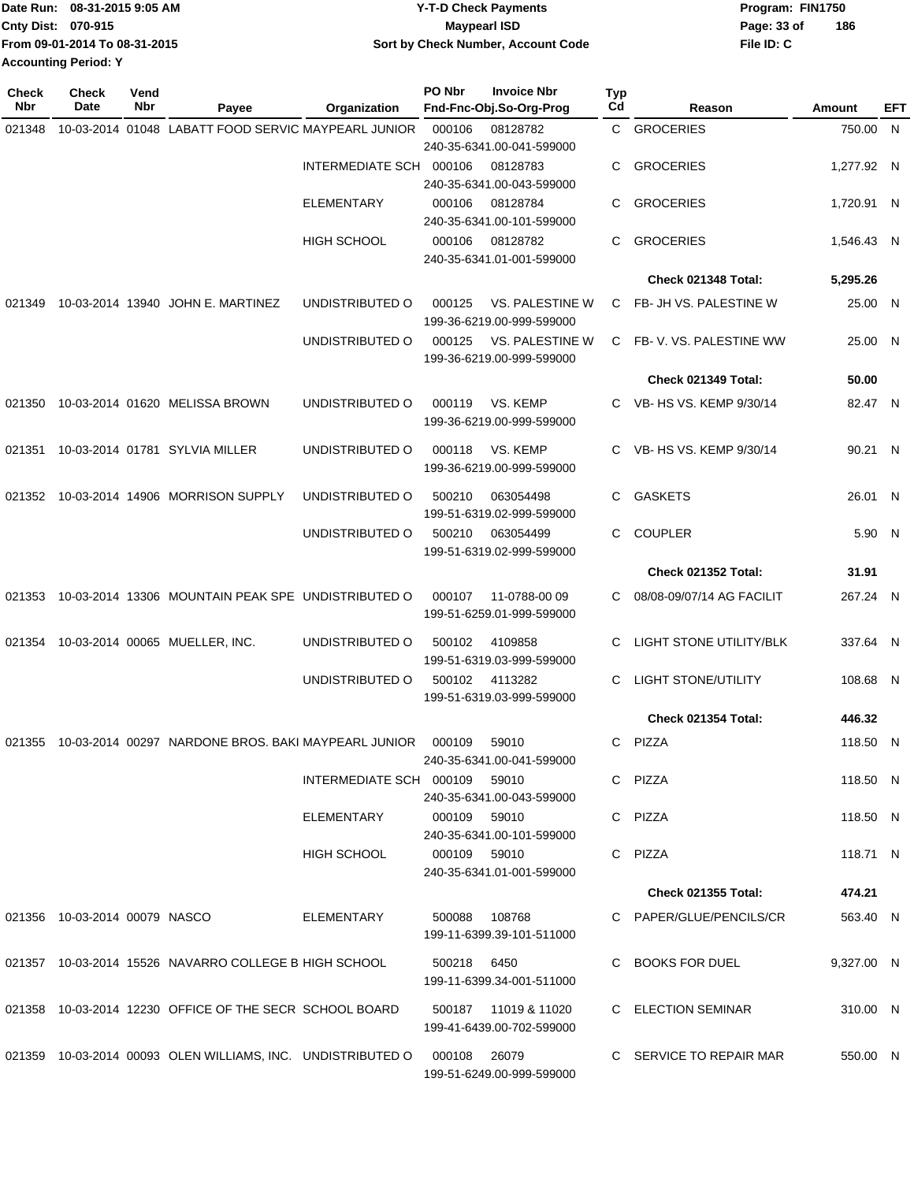|                             | Date Run: 08-31-2015 9:05 AM  | <b>Y-T-D Check Payments</b>        | Program: FIN1750 |     |
|-----------------------------|-------------------------------|------------------------------------|------------------|-----|
| <b>Cnty Dist: 070-915</b>   |                               | Maypearl ISD                       | Page: 33 of      | 186 |
|                             | From 09-01-2014 To 08-31-2015 | Sort by Check Number, Account Code | File ID: C       |     |
| <b>Accounting Period: Y</b> |                               |                                    |                  |     |

| <b>Check</b><br>Nbr | <b>Check</b><br>Date          | Vend<br>Nbr | Payee                                                       | Organization                  | PO Nbr        | <b>Invoice Nbr</b><br>Fnd-Fnc-Obj.So-Org-Prog | Typ<br>Cd | Reason                     | Amount     | EFT |
|---------------------|-------------------------------|-------------|-------------------------------------------------------------|-------------------------------|---------------|-----------------------------------------------|-----------|----------------------------|------------|-----|
| 021348              |                               |             | 10-03-2014 01048 LABATT FOOD SERVIC MAYPEARL JUNIOR         |                               | 000106        | 08128782                                      |           | C GROCERIES                | 750.00 N   |     |
|                     |                               |             |                                                             |                               |               | 240-35-6341.00-041-599000                     |           |                            |            |     |
|                     |                               |             |                                                             | INTERMEDIATE SCH 000106       |               | 08128783                                      | C         | <b>GROCERIES</b>           | 1,277.92 N |     |
|                     |                               |             |                                                             |                               |               | 240-35-6341.00-043-599000                     |           |                            |            |     |
|                     |                               |             |                                                             | <b>ELEMENTARY</b>             | 000106        | 08128784<br>240-35-6341.00-101-599000         | C         | <b>GROCERIES</b>           | 1,720.91 N |     |
|                     |                               |             |                                                             | <b>HIGH SCHOOL</b>            | 000106        | 08128782                                      | C.        | <b>GROCERIES</b>           | 1,546.43 N |     |
|                     |                               |             |                                                             |                               |               | 240-35-6341.01-001-599000                     |           |                            |            |     |
|                     |                               |             |                                                             |                               |               |                                               |           | <b>Check 021348 Total:</b> | 5,295.26   |     |
| 021349              |                               |             | 10-03-2014 13940 JOHN E. MARTINEZ                           | UNDISTRIBUTED O               | 000125        | <b>VS. PALESTINE W</b>                        | C.        | FB- JH VS. PALESTINE W     | 25.00 N    |     |
|                     |                               |             |                                                             |                               |               | 199-36-6219.00-999-599000                     |           |                            |            |     |
|                     |                               |             |                                                             | UNDISTRIBUTED O               | 000125        | VS. PALESTINE W                               | C.        | FB-V. VS. PALESTINE WW     | 25.00 N    |     |
|                     |                               |             |                                                             |                               |               | 199-36-6219.00-999-599000                     |           |                            |            |     |
|                     |                               |             |                                                             |                               |               |                                               |           | Check 021349 Total:        | 50.00      |     |
|                     |                               |             | 021350 10-03-2014 01620 MELISSA BROWN                       | UNDISTRIBUTED O               | 000119        | VS. KEMP                                      | C.        | VB- HS VS. KEMP 9/30/14    | 82.47 N    |     |
|                     |                               |             |                                                             |                               |               | 199-36-6219.00-999-599000                     |           |                            |            |     |
| 021351              |                               |             | 10-03-2014 01781 SYLVIA MILLER                              | UNDISTRIBUTED O               | 000118        | VS. KEMP                                      |           | C VB- HS VS, KEMP 9/30/14  | 90.21 N    |     |
|                     |                               |             |                                                             |                               |               | 199-36-6219.00-999-599000                     |           |                            |            |     |
| 021352              |                               |             | 10-03-2014 14906 MORRISON SUPPLY                            | UNDISTRIBUTED O               | 500210        | 063054498                                     | C         | <b>GASKETS</b>             | 26.01 N    |     |
|                     |                               |             |                                                             |                               |               | 199-51-6319.02-999-599000                     |           |                            |            |     |
|                     |                               |             |                                                             | UNDISTRIBUTED O               | 500210        | 063054499<br>199-51-6319.02-999-599000        | С         | <b>COUPLER</b>             | 5.90 N     |     |
|                     |                               |             |                                                             |                               |               |                                               |           | <b>Check 021352 Total:</b> | 31.91      |     |
| 021353              |                               |             | 10-03-2014 13306 MOUNTAIN PEAK SPE UNDISTRIBUTED O          |                               | 000107        | 11-0788-00 09                                 | С         | 08/08-09/07/14 AG FACILIT  | 267.24 N   |     |
|                     |                               |             |                                                             |                               |               | 199-51-6259.01-999-599000                     |           |                            |            |     |
| 021354              |                               |             | 10-03-2014 00065 MUELLER, INC.                              | UNDISTRIBUTED O               | 500102        | 4109858                                       | C.        | LIGHT STONE UTILITY/BLK    | 337.64 N   |     |
|                     |                               |             |                                                             |                               |               | 199-51-6319.03-999-599000                     |           |                            |            |     |
|                     |                               |             |                                                             | UNDISTRIBUTED O               | 500102        | 4113282                                       | С         | <b>LIGHT STONE/UTILITY</b> | 108.68 N   |     |
|                     |                               |             |                                                             |                               |               | 199-51-6319.03-999-599000                     |           |                            |            |     |
|                     |                               |             |                                                             |                               |               |                                               |           | Check 021354 Total:        | 446.32     |     |
|                     |                               |             | 021355 10-03-2014 00297 NARDONE BROS. BAKI MAYPEARL JUNIOR  |                               | 000109        | 59010                                         | C         | PIZZA                      | 118.50 N   |     |
|                     |                               |             |                                                             |                               |               | 240-35-6341.00-041-599000                     |           |                            |            |     |
|                     |                               |             |                                                             | INTERMEDIATE SCH 000109 59010 |               | 240-35-6341.00-043-599000                     |           | C PIZZA                    | 118.50 N   |     |
|                     |                               |             |                                                             | ELEMENTARY                    | 000109 59010  |                                               |           | C PIZZA                    | 118.50 N   |     |
|                     |                               |             |                                                             |                               |               | 240-35-6341.00-101-599000                     |           |                            |            |     |
|                     |                               |             |                                                             | HIGH SCHOOL                   | 000109 59010  |                                               |           | C PIZZA                    | 118.71 N   |     |
|                     |                               |             |                                                             |                               |               | 240-35-6341.01-001-599000                     |           |                            |            |     |
|                     |                               |             |                                                             |                               |               |                                               |           | <b>Check 021355 Total:</b> | 474.21     |     |
|                     | 021356 10-03-2014 00079 NASCO |             |                                                             | ELEMENTARY                    | 500088 108768 |                                               |           | C PAPER/GLUE/PENCILS/CR    | 563.40 N   |     |
|                     |                               |             |                                                             |                               |               | 199-11-6399.39-101-511000                     |           |                            |            |     |
|                     |                               |             | 021357 10-03-2014 15526 NAVARRO COLLEGE B HIGH SCHOOL       |                               | 500218 6450   |                                               |           | C BOOKS FOR DUEL           | 9,327.00 N |     |
|                     |                               |             |                                                             |                               |               | 199-11-6399.34-001-511000                     |           |                            |            |     |
|                     |                               |             | 021358 10-03-2014 12230 OFFICE OF THE SECR SCHOOL BOARD     |                               |               | 500187 11019 & 11020                          |           | C ELECTION SEMINAR         | 310.00 N   |     |
|                     |                               |             |                                                             |                               |               | 199-41-6439.00-702-599000                     |           |                            |            |     |
|                     |                               |             | 021359 10-03-2014 00093 OLEN WILLIAMS, INC. UNDISTRIBUTED O |                               | 000108 26079  |                                               |           | C SERVICE TO REPAIR MAR    | 550.00 N   |     |
|                     |                               |             |                                                             |                               |               | 199-51-6249.00-999-599000                     |           |                            |            |     |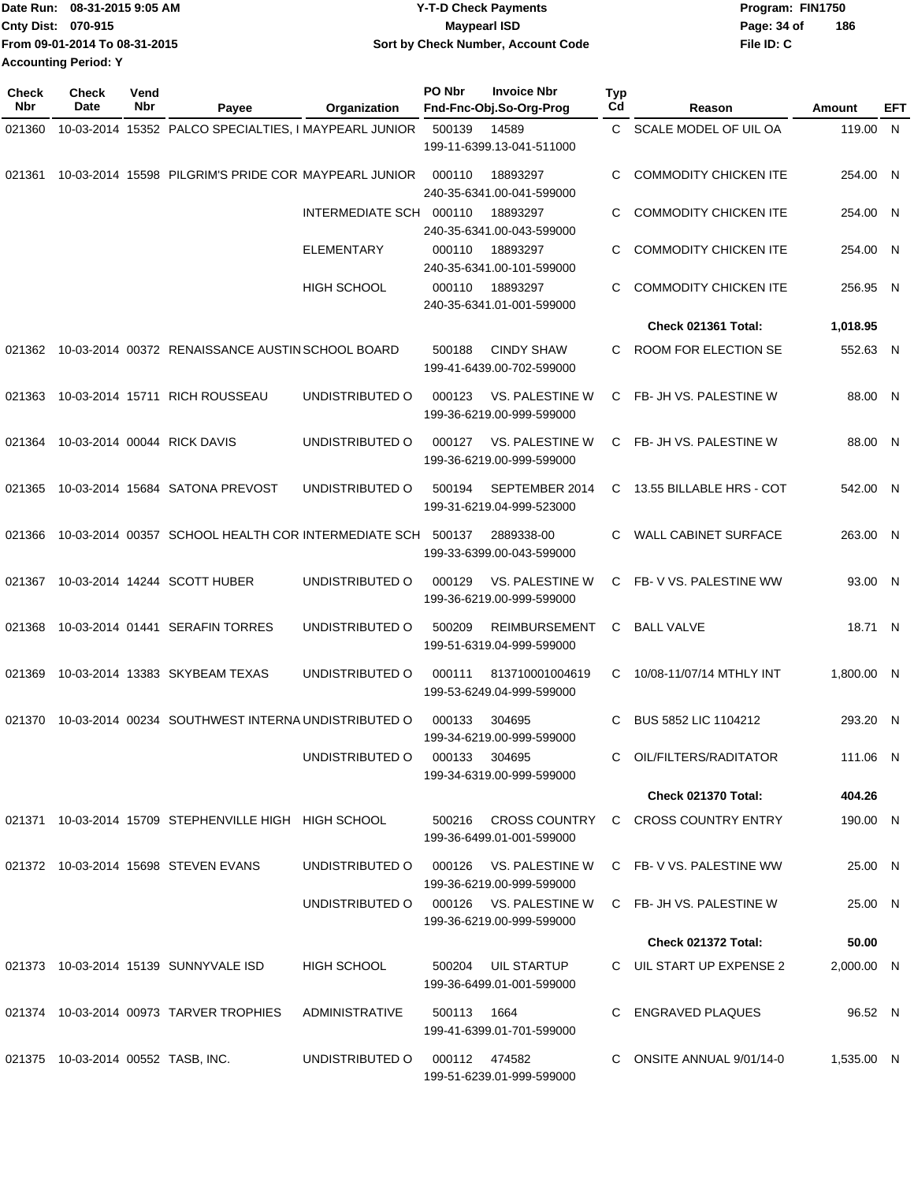|                             | Date Run: 08-31-2015 9:05 AM  | <b>Y-T-D Check Payments</b>        | Program: FIN1750   |
|-----------------------------|-------------------------------|------------------------------------|--------------------|
| <b>Cnty Dist: 070-915</b>   |                               | <b>Mavpearl ISD</b>                | 186<br>Page: 34 of |
|                             | From 09-01-2014 To 08-31-2015 | Sort by Check Number, Account Code | File ID: C         |
| <b>Accounting Period: Y</b> |                               |                                    |                    |

| Check<br>Nbr | <b>Check</b><br>Date               | Vend<br>Nbr | Payee                                                 | Organization                  | PO Nbr        | <b>Invoice Nbr</b><br>Fnd-Fnc-Obj.So-Org-Prog       | Typ<br>Cd    | Reason                       | Amount     | EFT |
|--------------|------------------------------------|-------------|-------------------------------------------------------|-------------------------------|---------------|-----------------------------------------------------|--------------|------------------------------|------------|-----|
| 021360       |                                    |             | 10-03-2014 15352 PALCO SPECIALTIES, I MAYPEARL JUNIOR |                               | 500139        | 14589                                               | $\mathbf{C}$ | SCALE MODEL OF UIL OA        | 119.00 N   |     |
|              |                                    |             |                                                       |                               |               | 199-11-6399.13-041-511000                           |              |                              |            |     |
| 021361       |                                    |             | 10-03-2014 15598 PILGRIM'S PRIDE COR MAYPEARL JUNIOR  |                               | 000110        | 18893297<br>240-35-6341.00-041-599000               | C            | <b>COMMODITY CHICKEN ITE</b> | 254.00 N   |     |
|              |                                    |             |                                                       | INTERMEDIATE SCH 000110       |               | 18893297<br>240-35-6341.00-043-599000               | C            | <b>COMMODITY CHICKEN ITE</b> | 254.00 N   |     |
|              |                                    |             |                                                       | <b>ELEMENTARY</b>             | 000110        | 18893297<br>240-35-6341.00-101-599000               | C            | <b>COMMODITY CHICKEN ITE</b> | 254.00 N   |     |
|              |                                    |             |                                                       | <b>HIGH SCHOOL</b>            | 000110        | 18893297<br>240-35-6341.01-001-599000               | C            | <b>COMMODITY CHICKEN ITE</b> | 256.95 N   |     |
|              |                                    |             |                                                       |                               |               |                                                     |              | Check 021361 Total:          | 1,018.95   |     |
| 021362       |                                    |             | 10-03-2014 00372 RENAISSANCE AUSTIN SCHOOL BOARD      |                               | 500188        | <b>CINDY SHAW</b><br>199-41-6439.00-702-599000      | C            | ROOM FOR ELECTION SE         | 552.63 N   |     |
| 021363       |                                    |             | 10-03-2014 15711 RICH ROUSSEAU                        | UNDISTRIBUTED O               | 000123        | VS. PALESTINE W<br>199-36-6219.00-999-599000        |              | C FB- JH VS. PALESTINE W     | 88.00 N    |     |
| 021364       |                                    |             | 10-03-2014 00044 RICK DAVIS                           | UNDISTRIBUTED O               | 000127        | <b>VS. PALESTINE W</b><br>199-36-6219.00-999-599000 |              | C FB- JH VS. PALESTINE W     | 88.00 N    |     |
| 021365       |                                    |             | 10-03-2014 15684 SATONA PREVOST                       | UNDISTRIBUTED O               | 500194        | SEPTEMBER 2014<br>199-31-6219.04-999-523000         | C            | 13.55 BILLABLE HRS - COT     | 542.00 N   |     |
| 021366       |                                    |             | 10-03-2014 00357 SCHOOL HEALTH COR INTERMEDIATE SCH   |                               | 500137        | 2889338-00<br>199-33-6399.00-043-599000             | C.           | <b>WALL CABINET SURFACE</b>  | 263.00 N   |     |
| 021367       |                                    |             | 10-03-2014 14244 SCOTT HUBER                          | UNDISTRIBUTED O               | 000129        | VS. PALESTINE W<br>199-36-6219.00-999-599000        |              | C FB-V VS. PALESTINE WW      | 93.00 N    |     |
| 021368       |                                    |             | 10-03-2014 01441 SERAFIN TORRES                       | UNDISTRIBUTED O               | 500209        | <b>REIMBURSEMENT</b><br>199-51-6319.04-999-599000   | C            | <b>BALL VALVE</b>            | 18.71 N    |     |
| 021369       |                                    |             | 10-03-2014 13383 SKYBEAM TEXAS                        | UNDISTRIBUTED O               | 000111        | 813710001004619<br>199-53-6249.04-999-599000        | C            | 10/08-11/07/14 MTHLY INT     | 1,800.00 N |     |
| 021370       |                                    |             | 10-03-2014 00234 SOUTHWEST INTERNA UNDISTRIBUTED O    |                               | 000133        | 304695<br>199-34-6219.00-999-599000                 | C.           | BUS 5852 LIC 1104212         | 293.20 N   |     |
|              |                                    |             |                                                       | UNDISTRIBUTED O 000133 304695 |               | 199-34-6319.00-999-599000                           |              | OIL/FILTERS/RADITATOR        | 111.06 N   |     |
|              |                                    |             |                                                       |                               |               |                                                     |              | <b>Check 021370 Total:</b>   | 404.26     |     |
|              |                                    |             | 021371 10-03-2014 15709 STEPHENVILLE HIGH HIGH SCHOOL |                               |               | 500216 CROSS COUNTRY<br>199-36-6499.01-001-599000   |              | C CROSS COUNTRY ENTRY        | 190.00 N   |     |
|              |                                    |             | 021372 10-03-2014 15698 STEVEN EVANS                  | UNDISTRIBUTED O               | 000126        | VS. PALESTINE W<br>199-36-6219.00-999-599000        |              | C FB-V VS. PALESTINE WW      | 25.00 N    |     |
|              |                                    |             |                                                       | UNDISTRIBUTED O               |               | 000126 VS. PALESTINE W<br>199-36-6219.00-999-599000 |              | C FB- JH VS. PALESTINE W     | 25.00 N    |     |
|              |                                    |             |                                                       |                               |               |                                                     |              | <b>Check 021372 Total:</b>   | 50.00      |     |
|              |                                    |             | 021373 10-03-2014 15139 SUNNYVALE ISD                 | <b>HIGH SCHOOL</b>            | 500204        | UIL STARTUP<br>199-36-6499.01-001-599000            |              | C UIL START UP EXPENSE 2     | 2,000.00 N |     |
|              |                                    |             | 021374 10-03-2014 00973 TARVER TROPHIES               | ADMINISTRATIVE                | 500113 1664   | 199-41-6399.01-701-599000                           |              | C ENGRAVED PLAQUES           | 96.52 N    |     |
|              | 021375 10-03-2014 00552 TASB, INC. |             |                                                       | UNDISTRIBUTED O               | 000112 474582 | 199-51-6239.01-999-599000                           |              | C ONSITE ANNUAL 9/01/14-0    | 1,535.00 N |     |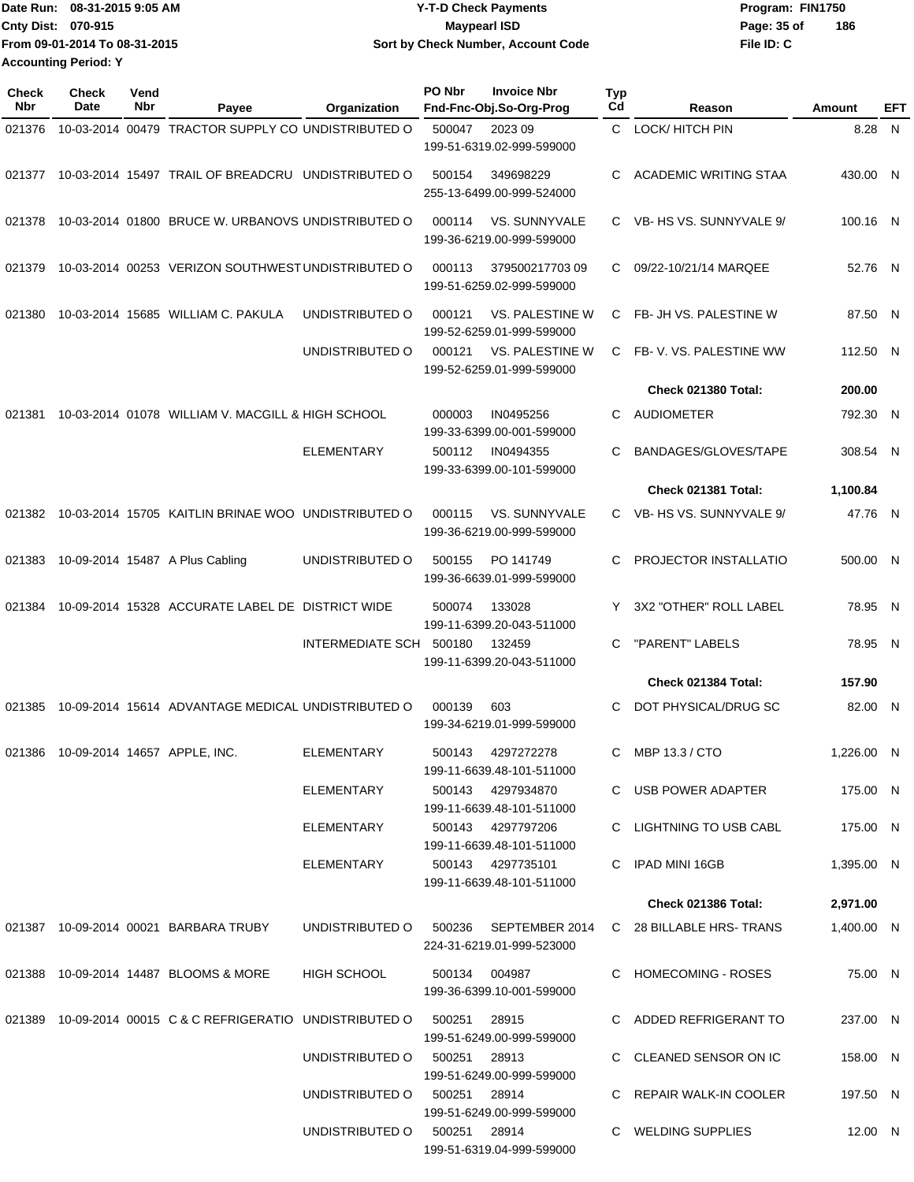|                             | Date Run: 08-31-2015 9:05 AM  | <b>Y-T-D Check Payments</b>        | Program: FIN1750   |
|-----------------------------|-------------------------------|------------------------------------|--------------------|
| <b>Cnty Dist: 070-915</b>   |                               | <b>Mavpearl ISD</b>                | 186<br>Page: 35 of |
|                             | From 09-01-2014 To 08-31-2015 | Sort by Check Number, Account Code | File ID: C         |
| <b>Accounting Period: Y</b> |                               |                                    |                    |

| <b>Check</b><br>Nbr | <b>Check</b><br>Date | Vend<br>Nbr | Payee                                                      | Organization                 | PO Nbr<br><b>Invoice Nbr</b><br>Fnd-Fnc-Obj.So-Org-Prog            | Typ<br>Cd    | Reason                       | Amount     | EFT |
|---------------------|----------------------|-------------|------------------------------------------------------------|------------------------------|--------------------------------------------------------------------|--------------|------------------------------|------------|-----|
| 021376              |                      |             | 10-03-2014 00479 TRACTOR SUPPLY CO UNDISTRIBUTED O         |                              | 500047<br>2023 09                                                  | $\mathbf{C}$ | <b>LOCK/HITCH PIN</b>        | 8.28 N     |     |
|                     |                      |             |                                                            |                              | 199-51-6319.02-999-599000                                          |              |                              |            |     |
| 021377              |                      |             | 10-03-2014 15497 TRAIL OF BREADCRU UNDISTRIBUTED O         |                              | 349698229<br>500154<br>255-13-6499.00-999-524000                   | C.           | <b>ACADEMIC WRITING STAA</b> | 430.00 N   |     |
| 021378              |                      |             | 10-03-2014 01800 BRUCE W. URBANOVS UNDISTRIBUTED O         |                              | 000114<br>VS. SUNNYVALE<br>199-36-6219.00-999-599000               |              | C VB- HS VS. SUNNYVALE 9/    | 100.16 N   |     |
| 021379              |                      |             | 10-03-2014 00253 VERIZON SOUTHWEST UNDISTRIBUTED O         |                              | 000113<br>37950021770309<br>199-51-6259.02-999-599000              | C            | 09/22-10/21/14 MARQEE        | 52.76 N    |     |
| 021380              |                      |             | 10-03-2014 15685 WILLIAM C. PAKULA                         | UNDISTRIBUTED O              | <b>VS. PALESTINE W</b><br>000121<br>199-52-6259.01-999-599000      |              | C FB- JH VS. PALESTINE W     | 87.50 N    |     |
|                     |                      |             |                                                            | UNDISTRIBUTED O              | VS. PALESTINE W<br>000121<br>199-52-6259.01-999-599000             |              | C FB-V. VS. PALESTINE WW     | 112.50 N   |     |
|                     |                      |             |                                                            |                              |                                                                    |              | Check 021380 Total:          | 200.00     |     |
| 021381              |                      |             | 10-03-2014 01078 WILLIAM V. MACGILL & HIGH SCHOOL          |                              | 000003<br>IN0495256<br>199-33-6399.00-001-599000                   | C            | <b>AUDIOMETER</b>            | 792.30 N   |     |
|                     |                      |             |                                                            | <b>ELEMENTARY</b>            | 500112<br>IN0494355<br>199-33-6399.00-101-599000                   | C            | BANDAGES/GLOVES/TAPE         | 308.54 N   |     |
|                     |                      |             |                                                            |                              |                                                                    |              | Check 021381 Total:          | 1,100.84   |     |
| 021382              |                      |             | 10-03-2014 15705 KAITLIN BRINAE WOO UNDISTRIBUTED O        |                              | VS. SUNNYVALE<br>000115<br>199-36-6219.00-999-599000               |              | C VB- HS VS. SUNNYVALE 9/    | 47.76 N    |     |
| 021383              |                      |             | 10-09-2014 15487 A Plus Cabling                            | UNDISTRIBUTED O              | 500155<br>PO 141749<br>199-36-6639.01-999-599000                   | C.           | PROJECTOR INSTALLATIO        | 500.00 N   |     |
| 021384              |                      |             | 10-09-2014 15328 ACCURATE LABEL DE DISTRICT WIDE           |                              | 500074<br>133028<br>199-11-6399.20-043-511000                      |              | 3X2 "OTHER" ROLL LABEL       | 78.95 N    |     |
|                     |                      |             |                                                            | <b>INTERMEDIATE SCH</b>      | 500180<br>132459<br>199-11-6399.20-043-511000                      | C            | "PARENT" LABELS              | 78.95 N    |     |
|                     |                      |             |                                                            |                              |                                                                    |              | Check 021384 Total:          | 157.90     |     |
| 021385              |                      |             | 10-09-2014 15614 ADVANTAGE MEDICAL UNDISTRIBUTED O         |                              | 000139<br>603<br>199-34-6219.01-999-599000                         | C            | DOT PHYSICAL/DRUG SC         | 82.00 N    |     |
| 021386              |                      |             | 10-09-2014 14657 APPLE, INC.                               | ELEMENTARY                   | 500143<br>4297272278<br>199-11-6639.48-101-511000                  | C.           | MBP 13.3 / CTO               | 1,226.00 N |     |
|                     |                      |             |                                                            | ELEMENTARY                   | 500143 4297934870<br>199-11-6639.48-101-511000                     |              | C USB POWER ADAPTER          | 175.00 N   |     |
|                     |                      |             |                                                            | ELEMENTARY                   | 500143 4297797206<br>199-11-6639.48-101-511000                     |              | C LIGHTNING TO USB CABL      | 175.00 N   |     |
|                     |                      |             |                                                            | ELEMENTARY                   | 500143 4297735101<br>199-11-6639.48-101-511000                     |              | C IPAD MINI 16GB             | 1,395.00 N |     |
|                     |                      |             |                                                            |                              |                                                                    |              | Check 021386 Total:          | 2,971.00   |     |
|                     |                      |             | 021387 10-09-2014 00021 BARBARA TRUBY                      |                              | UNDISTRIBUTED O 500236 SEPTEMBER 2014<br>224-31-6219.01-999-523000 |              | C 28 BILLABLE HRS-TRANS      | 1,400.00 N |     |
|                     |                      |             | 021388 10-09-2014 14487 BLOOMS & MORE                      | <b>HIGH SCHOOL</b>           | 500134 004987<br>199-36-6399.10-001-599000                         |              | C HOMECOMING - ROSES         | 75.00 N    |     |
|                     |                      |             | 021389 10-09-2014 00015 C & C REFRIGERATIO UNDISTRIBUTED O |                              | 28915<br>500251<br>199-51-6249.00-999-599000                       |              | C ADDED REFRIGERANT TO       | 237.00 N   |     |
|                     |                      |             |                                                            | UNDISTRIBUTED O              | 500251 28913<br>199-51-6249.00-999-599000                          |              | C CLEANED SENSOR ON IC       | 158.00 N   |     |
|                     |                      |             |                                                            | UNDISTRIBUTED O              | 500251 28914<br>199-51-6249.00-999-599000                          |              | C REPAIR WALK-IN COOLER      | 197.50 N   |     |
|                     |                      |             |                                                            | UNDISTRIBUTED O 500251 28914 | 199-51-6319.04-999-599000                                          |              | C WELDING SUPPLIES           | 12.00 N    |     |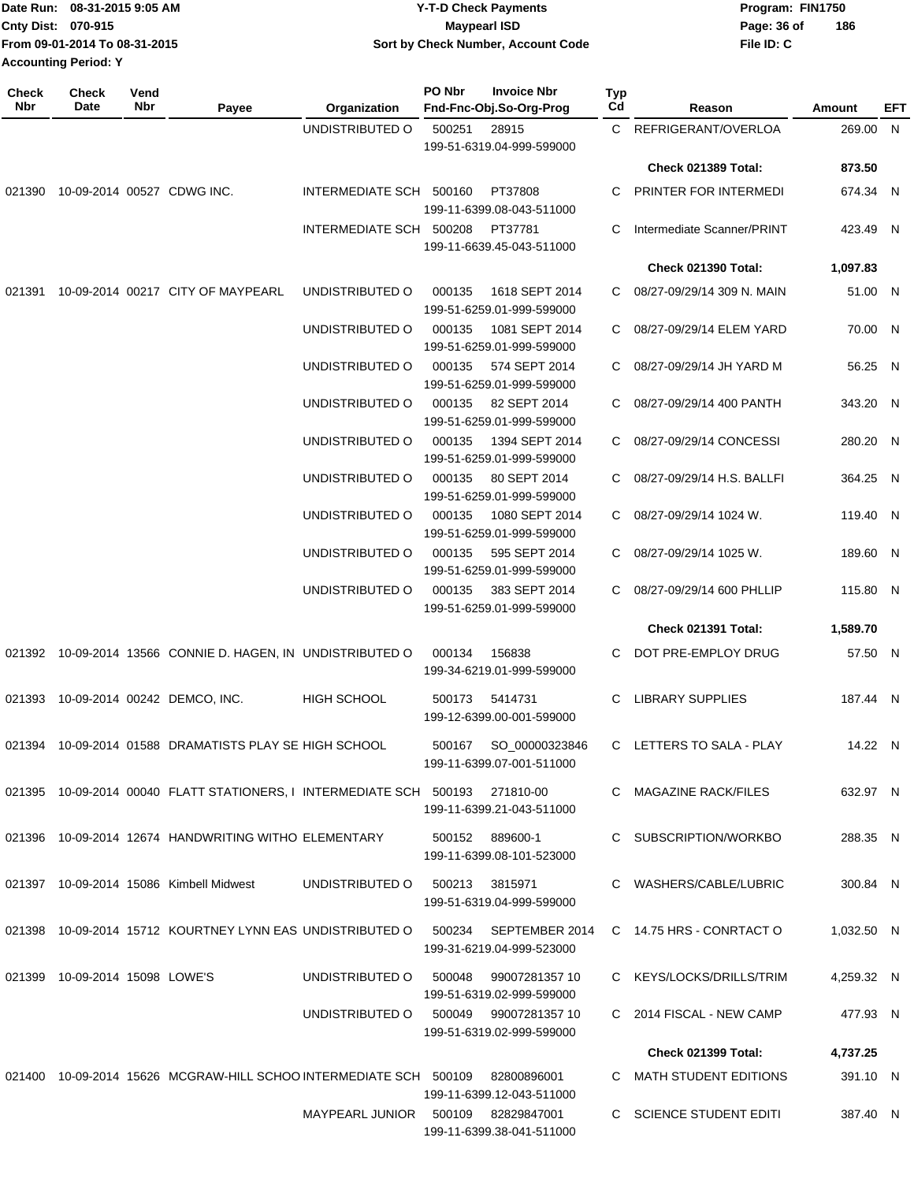|                             | Date Run: 08-31-2015 9:05 AM  | <b>Y-T-D Check Payments</b>        | Program: FIN1750 |     |
|-----------------------------|-------------------------------|------------------------------------|------------------|-----|
| Cnty Dist: 070-915          |                               | <b>Mavpearl ISD</b>                | Page: 36 of      | 186 |
|                             | From 09-01-2014 To 08-31-2015 | Sort by Check Number, Account Code | File ID: C       |     |
| <b>Accounting Period: Y</b> |                               |                                    |                  |     |

| <b>Check</b><br>Nbr | Check<br>Date                     | Vend<br>Nbr | Payee                                                                         | Organization                       | PO Nbr | <b>Invoice Nbr</b><br>Fnd-Fnc-Obj.So-Org-Prog      | <b>Typ</b><br>Cd | Reason                     | Amount     | EFT |
|---------------------|-----------------------------------|-------------|-------------------------------------------------------------------------------|------------------------------------|--------|----------------------------------------------------|------------------|----------------------------|------------|-----|
|                     |                                   |             |                                                                               | UNDISTRIBUTED O                    | 500251 | 28915                                              |                  | C REFRIGERANT/OVERLOA      | 269.00 N   |     |
|                     |                                   |             |                                                                               |                                    |        | 199-51-6319.04-999-599000                          |                  |                            |            |     |
|                     |                                   |             |                                                                               |                                    |        |                                                    |                  | Check 021389 Total:        | 873.50     |     |
|                     | 021390 10-09-2014 00527 CDWG INC. |             |                                                                               | INTERMEDIATE SCH 500160            |        | PT37808<br>199-11-6399.08-043-511000               | C.               | PRINTER FOR INTERMEDI      | 674.34 N   |     |
|                     |                                   |             |                                                                               | INTERMEDIATE SCH 500208            |        | PT37781<br>199-11-6639.45-043-511000               | C                | Intermediate Scanner/PRINT | 423.49 N   |     |
|                     |                                   |             |                                                                               |                                    |        |                                                    |                  | Check 021390 Total:        | 1,097.83   |     |
| 021391              |                                   |             | 10-09-2014 00217 CITY OF MAYPEARL                                             | UNDISTRIBUTED O                    | 000135 | 1618 SEPT 2014                                     | C.               | 08/27-09/29/14 309 N. MAIN | 51.00 N    |     |
|                     |                                   |             |                                                                               |                                    |        | 199-51-6259.01-999-599000                          |                  |                            |            |     |
|                     |                                   |             |                                                                               | UNDISTRIBUTED O                    | 000135 | 1081 SEPT 2014<br>199-51-6259.01-999-599000        | C.               | 08/27-09/29/14 ELEM YARD   | 70.00 N    |     |
|                     |                                   |             |                                                                               | UNDISTRIBUTED O                    | 000135 | 574 SEPT 2014<br>199-51-6259.01-999-599000         |                  | C 08/27-09/29/14 JH YARD M | 56.25 N    |     |
|                     |                                   |             |                                                                               | UNDISTRIBUTED O                    | 000135 | 82 SEPT 2014<br>199-51-6259.01-999-599000          | C                | 08/27-09/29/14 400 PANTH   | 343.20 N   |     |
|                     |                                   |             |                                                                               | UNDISTRIBUTED O                    | 000135 | 1394 SEPT 2014                                     | C.               | 08/27-09/29/14 CONCESSI    | 280.20 N   |     |
|                     |                                   |             |                                                                               | UNDISTRIBUTED O                    | 000135 | 199-51-6259.01-999-599000<br>80 SEPT 2014          |                  | 08/27-09/29/14 H.S. BALLFI | 364.25 N   |     |
|                     |                                   |             |                                                                               |                                    |        | 199-51-6259.01-999-599000                          |                  |                            |            |     |
|                     |                                   |             |                                                                               | UNDISTRIBUTED O                    | 000135 | 1080 SEPT 2014<br>199-51-6259.01-999-599000        | C.               | 08/27-09/29/14 1024 W.     | 119.40 N   |     |
|                     |                                   |             |                                                                               | UNDISTRIBUTED O                    | 000135 | 595 SEPT 2014<br>199-51-6259.01-999-599000         | C.               | 08/27-09/29/14 1025 W.     | 189.60 N   |     |
|                     |                                   |             |                                                                               | UNDISTRIBUTED O                    | 000135 | 383 SEPT 2014<br>199-51-6259.01-999-599000         | C.               | 08/27-09/29/14 600 PHLLIP  | 115.80 N   |     |
|                     |                                   |             |                                                                               |                                    |        |                                                    |                  | Check 021391 Total:        | 1,589.70   |     |
|                     |                                   |             | 021392 10-09-2014 13566 CONNIE D. HAGEN, IN UNDISTRIBUTED O                   |                                    | 000134 | 156838<br>199-34-6219.01-999-599000                | C.               | DOT PRE-EMPLOY DRUG        | 57.50 N    |     |
|                     |                                   |             | 021393 10-09-2014 00242 DEMCO, INC.                                           | <b>HIGH SCHOOL</b>                 | 500173 | 5414731                                            | C.               | <b>LIBRARY SUPPLIES</b>    | 187.44 N   |     |
|                     |                                   |             |                                                                               |                                    |        | 199-12-6399.00-001-599000                          |                  |                            |            |     |
|                     |                                   |             | 021394 10-09-2014 01588 DRAMATISTS PLAY SE HIGH SCHOOL                        |                                    | 500167 | SO_00000323846<br>199-11-6399.07-001-511000        |                  | C LETTERS TO SALA - PLAY   | 14.22 N    |     |
|                     |                                   |             | 021395 10-09-2014 00040 FLATT STATIONERS, I INTERMEDIATE SCH 500193 271810-00 |                                    |        | 199-11-6399.21-043-511000                          |                  | C MAGAZINE RACK/FILES      | 632.97 N   |     |
|                     |                                   |             | 021396 10-09-2014 12674 HANDWRITING WITHO ELEMENTARY                          |                                    |        | 500152 889600-1<br>199-11-6399.08-101-523000       |                  | C SUBSCRIPTION/WORKBO      | 288.35 N   |     |
|                     |                                   |             | 021397 10-09-2014 15086 Kimbell Midwest                                       | UNDISTRIBUTED O                    |        | 500213 3815971                                     |                  | C WASHERS/CABLE/LUBRIC     | 300.84 N   |     |
|                     |                                   |             |                                                                               |                                    |        | 199-51-6319.04-999-599000                          |                  |                            |            |     |
|                     |                                   |             | 021398 10-09-2014 15712 KOURTNEY LYNN EAS UNDISTRIBUTED O                     |                                    |        | 500234 SEPTEMBER 2014<br>199-31-6219.04-999-523000 |                  | C 14.75 HRS - CONRTACT O   | 1,032.50 N |     |
|                     | 021399 10-09-2014 15098 LOWE'S    |             |                                                                               | UNDISTRIBUTED O                    | 500048 | 99007281357 10                                     |                  | C KEYS/LOCKS/DRILLS/TRIM   | 4,259.32 N |     |
|                     |                                   |             |                                                                               | UNDISTRIBUTED O                    |        | 199-51-6319.02-999-599000<br>500049 99007281357 10 |                  | C 2014 FISCAL - NEW CAMP   | 477.93 N   |     |
|                     |                                   |             |                                                                               |                                    |        | 199-51-6319.02-999-599000                          |                  |                            |            |     |
|                     |                                   |             |                                                                               |                                    |        |                                                    |                  | <b>Check 021399 Total:</b> | 4,737.25   |     |
|                     |                                   |             | 021400  10-09-2014  15626  MCGRAW-HILL SCHOO INTERMEDIATE SCH  500109         |                                    |        | 82800896001<br>199-11-6399.12-043-511000           |                  | C MATH STUDENT EDITIONS    | 391.10 N   |     |
|                     |                                   |             |                                                                               | MAYPEARL JUNIOR 500109 82829847001 |        | 199-11-6399.38-041-511000                          |                  | C SCIENCE STUDENT EDITI    | 387.40 N   |     |
|                     |                                   |             |                                                                               |                                    |        |                                                    |                  |                            |            |     |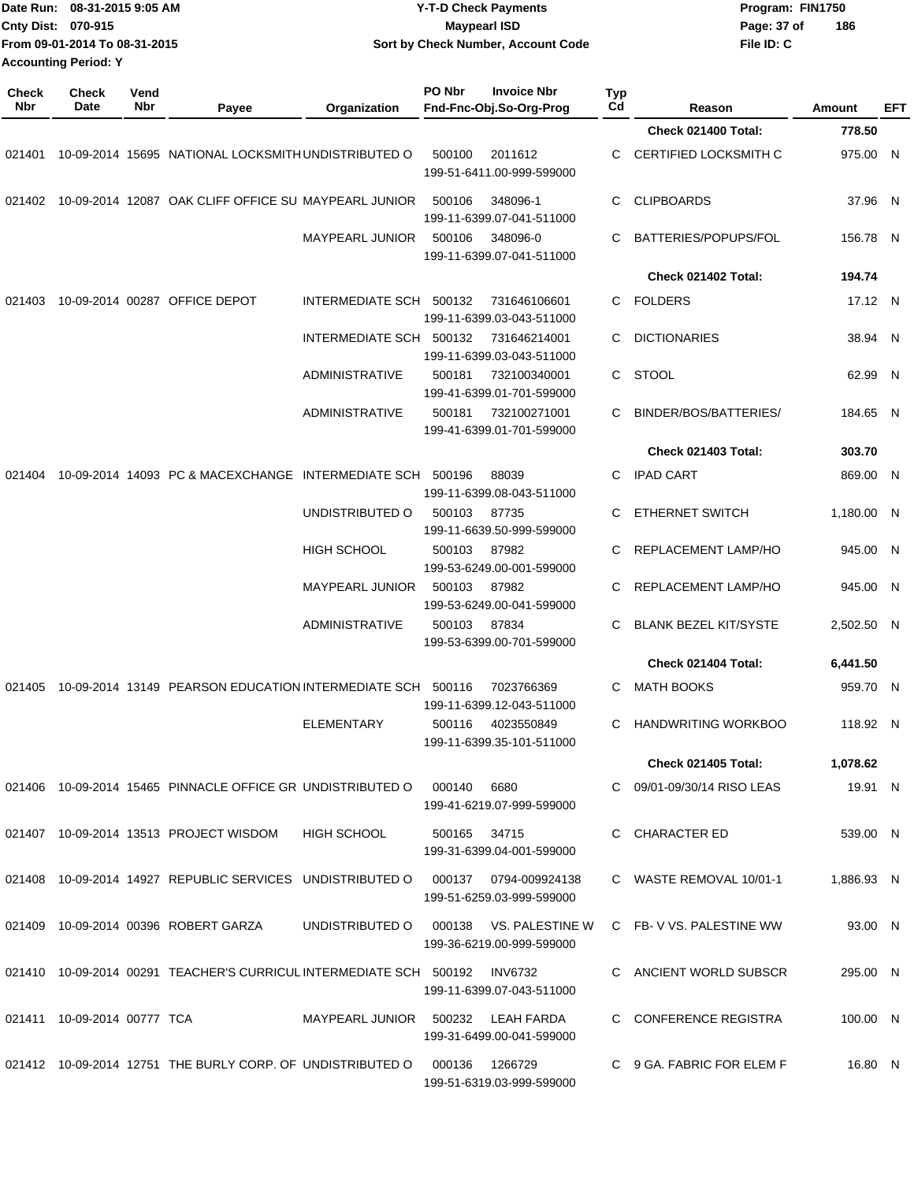|                     | Date Run: 08-31-2015 9:05 AM<br>Cnty Dist: 070-915<br>From 09-01-2014 To 08-31-2015<br><b>Accounting Period: Y</b><br><b>Check</b><br>Vend |     |                                                                        | <b>Y-T-D Check Payments</b><br><b>Maypearl ISD</b><br>Sort by Check Number, Account Code |              |                                                    |           |                              | Program: FIN1750<br>Page: 37 of<br>File ID: C | 186        |     |
|---------------------|--------------------------------------------------------------------------------------------------------------------------------------------|-----|------------------------------------------------------------------------|------------------------------------------------------------------------------------------|--------------|----------------------------------------------------|-----------|------------------------------|-----------------------------------------------|------------|-----|
| <b>Check</b><br>Nbr | Date                                                                                                                                       | Nbr | Payee                                                                  | Organization                                                                             | PO Nbr       | <b>Invoice Nbr</b><br>Fnd-Fnc-Obj.So-Org-Prog      | Typ<br>Cd | Reason                       |                                               | Amount     | EFT |
|                     |                                                                                                                                            |     |                                                                        |                                                                                          |              |                                                    |           | Check 021400 Total:          |                                               | 778.50     |     |
| 021401              |                                                                                                                                            |     | 10-09-2014 15695 NATIONAL LOCKSMITH UNDISTRIBUTED O                    |                                                                                          | 500100       | 2011612<br>199-51-6411.00-999-599000               | C         | CERTIFIED LOCKSMITH C        |                                               | 975.00 N   |     |
| 021402              |                                                                                                                                            |     | 10-09-2014 12087 OAK CLIFF OFFICE SU MAYPEARL JUNIOR                   |                                                                                          | 500106       | 348096-1<br>199-11-6399.07-041-511000              | C         | <b>CLIPBOARDS</b>            |                                               | 37.96 N    |     |
|                     |                                                                                                                                            |     |                                                                        | <b>MAYPEARL JUNIOR</b>                                                                   | 500106       | 348096-0<br>199-11-6399.07-041-511000              | C         | BATTERIES/POPUPS/FOL         |                                               | 156.78 N   |     |
|                     |                                                                                                                                            |     |                                                                        |                                                                                          |              |                                                    |           | Check 021402 Total:          |                                               | 194.74     |     |
| 021403              |                                                                                                                                            |     | 10-09-2014 00287 OFFICE DEPOT                                          | INTERMEDIATE SCH 500132                                                                  |              | 731646106601<br>199-11-6399.03-043-511000          | C         | <b>FOLDERS</b>               |                                               | 17.12 N    |     |
|                     |                                                                                                                                            |     |                                                                        | INTERMEDIATE SCH 500132                                                                  |              | 731646214001<br>199-11-6399.03-043-511000          | C         | <b>DICTIONARIES</b>          |                                               | 38.94 N    |     |
|                     |                                                                                                                                            |     |                                                                        | <b>ADMINISTRATIVE</b>                                                                    | 500181       | 732100340001<br>199-41-6399.01-701-599000          | C         | <b>STOOL</b>                 |                                               | 62.99 N    |     |
|                     |                                                                                                                                            |     |                                                                        | <b>ADMINISTRATIVE</b>                                                                    | 500181       | 732100271001<br>199-41-6399.01-701-599000          | С         | BINDER/BOS/BATTERIES/        |                                               | 184.65 N   |     |
|                     |                                                                                                                                            |     |                                                                        |                                                                                          |              |                                                    |           | <b>Check 021403 Total:</b>   |                                               | 303.70     |     |
| 021404              |                                                                                                                                            |     | 10-09-2014 14093 PC & MACEXCHANGE INTERMEDIATE SCH 500196              |                                                                                          |              | 88039<br>199-11-6399.08-043-511000                 | C         | <b>IPAD CART</b>             |                                               | 869.00 N   |     |
|                     |                                                                                                                                            |     |                                                                        | UNDISTRIBUTED O                                                                          | 500103       | 87735<br>199-11-6639.50-999-599000                 | C         | <b>ETHERNET SWITCH</b>       |                                               | 1,180.00 N |     |
|                     |                                                                                                                                            |     |                                                                        | <b>HIGH SCHOOL</b>                                                                       | 500103       | 87982<br>199-53-6249.00-001-599000                 | C         | REPLACEMENT LAMP/HO          |                                               | 945.00 N   |     |
|                     |                                                                                                                                            |     |                                                                        | <b>MAYPEARL JUNIOR</b>                                                                   | 500103       | 87982<br>199-53-6249.00-041-599000                 |           | REPLACEMENT LAMP/HO          |                                               | 945.00 N   |     |
|                     |                                                                                                                                            |     |                                                                        | <b>ADMINISTRATIVE</b>                                                                    | 500103       | 87834<br>199-53-6399.00-701-599000                 | C         | <b>BLANK BEZEL KIT/SYSTE</b> |                                               | 2,502.50 N |     |
|                     |                                                                                                                                            |     |                                                                        |                                                                                          |              |                                                    |           | Check 021404 Total:          |                                               | 6,441.50   |     |
|                     |                                                                                                                                            |     | 021405  10-09-2014  13149  PEARSON EDUCATION INTERMEDIATE SCH  500116  |                                                                                          |              | 7023766369<br>199-11-6399.12-043-511000            |           | MATH BOOKS                   |                                               | 959.70 N   |     |
|                     |                                                                                                                                            |     |                                                                        | <b>ELEMENTARY</b>                                                                        |              | 500116 4023550849<br>199-11-6399.35-101-511000     | C.        | HANDWRITING WORKBOO          |                                               | 118.92 N   |     |
|                     |                                                                                                                                            |     |                                                                        |                                                                                          |              |                                                    |           | <b>Check 021405 Total:</b>   |                                               | 1,078.62   |     |
|                     |                                                                                                                                            |     | 021406 10-09-2014 15465 PINNACLE OFFICE GR UNDISTRIBUTED O             |                                                                                          | 000140       | 6680<br>199-41-6219.07-999-599000                  |           | C 09/01-09/30/14 RISO LEAS   |                                               | 19.91 N    |     |
|                     |                                                                                                                                            |     | 021407 10-09-2014 13513 PROJECT WISDOM                                 | HIGH SCHOOL                                                                              | 500165 34715 | 199-31-6399.04-001-599000                          |           | C CHARACTER ED               |                                               | 539.00 N   |     |
|                     |                                                                                                                                            |     | 021408 10-09-2014 14927 REPUBLIC SERVICES UNDISTRIBUTED O              |                                                                                          |              | 000137 0794-009924138<br>199-51-6259.03-999-599000 |           | C WASTE REMOVAL 10/01-1      |                                               | 1,886.93 N |     |
|                     |                                                                                                                                            |     | 021409 10-09-2014 00396 ROBERT GARZA                                   | UNDISTRIBUTED O                                                                          | 000138       | VS. PALESTINE W<br>199-36-6219.00-999-599000       |           | C FB-V VS. PALESTINE WW      |                                               | 93.00 N    |     |
|                     |                                                                                                                                            |     | 021410  10-09-2014  00291  TEACHER'S CURRICUL INTERMEDIATE SCH  500192 |                                                                                          |              | <b>INV6732</b><br>199-11-6399.07-043-511000        |           | C ANCIENT WORLD SUBSCR       |                                               | 295.00 N   |     |
|                     | 021411 10-09-2014 00777 TCA                                                                                                                |     |                                                                        | MAYPEARL JUNIOR 500232                                                                   |              | LEAH FARDA<br>199-31-6499.00-041-599000            |           | C CONFERENCE REGISTRA        |                                               | 100.00 N   |     |
|                     |                                                                                                                                            |     | 021412 10-09-2014 12751 THE BURLY CORP. OF UNDISTRIBUTED O             |                                                                                          | 000136       | 1266729<br>199-51-6319.03-999-599000               |           | C 9 GA. FABRIC FOR ELEM F    |                                               | 16.80 N    |     |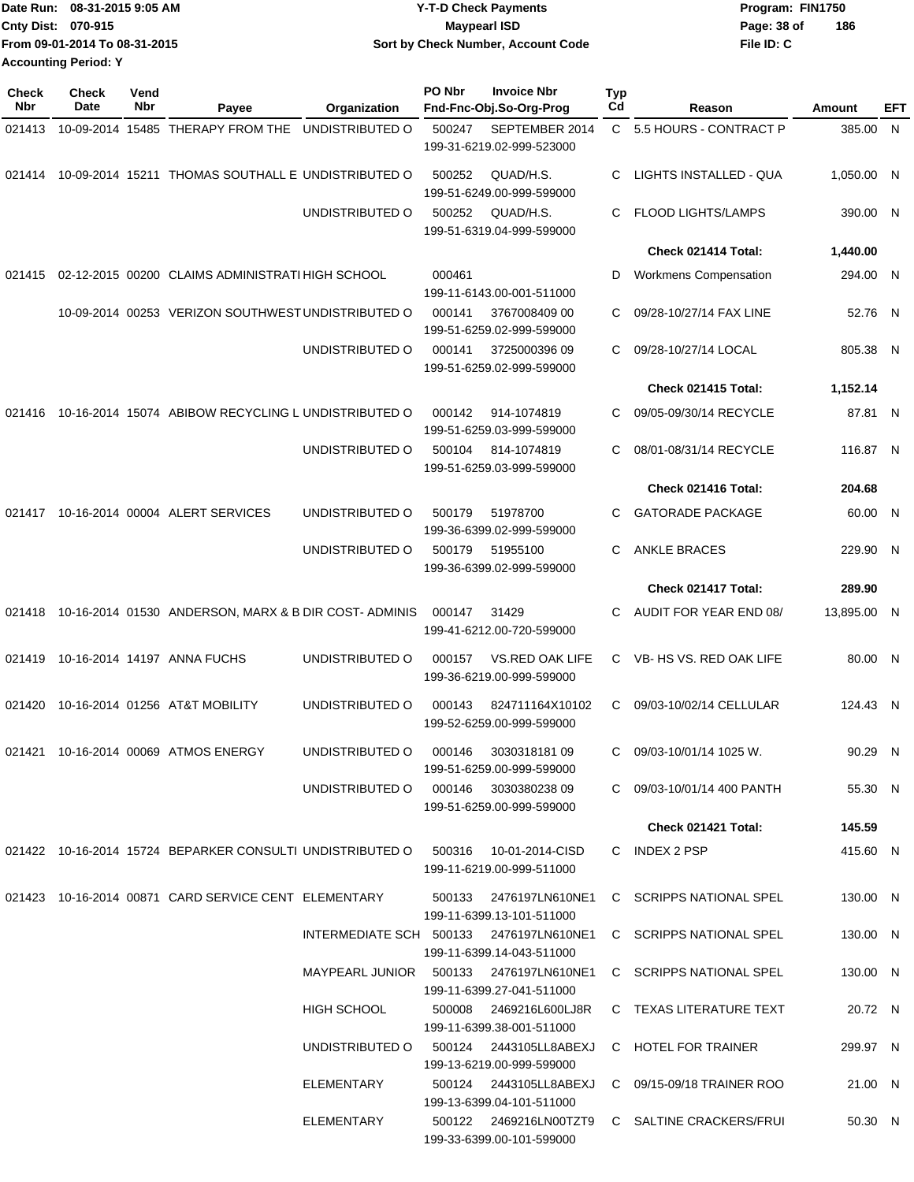|                             | Date Run: 08-31-2015 9:05 AM  | <b>Y-T-D Check Payments</b>        | Program: FIN1750 |     |
|-----------------------------|-------------------------------|------------------------------------|------------------|-----|
| <b>Cnty Dist: 070-915</b>   |                               | Maypearl ISD                       | Page: 38 of      | 186 |
|                             | From 09-01-2014 To 08-31-2015 | Sort by Check Number, Account Code | File ID: C       |     |
| <b>Accounting Period: Y</b> |                               |                                    |                  |     |

| Check<br><b>Nbr</b> | <b>Check</b><br>Date | Vend<br>Nbr | Payee                                                     | Organization                         | PO Nbr | <b>Invoice Nbr</b><br>Fnd-Fnc-Obj.So-Org-Prog                        | <b>Typ</b><br>Cd | Reason                                         | Amount      | EFT |
|---------------------|----------------------|-------------|-----------------------------------------------------------|--------------------------------------|--------|----------------------------------------------------------------------|------------------|------------------------------------------------|-------------|-----|
| 021413              |                      |             | 10-09-2014 15485 THERAPY FROM THE                         | UNDISTRIBUTED O                      | 500247 | SEPTEMBER 2014<br>199-31-6219.02-999-523000                          |                  | C 5.5 HOURS - CONTRACT P                       | 385.00      | N.  |
| 021414              |                      |             | 10-09-2014 15211 THOMAS SOUTHALL E UNDISTRIBUTED O        |                                      | 500252 | QUAD/H.S.<br>199-51-6249.00-999-599000                               | C                | LIGHTS INSTALLED - QUA                         | 1,050.00 N  |     |
|                     |                      |             |                                                           | UNDISTRIBUTED O                      | 500252 | QUAD/H.S.<br>199-51-6319.04-999-599000                               | C                | <b>FLOOD LIGHTS/LAMPS</b>                      | 390.00 N    |     |
|                     |                      |             |                                                           |                                      |        |                                                                      |                  | Check 021414 Total:                            | 1,440.00    |     |
| 021415              |                      |             | 02-12-2015 00200 CLAIMS ADMINISTRATI HIGH SCHOOL          |                                      | 000461 | 199-11-6143.00-001-511000                                            | D                | <b>Workmens Compensation</b>                   | 294.00 N    |     |
|                     |                      |             | 10-09-2014 00253 VERIZON SOUTHWEST UNDISTRIBUTED O        |                                      | 000141 | 3767008409 00<br>199-51-6259.02-999-599000                           | C                | 09/28-10/27/14 FAX LINE                        | 52.76 N     |     |
|                     |                      |             |                                                           | UNDISTRIBUTED O                      | 000141 | 3725000396 09<br>199-51-6259.02-999-599000                           | C                | 09/28-10/27/14 LOCAL                           | 805.38 N    |     |
|                     |                      |             |                                                           |                                      |        |                                                                      |                  | Check 021415 Total:                            | 1,152.14    |     |
| 021416              |                      |             | 10-16-2014 15074 ABIBOW RECYCLING L UNDISTRIBUTED O       |                                      | 000142 | 914-1074819<br>199-51-6259.03-999-599000                             | C                | 09/05-09/30/14 RECYCLE                         | 87.81 N     |     |
|                     |                      |             |                                                           | UNDISTRIBUTED O                      | 500104 | 814-1074819<br>199-51-6259.03-999-599000                             | C                | 08/01-08/31/14 RECYCLE                         | 116.87 N    |     |
|                     |                      |             |                                                           |                                      |        |                                                                      |                  | Check 021416 Total:                            | 204.68      |     |
| 021417              |                      |             | 10-16-2014 00004 ALERT SERVICES                           | UNDISTRIBUTED O                      | 500179 | 51978700<br>199-36-6399.02-999-599000                                | C                | <b>GATORADE PACKAGE</b>                        | 60.00 N     |     |
|                     |                      |             |                                                           | UNDISTRIBUTED O                      | 500179 | 51955100<br>199-36-6399.02-999-599000                                | C                | <b>ANKLE BRACES</b>                            | 229.90 N    |     |
|                     |                      |             |                                                           |                                      |        |                                                                      |                  | Check 021417 Total:                            | 289.90      |     |
| 021418              |                      |             | 10-16-2014 01530 ANDERSON, MARX & B DIR COST-ADMINIS      |                                      | 000147 | 31429<br>199-41-6212.00-720-599000                                   | C.               | AUDIT FOR YEAR END 08/                         | 13,895.00 N |     |
| 021419              |                      |             | 10-16-2014 14197 ANNA FUCHS                               | UNDISTRIBUTED O                      | 000157 | <b>VS.RED OAK LIFE</b><br>199-36-6219.00-999-599000                  | C.               | VB- HS VS. RED OAK LIFE                        | 80.00 N     |     |
| 021420              |                      |             | 10-16-2014 01256 AT&T MOBILITY                            | UNDISTRIBUTED O                      | 000143 | 824711164X10102<br>199-52-6259.00-999-599000                         | C                | 09/03-10/02/14 CELLULAR                        | 124.43 N    |     |
|                     |                      |             | 021421 10-16-2014 00069 ATMOS ENERGY                      | UNDISTRIBUTED O                      | 000146 | 303031818109<br>199-51-6259.00-999-599000                            | C.               | 09/03-10/01/14 1025 W.                         | 90.29 N     |     |
|                     |                      |             |                                                           | UNDISTRIBUTED O 000146 3030380238 09 |        | 199-51-6259.00-999-599000                                            |                  | C 09/03-10/01/14 400 PANTH                     | 55.30 N     |     |
|                     |                      |             |                                                           |                                      |        |                                                                      |                  | Check 021421 Total:                            | 145.59      |     |
|                     |                      |             | 021422 10-16-2014 15724 BEPARKER CONSULTI UNDISTRIBUTED O |                                      |        | 500316  10-01-2014-CISD<br>199-11-6219.00-999-511000                 |                  | C INDEX 2 PSP                                  | 415.60 N    |     |
|                     |                      |             | 021423 10-16-2014 00871 CARD SERVICE CENT ELEMENTARY      |                                      |        | 199-11-6399.13-101-511000                                            |                  | 500133 2476197LN610NE1 C SCRIPPS NATIONAL SPEL | 130.00 N    |     |
|                     |                      |             |                                                           |                                      |        | INTERMEDIATE SCH 500133 2476197LN610NE1<br>199-11-6399.14-043-511000 |                  | C SCRIPPS NATIONAL SPEL                        | 130.00 N    |     |
|                     |                      |             |                                                           |                                      |        | MAYPEARL JUNIOR 500133 2476197LN610NE1<br>199-11-6399.27-041-511000  |                  | C SCRIPPS NATIONAL SPEL                        | 130.00 N    |     |
|                     |                      |             |                                                           | HIGH SCHOOL                          |        | 500008 2469216L600LJ8R<br>199-11-6399.38-001-511000                  |                  | C TEXAS LITERATURE TEXT                        | 20.72 N     |     |
|                     |                      |             |                                                           | UNDISTRIBUTED O                      |        | 199-13-6219.00-999-599000                                            |                  | C HOTEL FOR TRAINER                            | 299.97 N    |     |
|                     |                      |             |                                                           | ELEMENTARY                           |        | 500124 2443105LL8ABEXJ<br>199-13-6399.04-101-511000                  |                  | C 09/15-09/18 TRAINER ROO                      | 21.00 N     |     |
|                     |                      |             |                                                           | ELEMENTARY                           |        | 500122 2469216LN00TZT9<br>199-33-6399.00-101-599000                  |                  | C SALTINE CRACKERS/FRUI                        | 50.30 N     |     |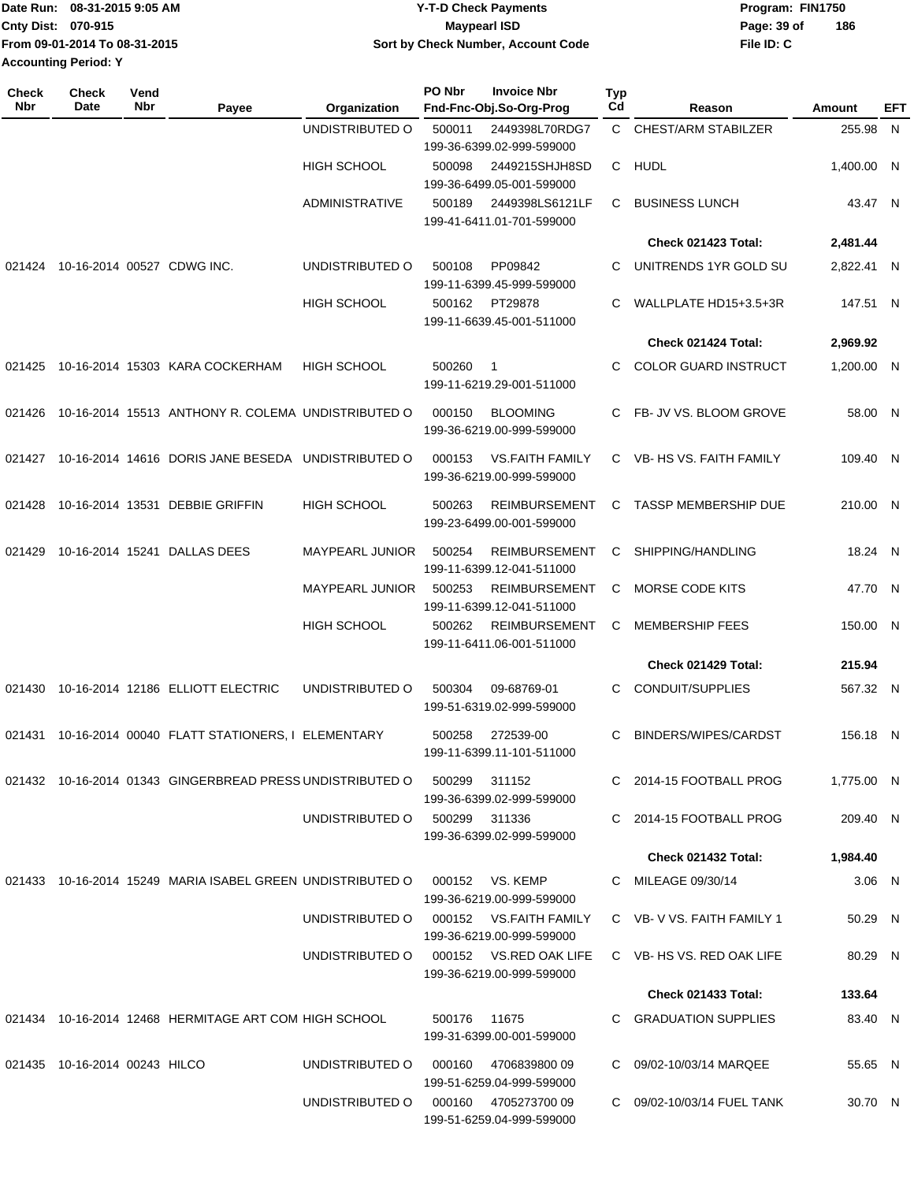|                             | Date Run: 08-31-2015 9:05 AM  | <b>Y-T-D Check Payments</b>        | Program: FIN1750   |
|-----------------------------|-------------------------------|------------------------------------|--------------------|
| <b>Cnty Dist: 070-915</b>   |                               | Maypearl ISD                       | 186<br>Page: 39 of |
|                             | From 09-01-2014 To 08-31-2015 | Sort by Check Number, Account Code | File ID: C         |
| <b>Accounting Period: Y</b> |                               |                                    |                    |

| Check<br><b>Nbr</b> | <b>Check</b><br>Date          | Vend<br>Nbr | Payee                                                      | Organization           | PO Nbr | <b>Invoice Nbr</b><br>Fnd-Fnc-Obj.So-Org-Prog       | Typ<br>Cd    | Reason                      | Amount     | EFT |
|---------------------|-------------------------------|-------------|------------------------------------------------------------|------------------------|--------|-----------------------------------------------------|--------------|-----------------------------|------------|-----|
|                     |                               |             |                                                            | UNDISTRIBUTED O        | 500011 | 2449398L70RDG7<br>199-36-6399.02-999-599000         | $\mathsf{C}$ | <b>CHEST/ARM STABILZER</b>  | 255.98 N   |     |
|                     |                               |             |                                                            | <b>HIGH SCHOOL</b>     | 500098 | 2449215SHJH8SD<br>199-36-6499.05-001-599000         | C.           | <b>HUDL</b>                 | 1,400.00 N |     |
|                     |                               |             |                                                            | <b>ADMINISTRATIVE</b>  | 500189 | 2449398LS6121LF<br>199-41-6411.01-701-599000        | С            | <b>BUSINESS LUNCH</b>       | 43.47 N    |     |
|                     |                               |             |                                                            |                        |        |                                                     |              | Check 021423 Total:         | 2,481.44   |     |
| 021424              |                               |             | 10-16-2014 00527 CDWG INC.                                 | UNDISTRIBUTED O        | 500108 | PP09842<br>199-11-6399.45-999-599000                | С            | UNITRENDS 1YR GOLD SU       | 2,822.41 N |     |
|                     |                               |             |                                                            | HIGH SCHOOL            | 500162 | PT29878<br>199-11-6639.45-001-511000                | С            | WALLPLATE HD15+3.5+3R       | 147.51 N   |     |
|                     |                               |             |                                                            |                        |        |                                                     |              | Check 021424 Total:         | 2,969.92   |     |
| 021425              |                               |             | 10-16-2014 15303 KARA COCKERHAM                            | <b>HIGH SCHOOL</b>     | 500260 | -1<br>199-11-6219.29-001-511000                     | С            | <b>COLOR GUARD INSTRUCT</b> | 1,200.00 N |     |
| 021426              |                               |             | 10-16-2014 15513 ANTHONY R. COLEMA UNDISTRIBUTED O         |                        | 000150 | <b>BLOOMING</b><br>199-36-6219.00-999-599000        | C.           | FB- JV VS. BLOOM GROVE      | 58.00 N    |     |
| 021427              |                               |             | 10-16-2014 14616 DORIS JANE BESEDA UNDISTRIBUTED O         |                        | 000153 | <b>VS.FAITH FAMILY</b><br>199-36-6219.00-999-599000 |              | C VB- HS VS. FAITH FAMILY   | 109.40 N   |     |
| 021428              |                               |             | 10-16-2014 13531 DEBBIE GRIFFIN                            | HIGH SCHOOL            | 500263 | <b>REIMBURSEMENT</b><br>199-23-6499.00-001-599000   | C            | <b>TASSP MEMBERSHIP DUE</b> | 210.00 N   |     |
| 021429              |                               |             | 10-16-2014 15241 DALLAS DEES                               | MAYPEARL JUNIOR        | 500254 | <b>REIMBURSEMENT</b><br>199-11-6399.12-041-511000   | C            | SHIPPING/HANDLING           | 18.24 N    |     |
|                     |                               |             |                                                            | <b>MAYPEARL JUNIOR</b> | 500253 | <b>REIMBURSEMENT</b><br>199-11-6399.12-041-511000   | С            | MORSE CODE KITS             | 47.70 N    |     |
|                     |                               |             |                                                            | HIGH SCHOOL            | 500262 | <b>REIMBURSEMENT</b><br>199-11-6411.06-001-511000   | С            | <b>MEMBERSHIP FEES</b>      | 150.00 N   |     |
|                     |                               |             |                                                            |                        |        |                                                     |              | Check 021429 Total:         | 215.94     |     |
| 021430              |                               |             | 10-16-2014 12186 ELLIOTT ELECTRIC                          | UNDISTRIBUTED O        | 500304 | 09-68769-01<br>199-51-6319.02-999-599000            | С            | CONDUIT/SUPPLIES            | 567.32 N   |     |
| 021431              |                               |             | 10-16-2014 00040 FLATT STATIONERS, I ELEMENTARY            |                        | 500258 | 272539-00<br>199-11-6399.11-101-511000              | C            | BINDERS/WIPES/CARDST        | 156.18 N   |     |
|                     |                               |             | 021432 10-16-2014 01343 GINGERBREAD PRESS UNDISTRIBUTED O  |                        | 500299 | 311152<br>199-36-6399.02-999-599000                 |              | C 2014-15 FOOTBALL PROG     | 1,775.00 N |     |
|                     |                               |             |                                                            | UNDISTRIBUTED O        |        | 500299 311336<br>199-36-6399.02-999-599000          |              | C 2014-15 FOOTBALL PROG     | 209.40 N   |     |
|                     |                               |             |                                                            |                        |        |                                                     |              | Check 021432 Total:         | 1,984.40   |     |
|                     |                               |             | 021433 10-16-2014 15249 MARIA ISABEL GREEN UNDISTRIBUTED O |                        |        | 000152 VS. KEMP<br>199-36-6219.00-999-599000        |              | C MILEAGE 09/30/14          | $3.06$ N   |     |
|                     |                               |             |                                                            | UNDISTRIBUTED O        |        | 000152 VS.FAITH FAMILY<br>199-36-6219.00-999-599000 |              | C VB-V VS. FAITH FAMILY 1   | 50.29 N    |     |
|                     |                               |             |                                                            | UNDISTRIBUTED O        |        | 000152 VS.RED OAK LIFE<br>199-36-6219.00-999-599000 |              | C VB-HS VS, RED OAK LIFE    | 80.29 N    |     |
|                     |                               |             |                                                            |                        |        |                                                     |              | <b>Check 021433 Total:</b>  | 133.64     |     |
|                     |                               |             | 021434 10-16-2014 12468 HERMITAGE ART COM HIGH SCHOOL      |                        | 500176 | 11675<br>199-31-6399.00-001-599000                  |              | C GRADUATION SUPPLIES       | 83.40 N    |     |
|                     | 021435 10-16-2014 00243 HILCO |             |                                                            | UNDISTRIBUTED O        | 000160 | 470683980009<br>199-51-6259.04-999-599000           |              | C 09/02-10/03/14 MARQEE     | 55.65 N    |     |
|                     |                               |             |                                                            | UNDISTRIBUTED O        |        | 000160 4705273700 09<br>199-51-6259.04-999-599000   |              | C 09/02-10/03/14 FUEL TANK  | 30.70 N    |     |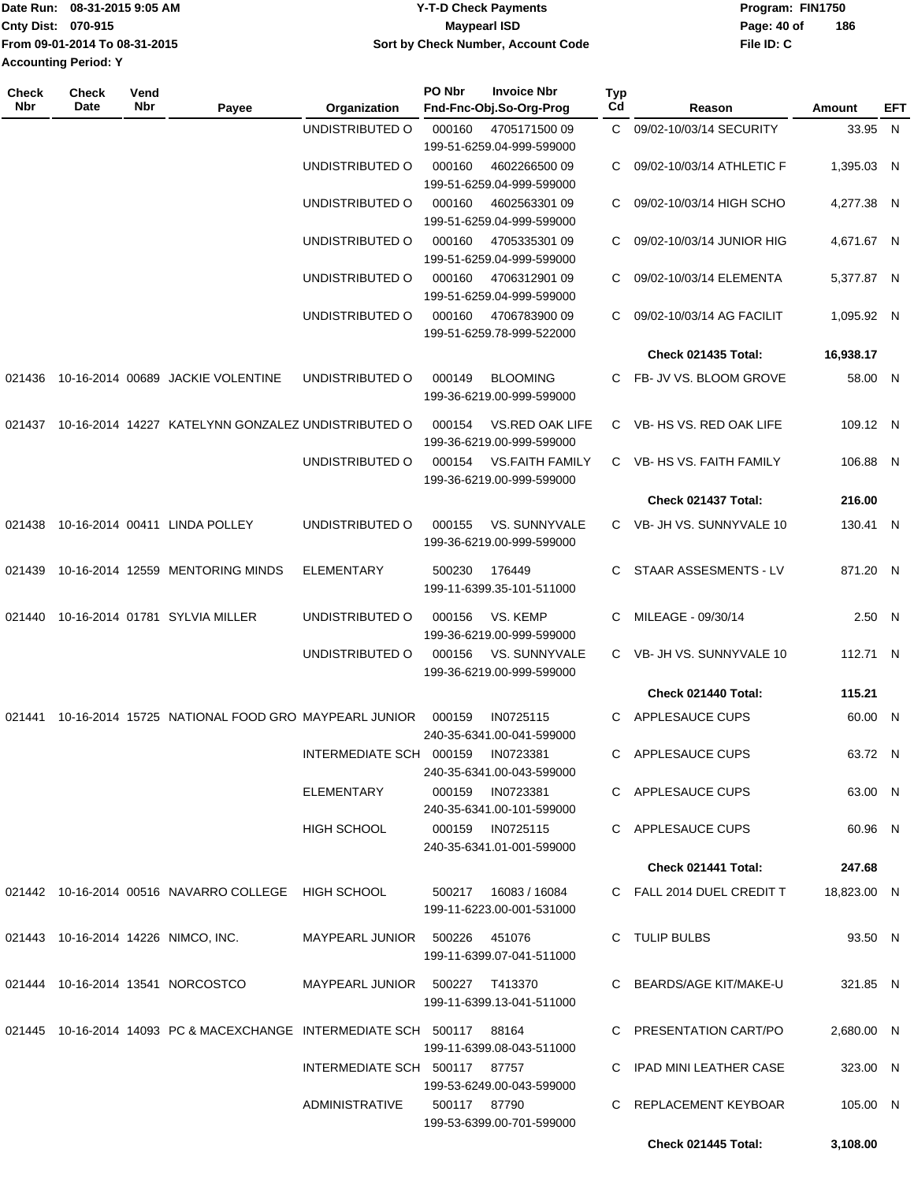|                             | Date Run: 08-31-2015 9:05 AM  | <b>Y-T-D Check Payments</b>        | Program: FIN1750 |     |  |
|-----------------------------|-------------------------------|------------------------------------|------------------|-----|--|
| <b>Cnty Dist: 070-915</b>   |                               | Maypearl ISD                       | Page: 40 of      | 186 |  |
|                             | From 09-01-2014 To 08-31-2015 | Sort by Check Number, Account Code | File ID: C       |     |  |
| <b>Accounting Period: Y</b> |                               |                                    |                  |     |  |

| <b>Check</b><br>Nbr | Check<br>Date | Vend<br>Nbr | Payee                                                                  | Organization                      | PO Nbr       | <b>Invoice Nbr</b><br>Fnd-Fnc-Obj.So-Org-Prog       | <b>Typ</b><br>Cd | Reason                     | Amount      | EFT |
|---------------------|---------------|-------------|------------------------------------------------------------------------|-----------------------------------|--------------|-----------------------------------------------------|------------------|----------------------------|-------------|-----|
|                     |               |             |                                                                        | UNDISTRIBUTED O                   | 000160       | 470517150009<br>199-51-6259.04-999-599000           | C.               | 09/02-10/03/14 SECURITY    | 33.95 N     |     |
|                     |               |             |                                                                        | UNDISTRIBUTED O                   | 000160       | 4602266500 09<br>199-51-6259.04-999-599000          | C                | 09/02-10/03/14 ATHLETIC F  | 1,395.03 N  |     |
|                     |               |             |                                                                        | UNDISTRIBUTED O                   | 000160       | 4602563301 09                                       | C                | 09/02-10/03/14 HIGH SCHO   | 4,277.38 N  |     |
|                     |               |             |                                                                        | UNDISTRIBUTED O                   | 000160       | 199-51-6259.04-999-599000<br>4705335301 09          |                  | 09/02-10/03/14 JUNIOR HIG  | 4.671.67 N  |     |
|                     |               |             |                                                                        | UNDISTRIBUTED O                   | 000160       | 199-51-6259.04-999-599000<br>4706312901 09          | C                | 09/02-10/03/14 ELEMENTA    | 5,377.87 N  |     |
|                     |               |             |                                                                        | UNDISTRIBUTED O                   | 000160       | 199-51-6259.04-999-599000<br>470678390009           | C                | 09/02-10/03/14 AG FACILIT  | 1,095.92 N  |     |
|                     |               |             |                                                                        |                                   |              | 199-51-6259.78-999-522000                           |                  | <b>Check 021435 Total:</b> | 16,938.17   |     |
| 021436              |               |             | 10-16-2014 00689 JACKIE VOLENTINE                                      | UNDISTRIBUTED O                   | 000149       | <b>BLOOMING</b><br>199-36-6219.00-999-599000        |                  | C FB- JV VS. BLOOM GROVE   | 58.00 N     |     |
| 021437              |               |             | 10-16-2014 14227 KATELYNN GONZALEZ UNDISTRIBUTED O                     |                                   | 000154       | VS.RED OAK LIFE<br>199-36-6219.00-999-599000        |                  | C VB-HS VS, RED OAK LIFE   | 109.12 N    |     |
|                     |               |             |                                                                        | UNDISTRIBUTED O                   | 000154       | <b>VS.FAITH FAMILY</b><br>199-36-6219.00-999-599000 | C.               | VB- HS VS. FAITH FAMILY    | 106.88 N    |     |
|                     |               |             |                                                                        |                                   |              |                                                     |                  | Check 021437 Total:        | 216.00      |     |
| 021438              |               |             | 10-16-2014 00411 LINDA POLLEY                                          | UNDISTRIBUTED O                   | 000155       | VS. SUNNYVALE<br>199-36-6219.00-999-599000          |                  | C VB-JH VS. SUNNYVALE 10   | 130.41 N    |     |
| 021439              |               |             | 10-16-2014 12559 MENTORING MINDS                                       | <b>ELEMENTARY</b>                 | 500230       | 176449<br>199-11-6399.35-101-511000                 | C.               | STAAR ASSESMENTS - LV      | 871.20 N    |     |
| 021440              |               |             | 10-16-2014 01781 SYLVIA MILLER                                         | UNDISTRIBUTED O                   | 000156       | VS. KEMP<br>199-36-6219.00-999-599000               |                  | MILEAGE - 09/30/14         | 2.50 N      |     |
|                     |               |             |                                                                        | UNDISTRIBUTED O                   | 000156       | VS. SUNNYVALE<br>199-36-6219.00-999-599000          |                  | C VB- JH VS. SUNNYVALE 10  | 112.71 N    |     |
|                     |               |             |                                                                        |                                   |              |                                                     |                  | Check 021440 Total:        | 115.21      |     |
| 021441              |               |             | 10-16-2014 15725 NATIONAL FOOD GRO MAYPEARL JUNIOR                     |                                   | 000159       | IN0725115<br>240-35-6341.00-041-599000              | C                | APPLESAUCE CUPS            | 60.00 N     |     |
|                     |               |             |                                                                        | INTERMEDIATE SCH 000159 IN0723381 |              | 240-35-6341.00-043-599000                           |                  | C APPLESAUCE CUPS          | 63.72 N     |     |
|                     |               |             |                                                                        | ELEMENTARY                        |              | 000159 IN0723381<br>240-35-6341.00-101-599000       |                  | C APPLESAUCE CUPS          | 63.00 N     |     |
|                     |               |             |                                                                        | <b>HIGH SCHOOL</b>                |              | 000159 IN0725115<br>240-35-6341.01-001-599000       |                  | C APPLESAUCE CUPS          | 60.96 N     |     |
|                     |               |             |                                                                        |                                   |              |                                                     |                  | Check 021441 Total:        | 247.68      |     |
|                     |               |             | 021442 10-16-2014 00516 NAVARRO COLLEGE HIGH SCHOOL                    |                                   |              | 500217  16083 / 16084<br>199-11-6223.00-001-531000  |                  | C FALL 2014 DUEL CREDIT T  | 18,823.00 N |     |
|                     |               |             | 021443 10-16-2014 14226 NIMCO, INC.                                    | MAYPEARL JUNIOR 500226 451076     |              | 199-11-6399.07-041-511000                           |                  | C TULIP BULBS              | 93.50 N     |     |
|                     |               |             | 021444 10-16-2014 13541 NORCOSTCO                                      | MAYPEARL JUNIOR 500227 T413370    |              | 199-11-6399.13-041-511000                           |                  | C BEARDS/AGE KIT/MAKE-U    | 321.85 N    |     |
|                     |               |             | 021445 10-16-2014 14093 PC & MACEXCHANGE INTERMEDIATE SCH 500117 88164 |                                   |              | 199-11-6399.08-043-511000                           |                  | C PRESENTATION CART/PO     | 2,680.00 N  |     |
|                     |               |             |                                                                        | INTERMEDIATE SCH 500117 87757     |              | 199-53-6249.00-043-599000                           |                  | C IPAD MINI LEATHER CASE   | 323.00 N    |     |
|                     |               |             |                                                                        | ADMINISTRATIVE                    | 500117 87790 | 199-53-6399.00-701-599000                           |                  | C REPLACEMENT KEYBOAR      | 105.00 N    |     |
|                     |               |             |                                                                        |                                   |              |                                                     |                  | Check 021445 Total:        | 3,108.00    |     |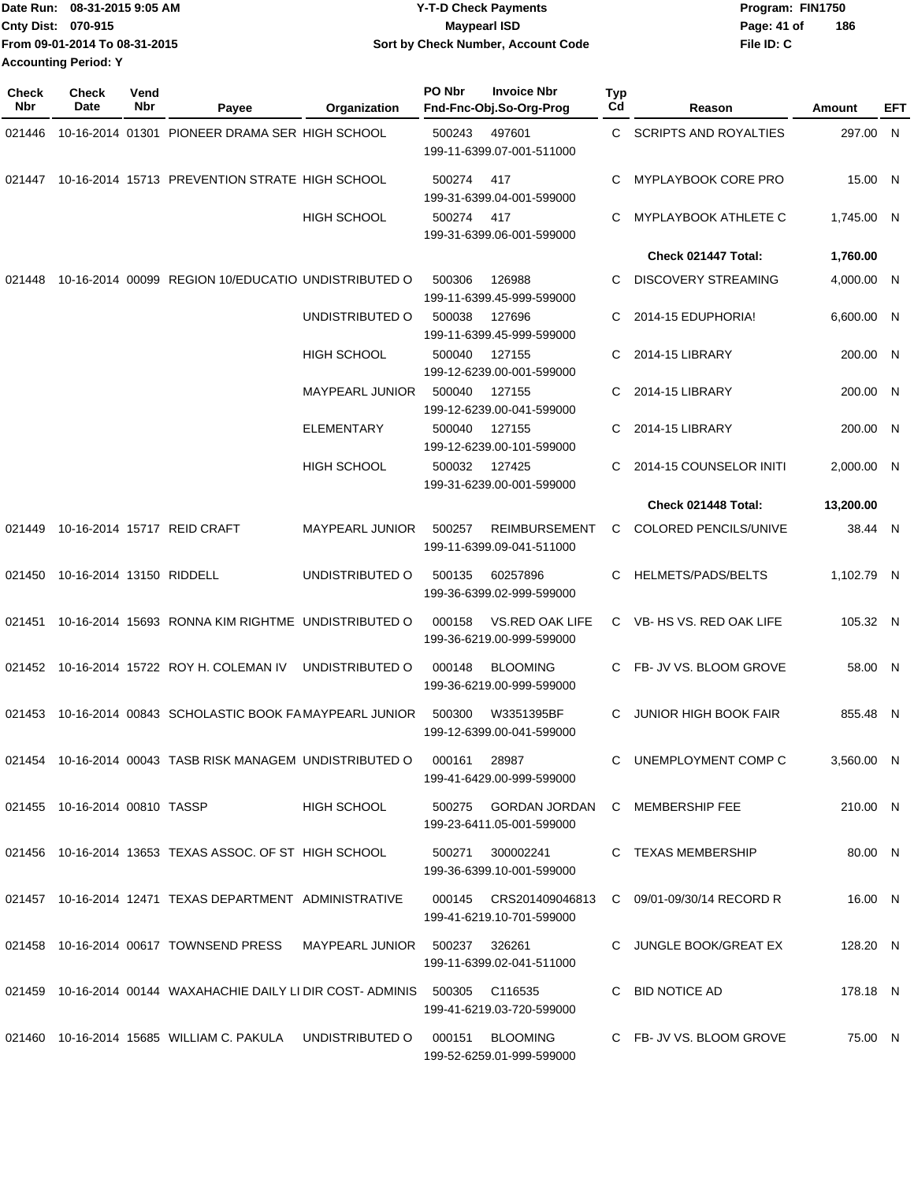| Date Run: 08-31-2015 9:05 AM  | <b>Y-T-D Check Payments</b>        | Program: FIN1750   |
|-------------------------------|------------------------------------|--------------------|
| <b>Cnty Dist: 070-915</b>     | <b>Mavpearl ISD</b>                | 186<br>Page: 41 of |
| From 09-01-2014 To 08-31-2015 | Sort by Check Number, Account Code | File ID: C         |
| <b>Accounting Period: Y</b>   |                                    |                    |

| <b>Check</b><br>Nbr | <b>Check</b><br>Date          | Vend<br>Nbr | Payee                                                                        | Organization           | PO Nbr | <b>Invoice Nbr</b><br>Fnd-Fnc-Obj.So-Org-Prog                      | Typ<br>Cd | Reason                       | Amount     | EFT |
|---------------------|-------------------------------|-------------|------------------------------------------------------------------------------|------------------------|--------|--------------------------------------------------------------------|-----------|------------------------------|------------|-----|
| 021446              |                               |             | 10-16-2014 01301 PIONEER DRAMA SER HIGH SCHOOL                               |                        | 500243 | 497601<br>199-11-6399.07-001-511000                                | C.        | <b>SCRIPTS AND ROYALTIES</b> | 297.00 N   |     |
| 021447              |                               |             | 10-16-2014 15713 PREVENTION STRATE HIGH SCHOOL                               |                        | 500274 | 417<br>199-31-6399.04-001-599000                                   | C.        | MYPLAYBOOK CORE PRO          | 15.00 N    |     |
|                     |                               |             |                                                                              | <b>HIGH SCHOOL</b>     | 500274 | 417<br>199-31-6399.06-001-599000                                   | C         | MYPLAYBOOK ATHLETE C         | 1,745.00 N |     |
|                     |                               |             |                                                                              |                        |        |                                                                    |           | Check 021447 Total:          | 1,760.00   |     |
| 021448              |                               |             | 10-16-2014 00099 REGION 10/EDUCATIO UNDISTRIBUTED O                          |                        | 500306 | 126988<br>199-11-6399.45-999-599000                                | C.        | <b>DISCOVERY STREAMING</b>   | 4,000.00 N |     |
|                     |                               |             |                                                                              | UNDISTRIBUTED O        | 500038 | 127696<br>199-11-6399.45-999-599000                                | C.        | 2014-15 EDUPHORIA!           | 6,600.00 N |     |
|                     |                               |             |                                                                              | <b>HIGH SCHOOL</b>     | 500040 | 127155<br>199-12-6239.00-001-599000                                | C         | 2014-15 LIBRARY              | 200.00 N   |     |
|                     |                               |             |                                                                              | <b>MAYPEARL JUNIOR</b> | 500040 | 127155<br>199-12-6239.00-041-599000                                | C         | 2014-15 LIBRARY              | 200.00 N   |     |
|                     |                               |             |                                                                              | <b>ELEMENTARY</b>      | 500040 | 127155<br>199-12-6239.00-101-599000                                | C         | 2014-15 LIBRARY              | 200.00 N   |     |
|                     |                               |             |                                                                              | <b>HIGH SCHOOL</b>     | 500032 | 127425<br>199-31-6239.00-001-599000                                | C         | 2014-15 COUNSELOR INITI      | 2,000.00 N |     |
|                     |                               |             |                                                                              |                        |        |                                                                    |           | Check 021448 Total:          | 13.200.00  |     |
|                     |                               |             | 021449 10-16-2014 15717 REID CRAFT                                           | <b>MAYPEARL JUNIOR</b> | 500257 | <b>REIMBURSEMENT</b><br>199-11-6399.09-041-511000                  | C.        | COLORED PENCILS/UNIVE        | 38.44 N    |     |
| 021450              | 10-16-2014 13150 RIDDELL      |             |                                                                              | UNDISTRIBUTED O        | 500135 | 60257896<br>199-36-6399.02-999-599000                              | C         | HELMETS/PADS/BELTS           | 1,102.79 N |     |
| 021451              |                               |             | 10-16-2014 15693 RONNA KIM RIGHTME UNDISTRIBUTED O                           |                        | 000158 | VS.RED OAK LIFE<br>199-36-6219.00-999-599000                       |           | C VB-HS VS. RED OAK LIFE     | 105.32 N   |     |
|                     |                               |             | 021452 10-16-2014 15722 ROY H. COLEMAN IV                                    | UNDISTRIBUTED O        | 000148 | <b>BLOOMING</b><br>199-36-6219.00-999-599000                       | C.        | FB- JV VS. BLOOM GROVE       | 58.00 N    |     |
| 021453              |                               |             | 10-16-2014 00843 SCHOLASTIC BOOK FAMAYPEARL JUNIOR                           |                        | 500300 | W3351395BF<br>199-12-6399.00-041-599000                            | C         | <b>JUNIOR HIGH BOOK FAIR</b> | 855.48 N   |     |
|                     |                               |             | 021454 10-16-2014 00043 TASB RISK MANAGEM UNDISTRIBUTED O                    |                        | 000161 | 28987<br>199-41-6429.00-999-599000                                 |           | C UNEMPLOYMENT COMP C        | 3,560.00 N |     |
|                     | 021455 10-16-2014 00810 TASSP |             |                                                                              | HIGH SCHOOL            |        | 500275 GORDAN JORDAN C MEMBERSHIP FEE<br>199-23-6411.05-001-599000 |           |                              | 210.00 N   |     |
|                     |                               |             | 021456 10-16-2014 13653 TEXAS ASSOC. OF ST HIGH SCHOOL                       |                        | 500271 | 300002241<br>199-36-6399.10-001-599000                             |           | C TEXAS MEMBERSHIP           | 80.00 N    |     |
|                     |                               |             | 021457 10-16-2014 12471 TEXAS DEPARTMENT ADMINISTRATIVE                      |                        |        | 199-41-6219.10-701-599000                                          |           |                              | 16.00 N    |     |
|                     |                               |             | 021458 10-16-2014 00617 TOWNSEND PRESS MAYPEARL JUNIOR 500237 326261         |                        |        | 199-11-6399.02-041-511000                                          |           | C JUNGLE BOOK/GREAT EX       | 128.20 N   |     |
|                     |                               |             | 021459 10-16-2014 00144 WAXAHACHIE DAILY LI DIR COST- ADMINIS 500305 C116535 |                        |        | 199-41-6219.03-720-599000                                          |           | C BID NOTICE AD              | 178.18 N   |     |
|                     |                               |             | 021460 10-16-2014 15685 WILLIAM C. PAKULA UNDISTRIBUTED O 000151 BLOOMING    |                        |        | 199-52-6259.01-999-599000                                          |           | C FB- JV VS. BLOOM GROVE     | 75.00 N    |     |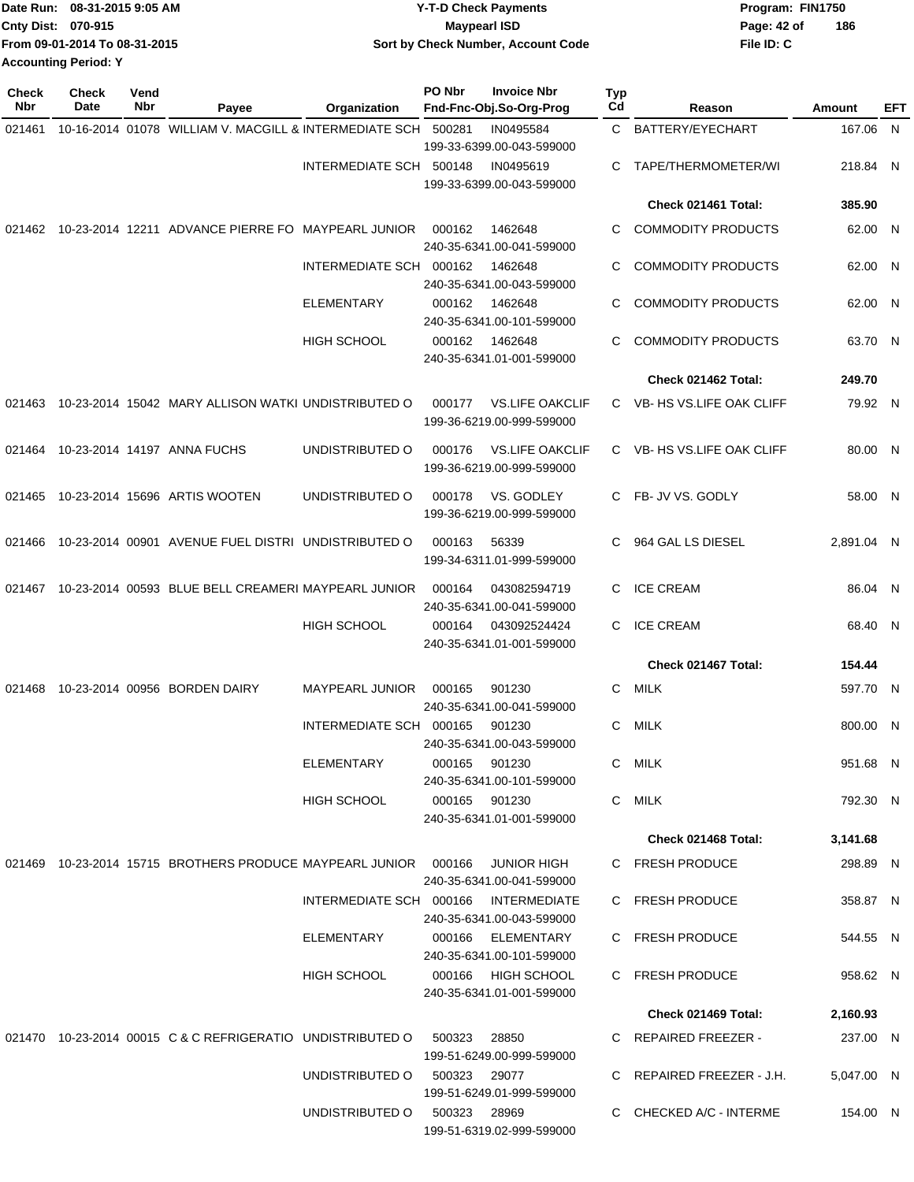|                             | Date Run: 08-31-2015 9:05 AM  | <b>Y-T-D Check Payments</b>        | Program: FIN1750 |     |
|-----------------------------|-------------------------------|------------------------------------|------------------|-----|
| Cnty Dist: 070-915          |                               | <b>Mavpearl ISD</b>                | Page: 42 of      | 186 |
|                             | From 09-01-2014 To 08-31-2015 | Sort by Check Number, Account Code | File ID: C       |     |
| <b>Accounting Period: Y</b> |                               |                                    |                  |     |

| <b>Check</b><br>Nbr | <b>Check</b><br>Date | Vend<br>Nbr | Payee                                                               | Organization                         | PO Nbr       | <b>Invoice Nbr</b><br>Fnd-Fnc-Obj.So-Org-Prog | Typ<br>Cd    | Reason                     | Amount     | EFT |
|---------------------|----------------------|-------------|---------------------------------------------------------------------|--------------------------------------|--------------|-----------------------------------------------|--------------|----------------------------|------------|-----|
| 021461              |                      |             | 10-16-2014 01078 WILLIAM V. MACGILL & INTERMEDIATE SCH 500281       |                                      |              | IN0495584                                     | $\mathbf{C}$ | BATTERY/EYECHART           | 167.06 N   |     |
|                     |                      |             |                                                                     |                                      |              | 199-33-6399.00-043-599000                     |              |                            |            |     |
|                     |                      |             |                                                                     | INTERMEDIATE SCH 500148              |              | IN0495619<br>199-33-6399.00-043-599000        | С            | TAPE/THERMOMETER/WI        | 218.84 N   |     |
|                     |                      |             |                                                                     |                                      |              |                                               |              | Check 021461 Total:        | 385.90     |     |
|                     |                      |             | 021462 10-23-2014 12211 ADVANCE PIERRE FO MAYPEARL JUNIOR           |                                      | 000162       | 1462648                                       | С            | <b>COMMODITY PRODUCTS</b>  | 62.00 N    |     |
|                     |                      |             |                                                                     |                                      |              | 240-35-6341.00-041-599000                     |              |                            |            |     |
|                     |                      |             |                                                                     | INTERMEDIATE SCH 000162              |              | 1462648                                       | C            | <b>COMMODITY PRODUCTS</b>  | 62.00 N    |     |
|                     |                      |             |                                                                     |                                      |              | 240-35-6341.00-043-599000                     |              |                            |            |     |
|                     |                      |             |                                                                     | ELEMENTARY                           | 000162       | 1462648<br>240-35-6341.00-101-599000          | С            | <b>COMMODITY PRODUCTS</b>  | 62.00 N    |     |
|                     |                      |             |                                                                     | <b>HIGH SCHOOL</b>                   | 000162       | 1462648                                       | С            | <b>COMMODITY PRODUCTS</b>  | 63.70 N    |     |
|                     |                      |             |                                                                     |                                      |              | 240-35-6341.01-001-599000                     |              |                            |            |     |
|                     |                      |             |                                                                     |                                      |              |                                               |              | Check 021462 Total:        | 249.70     |     |
|                     |                      |             | 021463 10-23-2014 15042 MARY ALLISON WATKI UNDISTRIBUTED O          |                                      | 000177       | <b>VS.LIFE OAKCLIF</b>                        |              | C VB- HS VS.LIFE OAK CLIFF | 79.92 N    |     |
|                     |                      |             |                                                                     |                                      |              | 199-36-6219.00-999-599000                     |              |                            |            |     |
| 021464              |                      |             | 10-23-2014 14197 ANNA FUCHS                                         | UNDISTRIBUTED O                      | 000176       | <b>VS.LIFE OAKCLIF</b>                        |              | C VB- HS VS.LIFE OAK CLIFF | 80.00 N    |     |
|                     |                      |             |                                                                     |                                      |              | 199-36-6219.00-999-599000                     |              |                            |            |     |
| 021465              |                      |             | 10-23-2014 15696 ARTIS WOOTEN                                       | UNDISTRIBUTED O                      | 000178       | VS. GODLEY                                    |              | C FB- JV VS. GODLY         | 58.00 N    |     |
|                     |                      |             |                                                                     |                                      |              | 199-36-6219.00-999-599000                     |              |                            |            |     |
| 021466              |                      |             | 10-23-2014 00901 AVENUE FUEL DISTRI UNDISTRIBUTED O                 |                                      | 000163       | 56339                                         | C            | 964 GAL LS DIESEL          | 2,891.04 N |     |
|                     |                      |             |                                                                     |                                      |              | 199-34-6311.01-999-599000                     |              |                            |            |     |
| 021467              |                      |             | 10-23-2014 00593 BLUE BELL CREAMERI MAYPEARL JUNIOR                 |                                      | 000164       | 043082594719                                  | С            | <b>ICE CREAM</b>           | 86.04 N    |     |
|                     |                      |             |                                                                     |                                      |              | 240-35-6341.00-041-599000                     |              |                            |            |     |
|                     |                      |             |                                                                     | <b>HIGH SCHOOL</b>                   | 000164       | 043092524424<br>240-35-6341.01-001-599000     | С            | <b>ICE CREAM</b>           | 68.40 N    |     |
|                     |                      |             |                                                                     |                                      |              |                                               |              | Check 021467 Total:        | 154.44     |     |
| 021468              |                      |             | 10-23-2014 00956 BORDEN DAIRY                                       | <b>MAYPEARL JUNIOR</b>               | 000165       | 901230                                        | С            | <b>MILK</b>                | 597.70 N   |     |
|                     |                      |             |                                                                     |                                      |              | 240-35-6341.00-041-599000                     |              |                            |            |     |
|                     |                      |             |                                                                     | INTERMEDIATE SCH 000165              |              | 901230                                        | С            | <b>MILK</b>                | 800.00 N   |     |
|                     |                      |             |                                                                     | ELEMENTARY                           |              | 240-35-6341.00-043-599000                     |              | C MILK                     | 951.68 N   |     |
|                     |                      |             |                                                                     |                                      | 000165       | 901230<br>240-35-6341.00-101-599000           |              |                            |            |     |
|                     |                      |             |                                                                     | <b>HIGH SCHOOL</b>                   |              | 000165 901230                                 |              | C MILK                     | 792.30 N   |     |
|                     |                      |             |                                                                     |                                      |              | 240-35-6341.01-001-599000                     |              |                            |            |     |
|                     |                      |             |                                                                     |                                      |              |                                               |              | Check 021468 Total:        | 3,141.68   |     |
|                     |                      |             | 021469  10-23-2014  15715  BROTHERS PRODUCE MAYPEARL JUNIOR  000166 |                                      |              | <b>JUNIOR HIGH</b>                            |              | C FRESH PRODUCE            | 298.89 N   |     |
|                     |                      |             |                                                                     | INTERMEDIATE SCH 000166 INTERMEDIATE |              | 240-35-6341.00-041-599000                     |              | C FRESH PRODUCE            | 358.87 N   |     |
|                     |                      |             |                                                                     |                                      |              | 240-35-6341.00-043-599000                     |              |                            |            |     |
|                     |                      |             |                                                                     | ELEMENTARY                           | 000166       | ELEMENTARY                                    |              | C FRESH PRODUCE            | 544.55 N   |     |
|                     |                      |             |                                                                     |                                      |              | 240-35-6341.00-101-599000                     |              |                            |            |     |
|                     |                      |             |                                                                     | <b>HIGH SCHOOL</b>                   | 000166       | HIGH SCHOOL<br>240-35-6341.01-001-599000      |              | C FRESH PRODUCE            | 958.62 N   |     |
|                     |                      |             |                                                                     |                                      |              |                                               |              | Check 021469 Total:        | 2,160.93   |     |
|                     |                      |             | 021470 10-23-2014 00015 C & C REFRIGERATIO UNDISTRIBUTED O          |                                      | 500323       | 28850                                         |              | C REPAIRED FREEZER -       | 237.00 N   |     |
|                     |                      |             |                                                                     |                                      |              | 199-51-6249.00-999-599000                     |              |                            |            |     |
|                     |                      |             |                                                                     | UNDISTRIBUTED O                      | 500323 29077 |                                               |              | C REPAIRED FREEZER - J.H.  | 5,047.00 N |     |
|                     |                      |             |                                                                     | UNDISTRIBUTED O                      | 500323 28969 | 199-51-6249.01-999-599000                     |              | C CHECKED A/C - INTERME    | 154.00 N   |     |
|                     |                      |             |                                                                     |                                      |              | 199-51-6319.02-999-599000                     |              |                            |            |     |
|                     |                      |             |                                                                     |                                      |              |                                               |              |                            |            |     |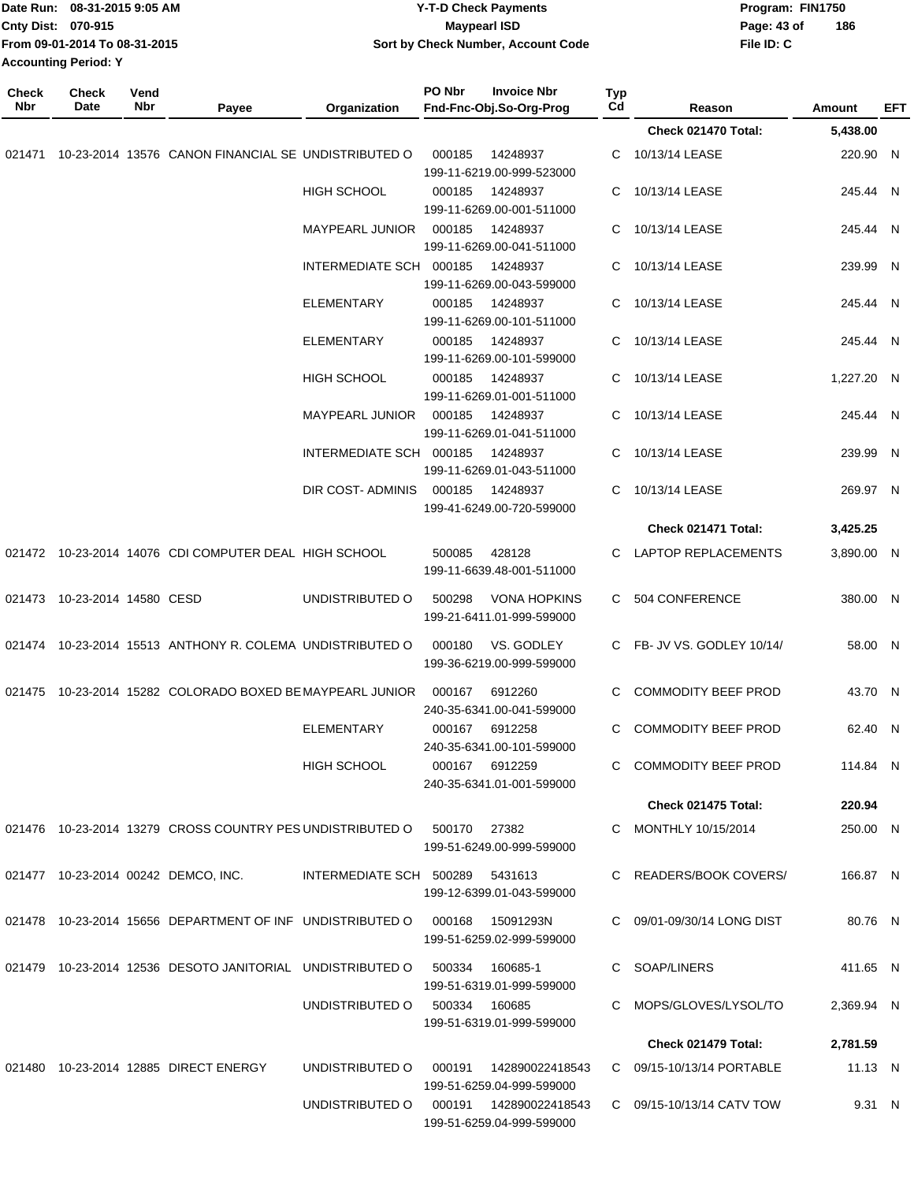|                     | Date Run: 08-31-2015 9:05 AM<br>Cnty Dist: 070-915<br>From 09-01-2014 To 08-31-2015<br><b>Accounting Period: Y</b> |             |                                                                          | <b>Y-T-D Check Payments</b><br><b>Maypearl ISD</b><br>Sort by Check Number, Account Code |        |                                                      |                       |                            | Program: FIN1750<br>Page: 43 of<br>File ID: C | 186             |            |
|---------------------|--------------------------------------------------------------------------------------------------------------------|-------------|--------------------------------------------------------------------------|------------------------------------------------------------------------------------------|--------|------------------------------------------------------|-----------------------|----------------------------|-----------------------------------------------|-----------------|------------|
| <b>Check</b><br>Nbr | <b>Check</b><br>Date                                                                                               | Vend<br>Nbr |                                                                          | Organization                                                                             | PO Nbr | <b>Invoice Nbr</b><br>Fnd-Fnc-Obj.So-Org-Prog        | Typ<br>C <sub>d</sub> | Reason                     |                                               | Amount          | <b>EFT</b> |
|                     |                                                                                                                    |             | Payee                                                                    |                                                                                          |        |                                                      |                       | Check 021470 Total:        |                                               | 5,438.00        |            |
| 021471              |                                                                                                                    |             | 10-23-2014 13576 CANON FINANCIAL SE UNDISTRIBUTED O                      |                                                                                          | 000185 | 14248937<br>199-11-6219.00-999-523000                | С                     | 10/13/14 LEASE             |                                               | 220.90 N        |            |
|                     |                                                                                                                    |             |                                                                          | <b>HIGH SCHOOL</b>                                                                       | 000185 | 14248937<br>199-11-6269.00-001-511000                | C                     | 10/13/14 LEASE             |                                               | 245.44 N        |            |
|                     |                                                                                                                    |             |                                                                          | MAYPEARL JUNIOR                                                                          | 000185 | 14248937<br>199-11-6269.00-041-511000                | C                     | 10/13/14 LEASE             |                                               | 245.44 N        |            |
|                     |                                                                                                                    |             |                                                                          | INTERMEDIATE SCH 000185                                                                  |        | 14248937<br>199-11-6269.00-043-599000                | C                     | 10/13/14 LEASE             |                                               | 239.99 N        |            |
|                     |                                                                                                                    |             |                                                                          | <b>ELEMENTARY</b>                                                                        | 000185 | 14248937<br>199-11-6269.00-101-511000                | C                     | 10/13/14 LEASE             |                                               | 245.44 N        |            |
|                     |                                                                                                                    |             |                                                                          | <b>ELEMENTARY</b>                                                                        | 000185 | 14248937<br>199-11-6269.00-101-599000                | C                     | 10/13/14 LEASE             |                                               | 245.44 N        |            |
|                     |                                                                                                                    |             |                                                                          | <b>HIGH SCHOOL</b>                                                                       | 000185 | 14248937<br>199-11-6269.01-001-511000                | С                     | 10/13/14 LEASE             |                                               | 1,227.20 N      |            |
|                     |                                                                                                                    |             |                                                                          | MAYPEARL JUNIOR                                                                          | 000185 | 14248937<br>199-11-6269.01-041-511000                | C                     | 10/13/14 LEASE             |                                               | 245.44 N        |            |
|                     |                                                                                                                    |             |                                                                          | INTERMEDIATE SCH 000185                                                                  |        | 14248937<br>199-11-6269.01-043-511000                | C                     | 10/13/14 LEASE             |                                               | 239.99 N        |            |
|                     |                                                                                                                    |             |                                                                          | DIR COST-ADMINIS                                                                         | 000185 | 14248937<br>199-41-6249.00-720-599000                | C                     | 10/13/14 LEASE             |                                               | 269.97 N        |            |
|                     |                                                                                                                    |             |                                                                          |                                                                                          |        |                                                      |                       | Check 021471 Total:        |                                               | 3,425.25        |            |
|                     |                                                                                                                    |             | 021472 10-23-2014 14076 CDI COMPUTER DEAL HIGH SCHOOL                    |                                                                                          | 500085 | 428128<br>199-11-6639.48-001-511000                  | C                     | LAPTOP REPLACEMENTS        |                                               | 3,890.00 N      |            |
| 021473              | 10-23-2014 14580 CESD                                                                                              |             |                                                                          | UNDISTRIBUTED O                                                                          | 500298 | <b>VONA HOPKINS</b><br>199-21-6411.01-999-599000     | C                     | 504 CONFERENCE             |                                               | 380.00 N        |            |
| 021474              |                                                                                                                    |             | 10-23-2014 15513 ANTHONY R. COLEMA UNDISTRIBUTED O                       |                                                                                          | 000180 | VS. GODLEY<br>199-36-6219.00-999-599000              | C                     | FB- JV VS. GODLEY 10/14/   |                                               | 58.00 N         |            |
|                     |                                                                                                                    |             | 021475 10-23-2014 15282 COLORADO BOXED BE MAYPEARL JUNIOR 000167 6912260 |                                                                                          |        | 240-35-6341.00-041-599000                            |                       | C COMMODITY BEEF PROD      |                                               | 43.70 N         |            |
|                     |                                                                                                                    |             |                                                                          | ELEMENTARY                                                                               |        | 000167 6912258<br>240-35-6341.00-101-599000          |                       | C COMMODITY BEEF PROD      |                                               | 62.40 N         |            |
|                     |                                                                                                                    |             |                                                                          | HIGH SCHOOL                                                                              |        | 000167 6912259<br>240-35-6341.01-001-599000          |                       | C COMMODITY BEEF PROD      |                                               | 114.84 N        |            |
|                     |                                                                                                                    |             |                                                                          |                                                                                          |        |                                                      |                       | Check 021475 Total:        |                                               | 220.94          |            |
|                     |                                                                                                                    |             | 021476  10-23-2014  13279  CROSS COUNTRY PES UNDISTRIBUTED O             |                                                                                          | 500170 | 27382<br>199-51-6249.00-999-599000                   |                       | C MONTHLY 10/15/2014       |                                               | 250.00 N        |            |
|                     |                                                                                                                    |             | 021477 10-23-2014 00242 DEMCO, INC.                                      | INTERMEDIATE SCH 500289 5431613                                                          |        | 199-12-6399.01-043-599000                            |                       | C READERS/BOOK COVERS/     |                                               | 166.87 N        |            |
|                     |                                                                                                                    |             | 021478 10-23-2014 15656 DEPARTMENT OF INF UNDISTRIBUTED O                |                                                                                          | 000168 | 15091293N<br>199-51-6259.02-999-599000               |                       | C 09/01-09/30/14 LONG DIST |                                               | 80.76 N         |            |
|                     |                                                                                                                    |             | 021479 10-23-2014 12536 DESOTO JANITORIAL UNDISTRIBUTED O                |                                                                                          | 500334 | 160685-1<br>199-51-6319.01-999-599000                |                       | C SOAP/LINERS              |                                               | 411.65 N        |            |
|                     |                                                                                                                    |             |                                                                          | UNDISTRIBUTED O                                                                          |        | 500334 160685<br>199-51-6319.01-999-599000           |                       | C MOPS/GLOVES/LYSOL/TO     |                                               | 2,369.94 N      |            |
|                     |                                                                                                                    |             |                                                                          |                                                                                          |        |                                                      |                       | Check 021479 Total:        |                                               | 2,781.59        |            |
|                     |                                                                                                                    |             | 021480 10-23-2014 12885 DIRECT ENERGY                                    | UNDISTRIBUTED O                                                                          |        | 000191  142890022418543<br>199-51-6259.04-999-599000 |                       | C 09/15-10/13/14 PORTABLE  |                                               | $11.13 \quad N$ |            |
|                     |                                                                                                                    |             |                                                                          | UNDISTRIBUTED O                                                                          |        | 000191  142890022418543<br>199-51-6259.04-999-599000 |                       | C 09/15-10/13/14 CATV TOW  |                                               | 9.31 N          |            |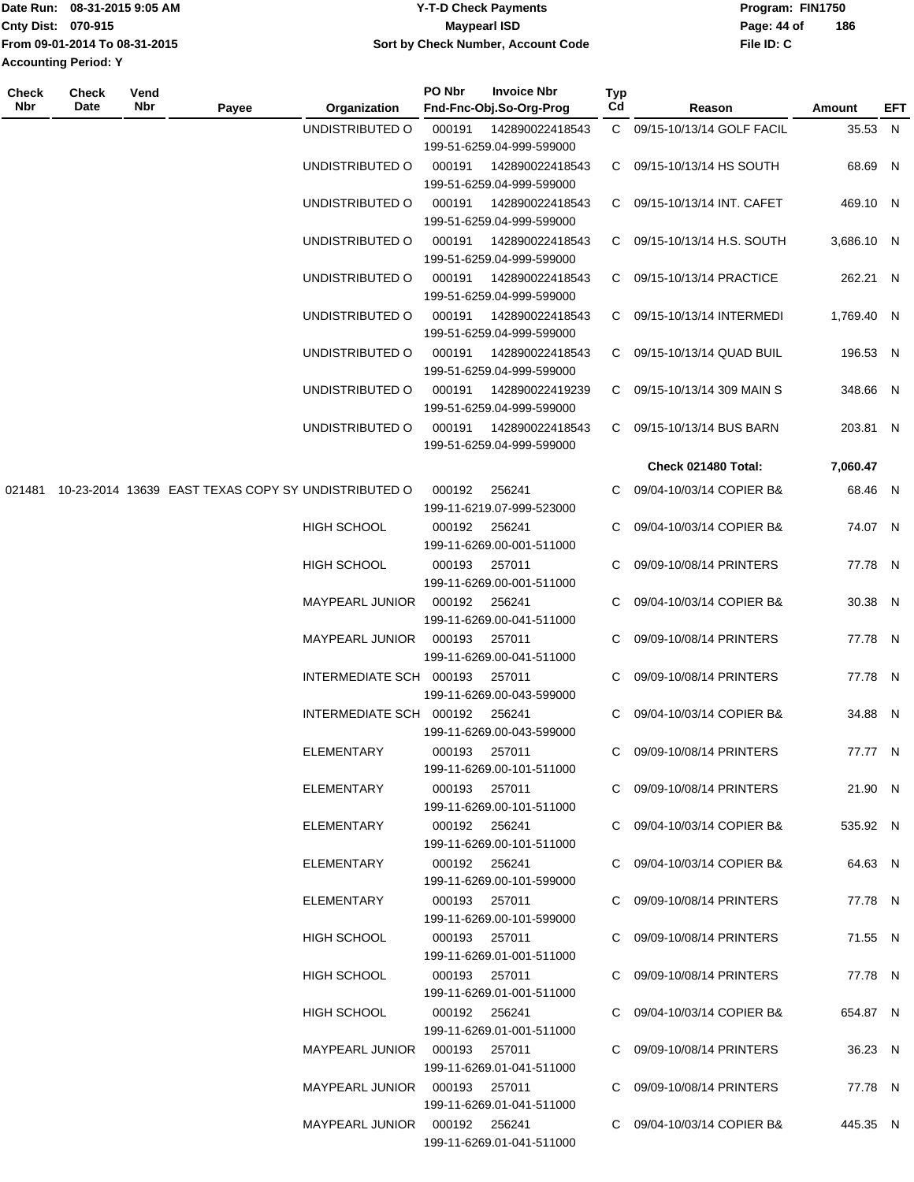|                             | Date Run: 08-31-2015 9:05 AM  | Y-T-D Check Payments               | Program: FIN1750   |
|-----------------------------|-------------------------------|------------------------------------|--------------------|
| Cnty Dist: 070-915          |                               | Maypearl ISD                       | 186<br>Page: 44 of |
|                             | From 09-01-2014 To 08-31-2015 | Sort by Check Number, Account Code | File ID: C         |
| <b>Accounting Period: Y</b> |                               |                                    |                    |
|                             |                               |                                    |                    |

| Check<br>Nbr | <b>Check</b><br>Date | Vend<br>Nbr | Payee                                               | Organization                    | PO Nbr                              | <b>Invoice Nbr</b><br>Fnd-Fnc-Obj.So-Org-Prog | <b>Typ</b><br>Cd         | Reason                      | Amount     | EFT |
|--------------|----------------------|-------------|-----------------------------------------------------|---------------------------------|-------------------------------------|-----------------------------------------------|--------------------------|-----------------------------|------------|-----|
|              |                      |             |                                                     | UNDISTRIBUTED O                 | 000191                              | 142890022418543<br>199-51-6259.04-999-599000  |                          | C 09/15-10/13/14 GOLF FACIL | 35.53 N    |     |
|              |                      |             |                                                     | UNDISTRIBUTED O                 | 000191                              | 142890022418543                               |                          | C 09/15-10/13/14 HS SOUTH   | 68.69 N    |     |
|              |                      |             |                                                     |                                 |                                     | 199-51-6259.04-999-599000                     |                          |                             |            |     |
|              |                      |             |                                                     | UNDISTRIBUTED O                 | 000191                              | 142890022418543<br>199-51-6259.04-999-599000  |                          | C 09/15-10/13/14 INT. CAFET | 469.10 N   |     |
|              |                      |             |                                                     | UNDISTRIBUTED O                 | 000191                              | 142890022418543<br>199-51-6259.04-999-599000  |                          | C 09/15-10/13/14 H.S. SOUTH | 3,686.10 N |     |
|              |                      |             |                                                     | UNDISTRIBUTED O                 | 000191                              | 142890022418543                               |                          | C 09/15-10/13/14 PRACTICE   | 262.21 N   |     |
|              |                      |             |                                                     | UNDISTRIBUTED O                 | 000191                              | 199-51-6259.04-999-599000<br>142890022418543  |                          | C 09/15-10/13/14 INTERMEDI  | 1,769.40 N |     |
|              |                      |             |                                                     |                                 |                                     | 199-51-6259.04-999-599000                     |                          |                             |            |     |
|              |                      |             |                                                     | UNDISTRIBUTED O                 | 000191                              | 142890022418543<br>199-51-6259.04-999-599000  |                          | C 09/15-10/13/14 QUAD BUIL  | 196.53 N   |     |
|              |                      |             |                                                     | UNDISTRIBUTED O                 | 000191                              | 142890022419239<br>199-51-6259.04-999-599000  |                          | C 09/15-10/13/14 309 MAIN S | 348.66 N   |     |
|              |                      |             |                                                     | UNDISTRIBUTED O                 | 000191                              | 142890022418543<br>199-51-6259.04-999-599000  | C.                       | 09/15-10/13/14 BUS BARN     | 203.81 N   |     |
|              |                      |             |                                                     |                                 |                                     |                                               |                          | Check 021480 Total:         | 7,060.47   |     |
| 021481       |                      |             | 10-23-2014 13639 EAST TEXAS COPY SY UNDISTRIBUTED O |                                 | 000192                              | 256241                                        | C.                       | 09/04-10/03/14 COPIER B&    | 68.46 N    |     |
|              |                      |             |                                                     |                                 |                                     | 199-11-6219.07-999-523000                     |                          |                             |            |     |
|              |                      |             |                                                     | <b>HIGH SCHOOL</b>              | 000192                              | 256241                                        |                          | 09/04-10/03/14 COPIER B&    | 74.07 N    |     |
|              |                      |             |                                                     | HIGH SCHOOL                     | 000193                              | 199-11-6269.00-001-511000<br>257011           | C.                       | 09/09-10/08/14 PRINTERS     | 77.78 N    |     |
|              |                      |             |                                                     |                                 |                                     | 199-11-6269.00-001-511000                     |                          |                             |            |     |
|              |                      |             | <b>MAYPEARL JUNIOR</b>                              | 000192                          | 256241<br>199-11-6269.00-041-511000 | C.                                            | 09/04-10/03/14 COPIER B& | 30.38 N                     |            |     |
|              |                      |             | MAYPEARL JUNIOR                                     | 000193                          | 257011<br>199-11-6269.00-041-511000 | C.                                            | 09/09-10/08/14 PRINTERS  | 77.78 N                     |            |     |
|              |                      |             |                                                     | INTERMEDIATE SCH 000193         |                                     | 257011<br>199-11-6269.00-043-599000           | C                        | 09/09-10/08/14 PRINTERS     | 77.78 N    |     |
|              |                      |             |                                                     | INTERMEDIATE SCH 000192 256241  |                                     | 199-11-6269.00-043-599000                     | C                        | 09/04-10/03/14 COPIER B&    | 34.88 N    |     |
|              |                      |             |                                                     | ELEMENTARY                      | 000193 257011                       | 199-11-6269.00-101-511000                     |                          | C 09/09-10/08/14 PRINTERS   | 77.77 N    |     |
|              |                      |             |                                                     | ELEMENTARY                      | 000193 257011                       |                                               |                          | C 09/09-10/08/14 PRINTERS   | 21.90 N    |     |
|              |                      |             |                                                     |                                 |                                     | 199-11-6269.00-101-511000                     |                          |                             |            |     |
|              |                      |             |                                                     | ELEMENTARY                      | 000192 256241                       |                                               |                          | C 09/04-10/03/14 COPIER B&  | 535.92 N   |     |
|              |                      |             |                                                     | ELEMENTARY                      | 000192 256241                       | 199-11-6269.00-101-511000                     |                          | C 09/04-10/03/14 COPIER B&  | 64.63 N    |     |
|              |                      |             |                                                     |                                 |                                     | 199-11-6269.00-101-599000                     |                          |                             |            |     |
|              |                      |             |                                                     | ELEMENTARY                      | 000193 257011                       | 199-11-6269.00-101-599000                     |                          | C 09/09-10/08/14 PRINTERS   | 77.78 N    |     |
|              |                      |             |                                                     | <b>HIGH SCHOOL</b>              | 000193 257011                       | 199-11-6269.01-001-511000                     |                          | C 09/09-10/08/14 PRINTERS   | 71.55 N    |     |
|              |                      |             |                                                     | HIGH SCHOOL                     | 000193 257011                       | 199-11-6269.01-001-511000                     |                          | C 09/09-10/08/14 PRINTERS   | 77.78 N    |     |
|              |                      |             |                                                     | HIGH SCHOOL                     | 000192  256241                      | 199-11-6269.01-001-511000                     |                          | C 09/04-10/03/14 COPIER B&  | 654.87 N   |     |
|              |                      |             |                                                     | MAYPEARL JUNIOR  000193  257011 |                                     | 199-11-6269.01-041-511000                     |                          | C 09/09-10/08/14 PRINTERS   | 36.23 N    |     |
|              |                      |             |                                                     | MAYPEARL JUNIOR  000193  257011 |                                     | 199-11-6269.01-041-511000                     |                          | C 09/09-10/08/14 PRINTERS   | 77.78 N    |     |
|              |                      |             |                                                     | MAYPEARL JUNIOR 000192 256241   |                                     | 199-11-6269.01-041-511000                     |                          | C 09/04-10/03/14 COPIER B&  | 445.35 N   |     |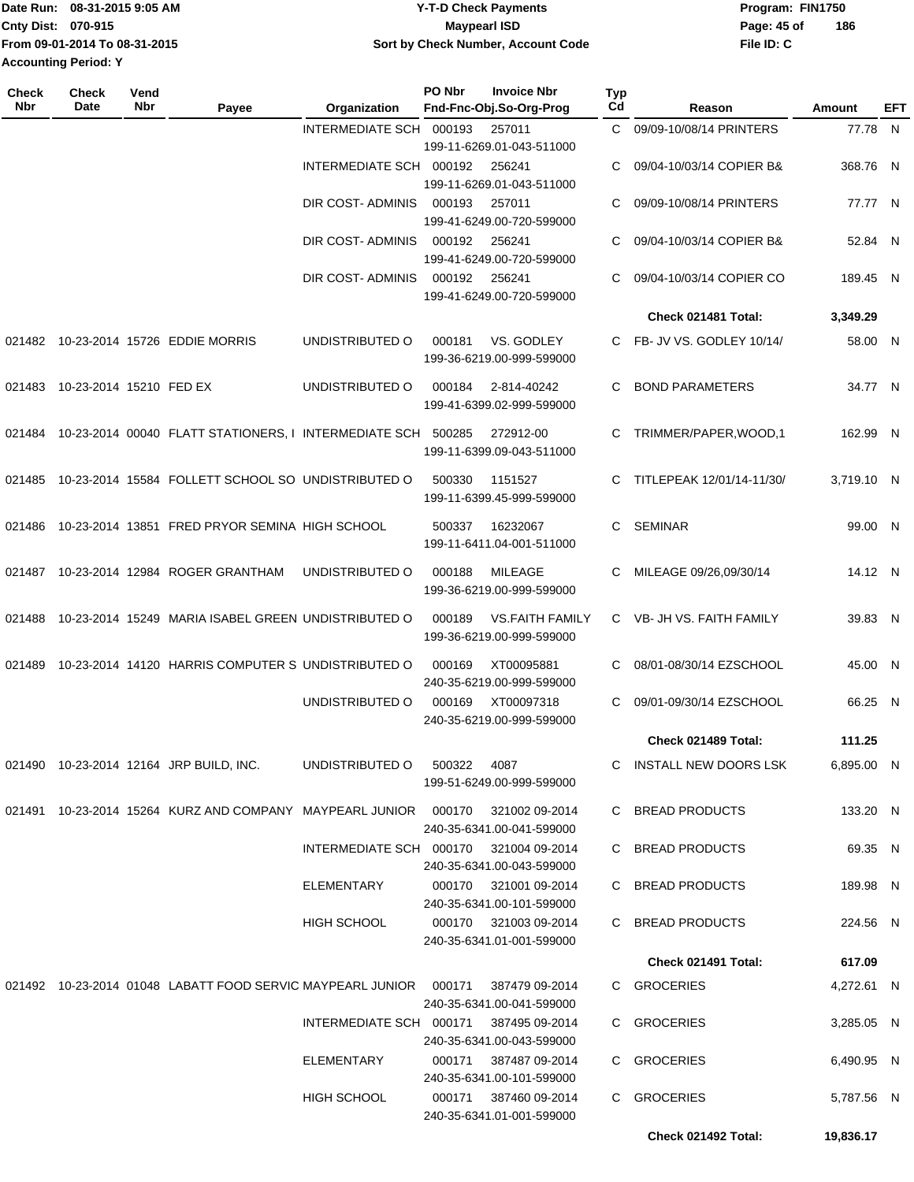|                             | TDate Run: 08-31-2015 9:05 AM | Y-T-D Check Payments               | Program: FIN1750   |
|-----------------------------|-------------------------------|------------------------------------|--------------------|
| <b>Cnty Dist: 070-915</b>   |                               | Maypearl ISD                       | 186<br>Page: 45 of |
|                             | Trom 09-01-2014 To 08-31-2015 | Sort by Check Number, Account Code | File ID: C         |
| <b>Accounting Period: Y</b> |                               |                                    |                    |

| <b>Check</b><br>Nbr | <b>Check</b><br>Date    | Vend<br>Nbr | Payee                                                                          | Organization                           | PO Nbr | <b>Invoice Nbr</b><br>Fnd-Fnc-Obj.So-Org-Prog       | <b>Typ</b><br>Cd | Reason                     | Amount     | EFT |
|---------------------|-------------------------|-------------|--------------------------------------------------------------------------------|----------------------------------------|--------|-----------------------------------------------------|------------------|----------------------------|------------|-----|
|                     |                         |             |                                                                                | INTERMEDIATE SCH 000193                |        | 257011                                              | C.               | 09/09-10/08/14 PRINTERS    | 77.78 N    |     |
|                     |                         |             |                                                                                |                                        |        | 199-11-6269.01-043-511000                           |                  |                            |            |     |
|                     |                         |             |                                                                                | INTERMEDIATE SCH 000192                |        | 256241                                              | C                | 09/04-10/03/14 COPIER B&   | 368.76 N   |     |
|                     |                         |             |                                                                                |                                        |        | 199-11-6269.01-043-511000                           |                  |                            |            |     |
|                     |                         |             |                                                                                | DIR COST- ADMINIS                      | 000193 | 257011<br>199-41-6249.00-720-599000                 | C                | 09/09-10/08/14 PRINTERS    | 77.77 N    |     |
|                     |                         |             |                                                                                | DIR COST- ADMINIS                      | 000192 | 256241<br>199-41-6249.00-720-599000                 | C                | 09/04-10/03/14 COPIER B&   | 52.84 N    |     |
|                     |                         |             |                                                                                | DIR COST- ADMINIS                      | 000192 | 256241<br>199-41-6249.00-720-599000                 | C.               | 09/04-10/03/14 COPIER CO   | 189.45 N   |     |
|                     |                         |             |                                                                                |                                        |        |                                                     |                  | Check 021481 Total:        | 3,349.29   |     |
|                     |                         |             |                                                                                |                                        |        |                                                     |                  |                            |            |     |
|                     |                         |             | 021482 10-23-2014 15726 EDDIE MORRIS                                           | UNDISTRIBUTED O                        | 000181 | VS. GODLEY<br>199-36-6219.00-999-599000             |                  | C FB- JV VS. GODLEY 10/14/ | 58.00 N    |     |
| 021483              | 10-23-2014 15210 FED EX |             |                                                                                | UNDISTRIBUTED O                        | 000184 | 2-814-40242<br>199-41-6399.02-999-599000            | C                | <b>BOND PARAMETERS</b>     | 34.77 N    |     |
| 021484              |                         |             | 10-23-2014 00040 FLATT STATIONERS, I INTERMEDIATE SCH 500285                   |                                        |        | 272912-00<br>199-11-6399.09-043-511000              | C                | TRIMMER/PAPER, WOOD, 1     | 162.99 N   |     |
| 021485              |                         |             | 10-23-2014 15584 FOLLETT SCHOOL SO UNDISTRIBUTED O                             |                                        | 500330 | 1151527<br>199-11-6399.45-999-599000                | C.               | TITLEPEAK 12/01/14-11/30/  | 3,719.10 N |     |
| 021486              |                         |             | 10-23-2014 13851 FRED PRYOR SEMINA HIGH SCHOOL                                 |                                        | 500337 | 16232067<br>199-11-6411.04-001-511000               | C.               | <b>SEMINAR</b>             | 99.00 N    |     |
| 021487              |                         |             | 10-23-2014 12984 ROGER GRANTHAM                                                | UNDISTRIBUTED O                        | 000188 | <b>MILEAGE</b><br>199-36-6219.00-999-599000         | C                | MILEAGE 09/26,09/30/14     | 14.12 N    |     |
| 021488              |                         |             | 10-23-2014 15249 MARIA ISABEL GREEN UNDISTRIBUTED O                            |                                        | 000189 | <b>VS.FAITH FAMILY</b><br>199-36-6219.00-999-599000 |                  | C VB- JH VS. FAITH FAMILY  | 39.83 N    |     |
| 021489              |                         |             | 10-23-2014 14120 HARRIS COMPUTER S UNDISTRIBUTED O                             |                                        | 000169 | XT00095881<br>240-35-6219.00-999-599000             | C                | 08/01-08/30/14 EZSCHOOL    | 45.00 N    |     |
|                     |                         |             |                                                                                | UNDISTRIBUTED O                        | 000169 | XT00097318<br>240-35-6219.00-999-599000             | C                | 09/01-09/30/14 EZSCHOOL    | 66.25 N    |     |
|                     |                         |             |                                                                                |                                        |        |                                                     |                  | Check 021489 Total:        | 111.25     |     |
|                     |                         |             | 021490 10-23-2014 12164 JRP BUILD, INC.                                        | UNDISTRIBUTED O                        | 500322 | 4087<br>199-51-6249.00-999-599000                   |                  | C INSTALL NEW DOORS LSK    | 6,895.00 N |     |
|                     |                         |             | 021491 10-23-2014 15264 KURZ AND COMPANY MAYPEARL JUNIOR 000170 321002 09-2014 |                                        |        | 240-35-6341.00-041-599000                           |                  | C BREAD PRODUCTS           | 133.20 N   |     |
|                     |                         |             |                                                                                | INTERMEDIATE SCH 000170 321004 09-2014 |        | 240-35-6341.00-043-599000                           |                  | C BREAD PRODUCTS           | 69.35 N    |     |
|                     |                         |             |                                                                                | ELEMENTARY                             |        | 000170 321001 09-2014<br>240-35-6341.00-101-599000  |                  | C BREAD PRODUCTS           | 189.98 N   |     |
|                     |                         |             |                                                                                | HIGH SCHOOL                            |        | 000170 321003 09-2014<br>240-35-6341.01-001-599000  |                  | C BREAD PRODUCTS           | 224.56 N   |     |
|                     |                         |             |                                                                                |                                        |        |                                                     |                  | Check 021491 Total:        | 617.09     |     |
|                     |                         |             | 021492  10-23-2014  01048  LABATT FOOD SERVIC MAYPEARL JUNIOR  000171          |                                        |        | 387479 09-2014<br>240-35-6341.00-041-599000         |                  | C GROCERIES                | 4,272.61 N |     |
|                     |                         |             |                                                                                | INTERMEDIATE SCH 000171 387495 09-2014 |        | 240-35-6341.00-043-599000                           |                  | C GROCERIES                | 3,285.05 N |     |
|                     |                         |             |                                                                                | ELEMENTARY                             |        | 000171 387487 09-2014<br>240-35-6341.00-101-599000  |                  | C GROCERIES                | 6,490.95 N |     |
|                     |                         |             |                                                                                | HIGH SCHOOL                            | 000171 | 387460 09-2014<br>240-35-6341.01-001-599000         |                  | C GROCERIES                | 5,787.56 N |     |
|                     |                         |             |                                                                                |                                        |        |                                                     |                  | Check 021492 Total:        | 19,836.17  |     |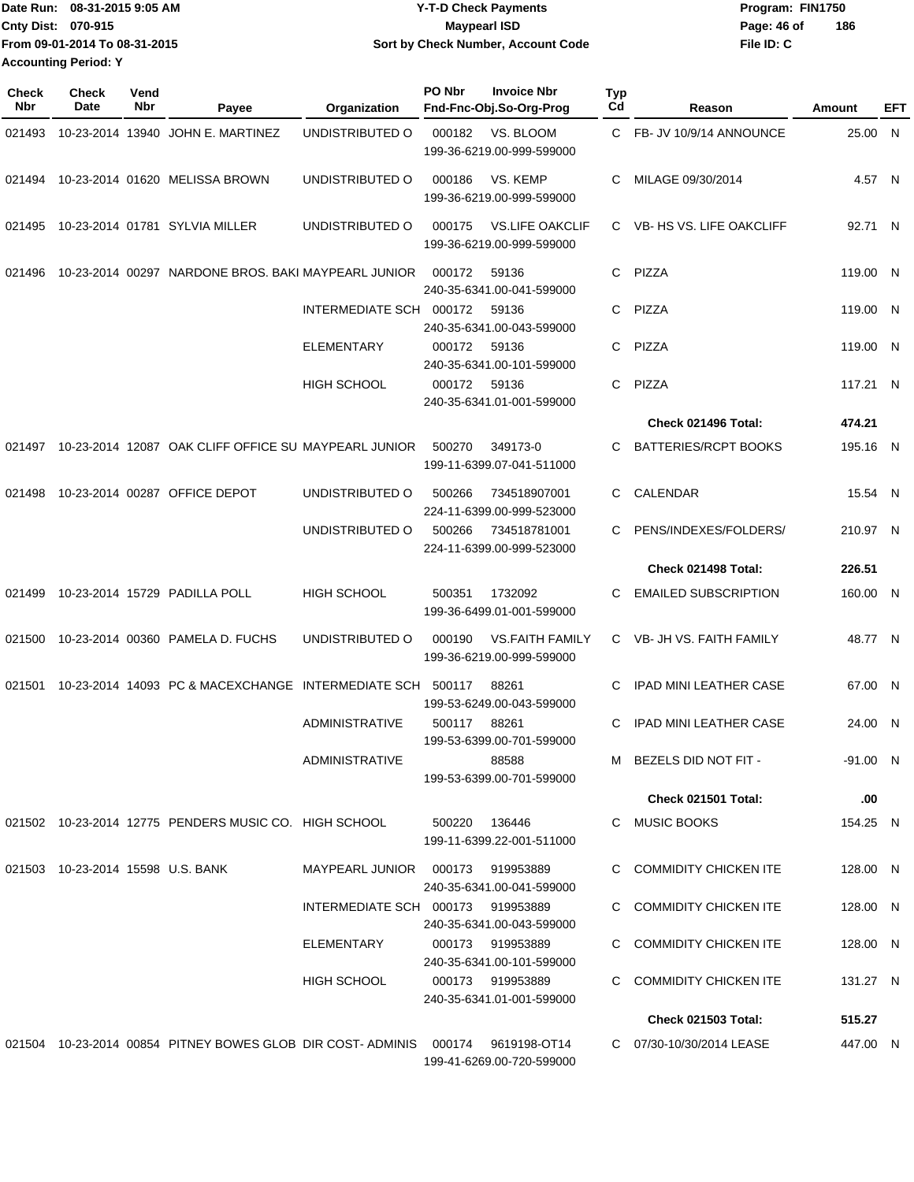|                             | Date Run: 08-31-2015 9:05 AM  | Y-T-D Check Payments               | Program: FIN1750 |     |
|-----------------------------|-------------------------------|------------------------------------|------------------|-----|
| Cnty Dist: 070-915          |                               | Maypearl ISD                       | Page: 46 of      | 186 |
|                             | From 09-01-2014 To 08-31-2015 | Sort by Check Number, Account Code | File ID: C       |     |
| <b>Accounting Period: Y</b> |                               |                                    |                  |     |

| <b>Check</b><br><b>Nbr</b> | Check<br>Date                     | Vend<br><b>Nbr</b> | Payee                                                                   | Organization                      | PO Nbr       | <b>Invoice Nbr</b><br>Fnd-Fnc-Obj.So-Org-Prog       | Typ<br>Cd | Reason                        | Amount   | EFT |
|----------------------------|-----------------------------------|--------------------|-------------------------------------------------------------------------|-----------------------------------|--------------|-----------------------------------------------------|-----------|-------------------------------|----------|-----|
|                            |                                   |                    | 021493 10-23-2014 13940 JOHN E. MARTINEZ                                | UNDISTRIBUTED O                   | 000182       | VS. BLOOM<br>199-36-6219.00-999-599000              |           | C FB- JV 10/9/14 ANNOUNCE     | 25.00 N  |     |
| 021494                     |                                   |                    | 10-23-2014 01620 MELISSA BROWN                                          | UNDISTRIBUTED O                   | 000186       | VS. KEMP<br>199-36-6219.00-999-599000               |           | MILAGE 09/30/2014             | 4.57 N   |     |
| 021495                     |                                   |                    | 10-23-2014 01781 SYLVIA MILLER                                          | UNDISTRIBUTED O                   | 000175       | <b>VS.LIFE OAKCLIF</b><br>199-36-6219.00-999-599000 | C.        | VB- HS VS. LIFE OAKCLIFF      | 92.71 N  |     |
|                            |                                   |                    | 021496 10-23-2014 00297 NARDONE BROS. BAKI MAYPEARL JUNIOR              |                                   | 000172       | 59136<br>240-35-6341.00-041-599000                  |           | C PIZZA                       | 119.00 N |     |
|                            |                                   |                    |                                                                         | INTERMEDIATE SCH 000172           |              | 59136<br>240-35-6341.00-043-599000                  | C.        | PIZZA                         | 119.00 N |     |
|                            |                                   |                    |                                                                         | <b>ELEMENTARY</b>                 | 000172       | 59136<br>240-35-6341.00-101-599000                  | C.        | <b>PIZZA</b>                  | 119.00 N |     |
|                            |                                   |                    |                                                                         | <b>HIGH SCHOOL</b>                | 000172 59136 | 240-35-6341.01-001-599000                           | C.        | <b>PIZZA</b>                  | 117.21 N |     |
|                            |                                   |                    |                                                                         |                                   |              |                                                     |           | Check 021496 Total:           | 474.21   |     |
|                            |                                   |                    | 021497 10-23-2014 12087 OAK CLIFF OFFICE SU MAYPEARL JUNIOR             |                                   | 500270       | 349173-0<br>199-11-6399.07-041-511000               | C.        | <b>BATTERIES/RCPT BOOKS</b>   | 195.16 N |     |
| 021498                     |                                   |                    | 10-23-2014 00287 OFFICE DEPOT                                           | UNDISTRIBUTED O                   | 500266       | 734518907001<br>224-11-6399.00-999-523000           | C         | <b>CALENDAR</b>               | 15.54 N  |     |
|                            |                                   |                    |                                                                         | UNDISTRIBUTED O                   | 500266       | 734518781001<br>224-11-6399.00-999-523000           | C.        | PENS/INDEXES/FOLDERS/         | 210.97 N |     |
|                            |                                   |                    |                                                                         |                                   |              |                                                     |           | Check 021498 Total:           | 226.51   |     |
|                            |                                   |                    | 021499 10-23-2014 15729 PADILLA POLL                                    | <b>HIGH SCHOOL</b>                | 500351       | 1732092<br>199-36-6499.01-001-599000                | C.        | <b>EMAILED SUBSCRIPTION</b>   | 160.00 N |     |
|                            |                                   |                    | 021500 10-23-2014 00360 PAMELA D. FUCHS                                 | UNDISTRIBUTED O                   | 000190       | <b>VS.FAITH FAMILY</b><br>199-36-6219.00-999-599000 |           | C VB- JH VS. FAITH FAMILY     | 48.77 N  |     |
| 021501                     |                                   |                    | 10-23-2014 14093 PC & MACEXCHANGE INTERMEDIATE SCH                      |                                   | 500117       | 88261<br>199-53-6249.00-043-599000                  | C         | <b>IPAD MINI LEATHER CASE</b> | 67.00 N  |     |
|                            |                                   |                    |                                                                         | ADMINISTRATIVE                    | 500117       | 88261<br>199-53-6399.00-701-599000                  | C.        | <b>IPAD MINI LEATHER CASE</b> | 24.00 N  |     |
|                            |                                   |                    |                                                                         | ADMINISTRATIVE                    |              | 88588<br>199-53-6399.00-701-599000                  |           | M BEZELS DID NOT FIT -        | -91.00 N |     |
|                            |                                   |                    |                                                                         |                                   |              |                                                     |           | Check 021501 Total:           | .00      |     |
|                            |                                   |                    | 021502 10-23-2014 12775 PENDERS MUSIC CO. HIGH SCHOOL                   |                                   | 500220       | 136446<br>199-11-6399.22-001-511000                 |           | C MUSIC BOOKS                 | 154.25 N |     |
|                            | 021503 10-23-2014 15598 U.S. BANK |                    |                                                                         | MAYPEARL JUNIOR 000173            |              | 919953889<br>240-35-6341.00-041-599000              |           | COMMIDITY CHICKEN ITE         | 128.00 N |     |
|                            |                                   |                    |                                                                         | INTERMEDIATE SCH 000173 919953889 |              | 240-35-6341.00-043-599000                           |           | C COMMIDITY CHICKEN ITE       | 128.00 N |     |
|                            |                                   |                    |                                                                         | ELEMENTARY                        |              | 000173 919953889<br>240-35-6341.00-101-599000       |           | C COMMIDITY CHICKEN ITE       | 128.00 N |     |
|                            |                                   |                    |                                                                         | HIGH SCHOOL                       |              | 000173 919953889<br>240-35-6341.01-001-599000       |           | <b>COMMIDITY CHICKEN ITE</b>  | 131.27 N |     |
|                            |                                   |                    |                                                                         |                                   |              |                                                     |           | <b>Check 021503 Total:</b>    | 515.27   |     |
|                            |                                   |                    | 021504  10-23-2014  00854  PITNEY BOWES GLOB  DIR COST- ADMINIS  000174 |                                   |              | 9619198-OT14<br>199-41-6269.00-720-599000           |           | C 07/30-10/30/2014 LEASE      | 447.00 N |     |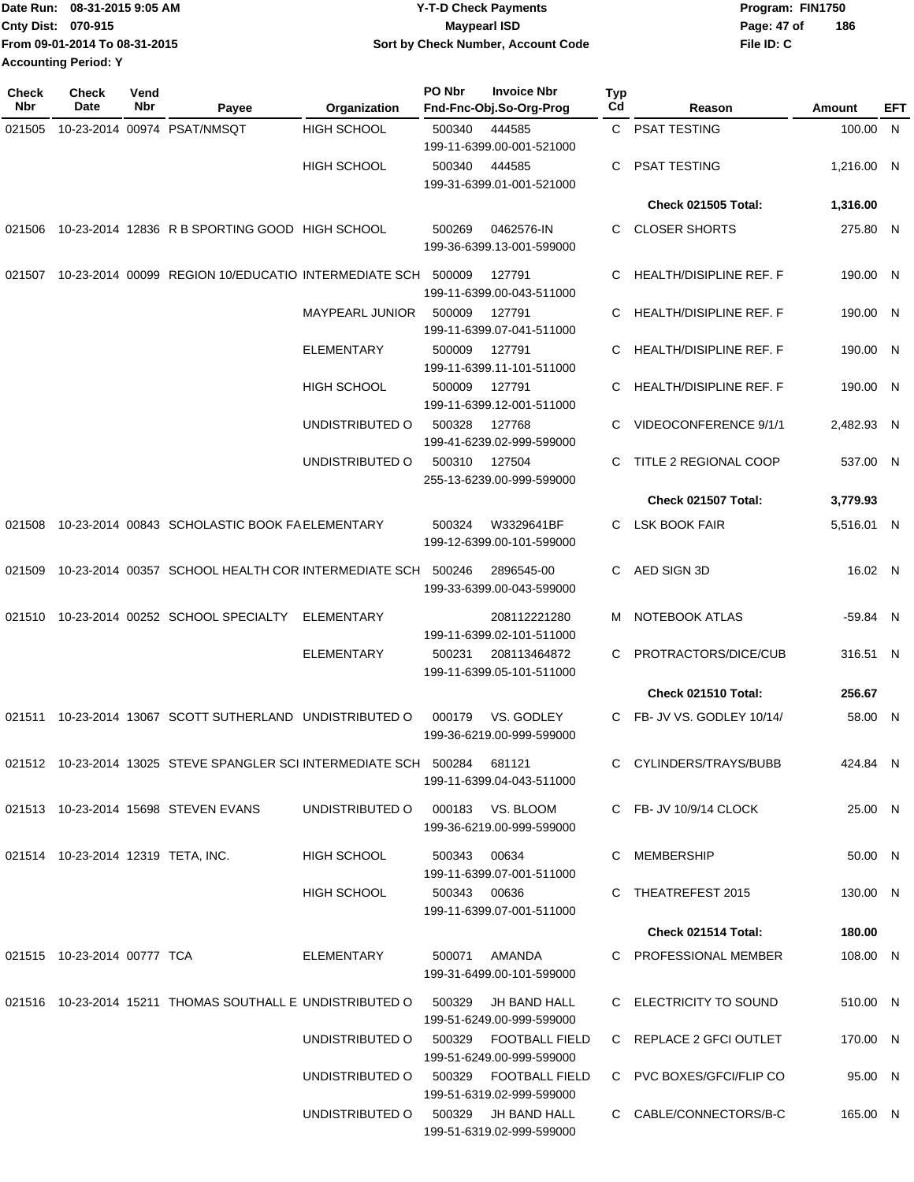| TDate Run: 08-31-2015 9:05 AM | <b>Y-T-D Check Payments</b>        | Program: FIN1750   |
|-------------------------------|------------------------------------|--------------------|
| <b>Cnty Dist: 070-915</b>     | Maypearl ISD                       | 186<br>Page: 47 of |
| From 09-01-2014 To 08-31-2015 | Sort by Check Number, Account Code | File ID: C         |
| <b>Accounting Period: Y</b>   |                                    |                    |

| Check<br>Nbr | <b>Check</b><br>Date               | Vend<br>Nbr                       | Payee                                                                          | Organization                          | PO Nbr                                    | <b>Invoice Nbr</b><br>Fnd-Fnc-Obj.So-Org-Prog      | Typ<br>Cd      | Reason                         | Amount     | EFT |
|--------------|------------------------------------|-----------------------------------|--------------------------------------------------------------------------------|---------------------------------------|-------------------------------------------|----------------------------------------------------|----------------|--------------------------------|------------|-----|
| 021505       |                                    |                                   | 10-23-2014 00974 PSAT/NMSQT                                                    | <b>HIGH SCHOOL</b>                    | 500340                                    | 444585                                             |                | C PSAT TESTING                 | 100.00 N   |     |
|              |                                    |                                   |                                                                                |                                       |                                           | 199-11-6399.00-001-521000                          |                |                                |            |     |
|              |                                    |                                   |                                                                                | <b>HIGH SCHOOL</b>                    | 500340                                    | 444585<br>199-31-6399.01-001-521000                | C              | <b>PSAT TESTING</b>            | 1,216.00 N |     |
|              |                                    |                                   |                                                                                |                                       |                                           |                                                    |                | <b>Check 021505 Total:</b>     | 1,316.00   |     |
| 021506       |                                    |                                   | 10-23-2014 12836 R B SPORTING GOOD HIGH SCHOOL                                 |                                       | 500269                                    | 0462576-IN<br>199-36-6399.13-001-599000            | C              | <b>CLOSER SHORTS</b>           | 275.80 N   |     |
| 021507       |                                    |                                   | 10-23-2014 00099 REGION 10/EDUCATIO INTERMEDIATE SCH 500009                    |                                       |                                           | 127791<br>199-11-6399.00-043-511000                | C              | <b>HEALTH/DISIPLINE REF. F</b> | 190.00 N   |     |
|              |                                    |                                   |                                                                                | <b>MAYPEARL JUNIOR</b>                | 500009                                    | 127791<br>199-11-6399.07-041-511000                | C              | HEALTH/DISIPLINE REF. F        | 190.00 N   |     |
|              |                                    |                                   |                                                                                | <b>ELEMENTARY</b>                     | 500009                                    | 127791<br>199-11-6399.11-101-511000                | C              | HEALTH/DISIPLINE REF. F        | 190.00 N   |     |
|              |                                    |                                   |                                                                                | <b>HIGH SCHOOL</b>                    | 500009                                    | 127791<br>199-11-6399.12-001-511000                | C              | <b>HEALTH/DISIPLINE REF. F</b> | 190.00 N   |     |
|              |                                    |                                   |                                                                                | UNDISTRIBUTED O                       | 500328                                    | 127768<br>199-41-6239.02-999-599000                | C              | VIDEOCONFERENCE 9/1/1          | 2.482.93 N |     |
|              |                                    |                                   |                                                                                | UNDISTRIBUTED O                       | 500310                                    | 127504<br>255-13-6239.00-999-599000                | C              | TITLE 2 REGIONAL COOP          | 537.00 N   |     |
|              |                                    |                                   |                                                                                |                                       |                                           |                                                    |                | Check 021507 Total:            | 3,779.93   |     |
| 021508       |                                    |                                   | 10-23-2014 00843 SCHOLASTIC BOOK FAELEMENTARY                                  |                                       | 500324                                    | W3329641BF<br>199-12-6399.00-101-599000            | C              | LSK BOOK FAIR                  | 5,516.01 N |     |
| 021509       |                                    |                                   | 10-23-2014 00357 SCHOOL HEALTH COR INTERMEDIATE SCH                            |                                       | 500246                                    | 2896545-00<br>199-33-6399.00-043-599000            | C              | AED SIGN 3D                    | 16.02 N    |     |
| 021510       |                                    | 10-23-2014 00252 SCHOOL SPECIALTY | <b>ELEMENTARY</b>                                                              |                                       | 208112221280<br>199-11-6399.02-101-511000 | M                                                  | NOTEBOOK ATLAS | -59.84 N                       |            |     |
|              |                                    |                                   |                                                                                | <b>ELEMENTARY</b>                     | 500231                                    | 208113464872<br>199-11-6399.05-101-511000          | C              | PROTRACTORS/DICE/CUB           | 316.51 N   |     |
|              |                                    |                                   |                                                                                |                                       |                                           |                                                    |                | Check 021510 Total:            | 256.67     |     |
|              |                                    |                                   | 021511 10-23-2014 13067 SCOTT SUTHERLAND UNDISTRIBUTED O                       |                                       | 000179                                    | VS. GODLEY<br>199-36-6219.00-999-599000            | C              | FB- JV VS. GODLEY 10/14/       | 58.00 N    |     |
|              |                                    |                                   | 021512  10-23-2014  13025  STEVE SPANGLER SCI INTERMEDIATE SCH  500284  681121 |                                       |                                           | 199-11-6399.04-043-511000                          |                | C CYLINDERS/TRAYS/BUBB         | 424.84 N   |     |
|              |                                    |                                   | 021513 10-23-2014 15698 STEVEN EVANS                                           | UNDISTRIBUTED O 000183 VS. BLOOM      |                                           | 199-36-6219.00-999-599000                          |                | C FB-JV 10/9/14 CLOCK          | 25.00 N    |     |
|              | 021514 10-23-2014 12319 TETA, INC. |                                   |                                                                                | HIGH SCHOOL                           | 500343 00634                              | 199-11-6399.07-001-511000                          |                | C MEMBERSHIP                   | 50.00 N    |     |
|              |                                    |                                   |                                                                                | HIGH SCHOOL                           | 500343 00636                              | 199-11-6399.07-001-511000                          |                | C THEATREFEST 2015             | 130.00 N   |     |
|              |                                    |                                   |                                                                                |                                       |                                           |                                                    |                | Check 021514 Total:            | 180.00     |     |
|              | 021515 10-23-2014 00777 TCA        |                                   |                                                                                | ELEMENTARY                            |                                           | 500071 AMANDA<br>199-31-6499.00-101-599000         |                | C PROFESSIONAL MEMBER          | 108.00 N   |     |
|              |                                    |                                   | 021516  10-23-2014  15211  THOMAS SOUTHALL E UNDISTRIBUTED O  500329           |                                       |                                           | JH BAND HALL<br>199-51-6249.00-999-599000          |                | C ELECTRICITY TO SOUND         | 510.00 N   |     |
|              |                                    |                                   |                                                                                | UNDISTRIBUTED O                       | 500329                                    | <b>FOOTBALL FIELD</b><br>199-51-6249.00-999-599000 |                | C REPLACE 2 GFCI OUTLET        | 170.00 N   |     |
|              |                                    |                                   |                                                                                | UNDISTRIBUTED O 500329 FOOTBALL FIELD |                                           | 199-51-6319.02-999-599000                          |                | C PVC BOXES/GFCI/FLIP CO       | 95.00 N    |     |
|              |                                    |                                   |                                                                                | UNDISTRIBUTED O 500329 JH BAND HALL   |                                           | 199-51-6319.02-999-599000                          |                | C CABLE/CONNECTORS/B-C         | 165.00 N   |     |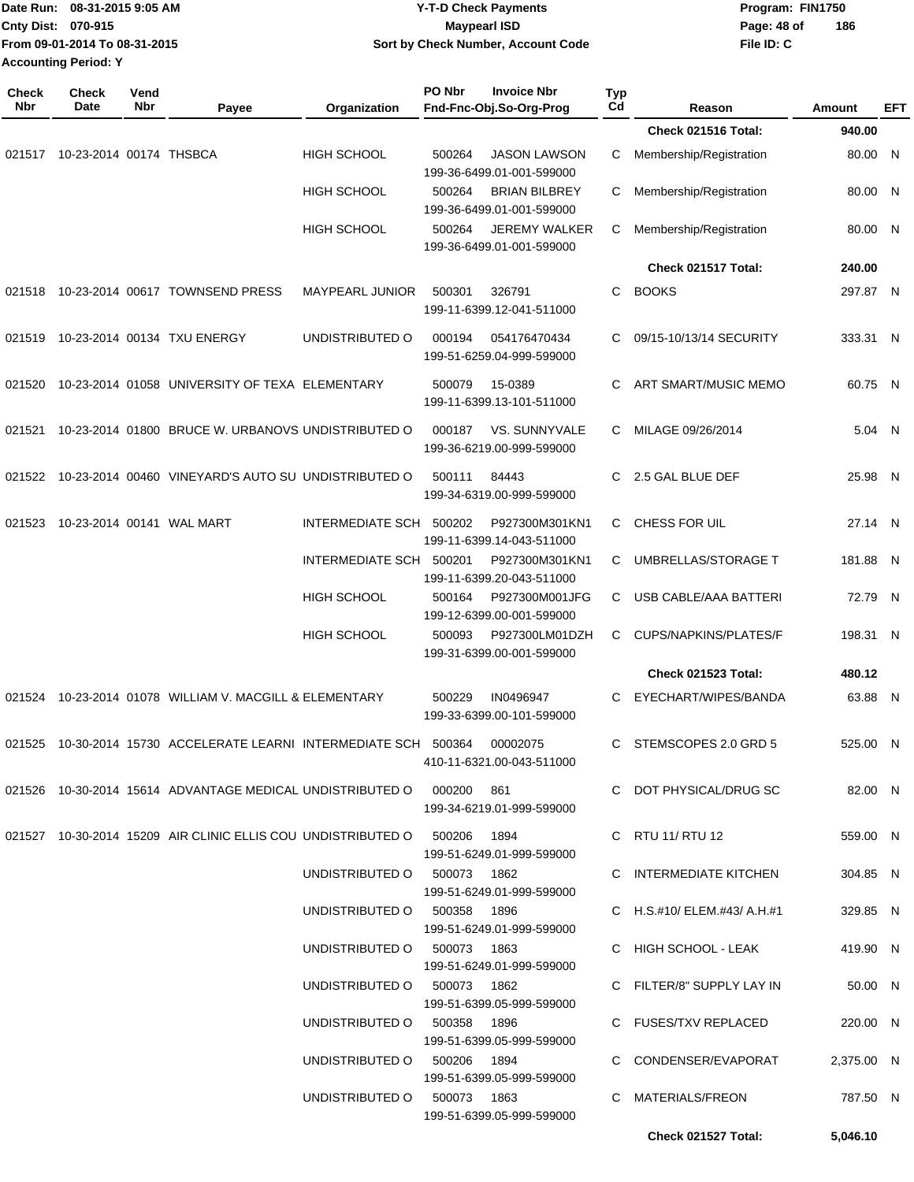| Date Run: 08-31-2015 9:05 AM |                               |                    |       |              | <b>Y-T-D Check Payments</b>                                    | Program: FIN1750   |                            |            |     |  |
|------------------------------|-------------------------------|--------------------|-------|--------------|----------------------------------------------------------------|--------------------|----------------------------|------------|-----|--|
|                              | Cnty Dist: 070-915            |                    |       |              | <b>Maypearl ISD</b>                                            | 186<br>Page: 48 of |                            |            |     |  |
|                              | From 09-01-2014 To 08-31-2015 |                    |       |              | Sort by Check Number, Account Code                             |                    |                            | File ID: C |     |  |
|                              | <b>Accounting Period: Y</b>   |                    |       |              |                                                                |                    |                            |            |     |  |
| <b>Check</b><br>Nbr          | <b>Check</b><br><b>Date</b>   | Vend<br><b>Nbr</b> | Pavee | Organization | <b>PO Nbr</b><br><b>Invoice Nbr</b><br>Fnd-Fnc-Obj.So-Org-Prog | Тур<br>Cd          | Reason                     | Amount     | EFT |  |
|                              |                               |                    |       |              |                                                                |                    | <b>Check 021516 Total:</b> | 940.00     |     |  |

|        | 021517 10-23-2014 00174 THSBCA   |                                                                                  | <b>HIGH SCHOOL</b>          | 500264<br><b>JASON LAWSON</b><br>199-36-6499.01-001-599000  | С  | Membership/Registration     | 80.00 N    |  |
|--------|----------------------------------|----------------------------------------------------------------------------------|-----------------------------|-------------------------------------------------------------|----|-----------------------------|------------|--|
|        |                                  |                                                                                  | <b>HIGH SCHOOL</b>          | <b>BRIAN BILBREY</b><br>500264<br>199-36-6499.01-001-599000 | С  | Membership/Registration     | 80.00 N    |  |
|        |                                  |                                                                                  | <b>HIGH SCHOOL</b>          | <b>JEREMY WALKER</b><br>500264<br>199-36-6499.01-001-599000 | С  | Membership/Registration     | 80.00 N    |  |
|        |                                  |                                                                                  |                             |                                                             |    | Check 021517 Total:         | 240.00     |  |
|        |                                  | 021518 10-23-2014 00617 TOWNSEND PRESS                                           | MAYPEARL JUNIOR             | 500301<br>326791<br>199-11-6399.12-041-511000               | C  | <b>BOOKS</b>                | 297.87 N   |  |
| 021519 | 10-23-2014 00134 TXU ENERGY      |                                                                                  | UNDISTRIBUTED O             | 054176470434<br>000194<br>199-51-6259.04-999-599000         | C  | 09/15-10/13/14 SECURITY     | 333.31 N   |  |
|        |                                  | 021520 10-23-2014 01058 UNIVERSITY OF TEXA ELEMENTARY                            |                             | 500079<br>15-0389<br>199-11-6399.13-101-511000              | C  | ART SMART/MUSIC MEMO        | 60.75 N    |  |
|        |                                  | 021521 10-23-2014 01800 BRUCE W. URBANOVS UNDISTRIBUTED O                        |                             | VS. SUNNYVALE<br>000187<br>199-36-6219.00-999-599000        |    | C MILAGE 09/26/2014         | 5.04 N     |  |
|        |                                  | 021522 10-23-2014 00460 VINEYARD'S AUTO SU UNDISTRIBUTED O                       |                             | 500111<br>84443<br>199-34-6319.00-999-599000                | C  | 2.5 GAL BLUE DEF            | 25.98 N    |  |
|        | 021523 10-23-2014 00141 WAL MART |                                                                                  | INTERMEDIATE SCH 500202     | P927300M301KN1<br>199-11-6399.14-043-511000                 |    | C CHESS FOR UIL             | 27.14 N    |  |
|        |                                  |                                                                                  | INTERMEDIATE SCH 500201     | P927300M301KN1<br>199-11-6399.20-043-511000                 |    | C UMBRELLAS/STORAGE T       | 181.88 N   |  |
|        |                                  |                                                                                  | <b>HIGH SCHOOL</b>          | P927300M001JFG<br>500164<br>199-12-6399.00-001-599000       | C  | USB CABLE/AAA BATTERI       | 72.79 N    |  |
|        |                                  |                                                                                  | <b>HIGH SCHOOL</b>          | P927300LM01DZH<br>500093<br>199-31-6399.00-001-599000       | C. | CUPS/NAPKINS/PLATES/F       | 198.31 N   |  |
|        |                                  |                                                                                  |                             |                                                             |    | <b>Check 021523 Total:</b>  | 480.12     |  |
|        |                                  | 021524 10-23-2014 01078 WILLIAM V. MACGILL & ELEMENTARY                          |                             | 500229<br>IN0496947<br>199-33-6399.00-101-599000            | C  | EYECHART/WIPES/BANDA        | 63.88 N    |  |
| 021525 |                                  | 10-30-2014 15730 ACCELERATE LEARNI INTERMEDIATE SCH 500364                       |                             | 00002075<br>410-11-6321.00-043-511000                       | C. | STEMSCOPES 2.0 GRD 5        | 525.00 N   |  |
|        |                                  | 021526 10-30-2014 15614 ADVANTAGE MEDICAL UNDISTRIBUTED O                        |                             | 000200<br>861<br>199-34-6219.01-999-599000                  | C  | DOT PHYSICAL/DRUG SC        | 82.00 N    |  |
|        |                                  | 021527  10-30-2014  15209  AIR CLINIC ELLIS COU UNDISTRIBUTED   0   500206  1894 |                             | 199-51-6249.01-999-599000                                   |    | C RTU 11/ RTU 12            | 559.00 N   |  |
|        |                                  |                                                                                  | UNDISTRIBUTED O 500073 1862 | 199-51-6249.01-999-599000                                   |    | C INTERMEDIATE KITCHEN      | 304.85 N   |  |
|        |                                  |                                                                                  | UNDISTRIBUTED O 500358 1896 | 199-51-6249.01-999-599000                                   |    | C H.S.#10/ ELEM.#43/ A.H.#1 | 329.85 N   |  |
|        |                                  |                                                                                  | UNDISTRIBUTED O 500073 1863 | 199-51-6249.01-999-599000                                   |    | C HIGH SCHOOL - LEAK        | 419.90 N   |  |
|        |                                  |                                                                                  | UNDISTRIBUTED O 500073 1862 | 199-51-6399.05-999-599000                                   |    | C FILTER/8" SUPPLY LAY IN   | 50.00 N    |  |
|        |                                  |                                                                                  | UNDISTRIBUTED O 500358 1896 | 199-51-6399.05-999-599000                                   |    | C FUSES/TXV REPLACED        | 220.00 N   |  |
|        |                                  |                                                                                  | UNDISTRIBUTED O 500206 1894 | 199-51-6399.05-999-599000                                   |    | C CONDENSER/EVAPORAT        | 2,375.00 N |  |
|        |                                  |                                                                                  | UNDISTRIBUTED O 500073 1863 | 199-51-6399.05-999-599000                                   |    | C MATERIALS/FREON           | 787.50 N   |  |
|        |                                  |                                                                                  |                             |                                                             |    | Check 021527 Total:         | 5,046.10   |  |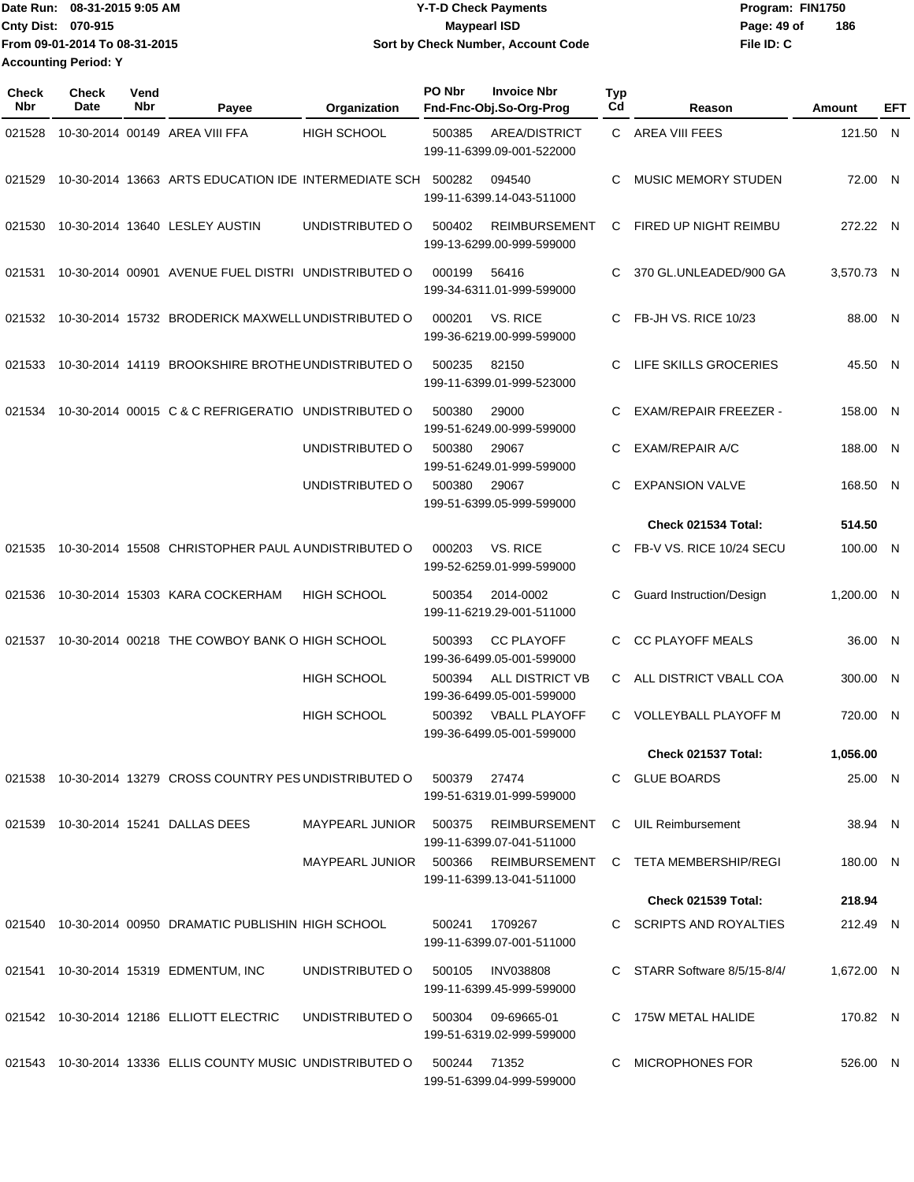|                             | 1Date Run: 08-31-2015 9:05 AM | <b>Y-T-D Check Payments</b>        | Program: FIN1750 |     |
|-----------------------------|-------------------------------|------------------------------------|------------------|-----|
| <b>Cnty Dist: 070-915</b>   |                               | Maypearl ISD                       | Page: 49 of      | 186 |
|                             | From 09-01-2014 To 08-31-2015 | Sort by Check Number, Account Code | File ID: C       |     |
| <b>Accounting Period: Y</b> |                               |                                    |                  |     |

| <b>Check</b><br><b>Nbr</b> | <b>Check</b><br><b>Date</b> | Vend<br>Nbr | Payee                                                                  | Organization                       | PO Nbr        | <b>Invoice Nbr</b><br>Fnd-Fnc-Obj.So-Org-Prog                  | <b>Typ</b><br>Cd | Reason                               | Amount     | EFT |
|----------------------------|-----------------------------|-------------|------------------------------------------------------------------------|------------------------------------|---------------|----------------------------------------------------------------|------------------|--------------------------------------|------------|-----|
| 021528                     |                             |             | 10-30-2014 00149 AREA VIII FFA                                         | <b>HIGH SCHOOL</b>                 | 500385        | <b>AREA/DISTRICT</b><br>199-11-6399.09-001-522000              |                  | C AREA VIII FEES                     | 121.50 N   |     |
| 021529                     |                             |             | 10-30-2014 13663 ARTS EDUCATION IDE INTERMEDIATE SCH 500282            |                                    |               | 094540<br>199-11-6399.14-043-511000                            | C                | <b>MUSIC MEMORY STUDEN</b>           | 72.00 N    |     |
| 021530                     |                             |             | 10-30-2014 13640 LESLEY AUSTIN                                         | UNDISTRIBUTED O                    | 500402        | <b>REIMBURSEMENT</b><br>199-13-6299.00-999-599000              | C                | FIRED UP NIGHT REIMBU                | 272.22 N   |     |
| 021531                     |                             |             | 10-30-2014 00901 AVENUE FUEL DISTRI UNDISTRIBUTED O                    |                                    | 000199        | 56416<br>199-34-6311.01-999-599000                             | C                | 370 GL.UNLEADED/900 GA               | 3.570.73 N |     |
| 021532                     |                             |             | 10-30-2014 15732 BRODERICK MAXWELL UNDISTRIBUTED O                     |                                    | 000201        | VS. RICE<br>199-36-6219.00-999-599000                          | С                | FB-JH VS. RICE 10/23                 | 88.00 N    |     |
| 021533                     |                             |             | 10-30-2014 14119 BROOKSHIRE BROTHE UNDISTRIBUTED O                     |                                    | 500235        | 82150<br>199-11-6399.01-999-523000                             | C                | LIFE SKILLS GROCERIES                | 45.50 N    |     |
| 021534                     |                             |             | 10-30-2014 00015 C & C REFRIGERATIO                                    | UNDISTRIBUTED O                    | 500380        | 29000<br>199-51-6249.00-999-599000                             | С                | <b>EXAM/REPAIR FREEZER -</b>         | 158.00 N   |     |
|                            |                             |             |                                                                        | UNDISTRIBUTED O                    | 500380        | 29067<br>199-51-6249.01-999-599000                             | C                | <b>EXAM/REPAIR A/C</b>               | 188.00 N   |     |
|                            |                             |             |                                                                        | UNDISTRIBUTED O                    | 500380        | 29067<br>199-51-6399.05-999-599000                             | C                | <b>EXPANSION VALVE</b>               | 168.50 N   |     |
|                            |                             |             |                                                                        |                                    |               |                                                                |                  | Check 021534 Total:                  | 514.50     |     |
| 021535                     |                             |             | 10-30-2014 15508 CHRISTOPHER PAUL A UNDISTRIBUTED O                    |                                    | 000203        | VS. RICE<br>199-52-6259.01-999-599000                          | C                | FB-V VS. RICE 10/24 SECU             | 100.00 N   |     |
| 021536                     |                             |             | 10-30-2014 15303 KARA COCKERHAM                                        | <b>HIGH SCHOOL</b>                 | 500354        | 2014-0002<br>199-11-6219.29-001-511000                         | С                | <b>Guard Instruction/Design</b>      | 1,200.00 N |     |
| 021537                     |                             |             | 10-30-2014 00218 THE COWBOY BANK O HIGH SCHOOL                         |                                    | 500393        | <b>CC PLAYOFF</b><br>199-36-6499.05-001-599000                 | С                | <b>CC PLAYOFF MEALS</b>              | 36.00 N    |     |
|                            |                             |             |                                                                        | <b>HIGH SCHOOL</b>                 | 500394        | ALL DISTRICT VB<br>199-36-6499.05-001-599000                   | C.               | ALL DISTRICT VBALL COA               | 300.00     | N   |
|                            |                             |             |                                                                        | <b>HIGH SCHOOL</b>                 | 500392        | <b>VBALL PLAYOFF</b><br>199-36-6499.05-001-599000              | C.               | <b>VOLLEYBALL PLAYOFF M</b>          | 720.00 N   |     |
|                            |                             |             |                                                                        |                                    |               |                                                                |                  | <b>Check 021537 Total:</b>           | 1,056.00   |     |
|                            |                             |             | 021538 10-30-2014 13279 CROSS COUNTRY PES UNDISTRIBUTED O 500379 27474 |                                    |               | 199-51-6319.01-999-599000                                      |                  | C GLUE BOARDS                        | 25.00 N    |     |
|                            |                             |             | 021539 10-30-2014 15241 DALLAS DEES                                    | MAYPEARL JUNIOR 500375             |               | REIMBURSEMENT C UIL Reimbursement<br>199-11-6399.07-041-511000 |                  |                                      | 38.94 N    |     |
|                            |                             |             |                                                                        | MAYPEARL JUNIOR 500366             |               | 199-11-6399.13-041-511000                                      |                  | REIMBURSEMENT C TETA MEMBERSHIP/REGI | 180.00 N   |     |
|                            |                             |             |                                                                        |                                    |               |                                                                |                  | Check 021539 Total:                  | 218.94     |     |
|                            |                             |             | 021540 10-30-2014 00950 DRAMATIC PUBLISHIN HIGH SCHOOL                 |                                    | 500241        | 1709267<br>199-11-6399.07-001-511000                           |                  | C SCRIPTS AND ROYALTIES              | 212.49 N   |     |
|                            |                             |             | 021541 10-30-2014 15319 EDMENTUM, INC                                  | UNDISTRIBUTED O                    |               | 500105 INV038808<br>199-11-6399.45-999-599000                  |                  | C STARR Software 8/5/15-8/4/         | 1,672.00 N |     |
|                            |                             |             | 021542 10-30-2014 12186 ELLIOTT ELECTRIC                               | UNDISTRIBUTED O 500304 09-69665-01 |               | 199-51-6319.02-999-599000                                      |                  | C 175W METAL HALIDE                  | 170.82 N   |     |
|                            |                             |             | 021543 10-30-2014 13336 ELLIS COUNTY MUSIC UNDISTRIBUTED O             |                                    | 500244  71352 | 199-51-6399.04-999-599000                                      |                  | C MICROPHONES FOR                    | 526.00 N   |     |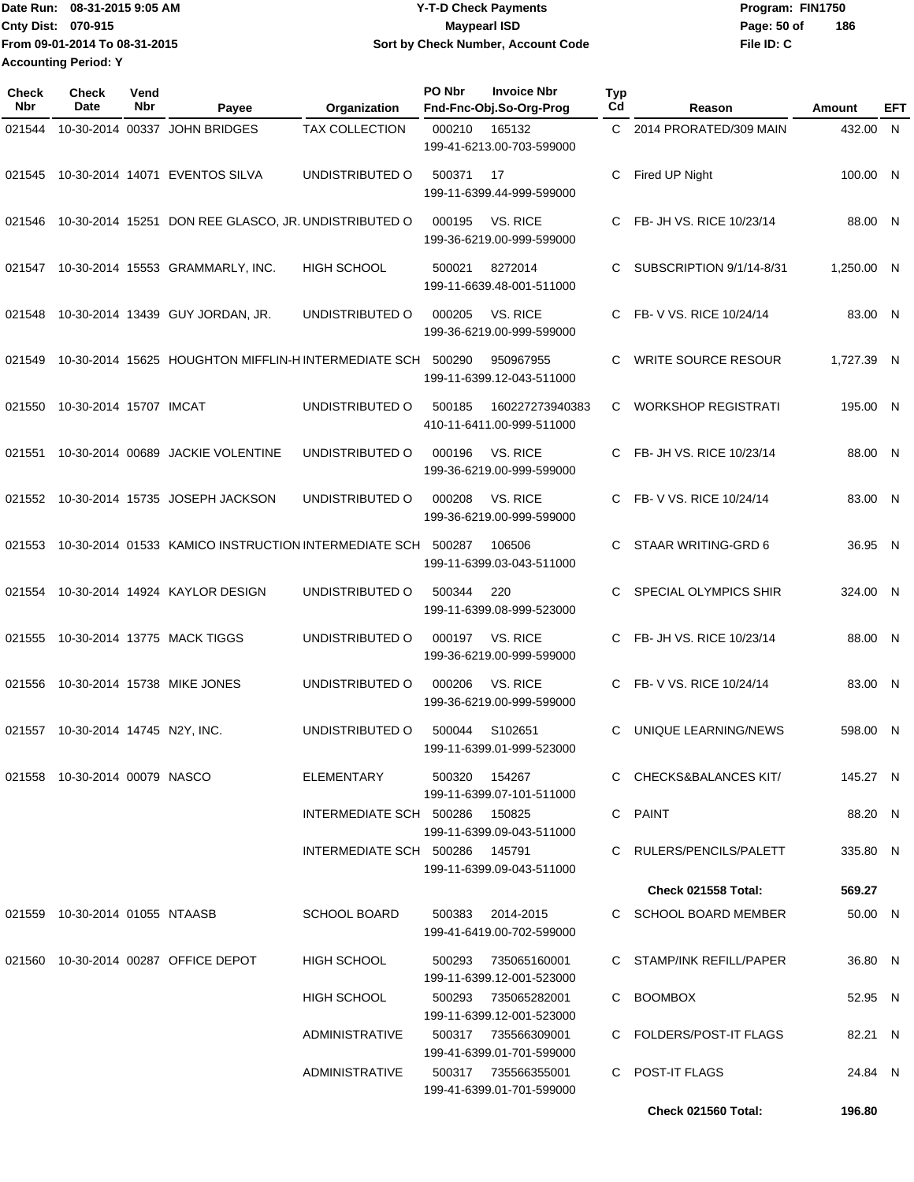**From 09-01-2014 To 08-31-2015 Accounting Period: Y**

## Date Run: 08-31-2015 9:05 AM **CONTEX 18 CONTEXNMENT CONTEXNMENT PROGRAM: FIN1750** Program: FIN1750 Cnty Dist: 070-915 **Page:** 50 of **08-31-2015 9:05 AM Y-T-D Check Payments 070-915 Maypearl ISD Sort by Check Number, Account Code**

**File ID: C 186**

| Check<br>Nbr | <b>Check</b><br>Date           | Vend<br>Nbr | Payee                                                       | Organization                   | PO Nbr | <b>Invoice Nbr</b><br>Fnd-Fnc-Obj.So-Org-Prog    | <b>Typ</b><br>Cd | Reason                     | Amount     | EFT |
|--------------|--------------------------------|-------------|-------------------------------------------------------------|--------------------------------|--------|--------------------------------------------------|------------------|----------------------------|------------|-----|
| 021544       |                                |             | 10-30-2014 00337 JOHN BRIDGES                               | <b>TAX COLLECTION</b>          | 000210 | 165132<br>199-41-6213.00-703-599000              | C.               | 2014 PRORATED/309 MAIN     | 432.00 N   |     |
| 021545       |                                |             | 10-30-2014 14071 EVENTOS SILVA                              | UNDISTRIBUTED O                | 500371 | 17<br>199-11-6399.44-999-599000                  | С                | Fired UP Night             | 100.00 N   |     |
| 021546       |                                |             | 10-30-2014 15251 DON REE GLASCO, JR. UNDISTRIBUTED O        |                                | 000195 | VS. RICE<br>199-36-6219.00-999-599000            | С                | FB- JH VS. RICE 10/23/14   | 88.00 N    |     |
| 021547       |                                |             | 10-30-2014 15553 GRAMMARLY, INC.                            | <b>HIGH SCHOOL</b>             | 500021 | 8272014<br>199-11-6639.48-001-511000             | С                | SUBSCRIPTION 9/1/14-8/31   | 1.250.00 N |     |
| 021548       |                                |             | 10-30-2014 13439 GUY JORDAN, JR.                            | UNDISTRIBUTED O                | 000205 | VS. RICE<br>199-36-6219.00-999-599000            | С                | FB- V VS. RICE 10/24/14    | 83.00 N    |     |
| 021549       |                                |             | 10-30-2014 15625 HOUGHTON MIFFLIN-H INTERMEDIATE SCH 500290 |                                |        | 950967955<br>199-11-6399.12-043-511000           | С                | <b>WRITE SOURCE RESOUR</b> | 1,727.39 N |     |
| 021550       | 10-30-2014 15707 IMCAT         |             |                                                             | UNDISTRIBUTED O                | 500185 | 160227273940383<br>410-11-6411.00-999-511000     | С                | <b>WORKSHOP REGISTRATI</b> | 195.00 N   |     |
| 021551       |                                |             | 10-30-2014 00689 JACKIE VOLENTINE                           | UNDISTRIBUTED O                | 000196 | VS. RICE<br>199-36-6219.00-999-599000            | С                | FB- JH VS. RICE 10/23/14   | 88.00 N    |     |
| 021552       |                                |             | 10-30-2014 15735 JOSEPH JACKSON                             | UNDISTRIBUTED O                | 000208 | VS. RICE<br>199-36-6219.00-999-599000            | С                | FB- V VS. RICE 10/24/14    | 83.00 N    |     |
| 021553       |                                |             | 10-30-2014 01533 KAMICO INSTRUCTION INTERMEDIATE SCH        |                                | 500287 | 106506<br>199-11-6399.03-043-511000              | С                | STAAR WRITING-GRD 6        | 36.95 N    |     |
| 021554       |                                |             | 10-30-2014 14924 KAYLOR DESIGN                              | UNDISTRIBUTED O                | 500344 | 220<br>199-11-6399.08-999-523000                 | С                | SPECIAL OLYMPICS SHIR      | 324.00 N   |     |
| 021555       |                                |             | 10-30-2014 13775 MACK TIGGS                                 | UNDISTRIBUTED O                | 000197 | VS. RICE<br>199-36-6219.00-999-599000            | С                | FB- JH VS. RICE 10/23/14   | 88.00 N    |     |
| 021556       |                                |             | 10-30-2014 15738 MIKE JONES                                 | UNDISTRIBUTED O                | 000206 | VS. RICE<br>199-36-6219.00-999-599000            | С                | FB- V VS. RICE 10/24/14    | 83.00 N    |     |
| 021557       | 10-30-2014 14745 N2Y, INC.     |             |                                                             | UNDISTRIBUTED O                | 500044 | S102651<br>199-11-6399.01-999-523000             | С                | UNIQUE LEARNING/NEWS       | 598.00 N   |     |
|              | 021558 10-30-2014 00079 NASCO  |             |                                                             | ELEMENTARY                     | 500320 | 154267<br>199-11-6399.07-101-511000              |                  | C CHECKS&BALANCES KIT/     | 145.27 N   |     |
|              |                                |             |                                                             | INTERMEDIATE SCH 500286 150825 |        | 199-11-6399.09-043-511000                        |                  | C PAINT                    | 88.20 N    |     |
|              |                                |             |                                                             | INTERMEDIATE SCH 500286 145791 |        | 199-11-6399.09-043-511000                        |                  | C RULERS/PENCILS/PALETT    | 335.80 N   |     |
|              |                                |             |                                                             |                                |        |                                                  |                  | <b>Check 021558 Total:</b> | 569.27     |     |
|              | 021559 10-30-2014 01055 NTAASB |             |                                                             | <b>SCHOOL BOARD</b>            |        | 500383 2014-2015<br>199-41-6419.00-702-599000    |                  | C SCHOOL BOARD MEMBER      | 50.00 N    |     |
|              |                                |             | 021560 10-30-2014 00287 OFFICE DEPOT                        | <b>HIGH SCHOOL</b>             |        | 500293 735065160001<br>199-11-6399.12-001-523000 |                  | C STAMP/INK REFILL/PAPER   | 36.80 N    |     |
|              |                                |             |                                                             | HIGH SCHOOL                    |        | 500293 735065282001<br>199-11-6399.12-001-523000 |                  | C BOOMBOX                  | 52.95 N    |     |
|              |                                |             |                                                             | ADMINISTRATIVE                 |        | 500317 735566309001<br>199-41-6399.01-701-599000 |                  | C FOLDERS/POST-IT FLAGS    | 82.21 N    |     |
|              |                                |             |                                                             | ADMINISTRATIVE                 |        | 500317 735566355001<br>199-41-6399.01-701-599000 |                  | C POST-IT FLAGS            | 24.84 N    |     |
|              |                                |             |                                                             |                                |        |                                                  |                  | <b>Check 021560 Total:</b> | 196.80     |     |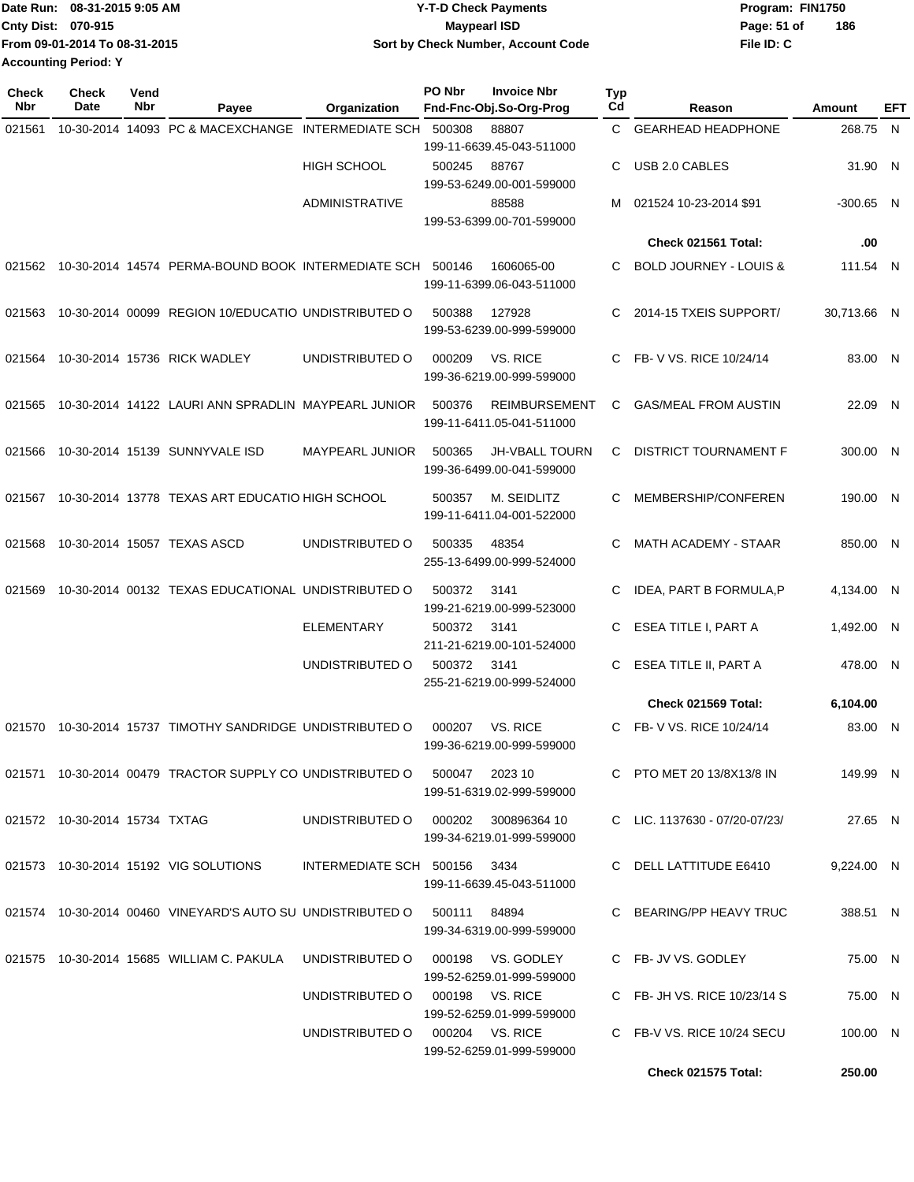| Date Run: 08-31-2015 9:05 AM  | <b>Y-T-D Check Payments</b>        | Program: FIN1750 |     |
|-------------------------------|------------------------------------|------------------|-----|
| <b>Cnty Dist: 070-915</b>     | <b>Mavpearl ISD</b>                | Page: 51 of      | 186 |
| From 09-01-2014 To 08-31-2015 | Sort by Check Number, Account Code | File ID: C       |     |
| <b>Accounting Period: Y</b>   |                                    |                  |     |

| Check<br><b>Nbr</b> | <b>Check</b><br>Date | Vend<br>Nbr | Payee                                                                           | Organization                            | PO Nbr | <b>Invoice Nbr</b><br>Fnd-Fnc-Obj.So-Org-Prog      | Typ<br>Cd | Reason                            | Amount      | EFT |
|---------------------|----------------------|-------------|---------------------------------------------------------------------------------|-----------------------------------------|--------|----------------------------------------------------|-----------|-----------------------------------|-------------|-----|
| 021561              |                      |             | 10-30-2014 14093 PC & MACEXCHANGE                                               | <b>INTERMEDIATE SCH</b>                 | 500308 | 88807                                              | C.        | <b>GEARHEAD HEADPHONE</b>         | 268.75 N    |     |
|                     |                      |             |                                                                                 |                                         |        | 199-11-6639.45-043-511000                          |           |                                   |             |     |
|                     |                      |             |                                                                                 | <b>HIGH SCHOOL</b>                      | 500245 | 88767<br>199-53-6249.00-001-599000                 | C         | USB 2.0 CABLES                    | 31.90 N     |     |
|                     |                      |             |                                                                                 | <b>ADMINISTRATIVE</b>                   |        | 88588                                              | м         | 021524 10-23-2014 \$91            | $-300.65$ N |     |
|                     |                      |             |                                                                                 |                                         |        | 199-53-6399.00-701-599000                          |           | Check 021561 Total:               | .00         |     |
|                     |                      |             |                                                                                 |                                         |        |                                                    |           |                                   |             |     |
|                     |                      |             | 021562  10-30-2014  14574  PERMA-BOUND BOOK INTERMEDIATE SCH  500146            |                                         |        | 1606065-00<br>199-11-6399.06-043-511000            | C.        | <b>BOLD JOURNEY - LOUIS &amp;</b> | 111.54 N    |     |
| 021563              |                      |             | 10-30-2014 00099 REGION 10/EDUCATIO UNDISTRIBUTED O                             |                                         | 500388 | 127928<br>199-53-6239.00-999-599000                | C.        | 2014-15 TXEIS SUPPORT/            | 30,713.66 N |     |
| 021564              |                      |             | 10-30-2014 15736 RICK WADLEY                                                    | UNDISTRIBUTED O                         | 000209 | VS. RICE<br>199-36-6219.00-999-599000              | C.        | FB-V VS. RICE 10/24/14            | 83.00 N     |     |
| 021565              |                      |             | 10-30-2014 14122 LAURI ANN SPRADLIN MAYPEARL JUNIOR                             |                                         | 500376 | <b>REIMBURSEMENT</b><br>199-11-6411.05-041-511000  | C         | <b>GAS/MEAL FROM AUSTIN</b>       | 22.09 N     |     |
| 021566              |                      |             | 10-30-2014 15139 SUNNYVALE ISD                                                  | <b>MAYPEARL JUNIOR</b>                  | 500365 | <b>JH-VBALL TOURN</b><br>199-36-6499.00-041-599000 | C         | DISTRICT TOURNAMENT F             | 300.00 N    |     |
| 021567              |                      |             | 10-30-2014 13778 TEXAS ART EDUCATIO HIGH SCHOOL                                 |                                         | 500357 | M. SEIDLITZ<br>199-11-6411.04-001-522000           |           | MEMBERSHIP/CONFEREN               | 190.00 N    |     |
| 021568              |                      |             | 10-30-2014 15057 TEXAS ASCD                                                     | UNDISTRIBUTED O                         | 500335 | 48354<br>255-13-6499.00-999-524000                 | C         | <b>MATH ACADEMY - STAAR</b>       | 850.00 N    |     |
| 021569              |                      |             | 10-30-2014 00132 TEXAS EDUCATIONAL UNDISTRIBUTED O                              |                                         | 500372 | 3141<br>199-21-6219.00-999-523000                  | C         | IDEA, PART B FORMULA, P           | 4,134.00 N  |     |
|                     |                      |             |                                                                                 | <b>ELEMENTARY</b>                       | 500372 | 3141<br>211-21-6219.00-101-524000                  | C         | ESEA TITLE I, PART A              | 1,492.00 N  |     |
|                     |                      |             |                                                                                 | UNDISTRIBUTED O                         | 500372 | 3141<br>255-21-6219.00-999-524000                  | C         | ESEA TITLE II, PART A             | 478.00 N    |     |
|                     |                      |             |                                                                                 |                                         |        |                                                    |           | Check 021569 Total:               | 6,104.00    |     |
| 021570              |                      |             | 10-30-2014 15737 TIMOTHY SANDRIDGE UNDISTRIBUTED O                              |                                         | 000207 | VS. RICE<br>199-36-6219.00-999-599000              | C.        | FB- V VS, RICE 10/24/14           | 83.00 N     |     |
|                     |                      |             | 021571  10-30-2014  00479  TRACTOR SUPPLY CO UNDISTRIBUTED  0  500047  2023  10 |                                         |        | 199-51-6319.02-999-599000                          |           | C PTO MET 20 13/8X13/8 IN         | 149.99 N    |     |
|                     |                      |             |                                                                                 | UNDISTRIBUTED O   000202   300896364 10 |        | 199-34-6219.01-999-599000                          |           | C LIC. 1137630 - 07/20-07/23/     | 27.65 N     |     |
|                     |                      |             | 021573 10-30-2014 15192 VIG SOLUTIONS                                           | INTERMEDIATE SCH 500156 3434            |        | 199-11-6639.45-043-511000                          |           | C DELL LATTITUDE E6410            | 9.224.00 N  |     |
|                     |                      |             | 021574  10-30-2014  00460  VINEYARD'S AUTO SU UNDISTRIBUTED O  500111  84894    |                                         |        | 199-34-6319.00-999-599000                          |           | C BEARING/PP HEAVY TRUC           | 388.51 N    |     |
|                     |                      |             | 021575  10-30-2014  15685  WILLIAM C. PAKULA                                    | UNDISTRIBUTED O 000198 VS. GODLEY       |        | 199-52-6259.01-999-599000                          |           | C FB- JV VS. GODLEY               | 75.00 N     |     |
|                     |                      |             |                                                                                 | UNDISTRIBUTED O 000198 VS. RICE         |        | 199-52-6259.01-999-599000                          |           | C FB- JH VS. RICE 10/23/14 S      | 75.00 N     |     |
|                     |                      |             |                                                                                 | UNDISTRIBUTED O 000204 VS. RICE         |        | 199-52-6259.01-999-599000                          |           | C FB-V VS. RICE 10/24 SECU        | 100.00 N    |     |
|                     |                      |             |                                                                                 |                                         |        |                                                    |           | Check 021575 Total:               | 250.00      |     |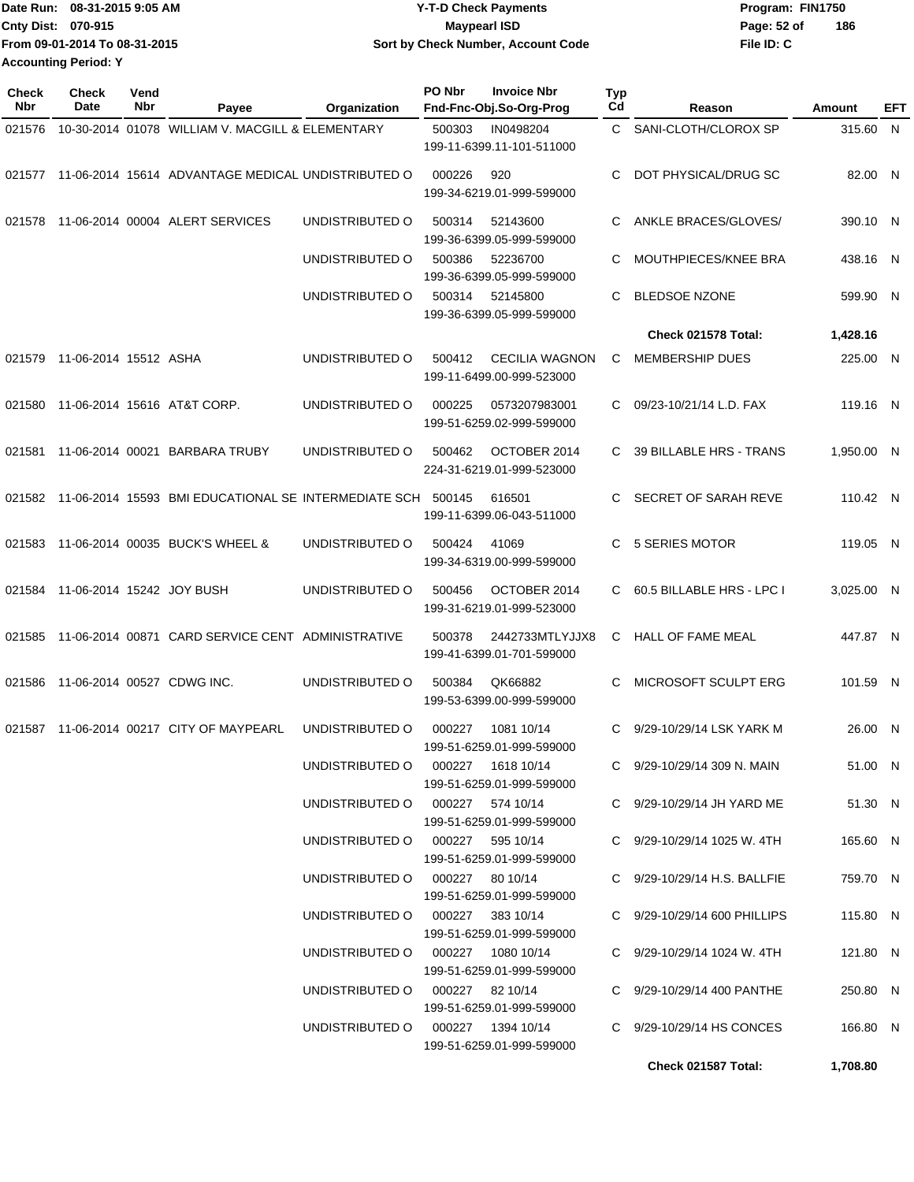|                             | Date Run: 08-31-2015 9:05 AM  | <b>Y-T-D Check Payments</b>        | Program: FIN1750   |
|-----------------------------|-------------------------------|------------------------------------|--------------------|
| <b>Cnty Dist: 070-915</b>   |                               | Maypearl ISD                       | 186<br>Page: 52 of |
|                             | From 09-01-2014 To 08-31-2015 | Sort by Check Number, Account Code | File ID: C         |
| <b>Accounting Period: Y</b> |                               |                                    |                    |

| <b>Check</b><br><b>Nbr</b> | <b>Check</b><br>Date         | Vend<br>Nbr | Payee                                                              | Organization                      | PO Nbr | <b>Invoice Nbr</b><br>Fnd-Fnc-Obj.So-Org-Prog      | Typ<br>Cd | Reason                       | Amount     | EFT |
|----------------------------|------------------------------|-------------|--------------------------------------------------------------------|-----------------------------------|--------|----------------------------------------------------|-----------|------------------------------|------------|-----|
| 021576                     |                              |             | 10-30-2014 01078 WILLIAM V. MACGILL & ELEMENTARY                   |                                   | 500303 | IN0498204<br>199-11-6399.11-101-511000             |           | C SANI-CLOTH/CLOROX SP       | 315.60 N   |     |
| 021577                     |                              |             | 11-06-2014 15614 ADVANTAGE MEDICAL UNDISTRIBUTED O                 |                                   | 000226 | 920<br>199-34-6219.01-999-599000                   | C.        | DOT PHYSICAL/DRUG SC         | 82.00 N    |     |
| 021578                     |                              |             | 11-06-2014 00004 ALERT SERVICES                                    | UNDISTRIBUTED O                   | 500314 | 52143600<br>199-36-6399.05-999-599000              | C.        | ANKLE BRACES/GLOVES/         | 390.10 N   |     |
|                            |                              |             |                                                                    | UNDISTRIBUTED O                   | 500386 | 52236700<br>199-36-6399.05-999-599000              | C         | MOUTHPIECES/KNEE BRA         | 438.16 N   |     |
|                            |                              |             |                                                                    | UNDISTRIBUTED O                   | 500314 | 52145800<br>199-36-6399.05-999-599000              | C         | <b>BLEDSOE NZONE</b>         | 599.90 N   |     |
|                            |                              |             |                                                                    |                                   |        |                                                    |           | Check 021578 Total:          | 1,428.16   |     |
|                            | 021579 11-06-2014 15512 ASHA |             |                                                                    | UNDISTRIBUTED O                   | 500412 | <b>CECILIA WAGNON</b><br>199-11-6499.00-999-523000 | С         | <b>MEMBERSHIP DUES</b>       | 225.00 N   |     |
| 021580                     |                              |             | 11-06-2014 15616 AT&T CORP.                                        | UNDISTRIBUTED O                   | 000225 | 0573207983001<br>199-51-6259.02-999-599000         | C.        | 09/23-10/21/14 L.D. FAX      | 119.16 N   |     |
| 021581                     |                              |             | 11-06-2014 00021 BARBARA TRUBY                                     | UNDISTRIBUTED O                   | 500462 | OCTOBER 2014<br>224-31-6219.01-999-523000          | C.        | 39 BILLABLE HRS - TRANS      | 1,950.00 N |     |
|                            |                              |             | 021582 11-06-2014 15593 BMI EDUCATIONAL SE INTERMEDIATE SCH 500145 |                                   |        | 616501<br>199-11-6399.06-043-511000                |           | SECRET OF SARAH REVE         | 110.42 N   |     |
| 021583                     |                              |             | 11-06-2014 00035 BUCK'S WHEEL &                                    | UNDISTRIBUTED O                   | 500424 | 41069<br>199-34-6319.00-999-599000                 | C.        | <b>5 SERIES MOTOR</b>        | 119.05 N   |     |
| 021584                     | 11-06-2014 15242 JOY BUSH    |             |                                                                    | UNDISTRIBUTED O                   | 500456 | OCTOBER 2014<br>199-31-6219.01-999-523000          |           | C 60.5 BILLABLE HRS - LPC I  | 3,025.00 N |     |
| 021585                     |                              |             | 11-06-2014 00871 CARD SERVICE CENT ADMINISTRATIVE                  |                                   | 500378 | 2442733MTLYJJX8<br>199-41-6399.01-701-599000       | C         | <b>HALL OF FAME MEAL</b>     | 447.87 N   |     |
| 021586                     | 11-06-2014 00527 CDWG INC.   |             |                                                                    | UNDISTRIBUTED O                   | 500384 | QK66882<br>199-53-6399.00-999-599000               | C         | MICROSOFT SCULPT ERG         | 101.59 N   |     |
|                            |                              |             | 021587 11-06-2014 00217 CITY OF MAYPEARL                           | UNDISTRIBUTED O                   | 000227 | 1081 10/14<br>199-51-6259.01-999-599000            | C.        | 9/29-10/29/14 LSK YARK M     | 26.00 N    |     |
|                            |                              |             |                                                                    | UNDISTRIBUTED O 000227 1618 10/14 |        | 199-51-6259.01-999-599000                          |           | C 9/29-10/29/14 309 N. MAIN  | 51.00 N    |     |
|                            |                              |             |                                                                    | UNDISTRIBUTED O 000227 574 10/14  |        | 199-51-6259.01-999-599000                          |           | C 9/29-10/29/14 JH YARD ME   | 51.30 N    |     |
|                            |                              |             |                                                                    | UNDISTRIBUTED O 000227 595 10/14  |        | 199-51-6259.01-999-599000                          |           | C 9/29-10/29/14 1025 W. 4TH  | 165.60 N   |     |
|                            |                              |             |                                                                    | UNDISTRIBUTED 0 000227 80 10/14   |        | 199-51-6259.01-999-599000                          |           | C 9/29-10/29/14 H.S. BALLFIE | 759.70 N   |     |
|                            |                              |             |                                                                    | UNDISTRIBUTED O 000227 383 10/14  |        | 199-51-6259.01-999-599000                          |           | C 9/29-10/29/14 600 PHILLIPS | 115.80 N   |     |
|                            |                              |             |                                                                    | UNDISTRIBUTED O 000227 1080 10/14 |        | 199-51-6259.01-999-599000                          |           | C 9/29-10/29/14 1024 W. 4TH  | 121.80 N   |     |
|                            |                              |             |                                                                    | UNDISTRIBUTED 0 000227 82 10/14   |        | 199-51-6259.01-999-599000                          |           | C 9/29-10/29/14 400 PANTHE   | 250.80 N   |     |
|                            |                              |             |                                                                    | UNDISTRIBUTED O 000227 1394 10/14 |        | 199-51-6259.01-999-599000                          |           | C 9/29-10/29/14 HS CONCES    | 166.80 N   |     |
|                            |                              |             |                                                                    |                                   |        |                                                    |           | Check 021587 Total:          | 1,708.80   |     |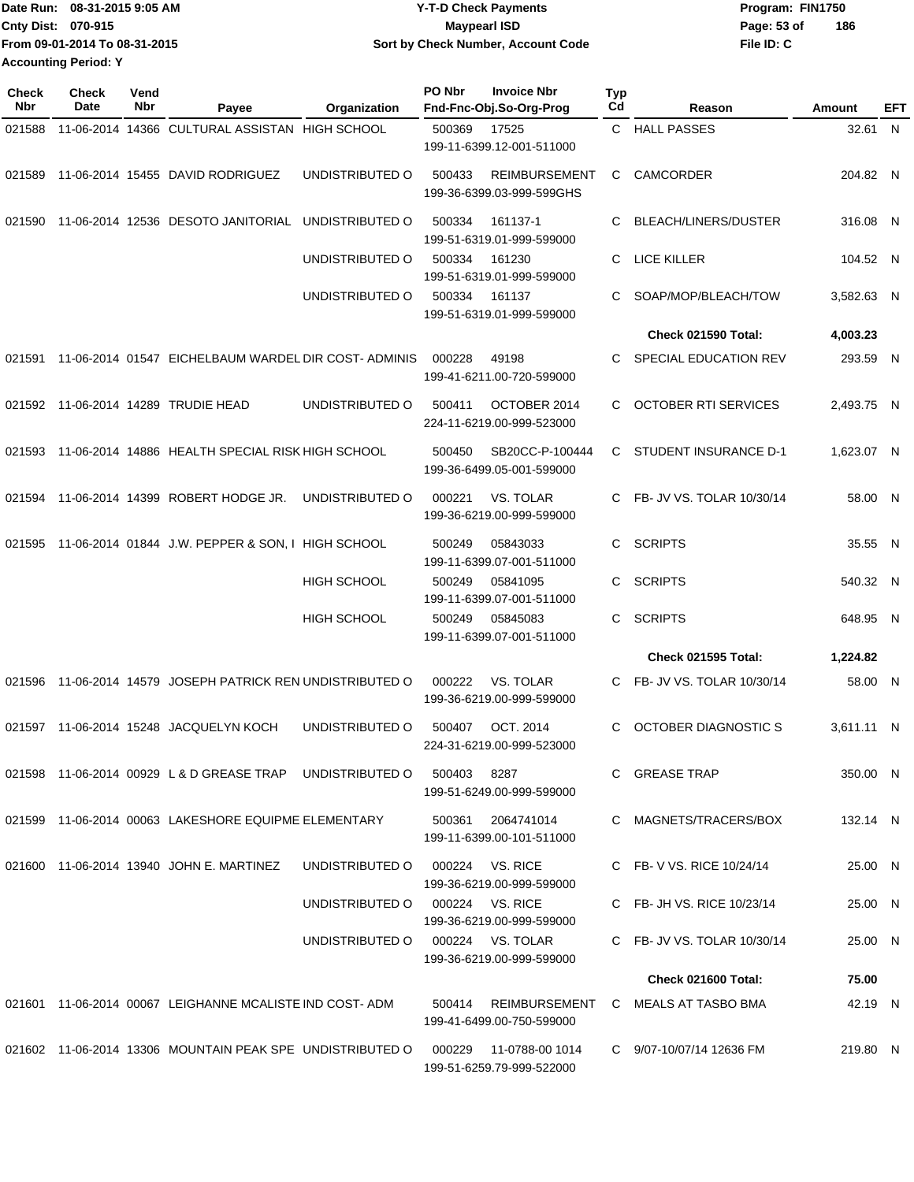|                             | IDate Run: 08-31-2015 9:05 AM | <b>Y-T-D Check Payments</b>        | Program: FIN1750   |
|-----------------------------|-------------------------------|------------------------------------|--------------------|
| <b>Cnty Dist: 070-915</b>   |                               | Maypearl ISD                       | 186<br>Page: 53 of |
|                             | From 09-01-2014 To 08-31-2015 | Sort by Check Number, Account Code | File ID: C         |
| <b>Accounting Period: Y</b> |                               |                                    |                    |

| <b>Check</b><br>Nbr | Check<br>Date | Vend<br>Nbr | Payee                                                                        | Organization                     | PO Nbr | <b>Invoice Nbr</b><br>Fnd-Fnc-Obj.So-Org-Prog     | <b>Typ</b><br>Cd | Reason                                    | Amount     | EFT |
|---------------------|---------------|-------------|------------------------------------------------------------------------------|----------------------------------|--------|---------------------------------------------------|------------------|-------------------------------------------|------------|-----|
| 021588              |               |             | 11-06-2014 14366 CULTURAL ASSISTAN                                           | HIGH SCHOOL                      | 500369 | 17525<br>199-11-6399.12-001-511000                | C.               | <b>HALL PASSES</b>                        | 32.61 N    |     |
| 021589              |               |             | 11-06-2014 15455 DAVID RODRIGUEZ                                             | UNDISTRIBUTED O                  | 500433 | <b>REIMBURSEMENT</b><br>199-36-6399.03-999-599GHS | С                | <b>CAMCORDER</b>                          | 204.82 N   |     |
| 021590              |               |             | 11-06-2014 12536 DESOTO JANITORIAL                                           | UNDISTRIBUTED O                  | 500334 | 161137-1<br>199-51-6319.01-999-599000             | С                | BLEACH/LINERS/DUSTER                      | 316.08 N   |     |
|                     |               |             |                                                                              | UNDISTRIBUTED O                  | 500334 | 161230<br>199-51-6319.01-999-599000               | C                | LICE KILLER                               | 104.52 N   |     |
|                     |               |             |                                                                              | UNDISTRIBUTED O                  | 500334 | 161137<br>199-51-6319.01-999-599000               | С                | SOAP/MOP/BLEACH/TOW                       | 3,582.63 N |     |
|                     |               |             |                                                                              |                                  |        |                                                   |                  | Check 021590 Total:                       | 4,003.23   |     |
| 021591              |               |             | 11-06-2014 01547 EICHELBAUM WARDEL DIR COST-ADMINIS                          |                                  | 000228 | 49198<br>199-41-6211.00-720-599000                | С                | SPECIAL EDUCATION REV                     | 293.59 N   |     |
|                     |               |             | 021592 11-06-2014 14289 TRUDIE HEAD                                          | UNDISTRIBUTED O                  | 500411 | OCTOBER 2014<br>224-11-6219.00-999-523000         | С                | <b>OCTOBER RTI SERVICES</b>               | 2,493.75 N |     |
| 021593              |               |             | 11-06-2014 14886 HEALTH SPECIAL RISK HIGH SCHOOL                             |                                  | 500450 | SB20CC-P-100444<br>199-36-6499.05-001-599000      | С                | STUDENT INSURANCE D-1                     | 1,623.07 N |     |
| 021594              |               |             | 11-06-2014 14399 ROBERT HODGE JR.                                            | UNDISTRIBUTED O                  | 000221 | VS. TOLAR<br>199-36-6219.00-999-599000            | C                | FB- JV VS. TOLAR 10/30/14                 | 58.00 N    |     |
| 021595              |               |             | 11-06-2014 01844 J.W. PEPPER & SON, I HIGH SCHOOL                            |                                  | 500249 | 05843033<br>199-11-6399.07-001-511000             | С                | <b>SCRIPTS</b>                            | 35.55      | - N |
|                     |               |             |                                                                              | <b>HIGH SCHOOL</b>               | 500249 | 05841095<br>199-11-6399.07-001-511000             | С                | <b>SCRIPTS</b>                            | 540.32 N   |     |
|                     |               |             |                                                                              | <b>HIGH SCHOOL</b>               | 500249 | 05845083<br>199-11-6399.07-001-511000             | C                | SCRIPTS                                   | 648.95 N   |     |
|                     |               |             |                                                                              |                                  |        |                                                   |                  | <b>Check 021595 Total:</b>                | 1,224.82   |     |
| 021596              |               |             | 11-06-2014 14579 JOSEPH PATRICK REN UNDISTRIBUTED O                          |                                  | 000222 | <b>VS. TOLAR</b><br>199-36-6219.00-999-599000     | C.               | FB- JV VS. TOLAR 10/30/14                 | 58.00 N    |     |
| 021597              |               |             | 11-06-2014 15248 JACQUELYN KOCH                                              | UNDISTRIBUTED O                  | 500407 | OCT. 2014<br>224-31-6219.00-999-523000            | С                | <b>OCTOBER DIAGNOSTIC S</b>               | 3,611.11 N |     |
|                     |               |             | 021598  11-06-2014  00929 L & D GREASE TRAP  UNDISTRIBUTED   0  500403  8287 |                                  |        | 199-51-6249.00-999-599000                         |                  | C GREASE TRAP                             | 350.00 N   |     |
|                     |               |             | 021599 11-06-2014 00063 LAKESHORE EQUIPME ELEMENTARY                         |                                  |        | 500361 2064741014<br>199-11-6399.00-101-511000    |                  | C MAGNETS/TRACERS/BOX                     | 132.14 N   |     |
|                     |               |             | 021600 11-06-2014 13940 JOHN E. MARTINEZ                                     | UNDISTRIBUTED O                  |        | 000224 VS. RICE<br>199-36-6219.00-999-599000      |                  | C FB-V VS. RICE 10/24/14                  | 25.00 N    |     |
|                     |               |             |                                                                              | UNDISTRIBUTED O 000224 VS. RICE  |        | 199-36-6219.00-999-599000                         |                  | C FB- JH VS. RICE 10/23/14                | 25.00 N    |     |
|                     |               |             |                                                                              | UNDISTRIBUTED O 000224 VS. TOLAR |        | 199-36-6219.00-999-599000                         |                  | C FB- JV VS. TOLAR 10/30/14               | 25.00 N    |     |
|                     |               |             |                                                                              |                                  |        |                                                   |                  | Check 021600 Total:                       | 75.00      |     |
|                     |               |             | 021601 11-06-2014 00067 LEIGHANNE MCALISTE IND COST-ADM                      |                                  |        | 199-41-6499.00-750-599000                         |                  | 500414 REIMBURSEMENT C MEALS AT TASBO BMA | 42.19 N    |     |
|                     |               |             | 021602 11-06-2014 13306 MOUNTAIN PEAK SPE UNDISTRIBUTED O                    |                                  | 000229 | 11-0788-00 1014<br>199-51-6259.79-999-522000      |                  | C 9/07-10/07/14 12636 FM                  | 219.80 N   |     |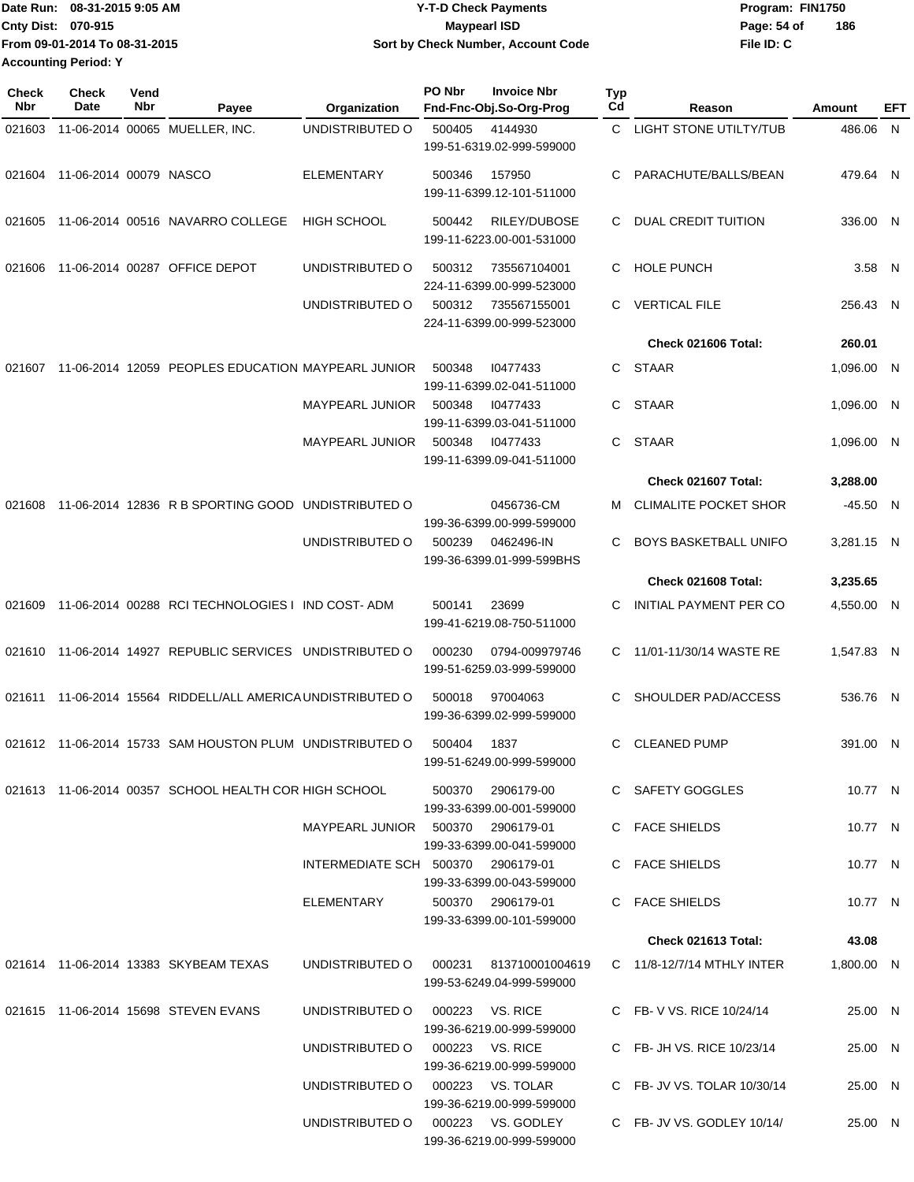|                             | Date Run: 08-31-2015 9:05 AM  | <b>Y-T-D Check Payments</b>        | Program: FIN1750   |
|-----------------------------|-------------------------------|------------------------------------|--------------------|
| <b>Cnty Dist: 070-915</b>   |                               | <b>Maypearl ISD</b>                | 186<br>Page: 54 of |
|                             | From 09-01-2014 To 08-31-2015 | Sort by Check Number, Account Code | File ID: C         |
| <b>Accounting Period: Y</b> |                               |                                    |                    |

| <b>Check</b><br>Nbr | <b>Check</b><br>Date          | Vend<br>Nbr | Payee                                                    | Organization                       | PO Nbr | <b>Invoice Nbr</b><br>Fnd-Fnc-Obj.So-Org-Prog       | <b>Typ</b><br>Cd | Reason                        | Amount     | EFT |
|---------------------|-------------------------------|-------------|----------------------------------------------------------|------------------------------------|--------|-----------------------------------------------------|------------------|-------------------------------|------------|-----|
| 021603              |                               |             | 11-06-2014 00065 MUELLER, INC.                           | UNDISTRIBUTED O                    | 500405 | 4144930<br>199-51-6319.02-999-599000                | $\mathbf{C}$     | <b>LIGHT STONE UTILTY/TUB</b> | 486.06 N   |     |
|                     | 021604 11-06-2014 00079 NASCO |             |                                                          | <b>ELEMENTARY</b>                  | 500346 | 157950<br>199-11-6399.12-101-511000                 | C                | PARACHUTE/BALLS/BEAN          | 479.64 N   |     |
| 021605              |                               |             | 11-06-2014 00516 NAVARRO COLLEGE                         | <b>HIGH SCHOOL</b>                 | 500442 | RILEY/DUBOSE<br>199-11-6223.00-001-531000           | C                | DUAL CREDIT TUITION           | 336.00 N   |     |
| 021606              |                               |             | 11-06-2014 00287 OFFICE DEPOT                            | UNDISTRIBUTED O                    | 500312 | 735567104001<br>224-11-6399.00-999-523000           | C.               | <b>HOLE PUNCH</b>             | 3.58 N     |     |
|                     |                               |             |                                                          | UNDISTRIBUTED O                    | 500312 | 735567155001<br>224-11-6399.00-999-523000           | C.               | <b>VERTICAL FILE</b>          | 256.43 N   |     |
|                     |                               |             |                                                          |                                    |        |                                                     |                  | Check 021606 Total:           | 260.01     |     |
| 021607              |                               |             | 11-06-2014 12059 PEOPLES EDUCATION MAYPEARL JUNIOR       |                                    | 500348 | 10477433<br>199-11-6399.02-041-511000               | C.               | STAAR                         | 1,096.00 N |     |
|                     |                               |             |                                                          | <b>MAYPEARL JUNIOR</b>             | 500348 | 10477433<br>199-11-6399.03-041-511000               | C.               | <b>STAAR</b>                  | 1.096.00 N |     |
|                     |                               |             |                                                          | <b>MAYPEARL JUNIOR</b>             | 500348 | 10477433<br>199-11-6399.09-041-511000               | C                | <b>STAAR</b>                  | 1,096.00 N |     |
|                     |                               |             |                                                          |                                    |        |                                                     |                  | Check 021607 Total:           | 3,288.00   |     |
| 021608              |                               |             | 11-06-2014 12836 R B SPORTING GOOD                       | UNDISTRIBUTED O                    |        | 0456736-CM<br>199-36-6399.00-999-599000             | M                | <b>CLIMALITE POCKET SHOR</b>  | $-45.50$ N |     |
|                     |                               |             |                                                          | UNDISTRIBUTED O                    | 500239 | 0462496-IN<br>199-36-6399.01-999-599BHS             | C                | <b>BOYS BASKETBALL UNIFO</b>  | 3,281.15 N |     |
|                     |                               |             |                                                          |                                    |        |                                                     |                  | Check 021608 Total:           | 3,235.65   |     |
| 021609              |                               |             | 11-06-2014 00288 RCI TECHNOLOGIES I IND COST-ADM         |                                    | 500141 | 23699<br>199-41-6219.08-750-511000                  | C                | INITIAL PAYMENT PER CO        | 4,550.00 N |     |
| 021610              |                               |             | 11-06-2014 14927 REPUBLIC SERVICES UNDISTRIBUTED O       |                                    | 000230 | 0794-009979746<br>199-51-6259.03-999-599000         | C                | 11/01-11/30/14 WASTE RE       | 1,547.83 N |     |
| 021611              |                               |             | 11-06-2014 15564 RIDDELL/ALL AMERICA UNDISTRIBUTED O     |                                    | 500018 | 97004063<br>199-36-6399.02-999-599000               | C.               | SHOULDER PAD/ACCESS           | 536.76 N   |     |
|                     |                               |             | 021612 11-06-2014 15733 SAM HOUSTON PLUM UNDISTRIBUTED O |                                    | 500404 | 1837<br>199-51-6249.00-999-599000                   | C                | <b>CLEANED PUMP</b>           | 391.00 N   |     |
|                     |                               |             | 021613 11-06-2014 00357 SCHOOL HEALTH COR HIGH SCHOOL    |                                    |        | 500370 2906179-00<br>199-33-6399.00-001-599000      |                  | C SAFETY GOGGLES              | 10.77 N    |     |
|                     |                               |             |                                                          | MAYPEARL JUNIOR 500370 2906179-01  |        | 199-33-6399.00-041-599000                           |                  | C FACE SHIELDS                | 10.77 N    |     |
|                     |                               |             |                                                          | INTERMEDIATE SCH 500370 2906179-01 |        | 199-33-6399.00-043-599000                           |                  | C FACE SHIELDS                | 10.77 N    |     |
|                     |                               |             |                                                          | ELEMENTARY                         |        | 500370 2906179-01<br>199-33-6399.00-101-599000      |                  | C FACE SHIELDS                | 10.77 N    |     |
|                     |                               |             |                                                          |                                    |        |                                                     |                  | Check 021613 Total:           | 43.08      |     |
|                     |                               |             | 021614 11-06-2014 13383 SKYBEAM TEXAS                    | UNDISTRIBUTED O                    |        | 000231 813710001004619<br>199-53-6249.04-999-599000 |                  | $C$ 11/8-12/7/14 MTHLY INTER  | 1,800.00 N |     |
|                     |                               |             | 021615 11-06-2014 15698 STEVEN EVANS                     | UNDISTRIBUTED O                    |        | 000223 VS. RICE<br>199-36-6219.00-999-599000        |                  | C FB-V VS, RICE 10/24/14      | 25.00 N    |     |
|                     |                               |             |                                                          | UNDISTRIBUTED O 000223 VS. RICE    |        | 199-36-6219.00-999-599000                           |                  | C FB- JH VS. RICE 10/23/14    | 25.00 N    |     |
|                     |                               |             |                                                          | UNDISTRIBUTED O 000223 VS. TOLAR   |        | 199-36-6219.00-999-599000                           |                  | C FB- JV VS. TOLAR 10/30/14   | 25.00 N    |     |
|                     |                               |             |                                                          | UNDISTRIBUTED O 000223 VS. GODLEY  |        | 199-36-6219.00-999-599000                           |                  | C FB- JV VS. GODLEY 10/14/    | 25.00 N    |     |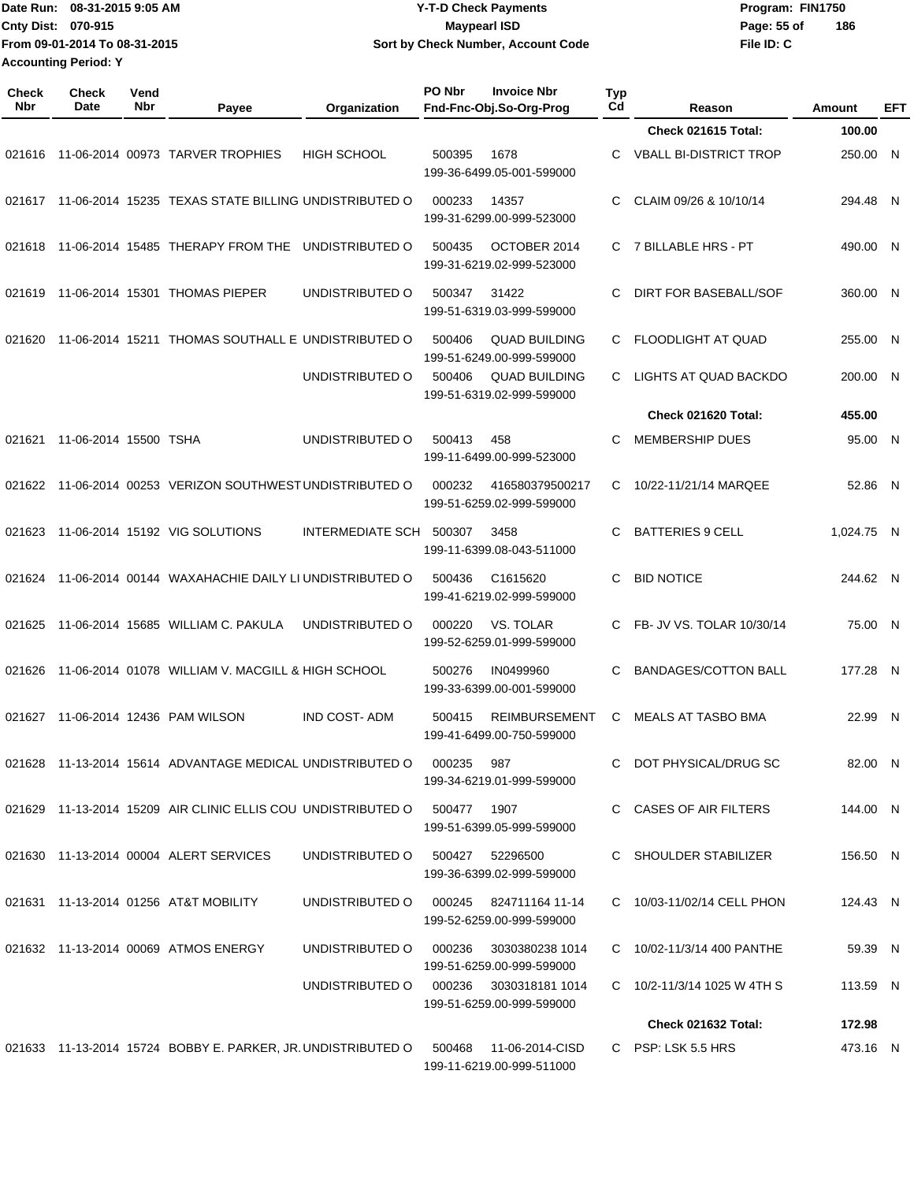|                             | Date Run: 08-31-2015 9:05 AM  | <b>Y-T-D Check Payments</b>        | Program: FIN1750 |     |
|-----------------------------|-------------------------------|------------------------------------|------------------|-----|
| <b>Cnty Dist: 070-915</b>   |                               | <b>Mavpearl ISD</b>                | Page: 55 of      | 186 |
|                             | From 09-01-2014 To 08-31-2015 | Sort by Check Number, Account Code | File ID: C       |     |
| <b>Accounting Period: Y</b> |                               |                                    |                  |     |

**PO Nbr Invoice Nbr**

| <b>Check</b><br><b>Nbr</b> | <b>Check</b><br>Date  | Vend<br><b>Nbr</b> | Payee                                                        | Organization                           | PO Nbr       | <b>Invoice Nbr</b><br>Fnd-Fnc-Obj.So-Org-Prog       | <b>Typ</b><br>Cd | Reason                        | Amount     | EFT |
|----------------------------|-----------------------|--------------------|--------------------------------------------------------------|----------------------------------------|--------------|-----------------------------------------------------|------------------|-------------------------------|------------|-----|
|                            |                       |                    |                                                              |                                        |              |                                                     |                  | Check 021615 Total:           | 100.00     |     |
| 021616                     |                       |                    | 11-06-2014 00973 TARVER TROPHIES                             | <b>HIGH SCHOOL</b>                     | 500395       | 1678<br>199-36-6499.05-001-599000                   | C.               | <b>VBALL BI-DISTRICT TROP</b> | 250.00 N   |     |
| 021617                     |                       |                    | 11-06-2014 15235 TEXAS STATE BILLING UNDISTRIBUTED O         |                                        | 000233       | 14357<br>199-31-6299.00-999-523000                  | C                | CLAIM 09/26 & 10/10/14        | 294.48 N   |     |
| 021618                     |                       |                    | 11-06-2014 15485 THERAPY FROM THE                            | UNDISTRIBUTED O                        | 500435       | OCTOBER 2014<br>199-31-6219.02-999-523000           | C.               | 7 BILLABLE HRS - PT           | 490.00 N   |     |
| 021619                     |                       |                    | 11-06-2014 15301 THOMAS PIEPER                               | UNDISTRIBUTED O                        | 500347       | 31422<br>199-51-6319.03-999-599000                  | C                | <b>DIRT FOR BASEBALL/SOF</b>  | 360.00 N   |     |
| 021620                     |                       |                    | 11-06-2014 15211 THOMAS SOUTHALL E UNDISTRIBUTED O           |                                        | 500406       | <b>QUAD BUILDING</b><br>199-51-6249.00-999-599000   | C                | FLOODLIGHT AT QUAD            | 255.00 N   |     |
|                            |                       |                    |                                                              | UNDISTRIBUTED O                        | 500406       | <b>QUAD BUILDING</b><br>199-51-6319.02-999-599000   | C.               | <b>LIGHTS AT QUAD BACKDO</b>  | 200.00 N   |     |
|                            |                       |                    |                                                              |                                        |              |                                                     |                  | Check 021620 Total:           | 455.00     |     |
| 021621                     | 11-06-2014 15500 TSHA |                    |                                                              | UNDISTRIBUTED O                        | 500413       | 458<br>199-11-6499.00-999-523000                    | C                | <b>MEMBERSHIP DUES</b>        | 95.00 N    |     |
| 021622                     |                       |                    | 11-06-2014 00253 VERIZON SOUTHWEST UNDISTRIBUTED O           |                                        | 000232       | 416580379500217<br>199-51-6259.02-999-599000        | C.               | 10/22-11/21/14 MARQEE         | 52.86 N    |     |
| 021623                     |                       |                    | 11-06-2014 15192 VIG SOLUTIONS                               | <b>INTERMEDIATE SCH</b>                | 500307       | 3458<br>199-11-6399.08-043-511000                   | C.               | <b>BATTERIES 9 CELL</b>       | 1,024.75 N |     |
| 021624                     |                       |                    | 11-06-2014 00144 WAXAHACHIE DAILY LI UNDISTRIBUTED O         |                                        | 500436       | C <sub>1615620</sub><br>199-41-6219.02-999-599000   | C.               | <b>BID NOTICE</b>             | 244.62 N   |     |
| 021625                     |                       |                    | 11-06-2014 15685 WILLIAM C. PAKULA                           | UNDISTRIBUTED O                        | 000220       | VS. TOLAR<br>199-52-6259.01-999-599000              | C.               | FB- JV VS. TOLAR 10/30/14     | 75.00 N    |     |
| 021626                     |                       |                    | 11-06-2014 01078 WILLIAM V. MACGILL & HIGH SCHOOL            |                                        | 500276       | IN0499960<br>199-33-6399.00-001-599000              | C                | <b>BANDAGES/COTTON BALL</b>   | 177.28 N   |     |
| 021627                     |                       |                    | 11-06-2014 12436 PAM WILSON                                  | <b>IND COST-ADM</b>                    | 500415       | <b>REIMBURSEMENT</b><br>199-41-6499.00-750-599000   | C                | <b>MEALS AT TASBO BMA</b>     | 22.99 N    |     |
|                            |                       |                    | 021628 11-13-2014 15614 ADVANTAGE MEDICAL UNDISTRIBUTED O    |                                        | 000235 987   | 199-34-6219.01-999-599000                           |                  | C DOT PHYSICAL/DRUG SC        | 82.00 N    |     |
|                            |                       |                    | 021629 11-13-2014 15209 AIR CLINIC ELLIS COU UNDISTRIBUTED O |                                        | 500477  1907 | 199-51-6399.05-999-599000                           |                  | C CASES OF AIR FILTERS        | 144.00 N   |     |
|                            |                       |                    | 021630 11-13-2014 00004 ALERT SERVICES                       | UNDISTRIBUTED O                        | 500427       | 52296500<br>199-36-6399.02-999-599000               |                  | C SHOULDER STABILIZER         | 156.50 N   |     |
|                            |                       |                    | 021631 11-13-2014 01256 AT&T MOBILITY                        | UNDISTRIBUTED O                        |              | 000245 824711164 11-14<br>199-52-6259.00-999-599000 |                  | C 10/03-11/02/14 CELL PHON    | 124.43 N   |     |
|                            |                       |                    | 021632 11-13-2014 00069 ATMOS ENERGY                         | UNDISTRIBUTED O                        | 000236       | 3030380238 1014<br>199-51-6259.00-999-599000        |                  | C 10/02-11/3/14 400 PANTHE    | 59.39 N    |     |
|                            |                       |                    |                                                              | UNDISTRIBUTED O 000236 3030318181 1014 |              | 199-51-6259.00-999-599000                           |                  | C 10/2-11/3/14 1025 W 4TH S   | 113.59 N   |     |
|                            |                       |                    |                                                              |                                        |              |                                                     |                  | Check 021632 Total:           | 172.98     |     |
|                            |                       |                    | 021633 11-13-2014 15724 BOBBY E. PARKER, JR. UNDISTRIBUTED O |                                        | 500468       | 11-06-2014-CISD<br>199-11-6219.00-999-511000        |                  | C PSP: LSK 5.5 HRS            | 473.16 N   |     |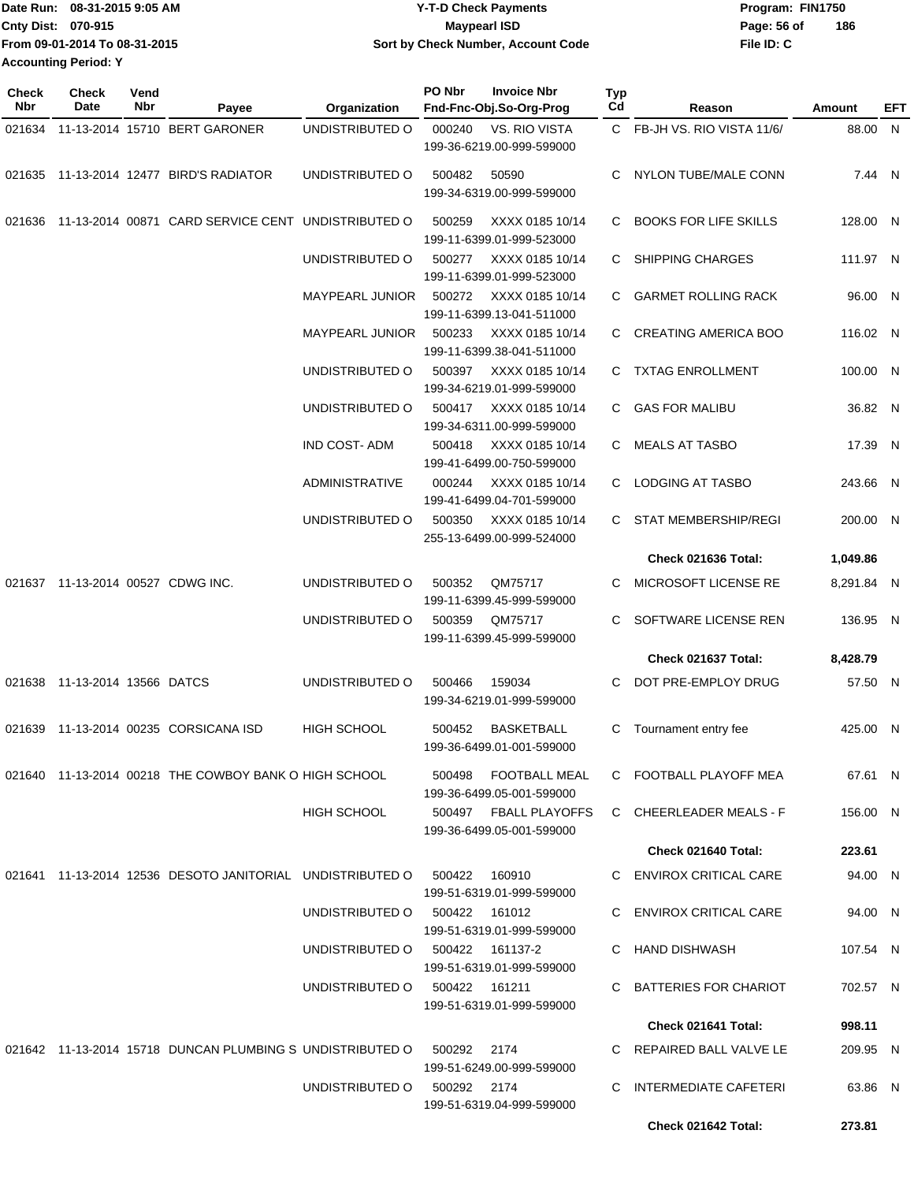|                             | IDate Run: 08-31-2015 9:05 AM | <b>Y-T-D Check Payments</b>        | Program: FIN1750   |
|-----------------------------|-------------------------------|------------------------------------|--------------------|
| <b>Cnty Dist: 070-915</b>   |                               | <b>Mavpearl ISD</b>                | 186<br>Page: 56 of |
|                             | From 09-01-2014 To 08-31-2015 | Sort by Check Number, Account Code | File ID: C         |
| <b>Accounting Period: Y</b> |                               |                                    |                    |

| Check<br>Nbr | Check<br>Date          | Vend<br>Nbr | Payee                                                     | Organization                | PO Nbr | <b>Invoice Nbr</b><br>Fnd-Fnc-Obj.So-Org-Prog | Typ<br>Cd | Reason                      | Amount     | EFT |
|--------------|------------------------|-------------|-----------------------------------------------------------|-----------------------------|--------|-----------------------------------------------|-----------|-----------------------------|------------|-----|
| 021634       |                        |             | 11-13-2014 15710 BERT GARONER                             | UNDISTRIBUTED O             | 000240 | <b>VS. RIO VISTA</b>                          |           | C FB-JH VS, RIO VISTA 11/6/ | 88.00 N    |     |
|              |                        |             |                                                           |                             |        | 199-36-6219.00-999-599000                     |           |                             |            |     |
|              |                        |             | 021635 11-13-2014 12477 BIRD'S RADIATOR                   | UNDISTRIBUTED O             | 500482 | 50590                                         |           | C NYLON TUBE/MALE CONN      | 7.44 N     |     |
|              |                        |             |                                                           |                             |        | 199-34-6319.00-999-599000                     |           |                             |            |     |
| 021636       |                        |             | 11-13-2014 00871 CARD SERVICE CENT UNDISTRIBUTED O        |                             | 500259 | XXXX 0185 10/14                               |           | C BOOKS FOR LIFE SKILLS     | 128.00 N   |     |
|              |                        |             |                                                           |                             |        | 199-11-6399.01-999-523000                     |           |                             |            |     |
|              |                        |             |                                                           | UNDISTRIBUTED O             | 500277 | XXXX 0185 10/14                               |           | C SHIPPING CHARGES          | 111.97 N   |     |
|              |                        |             |                                                           |                             |        | 199-11-6399.01-999-523000                     |           |                             |            |     |
|              |                        |             |                                                           | <b>MAYPEARL JUNIOR</b>      | 500272 | XXXX 0185 10/14                               | C.        | <b>GARMET ROLLING RACK</b>  | 96.00 N    |     |
|              |                        |             |                                                           | <b>MAYPEARL JUNIOR</b>      | 500233 | 199-11-6399.13-041-511000<br>XXXX 0185 10/14  |           | C CREATING AMERICA BOO      | 116.02 N   |     |
|              |                        |             |                                                           |                             |        | 199-11-6399.38-041-511000                     |           |                             |            |     |
|              |                        |             |                                                           | UNDISTRIBUTED O             | 500397 | XXXX 0185 10/14                               |           | C TXTAG ENROLLMENT          | 100.00 N   |     |
|              |                        |             |                                                           |                             |        | 199-34-6219.01-999-599000                     |           |                             |            |     |
|              |                        |             |                                                           | UNDISTRIBUTED O             | 500417 | XXXX 0185 10/14                               |           | C GAS FOR MALIBU            | 36.82 N    |     |
|              |                        |             |                                                           |                             |        | 199-34-6311.00-999-599000                     |           |                             |            |     |
|              |                        |             |                                                           | <b>IND COST-ADM</b>         | 500418 | XXXX 0185 10/14<br>199-41-6499.00-750-599000  |           | C MEALS AT TASBO            | 17.39 N    |     |
|              |                        |             |                                                           | ADMINISTRATIVE              | 000244 | XXXX 0185 10/14                               |           | C LODGING AT TASBO          | 243.66 N   |     |
|              |                        |             |                                                           |                             |        | 199-41-6499.04-701-599000                     |           |                             |            |     |
|              |                        |             |                                                           | UNDISTRIBUTED O             | 500350 | XXXX 0185 10/14                               |           | C STAT MEMBERSHIP/REGI      | 200.00 N   |     |
|              |                        |             |                                                           |                             |        | 255-13-6499.00-999-524000                     |           |                             |            |     |
|              |                        |             |                                                           |                             |        |                                               |           | Check 021636 Total:         | 1,049.86   |     |
|              |                        |             | 021637 11-13-2014 00527 CDWG INC.                         | UNDISTRIBUTED O             | 500352 | QM75717<br>199-11-6399.45-999-599000          | C         | MICROSOFT LICENSE RE        | 8,291.84 N |     |
|              |                        |             |                                                           | UNDISTRIBUTED O             | 500359 | QM75717                                       | C.        | SOFTWARE LICENSE REN        | 136.95 N   |     |
|              |                        |             |                                                           |                             |        | 199-11-6399.45-999-599000                     |           |                             |            |     |
|              |                        |             |                                                           |                             |        |                                               |           | Check 021637 Total:         | 8,428.79   |     |
| 021638       | 11-13-2014 13566 DATCS |             |                                                           | UNDISTRIBUTED O             | 500466 | 159034                                        |           | C DOT PRE-EMPLOY DRUG       | 57.50 N    |     |
|              |                        |             |                                                           |                             |        | 199-34-6219.01-999-599000                     |           |                             |            |     |
| 021639       |                        |             | 11-13-2014 00235 CORSICANA ISD                            | <b>HIGH SCHOOL</b>          | 500452 | <b>BASKETBALL</b>                             | C         | Tournament entry fee        | 425.00 N   |     |
|              |                        |             |                                                           |                             |        | 199-36-6499.01-001-599000                     |           |                             |            |     |
|              |                        |             | 021640 11-13-2014 00218 THE COWBOY BANK O HIGH SCHOOL     |                             |        | 500498 FOOTBALL MEAL                          |           | C FOOTBALL PLAYOFF MEA      | 67.61 N    |     |
|              |                        |             |                                                           |                             |        | 199-36-6499.05-001-599000                     |           |                             |            |     |
|              |                        |             |                                                           | HIGH SCHOOL                 |        | 500497 FBALL PLAYOFFS                         |           | C CHEERLEADER MEALS - F     | 156.00 N   |     |
|              |                        |             |                                                           |                             |        | 199-36-6499.05-001-599000                     |           |                             |            |     |
|              |                        |             |                                                           |                             |        |                                               |           | Check 021640 Total:         | 223.61     |     |
|              |                        |             | 021641 11-13-2014 12536 DESOTO JANITORIAL UNDISTRIBUTED O |                             | 500422 | 160910<br>199-51-6319.01-999-599000           |           | C ENVIROX CRITICAL CARE     | 94.00 N    |     |
|              |                        |             |                                                           | UNDISTRIBUTED O             |        | 500422 161012                                 |           | C ENVIROX CRITICAL CARE     | 94.00 N    |     |
|              |                        |             |                                                           |                             |        | 199-51-6319.01-999-599000                     |           |                             |            |     |
|              |                        |             |                                                           | UNDISTRIBUTED O             |        | 500422 161137-2                               |           | C HAND DISHWASH             | 107.54 N   |     |
|              |                        |             |                                                           |                             |        | 199-51-6319.01-999-599000                     |           |                             |            |     |
|              |                        |             |                                                           | UNDISTRIBUTED O             |        | 500422 161211                                 |           | C BATTERIES FOR CHARIOT     | 702.57 N   |     |
|              |                        |             |                                                           |                             |        | 199-51-6319.01-999-599000                     |           | Check 021641 Total:         | 998.11     |     |
|              |                        |             |                                                           |                             |        |                                               |           |                             |            |     |
|              |                        |             | 021642 11-13-2014 15718 DUNCAN PLUMBING S UNDISTRIBUTED O |                             | 500292 | 2174<br>199-51-6249.00-999-599000             |           | C REPAIRED BALL VALVE LE    | 209.95 N   |     |
|              |                        |             |                                                           | UNDISTRIBUTED O 500292 2174 |        |                                               |           | C INTERMEDIATE CAFETERI     | 63.86 N    |     |
|              |                        |             |                                                           |                             |        | 199-51-6319.04-999-599000                     |           |                             |            |     |
|              |                        |             |                                                           |                             |        |                                               |           | Check 021642 Total:         | 273.81     |     |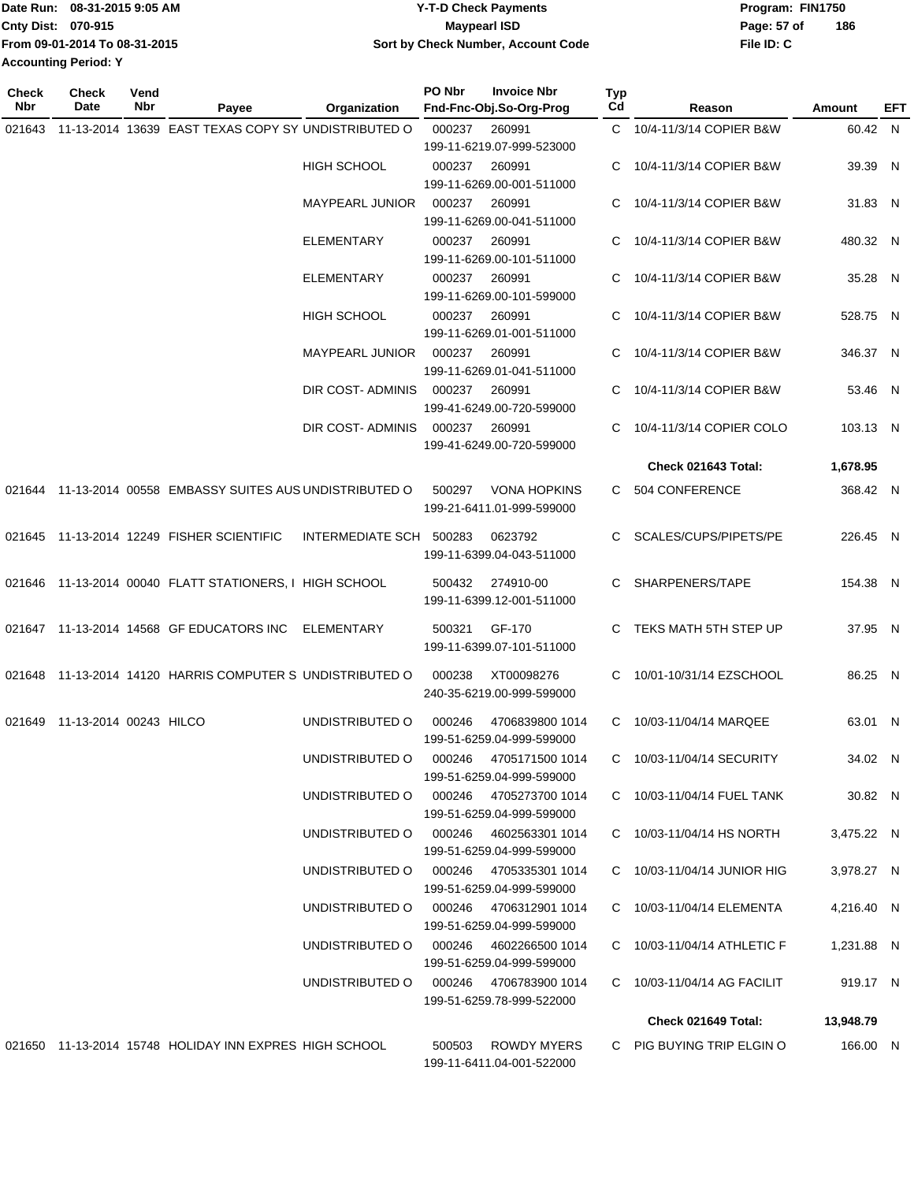|                             | Date Run: 08-31-2015 9:05 AM  | <b>Y-T-D Check Payments</b>        | Program: FIN1750 |     |
|-----------------------------|-------------------------------|------------------------------------|------------------|-----|
| <b>Cnty Dist: 070-915</b>   |                               | Maypearl ISD                       | Page: 57 of      | 186 |
|                             | From 09-01-2014 To 08-31-2015 | Sort by Check Number, Account Code | File ID: C       |     |
| <b>Accounting Period: Y</b> |                               |                                    |                  |     |

| <b>Check</b><br>Nbr | Check<br>Date                 | Vend<br>Nbr | Payee                                                      | Organization            | PO Nbr | <b>Invoice Nbr</b><br>Fnd-Fnc-Obj.So-Org-Prog       | Typ<br>Cd | Reason                      | Amount     | EFT |
|---------------------|-------------------------------|-------------|------------------------------------------------------------|-------------------------|--------|-----------------------------------------------------|-----------|-----------------------------|------------|-----|
| 021643              |                               |             | 11-13-2014 13639 EAST TEXAS COPY SY UNDISTRIBUTED O        |                         | 000237 | 260991                                              |           | C 10/4-11/3/14 COPIER B&W   | 60.42 N    |     |
|                     |                               |             |                                                            |                         |        | 199-11-6219.07-999-523000                           |           |                             |            |     |
|                     |                               |             |                                                            | <b>HIGH SCHOOL</b>      | 000237 | 260991                                              | C         | 10/4-11/3/14 COPIER B&W     | 39.39 N    |     |
|                     |                               |             |                                                            |                         |        | 199-11-6269.00-001-511000                           |           |                             |            |     |
|                     |                               |             |                                                            | <b>MAYPEARL JUNIOR</b>  | 000237 | 260991                                              | C         | 10/4-11/3/14 COPIER B&W     | 31.83 N    |     |
|                     |                               |             |                                                            |                         |        | 199-11-6269.00-041-511000                           |           |                             |            |     |
|                     |                               |             |                                                            | <b>ELEMENTARY</b>       | 000237 | 260991                                              |           | 10/4-11/3/14 COPIER B&W     | 480.32 N   |     |
|                     |                               |             |                                                            |                         |        | 199-11-6269.00-101-511000                           |           |                             |            |     |
|                     |                               |             |                                                            | <b>ELEMENTARY</b>       | 000237 | 260991                                              | C         | 10/4-11/3/14 COPIER B&W     | 35.28 N    |     |
|                     |                               |             |                                                            |                         |        | 199-11-6269.00-101-599000                           |           |                             |            |     |
|                     |                               |             |                                                            | HIGH SCHOOL             | 000237 | 260991                                              | C.        | 10/4-11/3/14 COPIER B&W     | 528.75 N   |     |
|                     |                               |             |                                                            |                         |        | 199-11-6269.01-001-511000                           |           |                             |            |     |
|                     |                               |             |                                                            | <b>MAYPEARL JUNIOR</b>  | 000237 | 260991                                              | C.        | 10/4-11/3/14 COPIER B&W     | 346.37 N   |     |
|                     |                               |             |                                                            |                         |        | 199-11-6269.01-041-511000                           |           |                             |            |     |
|                     |                               |             |                                                            | DIR COST- ADMINIS       | 000237 | 260991                                              | C.        | 10/4-11/3/14 COPIER B&W     | 53.46 N    |     |
|                     |                               |             |                                                            |                         |        | 199-41-6249.00-720-599000                           |           |                             |            |     |
|                     |                               |             |                                                            | DIR COST- ADMINIS       | 000237 | 260991                                              | C         | 10/4-11/3/14 COPIER COLO    | 103.13 N   |     |
|                     |                               |             |                                                            |                         |        | 199-41-6249.00-720-599000                           |           |                             |            |     |
|                     |                               |             |                                                            |                         |        |                                                     |           | Check 021643 Total:         | 1,678.95   |     |
|                     |                               |             | 021644 11-13-2014 00558 EMBASSY SUITES AUS UNDISTRIBUTED O |                         | 500297 | <b>VONA HOPKINS</b><br>199-21-6411.01-999-599000    |           | C 504 CONFERENCE            | 368.42 N   |     |
| 021645              |                               |             | 11-13-2014 12249 FISHER SCIENTIFIC                         | INTERMEDIATE SCH 500283 |        | 0623792                                             | C.        | SCALES/CUPS/PIPETS/PE       | 226.45 N   |     |
|                     |                               |             |                                                            |                         |        | 199-11-6399.04-043-511000                           |           |                             |            |     |
|                     |                               |             |                                                            |                         |        |                                                     |           |                             |            |     |
|                     |                               |             | 021646 11-13-2014 00040 FLATT STATIONERS, I HIGH SCHOOL    |                         | 500432 | 274910-00                                           | C.        | SHARPENERS/TAPE             | 154.38 N   |     |
|                     |                               |             |                                                            |                         |        | 199-11-6399.12-001-511000                           |           |                             |            |     |
|                     |                               |             | 021647 11-13-2014 14568 GF EDUCATORS INC                   | ELEMENTARY              | 500321 | GF-170                                              | C.        | TEKS MATH 5TH STEP UP       | 37.95 N    |     |
|                     |                               |             |                                                            |                         |        | 199-11-6399.07-101-511000                           |           |                             |            |     |
|                     |                               |             | 021648 11-13-2014 14120 HARRIS COMPUTER S UNDISTRIBUTED O  |                         | 000238 | XT00098276                                          | C.        | 10/01-10/31/14 EZSCHOOL     | 86.25 N    |     |
|                     |                               |             |                                                            |                         |        | 240-35-6219.00-999-599000                           |           |                             |            |     |
|                     |                               |             |                                                            |                         |        |                                                     |           |                             |            |     |
|                     | 021649 11-13-2014 00243 HILCO |             |                                                            | UNDISTRIBUTED O         | 000246 | 4706839800 1014                                     | C         | 10/03-11/04/14 MARQEE       | 63.01 N    |     |
|                     |                               |             |                                                            |                         |        | 199-51-6259.04-999-599000                           |           |                             |            |     |
|                     |                               |             |                                                            | UNDISTRIBUTED O         | 000246 | 4705171500 1014                                     |           | C 10/03-11/04/14 SECURITY   | 34.02 N    |     |
|                     |                               |             |                                                            |                         |        | 199-51-6259.04-999-599000                           |           |                             |            |     |
|                     |                               |             |                                                            | UNDISTRIBUTED O         |        | 000246 4705273700 1014<br>199-51-6259.04-999-599000 |           | C 10/03-11/04/14 FUEL TANK  | 30.82 N    |     |
|                     |                               |             |                                                            | UNDISTRIBUTED O         |        | 000246 4602563301 1014                              |           | C 10/03-11/04/14 HS NORTH   | 3,475.22 N |     |
|                     |                               |             |                                                            |                         |        | 199-51-6259.04-999-599000                           |           |                             |            |     |
|                     |                               |             |                                                            | UNDISTRIBUTED O         |        | 000246 4705335301 1014                              |           | C 10/03-11/04/14 JUNIOR HIG | 3,978.27 N |     |
|                     |                               |             |                                                            |                         |        | 199-51-6259.04-999-599000                           |           |                             |            |     |
|                     |                               |             |                                                            | UNDISTRIBUTED O         |        | 000246 4706312901 1014                              |           | C 10/03-11/04/14 ELEMENTA   | 4,216.40 N |     |
|                     |                               |             |                                                            |                         |        | 199-51-6259.04-999-599000                           |           |                             |            |     |
|                     |                               |             |                                                            | UNDISTRIBUTED O         | 000246 | 4602266500 1014                                     |           | C 10/03-11/04/14 ATHLETIC F | 1,231.88 N |     |
|                     |                               |             |                                                            |                         |        | 199-51-6259.04-999-599000                           |           |                             |            |     |
|                     |                               |             |                                                            | UNDISTRIBUTED O         |        | 000246 4706783900 1014                              |           | C 10/03-11/04/14 AG FACILIT | 919.17 N   |     |
|                     |                               |             |                                                            |                         |        | 199-51-6259.78-999-522000                           |           |                             |            |     |
|                     |                               |             |                                                            |                         |        |                                                     |           | Check 021649 Total:         | 13,948.79  |     |
|                     |                               |             | 021650 11-13-2014 15748 HOLIDAY INN EXPRES HIGH SCHOOL     |                         | 500503 | ROWDY MYERS                                         |           | C PIG BUYING TRIP ELGIN O   | 166.00 N   |     |
|                     |                               |             |                                                            |                         |        | 199-11-6411.04-001-522000                           |           |                             |            |     |
|                     |                               |             |                                                            |                         |        |                                                     |           |                             |            |     |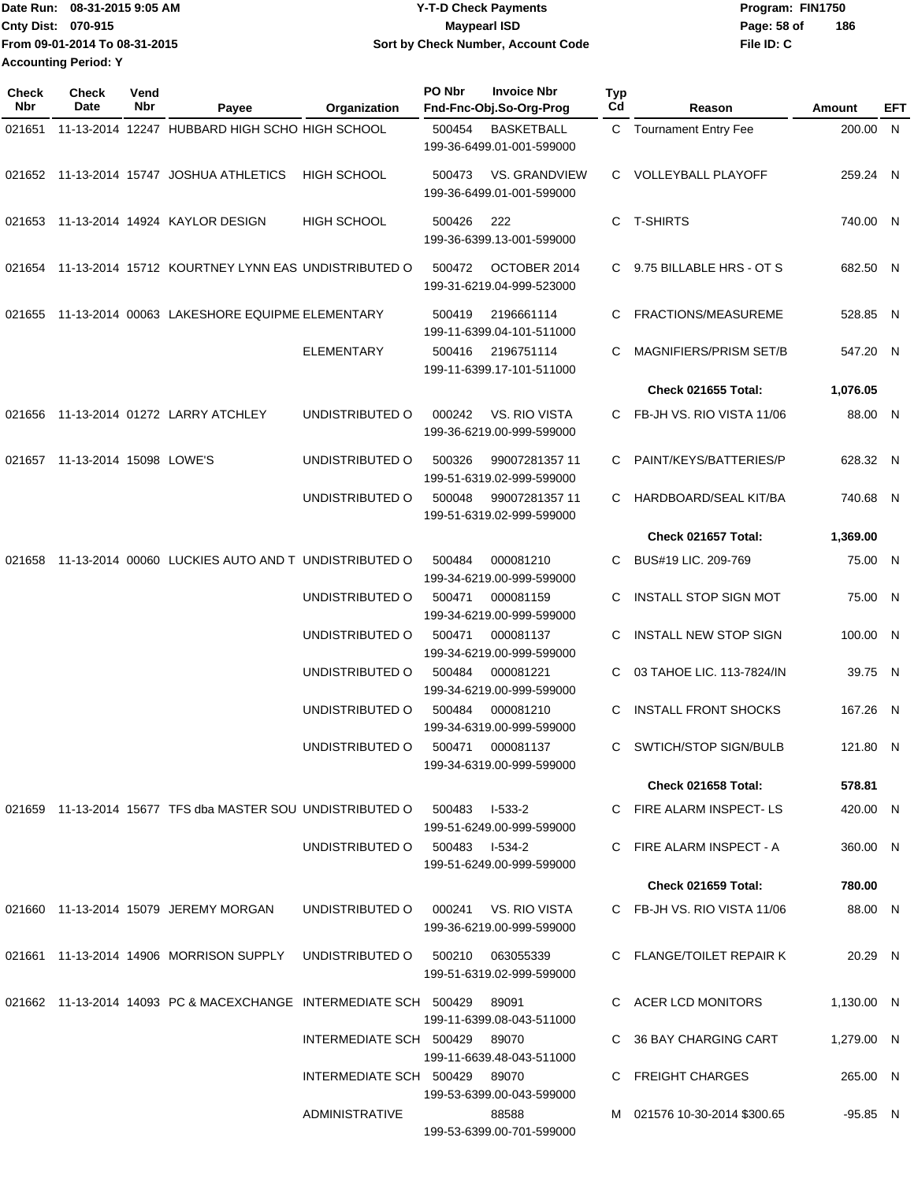|                             | Date Run: 08-31-2015 9:05 AM  | <b>Y-T-D Check Payments</b>        | Program: FIN1750   |  |
|-----------------------------|-------------------------------|------------------------------------|--------------------|--|
| <b>Cnty Dist: 070-915</b>   |                               | Maypearl ISD                       | 186<br>Page: 58 of |  |
|                             | From 09-01-2014 To 08-31-2015 | Sort by Check Number, Account Code | File ID: C         |  |
| <b>Accounting Period: Y</b> |                               |                                    |                    |  |

| <b>Check</b><br>Nbr | <b>Check</b><br>Date           | Vend<br>Nbr | Payee                                                            | Organization            | PO Nbr           | <b>Invoice Nbr</b><br>Fnd-Fnc-Obj.So-Org-Prog     | <b>Typ</b><br>Cd | Reason                       | Amount     | EFT |
|---------------------|--------------------------------|-------------|------------------------------------------------------------------|-------------------------|------------------|---------------------------------------------------|------------------|------------------------------|------------|-----|
| 021651              |                                |             | 11-13-2014 12247 HUBBARD HIGH SCHO HIGH SCHOOL                   |                         | 500454           | <b>BASKETBALL</b><br>199-36-6499.01-001-599000    |                  | C Tournament Entry Fee       | 200.00 N   |     |
|                     |                                |             | 021652 11-13-2014 15747 JOSHUA ATHLETICS                         | <b>HIGH SCHOOL</b>      | 500473           | VS. GRANDVIEW<br>199-36-6499.01-001-599000        |                  | C VOLLEYBALL PLAYOFF         | 259.24 N   |     |
|                     |                                |             | 021653 11-13-2014 14924 KAYLOR DESIGN                            | <b>HIGH SCHOOL</b>      | 500426           | 222<br>199-36-6399.13-001-599000                  | C                | <b>T-SHIRTS</b>              | 740.00 N   |     |
|                     |                                |             | 021654 11-13-2014 15712 KOURTNEY LYNN EAS UNDISTRIBUTED O        |                         | 500472           | OCTOBER 2014<br>199-31-6219.04-999-523000         |                  | C 9.75 BILLABLE HRS - OT S   | 682.50 N   |     |
| 021655              |                                |             | 11-13-2014 00063 LAKESHORE EQUIPME ELEMENTARY                    |                         | 500419           | 2196661114<br>199-11-6399.04-101-511000           | C                | <b>FRACTIONS/MEASUREME</b>   | 528.85 N   |     |
|                     |                                |             |                                                                  | <b>ELEMENTARY</b>       | 500416           | 2196751114<br>199-11-6399.17-101-511000           | C                | MAGNIFIERS/PRISM SET/B       | 547.20 N   |     |
|                     |                                |             |                                                                  |                         |                  |                                                   |                  | <b>Check 021655 Total:</b>   | 1,076.05   |     |
| 021656              |                                |             | 11-13-2014 01272 LARRY ATCHLEY                                   | UNDISTRIBUTED O         | 000242           | VS. RIO VISTA<br>199-36-6219.00-999-599000        |                  | C FB-JH VS, RIO VISTA 11/06  | 88.00 N    |     |
|                     | 021657 11-13-2014 15098 LOWE'S |             |                                                                  | UNDISTRIBUTED O         | 500326           | 99007281357 11<br>199-51-6319.02-999-599000       | C                | PAINT/KEYS/BATTERIES/P       | 628.32 N   |     |
|                     |                                |             |                                                                  | UNDISTRIBUTED O         | 500048           | 99007281357 11<br>199-51-6319.02-999-599000       | С                | HARDBOARD/SEAL KIT/BA        | 740.68 N   |     |
|                     |                                |             |                                                                  |                         |                  |                                                   |                  | Check 021657 Total:          | 1,369.00   |     |
| 021658              |                                |             | 11-13-2014 00060 LUCKIES AUTO AND T UNDISTRIBUTED O              |                         | 500484           | 000081210<br>199-34-6219.00-999-599000            | С                | BUS#19 LIC. 209-769          | 75.00 N    |     |
|                     |                                |             |                                                                  | UNDISTRIBUTED O         | 500471           | 000081159<br>199-34-6219.00-999-599000            | C.               | <b>INSTALL STOP SIGN MOT</b> | 75.00 N    |     |
|                     |                                |             |                                                                  | UNDISTRIBUTED O         | 500471           | 000081137<br>199-34-6219.00-999-599000            | C.               | <b>INSTALL NEW STOP SIGN</b> | 100.00 N   |     |
|                     |                                |             |                                                                  | UNDISTRIBUTED O         | 500484<br>500484 | 000081221<br>199-34-6219.00-999-599000            | C.               | 03 TAHOE LIC. 113-7824/IN    | 39.75 N    |     |
|                     |                                |             |                                                                  | UNDISTRIBUTED O         |                  | 000081210<br>199-34-6319.00-999-599000            | C.               | <b>INSTALL FRONT SHOCKS</b>  | 167.26 N   |     |
|                     |                                |             |                                                                  | UNDISTRIBUTED O         | 500471           | 000081137<br>199-34-6319.00-999-599000            | C.               | SWTICH/STOP SIGN/BULB        | 121.80 N   |     |
|                     |                                |             |                                                                  |                         |                  |                                                   |                  | <b>Check 021658 Total:</b>   | 578.81     |     |
|                     |                                |             | 021659 11-13-2014 15677 TFS dba MASTER SOU UNDISTRIBUTED O       |                         | 500483           | l-533-2<br>199-51-6249.00-999-599000              |                  | C FIRE ALARM INSPECT-LS      | 420.00 N   |     |
|                     |                                |             |                                                                  | UNDISTRIBUTED O         | 500483 I-534-2   | 199-51-6249.00-999-599000                         |                  | C FIRE ALARM INSPECT - A     | 360.00 N   |     |
|                     |                                |             |                                                                  |                         |                  |                                                   |                  | <b>Check 021659 Total:</b>   | 780.00     |     |
|                     |                                |             | 021660 11-13-2014 15079 JEREMY MORGAN                            | UNDISTRIBUTED O         |                  | 000241 VS. RIO VISTA<br>199-36-6219.00-999-599000 |                  | C FB-JH VS, RIO VISTA 11/06  | 88.00 N    |     |
|                     |                                |             | 021661  11-13-2014  14906  MORRISON SUPPLY                       | UNDISTRIBUTED O         |                  | 500210 063055339<br>199-51-6319.02-999-599000     |                  | C FLANGE/TOILET REPAIR K     | 20.29 N    |     |
|                     |                                |             | 021662 11-13-2014 14093 PC & MACEXCHANGE INTERMEDIATE SCH 500429 |                         |                  | 89091<br>199-11-6399.08-043-511000                |                  | C ACER LCD MONITORS          | 1,130.00 N |     |
|                     |                                |             |                                                                  | INTERMEDIATE SCH 500429 |                  | 89070<br>199-11-6639.48-043-511000                |                  | 36 BAY CHARGING CART         | 1,279.00 N |     |
|                     |                                |             |                                                                  | INTERMEDIATE SCH 500429 |                  | 89070<br>199-53-6399.00-043-599000                |                  | <b>FREIGHT CHARGES</b>       | 265.00 N   |     |
|                     |                                |             |                                                                  | ADMINISTRATIVE          |                  | 88588<br>199-53-6399.00-701-599000                |                  | M 021576 10-30-2014 \$300.65 | $-95.85$ N |     |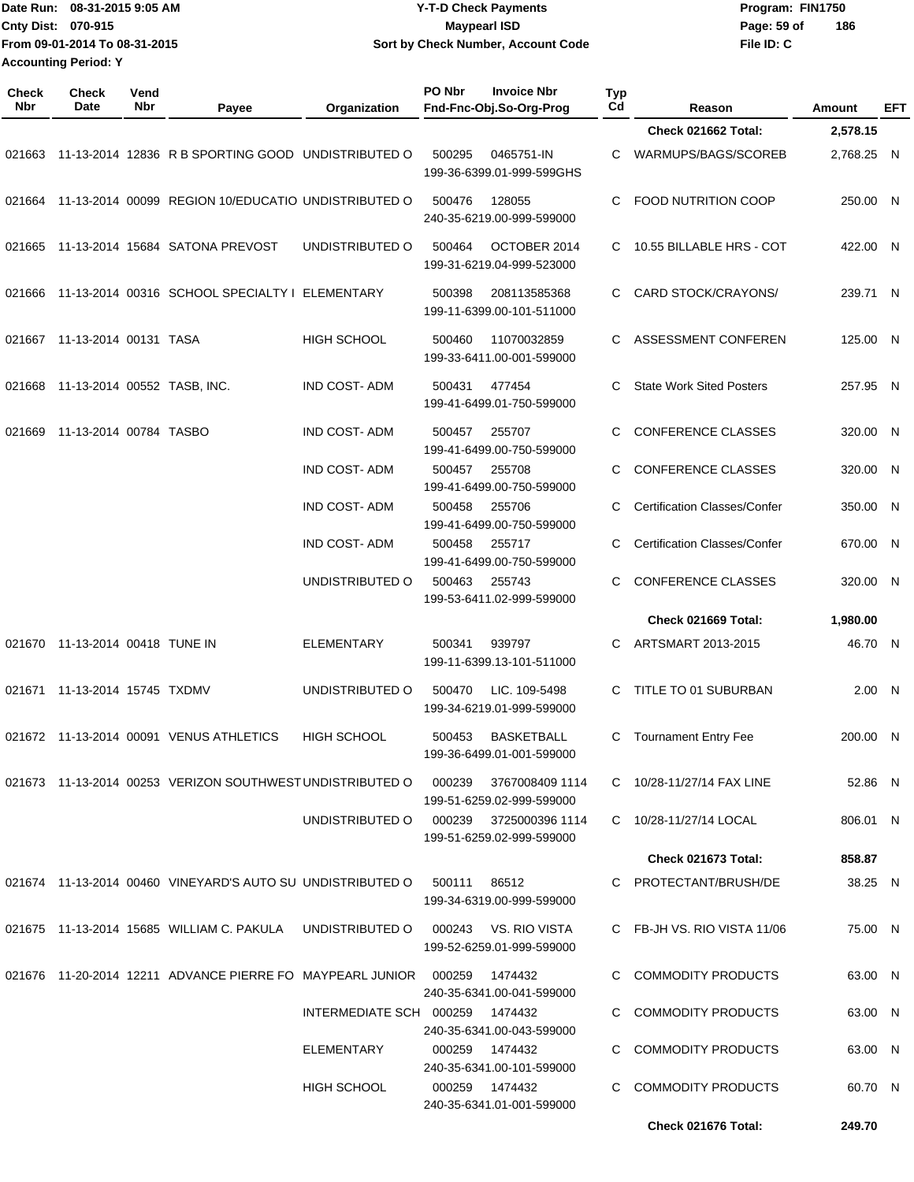|                             | Date Run: 08-31-2015 9:05 AM  | <b>Y-T-D Check Payments</b>        | Program: FIN1750 |     |
|-----------------------------|-------------------------------|------------------------------------|------------------|-----|
| Cnty Dist: 070-915          |                               | Maypearl ISD                       | Page: 59 of      | 186 |
|                             | From 09-01-2014 To 08-31-2015 | Sort by Check Number, Account Code | File ID: C       |     |
| <b>Accounting Period: Y</b> |                               |                                    |                  |     |

| Check<br>Nbr | <b>Check</b><br>Date               | Vend<br><b>Nbr</b> | Payee                                                                 | Organization            | PO Nbr       | <b>Invoice Nbr</b><br>Fnd-Fnc-Obj.So-Org-Prog     | Typ<br>Cd | Reason                              | Amount     | EFT |
|--------------|------------------------------------|--------------------|-----------------------------------------------------------------------|-------------------------|--------------|---------------------------------------------------|-----------|-------------------------------------|------------|-----|
|              |                                    |                    |                                                                       |                         |              |                                                   |           | Check 021662 Total:                 | 2,578.15   |     |
|              |                                    |                    | 021663 11-13-2014 12836 R B SPORTING GOOD UNDISTRIBUTED O             |                         | 500295       | 0465751-IN<br>199-36-6399.01-999-599GHS           | С         | WARMUPS/BAGS/SCOREB                 | 2,768.25 N |     |
| 021664       |                                    |                    | 11-13-2014 00099 REGION 10/EDUCATIO UNDISTRIBUTED O                   |                         | 500476       | 128055<br>240-35-6219.00-999-599000               | С         | <b>FOOD NUTRITION COOP</b>          | 250.00 N   |     |
| 021665       |                                    |                    | 11-13-2014 15684 SATONA PREVOST                                       | UNDISTRIBUTED O         | 500464       | OCTOBER 2014<br>199-31-6219.04-999-523000         | C.        | 10.55 BILLABLE HRS - COT            | 422.00 N   |     |
| 021666       |                                    |                    | 11-13-2014 00316 SCHOOL SPECIALTY I ELEMENTARY                        |                         | 500398       | 208113585368<br>199-11-6399.00-101-511000         | C         | CARD STOCK/CRAYONS/                 | 239.71 N   |     |
| 021667       | 11-13-2014 00131 TASA              |                    |                                                                       | <b>HIGH SCHOOL</b>      | 500460       | 11070032859<br>199-33-6411.00-001-599000          | C         | ASSESSMENT CONFEREN                 | 125.00 N   |     |
|              | 021668 11-13-2014 00552 TASB, INC. |                    |                                                                       | <b>IND COST-ADM</b>     | 500431       | 477454<br>199-41-6499.01-750-599000               | С         | <b>State Work Sited Posters</b>     | 257.95 N   |     |
| 021669       | 11-13-2014 00784 TASBO             |                    |                                                                       | <b>IND COST-ADM</b>     | 500457       | 255707<br>199-41-6499.00-750-599000               | С         | <b>CONFERENCE CLASSES</b>           | 320.00 N   |     |
|              |                                    |                    |                                                                       | <b>IND COST-ADM</b>     | 500457       | 255708<br>199-41-6499.00-750-599000               | С         | <b>CONFERENCE CLASSES</b>           | 320.00 N   |     |
|              |                                    |                    |                                                                       | <b>IND COST-ADM</b>     | 500458       | 255706<br>199-41-6499.00-750-599000               | С         | <b>Certification Classes/Confer</b> | 350.00 N   |     |
|              |                                    |                    |                                                                       | <b>IND COST-ADM</b>     | 500458       | 255717<br>199-41-6499.00-750-599000               | С         | <b>Certification Classes/Confer</b> | 670.00 N   |     |
|              |                                    |                    |                                                                       | UNDISTRIBUTED O         | 500463       | 255743<br>199-53-6411.02-999-599000               | С         | CONFERENCE CLASSES                  | 320.00 N   |     |
|              |                                    |                    |                                                                       |                         |              |                                                   |           | Check 021669 Total:                 | 1,980.00   |     |
| 021670       | 11-13-2014 00418 TUNE IN           |                    |                                                                       | <b>ELEMENTARY</b>       | 500341       | 939797<br>199-11-6399.13-101-511000               | С         | ARTSMART 2013-2015                  | 46.70 N    |     |
| 021671       | 11-13-2014 15745 TXDMV             |                    |                                                                       | UNDISTRIBUTED O         | 500470       | LIC. 109-5498<br>199-34-6219.01-999-599000        | C         | TITLE TO 01 SUBURBAN                | 2.00 N     |     |
|              |                                    |                    | 021672 11-13-2014 00091 VENUS ATHLETICS                               | HIGH SCHOOL             | 500453       | <b>BASKETBALL</b><br>199-36-6499.01-001-599000    |           | C Tournament Entry Fee              | 200.00 N   |     |
|              |                                    |                    | 021673 11-13-2014 00253 VERIZON SOUTHWEST UNDISTRIBUTED O             |                         | 000239       | 3767008409 1114<br>199-51-6259.02-999-599000      |           | C 10/28-11/27/14 FAX LINE           | 52.86 N    |     |
|              |                                    |                    |                                                                       | UNDISTRIBUTED O         | 000239       | 3725000396 1114<br>199-51-6259.02-999-599000      |           | C 10/28-11/27/14 LOCAL              | 806.01 N   |     |
|              |                                    |                    |                                                                       |                         |              |                                                   |           | <b>Check 021673 Total:</b>          | 858.87     |     |
|              |                                    |                    | 021674 11-13-2014 00460 VINEYARD'S AUTO SU UNDISTRIBUTED O            |                         | 500111 86512 | 199-34-6319.00-999-599000                         |           | C PROTECTANT/BRUSH/DE               | 38.25 N    |     |
|              |                                    |                    | 021675 11-13-2014 15685 WILLIAM C. PAKULA                             | UNDISTRIBUTED O         |              | 000243 VS. RIO VISTA<br>199-52-6259.01-999-599000 |           | C FB-JH VS. RIO VISTA 11/06         | 75.00 N    |     |
|              |                                    |                    | 021676  11-20-2014  12211  ADVANCE PIERRE FO  MAYPEARL JUNIOR  000259 |                         |              | 1474432<br>240-35-6341.00-041-599000              |           | C COMMODITY PRODUCTS                | 63.00 N    |     |
|              |                                    |                    |                                                                       | INTERMEDIATE SCH 000259 |              | 1474432<br>240-35-6341.00-043-599000              |           | C COMMODITY PRODUCTS                | 63.00 N    |     |
|              |                                    |                    |                                                                       | ELEMENTARY              | 000259       | 1474432<br>240-35-6341.00-101-599000              |           | C COMMODITY PRODUCTS                | 63.00 N    |     |
|              |                                    |                    |                                                                       | <b>HIGH SCHOOL</b>      | 000259       | 1474432<br>240-35-6341.01-001-599000              |           | <b>COMMODITY PRODUCTS</b>           | 60.70 N    |     |
|              |                                    |                    |                                                                       |                         |              |                                                   |           | Check 021676 Total:                 | 249.70     |     |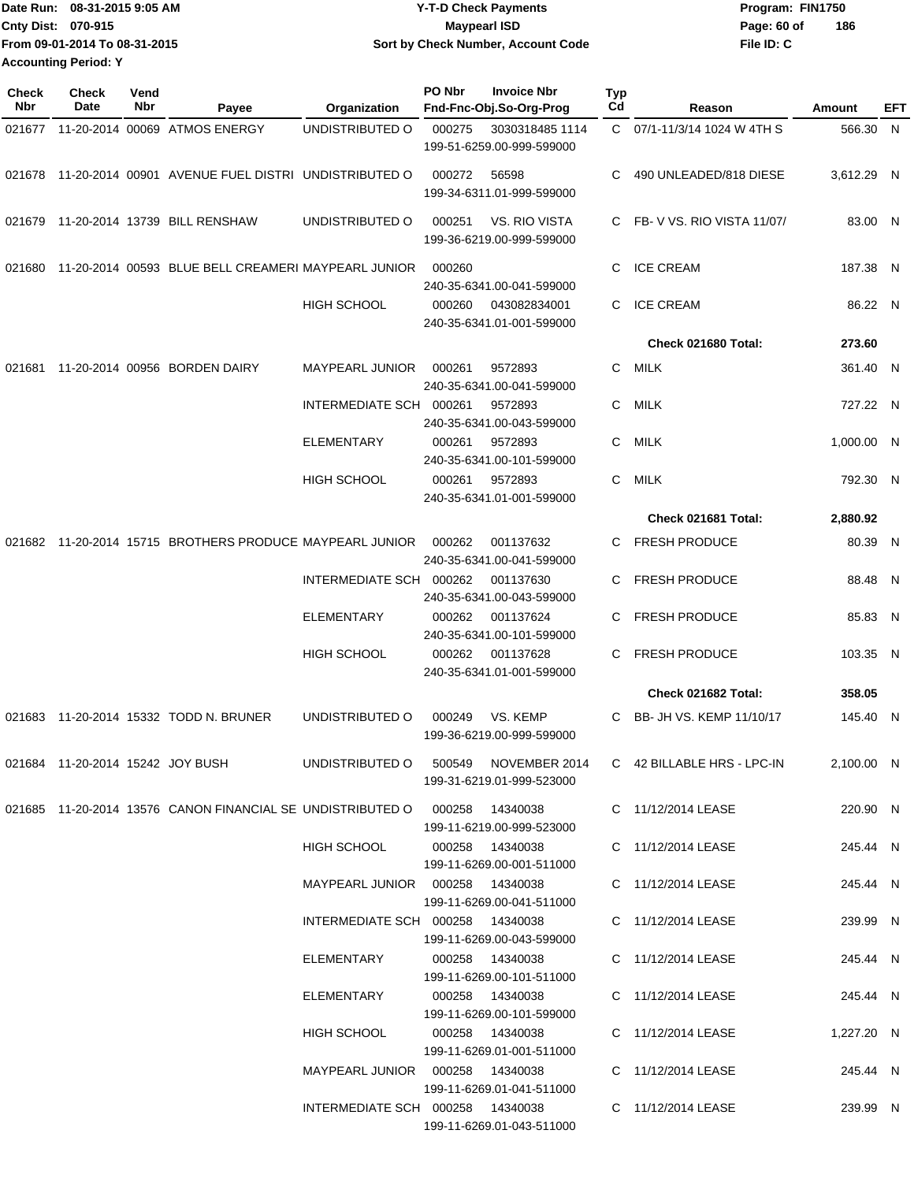|                             | IDate Run: 08-31-2015 9:05 AM | <b>Y-T-D Check Payments</b>        | Program: FIN1750 |     |
|-----------------------------|-------------------------------|------------------------------------|------------------|-----|
| <b>Cnty Dist: 070-915</b>   |                               | <b>Maypearl ISD</b>                | Page: 60 of      | 186 |
|                             | From 09-01-2014 To 08-31-2015 | Sort by Check Number, Account Code | File ID: C       |     |
| <b>Accounting Period: Y</b> |                               |                                    |                  |     |

| Check<br><b>Nbr</b> | Check<br>Date | Vend<br>Nbr | Payee                                                                      | Organization                         | PO Nbr | <b>Invoice Nbr</b><br>Fnd-Fnc-Obj.So-Org-Prog | Typ<br>Cd | Reason                      | Amount     | EFT |
|---------------------|---------------|-------------|----------------------------------------------------------------------------|--------------------------------------|--------|-----------------------------------------------|-----------|-----------------------------|------------|-----|
| 021677              |               |             | 11-20-2014 00069 ATMOS ENERGY                                              | UNDISTRIBUTED O                      | 000275 | 3030318485 1114<br>199-51-6259.00-999-599000  |           | C 07/1-11/3/14 1024 W 4TH S | 566.30 N   |     |
| 021678              |               |             | 11-20-2014 00901 AVENUE FUEL DISTRI UNDISTRIBUTED O                        |                                      | 000272 | 56598<br>199-34-6311.01-999-599000            | C         | 490 UNLEADED/818 DIESE      | 3,612.29 N |     |
| 021679              |               |             | 11-20-2014 13739 BILL RENSHAW                                              | UNDISTRIBUTED O                      | 000251 | VS. RIO VISTA<br>199-36-6219.00-999-599000    |           | C FB-V VS. RIO VISTA 11/07/ | 83.00 N    |     |
| 021680              |               |             | 11-20-2014 00593 BLUE BELL CREAMERI MAYPEARL JUNIOR                        |                                      | 000260 | 240-35-6341.00-041-599000                     | C         | <b>ICE CREAM</b>            | 187.38 N   |     |
|                     |               |             |                                                                            | <b>HIGH SCHOOL</b>                   | 000260 | 043082834001<br>240-35-6341.01-001-599000     | C.        | <b>ICE CREAM</b>            | 86.22 N    |     |
|                     |               |             |                                                                            |                                      |        |                                               |           | Check 021680 Total:         | 273.60     |     |
| 021681              |               |             | 11-20-2014 00956 BORDEN DAIRY                                              | MAYPEARL JUNIOR                      | 000261 | 9572893<br>240-35-6341.00-041-599000          | C         | MILK                        | 361.40 N   |     |
|                     |               |             |                                                                            | INTERMEDIATE SCH 000261              |        | 9572893<br>240-35-6341.00-043-599000          | C         | MILK                        | 727.22 N   |     |
|                     |               |             |                                                                            | <b>ELEMENTARY</b>                    | 000261 | 9572893<br>240-35-6341.00-101-599000          | C         | MILK                        | 1.000.00 N |     |
|                     |               |             |                                                                            | <b>HIGH SCHOOL</b>                   | 000261 | 9572893<br>240-35-6341.01-001-599000          | C         | <b>MILK</b>                 | 792.30 N   |     |
|                     |               |             |                                                                            |                                      |        |                                               |           | Check 021681 Total:         | 2,880.92   |     |
| 021682              |               |             | 11-20-2014 15715 BROTHERS PRODUCE MAYPEARL JUNIOR                          |                                      | 000262 | 001137632<br>240-35-6341.00-041-599000        |           | C FRESH PRODUCE             | 80.39 N    |     |
|                     |               |             |                                                                            | INTERMEDIATE SCH 000262              |        | 001137630<br>240-35-6341.00-043-599000        | C         | <b>FRESH PRODUCE</b>        | 88.48 N    |     |
|                     |               |             |                                                                            | <b>ELEMENTARY</b>                    | 000262 | 001137624<br>240-35-6341.00-101-599000        | C         | <b>FRESH PRODUCE</b>        | 85.83 N    |     |
|                     |               |             |                                                                            | <b>HIGH SCHOOL</b>                   | 000262 | 001137628<br>240-35-6341.01-001-599000        | C         | <b>FRESH PRODUCE</b>        | 103.35 N   |     |
|                     |               |             |                                                                            |                                      |        |                                               |           | Check 021682 Total:         | 358.05     |     |
| 021683              |               |             | 11-20-2014 15332 TODD N. BRUNER                                            | UNDISTRIBUTED O                      | 000249 | VS. KEMP<br>199-36-6219.00-999-599000         | C.        | BB- JH VS. KEMP 11/10/17    | 145.40 N   |     |
|                     |               |             | 021684 11-20-2014 15242 JOY BUSH                                           | UNDISTRIBUTED O 500549 NOVEMBER 2014 |        | 199-31-6219.01-999-523000                     |           | C 42 BILLABLE HRS - LPC-IN  | 2,100.00 N |     |
|                     |               |             | 021685 11-20-2014 13576 CANON FINANCIAL SE UNDISTRIBUTED O 000258 14340038 |                                      |        | 199-11-6219.00-999-523000                     |           | C 11/12/2014 LEASE          | 220.90 N   |     |
|                     |               |             |                                                                            | HIGH SCHOOL                          |        | 000258 14340038<br>199-11-6269.00-001-511000  |           | C 11/12/2014 LEASE          | 245.44 N   |     |
|                     |               |             |                                                                            | MAYPEARL JUNIOR  000258  14340038    |        | 199-11-6269.00-041-511000                     |           | C 11/12/2014 LEASE          | 245.44 N   |     |
|                     |               |             |                                                                            | INTERMEDIATE SCH 000258 14340038     |        | 199-11-6269.00-043-599000                     |           | C 11/12/2014 LEASE          | 239.99 N   |     |
|                     |               |             |                                                                            | ELEMENTARY                           |        | 000258 14340038<br>199-11-6269.00-101-511000  |           | C 11/12/2014 LEASE          | 245.44 N   |     |
|                     |               |             |                                                                            | ELEMENTARY                           |        | 000258 14340038<br>199-11-6269.00-101-599000  |           | C 11/12/2014 LEASE          | 245.44 N   |     |
|                     |               |             |                                                                            | HIGH SCHOOL                          |        | 000258 14340038<br>199-11-6269.01-001-511000  |           | C 11/12/2014 LEASE          | 1,227.20 N |     |
|                     |               |             |                                                                            | MAYPEARL JUNIOR  000258  14340038    |        | 199-11-6269.01-041-511000                     |           | C 11/12/2014 LEASE          | 245.44 N   |     |
|                     |               |             |                                                                            | INTERMEDIATE SCH 000258 14340038     |        | 199-11-6269.01-043-511000                     |           | C 11/12/2014 LEASE          | 239.99 N   |     |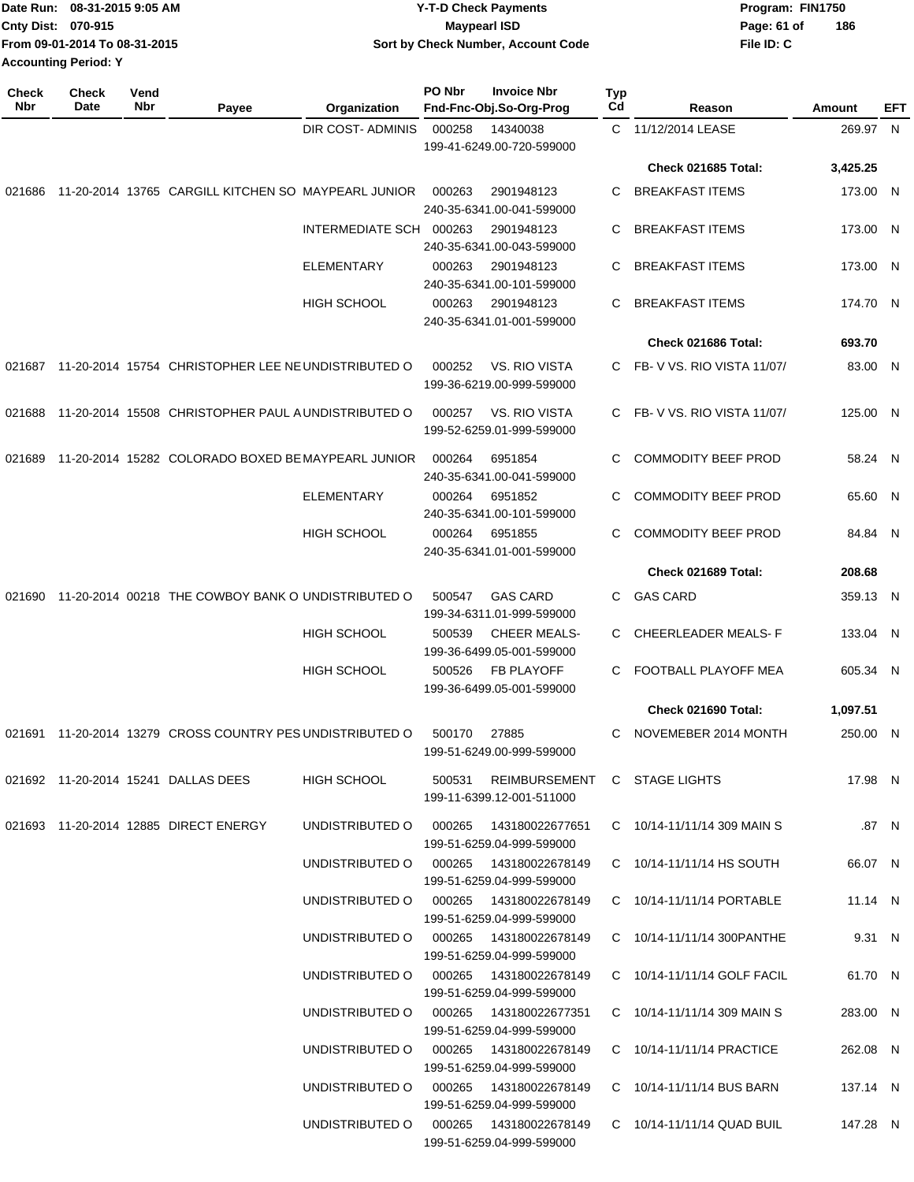| IDate Run: 08-31-2015 9:05 AM | <b>Y-T-D Check Payments</b>        | Program: FIN1750   |
|-------------------------------|------------------------------------|--------------------|
| <b>Cnty Dist: 070-915</b>     | Maypearl ISD                       | 186<br>Page: 61 of |
| From 09-01-2014 To 08-31-2015 | Sort by Check Number, Account Code | File ID: C         |
| <b>Accounting Period: Y</b>   |                                    |                    |

| <b>Check</b><br><b>Nbr</b> | Check<br>Date | Vend<br>Nbr | Payee                                                     | Organization                           | PO Nbr | <b>Invoice Nbr</b><br>Fnd-Fnc-Obj.So-Org-Prog                    | Typ<br>Cd | Reason                          | <b>Amount</b> | <b>EFT</b> |
|----------------------------|---------------|-------------|-----------------------------------------------------------|----------------------------------------|--------|------------------------------------------------------------------|-----------|---------------------------------|---------------|------------|
|                            |               |             |                                                           | <b>DIR COST- ADMINIS</b>               | 000258 | 14340038<br>199-41-6249.00-720-599000                            |           | C 11/12/2014 LEASE              | 269.97 N      |            |
|                            |               |             |                                                           |                                        |        |                                                                  |           | Check 021685 Total:             | 3,425.25      |            |
| 021686                     |               |             | 11-20-2014 13765 CARGILL KITCHEN SO MAYPEARL JUNIOR       |                                        | 000263 | 2901948123<br>240-35-6341.00-041-599000                          | C         | <b>BREAKFAST ITEMS</b>          | 173.00 N      |            |
|                            |               |             |                                                           | INTERMEDIATE SCH 000263                |        | 2901948123<br>240-35-6341.00-043-599000                          | C         | <b>BREAKFAST ITEMS</b>          | 173.00 N      |            |
|                            |               |             |                                                           | <b>ELEMENTARY</b>                      | 000263 | 2901948123<br>240-35-6341.00-101-599000                          | C         | <b>BREAKFAST ITEMS</b>          | 173.00 N      |            |
|                            |               |             |                                                           | <b>HIGH SCHOOL</b>                     | 000263 | 2901948123<br>240-35-6341.01-001-599000                          | C         | <b>BREAKFAST ITEMS</b>          | 174.70 N      |            |
|                            |               |             |                                                           |                                        |        |                                                                  |           | Check 021686 Total:             | 693.70        |            |
|                            |               |             | 021687 11-20-2014 15754 CHRISTOPHER LEE NEUNDISTRIBUTED O |                                        | 000252 | VS. RIO VISTA<br>199-36-6219.00-999-599000                       |           | C FB-V VS. RIO VISTA 11/07/     | 83.00 N       |            |
| 021688                     |               |             | 11-20-2014 15508 CHRISTOPHER PAUL A UNDISTRIBUTED O       |                                        | 000257 | VS. RIO VISTA<br>199-52-6259.01-999-599000                       | C.        | FB- V VS. RIO VISTA 11/07/      | 125.00 N      |            |
| 021689                     |               |             | 11-20-2014 15282 COLORADO BOXED BE MAYPEARL JUNIOR        |                                        | 000264 | 6951854<br>240-35-6341.00-041-599000                             | C         | <b>COMMODITY BEEF PROD</b>      | 58.24 N       |            |
|                            |               |             |                                                           | <b>ELEMENTARY</b>                      | 000264 | 6951852<br>240-35-6341.00-101-599000                             | С         | <b>COMMODITY BEEF PROD</b>      | 65.60 N       |            |
|                            |               |             |                                                           | <b>HIGH SCHOOL</b>                     | 000264 | 6951855<br>240-35-6341.01-001-599000                             | C         | <b>COMMODITY BEEF PROD</b>      | 84.84 N       |            |
|                            |               |             |                                                           |                                        |        |                                                                  |           | Check 021689 Total:             | 208.68        |            |
|                            |               |             | 021690 11-20-2014 00218 THE COWBOY BANK O UNDISTRIBUTED O |                                        | 500547 | <b>GAS CARD</b><br>199-34-6311.01-999-599000                     | C         | <b>GAS CARD</b>                 | 359.13 N      |            |
|                            |               |             |                                                           | <b>HIGH SCHOOL</b>                     | 500539 | <b>CHEER MEALS-</b><br>199-36-6499.05-001-599000                 | C         | CHEERLEADER MEALS- F            | 133.04 N      |            |
|                            |               |             |                                                           | HIGH SCHOOL                            | 500526 | <b>FB PLAYOFF</b><br>199-36-6499.05-001-599000                   | C         | FOOTBALL PLAYOFF MEA            | 605.34 N      |            |
|                            |               |             |                                                           |                                        |        |                                                                  |           | Check 021690 Total:             | 1,097.51      |            |
|                            |               |             | 021691 11-20-2014 13279 CROSS COUNTRY PES UNDISTRIBUTED O |                                        | 500170 | 27885<br>199-51-6249.00-999-599000                               | C         | NOVEMEBER 2014 MONTH            | 250.00 N      |            |
|                            |               |             | 021692 11-20-2014 15241 DALLAS DEES                       | HIGH SCHOOL                            |        | 500531 REIMBURSEMENT C STAGE LIGHTS<br>199-11-6399.12-001-511000 |           |                                 | 17.98 N       |            |
|                            |               |             | 021693 11-20-2014 12885 DIRECT ENERGY                     | UNDISTRIBUTED O 000265 143180022677651 |        | 199-51-6259.04-999-599000                                        |           | C 10/14-11/11/14 309 MAIN S     |               | .87 N      |
|                            |               |             |                                                           | UNDISTRIBUTED O 000265 143180022678149 |        | 199-51-6259.04-999-599000                                        |           | C 10/14-11/11/14 HS SOUTH       | 66.07 N       |            |
|                            |               |             |                                                           | UNDISTRIBUTED O 000265 143180022678149 |        | 199-51-6259.04-999-599000                                        |           | C 10/14-11/11/14 PORTABLE       | 11.14 $N$     |            |
|                            |               |             |                                                           | UNDISTRIBUTED O                        |        | 199-51-6259.04-999-599000                                        |           | C 10/14-11/11/14 300 PANTHE     | 9.31 N        |            |
|                            |               |             |                                                           | UNDISTRIBUTED O                        |        | 000265  143180022678149<br>199-51-6259.04-999-599000             |           | C 10/14-11/11/14 GOLF FACIL     | 61.70 N       |            |
|                            |               |             |                                                           | UNDISTRIBUTED O                        | 000265 | 143180022677351<br>199-51-6259.04-999-599000                     |           | C $10/14 - 11/11/14$ 309 MAIN S | 283.00 N      |            |
|                            |               |             |                                                           | UNDISTRIBUTED O 000265                 |        | 143180022678149<br>199-51-6259.04-999-599000                     |           | C 10/14-11/11/14 PRACTICE       | 262.08 N      |            |
|                            |               |             |                                                           | UNDISTRIBUTED O 000265 143180022678149 |        | 199-51-6259.04-999-599000                                        |           | C 10/14-11/11/14 BUS BARN       | 137.14 N      |            |
|                            |               |             |                                                           | UNDISTRIBUTED O 000265 143180022678149 |        | 199-51-6259.04-999-599000                                        |           | C 10/14-11/11/14 QUAD BUIL      | 147.28 N      |            |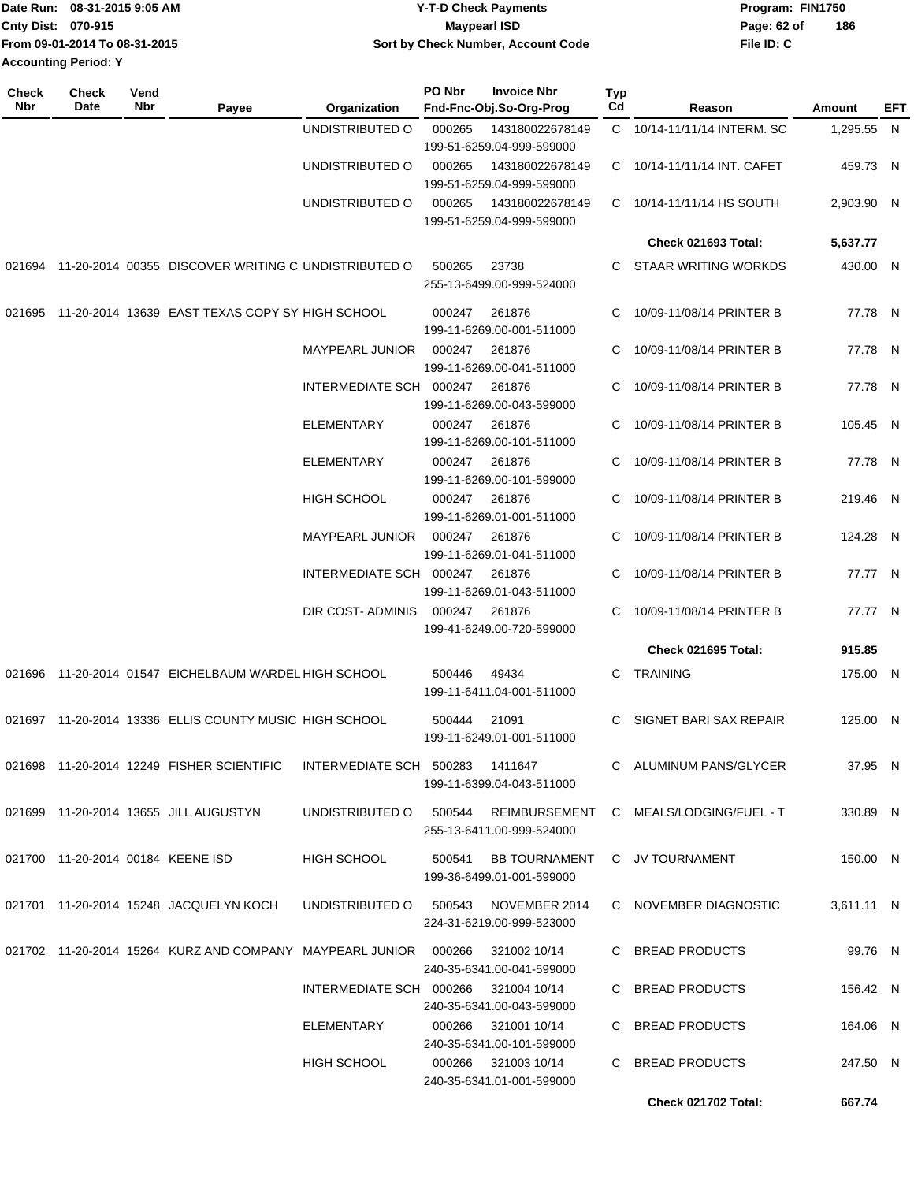|                             | Date Run: 08-31-2015 9:05 AM  | Y-T-D Check Payments               | Program: FIN1750 |     |
|-----------------------------|-------------------------------|------------------------------------|------------------|-----|
| <b>Cnty Dist: 070-915</b>   |                               | Maypearl ISD                       | Page: 62 of      | 186 |
|                             | From 09-01-2014 To 08-31-2015 | Sort by Check Number, Account Code | File ID: C       |     |
| <b>Accounting Period: Y</b> |                               |                                    |                  |     |

| <b>Check</b><br>Nbr | Check<br>Date                     | Vend<br>Nbr | Payee                                                                | Organization                         | PO Nbr | <b>Invoice Nbr</b><br>Fnd-Fnc-Obj.So-Org-Prog                             | Typ<br>Cd | Reason                      | Amount     | EFT |
|---------------------|-----------------------------------|-------------|----------------------------------------------------------------------|--------------------------------------|--------|---------------------------------------------------------------------------|-----------|-----------------------------|------------|-----|
|                     |                                   |             |                                                                      | UNDISTRIBUTED O                      | 000265 | 143180022678149                                                           |           | C 10/14-11/11/14 INTERM. SC | 1,295.55 N |     |
|                     |                                   |             |                                                                      | UNDISTRIBUTED O                      | 000265 | 199-51-6259.04-999-599000<br>143180022678149<br>199-51-6259.04-999-599000 |           | C 10/14-11/11/14 INT. CAFET | 459.73 N   |     |
|                     |                                   |             |                                                                      | UNDISTRIBUTED O                      | 000265 | 143180022678149<br>199-51-6259.04-999-599000                              |           | C 10/14-11/11/14 HS SOUTH   | 2,903.90 N |     |
|                     |                                   |             |                                                                      |                                      |        |                                                                           |           | <b>Check 021693 Total:</b>  | 5,637.77   |     |
|                     |                                   |             | 021694 11-20-2014 00355 DISCOVER WRITING C UNDISTRIBUTED O           |                                      | 500265 | 23738<br>255-13-6499.00-999-524000                                        | C.        | <b>STAAR WRITING WORKDS</b> | 430.00 N   |     |
|                     |                                   |             | 021695 11-20-2014 13639 EAST TEXAS COPY SY HIGH SCHOOL               |                                      | 000247 | 261876<br>199-11-6269.00-001-511000                                       | C         | 10/09-11/08/14 PRINTER B    | 77.78 N    |     |
|                     |                                   |             |                                                                      | <b>MAYPEARL JUNIOR</b>               | 000247 | 261876<br>199-11-6269.00-041-511000                                       | С         | 10/09-11/08/14 PRINTER B    | 77.78 N    |     |
|                     |                                   |             |                                                                      | INTERMEDIATE SCH 000247              |        | 261876<br>199-11-6269.00-043-599000                                       | C.        | 10/09-11/08/14 PRINTER B    | 77.78 N    |     |
|                     |                                   |             |                                                                      | <b>ELEMENTARY</b>                    | 000247 | 261876<br>199-11-6269.00-101-511000                                       | C         | 10/09-11/08/14 PRINTER B    | 105.45 N   |     |
|                     |                                   |             |                                                                      | <b>ELEMENTARY</b>                    | 000247 | 261876<br>199-11-6269.00-101-599000                                       | C         | 10/09-11/08/14 PRINTER B    | 77.78 N    |     |
|                     |                                   |             |                                                                      | <b>HIGH SCHOOL</b>                   | 000247 | 261876<br>199-11-6269.01-001-511000                                       | C         | 10/09-11/08/14 PRINTER B    | 219.46 N   |     |
|                     |                                   |             |                                                                      | <b>MAYPEARL JUNIOR</b>               | 000247 | 261876<br>199-11-6269.01-041-511000                                       | C         | 10/09-11/08/14 PRINTER B    | 124.28 N   |     |
|                     |                                   |             |                                                                      | INTERMEDIATE SCH 000247              |        | 261876<br>199-11-6269.01-043-511000                                       | С         | 10/09-11/08/14 PRINTER B    | 77.77 N    |     |
|                     |                                   |             |                                                                      | DIR COST- ADMINIS                    | 000247 | 261876<br>199-41-6249.00-720-599000                                       | C.        | 10/09-11/08/14 PRINTER B    | 77.77 N    |     |
|                     |                                   |             |                                                                      |                                      |        |                                                                           |           | Check 021695 Total:         | 915.85     |     |
|                     |                                   |             | 021696 11-20-2014 01547 EICHELBAUM WARDEL HIGH SCHOOL                |                                      | 500446 | 49434<br>199-11-6411.04-001-511000                                        | C.        | <b>TRAINING</b>             | 175.00 N   |     |
|                     |                                   |             | 021697 11-20-2014 13336 ELLIS COUNTY MUSIC HIGH SCHOOL               |                                      | 500444 | 21091<br>199-11-6249.01-001-511000                                        | С         | SIGNET BARI SAX REPAIR      | 125.00 N   |     |
|                     |                                   |             | 021698 11-20-2014 12249 FISHER SCIENTIFIC                            | INTERMEDIATE SCH 500283 1411647      |        | 199-11-6399.04-043-511000                                                 |           | C ALUMINUM PANS/GLYCER      | 37.95 N    |     |
|                     |                                   |             | 021699 11-20-2014 13655 JILL AUGUSTYN                                | UNDISTRIBUTED O 500544 REIMBURSEMENT |        | 255-13-6411.00-999-524000                                                 |           | C MEALS/LODGING/FUEL - T    | 330.89 N   |     |
|                     | 021700 11-20-2014 00184 KEENE ISD |             |                                                                      | HIGH SCHOOL                          |        | 500541 BB TOURNAMENT C JV TOURNAMENT<br>199-36-6499.01-001-599000         |           |                             | 150.00 N   |     |
|                     |                                   |             | 021701 11-20-2014 15248 JACQUELYN KOCH                               | UNDISTRIBUTED O 500543 NOVEMBER 2014 |        | 224-31-6219.00-999-523000                                                 |           | C NOVEMBER DIAGNOSTIC       | 3,611.11 N |     |
|                     |                                   |             | 021702  11-20-2014  15264  KURZ AND COMPANY  MAYPEARL JUNIOR  000266 |                                      |        | 321002 10/14<br>240-35-6341.00-041-599000                                 |           | C BREAD PRODUCTS            | 99.76 N    |     |
|                     |                                   |             |                                                                      | INTERMEDIATE SCH 000266 321004 10/14 |        | 240-35-6341.00-043-599000                                                 |           | C BREAD PRODUCTS            | 156.42 N   |     |
|                     |                                   |             |                                                                      | ELEMENTARY                           | 000266 | 321001 10/14<br>240-35-6341.00-101-599000                                 |           | C BREAD PRODUCTS            | 164.06 N   |     |
|                     |                                   |             |                                                                      | HIGH SCHOOL                          |        | 000266 321003 10/14<br>240-35-6341.01-001-599000                          |           | C BREAD PRODUCTS            | 247.50 N   |     |
|                     |                                   |             |                                                                      |                                      |        |                                                                           |           | <b>Check 021702 Total:</b>  | 667.74     |     |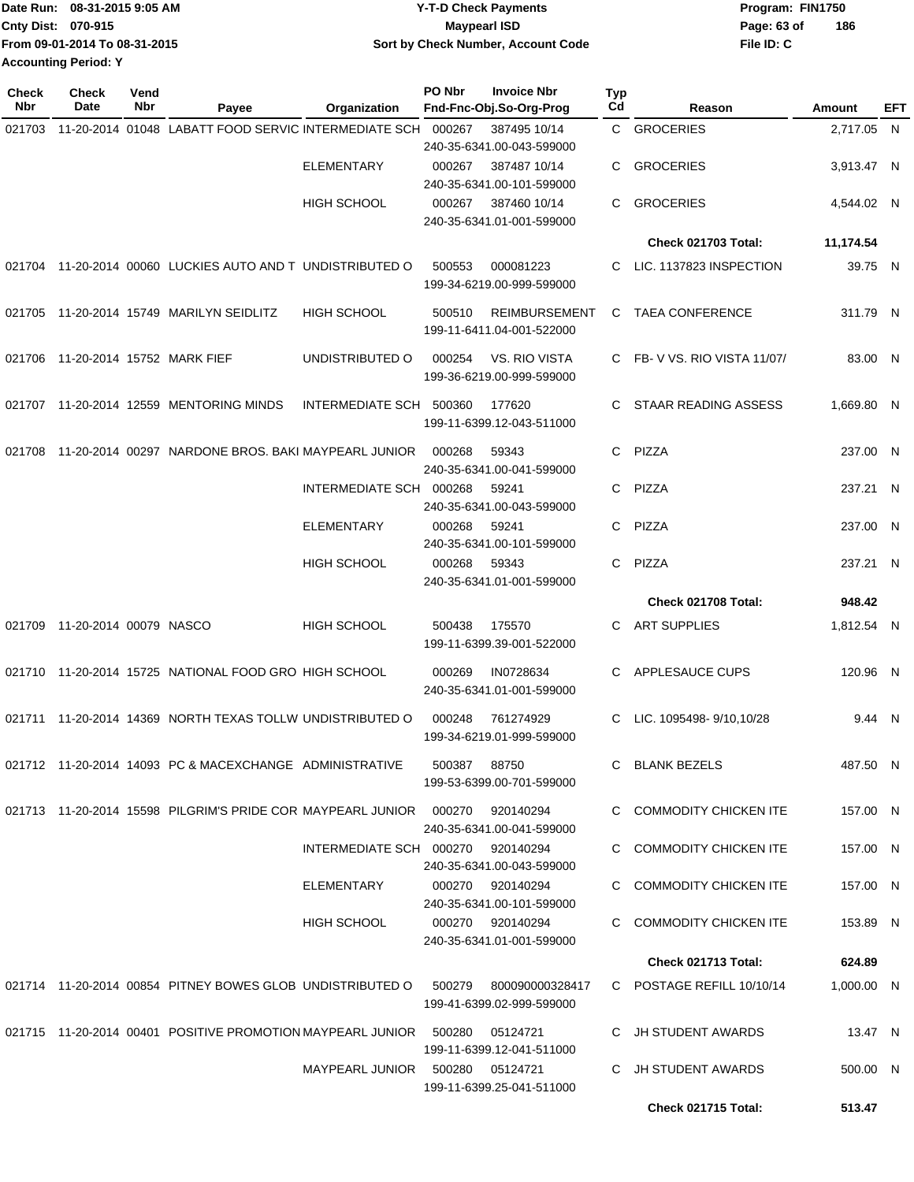|                    | Date Run: 08-31-2015 9:05 AM  | <b>Y-T-D Check Payments</b>        | Program: FIN1750   |
|--------------------|-------------------------------|------------------------------------|--------------------|
| Cnty Dist: 070-915 |                               | Maypearl ISD                       | 186<br>Page: 63 of |
|                    | From 09-01-2014 To 08-31-2015 | Sort by Check Number, Account Code | File ID: C         |
|                    | <b>Accounting Period: Y</b>   |                                    |                    |

| Check<br><b>Nbr</b> | <b>Check</b><br><b>Date</b> | Vend<br>Nbr | Payee                                                                                    | Organization                      | PO Nbr | <b>Invoice Nbr</b><br>Fnd-Fnc-Obj.So-Org-Prog     | Typ<br>Cd | Reason                     | Amount     | EFT |
|---------------------|-----------------------------|-------------|------------------------------------------------------------------------------------------|-----------------------------------|--------|---------------------------------------------------|-----------|----------------------------|------------|-----|
| 021703              |                             |             | 11-20-2014 01048 LABATT FOOD SERVIC INTERMEDIATE SCH                                     |                                   | 000267 | 387495 10/14<br>240-35-6341.00-043-599000         |           | C GROCERIES                | 2,717.05 N |     |
|                     |                             |             |                                                                                          | <b>ELEMENTARY</b>                 | 000267 | 387487 10/14<br>240-35-6341.00-101-599000         | C         | <b>GROCERIES</b>           | 3,913.47 N |     |
|                     |                             |             |                                                                                          | <b>HIGH SCHOOL</b>                | 000267 | 387460 10/14<br>240-35-6341.01-001-599000         | С         | <b>GROCERIES</b>           | 4,544.02 N |     |
|                     |                             |             |                                                                                          |                                   |        |                                                   |           | <b>Check 021703 Total:</b> | 11,174.54  |     |
| 021704              |                             |             | 11-20-2014 00060 LUCKIES AUTO AND T UNDISTRIBUTED O                                      |                                   | 500553 | 000081223<br>199-34-6219.00-999-599000            | C         | LIC. 1137823 INSPECTION    | 39.75 N    |     |
| 021705              |                             |             | 11-20-2014 15749 MARILYN SEIDLITZ                                                        | <b>HIGH SCHOOL</b>                | 500510 | <b>REIMBURSEMENT</b><br>199-11-6411.04-001-522000 | C         | <b>TAEA CONFERENCE</b>     | 311.79 N   |     |
| 021706              |                             |             | 11-20-2014 15752 MARK FIEF                                                               | UNDISTRIBUTED O                   | 000254 | VS. RIO VISTA<br>199-36-6219.00-999-599000        | C         | FB-V VS. RIO VISTA 11/07/  | 83.00 N    |     |
| 021707              |                             |             | 11-20-2014 12559 MENTORING MINDS                                                         | <b>INTERMEDIATE SCH</b>           | 500360 | 177620<br>199-11-6399.12-043-511000               | C.        | STAAR READING ASSESS       | 1,669.80 N |     |
| 021708              |                             |             | 11-20-2014 00297 NARDONE BROS. BAKI MAYPEARL JUNIOR                                      |                                   | 000268 | 59343<br>240-35-6341.00-041-599000                | C         | PIZZA                      | 237.00 N   |     |
|                     |                             |             |                                                                                          | INTERMEDIATE SCH 000268           |        | 59241<br>240-35-6341.00-043-599000                | C         | PIZZA                      | 237.21 N   |     |
|                     |                             |             |                                                                                          | <b>ELEMENTARY</b>                 | 000268 | 59241<br>240-35-6341.00-101-599000                | С         | PIZZA                      | 237.00 N   |     |
|                     |                             |             |                                                                                          | <b>HIGH SCHOOL</b>                | 000268 | 59343<br>240-35-6341.01-001-599000                | С         | PIZZA                      | 237.21 N   |     |
|                     |                             |             |                                                                                          |                                   |        |                                                   |           | Check 021708 Total:        | 948.42     |     |
| 021709              | 11-20-2014 00079 NASCO      |             |                                                                                          | HIGH SCHOOL                       | 500438 | 175570<br>199-11-6399.39-001-522000               | С         | <b>ART SUPPLIES</b>        | 1,812.54 N |     |
| 021710              |                             |             | 11-20-2014 15725 NATIONAL FOOD GRO HIGH SCHOOL                                           |                                   | 000269 | IN0728634<br>240-35-6341.01-001-599000            | C         | APPLESAUCE CUPS            | 120.96 N   |     |
| 021711              |                             |             | 11-20-2014 14369 NORTH TEXAS TOLLW UNDISTRIBUTED O                                       |                                   | 000248 | 761274929<br>199-34-6219.01-999-599000            | С         | LIC. 1095498-9/10.10/28    | 9.44 N     |     |
|                     |                             |             | 021712 11-20-2014 14093 PC & MACEXCHANGE ADMINISTRATIVE                                  |                                   | 500387 | 88750<br>199-53-6399.00-701-599000                |           | C BLANK BEZELS             | 487.50 N   |     |
|                     |                             |             | 021713 11-20-2014 15598 PILGRIM'S PRIDE COR MAYPEARL JUNIOR 000270                       |                                   |        | 920140294<br>240-35-6341.00-041-599000            |           | C COMMODITY CHICKEN ITE    | 157.00 N   |     |
|                     |                             |             |                                                                                          | INTERMEDIATE SCH 000270 920140294 |        | 240-35-6341.00-043-599000                         |           | C COMMODITY CHICKEN ITE    | 157.00 N   |     |
|                     |                             |             |                                                                                          | ELEMENTARY                        |        | 000270 920140294<br>240-35-6341.00-101-599000     |           | C COMMODITY CHICKEN ITE    | 157.00 N   |     |
|                     |                             |             |                                                                                          | HIGH SCHOOL                       |        | 000270 920140294<br>240-35-6341.01-001-599000     |           | C COMMODITY CHICKEN ITE    | 153.89 N   |     |
|                     |                             |             |                                                                                          |                                   |        |                                                   |           | Check 021713 Total:        | 624.89     |     |
|                     |                             |             | 021714  11-20-2014  00854  PITNEY BOWES GLOB UNDISTRIBUTED   0   500279  800090000328417 |                                   |        | 199-41-6399.02-999-599000                         |           | C POSTAGE REFILL 10/10/14  | 1,000.00 N |     |
|                     |                             |             | 021715 11-20-2014 00401 POSITIVE PROMOTION MAYPEARL JUNIOR 500280                        |                                   |        | 05124721<br>199-11-6399.12-041-511000             |           | C JH STUDENT AWARDS        | 13.47 N    |     |
|                     |                             |             |                                                                                          | MAYPEARL JUNIOR 500280 05124721   |        | 199-11-6399.25-041-511000                         |           | C JH STUDENT AWARDS        | 500.00 N   |     |
|                     |                             |             |                                                                                          |                                   |        |                                                   |           | Check 021715 Total:        | 513.47     |     |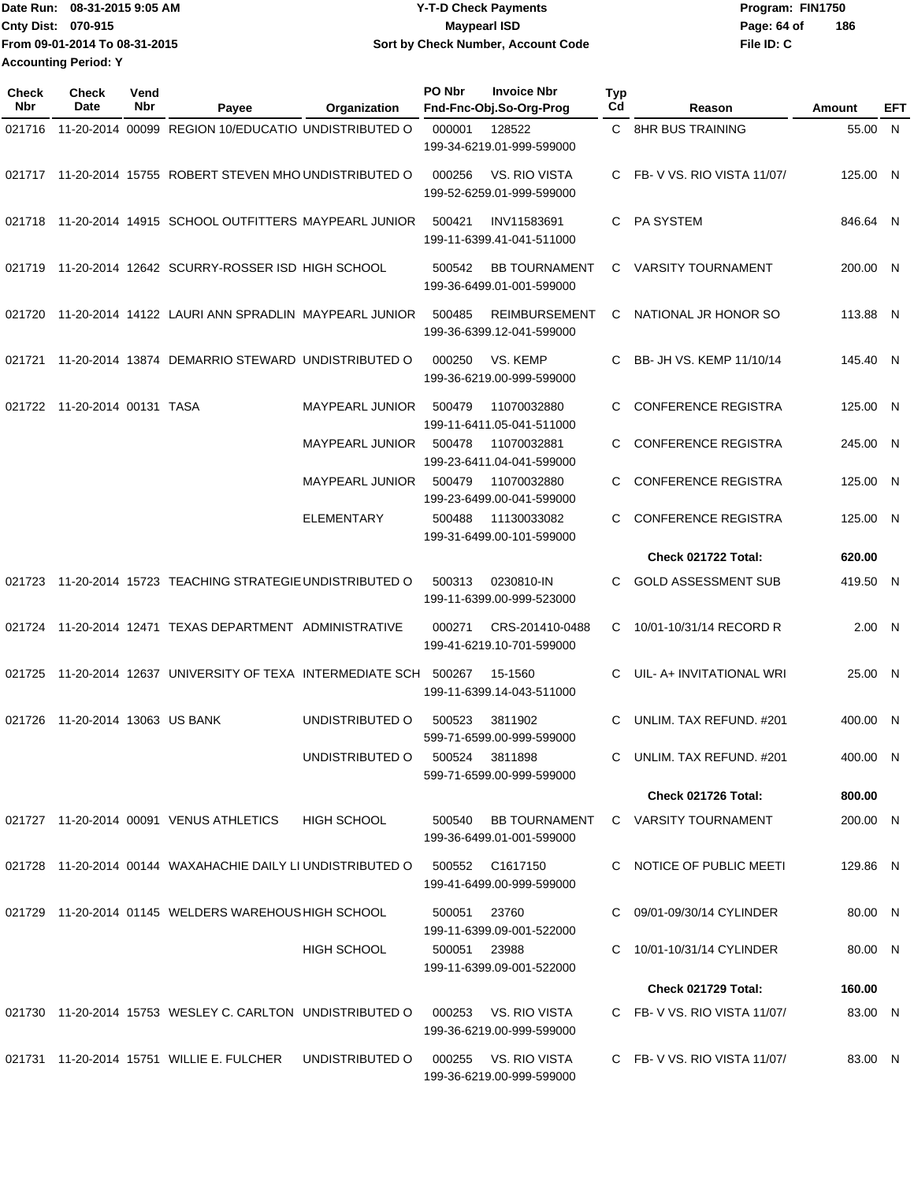|                             | Date Run: 08-31-2015 9:05 AM  | <b>Y-T-D Check Payments</b>        | Program: FIN1750   |
|-----------------------------|-------------------------------|------------------------------------|--------------------|
| <b>Cnty Dist: 070-915</b>   |                               | <b>Mavpearl ISD</b>                | 186<br>Page: 64 of |
|                             | From 09-01-2014 To 08-31-2015 | Sort by Check Number, Account Code | File ID: C         |
| <b>Accounting Period: Y</b> |                               |                                    |                    |

| <b>Check</b><br><b>Nbr</b> | <b>Check</b><br>Date         | Vend<br>Nbr | Payee                                                              | Organization           | PO Nbr         | <b>Invoice Nbr</b><br>Fnd-Fnc-Obj.So-Org-Prog     | Typ<br>Cd | Reason                      | Amount   | EFT |
|----------------------------|------------------------------|-------------|--------------------------------------------------------------------|------------------------|----------------|---------------------------------------------------|-----------|-----------------------------|----------|-----|
| 021716                     |                              |             | 11-20-2014 00099 REGION 10/EDUCATIO UNDISTRIBUTED O                |                        | 000001         | 128522<br>199-34-6219.01-999-599000               |           | C 8HR BUS TRAINING          | 55.00 N  |     |
|                            |                              |             | 021717 11-20-2014 15755 ROBERT STEVEN MHO UNDISTRIBUTED O          |                        | 000256         | VS. RIO VISTA<br>199-52-6259.01-999-599000        |           | FB-VVS. RIO VISTA 11/07/    | 125.00 N |     |
| 021718                     |                              |             | 11-20-2014 14915 SCHOOL OUTFITTERS MAYPEARL JUNIOR                 |                        | 500421         | INV11583691<br>199-11-6399.41-041-511000          | C.        | PA SYSTEM                   | 846.64 N |     |
| 021719                     |                              |             | 11-20-2014 12642 SCURRY-ROSSER ISD HIGH SCHOOL                     |                        | 500542         | <b>BB TOURNAMENT</b><br>199-36-6499.01-001-599000 | C.        | <b>VARSITY TOURNAMENT</b>   | 200.00 N |     |
|                            |                              |             | 021720 11-20-2014 14122 LAURI ANN SPRADLIN MAYPEARL JUNIOR         |                        | 500485         | <b>REIMBURSEMENT</b><br>199-36-6399.12-041-599000 | С         | NATIONAL JR HONOR SO        | 113.88 N |     |
| 021721                     |                              |             | 11-20-2014 13874 DEMARRIO STEWARD UNDISTRIBUTED O                  |                        | 000250         | VS. KEMP<br>199-36-6219.00-999-599000             | C         | BB- JH VS. KEMP 11/10/14    | 145.40 N |     |
|                            | 021722 11-20-2014 00131 TASA |             |                                                                    | <b>MAYPEARL JUNIOR</b> | 500479         | 11070032880<br>199-11-6411.05-041-511000          | C         | <b>CONFERENCE REGISTRA</b>  | 125.00 N |     |
|                            |                              |             |                                                                    | MAYPEARL JUNIOR        | 500478         | 11070032881<br>199-23-6411.04-041-599000          |           | <b>CONFERENCE REGISTRA</b>  | 245.00 N |     |
|                            |                              |             |                                                                    | <b>MAYPEARL JUNIOR</b> | 500479         | 11070032880<br>199-23-6499.00-041-599000          | C.        | <b>CONFERENCE REGISTRA</b>  | 125.00   | -N  |
|                            |                              |             |                                                                    | <b>ELEMENTARY</b>      | 500488         | 11130033082<br>199-31-6499.00-101-599000          | C         | <b>CONFERENCE REGISTRA</b>  | 125.00 N |     |
|                            |                              |             |                                                                    |                        |                |                                                   |           | Check 021722 Total:         | 620.00   |     |
| 021723                     |                              |             | 11-20-2014 15723 TEACHING STRATEGIE UNDISTRIBUTED O                |                        | 500313         | 0230810-IN<br>199-11-6399.00-999-523000           | C.        | <b>GOLD ASSESSMENT SUB</b>  | 419.50 N |     |
|                            |                              |             | 021724 11-20-2014 12471 TEXAS DEPARTMENT ADMINISTRATIVE            |                        | 000271         | CRS-201410-0488<br>199-41-6219.10-701-599000      | C         | 10/01-10/31/14 RECORD R     | 2.00 N   |     |
|                            |                              |             | 021725 11-20-2014 12637 UNIVERSITY OF TEXA INTERMEDIATE SCH 500267 |                        |                | 15-1560<br>199-11-6399.14-043-511000              | C.        | UIL- A+ INVITATIONAL WRI    | 25.00 N  |     |
| 021726                     | 11-20-2014 13063 US BANK     |             |                                                                    | UNDISTRIBUTED O        | 500523         | 3811902<br>599-71-6599.00-999-599000              | C         | UNLIM. TAX REFUND. #201     | 400.00 N |     |
|                            |                              |             |                                                                    | UNDISTRIBUTED O        | 500524 3811898 | 599-71-6599.00-999-599000                         |           | UNLIM. TAX REFUND. #201     | 400.00 N |     |
|                            |                              |             |                                                                    |                        |                |                                                   |           | Check 021726 Total:         | 800.00   |     |
|                            |                              |             | 021727 11-20-2014 00091 VENUS ATHLETICS                            | <b>HIGH SCHOOL</b>     | 500540         | <b>BB TOURNAMENT</b><br>199-36-6499.01-001-599000 |           | C VARSITY TOURNAMENT        | 200.00 N |     |
|                            |                              |             | 021728 11-20-2014 00144 WAXAHACHIE DAILY LI UNDISTRIBUTED O        |                        |                | 500552 C1617150<br>199-41-6499.00-999-599000      |           | C NOTICE OF PUBLIC MEETI    | 129.86 N |     |
|                            |                              |             | 021729 11-20-2014 01145 WELDERS WAREHOUS HIGH SCHOOL               |                        | 500051         | 23760<br>199-11-6399.09-001-522000                |           | 09/01-09/30/14 CYLINDER     | 80.00 N  |     |
|                            |                              |             |                                                                    | <b>HIGH SCHOOL</b>     | 500051 23988   | 199-11-6399.09-001-522000                         |           | 10/01-10/31/14 CYLINDER     | 80.00 N  |     |
|                            |                              |             |                                                                    |                        |                |                                                   |           | Check 021729 Total:         | 160.00   |     |
|                            |                              |             | 021730 11-20-2014 15753 WESLEY C. CARLTON UNDISTRIBUTED O          |                        | 000253         | VS. RIO VISTA<br>199-36-6219.00-999-599000        |           | C FB-V VS. RIO VISTA 11/07/ | 83.00 N  |     |
|                            |                              |             | 021731 11-20-2014 15751 WILLIE E. FULCHER                          | UNDISTRIBUTED O        | 000255         | VS. RIO VISTA<br>199-36-6219.00-999-599000        |           | C FB-V VS. RIO VISTA 11/07/ | 83.00 N  |     |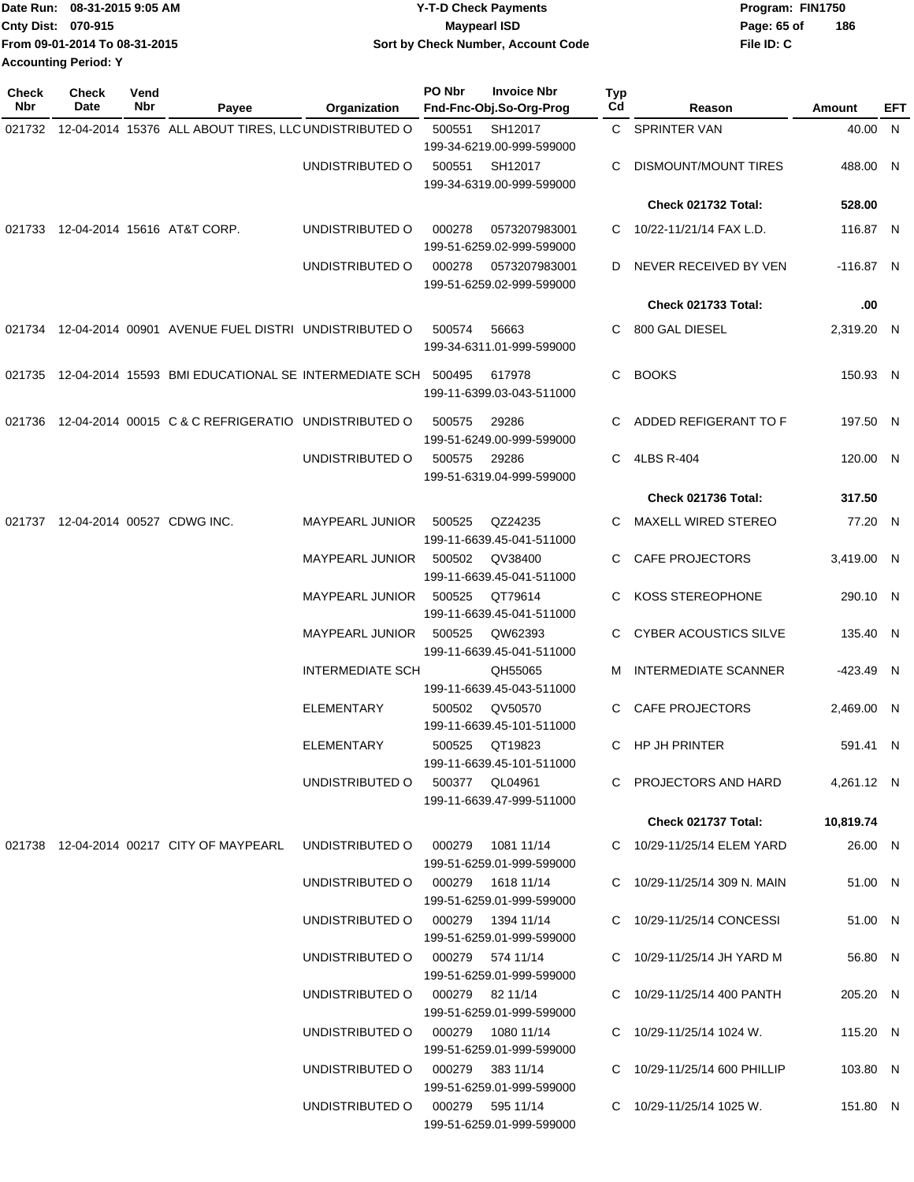|                    | Date Run: 08-31-2015 9:05 AM  | <b>Y-T-D Check Payments</b>        | Program: FIN1750 |     |
|--------------------|-------------------------------|------------------------------------|------------------|-----|
| Cnty Dist: 070-915 |                               | <b>Mavpearl ISD</b>                | Page: 65 of      | 186 |
|                    | From 09-01-2014 To 08-31-2015 | Sort by Check Number, Account Code | File ID: C       |     |
|                    | <b>Accounting Period: Y</b>   |                                    |                  |     |

| <b>Check</b><br>Nbr | <b>Check</b><br>Date       | Vend<br>Nbr | Payee                                                                  | <b>Organization</b>               | PO Nbr | <b>Invoice Nbr</b><br>Fnd-Fnc-Obj.So-Org-Prog | Typ<br>Cd | Reason                       | Amount      | EFT |
|---------------------|----------------------------|-------------|------------------------------------------------------------------------|-----------------------------------|--------|-----------------------------------------------|-----------|------------------------------|-------------|-----|
|                     |                            |             | 021732 12-04-2014 15376 ALL ABOUT TIRES, LLC UNDISTRIBUTED O           |                                   | 500551 | SH12017<br>199-34-6219.00-999-599000          |           | C SPRINTER VAN               | 40.00 N     |     |
|                     |                            |             |                                                                        | UNDISTRIBUTED O                   |        | 500551 SH12017<br>199-34-6319.00-999-599000   |           | DISMOUNT/MOUNT TIRES         | 488.00 N    |     |
|                     |                            |             |                                                                        |                                   |        |                                               |           | Check 021732 Total:          | 528.00      |     |
|                     |                            |             | 021733 12-04-2014 15616 AT&T CORP.                                     | UNDISTRIBUTED O                   | 000278 | 0573207983001<br>199-51-6259.02-999-599000    |           | 10/22-11/21/14 FAX L.D.      | 116.87 N    |     |
|                     |                            |             |                                                                        | UNDISTRIBUTED O                   | 000278 | 0573207983001<br>199-51-6259.02-999-599000    | D         | NEVER RECEIVED BY VEN        | $-116.87$ N |     |
|                     |                            |             |                                                                        |                                   |        |                                               |           | Check 021733 Total:          | .00         |     |
|                     |                            |             | 021734 12-04-2014 00901 AVENUE FUEL DISTRI UNDISTRIBUTED O             |                                   | 500574 | 56663<br>199-34-6311.01-999-599000            | C.        | 800 GAL DIESEL               | 2,319.20 N  |     |
|                     |                            |             | 021735  12-04-2014  15593  BMI EDUCATIONAL SE INTERMEDIATE SCH  500495 |                                   |        | 617978<br>199-11-6399.03-043-511000           | C.        | <b>BOOKS</b>                 | 150.93 N    |     |
|                     |                            |             | 021736 12-04-2014 00015 C & C REFRIGERATIO UNDISTRIBUTED O             |                                   | 500575 | 29286<br>199-51-6249.00-999-599000            |           | ADDED REFIGERANT TO F        | 197.50 N    |     |
|                     |                            |             |                                                                        | UNDISTRIBUTED O                   | 500575 | 29286<br>199-51-6319.04-999-599000            | C.        | 4LBS R-404                   | 120.00 N    |     |
|                     |                            |             |                                                                        |                                   |        |                                               |           | Check 021736 Total:          | 317.50      |     |
| 021737              | 12-04-2014 00527 CDWG INC. |             |                                                                        | <b>MAYPEARL JUNIOR</b>            | 500525 | QZ24235<br>199-11-6639.45-041-511000          | C         | <b>MAXELL WIRED STEREO</b>   | 77.20 N     |     |
|                     |                            |             |                                                                        | MAYPEARL JUNIOR                   | 500502 | QV38400<br>199-11-6639.45-041-511000          | C         | <b>CAFE PROJECTORS</b>       | 3,419.00 N  |     |
|                     |                            |             |                                                                        | MAYPEARL JUNIOR                   | 500525 | QT79614<br>199-11-6639.45-041-511000          |           | <b>KOSS STEREOPHONE</b>      | 290.10 N    |     |
|                     |                            |             |                                                                        | <b>MAYPEARL JUNIOR</b>            | 500525 | QW62393<br>199-11-6639.45-041-511000          | C.        | <b>CYBER ACOUSTICS SILVE</b> | 135.40 N    |     |
|                     |                            |             |                                                                        | <b>INTERMEDIATE SCH</b>           |        | QH55065<br>199-11-6639.45-043-511000          | м         | <b>INTERMEDIATE SCANNER</b>  | -423.49 N   |     |
|                     |                            |             |                                                                        | <b>ELEMENTARY</b>                 | 500502 | QV50570<br>199-11-6639.45-101-511000          | C.        | <b>CAFE PROJECTORS</b>       | 2,469.00 N  |     |
|                     |                            |             |                                                                        | ELEMENTARY                        | 500525 | QT19823<br>199-11-6639.45-101-511000          | C.        | <b>HP JH PRINTER</b>         | 591.41 N    |     |
|                     |                            |             |                                                                        | UNDISTRIBUTED 0 500377 QL04961    |        | 199-11-6639.47-999-511000                     |           | C PROJECTORS AND HARD        | 4,261.12 N  |     |
|                     |                            |             |                                                                        |                                   |        |                                               |           | Check 021737 Total:          | 10,819.74   |     |
|                     |                            |             | 021738 12-04-2014 00217 CITY OF MAYPEARL                               | UNDISTRIBUTED O 000279 1081 11/14 |        | 199-51-6259.01-999-599000                     |           | C 10/29-11/25/14 ELEM YARD   | 26.00 N     |     |
|                     |                            |             |                                                                        | UNDISTRIBUTED O 000279 1618 11/14 |        | 199-51-6259.01-999-599000                     |           | C 10/29-11/25/14 309 N. MAIN | 51.00 N     |     |
|                     |                            |             |                                                                        | UNDISTRIBUTED O 000279 1394 11/14 |        | 199-51-6259.01-999-599000                     |           | C 10/29-11/25/14 CONCESSI    | 51.00 N     |     |
|                     |                            |             |                                                                        | UNDISTRIBUTED O 000279 574 11/14  |        | 199-51-6259.01-999-599000                     |           | C 10/29-11/25/14 JH YARD M   | 56.80 N     |     |
|                     |                            |             |                                                                        | UNDISTRIBUTED O 000279 82 11/14   |        | 199-51-6259.01-999-599000                     |           | C 10/29-11/25/14 400 PANTH   | 205.20 N    |     |
|                     |                            |             |                                                                        | UNDISTRIBUTED O 000279 1080 11/14 |        | 199-51-6259.01-999-599000                     |           | C $10/29 - 11/25/14$ 1024 W. | 115.20 N    |     |
|                     |                            |             |                                                                        | UNDISTRIBUTED O 000279 383 11/14  |        | 199-51-6259.01-999-599000                     |           | C 10/29-11/25/14 600 PHILLIP | 103.80 N    |     |
|                     |                            |             |                                                                        | UNDISTRIBUTED O 000279 595 11/14  |        | 199-51-6259.01-999-599000                     |           | C $10/29 - 11/25/14$ 1025 W. | 151.80 N    |     |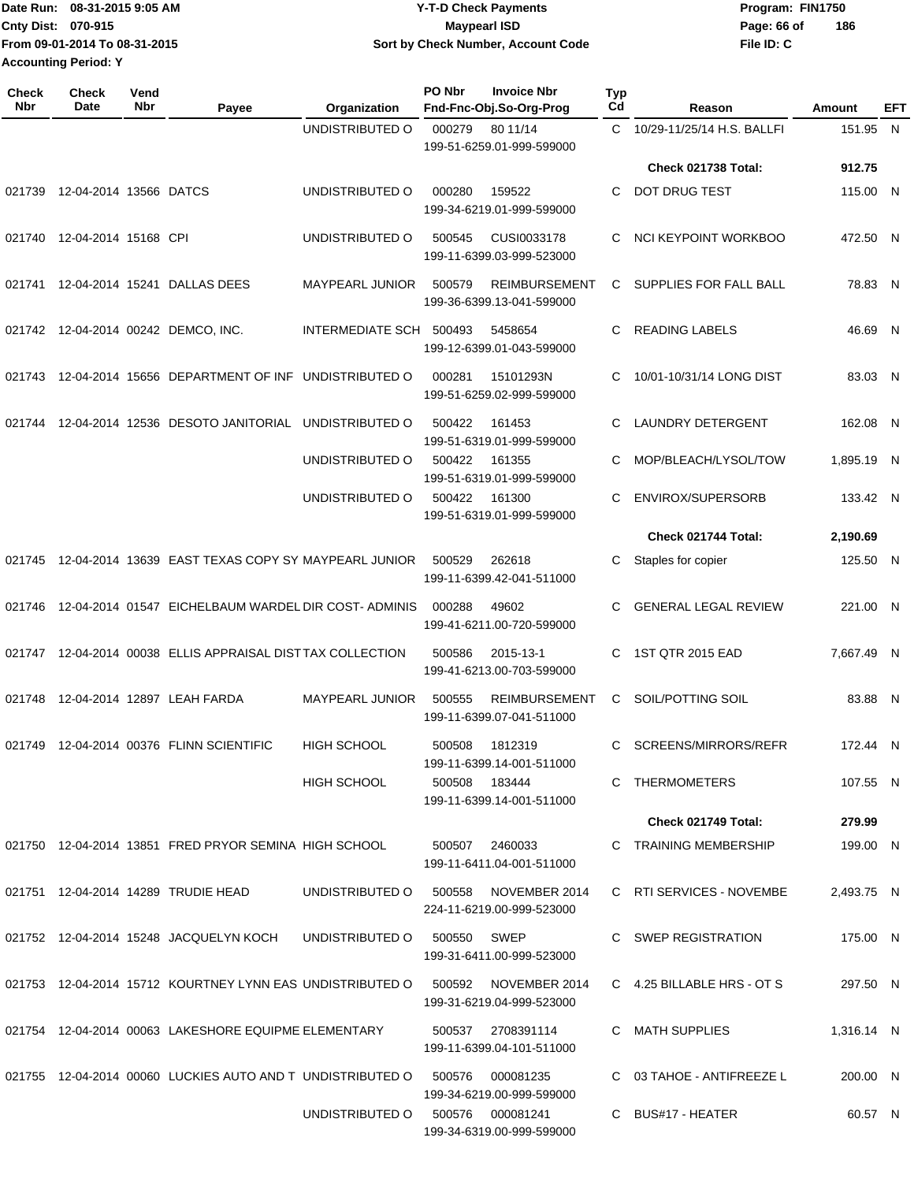|                             | Date Run: 08-31-2015 9:05 AM  | <b>Y-T-D Check Payments</b>        | Program: FIN1750   |
|-----------------------------|-------------------------------|------------------------------------|--------------------|
| Cnty Dist: 070-915          |                               | Maypearl ISD                       | 186<br>Page: 66 of |
|                             | From 09-01-2014 To 08-31-2015 | Sort by Check Number, Account Code | File ID: C         |
| <b>Accounting Period: Y</b> |                               |                                    |                    |

| <b>Check</b><br><b>Nbr</b> | <b>Check</b><br>Date   | Vend<br>Nbr | Payee                                                      | Organization                     | PO Nbr      | <b>Invoice Nbr</b><br>Fnd-Fnc-Obj.So-Org-Prog     | <b>Typ</b><br>Cd | Reason                        | Amount     | EFT |
|----------------------------|------------------------|-------------|------------------------------------------------------------|----------------------------------|-------------|---------------------------------------------------|------------------|-------------------------------|------------|-----|
|                            |                        |             |                                                            | UNDISTRIBUTED O                  | 000279      | 80 11/14<br>199-51-6259.01-999-599000             | C.               | 10/29-11/25/14 H.S. BALLFI    | 151.95 N   |     |
|                            |                        |             |                                                            |                                  |             |                                                   |                  | <b>Check 021738 Total:</b>    | 912.75     |     |
| 021739                     | 12-04-2014 13566 DATCS |             |                                                            | UNDISTRIBUTED O                  | 000280      | 159522<br>199-34-6219.01-999-599000               | C                | DOT DRUG TEST                 | 115.00 N   |     |
| 021740                     | 12-04-2014 15168 CPI   |             |                                                            | UNDISTRIBUTED O                  | 500545      | CUSI0033178<br>199-11-6399.03-999-523000          | С                | NCI KEYPOINT WORKBOO          | 472.50 N   |     |
| 021741                     |                        |             | 12-04-2014 15241 DALLAS DEES                               | <b>MAYPEARL JUNIOR</b>           | 500579      | <b>REIMBURSEMENT</b><br>199-36-6399.13-041-599000 | C                | <b>SUPPLIES FOR FALL BALL</b> | 78.83 N    |     |
|                            |                        |             | 021742 12-04-2014 00242 DEMCO, INC.                        | INTERMEDIATE SCH 500493          |             | 5458654<br>199-12-6399.01-043-599000              | C                | <b>READING LABELS</b>         | 46.69 N    |     |
|                            |                        |             | 021743 12-04-2014 15656 DEPARTMENT OF INF UNDISTRIBUTED O  |                                  | 000281      | 15101293N<br>199-51-6259.02-999-599000            | С                | 10/01-10/31/14 LONG DIST      | 83.03 N    |     |
| 021744                     |                        |             | 12-04-2014 12536 DESOTO JANITORIAL                         | UNDISTRIBUTED O                  | 500422      | 161453<br>199-51-6319.01-999-599000               | C                | <b>LAUNDRY DETERGENT</b>      | 162.08 N   |     |
|                            |                        |             |                                                            | UNDISTRIBUTED O                  | 500422      | 161355<br>199-51-6319.01-999-599000               | C                | MOP/BLEACH/LYSOL/TOW          | 1,895.19   | -N  |
|                            |                        |             |                                                            | UNDISTRIBUTED O                  | 500422      | 161300<br>199-51-6319.01-999-599000               | С                | ENVIROX/SUPERSORB             | 133.42 N   |     |
|                            |                        |             |                                                            |                                  |             |                                                   |                  | Check 021744 Total:           | 2,190.69   |     |
| 021745                     |                        |             | 12-04-2014 13639 EAST TEXAS COPY SY MAYPEARL JUNIOR        |                                  | 500529      | 262618<br>199-11-6399.42-041-511000               | С                | Staples for copier            | 125.50 N   |     |
| 021746                     |                        |             | 12-04-2014 01547 EICHELBAUM WARDEL DIR COST-ADMINIS        |                                  | 000288      | 49602<br>199-41-6211.00-720-599000                | С                | <b>GENERAL LEGAL REVIEW</b>   | 221.00 N   |     |
|                            |                        |             | 021747 12-04-2014 00038 ELLIS APPRAISAL DISTTAX COLLECTION |                                  | 500586      | 2015-13-1<br>199-41-6213.00-703-599000            | C                | 1ST QTR 2015 EAD              | 7,667.49 N |     |
| 021748                     |                        |             | 12-04-2014 12897 LEAH FARDA                                | <b>MAYPEARL JUNIOR</b>           | 500555      | <b>REIMBURSEMENT</b><br>199-11-6399.07-041-511000 | С                | SOIL/POTTING SOIL             | 83.88 N    |     |
|                            |                        |             | 021749 12-04-2014 00376 FLINN SCIENTIFIC                   | <b>HIGH SCHOOL</b>               | 500508      | 1812319<br>199-11-6399.14-001-511000              | C                | SCREENS/MIRRORS/REFR          | 172.44 N   |     |
|                            |                        |             |                                                            | HIGH SCHOOL                      |             | 500508 183444<br>199-11-6399.14-001-511000        |                  | C THERMOMETERS                | 107.55 N   |     |
|                            |                        |             |                                                            |                                  |             |                                                   |                  | <b>Check 021749 Total:</b>    | 279.99     |     |
|                            |                        |             | 021750 12-04-2014 13851 FRED PRYOR SEMINA HIGH SCHOOL      |                                  |             | 500507 2460033<br>199-11-6411.04-001-511000       |                  | C TRAINING MEMBERSHIP         | 199.00 N   |     |
|                            |                        |             | 021751 12-04-2014 14289 TRUDIE HEAD                        | UNDISTRIBUTED O 500558           |             | NOVEMBER 2014<br>224-11-6219.00-999-523000        |                  | C RTI SERVICES - NOVEMBE      | 2.493.75 N |     |
|                            |                        |             | 021752 12-04-2014 15248 JACQUELYN KOCH                     | UNDISTRIBUTED O                  | 500550 SWEP | 199-31-6411.00-999-523000                         |                  | C SWEP REGISTRATION           | 175.00 N   |     |
|                            |                        |             | 021753 12-04-2014 15712 KOURTNEY LYNN EAS UNDISTRIBUTED O  |                                  | 500592      | NOVEMBER 2014<br>199-31-6219.04-999-523000        |                  | C 4.25 BILLABLE HRS - OT S    | 297.50 N   |     |
|                            |                        |             | 021754 12-04-2014 00063 LAKESHORE EQUIPME ELEMENTARY       |                                  |             | 500537 2708391114<br>199-11-6399.04-101-511000    |                  | C MATH SUPPLIES               | 1,316.14 N |     |
|                            |                        |             | 021755 12-04-2014 00060 LUCKIES AUTO AND TUNDISTRIBUTED O  |                                  | 500576      | 000081235<br>199-34-6219.00-999-599000            |                  | C 03 TAHOE - ANTIFREEZE L     | 200.00 N   |     |
|                            |                        |             |                                                            | UNDISTRIBUTED O 500576 000081241 |             | 199-34-6319.00-999-599000                         |                  | C BUS#17 - HEATER             | 60.57 N    |     |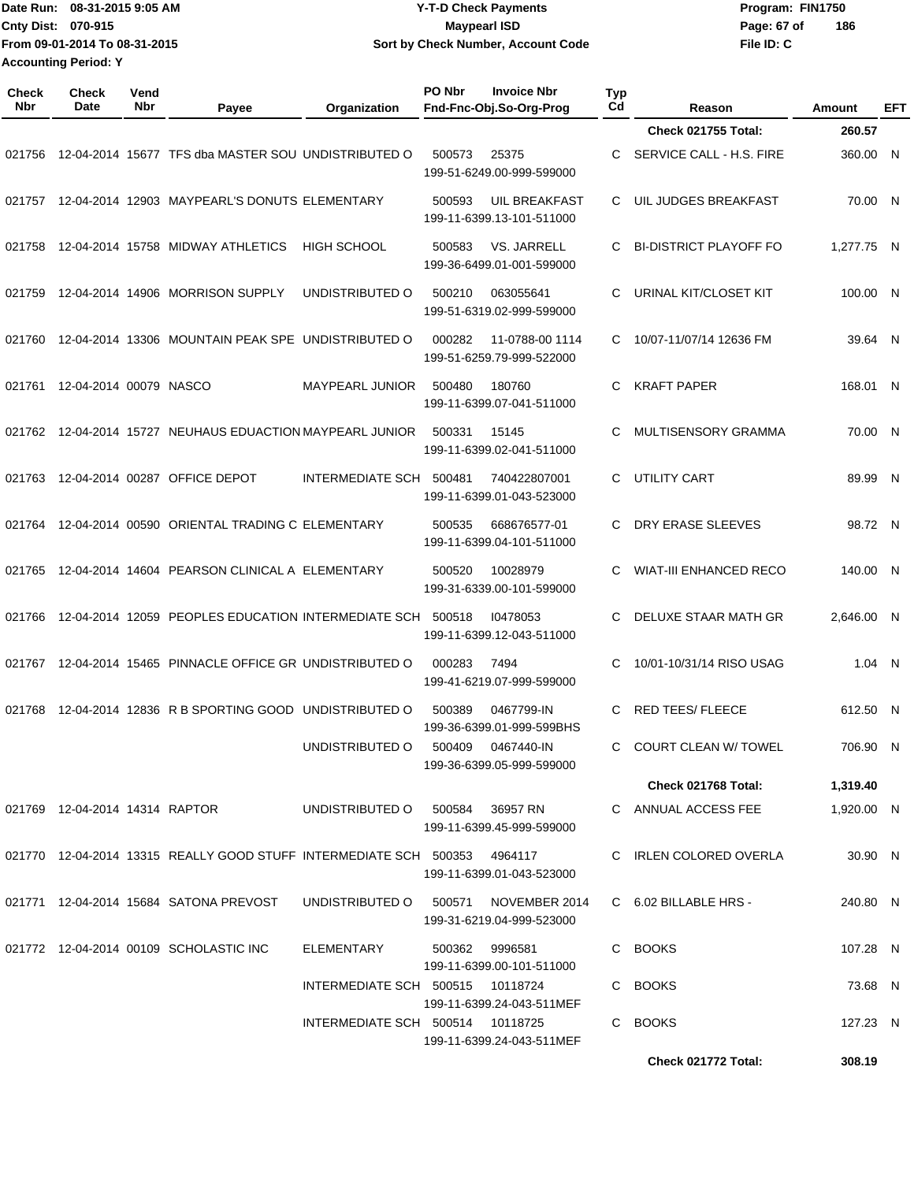| Date Run: 08-31-2015 9:05 AM  | <b>Y-T-D Check Payments</b>               | Program: FIN1750   |
|-------------------------------|-------------------------------------------|--------------------|
| <b>Cnty Dist: 070-915</b>     | Maypearl ISD                              | 186<br>Page: 67 of |
| From 09-01-2014 To 08-31-2015 | <b>Sort by Check Number, Account Code</b> | File ID: C         |
| <b>Accounting Period: Y</b>   |                                           |                    |

| Check<br>Nbr | <b>Check</b><br>Date           | Vend<br>Nbr | Payee                                                                     | Organization                     | PO Nbr | <b>Invoice Nbr</b><br>Fnd-Fnc-Obj.So-Org-Prog     | <b>Typ</b><br>Cd | Reason                        | Amount     | EFT |
|--------------|--------------------------------|-------------|---------------------------------------------------------------------------|----------------------------------|--------|---------------------------------------------------|------------------|-------------------------------|------------|-----|
|              |                                |             |                                                                           |                                  |        |                                                   |                  | <b>Check 021755 Total:</b>    | 260.57     |     |
| 021756       |                                |             | 12-04-2014 15677 TFS dba MASTER SOU UNDISTRIBUTED O                       |                                  | 500573 | 25375<br>199-51-6249.00-999-599000                | C                | SERVICE CALL - H.S. FIRE      | 360.00     | -N  |
| 021757       |                                |             | 12-04-2014 12903 MAYPEARL'S DONUTS ELEMENTARY                             |                                  | 500593 | <b>UIL BREAKFAST</b><br>199-11-6399.13-101-511000 | C                | UIL JUDGES BREAKFAST          | 70.00      | N   |
| 021758       |                                |             | 12-04-2014 15758 MIDWAY ATHLETICS                                         | <b>HIGH SCHOOL</b>               | 500583 | VS. JARRELL<br>199-36-6499.01-001-599000          | С                | <b>BI-DISTRICT PLAYOFF FO</b> | 1,277.75   | N   |
| 021759       |                                |             | 12-04-2014 14906 MORRISON SUPPLY                                          | UNDISTRIBUTED O                  | 500210 | 063055641<br>199-51-6319.02-999-599000            | C                | URINAL KIT/CLOSET KIT         | 100.00     | -N  |
| 021760       |                                |             | 12-04-2014 13306 MOUNTAIN PEAK SPE UNDISTRIBUTED O                        |                                  | 000282 | 11-0788-00 1114<br>199-51-6259.79-999-522000      | C                | 10/07-11/07/14 12636 FM       | 39.64 N    |     |
| 021761       | 12-04-2014 00079 NASCO         |             |                                                                           | <b>MAYPEARL JUNIOR</b>           | 500480 | 180760<br>199-11-6399.07-041-511000               | C                | <b>KRAFT PAPER</b>            | 168.01 N   |     |
| 021762       |                                |             | 12-04-2014 15727 NEUHAUS EDUACTION MAYPEARL JUNIOR                        |                                  | 500331 | 15145<br>199-11-6399.02-041-511000                | C                | MULTISENSORY GRAMMA           | 70.00      | -N  |
| 021763       |                                |             | 12-04-2014 00287 OFFICE DEPOT                                             | <b>INTERMEDIATE SCH</b>          | 500481 | 740422807001<br>199-11-6399.01-043-523000         | C                | <b>UTILITY CART</b>           | 89.99      | -N  |
| 021764       |                                |             | 12-04-2014 00590 ORIENTAL TRADING C ELEMENTARY                            |                                  | 500535 | 668676577-01<br>199-11-6399.04-101-511000         | C                | DRY ERASE SLEEVES             | 98.72 N    |     |
| 021765       |                                |             | 12-04-2014 14604 PEARSON CLINICAL A ELEMENTARY                            |                                  | 500520 | 10028979<br>199-31-6339.00-101-599000             | C                | <b>WIAT-III ENHANCED RECO</b> | 140.00     | -N  |
| 021766       |                                |             | 12-04-2014 12059 PEOPLES EDUCATION INTERMEDIATE SCH                       |                                  | 500518 | 10478053<br>199-11-6399.12-043-511000             | C                | DELUXE STAAR MATH GR          | 2,646.00   | -N  |
| 021767       |                                |             | 12-04-2014 15465 PINNACLE OFFICE GR UNDISTRIBUTED O                       |                                  | 000283 | 7494<br>199-41-6219.07-999-599000                 | C                | 10/01-10/31/14 RISO USAG      | $1.04$ N   |     |
| 021768       |                                |             | 12-04-2014 12836 R B SPORTING GOOD UNDISTRIBUTED O                        |                                  | 500389 | 0467799-IN<br>199-36-6399.01-999-599BHS           | C                | <b>RED TEES/ FLEECE</b>       | 612.50     | - N |
|              |                                |             |                                                                           | UNDISTRIBUTED O                  | 500409 | 0467440-IN<br>199-36-6399.05-999-599000           | C                | <b>COURT CLEAN W/ TOWEL</b>   | 706.90     | -N  |
|              |                                |             |                                                                           |                                  |        |                                                   |                  | Check 021768 Total:           | 1,319.40   |     |
|              | 021769 12-04-2014 14314 RAPTOR |             |                                                                           | UNDISTRIBUTED 0 500584 36957 RN  |        | 199-11-6399.45-999-599000                         |                  | C ANNUAL ACCESS FEE           | 1,920.00 N |     |
|              |                                |             | 021770 12-04-2014 13315 REALLY GOOD STUFF INTERMEDIATE SCH 500353 4964117 |                                  |        | 199-11-6399.01-043-523000                         |                  | C IRLEN COLORED OVERLA        | 30.90 N    |     |
|              |                                |             | 021771  12-04-2014  15684  SATONA PREVOST                                 | UNDISTRIBUTED O                  | 500571 | NOVEMBER 2014<br>199-31-6219.04-999-523000        |                  | C 6.02 BILLABLE HRS -         | 240.80 N   |     |
|              |                                |             | 021772 12-04-2014 00109 SCHOLASTIC INC                                    | ELEMENTARY                       | 500362 | 9996581<br>199-11-6399.00-101-511000              |                  | C BOOKS                       | 107.28 N   |     |
|              |                                |             |                                                                           | INTERMEDIATE SCH 500515 10118724 |        | 199-11-6399.24-043-511MEF                         |                  | C BOOKS                       | 73.68 N    |     |
|              |                                |             |                                                                           | INTERMEDIATE SCH 500514 10118725 |        | 199-11-6399.24-043-511MEF                         |                  | C BOOKS                       | 127.23 N   |     |
|              |                                |             |                                                                           |                                  |        |                                                   |                  | Check 021772 Total:           | 308.19     |     |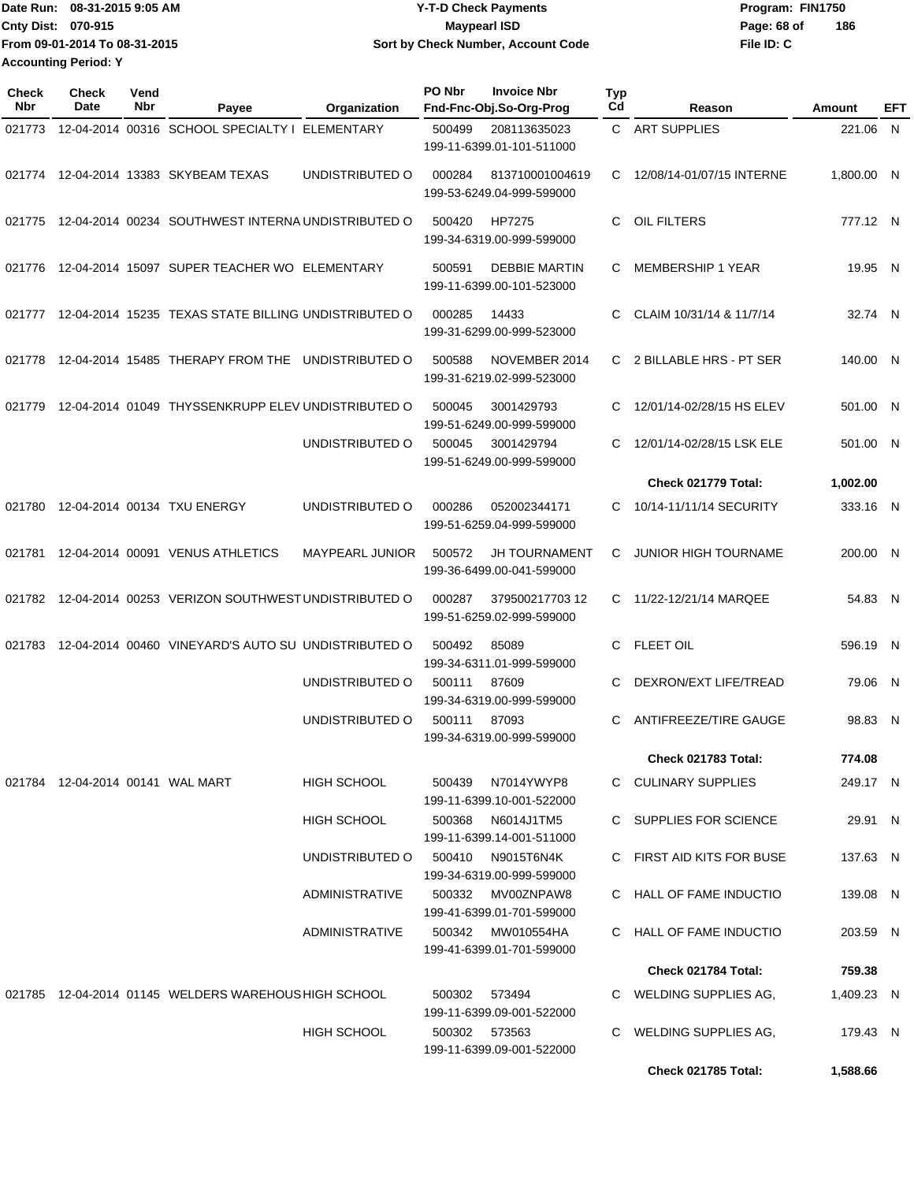| Date Run: 08-31-2015 9:05 AM  | <b>Y-T-D Check Payments</b>        | Program: FIN1750 |     |
|-------------------------------|------------------------------------|------------------|-----|
| <b>Cnty Dist: 070-915</b>     | <b>Maypearl ISD</b>                | Page: 68 of      | 186 |
| From 09-01-2014 To 08-31-2015 | Sort by Check Number, Account Code | File ID: C       |     |
| <b>Accounting Period: Y</b>   |                                    |                  |     |

| Check<br><b>Nbr</b> | Check<br>Date                    | Vend<br>Nbr | Payee                                                     | Organization           | PO Nbr | <b>Invoice Nbr</b><br>Fnd-Fnc-Obj.So-Org-Prog     | Typ<br>Cd | Reason                      | Amount     | EFT |
|---------------------|----------------------------------|-------------|-----------------------------------------------------------|------------------------|--------|---------------------------------------------------|-----------|-----------------------------|------------|-----|
| 021773              |                                  |             | 12-04-2014 00316 SCHOOL SPECIALTY I ELEMENTARY            |                        | 500499 | 208113635023<br>199-11-6399.01-101-511000         |           | C ART SUPPLIES              | 221.06 N   |     |
|                     |                                  |             | 021774 12-04-2014 13383 SKYBEAM TEXAS                     | UNDISTRIBUTED O        | 000284 | 813710001004619<br>199-53-6249.04-999-599000      | C         | 12/08/14-01/07/15 INTERNE   | 1.800.00 N |     |
| 021775              |                                  |             | 12-04-2014 00234 SOUTHWEST INTERNA UNDISTRIBUTED O        |                        | 500420 | HP7275<br>199-34-6319.00-999-599000               | C         | OIL FILTERS                 | 777.12 N   |     |
| 021776              |                                  |             | 12-04-2014 15097 SUPER TEACHER WO ELEMENTARY              |                        | 500591 | <b>DEBBIE MARTIN</b><br>199-11-6399.00-101-523000 | C         | <b>MEMBERSHIP 1 YEAR</b>    | 19.95 N    |     |
| 021777              |                                  |             | 12-04-2014 15235 TEXAS STATE BILLING UNDISTRIBUTED O      |                        | 000285 | 14433<br>199-31-6299.00-999-523000                | C         | CLAIM 10/31/14 & 11/7/14    | 32.74 N    |     |
| 021778              |                                  |             | 12-04-2014 15485 THERAPY FROM THE UNDISTRIBUTED O         |                        | 500588 | NOVEMBER 2014<br>199-31-6219.02-999-523000        |           | C 2 BILLABLE HRS - PT SER   | 140.00 N   |     |
| 021779              |                                  |             | 12-04-2014 01049 THYSSENKRUPP ELEV UNDISTRIBUTED O        |                        | 500045 | 3001429793<br>199-51-6249.00-999-599000           | C         | 12/01/14-02/28/15 HS ELEV   | 501.00 N   |     |
|                     |                                  |             |                                                           | UNDISTRIBUTED O        | 500045 | 3001429794<br>199-51-6249.00-999-599000           | C         | 12/01/14-02/28/15 LSK ELE   | 501.00 N   |     |
|                     |                                  |             |                                                           |                        |        |                                                   |           | Check 021779 Total:         | 1,002.00   |     |
| 021780              |                                  |             | 12-04-2014 00134 TXU ENERGY                               | UNDISTRIBUTED O        | 000286 | 052002344171<br>199-51-6259.04-999-599000         | C         | 10/14-11/11/14 SECURITY     | 333.16 N   |     |
| 021781              |                                  |             | 12-04-2014 00091 VENUS ATHLETICS                          | <b>MAYPEARL JUNIOR</b> | 500572 | <b>JH TOURNAMENT</b><br>199-36-6499.00-041-599000 | C         | <b>JUNIOR HIGH TOURNAME</b> | 200.00 N   |     |
|                     |                                  |             | 021782 12-04-2014 00253 VERIZON SOUTHWEST UNDISTRIBUTED O |                        | 000287 | 379500217703 12<br>199-51-6259.02-999-599000      |           | C 11/22-12/21/14 MARQEE     | 54.83 N    |     |
| 021783              |                                  |             | 12-04-2014 00460 VINEYARD'S AUTO SU UNDISTRIBUTED O       |                        | 500492 | 85089<br>199-34-6311.01-999-599000                | C         | <b>FLEET OIL</b>            | 596.19 N   |     |
|                     |                                  |             |                                                           | UNDISTRIBUTED O        | 500111 | 87609<br>199-34-6319.00-999-599000                | C         | DEXRON/EXT LIFE/TREAD       | 79.06 N    |     |
|                     |                                  |             |                                                           | UNDISTRIBUTED O        | 500111 | 87093<br>199-34-6319.00-999-599000                | C         | ANTIFREEZE/TIRE GAUGE       | 98.83 N    |     |
|                     |                                  |             |                                                           |                        |        |                                                   |           | Check 021783 Total:         | 774.08     |     |
|                     | 021784 12-04-2014 00141 WAL MART |             |                                                           | HIGH SCHOOL            | 500439 | N7014YWYP8<br>199-11-6399.10-001-522000           |           | C CULINARY SUPPLIES         | 249.17 N   |     |
|                     |                                  |             |                                                           | HIGH SCHOOL            | 500368 | N6014J1TM5<br>199-11-6399.14-001-511000           |           | C SUPPLIES FOR SCIENCE      | 29.91 N    |     |
|                     |                                  |             |                                                           | UNDISTRIBUTED O        | 500410 | N9015T6N4K<br>199-34-6319.00-999-599000           |           | C FIRST AID KITS FOR BUSE   | 137.63 N   |     |
|                     |                                  |             |                                                           | ADMINISTRATIVE         | 500332 | MV00ZNPAW8<br>199-41-6399.01-701-599000           |           | C HALL OF FAME INDUCTIO     | 139.08 N   |     |
|                     |                                  |             |                                                           | ADMINISTRATIVE         | 500342 | MW010554HA<br>199-41-6399.01-701-599000           |           | C HALL OF FAME INDUCTIO     | 203.59 N   |     |
|                     |                                  |             |                                                           |                        |        |                                                   |           | Check 021784 Total:         | 759.38     |     |
|                     |                                  |             | 021785 12-04-2014 01145 WELDERS WAREHOUS HIGH SCHOOL      |                        | 500302 | 573494<br>199-11-6399.09-001-522000               |           | C WELDING SUPPLIES AG,      | 1,409.23 N |     |
|                     |                                  |             |                                                           | <b>HIGH SCHOOL</b>     |        | 500302 573563<br>199-11-6399.09-001-522000        | C.        | WELDING SUPPLIES AG,        | 179.43 N   |     |
|                     |                                  |             |                                                           |                        |        |                                                   |           | <b>Check 021785 Total:</b>  | 1,588.66   |     |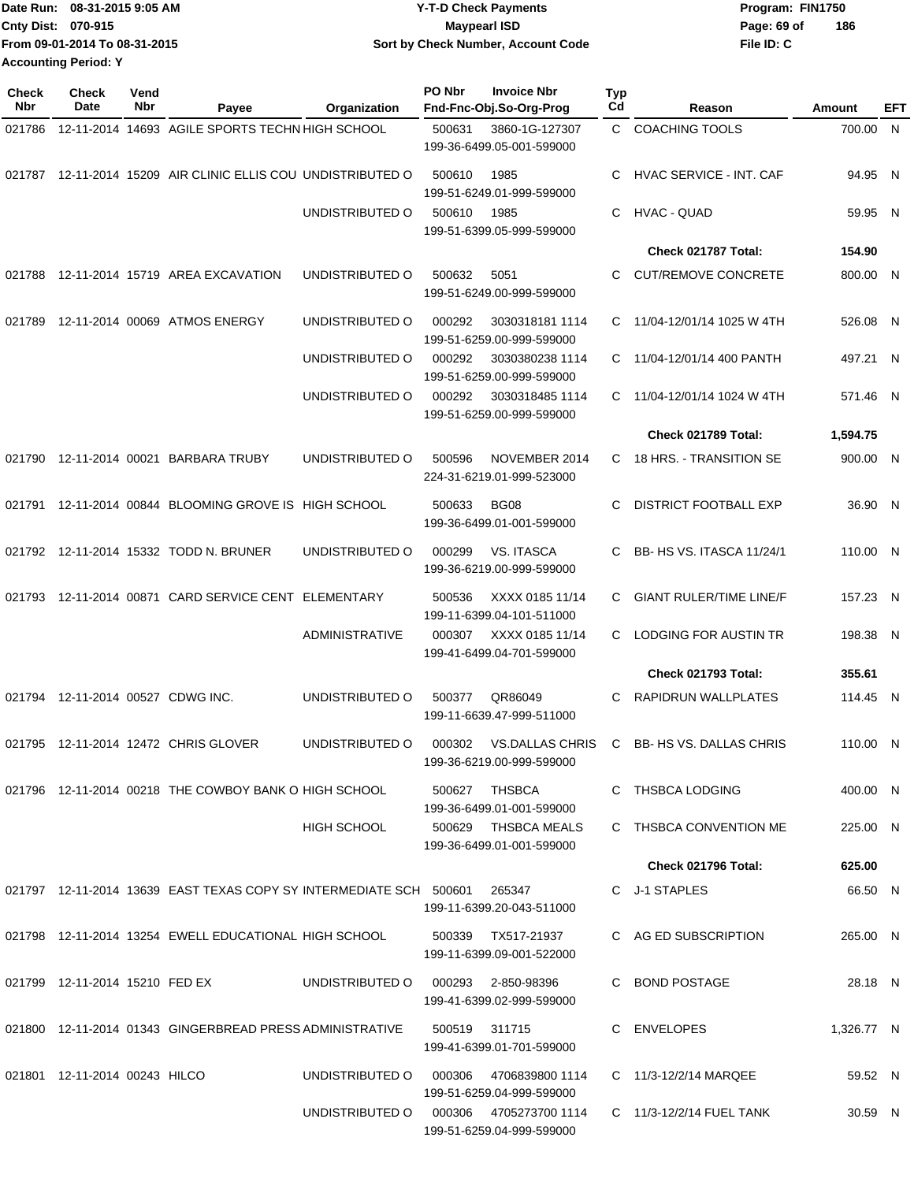| Date Run: 08-31-2015 9:05 AM |                               | Y-T-D Check Payments               | Program: FIN1750   |
|------------------------------|-------------------------------|------------------------------------|--------------------|
| Cnty Dist: 070-915           |                               | <b>Mavpearl ISD</b>                | 186<br>Page: 69 of |
|                              | From 09-01-2014 To 08-31-2015 | Sort by Check Number, Account Code | File ID: C         |
| <b>Accounting Period: Y</b>  |                               |                                    |                    |

| Check<br>Nbr | <b>Check</b><br>Date             | Vend<br>Nbr | Payee                                                                          | Organization       | PO Nbr        | <b>Invoice Nbr</b><br>Fnd-Fnc-Obj.So-Org-Prog       | Typ<br>Cd    | Reason                         | Amount     | EFT |
|--------------|----------------------------------|-------------|--------------------------------------------------------------------------------|--------------------|---------------|-----------------------------------------------------|--------------|--------------------------------|------------|-----|
| 021786       |                                  |             | 12-11-2014 14693 AGILE SPORTS TECHN HIGH SCHOOL                                |                    | 500631        | 3860-1G-127307<br>199-36-6499.05-001-599000         | $\mathbf{C}$ | <b>COACHING TOOLS</b>          | 700.00 N   |     |
|              |                                  |             | 021787 12-11-2014 15209 AIR CLINIC ELLIS COU UNDISTRIBUTED O                   |                    | 500610        | 1985<br>199-51-6249.01-999-599000                   | C            | <b>HVAC SERVICE - INT. CAF</b> | 94.95 N    |     |
|              |                                  |             |                                                                                | UNDISTRIBUTED O    | 500610        | 1985<br>199-51-6399.05-999-599000                   | C            | <b>HVAC - QUAD</b>             | 59.95 N    |     |
|              |                                  |             |                                                                                |                    |               |                                                     |              | Check 021787 Total:            | 154.90     |     |
| 021788       |                                  |             | 12-11-2014 15719 AREA EXCAVATION                                               | UNDISTRIBUTED O    | 500632        | 5051<br>199-51-6249.00-999-599000                   | C            | <b>CUT/REMOVE CONCRETE</b>     | 800.00 N   |     |
| 021789       |                                  |             | 12-11-2014 00069 ATMOS ENERGY                                                  | UNDISTRIBUTED O    | 000292        | 3030318181 1114<br>199-51-6259.00-999-599000        | C            | 11/04-12/01/14 1025 W 4TH      | 526.08 N   |     |
|              |                                  |             |                                                                                | UNDISTRIBUTED O    | 000292        | 3030380238 1114<br>199-51-6259.00-999-599000        | C            | 11/04-12/01/14 400 PANTH       | 497.21 N   |     |
|              |                                  |             |                                                                                | UNDISTRIBUTED O    | 000292        | 3030318485 1114<br>199-51-6259.00-999-599000        | C.           | 11/04-12/01/14 1024 W 4TH      | 571.46 N   |     |
|              |                                  |             |                                                                                |                    |               |                                                     |              | Check 021789 Total:            | 1,594.75   |     |
|              |                                  |             | 021790 12-11-2014 00021 BARBARA TRUBY                                          | UNDISTRIBUTED O    | 500596        | NOVEMBER 2014<br>224-31-6219.01-999-523000          |              | C 18 HRS. - TRANSITION SE      | 900.00 N   |     |
| 021791       |                                  |             | 12-11-2014 00844 BLOOMING GROVE IS HIGH SCHOOL                                 |                    | 500633        | BG08<br>199-36-6499.01-001-599000                   | С            | DISTRICT FOOTBALL EXP          | 36.90 N    |     |
|              |                                  |             | 021792 12-11-2014 15332 TODD N. BRUNER                                         | UNDISTRIBUTED O    | 000299        | VS. ITASCA<br>199-36-6219.00-999-599000             | C            | BB- HS VS. ITASCA 11/24/1      | 110.00 N   |     |
| 021793       |                                  |             | 12-11-2014 00871 CARD SERVICE CENT ELEMENTARY                                  |                    | 500536        | XXXX 0185 11/14<br>199-11-6399.04-101-511000        | C            | <b>GIANT RULER/TIME LINE/F</b> | 157.23 N   |     |
|              |                                  |             |                                                                                | ADMINISTRATIVE     | 000307        | XXXX 0185 11/14<br>199-41-6499.04-701-599000        | C            | LODGING FOR AUSTIN TR          | 198.38 N   |     |
|              |                                  |             |                                                                                |                    |               |                                                     |              | Check 021793 Total:            | 355.61     |     |
| 021794       |                                  |             | 12-11-2014 00527 CDWG INC.                                                     | UNDISTRIBUTED O    | 500377        | QR86049<br>199-11-6639.47-999-511000                | С            | <b>RAPIDRUN WALLPLATES</b>     | 114.45 N   |     |
|              |                                  |             | 021795 12-11-2014 12472 CHRIS GLOVER                                           | UNDISTRIBUTED O    | 000302        | <b>VS.DALLAS CHRIS</b><br>199-36-6219.00-999-599000 | C            | <b>BB-HS VS. DALLAS CHRIS</b>  | 110.00 N   |     |
|              |                                  |             | 021796 12-11-2014 00218 THE COWBOY BANK O HIGH SCHOOL                          |                    |               | 500627 THSBCA<br>199-36-6499.01-001-599000          |              | C THSBCA LODGING               | 400.00 N   |     |
|              |                                  |             |                                                                                | <b>HIGH SCHOOL</b> | 500629        | THSBCA MEALS<br>199-36-6499.01-001-599000           |              | C THSBCA CONVENTION ME         | 225.00 N   |     |
|              |                                  |             |                                                                                |                    |               |                                                     |              | Check 021796 Total:            | 625.00     |     |
|              |                                  |             | 021797    12-11-2014    13639    EAST TEXAS COPY SY INTERMEDIATE SCH    500601 |                    |               | 265347<br>199-11-6399.20-043-511000                 |              | C J-1 STAPLES                  | 66.50 N    |     |
|              |                                  |             | 021798 12-11-2014 13254 EWELL EDUCATIONAL HIGH SCHOOL                          |                    | 500339        | TX517-21937<br>199-11-6399.09-001-522000            |              | C AG ED SUBSCRIPTION           | 265.00 N   |     |
|              | 021799 12-11-2014 15210 FED EX   |             |                                                                                | UNDISTRIBUTED O    |               | 000293 2-850-98396<br>199-41-6399.02-999-599000     |              | C BOND POSTAGE                 | 28.18 N    |     |
|              |                                  |             | 021800 12-11-2014 01343 GINGERBREAD PRESS ADMINISTRATIVE                       |                    | 500519 311715 | 199-41-6399.01-701-599000                           |              | C ENVELOPES                    | 1,326.77 N |     |
|              | 021801  12-11-2014  00243  HILCO |             |                                                                                | UNDISTRIBUTED O    | 000306        | 4706839800 1114<br>199-51-6259.04-999-599000        |              | C 11/3-12/2/14 MARQEE          | 59.52 N    |     |
|              |                                  |             |                                                                                | UNDISTRIBUTED O    |               | 000306 4705273700 1114<br>199-51-6259.04-999-599000 |              | C 11/3-12/2/14 FUEL TANK       | 30.59 N    |     |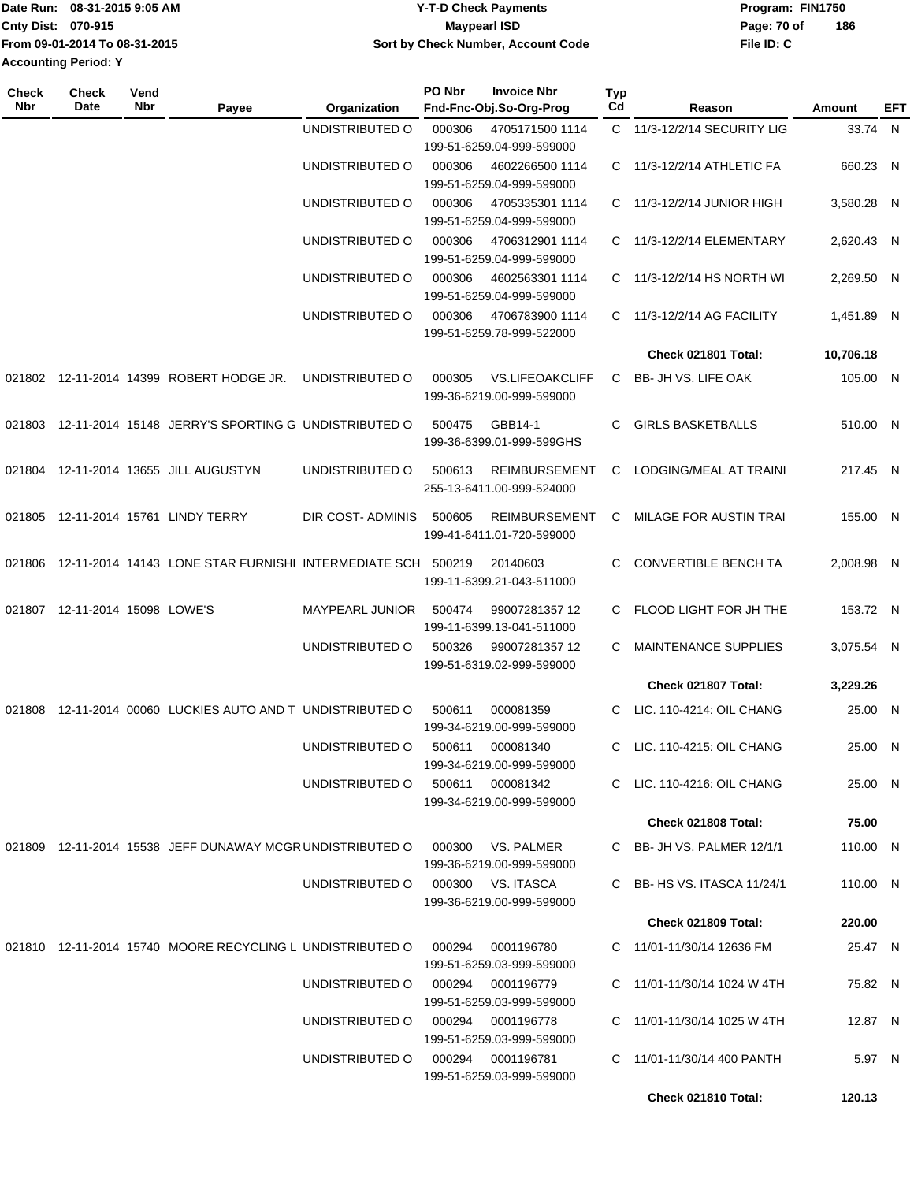|                             | Date Run: 08-31-2015 9:05 AM  | <b>Y-T-D Check Payments</b>        | Program: FIN1750 |     |  |
|-----------------------------|-------------------------------|------------------------------------|------------------|-----|--|
| Cnty Dist: 070-915          |                               | Maypearl ISD                       | Page: 70 of      | 186 |  |
|                             | From 09-01-2014 To 08-31-2015 | Sort by Check Number, Account Code | File ID: C       |     |  |
| <b>Accounting Period: Y</b> |                               |                                    |                  |     |  |

| Check<br>Nbr | <b>Check</b><br>Date    | Vend<br>Nbr | Payee                                                       | Organization     | PO Nbr | <b>Invoice Nbr</b><br>Fnd-Fnc-Obj.So-Org-Prog       | Typ<br>Cd | Reason                       | Amount     | EFT |
|--------------|-------------------------|-------------|-------------------------------------------------------------|------------------|--------|-----------------------------------------------------|-----------|------------------------------|------------|-----|
|              |                         |             |                                                             | UNDISTRIBUTED O  | 000306 | 4705171500 1114<br>199-51-6259.04-999-599000        |           | C 11/3-12/2/14 SECURITY LIG  | 33.74 N    |     |
|              |                         |             |                                                             | UNDISTRIBUTED O  | 000306 | 4602266500 1114<br>199-51-6259.04-999-599000        |           | C 11/3-12/2/14 ATHLETIC FA   | 660.23 N   |     |
|              |                         |             |                                                             | UNDISTRIBUTED O  | 000306 | 4705335301 1114<br>199-51-6259.04-999-599000        |           | $C$ 11/3-12/2/14 JUNIOR HIGH | 3,580.28 N |     |
|              |                         |             |                                                             | UNDISTRIBUTED O  | 000306 | 4706312901 1114<br>199-51-6259.04-999-599000        |           | C 11/3-12/2/14 ELEMENTARY    | 2,620.43 N |     |
|              |                         |             |                                                             | UNDISTRIBUTED O  | 000306 | 4602563301 1114<br>199-51-6259.04-999-599000        |           | C 11/3-12/2/14 HS NORTH WI   | 2,269.50 N |     |
|              |                         |             |                                                             | UNDISTRIBUTED O  | 000306 | 4706783900 1114<br>199-51-6259.78-999-522000        |           | C 11/3-12/2/14 AG FACILITY   | 1,451.89 N |     |
|              |                         |             |                                                             |                  |        |                                                     |           | Check 021801 Total:          | 10,706.18  |     |
|              |                         |             | 021802 12-11-2014 14399 ROBERT HODGE JR.                    | UNDISTRIBUTED O  | 000305 | <b>VS.LIFEOAKCLIFF</b><br>199-36-6219.00-999-599000 | C.        | BB- JH VS. LIFE OAK          | 105.00 N   |     |
| 021803       |                         |             | 12-11-2014 15148 JERRY'S SPORTING G UNDISTRIBUTED O         |                  | 500475 | GBB14-1<br>199-36-6399.01-999-599GHS                | C.        | <b>GIRLS BASKETBALLS</b>     | 510.00 N   |     |
|              |                         |             | 021804 12-11-2014 13655 JILL AUGUSTYN                       | UNDISTRIBUTED O  | 500613 | <b>REIMBURSEMENT</b><br>255-13-6411.00-999-524000   | C         | LODGING/MEAL AT TRAINI       | 217.45 N   |     |
| 021805       |                         |             | 12-11-2014 15761 LINDY TERRY                                | DIR COST-ADMINIS | 500605 | <b>REIMBURSEMENT</b><br>199-41-6411.01-720-599000   | C.        | MILAGE FOR AUSTIN TRAI       | 155.00 N   |     |
| 021806       |                         |             | 12-11-2014 14143 LONE STAR FURNISHI INTERMEDIATE SCH 500219 |                  |        | 20140603<br>199-11-6399.21-043-511000               | C         | <b>CONVERTIBLE BENCH TA</b>  | 2,008.98 N |     |
| 021807       | 12-11-2014 15098 LOWE'S |             |                                                             | MAYPEARL JUNIOR  | 500474 | 99007281357 12<br>199-11-6399.13-041-511000         | C.        | FLOOD LIGHT FOR JH THE       | 153.72 N   |     |
|              |                         |             |                                                             | UNDISTRIBUTED O  | 500326 | 99007281357 12<br>199-51-6319.02-999-599000         | C         | <b>MAINTENANCE SUPPLIES</b>  | 3,075.54 N |     |
|              |                         |             |                                                             |                  |        |                                                     |           | Check 021807 Total:          | 3,229.26   |     |
| 021808       |                         |             | 12-11-2014 00060 LUCKIES AUTO AND T UNDISTRIBUTED O         |                  | 500611 | 000081359<br>199-34-6219.00-999-599000              |           | C LIC. 110-4214: OIL CHANG   | 25.00 N    |     |
|              |                         |             |                                                             | UNDISTRIBUTED O  | 500611 | 000081340<br>199-34-6219.00-999-599000              |           | C LIC. 110-4215: OIL CHANG   | 25.00 N    |     |
|              |                         |             |                                                             | UNDISTRIBUTED O  | 500611 | 000081342<br>199-34-6219.00-999-599000              |           | C LIC. 110-4216: OIL CHANG   | 25.00 N    |     |
|              |                         |             |                                                             |                  |        |                                                     |           | Check 021808 Total:          | 75.00      |     |
|              |                         |             | 021809 12-11-2014 15538 JEFF DUNAWAY MCGR UNDISTRIBUTED O   |                  | 000300 | VS. PALMER<br>199-36-6219.00-999-599000             |           | C BB- JH VS. PALMER 12/1/1   | 110.00 N   |     |
|              |                         |             |                                                             | UNDISTRIBUTED O  |        | 000300 VS. ITASCA<br>199-36-6219.00-999-599000      |           | C BB-HS VS. ITASCA 11/24/1   | 110.00 N   |     |
|              |                         |             |                                                             |                  |        |                                                     |           | Check 021809 Total:          | 220.00     |     |
|              |                         |             | 021810 12-11-2014 15740 MOORE RECYCLING L UNDISTRIBUTED O   |                  | 000294 | 0001196780<br>199-51-6259.03-999-599000             |           | C 11/01-11/30/14 12636 FM    | 25.47 N    |     |
|              |                         |             |                                                             | UNDISTRIBUTED O  | 000294 | 0001196779<br>199-51-6259.03-999-599000             |           | C 11/01-11/30/14 1024 W 4TH  | 75.82 N    |     |
|              |                         |             |                                                             | UNDISTRIBUTED O  | 000294 | 0001196778<br>199-51-6259.03-999-599000             |           | C 11/01-11/30/14 1025 W 4TH  | 12.87 N    |     |
|              |                         |             |                                                             | UNDISTRIBUTED O  | 000294 | 0001196781<br>199-51-6259.03-999-599000             |           | C 11/01-11/30/14 400 PANTH   | 5.97 N     |     |
|              |                         |             |                                                             |                  |        |                                                     |           | Check 021810 Total:          | 120.13     |     |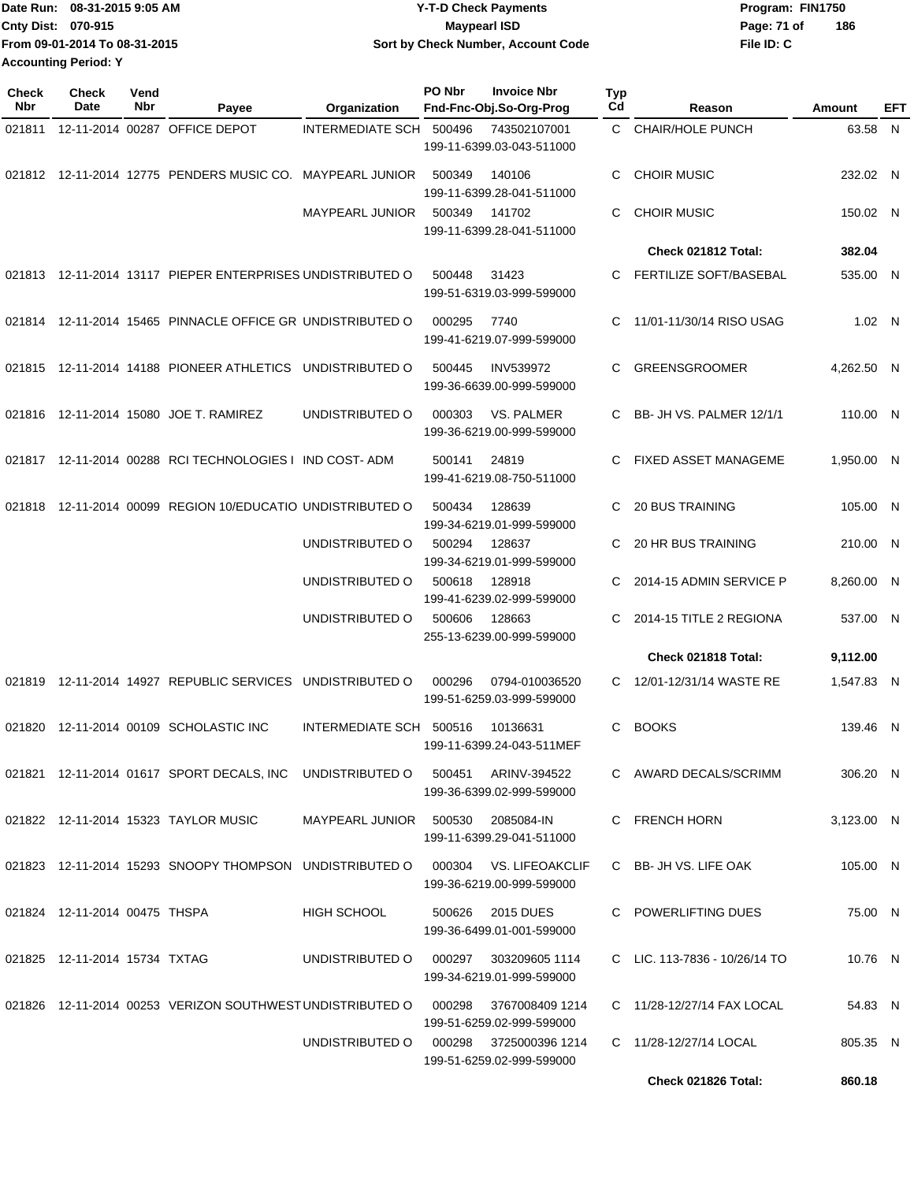| Date Run: 08-31-2015 9:05 AM  | <b>Y-T-D Check Payments</b>        | Program: FIN1750 |     |
|-------------------------------|------------------------------------|------------------|-----|
| <b>Cnty Dist: 070-915</b>     | Maypearl ISD                       | Page: 71 of      | 186 |
| From 09-01-2014 To 08-31-2015 | Sort by Check Number, Account Code | File ID: C       |     |
| <b>Accounting Period: Y</b>   |                                    |                  |     |

| <b>Check</b><br><b>Nbr</b> | <b>Check</b><br>Date          | Vend<br>Nbr | Payee                                                                          | Organization                            | PO Nbr | <b>Invoice Nbr</b><br>Fnd-Fnc-Obj.So-Org-Prog      | <b>Typ</b><br>Cd | Reason                          | Amount     | EFT |
|----------------------------|-------------------------------|-------------|--------------------------------------------------------------------------------|-----------------------------------------|--------|----------------------------------------------------|------------------|---------------------------------|------------|-----|
| 021811                     |                               |             | 12-11-2014 00287 OFFICE DEPOT                                                  | INTERMEDIATE SCH 500496                 |        | 743502107001<br>199-11-6399.03-043-511000          |                  | C CHAIR/HOLE PUNCH              | 63.58 N    |     |
|                            |                               |             | 021812 12-11-2014 12775 PENDERS MUSIC CO. MAYPEARL JUNIOR                      |                                         | 500349 | 140106<br>199-11-6399.28-041-511000                | C                | <b>CHOIR MUSIC</b>              | 232.02 N   |     |
|                            |                               |             |                                                                                | <b>MAYPEARL JUNIOR</b>                  | 500349 | 141702<br>199-11-6399.28-041-511000                | C                | <b>CHOIR MUSIC</b>              | 150.02 N   |     |
|                            |                               |             |                                                                                |                                         |        |                                                    |                  | Check 021812 Total:             | 382.04     |     |
|                            |                               |             | 021813 12-11-2014 13117 PIEPER ENTERPRISES UNDISTRIBUTED O                     |                                         | 500448 | 31423<br>199-51-6319.03-999-599000                 |                  | FERTILIZE SOFT/BASEBAL          | 535.00 N   |     |
|                            |                               |             | 021814 12-11-2014 15465 PINNACLE OFFICE GR UNDISTRIBUTED O                     |                                         | 000295 | 7740<br>199-41-6219.07-999-599000                  | C                | 11/01-11/30/14 RISO USAG        | 1.02 N     |     |
|                            |                               |             | 021815 12-11-2014 14188 PIONEER ATHLETICS UNDISTRIBUTED O                      |                                         | 500445 | <b>INV539972</b><br>199-36-6639.00-999-599000      | C                | <b>GREENSGROOMER</b>            | 4,262.50 N |     |
|                            |                               |             | 021816 12-11-2014 15080 JOE T. RAMIREZ                                         | UNDISTRIBUTED O                         | 000303 | VS. PALMER<br>199-36-6219.00-999-599000            |                  | BB- JH VS. PALMER 12/1/1        | 110.00 N   |     |
|                            |                               |             | 021817 12-11-2014 00288 RCI TECHNOLOGIES I IND COST-ADM                        |                                         | 500141 | 24819<br>199-41-6219.08-750-511000                 | C.               | FIXED ASSET MANAGEME            | 1,950.00 N |     |
|                            |                               |             | 021818 12-11-2014 00099 REGION 10/EDUCATIO UNDISTRIBUTED O                     |                                         | 500434 | 128639<br>199-34-6219.01-999-599000                | C                | <b>20 BUS TRAINING</b>          | 105.00 N   |     |
|                            |                               |             |                                                                                | UNDISTRIBUTED O                         | 500294 | 128637<br>199-34-6219.01-999-599000                |                  | <b>20 HR BUS TRAINING</b>       | 210.00 N   |     |
|                            |                               |             |                                                                                | UNDISTRIBUTED O                         | 500618 | 128918<br>199-41-6239.02-999-599000                | C.               | 2014-15 ADMIN SERVICE P         | 8,260.00 N |     |
|                            |                               |             |                                                                                | UNDISTRIBUTED O                         | 500606 | 128663<br>255-13-6239.00-999-599000                | C                | 2014-15 TITLE 2 REGIONA         | 537.00 N   |     |
|                            |                               |             |                                                                                |                                         |        |                                                    |                  | Check 021818 Total:             | 9,112.00   |     |
|                            |                               |             | 021819 12-11-2014 14927 REPUBLIC SERVICES UNDISTRIBUTED O                      |                                         | 000296 | 0794-010036520<br>199-51-6259.03-999-599000        | C                | 12/01-12/31/14 WASTE RE         | 1,547.83 N |     |
| 021820                     |                               |             | 12-11-2014 00109 SCHOLASTIC INC                                                | INTERMEDIATE SCH 500516                 |        | 10136631<br>199-11-6399.24-043-511MEF              | C.               | <b>BOOKS</b>                    | 139.46 N   |     |
|                            |                               |             | 021821  12-11-2014  01617  SPORT DECALS, INC  UNDISTRIBUTED O                  |                                         | 500451 | ARINV-394522<br>199-36-6399.02-999-599000          |                  | C AWARD DECALS/SCRIMM           | 306.20 N   |     |
|                            |                               |             | 021822 12-11-2014 15323 TAYLOR MUSIC                                           | MAYPEARL JUNIOR    500530    2085084-IN |        | 199-11-6399.29-041-511000                          |                  | C FRENCH HORN                   | 3,123.00 N |     |
|                            |                               |             | 021823 12-11-2014 15293 SNOOPY THOMPSON UNDISTRIBUTED O 000304 VS. LIFEOAKCLIF |                                         |        | 199-36-6219.00-999-599000                          |                  | C BB- JH VS. LIFE OAK           | 105.00 N   |     |
|                            | 021824 12-11-2014 00475 THSPA |             |                                                                                | HIGH SCHOOL                             | 500626 | 2015 DUES<br>199-36-6499.01-001-599000             |                  | C POWERLIFTING DUES             | 75.00 N    |     |
|                            | 021825 12-11-2014 15734 TXTAG |             |                                                                                | UNDISTRIBUTED O                         |        | 000297 303209605 1114<br>199-34-6219.01-999-599000 |                  | C LIC. $113-7836 - 10/26/14$ TO | 10.76 N    |     |
|                            |                               |             | 021826 12-11-2014 00253 VERIZON SOUTHWEST UNDISTRIBUTED O 000298               |                                         |        | 3767008409 1214<br>199-51-6259.02-999-599000       |                  | C 11/28-12/27/14 FAX LOCAL      | 54.83 N    |     |
|                            |                               |             |                                                                                | UNDISTRIBUTED O 000298 3725000396 1214  |        | 199-51-6259.02-999-599000                          |                  | C 11/28-12/27/14 LOCAL          | 805.35 N   |     |
|                            |                               |             |                                                                                |                                         |        |                                                    |                  | Check 021826 Total:             | 860.18     |     |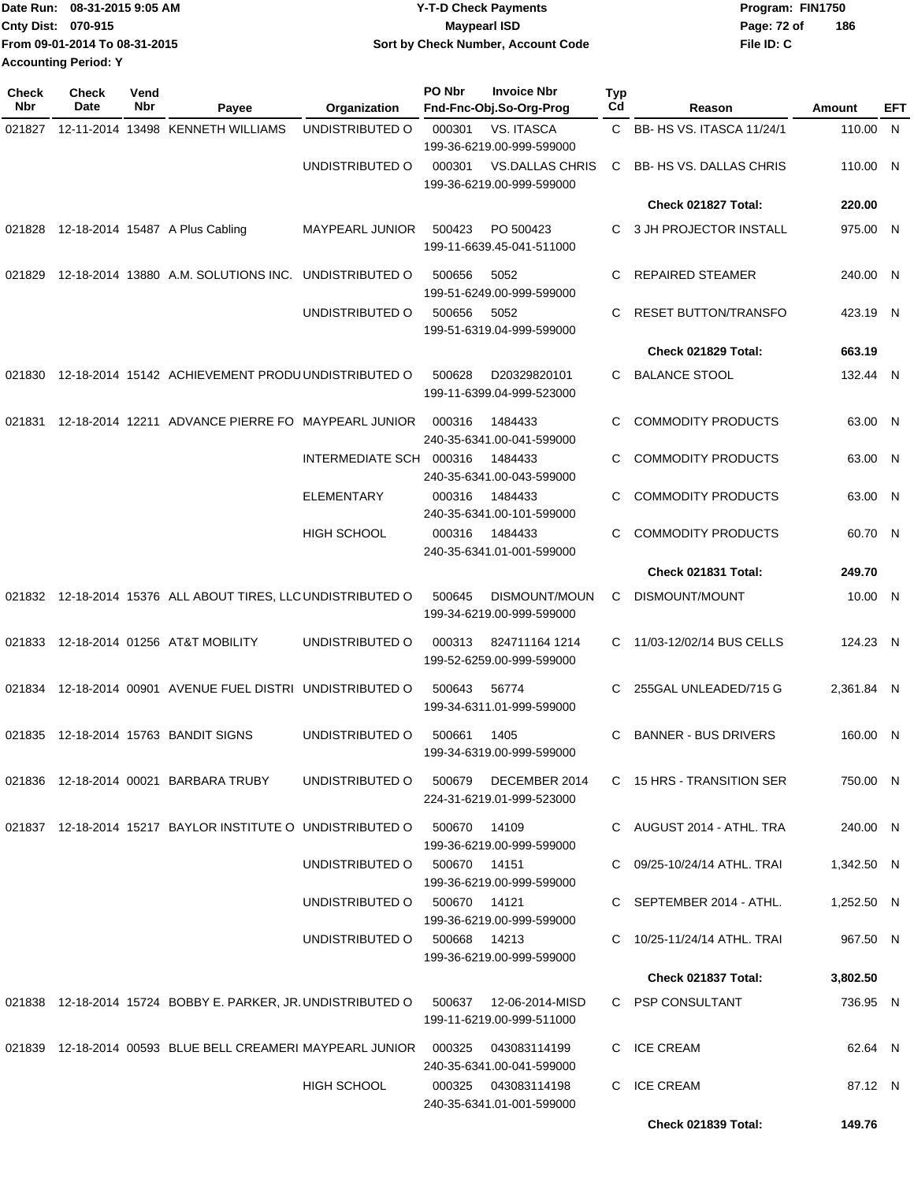| Date Run: 08-31-2015 9:05 AM |                               | <b>Y-T-D Check Payments</b>        | Program: FIN1750 |     |
|------------------------------|-------------------------------|------------------------------------|------------------|-----|
| Cnty Dist: 070-915           |                               | Maypearl ISD                       | Page: 72 of      | 186 |
|                              | From 09-01-2014 To 08-31-2015 | Sort by Check Number, Account Code | File ID: C       |     |
| <b>Accounting Period: Y</b>  |                               |                                    |                  |     |

| <b>Check</b><br>Nbr | Check<br>Date | Vend<br>Nbr | Payee                                                                  | Organization                 | PO Nbr       | <b>Invoice Nbr</b><br>Fnd-Fnc-Obj.So-Org-Prog       | Typ<br>Cd    | Reason                           | Amount     | EFT |
|---------------------|---------------|-------------|------------------------------------------------------------------------|------------------------------|--------------|-----------------------------------------------------|--------------|----------------------------------|------------|-----|
| 021827              |               |             | 12-11-2014 13498 KENNETH WILLIAMS                                      | UNDISTRIBUTED O              | 000301       | <b>VS. ITASCA</b><br>199-36-6219.00-999-599000      | $\mathsf{C}$ | <b>BB- HS VS. ITASCA 11/24/1</b> | 110.00 N   |     |
|                     |               |             |                                                                        | UNDISTRIBUTED O              | 000301       | <b>VS.DALLAS CHRIS</b><br>199-36-6219.00-999-599000 | C            | <b>BB-HS VS. DALLAS CHRIS</b>    | 110.00 N   |     |
|                     |               |             |                                                                        |                              |              |                                                     |              | Check 021827 Total:              | 220.00     |     |
| 021828              |               |             | 12-18-2014 15487 A Plus Cabling                                        | MAYPEARL JUNIOR              | 500423       | PO 500423<br>199-11-6639.45-041-511000              | С            | 3 JH PROJECTOR INSTALL           | 975.00 N   |     |
| 021829              |               |             | 12-18-2014 13880 A.M. SOLUTIONS INC. UNDISTRIBUTED O                   |                              | 500656       | 5052<br>199-51-6249.00-999-599000                   | С            | <b>REPAIRED STEAMER</b>          | 240.00 N   |     |
|                     |               |             |                                                                        | UNDISTRIBUTED O              | 500656       | 5052<br>199-51-6319.04-999-599000                   | С            | <b>RESET BUTTON/TRANSFO</b>      | 423.19 N   |     |
|                     |               |             |                                                                        |                              |              |                                                     |              | Check 021829 Total:              | 663.19     |     |
| 021830              |               |             | 12-18-2014 15142 ACHIEVEMENT PRODU UNDISTRIBUTED O                     |                              | 500628       | D20329820101<br>199-11-6399.04-999-523000           | С            | <b>BALANCE STOOL</b>             | 132.44 N   |     |
| 021831              |               |             | 12-18-2014 12211 ADVANCE PIERRE FO MAYPEARL JUNIOR                     |                              | 000316       | 1484433<br>240-35-6341.00-041-599000                | С            | <b>COMMODITY PRODUCTS</b>        | 63.00 N    |     |
|                     |               |             |                                                                        | INTERMEDIATE SCH 000316      |              | 1484433<br>240-35-6341.00-043-599000                | С            | <b>COMMODITY PRODUCTS</b>        | 63.00 N    |     |
|                     |               |             |                                                                        | <b>ELEMENTARY</b>            | 000316       | 1484433<br>240-35-6341.00-101-599000                | С            | <b>COMMODITY PRODUCTS</b>        | 63.00 N    |     |
|                     |               |             |                                                                        | <b>HIGH SCHOOL</b>           | 000316       | 1484433<br>240-35-6341.01-001-599000                | С            | <b>COMMODITY PRODUCTS</b>        | 60.70 N    |     |
|                     |               |             |                                                                        |                              |              |                                                     |              | Check 021831 Total:              | 249.70     |     |
|                     |               |             | 021832 12-18-2014 15376 ALL ABOUT TIRES, LLC UNDISTRIBUTED O           |                              | 500645       | DISMOUNT/MOUN<br>199-34-6219.00-999-599000          | С            | DISMOUNT/MOUNT                   | 10.00 N    |     |
| 021833              |               |             | 12-18-2014 01256 AT&T MOBILITY                                         | UNDISTRIBUTED O              | 000313       | 824711164 1214<br>199-52-6259.00-999-599000         |              | C 11/03-12/02/14 BUS CELLS       | 124.23 N   |     |
|                     |               |             | 021834 12-18-2014 00901 AVENUE FUEL DISTRI UNDISTRIBUTED O             |                              | 500643       | 56774<br>199-34-6311.01-999-599000                  | С            | 255GAL UNLEADED/715 G            | 2,361.84 N |     |
| 021835              |               |             | 12-18-2014 15763 BANDIT SIGNS                                          | UNDISTRIBUTED O              | 500661       | 1405<br>199-34-6319.00-999-599000                   | C            | <b>BANNER - BUS DRIVERS</b>      | 160.00 N   |     |
|                     |               |             | 021836 12-18-2014 00021 BARBARA TRUBY                                  | UNDISTRIBUTED O              |              | 500679 DECEMBER 2014<br>224-31-6219.01-999-523000   |              | C 15 HRS - TRANSITION SER        | 750.00 N   |     |
|                     |               |             | 021837  12-18-2014  15217  BAYLOR INSTITUTE O UNDISTRIBUTED O  500670  |                              |              | 14109<br>199-36-6219.00-999-599000                  |              | C AUGUST 2014 - ATHL. TRA        | 240.00 N   |     |
|                     |               |             |                                                                        | UNDISTRIBUTED O 500670 14151 |              | 199-36-6219.00-999-599000                           |              | C 09/25-10/24/14 ATHL, TRAI      | 1,342.50 N |     |
|                     |               |             |                                                                        | UNDISTRIBUTED O              | 500670 14121 | 199-36-6219.00-999-599000                           |              | C SEPTEMBER 2014 - ATHL.         | 1,252.50 N |     |
|                     |               |             |                                                                        | UNDISTRIBUTED O              | 500668 14213 | 199-36-6219.00-999-599000                           |              | C 10/25-11/24/14 ATHL. TRAI      | 967.50 N   |     |
|                     |               |             |                                                                        |                              |              |                                                     |              | Check 021837 Total:              | 3,802.50   |     |
|                     |               |             | 021838 12-18-2014 15724 BOBBY E. PARKER, JR. UNDISTRIBUTED O           |                              | 500637       | 12-06-2014-MISD<br>199-11-6219.00-999-511000        |              | C PSP CONSULTANT                 | 736.95 N   |     |
|                     |               |             | 021839  12-18-2014  00593  BLUE  BELL CREAMERI MAYPEARL JUNIOR  000325 |                              |              | 043083114199<br>240-35-6341.00-041-599000           |              | C ICE CREAM                      | 62.64 N    |     |
|                     |               |             |                                                                        | HIGH SCHOOL                  | 000325       | 043083114198<br>240-35-6341.01-001-599000           |              | C ICE CREAM                      | 87.12 N    |     |
|                     |               |             |                                                                        |                              |              |                                                     |              | Check 021839 Total:              | 149.76     |     |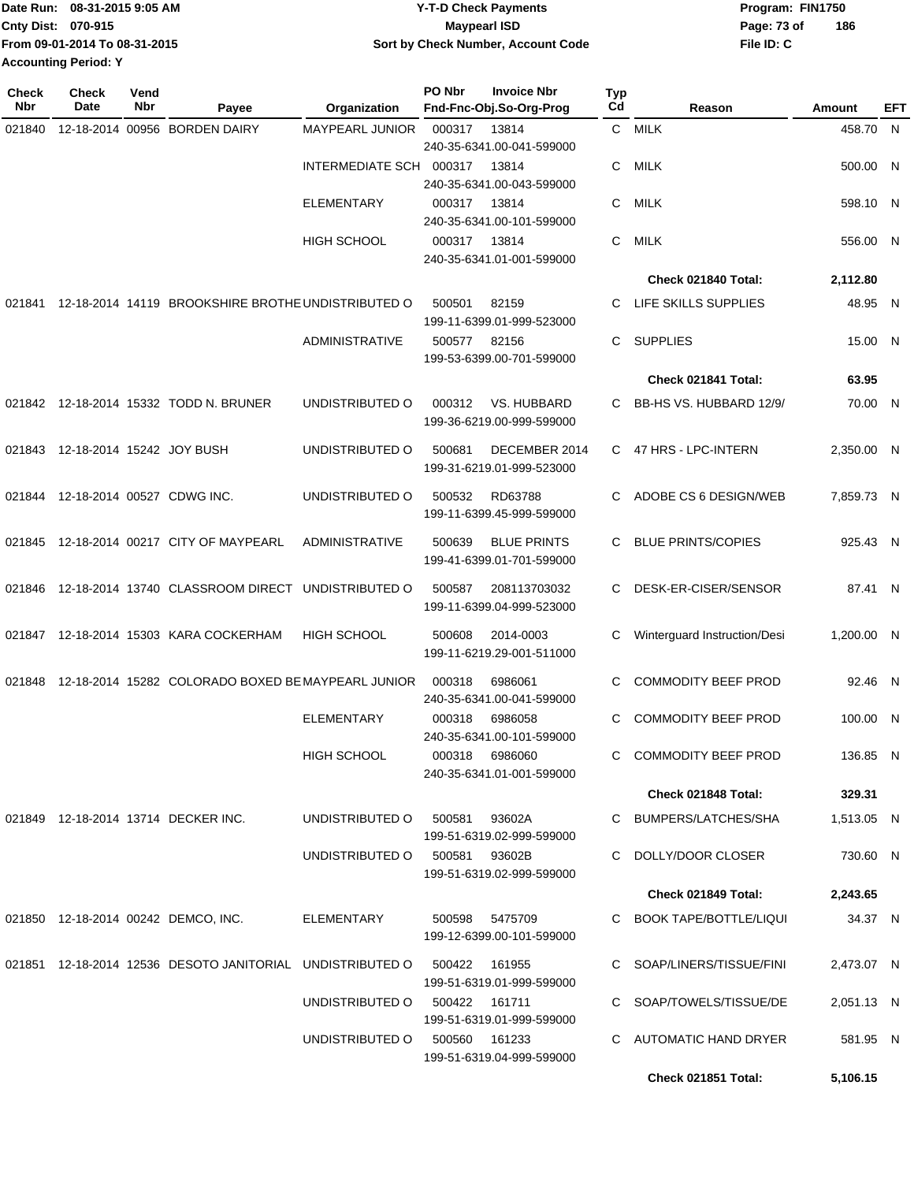| Date Run: 08-31-2015 9:05 AM |                               | <b>Y-T-D Check Payments</b>        | Program: FIN1750 |     |  |
|------------------------------|-------------------------------|------------------------------------|------------------|-----|--|
| Cnty Dist: 070-915           |                               | <b>Mavpearl ISD</b>                | Page: 73 of      | 186 |  |
|                              | From 09-01-2014 To 08-31-2015 | Sort by Check Number, Account Code | File ID: C       |     |  |
| <b>Accounting Period: Y</b>  |                               |                                    |                  |     |  |

| <b>Check</b><br>Nbr | <b>Check</b><br>Date              | Vend<br>Nbr | Payee                                                     | Organization                  | PO Nbr        | <b>Invoice Nbr</b><br>Fnd-Fnc-Obj.So-Org-Prog | Typ<br>Cd    | Reason                       | Amount     | EFT |
|---------------------|-----------------------------------|-------------|-----------------------------------------------------------|-------------------------------|---------------|-----------------------------------------------|--------------|------------------------------|------------|-----|
| 021840              |                                   |             | 12-18-2014 00956 BORDEN DAIRY                             | MAYPEARL JUNIOR               | 000317        | 13814                                         | $\mathbf{C}$ | <b>MILK</b>                  | 458.70 N   |     |
|                     |                                   |             |                                                           |                               |               | 240-35-6341.00-041-599000                     |              |                              |            |     |
|                     |                                   |             |                                                           | INTERMEDIATE SCH 000317       |               | 13814                                         | C            | MILK                         | 500.00 N   |     |
|                     |                                   |             |                                                           |                               |               | 240-35-6341.00-043-599000                     |              |                              |            |     |
|                     |                                   |             |                                                           | <b>ELEMENTARY</b>             | 000317        | 13814<br>240-35-6341.00-101-599000            | C.           | <b>MILK</b>                  | 598.10 N   |     |
|                     |                                   |             |                                                           | <b>HIGH SCHOOL</b>            | 000317        | 13814                                         | C            | <b>MILK</b>                  | 556.00 N   |     |
|                     |                                   |             |                                                           |                               |               | 240-35-6341.01-001-599000                     |              |                              |            |     |
|                     |                                   |             |                                                           |                               |               |                                               |              | Check 021840 Total:          | 2,112.80   |     |
| 021841              |                                   |             | 12-18-2014 14119 BROOKSHIRE BROTHE UNDISTRIBUTED O        |                               | 500501        | 82159                                         | C.           | LIFE SKILLS SUPPLIES         | 48.95 N    |     |
|                     |                                   |             |                                                           |                               |               | 199-11-6399.01-999-523000                     |              |                              |            |     |
|                     |                                   |             |                                                           | <b>ADMINISTRATIVE</b>         | 500577        | 82156                                         | C            | <b>SUPPLIES</b>              | 15.00 N    |     |
|                     |                                   |             |                                                           |                               |               | 199-53-6399.00-701-599000                     |              |                              |            |     |
|                     |                                   |             |                                                           |                               |               |                                               |              | Check 021841 Total:          | 63.95      |     |
|                     |                                   |             | 021842 12-18-2014 15332 TODD N. BRUNER                    | UNDISTRIBUTED O               | 000312        | VS. HUBBARD                                   | C            | BB-HS VS. HUBBARD 12/9/      | 70.00 N    |     |
|                     |                                   |             |                                                           |                               |               | 199-36-6219.00-999-599000                     |              |                              |            |     |
| 021843              | 12-18-2014 15242 JOY BUSH         |             |                                                           | UNDISTRIBUTED O               | 500681        | DECEMBER 2014                                 | C.           | 47 HRS - LPC-INTERN          | 2.350.00 N |     |
|                     |                                   |             |                                                           |                               |               | 199-31-6219.01-999-523000                     |              |                              |            |     |
|                     | 021844 12-18-2014 00527 CDWG INC. |             |                                                           | UNDISTRIBUTED O               | 500532        | RD63788                                       | C.           | ADOBE CS 6 DESIGN/WEB        | 7.859.73 N |     |
|                     |                                   |             |                                                           |                               |               | 199-11-6399.45-999-599000                     |              |                              |            |     |
| 021845              |                                   |             | 12-18-2014 00217 CITY OF MAYPEARL                         | <b>ADMINISTRATIVE</b>         | 500639        | <b>BLUE PRINTS</b>                            | C.           | <b>BLUE PRINTS/COPIES</b>    | 925.43 N   |     |
|                     |                                   |             |                                                           |                               |               | 199-41-6399.01-701-599000                     |              |                              |            |     |
|                     |                                   |             |                                                           |                               |               |                                               |              |                              |            |     |
| 021846              |                                   |             | 12-18-2014 13740 CLASSROOM DIRECT UNDISTRIBUTED O         |                               | 500587        | 208113703032<br>199-11-6399.04-999-523000     | C.           | DESK-ER-CISER/SENSOR         | 87.41 N    |     |
|                     |                                   |             |                                                           |                               |               |                                               |              |                              |            |     |
|                     |                                   |             | 021847 12-18-2014 15303 KARA COCKERHAM                    | <b>HIGH SCHOOL</b>            | 500608        | 2014-0003                                     | С            | Winterguard Instruction/Desi | 1,200.00 N |     |
|                     |                                   |             |                                                           |                               |               | 199-11-6219.29-001-511000                     |              |                              |            |     |
| 021848              |                                   |             | 12-18-2014 15282 COLORADO BOXED BE MAYPEARL JUNIOR        |                               | 000318        | 6986061                                       | C            | <b>COMMODITY BEEF PROD</b>   | 92.46 N    |     |
|                     |                                   |             |                                                           |                               |               | 240-35-6341.00-041-599000                     |              |                              |            |     |
|                     |                                   |             |                                                           | <b>ELEMENTARY</b>             | 000318        | 6986058<br>240-35-6341.00-101-599000          | C            | <b>COMMODITY BEEF PROD</b>   | 100.00 N   |     |
|                     |                                   |             |                                                           | <b>HIGH SCHOOL</b>            | 000318        | 6986060                                       |              | <b>COMMODITY BEEF PROD</b>   | 136.85 N   |     |
|                     |                                   |             |                                                           |                               |               | 240-35-6341.01-001-599000                     |              |                              |            |     |
|                     |                                   |             |                                                           |                               |               |                                               |              | Check 021848 Total:          | 329.31     |     |
|                     |                                   |             | 021849 12-18-2014 13714 DECKER INC.                       | UNDISTRIBUTED O               | 500581        | 93602A                                        |              | C BUMPERS/LATCHES/SHA        | 1,513.05 N |     |
|                     |                                   |             |                                                           |                               |               | 199-51-6319.02-999-599000                     |              |                              |            |     |
|                     |                                   |             |                                                           | UNDISTRIBUTED O 500581 93602B |               |                                               |              | C DOLLY/DOOR CLOSER          | 730.60 N   |     |
|                     |                                   |             |                                                           |                               |               | 199-51-6319.02-999-599000                     |              |                              |            |     |
|                     |                                   |             |                                                           |                               |               |                                               |              | Check 021849 Total:          | 2,243.65   |     |
|                     |                                   |             | 021850 12-18-2014 00242 DEMCO, INC.                       | ELEMENTARY                    |               | 500598 5475709                                |              | C BOOK TAPE/BOTTLE/LIQUI     | 34.37 N    |     |
|                     |                                   |             |                                                           |                               |               | 199-12-6399.00-101-599000                     |              |                              |            |     |
|                     |                                   |             | 021851 12-18-2014 12536 DESOTO JANITORIAL UNDISTRIBUTED O |                               | 500422        | 161955                                        |              | C SOAP/LINERS/TISSUE/FINI    | 2,473.07 N |     |
|                     |                                   |             |                                                           |                               |               | 199-51-6319.01-999-599000                     |              |                              |            |     |
|                     |                                   |             |                                                           | UNDISTRIBUTED O               | 500422 161711 |                                               |              | C SOAP/TOWELS/TISSUE/DE      | 2,051.13 N |     |
|                     |                                   |             |                                                           | UNDISTRIBUTED O               | 500560 161233 | 199-51-6319.01-999-599000                     |              | C AUTOMATIC HAND DRYER       |            |     |
|                     |                                   |             |                                                           |                               |               | 199-51-6319.04-999-599000                     |              |                              | 581.95 N   |     |
|                     |                                   |             |                                                           |                               |               |                                               |              | Check 021851 Total:          | 5,106.15   |     |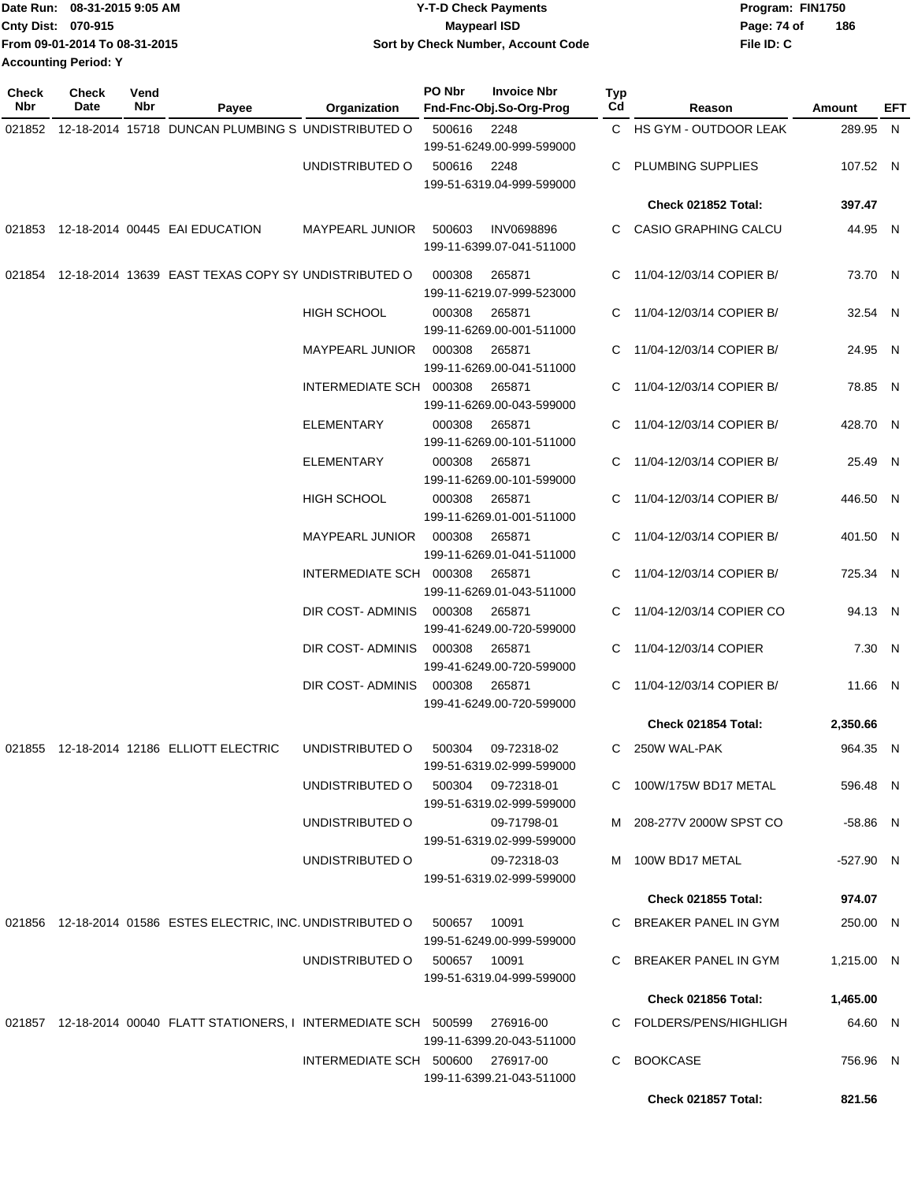|                             | Date Run: 08-31-2015 9:05 AM  | <b>Y-T-D Check Payments</b>        | Program: FIN1750 |     |  |  |
|-----------------------------|-------------------------------|------------------------------------|------------------|-----|--|--|
| Cnty Dist: 070-915          |                               | <b>Maypearl ISD</b>                | Page: 74 of      | 186 |  |  |
|                             | From 09-01-2014 To 08-31-2015 | Sort by Check Number, Account Code | File ID: C       |     |  |  |
| <b>Accounting Period: Y</b> |                               |                                    |                  |     |  |  |

**Check**

**Check**

| Check<br>Nbr | <b>Check</b><br>Date | Vend<br>Nbr | Payee                                                                         | <b>Organization</b>               | PO Nbr                              | <b>Invoice Nbr</b><br>Fnd-Fnc-Obj.So-Org-Prog   | Typ<br>Cd                  | Reason                     | <b>Amount</b> | EFT |
|--------------|----------------------|-------------|-------------------------------------------------------------------------------|-----------------------------------|-------------------------------------|-------------------------------------------------|----------------------------|----------------------------|---------------|-----|
|              |                      |             | 021852 12-18-2014 15718 DUNCAN PLUMBING S UNDISTRIBUTED O                     |                                   | 500616                              | 2248                                            |                            | C HS GYM - OUTDOOR LEAK    | 289.95 N      |     |
|              |                      |             |                                                                               |                                   |                                     | 199-51-6249.00-999-599000                       |                            |                            |               |     |
|              |                      |             |                                                                               | UNDISTRIBUTED O                   | 500616                              | 2248                                            | C                          | <b>PLUMBING SUPPLIES</b>   | 107.52 N      |     |
|              |                      |             |                                                                               |                                   |                                     | 199-51-6319.04-999-599000                       |                            |                            |               |     |
|              |                      |             |                                                                               |                                   |                                     |                                                 |                            | Check 021852 Total:        | 397.47        |     |
|              |                      |             | 021853 12-18-2014 00445 EAI EDUCATION                                         | MAYPEARL JUNIOR                   | 500603                              | <b>INV0698896</b><br>199-11-6399.07-041-511000  |                            | C CASIO GRAPHING CALCU     | 44.95 N       |     |
|              |                      |             | 021854 12-18-2014 13639 EAST TEXAS COPY SY UNDISTRIBUTED O                    |                                   | 000308                              | 265871<br>199-11-6219.07-999-523000             |                            | C 11/04-12/03/14 COPIER B/ | 73.70 N       |     |
|              |                      |             |                                                                               | <b>HIGH SCHOOL</b>                | 000308                              | 265871<br>199-11-6269.00-001-511000             |                            | C 11/04-12/03/14 COPIER B/ | 32.54 N       |     |
|              |                      |             |                                                                               | <b>MAYPEARL JUNIOR</b>            | 000308                              | 265871<br>199-11-6269.00-041-511000             |                            | 11/04-12/03/14 COPIER B/   | 24.95 N       |     |
|              |                      |             | INTERMEDIATE SCH 000308                                                       |                                   | 265871<br>199-11-6269.00-043-599000 | C                                               | 11/04-12/03/14 COPIER B/   | 78.85 N                    |               |     |
|              |                      |             |                                                                               | ELEMENTARY                        | 000308                              | 265871<br>199-11-6269.00-101-511000             |                            | C 11/04-12/03/14 COPIER B/ | 428.70 N      |     |
|              |                      |             | <b>ELEMENTARY</b>                                                             | 000308                            | 265871<br>199-11-6269.00-101-599000 |                                                 | C 11/04-12/03/14 COPIER B/ | 25.49 N                    |               |     |
|              |                      |             |                                                                               | <b>HIGH SCHOOL</b>                | 000308                              | 265871<br>199-11-6269.01-001-511000             |                            | C 11/04-12/03/14 COPIER B/ | 446.50 N      |     |
|              |                      |             | <b>MAYPEARL JUNIOR</b>                                                        | 000308                            | 265871<br>199-11-6269.01-041-511000 |                                                 | C 11/04-12/03/14 COPIER B/ | 401.50 N                   |               |     |
|              |                      |             | INTERMEDIATE SCH 000308                                                       |                                   | 265871<br>199-11-6269.01-043-511000 |                                                 | C 11/04-12/03/14 COPIER B/ | 725.34 N                   |               |     |
|              |                      |             |                                                                               | DIR COST-ADMINIS 000308           |                                     | 265871<br>199-41-6249.00-720-599000             |                            | C 11/04-12/03/14 COPIER CO | 94.13 N       |     |
|              |                      |             |                                                                               | DIR COST-ADMINIS 000308           |                                     | 265871<br>199-41-6249.00-720-599000             |                            | C 11/04-12/03/14 COPIER    | 7.30 N        |     |
|              |                      |             |                                                                               | DIR COST-ADMINIS                  | 000308                              | 265871<br>199-41-6249.00-720-599000             | C                          | 11/04-12/03/14 COPIER B/   | 11.66 N       |     |
|              |                      |             |                                                                               |                                   |                                     |                                                 |                            | Check 021854 Total:        | 2,350.66      |     |
|              |                      |             | 021855 12-18-2014 12186 ELLIOTT ELECTRIC                                      | UNDISTRIBUTED O                   | 500304                              | 09-72318-02<br>199-51-6319.02-999-599000        | C.                         | 250W WAL-PAK               | 964.35 N      |     |
|              |                      |             |                                                                               | UNDISTRIBUTED O                   |                                     | 500304 09-72318-01<br>199-51-6319.02-999-599000 |                            | C 100W/175W BD17 METAL     | 596.48 N      |     |
|              |                      |             |                                                                               | UNDISTRIBUTED O                   |                                     | 09-71798-01<br>199-51-6319.02-999-599000        |                            | M 208-277V 2000W SPST CO   | -58.86 N      |     |
|              |                      |             |                                                                               | UNDISTRIBUTED O                   |                                     | 09-72318-03<br>199-51-6319.02-999-599000        |                            | M 100W BD17 METAL          | -527.90 N     |     |
|              |                      |             |                                                                               |                                   |                                     |                                                 |                            | <b>Check 021855 Total:</b> | 974.07        |     |
|              |                      |             | 021856 12-18-2014 01586 ESTES ELECTRIC, INC. UNDISTRIBUTED O                  |                                   | 500657                              | 10091<br>199-51-6249.00-999-599000              |                            | C BREAKER PANEL IN GYM     | 250.00 N      |     |
|              |                      |             |                                                                               | UNDISTRIBUTED O 500657 10091      |                                     | 199-51-6319.04-999-599000                       |                            | C BREAKER PANEL IN GYM     | 1,215.00 N    |     |
|              |                      |             |                                                                               |                                   |                                     |                                                 |                            | Check 021856 Total:        | 1,465.00      |     |
|              |                      |             | 021857 12-18-2014 00040 FLATT STATIONERS, I INTERMEDIATE SCH 500599 276916-00 |                                   |                                     | 199-11-6399.20-043-511000                       |                            | C FOLDERS/PENS/HIGHLIGH    | 64.60 N       |     |
|              |                      |             |                                                                               | INTERMEDIATE SCH 500600 276917-00 |                                     | 199-11-6399.21-043-511000                       |                            | C BOOKCASE                 | 756.96 N      |     |
|              |                      |             |                                                                               |                                   |                                     |                                                 |                            | Check 021857 Total:        | 821.56        |     |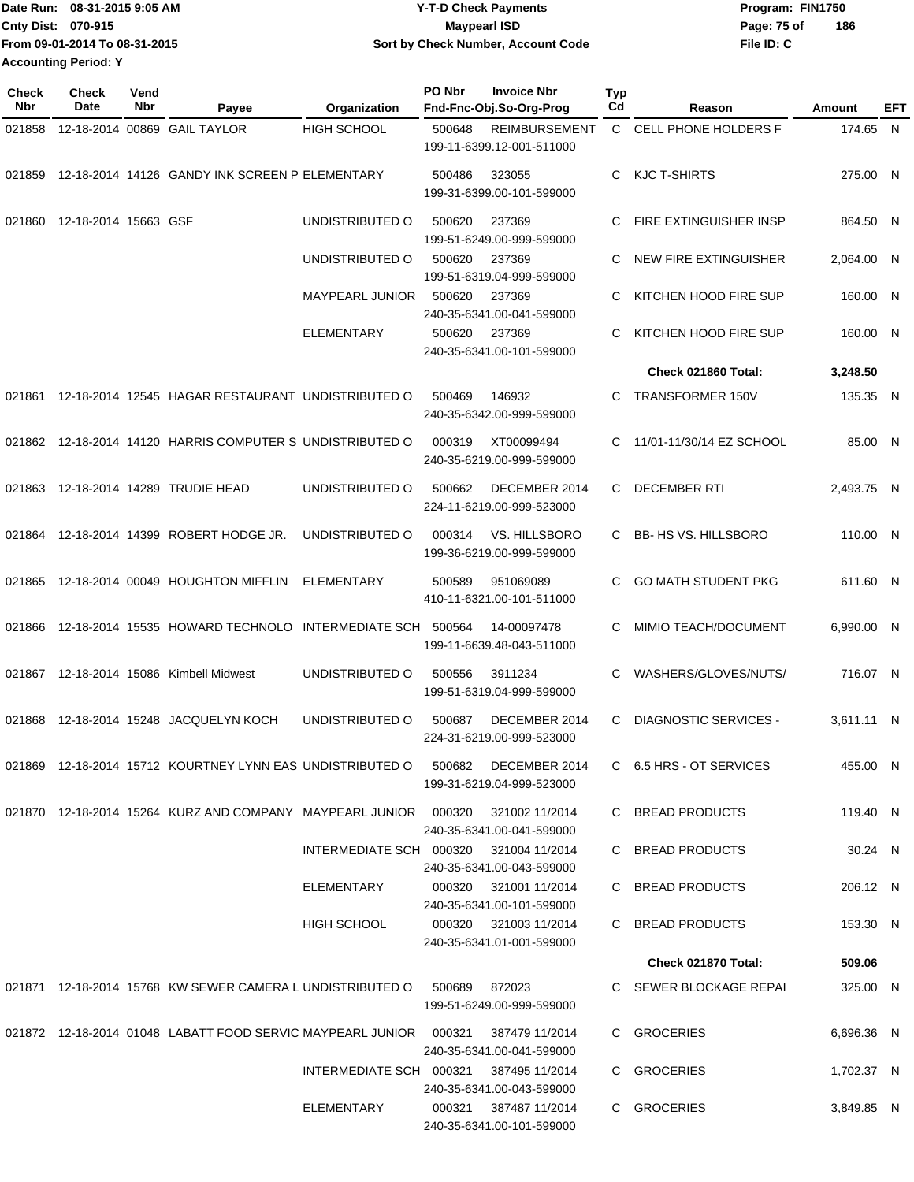|                             | ∎Date Run: 08-31-2015 9:05 AM | <b>Y-T-D Check Payments</b>        | Program: FIN1750   |  |  |  |
|-----------------------------|-------------------------------|------------------------------------|--------------------|--|--|--|
| <b>Cnty Dist: 070-915</b>   |                               | Maypearl ISD                       | 186<br>Page: 75 of |  |  |  |
|                             | From 09-01-2014 To 08-31-2015 | Sort by Check Number, Account Code | File ID: C         |  |  |  |
| <b>Accounting Period: Y</b> |                               |                                    |                    |  |  |  |

| <b>Check</b><br><b>Nbr</b> | <b>Check</b><br>Date | Vend<br>Nbr | Payee                                                                            | Organization                           | PO Nbr | <b>Invoice Nbr</b><br>Fnd-Fnc-Obj.So-Org-Prog      | <b>Typ</b><br>Cd | Reason                       | Amount     | EFT |
|----------------------------|----------------------|-------------|----------------------------------------------------------------------------------|----------------------------------------|--------|----------------------------------------------------|------------------|------------------------------|------------|-----|
| 021858                     |                      |             | 12-18-2014 00869 GAIL TAYLOR                                                     | <b>HIGH SCHOOL</b>                     | 500648 | <b>REIMBURSEMENT</b><br>199-11-6399.12-001-511000  | $\mathbf{C}$     | CELL PHONE HOLDERS F         | 174.65 N   |     |
| 021859                     |                      |             | 12-18-2014 14126 GANDY INK SCREEN P ELEMENTARY                                   |                                        | 500486 | 323055<br>199-31-6399.00-101-599000                | C                | KJC T-SHIRTS                 | 275.00 N   |     |
| 021860                     | 12-18-2014 15663 GSF |             |                                                                                  | UNDISTRIBUTED O                        | 500620 | 237369<br>199-51-6249.00-999-599000                | С                | FIRE EXTINGUISHER INSP       | 864.50 N   |     |
|                            |                      |             |                                                                                  | UNDISTRIBUTED O                        | 500620 | 237369<br>199-51-6319.04-999-599000                | С                | NEW FIRE EXTINGUISHER        | 2,064.00 N |     |
|                            |                      |             |                                                                                  | <b>MAYPEARL JUNIOR</b>                 | 500620 | 237369<br>240-35-6341.00-041-599000                | С                | KITCHEN HOOD FIRE SUP        | 160.00 N   |     |
|                            |                      |             |                                                                                  | <b>ELEMENTARY</b>                      | 500620 | 237369<br>240-35-6341.00-101-599000                | С                | KITCHEN HOOD FIRE SUP        | 160.00 N   |     |
|                            |                      |             |                                                                                  |                                        |        |                                                    |                  | Check 021860 Total:          | 3,248.50   |     |
| 021861                     |                      |             | 12-18-2014 12545 HAGAR RESTAURANT UNDISTRIBUTED O                                |                                        | 500469 | 146932<br>240-35-6342.00-999-599000                | C                | <b>TRANSFORMER 150V</b>      | 135.35 N   |     |
| 021862                     |                      |             | 12-18-2014 14120 HARRIS COMPUTER S UNDISTRIBUTED O                               |                                        | 000319 | XT00099494<br>240-35-6219.00-999-599000            | С                | 11/01-11/30/14 EZ SCHOOL     | 85.00 N    |     |
| 021863                     |                      |             | 12-18-2014 14289 TRUDIE HEAD                                                     | UNDISTRIBUTED O                        | 500662 | DECEMBER 2014<br>224-11-6219.00-999-523000         | С                | <b>DECEMBER RTI</b>          | 2,493.75 N |     |
| 021864                     |                      |             | 12-18-2014 14399 ROBERT HODGE JR.                                                | UNDISTRIBUTED O                        | 000314 | VS. HILLSBORO<br>199-36-6219.00-999-599000         | C.               | <b>BB-HS VS. HILLSBORO</b>   | 110.00 N   |     |
| 021865                     |                      |             | 12-18-2014 00049 HOUGHTON MIFFLIN                                                | <b>ELEMENTARY</b>                      | 500589 | 951069089<br>410-11-6321.00-101-511000             | C                | <b>GO MATH STUDENT PKG</b>   | 611.60 N   |     |
| 021866                     |                      |             | 12-18-2014 15535 HOWARD TECHNOLO INTERMEDIATE SCH                                |                                        | 500564 | 14-00097478<br>199-11-6639.48-043-511000           | С                | MIMIO TEACH/DOCUMENT         | 6,990.00 N |     |
| 021867                     |                      |             | 12-18-2014 15086 Kimbell Midwest                                                 | UNDISTRIBUTED O                        | 500556 | 3911234<br>199-51-6319.04-999-599000               | С                | WASHERS/GLOVES/NUTS/         | 716.07 N   |     |
| 021868                     |                      |             | 12-18-2014 15248 JACQUELYN KOCH                                                  | UNDISTRIBUTED O                        | 500687 | DECEMBER 2014<br>224-31-6219.00-999-523000         | С                | <b>DIAGNOSTIC SERVICES -</b> | 3,611.11 N |     |
|                            |                      |             | 021869 12-18-2014 15712 KOURTNEY LYNN EAS UNDISTRIBUTED O 500682 DECEMBER 2014   |                                        |        | 199-31-6219.04-999-523000                          |                  | C 6.5 HRS - OT SERVICES      | 455.00 N   |     |
|                            |                      |             | 021870 12-18-2014 15264 KURZ AND COMPANY MAYPEARL JUNIOR 000320 321002 11/2014   |                                        |        | 240-35-6341.00-041-599000                          |                  | C BREAD PRODUCTS             | 119.40 N   |     |
|                            |                      |             |                                                                                  | INTERMEDIATE SCH 000320 321004 11/2014 |        | 240-35-6341.00-043-599000                          |                  | C BREAD PRODUCTS             | 30.24 N    |     |
|                            |                      |             |                                                                                  | ELEMENTARY                             |        | 000320 321001 11/2014<br>240-35-6341.00-101-599000 |                  | C BREAD PRODUCTS             | 206.12 N   |     |
|                            |                      |             |                                                                                  | <b>HIGH SCHOOL</b>                     |        | 000320 321003 11/2014<br>240-35-6341.01-001-599000 |                  | C BREAD PRODUCTS             | 153.30 N   |     |
|                            |                      |             |                                                                                  |                                        |        |                                                    |                  | Check 021870 Total:          | 509.06     |     |
|                            |                      |             | 021871  12-18-2014  15768  KW SEWER CAMERA L UNDISTRIBUTED O  500689  872023     |                                        |        | 199-51-6249.00-999-599000                          |                  | C SEWER BLOCKAGE REPAI       | 325.00 N   |     |
|                            |                      |             | 021872 12-18-2014 01048 LABATT FOOD SERVIC MAYPEARL JUNIOR 000321 387479 11/2014 |                                        |        | 240-35-6341.00-041-599000                          |                  | C GROCERIES                  | 6,696.36 N |     |
|                            |                      |             |                                                                                  | INTERMEDIATE SCH 000321 387495 11/2014 |        | 240-35-6341.00-043-599000                          |                  | C GROCERIES                  | 1,702.37 N |     |
|                            |                      |             |                                                                                  | ELEMENTARY                             |        | 000321 387487 11/2014<br>240-35-6341.00-101-599000 |                  | C GROCERIES                  | 3,849.85 N |     |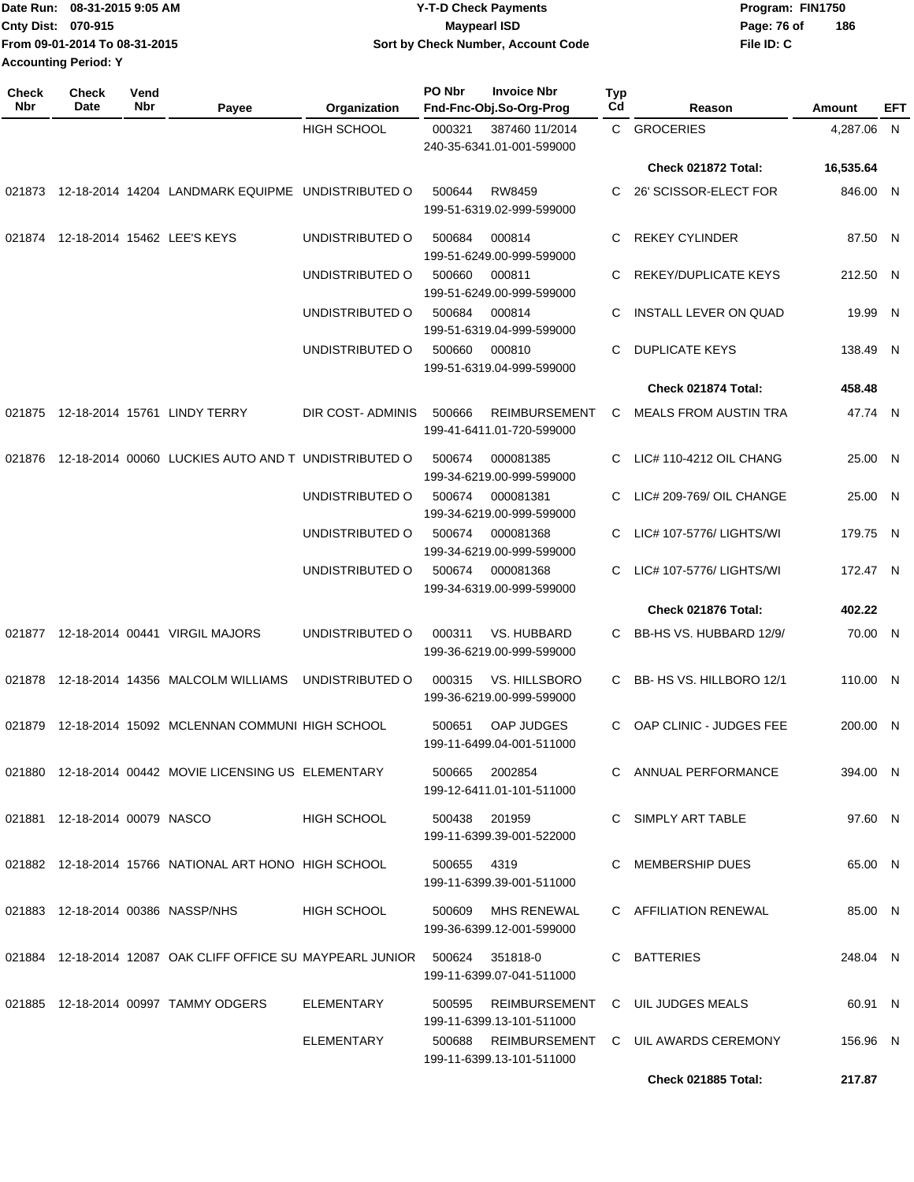|                             | IDate Run: 08-31-2015 9:05 AM | <b>Y-T-D Check Payments</b>        | Program: FIN1750   |  |  |  |
|-----------------------------|-------------------------------|------------------------------------|--------------------|--|--|--|
| <b>Cnty Dist: 070-915</b>   |                               | <b>Mavpearl ISD</b>                | 186<br>Page: 76 of |  |  |  |
|                             | From 09-01-2014 To 08-31-2015 | Sort by Check Number, Account Code | File ID: C         |  |  |  |
| <b>Accounting Period: Y</b> |                               |                                    |                    |  |  |  |

| <b>Check</b><br>Nbr | <b>Check</b><br>Date             | Vend<br>Nbr | Payee                                                              | Organization       | PO Nbr<br><b>Invoice Nbr</b><br>Fnd-Fnc-Obj.So-Org-Prog     | Typ<br>Cd | Reason                                     | Amount     | EFT |
|---------------------|----------------------------------|-------------|--------------------------------------------------------------------|--------------------|-------------------------------------------------------------|-----------|--------------------------------------------|------------|-----|
|                     |                                  |             |                                                                    | <b>HIGH SCHOOL</b> | 000321<br>387460 11/2014<br>240-35-6341.01-001-599000       |           | C GROCERIES                                | 4.287.06 N |     |
|                     |                                  |             |                                                                    |                    |                                                             |           | Check 021872 Total:                        | 16,535.64  |     |
|                     |                                  |             | 021873 12-18-2014 14204 LANDMARK EQUIPME UNDISTRIBUTED O           |                    | RW8459<br>500644<br>199-51-6319.02-999-599000               | C         | 26' SCISSOR-ELECT FOR                      | 846.00 N   |     |
| 021874              |                                  |             | 12-18-2014 15462 LEE'S KEYS                                        | UNDISTRIBUTED O    | 500684<br>000814<br>199-51-6249.00-999-599000               | C         | <b>REKEY CYLINDER</b>                      | 87.50 N    |     |
|                     |                                  |             |                                                                    | UNDISTRIBUTED O    | 500660<br>000811<br>199-51-6249.00-999-599000               | C         | REKEY/DUPLICATE KEYS                       | 212.50 N   |     |
|                     |                                  |             |                                                                    | UNDISTRIBUTED O    | 500684<br>000814<br>199-51-6319.04-999-599000               | C         | INSTALL LEVER ON QUAD                      | 19.99 N    |     |
|                     |                                  |             |                                                                    | UNDISTRIBUTED O    | 500660<br>000810<br>199-51-6319.04-999-599000               | C         | <b>DUPLICATE KEYS</b>                      | 138.49 N   |     |
|                     |                                  |             |                                                                    |                    |                                                             |           | Check 021874 Total:                        | 458.48     |     |
|                     |                                  |             | 021875 12-18-2014 15761 LINDY TERRY                                | DIR COST- ADMINIS  | 500666<br><b>REIMBURSEMENT</b><br>199-41-6411.01-720-599000 | C         | <b>MEALS FROM AUSTIN TRA</b>               | 47.74 N    |     |
| 021876              |                                  |             | 12-18-2014 00060 LUCKIES AUTO AND T UNDISTRIBUTED O                |                    | 500674<br>000081385<br>199-34-6219.00-999-599000            | C         | LIC# 110-4212 OIL CHANG                    | 25.00 N    |     |
|                     |                                  |             |                                                                    | UNDISTRIBUTED O    | 500674<br>000081381<br>199-34-6219.00-999-599000            | C         | LIC# 209-769/ OIL CHANGE                   | 25.00 N    |     |
|                     |                                  |             |                                                                    | UNDISTRIBUTED O    | 500674<br>000081368<br>199-34-6219.00-999-599000            | C         | LIC# 107-5776/ LIGHTS/WI                   | 179.75 N   |     |
|                     |                                  |             |                                                                    | UNDISTRIBUTED O    | 500674<br>000081368<br>199-34-6319.00-999-599000            | C.        | LIC# 107-5776/ LIGHTS/WI                   | 172.47 N   |     |
|                     |                                  |             |                                                                    |                    |                                                             |           | Check 021876 Total:                        | 402.22     |     |
| 021877              |                                  |             | 12-18-2014 00441 VIRGIL MAJORS                                     | UNDISTRIBUTED O    | VS. HUBBARD<br>000311<br>199-36-6219.00-999-599000          | C.        | BB-HS VS. HUBBARD 12/9/                    | 70.00 N    |     |
| 021878              |                                  |             | 12-18-2014 14356 MALCOLM WILLIAMS                                  | UNDISTRIBUTED O    | <b>VS. HILLSBORO</b><br>000315<br>199-36-6219.00-999-599000 | C.        | BB- HS VS. HILLBORO 12/1                   | 110.00 N   |     |
|                     |                                  |             | 021879 12-18-2014 15092 MCLENNAN COMMUNI HIGH SCHOOL               |                    | <b>OAP JUDGES</b><br>500651<br>199-11-6499.04-001-511000    | C         | OAP CLINIC - JUDGES FEE                    | 200.00 N   |     |
|                     |                                  |             | 021880 12-18-2014 00442 MOVIE LICENSING US ELEMENTARY              |                    | 500665<br>2002854<br>199-12-6411.01-101-511000              |           | C ANNUAL PERFORMANCE                       | 394.00 N   |     |
|                     | 021881  12-18-2014  00079  NASCO |             |                                                                    | HIGH SCHOOL        | 500438 201959<br>199-11-6399.39-001-522000                  |           | C SIMPLY ART TABLE                         | 97.60 N    |     |
|                     |                                  |             | 021882 12-18-2014 15766 NATIONAL ART HONO HIGH SCHOOL              |                    | 500655 4319<br>199-11-6399.39-001-511000                    |           | C MEMBERSHIP DUES                          | 65.00 N    |     |
|                     |                                  |             | 021883 12-18-2014 00386 NASSP/NHS                                  | HIGH SCHOOL        | 500609<br>MHS RENEWAL<br>199-36-6399.12-001-599000          |           | C AFFILIATION RENEWAL                      | 85.00 N    |     |
|                     |                                  |             | 021884 12-18-2014 12087 OAK CLIFF OFFICE SU MAYPEARL JUNIOR 500624 |                    | 351818-0<br>199-11-6399.07-041-511000                       |           | C BATTERIES                                | 248.04 N   |     |
|                     |                                  |             | 021885 12-18-2014 00997 TAMMY ODGERS                               | ELEMENTARY         | 500595<br>199-11-6399.13-101-511000                         |           | REIMBURSEMENT C UIL JUDGES MEALS           | 60.91 N    |     |
|                     |                                  |             |                                                                    | ELEMENTARY         | 199-11-6399.13-101-511000                                   |           | 500688 REIMBURSEMENT C UIL AWARDS CEREMONY | 156.96 N   |     |
|                     |                                  |             |                                                                    |                    |                                                             |           | <b>Check 021885 Total:</b>                 | 217.87     |     |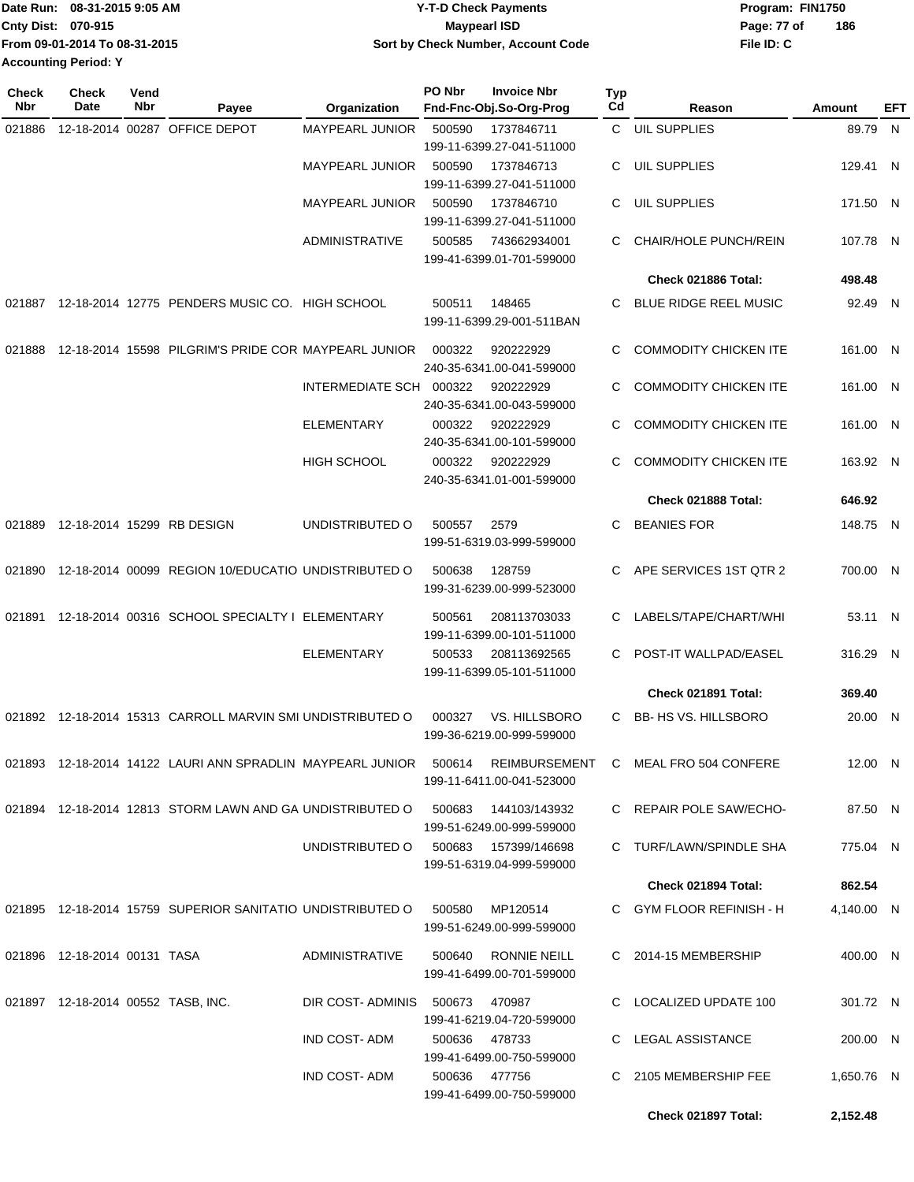|                             | Date Run: 08-31-2015 9:05 AM  | <b>Y-T-D Check Payments</b>        | Program: FIN1750   |  |  |  |
|-----------------------------|-------------------------------|------------------------------------|--------------------|--|--|--|
| <b>Cnty Dist: 070-915</b>   |                               | <b>Mavpearl ISD</b>                | 186<br>Page: 77 of |  |  |  |
|                             | From 09-01-2014 To 08-31-2015 | Sort by Check Number, Account Code | File ID: C         |  |  |  |
| <b>Accounting Period: Y</b> |                               |                                    |                    |  |  |  |

| <b>Check</b><br>Nbr | <b>Check</b><br><b>Date</b>        | Vend<br>Nbr | Payee                                                                  | Organization                         | PO Nbr | <b>Invoice Nbr</b><br>Fnd-Fnc-Obj.So-Org-Prog | Typ<br>Cd | Reason                       | Amount     | EFT |
|---------------------|------------------------------------|-------------|------------------------------------------------------------------------|--------------------------------------|--------|-----------------------------------------------|-----------|------------------------------|------------|-----|
| 021886              |                                    |             | 12-18-2014 00287 OFFICE DEPOT                                          | MAYPEARL JUNIOR                      | 500590 | 1737846711                                    |           | C UIL SUPPLIES               | 89.79 N    |     |
|                     |                                    |             |                                                                        |                                      |        | 199-11-6399.27-041-511000                     |           |                              |            |     |
|                     |                                    |             |                                                                        | <b>MAYPEARL JUNIOR</b>               | 500590 | 1737846713                                    | С         | <b>UIL SUPPLIES</b>          | 129.41 N   |     |
|                     |                                    |             |                                                                        |                                      |        | 199-11-6399.27-041-511000                     |           |                              |            |     |
|                     |                                    |             |                                                                        | <b>MAYPEARL JUNIOR</b>               | 500590 | 1737846710                                    | С         | UIL SUPPLIES                 | 171.50 N   |     |
|                     |                                    |             |                                                                        |                                      |        | 199-11-6399.27-041-511000                     |           |                              |            |     |
|                     |                                    |             |                                                                        | <b>ADMINISTRATIVE</b>                | 500585 | 743662934001                                  | С         | CHAIR/HOLE PUNCH/REIN        | 107.78 N   |     |
|                     |                                    |             |                                                                        |                                      |        | 199-41-6399.01-701-599000                     |           |                              |            |     |
|                     |                                    |             |                                                                        |                                      |        |                                               |           | Check 021886 Total:          | 498.48     |     |
|                     |                                    |             | 021887 12-18-2014 12775 PENDERS MUSIC CO. HIGH SCHOOL                  |                                      | 500511 | 148465                                        | С         | <b>BLUE RIDGE REEL MUSIC</b> | 92.49 N    |     |
|                     |                                    |             |                                                                        |                                      |        | 199-11-6399.29-001-511BAN                     |           |                              |            |     |
|                     |                                    |             |                                                                        |                                      |        |                                               |           |                              |            |     |
| 021888              |                                    |             | 12-18-2014 15598 PILGRIM'S PRIDE COR MAYPEARL JUNIOR                   |                                      | 000322 | 920222929                                     | С         | <b>COMMODITY CHICKEN ITE</b> | 161.00 N   |     |
|                     |                                    |             |                                                                        |                                      |        | 240-35-6341.00-041-599000                     |           | <b>COMMODITY CHICKEN ITE</b> |            |     |
|                     |                                    |             |                                                                        | INTERMEDIATE SCH                     | 000322 | 920222929<br>240-35-6341.00-043-599000        | С         |                              | 161.00 N   |     |
|                     |                                    |             |                                                                        | ELEMENTARY                           | 000322 | 920222929                                     | С         | <b>COMMODITY CHICKEN ITE</b> | 161.00 N   |     |
|                     |                                    |             |                                                                        |                                      |        | 240-35-6341.00-101-599000                     |           |                              |            |     |
|                     |                                    |             |                                                                        | <b>HIGH SCHOOL</b>                   | 000322 | 920222929                                     | С         | <b>COMMODITY CHICKEN ITE</b> | 163.92 N   |     |
|                     |                                    |             |                                                                        |                                      |        | 240-35-6341.01-001-599000                     |           |                              |            |     |
|                     |                                    |             |                                                                        |                                      |        |                                               |           | Check 021888 Total:          | 646.92     |     |
| 021889              |                                    |             | 12-18-2014 15299 RB DESIGN                                             | UNDISTRIBUTED O                      | 500557 | 2579                                          | С         | <b>BEANIES FOR</b>           | 148.75 N   |     |
|                     |                                    |             |                                                                        |                                      |        | 199-51-6319.03-999-599000                     |           |                              |            |     |
|                     |                                    |             |                                                                        |                                      |        |                                               |           |                              |            |     |
| 021890              |                                    |             | 12-18-2014 00099 REGION 10/EDUCATIO UNDISTRIBUTED O                    |                                      | 500638 | 128759                                        | C         | APE SERVICES 1ST QTR 2       | 700.00 N   |     |
|                     |                                    |             |                                                                        |                                      |        | 199-31-6239.00-999-523000                     |           |                              |            |     |
| 021891              |                                    |             | 12-18-2014 00316 SCHOOL SPECIALTY I ELEMENTARY                         |                                      | 500561 | 208113703033                                  | С         | LABELS/TAPE/CHART/WHI        | 53.11 N    |     |
|                     |                                    |             |                                                                        |                                      |        | 199-11-6399.00-101-511000                     |           |                              |            |     |
|                     |                                    |             |                                                                        | <b>ELEMENTARY</b>                    | 500533 | 208113692565                                  | C         | POST-IT WALLPAD/EASEL        | 316.29 N   |     |
|                     |                                    |             |                                                                        |                                      |        | 199-11-6399.05-101-511000                     |           |                              |            |     |
|                     |                                    |             |                                                                        |                                      |        |                                               |           | Check 021891 Total:          | 369.40     |     |
|                     |                                    |             | 021892 12-18-2014 15313 CARROLL MARVIN SMI UNDISTRIBUTED O             |                                      | 000327 | VS. HILLSBORO                                 | С         | BB- HS VS. HILLSBORO         | 20.00 N    |     |
|                     |                                    |             |                                                                        |                                      |        | 199-36-6219.00-999-599000                     |           |                              |            |     |
|                     |                                    |             |                                                                        |                                      |        |                                               |           |                              |            |     |
|                     |                                    |             | 021893  12-18-2014  14122  LAURI ANN SPRADLIN  MAYPEARL JUNIOR  500614 |                                      |        | REIMBURSEMENT                                 |           | C MEAL FRO 504 CONFERE       | 12.00 N    |     |
|                     |                                    |             |                                                                        |                                      |        | 199-11-6411.00-041-523000                     |           |                              |            |     |
|                     |                                    |             | 021894 12-18-2014 12813 STORM LAWN AND GA UNDISTRIBUTED O              |                                      |        |                                               |           | C REPAIR POLE SAW/ECHO-      | 87.50 N    |     |
|                     |                                    |             |                                                                        |                                      |        | 199-51-6249.00-999-599000                     |           |                              |            |     |
|                     |                                    |             |                                                                        | UNDISTRIBUTED O 500683 157399/146698 |        |                                               |           | C TURF/LAWN/SPINDLE SHA      | 775.04 N   |     |
|                     |                                    |             |                                                                        |                                      |        | 199-51-6319.04-999-599000                     |           |                              |            |     |
|                     |                                    |             |                                                                        |                                      |        |                                               |           | Check 021894 Total:          | 862.54     |     |
|                     |                                    |             | 021895 12-18-2014 15759 SUPERIOR SANITATIO UNDISTRIBUTED O             |                                      | 500580 | MP120514                                      |           | C GYM FLOOR REFINISH - H     | 4,140.00 N |     |
|                     |                                    |             |                                                                        |                                      |        | 199-51-6249.00-999-599000                     |           |                              |            |     |
|                     | 021896 12-18-2014 00131 TASA       |             |                                                                        | ADMINISTRATIVE                       |        | 500640 RONNIE NEILL                           |           | C 2014-15 MEMBERSHIP         | 400.00 N   |     |
|                     |                                    |             |                                                                        |                                      |        | 199-41-6499.00-701-599000                     |           |                              |            |     |
|                     |                                    |             |                                                                        |                                      |        |                                               |           |                              |            |     |
|                     | 021897 12-18-2014 00552 TASB, INC. |             |                                                                        | DIR COST-ADMINIS 500673              |        | 470987                                        |           | C LOCALIZED UPDATE 100       | 301.72 N   |     |
|                     |                                    |             |                                                                        |                                      |        | 199-41-6219.04-720-599000                     |           |                              |            |     |
|                     |                                    |             |                                                                        | IND COST- ADM                        | 500636 | 478733                                        |           | C LEGAL ASSISTANCE           | 200.00 N   |     |
|                     |                                    |             |                                                                        |                                      |        | 199-41-6499.00-750-599000                     |           |                              |            |     |
|                     |                                    |             |                                                                        | IND COST-ADM                         |        | 500636 477756<br>199-41-6499.00-750-599000    |           | C 2105 MEMBERSHIP FEE        | 1,650.76 N |     |
|                     |                                    |             |                                                                        |                                      |        |                                               |           |                              |            |     |
|                     |                                    |             |                                                                        |                                      |        |                                               |           | Check 021897 Total:          | 2,152.48   |     |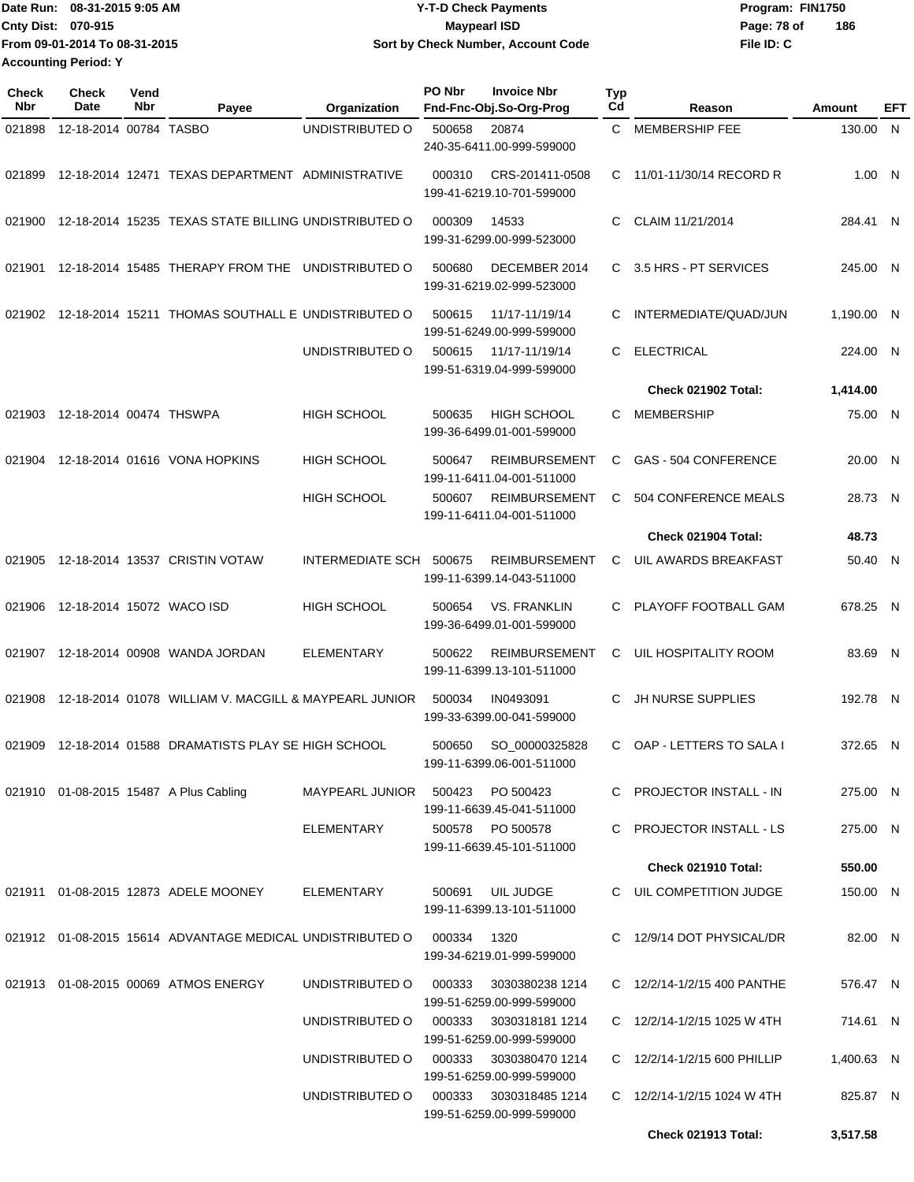| IDate Run: 08-31-2015 9:05 AM |                               | <b>Y-T-D Check Payments</b>        | Program: FIN1750   |  |  |  |
|-------------------------------|-------------------------------|------------------------------------|--------------------|--|--|--|
| <b>Cnty Dist: 070-915</b>     |                               | Maypearl ISD                       | 186<br>Page: 78 of |  |  |  |
|                               | From 09-01-2014 To 08-31-2015 | Sort by Check Number, Account Code | File ID: C         |  |  |  |
| <b>Accounting Period: Y</b>   |                               |                                    |                    |  |  |  |

| <b>Check</b><br>Nbr | Check<br>Date             | Vend<br>Nbr | Payee                                                                | Organization                           | PO Nbr | <b>Invoice Nbr</b><br>Fnd-Fnc-Obj.So-Org-Prog       | <b>Typ</b><br>Cd | Reason                       | Amount     | EFT |
|---------------------|---------------------------|-------------|----------------------------------------------------------------------|----------------------------------------|--------|-----------------------------------------------------|------------------|------------------------------|------------|-----|
| 021898              | 12-18-2014 00784 TASBO    |             |                                                                      | UNDISTRIBUTED O                        | 500658 | 20874<br>240-35-6411.00-999-599000                  | C.               | <b>MEMBERSHIP FEE</b>        | 130.00 N   |     |
| 021899              |                           |             | 12-18-2014 12471 TEXAS DEPARTMENT ADMINISTRATIVE                     |                                        | 000310 | CRS-201411-0508<br>199-41-6219.10-701-599000        | C.               | 11/01-11/30/14 RECORD R      | 1.00 N     |     |
| 021900              |                           |             | 12-18-2014 15235 TEXAS STATE BILLING UNDISTRIBUTED O                 |                                        | 000309 | 14533<br>199-31-6299.00-999-523000                  | C                | CLAIM 11/21/2014             | 284.41 N   |     |
| 021901              |                           |             | 12-18-2014 15485 THERAPY FROM THE                                    | UNDISTRIBUTED O                        | 500680 | DECEMBER 2014<br>199-31-6219.02-999-523000          | C                | 3.5 HRS - PT SERVICES        | 245.00 N   |     |
| 021902              |                           |             | 12-18-2014 15211 THOMAS SOUTHALL E UNDISTRIBUTED O                   |                                        | 500615 | 11/17-11/19/14<br>199-51-6249.00-999-599000         | С                | INTERMEDIATE/QUAD/JUN        | 1,190.00 N |     |
|                     |                           |             |                                                                      | UNDISTRIBUTED O                        | 500615 | 11/17-11/19/14<br>199-51-6319.04-999-599000         | C                | <b>ELECTRICAL</b>            | 224.00 N   |     |
|                     |                           |             |                                                                      |                                        |        |                                                     |                  | Check 021902 Total:          | 1,414.00   |     |
| 021903              | 12-18-2014 00474 THSWPA   |             |                                                                      | <b>HIGH SCHOOL</b>                     | 500635 | <b>HIGH SCHOOL</b><br>199-36-6499.01-001-599000     | C.               | <b>MEMBERSHIP</b>            | 75.00 N    |     |
| 021904              |                           |             | 12-18-2014 01616 VONA HOPKINS                                        | <b>HIGH SCHOOL</b>                     | 500647 | <b>REIMBURSEMENT</b><br>199-11-6411.04-001-511000   | C                | GAS - 504 CONFERENCE         | 20.00 N    |     |
|                     |                           |             |                                                                      | <b>HIGH SCHOOL</b>                     | 500607 | <b>REIMBURSEMENT</b><br>199-11-6411.04-001-511000   | С                | 504 CONFERENCE MEALS         | 28.73 N    |     |
|                     |                           |             |                                                                      |                                        |        |                                                     |                  | Check 021904 Total:          | 48.73      |     |
| 021905              |                           |             | 12-18-2014 13537 CRISTIN VOTAW                                       | INTERMEDIATE SCH                       | 500675 | <b>REIMBURSEMENT</b><br>199-11-6399.14-043-511000   | С                | UIL AWARDS BREAKFAST         | 50.40 N    |     |
| 021906              | 12-18-2014 15072 WACO ISD |             |                                                                      | <b>HIGH SCHOOL</b>                     | 500654 | <b>VS. FRANKLIN</b><br>199-36-6499.01-001-599000    | C                | PLAYOFF FOOTBALL GAM         | 678.25 N   |     |
| 021907              |                           |             | 12-18-2014 00908 WANDA JORDAN                                        | <b>ELEMENTARY</b>                      | 500622 | <b>REIMBURSEMENT</b><br>199-11-6399.13-101-511000   | C.               | UIL HOSPITALITY ROOM         | 83.69 N    |     |
| 021908              |                           |             | 12-18-2014 01078 WILLIAM V. MACGILL & MAYPEARL JUNIOR                |                                        | 500034 | IN0493091<br>199-33-6399.00-041-599000              | С                | JH NURSE SUPPLIES            | 192.78 N   |     |
| 021909              |                           |             | 12-18-2014 01588 DRAMATISTS PLAY SE HIGH SCHOOL                      |                                        | 500650 | SO_00000325828<br>199-11-6399.06-001-511000         | C.               | OAP - LETTERS TO SALA I      | 372.65 N   |     |
|                     |                           |             | 021910 01-08-2015 15487 A Plus Cabling                               | MAYPEARL JUNIOR                        |        | 500423 PO 500423<br>199-11-6639.45-041-511000       |                  | C PROJECTOR INSTALL - IN     | 275.00 N   |     |
|                     |                           |             |                                                                      | ELEMENTARY                             |        | 500578 PO 500578<br>199-11-6639.45-101-511000       |                  | C PROJECTOR INSTALL - LS     | 275.00 N   |     |
|                     |                           |             |                                                                      |                                        |        |                                                     |                  | Check 021910 Total:          | 550.00     |     |
|                     |                           |             | 021911  01-08-2015  12873  ADELE MOONEY                              | ELEMENTARY                             | 500691 | UIL JUDGE<br>199-11-6399.13-101-511000              |                  | C UIL COMPETITION JUDGE      | 150.00 N   |     |
|                     |                           |             | 021912  01-08-2015  15614  ADVANTAGE MEDICAL UNDISTRIBUTED O  000334 |                                        |        | 1320<br>199-34-6219.01-999-599000                   |                  | C 12/9/14 DOT PHYSICAL/DR    | 82.00 N    |     |
|                     |                           |             | 021913 01-08-2015 00069 ATMOS ENERGY                                 | UNDISTRIBUTED O                        | 000333 | 3030380238 1214<br>199-51-6259.00-999-599000        |                  | C 12/2/14-1/2/15 400 PANTHE  | 576.47 N   |     |
|                     |                           |             |                                                                      | UNDISTRIBUTED O 000333 3030318181 1214 |        | 199-51-6259.00-999-599000                           |                  | C 12/2/14-1/2/15 1025 W 4TH  | 714.61 N   |     |
|                     |                           |             |                                                                      | UNDISTRIBUTED O                        | 000333 | 3030380470 1214<br>199-51-6259.00-999-599000        |                  | C 12/2/14-1/2/15 600 PHILLIP | 1,400.63 N |     |
|                     |                           |             |                                                                      | UNDISTRIBUTED O                        |        | 000333 3030318485 1214<br>199-51-6259.00-999-599000 |                  | C 12/2/14-1/2/15 1024 W 4TH  | 825.87 N   |     |
|                     |                           |             |                                                                      |                                        |        |                                                     |                  | Check 021913 Total:          | 3,517.58   |     |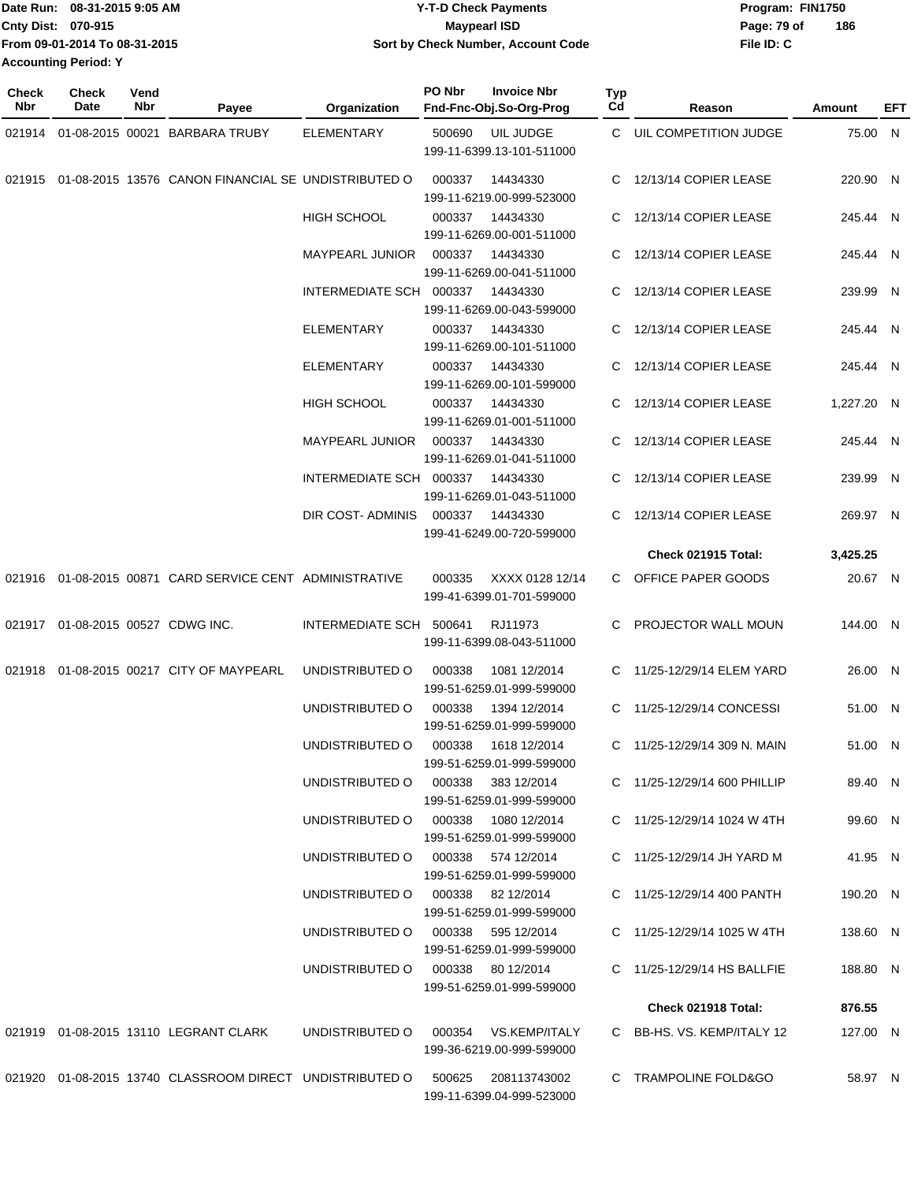|                             | Date Run: 08-31-2015 9:05 AM  | <b>Y-T-D Check Payments</b>        | Program: FIN1750 |     |
|-----------------------------|-------------------------------|------------------------------------|------------------|-----|
| <b>Cnty Dist: 070-915</b>   |                               | <b>Mavpearl ISD</b>                | Page: 79 of      | 186 |
|                             | From 09-01-2014 To 08-31-2015 | Sort by Check Number, Account Code | File ID: C       |     |
| <b>Accounting Period: Y</b> |                               |                                    |                  |     |

| <b>Check</b><br>Nbr | <b>Check</b><br>Date | Vend<br>Nbr | Payee                                                      | Organization            | PO Nbr | <b>Invoice Nbr</b><br>Fnd-Fnc-Obj.So-Org-Prog     | <b>Typ</b><br>Cd | Reason                        | Amount     | EFT |
|---------------------|----------------------|-------------|------------------------------------------------------------|-------------------------|--------|---------------------------------------------------|------------------|-------------------------------|------------|-----|
|                     |                      |             | 021914 01-08-2015 00021 BARBARA TRUBY                      | ELEMENTARY              | 500690 | UIL JUDGE<br>199-11-6399.13-101-511000            |                  | C UIL COMPETITION JUDGE       | 75.00 N    |     |
|                     |                      |             | 021915 01-08-2015 13576 CANON FINANCIAL SE UNDISTRIBUTED O |                         | 000337 | 14434330<br>199-11-6219.00-999-523000             | C.               | 12/13/14 COPIER LEASE         | 220.90 N   |     |
|                     |                      |             |                                                            | <b>HIGH SCHOOL</b>      | 000337 | 14434330<br>199-11-6269.00-001-511000             | C.               | 12/13/14 COPIER LEASE         | 245.44 N   |     |
|                     |                      |             |                                                            | <b>MAYPEARL JUNIOR</b>  | 000337 | 14434330<br>199-11-6269.00-041-511000             | C.               | 12/13/14 COPIER LEASE         | 245.44 N   |     |
|                     |                      |             |                                                            | INTERMEDIATE SCH 000337 |        | 14434330<br>199-11-6269.00-043-599000             | C.               | 12/13/14 COPIER LEASE         | 239.99 N   |     |
|                     |                      |             |                                                            | <b>ELEMENTARY</b>       | 000337 | 14434330<br>199-11-6269.00-101-511000             | C.               | 12/13/14 COPIER LEASE         | 245.44 N   |     |
|                     |                      |             |                                                            | ELEMENTARY              | 000337 | 14434330<br>199-11-6269.00-101-599000             | C.               | 12/13/14 COPIER LEASE         | 245.44 N   |     |
|                     |                      |             |                                                            | <b>HIGH SCHOOL</b>      | 000337 | 14434330<br>199-11-6269.01-001-511000             |                  | 12/13/14 COPIER LEASE         | 1,227.20 N |     |
|                     |                      |             |                                                            | <b>MAYPEARL JUNIOR</b>  | 000337 | 14434330<br>199-11-6269.01-041-511000             | C.               | 12/13/14 COPIER LEASE         | 245.44 N   |     |
|                     |                      |             |                                                            | INTERMEDIATE SCH 000337 |        | 14434330<br>199-11-6269.01-043-511000             | C                | 12/13/14 COPIER LEASE         | 239.99 N   |     |
|                     |                      |             |                                                            | DIR COST- ADMINIS       | 000337 | 14434330<br>199-41-6249.00-720-599000             | C.               | 12/13/14 COPIER LEASE         | 269.97 N   |     |
|                     |                      |             |                                                            |                         |        |                                                   |                  | Check 021915 Total:           | 3,425.25   |     |
|                     |                      |             | 021916 01-08-2015 00871 CARD SERVICE CENT ADMINISTRATIVE   |                         | 000335 | XXXX 0128 12/14<br>199-41-6399.01-701-599000      | C.               | OFFICE PAPER GOODS            | 20.67 N    |     |
| 021917              |                      |             | 01-08-2015 00527 CDWG INC.                                 | INTERMEDIATE SCH        | 500641 | RJ11973<br>199-11-6399.08-043-511000              |                  | C PROJECTOR WALL MOUN         | 144.00 N   |     |
| 021918              |                      |             | 01-08-2015 00217 CITY OF MAYPEARL                          | UNDISTRIBUTED O         | 000338 | 1081 12/2014<br>199-51-6259.01-999-599000         | C.               | 11/25-12/29/14 ELEM YARD      | 26.00 N    |     |
|                     |                      |             |                                                            | UNDISTRIBUTED O         | 000338 | 1394 12/2014<br>199-51-6259.01-999-599000         | C.               | 11/25-12/29/14 CONCESSI       | 51.00 N    |     |
|                     |                      |             |                                                            | UNDISTRIBUTED O         | 000338 | 1618 12/2014<br>199-51-6259.01-999-599000         | C.               | 11/25-12/29/14 309 N. MAIN    | 51.00 N    |     |
|                     |                      |             |                                                            | UNDISTRIBUTED O         | 000338 | 383 12/2014<br>199-51-6259.01-999-599000          |                  | C 11/25-12/29/14 600 PHILLIP  | 89.40 N    |     |
|                     |                      |             |                                                            | UNDISTRIBUTED O         |        | 000338 1080 12/2014<br>199-51-6259.01-999-599000  |                  | C $11/25-12/29/14$ 1024 W 4TH | 99.60 N    |     |
|                     |                      |             |                                                            | UNDISTRIBUTED O         |        | 000338 574 12/2014<br>199-51-6259.01-999-599000   |                  | C 11/25-12/29/14 JH YARD M    | 41.95 N    |     |
|                     |                      |             |                                                            | UNDISTRIBUTED O         |        | 000338 82 12/2014<br>199-51-6259.01-999-599000    |                  | C 11/25-12/29/14 400 PANTH    | 190.20 N   |     |
|                     |                      |             |                                                            | UNDISTRIBUTED O         |        | 000338 595 12/2014<br>199-51-6259.01-999-599000   |                  | C 11/25-12/29/14 1025 W 4TH   | 138.60 N   |     |
|                     |                      |             |                                                            | UNDISTRIBUTED O         |        | 000338 80 12/2014<br>199-51-6259.01-999-599000    |                  | C 11/25-12/29/14 HS BALLFIE   | 188.80 N   |     |
|                     |                      |             |                                                            |                         |        |                                                   |                  | Check 021918 Total:           | 876.55     |     |
|                     |                      |             | 021919 01-08-2015 13110 LEGRANT CLARK                      | UNDISTRIBUTED O         |        | 000354 VS.KEMP/ITALY<br>199-36-6219.00-999-599000 |                  | C BB-HS, VS, KEMP/ITALY 12    | 127.00 N   |     |
|                     |                      |             | 021920 01-08-2015 13740 CLASSROOM DIRECT UNDISTRIBUTED O   |                         | 500625 | 208113743002<br>199-11-6399.04-999-523000         |                  | C TRAMPOLINE FOLD&GO          | 58.97 N    |     |
|                     |                      |             |                                                            |                         |        |                                                   |                  |                               |            |     |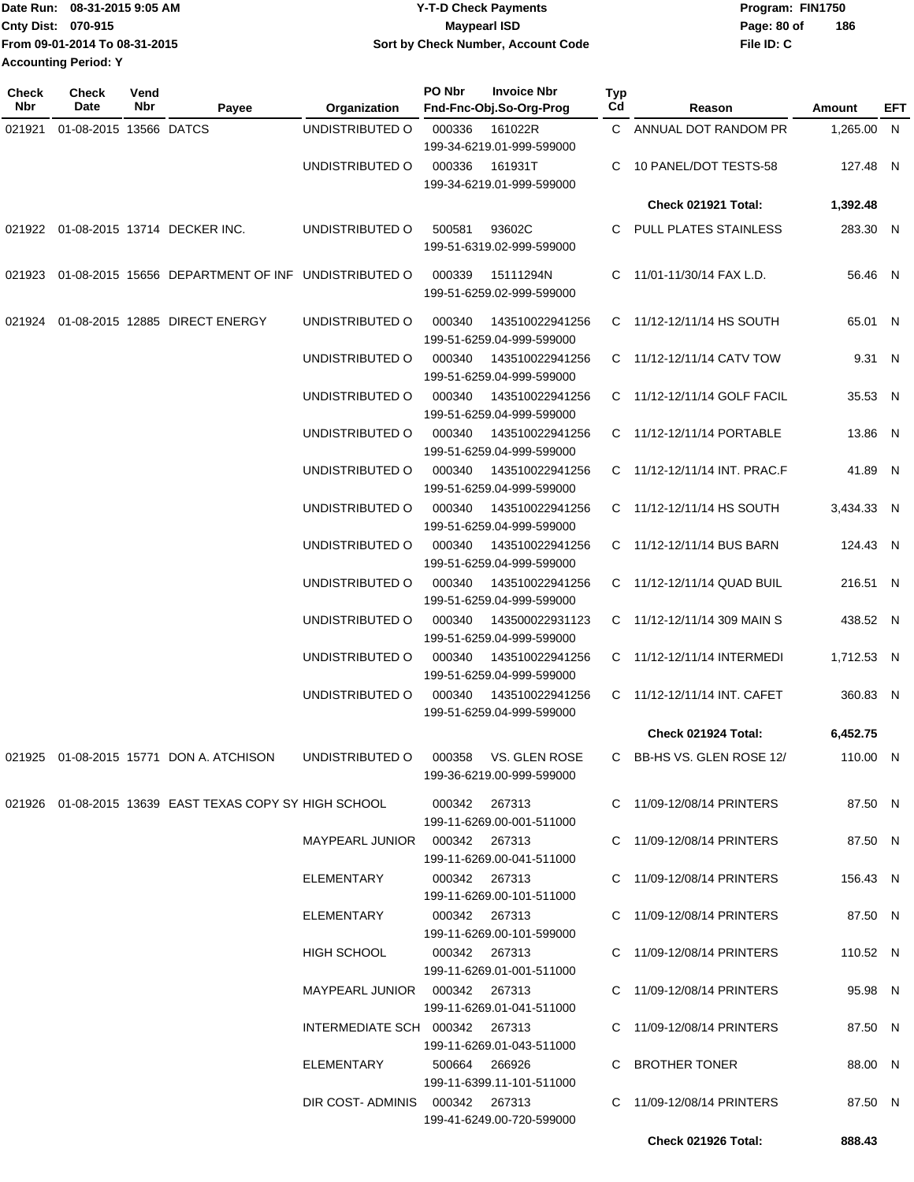| Date Run: 08-31-2015 9:05 AM  | <b>Y-T-D Check Payments</b>        | Program: FIN1750   |
|-------------------------------|------------------------------------|--------------------|
| Cnty Dist: 070-915            | <b>Mavpearl ISD</b>                | 186<br>Page: 80 of |
| From 09-01-2014 To 08-31-2015 | Sort by Check Number, Account Code | File ID: C         |
| <b>Accounting Period: Y</b>   |                                    |                    |

| <b>Check</b><br><b>Nbr</b> | Check<br>Date          | Vend<br>Nbr | Payee                                                                        | Organization                    | PO Nbr                    | <b>Invoice Nbr</b><br>Fnd-Fnc-Obj.So-Org-Prog | Typ<br>Cd | Reason                       | Amount     | EFT |
|----------------------------|------------------------|-------------|------------------------------------------------------------------------------|---------------------------------|---------------------------|-----------------------------------------------|-----------|------------------------------|------------|-----|
| 021921                     | 01-08-2015 13566 DATCS |             |                                                                              | UNDISTRIBUTED O                 | 000336                    | 161022R                                       |           | C ANNUAL DOT RANDOM PR       | 1,265.00 N |     |
|                            |                        |             |                                                                              |                                 | 199-34-6219.01-999-599000 |                                               | C.        |                              |            |     |
|                            |                        |             |                                                                              | UNDISTRIBUTED O                 | 000336                    | 161931T<br>199-34-6219.01-999-599000          |           | 10 PANEL/DOT TESTS-58        | 127.48 N   |     |
|                            |                        |             |                                                                              |                                 |                           |                                               |           | <b>Check 021921 Total:</b>   | 1,392.48   |     |
|                            |                        |             | 021922 01-08-2015 13714 DECKER INC.                                          | UNDISTRIBUTED O                 | 500581                    | 93602C<br>199-51-6319.02-999-599000           |           | C PULL PLATES STAINLESS      | 283.30 N   |     |
|                            |                        |             | 021923 01-08-2015 15656 DEPARTMENT OF INF UNDISTRIBUTED O                    |                                 | 000339                    | 15111294N<br>199-51-6259.02-999-599000        |           | C 11/01-11/30/14 FAX L.D.    | 56.46 N    |     |
| 021924                     |                        |             | 01-08-2015 12885 DIRECT ENERGY                                               | UNDISTRIBUTED O                 | 000340                    | 143510022941256<br>199-51-6259.04-999-599000  |           | C 11/12-12/11/14 HS SOUTH    | 65.01 N    |     |
|                            |                        |             |                                                                              | UNDISTRIBUTED O                 | 000340                    | 143510022941256<br>199-51-6259.04-999-599000  |           | C 11/12-12/11/14 CATV TOW    | 9.31 N     |     |
|                            |                        |             |                                                                              | UNDISTRIBUTED O                 | 000340                    | 143510022941256<br>199-51-6259.04-999-599000  |           | C 11/12-12/11/14 GOLF FACIL  | 35.53 N    |     |
|                            |                        |             |                                                                              | UNDISTRIBUTED O                 | 000340                    | 143510022941256                               |           | C 11/12-12/11/14 PORTABLE    | 13.86 N    |     |
|                            |                        |             |                                                                              | UNDISTRIBUTED O                 | 000340                    | 199-51-6259.04-999-599000<br>143510022941256  |           | C 11/12-12/11/14 INT. PRAC.F | 41.89 N    |     |
|                            |                        |             |                                                                              |                                 |                           | 199-51-6259.04-999-599000                     |           |                              |            |     |
|                            |                        |             |                                                                              | UNDISTRIBUTED O                 | 000340                    | 143510022941256<br>199-51-6259.04-999-599000  |           | C 11/12-12/11/14 HS SOUTH    | 3.434.33 N |     |
|                            |                        |             |                                                                              | UNDISTRIBUTED O                 | 000340                    | 143510022941256<br>199-51-6259.04-999-599000  |           | C 11/12-12/11/14 BUS BARN    | 124.43 N   |     |
|                            |                        |             |                                                                              | UNDISTRIBUTED O                 | 000340                    | 143510022941256<br>199-51-6259.04-999-599000  |           | C 11/12-12/11/14 QUAD BUIL   | 216.51 N   |     |
|                            |                        |             |                                                                              | UNDISTRIBUTED O                 | 000340                    | 143500022931123<br>199-51-6259.04-999-599000  |           | C 11/12-12/11/14 309 MAIN S  | 438.52 N   |     |
|                            |                        |             |                                                                              | UNDISTRIBUTED O                 | 000340                    | 143510022941256<br>199-51-6259.04-999-599000  |           | C 11/12-12/11/14 INTERMEDI   | 1,712.53 N |     |
|                            |                        |             |                                                                              | UNDISTRIBUTED O                 | 000340                    | 143510022941256<br>199-51-6259.04-999-599000  |           | C 11/12-12/11/14 INT. CAFET  | 360.83 N   |     |
|                            |                        |             |                                                                              |                                 |                           |                                               |           | Check 021924 Total:          | 6,452.75   |     |
|                            |                        |             | 021925 01-08-2015 15771 DON A. ATCHISON UNDISTRIBUTED O 000358 VS. GLEN ROSE |                                 |                           | 199-36-6219.00-999-599000                     |           | C BB-HS VS. GLEN ROSE 12/    | 110.00 N   |     |
|                            |                        |             | 021926 01-08-2015 13639 EAST TEXAS COPY SY HIGH SCHOOL                       |                                 | 000342 267313             | 199-11-6269.00-001-511000                     |           | C 11/09-12/08/14 PRINTERS    | 87.50 N    |     |
|                            |                        |             |                                                                              | MAYPEARL JUNIOR  000342  267313 |                           | 199-11-6269.00-041-511000                     |           | C 11/09-12/08/14 PRINTERS    | 87.50 N    |     |
|                            |                        |             |                                                                              | ELEMENTARY                      | 000342 267313             | 199-11-6269.00-101-511000                     |           | C 11/09-12/08/14 PRINTERS    | 156.43 N   |     |
|                            |                        |             |                                                                              | ELEMENTARY                      | 000342  267313            | 199-11-6269.00-101-599000                     |           | C 11/09-12/08/14 PRINTERS    | 87.50 N    |     |
|                            |                        |             |                                                                              | HIGH SCHOOL                     | 000342  267313            | 199-11-6269.01-001-511000                     |           | C 11/09-12/08/14 PRINTERS    | 110.52 N   |     |
|                            |                        |             |                                                                              | MAYPEARL JUNIOR  000342  267313 |                           | 199-11-6269.01-041-511000                     |           | C 11/09-12/08/14 PRINTERS    | 95.98 N    |     |
|                            |                        |             |                                                                              | INTERMEDIATE SCH 000342 267313  |                           | 199-11-6269.01-043-511000                     |           | C 11/09-12/08/14 PRINTERS    | 87.50 N    |     |
|                            |                        |             |                                                                              | ELEMENTARY                      | 500664 266926             | 199-11-6399.11-101-511000                     |           | C BROTHER TONER              | 88.00 N    |     |
|                            |                        |             |                                                                              | DIR COST-ADMINIS 000342 267313  |                           | 199-41-6249.00-720-599000                     |           | C 11/09-12/08/14 PRINTERS    | 87.50 N    |     |
|                            |                        |             |                                                                              |                                 |                           |                                               |           | Check 021926 Total:          | 888.43     |     |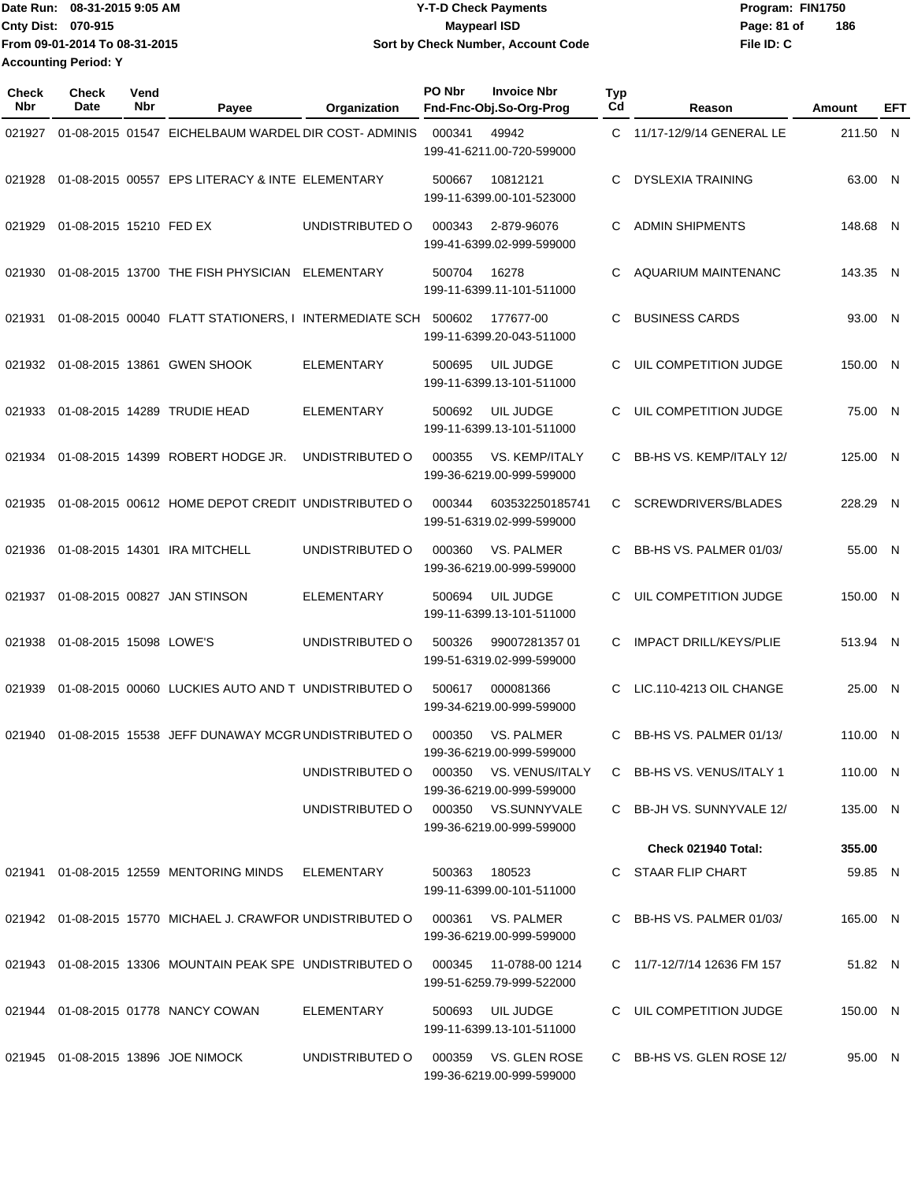**From 09-01-2014 To 08-31-2015 Accounting Period: Y**

## Date Run: 08-31-2015 9:05 AM **CONTEX 18 CONTEXNMENT CONTEXNMENT PROGRAM: FIN1750** Program: FIN1750 **Cnty Dist:** 070-915 **Page: 81 of** Maypearl ISD **Contract Definition** Page: 81 of **08-31-2015 9:05 AM Y-T-D Check Payments 070-915 Maypearl ISD Sort by Check Number, Account Code**

**File ID: C 186**

| <b>Check</b><br>Nbr | Check<br>Date           | Vend<br>Nbr | Payee                                                      | Organization      | PO Nbr | <b>Invoice Nbr</b><br>Fnd-Fnc-Obj.So-Org-Prog       | <b>Typ</b><br>Cd | Reason                        | <b>Amount</b> | <b>EFT</b> |
|---------------------|-------------------------|-------------|------------------------------------------------------------|-------------------|--------|-----------------------------------------------------|------------------|-------------------------------|---------------|------------|
| 021927              |                         |             | 01-08-2015 01547 EICHELBAUM WARDEL DIR COST-ADMINIS        |                   | 000341 | 49942<br>199-41-6211.00-720-599000                  |                  | C 11/17-12/9/14 GENERAL LE    | 211.50 N      |            |
| 021928              |                         |             | 01-08-2015 00557 EPS LITERACY & INTE ELEMENTARY            |                   | 500667 | 10812121<br>199-11-6399.00-101-523000               | С                | <b>DYSLEXIA TRAINING</b>      | 63.00 N       |            |
| 021929              | 01-08-2015 15210 FED EX |             |                                                            | UNDISTRIBUTED O   | 000343 | 2-879-96076<br>199-41-6399.02-999-599000            | С                | <b>ADMIN SHIPMENTS</b>        | 148.68 N      |            |
| 021930              |                         |             | 01-08-2015 13700 THE FISH PHYSICIAN                        | ELEMENTARY        | 500704 | 16278<br>199-11-6399.11-101-511000                  | С                | AQUARIUM MAINTENANC           | 143.35 N      |            |
| 021931              |                         |             | 01-08-2015 00040 FLATT STATIONERS, I INTERMEDIATE SCH      |                   | 500602 | 177677-00<br>199-11-6399.20-043-511000              | С                | <b>BUSINESS CARDS</b>         | 93.00 N       |            |
|                     |                         |             | 021932  01-08-2015  13861  GWEN SHOOK                      | <b>ELEMENTARY</b> | 500695 | UIL JUDGE<br>199-11-6399.13-101-511000              | С                | UIL COMPETITION JUDGE         | 150.00 N      |            |
| 021933              |                         |             | 01-08-2015 14289 TRUDIE HEAD                               | <b>ELEMENTARY</b> | 500692 | UIL JUDGE<br>199-11-6399.13-101-511000              | C                | UIL COMPETITION JUDGE         | 75.00 N       |            |
| 021934              |                         |             | 01-08-2015 14399 ROBERT HODGE JR.                          | UNDISTRIBUTED O   | 000355 | VS. KEMP/ITALY<br>199-36-6219.00-999-599000         | С                | BB-HS VS. KEMP/ITALY 12/      | 125.00 N      |            |
| 021935              |                         |             | 01-08-2015 00612 HOME DEPOT CREDIT UNDISTRIBUTED O         |                   | 000344 | 603532250185741<br>199-51-6319.02-999-599000        | C                | SCREWDRIVERS/BLADES           | 228.29 N      |            |
| 021936              |                         |             | 01-08-2015 14301 IRA MITCHELL                              | UNDISTRIBUTED O   | 000360 | VS. PALMER<br>199-36-6219.00-999-599000             | С                | BB-HS VS. PALMER 01/03/       | 55.00 N       |            |
| 021937              |                         |             | 01-08-2015 00827 JAN STINSON                               | <b>ELEMENTARY</b> | 500694 | <b>UIL JUDGE</b><br>199-11-6399.13-101-511000       | С                | UIL COMPETITION JUDGE         | 150.00 N      |            |
| 021938              | 01-08-2015 15098 LOWE'S |             |                                                            | UNDISTRIBUTED O   | 500326 | 99007281357 01<br>199-51-6319.02-999-599000         | С                | <b>IMPACT DRILL/KEYS/PLIE</b> | 513.94 N      |            |
| 021939              |                         |             | 01-08-2015 00060 LUCKIES AUTO AND T UNDISTRIBUTED O        |                   | 500617 | 000081366<br>199-34-6219.00-999-599000              | С                | LIC.110-4213 OIL CHANGE       | 25.00 N       |            |
|                     |                         |             | 021940 01-08-2015 15538 JEFF DUNAWAY MCGR UNDISTRIBUTED O  |                   | 000350 | VS. PALMER<br>199-36-6219.00-999-599000             | С                | BB-HS VS. PALMER 01/13/       | 110.00 N      |            |
|                     |                         |             |                                                            | UNDISTRIBUTED O   | 000350 | VS. VENUS/ITALY<br>199-36-6219.00-999-599000        |                  | C BB-HS VS. VENUS/ITALY 1     | 110.00 N      |            |
|                     |                         |             |                                                            | UNDISTRIBUTED O   |        | 000350 VS.SUNNYVALE<br>199-36-6219.00-999-599000    |                  | C BB-JH VS. SUNNYVALE 12/     | 135.00 N      |            |
|                     |                         |             |                                                            |                   |        |                                                     |                  | <b>Check 021940 Total:</b>    | 355.00        |            |
|                     |                         |             | 021941 01-08-2015 12559 MENTORING MINDS                    | ELEMENTARY        | 500363 | 180523<br>199-11-6399.00-101-511000                 |                  | C STAAR FLIP CHART            | 59.85 N       |            |
|                     |                         |             | 021942 01-08-2015 15770 MICHAEL J. CRAWFOR UNDISTRIBUTED O |                   |        | 000361 VS. PALMER<br>199-36-6219.00-999-599000      |                  | C BB-HS VS. PALMER 01/03/     | 165.00 N      |            |
|                     |                         |             | 021943 01-08-2015 13306 MOUNTAIN PEAK SPE UNDISTRIBUTED O  |                   |        | 000345 11-0788-00 1214<br>199-51-6259.79-999-522000 |                  | C 11/7-12/7/14 12636 FM 157   | 51.82 N       |            |
|                     |                         |             | 021944 01-08-2015 01778 NANCY COWAN                        | ELEMENTARY        | 500693 | UIL JUDGE<br>199-11-6399.13-101-511000              |                  | C UIL COMPETITION JUDGE       | 150.00 N      |            |
|                     |                         |             | 021945 01-08-2015 13896 JOE NIMOCK                         | UNDISTRIBUTED O   | 000359 | VS. GLEN ROSE<br>199-36-6219.00-999-599000          |                  | C BB-HS VS. GLEN ROSE 12/     | 95.00 N       |            |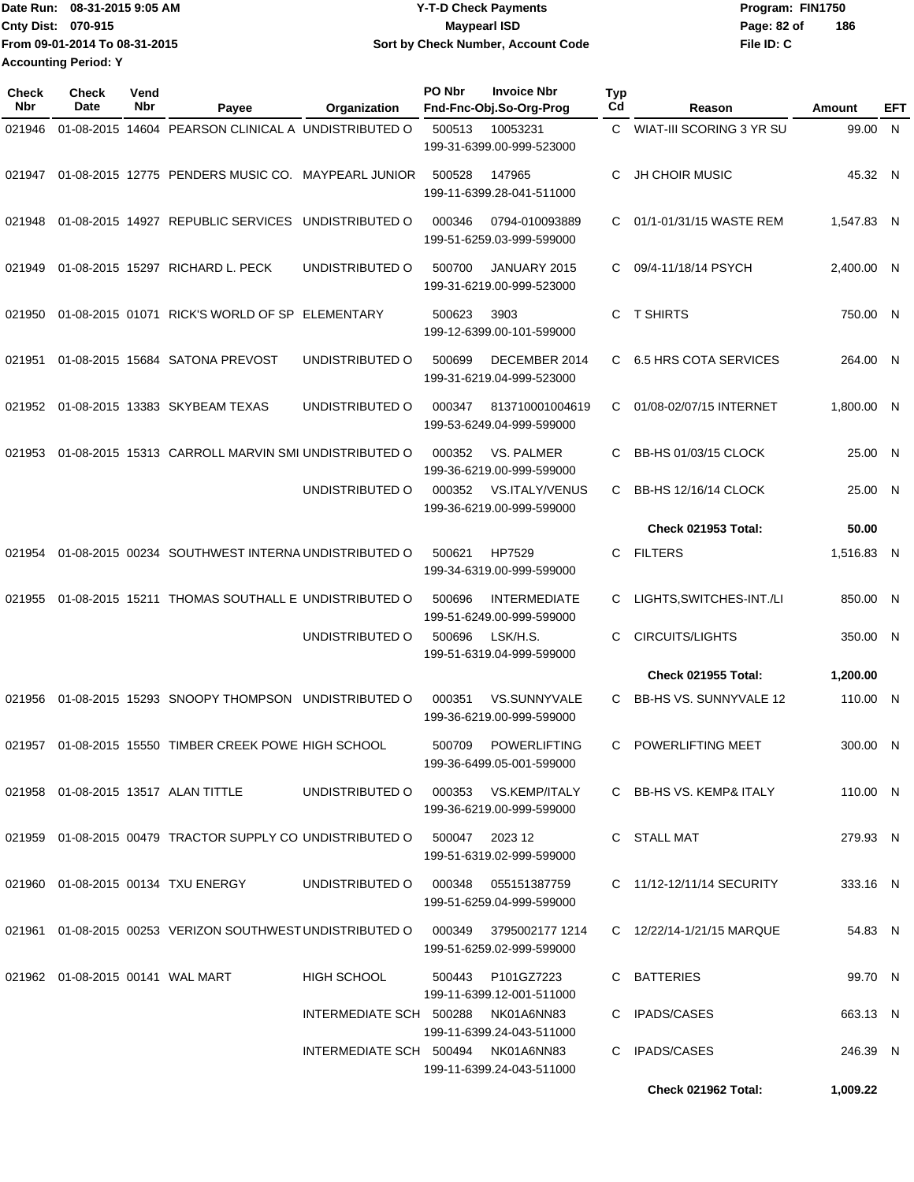|                             | Date Run: 08-31-2015 9:05 AM  | <b>Y-T-D Check Payments</b>        | Program: FIN1750   |
|-----------------------------|-------------------------------|------------------------------------|--------------------|
| <b>Cnty Dist: 070-915</b>   |                               | Maypearl ISD                       | 186<br>Page: 82 of |
|                             | From 09-01-2014 To 08-31-2015 | Sort by Check Number, Account Code | File ID: C         |
| <b>Accounting Period: Y</b> |                               |                                    |                    |

| Check<br><b>Nbr</b> | Check<br>Date                    | Vend<br>Nbr | Payee                                                                            | Organization       | PO Nbr<br><b>Invoice Nbr</b><br>Fnd-Fnc-Obj.So-Org-Prog                                                       | Typ<br>Cd | Reason                       | Amount     | EFT          |
|---------------------|----------------------------------|-------------|----------------------------------------------------------------------------------|--------------------|---------------------------------------------------------------------------------------------------------------|-----------|------------------------------|------------|--------------|
| 021946              |                                  |             | 01-08-2015 14604 PEARSON CLINICAL A UNDISTRIBUTED O                              |                    | 500513<br>10053231<br>199-31-6399.00-999-523000                                                               | C         | WIAT-III SCORING 3 YR SU     | 99.00      | $\mathsf{N}$ |
| 021947              |                                  |             | 01-08-2015 12775 PENDERS MUSIC CO. MAYPEARL JUNIOR                               |                    | 500528<br>147965<br>199-11-6399.28-041-511000                                                                 | C         | <b>JH CHOIR MUSIC</b>        | 45.32 N    |              |
| 021948              |                                  |             | 01-08-2015 14927 REPUBLIC SERVICES UNDISTRIBUTED O                               |                    | 000346<br>0794-010093889<br>199-51-6259.03-999-599000                                                         | C         | 01/1-01/31/15 WASTE REM      | 1,547.83 N |              |
| 021949              |                                  |             | 01-08-2015 15297 RICHARD L. PECK                                                 | UNDISTRIBUTED O    | 500700<br>JANUARY 2015<br>199-31-6219.00-999-523000                                                           | C.        | 09/4-11/18/14 PSYCH          | 2,400.00 N |              |
| 021950              |                                  |             | 01-08-2015 01071 RICK'S WORLD OF SP ELEMENTARY                                   |                    | 500623<br>3903<br>199-12-6399.00-101-599000                                                                   | C         | <b>T SHIRTS</b>              | 750.00 N   |              |
| 021951              |                                  |             | 01-08-2015 15684 SATONA PREVOST                                                  | UNDISTRIBUTED O    | 500699<br>DECEMBER 2014<br>199-31-6219.04-999-523000                                                          | C         | <b>6.5 HRS COTA SERVICES</b> | 264.00 N   |              |
| 021952              |                                  |             | 01-08-2015 13383 SKYBEAM TEXAS                                                   | UNDISTRIBUTED O    | 000347<br>813710001004619<br>199-53-6249.04-999-599000                                                        | C         | 01/08-02/07/15 INTERNET      | 1,800.00 N |              |
| 021953              |                                  |             | 01-08-2015 15313 CARROLL MARVIN SMI UNDISTRIBUTED O                              |                    | 000352<br>VS. PALMER<br>199-36-6219.00-999-599000                                                             | C         | BB-HS 01/03/15 CLOCK         | 25.00 N    |              |
|                     |                                  |             |                                                                                  | UNDISTRIBUTED O    | 000352<br>VS.ITALY/VENUS<br>199-36-6219.00-999-599000                                                         | C         | <b>BB-HS 12/16/14 CLOCK</b>  | 25.00      | -N           |
|                     |                                  |             |                                                                                  |                    |                                                                                                               |           | <b>Check 021953 Total:</b>   | 50.00      |              |
| 021954              |                                  |             | 01-08-2015 00234 SOUTHWEST INTERNA UNDISTRIBUTED O                               |                    | HP7529<br>500621<br>199-34-6319.00-999-599000                                                                 | C.        | <b>FILTERS</b>               | 1,516.83 N |              |
| 021955              |                                  |             | 01-08-2015 15211 THOMAS SOUTHALL E UNDISTRIBUTED O                               |                    | 500696<br><b>INTERMEDIATE</b><br>199-51-6249.00-999-599000                                                    | С         | LIGHTS, SWITCHES-INT./LI     | 850.00     | -N           |
|                     |                                  |             |                                                                                  | UNDISTRIBUTED O    | 500696<br>LSK/H.S.<br>199-51-6319.04-999-599000                                                               | C         | <b>CIRCUITS/LIGHTS</b>       | 350.00 N   |              |
|                     |                                  |             |                                                                                  |                    |                                                                                                               |           | <b>Check 021955 Total:</b>   | 1,200.00   |              |
| 021956              |                                  |             | 01-08-2015 15293 SNOOPY THOMPSON                                                 | UNDISTRIBUTED O    | 000351<br><b>VS.SUNNYVALE</b><br>199-36-6219.00-999-599000                                                    | C         | BB-HS VS. SUNNYVALE 12       | 110.00 N   |              |
| 021957              |                                  |             | 01-08-2015 15550 TIMBER CREEK POWE HIGH SCHOOL                                   |                    | 500709<br><b>POWERLIFTING</b><br>199-36-6499.05-001-599000                                                    | C         | POWERLIFTING MEET            | 300.00 N   |              |
|                     |                                  |             | 021958  01-08-2015  13517  ALAN TITTLE                                           |                    | UNDISTRIBUTED O  000353  VS.KEMP/ITALY<br>199-36-6219.00-999-599000                                           |           | C BB-HS VS. KEMP& ITALY      | 110.00 N   |              |
|                     |                                  |             | 021959  01-08-2015  00479  TRACTOR SUPPLY CO UNDISTRIBUTED   0  500047  2023  12 |                    | 199-51-6319.02-999-599000                                                                                     |           | C STALL MAT                  | 279.93 N   |              |
|                     |                                  |             | 021960  01-08-2015  00134  TXU ENERGY                                            | UNDISTRIBUTED O    | 000348   055151387759<br>199-51-6259.04-999-599000                                                            |           | C 11/12-12/11/14 SECURITY    | 333.16 N   |              |
|                     |                                  |             |                                                                                  |                    | 021961 01-08-2015 00253 VERIZON SOUTHWEST UNDISTRIBUTED O 000349 3795002177 1214<br>199-51-6259.02-999-599000 |           | C 12/22/14-1/21/15 MARQUE    | 54.83 N    |              |
|                     | 021962 01-08-2015 00141 WAL MART |             |                                                                                  | <b>HIGH SCHOOL</b> | 500443 P101GZ7223<br>199-11-6399.12-001-511000                                                                |           | C BATTERIES                  | 99.70 N    |              |
|                     |                                  |             |                                                                                  |                    | INTERMEDIATE SCH 500288 NK01A6NN83<br>199-11-6399.24-043-511000                                               |           | C IPADS/CASES                | 663.13 N   |              |
|                     |                                  |             |                                                                                  |                    | INTERMEDIATE SCH 500494 NK01A6NN83<br>199-11-6399.24-043-511000                                               |           | C IPADS/CASES                | 246.39 N   |              |
|                     |                                  |             |                                                                                  |                    |                                                                                                               |           | Check 021962 Total:          | 1,009.22   |              |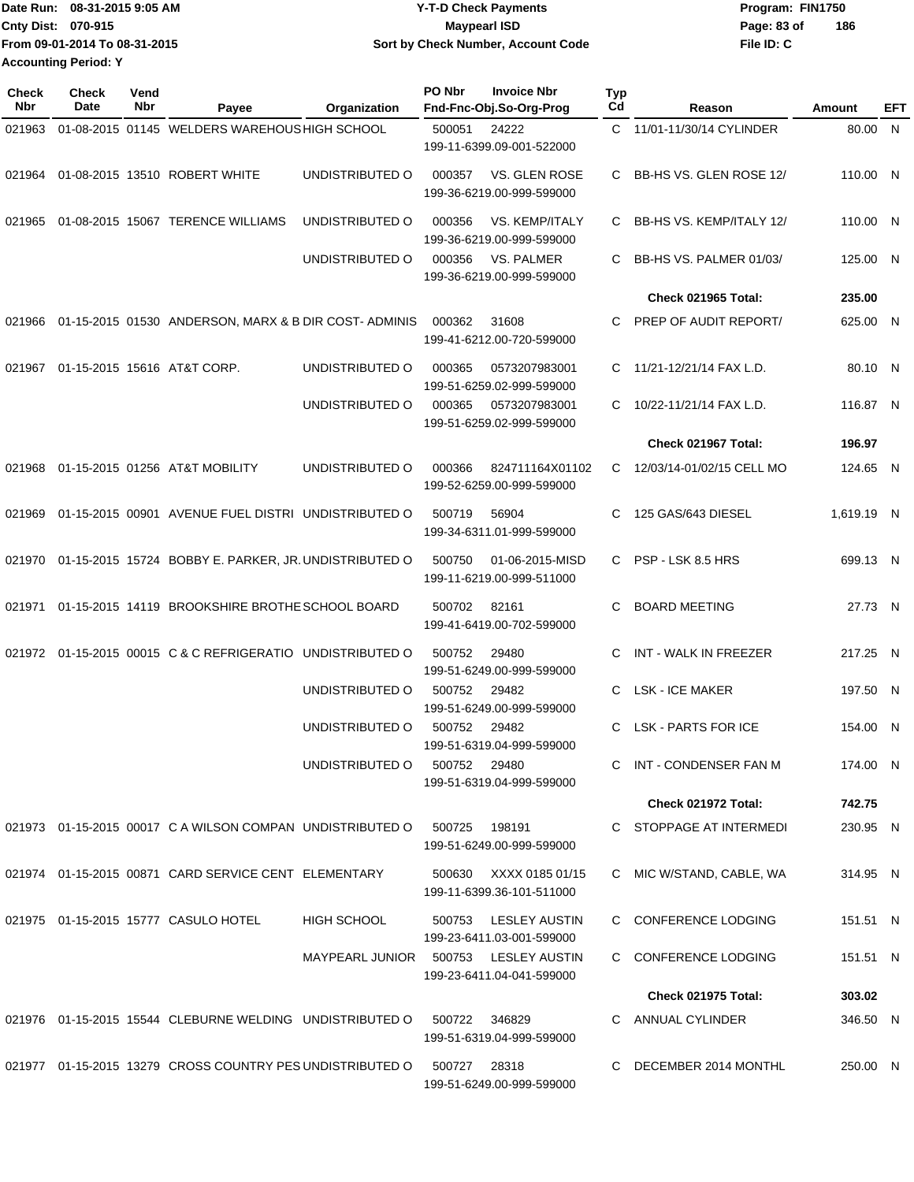|                             | Date Run: 08-31-2015 9:05 AM  | <b>Y-T-D Check Payments</b>        | Program: FIN1750   |  |  |  |  |
|-----------------------------|-------------------------------|------------------------------------|--------------------|--|--|--|--|
| <b>Cnty Dist: 070-915</b>   |                               | <b>Mavpearl ISD</b>                | 186<br>Page: 83 of |  |  |  |  |
|                             | From 09-01-2014 To 08-31-2015 | Sort by Check Number, Account Code | File ID: C         |  |  |  |  |
| <b>Accounting Period: Y</b> |                               |                                    |                    |  |  |  |  |

| <b>Check</b><br>Nbr | Check<br>Date | Vend<br>Nbr | Payee                                                        | Organization                         | PO Nbr       | <b>Invoice Nbr</b><br>Fnd-Fnc-Obj.So-Org-Prog       | <b>Typ</b><br>Cd | Reason                     | Amount     | EFT |
|---------------------|---------------|-------------|--------------------------------------------------------------|--------------------------------------|--------------|-----------------------------------------------------|------------------|----------------------------|------------|-----|
| 021963              |               |             | 01-08-2015 01145 WELDERS WAREHOUS HIGH SCHOOL                |                                      | 500051       | 24222<br>199-11-6399.09-001-522000                  | C.               | 11/01-11/30/14 CYLINDER    | 80.00 N    |     |
| 021964              |               |             | 01-08-2015 13510 ROBERT WHITE                                | UNDISTRIBUTED O                      | 000357       | VS. GLEN ROSE<br>199-36-6219.00-999-599000          | C.               | BB-HS VS. GLEN ROSE 12/    | 110.00 N   |     |
| 021965              |               |             | 01-08-2015 15067 TERENCE WILLIAMS                            | UNDISTRIBUTED O                      | 000356       | VS. KEMP/ITALY<br>199-36-6219.00-999-599000         | C.               | BB-HS VS. KEMP/ITALY 12/   | 110.00 N   |     |
|                     |               |             |                                                              | UNDISTRIBUTED O                      | 000356       | VS. PALMER<br>199-36-6219.00-999-599000             | C.               | BB-HS VS, PALMER 01/03/    | 125.00 N   |     |
|                     |               |             |                                                              |                                      |              |                                                     |                  | <b>Check 021965 Total:</b> | 235.00     |     |
| 021966              |               |             | 01-15-2015 01530 ANDERSON, MARX & B DIR COST-ADMINIS         |                                      | 000362       | 31608<br>199-41-6212.00-720-599000                  | C.               | PREP OF AUDIT REPORT/      | 625.00 N   |     |
|                     |               |             | 021967 01-15-2015 15616 AT&T CORP.                           | UNDISTRIBUTED O                      | 000365       | 0573207983001<br>199-51-6259.02-999-599000          | C.               | 11/21-12/21/14 FAX L.D.    | 80.10 N    |     |
|                     |               |             |                                                              | UNDISTRIBUTED O                      | 000365       | 0573207983001<br>199-51-6259.02-999-599000          | C.               | 10/22-11/21/14 FAX L.D.    | 116.87 N   |     |
|                     |               |             |                                                              |                                      |              |                                                     |                  | Check 021967 Total:        | 196.97     |     |
| 021968              |               |             | 01-15-2015 01256 AT&T MOBILITY                               | UNDISTRIBUTED O                      | 000366       | 824711164X01102<br>199-52-6259.00-999-599000        | C.               | 12/03/14-01/02/15 CELL MO  | 124.65 N   |     |
| 021969              |               |             | 01-15-2015 00901 AVENUE FUEL DISTRI UNDISTRIBUTED O          |                                      | 500719       | 56904<br>199-34-6311.01-999-599000                  | C.               | 125 GAS/643 DIESEL         | 1,619.19 N |     |
|                     |               |             | 021970 01-15-2015 15724 BOBBY E. PARKER, JR. UNDISTRIBUTED O |                                      | 500750       | 01-06-2015-MISD<br>199-11-6219.00-999-511000        | $\mathbf{C}$     | PSP - LSK 8.5 HRS          | 699.13 N   |     |
| 021971              |               |             | 01-15-2015 14119 BROOKSHIRE BROTHE SCHOOL BOARD              |                                      | 500702       | 82161<br>199-41-6419.00-702-599000                  | C                | <b>BOARD MEETING</b>       | 27.73 N    |     |
| 021972              |               |             | 01-15-2015 00015 C & C REFRIGERATIO UNDISTRIBUTED O          |                                      | 500752       | 29480<br>199-51-6249.00-999-599000                  | C                | INT - WALK IN FREEZER      | 217.25 N   |     |
|                     |               |             |                                                              | UNDISTRIBUTED O                      | 500752       | 29482<br>199-51-6249.00-999-599000                  | C                | <b>LSK - ICE MAKER</b>     | 197.50 N   |     |
|                     |               |             |                                                              | UNDISTRIBUTED O                      | 500752       | 29482<br>199-51-6319.04-999-599000                  | C.               | <b>LSK - PARTS FOR ICE</b> | 154.00 N   |     |
|                     |               |             |                                                              | UNDISTRIBUTED O                      | 500752       | 29480<br>199-51-6319.04-999-599000                  |                  | INT - CONDENSER FAN M      | 174.00 N   |     |
|                     |               |             |                                                              |                                      |              |                                                     |                  | Check 021972 Total:        | 742.75     |     |
|                     |               |             | 021973 01-15-2015 00017 C A WILSON COMPAN UNDISTRIBUTED O    |                                      | 500725       | 198191<br>199-51-6249.00-999-599000                 |                  | C STOPPAGE AT INTERMEDI    | 230.95 N   |     |
|                     |               |             | 021974 01-15-2015 00871 CARD SERVICE CENT ELEMENTARY         |                                      |              | 500630 XXXX 0185 01/15<br>199-11-6399.36-101-511000 |                  | C MIC W/STAND, CABLE, WA   | 314.95 N   |     |
|                     |               |             | 021975 01-15-2015 15777 CASULO HOTEL                         | <b>HIGH SCHOOL</b>                   | 500753       | LESLEY AUSTIN<br>199-23-6411.03-001-599000          |                  | C CONFERENCE LODGING       | 151.51 N   |     |
|                     |               |             |                                                              | MAYPEARL JUNIOR 500753 LESLEY AUSTIN |              | 199-23-6411.04-041-599000                           |                  | C CONFERENCE LODGING       | 151.51 N   |     |
|                     |               |             |                                                              |                                      |              |                                                     |                  | <b>Check 021975 Total:</b> | 303.02     |     |
|                     |               |             | 021976 01-15-2015 15544 CLEBURNE WELDING UNDISTRIBUTED O     |                                      |              | 500722 346829<br>199-51-6319.04-999-599000          |                  | C ANNUAL CYLINDER          | 346.50 N   |     |
|                     |               |             | 021977 01-15-2015 13279 CROSS COUNTRY PES UNDISTRIBUTED O    |                                      | 500727 28318 | 199-51-6249.00-999-599000                           |                  | C DECEMBER 2014 MONTHL     | 250.00 N   |     |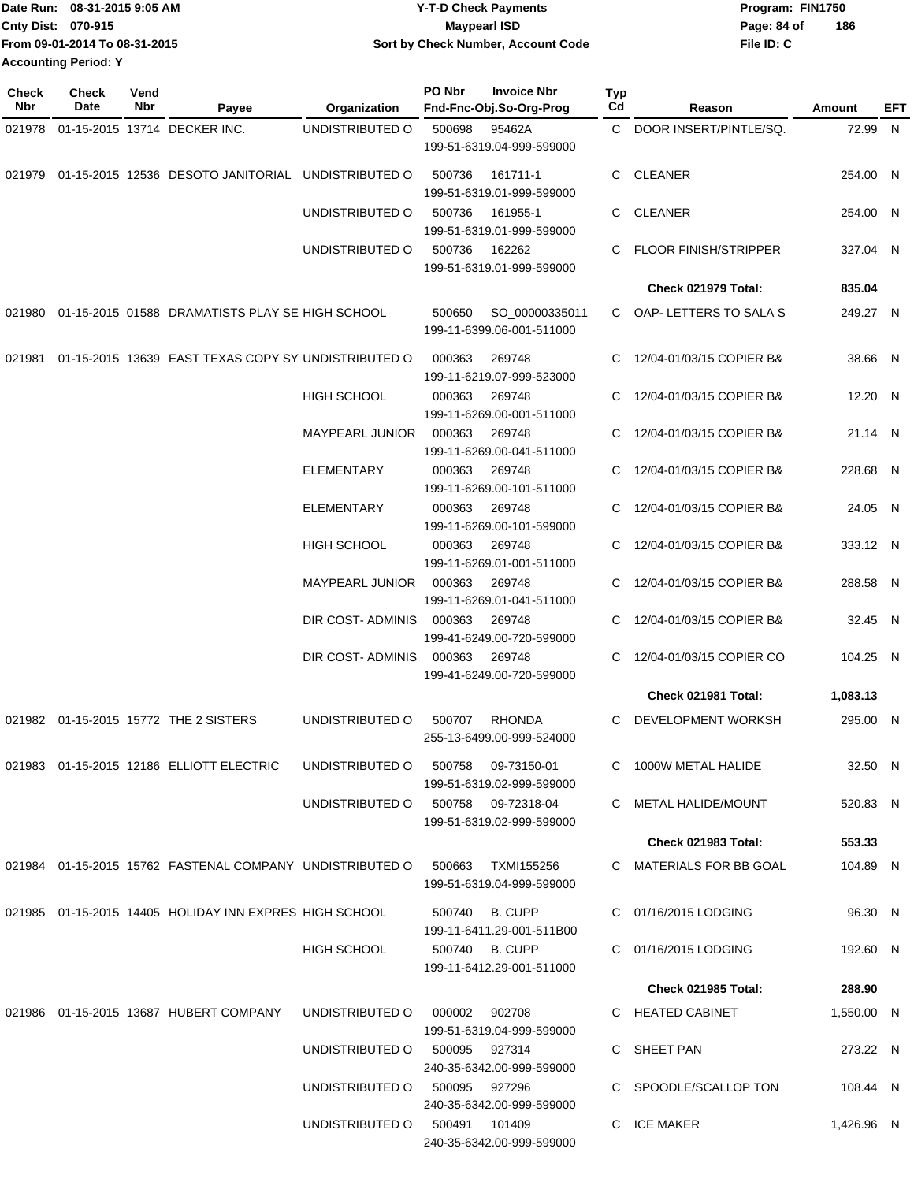| Date Run: 08-31-2015 9:05 AM  | <b>Y-T-D Check Payments</b>        | Program: FIN1750   |
|-------------------------------|------------------------------------|--------------------|
| <b>Cnty Dist: 070-915</b>     | Maypearl ISD                       | 186<br>Page: 84 of |
| From 09-01-2014 To 08-31-2015 | Sort by Check Number, Account Code | File ID: C         |
| <b>Accounting Period: Y</b>   |                                    |                    |

| <b>Check</b><br>Nbr | Check<br>Date | Vend<br>Nbr | Payee                                                    | Organization           | PO Nbr | <b>Invoice Nbr</b><br>Fnd-Fnc-Obj.So-Org-Prog   | Typ<br>Cd | Reason                       | Amount     | EFT |
|---------------------|---------------|-------------|----------------------------------------------------------|------------------------|--------|-------------------------------------------------|-----------|------------------------------|------------|-----|
| 021978              |               |             | 01-15-2015 13714 DECKER INC.                             | UNDISTRIBUTED O        | 500698 | 95462A                                          | C         | DOOR INSERT/PINTLE/SQ.       | 72.99 N    |     |
|                     |               |             |                                                          |                        |        | 199-51-6319.04-999-599000                       |           |                              |            |     |
| 021979              |               |             | 01-15-2015 12536 DESOTO JANITORIAL                       | UNDISTRIBUTED O        | 500736 | 161711-1<br>199-51-6319.01-999-599000           | C.        | <b>CLEANER</b>               | 254.00 N   |     |
|                     |               |             |                                                          | UNDISTRIBUTED O        | 500736 | 161955-1<br>199-51-6319.01-999-599000           | C.        | <b>CLEANER</b>               | 254.00 N   |     |
|                     |               |             |                                                          | UNDISTRIBUTED O        | 500736 | 162262<br>199-51-6319.01-999-599000             | C.        | <b>FLOOR FINISH/STRIPPER</b> | 327.04 N   |     |
|                     |               |             |                                                          |                        |        |                                                 |           | Check 021979 Total:          | 835.04     |     |
|                     |               |             | 021980 01-15-2015 01588 DRAMATISTS PLAY SE HIGH SCHOOL   |                        | 500650 | SO_00000335011<br>199-11-6399.06-001-511000     |           | C OAP-LETTERS TO SALA S      | 249.27 N   |     |
| 021981              |               |             | 01-15-2015 13639 EAST TEXAS COPY SY UNDISTRIBUTED O      |                        | 000363 | 269748<br>199-11-6219.07-999-523000             | C         | 12/04-01/03/15 COPIER B&     | 38.66 N    |     |
|                     |               |             |                                                          | <b>HIGH SCHOOL</b>     | 000363 | 269748<br>199-11-6269.00-001-511000             | C.        | 12/04-01/03/15 COPIER B&     | 12.20 N    |     |
|                     |               |             |                                                          | <b>MAYPEARL JUNIOR</b> | 000363 | 269748<br>199-11-6269.00-041-511000             |           | 12/04-01/03/15 COPIER B&     | 21.14 N    |     |
|                     |               |             |                                                          | <b>ELEMENTARY</b>      | 000363 | 269748<br>199-11-6269.00-101-511000             |           | 12/04-01/03/15 COPIER B&     | 228.68 N   |     |
|                     |               |             |                                                          | <b>ELEMENTARY</b>      | 000363 | 269748<br>199-11-6269.00-101-599000             | C.        | 12/04-01/03/15 COPIER B&     | 24.05 N    |     |
|                     |               |             |                                                          | <b>HIGH SCHOOL</b>     | 000363 | 269748<br>199-11-6269.01-001-511000             |           | 12/04-01/03/15 COPIER B&     | 333.12 N   |     |
|                     |               |             |                                                          | MAYPEARL JUNIOR        | 000363 | 269748<br>199-11-6269.01-041-511000             | C.        | 12/04-01/03/15 COPIER B&     | 288.58 N   |     |
|                     |               |             |                                                          | DIR COST- ADMINIS      | 000363 | 269748<br>199-41-6249.00-720-599000             | C.        | 12/04-01/03/15 COPIER B&     | 32.45 N    |     |
|                     |               |             |                                                          | DIR COST- ADMINIS      | 000363 | 269748<br>199-41-6249.00-720-599000             | C.        | 12/04-01/03/15 COPIER CO     | 104.25 N   |     |
|                     |               |             |                                                          |                        |        |                                                 |           | Check 021981 Total:          | 1,083.13   |     |
|                     |               |             | 021982 01-15-2015 15772 THE 2 SISTERS                    | UNDISTRIBUTED O        | 500707 | <b>RHONDA</b><br>255-13-6499.00-999-524000      | С         | DEVELOPMENT WORKSH           | 295.00 N   |     |
|                     |               |             | 021983  01-15-2015  12186  ELLIOTT ELECTRIC              | UNDISTRIBUTED O        | 500758 | 09-73150-01<br>199-51-6319.02-999-599000        |           | 1000W METAL HALIDE           | 32.50 N    |     |
|                     |               |             |                                                          | UNDISTRIBUTED O        |        | 500758 09-72318-04<br>199-51-6319.02-999-599000 |           | C METAL HALIDE/MOUNT         | 520.83 N   |     |
|                     |               |             |                                                          |                        |        |                                                 |           | <b>Check 021983 Total:</b>   | 553.33     |     |
|                     |               |             | 021984 01-15-2015 15762 FASTENAL COMPANY UNDISTRIBUTED O |                        | 500663 | TXMI155256<br>199-51-6319.04-999-599000         |           | C MATERIALS FOR BB GOAL      | 104.89 N   |     |
|                     |               |             | 021985 01-15-2015 14405 HOLIDAY INN EXPRES HIGH SCHOOL   |                        | 500740 | B. CUPP<br>199-11-6411.29-001-511B00            |           | C 01/16/2015 LODGING         | 96.30 N    |     |
|                     |               |             |                                                          | <b>HIGH SCHOOL</b>     |        | 500740 B. CUPP<br>199-11-6412.29-001-511000     |           | C 01/16/2015 LODGING         | 192.60 N   |     |
|                     |               |             |                                                          |                        |        |                                                 |           | <b>Check 021985 Total:</b>   | 288.90     |     |
|                     |               |             | 021986  01-15-2015  13687  HUBERT COMPANY                | UNDISTRIBUTED O        | 000002 | 902708<br>199-51-6319.04-999-599000             |           | C HEATED CABINET             | 1,550.00 N |     |
|                     |               |             |                                                          | UNDISTRIBUTED O        |        | 500095 927314<br>240-35-6342.00-999-599000      |           | C SHEET PAN                  | 273.22 N   |     |
|                     |               |             |                                                          | UNDISTRIBUTED O        |        | 500095 927296<br>240-35-6342.00-999-599000      |           | C SPOODLE/SCALLOP TON        | 108.44 N   |     |
|                     |               |             |                                                          | UNDISTRIBUTED O        |        | 500491 101409<br>240-35-6342.00-999-599000      |           | C ICE MAKER                  | 1,426.96 N |     |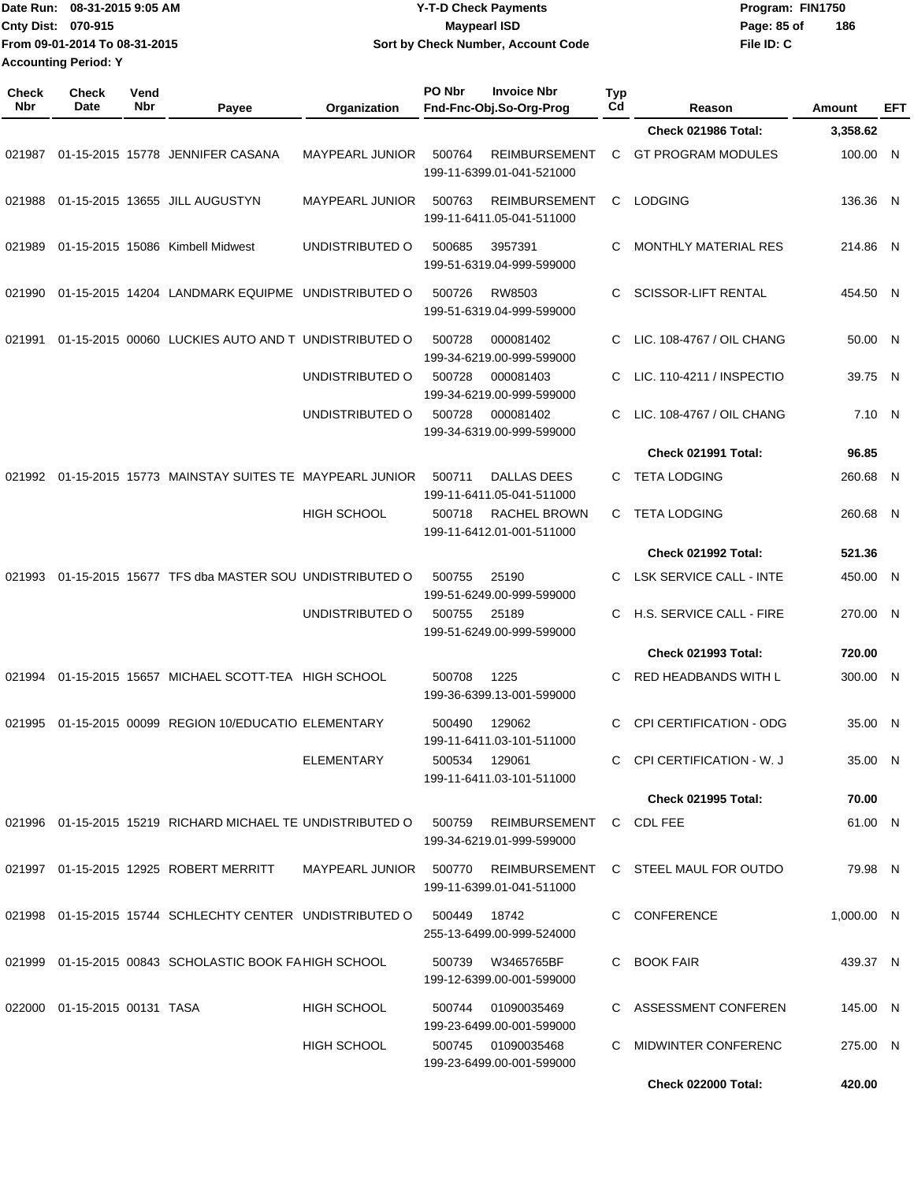|                     | Date Run: 08-31-2015 9:05 AM<br>Cnty Dist: 070-915<br>From 09-01-2014 To 08-31-2015<br><b>Accounting Period: Y</b> |             |                                                            |                        | <b>Y-T-D Check Payments</b><br><b>Maypearl ISD</b><br>Sort by Check Number, Account Code |                                                   | File ID: C            | Program: FIN1750<br>Page: 85 of<br>186 |            |         |
|---------------------|--------------------------------------------------------------------------------------------------------------------|-------------|------------------------------------------------------------|------------------------|------------------------------------------------------------------------------------------|---------------------------------------------------|-----------------------|----------------------------------------|------------|---------|
| <b>Check</b><br>Nbr | <b>Check</b><br>Date                                                                                               | Vend<br>Nbr | Payee                                                      | Organization           | PO Nbr                                                                                   | <b>Invoice Nbr</b><br>Fnd-Fnc-Obj.So-Org-Prog     | Typ<br>C <sub>d</sub> | Reason                                 | Amount     | EFT     |
|                     |                                                                                                                    |             |                                                            |                        |                                                                                          |                                                   |                       | Check 021986 Total:                    | 3,358.62   |         |
| 021987              |                                                                                                                    |             | 01-15-2015 15778 JENNIFER CASANA                           | MAYPEARL JUNIOR        | 500764                                                                                   | <b>REIMBURSEMENT</b><br>199-11-6399.01-041-521000 | С                     | <b>GT PROGRAM MODULES</b>              | 100.00 N   |         |
| 021988              |                                                                                                                    |             | 01-15-2015 13655 JILL AUGUSTYN                             | <b>MAYPEARL JUNIOR</b> | 500763                                                                                   | <b>REIMBURSEMENT</b><br>199-11-6411.05-041-511000 | C                     | <b>LODGING</b>                         | 136.36 N   |         |
| 021989              |                                                                                                                    |             | 01-15-2015 15086 Kimbell Midwest                           | UNDISTRIBUTED O        | 500685                                                                                   | 3957391<br>199-51-6319.04-999-599000              | C                     | <b>MONTHLY MATERIAL RES</b>            | 214.86 N   |         |
| 021990              |                                                                                                                    |             | 01-15-2015 14204 LANDMARK EQUIPME UNDISTRIBUTED O          |                        | 500726                                                                                   | RW8503<br>199-51-6319.04-999-599000               | С                     | <b>SCISSOR-LIFT RENTAL</b>             | 454.50 N   |         |
| 021991              |                                                                                                                    |             | 01-15-2015 00060 LUCKIES AUTO AND T UNDISTRIBUTED O        |                        | 500728                                                                                   | 000081402<br>199-34-6219.00-999-599000            |                       | LIC. 108-4767 / OIL CHANG              |            | 50.00 N |
|                     |                                                                                                                    |             |                                                            | UNDISTRIBUTED O        | 500728                                                                                   | 000081403<br>199-34-6219.00-999-599000            | C                     | LIC. 110-4211 / INSPECTIO              |            | 39.75 N |
|                     |                                                                                                                    |             |                                                            | UNDISTRIBUTED O        | 500728                                                                                   | 000081402<br>199-34-6319.00-999-599000            | C                     | LIC. 108-4767 / OIL CHANG              |            | 7.10 N  |
|                     |                                                                                                                    |             |                                                            |                        |                                                                                          |                                                   |                       | Check 021991 Total:                    | 96.85      |         |
| 021992              |                                                                                                                    |             | 01-15-2015 15773 MAINSTAY SUITES TE MAYPEARL JUNIOR        |                        | 500711                                                                                   | DALLAS DEES<br>199-11-6411.05-041-511000          | C                     | <b>TETA LODGING</b>                    | 260.68 N   |         |
|                     |                                                                                                                    |             |                                                            | <b>HIGH SCHOOL</b>     | 500718                                                                                   | <b>RACHEL BROWN</b><br>199-11-6412.01-001-511000  | C                     | <b>TETA LODGING</b>                    | 260.68 N   |         |
|                     |                                                                                                                    |             |                                                            |                        |                                                                                          |                                                   |                       | Check 021992 Total:                    | 521.36     |         |
| 021993              |                                                                                                                    |             | 01-15-2015 15677 TFS dba MASTER SOU UNDISTRIBUTED O        |                        | 500755                                                                                   | 25190<br>199-51-6249.00-999-599000                | C                     | <b>LSK SERVICE CALL - INTE</b>         | 450.00 N   |         |
|                     |                                                                                                                    |             |                                                            | UNDISTRIBUTED O        | 500755                                                                                   | 25189<br>199-51-6249.00-999-599000                | C                     | H.S. SERVICE CALL - FIRE               | 270.00 N   |         |
|                     |                                                                                                                    |             |                                                            |                        |                                                                                          |                                                   |                       | <b>Check 021993 Total:</b>             | 720.00     |         |
|                     |                                                                                                                    |             | 021994 01-15-2015 15657 MICHAEL SCOTT-TEA HIGH SCHOOL      |                        | 500708                                                                                   | 1225<br>199-36-6399.13-001-599000                 |                       | RED HEADBANDS WITH L                   | 300.00 N   |         |
|                     |                                                                                                                    |             | 021995  01-15-2015  00099  REGION  10/EDUCATIO  ELEMENTARY |                        | 500490                                                                                   | 129062<br>199-11-6411.03-101-511000               |                       | C CPI CERTIFICATION - ODG              |            | 35.00 N |
|                     |                                                                                                                    |             |                                                            | ELEMENTARY             |                                                                                          | 500534 129061<br>199-11-6411.03-101-511000        |                       | C CPI CERTIFICATION - W. J             |            | 35.00 N |
|                     |                                                                                                                    |             |                                                            |                        |                                                                                          |                                                   |                       | Check 021995 Total:                    | 70.00      |         |
|                     |                                                                                                                    |             | 021996 01-15-2015 15219 RICHARD MICHAEL TE UNDISTRIBUTED O |                        | 500759                                                                                   | REIMBURSEMENT<br>199-34-6219.01-999-599000        |                       | C CDL FEE                              |            | 61.00 N |
|                     |                                                                                                                    |             | 021997  01-15-2015  12925  ROBERT MERRITT                  | MAYPEARL JUNIOR 500770 |                                                                                          | REIMBURSEMENT<br>199-11-6399.01-041-511000        |                       | C STEEL MAUL FOR OUTDO                 |            | 79.98 N |
|                     |                                                                                                                    |             | 021998 01-15-2015 15744 SCHLECHTY CENTER UNDISTRIBUTED O   |                        | 500449                                                                                   | 18742<br>255-13-6499.00-999-524000                |                       | C CONFERENCE                           | 1,000.00 N |         |
|                     |                                                                                                                    |             | 021999 01-15-2015 00843 SCHOLASTIC BOOK FA HIGH SCHOOL     |                        |                                                                                          | 500739 W3465765BF<br>199-12-6399.00-001-599000    |                       | C BOOK FAIR                            | 439.37 N   |         |
|                     | 022000 01-15-2015 00131 TASA                                                                                       |             |                                                            | <b>HIGH SCHOOL</b>     | 500744                                                                                   | 01090035469<br>199-23-6499.00-001-599000          |                       | C ASSESSMENT CONFEREN                  | 145.00 N   |         |
|                     |                                                                                                                    |             |                                                            | HIGH SCHOOL            |                                                                                          | 500745 01090035468<br>199-23-6499.00-001-599000   |                       | C MIDWINTER CONFERENC                  | 275.00 N   |         |
|                     |                                                                                                                    |             |                                                            |                        |                                                                                          |                                                   |                       | <b>Check 022000 Total:</b>             | 420.00     |         |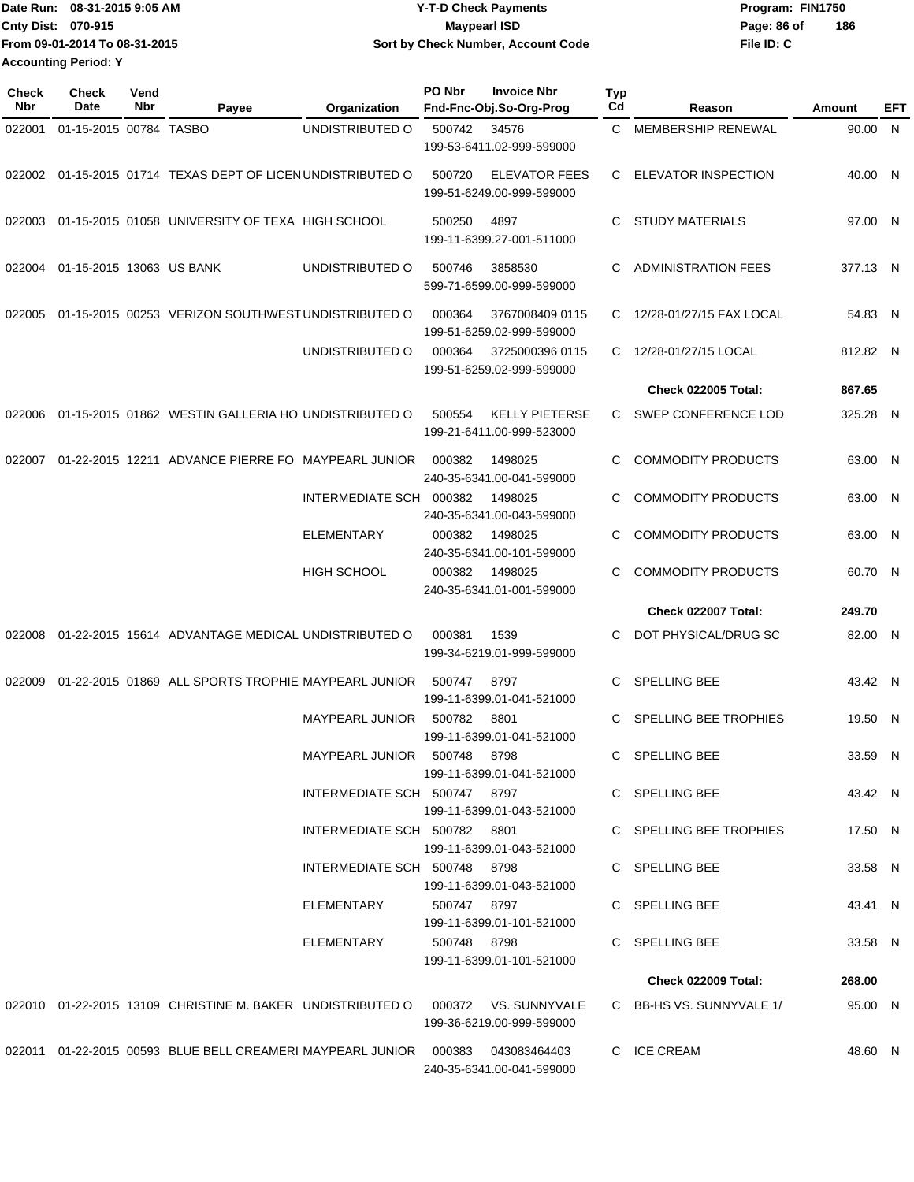| IDate Run: 08-31-2015 9:05 AM |                               | <b>Y-T-D Check Payments</b>        | Program: FIN1750   |  |  |  |
|-------------------------------|-------------------------------|------------------------------------|--------------------|--|--|--|
| <b>Cnty Dist: 070-915</b>     |                               | Maypearl ISD                       | 186<br>Page: 86 of |  |  |  |
|                               | From 09-01-2014 To 08-31-2015 | Sort by Check Number, Account Code | File ID: C         |  |  |  |
| <b>Accounting Period: Y</b>   |                               |                                    |                    |  |  |  |

| <b>Check</b><br>Nbr | Check<br>Date            | Vend<br>Nbr | Payee                                                                           | Organization                 | PO Nbr       | <b>Invoice Nbr</b><br>Fnd-Fnc-Obj.So-Org-Prog      | Typ<br>Cd    | Reason                     | <b>Amount</b> | EFT |
|---------------------|--------------------------|-------------|---------------------------------------------------------------------------------|------------------------------|--------------|----------------------------------------------------|--------------|----------------------------|---------------|-----|
| 022001              | 01-15-2015 00784 TASBO   |             |                                                                                 | UNDISTRIBUTED O              | 500742       | 34576<br>199-53-6411.02-999-599000                 | $\mathbf{C}$ | MEMBERSHIP RENEWAL         | 90.00 N       |     |
|                     |                          |             | 022002 01-15-2015 01714 TEXAS DEPT OF LICEN UNDISTRIBUTED O                     |                              | 500720       | <b>ELEVATOR FEES</b><br>199-51-6249.00-999-599000  |              | C ELEVATOR INSPECTION      | 40.00 N       |     |
|                     |                          |             | 022003 01-15-2015 01058 UNIVERSITY OF TEXA HIGH SCHOOL                          |                              | 500250       | 4897<br>199-11-6399.27-001-511000                  | C            | STUDY MATERIALS            | 97.00 N       |     |
| 022004              | 01-15-2015 13063 US BANK |             |                                                                                 | UNDISTRIBUTED O              | 500746       | 3858530<br>599-71-6599.00-999-599000               | C            | <b>ADMINISTRATION FEES</b> | 377.13 N      |     |
| 022005              |                          |             | 01-15-2015 00253 VERIZON SOUTHWEST UNDISTRIBUTED O                              |                              | 000364       | 3767008409 0115<br>199-51-6259.02-999-599000       | C            | 12/28-01/27/15 FAX LOCAL   | 54.83 N       |     |
|                     |                          |             |                                                                                 | UNDISTRIBUTED O              | 000364       | 3725000396 0115<br>199-51-6259.02-999-599000       | C            | 12/28-01/27/15 LOCAL       | 812.82 N      |     |
|                     |                          |             |                                                                                 |                              |              |                                                    |              | <b>Check 022005 Total:</b> | 867.65        |     |
| 022006              |                          |             | 01-15-2015 01862 WESTIN GALLERIA HO UNDISTRIBUTED O                             |                              | 500554       | <b>KELLY PIETERSE</b><br>199-21-6411.00-999-523000 |              | C SWEP CONFERENCE LOD      | 325.28 N      |     |
| 022007              |                          |             | 01-22-2015 12211 ADVANCE PIERRE FO MAYPEARL JUNIOR                              |                              | 000382       | 1498025<br>240-35-6341.00-041-599000               | C            | <b>COMMODITY PRODUCTS</b>  | 63.00 N       |     |
|                     |                          |             |                                                                                 | INTERMEDIATE SCH             | 000382       | 1498025<br>240-35-6341.00-043-599000               | C            | <b>COMMODITY PRODUCTS</b>  | 63.00 N       |     |
|                     |                          |             |                                                                                 | ELEMENTARY                   | 000382       | 1498025<br>240-35-6341.00-101-599000               | C            | <b>COMMODITY PRODUCTS</b>  | 63.00 N       |     |
|                     |                          |             |                                                                                 | HIGH SCHOOL                  | 000382       | 1498025<br>240-35-6341.01-001-599000               | C            | <b>COMMODITY PRODUCTS</b>  | 60.70 N       |     |
|                     |                          |             |                                                                                 |                              |              |                                                    |              | <b>Check 022007 Total:</b> | 249.70        |     |
| 022008              |                          |             | 01-22-2015 15614 ADVANTAGE MEDICAL UNDISTRIBUTED O                              |                              | 000381       | 1539<br>199-34-6219.01-999-599000                  | C            | DOT PHYSICAL/DRUG SC       | 82.00 N       |     |
| 022009              |                          |             | 01-22-2015 01869 ALL SPORTS TROPHIE MAYPEARL JUNIOR                             |                              | 500747       | 8797<br>199-11-6399.01-041-521000                  | C            | SPELLING BEE               | 43.42 N       |     |
|                     |                          |             |                                                                                 | <b>MAYPEARL JUNIOR</b>       | 500782       | 8801<br>199-11-6399.01-041-521000                  |              | SPELLING BEE TROPHIES      | 19.50 N       |     |
|                     |                          |             |                                                                                 | MAYPEARL JUNIOR 500748 8798  |              | 199-11-6399.01-041-521000                          |              | C SPELLING BEE             | 33.59 N       |     |
|                     |                          |             |                                                                                 | INTERMEDIATE SCH 500747 8797 |              | 199-11-6399.01-043-521000                          |              | C SPELLING BEE             | 43.42 N       |     |
|                     |                          |             |                                                                                 | INTERMEDIATE SCH 500782 8801 |              | 199-11-6399.01-043-521000                          |              | C SPELLING BEE TROPHIES    | 17.50 N       |     |
|                     |                          |             |                                                                                 | INTERMEDIATE SCH 500748 8798 |              | 199-11-6399.01-043-521000                          |              | C SPELLING BEE             | 33.58 N       |     |
|                     |                          |             |                                                                                 | ELEMENTARY                   | 500747  8797 | 199-11-6399.01-101-521000                          |              | C SPELLING BEE             | 43.41 N       |     |
|                     |                          |             |                                                                                 | ELEMENTARY                   | 500748 8798  | 199-11-6399.01-101-521000                          |              | C SPELLING BEE             | 33.58 N       |     |
|                     |                          |             |                                                                                 |                              |              |                                                    |              | Check 022009 Total:        | 268.00        |     |
|                     |                          |             | 022010 01-22-2015 13109 CHRISTINE M. BAKER UNDISTRIBUTED O 000372 VS. SUNNYVALE |                              |              | 199-36-6219.00-999-599000                          |              | C BB-HS VS. SUNNYVALE 1/   | 95.00 N       |     |
|                     |                          |             | 022011 01-22-2015 00593 BLUE BELL CREAMERI MAYPEARL JUNIOR 000383 043083464403  |                              |              | 240-35-6341.00-041-599000                          |              | C ICE CREAM                | 48.60 N       |     |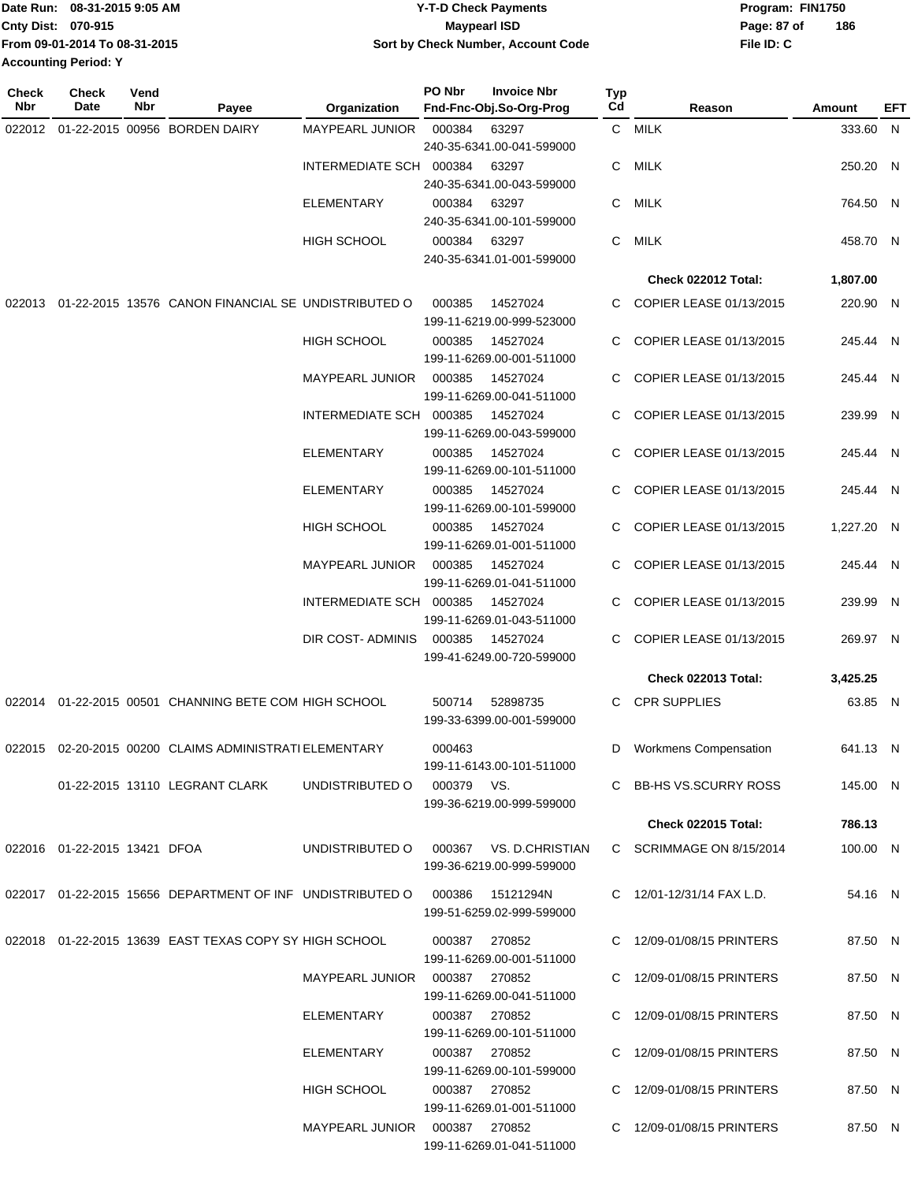| Date Run: 08-31-2015 9:05 AM |                               | <b>Y-T-D Check Payments</b>        | Program: FIN1750   |  |  |  |
|------------------------------|-------------------------------|------------------------------------|--------------------|--|--|--|
| <b>Cnty Dist: 070-915</b>    |                               | Maypearl ISD                       | 186<br>Page: 87 of |  |  |  |
|                              | From 09-01-2014 To 08-31-2015 | Sort by Check Number, Account Code | File ID: C         |  |  |  |
| <b>Accounting Period: Y</b>  |                               |                                    |                    |  |  |  |

| <b>Check</b><br><b>Nbr</b> | <b>Check</b><br>Date         | Vend<br>Nbr | Payee                                                                         | Organization                    | PO Nbr     | <b>Invoice Nbr</b><br>Fnd-Fnc-Obj.So-Org-Prog | Typ<br>Cd | Reason                       | Amount     | EFT |
|----------------------------|------------------------------|-------------|-------------------------------------------------------------------------------|---------------------------------|------------|-----------------------------------------------|-----------|------------------------------|------------|-----|
| 022012                     |                              |             | 01-22-2015 00956 BORDEN DAIRY                                                 | MAYPEARL JUNIOR                 | 000384     | 63297                                         |           | C MILK                       | 333.60 N   |     |
|                            |                              |             |                                                                               |                                 |            | 240-35-6341.00-041-599000                     |           |                              |            |     |
|                            |                              |             |                                                                               | INTERMEDIATE SCH 000384         |            | 63297                                         | C.        | MILK                         | 250.20 N   |     |
|                            |                              |             |                                                                               |                                 |            | 240-35-6341.00-043-599000                     |           |                              |            |     |
|                            |                              |             |                                                                               | ELEMENTARY                      | 000384     | 63297                                         | C         | MILK                         | 764.50 N   |     |
|                            |                              |             |                                                                               |                                 |            | 240-35-6341.00-101-599000                     |           |                              |            |     |
|                            |                              |             |                                                                               | <b>HIGH SCHOOL</b>              | 000384     | 63297<br>240-35-6341.01-001-599000            | C         | MILK                         | 458.70 N   |     |
|                            |                              |             |                                                                               |                                 |            |                                               |           |                              |            |     |
|                            |                              |             |                                                                               |                                 |            |                                               |           | <b>Check 022012 Total:</b>   | 1,807.00   |     |
| 022013                     |                              |             | 01-22-2015 13576 CANON FINANCIAL SE UNDISTRIBUTED O                           |                                 | 000385     | 14527024<br>199-11-6219.00-999-523000         |           | C COPIER LEASE 01/13/2015    | 220.90 N   |     |
|                            |                              |             |                                                                               | <b>HIGH SCHOOL</b>              | 000385     | 14527024<br>199-11-6269.00-001-511000         | C         | COPIER LEASE 01/13/2015      | 245.44 N   |     |
|                            |                              |             |                                                                               | <b>MAYPEARL JUNIOR</b>          | 000385     | 14527024<br>199-11-6269.00-041-511000         | C         | COPIER LEASE 01/13/2015      | 245.44 N   |     |
|                            |                              |             |                                                                               | INTERMEDIATE SCH 000385         |            | 14527024                                      | C         | COPIER LEASE 01/13/2015      | 239.99 N   |     |
|                            |                              |             |                                                                               |                                 |            | 199-11-6269.00-043-599000                     |           |                              |            |     |
|                            |                              |             |                                                                               | <b>ELEMENTARY</b>               | 000385     | 14527024                                      | C.        | COPIER LEASE 01/13/2015      | 245.44 N   |     |
|                            |                              |             |                                                                               |                                 |            | 199-11-6269.00-101-511000                     |           |                              |            |     |
|                            |                              |             |                                                                               | ELEMENTARY                      | 000385     | 14527024<br>199-11-6269.00-101-599000         |           | COPIER LEASE 01/13/2015      | 245.44 N   |     |
|                            |                              |             |                                                                               | HIGH SCHOOL                     | 000385     | 14527024                                      | C.        | COPIER LEASE 01/13/2015      | 1,227.20 N |     |
|                            |                              |             |                                                                               |                                 |            | 199-11-6269.01-001-511000                     |           |                              |            |     |
|                            |                              |             |                                                                               | <b>MAYPEARL JUNIOR</b>          | 000385     | 14527024<br>199-11-6269.01-041-511000         | C.        | COPIER LEASE 01/13/2015      | 245.44 N   |     |
|                            |                              |             |                                                                               | INTERMEDIATE SCH 000385         |            | 14527024<br>199-11-6269.01-043-511000         |           | COPIER LEASE 01/13/2015      | 239.99 N   |     |
|                            |                              |             |                                                                               | DIR COST-ADMINIS                | 000385     | 14527024<br>199-41-6249.00-720-599000         | C.        | COPIER LEASE 01/13/2015      | 269.97 N   |     |
|                            |                              |             |                                                                               |                                 |            |                                               |           | Check 022013 Total:          | 3,425.25   |     |
|                            |                              |             |                                                                               |                                 |            |                                               |           |                              |            |     |
|                            |                              |             | 022014 01-22-2015 00501 CHANNING BETE COM HIGH SCHOOL                         |                                 | 500714     | 52898735<br>199-33-6399.00-001-599000         |           | C CPR SUPPLIES               | 63.85 N    |     |
|                            |                              |             | 022015 02-20-2015 00200 CLAIMS ADMINISTRATI ELEMENTARY                        |                                 | 000463     | 199-11-6143.00-101-511000                     | D         | <b>Workmens Compensation</b> | 641.13 N   |     |
|                            |                              |             | 01-22-2015 13110 LEGRANT CLARK                                                | UNDISTRIBUTED O                 | 000379 VS. |                                               |           | C BB-HS VS.SCURRY ROSS       | 145.00 N   |     |
|                            |                              |             |                                                                               |                                 |            | 199-36-6219.00-999-599000                     |           |                              |            |     |
|                            |                              |             |                                                                               |                                 |            |                                               |           | <b>Check 022015 Total:</b>   | 786.13     |     |
|                            | 022016 01-22-2015 13421 DFOA |             |                                                                               | UNDISTRIBUTED O                 |            | 000367 VS. D.CHRISTIAN                        |           | C SCRIMMAGE ON 8/15/2014     | 100.00 N   |     |
|                            |                              |             |                                                                               |                                 |            | 199-36-6219.00-999-599000                     |           |                              |            |     |
|                            |                              |             |                                                                               |                                 |            |                                               |           |                              |            |     |
|                            |                              |             | 022017  01-22-2015  15656 DEPARTMENT OF INF UNDISTRIBUTED   000386  15121294N |                                 |            | 199-51-6259.02-999-599000                     |           | C 12/01-12/31/14 FAX L.D.    | 54.16 N    |     |
|                            |                              |             |                                                                               |                                 |            |                                               |           |                              |            |     |
|                            |                              |             | 022018  01-22-2015  13639  EAST TEXAS COPY SY HIGH SCHOOL                     |                                 | 000387     | 270852                                        |           | C 12/09-01/08/15 PRINTERS    | 87.50 N    |     |
|                            |                              |             |                                                                               |                                 |            | 199-11-6269.00-001-511000                     |           |                              |            |     |
|                            |                              |             |                                                                               |                                 |            |                                               |           | C 12/09-01/08/15 PRINTERS    | 87.50 N    |     |
|                            |                              |             |                                                                               |                                 |            | 199-11-6269.00-041-511000                     |           |                              |            |     |
|                            |                              |             |                                                                               | ELEMENTARY                      |            | 000387 270852<br>199-11-6269.00-101-511000    |           | C 12/09-01/08/15 PRINTERS    | 87.50 N    |     |
|                            |                              |             |                                                                               | ELEMENTARY                      |            | 000387 270852                                 |           | C 12/09-01/08/15 PRINTERS    | 87.50 N    |     |
|                            |                              |             |                                                                               |                                 |            | 199-11-6269.00-101-599000                     |           |                              |            |     |
|                            |                              |             |                                                                               | HIGH SCHOOL                     |            | 000387 270852                                 |           | C 12/09-01/08/15 PRINTERS    | 87.50 N    |     |
|                            |                              |             |                                                                               |                                 |            | 199-11-6269.01-001-511000                     |           |                              |            |     |
|                            |                              |             |                                                                               | MAYPEARL JUNIOR  000387  270852 |            |                                               |           | C 12/09-01/08/15 PRINTERS    | 87.50 N    |     |
|                            |                              |             |                                                                               |                                 |            | 199-11-6269.01-041-511000                     |           |                              |            |     |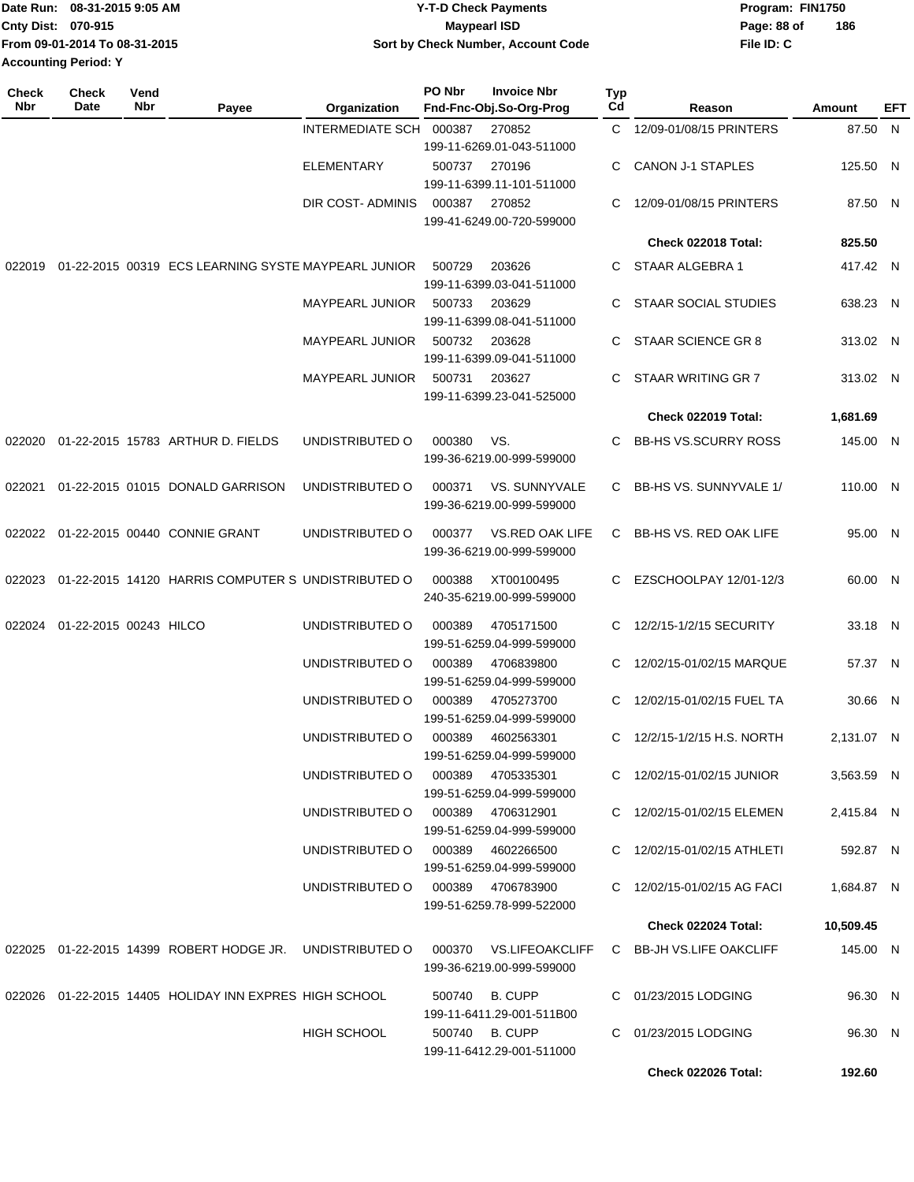| Date Run: 08-31-2015 9:05 AM  | <b>Y-T-D Check Payments</b>        | Program: FIN1750 |     |  |  |
|-------------------------------|------------------------------------|------------------|-----|--|--|
| <b>Cnty Dist: 070-915</b>     | <b>Maypearl ISD</b>                | Page: 88 of      | 186 |  |  |
| From 09-01-2014 To 08-31-2015 | Sort by Check Number, Account Code | File ID: C       |     |  |  |
| <b>Accounting Period: Y</b>   |                                    |                  |     |  |  |

| <b>Check</b><br>Nbr | <b>Check</b><br>Date   | Vend<br>Nbr | Payee                                                    | Organization                      | PO Nbr         | <b>Invoice Nbr</b><br>Fnd-Fnc-Obj.So-Org-Prog       | Typ<br>Cd | Reason                        | Amount     | EFT |
|---------------------|------------------------|-------------|----------------------------------------------------------|-----------------------------------|----------------|-----------------------------------------------------|-----------|-------------------------------|------------|-----|
|                     |                        |             |                                                          | INTERMEDIATE SCH                  | 000387         | 270852                                              | C.        | 12/09-01/08/15 PRINTERS       | 87.50 N    |     |
|                     |                        |             |                                                          |                                   |                | 199-11-6269.01-043-511000                           |           |                               |            |     |
|                     |                        |             |                                                          | <b>ELEMENTARY</b>                 | 500737         | 270196                                              | C         | CANON J-1 STAPLES             | 125.50 N   |     |
|                     |                        |             |                                                          |                                   |                | 199-11-6399.11-101-511000                           |           |                               |            |     |
|                     |                        |             |                                                          | DIR COST- ADMINIS                 | 000387         | 270852                                              | С         | 12/09-01/08/15 PRINTERS       | 87.50 N    |     |
|                     |                        |             |                                                          |                                   |                | 199-41-6249.00-720-599000                           |           |                               |            |     |
|                     |                        |             |                                                          |                                   |                |                                                     |           | Check 022018 Total:           | 825.50     |     |
| 022019              |                        |             | 01-22-2015 00319 ECS LEARNING SYSTE MAYPEARL JUNIOR      |                                   | 500729         | 203626                                              | C         | STAAR ALGEBRA 1               | 417.42 N   |     |
|                     |                        |             |                                                          |                                   |                | 199-11-6399.03-041-511000                           |           |                               |            |     |
|                     |                        |             |                                                          | MAYPEARL JUNIOR                   | 500733         | 203629                                              | С         | <b>STAAR SOCIAL STUDIES</b>   | 638.23 N   |     |
|                     |                        |             |                                                          |                                   |                | 199-11-6399.08-041-511000                           |           |                               |            |     |
|                     |                        |             |                                                          | <b>MAYPEARL JUNIOR</b>            | 500732         | 203628                                              | C         | STAAR SCIENCE GR 8            | 313.02 N   |     |
|                     |                        |             |                                                          |                                   |                | 199-11-6399.09-041-511000                           |           |                               |            |     |
|                     |                        |             |                                                          | <b>MAYPEARL JUNIOR</b>            | 500731         | 203627                                              | C         | STAAR WRITING GR 7            | 313.02 N   |     |
|                     |                        |             |                                                          |                                   |                | 199-11-6399.23-041-525000                           |           |                               |            |     |
|                     |                        |             |                                                          |                                   |                |                                                     |           | Check 022019 Total:           | 1,681.69   |     |
| 022020              |                        |             | 01-22-2015 15783 ARTHUR D. FIELDS                        | UNDISTRIBUTED O                   | 000380         | VS.                                                 | C         | <b>BB-HS VS.SCURRY ROSS</b>   | 145.00 N   |     |
|                     |                        |             |                                                          |                                   |                | 199-36-6219.00-999-599000                           |           |                               |            |     |
|                     |                        |             |                                                          |                                   |                |                                                     |           |                               |            |     |
| 022021              |                        |             | 01-22-2015 01015 DONALD GARRISON                         | UNDISTRIBUTED O                   | 000371         | VS. SUNNYVALE                                       | С         | BB-HS VS. SUNNYVALE 1/        | 110.00 N   |     |
|                     |                        |             |                                                          |                                   |                | 199-36-6219.00-999-599000                           |           |                               |            |     |
| 022022              |                        |             | 01-22-2015 00440 CONNIE GRANT                            | UNDISTRIBUTED O                   | 000377         | VS.RED OAK LIFE                                     | C         | <b>BB-HS VS. RED OAK LIFE</b> | 95.00 N    |     |
|                     |                        |             |                                                          |                                   |                | 199-36-6219.00-999-599000                           |           |                               |            |     |
|                     |                        |             |                                                          |                                   |                |                                                     |           |                               |            |     |
| 022023              |                        |             | 01-22-2015 14120 HARRIS COMPUTER S UNDISTRIBUTED O       |                                   | 000388         | XT00100495                                          | С         | EZSCHOOLPAY 12/01-12/3        | 60.00 N    |     |
|                     |                        |             |                                                          |                                   |                | 240-35-6219.00-999-599000                           |           |                               |            |     |
| 022024              | 01-22-2015 00243 HILCO |             |                                                          | UNDISTRIBUTED O                   | 000389         | 4705171500                                          | С         | 12/2/15-1/2/15 SECURITY       | 33.18 N    |     |
|                     |                        |             |                                                          |                                   |                | 199-51-6259.04-999-599000                           |           |                               |            |     |
|                     |                        |             |                                                          | UNDISTRIBUTED O                   | 000389         | 4706839800                                          | С         | 12/02/15-01/02/15 MARQUE      | 57.37 N    |     |
|                     |                        |             |                                                          |                                   |                | 199-51-6259.04-999-599000                           |           |                               |            |     |
|                     |                        |             |                                                          | UNDISTRIBUTED O                   | 000389         | 4705273700                                          | С         | 12/02/15-01/02/15 FUEL TA     | 30.66 N    |     |
|                     |                        |             |                                                          |                                   |                | 199-51-6259.04-999-599000                           |           |                               |            |     |
|                     |                        |             |                                                          | UNDISTRIBUTED O                   | 000389         | 4602563301                                          | C         | 12/2/15-1/2/15 H.S. NORTH     | 2,131.07 N |     |
|                     |                        |             |                                                          |                                   |                | 199-51-6259.04-999-599000                           |           |                               |            |     |
|                     |                        |             |                                                          | UNDISTRIBUTED O                   | 000389         | 4705335301                                          |           | C 12/02/15-01/02/15 JUNIOR    | 3,563.59 N |     |
|                     |                        |             |                                                          |                                   |                | 199-51-6259.04-999-599000                           |           |                               |            |     |
|                     |                        |             |                                                          | UNDISTRIBUTED O                   |                | 000389 4706312901                                   |           | C 12/02/15-01/02/15 ELEMEN    | 2,415.84 N |     |
|                     |                        |             |                                                          | UNDISTRIBUTED O                   |                | 199-51-6259.04-999-599000                           |           |                               |            |     |
|                     |                        |             |                                                          |                                   |                | 000389 4602266500<br>199-51-6259.04-999-599000      |           | C 12/02/15-01/02/15 ATHLETI   | 592.87 N   |     |
|                     |                        |             |                                                          | UNDISTRIBUTED O 000389 4706783900 |                |                                                     |           | C 12/02/15-01/02/15 AG FACI   | 1,684.87 N |     |
|                     |                        |             |                                                          |                                   |                | 199-51-6259.78-999-522000                           |           |                               |            |     |
|                     |                        |             |                                                          |                                   |                |                                                     |           | <b>Check 022024 Total:</b>    | 10,509.45  |     |
|                     |                        |             |                                                          |                                   |                |                                                     |           |                               |            |     |
|                     |                        |             | 022025 01-22-2015 14399 ROBERT HODGE JR. UNDISTRIBUTED O |                                   |                | 000370 VS.LIFEOAKCLIFF<br>199-36-6219.00-999-599000 |           | C BB-JH VS.LIFE OAKCLIFF      | 145.00 N   |     |
|                     |                        |             | 022026 01-22-2015 14405 HOLIDAY INN EXPRES HIGH SCHOOL   |                                   | 500740         | B. CUPP                                             |           | C 01/23/2015 LODGING          | 96.30 N    |     |
|                     |                        |             |                                                          |                                   |                | 199-11-6411.29-001-511B00                           |           |                               |            |     |
|                     |                        |             |                                                          | HIGH SCHOOL                       | 500740 B. CUPP |                                                     |           | C 01/23/2015 LODGING          | 96.30 N    |     |
|                     |                        |             |                                                          |                                   |                | 199-11-6412.29-001-511000                           |           |                               |            |     |
|                     |                        |             |                                                          |                                   |                |                                                     |           | Check 022026 Total:           | 192.60     |     |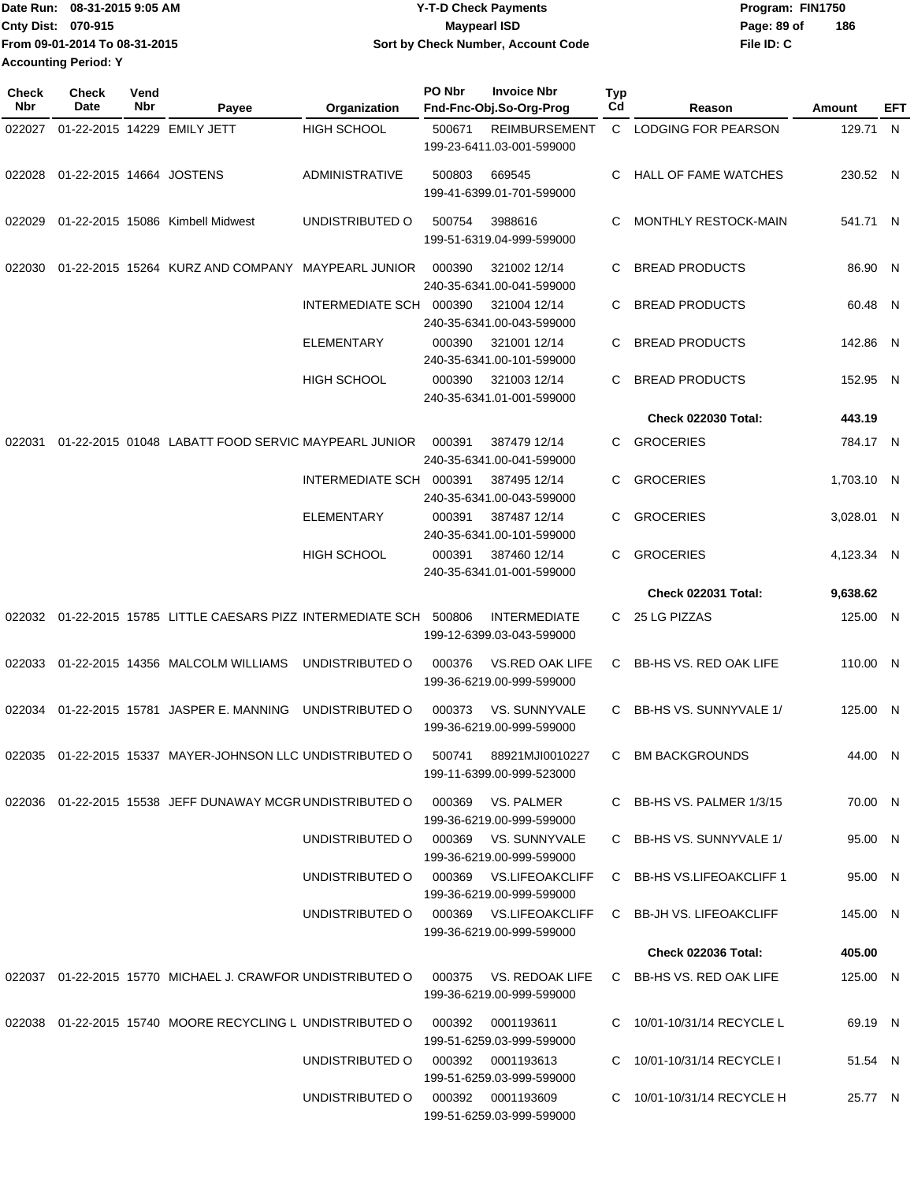|                             | Date Run: 08-31-2015 9:05 AM  | <b>Y-T-D Check Payments</b>        | Program: FIN1750 |     |  |
|-----------------------------|-------------------------------|------------------------------------|------------------|-----|--|
| <b>Cnty Dist: 070-915</b>   |                               | Maypearl ISD                       | Page: 89 of      | 186 |  |
|                             | From 09-01-2014 To 08-31-2015 | Sort by Check Number, Account Code | File ID: C       |     |  |
| <b>Accounting Period: Y</b> |                               |                                    |                  |     |  |

| Check<br>Nbr | <b>Check</b><br>Date     | Vend<br>Nbr | Payee                                                                       | Organization                      | PO Nbr | <b>Invoice Nbr</b><br>Fnd-Fnc-Obj.So-Org-Prog       | Typ<br>Cd    | Reason                        | Amount     | EFT |
|--------------|--------------------------|-------------|-----------------------------------------------------------------------------|-----------------------------------|--------|-----------------------------------------------------|--------------|-------------------------------|------------|-----|
| 022027       |                          |             | 01-22-2015 14229 EMILY JETT                                                 | <b>HIGH SCHOOL</b>                | 500671 | <b>REIMBURSEMENT</b>                                | $\mathsf{C}$ | LODGING FOR PEARSON           | 129.71 N   |     |
|              |                          |             |                                                                             |                                   |        | 199-23-6411.03-001-599000                           |              |                               |            |     |
| 022028       | 01-22-2015 14664 JOSTENS |             |                                                                             | <b>ADMINISTRATIVE</b>             | 500803 | 669545                                              | C.           | HALL OF FAME WATCHES          | 230.52 N   |     |
|              |                          |             |                                                                             |                                   |        | 199-41-6399.01-701-599000                           |              |                               |            |     |
| 022029       |                          |             | 01-22-2015 15086 Kimbell Midwest                                            | UNDISTRIBUTED O                   | 500754 | 3988616                                             | C            | MONTHLY RESTOCK-MAIN          | 541.71 N   |     |
|              |                          |             |                                                                             |                                   |        | 199-51-6319.04-999-599000                           |              |                               |            |     |
|              |                          |             |                                                                             |                                   |        |                                                     |              |                               | 86.90 N    |     |
| 022030       |                          |             | 01-22-2015 15264 KURZ AND COMPANY MAYPEARL JUNIOR                           |                                   | 000390 | 321002 12/14<br>240-35-6341.00-041-599000           | C.           | <b>BREAD PRODUCTS</b>         |            |     |
|              |                          |             |                                                                             | INTERMEDIATE SCH 000390           |        | 321004 12/14                                        | C.           | <b>BREAD PRODUCTS</b>         | 60.48 N    |     |
|              |                          |             |                                                                             |                                   |        | 240-35-6341.00-043-599000                           |              |                               |            |     |
|              |                          |             |                                                                             | <b>ELEMENTARY</b>                 | 000390 | 321001 12/14                                        | C            | <b>BREAD PRODUCTS</b>         | 142.86 N   |     |
|              |                          |             |                                                                             |                                   |        | 240-35-6341.00-101-599000                           |              |                               |            |     |
|              |                          |             |                                                                             | <b>HIGH SCHOOL</b>                | 000390 | 321003 12/14<br>240-35-6341.01-001-599000           | C            | <b>BREAD PRODUCTS</b>         | 152.95 N   |     |
|              |                          |             |                                                                             |                                   |        |                                                     |              | <b>Check 022030 Total:</b>    | 443.19     |     |
| 022031       |                          |             | 01-22-2015 01048 LABATT FOOD SERVIC MAYPEARL JUNIOR                         |                                   | 000391 | 387479 12/14                                        | C            | <b>GROCERIES</b>              | 784.17 N   |     |
|              |                          |             |                                                                             |                                   |        | 240-35-6341.00-041-599000                           |              |                               |            |     |
|              |                          |             |                                                                             | INTERMEDIATE SCH 000391           |        | 387495 12/14                                        | C            | <b>GROCERIES</b>              | 1,703.10 N |     |
|              |                          |             |                                                                             |                                   |        | 240-35-6341.00-043-599000                           |              |                               |            |     |
|              |                          |             |                                                                             | <b>ELEMENTARY</b>                 | 000391 | 387487 12/14                                        | C            | <b>GROCERIES</b>              | 3,028.01 N |     |
|              |                          |             |                                                                             | <b>HIGH SCHOOL</b>                | 000391 | 240-35-6341.00-101-599000<br>387460 12/14           | C            | <b>GROCERIES</b>              | 4,123.34 N |     |
|              |                          |             |                                                                             |                                   |        | 240-35-6341.01-001-599000                           |              |                               |            |     |
|              |                          |             |                                                                             |                                   |        |                                                     |              | <b>Check 022031 Total:</b>    | 9,638.62   |     |
|              |                          |             | 022032  01-22-2015  15785  LITTLE CAESARS  PIZZ INTERMEDIATE SCH  500806    |                                   |        | <b>INTERMEDIATE</b>                                 |              | C 25 LG PIZZAS                | 125.00 N   |     |
|              |                          |             |                                                                             |                                   |        | 199-12-6399.03-043-599000                           |              |                               |            |     |
| 022033       |                          |             | 01-22-2015 14356 MALCOLM WILLIAMS                                           | UNDISTRIBUTED O                   | 000376 | <b>VS.RED OAK LIFE</b>                              | C.           | <b>BB-HS VS. RED OAK LIFE</b> | 110.00 N   |     |
|              |                          |             |                                                                             |                                   |        | 199-36-6219.00-999-599000                           |              |                               |            |     |
|              |                          |             | 022034 01-22-2015 15781 JASPER E. MANNING                                   | UNDISTRIBUTED O                   | 000373 | VS. SUNNYVALE                                       |              | C BB-HS VS. SUNNYVALE 1/      | 125.00 N   |     |
|              |                          |             |                                                                             |                                   |        | 199-36-6219.00-999-599000                           |              |                               |            |     |
|              |                          |             | 022035 01-22-2015 15337 MAYER-JOHNSON LLC UNDISTRIBUTED O                   |                                   | 500741 | 88921MJI0010227                                     | C.           | <b>BM BACKGROUNDS</b>         | 44.00 N    |     |
|              |                          |             |                                                                             |                                   |        | 199-11-6399.00-999-523000                           |              |                               |            |     |
|              |                          |             | 022036 01-22-2015 15538 JEFF DUNAWAY MCGR UNDISTRIBUTED O 000369 VS. PALMER |                                   |        |                                                     |              | C BB-HS VS. PALMER 1/3/15     | 70.00 N    |     |
|              |                          |             |                                                                             |                                   |        | 199-36-6219.00-999-599000                           |              |                               |            |     |
|              |                          |             |                                                                             | UNDISTRIBUTED O                   |        | 000369 VS. SUNNYVALE                                |              | C BB-HS VS. SUNNYVALE 1/      | 95.00 N    |     |
|              |                          |             |                                                                             |                                   |        | 199-36-6219.00-999-599000                           |              |                               |            |     |
|              |                          |             |                                                                             | UNDISTRIBUTED O                   |        | 000369 VS.LIFEOAKCLIFF                              |              | C BB-HS VS.LIFEOAKCLIFF 1     | 95.00 N    |     |
|              |                          |             |                                                                             | UNDISTRIBUTED O                   |        | 199-36-6219.00-999-599000<br>000369 VS.LIFEOAKCLIFF |              | C BB-JH VS. LIFEOAKCLIFF      | 145.00 N   |     |
|              |                          |             |                                                                             |                                   |        | 199-36-6219.00-999-599000                           |              |                               |            |     |
|              |                          |             |                                                                             |                                   |        |                                                     |              | Check 022036 Total:           | 405.00     |     |
|              |                          |             | 022037 01-22-2015  15770  MICHAEL J. CRAWFOR UNDISTRIBUTED O                |                                   | 000375 | VS. REDOAK LIFE                                     |              | C BB-HS VS. RED OAK LIFE      | 125.00 N   |     |
|              |                          |             |                                                                             |                                   |        | 199-36-6219.00-999-599000                           |              |                               |            |     |
|              |                          |             | 022038 01-22-2015 15740 MOORE RECYCLING L UNDISTRIBUTED O                   |                                   | 000392 | 0001193611                                          |              | C 10/01-10/31/14 RECYCLE L    | 69.19 N    |     |
|              |                          |             |                                                                             |                                   |        | 199-51-6259.03-999-599000                           |              |                               |            |     |
|              |                          |             |                                                                             | UNDISTRIBUTED O                   |        | 000392 0001193613                                   | C.           | 10/01-10/31/14 RECYCLE I      | 51.54 N    |     |
|              |                          |             |                                                                             |                                   |        | 199-51-6259.03-999-599000                           |              |                               |            |     |
|              |                          |             |                                                                             | UNDISTRIBUTED O 000392 0001193609 |        | 199-51-6259.03-999-599000                           |              | C 10/01-10/31/14 RECYCLE H    | 25.77 N    |     |
|              |                          |             |                                                                             |                                   |        |                                                     |              |                               |            |     |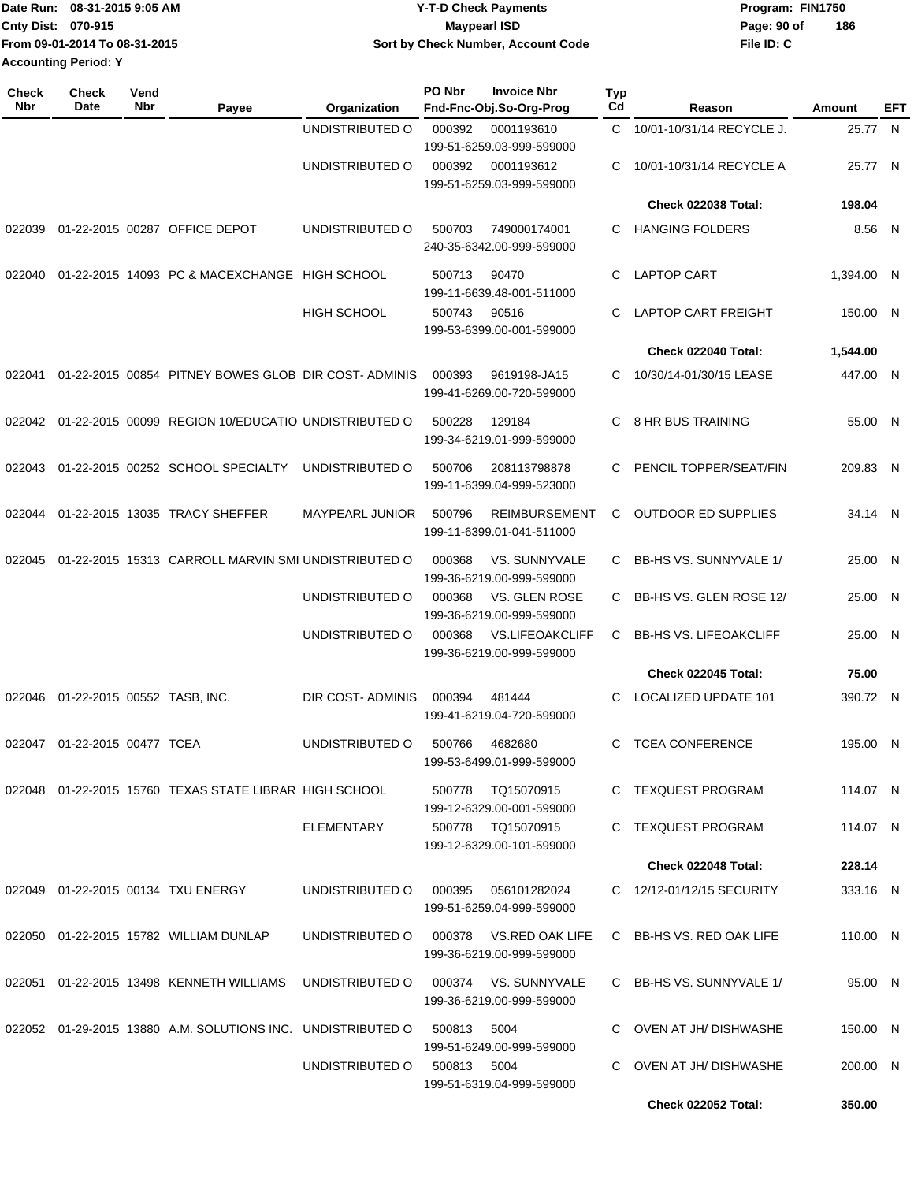|                             | IDate Run: 08-31-2015 9:05 AM | <b>Y-T-D Check Payments</b>        | Program: FIN1750   |  |  |  |
|-----------------------------|-------------------------------|------------------------------------|--------------------|--|--|--|
| <b>Cnty Dist: 070-915</b>   |                               | Maypearl ISD                       | 186<br>Page: 90 of |  |  |  |
|                             | From 09-01-2014 To 08-31-2015 | Sort by Check Number, Account Code | File ID: C         |  |  |  |
| <b>Accounting Period: Y</b> |                               |                                    |                    |  |  |  |

| Check<br><b>Nbr</b> | <b>Check</b><br>Date        | Vend<br>Nbr                                                                                                 | Payee                                                       | Organization           | PO Nbr | <b>Invoice Nbr</b><br>Fnd-Fnc-Obj.So-Org-Prog       | Typ<br>Cd    | Reason                        | Amount     | EFT |
|---------------------|-----------------------------|-------------------------------------------------------------------------------------------------------------|-------------------------------------------------------------|------------------------|--------|-----------------------------------------------------|--------------|-------------------------------|------------|-----|
|                     |                             |                                                                                                             |                                                             | UNDISTRIBUTED O        | 000392 | 0001193610<br>199-51-6259.03-999-599000             | $\mathsf{C}$ | 10/01-10/31/14 RECYCLE J.     | 25.77 N    |     |
|                     |                             |                                                                                                             |                                                             | UNDISTRIBUTED O        | 000392 | 0001193612<br>199-51-6259.03-999-599000             | C            | 10/01-10/31/14 RECYCLE A      | 25.77 N    |     |
|                     |                             |                                                                                                             |                                                             |                        |        |                                                     |              | <b>Check 022038 Total:</b>    | 198.04     |     |
| 022039              |                             |                                                                                                             | 01-22-2015 00287 OFFICE DEPOT                               | UNDISTRIBUTED O        | 500703 | 749000174001<br>240-35-6342.00-999-599000           | C.           | <b>HANGING FOLDERS</b>        | 8.56 N     |     |
| 022040              |                             |                                                                                                             | 01-22-2015 14093 PC & MACEXCHANGE HIGH SCHOOL               |                        | 500713 | 90470<br>199-11-6639.48-001-511000                  | C.           | <b>LAPTOP CART</b>            | 1,394.00 N |     |
|                     |                             |                                                                                                             |                                                             | <b>HIGH SCHOOL</b>     | 500743 | 90516<br>199-53-6399.00-001-599000                  | C            | <b>LAPTOP CART FREIGHT</b>    | 150.00 N   |     |
|                     |                             |                                                                                                             |                                                             |                        |        |                                                     |              | Check 022040 Total:           | 1,544.00   |     |
| 022041              |                             |                                                                                                             | 01-22-2015 00854 PITNEY BOWES GLOB DIR COST-ADMINIS         |                        | 000393 | 9619198-JA15<br>199-41-6269.00-720-599000           | C.           | 10/30/14-01/30/15 LEASE       | 447.00 N   |     |
| 022042              |                             |                                                                                                             | 01-22-2015 00099 REGION 10/EDUCATIO UNDISTRIBUTED O         |                        | 500228 | 129184<br>199-34-6219.01-999-599000                 | C            | 8 HR BUS TRAINING             | 55.00 N    |     |
| 022043              |                             |                                                                                                             | 01-22-2015 00252 SCHOOL SPECIALTY                           | UNDISTRIBUTED O        | 500706 | 208113798878<br>199-11-6399.04-999-523000           | C            | PENCIL TOPPER/SEAT/FIN        | 209.83 N   |     |
| 022044              |                             |                                                                                                             | 01-22-2015 13035 TRACY SHEFFER                              | <b>MAYPEARL JUNIOR</b> | 500796 | <b>REIMBURSEMENT</b><br>199-11-6399.01-041-511000   | C            | <b>OUTDOOR ED SUPPLIES</b>    | 34.14 N    |     |
| 022045              |                             | 01-22-2015 15313 CARROLL MARVIN SMI UNDISTRIBUTED O<br>VS. SUNNYVALE<br>000368<br>199-36-6219.00-999-599000 |                                                             |                        | C      | BB-HS VS. SUNNYVALE 1/                              | 25.00 N      |                               |            |     |
|                     |                             |                                                                                                             |                                                             | UNDISTRIBUTED O        | 000368 | VS. GLEN ROSE<br>199-36-6219.00-999-599000          | C            | BB-HS VS. GLEN ROSE 12/       | 25.00 N    |     |
|                     |                             |                                                                                                             |                                                             | UNDISTRIBUTED O        | 000368 | <b>VS.LIFEOAKCLIFF</b><br>199-36-6219.00-999-599000 | C            | <b>BB-HS VS. LIFEOAKCLIFF</b> | 25.00 N    |     |
|                     |                             |                                                                                                             |                                                             |                        |        |                                                     |              | <b>Check 022045 Total:</b>    | 75.00      |     |
| 022046              | 01-22-2015 00552 TASB, INC. |                                                                                                             |                                                             | DIR COST-ADMINIS       | 000394 | 481444<br>199-41-6219.04-720-599000                 | C            | <b>LOCALIZED UPDATE 101</b>   | 390.72 N   |     |
| 022047              | 01-22-2015 00477 TCEA       |                                                                                                             |                                                             | UNDISTRIBUTED O        | 500766 | 4682680<br>199-53-6499.01-999-599000                | C            | <b>TCEA CONFERENCE</b>        | 195.00 N   |     |
|                     |                             |                                                                                                             | 022048  01-22-2015  15760  TEXAS STATE LIBRAR  HIGH SCHOOL  |                        | 500778 | TQ15070915<br>199-12-6329.00-001-599000             |              | C TEXQUEST PROGRAM            | 114.07 N   |     |
|                     |                             |                                                                                                             |                                                             | ELEMENTARY             |        | 500778 TQ15070915<br>199-12-6329.00-101-599000      | C.           | TEXQUEST PROGRAM              | 114.07 N   |     |
|                     |                             |                                                                                                             |                                                             |                        |        |                                                     |              | Check 022048 Total:           | 228.14     |     |
|                     |                             |                                                                                                             | 022049 01-22-2015 00134 TXU ENERGY                          | UNDISTRIBUTED O        | 000395 | 056101282024<br>199-51-6259.04-999-599000           |              | C 12/12-01/12/15 SECURITY     | 333.16 N   |     |
|                     |                             |                                                                                                             | 022050 01-22-2015 15782 WILLIAM DUNLAP                      | UNDISTRIBUTED O        | 000378 | VS.RED OAK LIFE<br>199-36-6219.00-999-599000        |              | C BB-HS VS. RED OAK LIFE      | 110.00 N   |     |
| 022051              |                             |                                                                                                             | 01-22-2015 13498 KENNETH WILLIAMS                           | UNDISTRIBUTED O        | 000374 | VS. SUNNYVALE<br>199-36-6219.00-999-599000          |              | C BB-HS VS. SUNNYVALE 1/      | 95.00 N    |     |
|                     |                             |                                                                                                             | 022052 01-29-2015 13880 A.M. SOLUTIONS INC. UNDISTRIBUTED O |                        | 500813 | 5004<br>199-51-6249.00-999-599000                   |              | C OVEN AT JH/ DISHWASHE       | 150.00 N   |     |
|                     |                             |                                                                                                             |                                                             | UNDISTRIBUTED O        | 500813 | 5004<br>199-51-6319.04-999-599000                   | C            | OVEN AT JH/ DISHWASHE         | 200.00 N   |     |
|                     |                             |                                                                                                             |                                                             |                        |        |                                                     |              | Check 022052 Total:           | 350.00     |     |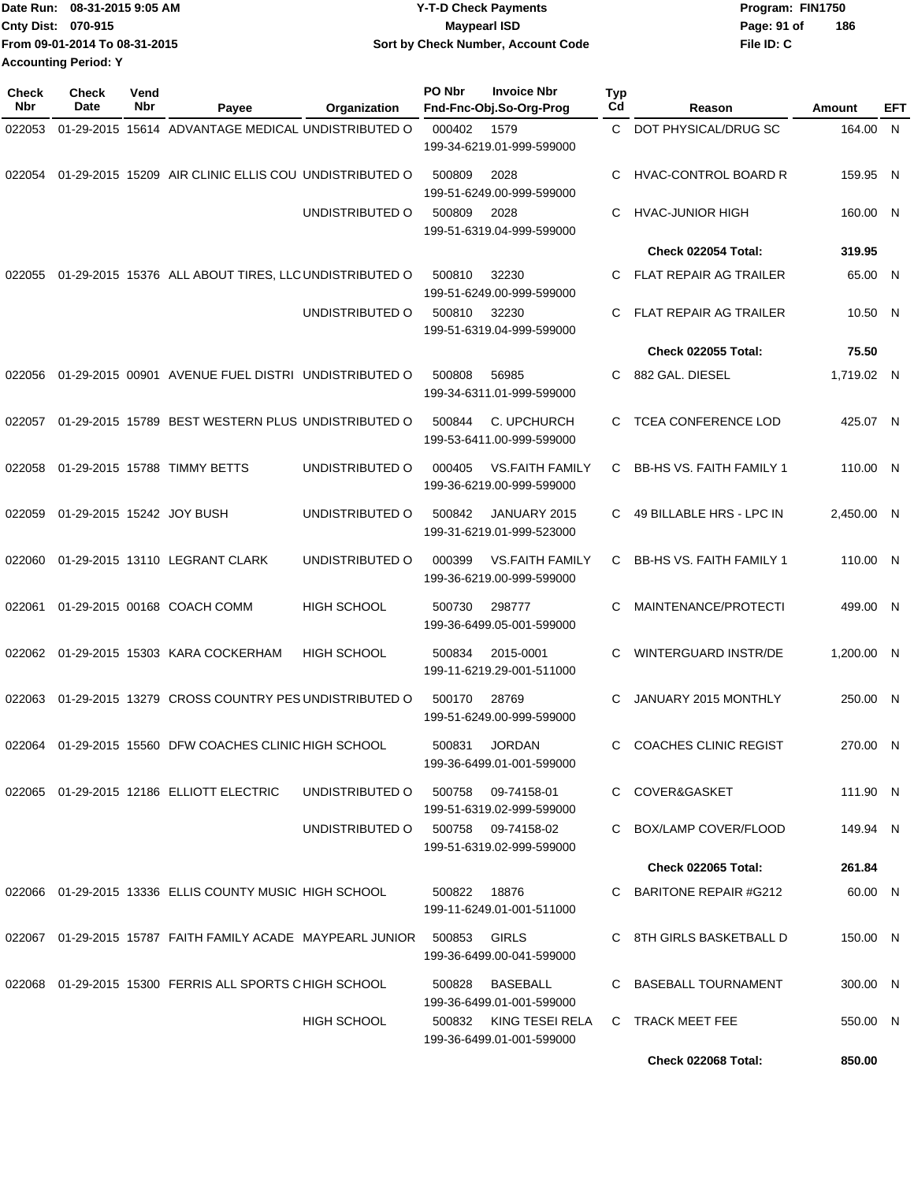| Date Run: 08-31-2015 9:05 AM  | <b>Y-T-D Check Payments</b>        | Program: FIN1750   |  |  |  |
|-------------------------------|------------------------------------|--------------------|--|--|--|
| <b>Cnty Dist: 070-915</b>     | Mavpearl ISD                       | 186<br>Page: 91 of |  |  |  |
| From 09-01-2014 To 08-31-2015 | Sort by Check Number, Account Code | File ID: C         |  |  |  |
| <b>Accounting Period: Y</b>   |                                    |                    |  |  |  |

| <b>Check</b><br><b>Nbr</b> | Check<br>Date             | Vend<br>Nbr | Payee                                                      | Organization       | PO Nbr | <b>Invoice Nbr</b><br>Fnd-Fnc-Obj.So-Org-Prog       | Typ<br>C <sub>d</sub> | Reason                          | <b>Amount</b> | EFT |
|----------------------------|---------------------------|-------------|------------------------------------------------------------|--------------------|--------|-----------------------------------------------------|-----------------------|---------------------------------|---------------|-----|
| 022053                     |                           |             | 01-29-2015 15614 ADVANTAGE MEDICAL UNDISTRIBUTED O         |                    | 000402 | 1579<br>199-34-6219.01-999-599000                   | C.                    | DOT PHYSICAL/DRUG SC            | 164.00 N      |     |
| 022054                     |                           |             | 01-29-2015 15209 AIR CLINIC ELLIS COU UNDISTRIBUTED O      |                    | 500809 | 2028<br>199-51-6249.00-999-599000                   | C                     | <b>HVAC-CONTROL BOARD R</b>     | 159.95 N      |     |
|                            |                           |             |                                                            | UNDISTRIBUTED O    | 500809 | 2028<br>199-51-6319.04-999-599000                   | C                     | <b>HVAC-JUNIOR HIGH</b>         | 160.00 N      |     |
|                            |                           |             |                                                            |                    |        |                                                     |                       | Check 022054 Total:             | 319.95        |     |
| 022055                     |                           |             | 01-29-2015 15376 ALL ABOUT TIRES, LLC UNDISTRIBUTED O      |                    | 500810 | 32230<br>199-51-6249.00-999-599000                  | C.                    | <b>FLAT REPAIR AG TRAILER</b>   | 65.00 N       |     |
|                            |                           |             |                                                            | UNDISTRIBUTED O    | 500810 | 32230<br>199-51-6319.04-999-599000                  | C                     | <b>FLAT REPAIR AG TRAILER</b>   | 10.50 N       |     |
|                            |                           |             |                                                            |                    |        |                                                     |                       | <b>Check 022055 Total:</b>      | 75.50         |     |
| 022056                     |                           |             | 01-29-2015 00901 AVENUE FUEL DISTRI UNDISTRIBUTED O        |                    | 500808 | 56985<br>199-34-6311.01-999-599000                  | C.                    | 882 GAL. DIESEL                 | 1,719.02 N    |     |
| 022057                     |                           |             | 01-29-2015 15789 BEST WESTERN PLUS UNDISTRIBUTED O         |                    | 500844 | C. UPCHURCH<br>199-53-6411.00-999-599000            | C                     | <b>TCEA CONFERENCE LOD</b>      | 425.07 N      |     |
| 022058                     |                           |             | 01-29-2015 15788 TIMMY BETTS                               | UNDISTRIBUTED O    | 000405 | <b>VS.FAITH FAMILY</b><br>199-36-6219.00-999-599000 | C                     | <b>BB-HS VS. FAITH FAMILY 1</b> | 110.00 N      |     |
| 022059                     | 01-29-2015 15242 JOY BUSH |             |                                                            | UNDISTRIBUTED O    | 500842 | JANUARY 2015<br>199-31-6219.01-999-523000           | C.                    | 49 BILLABLE HRS - LPC IN        | 2,450.00 N    |     |
| 022060                     |                           |             | 01-29-2015 13110 LEGRANT CLARK                             | UNDISTRIBUTED O    | 000399 | <b>VS.FAITH FAMILY</b><br>199-36-6219.00-999-599000 | C                     | <b>BB-HS VS. FAITH FAMILY 1</b> | 110.00 N      |     |
| 022061                     |                           |             | 01-29-2015 00168 COACH COMM                                | <b>HIGH SCHOOL</b> | 500730 | 298777<br>199-36-6499.05-001-599000                 | C                     | MAINTENANCE/PROTECTI            | 499.00 N      |     |
|                            |                           |             | 022062 01-29-2015 15303 KARA COCKERHAM                     | <b>HIGH SCHOOL</b> | 500834 | 2015-0001<br>199-11-6219.29-001-511000              | C                     | <b>WINTERGUARD INSTR/DE</b>     | 1,200.00 N    |     |
| 022063                     |                           |             | 01-29-2015 13279 CROSS COUNTRY PES UNDISTRIBUTED O         |                    | 500170 | 28769<br>199-51-6249.00-999-599000                  | C                     | JANUARY 2015 MONTHLY            | 250.00 N      |     |
|                            |                           |             | 022064 01-29-2015 15560 DFW COACHES CLINIC HIGH SCHOOL     |                    | 500831 | <b>JORDAN</b><br>199-36-6499.01-001-599000          | C.                    | <b>COACHES CLINIC REGIST</b>    | 270.00 N      |     |
|                            |                           |             | 022065 01-29-2015 12186 ELLIOTT ELECTRIC                   | UNDISTRIBUTED O    | 500758 | 09-74158-01<br>199-51-6319.02-999-599000            |                       | C COVER&GASKET                  | 111.90 N      |     |
|                            |                           |             |                                                            | UNDISTRIBUTED O    |        | 500758 09-74158-02<br>199-51-6319.02-999-599000     |                       | C BOX/LAMP COVER/FLOOD          | 149.94 N      |     |
|                            |                           |             |                                                            |                    |        |                                                     |                       | <b>Check 022065 Total:</b>      | 261.84        |     |
|                            |                           |             | 022066 01-29-2015 13336 ELLIS COUNTY MUSIC HIGH SCHOOL     |                    | 500822 | 18876<br>199-11-6249.01-001-511000                  |                       | C BARITONE REPAIR #G212         | 60.00 N       |     |
|                            |                           |             | 022067 01-29-2015 15787 FAITH FAMILY ACADE MAYPEARL JUNIOR |                    | 500853 | <b>GIRLS</b><br>199-36-6499.00-041-599000           |                       | C 8TH GIRLS BASKETBALL D        | 150.00 N      |     |
|                            |                           |             | 022068  01-29-2015  15300  FERRIS ALL SPORTS CHIGH SCHOOL  |                    | 500828 | <b>BASEBALL</b><br>199-36-6499.01-001-599000        |                       | C BASEBALL TOURNAMENT           | 300.00 N      |     |
|                            |                           |             |                                                            | <b>HIGH SCHOOL</b> | 500832 | KING TESEI RELA<br>199-36-6499.01-001-599000        |                       | C TRACK MEET FEE                | 550.00 N      |     |
|                            |                           |             |                                                            |                    |        |                                                     |                       | <b>Check 022068 Total:</b>      | 850.00        |     |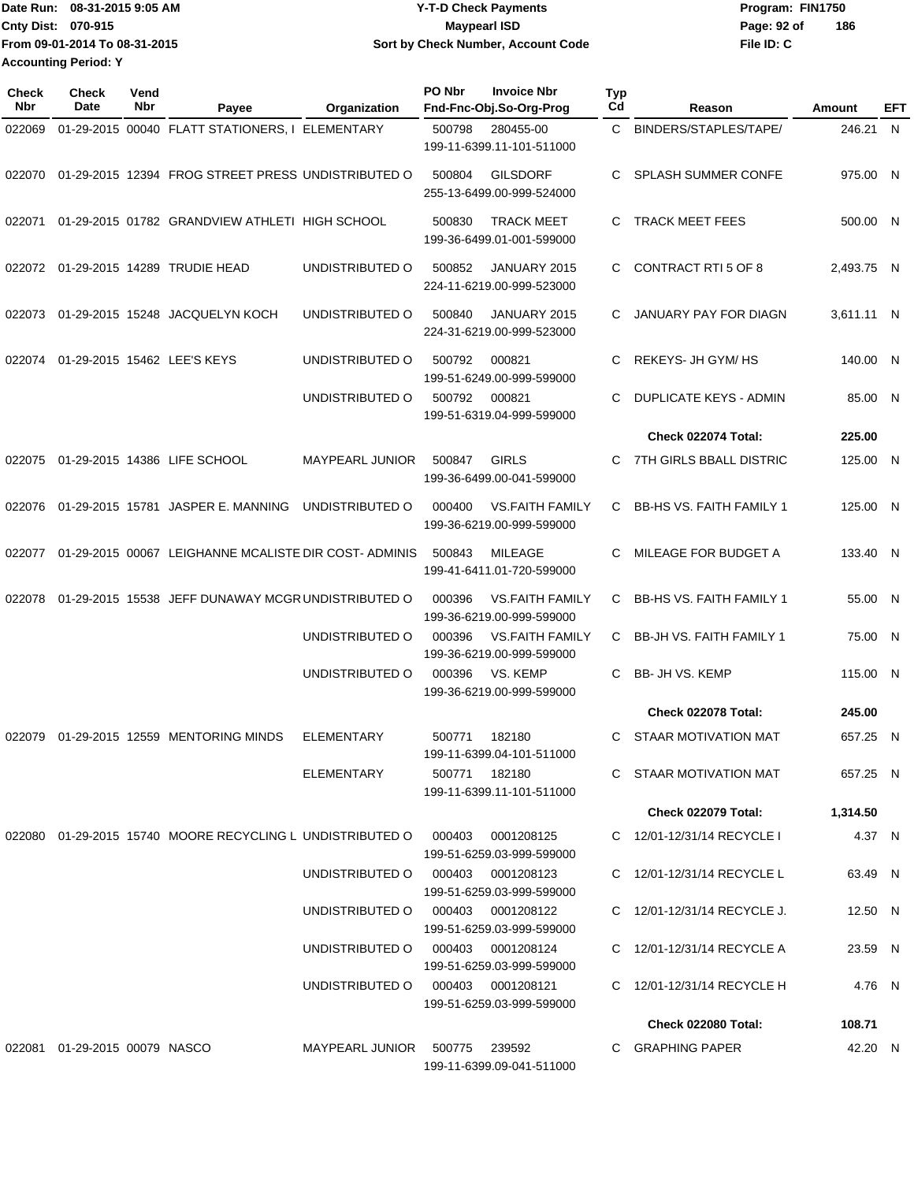Date Run: 08-31-2015 9:05 AM **Date Run:** 08-31-2015 9:05 AM **Cnty Dist:** 070-915 **Page: 92 of** Maypearl ISD Maypearl ISD **File ID: C From 09-01-2014 To 08-31-2015 08-31-2015 9:05 AM Y-T-D Check Payments 070-915 Maypearl ISD Sort by Check Number, Account Code 186 Accounting Period: Y**

| Check<br>Nbr | <b>Check</b><br>Date             | Vend<br>Nbr | Payee                                                     | Organization           | PO Nbr | <b>Invoice Nbr</b><br>Fnd-Fnc-Obj.So-Org-Prog       | Typ<br>Cd | Reason                          | Amount     | EFT |
|--------------|----------------------------------|-------------|-----------------------------------------------------------|------------------------|--------|-----------------------------------------------------|-----------|---------------------------------|------------|-----|
| 022069       |                                  |             | 01-29-2015 00040 FLATT STATIONERS, I ELEMENTARY           |                        | 500798 | 280455-00<br>199-11-6399.11-101-511000              | C.        | BINDERS/STAPLES/TAPE/           | 246.21 N   |     |
| 022070       |                                  |             | 01-29-2015 12394 FROG STREET PRESS UNDISTRIBUTED O        |                        | 500804 | <b>GILSDORF</b><br>255-13-6499.00-999-524000        | C.        | <b>SPLASH SUMMER CONFE</b>      | 975.00 N   |     |
| 022071       |                                  |             | 01-29-2015 01782 GRANDVIEW ATHLETI HIGH SCHOOL            |                        | 500830 | <b>TRACK MEET</b><br>199-36-6499.01-001-599000      | C         | <b>TRACK MEET FEES</b>          | 500.00 N   |     |
| 022072       |                                  |             | 01-29-2015 14289 TRUDIE HEAD                              | UNDISTRIBUTED O        | 500852 | JANUARY 2015<br>224-11-6219.00-999-523000           | C.        | CONTRACT RTI 5 OF 8             | 2,493.75 N |     |
| 022073       |                                  |             | 01-29-2015 15248 JACQUELYN KOCH                           | UNDISTRIBUTED O        | 500840 | JANUARY 2015<br>224-31-6219.00-999-523000           | C         | JANUARY PAY FOR DIAGN           | 3,611.11 N |     |
| 022074       |                                  |             | 01-29-2015 15462 LEE'S KEYS                               | UNDISTRIBUTED O        | 500792 | 000821<br>199-51-6249.00-999-599000                 | С         | REKEYS- JH GYM/ HS              | 140.00 N   |     |
|              |                                  |             |                                                           | UNDISTRIBUTED O        | 500792 | 000821<br>199-51-6319.04-999-599000                 | C         | DUPLICATE KEYS - ADMIN          | 85.00 N    |     |
|              |                                  |             |                                                           |                        |        |                                                     |           | Check 022074 Total:             | 225.00     |     |
| 022075       |                                  |             | 01-29-2015 14386 LIFE SCHOOL                              | <b>MAYPEARL JUNIOR</b> | 500847 | <b>GIRLS</b><br>199-36-6499.00-041-599000           | C         | 7TH GIRLS BBALL DISTRIC         | 125.00 N   |     |
| 022076       |                                  |             | 01-29-2015 15781 JASPER E. MANNING                        | UNDISTRIBUTED O        | 000400 | <b>VS.FAITH FAMILY</b><br>199-36-6219.00-999-599000 | C         | <b>BB-HS VS. FAITH FAMILY 1</b> | 125.00 N   |     |
| 022077       |                                  |             | 01-29-2015 00067 LEIGHANNE MCALISTE DIR COST-ADMINIS      |                        | 500843 | <b>MILEAGE</b><br>199-41-6411.01-720-599000         | C.        | MILEAGE FOR BUDGET A            | 133.40 N   |     |
| 022078       |                                  |             | 01-29-2015 15538 JEFF DUNAWAY MCGR UNDISTRIBUTED O        |                        | 000396 | <b>VS.FAITH FAMILY</b><br>199-36-6219.00-999-599000 | C.        | <b>BB-HS VS. FAITH FAMILY 1</b> | 55.00 N    |     |
|              |                                  |             |                                                           | UNDISTRIBUTED O        | 000396 | <b>VS.FAITH FAMILY</b><br>199-36-6219.00-999-599000 | C.        | <b>BB-JH VS. FAITH FAMILY 1</b> | 75.00 N    |     |
|              |                                  |             |                                                           | UNDISTRIBUTED O        | 000396 | VS. KEMP<br>199-36-6219.00-999-599000               | C.        | BB- JH VS. KEMP                 | 115.00 N   |     |
|              |                                  |             |                                                           |                        |        |                                                     |           | <b>Check 022078 Total:</b>      | 245.00     |     |
| 022079       |                                  |             | 01-29-2015 12559 MENTORING MINDS                          | <b>ELEMENTARY</b>      | 500771 | 182180<br>199-11-6399.04-101-511000                 | C.        | STAAR MOTIVATION MAT            | 657.25 N   |     |
|              |                                  |             |                                                           | ELEMENTARY             |        | 500771 182180<br>199-11-6399.11-101-511000          |           | C STAAR MOTIVATION MAT          | 657.25 N   |     |
|              |                                  |             |                                                           |                        |        |                                                     |           | Check 022079 Total:             | 1,314.50   |     |
|              |                                  |             | 022080 01-29-2015 15740 MOORE RECYCLING L UNDISTRIBUTED O |                        | 000403 | 0001208125<br>199-51-6259.03-999-599000             |           | C 12/01-12/31/14 RECYCLE I      | 4.37 N     |     |
|              |                                  |             |                                                           | UNDISTRIBUTED O        |        | 000403 0001208123<br>199-51-6259.03-999-599000      |           | C 12/01-12/31/14 RECYCLE L      | 63.49 N    |     |
|              |                                  |             |                                                           | UNDISTRIBUTED O        |        | 000403 0001208122<br>199-51-6259.03-999-599000      |           | C 12/01-12/31/14 RECYCLE J.     | 12.50 N    |     |
|              |                                  |             |                                                           | UNDISTRIBUTED O        |        | 000403 0001208124<br>199-51-6259.03-999-599000      |           | C 12/01-12/31/14 RECYCLE A      | 23.59 N    |     |
|              |                                  |             |                                                           | UNDISTRIBUTED O        |        | 000403 0001208121<br>199-51-6259.03-999-599000      |           | C 12/01-12/31/14 RECYCLE H      | 4.76 N     |     |
|              |                                  |             |                                                           |                        |        |                                                     |           | <b>Check 022080 Total:</b>      | 108.71     |     |
|              | 022081  01-29-2015  00079  NASCO |             |                                                           | MAYPEARL JUNIOR        |        | 500775 239592<br>199-11-6399.09-041-511000          |           | C GRAPHING PAPER                | 42.20 N    |     |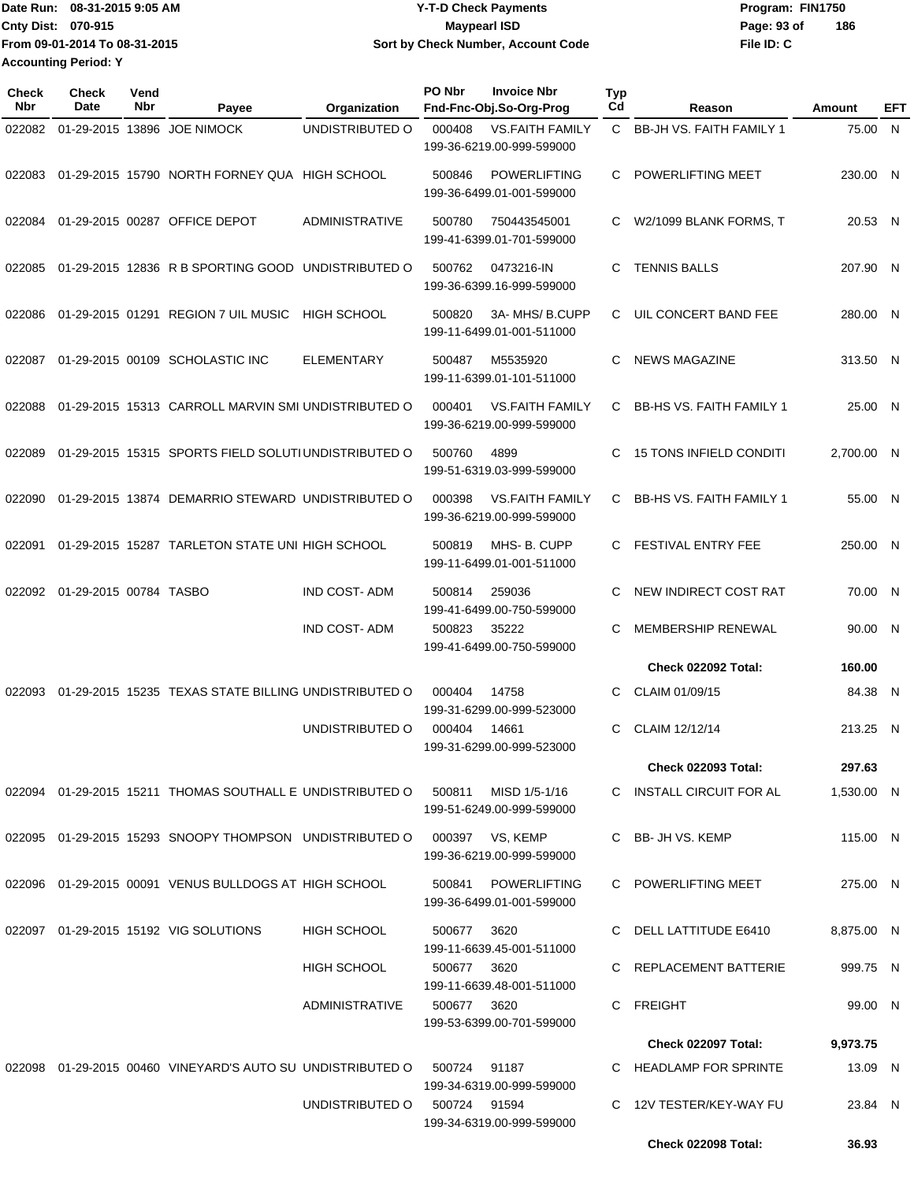Date Run: 08-31-2015 9:05 AM **Date Run:** 08-31-2015 9:05 AM **Cnty Dist: Page: 93 of File ID: C From 09-01-2014 To 08-31-2015 08-31-2015 9:05 AM Y-T-D Check Payments 070-915 Maypearl ISD Sort by Check Number, Account Code 186 Accounting Period: Y**

| Check<br><b>Nbr</b> | Check<br>Date          | Vend<br>Nbr | Payee                                                        | Organization          | PO Nbr       | <b>Invoice Nbr</b><br>Fnd-Fnc-Obj.So-Org-Prog       | <b>Typ</b><br>Cd | Reason                          | Amount     | EFT |
|---------------------|------------------------|-------------|--------------------------------------------------------------|-----------------------|--------------|-----------------------------------------------------|------------------|---------------------------------|------------|-----|
| 022082              |                        |             | 01-29-2015 13896 JOE NIMOCK                                  | UNDISTRIBUTED O       | 000408       | <b>VS.FAITH FAMILY</b><br>199-36-6219.00-999-599000 |                  | C BB-JH VS. FAITH FAMILY 1      | 75.00 N    |     |
| 022083              |                        |             | 01-29-2015 15790 NORTH FORNEY QUA HIGH SCHOOL                |                       | 500846       | <b>POWERLIFTING</b><br>199-36-6499.01-001-599000    | C                | POWERLIFTING MEET               | 230.00 N   |     |
|                     |                        |             | 022084 01-29-2015 00287 OFFICE DEPOT                         | <b>ADMINISTRATIVE</b> | 500780       | 750443545001<br>199-41-6399.01-701-599000           |                  | C W2/1099 BLANK FORMS, T        | 20.53 N    |     |
| 022085              |                        |             | 01-29-2015 12836 R B SPORTING GOOD UNDISTRIBUTED O           |                       | 500762       | 0473216-IN<br>199-36-6399.16-999-599000             | C                | <b>TENNIS BALLS</b>             | 207.90 N   |     |
| 022086              |                        |             | 01-29-2015 01291 REGION 7 UIL MUSIC                          | <b>HIGH SCHOOL</b>    | 500820       | 3A-MHS/B.CUPP<br>199-11-6499.01-001-511000          | C.               | UIL CONCERT BAND FEE            | 280.00 N   |     |
| 022087              |                        |             | 01-29-2015 00109 SCHOLASTIC INC                              | <b>ELEMENTARY</b>     | 500487       | M5535920<br>199-11-6399.01-101-511000               | C                | <b>NEWS MAGAZINE</b>            | 313.50 N   |     |
| 022088              |                        |             | 01-29-2015 15313 CARROLL MARVIN SMI UNDISTRIBUTED O          |                       | 000401       | <b>VS.FAITH FAMILY</b><br>199-36-6219.00-999-599000 | C.               | <b>BB-HS VS. FAITH FAMILY 1</b> | 25.00 N    |     |
| 022089              |                        |             | 01-29-2015 15315 SPORTS FIELD SOLUTIUNDISTRIBUTED O          |                       | 500760       | 4899<br>199-51-6319.03-999-599000                   | C                | <b>15 TONS INFIELD CONDITI</b>  | 2.700.00 N |     |
| 022090              |                        |             | 01-29-2015 13874 DEMARRIO STEWARD UNDISTRIBUTED O            |                       | 000398       | <b>VS.FAITH FAMILY</b><br>199-36-6219.00-999-599000 | C.               | <b>BB-HS VS. FAITH FAMILY 1</b> | 55.00 N    |     |
| 022091              |                        |             | 01-29-2015 15287 TARLETON STATE UNI HIGH SCHOOL              |                       | 500819       | MHS-B. CUPP<br>199-11-6499.01-001-511000            | C.               | FESTIVAL ENTRY FEE              | 250.00 N   |     |
| 022092              | 01-29-2015 00784 TASBO |             |                                                              | <b>IND COST-ADM</b>   | 500814       | 259036<br>199-41-6499.00-750-599000                 | C                | NEW INDIRECT COST RAT           | 70.00 N    |     |
|                     |                        |             |                                                              | <b>IND COST-ADM</b>   | 500823       | 35222<br>199-41-6499.00-750-599000                  |                  | MEMBERSHIP RENEWAL              | 90.00 N    |     |
|                     |                        |             |                                                              |                       |              |                                                     |                  | Check 022092 Total:             | 160.00     |     |
| 022093              |                        |             | 01-29-2015 15235 TEXAS STATE BILLING UNDISTRIBUTED O         |                       | 000404       | 14758<br>199-31-6299.00-999-523000                  | C                | CLAIM 01/09/15                  | 84.38 N    |     |
|                     |                        |             |                                                              | UNDISTRIBUTED O       | 000404       | 14661<br>199-31-6299.00-999-523000                  | C.               | CLAIM 12/12/14                  | 213.25 N   |     |
|                     |                        |             |                                                              |                       |              |                                                     |                  | <b>Check 022093 Total:</b>      | 297.63     |     |
|                     |                        |             | 022094  01-29-2015  15211  THOMAS SOUTHALL E UNDISTRIBUTED O |                       | 500811       | MISD 1/5-1/16<br>199-51-6249.00-999-599000          |                  | C INSTALL CIRCUIT FOR AL        | 1,530.00 N |     |
|                     |                        |             | 022095 01-29-2015 15293 SNOOPY THOMPSON UNDISTRIBUTED O      |                       |              | 000397 VS, KEMP<br>199-36-6219.00-999-599000        |                  | C BB- JH VS. KEMP               | 115.00 N   |     |
|                     |                        |             | 022096 01-29-2015 00091 VENUS BULLDOGS AT HIGH SCHOOL        |                       | 500841       | <b>POWERLIFTING</b><br>199-36-6499.01-001-599000    |                  | C POWERLIFTING MEET             | 275.00 N   |     |
|                     |                        |             | 022097 01-29-2015 15192 VIG SOLUTIONS                        | HIGH SCHOOL           | 500677       | 3620<br>199-11-6639.45-001-511000                   |                  | C DELL LATTITUDE E6410          | 8,875.00 N |     |
|                     |                        |             |                                                              | <b>HIGH SCHOOL</b>    | 500677 3620  | 199-11-6639.48-001-511000                           |                  | C REPLACEMENT BATTERIE          | 999.75 N   |     |
|                     |                        |             |                                                              | <b>ADMINISTRATIVE</b> | 500677 3620  | 199-53-6399.00-701-599000                           |                  | C FREIGHT                       | 99.00 N    |     |
|                     |                        |             |                                                              |                       |              |                                                     |                  | <b>Check 022097 Total:</b>      | 9,973.75   |     |
|                     |                        |             | 022098 01-29-2015 00460 VINEYARD'S AUTO SU UNDISTRIBUTED O   |                       | 500724       | 91187<br>199-34-6319.00-999-599000                  |                  | C HEADLAMP FOR SPRINTE          | 13.09 N    |     |
|                     |                        |             |                                                              | UNDISTRIBUTED O       | 500724 91594 | 199-34-6319.00-999-599000                           |                  | C 12V TESTER/KEY-WAY FU         | 23.84 N    |     |
|                     |                        |             |                                                              |                       |              |                                                     |                  | <b>Check 022098 Total:</b>      | 36.93      |     |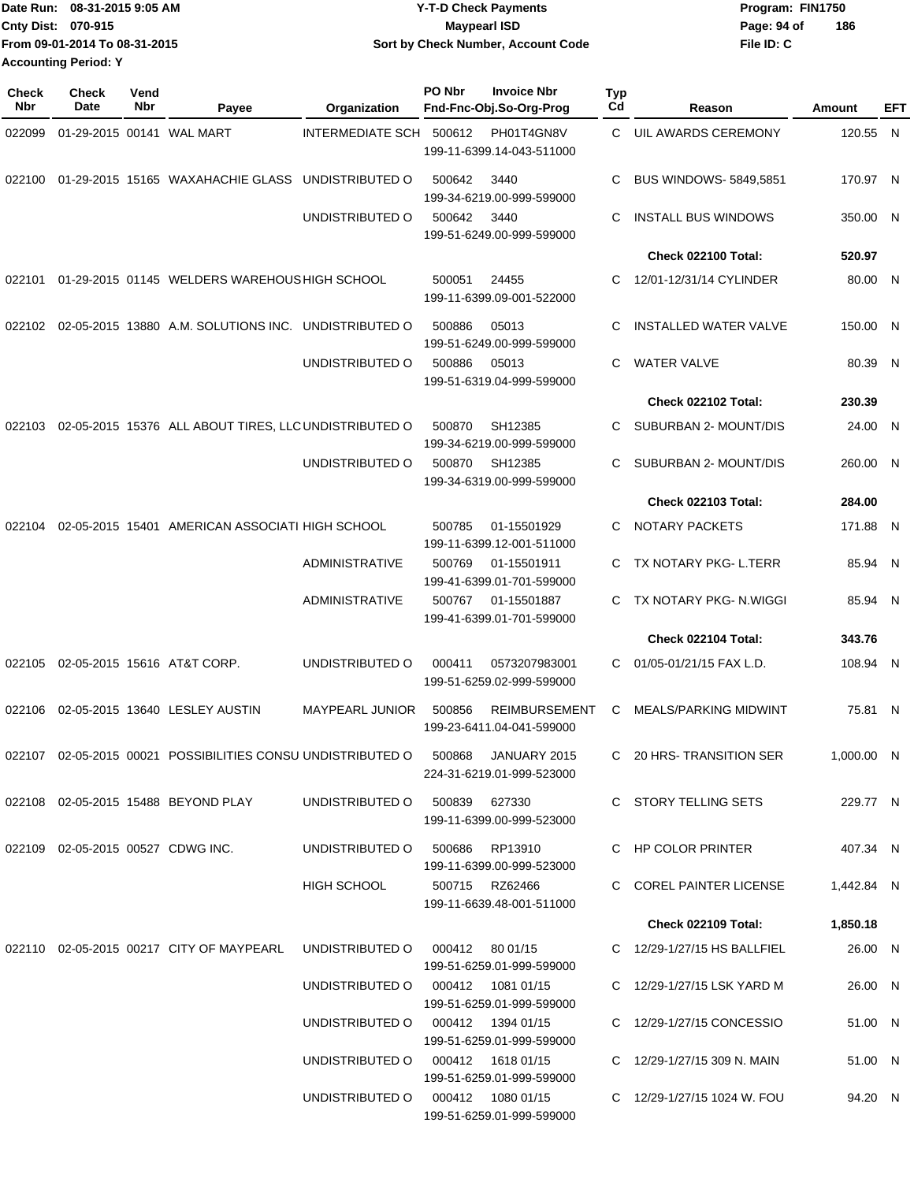|                             | TDate Run: 08-31-2015 9:05 AM | <b>Y-T-D Check Payments</b>        | Program: FIN1750 |     |
|-----------------------------|-------------------------------|------------------------------------|------------------|-----|
| <b>Cnty Dist: 070-915</b>   |                               | <b>Maypearl ISD</b>                | Page: 94 of      | 186 |
|                             | From 09-01-2014 To 08-31-2015 | Sort by Check Number, Account Code | File ID: C       |     |
| <b>Accounting Period: Y</b> |                               |                                    |                  |     |

| <b>Check</b><br><b>Nbr</b> | <b>Check</b><br><b>Date</b>       | Vend<br>Nbr | Payee                                                                     | Organization                         | PO Nbr          | <b>Invoice Nbr</b><br>Fnd-Fnc-Obj.So-Org-Prog     | <b>Typ</b><br>Cd | Reason                       | Amount       | <b>EFT</b> |
|----------------------------|-----------------------------------|-------------|---------------------------------------------------------------------------|--------------------------------------|-----------------|---------------------------------------------------|------------------|------------------------------|--------------|------------|
| 022099                     |                                   |             | 01-29-2015 00141 WAL MART                                                 | INTERMEDIATE SCH 500612              |                 | PH01T4GN8V<br>199-11-6399.14-043-511000           | C.               | UIL AWARDS CEREMONY          | 120.55 N     |            |
| 022100                     |                                   |             | 01-29-2015 15165 WAXAHACHIE GLASS                                         | UNDISTRIBUTED O                      | 500642          | 3440<br>199-34-6219.00-999-599000                 | C                | <b>BUS WINDOWS-5849,5851</b> | 170.97 N     |            |
|                            |                                   |             |                                                                           | UNDISTRIBUTED O                      | 500642          | 3440<br>199-51-6249.00-999-599000                 | C                | <b>INSTALL BUS WINDOWS</b>   | 350.00 N     |            |
|                            |                                   |             |                                                                           |                                      |                 |                                                   |                  | Check 022100 Total:          | 520.97       |            |
| 022101                     |                                   |             | 01-29-2015 01145 WELDERS WAREHOUS HIGH SCHOOL                             |                                      | 500051          | 24455<br>199-11-6399.09-001-522000                | C.               | 12/01-12/31/14 CYLINDER      | 80.00 N      |            |
| 022102                     |                                   |             | 02-05-2015 13880 A.M. SOLUTIONS INC. UNDISTRIBUTED O                      |                                      | 500886          | 05013<br>199-51-6249.00-999-599000                | C                | <b>INSTALLED WATER VALVE</b> | 150.00 N     |            |
|                            |                                   |             |                                                                           | UNDISTRIBUTED O                      | 500886          | 05013<br>199-51-6319.04-999-599000                | C                | <b>WATER VALVE</b>           | 80.39 N      |            |
|                            |                                   |             |                                                                           |                                      |                 |                                                   |                  | Check 022102 Total:          | 230.39       |            |
| 022103                     |                                   |             | 02-05-2015 15376 ALL ABOUT TIRES, LLC UNDISTRIBUTED O                     |                                      | 500870          | SH12385<br>199-34-6219.00-999-599000              | C.               | SUBURBAN 2- MOUNT/DIS        | 24.00 N      |            |
|                            |                                   |             |                                                                           | UNDISTRIBUTED O                      | 500870          | SH12385<br>199-34-6319.00-999-599000              | C.               | SUBURBAN 2- MOUNT/DIS        | 260.00 N     |            |
|                            |                                   |             |                                                                           |                                      |                 |                                                   |                  | Check 022103 Total:          | 284.00       |            |
| 022104                     |                                   |             | 02-05-2015 15401 AMERICAN ASSOCIATI HIGH SCHOOL                           |                                      | 500785          | 01-15501929<br>199-11-6399.12-001-511000          | C.               | <b>NOTARY PACKETS</b>        | 171.88 N     |            |
|                            |                                   |             |                                                                           | <b>ADMINISTRATIVE</b>                | 500769          | 01-15501911<br>199-41-6399.01-701-599000          | C.               | TX NOTARY PKG- L.TERR        | 85.94 N      |            |
|                            |                                   |             |                                                                           | ADMINISTRATIVE                       | 500767          | 01-15501887<br>199-41-6399.01-701-599000          | C.               | TX NOTARY PKG- N.WIGGI       | 85.94 N      |            |
|                            |                                   |             |                                                                           |                                      |                 |                                                   |                  | Check 022104 Total:          | 343.76       |            |
| 022105                     |                                   |             | 02-05-2015 15616 AT&T CORP.                                               | UNDISTRIBUTED O                      | 000411          | 0573207983001<br>199-51-6259.02-999-599000        | C                | 01/05-01/21/15 FAX L.D.      | 108.94 N     |            |
| 022106                     |                                   |             | 02-05-2015 13640 LESLEY AUSTIN                                            | <b>MAYPEARL JUNIOR</b>               | 500856          | <b>REIMBURSEMENT</b><br>199-23-6411.04-041-599000 | C                | <b>MEALS/PARKING MIDWINT</b> | 75.81 N      |            |
|                            |                                   |             | 022107  02-05-2015  00021  POSSIBILITIES CONSU UNDISTRIBUTED   0   500868 |                                      |                 | JANUARY 2015<br>224-31-6219.01-999-523000         |                  | C 20 HRS-TRANSITION SER      | $1,000.00$ N |            |
|                            |                                   |             | 022108 02-05-2015 15488 BEYOND PLAY                                       | UNDISTRIBUTED O                      |                 | 500839 627330<br>199-11-6399.00-999-523000        |                  | C STORY TELLING SETS         | 229.77 N     |            |
|                            | 022109 02-05-2015 00527 CDWG INC. |             |                                                                           | UNDISTRIBUTED O                      |                 | 500686 RP13910<br>199-11-6399.00-999-523000       |                  | C HP COLOR PRINTER           | 407.34 N     |            |
|                            |                                   |             |                                                                           | HIGH SCHOOL                          |                 | 500715 RZ62466<br>199-11-6639.48-001-511000       |                  | C COREL PAINTER LICENSE      | 1,442.84 N   |            |
|                            |                                   |             |                                                                           |                                      |                 |                                                   |                  | Check 022109 Total:          | 1,850.18     |            |
|                            |                                   |             | 022110 02-05-2015 00217 CITY OF MAYPEARL                                  | UNDISTRIBUTED O                      | 000412 80 01/15 | 199-51-6259.01-999-599000                         |                  | C 12/29-1/27/15 HS BALLFIEL  | 26.00 N      |            |
|                            |                                   |             |                                                                           | UNDISTRIBUTED 0 000412 1081 01/15    |                 | 199-51-6259.01-999-599000                         |                  | C 12/29-1/27/15 LSK YARD M   | 26.00 N      |            |
|                            |                                   |             |                                                                           | UNDISTRIBUTED O   000412  1394 01/15 |                 | 199-51-6259.01-999-599000                         |                  | C 12/29-1/27/15 CONCESSIO    | 51.00 N      |            |
|                            |                                   |             |                                                                           | UNDISTRIBUTED O 000412 1618 01/15    |                 | 199-51-6259.01-999-599000                         |                  | C 12/29-1/27/15 309 N. MAIN  | 51.00 N      |            |
|                            |                                   |             |                                                                           | UNDISTRIBUTED O   000412  1080 01/15 |                 | 199-51-6259.01-999-599000                         |                  | C 12/29-1/27/15 1024 W. FOU  | 94.20 N      |            |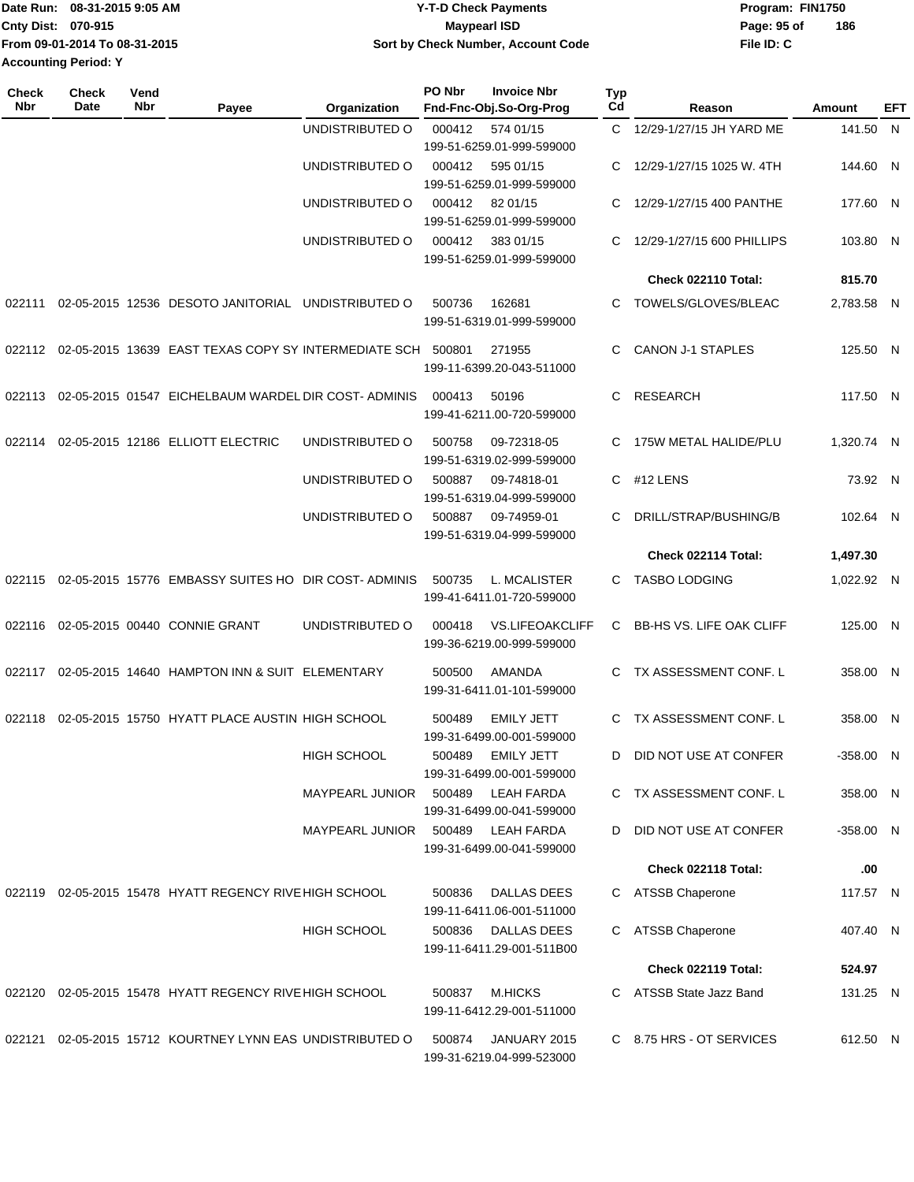|                             | IDate Run: 08-31-2015 9:05 AM | <b>Y-T-D Check Payments</b>        | Program: FIN1750   |  |
|-----------------------------|-------------------------------|------------------------------------|--------------------|--|
| <b>Cnty Dist: 070-915</b>   |                               | <b>Mavpearl ISD</b>                | 186<br>Page: 95 of |  |
|                             | From 09-01-2014 To 08-31-2015 | Sort by Check Number, Account Code | File ID: C         |  |
| <b>Accounting Period: Y</b> |                               |                                    |                    |  |

| UNDISTRIBUTED O<br>C 12/29-1/27/15 JH YARD ME<br>000412<br>141.50 N<br>574 01/15<br>199-51-6259.01-999-599000<br>UNDISTRIBUTED O<br>000412<br>595 01/15<br>12/29-1/27/15 1025 W. 4TH<br>144.60 N<br>C<br>199-51-6259.01-999-599000<br>UNDISTRIBUTED O<br>000412<br>82 01/15<br>12/29-1/27/15 400 PANTHE<br>177.60 N<br>C<br>199-51-6259.01-999-599000<br>UNDISTRIBUTED O<br>000412<br>383 01/15<br>12/29-1/27/15 600 PHILLIPS<br>103.80 N<br>199-51-6259.01-999-599000<br>Check 022110 Total:<br>815.70<br>02-05-2015 12536 DESOTO JANITORIAL UNDISTRIBUTED O<br>500736<br>162681<br>TOWELS/GLOVES/BLEAC<br>2,783.58 N<br>022111<br>C.<br>199-51-6319.01-999-599000<br>022112  02-05-2015  13639  EAST TEXAS COPY SY INTERMEDIATE SCH  500801<br>CANON J-1 STAPLES<br>125.50 N<br>271955<br>C<br>199-11-6399.20-043-511000<br>02-05-2015 01547 EICHELBAUM WARDEL DIR COST-ADMINIS<br>RESEARCH<br>117.50 N<br>022113<br>000413<br>50196<br>C.<br>199-41-6211.00-720-599000<br>02-05-2015 12186 ELLIOTT ELECTRIC<br>UNDISTRIBUTED O<br>500758<br>C 175W METAL HALIDE/PLU<br>1,320.74 N<br>022114<br>09-72318-05<br>199-51-6319.02-999-599000<br>UNDISTRIBUTED O<br>500887<br>09-74818-01<br>C #12 LENS<br>73.92 N<br>199-51-6319.04-999-599000<br>UNDISTRIBUTED O<br>500887<br>09-74959-01<br>DRILL/STRAP/BUSHING/B<br>102.64 N<br>C.<br>199-51-6319.04-999-599000<br>Check 022114 Total:<br>1,497.30<br>02-05-2015 15776 EMBASSY SUITES HO DIR COST-ADMINIS<br>500735<br>L. MCALISTER<br>C TASBO LODGING<br>1,022.92 N<br>022115<br>199-41-6411.01-720-599000<br>02-05-2015 00440 CONNIE GRANT<br>UNDISTRIBUTED O<br><b>VS.LIFEOAKCLIFF</b><br><b>BB-HS VS. LIFE OAK CLIFF</b><br>125.00 N<br>022116<br>000418<br>C<br>199-36-6219.00-999-599000<br>02-05-2015 14640 HAMPTON INN & SUIT ELEMENTARY<br>AMANDA<br>C TX ASSESSMENT CONF. L<br>358.00 N<br>500500<br>022117<br>199-31-6411.01-101-599000<br>02-05-2015 15750 HYATT PLACE AUSTIN HIGH SCHOOL<br><b>EMILY JETT</b><br>TX ASSESSMENT CONF. L<br>358.00 N<br>022118<br>500489<br>C.<br>199-31-6499.00-001-599000<br><b>HIGH SCHOOL</b><br><b>EMILY JETT</b><br>DID NOT USE AT CONFER<br>$-358.00$ N<br>500489<br>D<br>199-31-6499.00-001-599000<br>500489<br>LEAH FARDA<br>C TX ASSESSMENT CONF. L<br>358.00 N<br><b>MAYPEARL JUNIOR</b><br>199-31-6499.00-041-599000<br>500489 LEAH FARDA<br>DID NOT USE AT CONFER<br>$-358.00$ N<br>MAYPEARL JUNIOR<br>D<br>199-31-6499.00-041-599000<br>Check 022118 Total:<br>.00.<br>022119 02-05-2015 15478 HYATT REGENCY RIVE HIGH SCHOOL<br>DALLAS DEES<br>C ATSSB Chaperone<br>117.57 N<br>500836<br>199-11-6411.06-001-511000<br><b>HIGH SCHOOL</b><br>DALLAS DEES<br>C ATSSB Chaperone<br>500836<br>407.40 N<br>199-11-6411.29-001-511B00<br><b>Check 022119 Total:</b><br>524.97<br>C ATSSB State Jazz Band<br>02-05-2015 15478 HYATT REGENCY RIVE HIGH SCHOOL<br>500837<br><b>M.HICKS</b><br>131.25 N<br>022120<br>199-11-6412.29-001-511000<br>022121 02-05-2015 15712 KOURTNEY LYNN EAS UNDISTRIBUTED O<br>JANUARY 2015<br>C 8.75 HRS - OT SERVICES<br>500874<br>612.50 N<br>199-31-6219.04-999-523000 | <b>Check</b><br>Nbr | Check<br>Date | Vend<br>Nbr | Payee | Organization | PO Nbr | <b>Invoice Nbr</b><br>Fnd-Fnc-Obj.So-Org-Prog | <b>Typ</b><br>Cd | Reason | Amount | EFT |
|--------------------------------------------------------------------------------------------------------------------------------------------------------------------------------------------------------------------------------------------------------------------------------------------------------------------------------------------------------------------------------------------------------------------------------------------------------------------------------------------------------------------------------------------------------------------------------------------------------------------------------------------------------------------------------------------------------------------------------------------------------------------------------------------------------------------------------------------------------------------------------------------------------------------------------------------------------------------------------------------------------------------------------------------------------------------------------------------------------------------------------------------------------------------------------------------------------------------------------------------------------------------------------------------------------------------------------------------------------------------------------------------------------------------------------------------------------------------------------------------------------------------------------------------------------------------------------------------------------------------------------------------------------------------------------------------------------------------------------------------------------------------------------------------------------------------------------------------------------------------------------------------------------------------------------------------------------------------------------------------------------------------------------------------------------------------------------------------------------------------------------------------------------------------------------------------------------------------------------------------------------------------------------------------------------------------------------------------------------------------------------------------------------------------------------------------------------------------------------------------------------------------------------------------------------------------------------------------------------------------------------------------------------------------------------------------------------------------------------------------------------------------------------------------------------------------------------------------------------------------------------------------------------------------------------------------------------------------------------------------------------------------------------------------------------------------------------------------------------------|---------------------|---------------|-------------|-------|--------------|--------|-----------------------------------------------|------------------|--------|--------|-----|
|                                                                                                                                                                                                                                                                                                                                                                                                                                                                                                                                                                                                                                                                                                                                                                                                                                                                                                                                                                                                                                                                                                                                                                                                                                                                                                                                                                                                                                                                                                                                                                                                                                                                                                                                                                                                                                                                                                                                                                                                                                                                                                                                                                                                                                                                                                                                                                                                                                                                                                                                                                                                                                                                                                                                                                                                                                                                                                                                                                                                                                                                                                              |                     |               |             |       |              |        |                                               |                  |        |        |     |
|                                                                                                                                                                                                                                                                                                                                                                                                                                                                                                                                                                                                                                                                                                                                                                                                                                                                                                                                                                                                                                                                                                                                                                                                                                                                                                                                                                                                                                                                                                                                                                                                                                                                                                                                                                                                                                                                                                                                                                                                                                                                                                                                                                                                                                                                                                                                                                                                                                                                                                                                                                                                                                                                                                                                                                                                                                                                                                                                                                                                                                                                                                              |                     |               |             |       |              |        |                                               |                  |        |        |     |
|                                                                                                                                                                                                                                                                                                                                                                                                                                                                                                                                                                                                                                                                                                                                                                                                                                                                                                                                                                                                                                                                                                                                                                                                                                                                                                                                                                                                                                                                                                                                                                                                                                                                                                                                                                                                                                                                                                                                                                                                                                                                                                                                                                                                                                                                                                                                                                                                                                                                                                                                                                                                                                                                                                                                                                                                                                                                                                                                                                                                                                                                                                              |                     |               |             |       |              |        |                                               |                  |        |        |     |
|                                                                                                                                                                                                                                                                                                                                                                                                                                                                                                                                                                                                                                                                                                                                                                                                                                                                                                                                                                                                                                                                                                                                                                                                                                                                                                                                                                                                                                                                                                                                                                                                                                                                                                                                                                                                                                                                                                                                                                                                                                                                                                                                                                                                                                                                                                                                                                                                                                                                                                                                                                                                                                                                                                                                                                                                                                                                                                                                                                                                                                                                                                              |                     |               |             |       |              |        |                                               |                  |        |        |     |
|                                                                                                                                                                                                                                                                                                                                                                                                                                                                                                                                                                                                                                                                                                                                                                                                                                                                                                                                                                                                                                                                                                                                                                                                                                                                                                                                                                                                                                                                                                                                                                                                                                                                                                                                                                                                                                                                                                                                                                                                                                                                                                                                                                                                                                                                                                                                                                                                                                                                                                                                                                                                                                                                                                                                                                                                                                                                                                                                                                                                                                                                                                              |                     |               |             |       |              |        |                                               |                  |        |        |     |
|                                                                                                                                                                                                                                                                                                                                                                                                                                                                                                                                                                                                                                                                                                                                                                                                                                                                                                                                                                                                                                                                                                                                                                                                                                                                                                                                                                                                                                                                                                                                                                                                                                                                                                                                                                                                                                                                                                                                                                                                                                                                                                                                                                                                                                                                                                                                                                                                                                                                                                                                                                                                                                                                                                                                                                                                                                                                                                                                                                                                                                                                                                              |                     |               |             |       |              |        |                                               |                  |        |        |     |
|                                                                                                                                                                                                                                                                                                                                                                                                                                                                                                                                                                                                                                                                                                                                                                                                                                                                                                                                                                                                                                                                                                                                                                                                                                                                                                                                                                                                                                                                                                                                                                                                                                                                                                                                                                                                                                                                                                                                                                                                                                                                                                                                                                                                                                                                                                                                                                                                                                                                                                                                                                                                                                                                                                                                                                                                                                                                                                                                                                                                                                                                                                              |                     |               |             |       |              |        |                                               |                  |        |        |     |
|                                                                                                                                                                                                                                                                                                                                                                                                                                                                                                                                                                                                                                                                                                                                                                                                                                                                                                                                                                                                                                                                                                                                                                                                                                                                                                                                                                                                                                                                                                                                                                                                                                                                                                                                                                                                                                                                                                                                                                                                                                                                                                                                                                                                                                                                                                                                                                                                                                                                                                                                                                                                                                                                                                                                                                                                                                                                                                                                                                                                                                                                                                              |                     |               |             |       |              |        |                                               |                  |        |        |     |
|                                                                                                                                                                                                                                                                                                                                                                                                                                                                                                                                                                                                                                                                                                                                                                                                                                                                                                                                                                                                                                                                                                                                                                                                                                                                                                                                                                                                                                                                                                                                                                                                                                                                                                                                                                                                                                                                                                                                                                                                                                                                                                                                                                                                                                                                                                                                                                                                                                                                                                                                                                                                                                                                                                                                                                                                                                                                                                                                                                                                                                                                                                              |                     |               |             |       |              |        |                                               |                  |        |        |     |
|                                                                                                                                                                                                                                                                                                                                                                                                                                                                                                                                                                                                                                                                                                                                                                                                                                                                                                                                                                                                                                                                                                                                                                                                                                                                                                                                                                                                                                                                                                                                                                                                                                                                                                                                                                                                                                                                                                                                                                                                                                                                                                                                                                                                                                                                                                                                                                                                                                                                                                                                                                                                                                                                                                                                                                                                                                                                                                                                                                                                                                                                                                              |                     |               |             |       |              |        |                                               |                  |        |        |     |
|                                                                                                                                                                                                                                                                                                                                                                                                                                                                                                                                                                                                                                                                                                                                                                                                                                                                                                                                                                                                                                                                                                                                                                                                                                                                                                                                                                                                                                                                                                                                                                                                                                                                                                                                                                                                                                                                                                                                                                                                                                                                                                                                                                                                                                                                                                                                                                                                                                                                                                                                                                                                                                                                                                                                                                                                                                                                                                                                                                                                                                                                                                              |                     |               |             |       |              |        |                                               |                  |        |        |     |
|                                                                                                                                                                                                                                                                                                                                                                                                                                                                                                                                                                                                                                                                                                                                                                                                                                                                                                                                                                                                                                                                                                                                                                                                                                                                                                                                                                                                                                                                                                                                                                                                                                                                                                                                                                                                                                                                                                                                                                                                                                                                                                                                                                                                                                                                                                                                                                                                                                                                                                                                                                                                                                                                                                                                                                                                                                                                                                                                                                                                                                                                                                              |                     |               |             |       |              |        |                                               |                  |        |        |     |
|                                                                                                                                                                                                                                                                                                                                                                                                                                                                                                                                                                                                                                                                                                                                                                                                                                                                                                                                                                                                                                                                                                                                                                                                                                                                                                                                                                                                                                                                                                                                                                                                                                                                                                                                                                                                                                                                                                                                                                                                                                                                                                                                                                                                                                                                                                                                                                                                                                                                                                                                                                                                                                                                                                                                                                                                                                                                                                                                                                                                                                                                                                              |                     |               |             |       |              |        |                                               |                  |        |        |     |
|                                                                                                                                                                                                                                                                                                                                                                                                                                                                                                                                                                                                                                                                                                                                                                                                                                                                                                                                                                                                                                                                                                                                                                                                                                                                                                                                                                                                                                                                                                                                                                                                                                                                                                                                                                                                                                                                                                                                                                                                                                                                                                                                                                                                                                                                                                                                                                                                                                                                                                                                                                                                                                                                                                                                                                                                                                                                                                                                                                                                                                                                                                              |                     |               |             |       |              |        |                                               |                  |        |        |     |
|                                                                                                                                                                                                                                                                                                                                                                                                                                                                                                                                                                                                                                                                                                                                                                                                                                                                                                                                                                                                                                                                                                                                                                                                                                                                                                                                                                                                                                                                                                                                                                                                                                                                                                                                                                                                                                                                                                                                                                                                                                                                                                                                                                                                                                                                                                                                                                                                                                                                                                                                                                                                                                                                                                                                                                                                                                                                                                                                                                                                                                                                                                              |                     |               |             |       |              |        |                                               |                  |        |        |     |
|                                                                                                                                                                                                                                                                                                                                                                                                                                                                                                                                                                                                                                                                                                                                                                                                                                                                                                                                                                                                                                                                                                                                                                                                                                                                                                                                                                                                                                                                                                                                                                                                                                                                                                                                                                                                                                                                                                                                                                                                                                                                                                                                                                                                                                                                                                                                                                                                                                                                                                                                                                                                                                                                                                                                                                                                                                                                                                                                                                                                                                                                                                              |                     |               |             |       |              |        |                                               |                  |        |        |     |
|                                                                                                                                                                                                                                                                                                                                                                                                                                                                                                                                                                                                                                                                                                                                                                                                                                                                                                                                                                                                                                                                                                                                                                                                                                                                                                                                                                                                                                                                                                                                                                                                                                                                                                                                                                                                                                                                                                                                                                                                                                                                                                                                                                                                                                                                                                                                                                                                                                                                                                                                                                                                                                                                                                                                                                                                                                                                                                                                                                                                                                                                                                              |                     |               |             |       |              |        |                                               |                  |        |        |     |
|                                                                                                                                                                                                                                                                                                                                                                                                                                                                                                                                                                                                                                                                                                                                                                                                                                                                                                                                                                                                                                                                                                                                                                                                                                                                                                                                                                                                                                                                                                                                                                                                                                                                                                                                                                                                                                                                                                                                                                                                                                                                                                                                                                                                                                                                                                                                                                                                                                                                                                                                                                                                                                                                                                                                                                                                                                                                                                                                                                                                                                                                                                              |                     |               |             |       |              |        |                                               |                  |        |        |     |
|                                                                                                                                                                                                                                                                                                                                                                                                                                                                                                                                                                                                                                                                                                                                                                                                                                                                                                                                                                                                                                                                                                                                                                                                                                                                                                                                                                                                                                                                                                                                                                                                                                                                                                                                                                                                                                                                                                                                                                                                                                                                                                                                                                                                                                                                                                                                                                                                                                                                                                                                                                                                                                                                                                                                                                                                                                                                                                                                                                                                                                                                                                              |                     |               |             |       |              |        |                                               |                  |        |        |     |
|                                                                                                                                                                                                                                                                                                                                                                                                                                                                                                                                                                                                                                                                                                                                                                                                                                                                                                                                                                                                                                                                                                                                                                                                                                                                                                                                                                                                                                                                                                                                                                                                                                                                                                                                                                                                                                                                                                                                                                                                                                                                                                                                                                                                                                                                                                                                                                                                                                                                                                                                                                                                                                                                                                                                                                                                                                                                                                                                                                                                                                                                                                              |                     |               |             |       |              |        |                                               |                  |        |        |     |
|                                                                                                                                                                                                                                                                                                                                                                                                                                                                                                                                                                                                                                                                                                                                                                                                                                                                                                                                                                                                                                                                                                                                                                                                                                                                                                                                                                                                                                                                                                                                                                                                                                                                                                                                                                                                                                                                                                                                                                                                                                                                                                                                                                                                                                                                                                                                                                                                                                                                                                                                                                                                                                                                                                                                                                                                                                                                                                                                                                                                                                                                                                              |                     |               |             |       |              |        |                                               |                  |        |        |     |
|                                                                                                                                                                                                                                                                                                                                                                                                                                                                                                                                                                                                                                                                                                                                                                                                                                                                                                                                                                                                                                                                                                                                                                                                                                                                                                                                                                                                                                                                                                                                                                                                                                                                                                                                                                                                                                                                                                                                                                                                                                                                                                                                                                                                                                                                                                                                                                                                                                                                                                                                                                                                                                                                                                                                                                                                                                                                                                                                                                                                                                                                                                              |                     |               |             |       |              |        |                                               |                  |        |        |     |
|                                                                                                                                                                                                                                                                                                                                                                                                                                                                                                                                                                                                                                                                                                                                                                                                                                                                                                                                                                                                                                                                                                                                                                                                                                                                                                                                                                                                                                                                                                                                                                                                                                                                                                                                                                                                                                                                                                                                                                                                                                                                                                                                                                                                                                                                                                                                                                                                                                                                                                                                                                                                                                                                                                                                                                                                                                                                                                                                                                                                                                                                                                              |                     |               |             |       |              |        |                                               |                  |        |        |     |
|                                                                                                                                                                                                                                                                                                                                                                                                                                                                                                                                                                                                                                                                                                                                                                                                                                                                                                                                                                                                                                                                                                                                                                                                                                                                                                                                                                                                                                                                                                                                                                                                                                                                                                                                                                                                                                                                                                                                                                                                                                                                                                                                                                                                                                                                                                                                                                                                                                                                                                                                                                                                                                                                                                                                                                                                                                                                                                                                                                                                                                                                                                              |                     |               |             |       |              |        |                                               |                  |        |        |     |
|                                                                                                                                                                                                                                                                                                                                                                                                                                                                                                                                                                                                                                                                                                                                                                                                                                                                                                                                                                                                                                                                                                                                                                                                                                                                                                                                                                                                                                                                                                                                                                                                                                                                                                                                                                                                                                                                                                                                                                                                                                                                                                                                                                                                                                                                                                                                                                                                                                                                                                                                                                                                                                                                                                                                                                                                                                                                                                                                                                                                                                                                                                              |                     |               |             |       |              |        |                                               |                  |        |        |     |
|                                                                                                                                                                                                                                                                                                                                                                                                                                                                                                                                                                                                                                                                                                                                                                                                                                                                                                                                                                                                                                                                                                                                                                                                                                                                                                                                                                                                                                                                                                                                                                                                                                                                                                                                                                                                                                                                                                                                                                                                                                                                                                                                                                                                                                                                                                                                                                                                                                                                                                                                                                                                                                                                                                                                                                                                                                                                                                                                                                                                                                                                                                              |                     |               |             |       |              |        |                                               |                  |        |        |     |
|                                                                                                                                                                                                                                                                                                                                                                                                                                                                                                                                                                                                                                                                                                                                                                                                                                                                                                                                                                                                                                                                                                                                                                                                                                                                                                                                                                                                                                                                                                                                                                                                                                                                                                                                                                                                                                                                                                                                                                                                                                                                                                                                                                                                                                                                                                                                                                                                                                                                                                                                                                                                                                                                                                                                                                                                                                                                                                                                                                                                                                                                                                              |                     |               |             |       |              |        |                                               |                  |        |        |     |
|                                                                                                                                                                                                                                                                                                                                                                                                                                                                                                                                                                                                                                                                                                                                                                                                                                                                                                                                                                                                                                                                                                                                                                                                                                                                                                                                                                                                                                                                                                                                                                                                                                                                                                                                                                                                                                                                                                                                                                                                                                                                                                                                                                                                                                                                                                                                                                                                                                                                                                                                                                                                                                                                                                                                                                                                                                                                                                                                                                                                                                                                                                              |                     |               |             |       |              |        |                                               |                  |        |        |     |
|                                                                                                                                                                                                                                                                                                                                                                                                                                                                                                                                                                                                                                                                                                                                                                                                                                                                                                                                                                                                                                                                                                                                                                                                                                                                                                                                                                                                                                                                                                                                                                                                                                                                                                                                                                                                                                                                                                                                                                                                                                                                                                                                                                                                                                                                                                                                                                                                                                                                                                                                                                                                                                                                                                                                                                                                                                                                                                                                                                                                                                                                                                              |                     |               |             |       |              |        |                                               |                  |        |        |     |
|                                                                                                                                                                                                                                                                                                                                                                                                                                                                                                                                                                                                                                                                                                                                                                                                                                                                                                                                                                                                                                                                                                                                                                                                                                                                                                                                                                                                                                                                                                                                                                                                                                                                                                                                                                                                                                                                                                                                                                                                                                                                                                                                                                                                                                                                                                                                                                                                                                                                                                                                                                                                                                                                                                                                                                                                                                                                                                                                                                                                                                                                                                              |                     |               |             |       |              |        |                                               |                  |        |        |     |
|                                                                                                                                                                                                                                                                                                                                                                                                                                                                                                                                                                                                                                                                                                                                                                                                                                                                                                                                                                                                                                                                                                                                                                                                                                                                                                                                                                                                                                                                                                                                                                                                                                                                                                                                                                                                                                                                                                                                                                                                                                                                                                                                                                                                                                                                                                                                                                                                                                                                                                                                                                                                                                                                                                                                                                                                                                                                                                                                                                                                                                                                                                              |                     |               |             |       |              |        |                                               |                  |        |        |     |
|                                                                                                                                                                                                                                                                                                                                                                                                                                                                                                                                                                                                                                                                                                                                                                                                                                                                                                                                                                                                                                                                                                                                                                                                                                                                                                                                                                                                                                                                                                                                                                                                                                                                                                                                                                                                                                                                                                                                                                                                                                                                                                                                                                                                                                                                                                                                                                                                                                                                                                                                                                                                                                                                                                                                                                                                                                                                                                                                                                                                                                                                                                              |                     |               |             |       |              |        |                                               |                  |        |        |     |
|                                                                                                                                                                                                                                                                                                                                                                                                                                                                                                                                                                                                                                                                                                                                                                                                                                                                                                                                                                                                                                                                                                                                                                                                                                                                                                                                                                                                                                                                                                                                                                                                                                                                                                                                                                                                                                                                                                                                                                                                                                                                                                                                                                                                                                                                                                                                                                                                                                                                                                                                                                                                                                                                                                                                                                                                                                                                                                                                                                                                                                                                                                              |                     |               |             |       |              |        |                                               |                  |        |        |     |
|                                                                                                                                                                                                                                                                                                                                                                                                                                                                                                                                                                                                                                                                                                                                                                                                                                                                                                                                                                                                                                                                                                                                                                                                                                                                                                                                                                                                                                                                                                                                                                                                                                                                                                                                                                                                                                                                                                                                                                                                                                                                                                                                                                                                                                                                                                                                                                                                                                                                                                                                                                                                                                                                                                                                                                                                                                                                                                                                                                                                                                                                                                              |                     |               |             |       |              |        |                                               |                  |        |        |     |
|                                                                                                                                                                                                                                                                                                                                                                                                                                                                                                                                                                                                                                                                                                                                                                                                                                                                                                                                                                                                                                                                                                                                                                                                                                                                                                                                                                                                                                                                                                                                                                                                                                                                                                                                                                                                                                                                                                                                                                                                                                                                                                                                                                                                                                                                                                                                                                                                                                                                                                                                                                                                                                                                                                                                                                                                                                                                                                                                                                                                                                                                                                              |                     |               |             |       |              |        |                                               |                  |        |        |     |
|                                                                                                                                                                                                                                                                                                                                                                                                                                                                                                                                                                                                                                                                                                                                                                                                                                                                                                                                                                                                                                                                                                                                                                                                                                                                                                                                                                                                                                                                                                                                                                                                                                                                                                                                                                                                                                                                                                                                                                                                                                                                                                                                                                                                                                                                                                                                                                                                                                                                                                                                                                                                                                                                                                                                                                                                                                                                                                                                                                                                                                                                                                              |                     |               |             |       |              |        |                                               |                  |        |        |     |
|                                                                                                                                                                                                                                                                                                                                                                                                                                                                                                                                                                                                                                                                                                                                                                                                                                                                                                                                                                                                                                                                                                                                                                                                                                                                                                                                                                                                                                                                                                                                                                                                                                                                                                                                                                                                                                                                                                                                                                                                                                                                                                                                                                                                                                                                                                                                                                                                                                                                                                                                                                                                                                                                                                                                                                                                                                                                                                                                                                                                                                                                                                              |                     |               |             |       |              |        |                                               |                  |        |        |     |
|                                                                                                                                                                                                                                                                                                                                                                                                                                                                                                                                                                                                                                                                                                                                                                                                                                                                                                                                                                                                                                                                                                                                                                                                                                                                                                                                                                                                                                                                                                                                                                                                                                                                                                                                                                                                                                                                                                                                                                                                                                                                                                                                                                                                                                                                                                                                                                                                                                                                                                                                                                                                                                                                                                                                                                                                                                                                                                                                                                                                                                                                                                              |                     |               |             |       |              |        |                                               |                  |        |        |     |
|                                                                                                                                                                                                                                                                                                                                                                                                                                                                                                                                                                                                                                                                                                                                                                                                                                                                                                                                                                                                                                                                                                                                                                                                                                                                                                                                                                                                                                                                                                                                                                                                                                                                                                                                                                                                                                                                                                                                                                                                                                                                                                                                                                                                                                                                                                                                                                                                                                                                                                                                                                                                                                                                                                                                                                                                                                                                                                                                                                                                                                                                                                              |                     |               |             |       |              |        |                                               |                  |        |        |     |
|                                                                                                                                                                                                                                                                                                                                                                                                                                                                                                                                                                                                                                                                                                                                                                                                                                                                                                                                                                                                                                                                                                                                                                                                                                                                                                                                                                                                                                                                                                                                                                                                                                                                                                                                                                                                                                                                                                                                                                                                                                                                                                                                                                                                                                                                                                                                                                                                                                                                                                                                                                                                                                                                                                                                                                                                                                                                                                                                                                                                                                                                                                              |                     |               |             |       |              |        |                                               |                  |        |        |     |
|                                                                                                                                                                                                                                                                                                                                                                                                                                                                                                                                                                                                                                                                                                                                                                                                                                                                                                                                                                                                                                                                                                                                                                                                                                                                                                                                                                                                                                                                                                                                                                                                                                                                                                                                                                                                                                                                                                                                                                                                                                                                                                                                                                                                                                                                                                                                                                                                                                                                                                                                                                                                                                                                                                                                                                                                                                                                                                                                                                                                                                                                                                              |                     |               |             |       |              |        |                                               |                  |        |        |     |
|                                                                                                                                                                                                                                                                                                                                                                                                                                                                                                                                                                                                                                                                                                                                                                                                                                                                                                                                                                                                                                                                                                                                                                                                                                                                                                                                                                                                                                                                                                                                                                                                                                                                                                                                                                                                                                                                                                                                                                                                                                                                                                                                                                                                                                                                                                                                                                                                                                                                                                                                                                                                                                                                                                                                                                                                                                                                                                                                                                                                                                                                                                              |                     |               |             |       |              |        |                                               |                  |        |        |     |
|                                                                                                                                                                                                                                                                                                                                                                                                                                                                                                                                                                                                                                                                                                                                                                                                                                                                                                                                                                                                                                                                                                                                                                                                                                                                                                                                                                                                                                                                                                                                                                                                                                                                                                                                                                                                                                                                                                                                                                                                                                                                                                                                                                                                                                                                                                                                                                                                                                                                                                                                                                                                                                                                                                                                                                                                                                                                                                                                                                                                                                                                                                              |                     |               |             |       |              |        |                                               |                  |        |        |     |
|                                                                                                                                                                                                                                                                                                                                                                                                                                                                                                                                                                                                                                                                                                                                                                                                                                                                                                                                                                                                                                                                                                                                                                                                                                                                                                                                                                                                                                                                                                                                                                                                                                                                                                                                                                                                                                                                                                                                                                                                                                                                                                                                                                                                                                                                                                                                                                                                                                                                                                                                                                                                                                                                                                                                                                                                                                                                                                                                                                                                                                                                                                              |                     |               |             |       |              |        |                                               |                  |        |        |     |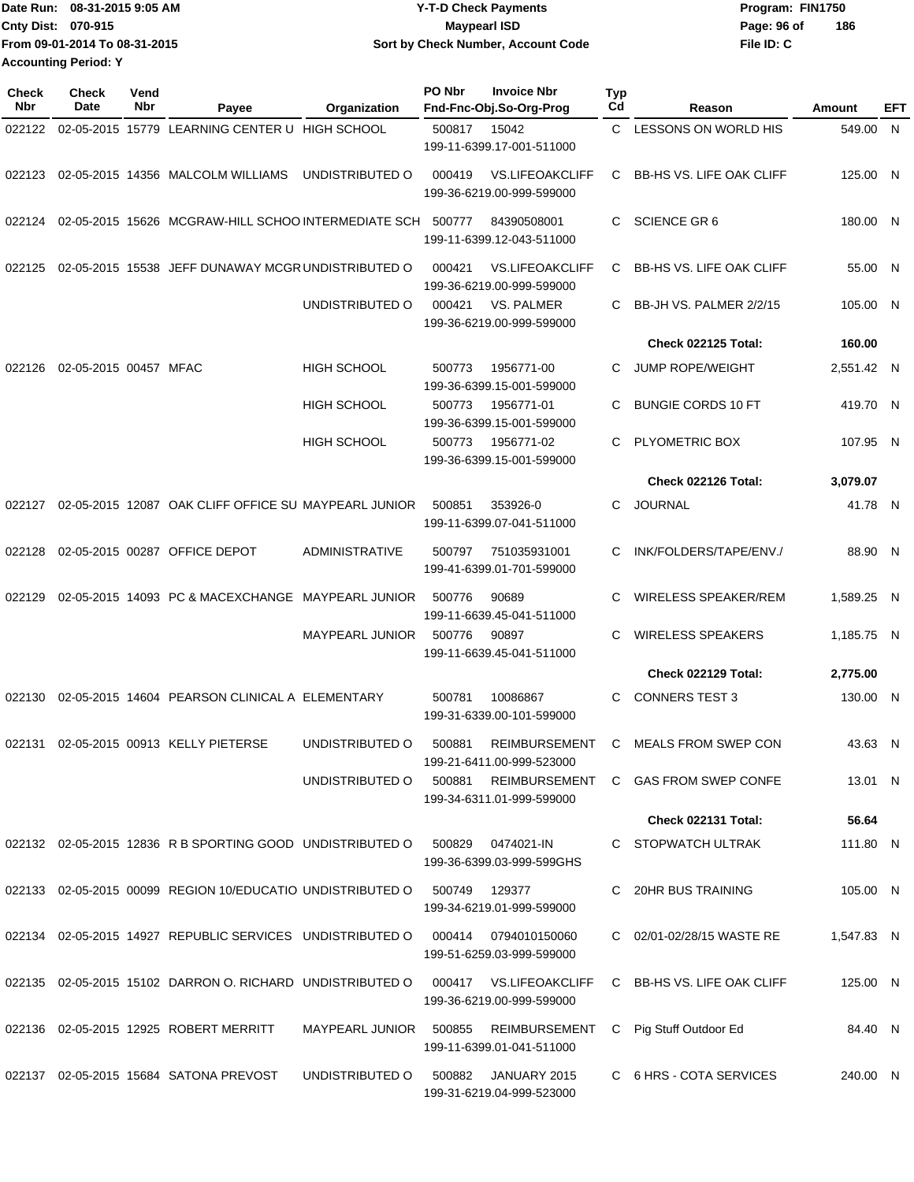| Date Run: 08-31-2015 9:05 AM  | <b>Y-T-D Check Payments</b>               | Program: FIN1750   |
|-------------------------------|-------------------------------------------|--------------------|
| <b>Cnty Dist: 070-915</b>     | <b>Mavpearl ISD</b>                       | 186<br>Page: 96 of |
| From 09-01-2014 To 08-31-2015 | <b>Sort by Check Number, Account Code</b> | File ID: C         |
| <b>Accounting Period: Y</b>   |                                           |                    |

| Check<br><b>Nbr</b> | <b>Check</b><br>Date  | Vend<br>Nbr | Payee                                                      | Organization           | PO Nbr | <b>Invoice Nbr</b><br>Fnd-Fnc-Obj.So-Org-Prog       | <b>Typ</b><br>Cd | Reason                          | Amount     | EFT |
|---------------------|-----------------------|-------------|------------------------------------------------------------|------------------------|--------|-----------------------------------------------------|------------------|---------------------------------|------------|-----|
| 022122              |                       |             | 02-05-2015 15779 LEARNING CENTER U HIGH SCHOOL             |                        | 500817 | 15042<br>199-11-6399.17-001-511000                  | C.               | LESSONS ON WORLD HIS            | 549.00 N   |     |
| 022123              |                       |             | 02-05-2015 14356 MALCOLM WILLIAMS                          | UNDISTRIBUTED O        | 000419 | <b>VS.LIFEOAKCLIFF</b><br>199-36-6219.00-999-599000 | C.               | <b>BB-HS VS. LIFE OAK CLIFF</b> | 125.00 N   |     |
| 022124              |                       |             | 02-05-2015 15626 MCGRAW-HILL SCHOO INTERMEDIATE SCH 500777 |                        |        | 84390508001<br>199-11-6399.12-043-511000            | C                | <b>SCIENCE GR6</b>              | 180.00 N   |     |
| 022125              |                       |             | 02-05-2015 15538 JEFF DUNAWAY MCGR UNDISTRIBUTED O         |                        | 000421 | <b>VS.LIFEOAKCLIFF</b><br>199-36-6219.00-999-599000 | C                | <b>BB-HS VS. LIFE OAK CLIFF</b> | 55.00 N    |     |
|                     |                       |             |                                                            | UNDISTRIBUTED O        | 000421 | VS. PALMER<br>199-36-6219.00-999-599000             | C                | BB-JH VS. PALMER 2/2/15         | 105.00 N   |     |
|                     |                       |             |                                                            |                        |        |                                                     |                  | Check 022125 Total:             | 160.00     |     |
| 022126              | 02-05-2015 00457 MFAC |             |                                                            | <b>HIGH SCHOOL</b>     | 500773 | 1956771-00<br>199-36-6399.15-001-599000             | C.               | <b>JUMP ROPE/WEIGHT</b>         | 2,551.42 N |     |
|                     |                       |             |                                                            | <b>HIGH SCHOOL</b>     | 500773 | 1956771-01<br>199-36-6399.15-001-599000             | C                | <b>BUNGIE CORDS 10 FT</b>       | 419.70 N   |     |
|                     |                       |             |                                                            | <b>HIGH SCHOOL</b>     | 500773 | 1956771-02<br>199-36-6399.15-001-599000             | C                | PLYOMETRIC BOX                  | 107.95 N   |     |
|                     |                       |             |                                                            |                        |        |                                                     |                  | Check 022126 Total:             | 3,079.07   |     |
| 022127              |                       |             | 02-05-2015 12087 OAK CLIFF OFFICE SU MAYPEARL JUNIOR       |                        | 500851 | 353926-0<br>199-11-6399.07-041-511000               | C.               | <b>JOURNAL</b>                  | 41.78 N    |     |
| 022128              |                       |             | 02-05-2015 00287 OFFICE DEPOT                              | ADMINISTRATIVE         | 500797 | 751035931001<br>199-41-6399.01-701-599000           | C                | INK/FOLDERS/TAPE/ENV./          | 88.90 N    |     |
| 022129              |                       |             | 02-05-2015 14093 PC & MACEXCHANGE MAYPEARL JUNIOR          |                        | 500776 | 90689<br>199-11-6639.45-041-511000                  | C                | <b>WIRELESS SPEAKER/REM</b>     | 1,589.25 N |     |
|                     |                       |             |                                                            | <b>MAYPEARL JUNIOR</b> | 500776 | 90897<br>199-11-6639.45-041-511000                  | C                | <b>WIRELESS SPEAKERS</b>        | 1,185.75 N |     |
|                     |                       |             |                                                            |                        |        |                                                     |                  | Check 022129 Total:             | 2,775.00   |     |
| 022130              |                       |             | 02-05-2015 14604 PEARSON CLINICAL A ELEMENTARY             |                        | 500781 | 10086867<br>199-31-6339.00-101-599000               | C                | <b>CONNERS TEST 3</b>           | 130.00 N   |     |
| 022131              |                       |             | 02-05-2015 00913 KELLY PIETERSE                            | UNDISTRIBUTED O        | 500881 | REIMBURSEMENT<br>199-21-6411.00-999-523000          | C                | <b>MEALS FROM SWEP CON</b>      | 43.63 N    |     |
|                     |                       |             |                                                            | UNDISTRIBUTED O        | 500881 | REIMBURSEMENT<br>199-34-6311.01-999-599000          |                  | C GAS FROM SWEP CONFE           | 13.01 N    |     |
|                     |                       |             |                                                            |                        |        |                                                     |                  | Check 022131 Total:             | 56.64      |     |
|                     |                       |             | 022132 02-05-2015 12836 R B SPORTING GOOD UNDISTRIBUTED O  |                        | 500829 | 0474021-IN<br>199-36-6399.03-999-599GHS             |                  | C STOPWATCH ULTRAK              | 111.80 N   |     |
|                     |                       |             | 022133 02-05-2015 00099 REGION 10/EDUCATIO UNDISTRIBUTED O |                        | 500749 | 129377<br>199-34-6219.01-999-599000                 |                  | 20HR BUS TRAINING               | 105.00 N   |     |
|                     |                       |             | 022134 02-05-2015 14927 REPUBLIC SERVICES UNDISTRIBUTED O  |                        | 000414 | 0794010150060<br>199-51-6259.03-999-599000          |                  | C 02/01-02/28/15 WASTE RE       | 1,547.83 N |     |
|                     |                       |             | 022135 02-05-2015 15102 DARRON O. RICHARD UNDISTRIBUTED O  |                        | 000417 | <b>VS.LIFEOAKCLIFF</b><br>199-36-6219.00-999-599000 |                  | C BB-HS VS. LIFE OAK CLIFF      | 125.00 N   |     |
|                     |                       |             | 022136 02-05-2015 12925 ROBERT MERRITT                     | MAYPEARL JUNIOR 500855 |        | REIMBURSEMENT<br>199-11-6399.01-041-511000          | C.               | Pig Stuff Outdoor Ed            | 84.40 N    |     |
|                     |                       |             | 022137 02-05-2015 15684 SATONA PREVOST                     | UNDISTRIBUTED O        | 500882 | JANUARY 2015<br>199-31-6219.04-999-523000           |                  | C 6 HRS - COTA SERVICES         | 240.00 N   |     |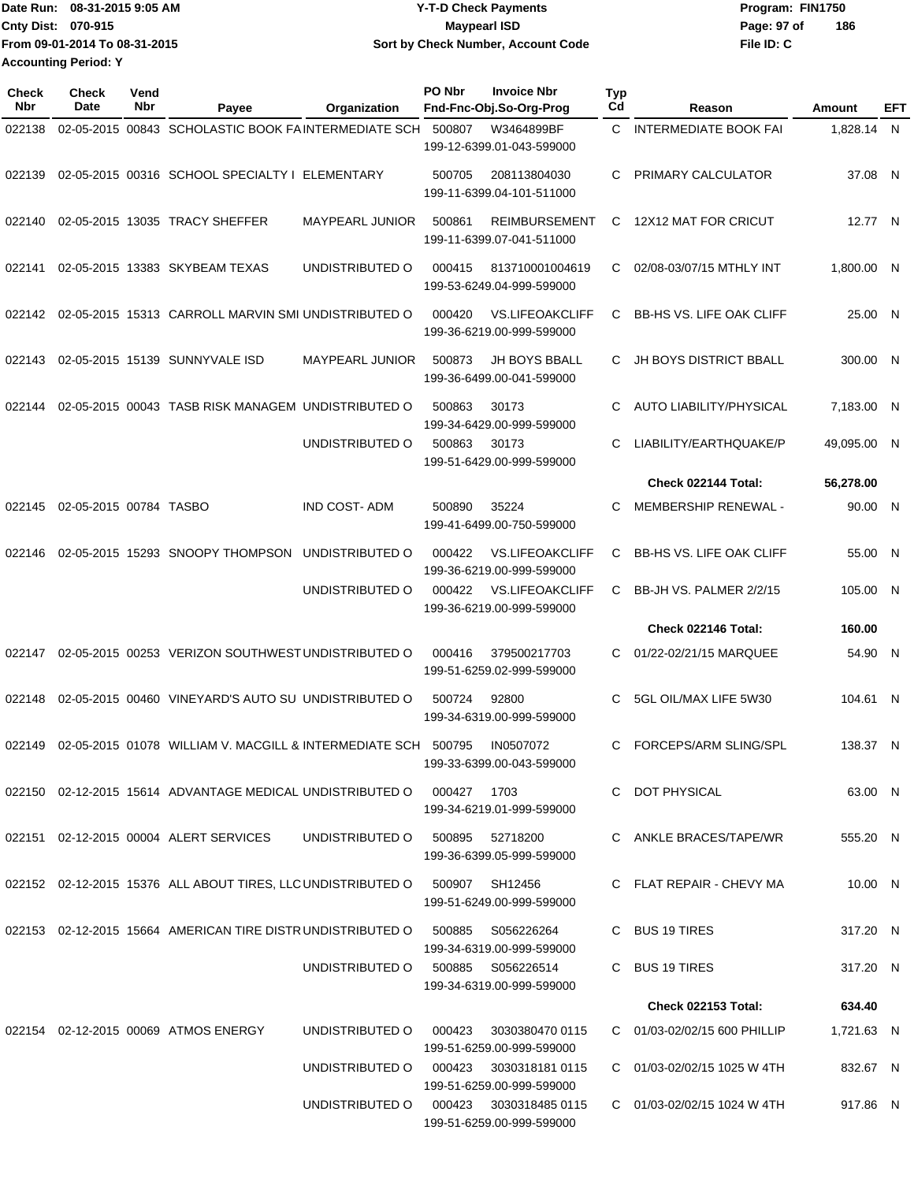|                             | IDate Run: 08-31-2015 9:05 AM | <b>Y-T-D Check Payments</b>        | Program: FIN1750   |
|-----------------------------|-------------------------------|------------------------------------|--------------------|
| <b>Cnty Dist: 070-915</b>   |                               | <b>Mavpearl ISD</b>                | 186<br>Page: 97 of |
|                             | From 09-01-2014 To 08-31-2015 | Sort by Check Number, Account Code | File ID: C         |
| <b>Accounting Period: Y</b> |                               |                                    |                    |

| <b>Check</b><br>Nbr | <b>Check</b><br>Date   | Vend<br>Nbr | Payee                                                                 | Organization                      | PO Nbr | <b>Invoice Nbr</b><br>Fnd-Fnc-Obj.So-Org-Prog       | <b>Typ</b><br>Cd | Reason                            | Amount      | EFT |
|---------------------|------------------------|-------------|-----------------------------------------------------------------------|-----------------------------------|--------|-----------------------------------------------------|------------------|-----------------------------------|-------------|-----|
| 022138              |                        |             | 02-05-2015 00843 SCHOLASTIC BOOK FAINTERMEDIATE SCH                   |                                   | 500807 | W3464899BF<br>199-12-6399.01-043-599000             | C.               | <b>INTERMEDIATE BOOK FAI</b>      | 1,828.14 N  |     |
| 022139              |                        |             | 02-05-2015 00316 SCHOOL SPECIALTY   ELEMENTARY                        |                                   | 500705 | 208113804030<br>199-11-6399.04-101-511000           | C                | PRIMARY CALCULATOR                | 37.08 N     |     |
| 022140              |                        |             | 02-05-2015 13035 TRACY SHEFFER                                        | <b>MAYPEARL JUNIOR</b>            | 500861 | REIMBURSEMENT<br>199-11-6399.07-041-511000          | C                | 12X12 MAT FOR CRICUT              | 12.77 N     |     |
| 022141              |                        |             | 02-05-2015 13383 SKYBEAM TEXAS                                        | UNDISTRIBUTED O                   | 000415 | 813710001004619<br>199-53-6249.04-999-599000        | C                | 02/08-03/07/15 MTHLY INT          | 1,800.00 N  |     |
| 022142              |                        |             | 02-05-2015 15313 CARROLL MARVIN SMI UNDISTRIBUTED O                   |                                   | 000420 | <b>VS.LIFEOAKCLIFF</b><br>199-36-6219.00-999-599000 | C                | <b>BB-HS VS. LIFE OAK CLIFF</b>   | 25.00 N     |     |
| 022143              |                        |             | 02-05-2015 15139 SUNNYVALE ISD                                        | <b>MAYPEARL JUNIOR</b>            | 500873 | <b>JH BOYS BBALL</b><br>199-36-6499.00-041-599000   | C                | <b>JH BOYS DISTRICT BBALL</b>     | 300.00 N    |     |
| 022144              |                        |             | 02-05-2015 00043 TASB RISK MANAGEM UNDISTRIBUTED O                    |                                   | 500863 | 30173<br>199-34-6429.00-999-599000                  | C                | <b>AUTO LIABILITY/PHYSICAL</b>    | 7,183.00 N  |     |
|                     |                        |             |                                                                       | UNDISTRIBUTED O                   | 500863 | 30173<br>199-51-6429.00-999-599000                  | C                | LIABILITY/EARTHQUAKE/P            | 49,095.00 N |     |
|                     |                        |             |                                                                       |                                   |        |                                                     |                  | Check 022144 Total:               | 56,278.00   |     |
| 022145              | 02-05-2015 00784 TASBO |             |                                                                       | <b>IND COST-ADM</b>               | 500890 | 35224<br>199-41-6499.00-750-599000                  | C                | MEMBERSHIP RENEWAL -              | 90.00 N     |     |
| 022146              |                        |             | 02-05-2015 15293 SNOOPY THOMPSON                                      | UNDISTRIBUTED O                   | 000422 | <b>VS.LIFEOAKCLIFF</b><br>199-36-6219.00-999-599000 | C                | <b>BB-HS VS. LIFE OAK CLIFF</b>   | 55.00 N     |     |
|                     |                        |             |                                                                       | UNDISTRIBUTED O                   | 000422 | <b>VS.LIFEOAKCLIFF</b><br>199-36-6219.00-999-599000 | C                | BB-JH VS. PALMER 2/2/15           | 105.00 N    |     |
|                     |                        |             |                                                                       |                                   |        |                                                     |                  | Check 022146 Total:               | 160.00      |     |
| 022147              |                        |             | 02-05-2015 00253 VERIZON SOUTHWEST UNDISTRIBUTED O                    |                                   | 000416 | 379500217703<br>199-51-6259.02-999-599000           | C                | 01/22-02/21/15 MARQUEE            | 54.90 N     |     |
| 022148              |                        |             | 02-05-2015 00460 VINEYARD'S AUTO SU UNDISTRIBUTED O                   |                                   | 500724 | 92800<br>199-34-6319.00-999-599000                  | C                | 5GL OIL/MAX LIFE 5W30             | 104.61 N    |     |
| 022149              |                        |             | 02-05-2015 01078 WILLIAM V. MACGILL & INTERMEDIATE SCH                |                                   | 500795 | IN0507072<br>199-33-6399.00-043-599000              | C.               | FORCEPS/ARM SLING/SPL             | 138.37 N    |     |
|                     |                        |             | 022150 02-12-2015 15614 ADVANTAGE MEDICAL UNDISTRIBUTED O 000427 1703 |                                   |        | 199-34-6219.01-999-599000                           |                  | C DOT PHYSICAL                    | 63.00 N     |     |
|                     |                        |             | 022151 02-12-2015 00004 ALERT SERVICES                                | UNDISTRIBUTED O                   | 500895 | 52718200<br>199-36-6399.05-999-599000               |                  | C ANKLE BRACES/TAPE/WR            | 555.20 N    |     |
|                     |                        |             | 022152 02-12-2015 15376 ALL ABOUT TIRES, LLC UNDISTRIBUTED O          |                                   | 500907 | SH12456<br>199-51-6249.00-999-599000                |                  | C FLAT REPAIR - CHEVY MA          | 10.00 N     |     |
|                     |                        |             | 022153 02-12-2015 15664 AMERICAN TIRE DISTR UNDISTRIBUTED O           |                                   | 500885 | S056226264<br>199-34-6319.00-999-599000             |                  | C BUS 19 TIRES                    | 317.20 N    |     |
|                     |                        |             |                                                                       | UNDISTRIBUTED 0 500885 S056226514 |        | 199-34-6319.00-999-599000                           |                  | C BUS 19 TIRES                    | 317.20 N    |     |
|                     |                        |             |                                                                       |                                   |        |                                                     |                  | <b>Check 022153 Total:</b>        | 634.40      |     |
|                     |                        |             | 022154 02-12-2015 00069 ATMOS ENERGY                                  | UNDISTRIBUTED O                   | 000423 | 3030380470 0115<br>199-51-6259.00-999-599000        |                  | C 01/03-02/02/15 600 PHILLIP      | 1,721.63 N  |     |
|                     |                        |             |                                                                       | UNDISTRIBUTED O                   | 000423 | 3030318181 0115<br>199-51-6259.00-999-599000        |                  | $C = 01/03 - 02/02/1511025$ W 4TH | 832.67 N    |     |
|                     |                        |             |                                                                       | UNDISTRIBUTED O                   |        | 000423 3030318485 0115<br>199-51-6259.00-999-599000 |                  | C 01/03-02/02/15 1024 W 4TH       | 917.86 N    |     |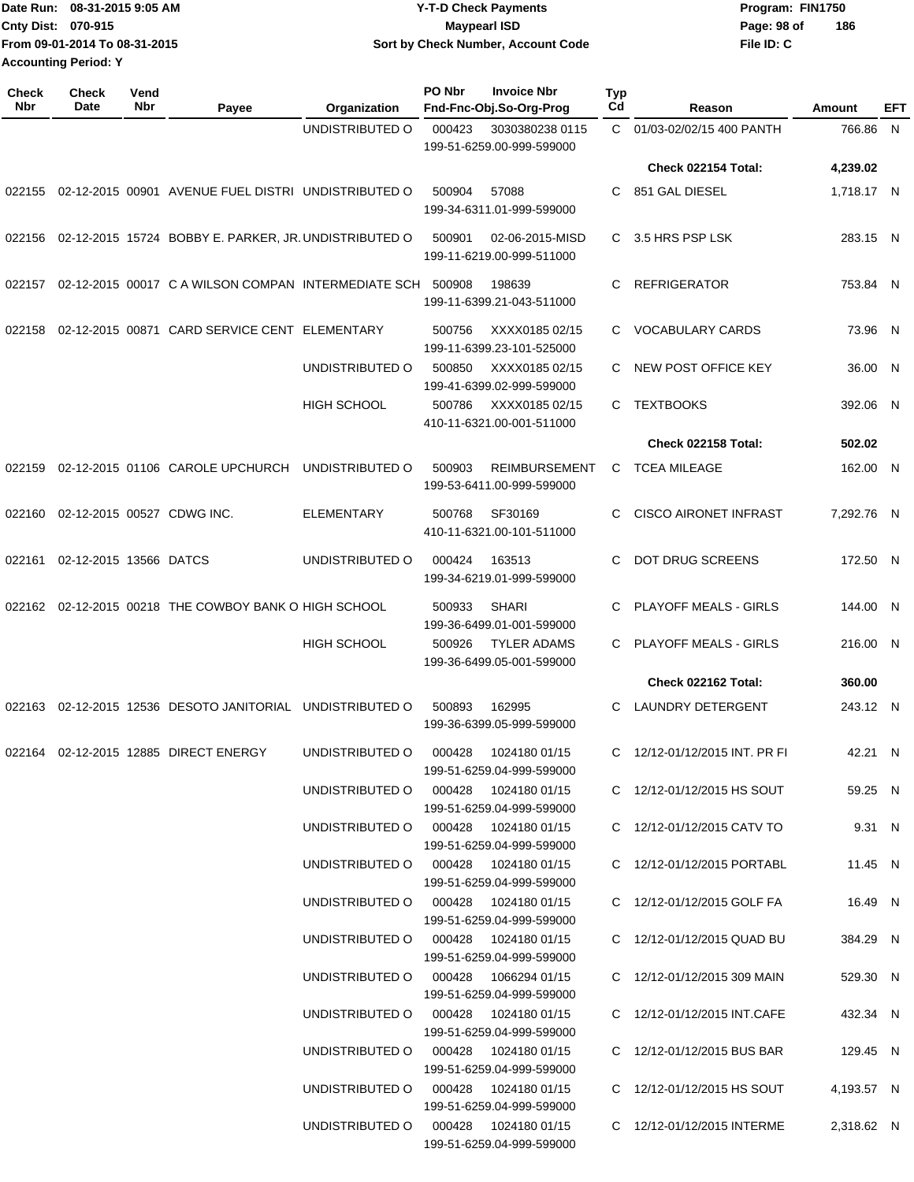|                             | Date Run: 08-31-2015 9:05 AM  | <b>Y-T-D Check Payments</b>        | Program: FIN1750 |     |
|-----------------------------|-------------------------------|------------------------------------|------------------|-----|
| Cnty Dist: 070-915          |                               | Maypearl ISD                       | Page: 98 of      | 186 |
|                             | From 09-01-2014 To 08-31-2015 | Sort by Check Number, Account Code | File ID: C       |     |
| <b>Accounting Period: Y</b> |                               |                                    |                  |     |

| <b>Check</b><br>Nbr | <b>Check</b><br>Date       | Vend<br>Nbr | Payee                                                 | Organization                            | PO Nbr | <b>Invoice Nbr</b><br>Fnd-Fnc-Obj.So-Org-Prog     | Typ<br>Cd | Reason                        | Amount     | EFT |
|---------------------|----------------------------|-------------|-------------------------------------------------------|-----------------------------------------|--------|---------------------------------------------------|-----------|-------------------------------|------------|-----|
|                     |                            |             |                                                       | UNDISTRIBUTED O                         | 000423 | 3030380238 0115<br>199-51-6259.00-999-599000      | C.        | 01/03-02/02/15 400 PANTH      | 766.86 N   |     |
|                     |                            |             |                                                       |                                         |        |                                                   |           | Check 022154 Total:           | 4,239.02   |     |
| 022155              |                            |             | 02-12-2015 00901 AVENUE FUEL DISTRI UNDISTRIBUTED O   |                                         | 500904 | 57088<br>199-34-6311.01-999-599000                | C         | 851 GAL DIESEL                | 1,718.17 N |     |
| 022156              |                            |             | 02-12-2015 15724 BOBBY E. PARKER, JR. UNDISTRIBUTED O |                                         | 500901 | 02-06-2015-MISD<br>199-11-6219.00-999-511000      | C         | 3.5 HRS PSP LSK               | 283.15 N   |     |
| 022157              |                            |             | 02-12-2015 00017 C A WILSON COMPAN INTERMEDIATE SCH   |                                         | 500908 | 198639<br>199-11-6399.21-043-511000               | С         | <b>REFRIGERATOR</b>           | 753.84 N   |     |
| 022158              |                            |             | 02-12-2015 00871 CARD SERVICE CENT ELEMENTARY         |                                         | 500756 | XXXX0185 02/15<br>199-11-6399.23-101-525000       | C.        | <b>VOCABULARY CARDS</b>       | 73.96 N    |     |
|                     |                            |             |                                                       | UNDISTRIBUTED O                         | 500850 | XXXX0185 02/15<br>199-41-6399.02-999-599000       | C         | NEW POST OFFICE KEY           | 36.00 N    |     |
|                     |                            |             |                                                       | <b>HIGH SCHOOL</b>                      | 500786 | XXXX0185 02/15<br>410-11-6321.00-001-511000       | С         | <b>TEXTBOOKS</b>              | 392.06 N   |     |
|                     |                            |             |                                                       |                                         |        |                                                   |           | <b>Check 022158 Total:</b>    | 502.02     |     |
| 022159              |                            |             | 02-12-2015 01106 CAROLE UPCHURCH                      | UNDISTRIBUTED O                         | 500903 | <b>REIMBURSEMENT</b><br>199-53-6411.00-999-599000 | С         | <b>TCEA MILEAGE</b>           | 162.00 N   |     |
| 022160              | 02-12-2015 00527 CDWG INC. |             |                                                       | <b>ELEMENTARY</b>                       | 500768 | SF30169<br>410-11-6321.00-101-511000              | C         | <b>CISCO AIRONET INFRAST</b>  | 7,292.76 N |     |
| 022161              | 02-12-2015 13566 DATCS     |             |                                                       | UNDISTRIBUTED O                         | 000424 | 163513<br>199-34-6219.01-999-599000               | C         | <b>DOT DRUG SCREENS</b>       | 172.50 N   |     |
|                     |                            |             | 022162 02-12-2015 00218 THE COWBOY BANK O HIGH SCHOOL |                                         | 500933 | <b>SHARI</b><br>199-36-6499.01-001-599000         | C         | <b>PLAYOFF MEALS - GIRLS</b>  | 144.00 N   |     |
|                     |                            |             |                                                       | <b>HIGH SCHOOL</b>                      | 500926 | <b>TYLER ADAMS</b><br>199-36-6499.05-001-599000   | C.        | PLAYOFF MEALS - GIRLS         | 216.00 N   |     |
|                     |                            |             |                                                       |                                         |        |                                                   |           | Check 022162 Total:           | 360.00     |     |
| 022163              |                            |             | 02-12-2015 12536 DESOTO JANITORIAL                    | UNDISTRIBUTED O                         | 500893 | 162995<br>199-36-6399.05-999-599000               | C         | LAUNDRY DETERGENT             | 243.12 N   |     |
|                     |                            |             | 022164  02-12-2015  12885  DIRECT ENERGY              | UNDISTRIBUTED O                         | 000428 | 1024180 01/15<br>199-51-6259.04-999-599000        |           | C 12/12-01/12/2015 INT. PR FI | 42.21 N    |     |
|                     |                            |             |                                                       | UNDISTRIBUTED O 000428 1024180 01/15    |        | 199-51-6259.04-999-599000                         |           | C 12/12-01/12/2015 HS SOUT    | 59.25 N    |     |
|                     |                            |             |                                                       | UNDISTRIBUTED O 000428 1024180 01/15    |        | 199-51-6259.04-999-599000                         |           | C 12/12-01/12/2015 CATV TO    | 9.31 N     |     |
|                     |                            |             |                                                       | UNDISTRIBUTED O 000428 1024180 01/15    |        | 199-51-6259.04-999-599000                         |           | C 12/12-01/12/2015 PORTABL    | 11.45 N    |     |
|                     |                            |             |                                                       | UNDISTRIBUTED O 000428 1024180 01/15    |        | 199-51-6259.04-999-599000                         |           | C 12/12-01/12/2015 GOLF FA    | 16.49 N    |     |
|                     |                            |             |                                                       | UNDISTRIBUTED O 000428 1024180 01/15    |        | 199-51-6259.04-999-599000                         |           | C 12/12-01/12/2015 QUAD BU    | 384.29 N   |     |
|                     |                            |             |                                                       | UNDISTRIBUTED O 000428 1066294 01/15    |        | 199-51-6259.04-999-599000                         |           | C 12/12-01/12/2015 309 MAIN   | 529.30 N   |     |
|                     |                            |             |                                                       | UNDISTRIBUTED O   000428  1024180 01/15 |        | 199-51-6259.04-999-599000                         |           | C 12/12-01/12/2015 INT.CAFE   | 432.34 N   |     |
|                     |                            |             |                                                       | UNDISTRIBUTED O   000428  1024180 01/15 |        | 199-51-6259.04-999-599000                         |           | C 12/12-01/12/2015 BUS BAR    | 129.45 N   |     |
|                     |                            |             |                                                       | UNDISTRIBUTED O   000428  1024180 01/15 |        | 199-51-6259.04-999-599000                         |           | C 12/12-01/12/2015 HS SOUT    | 4,193.57 N |     |
|                     |                            |             |                                                       | UNDISTRIBUTED O 000428 1024180 01/15    |        | 199-51-6259.04-999-599000                         |           | C 12/12-01/12/2015 INTERME    | 2,318.62 N |     |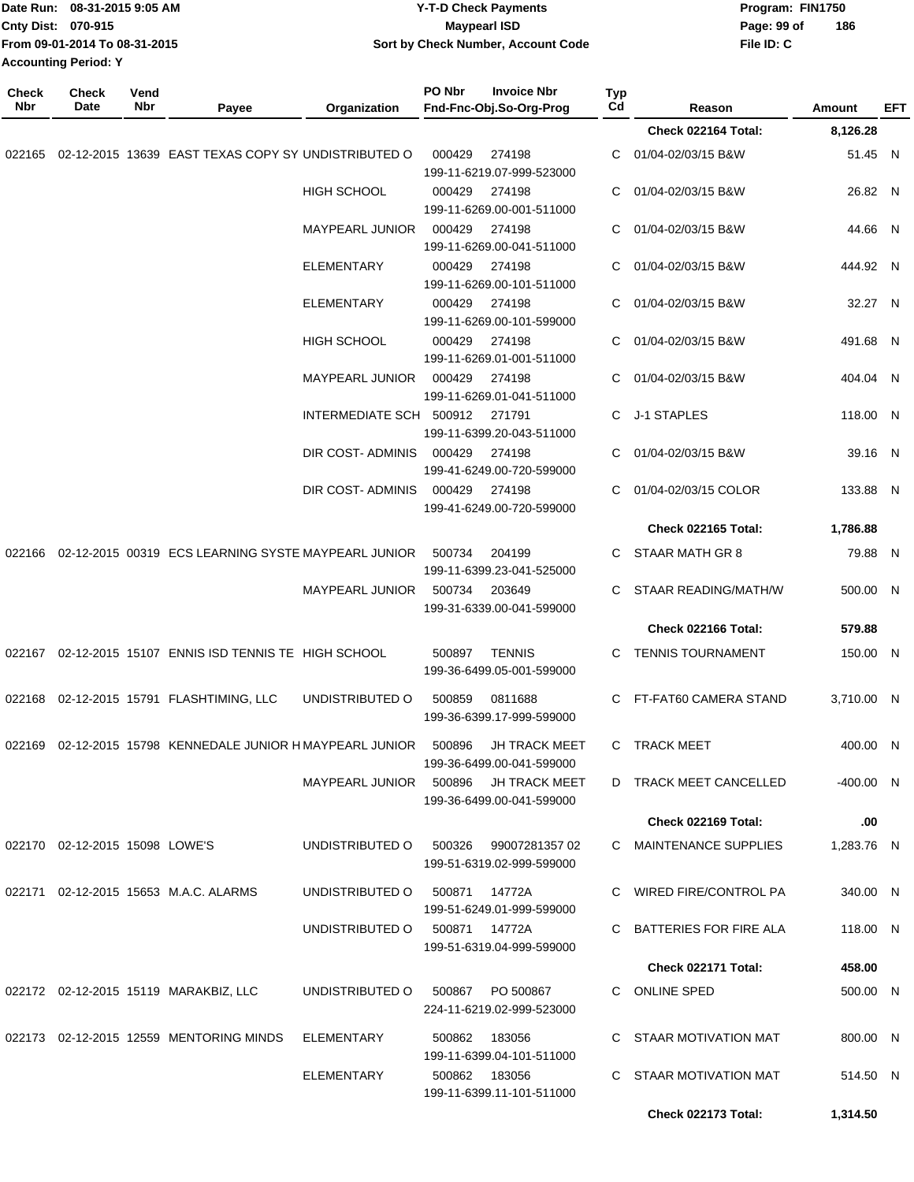| Date Run: 08-31-2015 9:05 AM<br>Cnty Dist: 070-915<br>From 09-01-2014 To 08-31-2015<br><b>Accounting Period: Y</b> |                                |             |                                                                  | <b>Y-T-D Check Payments</b><br><b>Maypearl ISD</b><br>Sort by Check Number, Account Code |               |                                                        |           |                            | Program: FIN1750<br>Page: 99 of<br>186<br>File ID: C |             |            |
|--------------------------------------------------------------------------------------------------------------------|--------------------------------|-------------|------------------------------------------------------------------|------------------------------------------------------------------------------------------|---------------|--------------------------------------------------------|-----------|----------------------------|------------------------------------------------------|-------------|------------|
| <b>Check</b><br>Nbr                                                                                                | <b>Check</b><br>Date           | Vend<br>Nbr | Payee                                                            | Organization                                                                             | PO Nbr        | <b>Invoice Nbr</b><br>Fnd-Fnc-Obj.So-Org-Prog          | Typ<br>Cd | Reason                     |                                                      | Amount      | <b>EFT</b> |
|                                                                                                                    |                                |             |                                                                  |                                                                                          |               |                                                        |           | Check 022164 Total:        |                                                      | 8,126.28    |            |
| 022165                                                                                                             |                                |             | 02-12-2015 13639 EAST TEXAS COPY SY UNDISTRIBUTED O              |                                                                                          | 000429        | 274198<br>199-11-6219.07-999-523000                    | С         | 01/04-02/03/15 B&W         |                                                      | 51.45 N     |            |
|                                                                                                                    |                                |             |                                                                  | <b>HIGH SCHOOL</b>                                                                       | 000429        | 274198<br>199-11-6269.00-001-511000                    | C         | 01/04-02/03/15 B&W         |                                                      | 26.82 N     |            |
|                                                                                                                    |                                |             |                                                                  | <b>MAYPEARL JUNIOR</b>                                                                   | 000429        | 274198<br>199-11-6269.00-041-511000                    | C         | 01/04-02/03/15 B&W         |                                                      | 44.66 N     |            |
|                                                                                                                    |                                |             |                                                                  | <b>ELEMENTARY</b>                                                                        | 000429        | 274198<br>199-11-6269.00-101-511000                    | С         | 01/04-02/03/15 B&W         |                                                      | 444.92 N    |            |
|                                                                                                                    |                                |             |                                                                  | ELEMENTARY                                                                               | 000429        | 274198<br>199-11-6269.00-101-599000                    |           | 01/04-02/03/15 B&W         |                                                      | 32.27 N     |            |
|                                                                                                                    |                                |             |                                                                  | <b>HIGH SCHOOL</b>                                                                       | 000429        | 274198<br>199-11-6269.01-001-511000                    | C         | 01/04-02/03/15 B&W         |                                                      | 491.68 N    |            |
|                                                                                                                    |                                |             |                                                                  | MAYPEARL JUNIOR                                                                          | 000429        | 274198<br>199-11-6269.01-041-511000                    | C         | 01/04-02/03/15 B&W         |                                                      | 404.04 N    |            |
|                                                                                                                    |                                |             |                                                                  | INTERMEDIATE SCH 500912                                                                  |               | 271791<br>199-11-6399.20-043-511000                    | С         | <b>J-1 STAPLES</b>         |                                                      | 118.00 N    |            |
|                                                                                                                    |                                |             |                                                                  | DIR COST- ADMINIS                                                                        | 000429        | 274198<br>199-41-6249.00-720-599000                    | C         | 01/04-02/03/15 B&W         |                                                      | 39.16 N     |            |
|                                                                                                                    |                                |             |                                                                  | DIR COST- ADMINIS                                                                        | 000429        | 274198<br>199-41-6249.00-720-599000                    | C         | 01/04-02/03/15 COLOR       |                                                      | 133.88 N    |            |
|                                                                                                                    |                                |             |                                                                  |                                                                                          |               |                                                        |           | <b>Check 022165 Total:</b> |                                                      | 1,786.88    |            |
| 022166                                                                                                             |                                |             | 02-12-2015 00319 ECS LEARNING SYSTE MAYPEARL JUNIOR              |                                                                                          | 500734        | 204199<br>199-11-6399.23-041-525000                    | C         | STAAR MATH GR 8            |                                                      | 79.88 N     |            |
|                                                                                                                    |                                |             |                                                                  | <b>MAYPEARL JUNIOR</b>                                                                   | 500734        | 203649<br>199-31-6339.00-041-599000                    |           | STAAR READING/MATH/W       |                                                      | 500.00 N    |            |
|                                                                                                                    |                                |             |                                                                  |                                                                                          |               |                                                        |           | Check 022166 Total:        |                                                      | 579.88      |            |
|                                                                                                                    |                                |             | 022167 02-12-2015 15107 ENNIS ISD TENNIS TE HIGH SCHOOL          |                                                                                          | 500897        | <b>TENNIS</b><br>199-36-6499.05-001-599000             | C         | <b>TENNIS TOURNAMENT</b>   |                                                      | 150.00 N    |            |
|                                                                                                                    |                                |             | 022168  02-12-2015  15791  FLASHTIMING, LLC                      | UNDISTRIBUTED O                                                                          | 500859        | 0811688<br>199-36-6399.17-999-599000                   |           | C FT-FAT60 CAMERA STAND    |                                                      | 3,710.00 N  |            |
|                                                                                                                    |                                |             | 022169 02-12-2015 15798 KENNEDALE JUNIOR HMAYPEARL JUNIOR 500896 |                                                                                          |               | <b>JH TRACK MEET</b><br>199-36-6499.00-041-599000      |           | C TRACK MEET               |                                                      | 400.00 N    |            |
|                                                                                                                    |                                |             |                                                                  | MAYPEARL JUNIOR 500896 JH TRACK MEET                                                     |               | 199-36-6499.00-041-599000                              |           | D TRACK MEET CANCELLED     |                                                      | $-400.00$ N |            |
|                                                                                                                    |                                |             |                                                                  |                                                                                          |               |                                                        |           | Check 022169 Total:        |                                                      | .00         |            |
|                                                                                                                    | 022170 02-12-2015 15098 LOWE'S |             |                                                                  | UNDISTRIBUTED O                                                                          | 500326        | 99007281357 02<br>199-51-6319.02-999-599000            |           | C MAINTENANCE SUPPLIES     |                                                      | 1,283.76 N  |            |
|                                                                                                                    |                                |             | 022171 02-12-2015 15653 M.A.C. ALARMS                            | UNDISTRIBUTED O                                                                          | 500871        | 14772A<br>199-51-6249.01-999-599000                    |           | C WIRED FIRE/CONTROL PA    |                                                      | 340.00 N    |            |
|                                                                                                                    |                                |             |                                                                  | UNDISTRIBUTED O                                                                          |               | 500871 14772A<br>199-51-6319.04-999-599000             |           | BATTERIES FOR FIRE ALA     |                                                      | 118.00 N    |            |
|                                                                                                                    |                                |             |                                                                  |                                                                                          |               |                                                        |           | Check 022171 Total:        |                                                      | 458.00      |            |
|                                                                                                                    |                                |             | 022172 02-12-2015 15119 MARAKBIZ, LLC                            | UNDISTRIBUTED O                                                                          | 500867        | PO 500867<br>224-11-6219.02-999-523000                 | C.        | ONLINE SPED                |                                                      | 500.00 N    |            |
|                                                                                                                    |                                |             | 022173 02-12-2015 12559 MENTORING MINDS                          | ELEMENTARY                                                                               | 500862        | 183056                                                 |           | C STAAR MOTIVATION MAT     |                                                      | 800.00 N    |            |
|                                                                                                                    |                                |             |                                                                  | ELEMENTARY                                                                               | 500862 183056 | 199-11-6399.04-101-511000<br>199-11-6399.11-101-511000 |           | C STAAR MOTIVATION MAT     |                                                      | 514.50 N    |            |
|                                                                                                                    |                                |             |                                                                  |                                                                                          |               |                                                        |           | <b>Check 022173 Total:</b> |                                                      | 1,314.50    |            |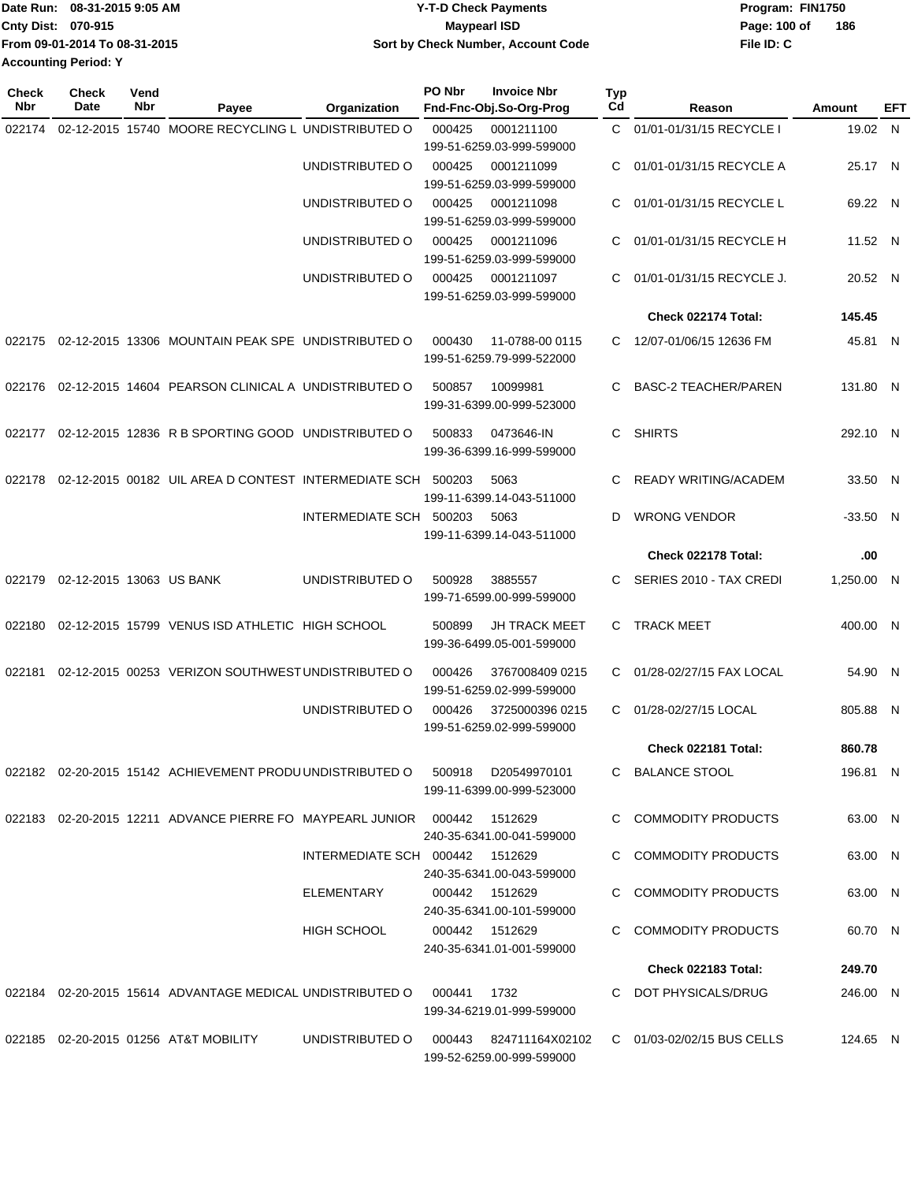| Date Run: 08-31-2015 9:05 AM  | <b>Y-T-D Check Payments</b>        | Program: FIN1750    |
|-------------------------------|------------------------------------|---------------------|
| Cnty Dist: 070-915            | <b>Mavpearl ISD</b>                | 186<br>Page: 100 of |
| From 09-01-2014 To 08-31-2015 | Sort by Check Number, Account Code | File ID: C          |
| <b>Accounting Period: Y</b>   |                                    |                     |

| <b>Check</b><br>Nbr | <b>Check</b><br>Date     | Vend<br>Nbr | Payee                                                                         | <b>Organization</b>             | PO Nbr | <b>Invoice Nbr</b><br>Fnd-Fnc-Obj.So-Org-Prog       | Typ<br>Cd | Reason                      | Amount     | EFT |
|---------------------|--------------------------|-------------|-------------------------------------------------------------------------------|---------------------------------|--------|-----------------------------------------------------|-----------|-----------------------------|------------|-----|
| 022174              |                          |             | 02-12-2015 15740 MOORE RECYCLING L UNDISTRIBUTED O                            |                                 | 000425 | 0001211100<br>199-51-6259.03-999-599000             |           | C 01/01-01/31/15 RECYCLE I  | 19.02 N    |     |
|                     |                          |             |                                                                               | UNDISTRIBUTED O                 | 000425 | 0001211099<br>199-51-6259.03-999-599000             | C         | 01/01-01/31/15 RECYCLE A    | 25.17 N    |     |
|                     |                          |             |                                                                               | UNDISTRIBUTED O                 | 000425 | 0001211098<br>199-51-6259.03-999-599000             | C.        | 01/01-01/31/15 RECYCLE L    | 69.22 N    |     |
|                     |                          |             |                                                                               | UNDISTRIBUTED O                 | 000425 | 0001211096<br>199-51-6259.03-999-599000             | С         | 01/01-01/31/15 RECYCLE H    | 11.52 N    |     |
|                     |                          |             |                                                                               | UNDISTRIBUTED O                 | 000425 | 0001211097<br>199-51-6259.03-999-599000             | С         | 01/01-01/31/15 RECYCLE J.   | 20.52 N    |     |
|                     |                          |             |                                                                               |                                 |        |                                                     |           | Check 022174 Total:         | 145.45     |     |
|                     |                          |             | 022175 02-12-2015 13306 MOUNTAIN PEAK SPE UNDISTRIBUTED O                     |                                 | 000430 | 11-0788-00 0115<br>199-51-6259.79-999-522000        |           | C 12/07-01/06/15 12636 FM   | 45.81 N    |     |
| 022176              |                          |             | 02-12-2015 14604 PEARSON CLINICAL A UNDISTRIBUTED O                           |                                 | 500857 | 10099981<br>199-31-6399.00-999-523000               | С         | <b>BASC-2 TEACHER/PAREN</b> | 131.80 N   |     |
| 022177              |                          |             | 02-12-2015 12836 R B SPORTING GOOD UNDISTRIBUTED O                            |                                 | 500833 | 0473646-IN<br>199-36-6399.16-999-599000             | С         | <b>SHIRTS</b>               | 292.10 N   |     |
| 022178              |                          |             | 02-12-2015 00182 UIL AREA D CONTEST INTERMEDIATE SCH 500203                   |                                 |        | 5063<br>199-11-6399.14-043-511000                   | С         | <b>READY WRITING/ACADEM</b> | 33.50 N    |     |
|                     |                          |             |                                                                               | INTERMEDIATE SCH                | 500203 | 5063<br>199-11-6399.14-043-511000                   | D         | <b>WRONG VENDOR</b>         | $-33.50$ N |     |
|                     |                          |             |                                                                               |                                 |        |                                                     |           | Check 022178 Total:         | .00        |     |
| 022179              | 02-12-2015 13063 US BANK |             |                                                                               | UNDISTRIBUTED O                 | 500928 | 3885557<br>199-71-6599.00-999-599000                | C         | SERIES 2010 - TAX CREDI     | 1,250.00 N |     |
| 022180              |                          |             | 02-12-2015 15799 VENUS ISD ATHLETIC HIGH SCHOOL                               |                                 | 500899 | <b>JH TRACK MEET</b><br>199-36-6499.05-001-599000   | C.        | <b>TRACK MEET</b>           | 400.00 N   |     |
| 022181              |                          |             | 02-12-2015 00253 VERIZON SOUTHWEST UNDISTRIBUTED O                            |                                 | 000426 | 3767008409 0215<br>199-51-6259.02-999-599000        | C.        | 01/28-02/27/15 FAX LOCAL    | 54.90 N    |     |
|                     |                          |             |                                                                               | UNDISTRIBUTED O                 | 000426 | 3725000396 0215<br>199-51-6259.02-999-599000        | C.        | 01/28-02/27/15 LOCAL        | 805.88 N   |     |
|                     |                          |             |                                                                               |                                 |        |                                                     |           | Check 022181 Total:         | 860.78     |     |
|                     |                          |             | 022182 02-20-2015 15142 ACHIEVEMENT PRODU UNDISTRIBUTED O 500918 D20549970101 |                                 |        | 199-11-6399.00-999-523000                           |           | C BALANCE STOOL             | 196.81 N   |     |
|                     |                          |             | 022183  02-20-2015  12211  ADVANCE PIERRE FO  MAYPEARL JUNIOR  000442         |                                 |        | 1512629<br>240-35-6341.00-041-599000                |           | C COMMODITY PRODUCTS        | 63.00 N    |     |
|                     |                          |             |                                                                               | INTERMEDIATE SCH 000442 1512629 |        | 240-35-6341.00-043-599000                           |           | C COMMODITY PRODUCTS        | 63.00 N    |     |
|                     |                          |             |                                                                               | ELEMENTARY                      |        | 000442 1512629<br>240-35-6341.00-101-599000         |           | C COMMODITY PRODUCTS        | 63.00 N    |     |
|                     |                          |             |                                                                               | HIGH SCHOOL                     |        | 000442 1512629<br>240-35-6341.01-001-599000         |           | C COMMODITY PRODUCTS        | 60.70 N    |     |
|                     |                          |             |                                                                               |                                 |        |                                                     |           | <b>Check 022183 Total:</b>  | 249.70     |     |
|                     |                          |             |                                                                               |                                 | 000441 | 1732<br>199-34-6219.01-999-599000                   |           | C DOT PHYSICALS/DRUG        | 246.00 N   |     |
|                     |                          |             | 022185 02-20-2015 01256 AT&T MOBILITY                                         | UNDISTRIBUTED O                 |        | 000443 824711164X02102<br>199-52-6259.00-999-599000 |           | C 01/03-02/02/15 BUS CELLS  | 124.65 N   |     |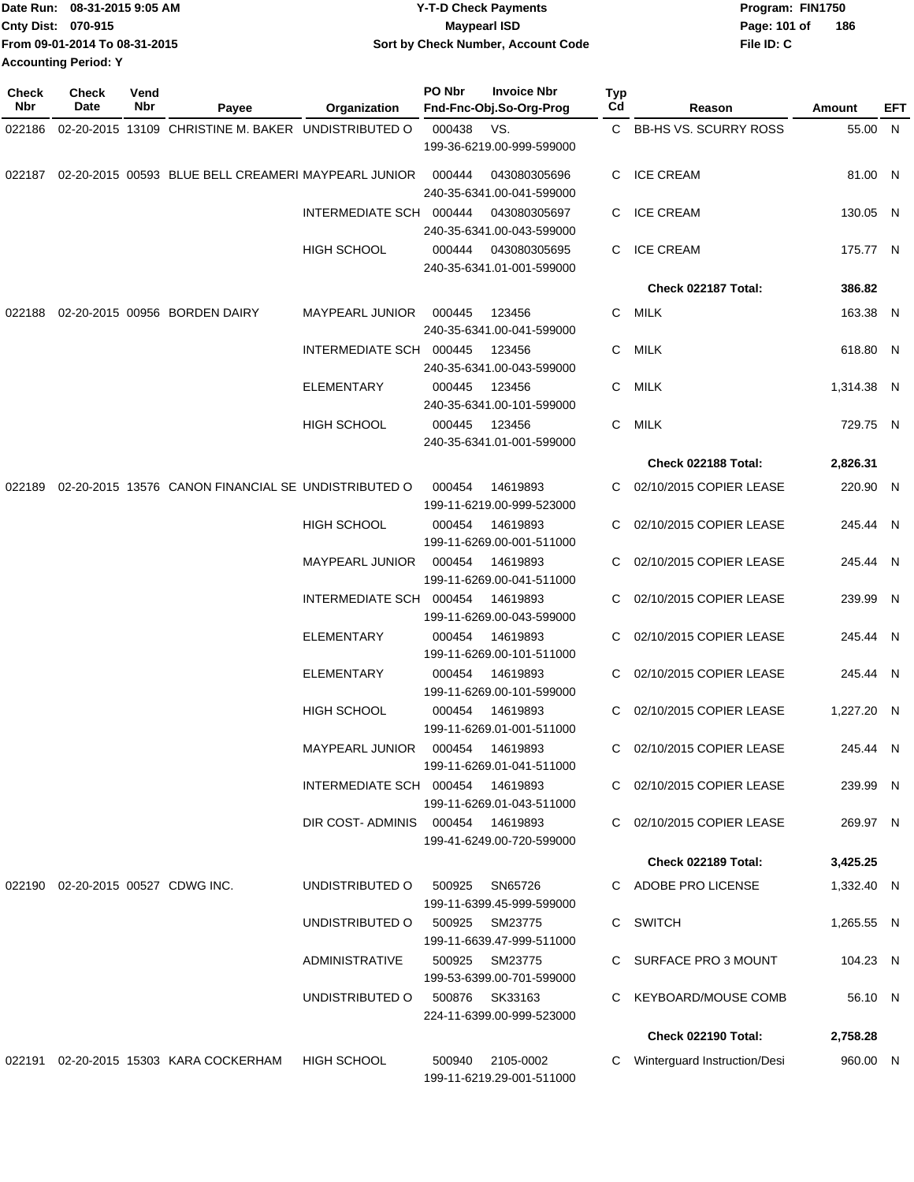| Date Run: 08-31-2015 9:05 AM  | <b>Y-T-D Check Payments</b>        | Program: FIN1750    |
|-------------------------------|------------------------------------|---------------------|
| Cnty Dist: 070-915            | Maypearl ISD                       | 186<br>Page: 101 of |
| From 09-01-2014 To 08-31-2015 | Sort by Check Number, Account Code | File ID: C          |
| <b>Accounting Period: Y</b>   |                                    |                     |
|                               |                                    |                     |

| <b>Check</b><br>Nbr | Check<br>Date                     | Vend<br>Nbr | Payee                                                      | <b>Organization</b>     | PO Nbr | <b>Invoice Nbr</b><br>Fnd-Fnc-Obj.So-Org-Prog | <b>Typ</b><br>Cd | Reason                       | Amount     | EFT |
|---------------------|-----------------------------------|-------------|------------------------------------------------------------|-------------------------|--------|-----------------------------------------------|------------------|------------------------------|------------|-----|
|                     |                                   |             |                                                            |                         |        |                                               |                  |                              |            |     |
| 022186              |                                   |             | 02-20-2015 13109 CHRISTINE M. BAKER UNDISTRIBUTED O        |                         | 000438 | VS.<br>199-36-6219.00-999-599000              |                  | C BB-HS VS. SCURRY ROSS      | 55.00 N    |     |
|                     |                                   |             | 022187 02-20-2015 00593 BLUE BELL CREAMERI MAYPEARL JUNIOR |                         | 000444 | 043080305696<br>240-35-6341.00-041-599000     | C.               | <b>ICE CREAM</b>             | 81.00 N    |     |
|                     |                                   |             |                                                            | INTERMEDIATE SCH 000444 |        | 043080305697<br>240-35-6341.00-043-599000     |                  | C ICE CREAM                  | 130.05 N   |     |
|                     |                                   |             |                                                            | HIGH SCHOOL             | 000444 | 043080305695<br>240-35-6341.01-001-599000     |                  | C ICE CREAM                  | 175.77 N   |     |
|                     |                                   |             |                                                            |                         |        |                                               |                  | Check 022187 Total:          | 386.82     |     |
| 022188              |                                   |             | 02-20-2015 00956 BORDEN DAIRY                              | <b>MAYPEARL JUNIOR</b>  | 000445 | 123456<br>240-35-6341.00-041-599000           | C.               | MILK                         | 163.38 N   |     |
|                     |                                   |             |                                                            | INTERMEDIATE SCH 000445 |        | 123456<br>240-35-6341.00-043-599000           | C.               | MILK                         | 618.80 N   |     |
|                     |                                   |             |                                                            | <b>ELEMENTARY</b>       | 000445 | 123456<br>240-35-6341.00-101-599000           | C.               | MILK                         | 1,314.38 N |     |
|                     |                                   |             |                                                            | <b>HIGH SCHOOL</b>      | 000445 | 123456<br>240-35-6341.01-001-599000           | С                | MILK                         | 729.75 N   |     |
|                     |                                   |             |                                                            |                         |        |                                               |                  | Check 022188 Total:          | 2,826.31   |     |
| 022189              |                                   |             | 02-20-2015 13576 CANON FINANCIAL SE UNDISTRIBUTED O        |                         | 000454 | 14619893<br>199-11-6219.00-999-523000         | C.               | 02/10/2015 COPIER LEASE      | 220.90 N   |     |
|                     |                                   |             |                                                            | <b>HIGH SCHOOL</b>      | 000454 | 14619893<br>199-11-6269.00-001-511000         | С                | 02/10/2015 COPIER LEASE      | 245.44 N   |     |
|                     |                                   |             |                                                            | <b>MAYPEARL JUNIOR</b>  | 000454 | 14619893<br>199-11-6269.00-041-511000         | C                | 02/10/2015 COPIER LEASE      | 245.44 N   |     |
|                     |                                   |             |                                                            | INTERMEDIATE SCH 000454 |        | 14619893<br>199-11-6269.00-043-599000         | C.               | 02/10/2015 COPIER LEASE      | 239.99 N   |     |
|                     |                                   |             |                                                            | <b>ELEMENTARY</b>       | 000454 | 14619893<br>199-11-6269.00-101-511000         | C.               | 02/10/2015 COPIER LEASE      | 245.44 N   |     |
|                     |                                   |             |                                                            | <b>ELEMENTARY</b>       | 000454 | 14619893<br>199-11-6269.00-101-599000         | C.               | 02/10/2015 COPIER LEASE      | 245.44 N   |     |
|                     |                                   |             |                                                            | <b>HIGH SCHOOL</b>      | 000454 | 14619893<br>199-11-6269.01-001-511000         | C.               | 02/10/2015 COPIER LEASE      | 1,227.20 N |     |
|                     |                                   |             |                                                            | <b>MAYPEARL JUNIOR</b>  | 000454 | 14619893<br>199-11-6269.01-041-511000         | C.               | 02/10/2015 COPIER LEASE      | 245.44 N   |     |
|                     |                                   |             |                                                            | INTERMEDIATE SCH 000454 |        | 14619893<br>199-11-6269.01-043-511000         |                  | C 02/10/2015 COPIER LEASE    | 239.99 N   |     |
|                     |                                   |             |                                                            | DIR COST-ADMINIS 000454 |        | 14619893<br>199-41-6249.00-720-599000         |                  | C 02/10/2015 COPIER LEASE    | 269.97 N   |     |
|                     |                                   |             |                                                            |                         |        |                                               |                  | Check 022189 Total:          | 3,425.25   |     |
|                     | 022190 02-20-2015 00527 CDWG INC. |             |                                                            | UNDISTRIBUTED O         | 500925 | SN65726<br>199-11-6399.45-999-599000          |                  | C ADOBE PRO LICENSE          | 1,332.40 N |     |
|                     |                                   |             |                                                            | UNDISTRIBUTED O         | 500925 | SM23775<br>199-11-6639.47-999-511000          |                  | C SWITCH                     | 1,265.55 N |     |
|                     |                                   |             |                                                            | <b>ADMINISTRATIVE</b>   | 500925 | SM23775<br>199-53-6399.00-701-599000          |                  | C SURFACE PRO 3 MOUNT        | 104.23 N   |     |
|                     |                                   |             |                                                            | UNDISTRIBUTED O         |        | 500876 SK33163<br>224-11-6399.00-999-523000   |                  | C KEYBOARD/MOUSE COMB        | 56.10 N    |     |
|                     |                                   |             |                                                            |                         |        |                                               |                  | <b>Check 022190 Total:</b>   | 2,758.28   |     |
|                     |                                   |             | 022191 02-20-2015 15303 KARA COCKERHAM                     | HIGH SCHOOL             | 500940 | 2105-0002<br>199-11-6219.29-001-511000        | C                | Winterguard Instruction/Desi | 960.00 N   |     |
|                     |                                   |             |                                                            |                         |        |                                               |                  |                              |            |     |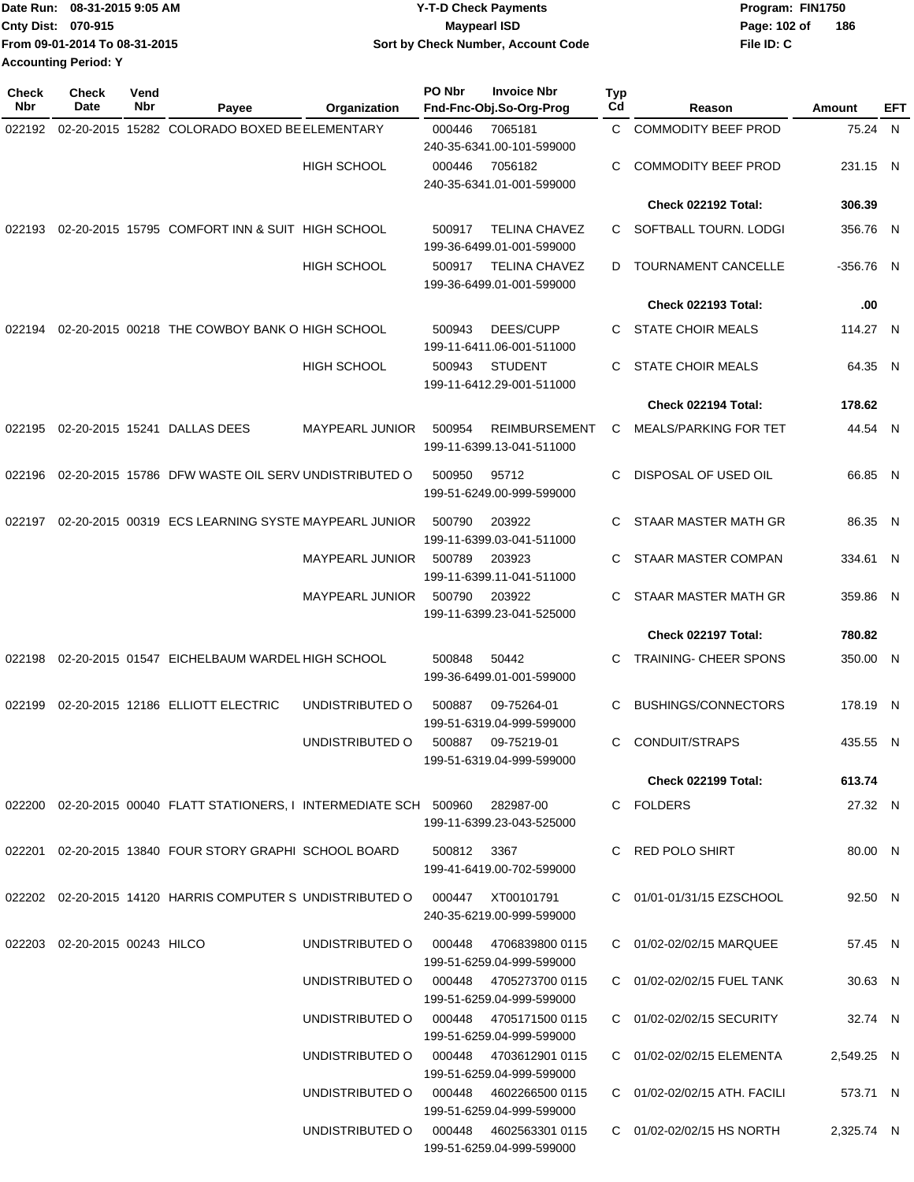| Date Run: 08-31-2015 9:05 AM  | <b>Y-T-D Check Payments</b>        | Program: FIN1750    |
|-------------------------------|------------------------------------|---------------------|
| Cnty Dist: 070-915            | Maypearl ISD                       | 186<br>Page: 102 of |
| From 09-01-2014 To 08-31-2015 | Sort by Check Number, Account Code | File ID: C          |
| <b>Accounting Period: Y</b>   |                                    |                     |

| <b>Check</b><br>Nbr | Check<br>Date                 | Vend<br>Nbr | Payee                                                                         | Organization                              | PO Nbr | <b>Invoice Nbr</b><br>Fnd-Fnc-Obj.So-Org-Prog     | Typ<br>Cd | Reason                       | Amount      | EFT |
|---------------------|-------------------------------|-------------|-------------------------------------------------------------------------------|-------------------------------------------|--------|---------------------------------------------------|-----------|------------------------------|-------------|-----|
| 022192              |                               |             | 02-20-2015 15282 COLORADO BOXED BE ELEMENTARY                                 |                                           | 000446 | 7065181                                           | C.        | <b>COMMODITY BEEF PROD</b>   | 75.24 N     |     |
|                     |                               |             |                                                                               |                                           |        | 240-35-6341.00-101-599000                         |           |                              |             |     |
|                     |                               |             |                                                                               | <b>HIGH SCHOOL</b>                        | 000446 | 7056182<br>240-35-6341.01-001-599000              | С         | <b>COMMODITY BEEF PROD</b>   | 231.15 N    |     |
|                     |                               |             |                                                                               |                                           |        |                                                   |           | Check 022192 Total:          | 306.39      |     |
| 022193              |                               |             | 02-20-2015 15795 COMFORT INN & SUIT HIGH SCHOOL                               |                                           | 500917 | <b>TELINA CHAVEZ</b><br>199-36-6499.01-001-599000 | C         | SOFTBALL TOURN. LODGI        | 356.76 N    |     |
|                     |                               |             |                                                                               | <b>HIGH SCHOOL</b>                        | 500917 | <b>TELINA CHAVEZ</b><br>199-36-6499.01-001-599000 | D         | <b>TOURNAMENT CANCELLE</b>   | $-356.76$ N |     |
|                     |                               |             |                                                                               |                                           |        |                                                   |           | Check 022193 Total:          | .00         |     |
| 022194              |                               |             | 02-20-2015 00218 THE COWBOY BANK O HIGH SCHOOL                                |                                           | 500943 | DEES/CUPP<br>199-11-6411.06-001-511000            | C.        | <b>STATE CHOIR MEALS</b>     | 114.27 N    |     |
|                     |                               |             |                                                                               | <b>HIGH SCHOOL</b>                        | 500943 | <b>STUDENT</b><br>199-11-6412.29-001-511000       | C         | <b>STATE CHOIR MEALS</b>     | 64.35 N     |     |
|                     |                               |             |                                                                               |                                           |        |                                                   |           | Check 022194 Total:          | 178.62      |     |
| 022195              |                               |             | 02-20-2015 15241 DALLAS DEES                                                  | <b>MAYPEARL JUNIOR</b>                    | 500954 | <b>REIMBURSEMENT</b>                              | C         | <b>MEALS/PARKING FOR TET</b> | 44.54 N     |     |
|                     |                               |             |                                                                               |                                           |        | 199-11-6399.13-041-511000                         |           |                              |             |     |
| 022196              |                               |             | 02-20-2015 15786 DFW WASTE OIL SERV UNDISTRIBUTED O                           |                                           | 500950 | 95712<br>199-51-6249.00-999-599000                | C         | DISPOSAL OF USED OIL         | 66.85 N     |     |
| 022197              |                               |             | 02-20-2015 00319 ECS LEARNING SYSTE MAYPEARL JUNIOR                           |                                           | 500790 | 203922<br>199-11-6399.03-041-511000               | C         | STAAR MASTER MATH GR         | 86.35 N     |     |
|                     |                               |             |                                                                               | <b>MAYPEARL JUNIOR</b>                    | 500789 | 203923<br>199-11-6399.11-041-511000               | С         | STAAR MASTER COMPAN          | 334.61 N    |     |
|                     |                               |             |                                                                               | <b>MAYPEARL JUNIOR</b>                    | 500790 | 203922<br>199-11-6399.23-041-525000               | С         | STAAR MASTER MATH GR         | 359.86 N    |     |
|                     |                               |             |                                                                               |                                           |        |                                                   |           | Check 022197 Total:          | 780.82      |     |
| 022198              |                               |             | 02-20-2015 01547 EICHELBAUM WARDEL HIGH SCHOOL                                |                                           | 500848 | 50442<br>199-36-6499.01-001-599000                | С         | <b>TRAINING- CHEER SPONS</b> | 350.00 N    |     |
| 022199              |                               |             | 02-20-2015 12186 ELLIOTT ELECTRIC                                             | UNDISTRIBUTED O                           | 500887 | 09-75264-01<br>199-51-6319.04-999-599000          | С         | <b>BUSHINGS/CONNECTORS</b>   | 178.19 N    |     |
|                     |                               |             |                                                                               | UNDISTRIBUTED O                           | 500887 | 09-75219-01<br>199-51-6319.04-999-599000          | С         | CONDUIT/STRAPS               | 435.55 N    |     |
|                     |                               |             |                                                                               |                                           |        |                                                   |           | <b>Check 022199 Total:</b>   | 613.74      |     |
|                     |                               |             | 022200 02-20-2015 00040 FLATT STATIONERS, I INTERMEDIATE SCH 500960 282987-00 |                                           |        | 199-11-6399.23-043-525000                         |           | C FOLDERS                    | 27.32 N     |     |
|                     |                               |             |                                                                               |                                           |        |                                                   |           |                              |             |     |
|                     |                               |             | 022201  02-20-2015  13840  FOUR STORY GRAPHI SCHOOL BOARD  500812  3367       |                                           |        | 199-41-6419.00-702-599000                         |           | C RED POLO SHIRT             | 80.00 N     |     |
|                     |                               |             | 022202 02-20-2015 14120 HARRIS COMPUTER S UNDISTRIBUTED O 000447 XT00101791   |                                           |        | 240-35-6219.00-999-599000                         |           | C 01/01-01/31/15 EZSCHOOL    | 92.50 N     |     |
|                     | 022203 02-20-2015 00243 HILCO |             |                                                                               | UNDISTRIBUTED O   000448  4706839800 0115 |        | 199-51-6259.04-999-599000                         |           | C 01/02-02/02/15 MARQUEE     | 57.45 N     |     |
|                     |                               |             |                                                                               | UNDISTRIBUTED O 000448 4705273700 0115    |        | 199-51-6259.04-999-599000                         |           | C 01/02-02/02/15 FUEL TANK   | 30.63 N     |     |
|                     |                               |             |                                                                               | UNDISTRIBUTED O   000448  4705171500 0115 |        | 199-51-6259.04-999-599000                         |           | C 01/02-02/02/15 SECURITY    | 32.74 N     |     |
|                     |                               |             |                                                                               | UNDISTRIBUTED O 000448 4703612901 0115    |        | 199-51-6259.04-999-599000                         |           | C 01/02-02/02/15 ELEMENTA    | 2,549.25 N  |     |
|                     |                               |             |                                                                               | UNDISTRIBUTED O 000448 4602266500 0115    |        | 199-51-6259.04-999-599000                         |           | C 01/02-02/02/15 ATH. FACILI | 573.71 N    |     |
|                     |                               |             |                                                                               | UNDISTRIBUTED O 000448 4602563301 0115    |        | 199-51-6259.04-999-599000                         |           | C 01/02-02/02/15 HS NORTH    | 2,325.74 N  |     |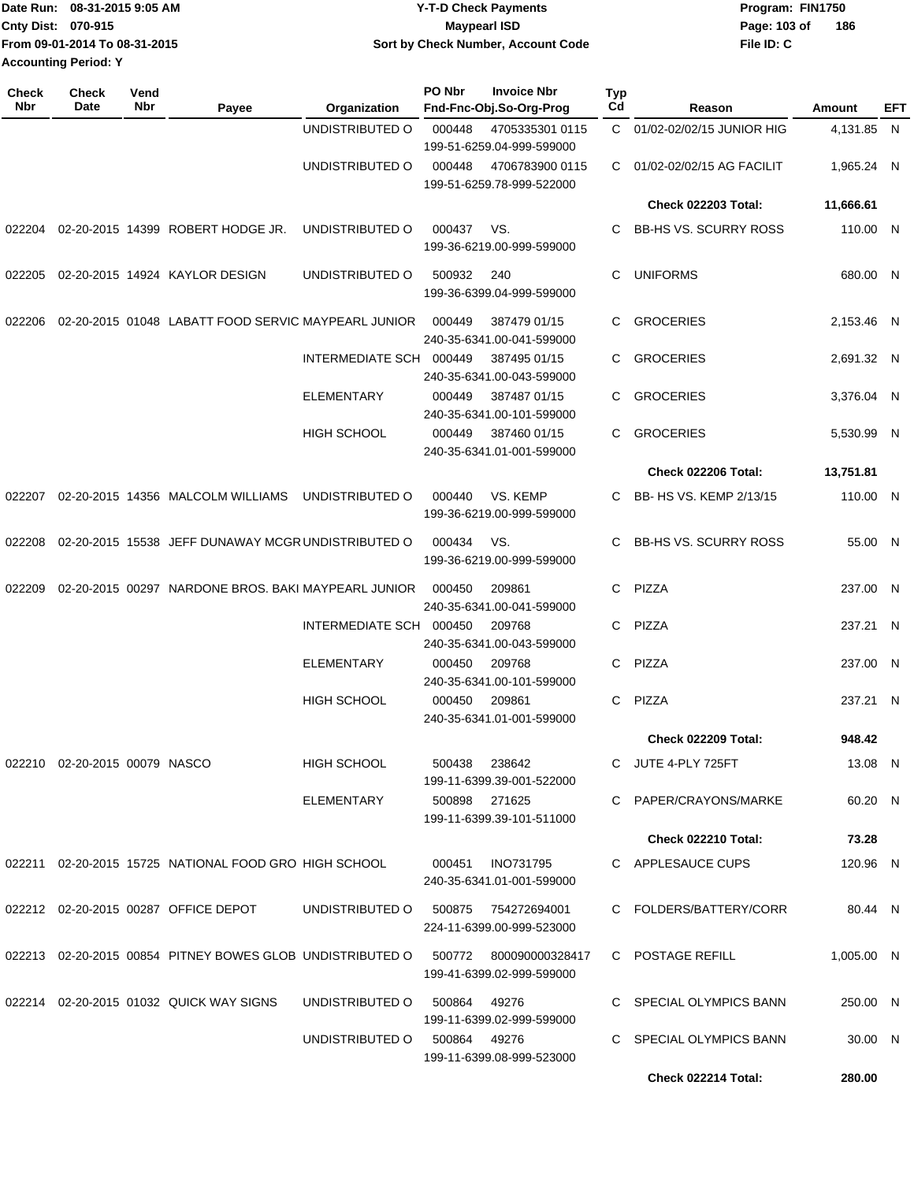|                             | IDate Run: 08-31-2015 9:05 AM | <b>Y-T-D Check Payments</b>        | Program: FIN1750    |
|-----------------------------|-------------------------------|------------------------------------|---------------------|
| <b>Cnty Dist: 070-915</b>   |                               | Maypearl ISD                       | 186<br>Page: 103 of |
|                             | From 09-01-2014 To 08-31-2015 | Sort by Check Number, Account Code | File ID: C          |
| <b>Accounting Period: Y</b> |                               |                                    |                     |

| <b>Check</b><br>Nbr | Check<br>Date                 | Vend<br>Nbr | Payee                                                     | Organization                 | PO Nbr        | <b>Invoice Nbr</b><br>Fnd-Fnc-Obj.So-Org-Prog       | Typ<br>Cd | Reason                       | Amount     | EFT |
|---------------------|-------------------------------|-------------|-----------------------------------------------------------|------------------------------|---------------|-----------------------------------------------------|-----------|------------------------------|------------|-----|
|                     |                               |             |                                                           | UNDISTRIBUTED O              | 000448        | 4705335301 0115<br>199-51-6259.04-999-599000        |           | C 01/02-02/02/15 JUNIOR HIG  | 4,131.85 N |     |
|                     |                               |             |                                                           | UNDISTRIBUTED O              | 000448        | 4706783900 0115<br>199-51-6259.78-999-522000        | C.        | 01/02-02/02/15 AG FACILIT    | 1,965.24 N |     |
|                     |                               |             |                                                           |                              |               |                                                     |           | <b>Check 022203 Total:</b>   | 11,666.61  |     |
| 022204              |                               |             | 02-20-2015 14399 ROBERT HODGE JR.                         | UNDISTRIBUTED O              | 000437        | VS.<br>199-36-6219.00-999-599000                    | С         | <b>BB-HS VS. SCURRY ROSS</b> | 110.00 N   |     |
| 022205              |                               |             | 02-20-2015 14924 KAYLOR DESIGN                            | UNDISTRIBUTED O              | 500932        | 240<br>199-36-6399.04-999-599000                    | С         | <b>UNIFORMS</b>              | 680.00 N   |     |
| 022206              |                               |             | 02-20-2015 01048 LABATT FOOD SERVIC MAYPEARL JUNIOR       |                              | 000449        | 387479 01/15<br>240-35-6341.00-041-599000           | С         | <b>GROCERIES</b>             | 2,153.46 N |     |
|                     |                               |             |                                                           | INTERMEDIATE SCH 000449      |               | 387495 01/15<br>240-35-6341.00-043-599000           | C         | <b>GROCERIES</b>             | 2,691.32 N |     |
|                     |                               |             |                                                           | <b>ELEMENTARY</b>            | 000449        | 387487 01/15<br>240-35-6341.00-101-599000           | C         | <b>GROCERIES</b>             | 3,376.04 N |     |
|                     |                               |             |                                                           | <b>HIGH SCHOOL</b>           | 000449        | 387460 01/15<br>240-35-6341.01-001-599000           | C         | <b>GROCERIES</b>             | 5,530.99 N |     |
|                     |                               |             |                                                           |                              |               |                                                     |           | <b>Check 022206 Total:</b>   | 13,751.81  |     |
| 022207              |                               |             | 02-20-2015 14356 MALCOLM WILLIAMS                         | UNDISTRIBUTED O              | 000440        | VS. KEMP<br>199-36-6219.00-999-599000               | С         | BB- HS VS. KEMP 2/13/15      | 110.00 N   |     |
| 022208              |                               |             | 02-20-2015 15538 JEFF DUNAWAY MCGR UNDISTRIBUTED O        |                              | 000434        | VS.<br>199-36-6219.00-999-599000                    | С         | <b>BB-HS VS. SCURRY ROSS</b> | 55.00 N    |     |
| 022209              |                               |             | 02-20-2015 00297 NARDONE BROS. BAKI MAYPEARL JUNIOR       |                              | 000450        | 209861<br>240-35-6341.00-041-599000                 | C         | PIZZA                        | 237.00 N   |     |
|                     |                               |             |                                                           | INTERMEDIATE SCH             | 000450        | 209768<br>240-35-6341.00-043-599000                 | С         | PIZZA                        | 237.21 N   |     |
|                     |                               |             |                                                           | <b>ELEMENTARY</b>            | 000450        | 209768<br>240-35-6341.00-101-599000                 | C         | PIZZA                        | 237.00 N   |     |
|                     |                               |             |                                                           | <b>HIGH SCHOOL</b>           | 000450        | 209861<br>240-35-6341.01-001-599000                 | C         | PIZZA                        | 237.21 N   |     |
|                     |                               |             |                                                           |                              |               |                                                     |           | Check 022209 Total:          | 948.42     |     |
|                     | 022210 02-20-2015 00079 NASCO |             |                                                           | HIGH SCHOOL                  | 500438        | 238642<br>199-11-6399.39-001-522000                 |           | C JUTE 4-PLY 725FT           | 13.08 N    |     |
|                     |                               |             |                                                           | ELEMENTARY                   | 500898 271625 | 199-11-6399.39-101-511000                           |           | C PAPER/CRAYONS/MARKE        | 60.20 N    |     |
|                     |                               |             |                                                           |                              |               |                                                     |           | Check 022210 Total:          | 73.28      |     |
|                     |                               |             | 022211 02-20-2015 15725 NATIONAL FOOD GRO HIGH SCHOOL     |                              | 000451        | <b>INO731795</b><br>240-35-6341.01-001-599000       |           | C APPLESAUCE CUPS            | 120.96 N   |     |
|                     |                               |             | 022212 02-20-2015 00287 OFFICE DEPOT                      | UNDISTRIBUTED O              | 500875        | 754272694001<br>224-11-6399.00-999-523000           |           | C FOLDERS/BATTERY/CORR       | 80.44 N    |     |
|                     |                               |             | 022213 02-20-2015 00854 PITNEY BOWES GLOB UNDISTRIBUTED O |                              |               | 500772 800090000328417<br>199-41-6399.02-999-599000 |           | C POSTAGE REFILL             | 1,005.00 N |     |
|                     |                               |             | 022214 02-20-2015 01032 QUICK WAY SIGNS                   | UNDISTRIBUTED O              | 500864        | 49276<br>199-11-6399.02-999-599000                  |           | C SPECIAL OLYMPICS BANN      | 250.00 N   |     |
|                     |                               |             |                                                           | UNDISTRIBUTED O 500864 49276 |               | 199-11-6399.08-999-523000                           |           | C SPECIAL OLYMPICS BANN      | 30.00 N    |     |
|                     |                               |             |                                                           |                              |               |                                                     |           | Check 022214 Total:          | 280.00     |     |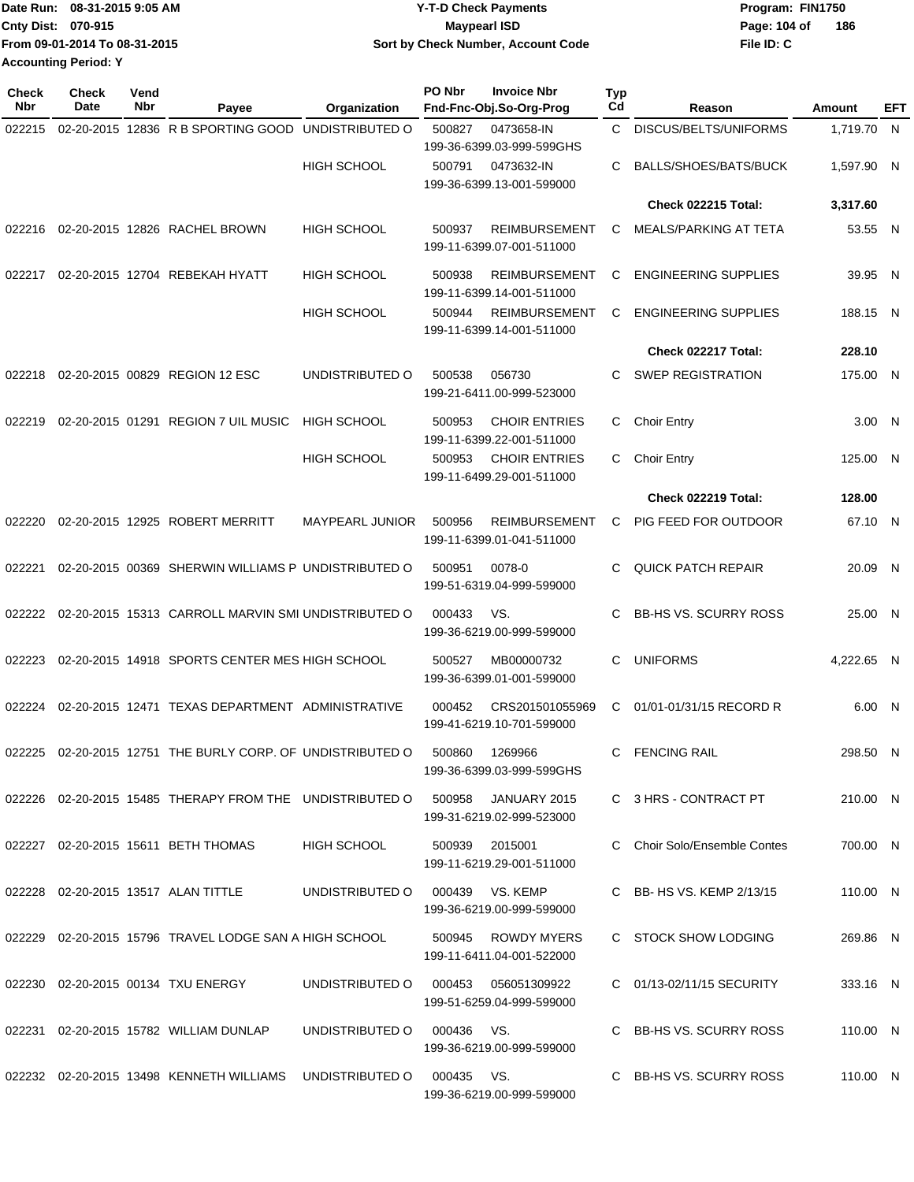|                             | Date Run: 08-31-2015 9:05 AM  | <b>Y-T-D Check Payments</b>        | Program: FIN1750      |
|-----------------------------|-------------------------------|------------------------------------|-----------------------|
| <b>Cnty Dist: 070-915</b>   |                               | <b>Mavpearl ISD</b>                | - 186<br>Page: 104 of |
|                             | From 09-01-2014 To 08-31-2015 | Sort by Check Number, Account Code | File ID: C            |
| <b>Accounting Period: Y</b> |                               |                                    |                       |

| <b>Check</b><br>Nbr | Check<br>Date | Vend<br>Nbr | Payee                                                    | Organization           | PO Nbr<br><b>Invoice Nbr</b><br>Fnd-Fnc-Obj.So-Org-Prog     | Typ<br>Cd | Reason                       | Amount     | EFT |
|---------------------|---------------|-------------|----------------------------------------------------------|------------------------|-------------------------------------------------------------|-----------|------------------------------|------------|-----|
| 022215              |               |             | 02-20-2015 12836 R B SPORTING GOOD                       | UNDISTRIBUTED O        | 500827<br>0473658-IN<br>199-36-6399.03-999-599GHS           | C         | DISCUS/BELTS/UNIFORMS        | 1,719.70 N |     |
|                     |               |             |                                                          | <b>HIGH SCHOOL</b>     | 0473632-IN<br>500791<br>199-36-6399.13-001-599000           | С         | BALLS/SHOES/BATS/BUCK        | 1,597.90 N |     |
|                     |               |             |                                                          |                        |                                                             |           | <b>Check 022215 Total:</b>   | 3,317.60   |     |
| 022216              |               |             | 02-20-2015 12826 RACHEL BROWN                            | <b>HIGH SCHOOL</b>     | 500937<br><b>REIMBURSEMENT</b><br>199-11-6399.07-001-511000 | С         | MEALS/PARKING AT TETA        | 53.55 N    |     |
| 022217              |               |             | 02-20-2015 12704 REBEKAH HYATT                           | <b>HIGH SCHOOL</b>     | 500938<br><b>REIMBURSEMENT</b><br>199-11-6399.14-001-511000 | C         | <b>ENGINEERING SUPPLIES</b>  | 39.95 N    |     |
|                     |               |             |                                                          | <b>HIGH SCHOOL</b>     | <b>REIMBURSEMENT</b><br>500944<br>199-11-6399.14-001-511000 | C         | <b>ENGINEERING SUPPLIES</b>  | 188.15 N   |     |
|                     |               |             |                                                          |                        |                                                             |           | Check 022217 Total:          | 228.10     |     |
| 022218              |               |             | 02-20-2015 00829 REGION 12 ESC                           | UNDISTRIBUTED O        | 500538<br>056730<br>199-21-6411.00-999-523000               | C         | <b>SWEP REGISTRATION</b>     | 175.00 N   |     |
| 022219              |               |             | 02-20-2015 01291 REGION 7 UIL MUSIC                      | <b>HIGH SCHOOL</b>     | 500953<br><b>CHOIR ENTRIES</b><br>199-11-6399.22-001-511000 | C         | <b>Choir Entry</b>           | 3.00 N     |     |
|                     |               |             |                                                          | <b>HIGH SCHOOL</b>     | <b>CHOIR ENTRIES</b><br>500953<br>199-11-6499.29-001-511000 | С         | <b>Choir Entry</b>           | 125.00 N   |     |
|                     |               |             |                                                          |                        |                                                             |           | <b>Check 022219 Total:</b>   | 128.00     |     |
| 022220              |               |             | 02-20-2015 12925 ROBERT MERRITT                          | <b>MAYPEARL JUNIOR</b> | 500956<br><b>REIMBURSEMENT</b><br>199-11-6399.01-041-511000 | C         | PIG FEED FOR OUTDOOR         | 67.10 N    |     |
| 022221              |               |             | 02-20-2015 00369 SHERWIN WILLIAMS P UNDISTRIBUTED O      |                        | 0078-0<br>500951<br>199-51-6319.04-999-599000               | C         | <b>QUICK PATCH REPAIR</b>    | 20.09 N    |     |
| 022222              |               |             | 02-20-2015 15313 CARROLL MARVIN SMI UNDISTRIBUTED O      |                        | VS.<br>000433<br>199-36-6219.00-999-599000                  | C         | <b>BB-HS VS. SCURRY ROSS</b> | 25.00 N    |     |
| 022223              |               |             | 02-20-2015 14918 SPORTS CENTER MES HIGH SCHOOL           |                        | 500527<br>MB00000732<br>199-36-6399.01-001-599000           | C         | <b>UNIFORMS</b>              | 4,222.65 N |     |
| 022224              |               |             | 02-20-2015 12471 TEXAS DEPARTMENT ADMINISTRATIVE         |                        | 000452<br>CRS201501055969<br>199-41-6219.10-701-599000      | C         | 01/01-01/31/15 RECORD R      | 6.00 N     |     |
| 022225              |               |             | 02-20-2015 12751 THE BURLY CORP. OF UNDISTRIBUTED O      |                        | 500860<br>1269966<br>199-36-6399.03-999-599GHS              | C         | <b>FENCING RAIL</b>          | 298.50 N   |     |
|                     |               |             | 022226 02-20-2015 15485 THERAPY FROM THE UNDISTRIBUTED O |                        | 500958<br>JANUARY 2015<br>199-31-6219.02-999-523000         |           | C 3 HRS - CONTRACT PT        | 210.00 N   |     |
|                     |               |             | 022227 02-20-2015 15611 BETH THOMAS                      | HIGH SCHOOL            | 500939<br>2015001<br>199-11-6219.29-001-511000              |           | C Choir Solo/Ensemble Contes | 700.00 N   |     |
|                     |               |             | 022228 02-20-2015 13517 ALAN TITTLE                      | UNDISTRIBUTED O        | 000439<br>VS. KEMP<br>199-36-6219.00-999-599000             |           | C BB- HS VS. KEMP 2/13/15    | 110.00 N   |     |
|                     |               |             | 022229 02-20-2015 15796 TRAVEL LODGE SAN A HIGH SCHOOL   |                        | 500945<br>ROWDY MYERS<br>199-11-6411.04-001-522000          |           | C STOCK SHOW LODGING         | 269.86 N   |     |
|                     |               |             | 022230 02-20-2015 00134 TXU ENERGY                       | UNDISTRIBUTED O        | 000453<br>056051309922<br>199-51-6259.04-999-599000         |           | C 01/13-02/11/15 SECURITY    | 333.16 N   |     |
|                     |               |             | 022231 02-20-2015 15782 WILLIAM DUNLAP                   | UNDISTRIBUTED O        | VS.<br>000436<br>199-36-6219.00-999-599000                  |           | C BB-HS VS. SCURRY ROSS      | 110.00 N   |     |
|                     |               |             | 022232 02-20-2015 13498 KENNETH WILLIAMS                 | UNDISTRIBUTED O        | 000435<br>VS.<br>199-36-6219.00-999-599000                  |           | C BB-HS VS. SCURRY ROSS      | 110.00 N   |     |
|                     |               |             |                                                          |                        |                                                             |           |                              |            |     |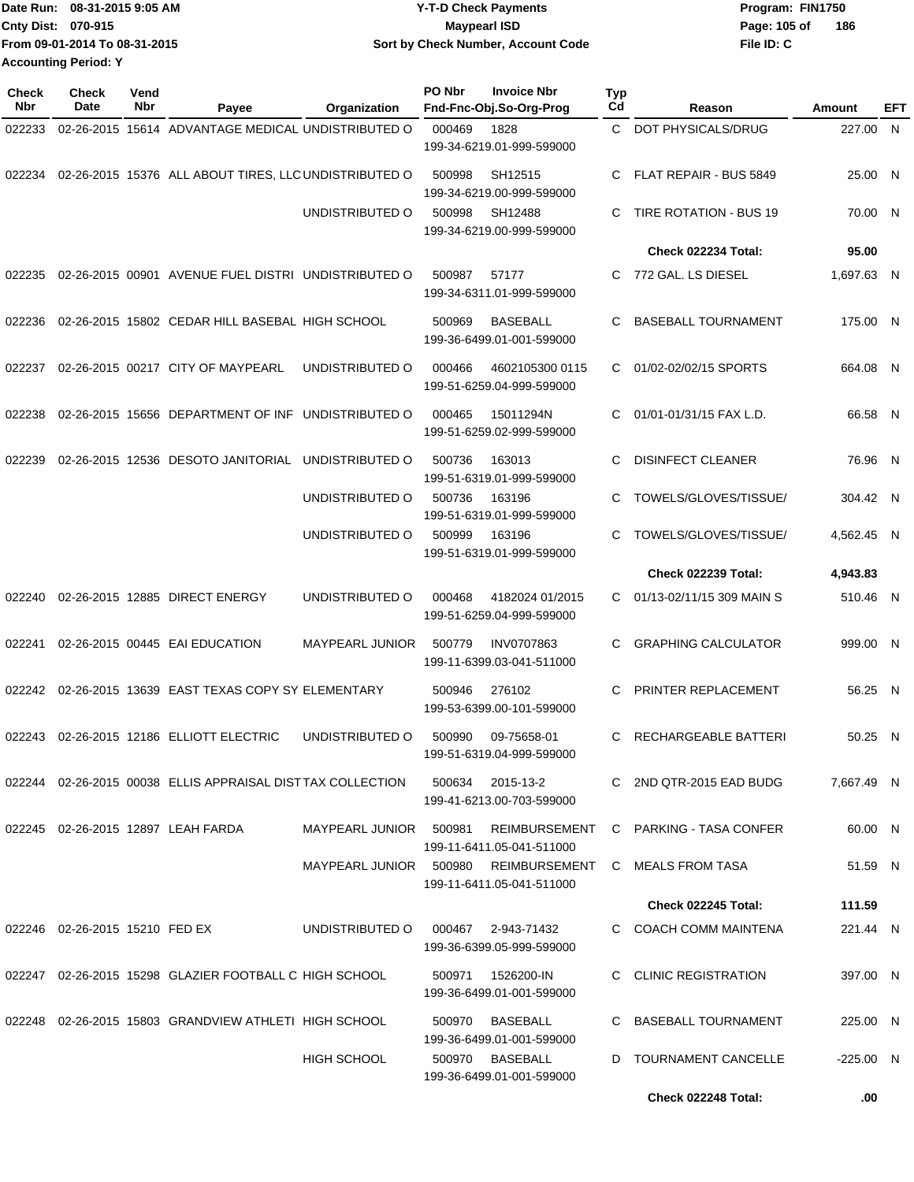|                             | IDate Run: 08-31-2015 9:05 AM | Y-T-D Check Payments               | Program: FIN1750    |
|-----------------------------|-------------------------------|------------------------------------|---------------------|
| <b>Cnty Dist: 070-915</b>   |                               | <b>Mavpearl ISD</b>                | 186<br>Page: 105 of |
|                             | From 09-01-2014 To 08-31-2015 | Sort by Check Number, Account Code | File ID: C          |
| <b>Accounting Period: Y</b> |                               |                                    |                     |

| Check<br>Nbr | <b>Check</b><br>Date           | Vend<br>Nbr | Payee                                                      | Organization           | PO Nbr | <b>Invoice Nbr</b><br>Fnd-Fnc-Obj.So-Org-Prog   | <b>Typ</b><br>Cd | Reason                     | Amount      | EFT |
|--------------|--------------------------------|-------------|------------------------------------------------------------|------------------------|--------|-------------------------------------------------|------------------|----------------------------|-------------|-----|
| 022233       |                                |             | 02-26-2015 15614 ADVANTAGE MEDICAL UNDISTRIBUTED O         |                        | 000469 | 1828<br>199-34-6219.01-999-599000               | C.               | DOT PHYSICALS/DRUG         | 227.00      | N   |
| 022234       |                                |             | 02-26-2015 15376 ALL ABOUT TIRES, LLC UNDISTRIBUTED O      |                        | 500998 | SH12515<br>199-34-6219.00-999-599000            | C                | FLAT REPAIR - BUS 5849     | 25.00 N     |     |
|              |                                |             |                                                            | UNDISTRIBUTED O        | 500998 | SH12488<br>199-34-6219.00-999-599000            | C                | TIRE ROTATION - BUS 19     | 70.00 N     |     |
|              |                                |             |                                                            |                        |        |                                                 |                  | Check 022234 Total:        | 95.00       |     |
| 022235       |                                |             | 02-26-2015 00901 AVENUE FUEL DISTRI UNDISTRIBUTED O        |                        | 500987 | 57177<br>199-34-6311.01-999-599000              | C                | 772 GAL. LS DIESEL         | 1.697.63 N  |     |
| 022236       |                                |             | 02-26-2015 15802 CEDAR HILL BASEBAL HIGH SCHOOL            |                        | 500969 | <b>BASEBALL</b><br>199-36-6499.01-001-599000    | C                | <b>BASEBALL TOURNAMENT</b> | 175.00 N    |     |
| 022237       |                                |             | 02-26-2015 00217 CITY OF MAYPEARL                          | UNDISTRIBUTED O        | 000466 | 4602105300 0115<br>199-51-6259.04-999-599000    | С                | 01/02-02/02/15 SPORTS      | 664.08 N    |     |
| 022238       |                                |             | 02-26-2015 15656 DEPARTMENT OF INF UNDISTRIBUTED O         |                        | 000465 | 15011294N<br>199-51-6259.02-999-599000          | C                | 01/01-01/31/15 FAX L.D.    | 66.58 N     |     |
| 022239       |                                |             | 02-26-2015 12536 DESOTO JANITORIAL                         | UNDISTRIBUTED O        | 500736 | 163013<br>199-51-6319.01-999-599000             | C                | <b>DISINFECT CLEANER</b>   | 76.96 N     |     |
|              |                                |             |                                                            | UNDISTRIBUTED O        | 500736 | 163196<br>199-51-6319.01-999-599000             | С                | TOWELS/GLOVES/TISSUE/      | 304.42 N    |     |
|              |                                |             |                                                            | UNDISTRIBUTED O        | 500999 | 163196<br>199-51-6319.01-999-599000             | C                | TOWELS/GLOVES/TISSUE/      | 4,562.45 N  |     |
|              |                                |             |                                                            |                        |        |                                                 |                  | <b>Check 022239 Total:</b> | 4,943.83    |     |
| 022240       |                                |             | 02-26-2015 12885 DIRECT ENERGY                             | UNDISTRIBUTED O        | 000468 | 4182024 01/2015<br>199-51-6259.04-999-599000    | C                | 01/13-02/11/15 309 MAIN S  | 510.46 N    |     |
| 022241       |                                |             | 02-26-2015 00445 EAI EDUCATION                             | <b>MAYPEARL JUNIOR</b> | 500779 | <b>INV0707863</b><br>199-11-6399.03-041-511000  | C                | <b>GRAPHING CALCULATOR</b> | 999.00 N    |     |
| 022242       |                                |             | 02-26-2015 13639 EAST TEXAS COPY SY ELEMENTARY             |                        | 500946 | 276102<br>199-53-6399.00-101-599000             | C                | PRINTER REPLACEMENT        | 56.25       | - N |
| 022243       |                                |             | 02-26-2015 12186 ELLIOTT ELECTRIC                          | UNDISTRIBUTED O        | 500990 | 09-75658-01<br>199-51-6319.04-999-599000        | С                | RECHARGEABLE BATTERI       | 50.25 N     |     |
|              |                                |             | 022244 02-26-2015 00038 ELLIS APPRAISAL DISTTAX COLLECTION |                        | 500634 | 2015-13-2<br>199-41-6213.00-703-599000          |                  | C 2ND QTR-2015 EAD BUDG    | 7.667.49 N  |     |
|              |                                |             | 022245 02-26-2015 12897 LEAH FARDA                         | MAYPEARL JUNIOR        | 500981 | REIMBURSEMENT<br>199-11-6411.05-041-511000      |                  | C PARKING - TASA CONFER    | 60.00 N     |     |
|              |                                |             |                                                            | MAYPEARL JUNIOR 500980 |        | REIMBURSEMENT<br>199-11-6411.05-041-511000      |                  | C MEALS FROM TASA          | 51.59 N     |     |
|              |                                |             |                                                            |                        |        |                                                 |                  | <b>Check 022245 Total:</b> | 111.59      |     |
|              | 022246 02-26-2015 15210 FED EX |             |                                                            | UNDISTRIBUTED O        |        | 000467 2-943-71432<br>199-36-6399.05-999-599000 |                  | C COACH COMM MAINTENA      | 221.44 N    |     |
|              |                                |             | 022247 02-26-2015 15298 GLAZIER FOOTBALL C HIGH SCHOOL     |                        | 500971 | 1526200-IN<br>199-36-6499.01-001-599000         |                  | C CLINIC REGISTRATION      | 397.00 N    |     |
|              |                                |             | 022248 02-26-2015 15803 GRANDVIEW ATHLETI HIGH SCHOOL      |                        | 500970 | BASEBALL<br>199-36-6499.01-001-599000           |                  | C BASEBALL TOURNAMENT      | 225.00 N    |     |
|              |                                |             |                                                            | <b>HIGH SCHOOL</b>     |        | 500970 BASEBALL<br>199-36-6499.01-001-599000    | D                | TOURNAMENT CANCELLE        | $-225.00$ N |     |
|              |                                |             |                                                            |                        |        |                                                 |                  | Check 022248 Total:        | .00         |     |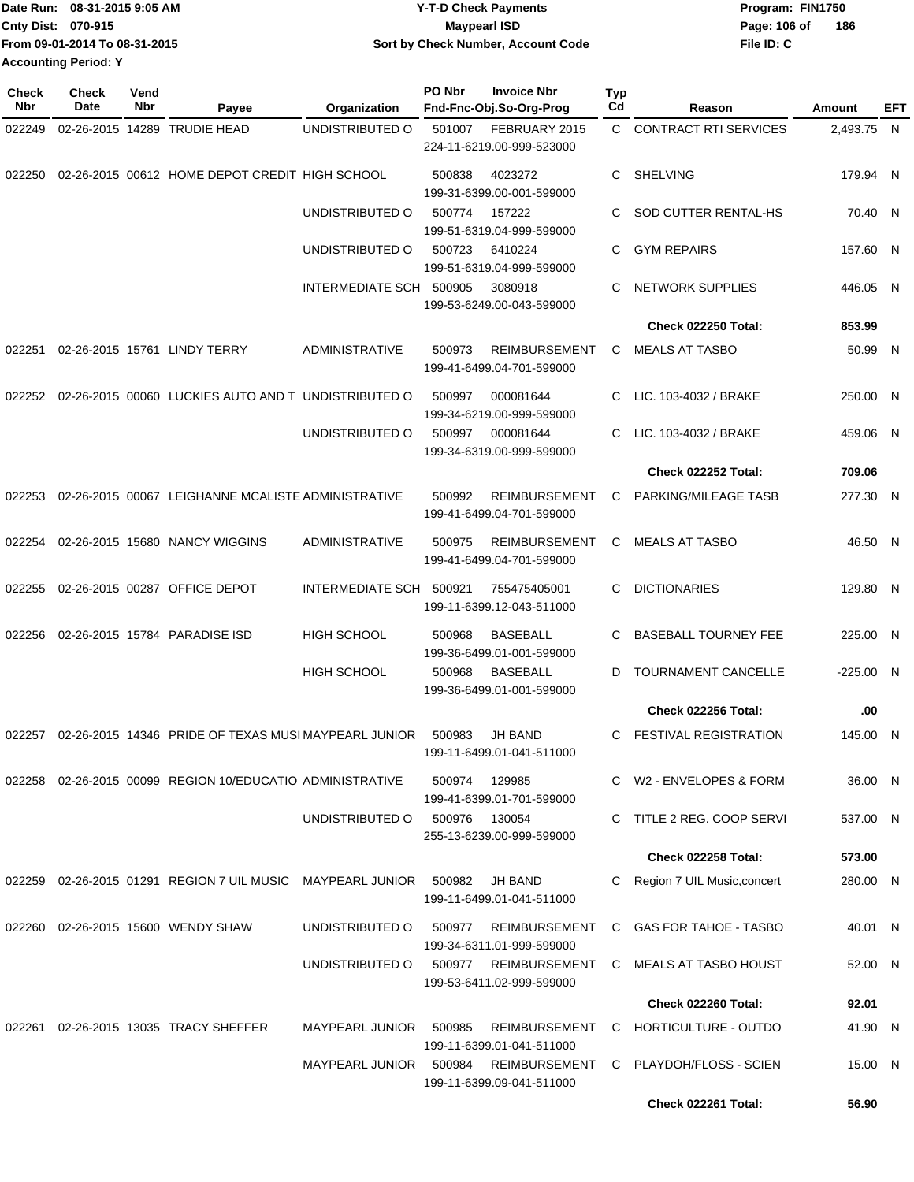| Date Run: 08-31-2015 9:05 AM  | <b>Y-T-D Check Payments</b>        | Program: FIN1750    |
|-------------------------------|------------------------------------|---------------------|
| Cnty Dist: 070-915            | Maypearl ISD                       | 186<br>Page: 106 of |
| From 09-01-2014 To 08-31-2015 | Sort by Check Number, Account Code | File ID: C          |
| <b>Accounting Period: Y</b>   |                                    |                     |

| <b>Check</b><br>Nbr | Check<br>Date | Vend<br>Nbr | Payee                                                      | Organization            | PO Nbr | <b>Invoice Nbr</b><br>Fnd-Fnc-Obj.So-Org-Prog     | Typ<br>Cd    | Reason                       | Amount      | EFT |
|---------------------|---------------|-------------|------------------------------------------------------------|-------------------------|--------|---------------------------------------------------|--------------|------------------------------|-------------|-----|
| 022249              |               |             | 02-26-2015 14289 TRUDIE HEAD                               | UNDISTRIBUTED O         | 501007 | FEBRUARY 2015                                     | $\mathbf{C}$ | <b>CONTRACT RTI SERVICES</b> | 2,493.75 N  |     |
|                     |               |             |                                                            |                         |        | 224-11-6219.00-999-523000                         |              |                              |             |     |
| 022250              |               |             | 02-26-2015 00612 HOME DEPOT CREDIT HIGH SCHOOL             |                         | 500838 | 4023272<br>199-31-6399.00-001-599000              | C.           | <b>SHELVING</b>              | 179.94 N    |     |
|                     |               |             |                                                            | UNDISTRIBUTED O         | 500774 | 157222<br>199-51-6319.04-999-599000               | C.           | SOD CUTTER RENTAL-HS         | 70.40 N     |     |
|                     |               |             |                                                            | UNDISTRIBUTED O         | 500723 | 6410224<br>199-51-6319.04-999-599000              | C.           | <b>GYM REPAIRS</b>           | 157.60 N    |     |
|                     |               |             |                                                            | INTERMEDIATE SCH 500905 |        | 3080918<br>199-53-6249.00-043-599000              | C            | <b>NETWORK SUPPLIES</b>      | 446.05 N    |     |
|                     |               |             |                                                            |                         |        |                                                   |              | <b>Check 022250 Total:</b>   | 853.99      |     |
| 022251              |               |             | 02-26-2015 15761 LINDY TERRY                               | <b>ADMINISTRATIVE</b>   | 500973 | <b>REIMBURSEMENT</b><br>199-41-6499.04-701-599000 | C            | <b>MEALS AT TASBO</b>        | 50.99 N     |     |
| 022252              |               |             | 02-26-2015 00060 LUCKIES AUTO AND T UNDISTRIBUTED O        |                         | 500997 | 000081644<br>199-34-6219.00-999-599000            | C.           | LIC. 103-4032 / BRAKE        | 250.00 N    |     |
|                     |               |             |                                                            | UNDISTRIBUTED O         | 500997 | 000081644<br>199-34-6319.00-999-599000            | C.           | LIC. 103-4032 / BRAKE        | 459.06 N    |     |
|                     |               |             |                                                            |                         |        |                                                   |              | Check 022252 Total:          | 709.06      |     |
| 022253              |               |             | 02-26-2015 00067 LEIGHANNE MCALISTE ADMINISTRATIVE         |                         | 500992 | <b>REIMBURSEMENT</b><br>199-41-6499.04-701-599000 | C.           | PARKING/MILEAGE TASB         | 277.30 N    |     |
| 022254              |               |             | 02-26-2015 15680 NANCY WIGGINS                             | <b>ADMINISTRATIVE</b>   | 500975 | <b>REIMBURSEMENT</b><br>199-41-6499.04-701-599000 | C            | <b>MEALS AT TASBO</b>        | 46.50 N     |     |
| 022255              |               |             | 02-26-2015 00287 OFFICE DEPOT                              | INTERMEDIATE SCH        | 500921 | 755475405001<br>199-11-6399.12-043-511000         | C.           | <b>DICTIONARIES</b>          | 129.80 N    |     |
| 022256              |               |             | 02-26-2015 15784 PARADISE ISD                              | <b>HIGH SCHOOL</b>      | 500968 | <b>BASEBALL</b><br>199-36-6499.01-001-599000      | C            | <b>BASEBALL TOURNEY FEE</b>  | 225.00 N    |     |
|                     |               |             |                                                            | <b>HIGH SCHOOL</b>      | 500968 | <b>BASEBALL</b><br>199-36-6499.01-001-599000      | D            | TOURNAMENT CANCELLE          | $-225.00$ N |     |
|                     |               |             |                                                            |                         |        |                                                   |              | Check 022256 Total:          | .00         |     |
| 022257              |               |             | 02-26-2015 14346 PRIDE OF TEXAS MUSI MAYPEARL JUNIOR       |                         | 500983 | JH BAND<br>199-11-6499.01-041-511000              | C.           | <b>FESTIVAL REGISTRATION</b> | 145.00 N    |     |
|                     |               |             | 022258 02-26-2015 00099 REGION 10/EDUCATIO ADMINISTRATIVE  |                         | 500974 | 129985<br>199-41-6399.01-701-599000               |              | C W2 - ENVELOPES & FORM      | 36.00 N     |     |
|                     |               |             |                                                            | UNDISTRIBUTED O         | 500976 | 130054<br>255-13-6239.00-999-599000               |              | C TITLE 2 REG. COOP SERVI    | 537.00 N    |     |
|                     |               |             |                                                            |                         |        |                                                   |              | <b>Check 022258 Total:</b>   | 573.00      |     |
|                     |               |             | 022259 02-26-2015 01291 REGION 7 UIL MUSIC MAYPEARL JUNIOR |                         | 500982 | JH BAND<br>199-11-6499.01-041-511000              | C.           | Region 7 UIL Music,concert   | 280.00 N    |     |
| 022260              |               |             | 02-26-2015 15600 WENDY SHAW                                | UNDISTRIBUTED O         | 500977 | <b>REIMBURSEMENT</b><br>199-34-6311.01-999-599000 |              | C GAS FOR TAHOE - TASBO      | 40.01 N     |     |
|                     |               |             |                                                            | UNDISTRIBUTED O         |        | 500977 REIMBURSEMENT<br>199-53-6411.02-999-599000 | C.           | MEALS AT TASBO HOUST         | 52.00 N     |     |
|                     |               |             |                                                            |                         |        |                                                   |              | Check 022260 Total:          | 92.01       |     |
|                     |               |             | 022261 02-26-2015 13035 TRACY SHEFFER                      | <b>MAYPEARL JUNIOR</b>  | 500985 | <b>REIMBURSEMENT</b><br>199-11-6399.01-041-511000 |              | C HORTICULTURE - OUTDO       | 41.90 N     |     |
|                     |               |             |                                                            | <b>MAYPEARL JUNIOR</b>  | 500984 | <b>REIMBURSEMENT</b><br>199-11-6399.09-041-511000 |              | C PLAYDOH/FLOSS - SCIEN      | 15.00 N     |     |
|                     |               |             |                                                            |                         |        |                                                   |              | Check 022261 Total:          | 56.90       |     |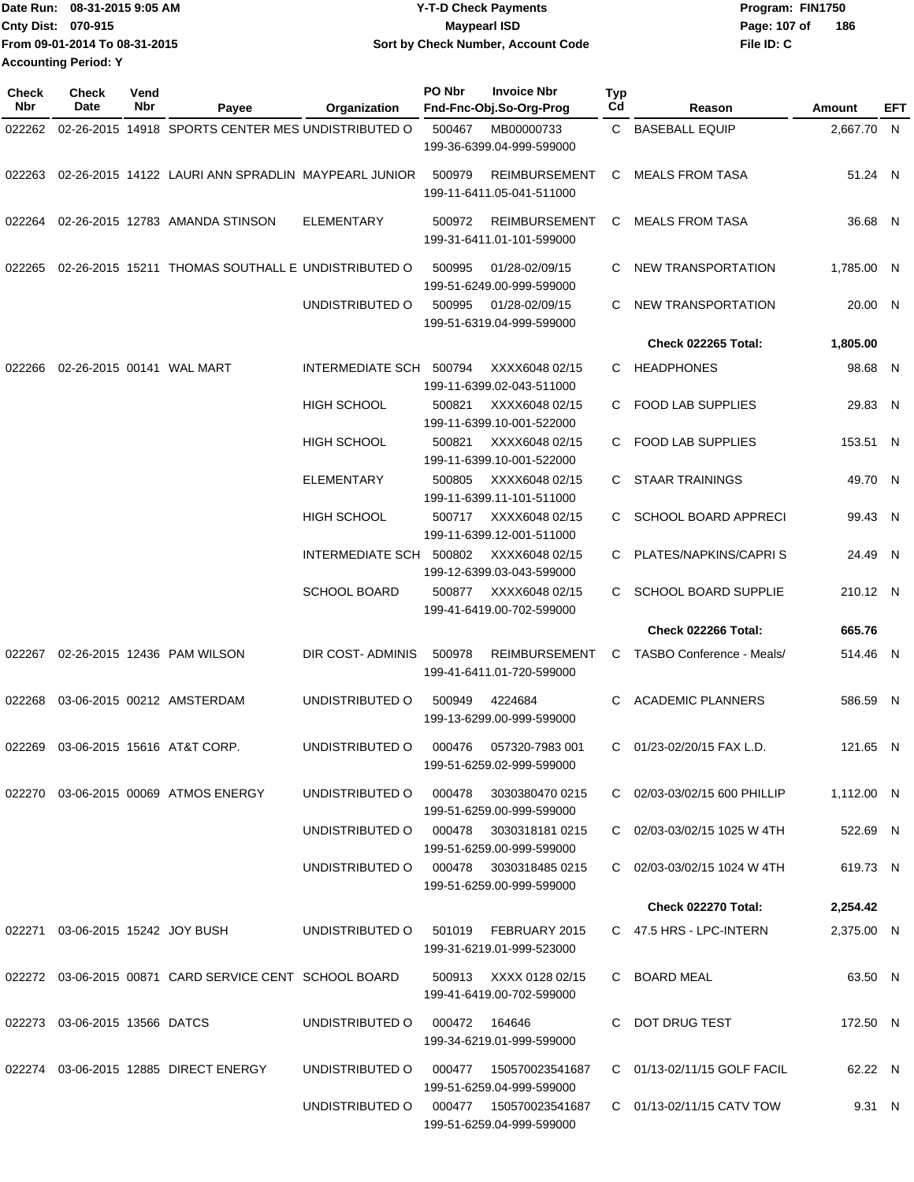| Date Run: 08-31-2015 9:05 AM  | <b>Y-T-D Check Payments</b>        | Program: FIN1750    |
|-------------------------------|------------------------------------|---------------------|
| Cnty Dist: 070-915            | <b>Mavpearl ISD</b>                | 186<br>Page: 107 of |
| From 09-01-2014 To 08-31-2015 | Sort by Check Number, Account Code | File ID: C          |
| <b>Accounting Period: Y</b>   |                                    |                     |

| <b>Check</b><br>Nbr | Check<br>Date                    | Vend<br>Nbr | Payee                                                  | Organization                               | PO Nbr | <b>Invoice Nbr</b><br>Fnd-Fnc-Obj.So-Org-Prog       | Typ<br>Cd | Reason                       | Amount     | EFT |
|---------------------|----------------------------------|-------------|--------------------------------------------------------|--------------------------------------------|--------|-----------------------------------------------------|-----------|------------------------------|------------|-----|
| 022262              |                                  |             | 02-26-2015 14918 SPORTS CENTER MES UNDISTRIBUTED O     |                                            | 500467 | MB00000733                                          |           | C BASEBALL EQUIP             | 2,667.70 N |     |
|                     |                                  |             |                                                        |                                            |        | 199-36-6399.04-999-599000                           |           |                              |            |     |
| 022263              |                                  |             | 02-26-2015 14122 LAURI ANN SPRADLIN MAYPEARL JUNIOR    |                                            | 500979 | <b>REIMBURSEMENT</b><br>199-11-6411.05-041-511000   | C         | MEALS FROM TASA              | 51.24 N    |     |
| 022264              |                                  |             | 02-26-2015 12783 AMANDA STINSON                        | <b>ELEMENTARY</b>                          | 500972 | REIMBURSEMENT<br>199-31-6411.01-101-599000          | C.        | MEALS FROM TASA              | 36.68 N    |     |
| 022265              |                                  |             | 02-26-2015 15211 THOMAS SOUTHALL E UNDISTRIBUTED O     |                                            | 500995 | 01/28-02/09/15<br>199-51-6249.00-999-599000         |           | C NEW TRANSPORTATION         | 1,785.00 N |     |
|                     |                                  |             |                                                        | UNDISTRIBUTED O                            | 500995 | 01/28-02/09/15<br>199-51-6319.04-999-599000         | C.        | <b>NEW TRANSPORTATION</b>    | 20.00 N    |     |
|                     |                                  |             |                                                        |                                            |        |                                                     |           | <b>Check 022265 Total:</b>   | 1,805.00   |     |
| 022266              |                                  |             | 02-26-2015 00141 WAL MART                              | INTERMEDIATE SCH 500794                    |        | XXXX6048 02/15<br>199-11-6399.02-043-511000         | C.        | <b>HEADPHONES</b>            | 98.68 N    |     |
|                     |                                  |             |                                                        | HIGH SCHOOL                                | 500821 | XXXX6048 02/15<br>199-11-6399.10-001-522000         |           | C FOOD LAB SUPPLIES          | 29.83 N    |     |
|                     |                                  |             |                                                        | HIGH SCHOOL                                | 500821 | XXXX6048 02/15<br>199-11-6399.10-001-522000         |           | C FOOD LAB SUPPLIES          | 153.51 N   |     |
|                     |                                  |             |                                                        | ELEMENTARY                                 | 500805 | XXXX6048 02/15<br>199-11-6399.11-101-511000         |           | C STAAR TRAININGS            | 49.70 N    |     |
|                     |                                  |             |                                                        | <b>HIGH SCHOOL</b>                         | 500717 | XXXX6048 02/15<br>199-11-6399.12-001-511000         |           | C SCHOOL BOARD APPRECI       | 99.43 N    |     |
|                     |                                  |             |                                                        | INTERMEDIATE SCH                           | 500802 | XXXX6048 02/15<br>199-12-6399.03-043-599000         |           | C PLATES/NAPKINS/CAPRIS      | 24.49 N    |     |
|                     |                                  |             |                                                        | <b>SCHOOL BOARD</b>                        | 500877 | XXXX6048 02/15<br>199-41-6419.00-702-599000         | C.        | <b>SCHOOL BOARD SUPPLIE</b>  | 210.12 N   |     |
|                     |                                  |             |                                                        |                                            |        |                                                     |           | Check 022266 Total:          | 665.76     |     |
| 022267              |                                  |             | 02-26-2015 12436 PAM WILSON                            | <b>DIR COST- ADMINIS</b>                   | 500978 | <b>REIMBURSEMENT</b><br>199-41-6411.01-720-599000   | C         | TASBO Conference - Meals/    | 514.46 N   |     |
| 022268              |                                  |             | 03-06-2015 00212 AMSTERDAM                             | UNDISTRIBUTED O                            | 500949 | 4224684<br>199-13-6299.00-999-599000                | C         | <b>ACADEMIC PLANNERS</b>     | 586.59 N   |     |
| 022269              |                                  |             | 03-06-2015 15616 AT&T CORP.                            | UNDISTRIBUTED O                            | 000476 | 057320-7983 001<br>199-51-6259.02-999-599000        | C.        | 01/23-02/20/15 FAX L.D.      | 121.65 N   |     |
|                     |                                  |             | 022270 03-06-2015 00069 ATMOS ENERGY                   | UNDISTRIBUTED O   000478   3030380470 0215 |        | 199-51-6259.00-999-599000                           |           | C 02/03-03/02/15 600 PHILLIP | 1.112.00 N |     |
|                     |                                  |             |                                                        | UNDISTRIBUTED O 000478 3030318181 0215     |        | 199-51-6259.00-999-599000                           |           | C 02/03-03/02/15 1025 W 4TH  | 522.69 N   |     |
|                     |                                  |             |                                                        | UNDISTRIBUTED O 000478 3030318485 0215     |        | 199-51-6259.00-999-599000                           |           | C 02/03-03/02/15 1024 W 4TH  | 619.73 N   |     |
|                     |                                  |             |                                                        |                                            |        |                                                     |           | Check 022270 Total:          | 2,254.42   |     |
|                     | 022271 03-06-2015 15242 JOY BUSH |             |                                                        | UNDISTRIBUTED O                            |        | 501019 FEBRUARY 2015<br>199-31-6219.01-999-523000   |           | C 47.5 HRS - LPC-INTERN      | 2,375.00 N |     |
|                     |                                  |             | 022272 03-06-2015 00871 CARD SERVICE CENT SCHOOL BOARD |                                            |        | 500913 XXXX 0128 02/15<br>199-41-6419.00-702-599000 |           | C BOARD MEAL                 | 63.50 N    |     |
|                     | 022273 03-06-2015 13566 DATCS    |             |                                                        | UNDISTRIBUTED O                            |        | 000472 164646<br>199-34-6219.01-999-599000          |           | C DOT DRUG TEST              | 172.50 N   |     |
|                     |                                  |             | 022274 03-06-2015 12885 DIRECT ENERGY                  | UNDISTRIBUTED O 000477 150570023541687     |        | 199-51-6259.04-999-599000                           |           | C 01/13-02/11/15 GOLF FACIL  | 62.22 N    |     |
|                     |                                  |             |                                                        | UNDISTRIBUTED O 000477 150570023541687     |        | 199-51-6259.04-999-599000                           |           | C 01/13-02/11/15 CATV TOW    | 9.31 N     |     |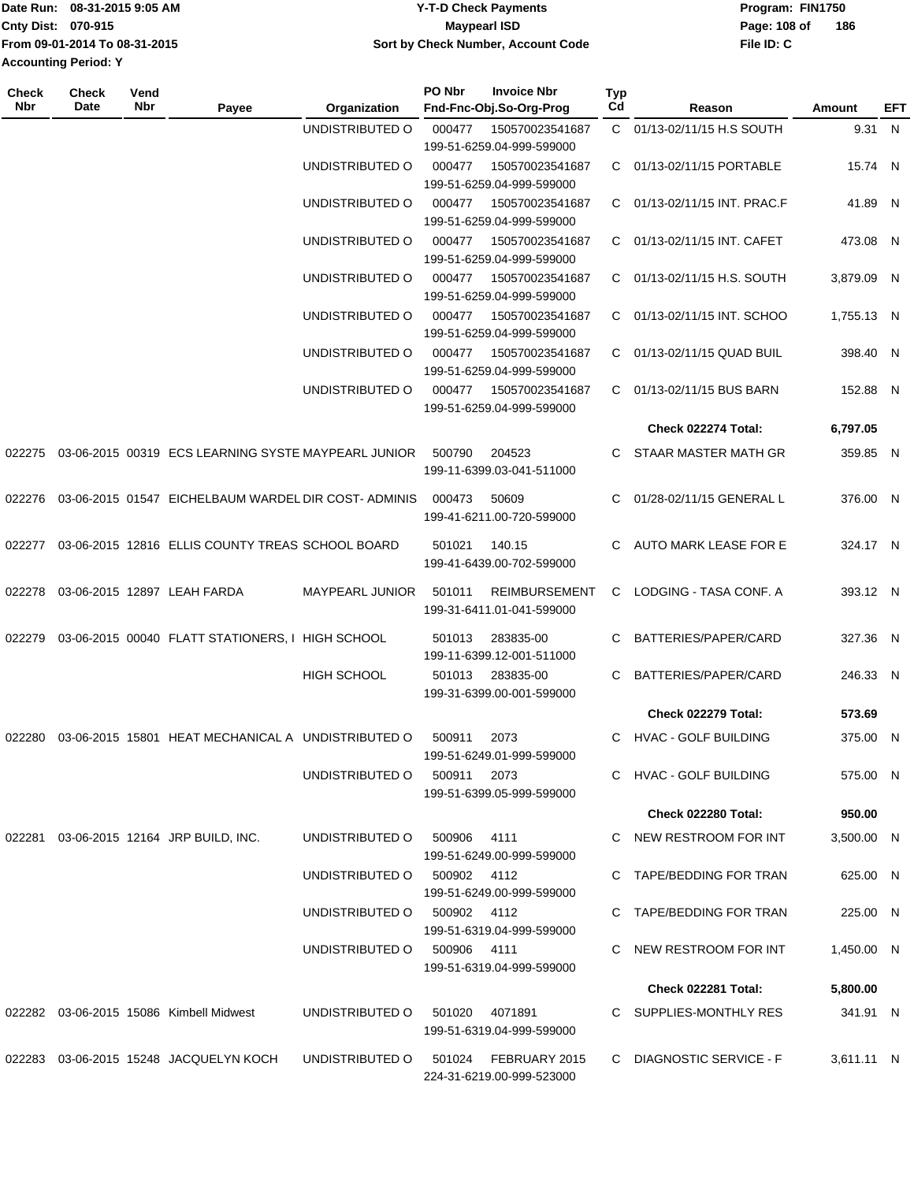|                             | Date Run: 08-31-2015 9:05 AM  | <b>Y-T-D Check Payments</b>        | Program: FIN1750 |     |
|-----------------------------|-------------------------------|------------------------------------|------------------|-----|
| <b>Cnty Dist: 070-915</b>   |                               | Maypearl ISD                       | Page: 108 of     | 186 |
|                             | From 09-01-2014 To 08-31-2015 | Sort by Check Number, Account Code | File ID: C       |     |
| <b>Accounting Period: Y</b> |                               |                                    |                  |     |

| <b>Check</b><br>Nbr | <b>Check</b><br>Date | Vend<br>Nbr | Payee                                               | Organization                | PO Nbr                                                 | <b>Invoice Nbr</b><br>Fnd-Fnc-Obj.So-Org-Prog | <b>Typ</b><br>Cd | Reason                      | Amount       | EFT          |
|---------------------|----------------------|-------------|-----------------------------------------------------|-----------------------------|--------------------------------------------------------|-----------------------------------------------|------------------|-----------------------------|--------------|--------------|
|                     |                      |             |                                                     | UNDISTRIBUTED O             | 000477<br>150570023541687                              |                                               |                  | C 01/13-02/11/15 H.S SOUTH  | 9.31 N       |              |
|                     |                      |             |                                                     |                             | 199-51-6259.04-999-599000                              |                                               |                  |                             |              |              |
|                     |                      |             |                                                     | UNDISTRIBUTED O             | 150570023541687<br>000477<br>199-51-6259.04-999-599000 |                                               |                  | C 01/13-02/11/15 PORTABLE   | 15.74 N      |              |
|                     |                      |             |                                                     | UNDISTRIBUTED O             | 000477                                                 | 150570023541687                               |                  | 01/13-02/11/15 INT. PRAC.F  | 41.89 N      |              |
|                     |                      |             |                                                     |                             |                                                        | 199-51-6259.04-999-599000                     | C.               |                             |              |              |
|                     |                      |             |                                                     | UNDISTRIBUTED O             | 000477                                                 | 150570023541687<br>199-51-6259.04-999-599000  | C.               | 01/13-02/11/15 INT. CAFET   | 473.08 N     |              |
|                     |                      |             |                                                     | UNDISTRIBUTED O             | 000477                                                 | 150570023541687                               | C.               | 01/13-02/11/15 H.S. SOUTH   | 3,879.09 N   |              |
|                     |                      |             |                                                     |                             |                                                        | 199-51-6259.04-999-599000                     |                  |                             |              |              |
|                     |                      |             |                                                     | UNDISTRIBUTED O             | 000477                                                 | 150570023541687                               | C.               | 01/13-02/11/15 INT. SCHOO   | 1,755.13 N   |              |
|                     |                      |             |                                                     |                             |                                                        | 199-51-6259.04-999-599000                     |                  |                             |              |              |
|                     |                      |             |                                                     | UNDISTRIBUTED O             | 000477                                                 | 150570023541687                               |                  | C 01/13-02/11/15 QUAD BUIL  | 398.40 N     |              |
|                     |                      |             |                                                     | UNDISTRIBUTED O             | 000477                                                 | 199-51-6259.04-999-599000<br>150570023541687  | C                | 01/13-02/11/15 BUS BARN     | 152.88 N     |              |
|                     |                      |             |                                                     |                             |                                                        | 199-51-6259.04-999-599000                     |                  |                             |              |              |
|                     |                      |             |                                                     |                             |                                                        |                                               |                  | Check 022274 Total:         | 6,797.05     |              |
| 022275              |                      |             | 03-06-2015 00319 ECS LEARNING SYSTE MAYPEARL JUNIOR |                             | 500790                                                 | 204523                                        |                  | STAAR MASTER MATH GR        | 359.85 N     |              |
|                     |                      |             |                                                     |                             |                                                        | 199-11-6399.03-041-511000                     |                  |                             |              |              |
| 022276              |                      |             | 03-06-2015 01547 EICHELBAUM WARDEL DIR COST-ADMINIS |                             | 000473                                                 | 50609                                         | C.               | 01/28-02/11/15 GENERAL L    | 376.00 N     |              |
|                     |                      |             |                                                     |                             |                                                        | 199-41-6211.00-720-599000                     |                  |                             |              |              |
| 022277              |                      |             | 03-06-2015 12816 ELLIS COUNTY TREAS SCHOOL BOARD    |                             | 501021                                                 | 140.15                                        | C.               | AUTO MARK LEASE FOR E       | 324.17 N     |              |
|                     |                      |             |                                                     |                             |                                                        | 199-41-6439.00-702-599000                     |                  |                             |              |              |
| 022278              |                      |             | 03-06-2015 12897 LEAH FARDA                         | MAYPEARL JUNIOR             | 501011                                                 | <b>REIMBURSEMENT</b>                          | С                | LODGING - TASA CONF. A      | 393.12 N     |              |
|                     |                      |             |                                                     |                             |                                                        | 199-31-6411.01-041-599000                     |                  |                             |              |              |
|                     |                      |             |                                                     |                             |                                                        | 283835-00                                     |                  |                             |              |              |
| 022279              |                      |             | 03-06-2015 00040 FLATT STATIONERS, I HIGH SCHOOL    |                             | 501013                                                 | 199-11-6399.12-001-511000                     | C                | BATTERIES/PAPER/CARD        | 327.36       | $\mathsf{N}$ |
|                     |                      |             |                                                     | HIGH SCHOOL                 | 501013                                                 | 283835-00                                     | C                | BATTERIES/PAPER/CARD        | 246.33 N     |              |
|                     |                      |             |                                                     |                             |                                                        | 199-31-6399.00-001-599000                     |                  |                             |              |              |
|                     |                      |             |                                                     |                             |                                                        |                                               |                  | Check 022279 Total:         | 573.69       |              |
| 022280              |                      |             | 03-06-2015 15801 HEAT MECHANICAL A UNDISTRIBUTED O  |                             | 500911                                                 | 2073                                          | C                | <b>HVAC - GOLF BUILDING</b> | 375.00 N     |              |
|                     |                      |             |                                                     |                             |                                                        | 199-51-6249.01-999-599000                     |                  |                             |              |              |
|                     |                      |             |                                                     | UNDISTRIBUTED O             | 500911                                                 | 2073<br>199-51-6399.05-999-599000             |                  | C HVAC - GOLF BUILDING      | 575.00 N     |              |
|                     |                      |             |                                                     |                             |                                                        |                                               |                  | Check 022280 Total:         | 950.00       |              |
|                     |                      |             | 022281 03-06-2015 12164 JRP BUILD, INC.             | UNDISTRIBUTED O             | 500906                                                 | 4111                                          |                  | C NEW RESTROOM FOR INT      | 3,500.00 N   |              |
|                     |                      |             |                                                     |                             |                                                        | 199-51-6249.00-999-599000                     |                  |                             |              |              |
|                     |                      |             |                                                     | UNDISTRIBUTED O             | 500902 4112                                            |                                               |                  | C TAPE/BEDDING FOR TRAN     | 625.00 N     |              |
|                     |                      |             |                                                     |                             |                                                        | 199-51-6249.00-999-599000                     |                  |                             |              |              |
|                     |                      |             |                                                     | UNDISTRIBUTED O 500902 4112 |                                                        |                                               |                  | C TAPE/BEDDING FOR TRAN     | 225.00 N     |              |
|                     |                      |             |                                                     | UNDISTRIBUTED O 500906 4111 |                                                        | 199-51-6319.04-999-599000                     |                  | NEW RESTROOM FOR INT        | 1,450.00 N   |              |
|                     |                      |             |                                                     |                             |                                                        | 199-51-6319.04-999-599000                     |                  |                             |              |              |
|                     |                      |             |                                                     |                             |                                                        |                                               |                  | Check 022281 Total:         | 5,800.00     |              |
|                     |                      |             | 022282 03-06-2015 15086 Kimbell Midwest             | UNDISTRIBUTED O             | 501020                                                 | 4071891                                       |                  | C SUPPLIES-MONTHLY RES      | 341.91 N     |              |
|                     |                      |             |                                                     |                             |                                                        | 199-51-6319.04-999-599000                     |                  |                             |              |              |
|                     |                      |             | 022283 03-06-2015 15248 JACQUELYN KOCH              | UNDISTRIBUTED O             | 501024                                                 | FEBRUARY 2015                                 |                  | C DIAGNOSTIC SERVICE - F    | $3,611.11$ N |              |
|                     |                      |             |                                                     |                             |                                                        | 224-31-6219.00-999-523000                     |                  |                             |              |              |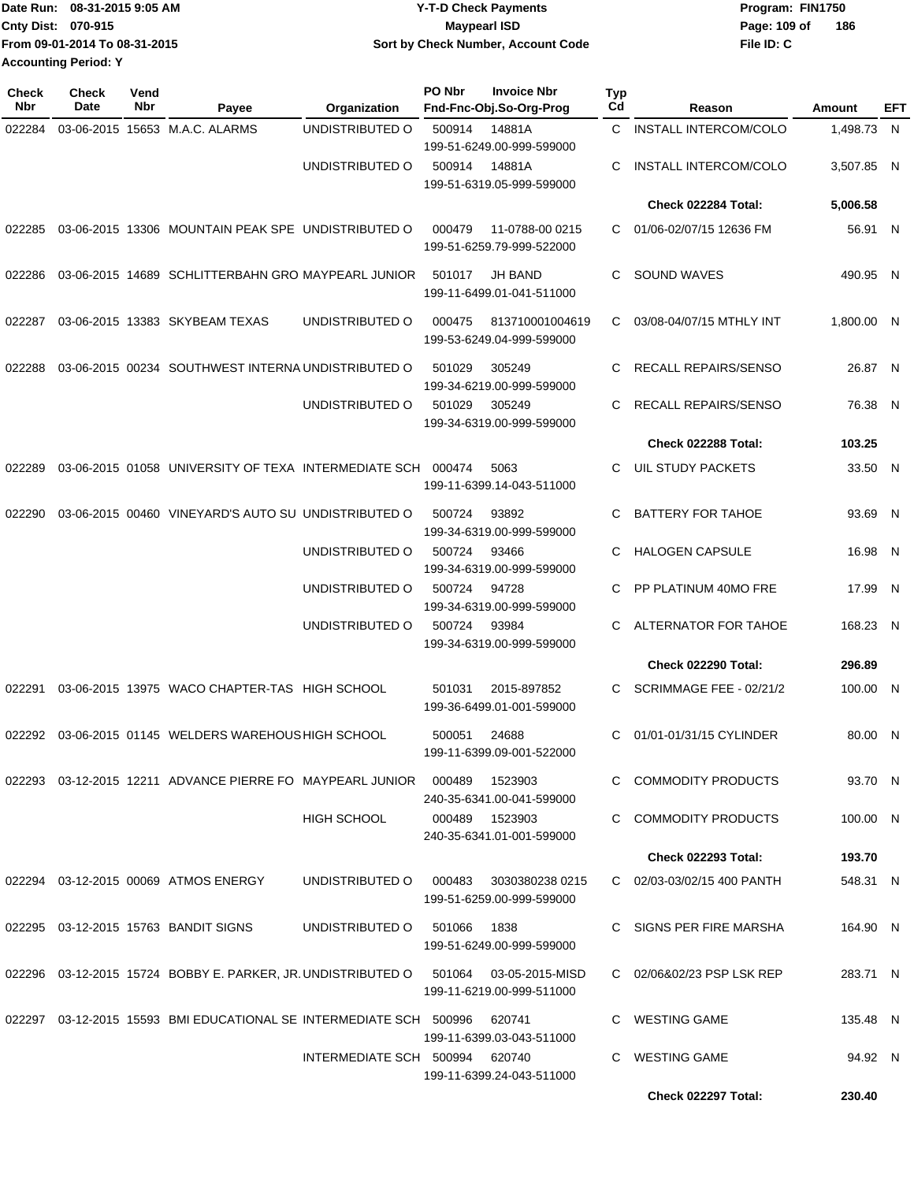| Date Run: 08-31-2015 9:05 AM  | <b>Y-T-D Check Payments</b>        | Program: FIN1750    |
|-------------------------------|------------------------------------|---------------------|
| <b>Cnty Dist: 070-915</b>     | Maypearl ISD                       | 186<br>Page: 109 of |
| From 09-01-2014 To 08-31-2015 | Sort by Check Number, Account Code | File ID: C          |
| <b>Accounting Period: Y</b>   |                                    |                     |

| <b>Check</b><br>Nbr | <b>Check</b><br><b>Date</b> | Vend<br>Nbr | Payee                                                                  | Organization                   | PO Nbr | <b>Invoice Nbr</b><br>Fnd-Fnc-Obj.So-Org-Prog | <b>Typ</b><br>Cd | Reason                       | Amount     | EFT |
|---------------------|-----------------------------|-------------|------------------------------------------------------------------------|--------------------------------|--------|-----------------------------------------------|------------------|------------------------------|------------|-----|
| 022284              |                             |             | 03-06-2015 15653 M.A.C. ALARMS                                         | UNDISTRIBUTED O                | 500914 | 14881A<br>199-51-6249.00-999-599000           | C.               | <b>INSTALL INTERCOM/COLO</b> | 1,498.73 N |     |
|                     |                             |             |                                                                        | UNDISTRIBUTED O                | 500914 | 14881A<br>199-51-6319.05-999-599000           | C                | INSTALL INTERCOM/COLO        | 3,507.85 N |     |
|                     |                             |             |                                                                        |                                |        |                                               |                  | Check 022284 Total:          | 5,006.58   |     |
| 022285              |                             |             | 03-06-2015 13306 MOUNTAIN PEAK SPE UNDISTRIBUTED O                     |                                | 000479 | 11-0788-00 0215<br>199-51-6259.79-999-522000  | C                | 01/06-02/07/15 12636 FM      | 56.91 N    |     |
| 022286              |                             |             | 03-06-2015 14689 SCHLITTERBAHN GRO MAYPEARL JUNIOR                     |                                | 501017 | <b>JH BAND</b><br>199-11-6499.01-041-511000   | C                | SOUND WAVES                  | 490.95 N   |     |
| 022287              |                             |             | 03-06-2015 13383 SKYBEAM TEXAS                                         | UNDISTRIBUTED O                | 000475 | 813710001004619<br>199-53-6249.04-999-599000  | C                | 03/08-04/07/15 MTHLY INT     | 1,800.00 N |     |
| 022288              |                             |             | 03-06-2015 00234 SOUTHWEST INTERNA UNDISTRIBUTED O                     |                                | 501029 | 305249<br>199-34-6219.00-999-599000           | C                | RECALL REPAIRS/SENSO         | 26.87 N    |     |
|                     |                             |             |                                                                        | UNDISTRIBUTED O                | 501029 | 305249<br>199-34-6319.00-999-599000           | C                | RECALL REPAIRS/SENSO         | 76.38 N    |     |
|                     |                             |             |                                                                        |                                |        |                                               |                  | Check 022288 Total:          | 103.25     |     |
| 022289              |                             |             | 03-06-2015 01058 UNIVERSITY OF TEXA INTERMEDIATE SCH 000474            |                                |        | 5063<br>199-11-6399.14-043-511000             | C.               | UIL STUDY PACKETS            | 33.50 N    |     |
| 022290              |                             |             | 03-06-2015 00460 VINEYARD'S AUTO SU UNDISTRIBUTED O                    |                                | 500724 | 93892<br>199-34-6319.00-999-599000            | C.               | <b>BATTERY FOR TAHOE</b>     | 93.69 N    |     |
|                     |                             |             |                                                                        | UNDISTRIBUTED O                | 500724 | 93466<br>199-34-6319.00-999-599000            | C                | <b>HALOGEN CAPSULE</b>       | 16.98 N    |     |
|                     |                             |             |                                                                        | UNDISTRIBUTED O                | 500724 | 94728<br>199-34-6319.00-999-599000            | C                | PP PLATINUM 40MO FRE         | 17.99 N    |     |
|                     |                             |             |                                                                        | UNDISTRIBUTED O                | 500724 | 93984<br>199-34-6319.00-999-599000            | C                | ALTERNATOR FOR TAHOE         | 168.23 N   |     |
|                     |                             |             |                                                                        |                                |        |                                               |                  | <b>Check 022290 Total:</b>   | 296.89     |     |
| 022291              |                             |             | 03-06-2015 13975 WACO CHAPTER-TAS HIGH SCHOOL                          |                                | 501031 | 2015-897852<br>199-36-6499.01-001-599000      | C                | SCRIMMAGE FEE - 02/21/2      | 100.00 N   |     |
| 022292              |                             |             | 03-06-2015 01145 WELDERS WAREHOUS HIGH SCHOOL                          |                                | 500051 | 24688<br>199-11-6399.09-001-522000            | C                | 01/01-01/31/15 CYLINDER      | 80.00 N    |     |
|                     |                             |             | 022293  03-12-2015  12211  ADVANCE PIERRE FO  MAYPEARL JUNIOR  000489  |                                |        | 1523903<br>240-35-6341.00-041-599000          |                  | C COMMODITY PRODUCTS         | 93.70 N    |     |
|                     |                             |             |                                                                        | <b>HIGH SCHOOL</b>             | 000489 | 1523903<br>240-35-6341.01-001-599000          |                  | C COMMODITY PRODUCTS         | 100.00 N   |     |
|                     |                             |             |                                                                        |                                |        |                                               |                  | <b>Check 022293 Total:</b>   | 193.70     |     |
|                     |                             |             | 022294 03-12-2015 00069 ATMOS ENERGY                                   | UNDISTRIBUTED O                | 000483 | 3030380238 0215<br>199-51-6259.00-999-599000  |                  | C 02/03-03/02/15 400 PANTH   | 548.31 N   |     |
|                     |                             |             | 022295  03-12-2015  15763  BANDIT SIGNS                                | UNDISTRIBUTED O                | 501066 | 1838<br>199-51-6249.00-999-599000             |                  | SIGNS PER FIRE MARSHA        | 164.90 N   |     |
|                     |                             |             | 022296 03-12-2015  15724  BOBBY E. PARKER, JR. UNDISTRIBUTED O         |                                | 501064 | 03-05-2015-MISD<br>199-11-6219.00-999-511000  |                  | C 02/06&02/23 PSP LSK REP    | 283.71 N   |     |
|                     |                             |             | 022297  03-12-2015  15593  BMI EDUCATIONAL SE INTERMEDIATE SCH  500996 |                                |        | 620741<br>199-11-6399.03-043-511000           |                  | C WESTING GAME               | 135.48 N   |     |
|                     |                             |             |                                                                        | INTERMEDIATE SCH 500994 620740 |        | 199-11-6399.24-043-511000                     |                  | C WESTING GAME               | 94.92 N    |     |
|                     |                             |             |                                                                        |                                |        |                                               |                  | Check 022297 Total:          | 230.40     |     |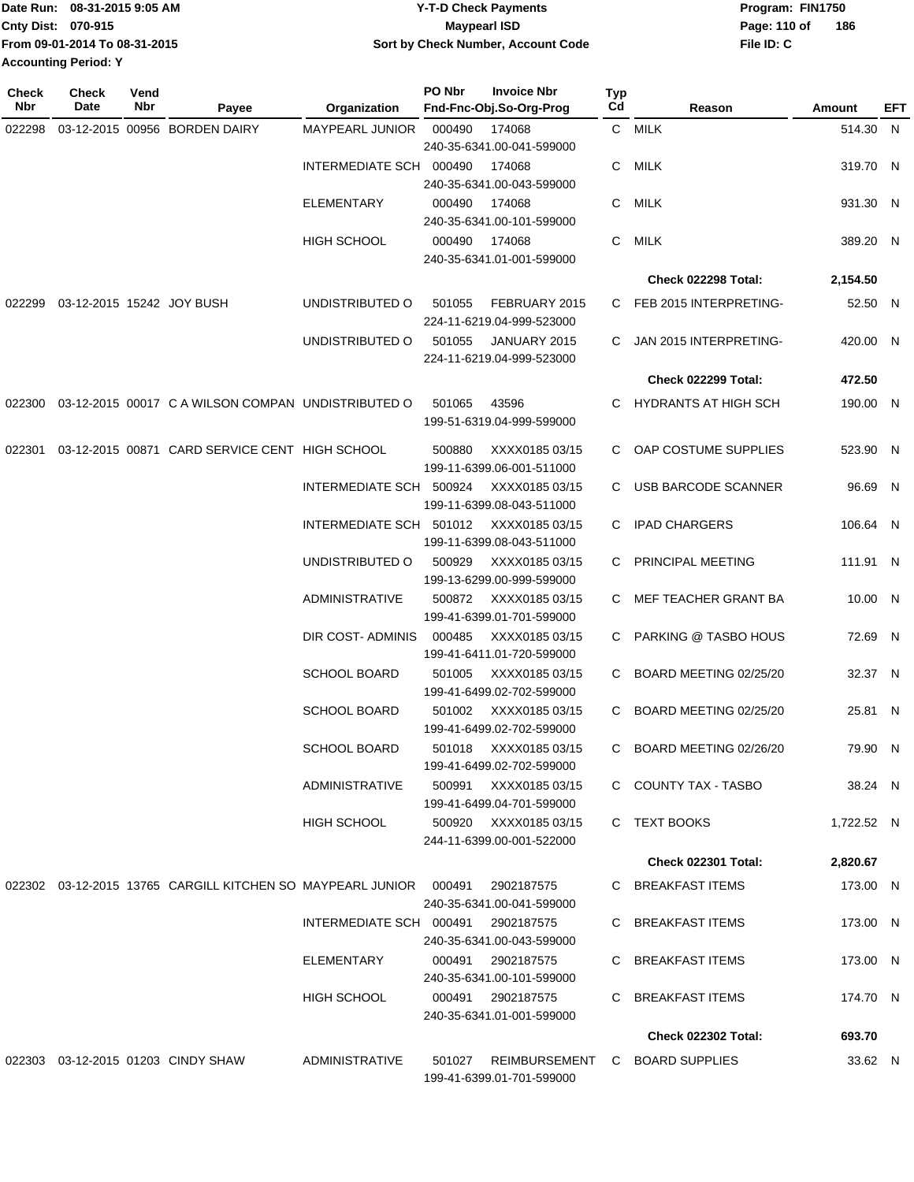| IDate Run: 08-31-2015 9:05 AM |                               | <b>Y-T-D Check Payments</b>        | Program: FIN1750    |  |  |  |
|-------------------------------|-------------------------------|------------------------------------|---------------------|--|--|--|
| <b>Cnty Dist: 070-915</b>     |                               | <b>Maypearl ISD</b>                | 186<br>Page: 110 of |  |  |  |
|                               | From 09-01-2014 To 08-31-2015 | Sort by Check Number, Account Code | File ID: C          |  |  |  |
| <b>Accounting Period: Y</b>   |                               |                                    |                     |  |  |  |

| Check<br>Nbr | Check<br>Date             | Vend<br>Nbr | Payee                                                      | Organization            | PO Nbr | <b>Invoice Nbr</b><br>Fnd-Fnc-Obj.So-Org-Prog      | Typ<br>Cd | Reason                     | Amount     | EFT |
|--------------|---------------------------|-------------|------------------------------------------------------------|-------------------------|--------|----------------------------------------------------|-----------|----------------------------|------------|-----|
| 022298       |                           |             | 03-12-2015 00956 BORDEN DAIRY                              | <b>MAYPEARL JUNIOR</b>  | 000490 | 174068<br>240-35-6341.00-041-599000                |           | C MILK                     | 514.30 N   |     |
|              |                           |             |                                                            | INTERMEDIATE SCH 000490 |        | 174068<br>240-35-6341.00-043-599000                | C         | MILK                       | 319.70 N   |     |
|              |                           |             |                                                            | <b>ELEMENTARY</b>       | 000490 | 174068<br>240-35-6341.00-101-599000                | C         | MILK                       | 931.30 N   |     |
|              |                           |             |                                                            | <b>HIGH SCHOOL</b>      | 000490 | 174068<br>240-35-6341.01-001-599000                | C         | MILK                       | 389.20 N   |     |
|              |                           |             |                                                            |                         |        |                                                    |           | <b>Check 022298 Total:</b> | 2,154.50   |     |
| 022299       | 03-12-2015 15242 JOY BUSH |             |                                                            | UNDISTRIBUTED O         | 501055 | FEBRUARY 2015<br>224-11-6219.04-999-523000         |           | C FEB 2015 INTERPRETING-   | 52.50 N    |     |
|              |                           |             |                                                            | UNDISTRIBUTED O         | 501055 | JANUARY 2015<br>224-11-6219.04-999-523000          | C.        | JAN 2015 INTERPRETING-     | 420.00 N   |     |
|              |                           |             |                                                            |                         |        |                                                    |           | Check 022299 Total:        | 472.50     |     |
| 022300       |                           |             | 03-12-2015 00017 C A WILSON COMPAN UNDISTRIBUTED O         |                         | 501065 | 43596<br>199-51-6319.04-999-599000                 | C.        | HYDRANTS AT HIGH SCH       | 190.00 N   |     |
| 022301       |                           |             | 03-12-2015 00871 CARD SERVICE CENT HIGH SCHOOL             |                         | 500880 | XXXX0185 03/15<br>199-11-6399.06-001-511000        | C.        | OAP COSTUME SUPPLIES       | 523.90 N   |     |
|              |                           |             |                                                            | INTERMEDIATE SCH 500924 |        | XXXX0185 03/15<br>199-11-6399.08-043-511000        |           | C USB BARCODE SCANNER      | 96.69 N    |     |
|              |                           |             |                                                            | INTERMEDIATE SCH 501012 |        | XXXX0185 03/15<br>199-11-6399.08-043-511000        | C.        | <b>IPAD CHARGERS</b>       | 106.64 N   |     |
|              |                           |             |                                                            | UNDISTRIBUTED O         | 500929 | XXXX0185 03/15<br>199-13-6299.00-999-599000        | C         | PRINCIPAL MEETING          | 111.91 N   |     |
|              |                           |             |                                                            | ADMINISTRATIVE          | 500872 | XXXX0185 03/15<br>199-41-6399.01-701-599000        | C.        | MEF TEACHER GRANT BA       | 10.00 N    |     |
|              |                           |             |                                                            | DIR COST-ADMINIS        | 000485 | XXXX0185 03/15<br>199-41-6411.01-720-599000        |           | C PARKING @ TASBO HOUS     | 72.69 N    |     |
|              |                           |             |                                                            | <b>SCHOOL BOARD</b>     | 501005 | XXXX0185 03/15<br>199-41-6499.02-702-599000        | C.        | BOARD MEETING 02/25/20     | 32.37 N    |     |
|              |                           |             |                                                            | <b>SCHOOL BOARD</b>     | 501002 | XXXX0185 03/15<br>199-41-6499.02-702-599000        | C.        | BOARD MEETING 02/25/20     | 25.81 N    |     |
|              |                           |             |                                                            | <b>SCHOOL BOARD</b>     |        | 501018 XXXX0185 03/15<br>199-41-6499.02-702-599000 | C.        | BOARD MEETING 02/26/20     | 79.90 N    |     |
|              |                           |             |                                                            | ADMINISTRATIVE          |        | 500991 XXXX0185 03/15<br>199-41-6499.04-701-599000 |           | C COUNTY TAX - TASBO       | 38.24 N    |     |
|              |                           |             |                                                            | HIGH SCHOOL             |        | 500920 XXXX0185 03/15<br>244-11-6399.00-001-522000 |           | C TEXT BOOKS               | 1,722.52 N |     |
|              |                           |             |                                                            |                         |        |                                                    |           | <b>Check 022301 Total:</b> | 2,820.67   |     |
|              |                           |             | 022302 03-12-2015 13765 CARGILL KITCHEN SO MAYPEARL JUNIOR |                         | 000491 | 2902187575<br>240-35-6341.00-041-599000            |           | C BREAKFAST ITEMS          | 173.00 N   |     |
|              |                           |             |                                                            | INTERMEDIATE SCH 000491 |        | 2902187575<br>240-35-6341.00-043-599000            |           | C BREAKFAST ITEMS          | 173.00 N   |     |
|              |                           |             |                                                            | ELEMENTARY              | 000491 | 2902187575<br>240-35-6341.00-101-599000            | C         | BREAKFAST ITEMS            | 173.00 N   |     |
|              |                           |             |                                                            | HIGH SCHOOL             | 000491 | 2902187575<br>240-35-6341.01-001-599000            | C         | <b>BREAKFAST ITEMS</b>     | 174.70 N   |     |
|              |                           |             |                                                            |                         |        |                                                    |           | <b>Check 022302 Total:</b> | 693.70     |     |
|              |                           |             | 022303 03-12-2015 01203 CINDY SHAW                         | ADMINISTRATIVE          | 501027 | REIMBURSEMENT<br>199-41-6399.01-701-599000         |           | C BOARD SUPPLIES           | 33.62 N    |     |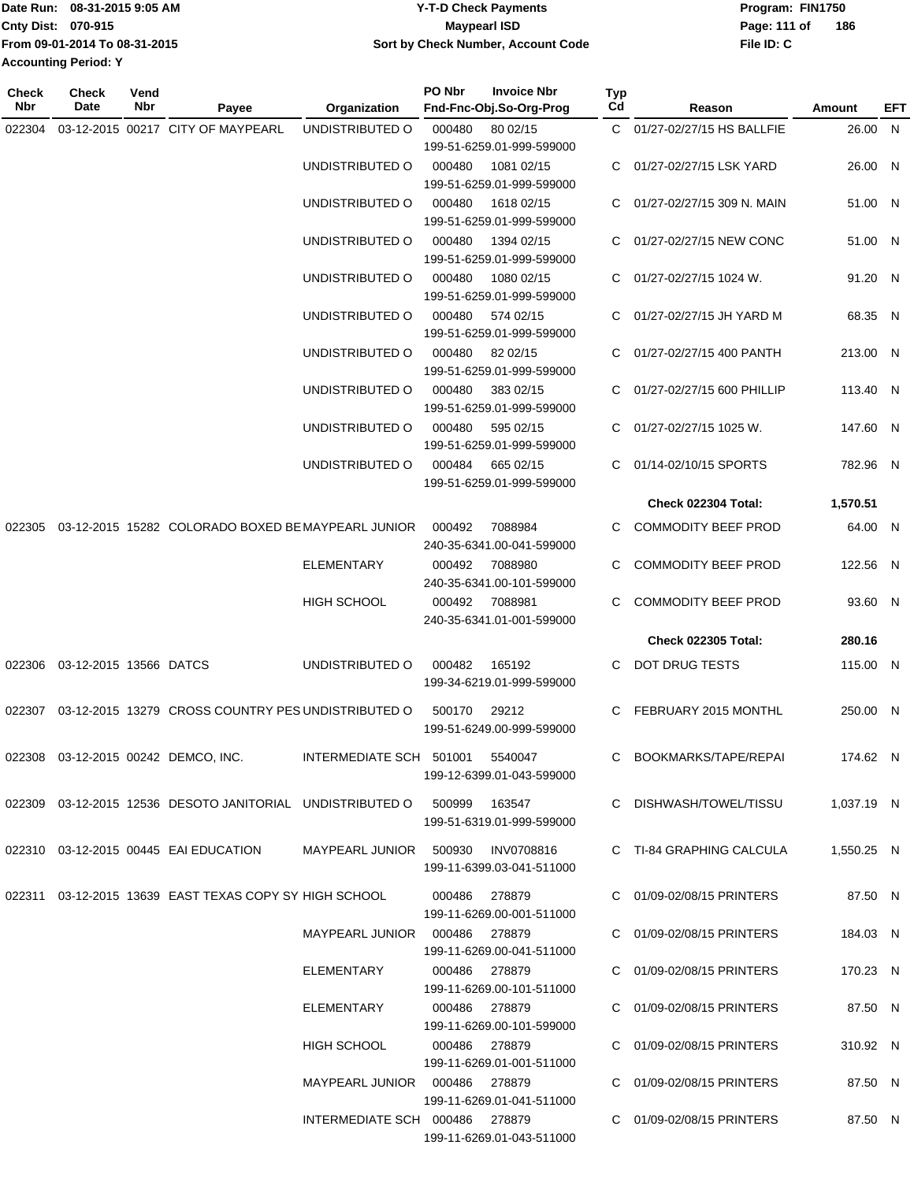|                             | IDate Run: 08-31-2015 9:05 AM | Y-T-D Check Payments               | Program: FIN1750 |     |  |  |
|-----------------------------|-------------------------------|------------------------------------|------------------|-----|--|--|
| <b>Cnty Dist: 070-915</b>   |                               | <b>Maypearl ISD</b>                | Page: 111 of     | 186 |  |  |
|                             | From 09-01-2014 To 08-31-2015 | Sort by Check Number, Account Code | File ID: C       |     |  |  |
| <b>Accounting Period: Y</b> |                               |                                    |                  |     |  |  |

**Typ**

**Check**

**Check**

**Vend**

| Nbr | Date                                | Nbr | Payee                                                                            | Organization                    | Fnd-Fnc-Obj.So-Org-Prog                                        | Cd           | Reason                       | <b>Amount</b> | <b>EFT</b> |
|-----|-------------------------------------|-----|----------------------------------------------------------------------------------|---------------------------------|----------------------------------------------------------------|--------------|------------------------------|---------------|------------|
|     |                                     |     | 022304 03-12-2015 00217 CITY OF MAYPEARL                                         | UNDISTRIBUTED O                 | 000480<br>80 02/15<br>199-51-6259.01-999-599000                |              | C 01/27-02/27/15 HS BALLFIE  | 26.00 N       |            |
|     |                                     |     |                                                                                  | UNDISTRIBUTED O                 | 000480<br>1081 02/15<br>199-51-6259.01-999-599000              |              | C 01/27-02/27/15 LSK YARD    | 26.00 N       |            |
|     |                                     |     |                                                                                  | UNDISTRIBUTED O                 | 000480<br>1618 02/15<br>199-51-6259.01-999-599000              |              | 01/27-02/27/15 309 N. MAIN   | 51.00 N       |            |
|     |                                     |     |                                                                                  | UNDISTRIBUTED O                 | 000480<br>1394 02/15<br>199-51-6259.01-999-599000              |              | 01/27-02/27/15 NEW CONC      | 51.00 N       |            |
|     |                                     |     |                                                                                  | UNDISTRIBUTED O                 | 1080 02/15<br>000480<br>199-51-6259.01-999-599000              |              | C 01/27-02/27/15 1024 W.     | 91.20 N       |            |
|     |                                     |     |                                                                                  | UNDISTRIBUTED O                 | 000480<br>574 02/15<br>199-51-6259.01-999-599000               |              | C 01/27-02/27/15 JH YARD M   | 68.35 N       |            |
|     |                                     |     |                                                                                  | UNDISTRIBUTED O                 | 82 02/15<br>000480<br>199-51-6259.01-999-599000                |              | C 01/27-02/27/15 400 PANTH   | 213.00 N      |            |
|     |                                     |     |                                                                                  | UNDISTRIBUTED O                 | 000480<br>383 02/15<br>199-51-6259.01-999-599000               |              | C 01/27-02/27/15 600 PHILLIP | 113.40 N      |            |
|     |                                     |     |                                                                                  | UNDISTRIBUTED O                 | 000480<br>595 02/15<br>199-51-6259.01-999-599000               | $\mathbf{C}$ | 01/27-02/27/15 1025 W.       | 147.60 N      |            |
|     |                                     |     |                                                                                  | UNDISTRIBUTED O                 | 000484<br>665 02/15<br>199-51-6259.01-999-599000               | C.           | 01/14-02/10/15 SPORTS        | 782.96 N      |            |
|     |                                     |     |                                                                                  |                                 |                                                                |              | <b>Check 022304 Total:</b>   | 1,570.51      |            |
|     |                                     |     | 022305 03-12-2015 15282 COLORADO BOXED BE MAYPEARL JUNIOR                        |                                 | 7088984<br>000492<br>240-35-6341.00-041-599000                 |              | <b>COMMODITY BEEF PROD</b>   | 64.00 N       |            |
|     |                                     |     |                                                                                  | <b>ELEMENTARY</b>               | 000492<br>7088980<br>240-35-6341.00-101-599000                 | C.           | <b>COMMODITY BEEF PROD</b>   | 122.56 N      |            |
|     |                                     |     |                                                                                  | <b>HIGH SCHOOL</b>              | 000492 7088981<br>240-35-6341.01-001-599000                    | C.           | <b>COMMODITY BEEF PROD</b>   | 93.60 N       |            |
|     |                                     |     |                                                                                  |                                 |                                                                |              | <b>Check 022305 Total:</b>   | 280.16        |            |
|     | 022306 03-12-2015 13566 DATCS       |     |                                                                                  | UNDISTRIBUTED O                 | 000482<br>165192<br>199-34-6219.01-999-599000                  | $\mathbf{C}$ | DOT DRUG TESTS               | 115.00 N      |            |
|     |                                     |     | 022307 03-12-2015 13279 CROSS COUNTRY PES UNDISTRIBUTED O                        |                                 | 29212<br>500170<br>199-51-6249.00-999-599000                   |              | C FEBRUARY 2015 MONTHL       | 250.00 N      |            |
|     | 022308 03-12-2015 00242 DEMCO, INC. |     |                                                                                  | INTERMEDIATE SCH 501001         | 5540047<br>199-12-6399.01-043-599000                           |              | C BOOKMARKS/TAPE/REPAI       | 174.62 N      |            |
|     |                                     |     | 022309  03-12-2015  12536  DESOTO JANITORIAL  UNDISTRIBUTED   0   500999  163547 |                                 | 199-51-6319.01-999-599000                                      |              | C DISHWASH/TOWEL/TISSU       | 1,037.19 N    |            |
|     |                                     |     | 022310 03-12-2015 00445 EAI EDUCATION                                            |                                 | MAYPEARL JUNIOR 500930 INV0708816<br>199-11-6399.03-041-511000 |              | C TI-84 GRAPHING CALCULA     | 1,550.25 N    |            |
|     |                                     |     | 022311 03-12-2015 13639 EAST TEXAS COPY SY HIGH SCHOOL                           |                                 | 000486 278879<br>199-11-6269.00-001-511000                     |              | C 01/09-02/08/15 PRINTERS    | 87.50 N       |            |
|     |                                     |     |                                                                                  | MAYPEARL JUNIOR 000486 278879   | 199-11-6269.00-041-511000                                      |              | C 01/09-02/08/15 PRINTERS    | 184.03 N      |            |
|     |                                     |     |                                                                                  | ELEMENTARY                      | 000486 278879<br>199-11-6269.00-101-511000                     |              | C 01/09-02/08/15 PRINTERS    | 170.23 N      |            |
|     |                                     |     |                                                                                  | ELEMENTARY                      | 000486 278879<br>199-11-6269.00-101-599000                     |              | C 01/09-02/08/15 PRINTERS    | 87.50 N       |            |
|     |                                     |     |                                                                                  | HIGH SCHOOL                     | 000486 278879<br>199-11-6269.01-001-511000                     |              | C 01/09-02/08/15 PRINTERS    | 310.92 N      |            |
|     |                                     |     |                                                                                  | MAYPEARL JUNIOR  000486  278879 | 199-11-6269.01-041-511000                                      |              | C 01/09-02/08/15 PRINTERS    | 87.50 N       |            |
|     |                                     |     |                                                                                  | INTERMEDIATE SCH 000486 278879  | 199-11-6269.01-043-511000                                      |              | C 01/09-02/08/15 PRINTERS    | 87.50 N       |            |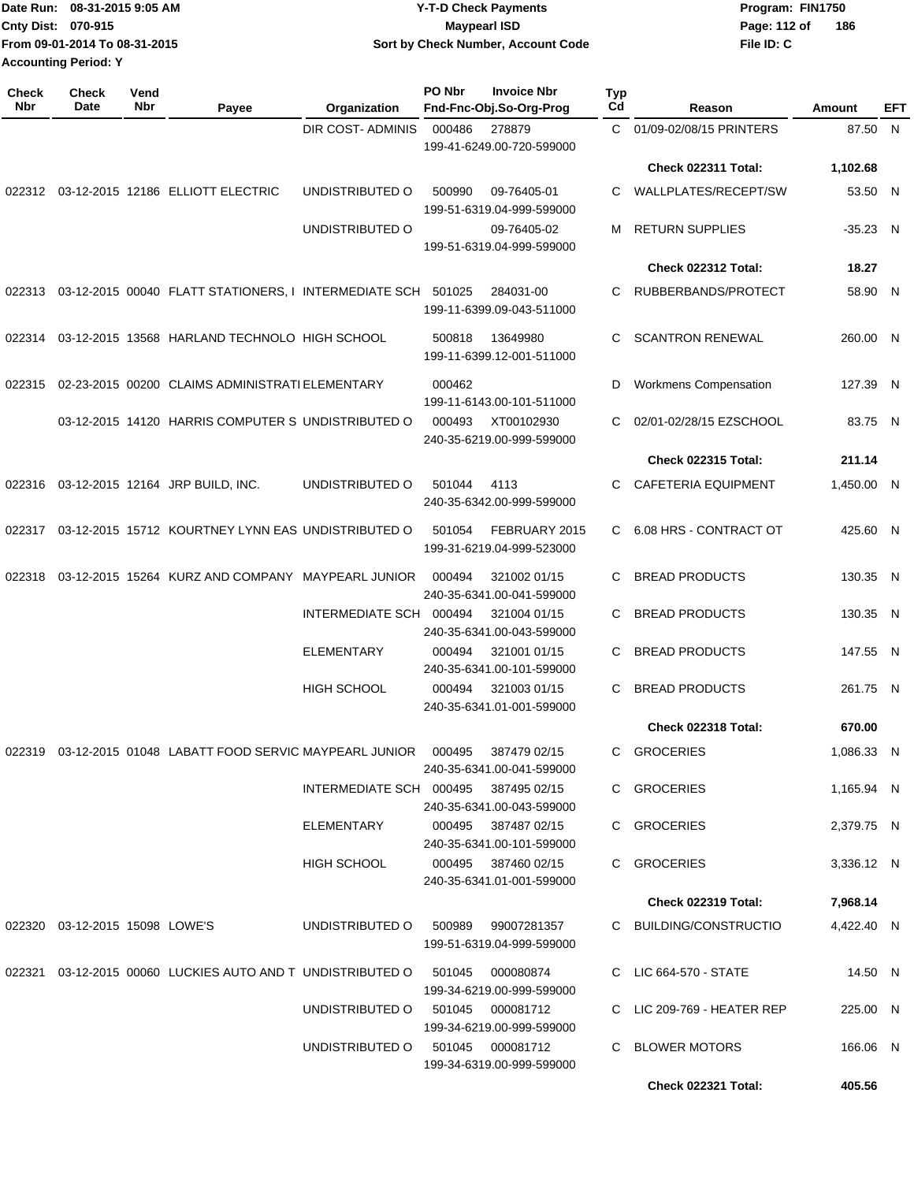|                             | TDate Run: 08-31-2015 9:05 AM | Y-T-D Check Payments               | Program: FIN1750 |     |
|-----------------------------|-------------------------------|------------------------------------|------------------|-----|
| <b>Cnty Dist: 070-915</b>   |                               | Maypearl ISD                       | Page: 112 of     | 186 |
|                             | From 09-01-2014 To 08-31-2015 | Sort by Check Number, Account Code | File ID: C       |     |
| <b>Accounting Period: Y</b> |                               |                                    |                  |     |

| <b>Check</b><br><b>Nbr</b> | <b>Check</b><br>Date           | Vend<br>Nbr | Payee                                                              | Organization            | PO Nbr | <b>Invoice Nbr</b><br>Fnd-Fnc-Obj.So-Org-Prog    | <b>Typ</b><br>$_{\rm Cd}$ | Reason                     | Amount     | EFT |
|----------------------------|--------------------------------|-------------|--------------------------------------------------------------------|-------------------------|--------|--------------------------------------------------|---------------------------|----------------------------|------------|-----|
|                            |                                |             |                                                                    | DIR COST- ADMINIS       | 000486 | 278879<br>199-41-6249.00-720-599000              |                           | C 01/09-02/08/15 PRINTERS  | 87.50 N    |     |
|                            |                                |             |                                                                    |                         |        |                                                  |                           | Check 022311 Total:        | 1,102.68   |     |
| 022312                     |                                |             | 03-12-2015 12186 ELLIOTT ELECTRIC                                  | UNDISTRIBUTED O         | 500990 | 09-76405-01<br>199-51-6319.04-999-599000         | С                         | WALLPLATES/RECEPT/SW       | 53.50 N    |     |
|                            |                                |             |                                                                    | UNDISTRIBUTED O         |        | 09-76405-02<br>199-51-6319.04-999-599000         | м                         | <b>RETURN SUPPLIES</b>     | $-35.23$ N |     |
|                            |                                |             |                                                                    |                         |        |                                                  |                           | Check 022312 Total:        | 18.27      |     |
| 022313                     |                                |             | 03-12-2015 00040 FLATT STATIONERS, I INTERMEDIATE SCH 501025       |                         |        | 284031-00<br>199-11-6399.09-043-511000           | C                         | RUBBERBANDS/PROTECT        | 58.90 N    |     |
| 022314                     |                                |             | 03-12-2015 13568 HARLAND TECHNOLO HIGH SCHOOL                      |                         | 500818 | 13649980<br>199-11-6399.12-001-511000            | C                         | <b>SCANTRON RENEWAL</b>    | 260.00 N   |     |
| 022315                     |                                |             | 02-23-2015 00200 CLAIMS ADMINISTRATI ELEMENTARY                    |                         | 000462 | 199-11-6143.00-101-511000                        | D                         | Workmens Compensation      | 127.39 N   |     |
|                            |                                |             | 03-12-2015 14120 HARRIS COMPUTER S UNDISTRIBUTED O                 |                         | 000493 | XT00102930<br>240-35-6219.00-999-599000          | С                         | 02/01-02/28/15 EZSCHOOL    | 83.75 N    |     |
|                            |                                |             |                                                                    |                         |        |                                                  |                           | <b>Check 022315 Total:</b> | 211.14     |     |
| 022316                     |                                |             | 03-12-2015 12164 JRP BUILD, INC.                                   | UNDISTRIBUTED O         | 501044 | 4113<br>240-35-6342.00-999-599000                | С                         | <b>CAFETERIA EQUIPMENT</b> | 1,450.00 N |     |
| 022317                     |                                |             | 03-12-2015 15712 KOURTNEY LYNN EAS UNDISTRIBUTED O                 |                         | 501054 | FEBRUARY 2015<br>199-31-6219.04-999-523000       | C.                        | 6.08 HRS - CONTRACT OT     | 425.60 N   |     |
| 022318                     |                                |             | 03-12-2015 15264 KURZ AND COMPANY MAYPEARL JUNIOR                  |                         | 000494 | 321002 01/15<br>240-35-6341.00-041-599000        | С                         | <b>BREAD PRODUCTS</b>      | 130.35 N   |     |
|                            |                                |             |                                                                    | INTERMEDIATE SCH 000494 |        | 321004 01/15<br>240-35-6341.00-043-599000        | С                         | <b>BREAD PRODUCTS</b>      | 130.35 N   |     |
|                            |                                |             |                                                                    | <b>ELEMENTARY</b>       | 000494 | 321001 01/15<br>240-35-6341.00-101-599000        | С                         | <b>BREAD PRODUCTS</b>      | 147.55 N   |     |
|                            |                                |             |                                                                    | <b>HIGH SCHOOL</b>      | 000494 | 321003 01/15<br>240-35-6341.01-001-599000        | С                         | <b>BREAD PRODUCTS</b>      | 261.75 N   |     |
|                            |                                |             |                                                                    |                         |        |                                                  |                           | Check 022318 Total:        | 670.00     |     |
| 022319                     |                                |             | 03-12-2015 01048 LABATT FOOD SERVIC MAYPEARL JUNIOR                |                         | 000495 | 387479 02/15<br>240-35-6341.00-041-599000        | C                         | <b>GROCERIES</b>           | 1,086.33 N |     |
|                            |                                |             |                                                                    | INTERMEDIATE SCH 000495 |        | 387495 02/15<br>240-35-6341.00-043-599000        |                           | C GROCERIES                | 1,165.94 N |     |
|                            |                                |             |                                                                    | ELEMENTARY              |        | 000495 387487 02/15<br>240-35-6341.00-101-599000 |                           | C GROCERIES                | 2,379.75 N |     |
|                            |                                |             |                                                                    | <b>HIGH SCHOOL</b>      |        | 000495 387460 02/15<br>240-35-6341.01-001-599000 |                           | C GROCERIES                | 3,336.12 N |     |
|                            |                                |             |                                                                    |                         |        |                                                  |                           | <b>Check 022319 Total:</b> | 7,968.14   |     |
|                            | 022320 03-12-2015 15098 LOWE'S |             |                                                                    | UNDISTRIBUTED O         | 500989 | 99007281357<br>199-51-6319.04-999-599000         |                           | C BUILDING/CONSTRUCTIO     | 4,422.40 N |     |
|                            |                                |             | 022321  03-12-2015  00060  LUCKIES  AUTO  AND T  UNDISTRIBUTED   O |                         | 501045 | 000080874<br>199-34-6219.00-999-599000           |                           | C LIC 664-570 - STATE      | 14.50 N    |     |
|                            |                                |             |                                                                    | UNDISTRIBUTED O         |        | 501045 000081712<br>199-34-6219.00-999-599000    |                           | C LIC 209-769 - HEATER REP | 225.00 N   |     |
|                            |                                |             |                                                                    | UNDISTRIBUTED O         |        | 501045 000081712<br>199-34-6319.00-999-599000    |                           | C BLOWER MOTORS            | 166.06 N   |     |
|                            |                                |             |                                                                    |                         |        |                                                  |                           | <b>Check 022321 Total:</b> | 405.56     |     |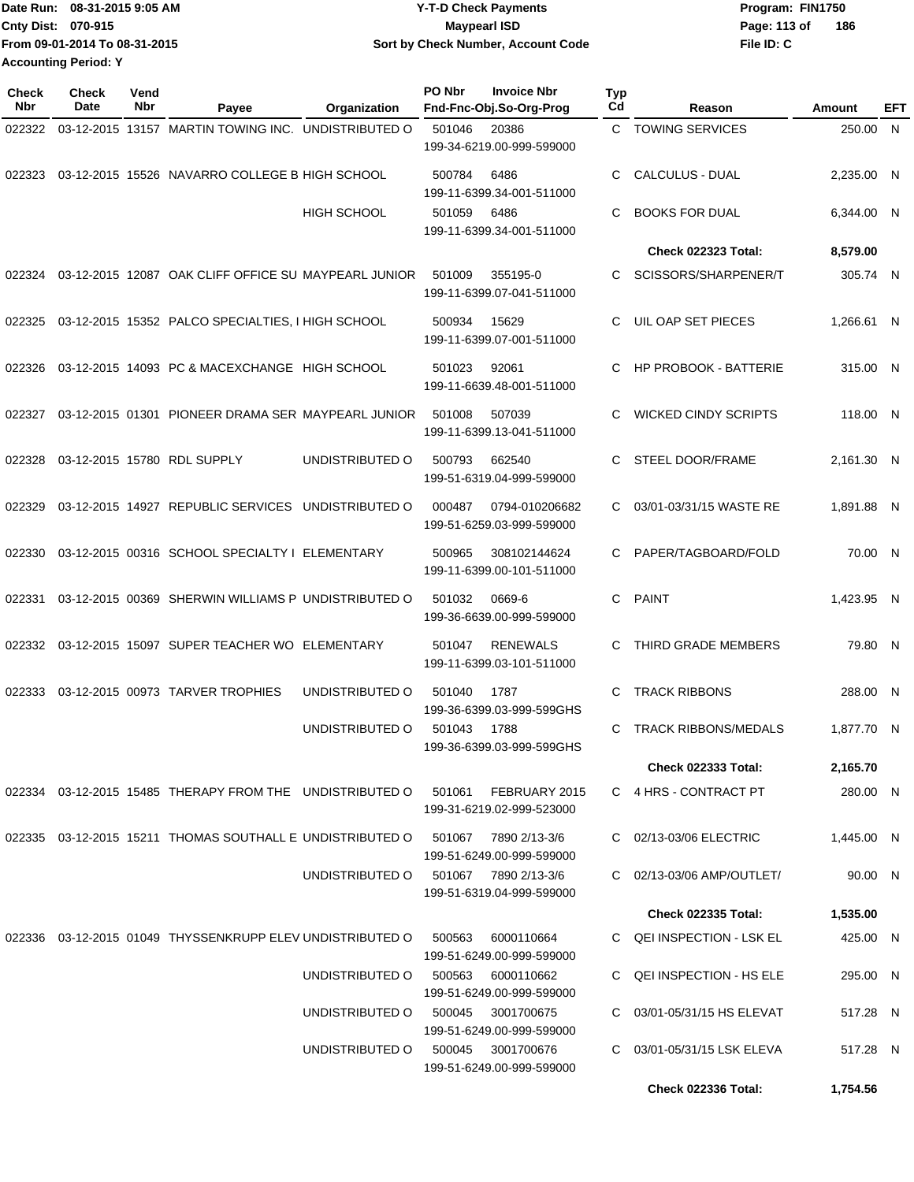Date Run: 08-31-2015 9:05 AM **CONTEX 18 AM CONTEX 15 AM CONTEX 15 AM CONTEX 15 AM CONTEX PROGRAM: FIN1750 Cnty Dist:** 070-915 **Page: 113 of** Maypearl ISD **CONTEX IS A RESERVE ASSESS** Page: 113 of **File ID: C From 09-01-2014 To 08-31-2015 08-31-2015 9:05 AM Y-T-D Check Payments 070-915 Maypearl ISD Sort by Check Number, Account Code 186 Accounting Period: Y**

| <b>Check</b><br><b>Nbr</b> | <b>Check</b><br>Date | Vend<br>Nbr | Payee                                                     | Organization       | PO Nbr | <b>Invoice Nbr</b><br>Fnd-Fnc-Obj.So-Org-Prog     | <b>Typ</b><br>Cd | Reason                       | Amount     | EFT |
|----------------------------|----------------------|-------------|-----------------------------------------------------------|--------------------|--------|---------------------------------------------------|------------------|------------------------------|------------|-----|
| 022322                     |                      |             | 03-12-2015 13157 MARTIN TOWING INC. UNDISTRIBUTED O       |                    | 501046 | 20386<br>199-34-6219.00-999-599000                |                  | C TOWING SERVICES            | 250.00 N   |     |
| 022323                     |                      |             | 03-12-2015 15526 NAVARRO COLLEGE B HIGH SCHOOL            |                    | 500784 | 6486<br>199-11-6399.34-001-511000                 | C                | CALCULUS - DUAL              | 2,235.00 N |     |
|                            |                      |             |                                                           | <b>HIGH SCHOOL</b> | 501059 | 6486<br>199-11-6399.34-001-511000                 | C.               | <b>BOOKS FOR DUAL</b>        | 6,344.00 N |     |
|                            |                      |             |                                                           |                    |        |                                                   |                  | <b>Check 022323 Total:</b>   | 8,579.00   |     |
| 022324                     |                      |             | 03-12-2015 12087 OAK CLIFF OFFICE SU MAYPEARL JUNIOR      |                    | 501009 | 355195-0<br>199-11-6399.07-041-511000             | C.               | SCISSORS/SHARPENER/T         | 305.74 N   |     |
| 022325                     |                      |             | 03-12-2015 15352 PALCO SPECIALTIES, I HIGH SCHOOL         |                    | 500934 | 15629<br>199-11-6399.07-001-511000                | C.               | UIL OAP SET PIECES           | 1,266.61 N |     |
| 022326                     |                      |             | 03-12-2015 14093 PC & MACEXCHANGE HIGH SCHOOL             |                    | 501023 | 92061<br>199-11-6639.48-001-511000                | C.               | <b>HP PROBOOK - BATTERIE</b> | 315.00 N   |     |
| 022327                     |                      |             | 03-12-2015 01301 PIONEER DRAMA SER MAYPEARL JUNIOR        |                    | 501008 | 507039<br>199-11-6399.13-041-511000               | C                | <b>WICKED CINDY SCRIPTS</b>  | 118.00 N   |     |
| 022328                     |                      |             | 03-12-2015 15780 RDL SUPPLY                               | UNDISTRIBUTED O    | 500793 | 662540<br>199-51-6319.04-999-599000               | C                | STEEL DOOR/FRAME             | 2,161.30 N |     |
| 022329                     |                      |             | 03-12-2015 14927 REPUBLIC SERVICES UNDISTRIBUTED O        |                    | 000487 | 0794-010206682<br>199-51-6259.03-999-599000       | C.               | 03/01-03/31/15 WASTE RE      | 1,891.88 N |     |
| 022330                     |                      |             | 03-12-2015 00316 SCHOOL SPECIALTY I ELEMENTARY            |                    | 500965 | 308102144624<br>199-11-6399.00-101-511000         | C.               | PAPER/TAGBOARD/FOLD          | 70.00 N    |     |
| 022331                     |                      |             | 03-12-2015 00369 SHERWIN WILLIAMS P UNDISTRIBUTED O       |                    | 501032 | 0669-6<br>199-36-6639.00-999-599000               | C                | <b>PAINT</b>                 | 1,423.95 N |     |
| 022332                     |                      |             | 03-12-2015 15097 SUPER TEACHER WO ELEMENTARY              |                    | 501047 | <b>RENEWALS</b><br>199-11-6399.03-101-511000      | C                | THIRD GRADE MEMBERS          | 79.80 N    |     |
| 022333                     |                      |             | 03-12-2015 00973 TARVER TROPHIES                          | UNDISTRIBUTED O    | 501040 | 1787<br>199-36-6399.03-999-599GHS                 | C                | <b>TRACK RIBBONS</b>         | 288.00 N   |     |
|                            |                      |             |                                                           | UNDISTRIBUTED O    | 501043 | 1788<br>199-36-6399.03-999-599GHS                 | C.               | <b>TRACK RIBBONS/MEDALS</b>  | 1,877.70 N |     |
|                            |                      |             |                                                           |                    |        |                                                   |                  | <b>Check 022333 Total:</b>   | 2,165.70   |     |
|                            |                      |             | 022334 03-12-2015 15485 THERAPY FROM THE UNDISTRIBUTED O  |                    | 501061 | FEBRUARY 2015<br>199-31-6219.02-999-523000        |                  | C 4 HRS - CONTRACT PT        | 280.00 N   |     |
|                            |                      |             | 022335 03-12-2015 15211 THOMAS SOUTHALL E UNDISTRIBUTED O |                    | 501067 | 7890 2/13-3/6<br>199-51-6249.00-999-599000        |                  | C 02/13-03/06 ELECTRIC       | 1,445.00 N |     |
|                            |                      |             |                                                           | UNDISTRIBUTED O    |        | 501067 7890 2/13-3/6<br>199-51-6319.04-999-599000 |                  | C 02/13-03/06 AMP/OUTLET/    | 90.00 N    |     |
|                            |                      |             |                                                           |                    |        |                                                   |                  | <b>Check 022335 Total:</b>   | 1,535.00   |     |
|                            |                      |             | 022336 03-12-2015 01049 THYSSENKRUPP ELEV UNDISTRIBUTED O |                    | 500563 | 6000110664<br>199-51-6249.00-999-599000           |                  | C QEI INSPECTION - LSK EL    | 425.00 N   |     |
|                            |                      |             |                                                           | UNDISTRIBUTED O    | 500563 | 6000110662<br>199-51-6249.00-999-599000           |                  | C QEI INSPECTION - HS ELE    | 295.00 N   |     |
|                            |                      |             |                                                           | UNDISTRIBUTED O    | 500045 | 3001700675<br>199-51-6249.00-999-599000           |                  | C 03/01-05/31/15 HS ELEVAT   | 517.28 N   |     |
|                            |                      |             |                                                           | UNDISTRIBUTED O    | 500045 | 3001700676<br>199-51-6249.00-999-599000           | C                | 03/01-05/31/15 LSK ELEVA     | 517.28 N   |     |
|                            |                      |             |                                                           |                    |        |                                                   |                  | <b>Check 022336 Total:</b>   | 1,754.56   |     |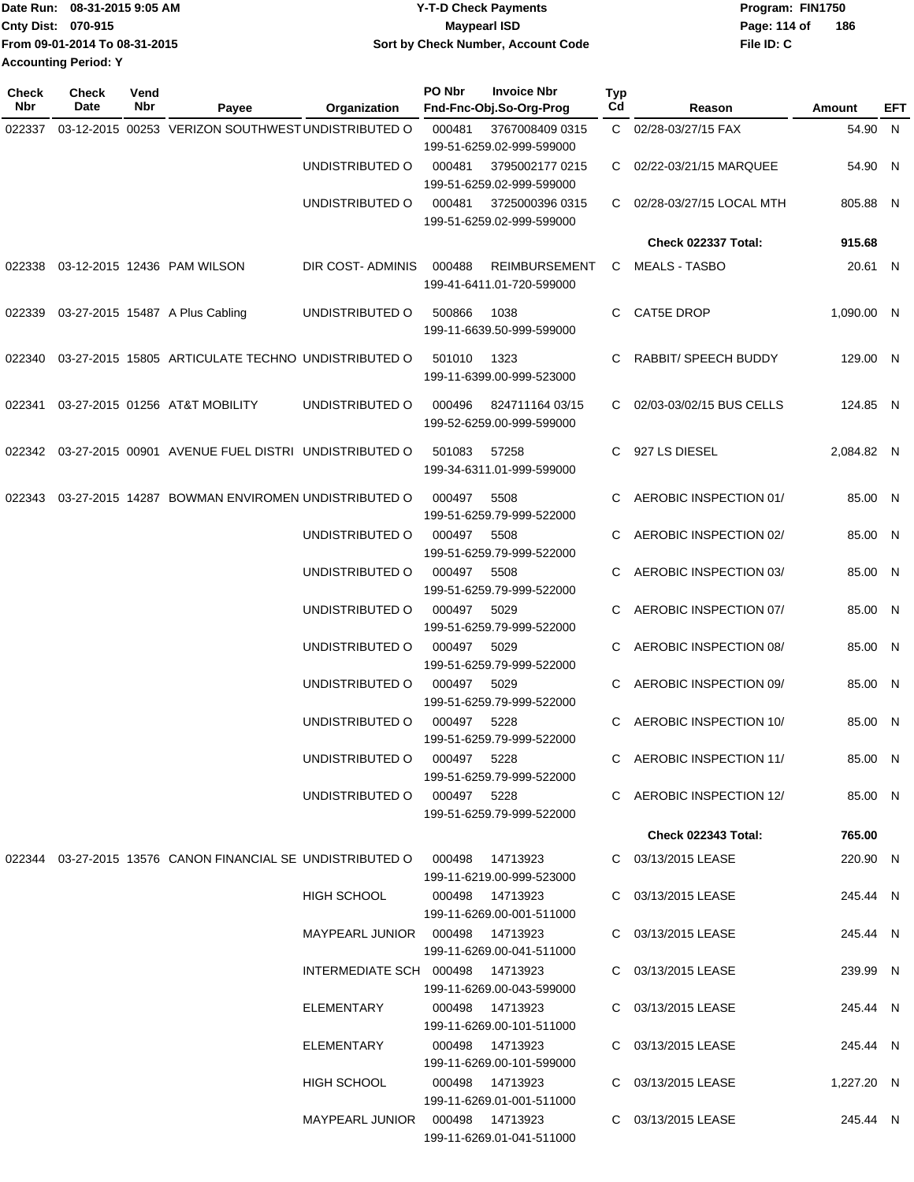| Date Run: 08-31-2015 9:05 AM  | <b>Y-T-D Check Payments</b>        | Program: FIN1750    |
|-------------------------------|------------------------------------|---------------------|
| <b>Cnty Dist: 070-915</b>     | Maypearl ISD                       | Page: 114 of<br>186 |
| From 09-01-2014 To 08-31-2015 | Sort by Check Number, Account Code | File ID: C          |
| <b>Accounting Period: Y</b>   |                                    |                     |

| Check<br><b>Nbr</b> | <b>Check</b><br>Date | Vend<br>Nbr | Payee                                                             | Organization                      | PO Nbr      | <b>Invoice Nbr</b><br>Fnd-Fnc-Obj.So-Org-Prog     | Typ<br>Cd | Reason                     | Amount     | EFT |
|---------------------|----------------------|-------------|-------------------------------------------------------------------|-----------------------------------|-------------|---------------------------------------------------|-----------|----------------------------|------------|-----|
| 022337              |                      |             | 03-12-2015 00253 VERIZON SOUTHWEST UNDISTRIBUTED O                |                                   | 000481      | 3767008409 0315                                   |           | C 02/28-03/27/15 FAX       | 54.90 N    |     |
|                     |                      |             |                                                                   |                                   |             | 199-51-6259.02-999-599000                         |           |                            |            |     |
|                     |                      |             |                                                                   | UNDISTRIBUTED O                   | 000481      | 3795002177 0215<br>199-51-6259.02-999-599000      |           | C 02/22-03/21/15 MARQUEE   | 54.90 N    |     |
|                     |                      |             |                                                                   | UNDISTRIBUTED O                   | 000481      | 3725000396 0315<br>199-51-6259.02-999-599000      |           | C 02/28-03/27/15 LOCAL MTH | 805.88 N   |     |
|                     |                      |             |                                                                   |                                   |             |                                                   |           | Check 022337 Total:        | 915.68     |     |
|                     |                      |             | 022338 03-12-2015 12436 PAM WILSON                                | DIR COST-ADMINIS                  | 000488      | <b>REIMBURSEMENT</b><br>199-41-6411.01-720-599000 |           | C MEALS - TASBO            | 20.61 N    |     |
| 022339              |                      |             | 03-27-2015 15487 A Plus Cabling                                   | UNDISTRIBUTED O                   | 500866      | 1038<br>199-11-6639.50-999-599000                 | C.        | CAT5E DROP                 | 1,090.00 N |     |
|                     |                      |             | 022340 03-27-2015 15805 ARTICULATE TECHNO UNDISTRIBUTED O         |                                   | 501010      | 1323<br>199-11-6399.00-999-523000                 |           | RABBIT/ SPEECH BUDDY       | 129.00 N   |     |
| 022341              |                      |             | 03-27-2015 01256 AT&T MOBILITY                                    | UNDISTRIBUTED O                   | 000496      | 824711164 03/15<br>199-52-6259.00-999-599000      |           | C 02/03-03/02/15 BUS CELLS | 124.85 N   |     |
|                     |                      |             | 022342 03-27-2015 00901 AVENUE FUEL DISTRI UNDISTRIBUTED O        |                                   | 501083      | 57258<br>199-34-6311.01-999-599000                |           | C 927 LS DIESEL            | 2,084.82 N |     |
|                     |                      |             | 022343 03-27-2015 14287 BOWMAN ENVIROMEN UNDISTRIBUTED O          |                                   | 000497      | 5508<br>199-51-6259.79-999-522000                 |           | AEROBIC INSPECTION 01/     | 85.00 N    |     |
|                     |                      |             |                                                                   | UNDISTRIBUTED O                   | 000497      | 5508<br>199-51-6259.79-999-522000                 |           | C AEROBIC INSPECTION 02/   | 85.00 N    |     |
|                     |                      |             |                                                                   | UNDISTRIBUTED O                   | 000497 5508 | 199-51-6259.79-999-522000                         |           | C AEROBIC INSPECTION 03/   | 85.00 N    |     |
|                     |                      |             |                                                                   | UNDISTRIBUTED O                   | 000497 5029 | 199-51-6259.79-999-522000                         |           | AEROBIC INSPECTION 07/     | 85.00 N    |     |
|                     |                      |             |                                                                   | UNDISTRIBUTED O                   | 000497      | 5029<br>199-51-6259.79-999-522000                 |           | C AEROBIC INSPECTION 08/   | 85.00 N    |     |
|                     |                      |             |                                                                   | UNDISTRIBUTED O                   | 000497      | 5029<br>199-51-6259.79-999-522000                 |           | C AEROBIC INSPECTION 09/   | 85.00 N    |     |
|                     |                      |             |                                                                   | UNDISTRIBUTED O                   | 000497 5228 | 199-51-6259.79-999-522000                         |           | AEROBIC INSPECTION 10/     | 85.00 N    |     |
|                     |                      |             |                                                                   | UNDISTRIBUTED O 000497 5228       |             | 199-51-6259.79-999-522000                         |           | C AEROBIC INSPECTION 11/   | 85.00 N    |     |
|                     |                      |             |                                                                   | UNDISTRIBUTED O 000497 5228       |             | 199-51-6259.79-999-522000                         |           | C AEROBIC INSPECTION 12/   | 85.00 N    |     |
|                     |                      |             |                                                                   |                                   |             |                                                   |           | <b>Check 022343 Total:</b> | 765.00     |     |
|                     |                      |             | 022344 03-27-2015 13576 CANON FINANCIAL SE UNDISTRIBUTED O 000498 |                                   |             | 14713923<br>199-11-6219.00-999-523000             |           | C 03/13/2015 LEASE         | 220.90 N   |     |
|                     |                      |             |                                                                   | HIGH SCHOOL                       |             | 000498 14713923<br>199-11-6269.00-001-511000      |           | C 03/13/2015 LEASE         | 245.44 N   |     |
|                     |                      |             |                                                                   | MAYPEARL JUNIOR  000498  14713923 |             | 199-11-6269.00-041-511000                         |           | C 03/13/2015 LEASE         | 245.44 N   |     |
|                     |                      |             |                                                                   | INTERMEDIATE SCH 000498 14713923  |             | 199-11-6269.00-043-599000                         |           | C 03/13/2015 LEASE         | 239.99 N   |     |
|                     |                      |             |                                                                   | ELEMENTARY                        |             | 000498 14713923<br>199-11-6269.00-101-511000      |           | C 03/13/2015 LEASE         | 245.44 N   |     |
|                     |                      |             |                                                                   | ELEMENTARY                        |             | 199-11-6269.00-101-599000                         |           | C 03/13/2015 LEASE         | 245.44 N   |     |
|                     |                      |             |                                                                   | HIGH SCHOOL                       |             | 000498  14713923<br>199-11-6269.01-001-511000     |           | C 03/13/2015 LEASE         | 1,227.20 N |     |
|                     |                      |             |                                                                   | MAYPEARL JUNIOR  000498  14713923 |             | 199-11-6269.01-041-511000                         |           | C 03/13/2015 LEASE         | 245.44 N   |     |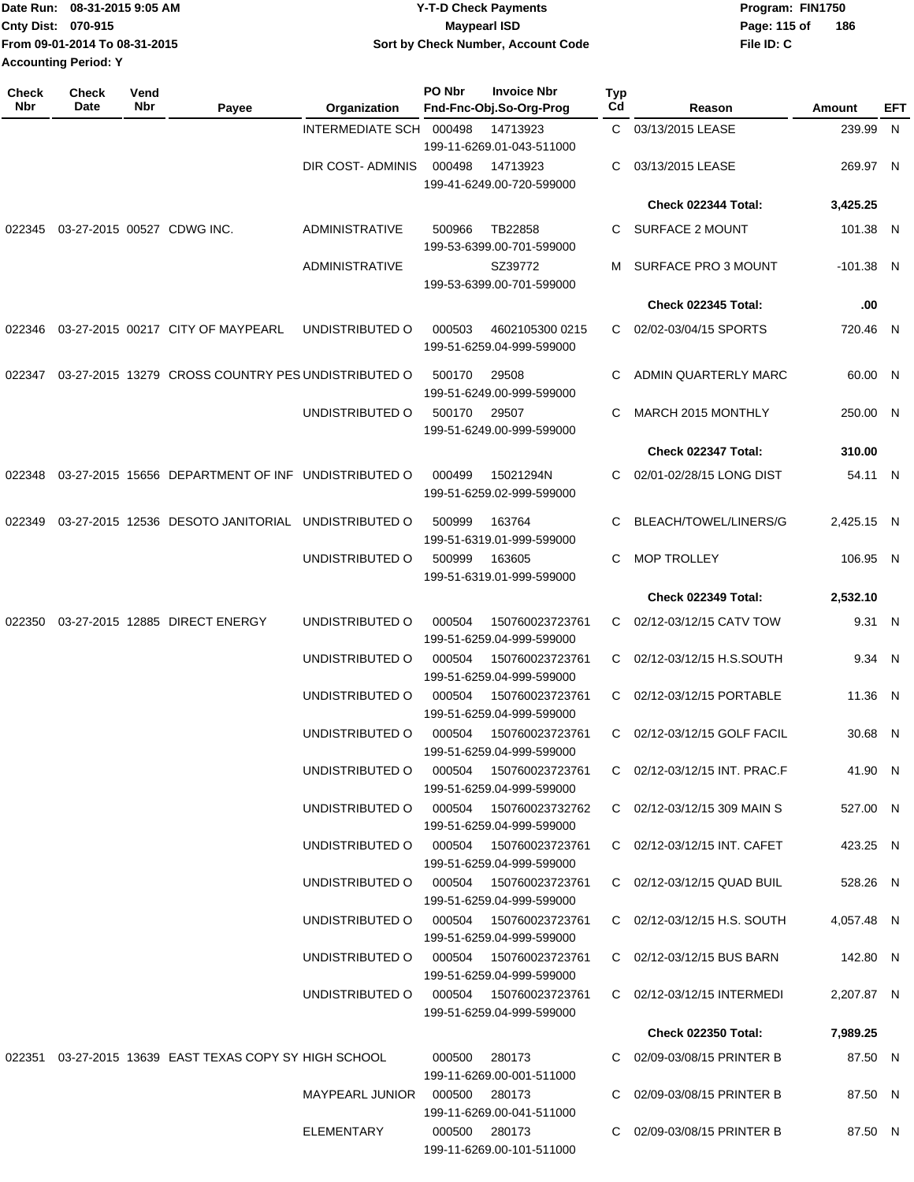|                             | Date Run: 08-31-2015 9:05 AM  | <b>Y-T-D Check Payments</b>        | Program: FIN1750 |     |  |  |
|-----------------------------|-------------------------------|------------------------------------|------------------|-----|--|--|
| <b>Cnty Dist: 070-915</b>   |                               | <b>Mavpearl ISD</b>                | Page: 115 of     | 186 |  |  |
|                             | From 09-01-2014 To 08-31-2015 | Sort by Check Number, Account Code | File ID: C       |     |  |  |
| <b>Accounting Period: Y</b> |                               |                                    |                  |     |  |  |

| <b>Check</b><br>Nbr | <b>Check</b><br>Date       | Vend<br>Nbr | Payee                                                  | Organization                           | PO Nbr | <b>Invoice Nbr</b><br>Fnd-Fnc-Obj.So-Org-Prog | Typ<br>Cd | Reason                       | Amount      | EFT |
|---------------------|----------------------------|-------------|--------------------------------------------------------|----------------------------------------|--------|-----------------------------------------------|-----------|------------------------------|-------------|-----|
|                     |                            |             |                                                        | INTERMEDIATE SCH 000498                |        | 14713923                                      |           | C 03/13/2015 LEASE           | 239.99 N    |     |
|                     |                            |             |                                                        |                                        |        | 199-11-6269.01-043-511000                     |           |                              |             |     |
|                     |                            |             |                                                        | DIR COST-ADMINIS                       | 000498 | 14713923<br>199-41-6249.00-720-599000         | C         | 03/13/2015 LEASE             | 269.97 N    |     |
|                     |                            |             |                                                        |                                        |        |                                               |           | Check 022344 Total:          | 3,425.25    |     |
| 022345              | 03-27-2015 00527 CDWG INC. |             |                                                        | <b>ADMINISTRATIVE</b>                  | 500966 | TB22858<br>199-53-6399.00-701-599000          | C         | SURFACE 2 MOUNT              | 101.38 N    |     |
|                     |                            |             |                                                        | <b>ADMINISTRATIVE</b>                  |        | SZ39772<br>199-53-6399.00-701-599000          | м         | SURFACE PRO 3 MOUNT          | $-101.38$ N |     |
|                     |                            |             |                                                        |                                        |        |                                               |           | <b>Check 022345 Total:</b>   | .00         |     |
| 022346              |                            |             | 03-27-2015 00217 CITY OF MAYPEARL                      | UNDISTRIBUTED O                        | 000503 | 4602105300 0215<br>199-51-6259.04-999-599000  | C.        | 02/02-03/04/15 SPORTS        | 720.46 N    |     |
| 022347              |                            |             | 03-27-2015 13279 CROSS COUNTRY PES UNDISTRIBUTED O     |                                        | 500170 | 29508<br>199-51-6249.00-999-599000            | C         | ADMIN QUARTERLY MARC         | 60.00 N     |     |
|                     |                            |             |                                                        | UNDISTRIBUTED O                        | 500170 | 29507<br>199-51-6249.00-999-599000            | C         | MARCH 2015 MONTHLY           | 250.00 N    |     |
|                     |                            |             |                                                        |                                        |        |                                               |           | Check 022347 Total:          | 310.00      |     |
| 022348              |                            |             | 03-27-2015 15656 DEPARTMENT OF INF UNDISTRIBUTED O     |                                        | 000499 | 15021294N<br>199-51-6259.02-999-599000        | C         | 02/01-02/28/15 LONG DIST     | 54.11 N     |     |
| 022349              |                            |             | 03-27-2015 12536 DESOTO JANITORIAL UNDISTRIBUTED O     |                                        | 500999 | 163764<br>199-51-6319.01-999-599000           | C         | BLEACH/TOWEL/LINERS/G        | 2,425.15 N  |     |
|                     |                            |             |                                                        | UNDISTRIBUTED O                        | 500999 | 163605<br>199-51-6319.01-999-599000           | C         | <b>MOP TROLLEY</b>           | 106.95 N    |     |
|                     |                            |             |                                                        |                                        |        |                                               |           | Check 022349 Total:          | 2,532.10    |     |
| 022350              |                            |             | 03-27-2015 12885 DIRECT ENERGY                         | UNDISTRIBUTED O                        | 000504 | 150760023723761<br>199-51-6259.04-999-599000  | C         | 02/12-03/12/15 CATV TOW      | 9.31 N      |     |
|                     |                            |             |                                                        | UNDISTRIBUTED O                        | 000504 | 150760023723761<br>199-51-6259.04-999-599000  | C.        | 02/12-03/12/15 H.S.SOUTH     | 9.34 N      |     |
|                     |                            |             |                                                        | UNDISTRIBUTED O                        | 000504 | 150760023723761<br>199-51-6259.04-999-599000  |           | C 02/12-03/12/15 PORTABLE    | 11.36 N     |     |
|                     |                            |             |                                                        | UNDISTRIBUTED O                        | 000504 | 150760023723761<br>199-51-6259.04-999-599000  |           | C 02/12-03/12/15 GOLF FACIL  | 30.68 N     |     |
|                     |                            |             |                                                        | UNDISTRIBUTED O                        |        | 199-51-6259.04-999-599000                     |           | C 02/12-03/12/15 INT. PRAC.F | 41.90 N     |     |
|                     |                            |             |                                                        | UNDISTRIBUTED O 000504 150760023732762 |        | 199-51-6259.04-999-599000                     |           | C 02/12-03/12/15 309 MAIN S  | 527.00 N    |     |
|                     |                            |             |                                                        |                                        |        | 199-51-6259.04-999-599000                     |           | C 02/12-03/12/15 INT. CAFET  | 423.25 N    |     |
|                     |                            |             |                                                        | UNDISTRIBUTED O 000504 150760023723761 |        | 199-51-6259.04-999-599000                     |           | C 02/12-03/12/15 QUAD BUIL   | 528.26 N    |     |
|                     |                            |             |                                                        | UNDISTRIBUTED O 000504 150760023723761 |        | 199-51-6259.04-999-599000                     |           | C 02/12-03/12/15 H.S. SOUTH  | 4,057.48 N  |     |
|                     |                            |             |                                                        | UNDISTRIBUTED O 000504 150760023723761 |        | 199-51-6259.04-999-599000                     |           | C 02/12-03/12/15 BUS BARN    | 142.80 N    |     |
|                     |                            |             |                                                        | UNDISTRIBUTED O 000504 150760023723761 |        | 199-51-6259.04-999-599000                     |           | C 02/12-03/12/15 INTERMEDI   | 2,207.87 N  |     |
|                     |                            |             |                                                        |                                        |        |                                               |           | <b>Check 022350 Total:</b>   | 7,989.25    |     |
|                     |                            |             | 022351 03-27-2015 13639 EAST TEXAS COPY SY HIGH SCHOOL |                                        | 000500 | 280173<br>199-11-6269.00-001-511000           |           | C 02/09-03/08/15 PRINTER B   | 87.50 N     |     |
|                     |                            |             |                                                        | MAYPEARL JUNIOR  000500  280173        |        | 199-11-6269.00-041-511000                     |           | C 02/09-03/08/15 PRINTER B   | 87.50 N     |     |
|                     |                            |             |                                                        | ELEMENTARY                             |        | 000500 280173<br>199-11-6269.00-101-511000    |           | C 02/09-03/08/15 PRINTER B   | 87.50 N     |     |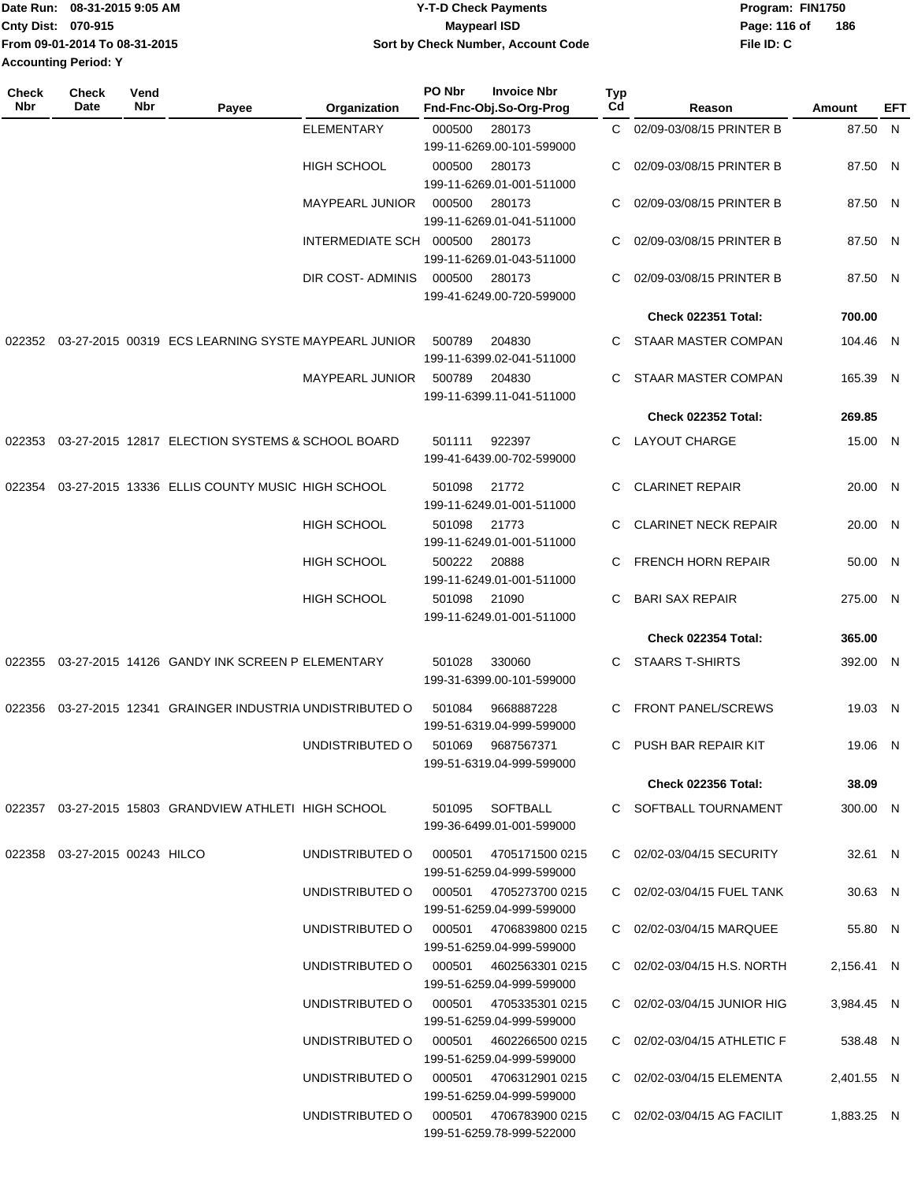|                             | IDate Run: 08-31-2015 9:05 AM | <b>Y-T-D Check Payments</b>        | Program: FIN1750    |
|-----------------------------|-------------------------------|------------------------------------|---------------------|
| <b>Cnty Dist: 070-915</b>   |                               | <b>Mavpearl ISD</b>                | 186<br>Page: 116 of |
|                             | From 09-01-2014 To 08-31-2015 | Sort by Check Number, Account Code | File ID: C          |
| <b>Accounting Period: Y</b> |                               |                                    |                     |

| Check<br>Nbr | <b>Check</b><br>Date          | Vend<br>Nbr | Payee                                                 | Organization                           | PO Nbr | <b>Invoice Nbr</b><br>Fnd-Fnc-Obj.So-Org-Prog       | <b>Typ</b><br>Cd | Reason                      | Amount     | EFT |
|--------------|-------------------------------|-------------|-------------------------------------------------------|----------------------------------------|--------|-----------------------------------------------------|------------------|-----------------------------|------------|-----|
|              |                               |             |                                                       | <b>ELEMENTARY</b>                      | 000500 | 280173<br>199-11-6269.00-101-599000                 | C.               | 02/09-03/08/15 PRINTER B    | 87.50 N    |     |
|              |                               |             |                                                       | HIGH SCHOOL                            | 000500 | 280173<br>199-11-6269.01-001-511000                 | C                | 02/09-03/08/15 PRINTER B    | 87.50 N    |     |
|              |                               |             |                                                       | <b>MAYPEARL JUNIOR</b>                 | 000500 | 280173<br>199-11-6269.01-041-511000                 | C                | 02/09-03/08/15 PRINTER B    | 87.50 N    |     |
|              |                               |             |                                                       | INTERMEDIATE SCH 000500                |        | 280173<br>199-11-6269.01-043-511000                 | C                | 02/09-03/08/15 PRINTER B    | 87.50 N    |     |
|              |                               |             |                                                       | DIR COST-ADMINIS                       | 000500 | 280173<br>199-41-6249.00-720-599000                 | C                | 02/09-03/08/15 PRINTER B    | 87.50 N    |     |
|              |                               |             |                                                       |                                        |        |                                                     |                  | <b>Check 022351 Total:</b>  | 700.00     |     |
| 022352       |                               |             | 03-27-2015 00319 ECS LEARNING SYSTE MAYPEARL JUNIOR   |                                        | 500789 | 204830<br>199-11-6399.02-041-511000                 | C                | STAAR MASTER COMPAN         | 104.46 N   |     |
|              |                               |             |                                                       | <b>MAYPEARL JUNIOR</b>                 | 500789 | 204830<br>199-11-6399.11-041-511000                 | C.               | STAAR MASTER COMPAN         | 165.39 N   |     |
|              |                               |             |                                                       |                                        |        |                                                     |                  | Check 022352 Total:         | 269.85     |     |
| 022353       |                               |             | 03-27-2015 12817 ELECTION SYSTEMS & SCHOOL BOARD      |                                        | 501111 | 922397                                              | C.               | LAYOUT CHARGE               | 15.00 N    |     |
|              |                               |             |                                                       |                                        |        | 199-41-6439.00-702-599000                           |                  |                             |            |     |
| 022354       |                               |             | 03-27-2015 13336 ELLIS COUNTY MUSIC HIGH SCHOOL       |                                        | 501098 | 21772<br>199-11-6249.01-001-511000                  | C                | <b>CLARINET REPAIR</b>      | 20.00 N    |     |
|              |                               |             |                                                       | <b>HIGH SCHOOL</b>                     | 501098 | 21773<br>199-11-6249.01-001-511000                  |                  | <b>CLARINET NECK REPAIR</b> | 20.00 N    |     |
|              |                               |             |                                                       | <b>HIGH SCHOOL</b>                     | 500222 | 20888<br>199-11-6249.01-001-511000                  | C                | <b>FRENCH HORN REPAIR</b>   | 50.00 N    |     |
|              |                               |             |                                                       | <b>HIGH SCHOOL</b>                     | 501098 | 21090<br>199-11-6249.01-001-511000                  | C.               | <b>BARI SAX REPAIR</b>      | 275.00 N   |     |
|              |                               |             |                                                       |                                        |        |                                                     |                  | Check 022354 Total:         | 365.00     |     |
| 022355       |                               |             | 03-27-2015 14126 GANDY INK SCREEN P ELEMENTARY        |                                        | 501028 | 330060<br>199-31-6399.00-101-599000                 | C                | <b>STAARS T-SHIRTS</b>      | 392.00 N   |     |
| 022356       |                               |             | 03-27-2015 12341 GRAINGER INDUSTRIA UNDISTRIBUTED O   |                                        | 501084 | 9668887228<br>199-51-6319.04-999-599000             | C                | <b>FRONT PANEL/SCREWS</b>   | 19.03 N    |     |
|              |                               |             |                                                       | UNDISTRIBUTED O                        | 501069 | 9687567371<br>199-51-6319.04-999-599000             | C.               | PUSH BAR REPAIR KIT         | 19.06 N    |     |
|              |                               |             |                                                       |                                        |        |                                                     |                  | <b>Check 022356 Total:</b>  | 38.09      |     |
|              |                               |             | 022357 03-27-2015 15803 GRANDVIEW ATHLETI HIGH SCHOOL |                                        |        | 501095 SOFTBALL<br>199-36-6499.01-001-599000        |                  | C SOFTBALL TOURNAMENT       | 300.00 N   |     |
|              | 022358 03-27-2015 00243 HILCO |             |                                                       | UNDISTRIBUTED O                        | 000501 | 4705171500 0215<br>199-51-6259.04-999-599000        |                  | C 02/02-03/04/15 SECURITY   | 32.61 N    |     |
|              |                               |             |                                                       | UNDISTRIBUTED O 000501 4705273700 0215 |        | 199-51-6259.04-999-599000                           |                  | C 02/02-03/04/15 FUEL TANK  | 30.63 N    |     |
|              |                               |             |                                                       | UNDISTRIBUTED O 000501 4706839800 0215 |        | 199-51-6259.04-999-599000                           |                  | C 02/02-03/04/15 MARQUEE    | 55.80 N    |     |
|              |                               |             |                                                       | UNDISTRIBUTED O 000501 4602563301 0215 |        | 199-51-6259.04-999-599000                           |                  | C 02/02-03/04/15 H.S. NORTH | 2,156.41 N |     |
|              |                               |             |                                                       | UNDISTRIBUTED O 000501 4705335301 0215 |        | 199-51-6259.04-999-599000                           |                  | C 02/02-03/04/15 JUNIOR HIG | 3,984.45 N |     |
|              |                               |             |                                                       | UNDISTRIBUTED O 000501 4602266500 0215 |        | 199-51-6259.04-999-599000                           |                  | C 02/02-03/04/15 ATHLETIC F | 538.48 N   |     |
|              |                               |             |                                                       | UNDISTRIBUTED O                        |        | 000501 4706312901 0215<br>199-51-6259.04-999-599000 |                  | C 02/02-03/04/15 ELEMENTA   | 2,401.55 N |     |
|              |                               |             |                                                       | UNDISTRIBUTED O                        |        | 000501 4706783900 0215<br>199-51-6259.78-999-522000 |                  | C 02/02-03/04/15 AG FACILIT | 1,883.25 N |     |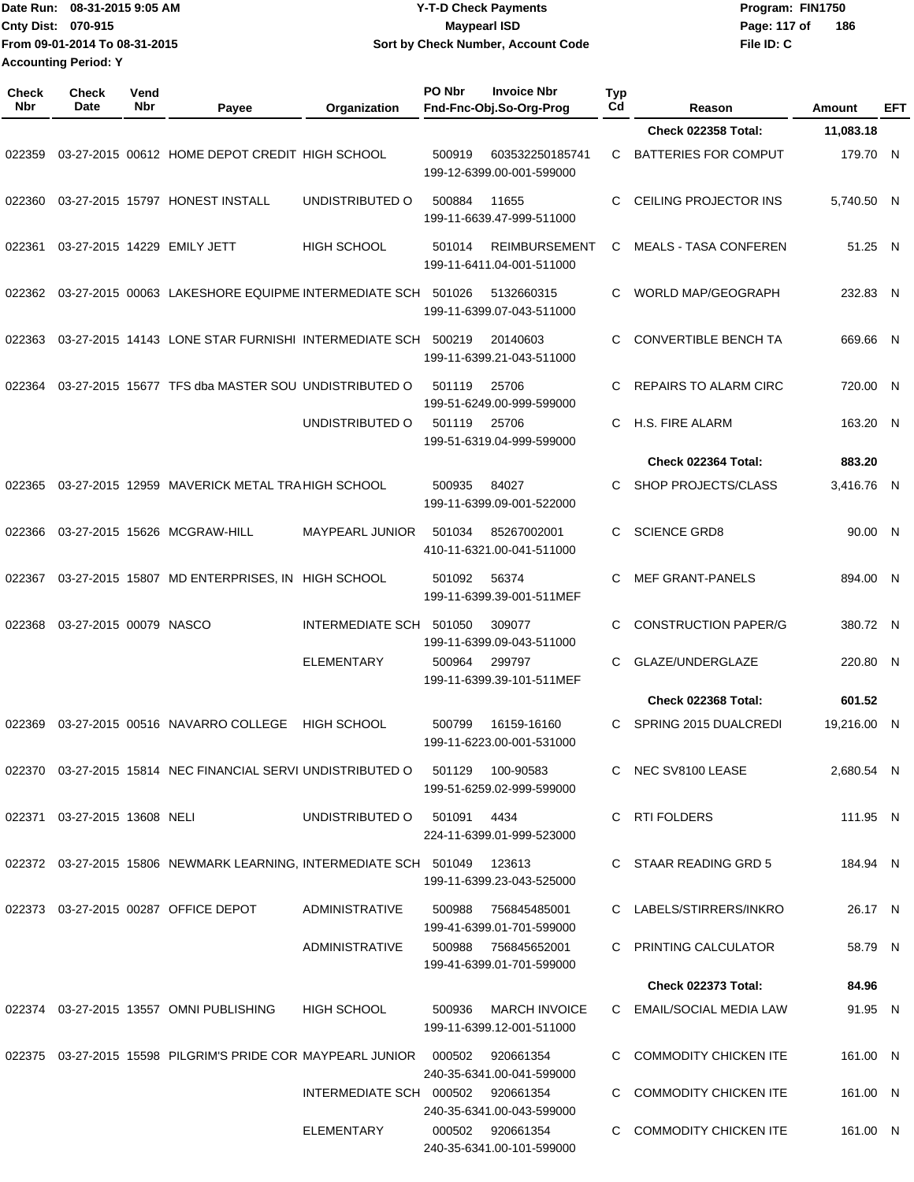| Date Run: 08-31-2015 9:05 AM  | <b>Y-T-D Check Payments</b>        | Program: FIN1750    |
|-------------------------------|------------------------------------|---------------------|
| Cnty Dist: 070-915            | Mavpearl ISD                       | 186<br>Page: 117 of |
| From 09-01-2014 To 08-31-2015 | Sort by Check Number, Account Code | File ID: C          |
| <b>Accounting Period: Y</b>   |                                    |                     |

| <b>Check</b><br>Nbr | <b>Check</b><br>Date         | Vend<br>Nbr | Payee                                                                                | Organization                      | PO Nbr | <b>Invoice Nbr</b><br>Fnd-Fnc-Obj.So-Org-Prog     | <b>Typ</b><br>Cd | Reason                       | Amount      | EFT |
|---------------------|------------------------------|-------------|--------------------------------------------------------------------------------------|-----------------------------------|--------|---------------------------------------------------|------------------|------------------------------|-------------|-----|
|                     |                              |             |                                                                                      |                                   |        |                                                   |                  | <b>Check 022358 Total:</b>   | 11,083.18   |     |
| 022359              |                              |             | 03-27-2015 00612 HOME DEPOT CREDIT HIGH SCHOOL                                       |                                   | 500919 | 603532250185741<br>199-12-6399.00-001-599000      | C.               | <b>BATTERIES FOR COMPUT</b>  | 179.70 N    |     |
| 022360              |                              |             | 03-27-2015 15797 HONEST INSTALL                                                      | UNDISTRIBUTED O                   | 500884 | 11655<br>199-11-6639.47-999-511000                | C.               | CEILING PROJECTOR INS        | 5,740.50 N  |     |
| 022361              |                              |             | 03-27-2015 14229 EMILY JETT                                                          | <b>HIGH SCHOOL</b>                | 501014 | <b>REIMBURSEMENT</b><br>199-11-6411.04-001-511000 | C                | <b>MEALS - TASA CONFEREN</b> | 51.25 N     |     |
| 022362              |                              |             | 03-27-2015 00063 LAKESHORE EQUIPME INTERMEDIATE SCH 501026                           |                                   |        | 5132660315<br>199-11-6399.07-043-511000           | C                | <b>WORLD MAP/GEOGRAPH</b>    | 232.83 N    |     |
| 022363              |                              |             | 03-27-2015 14143 LONE STAR FURNISHI INTERMEDIATE SCH                                 |                                   | 500219 | 20140603<br>199-11-6399.21-043-511000             | C.               | <b>CONVERTIBLE BENCH TA</b>  | 669.66 N    |     |
| 022364              |                              |             | 03-27-2015 15677 TFS dba MASTER SOU UNDISTRIBUTED O                                  |                                   | 501119 | 25706<br>199-51-6249.00-999-599000                | C.               | <b>REPAIRS TO ALARM CIRC</b> | 720.00 N    |     |
|                     |                              |             |                                                                                      | UNDISTRIBUTED O                   | 501119 | 25706<br>199-51-6319.04-999-599000                | C.               | H.S. FIRE ALARM              | 163.20 N    |     |
|                     |                              |             |                                                                                      |                                   |        |                                                   |                  | Check 022364 Total:          | 883.20      |     |
| 022365              |                              |             | 03-27-2015 12959 MAVERICK METAL TRA HIGH SCHOOL                                      |                                   | 500935 | 84027<br>199-11-6399.09-001-522000                | C.               | SHOP PROJECTS/CLASS          | 3,416.76 N  |     |
| 022366              |                              |             | 03-27-2015 15626 MCGRAW-HILL                                                         | <b>MAYPEARL JUNIOR</b>            | 501034 | 85267002001<br>410-11-6321.00-041-511000          | C.               | <b>SCIENCE GRD8</b>          | 90.00 N     |     |
| 022367              |                              |             | 03-27-2015 15807 MD ENTERPRISES, IN HIGH SCHOOL                                      |                                   | 501092 | 56374<br>199-11-6399.39-001-511MEF                | C                | <b>MEF GRANT-PANELS</b>      | 894.00 N    |     |
| 022368              | 03-27-2015 00079 NASCO       |             |                                                                                      | INTERMEDIATE SCH                  | 501050 | 309077<br>199-11-6399.09-043-511000               | C                | <b>CONSTRUCTION PAPER/G</b>  | 380.72 N    |     |
|                     |                              |             |                                                                                      | ELEMENTARY                        | 500964 | 299797<br>199-11-6399.39-101-511MEF               | C                | GLAZE/UNDERGLAZE             | 220.80 N    |     |
|                     |                              |             |                                                                                      |                                   |        |                                                   |                  | <b>Check 022368 Total:</b>   | 601.52      |     |
| 022369              |                              |             | 03-27-2015 00516 NAVARRO COLLEGE                                                     | <b>HIGH SCHOOL</b>                | 500799 | 16159-16160<br>199-11-6223.00-001-531000          | C                | SPRING 2015 DUALCREDI        | 19,216.00 N |     |
|                     |                              |             | 022370  03-27-2015  15814  NEC FINANCIAL SERVI UNDISTRIBUTED   0   501129  100-90583 |                                   |        | 199-51-6259.02-999-599000                         |                  | C NEC SV8100 LEASE           | 2,680.54 N  |     |
|                     | 022371 03-27-2015 13608 NELI |             |                                                                                      | UNDISTRIBUTED O                   | 501091 | 4434<br>224-11-6399.01-999-523000                 |                  | C RTI FOLDERS                | 111.95 N    |     |
|                     |                              |             | 022372 03-27-2015 15806 NEWMARK LEARNING, INTERMEDIATE SCH 501049 123613             |                                   |        | 199-11-6399.23-043-525000                         |                  | C STAAR READING GRD 5        | 184.94 N    |     |
|                     |                              |             | 022373 03-27-2015 00287 OFFICE DEPOT                                                 | <b>ADMINISTRATIVE</b>             | 500988 | 756845485001<br>199-41-6399.01-701-599000         |                  | C LABELS/STIRRERS/INKRO      | 26.17 N     |     |
|                     |                              |             |                                                                                      | ADMINISTRATIVE                    |        | 500988 756845652001<br>199-41-6399.01-701-599000  |                  | C PRINTING CALCULATOR        | 58.79 N     |     |
|                     |                              |             |                                                                                      |                                   |        |                                                   |                  | <b>Check 022373 Total:</b>   | 84.96       |     |
|                     |                              |             | 022374 03-27-2015 13557 OMNI PUBLISHING                                              | <b>HIGH SCHOOL</b>                | 500936 | <b>MARCH INVOICE</b><br>199-11-6399.12-001-511000 |                  | C EMAIL/SOCIAL MEDIA LAW     | 91.95 N     |     |
|                     |                              |             | 022375  03-27-2015  15598  PILGRIM'S PRIDE COR MAYPEARL JUNIOR  000502               |                                   |        | 920661354<br>240-35-6341.00-041-599000            |                  | C COMMODITY CHICKEN ITE      | 161.00 N    |     |
|                     |                              |             |                                                                                      | INTERMEDIATE SCH 000502 920661354 |        | 240-35-6341.00-043-599000                         |                  | C COMMODITY CHICKEN ITE      | 161.00 N    |     |
|                     |                              |             |                                                                                      | ELEMENTARY                        |        | 000502 920661354<br>240-35-6341.00-101-599000     |                  | C COMMODITY CHICKEN ITE      | 161.00 N    |     |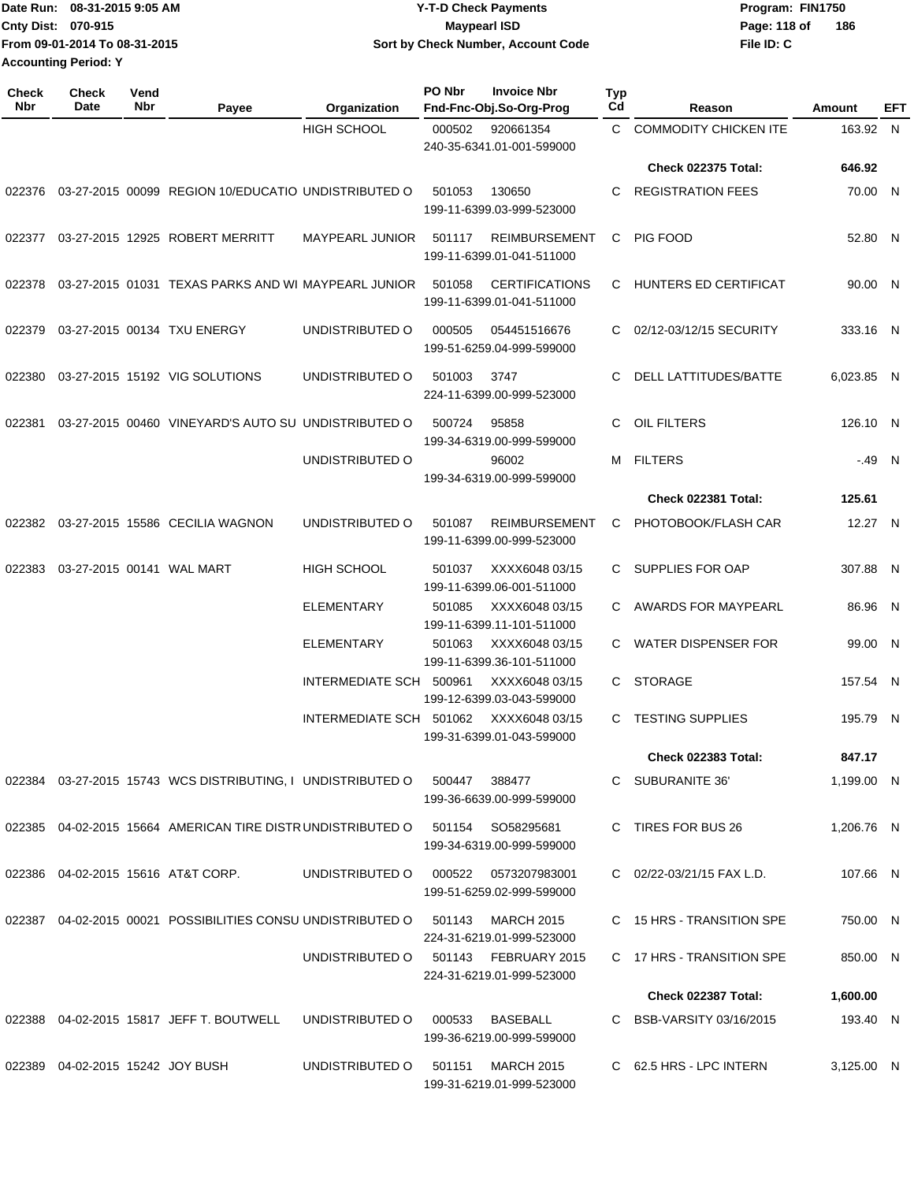|                             | IDate Run: 08-31-2015 9:05 AM | <b>Y-T-D Check Payments</b>        | Program: FIN1750    |
|-----------------------------|-------------------------------|------------------------------------|---------------------|
| <b>Cnty Dist: 070-915</b>   |                               | <b>Mavpearl ISD</b>                | 186<br>Page: 118 of |
|                             | From 09-01-2014 To 08-31-2015 | Sort by Check Number, Account Code | File ID: C          |
| <b>Accounting Period: Y</b> |                               |                                    |                     |

| <b>Check</b><br><b>Nbr</b> | <b>Check</b><br>Date                | Vend<br>Nbr | Payee                                                          | Organization            | <b>PO Nbr</b> | <b>Invoice Nbr</b><br>Fnd-Fnc-Obj.So-Org-Prog      | Typ<br>Cd | Reason                       | Amount     | EFT |
|----------------------------|-------------------------------------|-------------|----------------------------------------------------------------|-------------------------|---------------|----------------------------------------------------|-----------|------------------------------|------------|-----|
|                            |                                     |             |                                                                | <b>HIGH SCHOOL</b>      | 000502        | 920661354<br>240-35-6341.01-001-599000             | C.        | <b>COMMODITY CHICKEN ITE</b> | 163.92 N   |     |
|                            |                                     |             |                                                                |                         |               |                                                    |           | <b>Check 022375 Total:</b>   | 646.92     |     |
| 022376                     |                                     |             | 03-27-2015 00099 REGION 10/EDUCATIO UNDISTRIBUTED O            |                         | 501053        | 130650<br>199-11-6399.03-999-523000                | C         | <b>REGISTRATION FEES</b>     | 70.00 N    |     |
| 022377                     |                                     |             | 03-27-2015 12925 ROBERT MERRITT                                | MAYPEARL JUNIOR         | 501117        | <b>REIMBURSEMENT</b><br>199-11-6399.01-041-511000  | C         | PIG FOOD                     | 52.80 N    |     |
| 022378                     |                                     |             | 03-27-2015 01031 TEXAS PARKS AND WI MAYPEARL JUNIOR            |                         | 501058        | <b>CERTIFICATIONS</b><br>199-11-6399.01-041-511000 |           | C HUNTERS ED CERTIFICAT      | 90.00 N    |     |
| 022379                     |                                     |             | 03-27-2015 00134 TXU ENERGY                                    | UNDISTRIBUTED O         | 000505        | 054451516676<br>199-51-6259.04-999-599000          |           | 02/12-03/12/15 SECURITY      | 333.16 N   |     |
| 022380                     |                                     |             | 03-27-2015 15192 VIG SOLUTIONS                                 | UNDISTRIBUTED O         | 501003        | 3747<br>224-11-6399.00-999-523000                  | C         | DELL LATTITUDES/BATTE        | 6,023.85 N |     |
| 022381                     |                                     |             | 03-27-2015 00460 VINEYARD'S AUTO SU UNDISTRIBUTED O            |                         | 500724        | 95858<br>199-34-6319.00-999-599000                 | C         | OIL FILTERS                  | 126.10 N   |     |
|                            |                                     |             |                                                                | UNDISTRIBUTED O         |               | 96002<br>199-34-6319.00-999-599000                 | M         | <b>FILTERS</b>               | $-49$ N    |     |
|                            |                                     |             |                                                                |                         |               |                                                    |           | <b>Check 022381 Total:</b>   | 125.61     |     |
| 022382                     |                                     |             | 03-27-2015 15586 CECILIA WAGNON                                | UNDISTRIBUTED O         | 501087        | <b>REIMBURSEMENT</b><br>199-11-6399.00-999-523000  | C         | PHOTOBOOK/FLASH CAR          | 12.27 N    |     |
| 022383                     | 03-27-2015 00141 WAL MART           |             |                                                                | <b>HIGH SCHOOL</b>      | 501037        | XXXX6048 03/15<br>199-11-6399.06-001-511000        |           | C SUPPLIES FOR OAP           | 307.88 N   |     |
|                            |                                     |             |                                                                | <b>ELEMENTARY</b>       | 501085        | XXXX6048 03/15<br>199-11-6399.11-101-511000        |           | C AWARDS FOR MAYPEARL        | 86.96 N    |     |
|                            |                                     |             |                                                                | <b>ELEMENTARY</b>       | 501063        | XXXX6048 03/15<br>199-11-6399.36-101-511000        |           | C WATER DISPENSER FOR        | 99.00 N    |     |
|                            |                                     |             |                                                                | <b>INTERMEDIATE SCH</b> | 500961        | XXXX6048 03/15<br>199-12-6399.03-043-599000        | C.        | <b>STORAGE</b>               | 157.54 N   |     |
|                            |                                     |             |                                                                | INTERMEDIATE SCH 501062 |               | XXXX6048 03/15<br>199-31-6399.01-043-599000        | C         | <b>TESTING SUPPLIES</b>      | 195.79 N   |     |
|                            |                                     |             |                                                                |                         |               |                                                    |           | Check 022383 Total:          | 847.17     |     |
|                            |                                     |             | 022384  03-27-2015  15743  WCS DISTRIBUTING, I UNDISTRIBUTED O |                         | 500447        | 388477<br>199-36-6639.00-999-599000                |           | C SUBURANITE 36'             | 1,199.00 N |     |
|                            |                                     |             | 022385  04-02-2015  15664  AMERICAN TIRE DISTR UNDISTRIBUTED O |                         |               | 501154 SO58295681<br>199-34-6319.00-999-599000     |           | C TIRES FOR BUS 26           | 1,206.76 N |     |
| 022386                     |                                     |             | 04-02-2015 15616 AT&T CORP.                                    | UNDISTRIBUTED O         |               | 000522 0573207983001<br>199-51-6259.02-999-599000  |           | C 02/22-03/21/15 FAX L.D.    | 107.66 N   |     |
|                            |                                     |             | 022387 04-02-2015 00021 POSSIBILITIES CONSU UNDISTRIBUTED O    |                         | 501143        | MARCH 2015<br>224-31-6219.01-999-523000            |           | C 15 HRS - TRANSITION SPE    | 750.00 N   |     |
|                            |                                     |             |                                                                | UNDISTRIBUTED O         |               | 501143 FEBRUARY 2015<br>224-31-6219.01-999-523000  |           | C 17 HRS - TRANSITION SPE    | 850.00 N   |     |
|                            |                                     |             |                                                                |                         |               |                                                    |           | Check 022387 Total:          | 1,600.00   |     |
| 022388                     |                                     |             | 04-02-2015 15817 JEFF T. BOUTWELL                              | UNDISTRIBUTED O         | 000533        | BASEBALL<br>199-36-6219.00-999-599000              |           | C BSB-VARSITY 03/16/2015     | 193.40 N   |     |
|                            | 022389  04-02-2015  15242  JOY BUSH |             |                                                                | UNDISTRIBUTED O         | 501151        | <b>MARCH 2015</b><br>199-31-6219.01-999-523000     |           | C 62.5 HRS - LPC INTERN      | 3,125.00 N |     |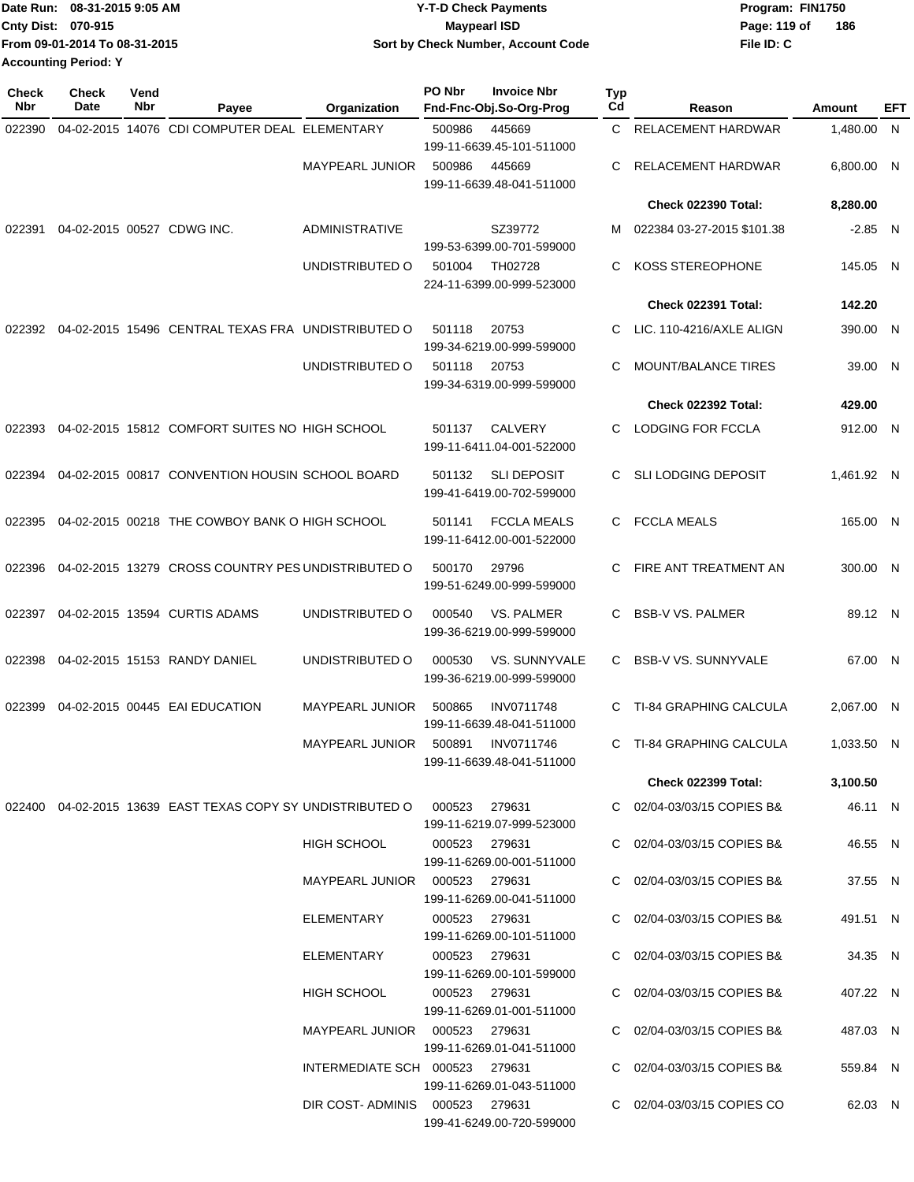|                             | Date Run: 08-31-2015 9:05 AM  | <b>Y-T-D Check Payments</b>        | Program: FIN1750 |     |
|-----------------------------|-------------------------------|------------------------------------|------------------|-----|
| Cnty Dist: 070-915          |                               | <b>Mavpearl ISD</b>                | Page: 119 of     | 186 |
|                             | From 09-01-2014 To 08-31-2015 | Sort by Check Number, Account Code | File ID: C       |     |
| <b>Accounting Period: Y</b> |                               |                                    |                  |     |

| <b>Check</b><br>Nbr | <b>Check</b><br>Date | Vend<br>Nbr | Payee                                                                         | Organization                    | PO Nbr        | <b>Invoice Nbr</b><br>Fnd-Fnc-Obj.So-Org-Prog     | Typ<br>Cd | Reason                        | Amount     | EFT |
|---------------------|----------------------|-------------|-------------------------------------------------------------------------------|---------------------------------|---------------|---------------------------------------------------|-----------|-------------------------------|------------|-----|
| 022390              |                      |             | 04-02-2015 14076 CDI COMPUTER DEAL ELEMENTARY                                 |                                 | 500986        | 445669<br>199-11-6639.45-101-511000               | C.        | <b>RELACEMENT HARDWAR</b>     | 1,480.00   | - N |
|                     |                      |             |                                                                               | <b>MAYPEARL JUNIOR</b>          | 500986        | 445669<br>199-11-6639.48-041-511000               | C         | <b>RELACEMENT HARDWAR</b>     | 6,800.00 N |     |
|                     |                      |             |                                                                               |                                 |               |                                                   |           | <b>Check 022390 Total:</b>    | 8,280.00   |     |
| 022391              |                      |             | 04-02-2015 00527 CDWG INC.                                                    | ADMINISTRATIVE                  |               | SZ39772<br>199-53-6399.00-701-599000              | м         | 022384 03-27-2015 \$101.38    | $-2.85 N$  |     |
|                     |                      |             |                                                                               | UNDISTRIBUTED O                 | 501004        | TH02728<br>224-11-6399.00-999-523000              | C         | <b>KOSS STEREOPHONE</b>       | 145.05 N   |     |
|                     |                      |             |                                                                               |                                 |               |                                                   |           | Check 022391 Total:           | 142.20     |     |
| 022392              |                      |             | 04-02-2015 15496 CENTRAL TEXAS FRA UNDISTRIBUTED O                            |                                 | 501118        | 20753<br>199-34-6219.00-999-599000                | C.        | LIC. 110-4216/AXLE ALIGN      | 390.00 N   |     |
|                     |                      |             |                                                                               | UNDISTRIBUTED O                 | 501118        | 20753<br>199-34-6319.00-999-599000                | C         | <b>MOUNT/BALANCE TIRES</b>    | 39.00 N    |     |
|                     |                      |             |                                                                               |                                 |               |                                                   |           | <b>Check 022392 Total:</b>    | 429.00     |     |
| 022393              |                      |             | 04-02-2015 15812 COMFORT SUITES NO HIGH SCHOOL                                |                                 | 501137        | <b>CALVERY</b><br>199-11-6411.04-001-522000       | C.        | LODGING FOR FCCLA             | 912.00 N   |     |
| 022394              |                      |             | 04-02-2015 00817 CONVENTION HOUSIN SCHOOL BOARD                               |                                 | 501132        | <b>SLI DEPOSIT</b><br>199-41-6419.00-702-599000   | C.        | SLI LODGING DEPOSIT           | 1.461.92 N |     |
| 022395              |                      |             | 04-02-2015 00218 THE COWBOY BANK O HIGH SCHOOL                                |                                 | 501141        | <b>FCCLA MEALS</b><br>199-11-6412.00-001-522000   | C.        | <b>FCCLA MEALS</b>            | 165.00 N   |     |
| 022396              |                      |             | 04-02-2015 13279 CROSS COUNTRY PES UNDISTRIBUTED O                            |                                 | 500170        | 29796<br>199-51-6249.00-999-599000                | C         | FIRE ANT TREATMENT AN         | 300.00 N   |     |
| 022397              |                      |             | 04-02-2015 13594 CURTIS ADAMS                                                 | UNDISTRIBUTED O                 | 000540        | VS. PALMER<br>199-36-6219.00-999-599000           | C.        | <b>BSB-V VS. PALMER</b>       | 89.12 N    |     |
| 022398              |                      |             | 04-02-2015 15153 RANDY DANIEL                                                 | UNDISTRIBUTED O                 | 000530        | <b>VS. SUNNYVALE</b><br>199-36-6219.00-999-599000 | C         | <b>BSB-V VS. SUNNYVALE</b>    | 67.00 N    |     |
| 022399              |                      |             | 04-02-2015 00445 EAI EDUCATION                                                | MAYPEARL JUNIOR                 | 500865        | INV0711748<br>199-11-6639.48-041-511000           | C         | <b>TI-84 GRAPHING CALCULA</b> | 2,067.00 N |     |
|                     |                      |             |                                                                               | <b>MAYPEARL JUNIOR</b>          | 500891        | INV0711746<br>199-11-6639.48-041-511000           | C         | <b>TI-84 GRAPHING CALCULA</b> | 1,033.50 N |     |
|                     |                      |             |                                                                               |                                 |               |                                                   |           | Check 022399 Total:           | 3,100.50   |     |
|                     |                      |             | 022400  04-02-2015  13639  EAST TEXAS COPY SY UNDISTRIBUTED O  000523  279631 |                                 |               | 199-11-6219.07-999-523000                         |           | C 02/04-03/03/15 COPIES B&    | 46.11 N    |     |
|                     |                      |             |                                                                               | <b>HIGH SCHOOL</b>              | 000523 279631 | 199-11-6269.00-001-511000                         |           | C 02/04-03/03/15 COPIES B&    | 46.55 N    |     |
|                     |                      |             |                                                                               | MAYPEARL JUNIOR  000523  279631 |               | 199-11-6269.00-041-511000                         |           | C 02/04-03/03/15 COPIES B&    | 37.55 N    |     |
|                     |                      |             |                                                                               | ELEMENTARY                      |               | 000523 279631<br>199-11-6269.00-101-511000        |           | C 02/04-03/03/15 COPIES B&    | 491.51 N   |     |
|                     |                      |             |                                                                               | ELEMENTARY                      |               | 000523 279631<br>199-11-6269.00-101-599000        |           | C 02/04-03/03/15 COPIES B&    | 34.35 N    |     |
|                     |                      |             |                                                                               | HIGH SCHOOL                     | 000523 279631 | 199-11-6269.01-001-511000                         |           | C 02/04-03/03/15 COPIES B&    | 407.22 N   |     |
|                     |                      |             |                                                                               | MAYPEARL JUNIOR 000523 279631   |               | 199-11-6269.01-041-511000                         |           | C 02/04-03/03/15 COPIES B&    | 487.03 N   |     |
|                     |                      |             |                                                                               | INTERMEDIATE SCH 000523 279631  |               | 199-11-6269.01-043-511000                         |           | C 02/04-03/03/15 COPIES B&    | 559.84 N   |     |
|                     |                      |             |                                                                               | DIR COST-ADMINIS 000523 279631  |               | 199-41-6249.00-720-599000                         |           | C 02/04-03/03/15 COPIES CO    | 62.03 N    |     |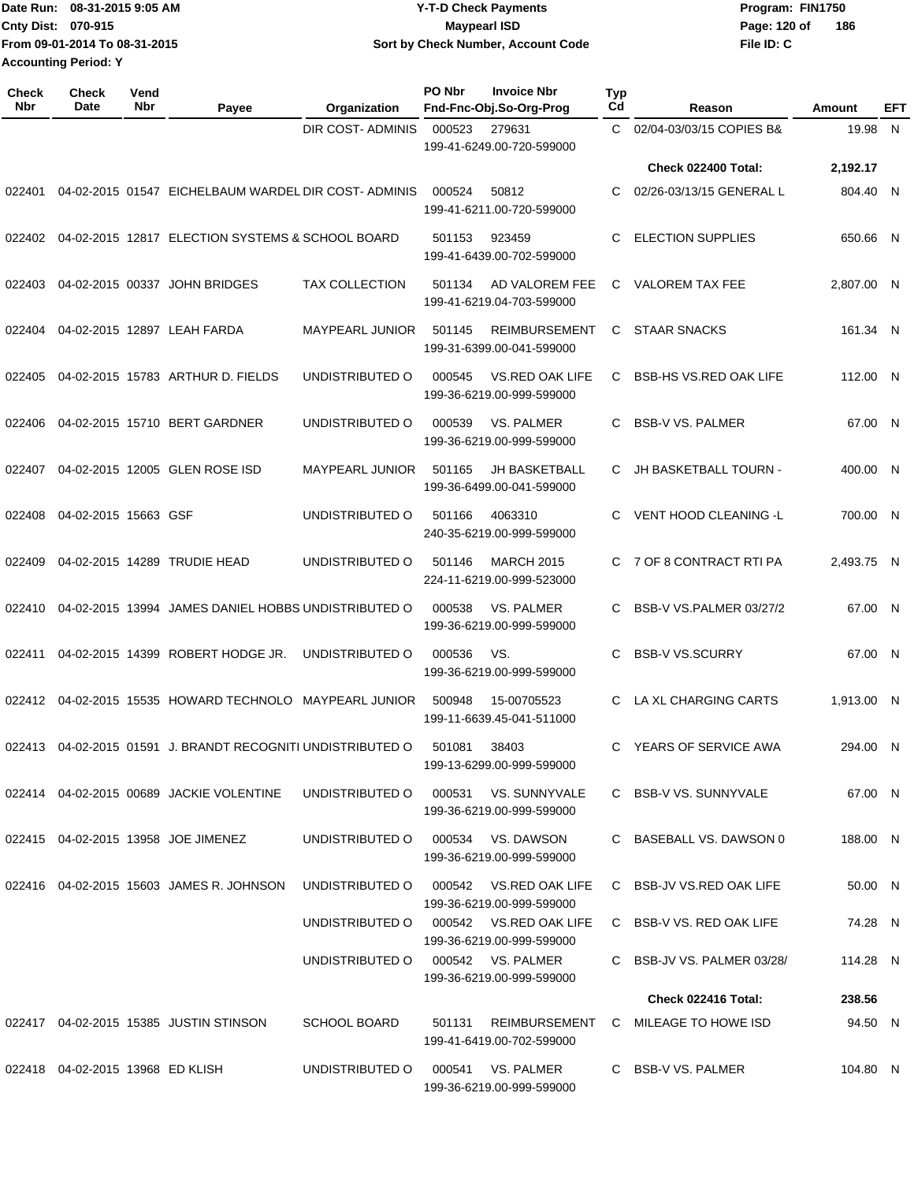| Date Run: 08-31-2015 9:05 AM  | <b>Y-T-D Check Payments</b>        | Program: FIN1750    |
|-------------------------------|------------------------------------|---------------------|
| Cntv Dist: 070-915            | Maypearl ISD                       | 186<br>Page: 120 of |
| From 09-01-2014 To 08-31-2015 | Sort by Check Number, Account Code | File ID: C          |
| <b>Accounting Period: Y</b>   |                                    |                     |

| <b>Check</b><br>Nbr | Check<br>Date                    | Vend<br><b>Nbr</b> | Payee                                                       | Organization                           | PO Nbr | <b>Invoice Nbr</b><br>Fnd-Fnc-Obj.So-Org-Prog       | <b>Typ</b><br>Cd | Reason                              | Amount     | <b>EFT</b> |
|---------------------|----------------------------------|--------------------|-------------------------------------------------------------|----------------------------------------|--------|-----------------------------------------------------|------------------|-------------------------------------|------------|------------|
|                     |                                  |                    |                                                             | DIR COST-ADMINIS                       | 000523 | 279631<br>199-41-6249.00-720-599000                 | $\mathbf{C}$     | 02/04-03/03/15 COPIES B&            | 19.98 N    |            |
|                     |                                  |                    |                                                             |                                        |        |                                                     |                  | Check 022400 Total:                 | 2,192.17   |            |
| 022401              |                                  |                    | 04-02-2015 01547 EICHELBAUM WARDEL DIR COST- ADMINIS        |                                        | 000524 | 50812<br>199-41-6211.00-720-599000                  | C.               | 02/26-03/13/15 GENERAL L            | 804.40 N   |            |
|                     |                                  |                    | 022402  04-02-2015  12817  ELECTION SYSTEMS & SCHOOL BOARD  |                                        | 501153 | 923459<br>199-41-6439.00-702-599000                 |                  | <b>ELECTION SUPPLIES</b>            | 650.66 N   |            |
| 022403              |                                  |                    | 04-02-2015 00337 JOHN BRIDGES                               | <b>TAX COLLECTION</b>                  | 501134 | AD VALOREM FEE<br>199-41-6219.04-703-599000         | C.               | VALOREM TAX FEE                     | 2,807.00 N |            |
| 022404              |                                  |                    | 04-02-2015 12897 LEAH FARDA                                 | <b>MAYPEARL JUNIOR</b>                 | 501145 | <b>REIMBURSEMENT</b><br>199-31-6399.00-041-599000   | C.               | <b>STAAR SNACKS</b>                 | 161.34 N   |            |
| 022405              |                                  |                    | 04-02-2015 15783 ARTHUR D. FIELDS                           | UNDISTRIBUTED O                        | 000545 | VS.RED OAK LIFE<br>199-36-6219.00-999-599000        | C.               | <b>BSB-HS VS.RED OAK LIFE</b>       | 112.00 N   |            |
| 022406              |                                  |                    | 04-02-2015 15710 BERT GARDNER                               | UNDISTRIBUTED O                        | 000539 | VS. PALMER<br>199-36-6219.00-999-599000             | C.               | <b>BSB-V VS. PALMER</b>             | 67.00 N    |            |
| 022407              |                                  |                    | 04-02-2015 12005 GLEN ROSE ISD                              | <b>MAYPEARL JUNIOR</b>                 | 501165 | <b>JH BASKETBALL</b><br>199-36-6499.00-041-599000   |                  | C JH BASKETBALL TOURN -             | 400.00 N   |            |
| 022408              | 04-02-2015 15663 GSF             |                    |                                                             | UNDISTRIBUTED O                        | 501166 | 4063310<br>240-35-6219.00-999-599000                |                  | VENT HOOD CLEANING -L               | 700.00 N   |            |
| 022409              |                                  |                    | 04-02-2015 14289 TRUDIE HEAD                                | UNDISTRIBUTED O                        | 501146 | <b>MARCH 2015</b><br>224-11-6219.00-999-523000      |                  | C 7 OF 8 CONTRACT RTI PA            | 2,493.75 N |            |
| 022410              |                                  |                    | 04-02-2015 13994 JAMES DANIEL HOBBS UNDISTRIBUTED O         |                                        | 000538 | VS. PALMER<br>199-36-6219.00-999-599000             | C.               | BSB-V VS.PALMER 03/27/2             | 67.00 N    |            |
| 022411              |                                  |                    | 04-02-2015 14399 ROBERT HODGE JR.                           | UNDISTRIBUTED O                        | 000536 | VS.<br>199-36-6219.00-999-599000                    | C                | <b>BSB-V VS.SCURRY</b>              | 67.00 N    |            |
|                     |                                  |                    | 022412 04-02-2015 15535 HOWARD TECHNOLO MAYPEARL JUNIOR     |                                        | 500948 | 15-00705523<br>199-11-6639.45-041-511000            | C.               | LA XL CHARGING CARTS                | 1,913.00 N |            |
|                     |                                  |                    | 022413 04-02-2015 01591 J. BRANDT RECOGNITI UNDISTRIBUTED O |                                        | 501081 | 38403<br>199-13-6299.00-999-599000                  |                  | C YEARS OF SERVICE AWA              | 294.00 N   |            |
|                     |                                  |                    | 022414 04-02-2015 00689 JACKIE VOLENTINE                    | UNDISTRIBUTED O 000531 VS. SUNNYVALE   |        | 199-36-6219.00-999-599000                           |                  | C BSB-V VS, SUNNYVALE               | 67.00 N    |            |
|                     |                                  |                    | 022415 04-02-2015 13958 JOE JIMENEZ                         | UNDISTRIBUTED O                        |        | 000534 VS. DAWSON<br>199-36-6219.00-999-599000      |                  | C BASEBALL VS. DAWSON 0             | 188.00 N   |            |
|                     |                                  |                    | 022416  04-02-2015  15603  JAMES R. JOHNSON                 | UNDISTRIBUTED O                        |        | 000542 VS.RED OAK LIFE<br>199-36-6219.00-999-599000 |                  | C BSB-JV VS.RED OAK LIFE            | 50.00 N    |            |
|                     |                                  |                    |                                                             | UNDISTRIBUTED O 000542 VS.RED OAK LIFE |        | 199-36-6219.00-999-599000                           |                  | C BSB-V VS. RED OAK LIFE            | 74.28 N    |            |
|                     |                                  |                    |                                                             | UNDISTRIBUTED O 000542 VS. PALMER      |        | 199-36-6219.00-999-599000                           |                  | C BSB-JV VS. PALMER 03/28/          | 114.28 N   |            |
|                     |                                  |                    |                                                             |                                        |        |                                                     |                  | Check 022416 Total:                 | 238.56     |            |
|                     |                                  |                    | 022417 04-02-2015 15385 JUSTIN STINSON                      | <b>SCHOOL BOARD</b>                    | 501131 | 199-41-6419.00-702-599000                           |                  | REIMBURSEMENT C MILEAGE TO HOWE ISD | 94.50 N    |            |
|                     | 022418 04-02-2015 13968 ED KLISH |                    |                                                             | UNDISTRIBUTED O                        |        | 000541 VS. PALMER<br>199-36-6219.00-999-599000      |                  | C BSB-V VS. PALMER                  | 104.80 N   |            |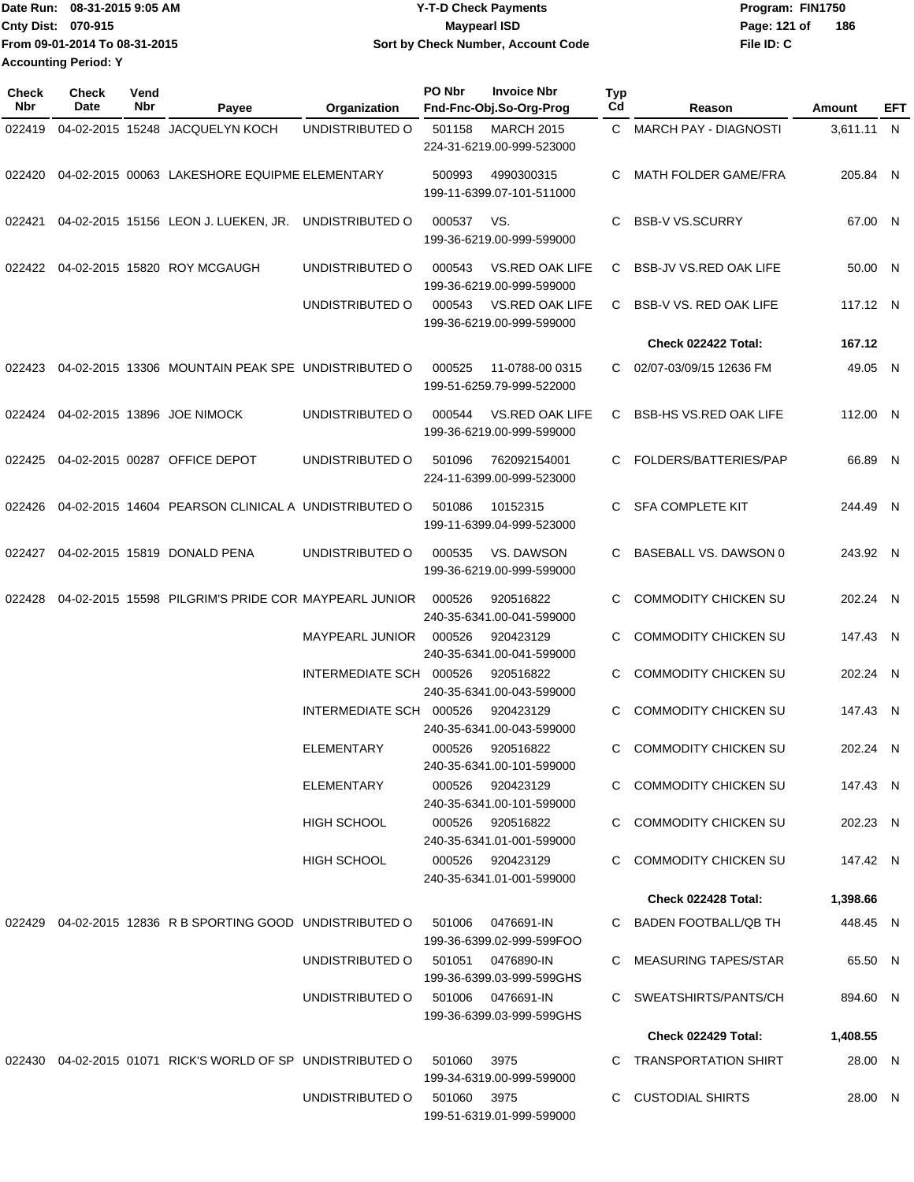| IDate Run: 08-31-2015 9:05 AM | <b>Y-T-D Check Payments</b>        | Program: FIN1750    |
|-------------------------------|------------------------------------|---------------------|
| <b>Cnty Dist: 070-915</b>     | Maypearl ISD                       | 186<br>Page: 121 of |
| From 09-01-2014 To 08-31-2015 | Sort by Check Number, Account Code | File ID: C          |
| <b>Accounting Period: Y</b>   |                                    |                     |

| <b>Check</b><br>Nbr | Check<br>Date | Vend<br>Nbr | Payee                                                        | <b>Organization</b>     | PO Nbr      | <b>Invoice Nbr</b><br>Fnd-Fnc-Obj.So-Org-Prog       | Typ<br>Cd | Reason                        | Amount     | EFT |
|---------------------|---------------|-------------|--------------------------------------------------------------|-------------------------|-------------|-----------------------------------------------------|-----------|-------------------------------|------------|-----|
| 022419              |               |             | 04-02-2015 15248 JACQUELYN KOCH                              | UNDISTRIBUTED O         | 501158      | <b>MARCH 2015</b><br>224-31-6219.00-999-523000      |           | C MARCH PAY - DIAGNOSTI       | 3,611.11 N |     |
| 022420              |               |             | 04-02-2015 00063 LAKESHORE EQUIPME ELEMENTARY                |                         | 500993      | 4990300315<br>199-11-6399.07-101-511000             | C.        | MATH FOLDER GAME/FRA          | 205.84 N   |     |
| 022421              |               |             | 04-02-2015 15156 LEON J. LUEKEN, JR.                         | UNDISTRIBUTED O         | 000537      | VS.<br>199-36-6219.00-999-599000                    | C         | <b>BSB-V VS.SCURRY</b>        | 67.00 N    |     |
| 022422              |               |             | 04-02-2015 15820 ROY MCGAUGH                                 | UNDISTRIBUTED O         | 000543      | <b>VS.RED OAK LIFE</b><br>199-36-6219.00-999-599000 | C.        | <b>BSB-JV VS.RED OAK LIFE</b> | 50.00 N    |     |
|                     |               |             |                                                              | UNDISTRIBUTED O         | 000543      | VS.RED OAK LIFE<br>199-36-6219.00-999-599000        | C.        | <b>BSB-V VS. RED OAK LIFE</b> | 117.12 N   |     |
|                     |               |             |                                                              |                         |             |                                                     |           | Check 022422 Total:           | 167.12     |     |
| 022423              |               |             | 04-02-2015 13306 MOUNTAIN PEAK SPE UNDISTRIBUTED O           |                         | 000525      | 11-0788-00 0315<br>199-51-6259.79-999-522000        | C.        | 02/07-03/09/15 12636 FM       | 49.05 N    |     |
| 022424              |               |             | 04-02-2015 13896 JOE NIMOCK                                  | UNDISTRIBUTED O         | 000544      | VS.RED OAK LIFE<br>199-36-6219.00-999-599000        | C         | <b>BSB-HS VS.RED OAK LIFE</b> | 112.00 N   |     |
| 022425              |               |             | 04-02-2015 00287 OFFICE DEPOT                                | UNDISTRIBUTED O         | 501096      | 762092154001<br>224-11-6399.00-999-523000           | C.        | FOLDERS/BATTERIES/PAP         | 66.89 N    |     |
| 022426              |               |             | 04-02-2015 14604 PEARSON CLINICAL A UNDISTRIBUTED O          |                         | 501086      | 10152315<br>199-11-6399.04-999-523000               | C.        | <b>SFA COMPLETE KIT</b>       | 244.49 N   |     |
| 022427              |               |             | 04-02-2015 15819 DONALD PENA                                 | UNDISTRIBUTED O         | 000535      | VS. DAWSON<br>199-36-6219.00-999-599000             | C         | BASEBALL VS. DAWSON 0         | 243.92 N   |     |
| 022428              |               |             | 04-02-2015 15598 PILGRIM'S PRIDE COR MAYPEARL JUNIOR         |                         | 000526      | 920516822<br>240-35-6341.00-041-599000              | C.        | <b>COMMODITY CHICKEN SU</b>   | 202.24 N   |     |
|                     |               |             |                                                              | <b>MAYPEARL JUNIOR</b>  | 000526      | 920423129<br>240-35-6341.00-041-599000              | C         | <b>COMMODITY CHICKEN SU</b>   | 147.43 N   |     |
|                     |               |             |                                                              | INTERMEDIATE SCH 000526 |             | 920516822<br>240-35-6341.00-043-599000              | C.        | <b>COMMODITY CHICKEN SU</b>   | 202.24 N   |     |
|                     |               |             |                                                              | INTERMEDIATE SCH 000526 |             | 920423129<br>240-35-6341.00-043-599000              | C         | <b>COMMODITY CHICKEN SU</b>   | 147.43 N   |     |
|                     |               |             |                                                              | ELEMENTARY              | 000526      | 920516822<br>240-35-6341.00-101-599000              | C         | <b>COMMODITY CHICKEN SU</b>   | 202.24 N   |     |
|                     |               |             |                                                              | ELEMENTARY              | 000526      | 920423129<br>240-35-6341.00-101-599000              |           | C COMMODITY CHICKEN SU        | 147.43 N   |     |
|                     |               |             |                                                              | HIGH SCHOOL             | 000526      | 920516822<br>240-35-6341.01-001-599000              |           | C COMMODITY CHICKEN SU        | 202.23 N   |     |
|                     |               |             |                                                              | <b>HIGH SCHOOL</b>      | 000526      | 920423129<br>240-35-6341.01-001-599000              | C.        | COMMODITY CHICKEN SU          | 147.42 N   |     |
|                     |               |             |                                                              |                         |             |                                                     |           | Check 022428 Total:           | 1,398.66   |     |
|                     |               |             | 022429  04-02-2015  12836  R B SPORTING GOOD UNDISTRIBUTED O |                         | 501006      | 0476691-IN<br>199-36-6399.02-999-599FOO             |           | C BADEN FOOTBALL/QB TH        | 448.45 N   |     |
|                     |               |             |                                                              | UNDISTRIBUTED O         | 501051      | 0476890-IN<br>199-36-6399.03-999-599GHS             |           | C MEASURING TAPES/STAR        | 65.50 N    |     |
|                     |               |             |                                                              | UNDISTRIBUTED O         |             | 501006 0476691-IN<br>199-36-6399.03-999-599GHS      |           | C SWEATSHIRTS/PANTS/CH        | 894.60 N   |     |
|                     |               |             |                                                              |                         |             |                                                     |           | Check 022429 Total:           | 1,408.55   |     |
|                     |               |             | 022430 04-02-2015 01071 RICK'S WORLD OF SP UNDISTRIBUTED O   |                         | 501060      | 3975<br>199-34-6319.00-999-599000                   |           | C TRANSPORTATION SHIRT        | 28.00 N    |     |
|                     |               |             |                                                              | UNDISTRIBUTED O         | 501060 3975 | 199-51-6319.01-999-599000                           |           | C CUSTODIAL SHIRTS            | 28.00 N    |     |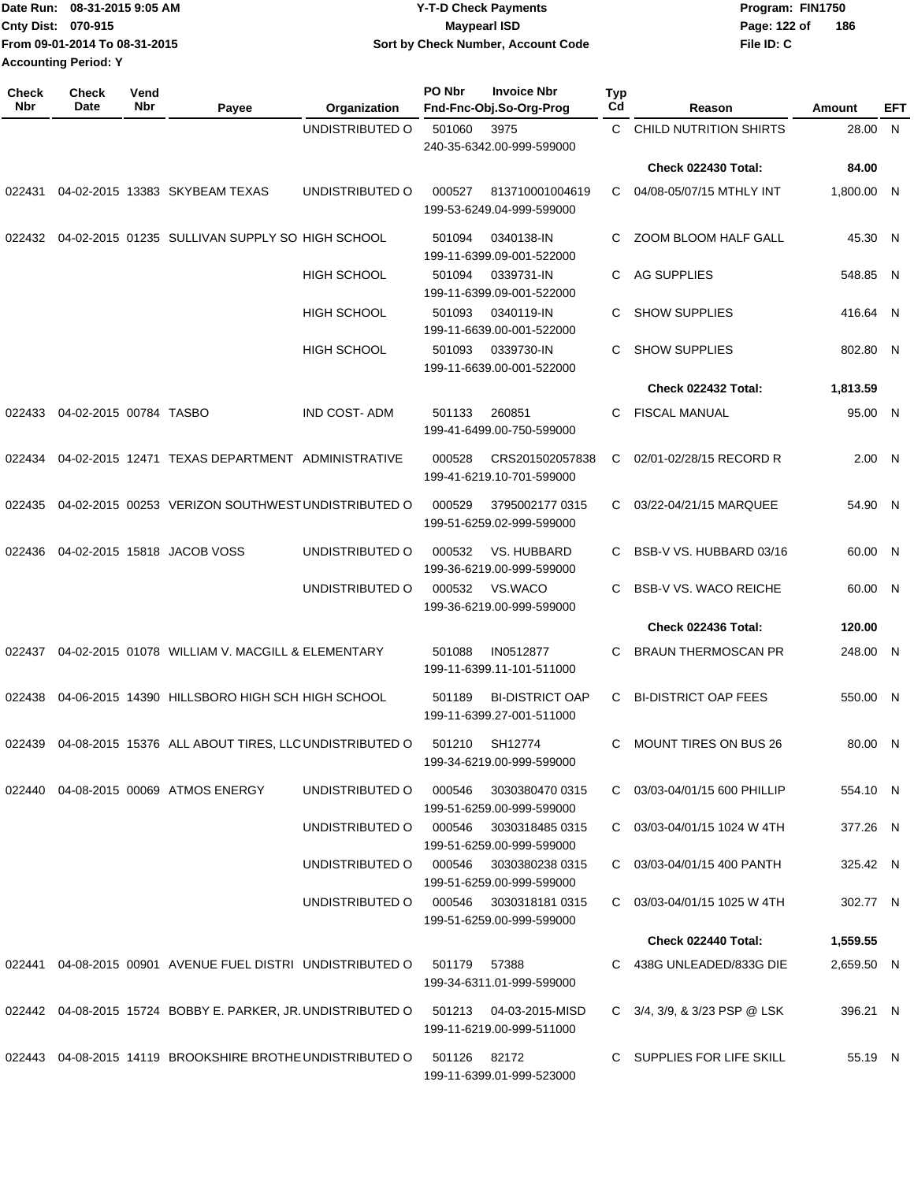| 1Date Run: 08-31-2015 9:05 AM | <b>Y-T-D Check Payments</b>        | Program: FIN1750    |
|-------------------------------|------------------------------------|---------------------|
| Cnty Dist: 070-915            | <b>Mavpearl ISD</b>                | 186<br>Page: 122 of |
| From 09-01-2014 To 08-31-2015 | Sort by Check Number, Account Code | File ID: C          |
| <b>Accounting Period: Y</b>   |                                    |                     |

| <b>Check</b><br>Nbr | Check<br>Date          | Vend<br>Nbr | Payee                                                        | Organization        | PO Nbr       | <b>Invoice Nbr</b><br>Fnd-Fnc-Obj.So-Org-Prog       | Typ<br>Cd | Reason                               | Amount     | EFT |
|---------------------|------------------------|-------------|--------------------------------------------------------------|---------------------|--------------|-----------------------------------------------------|-----------|--------------------------------------|------------|-----|
|                     |                        |             |                                                              | UNDISTRIBUTED O     | 501060       | 3975<br>240-35-6342.00-999-599000                   | C.        | CHILD NUTRITION SHIRTS               | 28.00      | N   |
|                     |                        |             |                                                              |                     |              |                                                     |           | Check 022430 Total:                  | 84.00      |     |
| 022431              |                        |             | 04-02-2015 13383 SKYBEAM TEXAS                               | UNDISTRIBUTED O     | 000527       | 813710001004619<br>199-53-6249.04-999-599000        | C         | 04/08-05/07/15 MTHLY INT             | 1,800.00 N |     |
| 022432              |                        |             | 04-02-2015 01235 SULLIVAN SUPPLY SO HIGH SCHOOL              |                     | 501094       | 0340138-IN<br>199-11-6399.09-001-522000             | С         | ZOOM BLOOM HALF GALL                 | 45.30 N    |     |
|                     |                        |             |                                                              | <b>HIGH SCHOOL</b>  | 501094       | 0339731-IN<br>199-11-6399.09-001-522000             | С         | AG SUPPLIES                          | 548.85 N   |     |
|                     |                        |             |                                                              | <b>HIGH SCHOOL</b>  | 501093       | 0340119-IN<br>199-11-6639.00-001-522000             | С         | <b>SHOW SUPPLIES</b>                 | 416.64 N   |     |
|                     |                        |             |                                                              | <b>HIGH SCHOOL</b>  | 501093       | 0339730-IN<br>199-11-6639.00-001-522000             | С         | <b>SHOW SUPPLIES</b>                 | 802.80 N   |     |
|                     |                        |             |                                                              |                     |              |                                                     |           | Check 022432 Total:                  | 1,813.59   |     |
| 022433              | 04-02-2015 00784 TASBO |             |                                                              | <b>IND COST-ADM</b> | 501133       | 260851<br>199-41-6499.00-750-599000                 | С         | <b>FISCAL MANUAL</b>                 | 95.00 N    |     |
| 022434              |                        |             | 04-02-2015 12471 TEXAS DEPARTMENT ADMINISTRATIVE             |                     | 000528       | CRS201502057838<br>199-41-6219.10-701-599000        | C         | 02/01-02/28/15 RECORD R              | 2.00 N     |     |
| 022435              |                        |             | 04-02-2015 00253 VERIZON SOUTHWEST UNDISTRIBUTED O           |                     | 000529       | 3795002177 0315<br>199-51-6259.02-999-599000        | C.        | 03/22-04/21/15 MARQUEE               | 54.90 N    |     |
| 022436              |                        |             | 04-02-2015 15818 JACOB VOSS                                  | UNDISTRIBUTED O     | 000532       | VS. HUBBARD<br>199-36-6219.00-999-599000            | С         | BSB-V VS. HUBBARD 03/16              | 60.00 N    |     |
|                     |                        |             |                                                              | UNDISTRIBUTED O     | 000532       | VS.WACO<br>199-36-6219.00-999-599000                | С         | <b>BSB-V VS. WACO REICHE</b>         | 60.00 N    |     |
|                     |                        |             |                                                              |                     |              |                                                     |           | Check 022436 Total:                  | 120.00     |     |
| 022437              |                        |             | 04-02-2015 01078 WILLIAM V. MACGILL & ELEMENTARY             |                     | 501088       | IN0512877<br>199-11-6399.11-101-511000              | С         | <b>BRAUN THERMOSCAN PR</b>           | 248.00 N   |     |
| 022438              |                        |             | 04-06-2015 14390 HILLSBORO HIGH SCH HIGH SCHOOL              |                     | 501189       | <b>BI-DISTRICT OAP</b><br>199-11-6399.27-001-511000 | С         | <b>BI-DISTRICT OAP FEES</b>          | 550.00 N   |     |
| 022439              |                        |             | 04-08-2015 15376 ALL ABOUT TIRES, LLC UNDISTRIBUTED O        |                     | 501210       | SH12774<br>199-34-6219.00-999-599000                | С         | <b>MOUNT TIRES ON BUS 26</b>         | 80.00 N    |     |
|                     |                        |             | 022440  04-08-2015  00069  ATMOS ENERGY                      | UNDISTRIBUTED O     | 000546       | 3030380470 0315<br>199-51-6259.00-999-599000        |           | C 03/03-04/01/15 600 PHILLIP         | 554.10 N   |     |
|                     |                        |             |                                                              | UNDISTRIBUTED O     | 000546       | 3030318485 0315<br>199-51-6259.00-999-599000        |           | $C = 03/03 - 04/01/1511024$ W 4TH    | 377.26 N   |     |
|                     |                        |             |                                                              | UNDISTRIBUTED O     | 000546       | 3030380238 0315<br>199-51-6259.00-999-599000        |           | C 03/03-04/01/15 400 PANTH           | 325.42 N   |     |
|                     |                        |             |                                                              | UNDISTRIBUTED O     |              | 000546 3030318181 0315<br>199-51-6259.00-999-599000 |           | $C$ 03/03-04/01/15 1025 W 4TH        | 302.77 N   |     |
|                     |                        |             |                                                              |                     |              |                                                     |           | Check 022440 Total:                  | 1,559.55   |     |
|                     |                        |             | 022441 04-08-2015 00901 AVENUE FUEL DISTRI UNDISTRIBUTED O   |                     | 501179       | 57388<br>199-34-6311.01-999-599000                  |           | C 438G UNLEADED/833G DIE             | 2,659.50 N |     |
|                     |                        |             | 022442 04-08-2015 15724 BOBBY E. PARKER, JR. UNDISTRIBUTED O |                     |              | 199-11-6219.00-999-511000                           |           | C $3/4$ , $3/9$ , & $3/23$ PSP @ LSK | 396.21 N   |     |
|                     |                        |             | 022443 04-08-2015 14119 BROOKSHIRE BROTHE UNDISTRIBUTED O    |                     | 501126 82172 | 199-11-6399.01-999-523000                           |           | C SUPPLIES FOR LIFE SKILL            | 55.19 N    |     |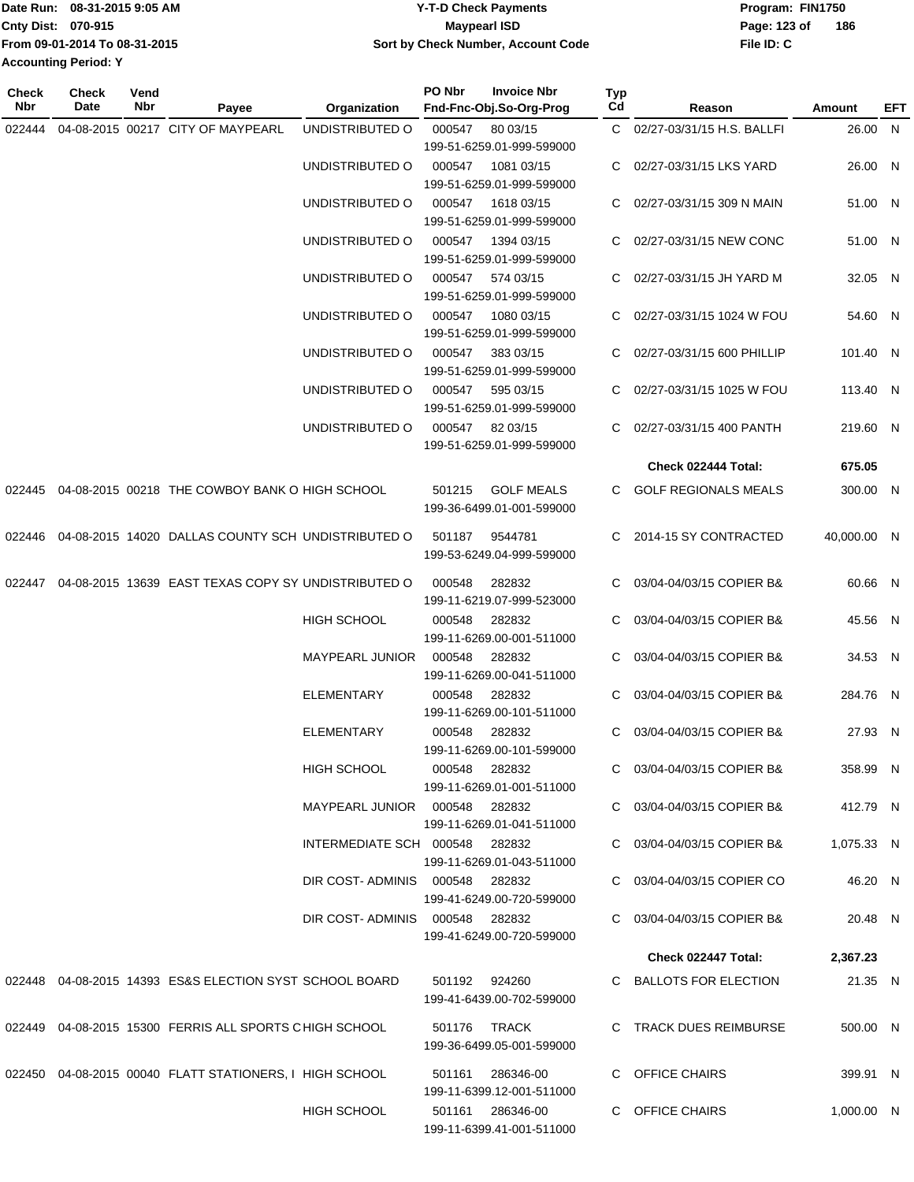|                             | Date Run: 08-31-2015 9:05 AM  | Y-T-D Check Payments               | Program: FIN1750    |
|-----------------------------|-------------------------------|------------------------------------|---------------------|
| <b>Cnty Dist: 070-915</b>   |                               | <b>Mavpearl ISD</b>                | 186<br>Page: 123 of |
|                             | From 09-01-2014 To 08-31-2015 | Sort by Check Number, Account Code | File ID: C          |
| <b>Accounting Period: Y</b> |                               |                                    |                     |

**Typ**

**Check**

**Check**

**Vend**

| Nbr    | Date<br>Nbr | Payee                                                      | Organization                   | Fnd-Fnc-Obj.So-Org-Prog                                  | Cd | Reason                       | Amount      | <b>EFT</b> |
|--------|-------------|------------------------------------------------------------|--------------------------------|----------------------------------------------------------|----|------------------------------|-------------|------------|
| 022444 |             | 04-08-2015 00217 CITY OF MAYPEARL                          | UNDISTRIBUTED O                | 000547 80 03/15<br>199-51-6259.01-999-599000             |    | C 02/27-03/31/15 H.S. BALLFI | 26.00 N     |            |
|        |             |                                                            | UNDISTRIBUTED O                | 000547<br>1081 03/15<br>199-51-6259.01-999-599000        |    | C 02/27-03/31/15 LKS YARD    | 26.00 N     |            |
|        |             |                                                            | UNDISTRIBUTED O                | 000547<br>1618 03/15<br>199-51-6259.01-999-599000        |    | C 02/27-03/31/15 309 N MAIN  | 51.00 N     |            |
|        |             |                                                            | UNDISTRIBUTED O                | 000547<br>1394 03/15<br>199-51-6259.01-999-599000        |    | C 02/27-03/31/15 NEW CONC    | 51.00 N     |            |
|        |             |                                                            | UNDISTRIBUTED O                | 000547<br>574 03/15<br>199-51-6259.01-999-599000         |    | C 02/27-03/31/15 JH YARD M   | 32.05 N     |            |
|        |             |                                                            | UNDISTRIBUTED O                | 000547<br>1080 03/15<br>199-51-6259.01-999-599000        |    | C 02/27-03/31/15 1024 W FOU  | 54.60 N     |            |
|        |             |                                                            | UNDISTRIBUTED O                | 000547<br>383 03/15<br>199-51-6259.01-999-599000         |    | C 02/27-03/31/15 600 PHILLIP | 101.40 N    |            |
|        |             |                                                            | UNDISTRIBUTED O                | 000547<br>595 03/15<br>199-51-6259.01-999-599000         |    | C 02/27-03/31/15 1025 W FOU  | 113.40 N    |            |
|        |             |                                                            | UNDISTRIBUTED O                | 000547 82 03/15<br>199-51-6259.01-999-599000             |    | C 02/27-03/31/15 400 PANTH   | 219.60 N    |            |
|        |             |                                                            |                                |                                                          |    | Check 022444 Total:          | 675.05      |            |
|        |             | 022445 04-08-2015 00218 THE COWBOY BANK O HIGH SCHOOL      |                                | <b>GOLF MEALS</b><br>501215<br>199-36-6499.01-001-599000 |    | C GOLF REGIONALS MEALS       | 300.00 N    |            |
|        |             | 022446 04-08-2015 14020 DALLAS COUNTY SCH UNDISTRIBUTED O  |                                | 501187<br>9544781<br>199-53-6249.04-999-599000           |    | C 2014-15 SY CONTRACTED      | 40,000.00 N |            |
|        |             | 022447 04-08-2015 13639 EAST TEXAS COPY SY UNDISTRIBUTED O |                                | 000548<br>282832<br>199-11-6219.07-999-523000            |    | C 03/04-04/03/15 COPIER B&   | 60.66 N     |            |
|        |             |                                                            | HIGH SCHOOL                    | 000548<br>282832<br>199-11-6269.00-001-511000            |    | C 03/04-04/03/15 COPIER B&   | 45.56 N     |            |
|        |             |                                                            | <b>MAYPEARL JUNIOR</b>         | 000548<br>282832<br>199-11-6269.00-041-511000            |    | C 03/04-04/03/15 COPIER B&   | 34.53 N     |            |
|        |             |                                                            | <b>ELEMENTARY</b>              | 000548<br>282832<br>199-11-6269.00-101-511000            |    | C 03/04-04/03/15 COPIER B&   | 284.76 N    |            |
|        |             |                                                            | <b>ELEMENTARY</b>              | 000548<br>282832<br>199-11-6269.00-101-599000            | C. | 03/04-04/03/15 COPIER B&     | 27.93 N     |            |
|        |             |                                                            | <b>HIGH SCHOOL</b>             | 000548 282832<br>199-11-6269.01-001-511000               |    | C 03/04-04/03/15 COPIER B&   | 358.99 N    |            |
|        |             |                                                            |                                | 199-11-6269.01-041-511000                                |    | C 03/04-04/03/15 COPIER B&   | 412.79 N    |            |
|        |             |                                                            | INTERMEDIATE SCH 000548 282832 | 199-11-6269.01-043-511000                                |    | C 03/04-04/03/15 COPIER B&   | 1,075.33 N  |            |
|        |             |                                                            | DIR COST-ADMINIS 000548 282832 | 199-41-6249.00-720-599000                                |    | C 03/04-04/03/15 COPIER CO   | 46.20 N     |            |
|        |             |                                                            | DIR COST-ADMINIS 000548 282832 | 199-41-6249.00-720-599000                                |    | C 03/04-04/03/15 COPIER B&   | 20.48 N     |            |
|        |             |                                                            |                                |                                                          |    | Check 022447 Total:          | 2,367.23    |            |
|        |             | 022448  04-08-2015  14393  ES&S ELECTION SYST SCHOOL BOARD |                                | 501192  924260<br>199-41-6439.00-702-599000              |    | C BALLOTS FOR ELECTION       | 21.35 N     |            |
|        |             | 022449 04-08-2015 15300 FERRIS ALL SPORTS CHIGH SCHOOL     |                                | 501176 TRACK<br>199-36-6499.05-001-599000                |    | C TRACK DUES REIMBURSE       | 500.00 N    |            |
|        |             | 022450 04-08-2015 00040 FLATT STATIONERS, I HIGH SCHOOL    |                                | 501161 286346-00<br>199-11-6399.12-001-511000            |    | C OFFICE CHAIRS              | 399.91 N    |            |
|        |             |                                                            | HIGH SCHOOL                    | 501161 286346-00<br>199-11-6399.41-001-511000            |    | C OFFICE CHAIRS              | 1,000.00 N  |            |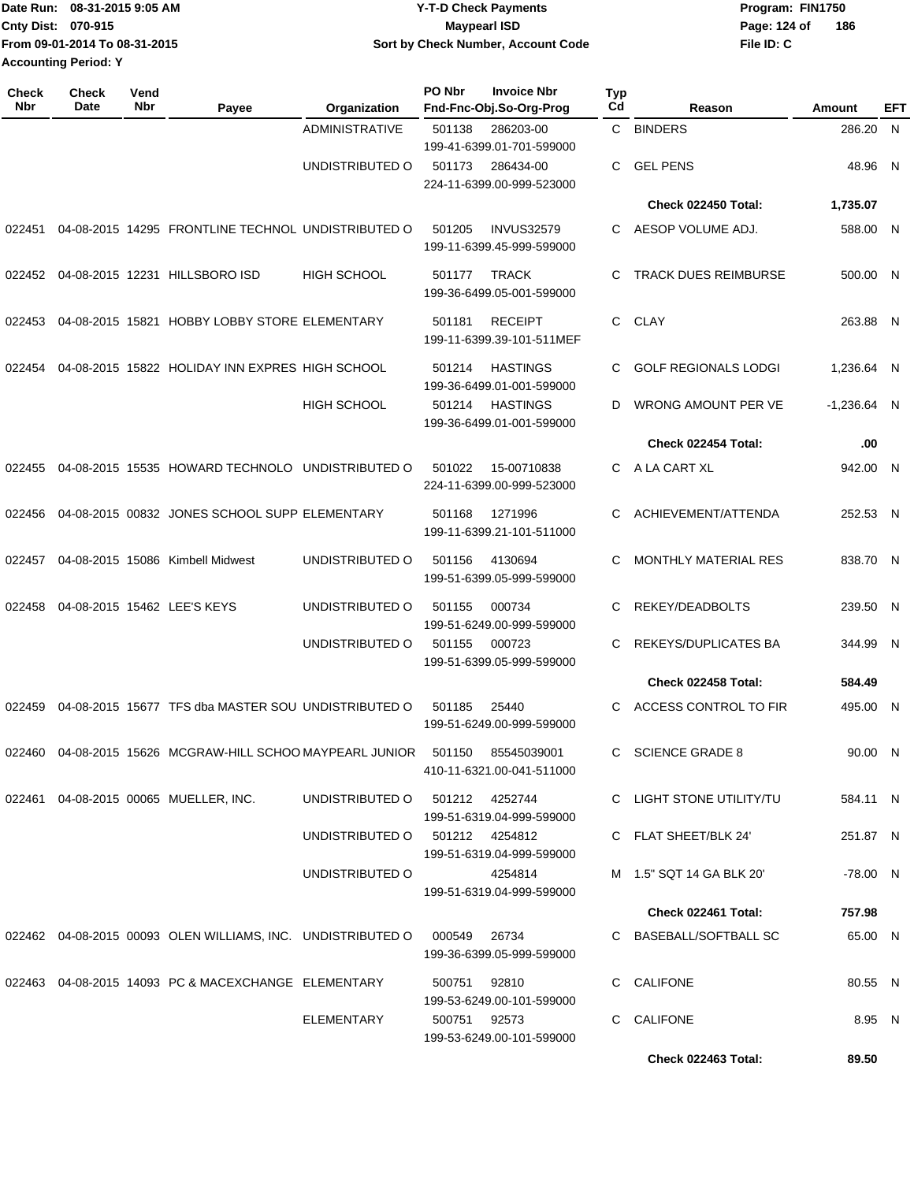| Date Run: 08-31-2015 9:05 AM  | <b>Y-T-D Check Payments</b>        | Program: FIN1750    |
|-------------------------------|------------------------------------|---------------------|
| <b>Cnty Dist: 070-915</b>     | Maypearl ISD                       | 186<br>Page: 124 of |
| From 09-01-2014 To 08-31-2015 | Sort by Check Number, Account Code | File ID: C          |
| <b>Accounting Period: Y</b>   |                                    |                     |

| <b>Check</b><br>Nbr | <b>Check</b><br>Date | Vend<br>Nbr | Payee                                                                        | Organization                   | PO Nbr         | <b>Invoice Nbr</b><br>Fnd-Fnc-Obj.So-Org-Prog  | Typ<br>Cd | Reason                                          | Amount             | EFT |
|---------------------|----------------------|-------------|------------------------------------------------------------------------------|--------------------------------|----------------|------------------------------------------------|-----------|-------------------------------------------------|--------------------|-----|
|                     |                      |             |                                                                              | <b>ADMINISTRATIVE</b>          | 501138         | 286203-00<br>199-41-6399.01-701-599000         | C.        | <b>BINDERS</b>                                  | 286.20 N           |     |
|                     |                      |             |                                                                              | UNDISTRIBUTED O                | 501173         | 286434-00<br>224-11-6399.00-999-523000         | C         | <b>GEL PENS</b>                                 | 48.96 N            |     |
|                     |                      |             |                                                                              |                                |                |                                                |           | Check 022450 Total:                             | 1,735.07           |     |
| 022451              |                      |             | 04-08-2015 14295 FRONTLINE TECHNOL UNDISTRIBUTED O                           |                                | 501205         | <b>INVUS32579</b><br>199-11-6399.45-999-599000 | C         | AESOP VOLUME ADJ.                               | 588.00 N           |     |
| 022452              |                      |             | 04-08-2015 12231 HILLSBORO ISD                                               | <b>HIGH SCHOOL</b>             | 501177         | <b>TRACK</b><br>199-36-6499.05-001-599000      | C         | <b>TRACK DUES REIMBURSE</b>                     | 500.00 N           |     |
| 022453              |                      |             | 04-08-2015 15821 HOBBY LOBBY STORE ELEMENTARY                                |                                | 501181         | <b>RECEIPT</b><br>199-11-6399.39-101-511MEF    | C.        | CLAY                                            | 263.88 N           |     |
| 022454              |                      |             | 04-08-2015 15822 HOLIDAY INN EXPRES HIGH SCHOOL                              |                                | 501214         | <b>HASTINGS</b><br>199-36-6499.01-001-599000   | C         | <b>GOLF REGIONALS LODGI</b>                     | 1,236.64 N         |     |
|                     |                      |             |                                                                              | <b>HIGH SCHOOL</b>             | 501214         | <b>HASTINGS</b><br>199-36-6499.01-001-599000   | D         | WRONG AMOUNT PER VE                             | $-1,236.64$ N      |     |
|                     |                      |             |                                                                              |                                |                |                                                |           | Check 022454 Total:                             | .00                |     |
| 022455              |                      |             | 04-08-2015 15535 HOWARD TECHNOLO UNDISTRIBUTED O                             |                                | 501022         | 15-00710838<br>224-11-6399.00-999-523000       | C.        | A LA CART XL                                    | 942.00 N           |     |
| 022456              |                      |             | 04-08-2015 00832 JONES SCHOOL SUPP ELEMENTARY                                |                                | 501168         | 1271996<br>199-11-6399.21-101-511000           | C         | ACHIEVEMENT/ATTENDA                             | 252.53 N           |     |
| 022457              |                      |             | 04-08-2015 15086 Kimbell Midwest                                             | UNDISTRIBUTED O                | 501156         | 4130694<br>199-51-6399.05-999-599000           | С         | <b>MONTHLY MATERIAL RES</b>                     | 838.70 N           |     |
| 022458              |                      |             | 04-08-2015 15462 LEE'S KEYS                                                  | UNDISTRIBUTED O                | 501155         | 000734<br>199-51-6249.00-999-599000            | C         | REKEY/DEADBOLTS                                 | 239.50 N           |     |
|                     |                      |             |                                                                              | UNDISTRIBUTED O                | 501155         | 000723<br>199-51-6399.05-999-599000            | С         | REKEYS/DUPLICATES BA                            | 344.99 N           |     |
|                     |                      |             |                                                                              |                                |                |                                                |           | Check 022458 Total:                             | 584.49             |     |
| 022459              |                      |             | 04-08-2015 15677 TFS dba MASTER SOU UNDISTRIBUTED O                          |                                | 501185         | 25440<br>199-51-6249.00-999-599000             | C         | ACCESS CONTROL TO FIR                           | 495.00 N           |     |
| 022460              |                      |             | 04-08-2015 15626 MCGRAW-HILL SCHOO MAYPEARL JUNIOR                           |                                | 501150         | 85545039001<br>410-11-6321.00-041-511000       |           | C SCIENCE GRADE 8                               | 90.00 N            |     |
|                     |                      |             | 022461  04-08-2015  00065  MUELLER, INC.                                     | UNDISTRIBUTED O                | 501212 4252744 | 199-51-6319.04-999-599000                      |           | C LIGHT STONE UTILITY/TU                        | 584.11 N           |     |
|                     |                      |             |                                                                              | UNDISTRIBUTED 0 501212 4254812 |                | 199-51-6319.04-999-599000                      |           | C FLAT SHEET/BLK 24'                            | 251.87 N           |     |
|                     |                      |             |                                                                              | UNDISTRIBUTED O                |                | 4254814<br>199-51-6319.04-999-599000           |           | M 1.5" SQT 14 GA BLK 20"<br>Check 022461 Total: | -78.00 N<br>757.98 |     |
|                     |                      |             |                                                                              |                                |                |                                                |           |                                                 |                    |     |
|                     |                      |             | 022462  04-08-2015  00093  OLEN WILLIAMS, INC. UNDISTRIBUTED   000549  26734 |                                |                | 199-36-6399.05-999-599000                      |           | C BASEBALL/SOFTBALL SC                          | 65.00 N            |     |
|                     |                      |             | 022463  04-08-2015  14093  PC & MACEXCHANGE  ELEMENTARY                      |                                | 500751         | 92810<br>199-53-6249.00-101-599000             |           | C CALIFONE                                      | 80.55 N            |     |
|                     |                      |             |                                                                              | ELEMENTARY                     | 500751 92573   | 199-53-6249.00-101-599000                      |           | C CALIFONE                                      | 8.95 N             |     |
|                     |                      |             |                                                                              |                                |                |                                                |           | Check 022463 Total:                             | 89.50              |     |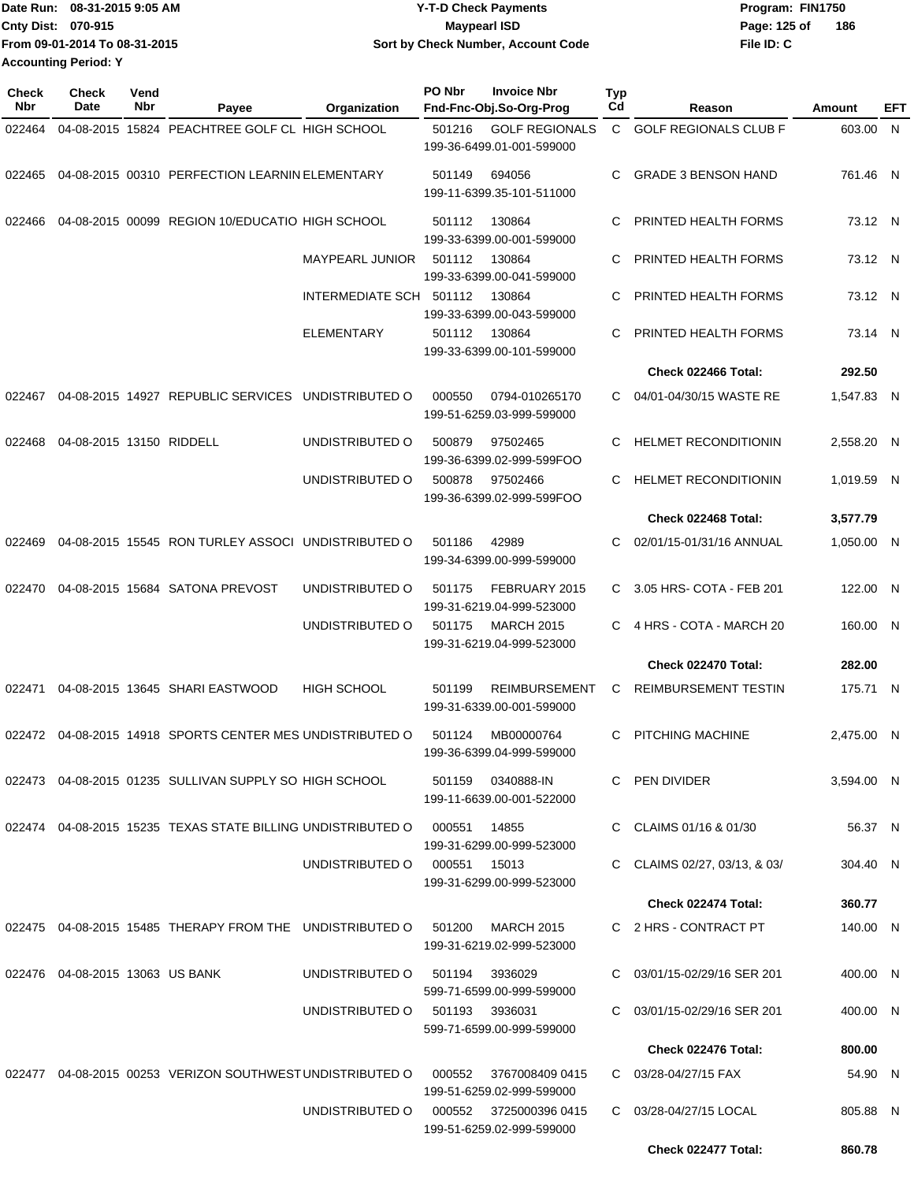| Date Run: 08-31-2015 9:05 AM  | <b>Y-T-D Check Payments</b>        | Program: FIN1750    |
|-------------------------------|------------------------------------|---------------------|
| <b>Cnty Dist: 070-915</b>     | <b>Mavpearl ISD</b>                | 186<br>Page: 125 of |
| From 09-01-2014 To 08-31-2015 | Sort by Check Number, Account Code | File ID: C          |
| <b>Accounting Period: Y</b>   |                                    |                     |

| <b>Check</b><br>Nbr | Check<br>Date                   | Vend<br>Nbr | Payee                                                       | Organization            | PO Nbr       | <b>Invoice Nbr</b><br>Fnd-Fnc-Obj.So-Org-Prog  | Typ<br>Cd    | Reason                       | Amount     | EFT |
|---------------------|---------------------------------|-------------|-------------------------------------------------------------|-------------------------|--------------|------------------------------------------------|--------------|------------------------------|------------|-----|
| 022464              |                                 |             | 04-08-2015 15824 PEACHTREE GOLF CL HIGH SCHOOL              |                         | 501216       | <b>GOLF REGIONALS</b>                          | $\mathbf{C}$ | <b>GOLF REGIONALS CLUB F</b> | 603.00 N   |     |
|                     |                                 |             |                                                             |                         |              | 199-36-6499.01-001-599000                      |              |                              |            |     |
| 022465              |                                 |             | 04-08-2015 00310 PERFECTION LEARNIN ELEMENTARY              |                         | 501149       | 694056                                         | C.           | <b>GRADE 3 BENSON HAND</b>   | 761.46 N   |     |
|                     |                                 |             |                                                             |                         |              | 199-11-6399.35-101-511000                      |              |                              |            |     |
| 022466              |                                 |             | 04-08-2015 00099 REGION 10/EDUCATIO HIGH SCHOOL             |                         | 501112       | 130864                                         | С            | PRINTED HEALTH FORMS         | 73.12 N    |     |
|                     |                                 |             |                                                             |                         |              | 199-33-6399.00-001-599000                      |              |                              |            |     |
|                     |                                 |             |                                                             | <b>MAYPEARL JUNIOR</b>  | 501112       | 130864<br>199-33-6399.00-041-599000            | С            | PRINTED HEALTH FORMS         | 73.12 N    |     |
|                     |                                 |             |                                                             | INTERMEDIATE SCH 501112 |              | 130864                                         | С            | PRINTED HEALTH FORMS         | 73.12 N    |     |
|                     |                                 |             |                                                             |                         |              | 199-33-6399.00-043-599000                      |              |                              |            |     |
|                     |                                 |             |                                                             | ELEMENTARY              | 501112       | 130864<br>199-33-6399.00-101-599000            | С            | PRINTED HEALTH FORMS         | 73.14 N    |     |
|                     |                                 |             |                                                             |                         |              |                                                |              | Check 022466 Total:          | 292.50     |     |
| 022467              |                                 |             | 04-08-2015 14927 REPUBLIC SERVICES                          | UNDISTRIBUTED O         | 000550       | 0794-010265170                                 | C.           | 04/01-04/30/15 WASTE RE      | 1,547.83 N |     |
|                     |                                 |             |                                                             |                         |              | 199-51-6259.03-999-599000                      |              |                              |            |     |
| 022468              | 04-08-2015 13150 RIDDELL        |             |                                                             | UNDISTRIBUTED O         | 500879       | 97502465                                       | С            | <b>HELMET RECONDITIONIN</b>  | 2.558.20 N |     |
|                     |                                 |             |                                                             |                         |              | 199-36-6399.02-999-599FOO                      |              |                              |            |     |
|                     |                                 |             |                                                             | UNDISTRIBUTED O         | 500878       | 97502466<br>199-36-6399.02-999-599FOO          | С            | <b>HELMET RECONDITIONIN</b>  | 1,019.59 N |     |
|                     |                                 |             |                                                             |                         |              |                                                |              | Check 022468 Total:          | 3,577.79   |     |
| 022469              |                                 |             | 04-08-2015 15545 RON TURLEY ASSOCI UNDISTRIBUTED O          |                         | 501186       | 42989                                          | С            | 02/01/15-01/31/16 ANNUAL     | 1,050.00 N |     |
|                     |                                 |             |                                                             |                         |              | 199-34-6399.00-999-599000                      |              |                              |            |     |
| 022470              |                                 |             | 04-08-2015 15684 SATONA PREVOST                             | UNDISTRIBUTED O         | 501175       | FEBRUARY 2015                                  | C.           | 3.05 HRS- COTA - FEB 201     | 122.00 N   |     |
|                     |                                 |             |                                                             |                         |              | 199-31-6219.04-999-523000                      |              | 4 HRS - COTA - MARCH 20      |            |     |
|                     |                                 |             |                                                             | UNDISTRIBUTED O         | 501175       | <b>MARCH 2015</b><br>199-31-6219.04-999-523000 | С            |                              | 160.00 N   |     |
|                     |                                 |             |                                                             |                         |              |                                                |              | Check 022470 Total:          | 282.00     |     |
| 022471              |                                 |             | 04-08-2015 13645 SHARI EASTWOOD                             | <b>HIGH SCHOOL</b>      | 501199       | <b>REIMBURSEMENT</b>                           | С            | <b>REIMBURSEMENT TESTIN</b>  | 175.71 N   |     |
|                     |                                 |             |                                                             |                         |              | 199-31-6339.00-001-599000                      |              |                              |            |     |
|                     |                                 |             | 022472 04-08-2015 14918 SPORTS CENTER MES UNDISTRIBUTED O   |                         | 501124       | MB00000764                                     | С            | PITCHING MACHINE             | 2,475.00 N |     |
|                     |                                 |             |                                                             |                         |              | 199-36-6399.04-999-599000                      |              |                              |            |     |
|                     |                                 |             | 022473 04-08-2015 01235 SULLIVAN SUPPLY SO HIGH SCHOOL      |                         | 501159       | 0340888-IN                                     |              | C PEN DIVIDER                | 3,594.00 N |     |
|                     |                                 |             |                                                             |                         |              | 199-11-6639.00-001-522000                      |              |                              |            |     |
|                     |                                 |             | 022474 04-08-2015 15235 TEXAS STATE BILLING UNDISTRIBUTED O |                         | 000551       | 14855<br>199-31-6299.00-999-523000             |              | C CLAIMS 01/16 & 01/30       | 56.37 N    |     |
|                     |                                 |             |                                                             | UNDISTRIBUTED O         | 000551 15013 |                                                | C.           | CLAIMS 02/27, 03/13, & 03/   | 304.40 N   |     |
|                     |                                 |             |                                                             |                         |              | 199-31-6299.00-999-523000                      |              |                              |            |     |
|                     |                                 |             |                                                             |                         |              |                                                |              | Check 022474 Total:          | 360.77     |     |
|                     |                                 |             | 022475 04-08-2015 15485 THERAPY FROM THE UNDISTRIBUTED O    |                         | 501200       | <b>MARCH 2015</b><br>199-31-6219.02-999-523000 |              | C 2 HRS - CONTRACT PT        | 140.00 N   |     |
|                     | 022476 04-08-2015 13063 US BANK |             |                                                             | UNDISTRIBUTED O         | 501194       | 3936029                                        |              | C 03/01/15-02/29/16 SER 201  | 400.00 N   |     |
|                     |                                 |             |                                                             |                         |              | 599-71-6599.00-999-599000                      |              |                              |            |     |
|                     |                                 |             |                                                             | UNDISTRIBUTED O         | 501193       | 3936031<br>599-71-6599.00-999-599000           |              | C 03/01/15-02/29/16 SER 201  | 400.00 N   |     |
|                     |                                 |             |                                                             |                         |              |                                                |              | Check 022476 Total:          | 800.00     |     |
|                     |                                 |             | 022477 04-08-2015 00253 VERIZON SOUTHWEST UNDISTRIBUTED O   |                         | 000552       | 3767008409 0415                                |              | C 03/28-04/27/15 FAX         | 54.90 N    |     |
|                     |                                 |             |                                                             |                         |              | 199-51-6259.02-999-599000                      |              |                              |            |     |
|                     |                                 |             |                                                             | UNDISTRIBUTED O         | 000552       | 3725000396 0415<br>199-51-6259.02-999-599000   |              | C 03/28-04/27/15 LOCAL       | 805.88 N   |     |
|                     |                                 |             |                                                             |                         |              |                                                |              | Check 022477 Total:          | 860.78     |     |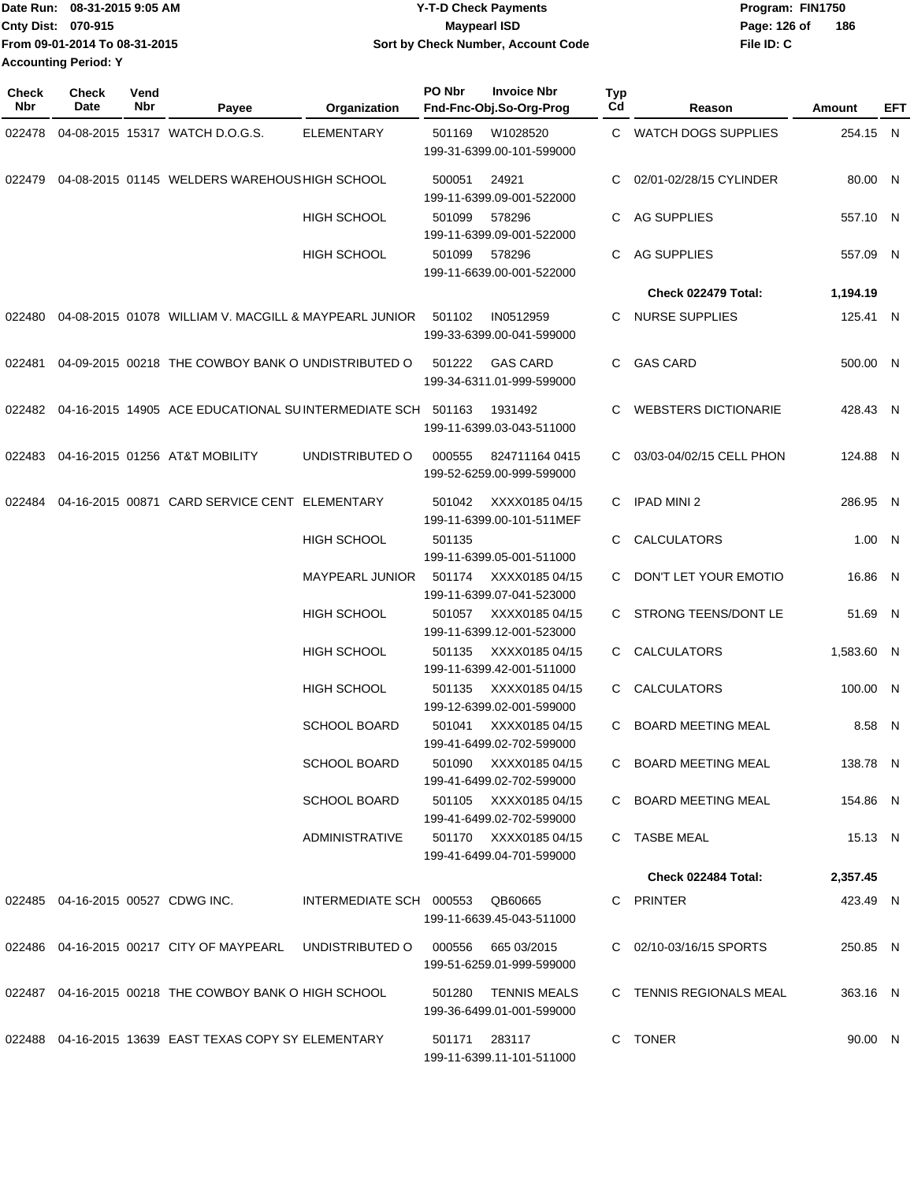|                             | Date Run: 08-31-2015 9:05 AM  | <b>Y-T-D Check Payments</b>        | Program: FIN1750 |     |  |
|-----------------------------|-------------------------------|------------------------------------|------------------|-----|--|
| <b>Cnty Dist: 070-915</b>   |                               | Maypearl ISD                       | Page: 126 of     | 186 |  |
|                             | From 09-01-2014 To 08-31-2015 | Sort by Check Number, Account Code | File ID: C       |     |  |
| <b>Accounting Period: Y</b> |                               |                                    |                  |     |  |

| <b>Check</b><br>Nbr | <b>Check</b><br>Date                 | Vend<br>Nbr | Payee                                                                       | Organization                    | PO Nbr | <b>Invoice Nbr</b><br>Fnd-Fnc-Obj.So-Org-Prog      | Typ<br>Cd | Reason                      | Amount     | EFT |
|---------------------|--------------------------------------|-------------|-----------------------------------------------------------------------------|---------------------------------|--------|----------------------------------------------------|-----------|-----------------------------|------------|-----|
| 022478              |                                      |             | 04-08-2015 15317 WATCH D.O.G.S.                                             | <b>ELEMENTARY</b>               | 501169 | W1028520<br>199-31-6399.00-101-599000              | C.        | WATCH DOGS SUPPLIES         | 254.15 N   |     |
| 022479              |                                      |             | 04-08-2015 01145 WELDERS WAREHOUS HIGH SCHOOL                               |                                 | 500051 | 24921<br>199-11-6399.09-001-522000                 | C         | 02/01-02/28/15 CYLINDER     | 80.00 N    |     |
|                     |                                      |             |                                                                             | <b>HIGH SCHOOL</b>              | 501099 | 578296<br>199-11-6399.09-001-522000                | C         | AG SUPPLIES                 | 557.10 N   |     |
|                     |                                      |             |                                                                             | <b>HIGH SCHOOL</b>              | 501099 | 578296<br>199-11-6639.00-001-522000                | C.        | <b>AG SUPPLIES</b>          | 557.09 N   |     |
|                     |                                      |             |                                                                             |                                 |        |                                                    |           | Check 022479 Total:         | 1,194.19   |     |
| 022480              |                                      |             | 04-08-2015 01078 WILLIAM V. MACGILL & MAYPEARL JUNIOR                       |                                 | 501102 | IN0512959<br>199-33-6399.00-041-599000             | C.        | <b>NURSE SUPPLIES</b>       | 125.41 N   |     |
| 022481              |                                      |             | 04-09-2015 00218 THE COWBOY BANK O UNDISTRIBUTED O                          |                                 | 501222 | <b>GAS CARD</b><br>199-34-6311.01-999-599000       | C.        | <b>GAS CARD</b>             | 500.00 N   |     |
| 022482              |                                      |             | 04-16-2015 14905 ACE EDUCATIONAL SUINTERMEDIATE SCH 501163                  |                                 |        | 1931492<br>199-11-6399.03-043-511000               | C.        | <b>WEBSTERS DICTIONARIE</b> | 428.43 N   |     |
| 022483              |                                      |             | 04-16-2015 01256 AT&T MOBILITY                                              | UNDISTRIBUTED O                 | 000555 | 824711164 0415<br>199-52-6259.00-999-599000        |           | C 03/03-04/02/15 CELL PHON  | 124.88 N   |     |
| 022484              |                                      |             | 04-16-2015 00871 CARD SERVICE CENT ELEMENTARY                               |                                 | 501042 | XXXX0185 04/15<br>199-11-6399.00-101-511MEF        | C.        | <b>IPAD MINI 2</b>          | 286.95 N   |     |
|                     |                                      |             |                                                                             | <b>HIGH SCHOOL</b>              | 501135 | 199-11-6399.05-001-511000                          | C.        | <b>CALCULATORS</b>          | 1.00 N     |     |
|                     |                                      |             |                                                                             | MAYPEARL JUNIOR                 | 501174 | XXXX0185 04/15<br>199-11-6399.07-041-523000        | C.        | DON'T LET YOUR EMOTIO       | 16.86 N    |     |
|                     |                                      |             |                                                                             | <b>HIGH SCHOOL</b>              | 501057 | XXXX0185 04/15<br>199-11-6399.12-001-523000        | C         | STRONG TEENS/DONT LE        | 51.69 N    |     |
|                     |                                      |             |                                                                             | <b>HIGH SCHOOL</b>              | 501135 | XXXX0185 04/15<br>199-11-6399.42-001-511000        | C.        | CALCULATORS                 | 1,583.60 N |     |
|                     |                                      |             |                                                                             | <b>HIGH SCHOOL</b>              | 501135 | XXXX0185 04/15<br>199-12-6399.02-001-599000        | C.        | CALCULATORS                 | 100.00 N   |     |
|                     |                                      |             |                                                                             | <b>SCHOOL BOARD</b>             | 501041 | XXXX0185 04/15<br>199-41-6499.02-702-599000        | C.        | <b>BOARD MEETING MEAL</b>   | 8.58 N     |     |
|                     |                                      |             |                                                                             | <b>SCHOOL BOARD</b>             |        | 501090 XXXX0185 04/15<br>199-41-6499.02-702-599000 |           | C BOARD MEETING MEAL        | 138.78 N   |     |
|                     |                                      |             |                                                                             | <b>SCHOOL BOARD</b>             |        | 501105 XXXX0185 04/15<br>199-41-6499.02-702-599000 |           | C BOARD MEETING MEAL        | 154.86 N   |     |
|                     |                                      |             |                                                                             | ADMINISTRATIVE                  |        | 501170 XXXX0185 04/15<br>199-41-6499.04-701-599000 |           | C TASBE MEAL                | 15.13 N    |     |
|                     |                                      |             |                                                                             |                                 |        |                                                    |           | Check 022484 Total:         | 2,357.45   |     |
|                     | 022485  04-16-2015  00527  CDWG INC. |             |                                                                             | INTERMEDIATE SCH 000553 QB60665 |        | 199-11-6639.45-043-511000                          |           | C PRINTER                   | 423.49 N   |     |
|                     |                                      |             | 022486 04-16-2015 00217 CITY OF MAYPEARL UNDISTRIBUTED O 000556 665 03/2015 |                                 |        | 199-51-6259.01-999-599000                          |           | C 02/10-03/16/15 SPORTS     | 250.85 N   |     |
|                     |                                      |             | 022487 04-16-2015 00218 THE COWBOY BANK O HIGH SCHOOL                       |                                 | 501280 | TENNIS MEALS<br>199-36-6499.01-001-599000          |           | C TENNIS REGIONALS MEAL     | 363.16 N   |     |
|                     |                                      |             | 022488 04-16-2015 13639 EAST TEXAS COPY SY ELEMENTARY                       |                                 |        | 501171 283117<br>199-11-6399.11-101-511000         |           | C TONER                     | 90.00 N    |     |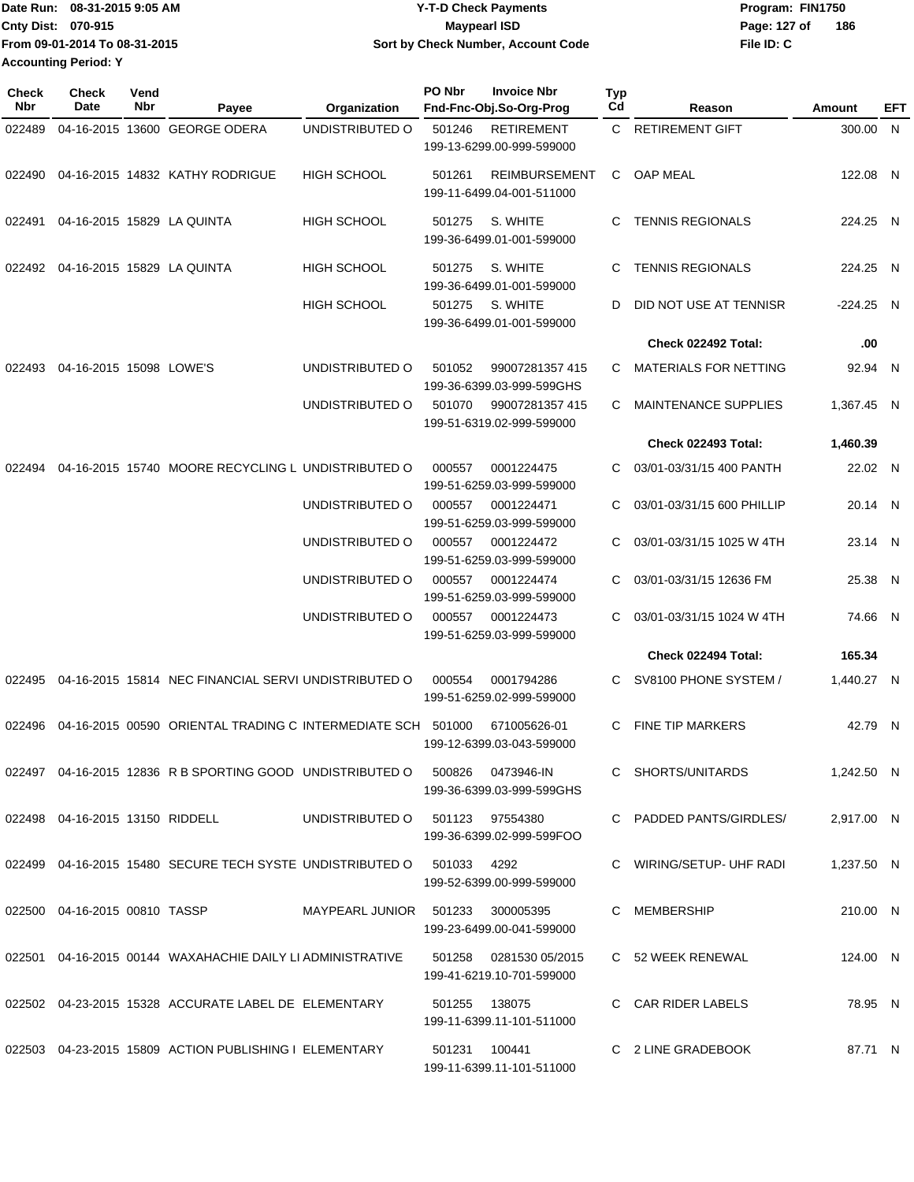|                             | Date Run: 08-31-2015 9:05 AM  | <b>Y-T-D Check Payments</b>        | Program: FIN1750 |     |
|-----------------------------|-------------------------------|------------------------------------|------------------|-----|
| <b>Cnty Dist: 070-915</b>   |                               | Maypearl ISD                       | Page: 127 of     | 186 |
|                             | From 09-01-2014 To 08-31-2015 | Sort by Check Number, Account Code | File ID: C       |     |
| <b>Accounting Period: Y</b> |                               |                                    |                  |     |

| Check<br>Nbr | <b>Check</b><br>Date               | Vend<br>Nbr | Payee                                                                       | Organization                     | PO Nbr<br>Fnd-Fnc-Obj.So-Org-Prog                       | <b>Invoice Nbr</b>   | Typ<br>Cd | Reason                      | Amount      | EFT |
|--------------|------------------------------------|-------------|-----------------------------------------------------------------------------|----------------------------------|---------------------------------------------------------|----------------------|-----------|-----------------------------|-------------|-----|
| 022489       |                                    |             | 04-16-2015 13600 GEORGE ODERA                                               | UNDISTRIBUTED O                  | 501246<br>199-13-6299.00-999-599000                     | <b>RETIREMENT</b>    | C.        | <b>RETIREMENT GIFT</b>      | 300.00 N    |     |
| 022490       |                                    |             | 04-16-2015 14832 KATHY RODRIGUE                                             | <b>HIGH SCHOOL</b>               | 501261<br>199-11-6499.04-001-511000                     | <b>REIMBURSEMENT</b> | C.        | <b>OAP MEAL</b>             | 122.08 N    |     |
| 022491       |                                    |             | 04-16-2015 15829 LA QUINTA                                                  | <b>HIGH SCHOOL</b>               | 501275<br>199-36-6499.01-001-599000                     | S. WHITE             | C.        | <b>TENNIS REGIONALS</b>     | 224.25 N    |     |
| 022492       |                                    |             | 04-16-2015 15829 LA QUINTA                                                  | <b>HIGH SCHOOL</b>               | 501275<br>199-36-6499.01-001-599000                     | S. WHITE             | C         | <b>TENNIS REGIONALS</b>     | 224.25 N    |     |
|              |                                    |             |                                                                             | <b>HIGH SCHOOL</b>               | 501275<br>199-36-6499.01-001-599000                     | S. WHITE             | D         | DID NOT USE AT TENNISR      | $-224.25$ N |     |
|              |                                    |             |                                                                             |                                  |                                                         |                      |           | Check 022492 Total:         | .00         |     |
| 022493       | 04-16-2015 15098 LOWE'S            |             |                                                                             | UNDISTRIBUTED O                  | 501052<br>199-36-6399.03-999-599GHS                     | 99007281357 415      | C.        | MATERIALS FOR NETTING       | 92.94 N     |     |
|              |                                    |             |                                                                             | UNDISTRIBUTED O                  | 501070<br>199-51-6319.02-999-599000                     | 99007281357 415      | C.        | <b>MAINTENANCE SUPPLIES</b> | 1.367.45 N  |     |
|              |                                    |             |                                                                             |                                  |                                                         |                      |           | <b>Check 022493 Total:</b>  | 1,460.39    |     |
| 022494       |                                    |             | 04-16-2015 15740 MOORE RECYCLING L UNDISTRIBUTED O                          |                                  | 000557<br>199-51-6259.03-999-599000                     | 0001224475           | C         | 03/01-03/31/15 400 PANTH    | 22.02 N     |     |
|              |                                    |             |                                                                             | UNDISTRIBUTED O                  | 000557<br>199-51-6259.03-999-599000                     | 0001224471           | C         | 03/01-03/31/15 600 PHILLIP  | 20.14 N     |     |
|              |                                    |             |                                                                             | UNDISTRIBUTED O                  | 000557<br>199-51-6259.03-999-599000                     | 0001224472           | C         | 03/01-03/31/15 1025 W 4TH   | 23.14 N     |     |
|              |                                    |             |                                                                             | UNDISTRIBUTED O                  | 000557<br>199-51-6259.03-999-599000                     | 0001224474           | C         | 03/01-03/31/15 12636 FM     | 25.38 N     |     |
|              |                                    |             |                                                                             | UNDISTRIBUTED O                  | 000557<br>199-51-6259.03-999-599000                     | 0001224473           | C         | 03/01-03/31/15 1024 W 4TH   | 74.66 N     |     |
|              |                                    |             |                                                                             |                                  |                                                         |                      |           | Check 022494 Total:         | 165.34      |     |
| 022495       |                                    |             | 04-16-2015 15814 NEC FINANCIAL SERVI UNDISTRIBUTED O                        |                                  | 000554<br>199-51-6259.02-999-599000                     | 0001794286           | C.        | SV8100 PHONE SYSTEM /       | 1,440.27 N  |     |
| 022496       |                                    |             | 04-16-2015 00590 ORIENTAL TRADING C INTERMEDIATE SCH 501000                 |                                  | 199-12-6399.03-043-599000                               | 671005626-01         | C         | <b>FINE TIP MARKERS</b>     | 42.79 N     |     |
|              |                                    |             | 022497 04-16-2015 12836 R B SPORTING GOOD UNDISTRIBUTED O 500826 0473946-IN |                                  | 199-36-6399.03-999-599GHS                               |                      |           | C SHORTS/UNITARDS           | 1,242.50 N  |     |
|              | 022498  04-16-2015  13150  RIDDELL |             |                                                                             | UNDISTRIBUTED O 501123 97554380  | 199-36-6399.02-999-599FOO                               |                      |           | C PADDED PANTS/GIRDLES/     | 2,917.00 N  |     |
|              |                                    |             | 022499  04-16-2015  15480  SECURE TECH SYSTE UNDISTRIBUTED O  501033  4292  |                                  | 199-52-6399.00-999-599000                               |                      |           | C WIRING/SETUP- UHF RADI    | 1,237.50 N  |     |
|              | 022500 04-16-2015 00810 TASSP      |             |                                                                             | MAYPEARL JUNIOR 501233 300005395 | 199-23-6499.00-041-599000                               |                      |           | C MEMBERSHIP                | 210.00 N    |     |
|              |                                    |             | 022501 04-16-2015 00144 WAXAHACHIE DAILY LI ADMINISTRATIVE                  |                                  | 501258   0281530   05/2015<br>199-41-6219.10-701-599000 |                      |           | C 52 WEEK RENEWAL           | 124.00 N    |     |
|              |                                    |             | 022502  04-23-2015  15328  ACCURATE LABEL DE ELEMENTARY    501255  138075   |                                  | 199-11-6399.11-101-511000                               |                      |           | C CAR RIDER LABELS          | 78.95 N     |     |
|              |                                    |             | 022503  04-23-2015  15809  ACTION PUBLISHING I ELEMENTARY                   |                                  | 501231 100441<br>199-11-6399.11-101-511000              |                      |           | C 2 LINE GRADEBOOK          | 87.71 N     |     |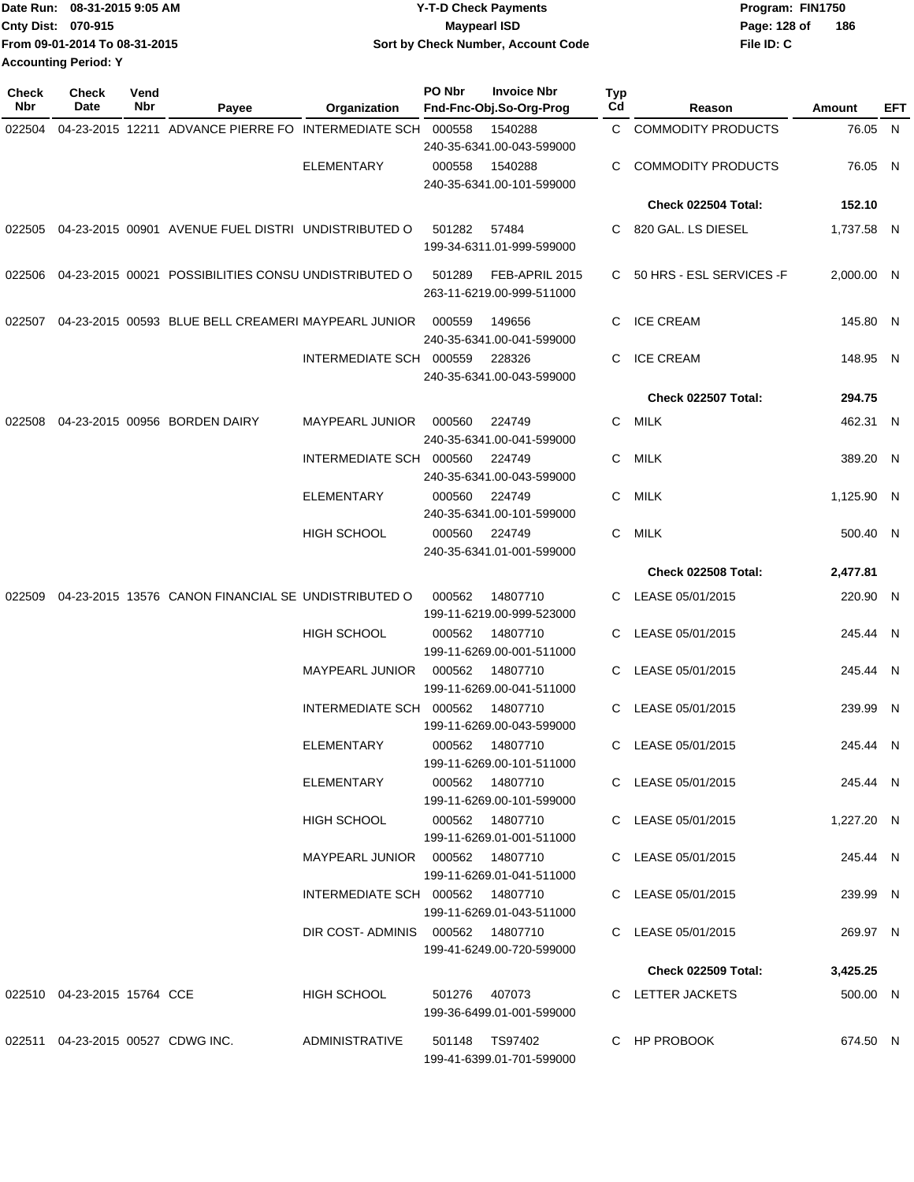| Date Run:                 | 08-31-2015 9:05 AM            | <b>Y-T-D Check Payments</b>        | Program: FIN1750 |     |
|---------------------------|-------------------------------|------------------------------------|------------------|-----|
| <b>Cnty Dist: 070-915</b> |                               | <b>Mavpearl ISD</b>                | Page: 128 of     | 186 |
|                           | From 09-01-2014 To 08-31-2015 | Sort by Check Number, Account Code | File ID: C       |     |
| Accounting Period: Y      |                               |                                    |                  |     |

| <b>Check</b><br>Nbr | <b>Check</b><br>Date              | Vend<br>Nbr | Payee                                                | Organization                     | PO Nbr        | <b>Invoice Nbr</b><br>Fnd-Fnc-Obj.So-Org-Prog | <b>Typ</b><br>Cd | Reason                     | Amount     | EFT |
|---------------------|-----------------------------------|-------------|------------------------------------------------------|----------------------------------|---------------|-----------------------------------------------|------------------|----------------------------|------------|-----|
| 022504              |                                   |             | 04-23-2015 12211 ADVANCE PIERRE FO INTERMEDIATE SCH  |                                  | 000558        | 1540288<br>240-35-6341.00-043-599000          | $\mathsf{C}^-$   | <b>COMMODITY PRODUCTS</b>  | 76.05 N    |     |
|                     |                                   |             |                                                      | <b>ELEMENTARY</b>                | 000558        | 1540288<br>240-35-6341.00-101-599000          | C                | <b>COMMODITY PRODUCTS</b>  | 76.05 N    |     |
|                     |                                   |             |                                                      |                                  |               |                                               |                  | <b>Check 022504 Total:</b> | 152.10     |     |
| 022505              |                                   |             | 04-23-2015 00901 AVENUE FUEL DISTRI UNDISTRIBUTED O  |                                  | 501282        | 57484<br>199-34-6311.01-999-599000            | C.               | 820 GAL. LS DIESEL         | 1,737.58 N |     |
| 022506              |                                   |             | 04-23-2015 00021 POSSIBILITIES CONSU UNDISTRIBUTED O |                                  | 501289        | FEB-APRIL 2015<br>263-11-6219.00-999-511000   | C.               | 50 HRS - ESL SERVICES -F   | 2,000.00 N |     |
| 022507              |                                   |             | 04-23-2015 00593 BLUE BELL CREAMERI MAYPEARL JUNIOR  |                                  | 000559        | 149656<br>240-35-6341.00-041-599000           | C                | <b>ICE CREAM</b>           | 145.80 N   |     |
|                     |                                   |             |                                                      | INTERMEDIATE SCH 000559          |               | 228326<br>240-35-6341.00-043-599000           | C                | <b>ICE CREAM</b>           | 148.95 N   |     |
|                     |                                   |             |                                                      |                                  |               |                                               |                  | Check 022507 Total:        | 294.75     |     |
| 022508              |                                   |             | 04-23-2015 00956 BORDEN DAIRY                        | <b>MAYPEARL JUNIOR</b>           | 000560        | 224749<br>240-35-6341.00-041-599000           | C.               | MILK                       | 462.31 N   |     |
|                     |                                   |             |                                                      | INTERMEDIATE SCH 000560          |               | 224749<br>240-35-6341.00-043-599000           | C.               | MILK                       | 389.20 N   |     |
|                     |                                   |             |                                                      | <b>ELEMENTARY</b>                | 000560        | 224749<br>240-35-6341.00-101-599000           | C                | MILK                       | 1,125.90 N |     |
|                     |                                   |             |                                                      | <b>HIGH SCHOOL</b>               | 000560        | 224749<br>240-35-6341.01-001-599000           | C                | MILK                       | 500.40 N   |     |
|                     |                                   |             |                                                      |                                  |               |                                               |                  | <b>Check 022508 Total:</b> | 2,477.81   |     |
| 022509              |                                   |             | 04-23-2015 13576 CANON FINANCIAL SE UNDISTRIBUTED O  |                                  | 000562        | 14807710<br>199-11-6219.00-999-523000         |                  | C LEASE 05/01/2015         | 220.90 N   |     |
|                     |                                   |             |                                                      | <b>HIGH SCHOOL</b>               | 000562        | 14807710<br>199-11-6269.00-001-511000         | C.               | LEASE 05/01/2015           | 245.44 N   |     |
|                     |                                   |             |                                                      | MAYPEARL JUNIOR                  | 000562        | 14807710<br>199-11-6269.00-041-511000         | C.               | LEASE 05/01/2015           | 245.44 N   |     |
|                     |                                   |             |                                                      | INTERMEDIATE SCH                 | 000562        | 14807710<br>199-11-6269.00-043-599000         | C                | LEASE 05/01/2015           | 239.99 N   |     |
|                     |                                   |             |                                                      | <b>ELEMENTARY</b>                | 000562        | 14807710<br>199-11-6269.00-101-511000         | C                | LEASE 05/01/2015           | 245.44 N   |     |
|                     |                                   |             |                                                      | ELEMENTARY                       |               | 000562 14807710<br>199-11-6269.00-101-599000  |                  | C LEASE 05/01/2015         | 245.44 N   |     |
|                     |                                   |             |                                                      | <b>HIGH SCHOOL</b>               |               | 199-11-6269.01-001-511000                     |                  | C LEASE 05/01/2015         | 1,227.20 N |     |
|                     |                                   |             |                                                      |                                  |               | 199-11-6269.01-041-511000                     |                  | C LEASE 05/01/2015         | 245.44 N   |     |
|                     |                                   |             |                                                      | INTERMEDIATE SCH 000562 14807710 |               | 199-11-6269.01-043-511000                     |                  | C LEASE 05/01/2015         | 239.99 N   |     |
|                     |                                   |             |                                                      | DIR COST-ADMINIS 000562 14807710 |               | 199-41-6249.00-720-599000                     |                  | C LEASE 05/01/2015         | 269.97 N   |     |
|                     |                                   |             |                                                      |                                  |               |                                               |                  | <b>Check 022509 Total:</b> | 3,425.25   |     |
|                     | 022510 04-23-2015 15764 CCE       |             |                                                      | <b>HIGH SCHOOL</b>               | 501276 407073 | 199-36-6499.01-001-599000                     |                  | C LETTER JACKETS           | 500.00 N   |     |
|                     | 022511 04-23-2015 00527 CDWG INC. |             |                                                      | <b>ADMINISTRATIVE</b>            |               | 501148 TS97402<br>199-41-6399.01-701-599000   |                  | C HP PROBOOK               | 674.50 N   |     |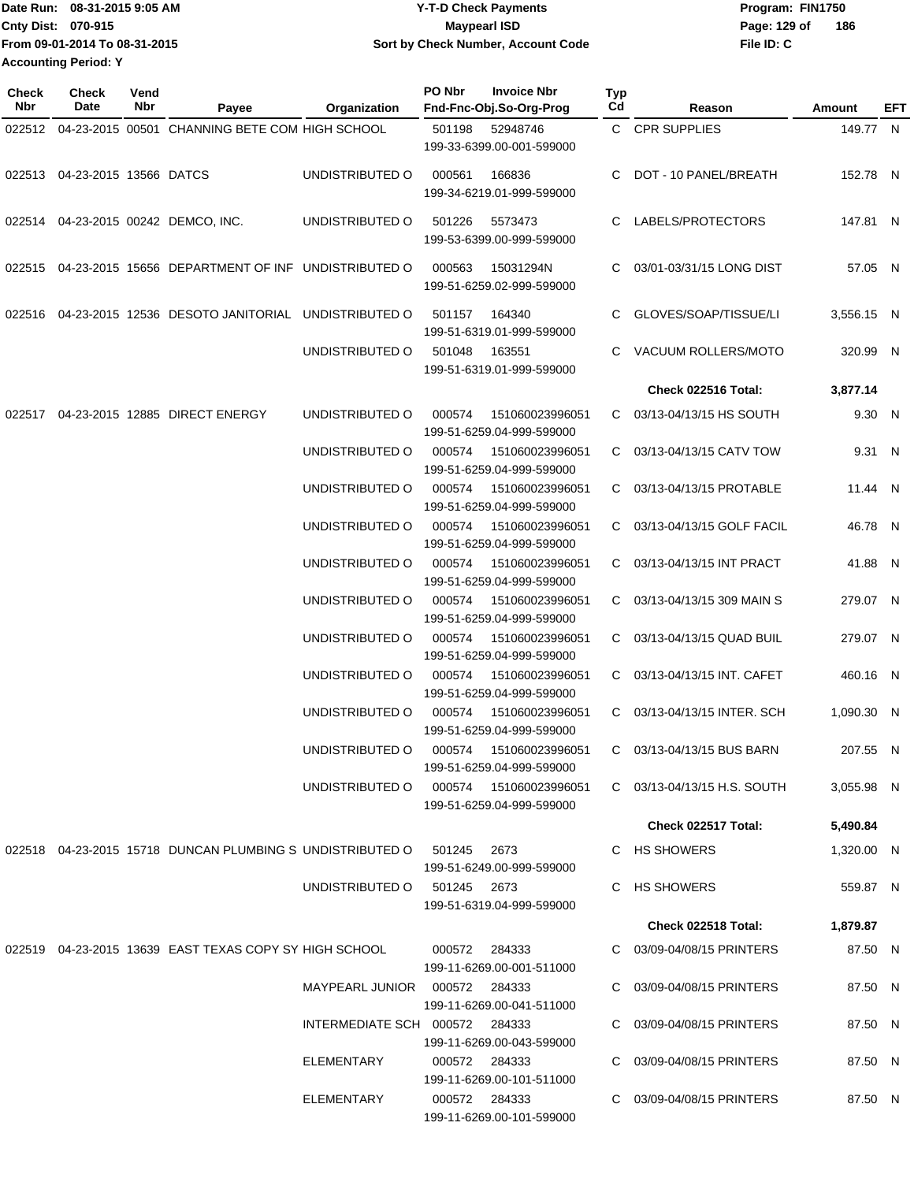| TDate Run: 08-31-2015 9:05 AM | <b>Y-T-D Check Payments</b>        | Program: FIN1750    |
|-------------------------------|------------------------------------|---------------------|
| <b>Cnty Dist: 070-915</b>     | Mavpearl ISD                       | 186<br>Page: 129 of |
| From 09-01-2014 To 08-31-2015 | Sort by Check Number, Account Code | File ID: C          |
| <b>Accounting Period: Y</b>   |                                    |                     |

| <b>Check</b><br>Nbr | <b>Check</b><br>Date          | Vend<br>Nbr | Payee                                                                       | Organization                       | PO Nbr           | <b>Invoice Nbr</b><br>Fnd-Fnc-Obj.So-Org-Prog                   | Typ<br>Cd | Reason                                                    | Amount               | EFT |
|---------------------|-------------------------------|-------------|-----------------------------------------------------------------------------|------------------------------------|------------------|-----------------------------------------------------------------|-----------|-----------------------------------------------------------|----------------------|-----|
|                     |                               |             | 022512 04-23-2015 00501 CHANNING BETE COM HIGH SCHOOL                       |                                    | 501198           | 52948746<br>199-33-6399.00-001-599000                           |           | C CPR SUPPLIES                                            | 149.77 N             |     |
|                     | 022513 04-23-2015 13566 DATCS |             |                                                                             | UNDISTRIBUTED O                    | 000561           | 166836<br>199-34-6219.01-999-599000                             |           | C DOT - 10 PANEL/BREATH                                   | 152.78 N             |     |
|                     |                               |             | 022514 04-23-2015 00242 DEMCO, INC.                                         | UNDISTRIBUTED O                    | 501226           | 5573473<br>199-53-6399.00-999-599000                            |           | C LABELS/PROTECTORS                                       | 147.81 N             |     |
|                     |                               |             | 022515 04-23-2015 15656 DEPARTMENT OF INF UNDISTRIBUTED O                   |                                    | 000563           | 15031294N<br>199-51-6259.02-999-599000                          | C         | 03/01-03/31/15 LONG DIST                                  | 57.05 N              |     |
|                     |                               |             | 022516 04-23-2015 12536 DESOTO JANITORIAL UNDISTRIBUTED O                   |                                    | 501157           | 164340<br>199-51-6319.01-999-599000                             | C         | GLOVES/SOAP/TISSUE/LI                                     | 3,556.15 N           |     |
|                     |                               |             |                                                                             | UNDISTRIBUTED O                    | 501048           | 163551<br>199-51-6319.01-999-599000                             | C.        | VACUUM ROLLERS/MOTO                                       | 320.99 N             |     |
|                     |                               |             |                                                                             |                                    |                  |                                                                 |           | Check 022516 Total:                                       | 3,877.14             |     |
| 022517              |                               |             | 04-23-2015 12885 DIRECT ENERGY                                              | UNDISTRIBUTED O                    | 000574           | 151060023996051<br>199-51-6259.04-999-599000                    |           | C 03/13-04/13/15 HS SOUTH                                 | 9.30 N               |     |
|                     |                               |             |                                                                             | UNDISTRIBUTED O                    | 000574           | 151060023996051<br>199-51-6259.04-999-599000                    |           | C 03/13-04/13/15 CATV TOW                                 | 9.31 N               |     |
|                     |                               |             |                                                                             | UNDISTRIBUTED O                    | 000574           | 151060023996051<br>199-51-6259.04-999-599000                    |           | C 03/13-04/13/15 PROTABLE                                 | 11.44 N              |     |
|                     |                               |             |                                                                             | UNDISTRIBUTED O                    | 000574           | 151060023996051<br>199-51-6259.04-999-599000                    |           | C 03/13-04/13/15 GOLF FACIL                               | 46.78 N              |     |
|                     |                               |             |                                                                             | UNDISTRIBUTED O                    | 000574           | 151060023996051<br>199-51-6259.04-999-599000                    |           | C 03/13-04/13/15 INT PRACT                                | 41.88 N              |     |
|                     |                               |             |                                                                             | UNDISTRIBUTED O<br>UNDISTRIBUTED O | 000574<br>000574 | 151060023996051<br>199-51-6259.04-999-599000<br>151060023996051 |           | C 03/13-04/13/15 309 MAIN S<br>C 03/13-04/13/15 QUAD BUIL | 279.07 N<br>279.07 N |     |
|                     |                               |             |                                                                             | UNDISTRIBUTED O                    | 000574           | 199-51-6259.04-999-599000<br>151060023996051                    |           | C 03/13-04/13/15 INT. CAFET                               | 460.16 N             |     |
|                     |                               |             |                                                                             | UNDISTRIBUTED O                    | 000574           | 199-51-6259.04-999-599000<br>151060023996051                    |           | C 03/13-04/13/15 INTER. SCH                               | 1,090.30 N           |     |
|                     |                               |             |                                                                             |                                    |                  | 199-51-6259.04-999-599000                                       |           |                                                           |                      |     |
|                     |                               |             |                                                                             | UNDISTRIBUTED O                    | 000574           | 151060023996051<br>199-51-6259.04-999-599000                    | C.        | 03/13-04/13/15 BUS BARN                                   | 207.55 N             |     |
|                     |                               |             |                                                                             | UNDISTRIBUTED O                    |                  | 199-51-6259.04-999-599000                                       |           | $C$ 03/13-04/13/15 H.S. SOUTH                             | 3,055.98 N           |     |
|                     |                               |             |                                                                             |                                    |                  |                                                                 |           | Check 022517 Total:                                       | 5,490.84             |     |
|                     |                               |             | 022518  04-23-2015  15718  DUNCAN PLUMBING S  UNDISTRIBUTED O  501245  2673 |                                    |                  | 199-51-6249.00-999-599000                                       |           | C HS SHOWERS                                              | 1,320.00 N           |     |
|                     |                               |             |                                                                             | UNDISTRIBUTED O 501245 2673        |                  | 199-51-6319.04-999-599000                                       |           | C HS SHOWERS                                              | 559.87 N             |     |
|                     |                               |             |                                                                             |                                    |                  |                                                                 |           | Check 022518 Total:                                       | 1,879.87             |     |
|                     |                               |             | 022519 04-23-2015 13639 EAST TEXAS COPY SY HIGH SCHOOL                      |                                    |                  | 000572 284333<br>199-11-6269.00-001-511000                      |           | C 03/09-04/08/15 PRINTERS                                 | 87.50 N              |     |
|                     |                               |             |                                                                             | MAYPEARL JUNIOR  000572  284333    |                  | 199-11-6269.00-041-511000                                       |           | C 03/09-04/08/15 PRINTERS                                 | 87.50 N              |     |
|                     |                               |             |                                                                             | INTERMEDIATE SCH 000572 284333     |                  | 199-11-6269.00-043-599000                                       |           | C 03/09-04/08/15 PRINTERS                                 | 87.50 N              |     |
|                     |                               |             |                                                                             | ELEMENTARY                         |                  | 000572 284333<br>199-11-6269.00-101-511000                      |           | C 03/09-04/08/15 PRINTERS                                 | 87.50 N              |     |
|                     |                               |             |                                                                             | ELEMENTARY                         |                  | 000572 284333<br>199-11-6269.00-101-599000                      |           | C 03/09-04/08/15 PRINTERS                                 | 87.50 N              |     |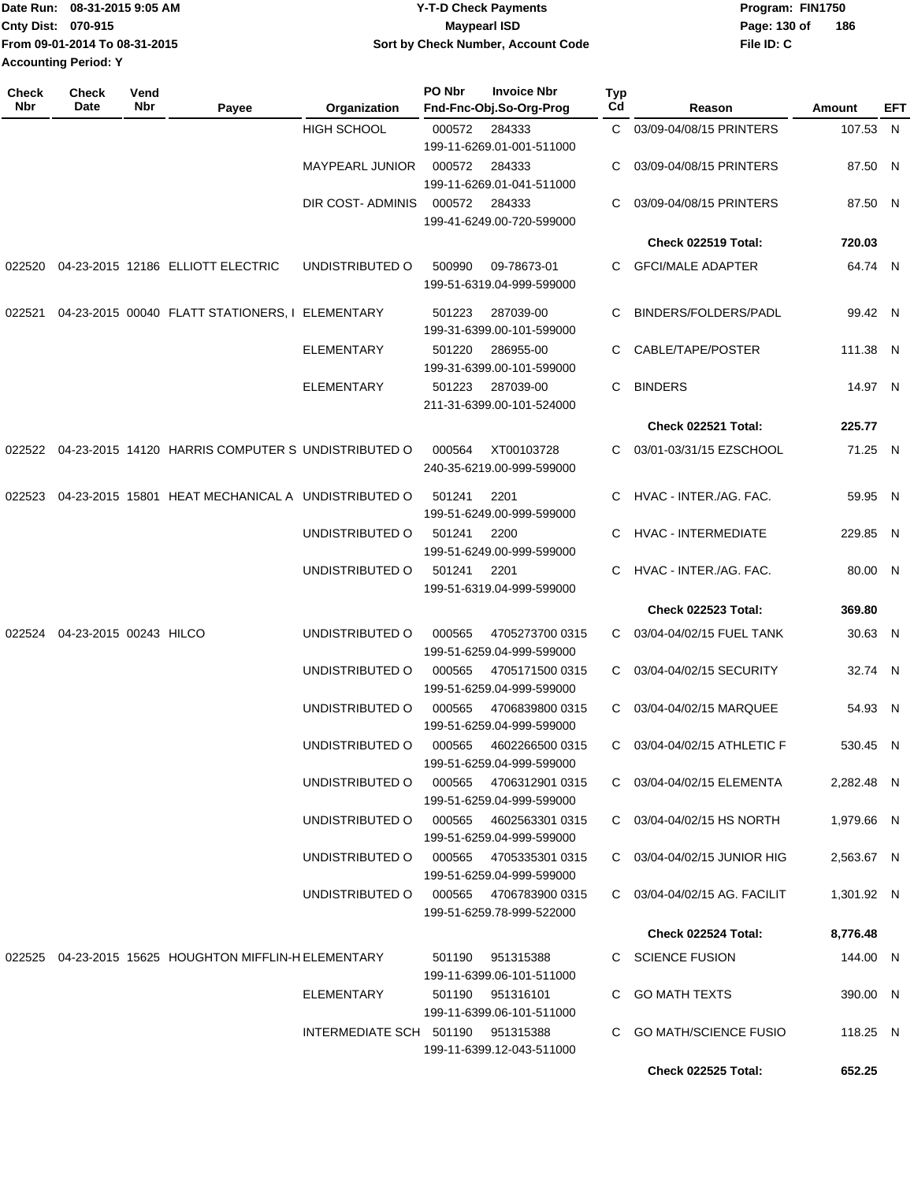| IDate Run: 08-31-2015 9:05 AM | <b>Y-T-D Check Payments</b>               | Program: FIN1750    |
|-------------------------------|-------------------------------------------|---------------------|
| Cnty Dist: 070-915            | Maypearl ISD                              | 186<br>Page: 130 of |
| From 09-01-2014 To 08-31-2015 | <b>Sort by Check Number, Account Code</b> | File ID: C          |
| <b>Accounting Period: Y</b>   |                                           |                     |

| <b>Check</b><br>Nbr | <b>Check</b><br>Date          | Vend<br>Nbr | Payee                                                     | Organization                           | PO Nbr | <b>Invoice Nbr</b><br>Fnd-Fnc-Obj.So-Org-Prog | Typ<br>Cd | Reason                       | Amount     | EFT |
|---------------------|-------------------------------|-------------|-----------------------------------------------------------|----------------------------------------|--------|-----------------------------------------------|-----------|------------------------------|------------|-----|
|                     |                               |             |                                                           | <b>HIGH SCHOOL</b>                     | 000572 | 284333                                        | C.        | 03/09-04/08/15 PRINTERS      | 107.53 N   |     |
|                     |                               |             |                                                           |                                        |        | 199-11-6269.01-001-511000                     |           |                              |            |     |
|                     |                               |             |                                                           | <b>MAYPEARL JUNIOR</b>                 | 000572 | 284333                                        | С         | 03/09-04/08/15 PRINTERS      | 87.50 N    |     |
|                     |                               |             |                                                           |                                        |        | 199-11-6269.01-041-511000                     |           |                              |            |     |
|                     |                               |             |                                                           | DIR COST- ADMINIS                      | 000572 | 284333                                        | С         | 03/09-04/08/15 PRINTERS      | 87.50 N    |     |
|                     |                               |             |                                                           |                                        |        | 199-41-6249.00-720-599000                     |           |                              |            |     |
|                     |                               |             |                                                           |                                        |        |                                               |           | Check 022519 Total:          | 720.03     |     |
| 022520              |                               |             | 04-23-2015 12186 ELLIOTT ELECTRIC                         | UNDISTRIBUTED O                        | 500990 | 09-78673-01                                   |           | C GFCI/MALE ADAPTER          | 64.74 N    |     |
|                     |                               |             |                                                           |                                        |        | 199-51-6319.04-999-599000                     |           |                              |            |     |
| 022521              |                               |             | 04-23-2015 00040 FLATT STATIONERS, I ELEMENTARY           |                                        | 501223 | 287039-00                                     | С         | BINDERS/FOLDERS/PADL         | 99.42 N    |     |
|                     |                               |             |                                                           |                                        |        | 199-31-6399.00-101-599000                     |           |                              |            |     |
|                     |                               |             |                                                           | ELEMENTARY                             | 501220 | 286955-00                                     | С         | CABLE/TAPE/POSTER            | 111.38 N   |     |
|                     |                               |             |                                                           |                                        |        | 199-31-6399.00-101-599000                     |           |                              |            |     |
|                     |                               |             |                                                           | <b>ELEMENTARY</b>                      | 501223 | 287039-00                                     | С         | <b>BINDERS</b>               | 14.97 N    |     |
|                     |                               |             |                                                           |                                        |        | 211-31-6399.00-101-524000                     |           |                              |            |     |
|                     |                               |             |                                                           |                                        |        |                                               |           | Check 022521 Total:          | 225.77     |     |
|                     |                               |             | 022522 04-23-2015 14120 HARRIS COMPUTER S UNDISTRIBUTED O |                                        | 000564 | XT00103728                                    | C.        | 03/01-03/31/15 EZSCHOOL      | 71.25 N    |     |
|                     |                               |             |                                                           |                                        |        | 240-35-6219.00-999-599000                     |           |                              |            |     |
| 022523              |                               |             | 04-23-2015 15801 HEAT MECHANICAL A UNDISTRIBUTED O        |                                        | 501241 | 2201                                          | C         | HVAC - INTER./AG. FAC.       | 59.95 N    |     |
|                     |                               |             |                                                           |                                        |        | 199-51-6249.00-999-599000                     |           |                              |            |     |
|                     |                               |             |                                                           | UNDISTRIBUTED O                        | 501241 | 2200                                          | С         | <b>HVAC - INTERMEDIATE</b>   | 229.85 N   |     |
|                     |                               |             |                                                           |                                        |        | 199-51-6249.00-999-599000                     |           |                              |            |     |
|                     |                               |             |                                                           | UNDISTRIBUTED O                        | 501241 | 2201                                          | C         | HVAC - INTER./AG. FAC.       | 80.00 N    |     |
|                     |                               |             |                                                           |                                        |        | 199-51-6319.04-999-599000                     |           |                              |            |     |
|                     |                               |             |                                                           |                                        |        |                                               |           | <b>Check 022523 Total:</b>   | 369.80     |     |
|                     | 022524 04-23-2015 00243 HILCO |             |                                                           | UNDISTRIBUTED O                        | 000565 | 4705273700 0315                               | C.        | 03/04-04/02/15 FUEL TANK     | 30.63 N    |     |
|                     |                               |             |                                                           |                                        |        | 199-51-6259.04-999-599000                     |           |                              |            |     |
|                     |                               |             |                                                           | UNDISTRIBUTED O                        | 000565 | 4705171500 0315                               | C.        | 03/04-04/02/15 SECURITY      | 32.74 N    |     |
|                     |                               |             |                                                           |                                        |        | 199-51-6259.04-999-599000                     |           |                              |            |     |
|                     |                               |             |                                                           | UNDISTRIBUTED O                        | 000565 | 4706839800 0315                               | C.        | 03/04-04/02/15 MARQUEE       | 54.93 N    |     |
|                     |                               |             |                                                           |                                        |        | 199-51-6259.04-999-599000                     |           |                              |            |     |
|                     |                               |             |                                                           | UNDISTRIBUTED O                        | 000565 | 4602266500 0315                               |           | C 03/04-04/02/15 ATHLETIC F  | 530.45 N   |     |
|                     |                               |             |                                                           |                                        |        | 199-51-6259.04-999-599000                     |           |                              |            |     |
|                     |                               |             |                                                           | UNDISTRIBUTED O                        | 000565 | 4706312901 0315                               |           | C 03/04-04/02/15 ELEMENTA    | 2,282.48 N |     |
|                     |                               |             |                                                           | UNDISTRIBUTED O                        | 000565 | 199-51-6259.04-999-599000<br>4602563301 0315  |           |                              |            |     |
|                     |                               |             |                                                           |                                        |        | 199-51-6259.04-999-599000                     |           | C 03/04-04/02/15 HS NORTH    | 1,979.66 N |     |
|                     |                               |             |                                                           | UNDISTRIBUTED O                        |        | 000565 4705335301 0315                        |           | C 03/04-04/02/15 JUNIOR HIG  | 2,563.67 N |     |
|                     |                               |             |                                                           |                                        |        | 199-51-6259.04-999-599000                     |           |                              |            |     |
|                     |                               |             |                                                           | UNDISTRIBUTED O 000565 4706783900 0315 |        |                                               |           | C 03/04-04/02/15 AG. FACILIT | 1,301.92 N |     |
|                     |                               |             |                                                           |                                        |        | 199-51-6259.78-999-522000                     |           |                              |            |     |
|                     |                               |             |                                                           |                                        |        |                                               |           | <b>Check 022524 Total:</b>   | 8,776.48   |     |
|                     |                               |             | 022525 04-23-2015 15625 HOUGHTON MIFFLIN-H ELEMENTARY     |                                        | 501190 | 951315388                                     |           | C SCIENCE FUSION             | 144.00 N   |     |
|                     |                               |             |                                                           |                                        |        | 199-11-6399.06-101-511000                     |           |                              |            |     |
|                     |                               |             |                                                           | ELEMENTARY                             |        | 501190 951316101                              |           | C GO MATH TEXTS              | 390.00 N   |     |
|                     |                               |             |                                                           |                                        |        | 199-11-6399.06-101-511000                     |           |                              |            |     |
|                     |                               |             |                                                           | INTERMEDIATE SCH 501190 951315388      |        |                                               |           | C GO MATH/SCIENCE FUSIO      | 118.25 N   |     |
|                     |                               |             |                                                           |                                        |        | 199-11-6399.12-043-511000                     |           |                              |            |     |
|                     |                               |             |                                                           |                                        |        |                                               |           | <b>Check 022525 Total:</b>   | 652.25     |     |
|                     |                               |             |                                                           |                                        |        |                                               |           |                              |            |     |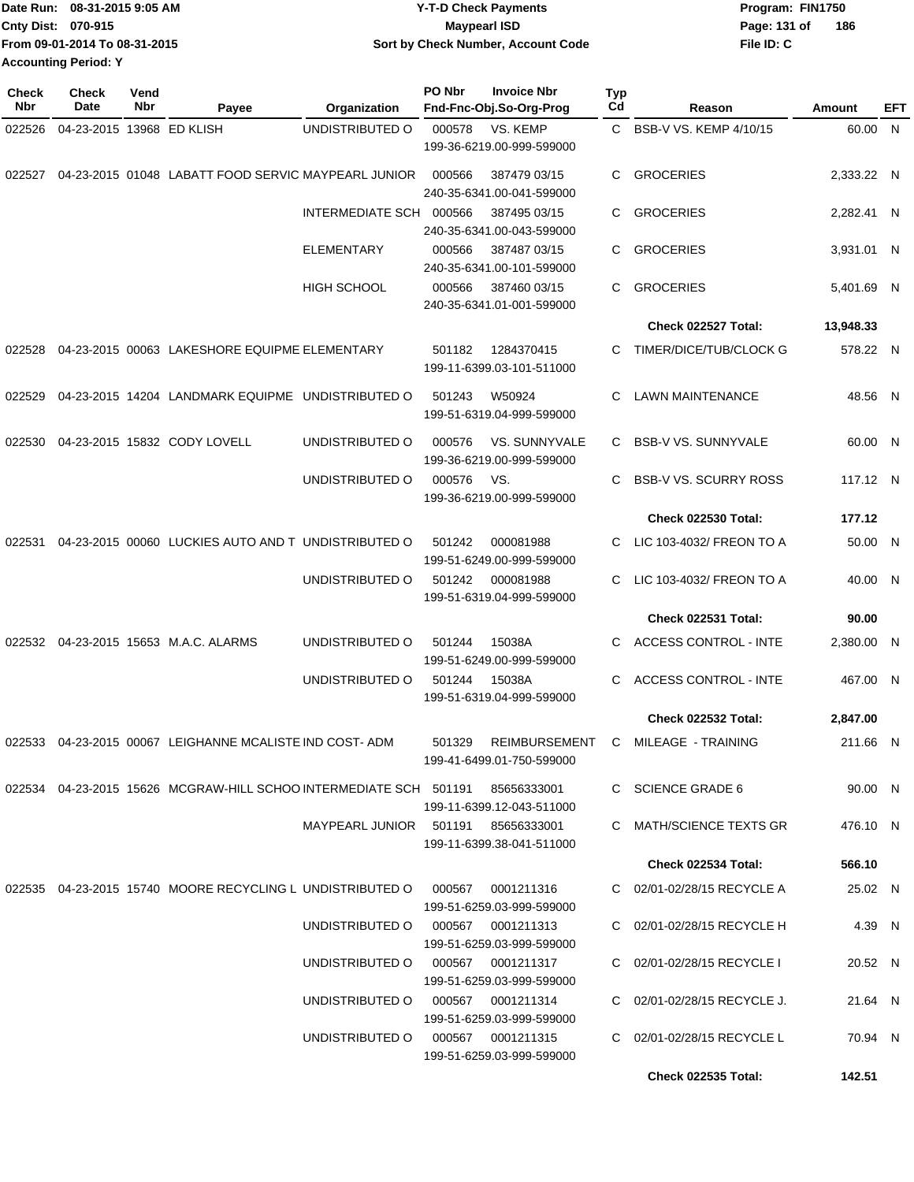| Date Run: 08-31-2015 9:05 AM  | <b>Y-T-D Check Payments</b>        | Program: FIN1750    |
|-------------------------------|------------------------------------|---------------------|
| Cnty Dist: 070-915            | Mavpearl ISD                       | 186<br>Page: 131 of |
| From 09-01-2014 To 08-31-2015 | Sort by Check Number, Account Code | File ID: C          |
| <b>Accounting Period: Y</b>   |                                    |                     |

| Check<br>Nbr | <b>Check</b><br>Date      | Vend<br>Nbr | Payee                                                                  | Organization           | PO Nbr | <b>Invoice Nbr</b><br>Fnd-Fnc-Obj.So-Org-Prog     | <b>Typ</b><br>Cd | Reason                       | Amount     | EFT |
|--------------|---------------------------|-------------|------------------------------------------------------------------------|------------------------|--------|---------------------------------------------------|------------------|------------------------------|------------|-----|
| 022526       | 04-23-2015 13968 ED KLISH |             |                                                                        | UNDISTRIBUTED O        | 000578 | VS. KEMP                                          | $\mathbf{C}$     | BSB-V VS. KEMP 4/10/15       | 60.00 N    |     |
|              |                           |             |                                                                        |                        |        | 199-36-6219.00-999-599000                         |                  |                              |            |     |
| 022527       |                           |             | 04-23-2015 01048 LABATT FOOD SERVIC MAYPEARL JUNIOR                    |                        | 000566 | 387479 03/15<br>240-35-6341.00-041-599000         | C.               | <b>GROCERIES</b>             | 2,333.22 N |     |
|              |                           |             |                                                                        | INTERMEDIATE SCH       | 000566 | 387495 03/15<br>240-35-6341.00-043-599000         | C.               | <b>GROCERIES</b>             | 2,282.41 N |     |
|              |                           |             |                                                                        | <b>ELEMENTARY</b>      | 000566 | 387487 03/15<br>240-35-6341.00-101-599000         | C                | <b>GROCERIES</b>             | 3,931.01 N |     |
|              |                           |             |                                                                        | <b>HIGH SCHOOL</b>     | 000566 | 387460 03/15<br>240-35-6341.01-001-599000         | C                | <b>GROCERIES</b>             | 5,401.69 N |     |
|              |                           |             |                                                                        |                        |        |                                                   |                  | Check 022527 Total:          | 13,948.33  |     |
| 022528       |                           |             | 04-23-2015 00063 LAKESHORE EQUIPME ELEMENTARY                          |                        | 501182 | 1284370415<br>199-11-6399.03-101-511000           | С                | TIMER/DICE/TUB/CLOCK G       | 578.22 N   |     |
| 022529       |                           |             | 04-23-2015 14204 LANDMARK EQUIPME UNDISTRIBUTED O                      |                        | 501243 | W50924<br>199-51-6319.04-999-599000               | С                | <b>LAWN MAINTENANCE</b>      | 48.56 N    |     |
| 022530       |                           |             | 04-23-2015 15832 CODY LOVELL                                           | UNDISTRIBUTED O        | 000576 | <b>VS. SUNNYVALE</b><br>199-36-6219.00-999-599000 | C.               | <b>BSB-V VS. SUNNYVALE</b>   | 60.00 N    |     |
|              |                           |             |                                                                        | UNDISTRIBUTED O        | 000576 | VS.<br>199-36-6219.00-999-599000                  | C                | <b>BSB-V VS. SCURRY ROSS</b> | 117.12 N   |     |
|              |                           |             |                                                                        |                        |        |                                                   |                  | Check 022530 Total:          | 177.12     |     |
| 022531       |                           |             | 04-23-2015 00060 LUCKIES AUTO AND T UNDISTRIBUTED O                    |                        | 501242 | 000081988<br>199-51-6249.00-999-599000            | С                | LIC 103-4032/ FREON TO A     | 50.00 N    |     |
|              |                           |             |                                                                        | UNDISTRIBUTED O        | 501242 | 000081988<br>199-51-6319.04-999-599000            | C                | LIC 103-4032/ FREON TO A     | 40.00 N    |     |
|              |                           |             |                                                                        |                        |        |                                                   |                  | Check 022531 Total:          | 90.00      |     |
|              |                           |             | 022532 04-23-2015 15653 M.A.C. ALARMS                                  | UNDISTRIBUTED O        | 501244 | 15038A<br>199-51-6249.00-999-599000               | C.               | <b>ACCESS CONTROL - INTE</b> | 2,380.00 N |     |
|              |                           |             |                                                                        | UNDISTRIBUTED O        | 501244 | 15038A<br>199-51-6319.04-999-599000               | C                | <b>ACCESS CONTROL - INTE</b> | 467.00 N   |     |
|              |                           |             |                                                                        |                        |        |                                                   |                  | Check 022532 Total:          | 2,847.00   |     |
| 022533       |                           |             | 04-23-2015 00067 LEIGHANNE MCALISTE IND COST-ADM                       |                        | 501329 | <b>REIMBURSEMENT</b><br>199-41-6499.01-750-599000 | C.               | MILEAGE - TRAINING           | 211.66 N   |     |
|              |                           |             | 022534  04-23-2015  15626  MCGRAW-HILL SCHOO  INTERMEDIATE SCH  501191 |                        |        | 85656333001<br>199-11-6399.12-043-511000          |                  | C SCIENCE GRADE 6            | 90.00 N    |     |
|              |                           |             |                                                                        | MAYPEARL JUNIOR 501191 |        | 85656333001<br>199-11-6399.38-041-511000          |                  | C MATH/SCIENCE TEXTS GR      | 476.10 N   |     |
|              |                           |             |                                                                        |                        |        |                                                   |                  | <b>Check 022534 Total:</b>   | 566.10     |     |
|              |                           |             | 022535 04-23-2015 15740 MOORE RECYCLING L UNDISTRIBUTED O              |                        | 000567 | 0001211316<br>199-51-6259.03-999-599000           |                  | C 02/01-02/28/15 RECYCLE A   | 25.02 N    |     |
|              |                           |             |                                                                        | UNDISTRIBUTED O        |        | 000567 0001211313<br>199-51-6259.03-999-599000    |                  | C 02/01-02/28/15 RECYCLE H   | 4.39 N     |     |
|              |                           |             |                                                                        | UNDISTRIBUTED O        |        | 000567 0001211317<br>199-51-6259.03-999-599000    |                  | C 02/01-02/28/15 RECYCLE I   | 20.52 N    |     |
|              |                           |             |                                                                        | UNDISTRIBUTED O        |        | 000567 0001211314<br>199-51-6259.03-999-599000    |                  | C 02/01-02/28/15 RECYCLE J.  | 21.64 N    |     |
|              |                           |             |                                                                        | UNDISTRIBUTED O        |        | 000567 0001211315<br>199-51-6259.03-999-599000    |                  | C 02/01-02/28/15 RECYCLE L   | 70.94 N    |     |
|              |                           |             |                                                                        |                        |        |                                                   |                  | <b>Check 022535 Total:</b>   | 142.51     |     |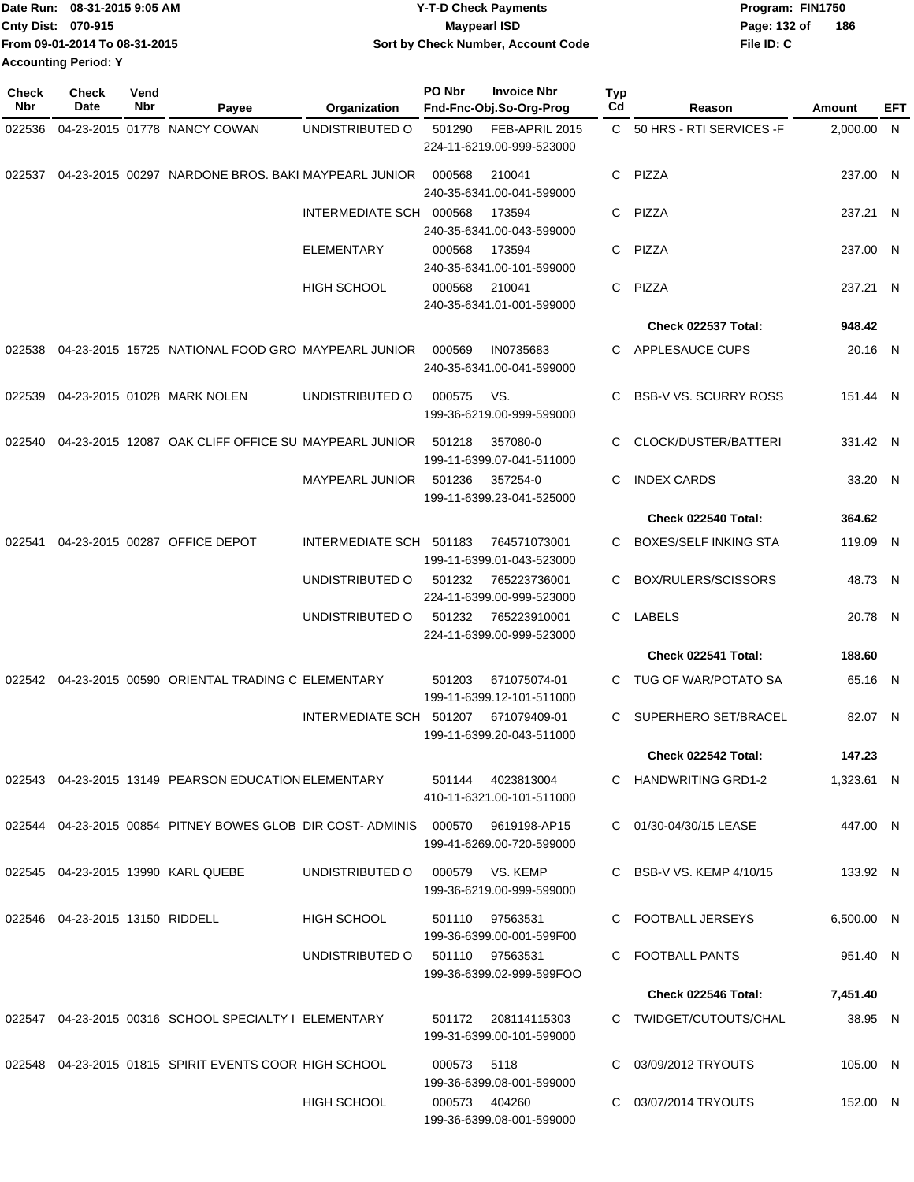| Date Run: 08-31-2015 9:05 AM  | <b>Y-T-D Check Payments</b>        | Program: FIN1750    |
|-------------------------------|------------------------------------|---------------------|
| <b>Cnty Dist: 070-915</b>     | Maypearl ISD                       | 186<br>Page: 132 of |
| From 09-01-2014 To 08-31-2015 | Sort by Check Number, Account Code | File ID: C          |
| <b>Accounting Period: Y</b>   |                                    |                     |

| Check<br>Nbr | <b>Check</b><br>Date               | Vend<br>Nbr | Payee                                                                          | Organization                    | PO Nbr      | <b>Invoice Nbr</b><br>Fnd-Fnc-Obj.So-Org-Prog  | <b>Typ</b><br>Cd | Reason                       | Amount     | EFT |
|--------------|------------------------------------|-------------|--------------------------------------------------------------------------------|---------------------------------|-------------|------------------------------------------------|------------------|------------------------------|------------|-----|
| 022536       |                                    |             | 04-23-2015 01778 NANCY COWAN                                                   | UNDISTRIBUTED O                 | 501290      | FEB-APRIL 2015                                 |                  | C 50 HRS - RTI SERVICES - F  | 2,000.00 N |     |
|              |                                    |             |                                                                                |                                 |             | 224-11-6219.00-999-523000                      |                  |                              |            |     |
| 022537       |                                    |             | 04-23-2015 00297 NARDONE BROS. BAKI MAYPEARL JUNIOR                            |                                 | 000568      | 210041<br>240-35-6341.00-041-599000            |                  | C PIZZA                      | 237.00 N   |     |
|              |                                    |             |                                                                                | INTERMEDIATE SCH 000568         |             | 173594                                         | C.               | PIZZA                        | 237.21 N   |     |
|              |                                    |             |                                                                                |                                 |             | 240-35-6341.00-043-599000                      |                  | PIZZA                        |            |     |
|              |                                    |             |                                                                                | ELEMENTARY                      | 000568      | 173594<br>240-35-6341.00-101-599000            | C.               |                              | 237.00 N   |     |
|              |                                    |             |                                                                                | <b>HIGH SCHOOL</b>              | 000568      | 210041<br>240-35-6341.01-001-599000            | C.               | <b>PIZZA</b>                 | 237.21 N   |     |
|              |                                    |             |                                                                                |                                 |             |                                                |                  | Check 022537 Total:          | 948.42     |     |
| 022538       |                                    |             | 04-23-2015 15725 NATIONAL FOOD GRO MAYPEARL JUNIOR                             |                                 | 000569      | IN0735683<br>240-35-6341.00-041-599000         | C.               | APPLESAUCE CUPS              | 20.16 N    |     |
| 022539       |                                    |             | 04-23-2015 01028 MARK NOLEN                                                    | UNDISTRIBUTED O                 | 000575      | VS.<br>199-36-6219.00-999-599000               | C.               | <b>BSB-V VS. SCURRY ROSS</b> | 151.44 N   |     |
| 022540       |                                    |             | 04-23-2015 12087 OAK CLIFF OFFICE SU MAYPEARL JUNIOR                           |                                 | 501218      | 357080-0<br>199-11-6399.07-041-511000          | C                | CLOCK/DUSTER/BATTERI         | 331.42 N   |     |
|              |                                    |             |                                                                                | MAYPEARL JUNIOR                 | 501236      | 357254-0<br>199-11-6399.23-041-525000          | C                | <b>INDEX CARDS</b>           | 33.20 N    |     |
|              |                                    |             |                                                                                |                                 |             |                                                |                  | <b>Check 022540 Total:</b>   | 364.62     |     |
| 022541       |                                    |             | 04-23-2015 00287 OFFICE DEPOT                                                  | INTERMEDIATE SCH 501183         |             | 764571073001<br>199-11-6399.01-043-523000      | C.               | <b>BOXES/SELF INKING STA</b> | 119.09 N   |     |
|              |                                    |             |                                                                                | UNDISTRIBUTED O                 | 501232      | 765223736001<br>224-11-6399.00-999-523000      | C.               | BOX/RULERS/SCISSORS          | 48.73 N    |     |
|              |                                    |             |                                                                                | UNDISTRIBUTED O                 | 501232      | 765223910001<br>224-11-6399.00-999-523000      |                  | C LABELS                     | 20.78 N    |     |
|              |                                    |             |                                                                                |                                 |             |                                                |                  | <b>Check 022541 Total:</b>   | 188.60     |     |
| 022542       |                                    |             | 04-23-2015 00590 ORIENTAL TRADING C ELEMENTARY                                 |                                 | 501203      | 671075074-01                                   | C.               | TUG OF WAR/POTATO SA         | 65.16 N    |     |
|              |                                    |             |                                                                                |                                 |             | 199-11-6399.12-101-511000                      |                  |                              |            |     |
|              |                                    |             |                                                                                | INTERMEDIATE SCH 501207         |             | 671079409-01<br>199-11-6399.20-043-511000      | C                | SUPERHERO SET/BRACEL         | 82.07 N    |     |
|              |                                    |             |                                                                                |                                 |             |                                                |                  | Check 022542 Total:          | 147.23     |     |
|              |                                    |             | 022543 04-23-2015  13149   PEARSON EDUCATION ELEMENTARY                        |                                 |             | 501144 4023813004<br>410-11-6321.00-101-511000 |                  | C HANDWRITING GRD1-2         | 1,323.61 N |     |
|              |                                    |             | 022544 04-23-2015 00854 PITNEY BOWES GLOB DIR COST-ADMINIS 000570 9619198-AP15 |                                 |             | 199-41-6269.00-720-599000                      |                  | C 01/30-04/30/15 LEASE       | 447.00 N   |     |
|              |                                    |             | 022545 04-23-2015 13990 KARL QUEBE                                             | UNDISTRIBUTED O 000579 VS. KEMP |             | 199-36-6219.00-999-599000                      |                  | C BSB-V VS. KEMP 4/10/15     | 133.92 N   |     |
|              | 022546  04-23-2015  13150  RIDDELL |             |                                                                                | HIGH SCHOOL                     |             | 501110 97563531<br>199-36-6399.00-001-599F00   |                  | C FOOTBALL JERSEYS           | 6,500.00 N |     |
|              |                                    |             |                                                                                | UNDISTRIBUTED 0 501110 97563531 |             | 199-36-6399.02-999-599FOO                      |                  | C FOOTBALL PANTS             | 951.40 N   |     |
|              |                                    |             |                                                                                |                                 |             |                                                |                  | Check 022546 Total:          | 7,451.40   |     |
|              |                                    |             | 022547 04-23-2015 00316 SCHOOL SPECIALTY I ELEMENTARY                          |                                 |             | 501172 208114115303                            |                  | C TWIDGET/CUTOUTS/CHAL       | 38.95 N    |     |
|              |                                    |             |                                                                                |                                 |             | 199-31-6399.00-101-599000                      |                  |                              |            |     |
|              |                                    |             | 022548 04-23-2015 01815 SPIRIT EVENTS COOR HIGH SCHOOL                         |                                 | 000573 5118 | 199-36-6399.08-001-599000                      |                  | C 03/09/2012 TRYOUTS         | 105.00 N   |     |
|              |                                    |             |                                                                                | <b>HIGH SCHOOL</b>              |             | 000573 404260<br>199-36-6399.08-001-599000     |                  | C 03/07/2014 TRYOUTS         | 152.00 N   |     |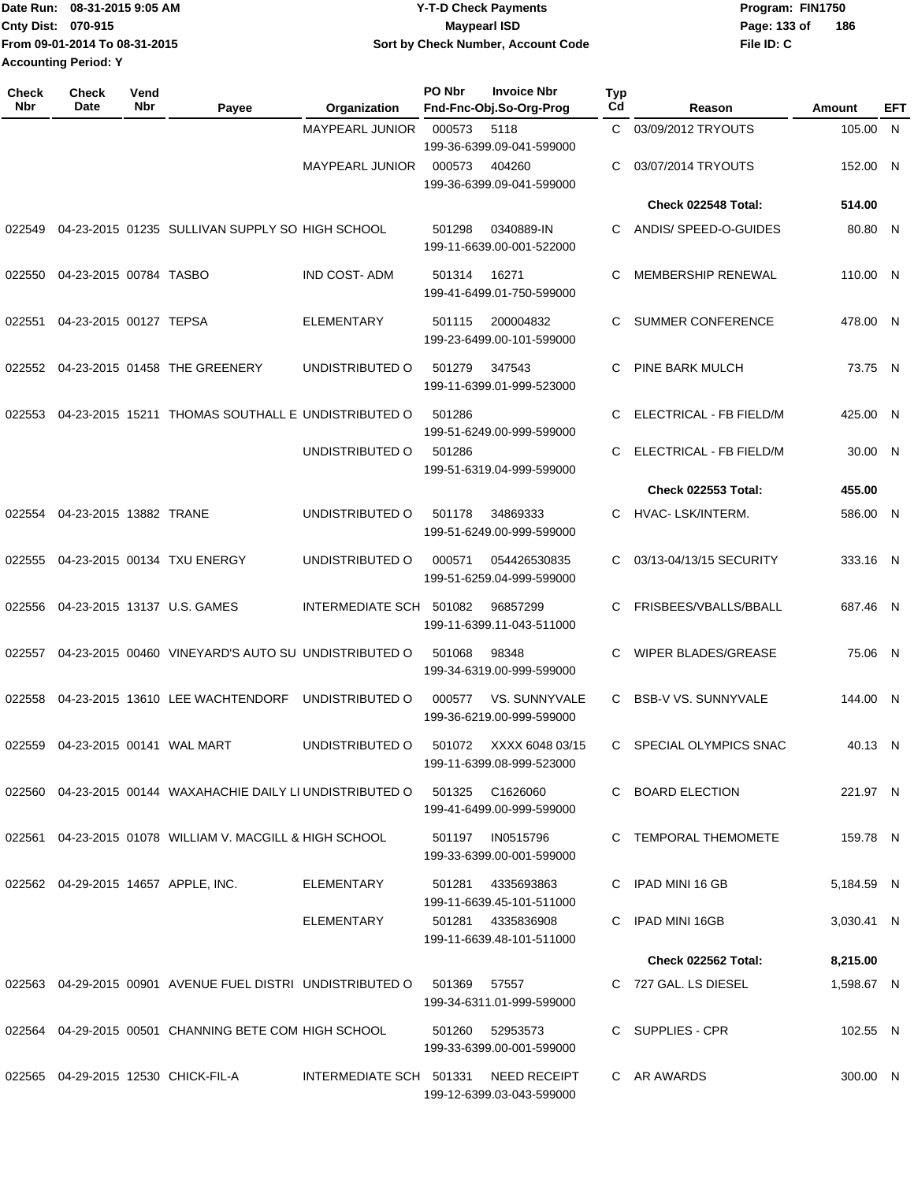| Date Run: 08-31-2015 9:05 AM  | <b>Y-T-D Check Payments</b>        | Program: FIN1750    |
|-------------------------------|------------------------------------|---------------------|
| <b>Cnty Dist: 070-915</b>     | Maypearl ISD                       | 186<br>Page: 133 of |
| From 09-01-2014 To 08-31-2015 | Sort by Check Number, Account Code | File ID: C          |
| <b>Accounting Period: Y</b>   |                                    |                     |

| <b>Check</b><br>Nbr | <b>Check</b><br>Date   | Vend<br>Nbr | Payee                                                       | Organization            | PO Nbr | <b>Invoice Nbr</b><br>Fnd-Fnc-Obj.So-Org-Prog  | Typ<br>Cd | Reason                       | Amount     | EFT |
|---------------------|------------------------|-------------|-------------------------------------------------------------|-------------------------|--------|------------------------------------------------|-----------|------------------------------|------------|-----|
|                     |                        |             |                                                             | <b>MAYPEARL JUNIOR</b>  | 000573 | 5118<br>199-36-6399.09-041-599000              | C.        | 03/09/2012 TRYOUTS           | 105.00     | - N |
|                     |                        |             |                                                             | <b>MAYPEARL JUNIOR</b>  | 000573 | 404260<br>199-36-6399.09-041-599000            | С         | 03/07/2014 TRYOUTS           | 152.00 N   |     |
|                     |                        |             |                                                             |                         |        |                                                |           | Check 022548 Total:          | 514.00     |     |
| 022549              |                        |             | 04-23-2015 01235 SULLIVAN SUPPLY SO HIGH SCHOOL             |                         | 501298 | 0340889-IN<br>199-11-6639.00-001-522000        | C         | ANDIS/ SPEED-O-GUIDES        | 80.80 N    |     |
| 022550              | 04-23-2015 00784 TASBO |             |                                                             | <b>IND COST-ADM</b>     | 501314 | 16271<br>199-41-6499.01-750-599000             | С         | <b>MEMBERSHIP RENEWAL</b>    | 110.00 N   |     |
| 022551              | 04-23-2015 00127 TEPSA |             |                                                             | <b>ELEMENTARY</b>       | 501115 | 200004832<br>199-23-6499.00-101-599000         | С         | <b>SUMMER CONFERENCE</b>     | 478.00 N   |     |
|                     |                        |             | 022552 04-23-2015 01458 THE GREENERY                        | UNDISTRIBUTED O         | 501279 | 347543<br>199-11-6399.01-999-523000            | С         | PINE BARK MULCH              | 73.75 N    |     |
| 022553              |                        |             | 04-23-2015 15211 THOMAS SOUTHALL E UNDISTRIBUTED O          |                         | 501286 | 199-51-6249.00-999-599000                      | С         | ELECTRICAL - FB FIELD/M      | 425.00 N   |     |
|                     |                        |             |                                                             | UNDISTRIBUTED O         | 501286 | 199-51-6319.04-999-599000                      | С         | ELECTRICAL - FB FIELD/M      | 30.00 N    |     |
|                     |                        |             |                                                             |                         |        |                                                |           | <b>Check 022553 Total:</b>   | 455.00     |     |
| 022554              | 04-23-2015 13882 TRANE |             |                                                             | UNDISTRIBUTED O         | 501178 | 34869333<br>199-51-6249.00-999-599000          | С         | HVAC-LSK/INTERM.             | 586.00 N   |     |
| 022555              |                        |             | 04-23-2015 00134 TXU ENERGY                                 | UNDISTRIBUTED O         | 000571 | 054426530835<br>199-51-6259.04-999-599000      | C         | 03/13-04/13/15 SECURITY      | 333.16 N   |     |
| 022556              |                        |             | 04-23-2015 13137 U.S. GAMES                                 | INTERMEDIATE SCH        | 501082 | 96857299<br>199-11-6399.11-043-511000          | С         | FRISBEES/VBALLS/BBALL        | 687.46 N   |     |
| 022557              |                        |             | 04-23-2015 00460 VINEYARD'S AUTO SU UNDISTRIBUTED O         |                         | 501068 | 98348<br>199-34-6319.00-999-599000             | С         | WIPER BLADES/GREASE          | 75.06 N    |     |
| 022558              |                        |             | 04-23-2015 13610 LEE WACHTENDORF                            | UNDISTRIBUTED O         | 000577 | VS. SUNNYVALE<br>199-36-6219.00-999-599000     | С         | <b>BSB-V VS. SUNNYVALE</b>   | 144.00 N   |     |
| 022559              |                        |             | 04-23-2015 00141 WAL MART                                   | UNDISTRIBUTED O         | 501072 | XXXX 6048 03/15<br>199-11-6399.08-999-523000   | C.        | <b>SPECIAL OLYMPICS SNAC</b> | 40.13 N    |     |
|                     |                        |             | 022560 04-23-2015 00144 WAXAHACHIE DAILY LI UNDISTRIBUTED O |                         |        | 501325 C1626060<br>199-41-6499.00-999-599000   |           | C BOARD ELECTION             | 221.97 N   |     |
|                     |                        |             | 022561 04-23-2015 01078 WILLIAM V. MACGILL & HIGH SCHOOL    |                         | 501197 | IN0515796<br>199-33-6399.00-001-599000         |           | C TEMPORAL THEMOMETE         | 159.78 N   |     |
|                     |                        |             | 022562 04-29-2015 14657 APPLE, INC.                         | ELEMENTARY              | 501281 | 4335693863<br>199-11-6639.45-101-511000        |           | C IPAD MINI 16 GB            | 5,184.59 N |     |
|                     |                        |             |                                                             | <b>ELEMENTARY</b>       |        | 501281 4335836908<br>199-11-6639.48-101-511000 |           | C IPAD MINI 16GB             | 3,030.41 N |     |
|                     |                        |             |                                                             |                         |        |                                                |           | Check 022562 Total:          | 8,215.00   |     |
|                     |                        |             | 022563 04-29-2015 00901 AVENUE FUEL DISTRI UNDISTRIBUTED O  |                         | 501369 | 57557<br>199-34-6311.01-999-599000             |           | C 727 GAL. LS DIESEL         | 1,598.67 N |     |
|                     |                        |             | 022564 04-29-2015 00501 CHANNING BETE COM HIGH SCHOOL       |                         | 501260 | 52953573<br>199-33-6399.00-001-599000          |           | C SUPPLIES - CPR             | 102.55 N   |     |
|                     |                        |             | 022565  04-29-2015  12530  CHICK-FIL-A                      | INTERMEDIATE SCH 501331 |        | NEED RECEIPT<br>199-12-6399.03-043-599000      |           | C AR AWARDS                  | 300.00 N   |     |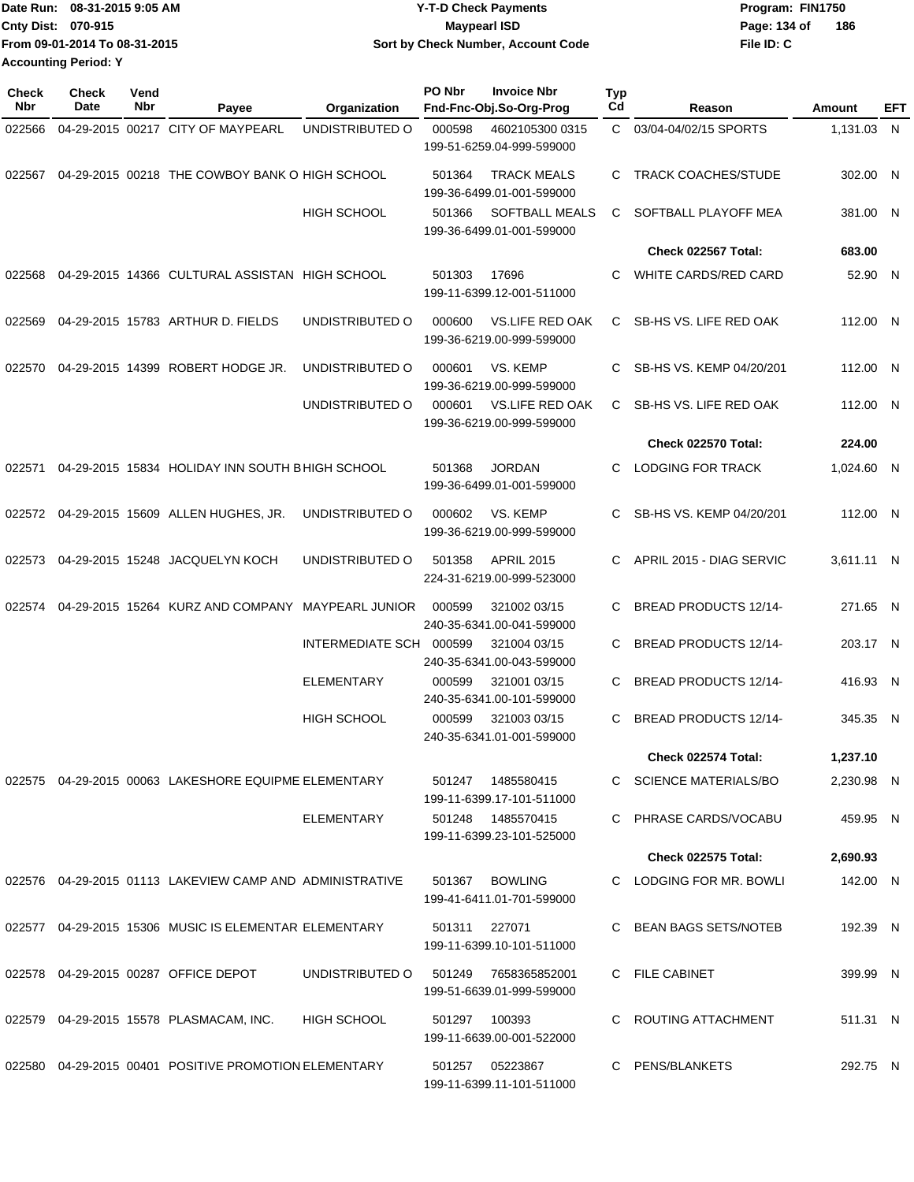| TDate Run: 08-31-2015 9:05 AM | <b>Y-T-D Check Payments</b>        | Program: FIN1750    |
|-------------------------------|------------------------------------|---------------------|
| <b>Cnty Dist: 070-915</b>     | <b>Mavpearl ISD</b>                | 186<br>Page: 134 of |
| From 09-01-2014 To 08-31-2015 | Sort by Check Number, Account Code | File ID: C          |
| <b>Accounting Period: Y</b>   |                                    |                     |

| Check<br>Nbr | <b>Check</b><br>Date | Vend<br>Nbr | Payee                                                    | Organization           | PO Nbr        | <b>Invoice Nbr</b><br>Fnd-Fnc-Obj.So-Org-Prog       | <b>Typ</b><br>Cd | Reason                       | Amount     | EFT |
|--------------|----------------------|-------------|----------------------------------------------------------|------------------------|---------------|-----------------------------------------------------|------------------|------------------------------|------------|-----|
| 022566       |                      |             | 04-29-2015 00217 CITY OF MAYPEARL                        | UNDISTRIBUTED O        | 000598        | 4602105300 0315<br>199-51-6259.04-999-599000        | C.               | 03/04-04/02/15 SPORTS        | 1,131.03 N |     |
| 022567       |                      |             | 04-29-2015 00218 THE COWBOY BANK O HIGH SCHOOL           |                        | 501364        | <b>TRACK MEALS</b><br>199-36-6499.01-001-599000     | C                | <b>TRACK COACHES/STUDE</b>   | 302.00 N   |     |
|              |                      |             |                                                          | <b>HIGH SCHOOL</b>     | 501366        | <b>SOFTBALL MEALS</b><br>199-36-6499.01-001-599000  | C                | SOFTBALL PLAYOFF MEA         | 381.00 N   |     |
|              |                      |             |                                                          |                        |               |                                                     |                  | Check 022567 Total:          | 683.00     |     |
| 022568       |                      |             | 04-29-2015 14366 CULTURAL ASSISTAN HIGH SCHOOL           |                        | 501303        | 17696<br>199-11-6399.12-001-511000                  | C                | WHITE CARDS/RED CARD         | 52.90 N    |     |
| 022569       |                      |             | 04-29-2015 15783 ARTHUR D. FIELDS                        | UNDISTRIBUTED O        | 000600        | <b>VS.LIFE RED OAK</b><br>199-36-6219.00-999-599000 | C.               | SB-HS VS. LIFE RED OAK       | 112.00 N   |     |
| 022570       |                      |             | 04-29-2015 14399 ROBERT HODGE JR.                        | UNDISTRIBUTED O        | 000601        | VS. KEMP<br>199-36-6219.00-999-599000               | C                | SB-HS VS. KEMP 04/20/201     | 112.00 N   |     |
|              |                      |             |                                                          | UNDISTRIBUTED O        | 000601        | <b>VS.LIFE RED OAK</b><br>199-36-6219.00-999-599000 | C                | SB-HS VS. LIFE RED OAK       | 112.00 N   |     |
|              |                      |             |                                                          |                        |               |                                                     |                  | <b>Check 022570 Total:</b>   | 224.00     |     |
| 022571       |                      |             | 04-29-2015 15834 HOLIDAY INN SOUTH BHIGH SCHOOL          |                        | 501368        | <b>JORDAN</b><br>199-36-6499.01-001-599000          | C.               | <b>LODGING FOR TRACK</b>     | 1,024.60 N |     |
| 022572       |                      |             | 04-29-2015 15609 ALLEN HUGHES, JR.                       | UNDISTRIBUTED O        | 000602        | VS. KEMP<br>199-36-6219.00-999-599000               | C                | SB-HS VS. KEMP 04/20/201     | 112.00 N   |     |
| 022573       |                      |             | 04-29-2015 15248 JACQUELYN KOCH                          | UNDISTRIBUTED O        | 501358        | <b>APRIL 2015</b><br>224-31-6219.00-999-523000      | C                | APRIL 2015 - DIAG SERVIC     | 3,611.11 N |     |
| 022574       |                      |             | 04-29-2015 15264 KURZ AND COMPANY                        | <b>MAYPEARL JUNIOR</b> | 000599        | 321002 03/15<br>240-35-6341.00-041-599000           | C                | BREAD PRODUCTS 12/14-        | 271.65 N   |     |
|              |                      |             |                                                          | INTERMEDIATE SCH       | 000599        | 321004 03/15<br>240-35-6341.00-043-599000           | C                | <b>BREAD PRODUCTS 12/14-</b> | 203.17 N   |     |
|              |                      |             |                                                          | <b>ELEMENTARY</b>      | 000599        | 321001 03/15<br>240-35-6341.00-101-599000           | C                | <b>BREAD PRODUCTS 12/14-</b> | 416.93 N   |     |
|              |                      |             |                                                          | <b>HIGH SCHOOL</b>     | 000599        | 321003 03/15<br>240-35-6341.01-001-599000           | C                | BREAD PRODUCTS 12/14-        | 345.35 N   |     |
|              |                      |             |                                                          |                        |               |                                                     |                  | Check 022574 Total:          | 1,237.10   |     |
|              |                      |             | 022575 04-29-2015 00063 LAKESHORE EQUIPME ELEMENTARY     |                        |               | 501247  1485580415<br>199-11-6399.17-101-511000     |                  | C SCIENCE MATERIALS/BO       | 2,230.98 N |     |
|              |                      |             |                                                          | ELEMENTARY             |               | 501248  1485570415<br>199-11-6399.23-101-525000     |                  | C PHRASE CARDS/VOCABU        | 459.95 N   |     |
|              |                      |             |                                                          |                        |               |                                                     |                  | Check 022575 Total:          | 2,690.93   |     |
|              |                      |             | 022576 04-29-2015 01113 LAKEVIEW CAMP AND ADMINISTRATIVE |                        |               | 501367 BOWLING<br>199-41-6411.01-701-599000         |                  | C LODGING FOR MR. BOWLI      | 142.00 N   |     |
|              |                      |             | 022577 04-29-2015 15306 MUSIC IS ELEMENTAR ELEMENTARY    |                        | 501311 227071 | 199-11-6399.10-101-511000                           |                  | C BEAN BAGS SETS/NOTEB       | 192.39 N   |     |
|              |                      |             | 022578 04-29-2015 00287 OFFICE DEPOT                     | UNDISTRIBUTED O        |               | 501249 7658365852001<br>199-51-6639.01-999-599000   |                  | C FILE CABINET               | 399.99 N   |     |
|              |                      |             | 022579 04-29-2015 15578 PLASMACAM, INC.                  | <b>HIGH SCHOOL</b>     | 501297 100393 | 199-11-6639.00-001-522000                           |                  | C ROUTING ATTACHMENT         | 511.31 N   |     |
|              |                      |             | 022580 04-29-2015 00401 POSITIVE PROMOTION ELEMENTARY    |                        |               | 501257 05223867<br>199-11-6399.11-101-511000        |                  | C PENS/BLANKETS              | 292.75 N   |     |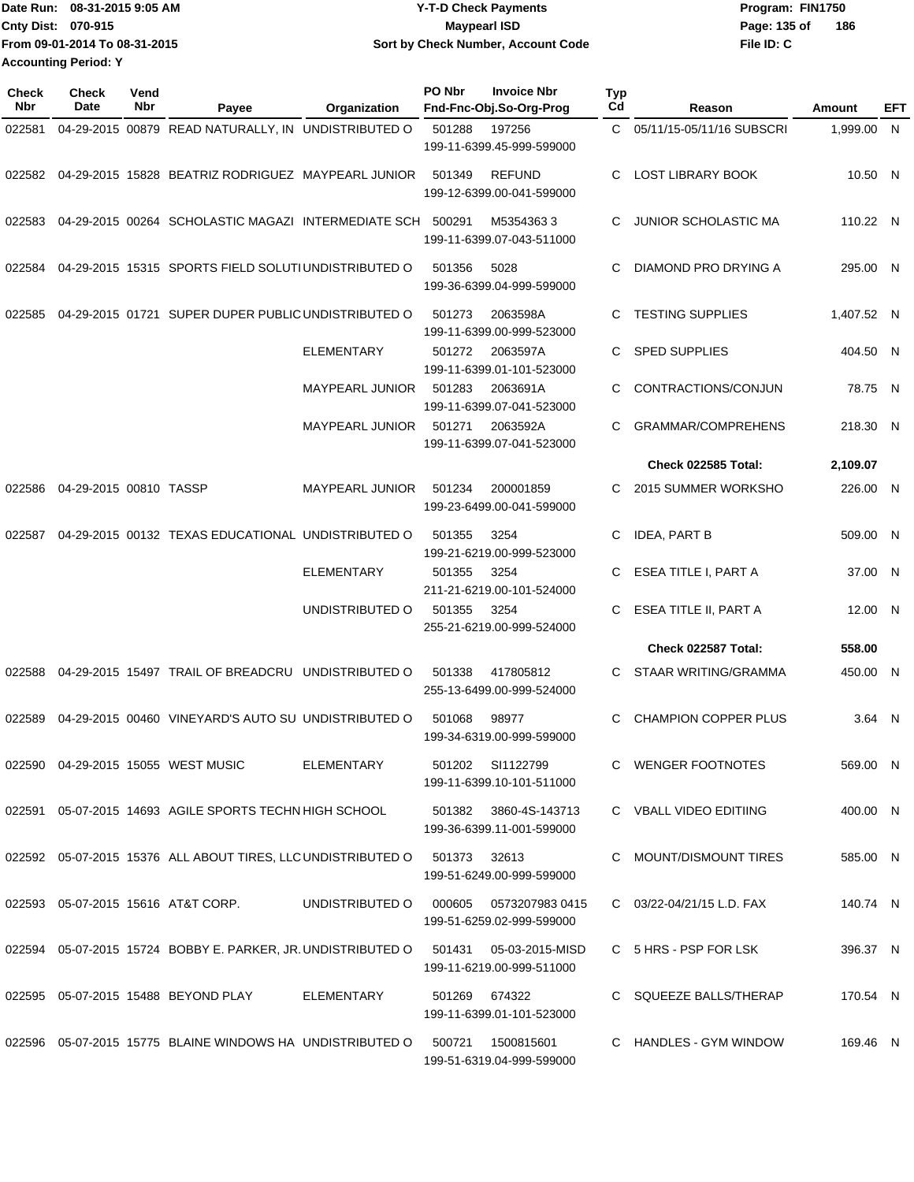| Date Run: 08-31-2015 9:05 AM  | <b>Y-T-D Check Payments</b>        | Program: FIN1750    |
|-------------------------------|------------------------------------|---------------------|
| <b>Cnty Dist: 070-915</b>     | Maypearl ISD                       | 186<br>Page: 135 of |
| From 09-01-2014 To 08-31-2015 | Sort by Check Number, Account Code | File ID: C          |
| <b>Accounting Period: Y</b>   |                                    |                     |

| <b>Check</b><br>Nbr | <b>Check</b><br>Date   | Vend<br>Nbr | Payee                                                                               | Organization           | PO Nbr       | <b>Invoice Nbr</b><br>Fnd-Fnc-Obj.So-Org-Prog      | <b>Typ</b><br>Cd | Reason                      | Amount     | EFT |
|---------------------|------------------------|-------------|-------------------------------------------------------------------------------------|------------------------|--------------|----------------------------------------------------|------------------|-----------------------------|------------|-----|
| 022581              |                        |             | 04-29-2015 00879 READ NATURALLY, IN UNDISTRIBUTED O                                 |                        | 501288       | 197256<br>199-11-6399.45-999-599000                |                  | C 05/11/15-05/11/16 SUBSCRI | 1.999.00 N |     |
|                     |                        |             | 022582 04-29-2015 15828 BEATRIZ RODRIGUEZ MAYPEARL JUNIOR                           |                        | 501349       | <b>REFUND</b><br>199-12-6399.00-041-599000         | C                | <b>LOST LIBRARY BOOK</b>    | 10.50 N    |     |
| 022583              |                        |             | 04-29-2015 00264 SCHOLASTIC MAGAZI INTERMEDIATE SCH 500291                          |                        |              | M53543633<br>199-11-6399.07-043-511000             | C                | <b>JUNIOR SCHOLASTIC MA</b> | 110.22 N   |     |
| 022584              |                        |             | 04-29-2015 15315 SPORTS FIELD SOLUTIUNDISTRIBUTED O                                 |                        | 501356       | 5028<br>199-36-6399.04-999-599000                  |                  | DIAMOND PRO DRYING A        | 295.00 N   |     |
| 022585              |                        |             | 04-29-2015 01721 SUPER DUPER PUBLIC UNDISTRIBUTED O                                 |                        | 501273       | 2063598A<br>199-11-6399.00-999-523000              | C                | <b>TESTING SUPPLIES</b>     | 1,407.52 N |     |
|                     |                        |             |                                                                                     | <b>ELEMENTARY</b>      | 501272       | 2063597A<br>199-11-6399.01-101-523000              | C                | <b>SPED SUPPLIES</b>        | 404.50 N   |     |
|                     |                        |             |                                                                                     | MAYPEARL JUNIOR        | 501283       | 2063691A<br>199-11-6399.07-041-523000              | C                | CONTRACTIONS/CONJUN         | 78.75 N    |     |
|                     |                        |             |                                                                                     | MAYPEARL JUNIOR        | 501271       | 2063592A<br>199-11-6399.07-041-523000              | C                | GRAMMAR/COMPREHENS          | 218.30 N   |     |
|                     |                        |             |                                                                                     |                        |              |                                                    |                  | <b>Check 022585 Total:</b>  | 2,109.07   |     |
| 022586              | 04-29-2015 00810 TASSP |             |                                                                                     | <b>MAYPEARL JUNIOR</b> | 501234       | 200001859<br>199-23-6499.00-041-599000             | C                | 2015 SUMMER WORKSHO         | 226.00 N   |     |
| 022587              |                        |             | 04-29-2015 00132 TEXAS EDUCATIONAL UNDISTRIBUTED O                                  |                        | 501355       | 3254<br>199-21-6219.00-999-523000                  | C                | <b>IDEA, PART B</b>         | 509.00 N   |     |
|                     |                        |             |                                                                                     | <b>ELEMENTARY</b>      | 501355       | 3254<br>211-21-6219.00-101-524000                  |                  | ESEA TITLE I, PART A        | 37.00 N    |     |
|                     |                        |             |                                                                                     | UNDISTRIBUTED O        | 501355       | 3254<br>255-21-6219.00-999-524000                  |                  | ESEA TITLE II, PART A       | 12.00 N    |     |
|                     |                        |             |                                                                                     |                        |              |                                                    |                  | Check 022587 Total:         | 558.00     |     |
| 022588              |                        |             | 04-29-2015 15497 TRAIL OF BREADCRU UNDISTRIBUTED O                                  |                        | 501338       | 417805812<br>255-13-6499.00-999-524000             | C                | STAAR WRITING/GRAMMA        | 450.00 N   |     |
| 022589              |                        |             | 04-29-2015 00460 VINEYARD'S AUTO SU UNDISTRIBUTED O                                 |                        | 501068       | 98977<br>199-34-6319.00-999-599000                 | C                | <b>CHAMPION COPPER PLUS</b> | $3.64$ N   |     |
|                     |                        |             | 022590  04-29-2015  15055  WEST MUSIC                                               | ELEMENTARY             |              | 501202 SI1122799<br>199-11-6399.10-101-511000      |                  | C WENGER FOOTNOTES          | 569.00 N   |     |
|                     |                        |             | 022591 05-07-2015 14693 AGILE SPORTS TECHN HIGH SCHOOL                              |                        |              | 501382 3860-4S-143713<br>199-36-6399.11-001-599000 |                  | C VBALL VIDEO EDITIING      | 400.00 N   |     |
|                     |                        |             | 022592 05-07-2015 15376 ALL ABOUT TIRES, LLC UNDISTRIBUTED O                        |                        | 501373 32613 | 199-51-6249.00-999-599000                          |                  | C MOUNT/DISMOUNT TIRES      | 585.00 N   |     |
|                     |                        |             | 022593  05-07-2015  15616  AT&T CORP.                                               | UNDISTRIBUTED O        |              | 000605 05732079830415<br>199-51-6259.02-999-599000 |                  | C 03/22-04/21/15 L.D. FAX   | 140.74 N   |     |
|                     |                        |             | 022594 05-07-2015 15724 BOBBY E. PARKER, JR. UNDISTRIBUTED O 501431 05-03-2015-MISD |                        |              | 199-11-6219.00-999-511000                          |                  | C 5 HRS - PSP FOR LSK       | 396.37 N   |     |
|                     |                        |             | 022595  05-07-2015  15488  BEYOND PLAY                                              | ELEMENTARY             |              | 501269 674322<br>199-11-6399.01-101-523000         |                  | C SQUEEZE BALLS/THERAP      | 170.54 N   |     |
|                     |                        |             | 022596 05-07-2015 15775 BLAINE WINDOWS HA UNDISTRIBUTED O 500721 1500815601         |                        |              | 199-51-6319.04-999-599000                          |                  | C HANDLES - GYM WINDOW      | 169.46 N   |     |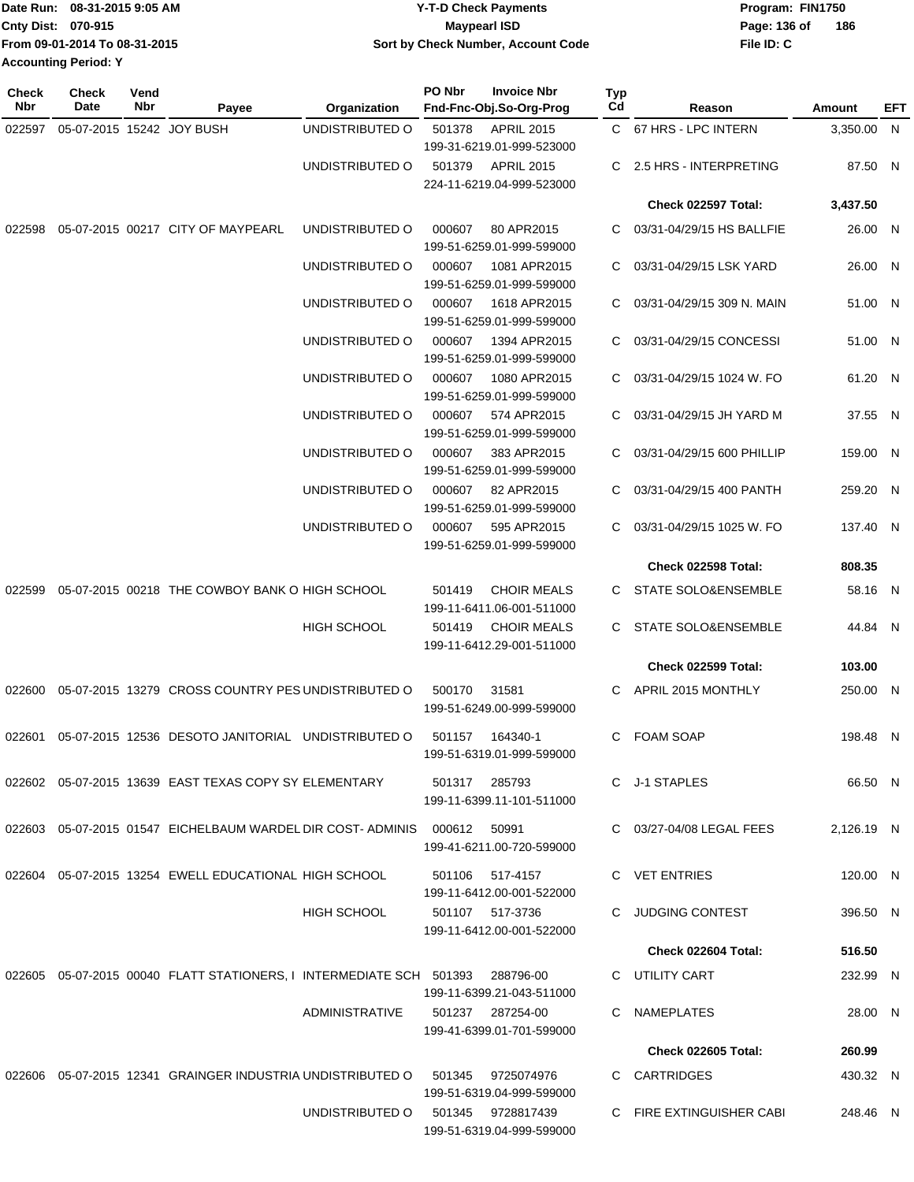|                             | Date Run: 08-31-2015 9:05 AM  | <b>Y-T-D Check Payments</b>        | Program: FIN1750 |     |  |  |
|-----------------------------|-------------------------------|------------------------------------|------------------|-----|--|--|
| <b>Cnty Dist: 070-915</b>   |                               | <b>Mavpearl ISD</b>                | Page: 136 of     | 186 |  |  |
|                             | From 09-01-2014 To 08-31-2015 | Sort by Check Number, Account Code | File ID: C       |     |  |  |
| <b>Accounting Period: Y</b> |                               |                                    |                  |     |  |  |

| <b>Check</b><br>Nbr | <b>Check</b><br>Date      | Vend<br>Nbr | Payee                                                                   | Organization          | PO Nbr       | <b>Invoice Nbr</b><br>Fnd-Fnc-Obj.So-Org-Prog                               | Typ<br>Cd | Reason                         | Amount     | EFT |
|---------------------|---------------------------|-------------|-------------------------------------------------------------------------|-----------------------|--------------|-----------------------------------------------------------------------------|-----------|--------------------------------|------------|-----|
| 022597              | 05-07-2015 15242 JOY BUSH |             |                                                                         | UNDISTRIBUTED O       | 501378       | <b>APRIL 2015</b>                                                           |           | C 67 HRS - LPC INTERN          | 3,350.00 N |     |
|                     |                           |             |                                                                         | UNDISTRIBUTED O       | 501379       | 199-31-6219.01-999-523000<br><b>APRIL 2015</b><br>224-11-6219.04-999-523000 | C         | 2.5 HRS - INTERPRETING         | 87.50 N    |     |
|                     |                           |             |                                                                         |                       |              |                                                                             |           | Check 022597 Total:            | 3,437.50   |     |
| 022598              |                           |             | 05-07-2015 00217 CITY OF MAYPEARL                                       | UNDISTRIBUTED O       | 000607       | 80 APR2015<br>199-51-6259.01-999-599000                                     | C         | 03/31-04/29/15 HS BALLFIE      | 26.00 N    |     |
|                     |                           |             |                                                                         | UNDISTRIBUTED O       | 000607       | 1081 APR2015<br>199-51-6259.01-999-599000                                   | C         | 03/31-04/29/15 LSK YARD        | 26.00 N    |     |
|                     |                           |             |                                                                         | UNDISTRIBUTED O       | 000607       | 1618 APR2015<br>199-51-6259.01-999-599000                                   | C         | 03/31-04/29/15 309 N. MAIN     | 51.00 N    |     |
|                     |                           |             |                                                                         | UNDISTRIBUTED O       | 000607       | 1394 APR2015<br>199-51-6259.01-999-599000                                   | C         | 03/31-04/29/15 CONCESSI        | 51.00 N    |     |
|                     |                           |             |                                                                         | UNDISTRIBUTED O       | 000607       | 1080 APR2015<br>199-51-6259.01-999-599000                                   | C.        | 03/31-04/29/15 1024 W. FO      | 61.20 N    |     |
|                     |                           |             |                                                                         | UNDISTRIBUTED O       | 000607       | 574 APR2015<br>199-51-6259.01-999-599000                                    | C         | 03/31-04/29/15 JH YARD M       | 37.55 N    |     |
|                     |                           |             |                                                                         | UNDISTRIBUTED O       | 000607       | 383 APR2015<br>199-51-6259.01-999-599000                                    | C         | 03/31-04/29/15 600 PHILLIP     | 159.00 N   |     |
|                     |                           |             |                                                                         | UNDISTRIBUTED O       | 000607       | 82 APR2015<br>199-51-6259.01-999-599000                                     | С         | 03/31-04/29/15 400 PANTH       | 259.20 N   |     |
|                     |                           |             |                                                                         | UNDISTRIBUTED O       | 000607       | 595 APR2015<br>199-51-6259.01-999-599000                                    | С         | 03/31-04/29/15 1025 W. FO      | 137.40 N   |     |
|                     |                           |             |                                                                         |                       |              |                                                                             |           | Check 022598 Total:            | 808.35     |     |
| 022599              |                           |             | 05-07-2015 00218 THE COWBOY BANK O HIGH SCHOOL                          |                       | 501419       | <b>CHOIR MEALS</b><br>199-11-6411.06-001-511000                             | C.        | <b>STATE SOLO&amp;ENSEMBLE</b> | 58.16 N    |     |
|                     |                           |             |                                                                         | <b>HIGH SCHOOL</b>    | 501419       | <b>CHOIR MEALS</b><br>199-11-6412.29-001-511000                             | C.        | STATE SOLO&ENSEMBLE            | 44.84 N    |     |
|                     |                           |             |                                                                         |                       |              |                                                                             |           | Check 022599 Total:            | 103.00     |     |
| 022600              |                           |             | 05-07-2015 13279 CROSS COUNTRY PES UNDISTRIBUTED O                      |                       | 500170       | 31581<br>199-51-6249.00-999-599000                                          | C         | APRIL 2015 MONTHLY             | 250.00 N   |     |
| 022601              |                           |             | 05-07-2015 12536 DESOTO JANITORIAL UNDISTRIBUTED O                      |                       | 501157       | 164340-1<br>199-51-6319.01-999-599000                                       | C         | <b>FOAM SOAP</b>               | 198.48 N   |     |
|                     |                           |             | 022602  05-07-2015  13639  EAST TEXAS COPY SY ELEMENTARY                |                       |              | 501317 285793<br>199-11-6399.11-101-511000                                  |           | C J-1 STAPLES                  | 66.50 N    |     |
|                     |                           |             | 022603 05-07-2015 01547 EICHELBAUM WARDEL DIR COST-ADMINIS              |                       | 000612 50991 | 199-41-6211.00-720-599000                                                   |           | C 03/27-04/08 LEGAL FEES       | 2,126.19 N |     |
|                     |                           |             | 022604 05-07-2015 13254 EWELL EDUCATIONAL HIGH SCHOOL                   |                       | 501106       | 517-4157                                                                    |           | C VET ENTRIES                  | 120.00 N   |     |
|                     |                           |             |                                                                         | <b>HIGH SCHOOL</b>    |              | 199-11-6412.00-001-522000<br>501107 517-3736<br>199-11-6412.00-001-522000   | C.        | <b>JUDGING CONTEST</b>         | 396.50 N   |     |
|                     |                           |             |                                                                         |                       |              |                                                                             |           | <b>Check 022604 Total:</b>     | 516.50     |     |
|                     |                           |             |                                                                         |                       |              | 288796-00                                                                   |           |                                |            |     |
|                     |                           |             | 022605  05-07-2015  00040  FLATT STATIONERS, I INTERMEDIATE SCH  501393 | <b>ADMINISTRATIVE</b> |              | 199-11-6399.21-043-511000                                                   |           | C UTILITY CART                 | 232.99 N   |     |
|                     |                           |             |                                                                         |                       |              | 501237 287254-00<br>199-41-6399.01-701-599000                               |           | C NAMEPLATES                   | 28.00 N    |     |
|                     |                           |             |                                                                         |                       |              |                                                                             |           | <b>Check 022605 Total:</b>     | 260.99     |     |
|                     |                           |             | 022606  05-07-2015  12341  GRAINGER INDUSTRIA UNDISTRIBUTED O           |                       | 501345       | 9725074976<br>199-51-6319.04-999-599000                                     |           | C CARTRIDGES                   | 430.32 N   |     |
|                     |                           |             |                                                                         | UNDISTRIBUTED O       |              | 501345  9728817439<br>199-51-6319.04-999-599000                             |           | C FIRE EXTINGUISHER CABI       | 248.46 N   |     |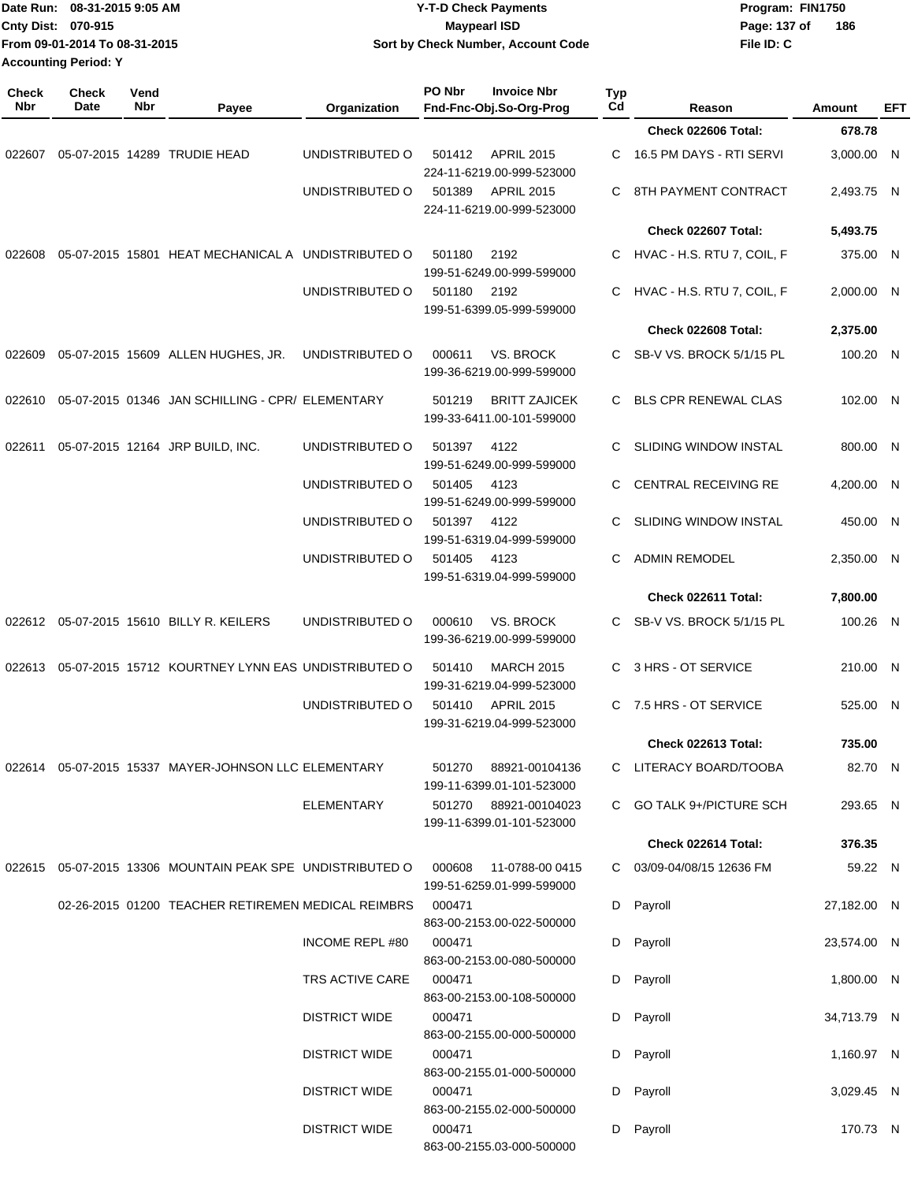|              | Cnty Dist: 070-915<br>From 09-01-2014 To 08-31-2015<br><b>Accounting Period: Y</b> |             |                                                                       |                       | <b>Maypearl ISD</b><br>Sort by Check Number, Account Code                | Page: 137 of<br>186<br>File ID: C |                              |             |            |
|--------------|------------------------------------------------------------------------------------|-------------|-----------------------------------------------------------------------|-----------------------|--------------------------------------------------------------------------|-----------------------------------|------------------------------|-------------|------------|
| Check<br>Nbr | <b>Check</b><br>Date                                                               | Vend<br>Nbr | Payee                                                                 | Organization          | PO Nbr<br><b>Invoice Nbr</b><br>Fnd-Fnc-Obj.So-Org-Prog                  | <b>Typ</b><br>Cd                  | Reason                       | Amount      | <b>EFT</b> |
|              |                                                                                    |             |                                                                       |                       |                                                                          |                                   | <b>Check 022606 Total:</b>   | 678.78      |            |
| 022607       |                                                                                    |             | 05-07-2015 14289 TRUDIE HEAD                                          | UNDISTRIBUTED O       | 501412<br><b>APRIL 2015</b><br>224-11-6219.00-999-523000                 | С                                 | 16.5 PM DAYS - RTI SERVI     | 3,000.00 N  |            |
|              |                                                                                    |             |                                                                       | UNDISTRIBUTED O       | 501389<br><b>APRIL 2015</b><br>224-11-6219.00-999-523000                 | C                                 | 8TH PAYMENT CONTRACT         | 2,493.75 N  |            |
|              |                                                                                    |             |                                                                       |                       |                                                                          |                                   | Check 022607 Total:          | 5,493.75    |            |
| 022608       |                                                                                    |             | 05-07-2015 15801 HEAT MECHANICAL A UNDISTRIBUTED O                    |                       | 501180<br>2192<br>199-51-6249.00-999-599000                              | C.                                | HVAC - H.S. RTU 7, COIL, F   | 375.00 N    |            |
|              |                                                                                    |             |                                                                       | UNDISTRIBUTED O       | 501180<br>2192<br>199-51-6399.05-999-599000                              | C                                 | HVAC - H.S. RTU 7, COIL, F   | 2,000.00 N  |            |
|              |                                                                                    |             |                                                                       |                       |                                                                          |                                   | Check 022608 Total:          | 2,375.00    |            |
| 022609       |                                                                                    |             | 05-07-2015 15609 ALLEN HUGHES, JR.                                    | UNDISTRIBUTED O       | <b>VS. BROCK</b><br>000611<br>199-36-6219.00-999-599000                  | C                                 | SB-V VS. BROCK 5/1/15 PL     | 100.20 N    |            |
| 022610       |                                                                                    |             | 05-07-2015 01346 JAN SCHILLING - CPR/ ELEMENTARY                      |                       | 501219<br><b>BRITT ZAJICEK</b><br>199-33-6411.00-101-599000              | C.                                | <b>BLS CPR RENEWAL CLAS</b>  | 102.00 N    |            |
| 022611       |                                                                                    |             | 05-07-2015 12164 JRP BUILD, INC.                                      | UNDISTRIBUTED O       | 501397<br>4122<br>199-51-6249.00-999-599000                              | С                                 | <b>SLIDING WINDOW INSTAL</b> | 800.00 N    |            |
|              |                                                                                    |             |                                                                       | UNDISTRIBUTED O       | 501405<br>4123                                                           | С                                 | CENTRAL RECEIVING RE         | 4,200.00 N  |            |
|              |                                                                                    |             |                                                                       | UNDISTRIBUTED O       | 199-51-6249.00-999-599000<br>501397<br>4122<br>199-51-6319.04-999-599000 | С                                 | SLIDING WINDOW INSTAL        | 450.00 N    |            |
|              |                                                                                    |             |                                                                       | UNDISTRIBUTED O       | 501405<br>4123<br>199-51-6319.04-999-599000                              | С                                 | <b>ADMIN REMODEL</b>         | 2,350.00 N  |            |
|              |                                                                                    |             |                                                                       |                       |                                                                          |                                   | Check 022611 Total:          | 7,800.00    |            |
|              |                                                                                    |             | 022612 05-07-2015 15610 BILLY R. KEILERS                              | UNDISTRIBUTED O       | VS. BROCK<br>000610<br>199-36-6219.00-999-599000                         | C.                                | SB-V VS. BROCK 5/1/15 PL     | 100.26 N    |            |
| 022613       |                                                                                    |             | 05-07-2015 15712 KOURTNEY LYNN EAS UNDISTRIBUTED O                    |                       | <b>MARCH 2015</b><br>501410<br>199-31-6219.04-999-523000                 | C                                 | 3 HRS - OT SERVICE           | 210.00 N    |            |
|              |                                                                                    |             |                                                                       | UNDISTRIBUTED O       | 501410 APRIL 2015<br>199-31-6219.04-999-523000                           |                                   | C 7.5 HRS - OT SERVICE       | 525.00 N    |            |
|              |                                                                                    |             |                                                                       |                       |                                                                          |                                   | Check 022613 Total:          | 735.00      |            |
|              |                                                                                    |             | 022614 05-07-2015 15337 MAYER-JOHNSON LLC ELEMENTARY                  |                       | 501270 88921-00104136<br>199-11-6399.01-101-523000                       |                                   | C LITERACY BOARD/TOOBA       | 82.70 N     |            |
|              |                                                                                    |             |                                                                       | <b>ELEMENTARY</b>     | 501270 88921-00104023<br>199-11-6399.01-101-523000                       |                                   | C GO TALK 9+/PICTURE SCH     | 293.65 N    |            |
|              |                                                                                    |             |                                                                       |                       |                                                                          |                                   | Check 022614 Total:          | 376.35      |            |
|              |                                                                                    |             | 022615  05-07-2015  13306  MOUNTAIN  PEAK SPE  UNDISTRIBUTED   000608 |                       | 11-0788-00 0415<br>199-51-6259.01-999-599000                             |                                   | C 03/09-04/08/15 12636 FM    | 59.22 N     |            |
|              |                                                                                    |             | 02-26-2015 01200 TEACHER RETIREMEN MEDICAL REIMBRS                    |                       | 000471<br>863-00-2153.00-022-500000                                      |                                   | D Payroll                    | 27,182.00 N |            |
|              |                                                                                    |             |                                                                       | <b>INCOME REPL#80</b> | 000471<br>863-00-2153.00-080-500000                                      |                                   | D Payroll                    | 23,574.00 N |            |
|              |                                                                                    |             |                                                                       | TRS ACTIVE CARE       | 000471<br>863-00-2153.00-108-500000                                      |                                   | D Payroll                    | 1,800.00 N  |            |
|              |                                                                                    |             |                                                                       | <b>DISTRICT WIDE</b>  | 000471<br>863-00-2155.00-000-500000                                      |                                   | D Payroll                    | 34,713.79 N |            |
|              |                                                                                    |             |                                                                       | <b>DISTRICT WIDE</b>  | 000471<br>863-00-2155.01-000-500000                                      |                                   | D Payroll                    | 1,160.97 N  |            |
|              |                                                                                    |             |                                                                       | <b>DISTRICT WIDE</b>  | 000471<br>863-00-2155.02-000-500000                                      |                                   | D Payroll                    | 3,029.45 N  |            |
|              |                                                                                    |             |                                                                       | <b>DISTRICT WIDE</b>  | 000471<br>863-00-2155.03-000-500000                                      |                                   | D Payroll                    | 170.73 N    |            |

**Date Run: Program: FIN1750**

**08-31-2015 9:05 AM Y-T-D Check Payments**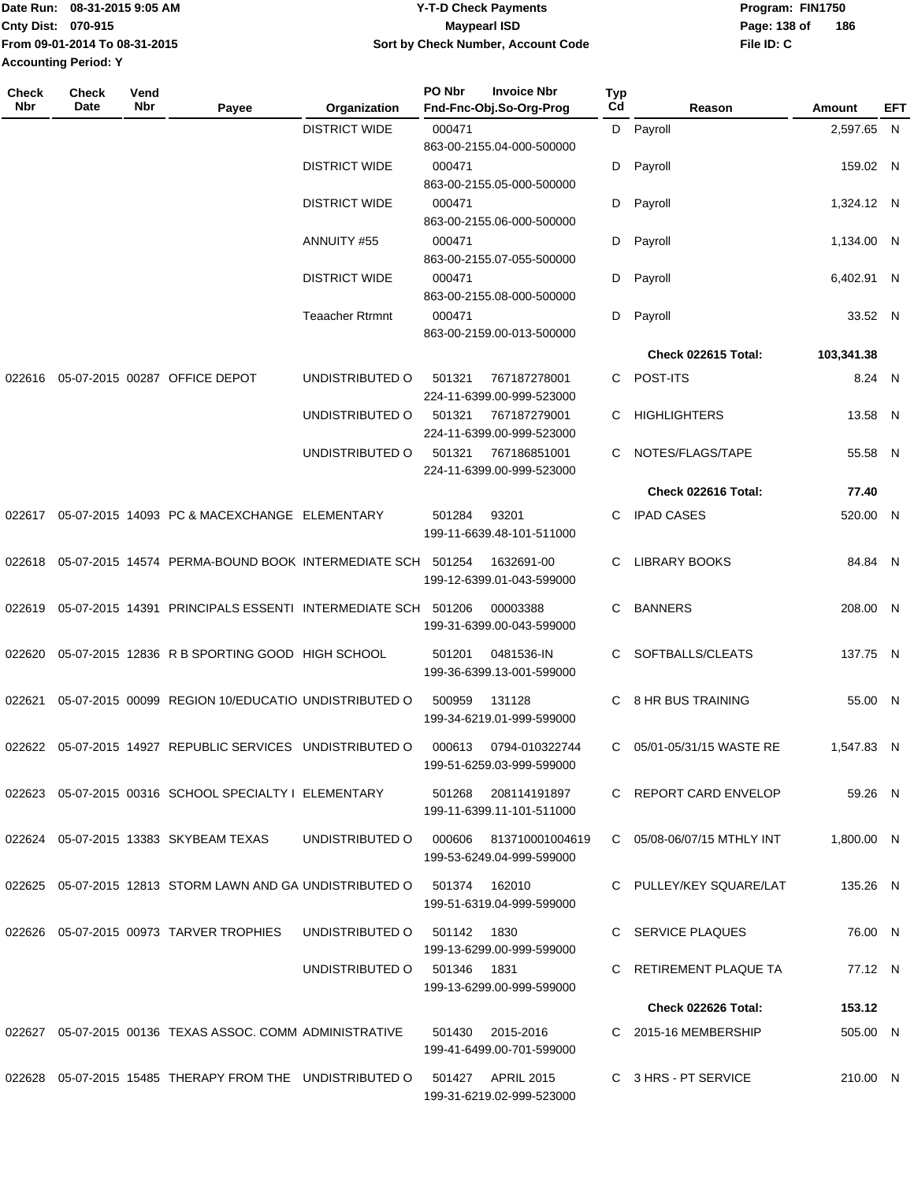| Date Run: 08-31-2015 9:05 AM  | Y-T-D Check Payments               | Program: FIN1750 |     |  |  |
|-------------------------------|------------------------------------|------------------|-----|--|--|
| <b>Cnty Dist: 070-915</b>     | Maypearl ISD                       | Page: 138 of     | 186 |  |  |
| Trom 09-01-2014 To 08-31-2015 | Sort by Check Number, Account Code | File ID: C       |     |  |  |
| <b>Accounting Period: Y</b>   |                                    |                  |     |  |  |

| Check<br><b>Nbr</b> | <b>Check</b><br>Date | Vend<br>Nbr | Payee                                                       | Organization           | PO Nbr      | <b>Invoice Nbr</b><br>Fnd-Fnc-Obj.So-Org-Prog    | Typ<br>Cd | Reason                     | <b>Amount</b> | EFT |
|---------------------|----------------------|-------------|-------------------------------------------------------------|------------------------|-------------|--------------------------------------------------|-----------|----------------------------|---------------|-----|
|                     |                      |             |                                                             | <b>DISTRICT WIDE</b>   | 000471      |                                                  | D         | Payroll                    | 2,597.65 N    |     |
|                     |                      |             |                                                             | <b>DISTRICT WIDE</b>   | 000471      | 863-00-2155.04-000-500000                        | D         | Payroll                    | 159.02 N      |     |
|                     |                      |             |                                                             | <b>DISTRICT WIDE</b>   | 000471      | 863-00-2155.05-000-500000                        |           |                            |               |     |
|                     |                      |             |                                                             |                        |             | 863-00-2155.06-000-500000                        | D         | Payroll                    | 1,324.12 N    |     |
|                     |                      |             |                                                             | ANNUITY #55            | 000471      | 863-00-2155.07-055-500000                        | D         | Payroll                    | 1,134.00 N    |     |
|                     |                      |             |                                                             | <b>DISTRICT WIDE</b>   | 000471      | 863-00-2155.08-000-500000                        | D         | Payroll                    | 6,402.91 N    |     |
|                     |                      |             |                                                             | <b>Teaacher Rtrmnt</b> | 000471      |                                                  | D         | Payroll                    | 33.52 N       |     |
|                     |                      |             |                                                             |                        |             | 863-00-2159.00-013-500000                        |           |                            |               |     |
|                     |                      |             |                                                             |                        |             |                                                  |           | Check 022615 Total:        | 103,341.38    |     |
| 022616              |                      |             | 05-07-2015 00287 OFFICE DEPOT                               | UNDISTRIBUTED O        | 501321      | 767187278001<br>224-11-6399.00-999-523000        | C         | POST-ITS                   | 8.24 N        |     |
|                     |                      |             |                                                             | UNDISTRIBUTED O        | 501321      | 767187279001<br>224-11-6399.00-999-523000        | С         | <b>HIGHLIGHTERS</b>        | 13.58 N       |     |
|                     |                      |             |                                                             | UNDISTRIBUTED O        | 501321      | 767186851001<br>224-11-6399.00-999-523000        | С         | NOTES/FLAGS/TAPE           | 55.58 N       |     |
|                     |                      |             |                                                             |                        |             |                                                  |           | Check 022616 Total:        | 77.40         |     |
| 022617              |                      |             | 05-07-2015 14093 PC & MACEXCHANGE ELEMENTARY                |                        | 501284      | 93201<br>199-11-6639.48-101-511000               | C         | <b>IPAD CASES</b>          | 520.00 N      |     |
| 022618              |                      |             | 05-07-2015 14574 PERMA-BOUND BOOK INTERMEDIATE SCH 501254   |                        |             | 1632691-00<br>199-12-6399.01-043-599000          | С         | <b>LIBRARY BOOKS</b>       | 84.84 N       |     |
| 022619              |                      |             | 05-07-2015 14391 PRINCIPALS ESSENTI INTERMEDIATE SCH 501206 |                        |             | 00003388<br>199-31-6399.00-043-599000            | С         | <b>BANNERS</b>             | 208.00 N      |     |
| 022620              |                      |             | 05-07-2015 12836 R B SPORTING GOOD HIGH SCHOOL              |                        | 501201      | 0481536-IN<br>199-36-6399.13-001-599000          | C.        | SOFTBALLS/CLEATS           | 137.75 N      |     |
| 022621              |                      |             | 05-07-2015 00099 REGION 10/EDUCATIO UNDISTRIBUTED O         |                        | 500959      | 131128<br>199-34-6219.01-999-599000              | C         | 8 HR BUS TRAINING          | 55.00 N       |     |
|                     |                      |             | 022622 05-07-2015 14927 REPUBLIC SERVICES UNDISTRIBUTED O   |                        | 000613      | 0794-010322744<br>199-51-6259.03-999-599000      | C         | 05/01-05/31/15 WASTE RE    | 1,547.83 N    |     |
|                     |                      |             | 022623 05-07-2015 00316 SCHOOL SPECIALTY I ELEMENTARY       |                        |             | 501268 208114191897<br>199-11-6399.11-101-511000 |           | C REPORT CARD ENVELOP      | 59.26 N       |     |
|                     |                      |             | 022624 05-07-2015 13383 SKYBEAM TEXAS                       | UNDISTRIBUTED O        | 000606      | 813710001004619<br>199-53-6249.04-999-599000     |           | C 05/08-06/07/15 MTHLY INT | 1,800.00 N    |     |
|                     |                      |             | 022625 05-07-2015 12813 STORM LAWN AND GA UNDISTRIBUTED O   |                        | 501374      | 162010<br>199-51-6319.04-999-599000              |           | C PULLEY/KEY SQUARE/LAT    | 135.26 N      |     |
|                     |                      |             | 022626  05-07-2015  00973  TARVER TROPHIES                  | UNDISTRIBUTED O        | 501142      | 1830<br>199-13-6299.00-999-599000                |           | SERVICE PLAQUES            | 76.00 N       |     |
|                     |                      |             |                                                             | UNDISTRIBUTED O        | 501346 1831 | 199-13-6299.00-999-599000                        |           | RETIREMENT PLAQUE TA       | 77.12 N       |     |
|                     |                      |             |                                                             |                        |             |                                                  |           | Check 022626 Total:        | 153.12        |     |
|                     |                      |             | 022627 05-07-2015 00136 TEXAS ASSOC, COMM ADMINISTRATIVE    |                        | 501430      | 2015-2016<br>199-41-6499.00-701-599000           |           | C 2015-16 MEMBERSHIP       | 505.00 N      |     |
|                     |                      |             | 022628 05-07-2015 15485 THERAPY FROM THE UNDISTRIBUTED O    |                        |             | 501427 APRIL 2015<br>199-31-6219.02-999-523000   |           | C 3 HRS - PT SERVICE       | 210.00 N      |     |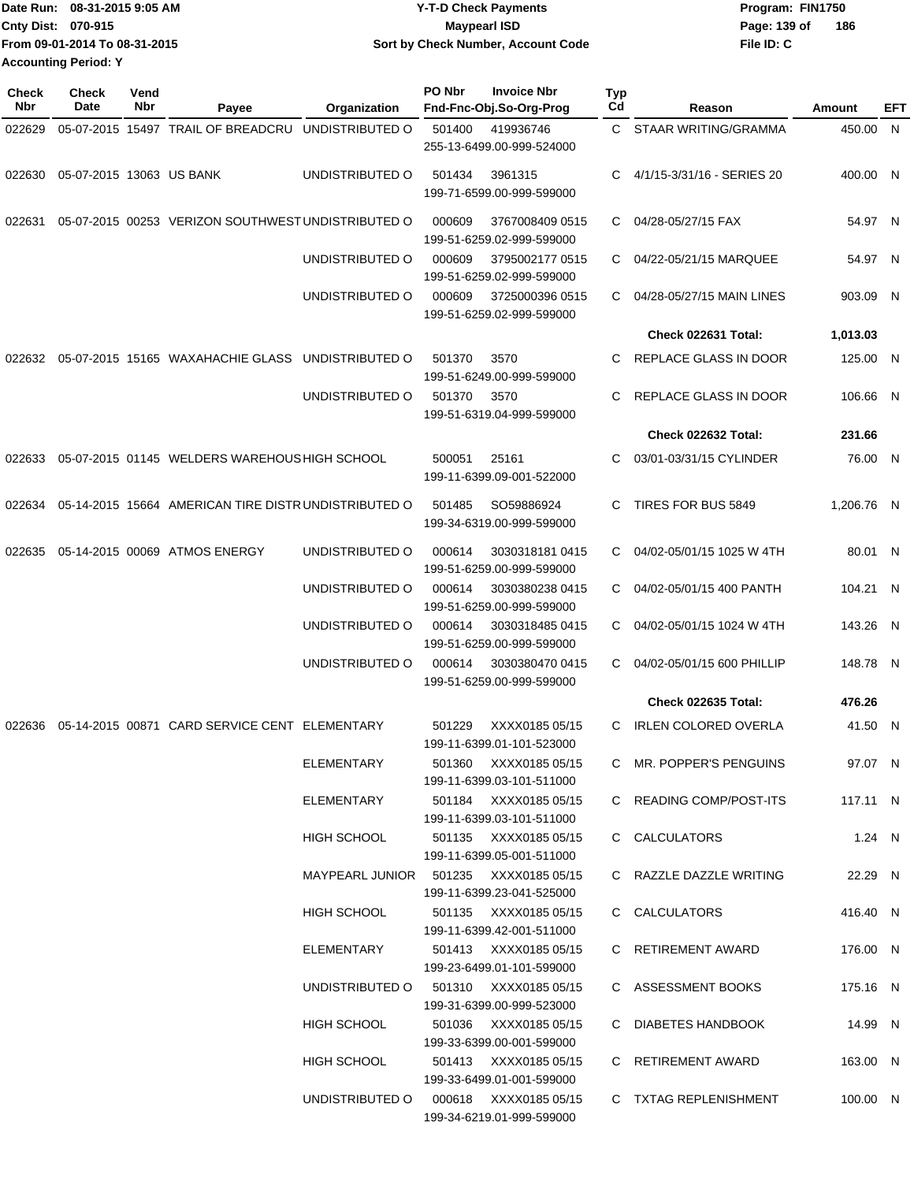| Date Run: 08-31-2015 9:05 AM  | <b>Y-T-D Check Payments</b>        | Program: FIN1750    |
|-------------------------------|------------------------------------|---------------------|
| <b>Cnty Dist: 070-915</b>     | Maypearl ISD                       | 186<br>Page: 139 of |
| From 09-01-2014 To 08-31-2015 | Sort by Check Number, Account Code | File ID: C          |
| <b>Accounting Period: Y</b>   |                                    |                     |

| Check<br>Nbr | <b>Check</b><br>Date     | Vend<br>Nbr | Payee                                               | Organization                          | PO Nbr | <b>Invoice Nbr</b><br>Fnd-Fnc-Obj.So-Org-Prog      | Typ<br>Cd      | Reason                      | Amount     | EFT |
|--------------|--------------------------|-------------|-----------------------------------------------------|---------------------------------------|--------|----------------------------------------------------|----------------|-----------------------------|------------|-----|
| 022629       |                          |             | 05-07-2015 15497 TRAIL OF BREADCRU                  | UNDISTRIBUTED O                       | 501400 | 419936746                                          | $\mathsf{C}^-$ | STAAR WRITING/GRAMMA        | 450.00 N   |     |
|              |                          |             |                                                     |                                       |        | 255-13-6499.00-999-524000                          |                |                             |            |     |
| 022630       | 05-07-2015 13063 US BANK |             |                                                     | UNDISTRIBUTED O                       | 501434 | 3961315                                            | C.             | 4/1/15-3/31/16 - SERIES 20  | 400.00 N   |     |
|              |                          |             |                                                     |                                       |        | 199-71-6599.00-999-599000                          |                |                             |            |     |
| 022631       |                          |             | 05-07-2015 00253 VERIZON SOUTHWEST UNDISTRIBUTED O  |                                       | 000609 | 3767008409 0515<br>199-51-6259.02-999-599000       | C.             | 04/28-05/27/15 FAX          | 54.97 N    |     |
|              |                          |             |                                                     | UNDISTRIBUTED O                       | 000609 | 3795002177 0515                                    | C.             | 04/22-05/21/15 MARQUEE      | 54.97 N    |     |
|              |                          |             |                                                     | UNDISTRIBUTED O                       | 000609 | 199-51-6259.02-999-599000<br>3725000396 0515       | C.             | 04/28-05/27/15 MAIN LINES   | 903.09 N   |     |
|              |                          |             |                                                     |                                       |        | 199-51-6259.02-999-599000                          |                |                             |            |     |
|              |                          |             |                                                     |                                       |        |                                                    |                | Check 022631 Total:         | 1,013.03   |     |
| 022632       |                          |             | 05-07-2015 15165 WAXAHACHIE GLASS                   | UNDISTRIBUTED O                       | 501370 | 3570<br>199-51-6249.00-999-599000                  | C.             | REPLACE GLASS IN DOOR       | 125.00 N   |     |
|              |                          |             |                                                     | UNDISTRIBUTED O                       | 501370 | 3570<br>199-51-6319.04-999-599000                  | C              | REPLACE GLASS IN DOOR       | 106.66 N   |     |
|              |                          |             |                                                     |                                       |        |                                                    |                | Check 022632 Total:         | 231.66     |     |
| 022633       |                          |             | 05-07-2015 01145 WELDERS WAREHOUS HIGH SCHOOL       |                                       | 500051 | 25161                                              | C              | 03/01-03/31/15 CYLINDER     | 76.00 N    |     |
|              |                          |             |                                                     |                                       |        | 199-11-6399.09-001-522000                          |                |                             |            |     |
| 022634       |                          |             | 05-14-2015 15664 AMERICAN TIRE DISTRUNDISTRIBUTED O |                                       | 501485 | SO59886924                                         | C.             | TIRES FOR BUS 5849          | 1.206.76 N |     |
|              |                          |             |                                                     |                                       |        | 199-34-6319.00-999-599000                          |                |                             |            |     |
| 022635       |                          |             | 05-14-2015 00069 ATMOS ENERGY                       | UNDISTRIBUTED O                       | 000614 | 30303181810415<br>199-51-6259.00-999-599000        | C              | 04/02-05/01/15 1025 W 4TH   | 80.01 N    |     |
|              |                          |             |                                                     | UNDISTRIBUTED O                       | 000614 | 3030380238 0415<br>199-51-6259.00-999-599000       | C              | 04/02-05/01/15 400 PANTH    | 104.21 N   |     |
|              |                          |             |                                                     | UNDISTRIBUTED O                       | 000614 | 3030318485 0415                                    | C.             | 04/02-05/01/15 1024 W 4TH   | 143.26 N   |     |
|              |                          |             |                                                     |                                       |        | 199-51-6259.00-999-599000                          |                |                             |            |     |
|              |                          |             |                                                     | UNDISTRIBUTED O                       | 000614 | 3030380470 0415<br>199-51-6259.00-999-599000       | C.             | 04/02-05/01/15 600 PHILLIP  | 148.78 N   |     |
|              |                          |             |                                                     |                                       |        |                                                    |                | <b>Check 022635 Total:</b>  | 476.26     |     |
| 022636       |                          |             | 05-14-2015 00871 CARD SERVICE CENT ELEMENTARY       |                                       | 501229 | XXXX0185 05/15<br>199-11-6399.01-101-523000        | C.             | <b>IRLEN COLORED OVERLA</b> | 41.50 N    |     |
|              |                          |             |                                                     | ELEMENTARY                            |        | 501360 XXXX0185 05/15<br>199-11-6399.03-101-511000 |                | C MR. POPPER'S PENGUINS     | 97.07 N    |     |
|              |                          |             |                                                     | ELEMENTARY                            |        | 501184 XXXX0185 05/15                              |                | C READING COMP/POST-ITS     | 117.11 N   |     |
|              |                          |             |                                                     |                                       |        | 199-11-6399.03-101-511000                          |                |                             |            |     |
|              |                          |             |                                                     | HIGH SCHOOL                           |        | 501135 XXXX0185 05/15<br>199-11-6399.05-001-511000 |                | C CALCULATORS               | 1.24 N     |     |
|              |                          |             |                                                     | MAYPEARL JUNIOR 501235 XXXX0185 05/15 |        | 199-11-6399.23-041-525000                          |                | C RAZZLE DAZZLE WRITING     | 22.29 N    |     |
|              |                          |             |                                                     | HIGH SCHOOL                           |        | 501135 XXXX0185 05/15                              |                | C CALCULATORS               | 416.40 N   |     |
|              |                          |             |                                                     | ELEMENTARY                            |        | 199-11-6399.42-001-511000<br>501413 XXXX0185 05/15 |                | C RETIREMENT AWARD          | 176.00 N   |     |
|              |                          |             |                                                     |                                       |        | 199-23-6499.01-101-599000                          |                |                             |            |     |
|              |                          |             |                                                     | UNDISTRIBUTED O                       |        | 501310 XXXX0185 05/15<br>199-31-6399.00-999-523000 |                | C ASSESSMENT BOOKS          | 175.16 N   |     |
|              |                          |             |                                                     | <b>HIGH SCHOOL</b>                    |        | 501036 XXXX0185 05/15                              |                | C DIABETES HANDBOOK         | 14.99 N    |     |
|              |                          |             |                                                     | HIGH SCHOOL                           |        | 199-33-6399.00-001-599000<br>501413 XXXX0185 05/15 |                | C RETIREMENT AWARD          | 163.00 N   |     |
|              |                          |             |                                                     |                                       |        | 199-33-6499.01-001-599000                          |                |                             |            |     |
|              |                          |             |                                                     | UNDISTRIBUTED O                       |        | 000618 XXXX0185 05/15                              |                | C TXTAG REPLENISHMENT       | 100.00 N   |     |
|              |                          |             |                                                     |                                       |        | 199-34-6219.01-999-599000                          |                |                             |            |     |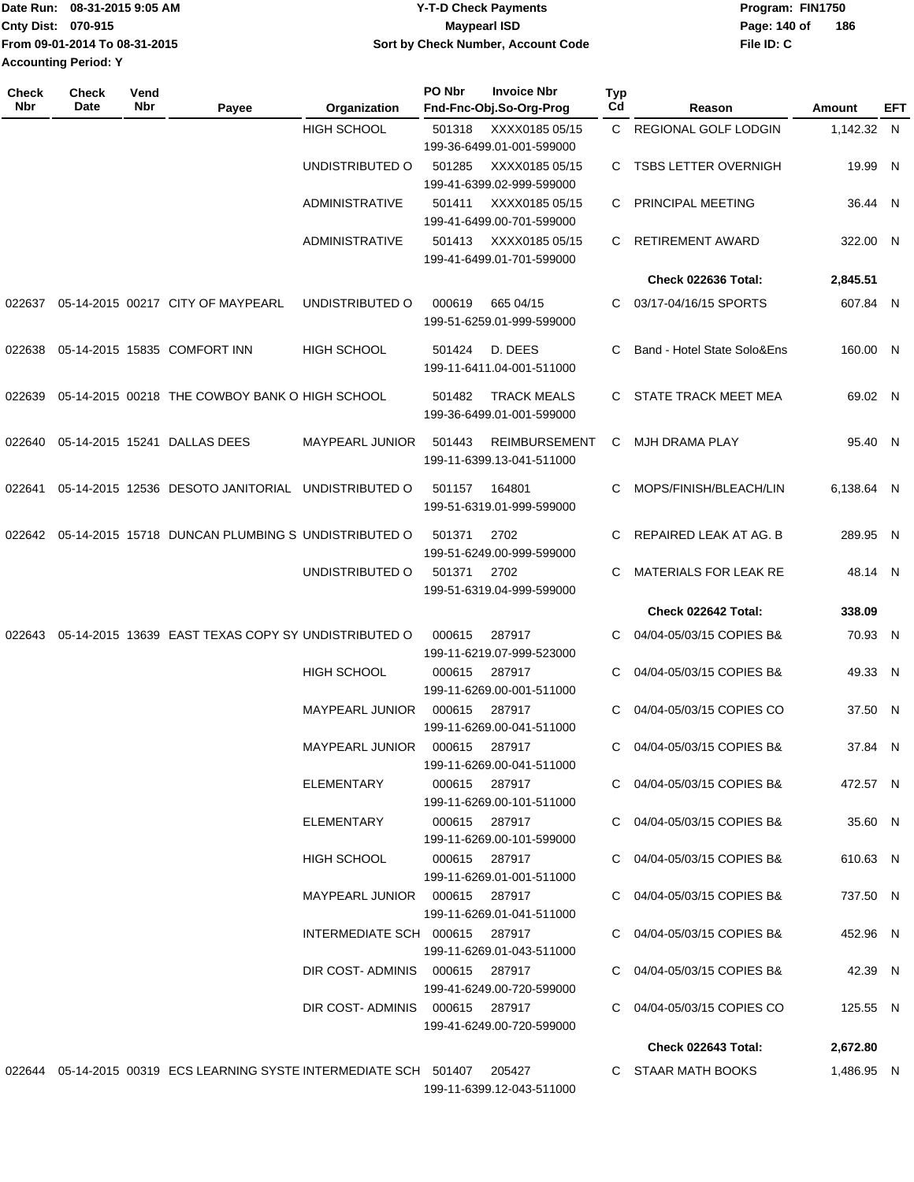|                             | IDate Run: 08-31-2015 9:05 AM | <b>Y-T-D Check Payments</b>        | Program: FIN1750 |     |
|-----------------------------|-------------------------------|------------------------------------|------------------|-----|
| <b>Cnty Dist: 070-915</b>   |                               | <b>Mavpearl ISD</b>                | Page: 140 of     | 186 |
|                             | From 09-01-2014 To 08-31-2015 | Sort by Check Number, Account Code | File ID: C       |     |
| <b>Accounting Period: Y</b> |                               |                                    |                  |     |

| Check<br><b>Nbr</b> | <b>Check</b><br>Date | Vend<br>Nbr | Payee                                                                     | Organization                   | PO Nbr                            | <b>Invoice Nbr</b><br>Fnd-Fnc-Obj.So-Org-Prog     | Typ<br>Cd             | Reason                      | Amount     | EFT |
|---------------------|----------------------|-------------|---------------------------------------------------------------------------|--------------------------------|-----------------------------------|---------------------------------------------------|-----------------------|-----------------------------|------------|-----|
|                     |                      |             |                                                                           | <b>HIGH SCHOOL</b>             | 501318                            | XXXX0185 05/15<br>199-36-6499.01-001-599000       | $\mathbf{C}$          | REGIONAL GOLF LODGIN        | 1,142.32 N |     |
|                     |                      |             |                                                                           | UNDISTRIBUTED O                | 501285                            | XXXX0185 05/15<br>199-41-6399.02-999-599000       | C.                    | <b>TSBS LETTER OVERNIGH</b> | 19.99 N    |     |
|                     |                      |             |                                                                           | <b>ADMINISTRATIVE</b>          | 501411                            | XXXX0185 05/15<br>199-41-6499.00-701-599000       | C                     | PRINCIPAL MEETING           | 36.44 N    |     |
|                     |                      |             |                                                                           | <b>ADMINISTRATIVE</b>          | 501413                            | XXXX0185 05/15<br>199-41-6499.01-701-599000       | C.                    | <b>RETIREMENT AWARD</b>     | 322.00 N   |     |
|                     |                      |             |                                                                           |                                |                                   |                                                   |                       | Check 022636 Total:         | 2,845.51   |     |
| 022637              |                      |             | 05-14-2015 00217 CITY OF MAYPEARL                                         | UNDISTRIBUTED O                | 000619                            | 665 04/15<br>199-51-6259.01-999-599000            | C.                    | 03/17-04/16/15 SPORTS       | 607.84 N   |     |
| 022638              |                      |             | 05-14-2015 15835 COMFORT INN                                              | <b>HIGH SCHOOL</b>             | 501424                            | D. DEES<br>199-11-6411.04-001-511000              | C                     | Band - Hotel State Solo&Ens | 160.00 N   |     |
| 022639              |                      |             | 05-14-2015 00218 THE COWBOY BANK O HIGH SCHOOL                            |                                | 501482                            | <b>TRACK MEALS</b><br>199-36-6499.01-001-599000   | C.                    | STATE TRACK MEET MEA        | 69.02 N    |     |
| 022640              |                      |             | 05-14-2015 15241 DALLAS DEES                                              | <b>MAYPEARL JUNIOR</b>         | 501443                            | <b>REIMBURSEMENT</b><br>199-11-6399.13-041-511000 | C                     | MJH DRAMA PLAY              | 95.40 N    |     |
| 022641              |                      |             | 05-14-2015 12536 DESOTO JANITORIAL UNDISTRIBUTED O                        |                                | 501157                            | 164801<br>199-51-6319.01-999-599000               | C.                    | MOPS/FINISH/BLEACH/LIN      | 6.138.64 N |     |
| 022642              |                      |             | 05-14-2015 15718 DUNCAN PLUMBING S UNDISTRIBUTED O                        |                                | 501371                            | 2702<br>199-51-6249.00-999-599000                 | C.                    | REPAIRED LEAK AT AG. B      | 289.95 N   |     |
|                     |                      |             | UNDISTRIBUTED O                                                           | 501371                         | 2702<br>199-51-6319.04-999-599000 | C                                                 | MATERIALS FOR LEAK RE | 48.14 N                     |            |     |
|                     |                      |             |                                                                           |                                |                                   |                                                   |                       | Check 022642 Total:         | 338.09     |     |
| 022643              |                      |             | 05-14-2015 13639 EAST TEXAS COPY SY UNDISTRIBUTED O                       |                                | 000615                            | 287917<br>199-11-6219.07-999-523000               | C.                    | 04/04-05/03/15 COPIES B&    | 70.93 N    |     |
|                     |                      |             |                                                                           | <b>HIGH SCHOOL</b>             | 000615                            | 287917<br>199-11-6269.00-001-511000               | C                     | 04/04-05/03/15 COPIES B&    | 49.33 N    |     |
|                     |                      |             |                                                                           | MAYPEARL JUNIOR                | 000615                            | 287917<br>199-11-6269.00-041-511000               | C                     | 04/04-05/03/15 COPIES CO    | 37.50 N    |     |
|                     |                      |             |                                                                           | <b>MAYPEARL JUNIOR</b>         | 000615                            | 287917<br>199-11-6269.00-041-511000               | C                     | 04/04-05/03/15 COPIES B&    | 37.84 N    |     |
|                     |                      |             |                                                                           | ELEMENTARY                     |                                   | 000615 287917<br>199-11-6269.00-101-511000        |                       | C 04/04-05/03/15 COPIES B&  | 472.57 N   |     |
|                     |                      |             |                                                                           | ELEMENTARY                     | 000615 287917                     | 199-11-6269.00-101-599000                         |                       | C 04/04-05/03/15 COPIES B&  | 35.60 N    |     |
|                     |                      |             |                                                                           | <b>HIGH SCHOOL</b>             | 000615 287917                     | 199-11-6269.01-001-511000                         |                       | C 04/04-05/03/15 COPIES B&  | 610.63 N   |     |
|                     |                      |             |                                                                           | MAYPEARL JUNIOR 000615 287917  |                                   | 199-11-6269.01-041-511000                         |                       | C 04/04-05/03/15 COPIES B&  | 737.50 N   |     |
|                     |                      |             |                                                                           | INTERMEDIATE SCH 000615 287917 |                                   | 199-11-6269.01-043-511000                         |                       | C 04/04-05/03/15 COPIES B&  | 452.96 N   |     |
|                     |                      |             |                                                                           | DIR COST-ADMINIS 000615 287917 |                                   | 199-41-6249.00-720-599000                         |                       | C 04/04-05/03/15 COPIES B&  | 42.39 N    |     |
|                     |                      |             |                                                                           | DIR COST-ADMINIS 000615 287917 |                                   | 199-41-6249.00-720-599000                         |                       | C 04/04-05/03/15 COPIES CO  | 125.55 N   |     |
|                     |                      |             |                                                                           |                                |                                   |                                                   |                       | Check 022643 Total:         | 2,672.80   |     |
|                     |                      |             | 022644 05-14-2015 00319 ECS LEARNING SYSTE INTERMEDIATE SCH 501407 205427 |                                |                                   | 199-11-6399.12-043-511000                         |                       | C STAAR MATH BOOKS          | 1,486.95 N |     |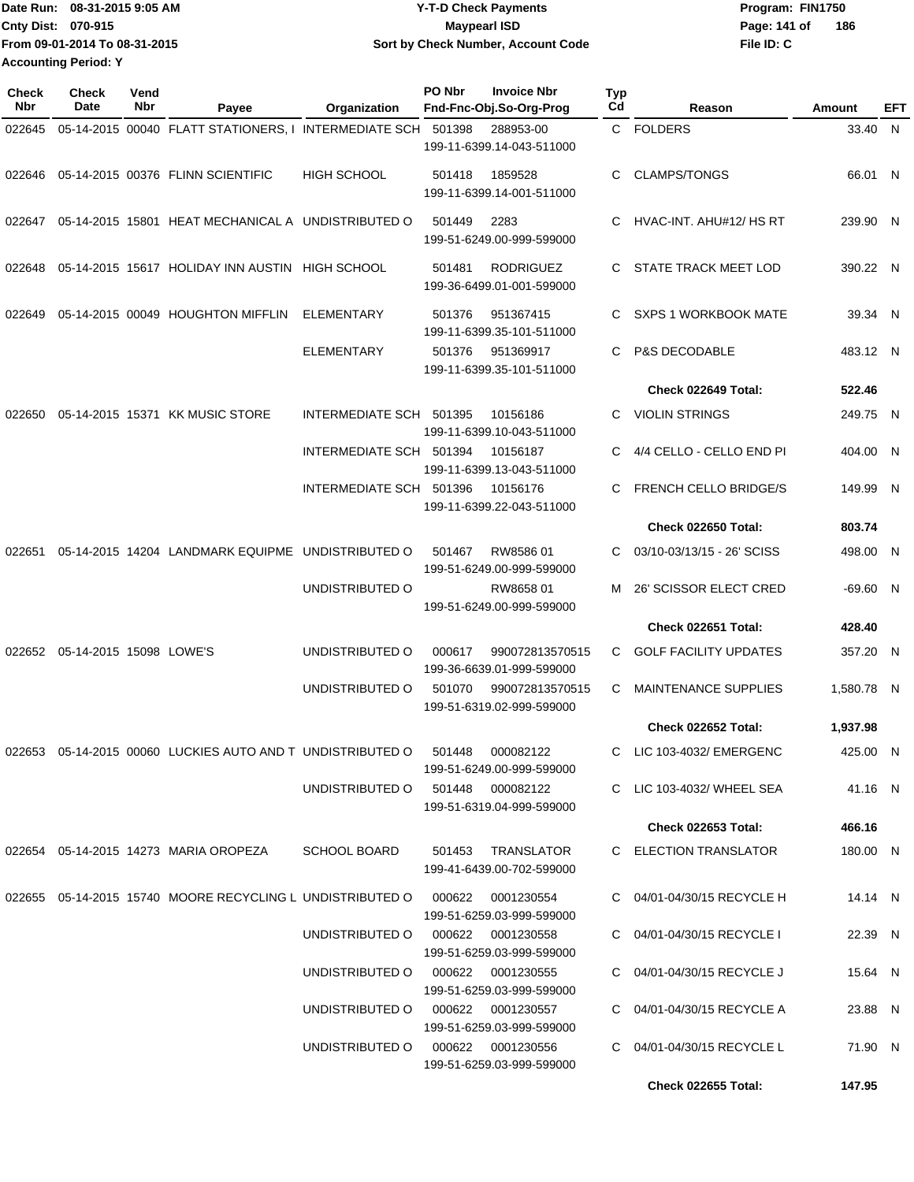Date Run: 08-31-2015 9:05 AM **CONTEX 18 AM CONTEX 15 AM CONTEX 15 AM CONTEX 15 AM CONTEX PROGRAM: FIN1750 Cnty Dist: 070-915 From 09-01-2014 To 08-31-2015 08-31-2015 9:05 AM Y-T-D Check Payments 070-915 Maypearl ISD Sort by Check Number, Account Code Accounting Period: Y**

**File ID: C** Page: 141 of 186

| <b>Check</b><br>Nbr | Check<br>Date                  | Vend<br>Nbr | Payee                                                                                 | Organization                      | PO Nbr | <b>Invoice Nbr</b><br>Fnd-Fnc-Obj.So-Org-Prog | <b>Typ</b><br>Cd | Reason                        | Amount     | EFT |
|---------------------|--------------------------------|-------------|---------------------------------------------------------------------------------------|-----------------------------------|--------|-----------------------------------------------|------------------|-------------------------------|------------|-----|
| 022645              |                                |             | 05-14-2015 00040 FLATT STATIONERS, I INTERMEDIATE SCH 501398                          |                                   |        | 288953-00<br>199-11-6399.14-043-511000        |                  | C FOLDERS                     | 33.40 N    |     |
| 022646              |                                |             | 05-14-2015 00376 FLINN SCIENTIFIC                                                     | <b>HIGH SCHOOL</b>                | 501418 | 1859528<br>199-11-6399.14-001-511000          | C                | <b>CLAMPS/TONGS</b>           | 66.01 N    |     |
|                     |                                |             | 022647 05-14-2015 15801 HEAT MECHANICAL A UNDISTRIBUTED O                             |                                   | 501449 | 2283<br>199-51-6249.00-999-599000             | C                | HVAC-INT. AHU#12/ HS RT       | 239.90 N   |     |
| 022648              |                                |             | 05-14-2015 15617 HOLIDAY INN AUSTIN HIGH SCHOOL                                       |                                   | 501481 | <b>RODRIGUEZ</b><br>199-36-6499.01-001-599000 |                  | STATE TRACK MEET LOD          | 390.22 N   |     |
| 022649              |                                |             | 05-14-2015 00049 HOUGHTON MIFFLIN                                                     | ELEMENTARY                        | 501376 | 951367415<br>199-11-6399.35-101-511000        | C.               | <b>SXPS 1 WORKBOOK MATE</b>   | 39.34 N    |     |
|                     |                                |             |                                                                                       | <b>ELEMENTARY</b>                 | 501376 | 951369917<br>199-11-6399.35-101-511000        | C                | P&S DECODABLE                 | 483.12 N   |     |
|                     |                                |             |                                                                                       |                                   |        |                                               |                  | Check 022649 Total:           | 522.46     |     |
| 022650              |                                |             | 05-14-2015 15371 KK MUSIC STORE                                                       | INTERMEDIATE SCH 501395           |        | 10156186<br>199-11-6399.10-043-511000         | C                | VIOLIN STRINGS                | 249.75 N   |     |
|                     |                                |             |                                                                                       | INTERMEDIATE SCH 501394           |        | 10156187<br>199-11-6399.13-043-511000         |                  | 4/4 CELLO - CELLO END PI      | 404.00 N   |     |
|                     |                                |             |                                                                                       | INTERMEDIATE SCH 501396           |        | 10156176<br>199-11-6399.22-043-511000         | C                | <b>FRENCH CELLO BRIDGE/S</b>  | 149.99 N   |     |
|                     |                                |             |                                                                                       |                                   |        |                                               |                  | Check 022650 Total:           | 803.74     |     |
| 022651              |                                |             | 05-14-2015 14204 LANDMARK EQUIPME UNDISTRIBUTED O                                     |                                   | 501467 | RW858601<br>199-51-6249.00-999-599000         | C                | 03/10-03/13/15 - 26' SCISS    | 498.00 N   |     |
|                     |                                |             |                                                                                       | UNDISTRIBUTED O                   |        | RW865801<br>199-51-6249.00-999-599000         | M                | <b>26' SCISSOR ELECT CRED</b> | -69.60 N   |     |
|                     |                                |             |                                                                                       |                                   |        |                                               |                  | Check 022651 Total:           | 428.40     |     |
|                     | 022652 05-14-2015 15098 LOWE'S |             |                                                                                       | UNDISTRIBUTED O                   | 000617 | 990072813570515<br>199-36-6639.01-999-599000  | C                | <b>GOLF FACILITY UPDATES</b>  | 357.20 N   |     |
|                     |                                |             |                                                                                       | UNDISTRIBUTED O                   | 501070 | 990072813570515<br>199-51-6319.02-999-599000  | C                | <b>MAINTENANCE SUPPLIES</b>   | 1.580.78 N |     |
|                     |                                |             |                                                                                       |                                   |        |                                               |                  | Check 022652 Total:           | 1.937.98   |     |
|                     |                                |             | 022653  05-14-2015  00060  LUCKIES  AUTO  AND T  UNDISTRIBUTED   0  501448  000082122 |                                   |        | 199-51-6249.00-999-599000                     |                  | C LIC 103-4032/ EMERGENC      | 425.00 N   |     |
|                     |                                |             |                                                                                       | UNDISTRIBUTED O 501448 000082122  |        | 199-51-6319.04-999-599000                     |                  | C LIC 103-4032/ WHEEL SEA     | 41.16 N    |     |
|                     |                                |             |                                                                                       |                                   |        |                                               |                  | Check 022653 Total:           | 466.16     |     |
|                     |                                |             | 022654 05-14-2015 14273 MARIA OROPEZA                                                 | <b>SCHOOL BOARD</b>               | 501453 | TRANSLATOR<br>199-41-6439.00-702-599000       |                  | C ELECTION TRANSLATOR         | 180.00 N   |     |
|                     |                                |             | 022655 05-14-2015 15740 MOORE RECYCLING L UNDISTRIBUTED O 000622                      |                                   |        | 0001230554<br>199-51-6259.03-999-599000       |                  | C 04/01-04/30/15 RECYCLE H    | 14.14 N    |     |
|                     |                                |             |                                                                                       | UNDISTRIBUTED O 000622 0001230558 |        | 199-51-6259.03-999-599000                     |                  | C 04/01-04/30/15 RECYCLE I    | 22.39 N    |     |
|                     |                                |             |                                                                                       | UNDISTRIBUTED O 000622 0001230555 |        | 199-51-6259.03-999-599000                     |                  | C 04/01-04/30/15 RECYCLE J    | 15.64 N    |     |
|                     |                                |             |                                                                                       | UNDISTRIBUTED O 000622 0001230557 |        | 199-51-6259.03-999-599000                     |                  | C 04/01-04/30/15 RECYCLE A    | 23.88 N    |     |
|                     |                                |             |                                                                                       | UNDISTRIBUTED O 000622 0001230556 |        | 199-51-6259.03-999-599000                     |                  | C 04/01-04/30/15 RECYCLE L    | 71.90 N    |     |
|                     |                                |             |                                                                                       |                                   |        |                                               |                  | <b>Check 022655 Total:</b>    | 147.95     |     |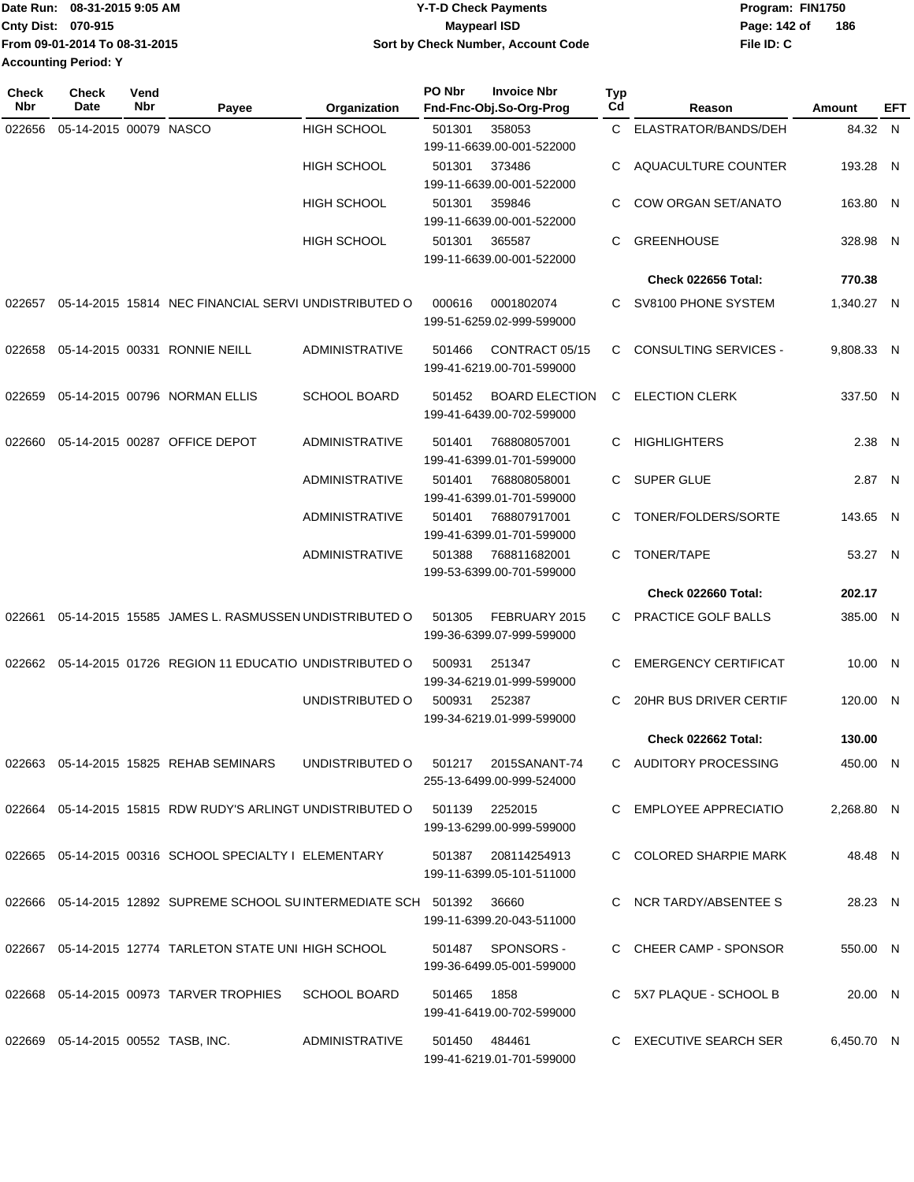|                      | Date Run: 08-31-2015 9:05 AM  | <b>Y-T-D Check Payments</b>        | Program: FIN1750 |     |  |  |
|----------------------|-------------------------------|------------------------------------|------------------|-----|--|--|
| Cnty Dist: 070-915   |                               | <b>Mavpearl ISD</b>                | Page: 142 of     | 186 |  |  |
|                      | From 09-01-2014 To 08-31-2015 | Sort by Check Number, Account Code | File ID: C       |     |  |  |
| Accounting Period: Y |                               |                                    |                  |     |  |  |
|                      |                               |                                    |                  |     |  |  |

| <b>Check</b><br><b>Nbr</b> | Check<br>Date                         | Vend<br>Nbr | Payee                                                                | Organization          | PO Nbr         | <b>Invoice Nbr</b><br>Fnd-Fnc-Obj.So-Org-Prog      | <b>Typ</b><br>Cd | Reason                       | Amount     | EFT |
|----------------------------|---------------------------------------|-------------|----------------------------------------------------------------------|-----------------------|----------------|----------------------------------------------------|------------------|------------------------------|------------|-----|
| 022656                     | 05-14-2015 00079 NASCO                |             |                                                                      | <b>HIGH SCHOOL</b>    | 501301         | 358053<br>199-11-6639.00-001-522000                |                  | C ELASTRATOR/BANDS/DEH       | 84.32 N    |     |
|                            |                                       |             |                                                                      | <b>HIGH SCHOOL</b>    | 501301         | 373486<br>199-11-6639.00-001-522000                | C                | AQUACULTURE COUNTER          | 193.28 N   |     |
|                            |                                       |             |                                                                      | <b>HIGH SCHOOL</b>    | 501301         | 359846<br>199-11-6639.00-001-522000                | C                | <b>COW ORGAN SET/ANATO</b>   | 163.80 N   |     |
|                            |                                       |             |                                                                      | <b>HIGH SCHOOL</b>    | 501301         | 365587<br>199-11-6639.00-001-522000                | C                | <b>GREENHOUSE</b>            | 328.98 N   |     |
|                            |                                       |             |                                                                      |                       |                |                                                    |                  | Check 022656 Total:          | 770.38     |     |
| 022657                     |                                       |             | 05-14-2015 15814 NEC FINANCIAL SERVI UNDISTRIBUTED O                 |                       | 000616         | 0001802074<br>199-51-6259.02-999-599000            | C.               | SV8100 PHONE SYSTEM          | 1,340.27 N |     |
| 022658                     |                                       |             | 05-14-2015 00331 RONNIE NEILL                                        | <b>ADMINISTRATIVE</b> | 501466         | CONTRACT 05/15<br>199-41-6219.00-701-599000        | C                | <b>CONSULTING SERVICES -</b> | 9,808.33 N |     |
| 022659                     |                                       |             | 05-14-2015 00796 NORMAN ELLIS                                        | <b>SCHOOL BOARD</b>   | 501452         | <b>BOARD ELECTION</b><br>199-41-6439.00-702-599000 | C                | <b>ELECTION CLERK</b>        | 337.50 N   |     |
| 022660                     |                                       |             | 05-14-2015 00287 OFFICE DEPOT                                        | <b>ADMINISTRATIVE</b> | 501401         | 768808057001<br>199-41-6399.01-701-599000          |                  | C HIGHLIGHTERS               | 2.38 N     |     |
|                            |                                       |             |                                                                      | <b>ADMINISTRATIVE</b> | 501401         | 768808058001<br>199-41-6399.01-701-599000          | C                | SUPER GLUE                   | 2.87 N     |     |
|                            |                                       |             |                                                                      | <b>ADMINISTRATIVE</b> | 501401         | 768807917001<br>199-41-6399.01-701-599000          | C                | TONER/FOLDERS/SORTE          | 143.65 N   |     |
|                            |                                       |             |                                                                      | <b>ADMINISTRATIVE</b> | 501388         | 768811682001<br>199-53-6399.00-701-599000          | C                | TONER/TAPE                   | 53.27 N    |     |
|                            |                                       |             |                                                                      |                       |                |                                                    |                  | Check 022660 Total:          | 202.17     |     |
| 022661                     |                                       |             | 05-14-2015 15585 JAMES L. RASMUSSEN UNDISTRIBUTED O                  |                       | 501305         | FEBRUARY 2015<br>199-36-6399.07-999-599000         | C.               | PRACTICE GOLF BALLS          | 385.00 N   |     |
|                            |                                       |             | 022662 05-14-2015 01726 REGION 11 EDUCATIO UNDISTRIBUTED O           |                       | 500931         | 251347<br>199-34-6219.01-999-599000                | С                | <b>EMERGENCY CERTIFICAT</b>  | 10.00 N    |     |
|                            |                                       |             |                                                                      | UNDISTRIBUTED O       | 500931         | 252387<br>199-34-6219.01-999-599000                | С                | 20HR BUS DRIVER CERTIF       | 120.00 N   |     |
|                            |                                       |             |                                                                      |                       |                |                                                    |                  | Check 022662 Total:          | 130.00     |     |
|                            |                                       |             | 022663 05-14-2015 15825 REHAB SEMINARS                               | UNDISTRIBUTED O       |                | 501217 2015SANANT-74<br>255-13-6499.00-999-524000  |                  | C AUDITORY PROCESSING        | 450.00 N   |     |
|                            |                                       |             | 022664 05-14-2015 15815 RDW RUDY'S ARLINGT UNDISTRIBUTED O           |                       | 501139 2252015 | 199-13-6299.00-999-599000                          |                  | C EMPLOYEE APPRECIATIO       | 2,268.80 N |     |
|                            |                                       |             | 022665 05-14-2015 00316 SCHOOL SPECIALTY I ELEMENTARY                |                       |                | 501387 208114254913<br>199-11-6399.05-101-511000   |                  | C COLORED SHARPIE MARK       | 48.48 N    |     |
|                            |                                       |             | 022666  05-14-2015  12892  SUPREME SCHOOL SUINTERMEDIATE SCH  501392 |                       |                | 36660<br>199-11-6399.20-043-511000                 |                  | C NCR TARDY/ABSENTEE S       | 28.23 N    |     |
|                            |                                       |             | 022667 05-14-2015 12774 TARLETON STATE UNI HIGH SCHOOL               |                       |                | 501487 SPONSORS -<br>199-36-6499.05-001-599000     |                  | C CHEER CAMP - SPONSOR       | 550.00 N   |     |
|                            |                                       |             | 022668  05-14-2015  00973  TARVER TROPHIES  SCHOOL BOARD             |                       | 501465 1858    | 199-41-6419.00-702-599000                          |                  | C 5X7 PLAQUE - SCHOOL B      | 20.00 N    |     |
|                            | 022669  05-14-2015  00552  TASB, INC. |             |                                                                      | ADMINISTRATIVE        | 501450 484461  | 199-41-6219.01-701-599000                          |                  | C EXECUTIVE SEARCH SER       | 6,450.70 N |     |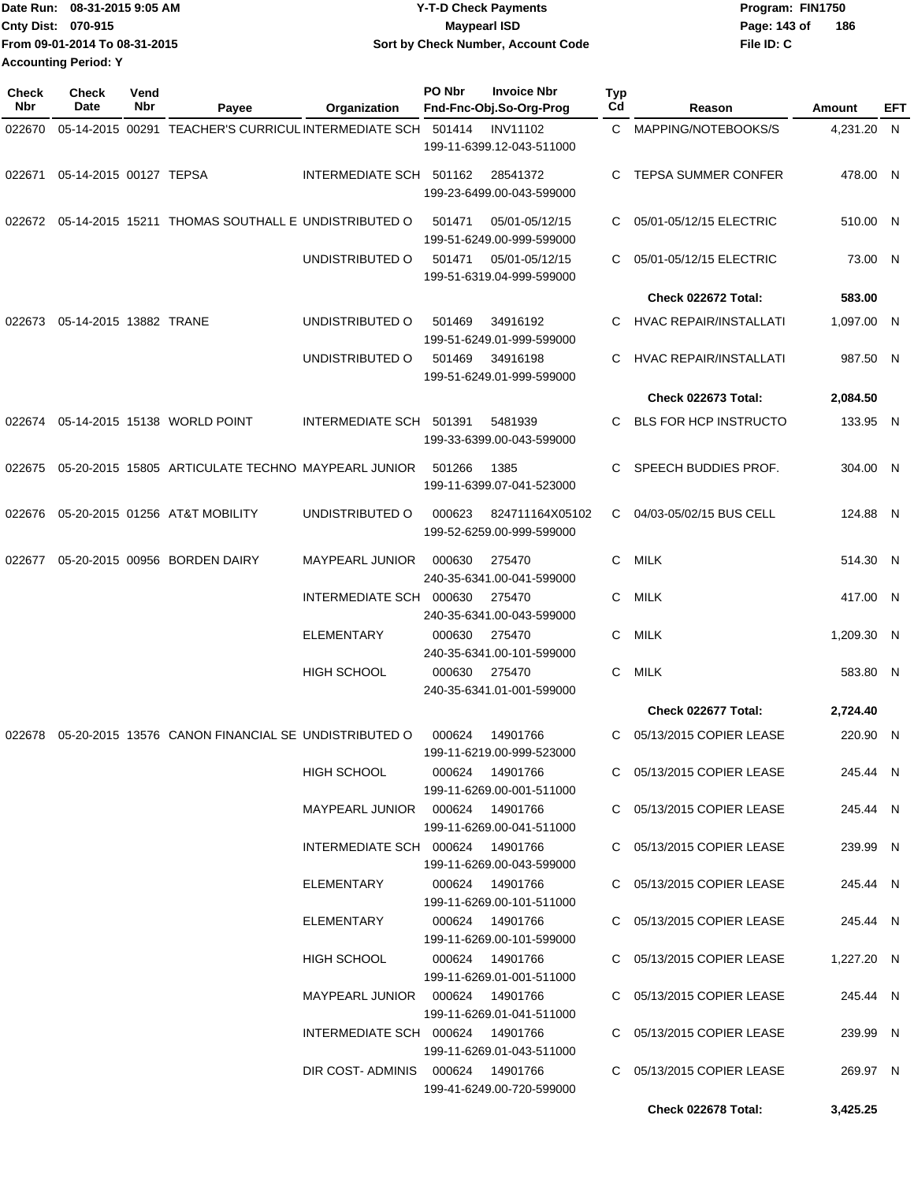| IDate Run: 08-31-2015 9:05 AM | <b>Y-T-D Check Payments</b>        | Program: FIN1750    |  |  |  |
|-------------------------------|------------------------------------|---------------------|--|--|--|
| <b>Cnty Dist: 070-915</b>     | Maypearl ISD                       | 186<br>Page: 143 of |  |  |  |
| From 09-01-2014 To 08-31-2015 | Sort by Check Number, Account Code | File ID: C          |  |  |  |
| <b>Accounting Period: Y</b>   |                                    |                     |  |  |  |

| <b>Check</b><br>Nbr | Check<br>Date          | Vend<br>Nbr | Payee                                                | Organization                      | PO Nbr | <b>Invoice Nbr</b><br>Fnd-Fnc-Obj.So-Org-Prog                   | Typ<br>Cd | Reason                                                 | Amount               | EFT |
|---------------------|------------------------|-------------|------------------------------------------------------|-----------------------------------|--------|-----------------------------------------------------------------|-----------|--------------------------------------------------------|----------------------|-----|
| 022670              |                        |             | 05-14-2015 00291 TEACHER'S CURRICUL INTERMEDIATE SCH |                                   | 501414 | <b>INV11102</b>                                                 | C.        | MAPPING/NOTEBOOKS/S                                    | 4,231.20 N           |     |
|                     |                        |             |                                                      |                                   |        | 199-11-6399.12-043-511000                                       |           |                                                        |                      |     |
| 022671              | 05-14-2015 00127 TEPSA |             |                                                      | INTERMEDIATE SCH 501162           |        | 28541372<br>199-23-6499.00-043-599000                           | С         | <b>TEPSA SUMMER CONFER</b>                             | 478.00 N             |     |
| 022672              |                        |             | 05-14-2015 15211 THOMAS SOUTHALL E UNDISTRIBUTED O   |                                   | 501471 | 05/01-05/12/15<br>199-51-6249.00-999-599000                     | C         | 05/01-05/12/15 ELECTRIC                                | 510.00 N             |     |
|                     |                        |             |                                                      | UNDISTRIBUTED O                   | 501471 | 05/01-05/12/15<br>199-51-6319.04-999-599000                     | C.        | 05/01-05/12/15 ELECTRIC                                | 73.00 N              |     |
|                     |                        |             |                                                      |                                   |        |                                                                 |           | Check 022672 Total:                                    | 583.00               |     |
| 022673              | 05-14-2015 13882 TRANE |             |                                                      | UNDISTRIBUTED O                   | 501469 | 34916192<br>199-51-6249.01-999-599000                           | С         | <b>HVAC REPAIR/INSTALLATI</b>                          | 1,097.00 N           |     |
|                     |                        |             |                                                      | UNDISTRIBUTED O                   | 501469 | 34916198<br>199-51-6249.01-999-599000                           | С         | <b>HVAC REPAIR/INSTALLATI</b>                          | 987.50 N             |     |
|                     |                        |             |                                                      |                                   |        |                                                                 |           | Check 022673 Total:                                    | 2,084.50             |     |
|                     |                        |             | 022674 05-14-2015 15138 WORLD POINT                  | INTERMEDIATE SCH 501391           |        | 5481939<br>199-33-6399.00-043-599000                            | C         | <b>BLS FOR HCP INSTRUCTO</b>                           | 133.95 N             |     |
| 022675              |                        |             | 05-20-2015 15805 ARTICULATE TECHNO MAYPEARL JUNIOR   |                                   | 501266 | 1385<br>199-11-6399.07-041-523000                               | С         | SPEECH BUDDIES PROF.                                   | 304.00 N             |     |
| 022676              |                        |             | 05-20-2015 01256 AT&T MOBILITY                       | UNDISTRIBUTED O                   | 000623 | 824711164X05102<br>199-52-6259.00-999-599000                    | C.        | 04/03-05/02/15 BUS CELL                                | 124.88 N             |     |
| 022677              |                        |             | 05-20-2015 00956 BORDEN DAIRY                        | <b>MAYPEARL JUNIOR</b>            | 000630 | 275470<br>240-35-6341.00-041-599000                             | C         | MILK                                                   | 514.30 N             |     |
|                     |                        |             |                                                      | INTERMEDIATE SCH 000630           |        | 275470<br>240-35-6341.00-043-599000                             | C         | MILK                                                   | 417.00 N             |     |
|                     |                        |             |                                                      | <b>ELEMENTARY</b>                 | 000630 | 275470<br>240-35-6341.00-101-599000                             | C.        | MILK                                                   | 1,209.30 N           |     |
|                     |                        |             |                                                      | HIGH SCHOOL                       | 000630 | 275470<br>240-35-6341.01-001-599000                             | C         | <b>MILK</b>                                            | 583.80 N             |     |
|                     |                        |             |                                                      |                                   |        |                                                                 |           | Check 022677 Total:                                    | 2,724.40             |     |
| 022678              |                        |             | 05-20-2015 13576 CANON FINANCIAL SE UNDISTRIBUTED O  |                                   | 000624 | 14901766<br>199-11-6219.00-999-523000                           | С         | 05/13/2015 COPIER LEASE                                | 220.90 N             |     |
|                     |                        |             |                                                      | HIGH SCHOOL                       |        | 000624 14901766<br>199-11-6269.00-001-511000                    |           | C 05/13/2015 COPIER LEASE                              | 245.44 N             |     |
|                     |                        |             |                                                      |                                   |        | 199-11-6269.00-041-511000                                       |           | C 05/13/2015 COPIER LEASE                              | 245.44 N             |     |
|                     |                        |             |                                                      | INTERMEDIATE SCH 000624 14901766  |        | 199-11-6269.00-043-599000                                       |           | C 05/13/2015 COPIER LEASE                              | 239.99 N             |     |
|                     |                        |             |                                                      | ELEMENTARY                        |        | 000624 14901766<br>199-11-6269.00-101-511000<br>000624 14901766 |           | C 05/13/2015 COPIER LEASE<br>C 05/13/2015 COPIER LEASE | 245.44 N<br>245.44 N |     |
|                     |                        |             |                                                      | ELEMENTARY<br><b>HIGH SCHOOL</b>  |        | 199-11-6269.00-101-599000<br>000624  14901766                   |           | C 05/13/2015 COPIER LEASE                              | 1,227.20 N           |     |
|                     |                        |             |                                                      | MAYPEARL JUNIOR  000624  14901766 |        | 199-11-6269.01-001-511000                                       |           | C 05/13/2015 COPIER LEASE                              | 245.44 N             |     |
|                     |                        |             |                                                      | INTERMEDIATE SCH 000624 14901766  |        | 199-11-6269.01-041-511000                                       |           | C 05/13/2015 COPIER LEASE                              | 239.99 N             |     |
|                     |                        |             |                                                      |                                   |        | 199-11-6269.01-043-511000                                       |           |                                                        |                      |     |
|                     |                        |             |                                                      | DIR COST-ADMINIS 000624 14901766  |        | 199-41-6249.00-720-599000                                       |           | C 05/13/2015 COPIER LEASE                              | 269.97 N             |     |
|                     |                        |             |                                                      |                                   |        |                                                                 |           | Check 022678 Total:                                    | 3,425.25             |     |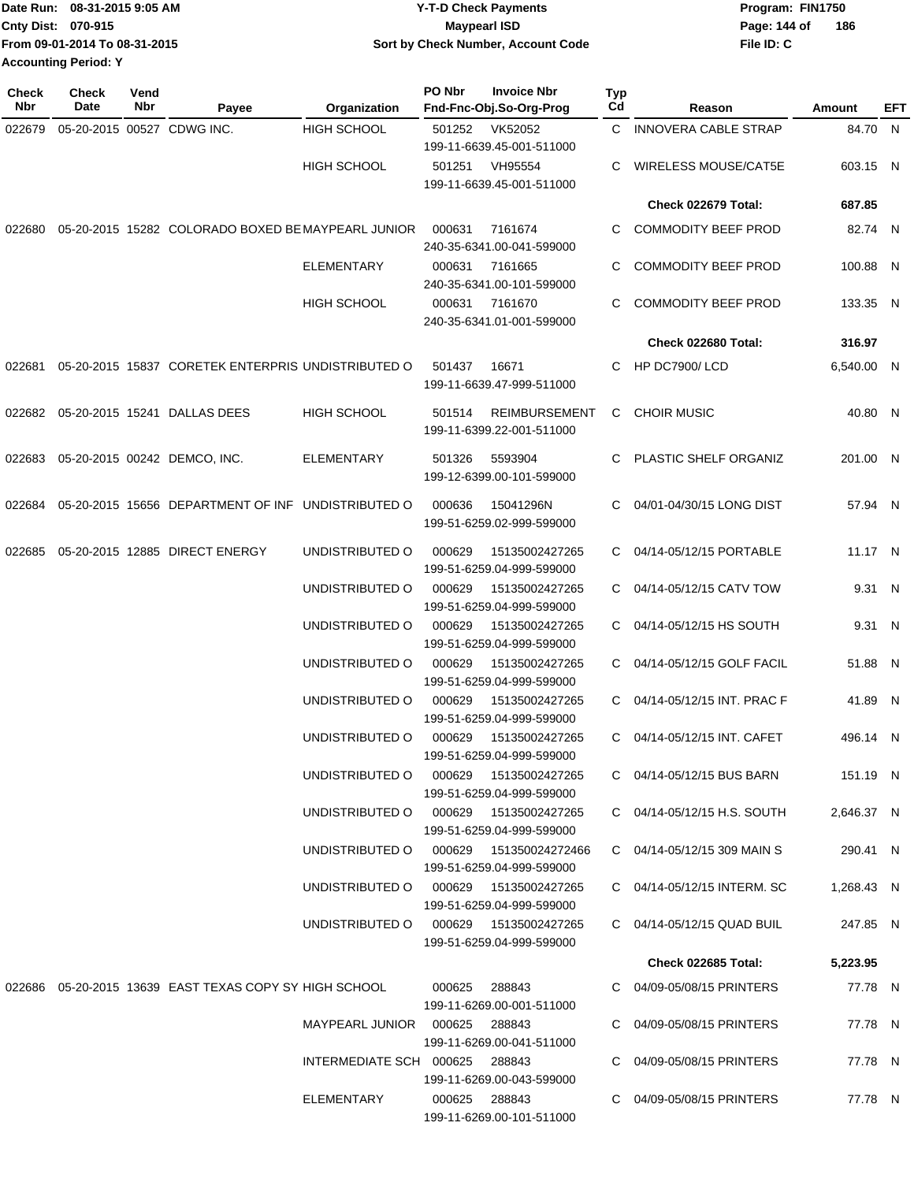| Date Run: 08-31-2015 9:05 AM  | <b>Y-T-D Check Payments</b>        | Program: FIN1750    |
|-------------------------------|------------------------------------|---------------------|
| <b>Cnty Dist: 070-915</b>     | <b>Mavpearl ISD</b>                | 186<br>Page: 144 of |
| From 09-01-2014 To 08-31-2015 | Sort by Check Number, Account Code | File ID: C          |
| <b>Accounting Period: Y</b>   |                                    |                     |

| <b>Check</b><br>Nbr | <b>Check</b><br>Date       | Vend<br>Nbr | Payee                                                  | Organization                           | PO Nbr | <b>Invoice Nbr</b><br>Fnd-Fnc-Obj.So-Org-Prog     | Typ<br>Cd | Reason                      | Amount     | EFT |
|---------------------|----------------------------|-------------|--------------------------------------------------------|----------------------------------------|--------|---------------------------------------------------|-----------|-----------------------------|------------|-----|
| 022679              | 05-20-2015 00527 CDWG INC. |             |                                                        | <b>HIGH SCHOOL</b>                     | 501252 | VK52052<br>199-11-6639.45-001-511000              |           | C INNOVERA CABLE STRAP      | 84.70 N    |     |
|                     |                            |             |                                                        | <b>HIGH SCHOOL</b>                     |        | 501251 VH95554<br>199-11-6639.45-001-511000       | C         | WIRELESS MOUSE/CAT5E        | 603.15 N   |     |
|                     |                            |             |                                                        |                                        |        |                                                   |           | Check 022679 Total:         | 687.85     |     |
| 022680              |                            |             | 05-20-2015 15282 COLORADO BOXED BE MAYPEARL JUNIOR     |                                        | 000631 | 7161674<br>240-35-6341.00-041-599000              | C         | <b>COMMODITY BEEF PROD</b>  | 82.74 N    |     |
|                     |                            |             |                                                        | <b>ELEMENTARY</b>                      | 000631 | 7161665<br>240-35-6341.00-101-599000              | C         | <b>COMMODITY BEEF PROD</b>  | 100.88 N   |     |
|                     |                            |             |                                                        | HIGH SCHOOL                            | 000631 | 7161670<br>240-35-6341.01-001-599000              | C         | <b>COMMODITY BEEF PROD</b>  | 133.35 N   |     |
|                     |                            |             |                                                        |                                        |        |                                                   |           | Check 022680 Total:         | 316.97     |     |
| 022681              |                            |             | 05-20-2015 15837 CORETEK ENTERPRIS UNDISTRIBUTED O     |                                        | 501437 | 16671<br>199-11-6639.47-999-511000                | C         | HP DC7900/LCD               | 6,540.00 N |     |
|                     |                            |             | 022682 05-20-2015 15241 DALLAS DEES                    | <b>HIGH SCHOOL</b>                     | 501514 | <b>REIMBURSEMENT</b><br>199-11-6399.22-001-511000 | C         | <b>CHOIR MUSIC</b>          | 40.80 N    |     |
|                     |                            |             | 022683 05-20-2015 00242 DEMCO, INC.                    | <b>ELEMENTARY</b>                      | 501326 | 5593904<br>199-12-6399.00-101-599000              |           | PLASTIC SHELF ORGANIZ       | 201.00 N   |     |
| 022684              |                            |             | 05-20-2015 15656 DEPARTMENT OF INF UNDISTRIBUTED O     |                                        | 000636 | 15041296N<br>199-51-6259.02-999-599000            | C         | 04/01-04/30/15 LONG DIST    | 57.94 N    |     |
| 022685              |                            |             | 05-20-2015 12885 DIRECT ENERGY                         | UNDISTRIBUTED O                        | 000629 | 15135002427265<br>199-51-6259.04-999-599000       | C         | 04/14-05/12/15 PORTABLE     | 11.17 N    |     |
|                     |                            |             |                                                        | UNDISTRIBUTED O                        | 000629 | 15135002427265<br>199-51-6259.04-999-599000       |           | C 04/14-05/12/15 CATV TOW   | 9.31 N     |     |
|                     |                            |             |                                                        | UNDISTRIBUTED O                        | 000629 | 15135002427265<br>199-51-6259.04-999-599000       |           | C 04/14-05/12/15 HS SOUTH   | 9.31 N     |     |
|                     |                            |             |                                                        | UNDISTRIBUTED O                        | 000629 | 15135002427265<br>199-51-6259.04-999-599000       | C         | 04/14-05/12/15 GOLF FACIL   | 51.88 N    |     |
|                     |                            |             |                                                        | UNDISTRIBUTED O                        | 000629 | 15135002427265<br>199-51-6259.04-999-599000       | C         | 04/14-05/12/15 INT. PRAC F  | 41.89 N    |     |
|                     |                            |             |                                                        | UNDISTRIBUTED O                        | 000629 | 15135002427265<br>199-51-6259.04-999-599000       |           | C 04/14-05/12/15 INT. CAFET | 496.14 N   |     |
|                     |                            |             |                                                        | UNDISTRIBUTED O 000629 15135002427265  |        | 199-51-6259.04-999-599000                         |           | C 04/14-05/12/15 BUS BARN   | 151.19 N   |     |
|                     |                            |             |                                                        | UNDISTRIBUTED O 000629 15135002427265  |        | 199-51-6259.04-999-599000                         |           | C 04/14-05/12/15 H.S. SOUTH | 2,646.37 N |     |
|                     |                            |             |                                                        | UNDISTRIBUTED O 000629 151350024272466 |        | 199-51-6259.04-999-599000                         |           | C 04/14-05/12/15 309 MAIN S | 290.41 N   |     |
|                     |                            |             |                                                        | UNDISTRIBUTED O 000629 15135002427265  |        | 199-51-6259.04-999-599000                         |           | C 04/14-05/12/15 INTERM. SC | 1,268.43 N |     |
|                     |                            |             |                                                        | UNDISTRIBUTED O 000629 15135002427265  |        | 199-51-6259.04-999-599000                         |           | C 04/14-05/12/15 QUAD BUIL  | 247.85 N   |     |
|                     |                            |             |                                                        |                                        |        |                                                   |           | Check 022685 Total:         | 5,223.95   |     |
|                     |                            |             | 022686 05-20-2015 13639 EAST TEXAS COPY SY HIGH SCHOOL |                                        |        | 000625 288843<br>199-11-6269.00-001-511000        |           | C 04/09-05/08/15 PRINTERS   | 77.78 N    |     |
|                     |                            |             |                                                        | MAYPEARL JUNIOR  000625  288843        |        | 199-11-6269.00-041-511000                         |           | C 04/09-05/08/15 PRINTERS   | 77.78 N    |     |
|                     |                            |             |                                                        | INTERMEDIATE SCH 000625 288843         |        | 199-11-6269.00-043-599000                         |           | C 04/09-05/08/15 PRINTERS   | 77.78 N    |     |
|                     |                            |             |                                                        | ELEMENTARY                             |        | 000625 288843<br>199-11-6269.00-101-511000        |           | C 04/09-05/08/15 PRINTERS   | 77.78 N    |     |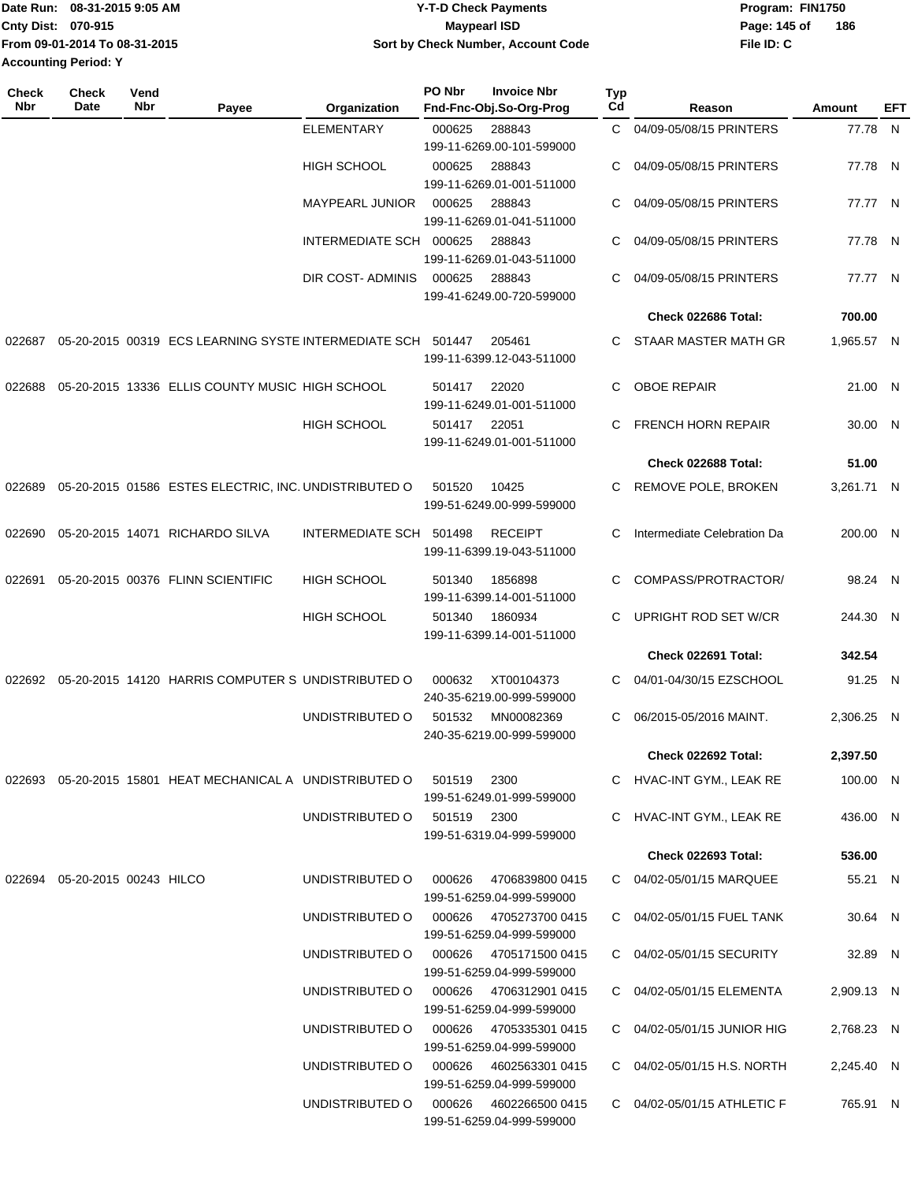| Date Run: 08-31-2015 9:05 AM  | <b>Y-T-D Check Payments</b>        | Program: FIN1750 |     |
|-------------------------------|------------------------------------|------------------|-----|
| <b>Cnty Dist: 070-915</b>     | Maypearl ISD                       | Page: 145 of     | 186 |
| From 09-01-2014 To 08-31-2015 | Sort by Check Number, Account Code | File ID: C       |     |
| <b>Accounting Period: Y</b>   |                                    |                  |     |

| <b>Check</b><br>Nbr | <b>Check</b><br><b>Date</b>      | Vend<br>Nbr | Payee                                                       | Organization            | PO Nbr      | <b>Invoice Nbr</b><br>Fnd-Fnc-Obj.So-Org-Prog       | <b>Typ</b><br>Cd | Reason                      | Amount     | EFT |
|---------------------|----------------------------------|-------------|-------------------------------------------------------------|-------------------------|-------------|-----------------------------------------------------|------------------|-----------------------------|------------|-----|
|                     |                                  |             |                                                             | <b>ELEMENTARY</b>       | 000625      | 288843                                              | C.               | 04/09-05/08/15 PRINTERS     | 77.78 N    |     |
|                     |                                  |             |                                                             |                         |             | 199-11-6269.00-101-599000                           |                  |                             |            |     |
|                     |                                  |             |                                                             | <b>HIGH SCHOOL</b>      | 000625      | 288843                                              | C                | 04/09-05/08/15 PRINTERS     | 77.78 N    |     |
|                     |                                  |             |                                                             |                         |             | 199-11-6269.01-001-511000                           |                  |                             |            |     |
|                     |                                  |             |                                                             | MAYPEARL JUNIOR         | 000625      | 288843                                              | C                | 04/09-05/08/15 PRINTERS     | 77.77 N    |     |
|                     |                                  |             |                                                             |                         |             | 199-11-6269.01-041-511000                           |                  |                             |            |     |
|                     |                                  |             |                                                             | INTERMEDIATE SCH 000625 |             | 288843                                              | C                | 04/09-05/08/15 PRINTERS     | 77.78 N    |     |
|                     |                                  |             |                                                             |                         |             | 199-11-6269.01-043-511000                           |                  |                             |            |     |
|                     |                                  |             |                                                             | DIR COST-ADMINIS        | 000625      | 288843                                              | C                | 04/09-05/08/15 PRINTERS     | 77.77 N    |     |
|                     |                                  |             |                                                             |                         |             | 199-41-6249.00-720-599000                           |                  | Check 022686 Total:         | 700.00     |     |
|                     |                                  |             |                                                             |                         |             |                                                     |                  |                             |            |     |
| 022687              |                                  |             | 05-20-2015 00319 ECS LEARNING SYSTE INTERMEDIATE SCH 501447 |                         |             | 205461<br>199-11-6399.12-043-511000                 | C.               | STAAR MASTER MATH GR        | 1,965.57 N |     |
| 022688              |                                  |             | 05-20-2015 13336 ELLIS COUNTY MUSIC HIGH SCHOOL             |                         | 501417      | 22020<br>199-11-6249.01-001-511000                  | C.               | <b>OBOE REPAIR</b>          | 21.00 N    |     |
|                     |                                  |             |                                                             | <b>HIGH SCHOOL</b>      | 501417      | 22051<br>199-11-6249.01-001-511000                  | C                | <b>FRENCH HORN REPAIR</b>   | 30.00 N    |     |
|                     |                                  |             |                                                             |                         |             |                                                     |                  | Check 022688 Total:         | 51.00      |     |
| 022689              |                                  |             | 05-20-2015 01586 ESTES ELECTRIC, INC. UNDISTRIBUTED O       |                         | 501520      | 10425                                               | C                | <b>REMOVE POLE, BROKEN</b>  | 3,261.71 N |     |
|                     |                                  |             |                                                             |                         |             | 199-51-6249.00-999-599000                           |                  |                             |            |     |
| 022690              |                                  |             | 05-20-2015 14071 RICHARDO SILVA                             | INTERMEDIATE SCH 501498 |             | <b>RECEIPT</b><br>199-11-6399.19-043-511000         | C                | Intermediate Celebration Da | 200.00 N   |     |
|                     |                                  |             |                                                             |                         |             |                                                     |                  |                             |            |     |
| 022691              |                                  |             | 05-20-2015 00376 FLINN SCIENTIFIC                           | HIGH SCHOOL             | 501340      | 1856898<br>199-11-6399.14-001-511000                | C                | COMPASS/PROTRACTOR/         | 98.24 N    |     |
|                     |                                  |             |                                                             | HIGH SCHOOL             | 501340      | 1860934<br>199-11-6399.14-001-511000                | C.               | <b>UPRIGHT ROD SET W/CR</b> | 244.30 N   |     |
|                     |                                  |             |                                                             |                         |             |                                                     |                  | Check 022691 Total:         | 342.54     |     |
|                     |                                  |             | 022692 05-20-2015 14120 HARRIS COMPUTER S UNDISTRIBUTED O   |                         | 000632      | XT00104373<br>240-35-6219.00-999-599000             | C                | 04/01-04/30/15 EZSCHOOL     | 91.25 N    |     |
|                     |                                  |             |                                                             | UNDISTRIBUTED O         | 501532      | MN00082369<br>240-35-6219.00-999-599000             | C                | 06/2015-05/2016 MAINT.      | 2,306.25 N |     |
|                     |                                  |             |                                                             |                         |             |                                                     |                  | Check 022692 Total:         | 2,397.50   |     |
|                     |                                  |             | 022693 05-20-2015 15801 HEAT MECHANICAL A UNDISTRIBUTED O   |                         | 501519      | 2300<br>199-51-6249.01-999-599000                   |                  | C HVAC-INT GYM., LEAK RE    | 100.00 N   |     |
|                     |                                  |             |                                                             | UNDISTRIBUTED O         | 501519 2300 | 199-51-6319.04-999-599000                           |                  | C HVAC-INT GYM., LEAK RE    | 436.00 N   |     |
|                     |                                  |             |                                                             |                         |             |                                                     |                  | Check 022693 Total:         | 536.00     |     |
|                     | 022694  05-20-2015  00243  HILCO |             |                                                             | UNDISTRIBUTED O         | 000626      | 4706839800 0415                                     |                  | C 04/02-05/01/15 MARQUEE    | 55.21 N    |     |
|                     |                                  |             |                                                             |                         |             | 199-51-6259.04-999-599000                           |                  |                             |            |     |
|                     |                                  |             |                                                             | UNDISTRIBUTED O         |             | 000626 4705273700 0415<br>199-51-6259.04-999-599000 |                  | C 04/02-05/01/15 FUEL TANK  | 30.64 N    |     |
|                     |                                  |             |                                                             | UNDISTRIBUTED O         | 000626      | 4705171500 0415<br>199-51-6259.04-999-599000        |                  | C 04/02-05/01/15 SECURITY   | 32.89 N    |     |
|                     |                                  |             |                                                             | UNDISTRIBUTED O         | 000626      | 4706312901 0415<br>199-51-6259.04-999-599000        |                  | C 04/02-05/01/15 ELEMENTA   | 2,909.13 N |     |
|                     |                                  |             |                                                             | UNDISTRIBUTED O         |             | 000626 4705335301 0415<br>199-51-6259.04-999-599000 |                  | C 04/02-05/01/15 JUNIOR HIG | 2,768.23 N |     |
|                     |                                  |             |                                                             | UNDISTRIBUTED O         |             | 000626 4602563301 0415<br>199-51-6259.04-999-599000 |                  | C 04/02-05/01/15 H.S. NORTH | 2,245.40 N |     |
|                     |                                  |             |                                                             | UNDISTRIBUTED O         | 000626      | 4602266500 0415<br>199-51-6259.04-999-599000        |                  | C 04/02-05/01/15 ATHLETIC F | 765.91 N   |     |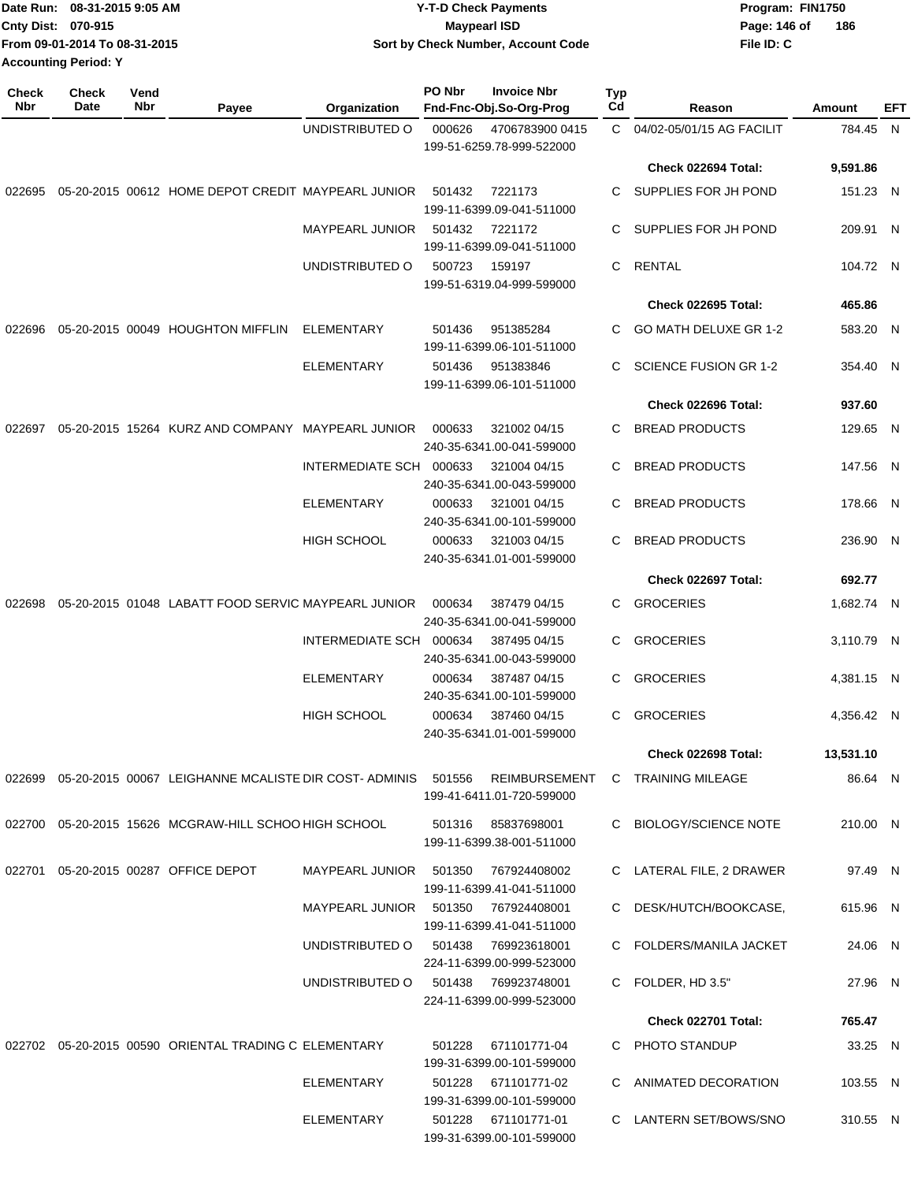| Date Run: 08-31-2015 9:05 AM  | Y-T-D Check Payments               | Program: FIN1750    |
|-------------------------------|------------------------------------|---------------------|
| <b>Cnty Dist: 070-915</b>     | <b>Mavpearl ISD</b>                | 186<br>Page: 146 of |
| From 09-01-2014 To 08-31-2015 | Sort by Check Number, Account Code | File ID: C          |
| <b>Accounting Period: Y</b>   |                                    |                     |

| <b>Check</b><br>Nbr | Check<br>Date | Vend<br>Nbr | Payee                                                                       | Organization            | PO Nbr | <b>Invoice Nbr</b><br>Fnd-Fnc-Obj.So-Org-Prog    | <b>Typ</b><br>Cd | Reason                       | Amount     | EFT |
|---------------------|---------------|-------------|-----------------------------------------------------------------------------|-------------------------|--------|--------------------------------------------------|------------------|------------------------------|------------|-----|
|                     |               |             |                                                                             | UNDISTRIBUTED O         | 000626 | 4706783900 0415<br>199-51-6259.78-999-522000     |                  | C 04/02-05/01/15 AG FACILIT  | 784.45 N   |     |
|                     |               |             |                                                                             |                         |        |                                                  |                  | Check 022694 Total:          | 9,591.86   |     |
| 022695              |               |             | 05-20-2015 00612 HOME DEPOT CREDIT MAYPEARL JUNIOR                          |                         | 501432 | 7221173<br>199-11-6399.09-041-511000             | C                | SUPPLIES FOR JH POND         | 151.23 N   |     |
|                     |               |             |                                                                             | MAYPEARL JUNIOR         | 501432 | 7221172<br>199-11-6399.09-041-511000             | C                | SUPPLIES FOR JH POND         | 209.91 N   |     |
|                     |               |             |                                                                             | UNDISTRIBUTED O         | 500723 | 159197<br>199-51-6319.04-999-599000              | C                | <b>RENTAL</b>                | 104.72 N   |     |
|                     |               |             |                                                                             |                         |        |                                                  |                  | Check 022695 Total:          | 465.86     |     |
| 022696              |               |             | 05-20-2015 00049 HOUGHTON MIFFLIN                                           | ELEMENTARY              | 501436 | 951385284<br>199-11-6399.06-101-511000           | C                | GO MATH DELUXE GR 1-2        | 583.20 N   |     |
|                     |               |             |                                                                             | <b>ELEMENTARY</b>       | 501436 | 951383846<br>199-11-6399.06-101-511000           | C                | <b>SCIENCE FUSION GR 1-2</b> | 354.40 N   |     |
|                     |               |             |                                                                             |                         |        |                                                  |                  | Check 022696 Total:          | 937.60     |     |
| 022697              |               |             | 05-20-2015 15264 KURZ AND COMPANY MAYPEARL JUNIOR                           |                         | 000633 | 321002 04/15<br>240-35-6341.00-041-599000        | C                | <b>BREAD PRODUCTS</b>        | 129.65 N   |     |
|                     |               |             |                                                                             | INTERMEDIATE SCH 000633 |        | 321004 04/15<br>240-35-6341.00-043-599000        | С                | <b>BREAD PRODUCTS</b>        | 147.56 N   |     |
|                     |               |             |                                                                             | <b>ELEMENTARY</b>       | 000633 | 321001 04/15<br>240-35-6341.00-101-599000        | C                | <b>BREAD PRODUCTS</b>        | 178.66 N   |     |
|                     |               |             |                                                                             | <b>HIGH SCHOOL</b>      | 000633 | 321003 04/15<br>240-35-6341.01-001-599000        | C                | <b>BREAD PRODUCTS</b>        | 236.90 N   |     |
|                     |               |             |                                                                             |                         |        |                                                  |                  | Check 022697 Total:          | 692.77     |     |
| 022698              |               |             | 05-20-2015 01048 LABATT FOOD SERVIC MAYPEARL JUNIOR                         |                         | 000634 | 387479 04/15<br>240-35-6341.00-041-599000        | C.               | <b>GROCERIES</b>             | 1,682.74 N |     |
|                     |               |             |                                                                             | INTERMEDIATE SCH        | 000634 | 387495 04/15<br>240-35-6341.00-043-599000        | С                | <b>GROCERIES</b>             | 3,110.79 N |     |
|                     |               |             |                                                                             | <b>ELEMENTARY</b>       | 000634 | 387487 04/15<br>240-35-6341.00-101-599000        | C                | <b>GROCERIES</b>             | 4,381.15 N |     |
|                     |               |             |                                                                             | <b>HIGH SCHOOL</b>      | 000634 | 387460 04/15<br>240-35-6341.01-001-599000        | C.               | <b>GROCERIES</b>             | 4,356.42 N |     |
|                     |               |             |                                                                             |                         |        |                                                  |                  | Check 022698 Total:          | 13,531.10  |     |
|                     |               |             | 022699  05-20-2015  00067  LEIGHANNE  MCALISTE  DIR  COST-  ADMINIS  501556 |                         |        | REIMBURSEMENT<br>199-41-6411.01-720-599000       |                  | C TRAINING MILEAGE           | 86.64 N    |     |
|                     |               |             | 022700 05-20-2015 15626 MCGRAW-HILL SCHOO HIGH SCHOOL                       |                         |        | 501316  85837698001<br>199-11-6399.38-001-511000 |                  | C BIOLOGY/SCIENCE NOTE       | 210.00 N   |     |
|                     |               |             | 022701  05-20-2015  00287  OFFICE DEPOT                                     | MAYPEARL JUNIOR 501350  |        | 767924408002<br>199-11-6399.41-041-511000        |                  | C LATERAL FILE, 2 DRAWER     | 97.49 N    |     |
|                     |               |             |                                                                             | MAYPEARL JUNIOR 501350  |        | 767924408001<br>199-11-6399.41-041-511000        |                  | C DESK/HUTCH/BOOKCASE,       | 615.96 N   |     |
|                     |               |             |                                                                             | UNDISTRIBUTED O         | 501438 | 769923618001<br>224-11-6399.00-999-523000        |                  | C FOLDERS/MANILA JACKET      | 24.06 N    |     |
|                     |               |             |                                                                             | UNDISTRIBUTED O         |        | 501438 769923748001<br>224-11-6399.00-999-523000 |                  | C FOLDER, HD 3.5"            | 27.96 N    |     |
|                     |               |             |                                                                             |                         |        |                                                  |                  | <b>Check 022701 Total:</b>   | 765.47     |     |
|                     |               |             | 022702  05-20-2015  00590  ORIENTAL TRADING C ELEMENTARY                    |                         | 501228 | 671101771-04<br>199-31-6399.00-101-599000        |                  | C PHOTO STANDUP              | 33.25 N    |     |
|                     |               |             |                                                                             | ELEMENTARY              |        | 501228 671101771-02<br>199-31-6399.00-101-599000 |                  | C ANIMATED DECORATION        | 103.55 N   |     |
|                     |               |             |                                                                             | <b>ELEMENTARY</b>       |        | 501228 671101771-01<br>199-31-6399.00-101-599000 |                  | C LANTERN SET/BOWS/SNO       | 310.55 N   |     |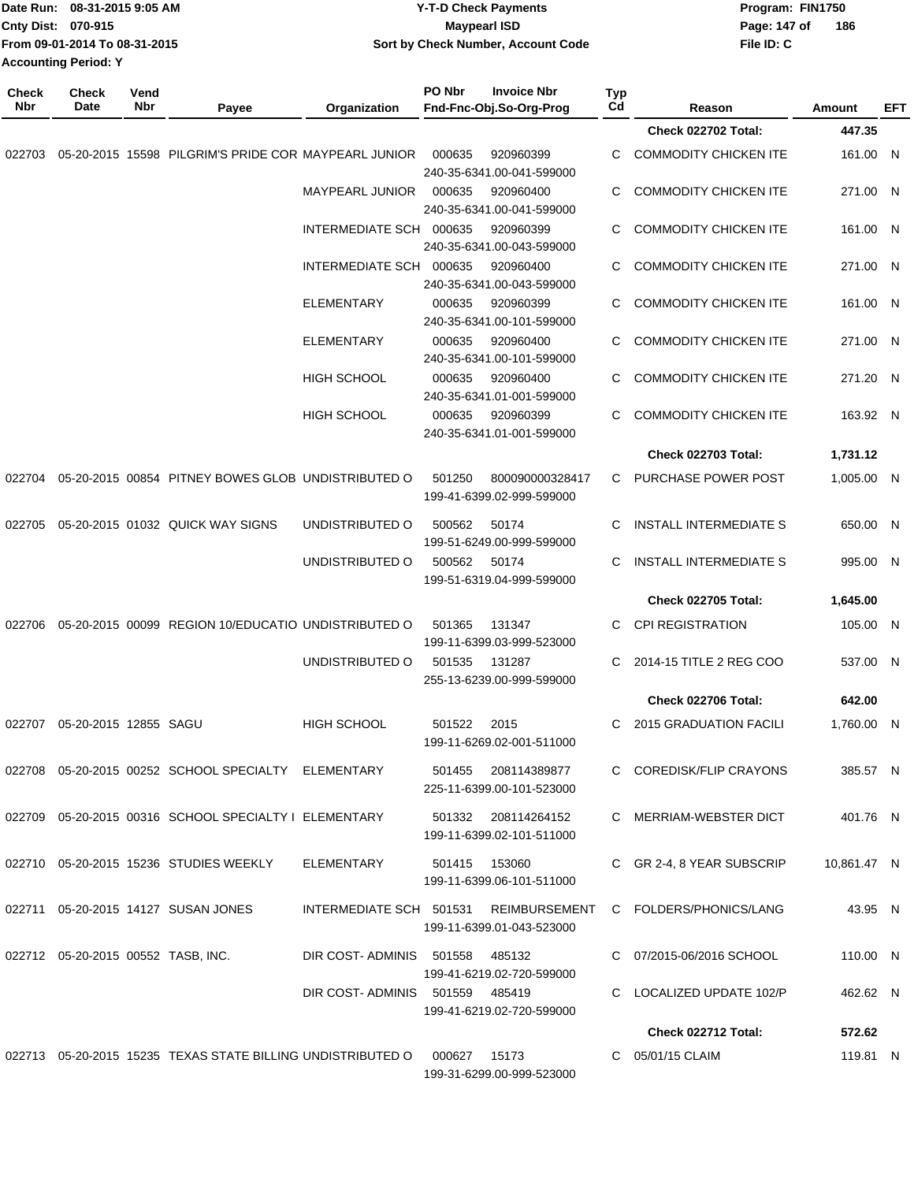|                                                              | Date Run: 08-31-2015 9:05 AM<br>Cnty Dist: 070-915 |             |                                                               |                        | <b>Y-T-D Check Payments</b><br><b>Maypearl ISD</b> |                                                  |           | Program: FIN1750<br>Page: 147 of | 186        |     |
|--------------------------------------------------------------|----------------------------------------------------|-------------|---------------------------------------------------------------|------------------------|----------------------------------------------------|--------------------------------------------------|-----------|----------------------------------|------------|-----|
| From 09-01-2014 To 08-31-2015<br><b>Accounting Period: Y</b> |                                                    |             | Sort by Check Number, Account Code                            |                        |                                                    | File ID: C                                       |           |                                  |            |     |
| <b>Check</b><br><b>Nbr</b>                                   | <b>Check</b><br>Date                               | Vend<br>Nbr | Payee                                                         | Organization           | PO Nbr                                             | <b>Invoice Nbr</b><br>Fnd-Fnc-Obj.So-Org-Prog    | Typ<br>Cd | Reason                           | Amount     | EFT |
|                                                              |                                                    |             |                                                               |                        |                                                    |                                                  |           | Check 022702 Total:              | 447.35     |     |
| 022703                                                       |                                                    |             | 05-20-2015 15598 PILGRIM'S PRIDE COR MAYPEARL JUNIOR          |                        | 000635                                             | 920960399<br>240-35-6341.00-041-599000           | C         | <b>COMMODITY CHICKEN ITE</b>     | 161.00 N   |     |
|                                                              |                                                    |             |                                                               | <b>MAYPEARL JUNIOR</b> | 000635                                             | 920960400<br>240-35-6341.00-041-599000           | C         | <b>COMMODITY CHICKEN ITE</b>     | 271.00 N   |     |
|                                                              |                                                    |             |                                                               | INTERMEDIATE SCH       | 000635                                             | 920960399<br>240-35-6341.00-043-599000           | C         | <b>COMMODITY CHICKEN ITE</b>     | 161.00 N   |     |
|                                                              |                                                    |             |                                                               | INTERMEDIATE SCH       | 000635                                             | 920960400<br>240-35-6341.00-043-599000           | C         | <b>COMMODITY CHICKEN ITE</b>     | 271.00 N   |     |
|                                                              |                                                    |             |                                                               | ELEMENTARY             | 000635                                             | 920960399<br>240-35-6341.00-101-599000           | C         | <b>COMMODITY CHICKEN ITE</b>     | 161.00 N   |     |
|                                                              |                                                    |             |                                                               | <b>ELEMENTARY</b>      | 000635                                             | 920960400<br>240-35-6341.00-101-599000           | C         | <b>COMMODITY CHICKEN ITE</b>     | 271.00 N   |     |
|                                                              |                                                    |             |                                                               | <b>HIGH SCHOOL</b>     | 000635                                             | 920960400<br>240-35-6341.01-001-599000           | C         | <b>COMMODITY CHICKEN ITE</b>     | 271.20 N   |     |
|                                                              |                                                    |             |                                                               | <b>HIGH SCHOOL</b>     | 000635                                             | 920960399<br>240-35-6341.01-001-599000           | C.        | <b>COMMODITY CHICKEN ITE</b>     | 163.92 N   |     |
|                                                              |                                                    |             |                                                               |                        |                                                    |                                                  |           | <b>Check 022703 Total:</b>       | 1,731.12   |     |
| 022704                                                       |                                                    |             | 05-20-2015 00854 PITNEY BOWES GLOB UNDISTRIBUTED O            |                        | 501250                                             | 800090000328417<br>199-41-6399.02-999-599000     | C.        | PURCHASE POWER POST              | 1,005.00 N |     |
| 022705                                                       |                                                    |             | 05-20-2015 01032 QUICK WAY SIGNS                              | UNDISTRIBUTED O        | 500562                                             | 50174<br>199-51-6249.00-999-599000               | C.        | INSTALL INTERMEDIATE S           | 650.00 N   |     |
|                                                              |                                                    |             |                                                               | UNDISTRIBUTED O        | 500562                                             | 50174<br>199-51-6319.04-999-599000               | C         | <b>INSTALL INTERMEDIATE S</b>    | 995.00 N   |     |
|                                                              |                                                    |             |                                                               |                        |                                                    |                                                  |           | <b>Check 022705 Total:</b>       | 1,645.00   |     |
|                                                              |                                                    |             | 022706  05-20-2015  00099  REGION 10/EDUCATIO UNDISTRIBUTED O |                        | 501365                                             | 131347<br>199-11-6399.03-999-523000              |           | C CPI REGISTRATION               | 105.00 N   |     |
|                                                              |                                                    |             |                                                               | UNDISTRIBUTED O        | 501535 131287                                      | 255-13-6239.00-999-599000                        |           | C 2014-15 TITLE 2 REG COO        | 537.00 N   |     |
|                                                              |                                                    |             |                                                               |                        |                                                    |                                                  |           | <b>Check 022706 Total:</b>       | 642.00     |     |
|                                                              | 022707  05-20-2015  12855  SAGU                    |             |                                                               | HIGH SCHOOL            | 501522 2015                                        | 199-11-6269.02-001-511000                        |           | C 2015 GRADUATION FACILI         | 1,760.00 N |     |
|                                                              |                                                    |             | 022708  05-20-2015  00252  SCHOOL SPECIALTY  ELEMENTARY       |                        |                                                    | 501455 208114389877<br>225-11-6399.00-101-523000 |           | C COREDISK/FLIP CRAYONS          | 385.57 N   |     |
|                                                              |                                                    |             | 022709 05-20-2015 00316 SCHOOL SPECIALTY I ELEMENTARY         |                        |                                                    | 501332 208114264152<br>199-11-6399.02-101-511000 |           | C MERRIAM-WEBSTER DICT           | 401.76 N   |     |

022710 05-20-2015 15236 STUDIES WEEKLY ELEMENTARY 501415 153060 199-11-6399.06-101-511000 C GR 2-4, 8 YEAR SUBSCRIP 10,861.47 N 022711 05-20-2015 14127 SUSAN JONES INTERMEDIATE SCH 501531 REIMBURSEMENT C FOLDERS/PHONICS/LANG 199-11-6399.01-043-523000 43.95 N 022712 05-20-2015 00552 TASB, INC. DIR COST- ADMINIS 501558 485132 C 07/2015-06/2016 SCHOOL 199-41-6219.02-720-599000 110.00 N DIR COST- ADMINIS 501559 485419 C LOCALIZED UPDATE 102/P 199-41-6219.02-720-599000 462.62 N **Check 022712 Total: 572.62** 022713 05-20-2015 15235 TEXAS STATE BILLING UNDISTRIBUTED 000627 15173 C 05/01/15 CLAIM 199-31-6299.00-999-523000 119.81 N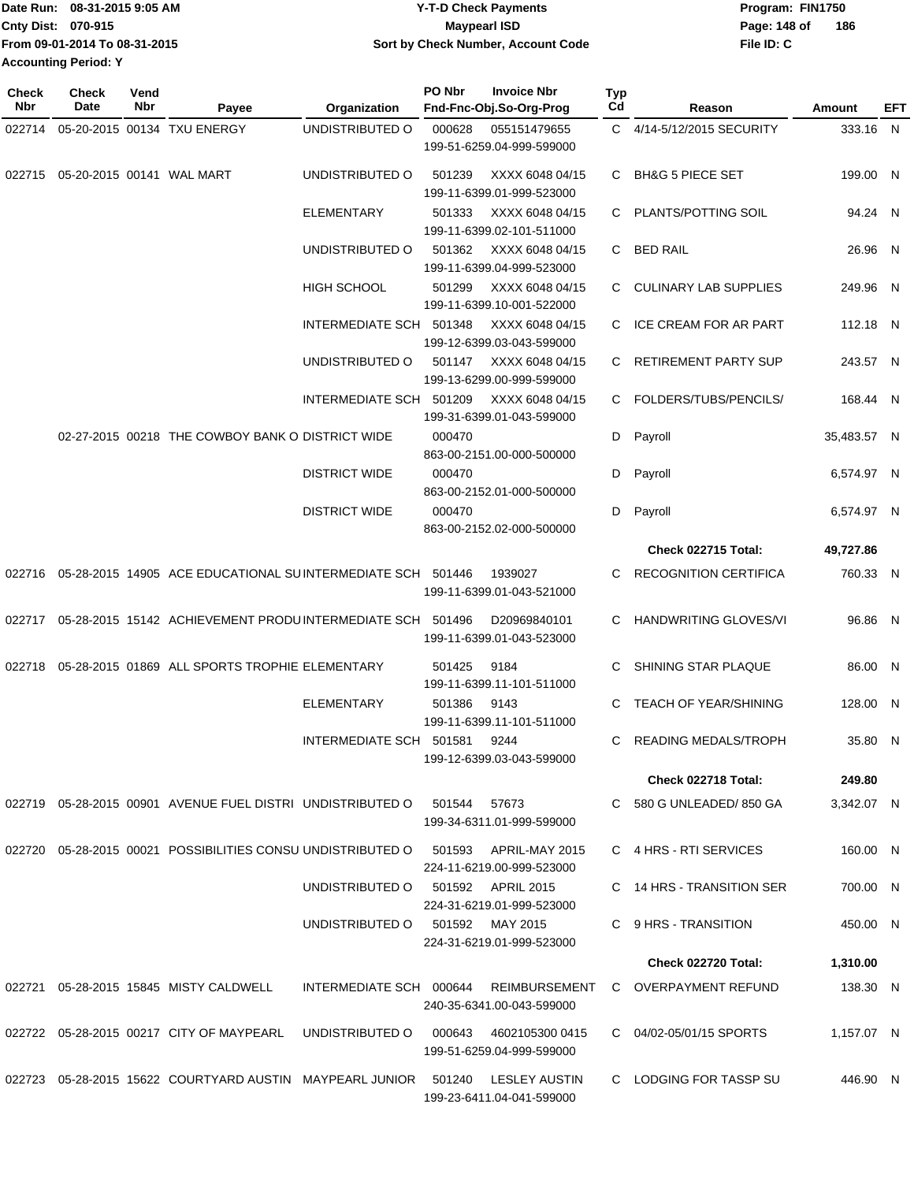|                             | Date Run: 08-31-2015 9:05 AM  | <b>Y-T-D Check Payments</b>        | Program: FIN1750    |
|-----------------------------|-------------------------------|------------------------------------|---------------------|
| <b>Cnty Dist: 070-915</b>   |                               | <b>Mavpearl ISD</b>                | 186<br>Page: 148 of |
|                             | From 09-01-2014 To 08-31-2015 | Sort by Check Number, Account Code | File ID: C          |
| <b>Accounting Period: Y</b> |                               |                                    |                     |

**Check**

| <b>Check</b><br>Nbr | <b>Check</b><br>Date | Vend<br>Nbr | Payee                                                                 | Organization                           | PO Nbr | <b>Invoice Nbr</b><br>Fnd-Fnc-Obj.So-Org-Prog | Typ<br>Cd | Reason                       | <b>Amount</b> | EFT |
|---------------------|----------------------|-------------|-----------------------------------------------------------------------|----------------------------------------|--------|-----------------------------------------------|-----------|------------------------------|---------------|-----|
| 022714              |                      |             | 05-20-2015 00134 TXU ENERGY                                           | UNDISTRIBUTED O                        | 000628 | 055151479655                                  |           | C 4/14-5/12/2015 SECURITY    | 333.16 N      |     |
|                     |                      |             |                                                                       |                                        |        | 199-51-6259.04-999-599000                     |           |                              |               |     |
| 022715              |                      |             | 05-20-2015 00141 WAL MART                                             | UNDISTRIBUTED O                        | 501239 | XXXX 6048 04/15<br>199-11-6399.01-999-523000  | C.        | <b>BH&amp;G 5 PIECE SET</b>  | 199.00 N      |     |
|                     |                      |             |                                                                       | ELEMENTARY                             | 501333 | XXXX 6048 04/15<br>199-11-6399.02-101-511000  |           | C PLANTS/POTTING SOIL        | 94.24 N       |     |
|                     |                      |             |                                                                       | UNDISTRIBUTED O                        | 501362 | XXXX 6048 04/15<br>199-11-6399.04-999-523000  | C.        | <b>BED RAIL</b>              | 26.96 N       |     |
|                     |                      |             |                                                                       | <b>HIGH SCHOOL</b>                     | 501299 | XXXX 6048 04/15                               |           | C CULINARY LAB SUPPLIES      | 249.96 N      |     |
|                     |                      |             |                                                                       | INTERMEDIATE SCH 501348                |        | 199-11-6399.10-001-522000<br>XXXX 6048 04/15  | C.        | <b>ICE CREAM FOR AR PART</b> | 112.18 N      |     |
|                     |                      |             |                                                                       | UNDISTRIBUTED O                        | 501147 | 199-12-6399.03-043-599000<br>XXXX 6048 04/15  | C.        | RETIREMENT PARTY SUP         | 243.57 N      |     |
|                     |                      |             |                                                                       | INTERMEDIATE SCH 501209                |        | 199-13-6299.00-999-599000<br>XXXX 6048 04/15  |           | C FOLDERS/TUBS/PENCILS/      | 168.44 N      |     |
|                     |                      |             | 02-27-2015 00218 THE COWBOY BANK O DISTRICT WIDE                      |                                        | 000470 | 199-31-6399.01-043-599000                     | D         | Payroll                      | 35,483.57 N   |     |
|                     |                      |             |                                                                       |                                        |        | 863-00-2151.00-000-500000                     |           |                              |               |     |
|                     |                      |             |                                                                       | <b>DISTRICT WIDE</b>                   | 000470 | 863-00-2152.01-000-500000                     | D         | Payroll                      | 6,574.97 N    |     |
|                     |                      |             |                                                                       | <b>DISTRICT WIDE</b>                   | 000470 | 863-00-2152.02-000-500000                     | D         | Payroll                      | 6,574.97 N    |     |
|                     |                      |             |                                                                       |                                        |        |                                               |           | Check 022715 Total:          | 49,727.86     |     |
| 022716              |                      |             | 05-28-2015 14905 ACE EDUCATIONAL SUINTERMEDIATE SCH 501446            |                                        |        | 1939027<br>199-11-6399.01-043-521000          | С         | <b>RECOGNITION CERTIFICA</b> | 760.33 N      |     |
|                     |                      |             | 022717  05-28-2015  15142  ACHIEVEMENT PRODU INTERMEDIATE SCH  501496 |                                        |        | D20969840101<br>199-11-6399.01-043-523000     | C         | <b>HANDWRITING GLOVES/VI</b> | 96.86 N       |     |
| 022718              |                      |             | 05-28-2015 01869 ALL SPORTS TROPHIE ELEMENTARY                        |                                        | 501425 | 9184<br>199-11-6399.11-101-511000             | С         | SHINING STAR PLAQUE          | 86.00 N       |     |
|                     |                      |             |                                                                       | <b>ELEMENTARY</b>                      | 501386 | 9143<br>199-11-6399.11-101-511000             | С         | TEACH OF YEAR/SHINING        | 128.00 N      |     |
|                     |                      |             |                                                                       | INTERMEDIATE SCH 501581                |        | 9244<br>199-12-6399.03-043-599000             | C         | <b>READING MEDALS/TROPH</b>  | 35.80 N       |     |
|                     |                      |             |                                                                       |                                        |        |                                               |           | <b>Check 022718 Total:</b>   | 249.80        |     |
|                     |                      |             | 022719  05-28-2015  00901  AVENUE FUEL DISTRI  UNDISTRIBUTED O        |                                        | 501544 | 57673<br>199-34-6311.01-999-599000            |           | C 580 G UNLEADED/850 GA      | 3,342.07 N    |     |
|                     |                      |             | 022720 05-28-2015 00021 POSSIBILITIES CONSU UNDISTRIBUTED O 501593    |                                        |        | APRIL-MAY 2015<br>224-11-6219.00-999-523000   |           | C 4 HRS - RTI SERVICES       | 160.00 N      |     |
|                     |                      |             |                                                                       | UNDISTRIBUTED O 501592 APRIL 2015      |        | 224-31-6219.01-999-523000                     |           | C 14 HRS - TRANSITION SER    | 700.00 N      |     |
|                     |                      |             |                                                                       | UNDISTRIBUTED O 501592 MAY 2015        |        | 224-31-6219.01-999-523000                     |           | C 9 HRS - TRANSITION         | 450.00 N      |     |
|                     |                      |             |                                                                       |                                        |        |                                               |           | <b>Check 022720 Total:</b>   | 1,310.00      |     |
|                     |                      |             |                                                                       | INTERMEDIATE SCH 000644 REIMBURSEMENT  |        |                                               |           |                              |               |     |
|                     |                      |             | 022721  05-28-2015  15845  MISTY CALDWELL                             |                                        |        | 240-35-6341.00-043-599000                     |           | C OVERPAYMENT REFUND         | 138.30 N      |     |
|                     |                      |             | 022722 05-28-2015 00217 CITY OF MAYPEARL                              | UNDISTRIBUTED O 000643 4602105300 0415 |        | 199-51-6259.04-999-599000                     |           | C 04/02-05/01/15 SPORTS      | 1,157.07 N    |     |
|                     |                      |             | 022723 05-28-2015 15622 COURTYARD AUSTIN MAYPEARL JUNIOR 501240       |                                        |        | LESLEY AUSTIN<br>199-23-6411.04-041-599000    |           | C LODGING FOR TASSP SU       | 446.90 N      |     |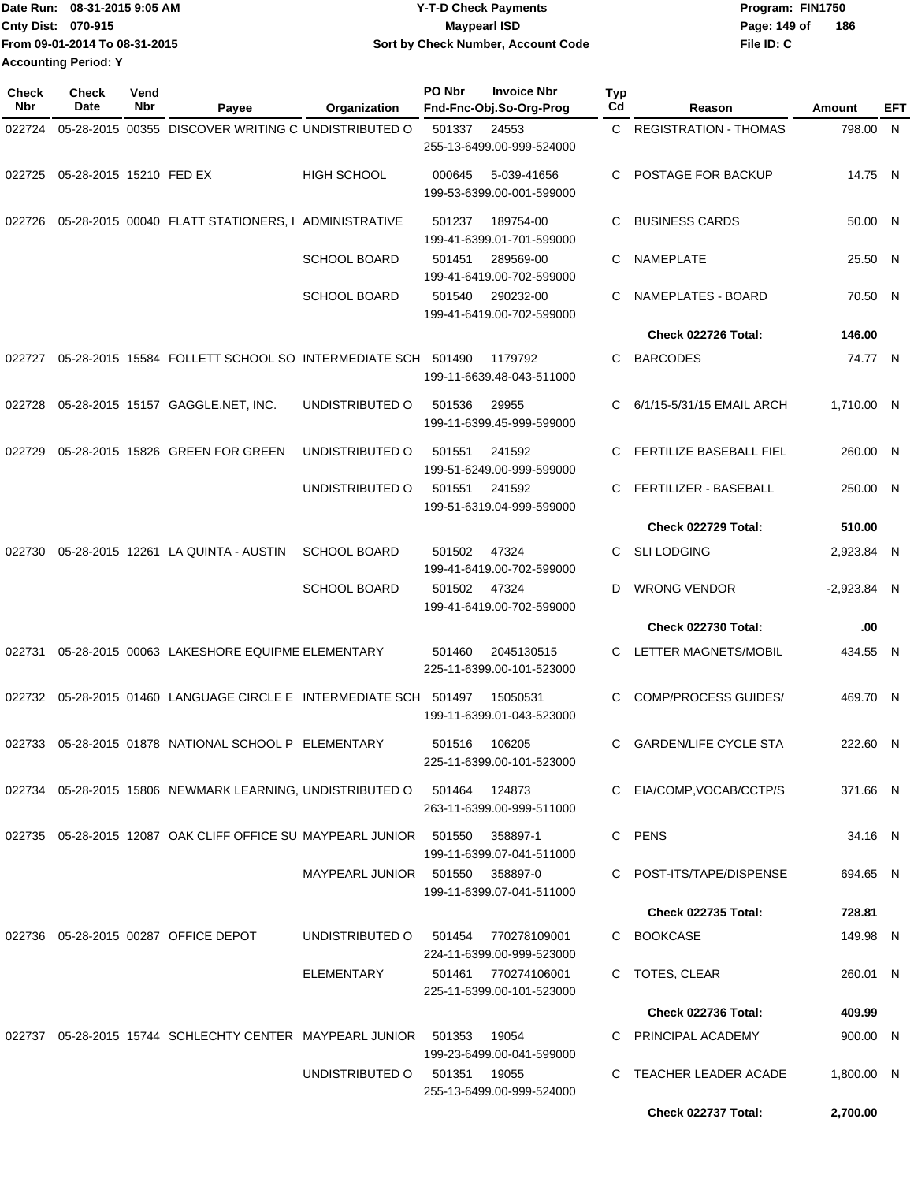| Date Run: 08-31-2015 9:05 AM  | <b>Y-T-D Check Payments</b>        | Program: FIN1750    |
|-------------------------------|------------------------------------|---------------------|
| Cnty Dist: 070-915            | <b>Mavpearl ISD</b>                | 186<br>Page: 149 of |
| From 09-01-2014 To 08-31-2015 | Sort by Check Number, Account Code | File ID: C          |
| <b>Accounting Period: Y</b>   |                                    |                     |

| <b>Check</b><br>Nbr | <b>Check</b><br>Date           | Vend<br>Nbr | Payee                                                                 | Organization                    | PO Nbr | <b>Invoice Nbr</b><br>Fnd-Fnc-Obj.So-Org-Prog    | <b>Typ</b><br>Cd | Reason                         | Amount        | EFT |
|---------------------|--------------------------------|-------------|-----------------------------------------------------------------------|---------------------------------|--------|--------------------------------------------------|------------------|--------------------------------|---------------|-----|
| 022724              |                                |             | 05-28-2015 00355 DISCOVER WRITING C UNDISTRIBUTED O                   |                                 | 501337 | 24553                                            |                  | C REGISTRATION - THOMAS        | 798.00 N      |     |
|                     |                                |             |                                                                       |                                 |        | 255-13-6499.00-999-524000                        |                  |                                |               |     |
|                     | 022725 05-28-2015 15210 FED EX |             |                                                                       | <b>HIGH SCHOOL</b>              | 000645 | 5-039-41656<br>199-53-6399.00-001-599000         |                  | C POSTAGE FOR BACKUP           | 14.75 N       |     |
| 022726              |                                |             | 05-28-2015 00040 FLATT STATIONERS, I ADMINISTRATIVE                   |                                 | 501237 | 189754-00<br>199-41-6399.01-701-599000           | C                | <b>BUSINESS CARDS</b>          | 50.00 N       |     |
|                     |                                |             |                                                                       | <b>SCHOOL BOARD</b>             | 501451 | 289569-00<br>199-41-6419.00-702-599000           | C                | NAMEPLATE                      | 25.50 N       |     |
|                     |                                |             |                                                                       | <b>SCHOOL BOARD</b>             | 501540 | 290232-00<br>199-41-6419.00-702-599000           | C                | NAMEPLATES - BOARD             | 70.50 N       |     |
|                     |                                |             |                                                                       |                                 |        |                                                  |                  | Check 022726 Total:            | 146.00        |     |
| 022727              |                                |             | 05-28-2015 15584 FOLLETT SCHOOL SO INTERMEDIATE SCH 501490            |                                 |        | 1179792<br>199-11-6639.48-043-511000             | C                | <b>BARCODES</b>                | 74.77 N       |     |
|                     |                                |             | 022728  05-28-2015  15157  GAGGLE.NET, INC.                           | UNDISTRIBUTED O                 | 501536 | 29955<br>199-11-6399.45-999-599000               | C                | 6/1/15-5/31/15 EMAIL ARCH      | 1,710.00 N    |     |
| 022729              |                                |             | 05-28-2015 15826 GREEN FOR GREEN                                      | UNDISTRIBUTED O                 | 501551 | 241592<br>199-51-6249.00-999-599000              | C                | <b>FERTILIZE BASEBALL FIEL</b> | 260.00 N      |     |
|                     |                                |             |                                                                       | UNDISTRIBUTED O                 | 501551 | 241592<br>199-51-6319.04-999-599000              | C                | FERTILIZER - BASEBALL          | 250.00 N      |     |
|                     |                                |             |                                                                       |                                 |        |                                                  |                  | Check 022729 Total:            | 510.00        |     |
| 022730              |                                |             | 05-28-2015 12261 LA QUINTA - AUSTIN                                   | <b>SCHOOL BOARD</b>             | 501502 | 47324<br>199-41-6419.00-702-599000               | C.               | <b>SLI LODGING</b>             | 2,923.84 N    |     |
|                     |                                |             |                                                                       | <b>SCHOOL BOARD</b>             | 501502 | 47324<br>199-41-6419.00-702-599000               | D                | <b>WRONG VENDOR</b>            | $-2,923.84$ N |     |
|                     |                                |             |                                                                       |                                 |        |                                                  |                  | <b>Check 022730 Total:</b>     | .00           |     |
| 022731              |                                |             | 05-28-2015 00063 LAKESHORE EQUIPME ELEMENTARY                         |                                 | 501460 | 2045130515<br>225-11-6399.00-101-523000          |                  | C LETTER MAGNETS/MOBIL         | 434.55 N      |     |
|                     |                                |             | 022732  05-28-2015  01460  LANGUAGE CIRCLE E INTERMEDIATE SCH  501497 |                                 |        | 15050531<br>199-11-6399.01-043-523000            | C.               | <b>COMP/PROCESS GUIDES/</b>    | 469.70 N      |     |
|                     |                                |             | 022733 05-28-2015 01878 NATIONAL SCHOOL P ELEMENTARY                  |                                 | 501516 | 106205<br>225-11-6399.00-101-523000              | C                | <b>GARDEN/LIFE CYCLE STA</b>   | 222.60 N      |     |
|                     |                                |             | 022734   05-28-2015  15806   NEWMARK LEARNING, UNDISTRIBUTED O        |                                 | 501464 | 124873<br>263-11-6399.00-999-511000              |                  | C EIA/COMP, VOCAB/CCTP/S       | 371.66 N      |     |
|                     |                                |             | 022735 05-28-2015 12087 OAK CLIFF OFFICE SU MAYPEARL JUNIOR 501550    |                                 |        | 358897-1<br>199-11-6399.07-041-511000            |                  | C PENS                         | 34.16 N       |     |
|                     |                                |             |                                                                       | MAYPEARL JUNIOR 501550 358897-0 |        | 199-11-6399.07-041-511000                        |                  | C POST-ITS/TAPE/DISPENSE       | 694.65 N      |     |
|                     |                                |             |                                                                       |                                 |        |                                                  |                  | <b>Check 022735 Total:</b>     | 728.81        |     |
|                     |                                |             | 022736 05-28-2015 00287 OFFICE DEPOT                                  | UNDISTRIBUTED O                 |        | 501454 770278109001<br>224-11-6399.00-999-523000 |                  | C BOOKCASE                     | 149.98 N      |     |
|                     |                                |             |                                                                       | ELEMENTARY                      |        | 501461 770274106001<br>225-11-6399.00-101-523000 |                  | C TOTES, CLEAR                 | 260.01 N      |     |
|                     |                                |             |                                                                       |                                 |        |                                                  |                  | Check 022736 Total:            | 409.99        |     |
|                     |                                |             | 022737 05-28-2015 15744 SCHLECHTY CENTER MAYPEARL JUNIOR              |                                 | 501353 | 19054<br>199-23-6499.00-041-599000               |                  | C PRINCIPAL ACADEMY            | 900.00 N      |     |
|                     |                                |             |                                                                       | UNDISTRIBUTED O                 | 501351 | 19055<br>255-13-6499.00-999-524000               |                  | TEACHER LEADER ACADE           | 1,800.00 N    |     |
|                     |                                |             |                                                                       |                                 |        |                                                  |                  | Check 022737 Total:            | 2,700.00      |     |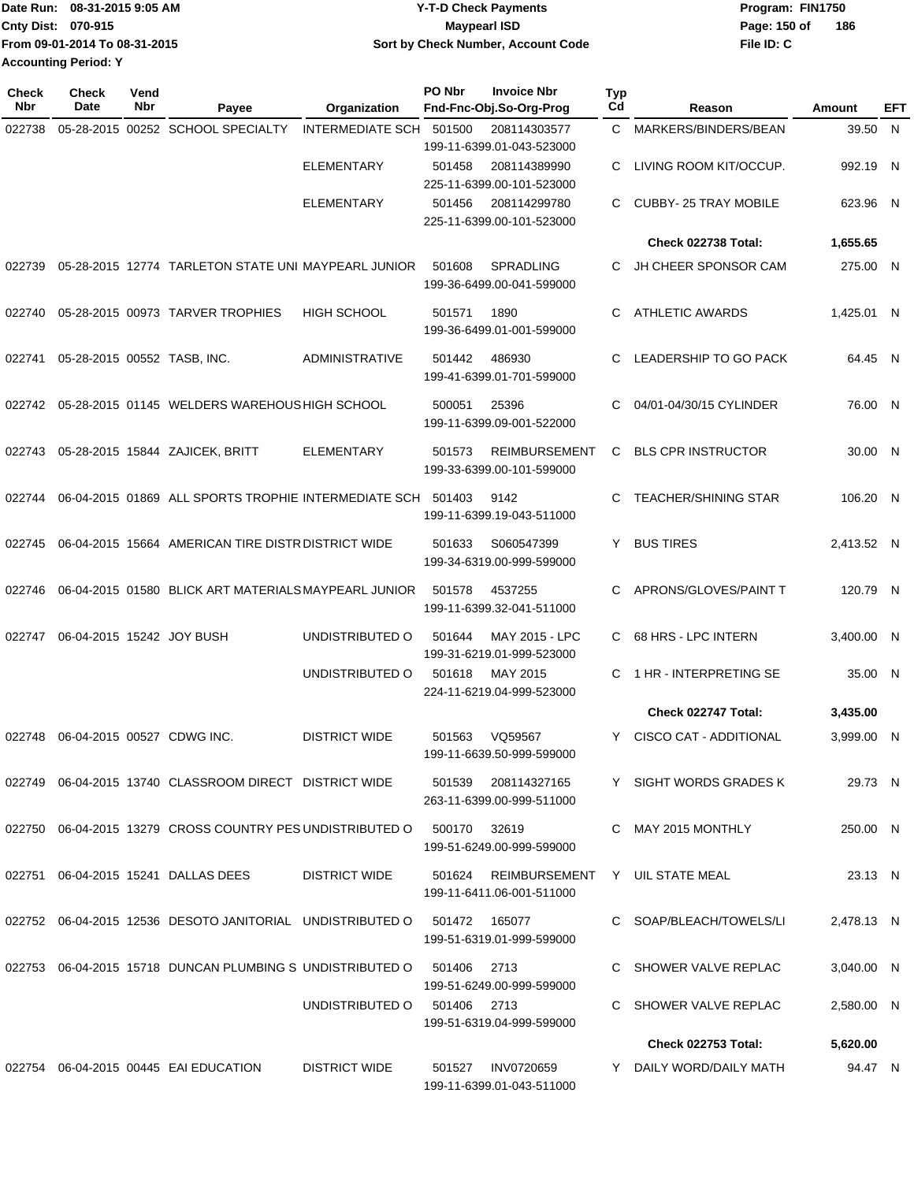| Date Run: 08-31-2015 9:05 AM  | <b>Y-T-D Check Payments</b>        | Program: FIN1750    |
|-------------------------------|------------------------------------|---------------------|
| <b>Cnty Dist: 070-915</b>     | Mavpearl ISD                       | 186<br>Page: 150 of |
| From 09-01-2014 To 08-31-2015 | Sort by Check Number, Account Code | File ID: C          |
| <b>Accounting Period: Y</b>   |                                    |                     |

| <b>Check</b><br><b>Nbr</b> | <b>Check</b><br>Date        | Vend<br>Nbr | Payee                                                                       | Organization                | PO Nbr | <b>Invoice Nbr</b><br>Fnd-Fnc-Obj.So-Org-Prog      | Typ<br>Cd | Reason                        | Amount     | EFT          |
|----------------------------|-----------------------------|-------------|-----------------------------------------------------------------------------|-----------------------------|--------|----------------------------------------------------|-----------|-------------------------------|------------|--------------|
| 022738                     |                             |             | 05-28-2015 00252 SCHOOL SPECIALTY                                           | <b>INTERMEDIATE SCH</b>     | 501500 | 208114303577                                       | C.        | MARKERS/BINDERS/BEAN          | 39.50 N    |              |
|                            |                             |             |                                                                             |                             |        | 199-11-6399.01-043-523000                          |           |                               |            |              |
|                            |                             |             |                                                                             | <b>ELEMENTARY</b>           | 501458 | 208114389990                                       | C         | LIVING ROOM KIT/OCCUP.        | 992.19     | $\mathsf{N}$ |
|                            |                             |             |                                                                             |                             |        | 225-11-6399.00-101-523000                          |           |                               |            |              |
|                            |                             |             |                                                                             | <b>ELEMENTARY</b>           | 501456 | 208114299780<br>225-11-6399.00-101-523000          | C.        | <b>CUBBY-25 TRAY MOBILE</b>   | 623.96 N   |              |
|                            |                             |             |                                                                             |                             |        |                                                    |           | Check 022738 Total:           | 1,655.65   |              |
| 022739                     |                             |             | 05-28-2015 12774 TARLETON STATE UNI MAYPEARL JUNIOR                         |                             | 501608 | SPRADLING<br>199-36-6499.00-041-599000             | C.        | JH CHEER SPONSOR CAM          | 275.00 N   |              |
| 022740                     |                             |             | 05-28-2015 00973 TARVER TROPHIES                                            | <b>HIGH SCHOOL</b>          | 501571 | 1890<br>199-36-6499.01-001-599000                  | C.        | <b>ATHLETIC AWARDS</b>        | 1,425.01 N |              |
| 022741                     | 05-28-2015 00552 TASB, INC. |             |                                                                             | <b>ADMINISTRATIVE</b>       | 501442 | 486930<br>199-41-6399.01-701-599000                | C         | LEADERSHIP TO GO PACK         | 64.45 N    |              |
|                            |                             |             | 022742 05-28-2015 01145 WELDERS WAREHOUS HIGH SCHOOL                        |                             | 500051 | 25396<br>199-11-6399.09-001-522000                 | C         | 04/01-04/30/15 CYLINDER       | 76.00 N    |              |
|                            |                             |             |                                                                             |                             |        |                                                    |           |                               |            |              |
| 022743                     |                             |             | 05-28-2015 15844 ZAJICEK, BRITT                                             | <b>ELEMENTARY</b>           | 501573 | <b>REIMBURSEMENT</b><br>199-33-6399.00-101-599000  | C         | <b>BLS CPR INSTRUCTOR</b>     | 30.00 N    |              |
| 022744                     |                             |             | 06-04-2015 01869 ALL SPORTS TROPHIE INTERMEDIATE SCH 501403                 |                             |        | 9142<br>199-11-6399.19-043-511000                  |           | <b>TEACHER/SHINING STAR</b>   | 106.20 N   |              |
| 022745                     |                             |             | 06-04-2015 15664 AMERICAN TIRE DISTR DISTRICT WIDE                          |                             | 501633 | S060547399<br>199-34-6319.00-999-599000            | Y         | <b>BUS TIRES</b>              | 2,413.52 N |              |
| 022746                     |                             |             | 06-04-2015 01580 BLICK ART MATERIALS MAYPEARL JUNIOR                        |                             | 501578 | 4537255<br>199-11-6399.32-041-511000               | C.        | APRONS/GLOVES/PAINT T         | 120.79 N   |              |
| 022747                     | 06-04-2015 15242 JOY BUSH   |             |                                                                             | UNDISTRIBUTED O             | 501644 | <b>MAY 2015 - LPC</b><br>199-31-6219.01-999-523000 | C         | 68 HRS - LPC INTERN           | 3,400.00 N |              |
|                            |                             |             |                                                                             | UNDISTRIBUTED O             | 501618 | MAY 2015<br>224-11-6219.04-999-523000              | C.        | 1 HR - INTERPRETING SE        | 35.00 N    |              |
|                            |                             |             |                                                                             |                             |        |                                                    |           | Check 022747 Total:           | 3,435.00   |              |
| 022748                     | 06-04-2015 00527 CDWG INC.  |             |                                                                             | <b>DISTRICT WIDE</b>        | 501563 | VQ59567<br>199-11-6639.50-999-599000               | Y.        | <b>CISCO CAT - ADDITIONAL</b> | 3,999.00 N |              |
|                            |                             |             | 022749 06-04-2015 13740 CLASSROOM DIRECT DISTRICT WIDE                      |                             |        | 501539 208114327165<br>263-11-6399.00-999-511000   |           | Y SIGHT WORDS GRADES K        | 29.73 N    |              |
|                            |                             |             | 022750  06-04-2015  13279  CROSS COUNTRY PES UNDISTRIBUTED O  500170  32619 |                             |        | 199-51-6249.00-999-599000                          |           | C MAY 2015 MONTHLY            | 250.00 N   |              |
|                            |                             |             | 022751 06-04-2015 15241 DALLAS DEES                                         | <b>DISTRICT WIDE</b>        |        | 501624 REIMBURSEMENT<br>199-11-6411.06-001-511000  |           | Y UIL STATE MEAL              | 23.13 N    |              |
|                            |                             |             | 022752 06-04-2015 12536 DESOTO JANITORIAL UNDISTRIBUTED O 501472 165077     |                             |        | 199-51-6319.01-999-599000                          |           | C SOAP/BLEACH/TOWELS/LI       | 2.478.13 N |              |
|                            |                             |             | 022753 06-04-2015 15718 DUNCAN PLUMBING S UNDISTRIBUTED O                   |                             | 501406 | 2713<br>199-51-6249.00-999-599000                  |           | C SHOWER VALVE REPLAC         | 3,040.00 N |              |
|                            |                             |             |                                                                             | UNDISTRIBUTED O 501406 2713 |        | 199-51-6319.04-999-599000                          |           | C SHOWER VALVE REPLAC         | 2,580.00 N |              |
|                            |                             |             |                                                                             |                             |        |                                                    |           | Check 022753 Total:           | 5,620.00   |              |
|                            |                             |             | 022754 06-04-2015 00445 EAI EDUCATION                                       | <b>DISTRICT WIDE</b>        | 501527 | INV0720659<br>199-11-6399.01-043-511000            |           | Y DAILY WORD/DAILY MATH       | 94.47 N    |              |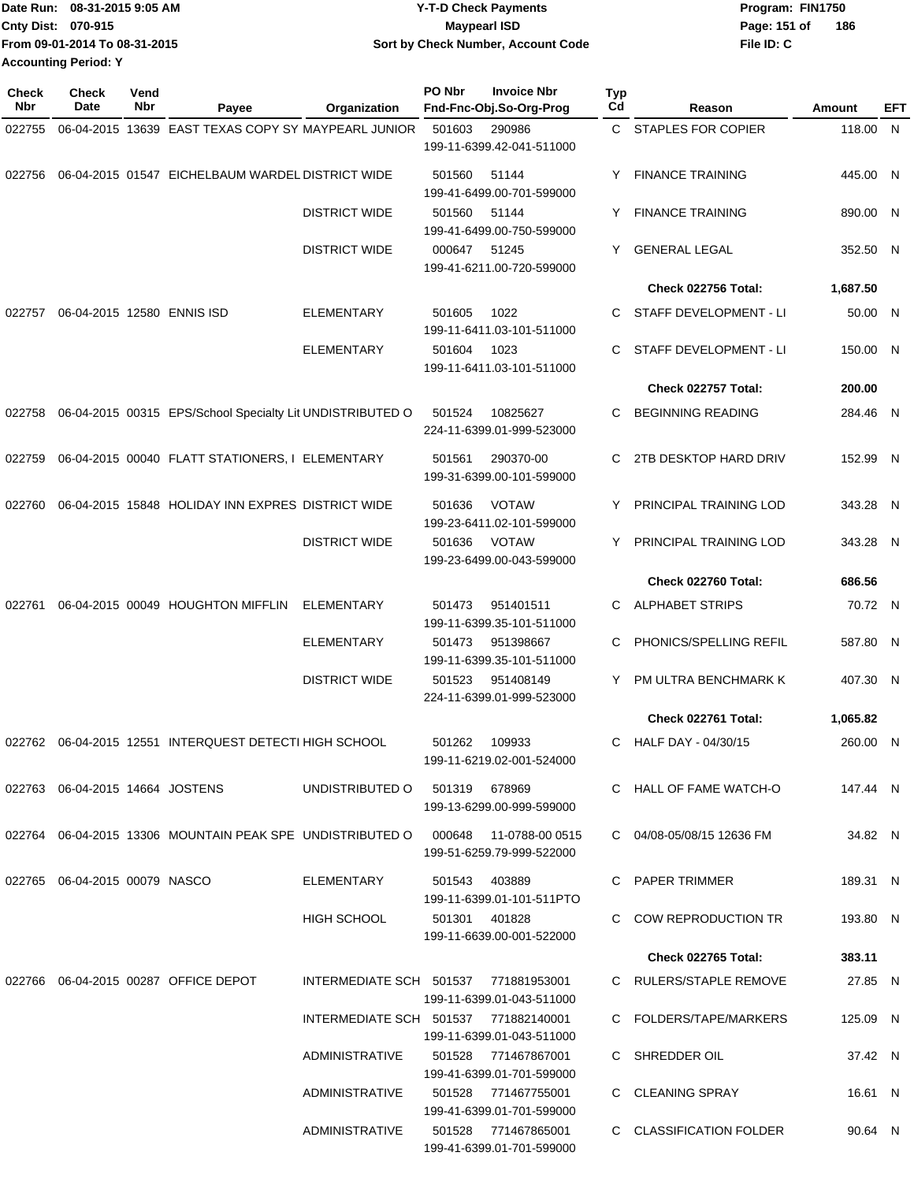| TDate Run: 08-31-2015 9:05 AM | <b>Y-T-D Check Payments</b>        | Program: FIN1750    |
|-------------------------------|------------------------------------|---------------------|
| <b>Cnty Dist: 070-915</b>     | <b>Mavpearl ISD</b>                | 186<br>Page: 151 of |
| From 09-01-2014 To 08-31-2015 | Sort by Check Number, Account Code | File ID: C          |
| <b>Accounting Period: Y</b>   |                                    |                     |

| <b>Check</b><br>Nbr | Check<br>Date                   | Vend<br>Nbr | Payee                                                            | Organization                         | PO Nbr | <b>Invoice Nbr</b><br>Fnd-Fnc-Obj.So-Org-Prog    | Typ<br>Cd | Reason                     | <b>Amount</b> | EFT |
|---------------------|---------------------------------|-------------|------------------------------------------------------------------|--------------------------------------|--------|--------------------------------------------------|-----------|----------------------------|---------------|-----|
| 022755              |                                 |             | 06-04-2015 13639 EAST TEXAS COPY SY MAYPEARL JUNIOR              |                                      | 501603 | 290986                                           |           | C STAPLES FOR COPIER       | 118.00 N      |     |
|                     |                                 |             |                                                                  |                                      |        | 199-11-6399.42-041-511000                        |           |                            |               |     |
| 022756              |                                 |             | 06-04-2015 01547 EICHELBAUM WARDEL DISTRICT WIDE                 |                                      | 501560 | 51144<br>199-41-6499.00-701-599000               | Y         | <b>FINANCE TRAINING</b>    | 445.00 N      |     |
|                     |                                 |             |                                                                  | <b>DISTRICT WIDE</b>                 | 501560 | 51144<br>199-41-6499.00-750-599000               | Y         | <b>FINANCE TRAINING</b>    | 890.00 N      |     |
|                     |                                 |             |                                                                  | <b>DISTRICT WIDE</b>                 | 000647 | 51245<br>199-41-6211.00-720-599000               | Y         | <b>GENERAL LEGAL</b>       | 352.50 N      |     |
|                     |                                 |             |                                                                  |                                      |        |                                                  |           | <b>Check 022756 Total:</b> | 1,687.50      |     |
| 022757              | 06-04-2015 12580 ENNIS ISD      |             |                                                                  | <b>ELEMENTARY</b>                    | 501605 | 1022<br>199-11-6411.03-101-511000                | С         | STAFF DEVELOPMENT - LI     | 50.00 N       |     |
|                     |                                 |             |                                                                  | <b>ELEMENTARY</b>                    | 501604 | 1023<br>199-11-6411.03-101-511000                | С         | STAFF DEVELOPMENT - LI     | 150.00 N      |     |
|                     |                                 |             |                                                                  |                                      |        |                                                  |           | Check 022757 Total:        | 200.00        |     |
| 022758              |                                 |             | 06-04-2015 00315 EPS/School Specialty Lit UNDISTRIBUTED O        |                                      | 501524 | 10825627<br>224-11-6399.01-999-523000            | С         | <b>BEGINNING READING</b>   | 284.46 N      |     |
| 022759              |                                 |             | 06-04-2015 00040 FLATT STATIONERS, I ELEMENTARY                  |                                      | 501561 | 290370-00<br>199-31-6399.00-101-599000           | С         | 2TB DESKTOP HARD DRIV      | 152.99 N      |     |
| 022760              |                                 |             | 06-04-2015 15848 HOLIDAY INN EXPRES DISTRICT WIDE                |                                      | 501636 | <b>VOTAW</b><br>199-23-6411.02-101-599000        | Y         | PRINCIPAL TRAINING LOD     | 343.28 N      |     |
|                     |                                 |             |                                                                  | <b>DISTRICT WIDE</b>                 | 501636 | <b>VOTAW</b><br>199-23-6499.00-043-599000        | Y         | PRINCIPAL TRAINING LOD     | 343.28 N      |     |
|                     |                                 |             |                                                                  |                                      |        |                                                  |           | Check 022760 Total:        | 686.56        |     |
| 022761              |                                 |             | 06-04-2015 00049 HOUGHTON MIFFLIN                                | ELEMENTARY                           | 501473 | 951401511<br>199-11-6399.35-101-511000           | C.        | <b>ALPHABET STRIPS</b>     | 70.72 N       |     |
|                     |                                 |             |                                                                  | <b>ELEMENTARY</b>                    | 501473 | 951398667<br>199-11-6399.35-101-511000           | C         | PHONICS/SPELLING REFIL     | 587.80 N      |     |
|                     |                                 |             |                                                                  | <b>DISTRICT WIDE</b>                 | 501523 | 951408149<br>224-11-6399.01-999-523000           | Y         | PM ULTRA BENCHMARK K       | 407.30 N      |     |
|                     |                                 |             |                                                                  |                                      |        |                                                  |           | Check 022761 Total:        | 1,065.82      |     |
|                     |                                 |             | 022762 06-04-2015 12551 INTERQUEST DETECTI HIGH SCHOOL           |                                      | 501262 | 109933<br>199-11-6219.02-001-524000              | С         | HALF DAY - 04/30/15        | 260.00 N      |     |
|                     | 022763 06-04-2015 14664 JOSTENS |             |                                                                  | UNDISTRIBUTED O                      |        | 501319 678969<br>199-13-6299.00-999-599000       |           | C HALL OF FAME WATCH-O     | 147.44 N      |     |
|                     |                                 |             | 022764 06-04-2015 13306 MOUNTAIN PEAK SPE UNDISTRIBUTED O 000648 |                                      |        | 11-0788-00 0515<br>199-51-6259.79-999-522000     |           | C 04/08-05/08/15 12636 FM  | 34.82 N       |     |
|                     | 022765 06-04-2015 00079 NASCO   |             |                                                                  | ELEMENTARY                           |        | 501543 403889<br>199-11-6399.01-101-511PTO       |           | C PAPER TRIMMER            | 189.31 N      |     |
|                     |                                 |             |                                                                  | <b>HIGH SCHOOL</b>                   |        | 501301 401828<br>199-11-6639.00-001-522000       |           | C COW REPRODUCTION TR      | 193.80 N      |     |
|                     |                                 |             |                                                                  |                                      |        |                                                  |           | <b>Check 022765 Total:</b> | 383.11        |     |
|                     |                                 |             | 022766 06-04-2015 00287 OFFICE DEPOT                             | INTERMEDIATE SCH 501537 771881953001 |        | 199-11-6399.01-043-511000                        |           | C RULERS/STAPLE REMOVE     | 27.85 N       |     |
|                     |                                 |             |                                                                  | INTERMEDIATE SCH 501537 771882140001 |        | 199-11-6399.01-043-511000                        |           | C FOLDERS/TAPE/MARKERS     | 125.09 N      |     |
|                     |                                 |             |                                                                  | ADMINISTRATIVE                       | 501528 | 771467867001<br>199-41-6399.01-701-599000        |           | C SHREDDER OIL             | 37.42 N       |     |
|                     |                                 |             |                                                                  | ADMINISTRATIVE                       |        | 501528 771467755001<br>199-41-6399.01-701-599000 |           | C CLEANING SPRAY           | 16.61 N       |     |
|                     |                                 |             |                                                                  | ADMINISTRATIVE                       |        | 501528 771467865001<br>199-41-6399.01-701-599000 |           | C CLASSIFICATION FOLDER    | 90.64 N       |     |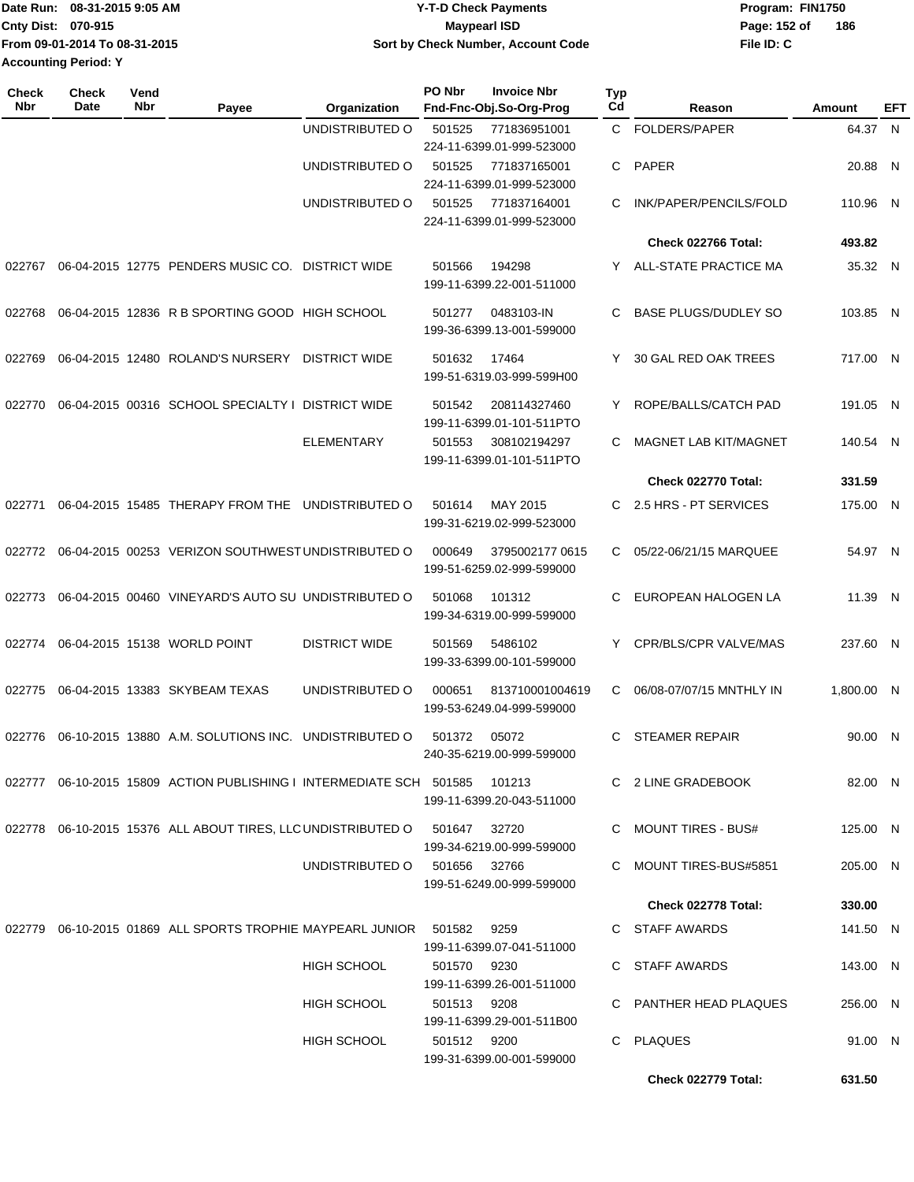|                             | Date Run: 08-31-2015 9:05 AM  | <b>Y-T-D Check Payments</b>        | Program: FIN1750 |     |
|-----------------------------|-------------------------------|------------------------------------|------------------|-----|
| <b>Cnty Dist: 070-915</b>   |                               | Maypearl ISD                       | Page: 152 of     | 186 |
|                             | From 09-01-2014 To 08-31-2015 | Sort by Check Number, Account Code | File ID: C       |     |
| <b>Accounting Period: Y</b> |                               |                                    |                  |     |

| <b>Check</b><br>Nbr | <b>Check</b><br>Date | Vend<br>Nbr | Payee                                                                    | Organization         | PO Nbr       | <b>Invoice Nbr</b><br>Fnd-Fnc-Obj.So-Org-Prog | <b>Typ</b><br>Cd | Reason                       | Amount     | EFT |
|---------------------|----------------------|-------------|--------------------------------------------------------------------------|----------------------|--------------|-----------------------------------------------|------------------|------------------------------|------------|-----|
|                     |                      |             |                                                                          | UNDISTRIBUTED O      | 501525       | 771836951001<br>224-11-6399.01-999-523000     | C                | FOLDERS/PAPER                | 64.37 N    |     |
|                     |                      |             |                                                                          | UNDISTRIBUTED O      | 501525       | 771837165001<br>224-11-6399.01-999-523000     |                  | C PAPER                      | 20.88 N    |     |
|                     |                      |             |                                                                          | UNDISTRIBUTED O      | 501525       | 771837164001<br>224-11-6399.01-999-523000     | С                | INK/PAPER/PENCILS/FOLD       | 110.96 N   |     |
|                     |                      |             |                                                                          |                      |              |                                               |                  | Check 022766 Total:          | 493.82     |     |
| 022767              |                      |             | 06-04-2015 12775 PENDERS MUSIC CO. DISTRICT WIDE                         |                      | 501566       | 194298<br>199-11-6399.22-001-511000           | Y.               | ALL-STATE PRACTICE MA        | 35.32 N    |     |
| 022768              |                      |             | 06-04-2015 12836 R B SPORTING GOOD HIGH SCHOOL                           |                      | 501277       | 0483103-IN<br>199-36-6399.13-001-599000       | С                | <b>BASE PLUGS/DUDLEY SO</b>  | 103.85 N   |     |
| 022769              |                      |             | 06-04-2015 12480 ROLAND'S NURSERY                                        | <b>DISTRICT WIDE</b> | 501632       | 17464<br>199-51-6319.03-999-599H00            | Y                | 30 GAL RED OAK TREES         | 717.00 N   |     |
| 022770              |                      |             | 06-04-2015 00316 SCHOOL SPECIALTY I DISTRICT WIDE                        |                      | 501542       | 208114327460<br>199-11-6399.01-101-511PTO     | Y                | ROPE/BALLS/CATCH PAD         | 191.05 N   |     |
|                     |                      |             |                                                                          | <b>ELEMENTARY</b>    | 501553       | 308102194297<br>199-11-6399.01-101-511PTO     | С                | <b>MAGNET LAB KIT/MAGNET</b> | 140.54 N   |     |
|                     |                      |             |                                                                          |                      |              |                                               |                  | Check 022770 Total:          | 331.59     |     |
| 022771              |                      |             | 06-04-2015 15485 THERAPY FROM THE UNDISTRIBUTED O                        |                      | 501614       | MAY 2015<br>199-31-6219.02-999-523000         | С                | 2.5 HRS - PT SERVICES        | 175.00 N   |     |
| 022772              |                      |             | 06-04-2015 00253 VERIZON SOUTHWEST UNDISTRIBUTED O                       |                      | 000649       | 3795002177 0615<br>199-51-6259.02-999-599000  | C                | 05/22-06/21/15 MARQUEE       | 54.97 N    |     |
| 022773              |                      |             | 06-04-2015 00460 VINEYARD'S AUTO SU UNDISTRIBUTED O                      |                      | 501068       | 101312<br>199-34-6319.00-999-599000           | С                | EUROPEAN HALOGEN LA          | 11.39 N    |     |
| 022774              |                      |             | 06-04-2015 15138 WORLD POINT                                             | <b>DISTRICT WIDE</b> | 501569       | 5486102<br>199-33-6399.00-101-599000          | Y                | CPR/BLS/CPR VALVE/MAS        | 237.60 N   |     |
| 022775              |                      |             | 06-04-2015 13383 SKYBEAM TEXAS                                           | UNDISTRIBUTED O      | 000651       | 813710001004619<br>199-53-6249.04-999-599000  | С                | 06/08-07/07/15 MNTHLY IN     | 1.800.00 N |     |
| 022776              |                      |             | 06-10-2015 13880 A.M. SOLUTIONS INC. UNDISTRIBUTED O                     |                      | 501372       | 05072<br>240-35-6219.00-999-599000            | C                | <b>STEAMER REPAIR</b>        | 90.00 N    |     |
|                     |                      |             | 022777  06-10-2015  15809   ACTION PUBLISHING I INTERMEDIATE SCH  501585 |                      |              | 101213<br>199-11-6399.20-043-511000           |                  | C 2 LINE GRADEBOOK           | 82.00 N    |     |
|                     |                      |             | 022778   06-10-2015  15376   ALL ABOUT TIRES, LLC UNDISTRIBUTED O        |                      | 501647       | 32720<br>199-34-6219.00-999-599000            |                  | C MOUNT TIRES - BUS#         | 125.00 N   |     |
|                     |                      |             |                                                                          | UNDISTRIBUTED O      | 501656 32766 | 199-51-6249.00-999-599000                     |                  | C MOUNT TIRES-BUS#5851       | 205.00 N   |     |
|                     |                      |             |                                                                          |                      |              |                                               |                  | Check 022778 Total:          | 330.00     |     |
|                     |                      |             | 022779 06-10-2015 01869 ALL SPORTS TROPHIE MAYPEARL JUNIOR               |                      | 501582       | 9259<br>199-11-6399.07-041-511000             |                  | C STAFF AWARDS               | 141.50 N   |     |
|                     |                      |             |                                                                          | <b>HIGH SCHOOL</b>   | 501570 9230  | 199-11-6399.26-001-511000                     |                  | C STAFF AWARDS               | 143.00 N   |     |
|                     |                      |             |                                                                          | HIGH SCHOOL          | 501513 9208  | 199-11-6399.29-001-511B00                     |                  | C PANTHER HEAD PLAQUES       | 256.00 N   |     |
|                     |                      |             |                                                                          | <b>HIGH SCHOOL</b>   | 501512 9200  | 199-31-6399.00-001-599000                     |                  | C PLAQUES                    | 91.00 N    |     |
|                     |                      |             |                                                                          |                      |              |                                               |                  | Check 022779 Total:          | 631.50     |     |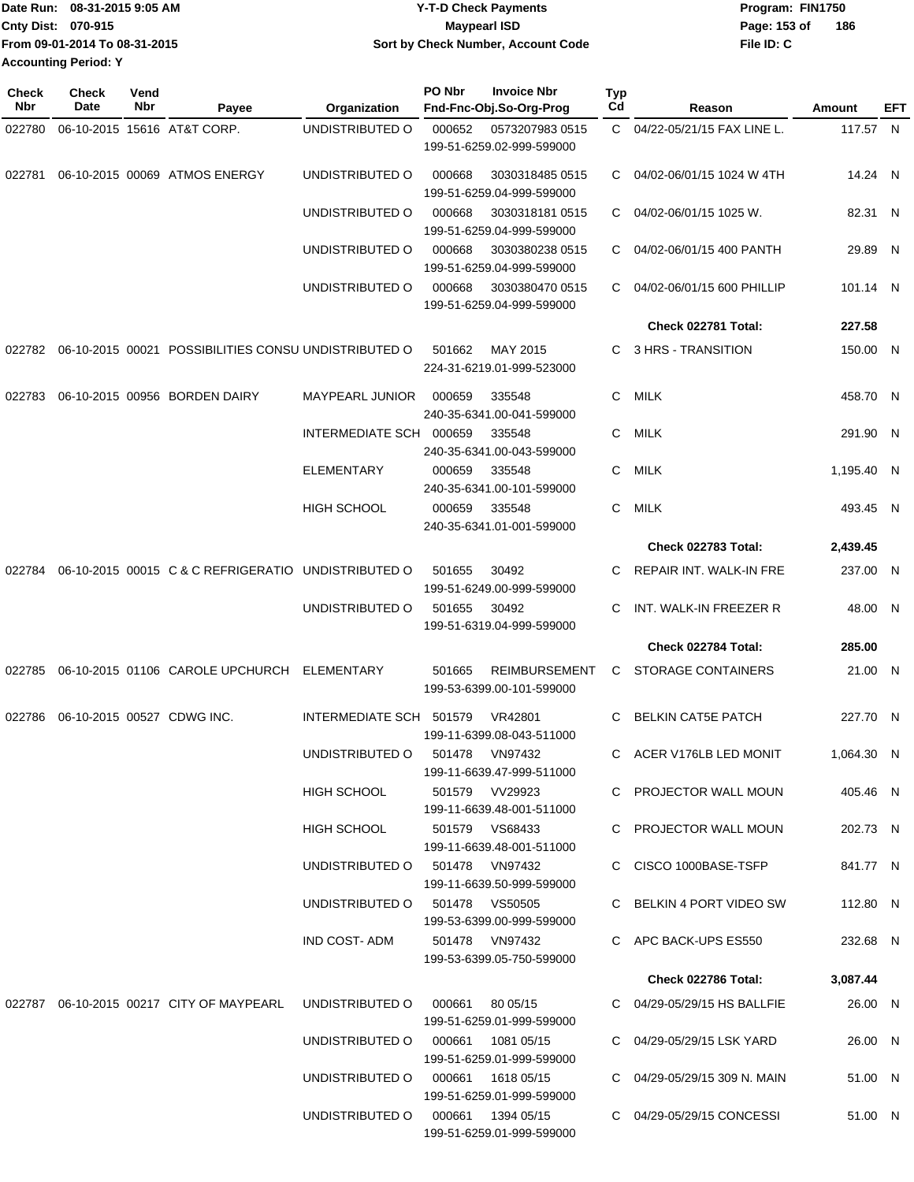| Date Run: 08-31-2015 9:05 AM  | <b>Y-T-D Check Payments</b>        | Program: FIN1750 |     |
|-------------------------------|------------------------------------|------------------|-----|
| <b>Cnty Dist: 070-915</b>     | <b>Mavpearl ISD</b>                | Page: 153 of     | 186 |
| From 09-01-2014 To 08-31-2015 | Sort by Check Number, Account Code | File ID: C       |     |
| <b>Accounting Period: Y</b>   |                                    |                  |     |

| <b>Check</b><br>Nbr | Check<br>Date | Vend<br>Nbr | Payee                                                                    | Organization                      | PO Nbr         | <b>Invoice Nbr</b><br>Fnd-Fnc-Obj.So-Org-Prog     | <b>Typ</b><br>Cd | Reason                           | Amount     | EFT |
|---------------------|---------------|-------------|--------------------------------------------------------------------------|-----------------------------------|----------------|---------------------------------------------------|------------------|----------------------------------|------------|-----|
| 022780              |               |             | 06-10-2015 15616 AT&T CORP.                                              | UNDISTRIBUTED O                   | 000652         | 0573207983 0515                                   | $\mathbf{C}$     | 04/22-05/21/15 FAX LINE L.       | 117.57 N   |     |
|                     |               |             |                                                                          |                                   |                | 199-51-6259.02-999-599000                         |                  |                                  |            |     |
| 022781              |               |             | 06-10-2015 00069 ATMOS ENERGY                                            | UNDISTRIBUTED O                   | 000668         | 3030318485 0515<br>199-51-6259.04-999-599000      | C.               | 04/02-06/01/15 1024 W 4TH        | 14.24 N    |     |
|                     |               |             |                                                                          | UNDISTRIBUTED O                   | 000668         | 30303181810515<br>199-51-6259.04-999-599000       | C                | 04/02-06/01/15 1025 W.           | 82.31 N    |     |
|                     |               |             |                                                                          | UNDISTRIBUTED O                   | 000668         | 3030380238 0515<br>199-51-6259.04-999-599000      | C.               | 04/02-06/01/15 400 PANTH         | 29.89 N    |     |
|                     |               |             |                                                                          | UNDISTRIBUTED O                   | 000668         | 3030380470 0515<br>199-51-6259.04-999-599000      | C                | 04/02-06/01/15 600 PHILLIP       | 101.14 N   |     |
|                     |               |             |                                                                          |                                   |                |                                                   |                  | Check 022781 Total:              | 227.58     |     |
|                     |               |             | 022782 06-10-2015 00021 POSSIBILITIES CONSU UNDISTRIBUTED O              |                                   | 501662         | MAY 2015                                          | C.               | 3 HRS - TRANSITION               | 150.00 N   |     |
|                     |               |             |                                                                          |                                   |                | 224-31-6219.01-999-523000                         |                  |                                  |            |     |
| 022783              |               |             | 06-10-2015 00956 BORDEN DAIRY                                            | <b>MAYPEARL JUNIOR</b>            | 000659         | 335548<br>240-35-6341.00-041-599000               | C.               | MILK                             | 458.70 N   |     |
|                     |               |             |                                                                          | INTERMEDIATE SCH 000659           |                | 335548<br>240-35-6341.00-043-599000               | C.               | MILK                             | 291.90 N   |     |
|                     |               |             |                                                                          | <b>ELEMENTARY</b>                 | 000659         | 335548<br>240-35-6341.00-101-599000               | C                | <b>MILK</b>                      | 1,195.40 N |     |
|                     |               |             |                                                                          | <b>HIGH SCHOOL</b>                | 000659         | 335548<br>240-35-6341.01-001-599000               | C                | <b>MILK</b>                      | 493.45 N   |     |
|                     |               |             |                                                                          |                                   |                |                                                   |                  | Check 022783 Total:              | 2,439.45   |     |
| 022784              |               |             | 06-10-2015 00015 C & C REFRIGERATIO UNDISTRIBUTED O                      |                                   | 501655         | 30492                                             | C                | REPAIR INT. WALK-IN FRE          | 237.00 N   |     |
|                     |               |             |                                                                          |                                   |                | 199-51-6249.00-999-599000                         |                  |                                  |            |     |
|                     |               |             |                                                                          | UNDISTRIBUTED O                   | 501655         | 30492<br>199-51-6319.04-999-599000                | C                | INT. WALK-IN FREEZER R           | 48.00 N    |     |
|                     |               |             |                                                                          |                                   |                |                                                   |                  | Check 022784 Total:              | 285.00     |     |
| 022785              |               |             | 06-10-2015 01106 CAROLE UPCHURCH                                         | ELEMENTARY                        | 501665         | <b>REIMBURSEMENT</b><br>199-53-6399.00-101-599000 | C.               | <b>STORAGE CONTAINERS</b>        | 21.00 N    |     |
| 022786              |               |             | 06-10-2015 00527 CDWG INC.                                               | INTERMEDIATE SCH 501579           |                | VR42801<br>199-11-6399.08-043-511000              | C.               | <b>BELKIN CAT5E PATCH</b>        | 227.70 N   |     |
|                     |               |             |                                                                          | UNDISTRIBUTED O 501478 VN97432    |                | 199-11-6639.47-999-511000                         |                  | C ACER V176LB LED MONIT          | 1,064.30 N |     |
|                     |               |             |                                                                          | <b>HIGH SCHOOL</b>                |                | 501579 VV29923<br>199-11-6639.48-001-511000       |                  | C PROJECTOR WALL MOUN            | 405.46 N   |     |
|                     |               |             |                                                                          | HIGH SCHOOL                       |                | 501579 VS68433<br>199-11-6639.48-001-511000       |                  | C PROJECTOR WALL MOUN            | 202.73 N   |     |
|                     |               |             |                                                                          | UNDISTRIBUTED O                   |                | 501478 VN97432<br>199-11-6639.50-999-599000       |                  | C CISCO 1000BASE-TSFP            | 841.77 N   |     |
|                     |               |             |                                                                          | UNDISTRIBUTED 0 501478 VS50505    |                | 199-53-6399.00-999-599000                         |                  | C BELKIN 4 PORT VIDEO SW         | 112.80 N   |     |
|                     |               |             |                                                                          | IND COST-ADM                      | 501478 VN97432 | 199-53-6399.05-750-599000                         |                  | C APC BACK-UPS ES550             | 232.68 N   |     |
|                     |               |             |                                                                          |                                   |                |                                                   |                  | Check 022786 Total:              | 3,087.44   |     |
|                     |               |             | 022787 06-10-2015 00217 CITY OF MAYPEARL UNDISTRIBUTED O 000661 80 05/15 |                                   |                |                                                   |                  | C 04/29-05/29/15 HS BALLFIE      | 26.00 N    |     |
|                     |               |             |                                                                          | UNDISTRIBUTED O 000661 1081 05/15 |                | 199-51-6259.01-999-599000                         |                  | C 04/29-05/29/15 LSK YARD        | 26.00 N    |     |
|                     |               |             |                                                                          | UNDISTRIBUTED O                   |                | 199-51-6259.01-999-599000<br>000661  1618  05/15  |                  | C $04/29 - 05/29/15$ 309 N. MAIN | 51.00 N    |     |
|                     |               |             |                                                                          | UNDISTRIBUTED O                   |                | 199-51-6259.01-999-599000<br>000661 1394 05/15    |                  | C 04/29-05/29/15 CONCESSI        | 51.00 N    |     |
|                     |               |             |                                                                          |                                   |                | 199-51-6259.01-999-599000                         |                  |                                  |            |     |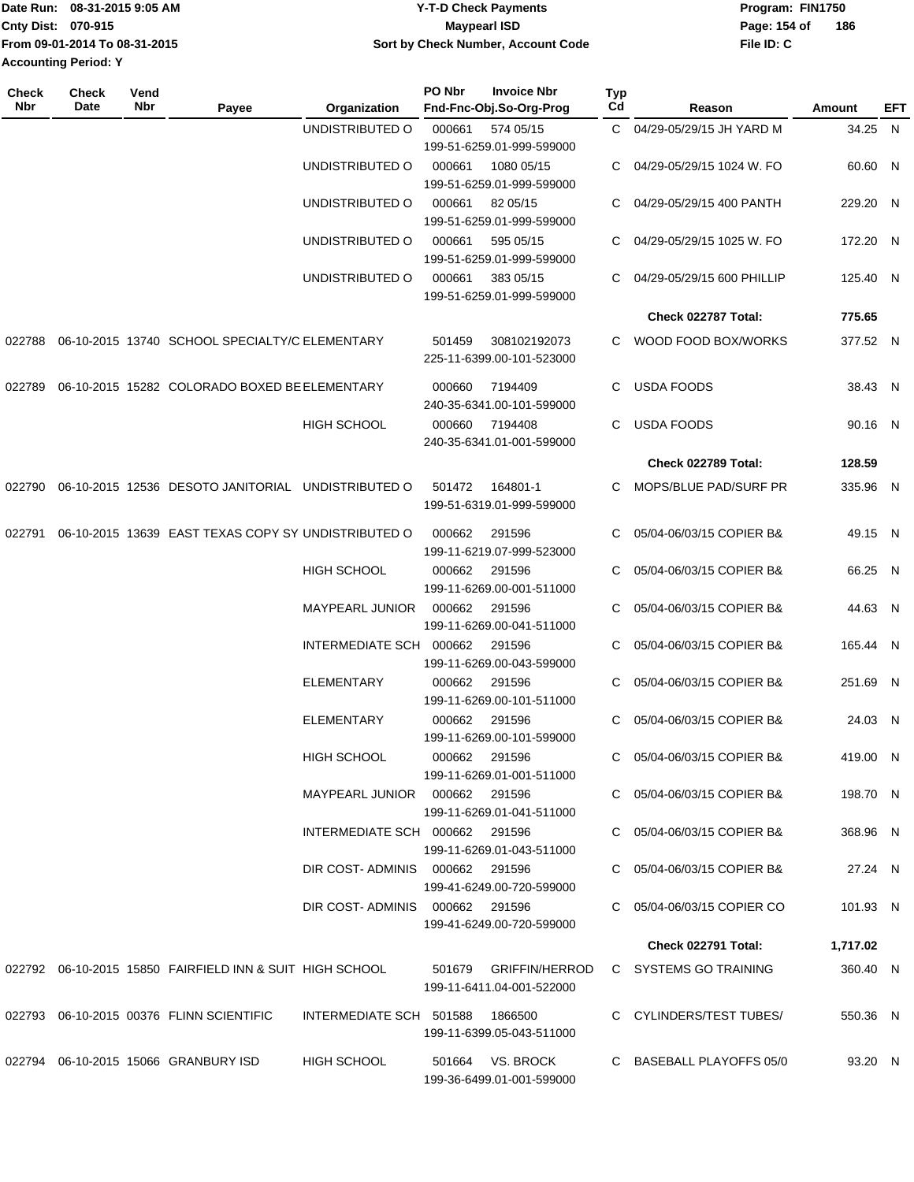| Date Run: 08-31-2015 9:05 AM  | Y-T-D Check Payments               | Program: FIN1750    |
|-------------------------------|------------------------------------|---------------------|
| <b>Cnty Dist: 070-915</b>     | <b>Mavpearl ISD</b>                | 186<br>Page: 154 of |
| From 09-01-2014 To 08-31-2015 | Sort by Check Number, Account Code | File ID: C          |
| <b>Accounting Period: Y</b>   |                                    |                     |

| <b>Check</b><br>Nbr | <b>Check</b><br>Date | Vend<br>Nbr | Payee                                                    | Organization                    | PO Nbr        | <b>Invoice Nbr</b><br>Fnd-Fnc-Obj.So-Org-Prog      | <b>Typ</b><br>Cd | Reason                       | Amount   | EFT |
|---------------------|----------------------|-------------|----------------------------------------------------------|---------------------------------|---------------|----------------------------------------------------|------------------|------------------------------|----------|-----|
|                     |                      |             |                                                          | UNDISTRIBUTED O                 | 000661        | 574 05/15<br>199-51-6259.01-999-599000             | C.               | 04/29-05/29/15 JH YARD M     | 34.25 N  |     |
|                     |                      |             |                                                          | UNDISTRIBUTED O                 | 000661        | 1080 05/15<br>199-51-6259.01-999-599000            | C                | 04/29-05/29/15 1024 W. FO    | 60.60 N  |     |
|                     |                      |             |                                                          | UNDISTRIBUTED O                 | 000661        | 82 05/15<br>199-51-6259.01-999-599000              | C                | 04/29-05/29/15 400 PANTH     | 229.20 N |     |
|                     |                      |             |                                                          | UNDISTRIBUTED O                 | 000661        | 595 05/15<br>199-51-6259.01-999-599000             | С                | 04/29-05/29/15 1025 W. FO    | 172.20 N |     |
|                     |                      |             |                                                          | UNDISTRIBUTED O                 | 000661        | 383 05/15<br>199-51-6259.01-999-599000             | C                | 04/29-05/29/15 600 PHILLIP   | 125.40 N |     |
|                     |                      |             |                                                          |                                 |               |                                                    |                  | Check 022787 Total:          | 775.65   |     |
| 022788              |                      |             | 06-10-2015 13740 SCHOOL SPECIALTY/C ELEMENTARY           |                                 | 501459        | 308102192073<br>225-11-6399.00-101-523000          | C.               | WOOD FOOD BOX/WORKS          | 377.52 N |     |
| 022789              |                      |             | 06-10-2015 15282 COLORADO BOXED BE ELEMENTARY            |                                 | 000660        | 7194409<br>240-35-6341.00-101-599000               | C.               | <b>USDA FOODS</b>            | 38.43 N  |     |
|                     |                      |             |                                                          | <b>HIGH SCHOOL</b>              | 000660        | 7194408<br>240-35-6341.01-001-599000               | C.               | <b>USDA FOODS</b>            | 90.16 N  |     |
|                     |                      |             |                                                          |                                 |               |                                                    |                  | <b>Check 022789 Total:</b>   | 128.59   |     |
| 022790              |                      |             | 06-10-2015 12536 DESOTO JANITORIAL UNDISTRIBUTED O       |                                 | 501472        | 164801-1<br>199-51-6319.01-999-599000              | C.               | <b>MOPS/BLUE PAD/SURF PR</b> | 335.96 N |     |
| 022791              |                      |             | 06-10-2015 13639 EAST TEXAS COPY SY UNDISTRIBUTED O      |                                 | 000662        | 291596<br>199-11-6219.07-999-523000                | C.               | 05/04-06/03/15 COPIER B&     | 49.15 N  |     |
|                     |                      |             |                                                          | <b>HIGH SCHOOL</b>              | 000662        | 291596<br>199-11-6269.00-001-511000                | C                | 05/04-06/03/15 COPIER B&     | 66.25 N  |     |
|                     |                      |             |                                                          | MAYPEARL JUNIOR                 | 000662        | 291596<br>199-11-6269.00-041-511000                | C.               | 05/04-06/03/15 COPIER B&     | 44.63 N  |     |
|                     |                      |             |                                                          | INTERMEDIATE SCH 000662         |               | 291596<br>199-11-6269.00-043-599000                | С                | 05/04-06/03/15 COPIER B&     | 165.44 N |     |
|                     |                      |             |                                                          | <b>ELEMENTARY</b>               | 000662        | 291596<br>199-11-6269.00-101-511000                | C.               | 05/04-06/03/15 COPIER B&     | 251.69 N |     |
|                     |                      |             |                                                          | <b>ELEMENTARY</b>               | 000662        | 291596<br>199-11-6269.00-101-599000                | C                | 05/04-06/03/15 COPIER B&     | 24.03 N  |     |
|                     |                      |             |                                                          | HIGH SCHOOL                     | 000662 291596 | 199-11-6269.01-001-511000                          |                  | 05/04-06/03/15 COPIER B&     | 419.00 N |     |
|                     |                      |             |                                                          | MAYPEARL JUNIOR  000662  291596 |               | 199-11-6269.01-041-511000                          |                  | C 05/04-06/03/15 COPIER B&   | 198.70 N |     |
|                     |                      |             |                                                          | INTERMEDIATE SCH 000662 291596  |               | 199-11-6269.01-043-511000                          |                  | C 05/04-06/03/15 COPIER B&   | 368.96 N |     |
|                     |                      |             |                                                          | DIR COST-ADMINIS 000662 291596  |               | 199-41-6249.00-720-599000                          |                  | C 05/04-06/03/15 COPIER B&   | 27.24 N  |     |
|                     |                      |             |                                                          | DIR COST-ADMINIS 000662 291596  |               | 199-41-6249.00-720-599000                          |                  | C 05/04-06/03/15 COPIER CO   | 101.93 N |     |
|                     |                      |             |                                                          |                                 |               |                                                    |                  | Check 022791 Total:          | 1,717.02 |     |
|                     |                      |             | 022792 06-10-2015 15850 FAIRFIELD INN & SUIT HIGH SCHOOL |                                 |               | 501679 GRIFFIN/HERROD<br>199-11-6411.04-001-522000 |                  | C SYSTEMS GO TRAINING        | 360.40 N |     |
|                     |                      |             | 022793 06-10-2015 00376 FLINN SCIENTIFIC                 | INTERMEDIATE SCH 501588 1866500 |               | 199-11-6399.05-043-511000                          |                  | C CYLINDERS/TEST TUBES/      | 550.36 N |     |
|                     |                      |             | 022794 06-10-2015 15066 GRANBURY ISD                     | HIGH SCHOOL                     |               | 501664 VS. BROCK<br>199-36-6499.01-001-599000      |                  | C BASEBALL PLAYOFFS 05/0     | 93.20 N  |     |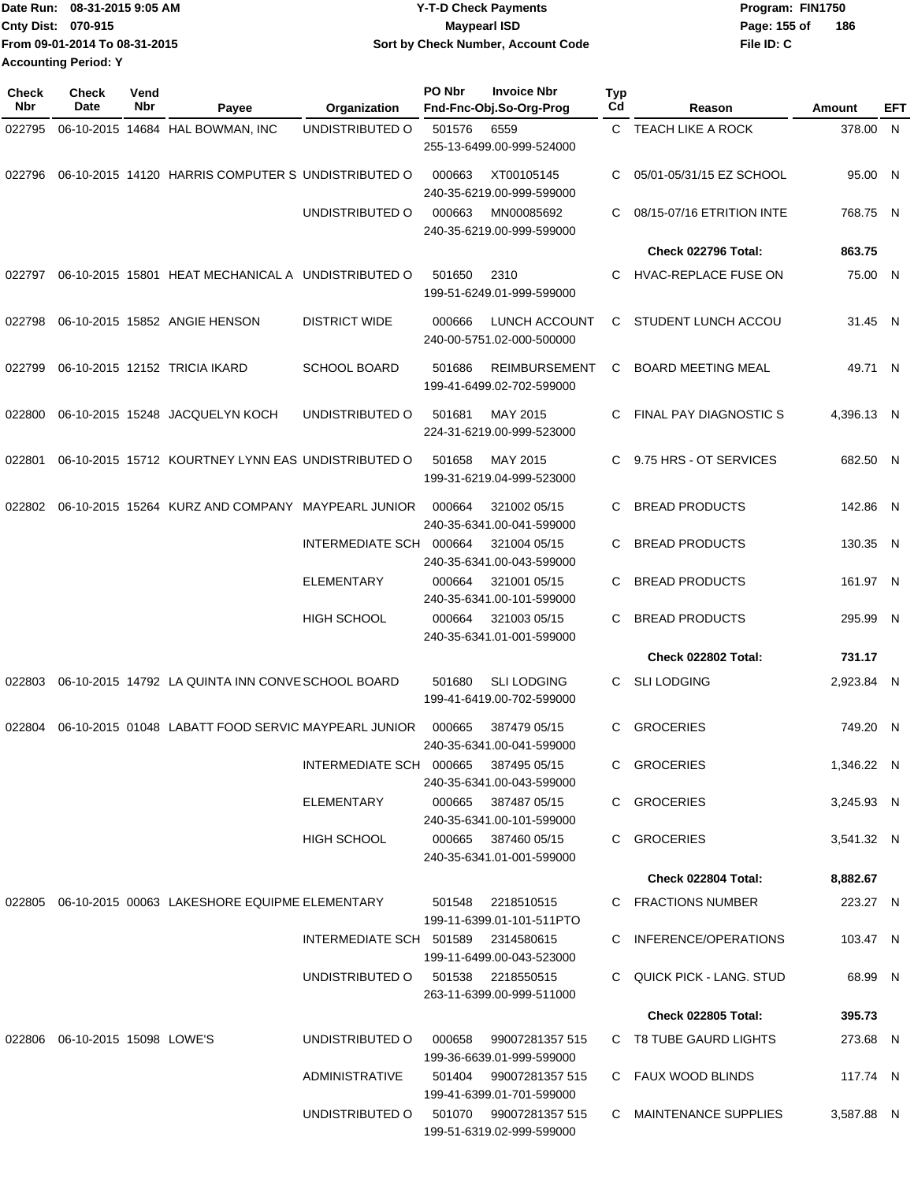| Date Run: 08-31-2015 9:05 AM  | <b>Y-T-D Check Payments</b>        | Program: FIN1750    |
|-------------------------------|------------------------------------|---------------------|
| <b>Cnty Dist: 070-915</b>     | <b>Mavpearl ISD</b>                | 186<br>Page: 155 of |
| From 09-01-2014 To 08-31-2015 | Sort by Check Number, Account Code | File ID: C          |
| <b>Accounting Period: Y</b>   |                                    |                     |

**Check**

| Check<br>Nbr | <b>Check</b><br>Date              | Vend<br>Nbr | Payee                                                | Organization                       | PO Nbr | <b>Invoice Nbr</b><br>Fnd-Fnc-Obj.So-Org-Prog                                 | <b>Typ</b><br>Cd | Reason                     | Amount     | EFT |
|--------------|-----------------------------------|-------------|------------------------------------------------------|------------------------------------|--------|-------------------------------------------------------------------------------|------------------|----------------------------|------------|-----|
| 022795       |                                   |             | 06-10-2015 14684 HAL BOWMAN, INC                     | UNDISTRIBUTED O                    | 501576 | 6559<br>255-13-6499.00-999-524000                                             |                  | C TEACH LIKE A ROCK        | 378.00 N   |     |
| 022796       |                                   |             | 06-10-2015 14120 HARRIS COMPUTER S UNDISTRIBUTED O   |                                    | 000663 | XT00105145<br>240-35-6219.00-999-599000                                       | C                | 05/01-05/31/15 EZ SCHOOL   | 95.00 N    |     |
|              |                                   |             |                                                      | UNDISTRIBUTED O                    | 000663 | MN00085692<br>240-35-6219.00-999-599000                                       | C                | 08/15-07/16 ETRITION INTE  | 768.75 N   |     |
|              |                                   |             |                                                      |                                    |        |                                                                               |                  | Check 022796 Total:        | 863.75     |     |
| 022797       |                                   |             | 06-10-2015 15801 HEAT MECHANICAL A UNDISTRIBUTED O   |                                    | 501650 | 2310<br>199-51-6249.01-999-599000                                             | C.               | HVAC-REPLACE FUSE ON       | 75.00 N    |     |
| 022798       |                                   |             | 06-10-2015 15852 ANGIE HENSON                        | <b>DISTRICT WIDE</b>               | 000666 | LUNCH ACCOUNT<br>240-00-5751.02-000-500000                                    | C.               | STUDENT LUNCH ACCOU        | 31.45 N    |     |
| 022799       |                                   |             | 06-10-2015 12152 TRICIA IKARD                        | <b>SCHOOL BOARD</b>                | 501686 | <b>REIMBURSEMENT</b><br>199-41-6499.02-702-599000                             | C                | <b>BOARD MEETING MEAL</b>  | 49.71 N    |     |
| 022800       |                                   |             | 06-10-2015 15248 JACQUELYN KOCH                      | UNDISTRIBUTED O                    | 501681 | MAY 2015<br>224-31-6219.00-999-523000                                         | C.               | FINAL PAY DIAGNOSTIC S     | 4,396.13 N |     |
| 022801       |                                   |             | 06-10-2015 15712 KOURTNEY LYNN EAS UNDISTRIBUTED O   |                                    | 501658 | MAY 2015<br>199-31-6219.04-999-523000                                         | C.               | 9.75 HRS - OT SERVICES     | 682.50 N   |     |
| 022802       |                                   |             | 06-10-2015 15264 KURZ AND COMPANY MAYPEARL JUNIOR    |                                    | 000664 | 321002 05/15<br>240-35-6341.00-041-599000                                     | C                | <b>BREAD PRODUCTS</b>      | 142.86 N   |     |
|              |                                   |             |                                                      | INTERMEDIATE SCH 000664            |        | 321004 05/15<br>240-35-6341.00-043-599000                                     | C                | <b>BREAD PRODUCTS</b>      | 130.35 N   |     |
|              |                                   |             |                                                      | <b>ELEMENTARY</b>                  | 000664 | 321001 05/15<br>240-35-6341.00-101-599000                                     | C                | <b>BREAD PRODUCTS</b>      | 161.97 N   |     |
|              |                                   |             |                                                      | HIGH SCHOOL                        | 000664 | 321003 05/15<br>240-35-6341.01-001-599000                                     | C.               | <b>BREAD PRODUCTS</b>      | 295.99 N   |     |
|              |                                   |             |                                                      |                                    |        |                                                                               |                  | Check 022802 Total:        | 731.17     |     |
| 022803       |                                   |             | 06-10-2015 14792 LA QUINTA INN CONVE SCHOOL BOARD    |                                    | 501680 | <b>SLI LODGING</b><br>199-41-6419.00-702-599000                               | C.               | <b>SLI LODGING</b>         | 2,923.84 N |     |
| 022804       |                                   |             | 06-10-2015 01048 LABATT FOOD SERVIC MAYPEARL JUNIOR  |                                    | 000665 | 387479 05/15<br>240-35-6341.00-041-599000                                     | C.               | <b>GROCERIES</b>           | 749.20 N   |     |
|              |                                   |             |                                                      | INTERMEDIATE SCH 000665            |        | 387495 05/15                                                                  |                  | C GROCERIES                | 1,346.22 N |     |
|              |                                   |             |                                                      | ELEMENTARY                         |        | 240-35-6341.00-043-599000<br>000665 387487 05/15<br>240-35-6341.00-101-599000 |                  | C GROCERIES                | 3,245.93 N |     |
|              |                                   |             |                                                      | <b>HIGH SCHOOL</b>                 |        | 000665 387460 05/15<br>240-35-6341.01-001-599000                              |                  | C GROCERIES                | 3,541.32 N |     |
|              |                                   |             |                                                      |                                    |        |                                                                               |                  | Check 022804 Total:        | 8,882.67   |     |
|              |                                   |             | 022805 06-10-2015 00063 LAKESHORE EQUIPME ELEMENTARY |                                    | 501548 | 2218510515<br>199-11-6399.01-101-511PTO                                       |                  | C FRACTIONS NUMBER         | 223.27 N   |     |
|              |                                   |             |                                                      | INTERMEDIATE SCH 501589 2314580615 |        | 199-11-6499.00-043-523000                                                     |                  | C INFERENCE/OPERATIONS     | 103.47 N   |     |
|              |                                   |             |                                                      | UNDISTRIBUTED O 501538 2218550515  |        | 263-11-6399.00-999-511000                                                     |                  | C QUICK PICK - LANG. STUD  | 68.99 N    |     |
|              |                                   |             |                                                      |                                    |        |                                                                               |                  | <b>Check 022805 Total:</b> | 395.73     |     |
|              | 022806  06-10-2015  15098  LOWE'S |             |                                                      | UNDISTRIBUTED O                    | 000658 | 99007281357 515<br>199-36-6639.01-999-599000                                  |                  | C T8 TUBE GAURD LIGHTS     | 273.68 N   |     |
|              |                                   |             |                                                      | ADMINISTRATIVE                     |        | 501404 99007281357 515<br>199-41-6399.01-701-599000                           |                  | C FAUX WOOD BLINDS         | 117.74 N   |     |
|              |                                   |             |                                                      | UNDISTRIBUTED O                    |        | 501070 99007281357 515<br>199-51-6319.02-999-599000                           |                  | C MAINTENANCE SUPPLIES     | 3,587.88 N |     |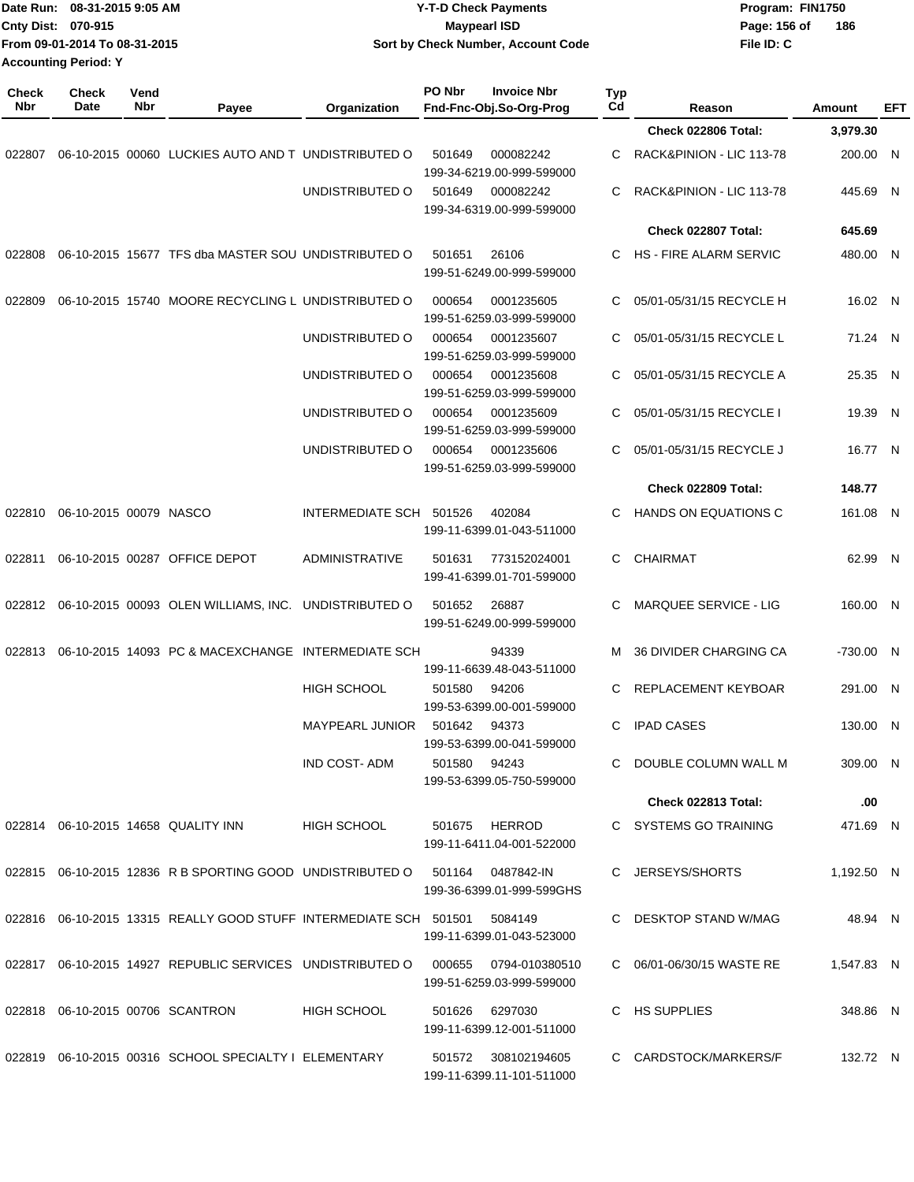|                     | Date Run: 08-31-2015 9:05 AM<br>Cnty Dist: 070-915<br>From 09-01-2014 To 08-31-2015<br><b>Accounting Period: Y</b> |             |                                                                                 | <b>Y-T-D Check Payments</b><br><b>Maypearl ISD</b><br>Sort by Check Number, Account Code |              |                                                  |           |                               | Program: FIN1750<br>Page: 156 of<br>File ID: C | 186        |            |
|---------------------|--------------------------------------------------------------------------------------------------------------------|-------------|---------------------------------------------------------------------------------|------------------------------------------------------------------------------------------|--------------|--------------------------------------------------|-----------|-------------------------------|------------------------------------------------|------------|------------|
| <b>Check</b><br>Nbr | Check<br>Date                                                                                                      | Vend<br>Nbr | Payee                                                                           | Organization                                                                             | PO Nbr       | <b>Invoice Nbr</b><br>Fnd-Fnc-Obj.So-Org-Prog    | Typ<br>Cd | Reason                        |                                                | Amount     | <b>EFT</b> |
|                     |                                                                                                                    |             |                                                                                 |                                                                                          |              |                                                  |           | Check 022806 Total:           |                                                | 3,979.30   |            |
| 022807              |                                                                                                                    |             | 06-10-2015 00060 LUCKIES AUTO AND T UNDISTRIBUTED O                             |                                                                                          | 501649       | 000082242<br>199-34-6219.00-999-599000           | С         | RACK&PINION - LIC 113-78      |                                                | 200.00 N   |            |
|                     |                                                                                                                    |             |                                                                                 | UNDISTRIBUTED O                                                                          | 501649       | 000082242<br>199-34-6319.00-999-599000           | C         | RACK&PINION - LIC 113-78      |                                                | 445.69 N   |            |
|                     |                                                                                                                    |             |                                                                                 |                                                                                          |              |                                                  |           | Check 022807 Total:           |                                                | 645.69     |            |
| 022808              |                                                                                                                    |             | 06-10-2015 15677 TFS dba MASTER SOU UNDISTRIBUTED O                             |                                                                                          | 501651       | 26106<br>199-51-6249.00-999-599000               | С         | <b>HS - FIRE ALARM SERVIC</b> |                                                | 480.00 N   |            |
| 022809              |                                                                                                                    |             | 06-10-2015 15740 MOORE RECYCLING L UNDISTRIBUTED O                              |                                                                                          | 000654       | 0001235605<br>199-51-6259.03-999-599000          | C         | 05/01-05/31/15 RECYCLE H      |                                                | 16.02 N    |            |
|                     |                                                                                                                    |             |                                                                                 | UNDISTRIBUTED O                                                                          | 000654       | 0001235607<br>199-51-6259.03-999-599000          | C         | 05/01-05/31/15 RECYCLE L      |                                                | 71.24 N    |            |
|                     |                                                                                                                    |             |                                                                                 | UNDISTRIBUTED O                                                                          | 000654       | 0001235608<br>199-51-6259.03-999-599000          | C         | 05/01-05/31/15 RECYCLE A      |                                                | 25.35 N    |            |
|                     |                                                                                                                    |             |                                                                                 | UNDISTRIBUTED O                                                                          | 000654       | 0001235609<br>199-51-6259.03-999-599000          | C         | 05/01-05/31/15 RECYCLE I      |                                                | 19.39      | - N        |
|                     |                                                                                                                    |             |                                                                                 | UNDISTRIBUTED O                                                                          | 000654       | 0001235606<br>199-51-6259.03-999-599000          | С         | 05/01-05/31/15 RECYCLE J      |                                                | 16.77 N    |            |
|                     |                                                                                                                    |             |                                                                                 |                                                                                          |              |                                                  |           | Check 022809 Total:           |                                                | 148.77     |            |
| 022810              | 06-10-2015 00079 NASCO                                                                                             |             |                                                                                 | INTERMEDIATE SCH 501526                                                                  |              | 402084<br>199-11-6399.01-043-511000              | C         | HANDS ON EQUATIONS C          |                                                | 161.08 N   |            |
| 022811              |                                                                                                                    |             | 06-10-2015 00287 OFFICE DEPOT                                                   | <b>ADMINISTRATIVE</b>                                                                    | 501631       | 773152024001<br>199-41-6399.01-701-599000        | С         | CHAIRMAT                      |                                                | 62.99 N    |            |
|                     |                                                                                                                    |             | 022812 06-10-2015 00093 OLEN WILLIAMS, INC.                                     | UNDISTRIBUTED O                                                                          | 501652       | 26887<br>199-51-6249.00-999-599000               |           | <b>MARQUEE SERVICE - LIG</b>  |                                                | 160.00 N   |            |
| 022813              |                                                                                                                    |             | 06-10-2015 14093 PC & MACEXCHANGE INTERMEDIATE SCH                              |                                                                                          |              | 94339<br>199-11-6639.48-043-511000               | M         | <b>36 DIVIDER CHARGING CA</b> |                                                | -730.00 N  |            |
|                     |                                                                                                                    |             |                                                                                 | HIGH SCHOOL                                                                              | 501580 94206 | 199-53-6399.00-001-599000                        |           | C REPLACEMENT KEYBOAR         |                                                | 291.00 N   |            |
|                     |                                                                                                                    |             |                                                                                 | MAYPEARL JUNIOR 501642 94373                                                             |              | 199-53-6399.00-041-599000                        |           | C IPAD CASES                  |                                                | 130.00 N   |            |
|                     |                                                                                                                    |             |                                                                                 | IND COST-ADM                                                                             | 501580 94243 | 199-53-6399.05-750-599000                        |           | C DOUBLE COLUMN WALL M        |                                                | 309.00 N   |            |
|                     |                                                                                                                    |             |                                                                                 |                                                                                          |              |                                                  |           | Check 022813 Total:           |                                                | .00        |            |
|                     |                                                                                                                    |             | 022814 06-10-2015 14658 QUALITY INN                                             | HIGH SCHOOL                                                                              |              | 501675 HERROD<br>199-11-6411.04-001-522000       |           | C SYSTEMS GO TRAINING         |                                                | 471.69 N   |            |
|                     |                                                                                                                    |             | 022815 06-10-2015 12836 R B SPORTING GOOD UNDISTRIBUTED O 501164 0487842-IN     |                                                                                          |              | 199-36-6399.01-999-599GHS                        |           | C JERSEYS/SHORTS              |                                                | 1,192.50 N |            |
|                     |                                                                                                                    |             | 022816  06-10-2015  13315  REALLY GOOD STUFF INTERMEDIATE SCH  501501  5084149  |                                                                                          |              | 199-11-6399.01-043-523000                        |           | C DESKTOP STAND W/MAG         |                                                | 48.94 N    |            |
|                     |                                                                                                                    |             | 022817 06-10-2015 14927 REPUBLIC SERVICES UNDISTRIBUTED O 000655 0794-010380510 |                                                                                          |              | 199-51-6259.03-999-599000                        |           | C 06/01-06/30/15 WASTE RE     |                                                | 1,547.83 N |            |
|                     |                                                                                                                    |             | 022818  06-10-2015  00706  SCANTRON                                             | HIGH SCHOOL                                                                              |              | 501626 6297030<br>199-11-6399.12-001-511000      |           | C HS SUPPLIES                 |                                                | 348.86 N   |            |
|                     |                                                                                                                    |             | 022819 06-10-2015 00316 SCHOOL SPECIALTY I ELEMENTARY                           |                                                                                          |              | 501572 308102194605<br>199-11-6399.11-101-511000 |           | C CARDSTOCK/MARKERS/F         |                                                | 132.72 N   |            |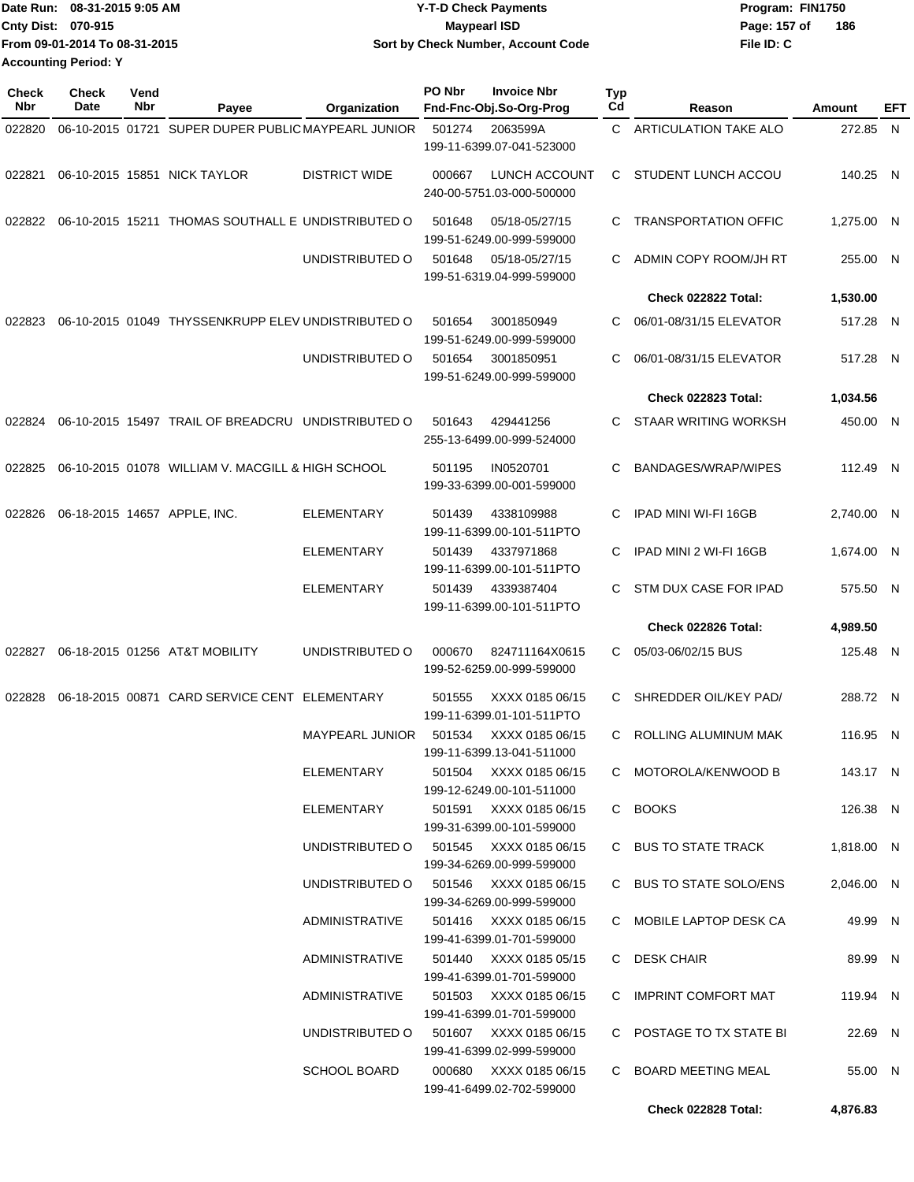|                             | IDate Run: 08-31-2015 9:05 AM | Y-T-D Check Payments               | Program: FIN1750      |
|-----------------------------|-------------------------------|------------------------------------|-----------------------|
| <b>Cnty Dist: 070-915</b>   |                               | Maypearl ISD                       | - 186<br>Page: 157 of |
|                             | From 09-01-2014 To 08-31-2015 | Sort by Check Number, Account Code | File ID: C            |
| <b>Accounting Period: Y</b> |                               |                                    |                       |

| <b>Check</b><br>Nbr | <b>Check</b><br>Date | Vend<br>Nbr | Payee                                               | Organization                                                    | PO Nbr | <b>Invoice Nbr</b><br>Fnd-Fnc-Obj.So-Org-Prog       | Typ<br>Cd | Reason                                             | Amount                | EFT |
|---------------------|----------------------|-------------|-----------------------------------------------------|-----------------------------------------------------------------|--------|-----------------------------------------------------|-----------|----------------------------------------------------|-----------------------|-----|
| 022820              |                      |             | 06-10-2015 01721 SUPER DUPER PUBLIC MAYPEARL JUNIOR |                                                                 | 501274 | 2063599A                                            |           | C ARTICULATION TAKE ALO                            | 272.85 N              |     |
|                     |                      |             |                                                     |                                                                 |        | 199-11-6399.07-041-523000                           |           |                                                    |                       |     |
| 022821              |                      |             | 06-10-2015 15851 NICK TAYLOR                        | <b>DISTRICT WIDE</b>                                            | 000667 | LUNCH ACCOUNT<br>240-00-5751.03-000-500000          |           | C STUDENT LUNCH ACCOU                              | 140.25 N              |     |
| 022822              |                      |             | 06-10-2015 15211 THOMAS SOUTHALL E UNDISTRIBUTED O  |                                                                 | 501648 | 05/18-05/27/15<br>199-51-6249.00-999-599000         | C         | <b>TRANSPORTATION OFFIC</b>                        | 1,275.00 N            |     |
|                     |                      |             |                                                     | UNDISTRIBUTED O                                                 | 501648 | 05/18-05/27/15<br>199-51-6319.04-999-599000         | C.        | ADMIN COPY ROOM/JH RT                              | 255.00 N              |     |
|                     |                      |             |                                                     |                                                                 |        |                                                     |           | Check 022822 Total:                                | 1,530.00              |     |
| 022823              |                      |             | 06-10-2015 01049 THYSSENKRUPP ELEV UNDISTRIBUTED O  |                                                                 | 501654 | 3001850949<br>199-51-6249.00-999-599000             | C.        | 06/01-08/31/15 ELEVATOR                            | 517.28 N              |     |
|                     |                      |             |                                                     | UNDISTRIBUTED O                                                 | 501654 | 3001850951<br>199-51-6249.00-999-599000             | C         | 06/01-08/31/15 ELEVATOR                            | 517.28 N              |     |
|                     |                      |             |                                                     |                                                                 |        |                                                     |           | <b>Check 022823 Total:</b>                         | 1,034.56              |     |
| 022824              |                      |             | 06-10-2015 15497 TRAIL OF BREADCRU UNDISTRIBUTED O  |                                                                 | 501643 | 429441256<br>255-13-6499.00-999-524000              | C.        | STAAR WRITING WORKSH                               | 450.00 N              |     |
| 022825              |                      |             | 06-10-2015 01078 WILLIAM V. MACGILL & HIGH SCHOOL   |                                                                 | 501195 | IN0520701<br>199-33-6399.00-001-599000              | C         | BANDAGES/WRAP/WIPES                                | 112.49 N              |     |
| 022826              |                      |             | 06-18-2015 14657 APPLE, INC.                        | <b>ELEMENTARY</b>                                               | 501439 | 4338109988<br>199-11-6399.00-101-511PTO             | C         | IPAD MINI WI-FI 16GB                               | 2,740.00 N            |     |
|                     |                      |             |                                                     | <b>ELEMENTARY</b>                                               | 501439 | 4337971868<br>199-11-6399.00-101-511PTO             | C.        | IPAD MINI 2 WI-FI 16GB                             | 1,674.00 N            |     |
|                     |                      |             |                                                     | <b>ELEMENTARY</b>                                               | 501439 | 4339387404<br>199-11-6399.00-101-511PTO             | C.        | STM DUX CASE FOR IPAD                              | 575.50 N              |     |
|                     |                      |             |                                                     |                                                                 |        |                                                     |           | Check 022826 Total:                                | 4,989.50              |     |
| 022827              |                      |             | 06-18-2015 01256 AT&T MOBILITY                      | UNDISTRIBUTED O                                                 | 000670 | 824711164X0615<br>199-52-6259.00-999-599000         | C.        | 05/03-06/02/15 BUS                                 | 125.48 N              |     |
| 022828              |                      |             | 06-18-2015 00871 CARD SERVICE CENT ELEMENTARY       |                                                                 | 501555 | XXXX 0185 06/15<br>199-11-6399.01-101-511PTO        | C.        | SHREDDER OIL/KEY PAD/                              | 288.72 N              |     |
|                     |                      |             |                                                     | MAYPEARL JUNIOR                                                 | 501534 | XXXX 0185 06/15<br>199-11-6399.13-041-511000        | C.        | ROLLING ALUMINUM MAK                               | 116.95 N              |     |
|                     |                      |             |                                                     | ELEMENTARY                                                      |        | 501504 XXXX 0185 06/15<br>199-12-6249.00-101-511000 |           | C MOTOROLA/KENWOOD B                               | 143.17 N              |     |
|                     |                      |             |                                                     | ELEMENTARY                                                      |        | 501591 XXXX 0185 06/15<br>199-31-6399.00-101-599000 |           | C BOOKS                                            | 126.38 N              |     |
|                     |                      |             |                                                     | UNDISTRIBUTED O 501545 XXXX 0185 06/15                          |        | 199-34-6269.00-999-599000                           |           | C BUS TO STATE TRACK                               | 1,818.00 N            |     |
|                     |                      |             |                                                     | UNDISTRIBUTED O 501546 XXXX 0185 06/15<br><b>ADMINISTRATIVE</b> |        | 199-34-6269.00-999-599000<br>501416 XXXX 0185 06/15 |           | C BUS TO STATE SOLO/ENS<br>C MOBILE LAPTOP DESK CA | 2,046.00 N<br>49.99 N |     |
|                     |                      |             |                                                     |                                                                 |        | 199-41-6399.01-701-599000                           |           |                                                    |                       |     |
|                     |                      |             |                                                     | ADMINISTRATIVE                                                  |        | 501440 XXXX 0185 05/15<br>199-41-6399.01-701-599000 |           | C DESK CHAIR                                       | 89.99 N               |     |
|                     |                      |             |                                                     | ADMINISTRATIVE                                                  |        | 501503 XXXX 0185 06/15<br>199-41-6399.01-701-599000 |           | C IMPRINT COMFORT MAT                              | 119.94 N              |     |
|                     |                      |             |                                                     | UNDISTRIBUTED O 501607 XXXX 0185 06/15                          |        | 199-41-6399.02-999-599000                           |           | C POSTAGE TO TX STATE BI                           | 22.69 N               |     |
|                     |                      |             |                                                     | <b>SCHOOL BOARD</b>                                             |        | 000680 XXXX 0185 06/15<br>199-41-6499.02-702-599000 |           | C BOARD MEETING MEAL                               | 55.00 N               |     |
|                     |                      |             |                                                     |                                                                 |        |                                                     |           | Check 022828 Total:                                | 4,876.83              |     |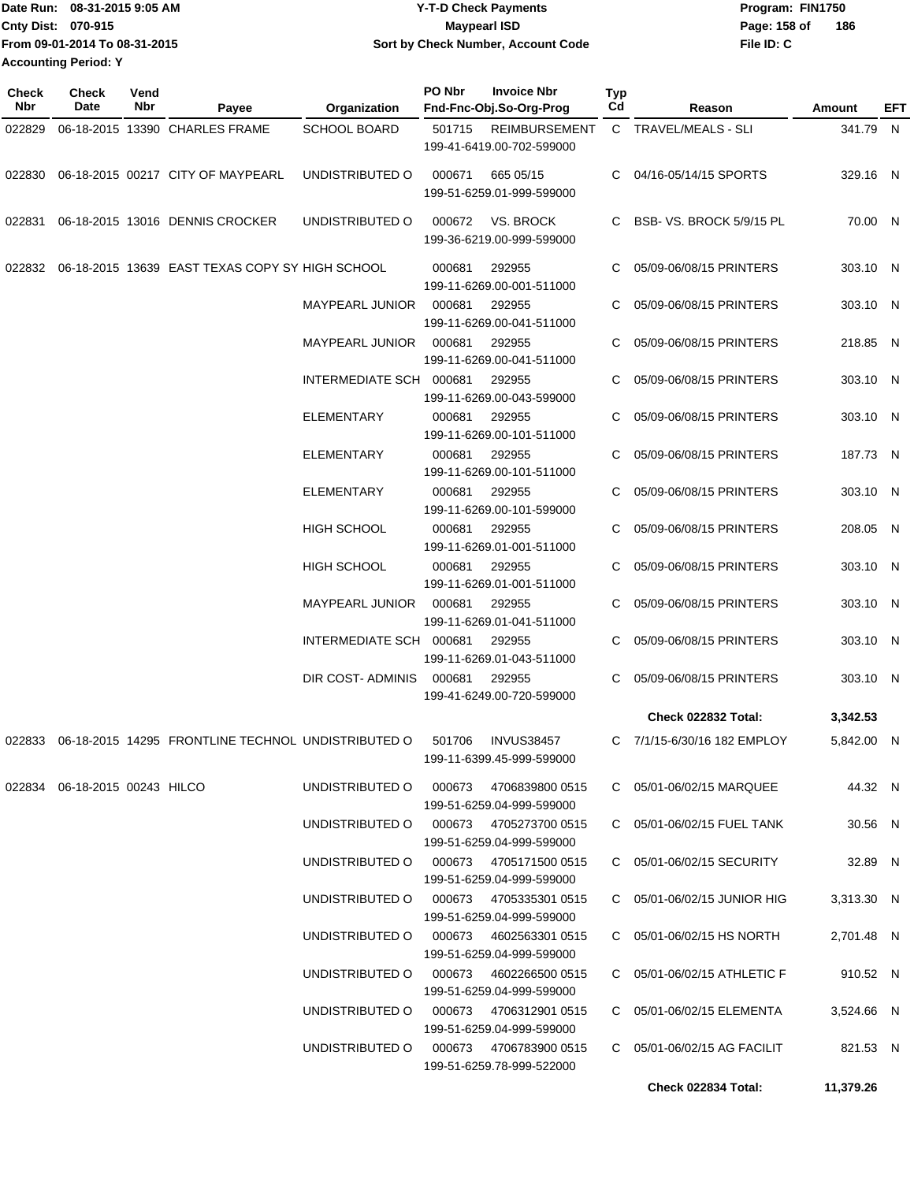| Date Run: 08-31-2015 9:05 AM  | <b>Y-T-D Check Payments</b>        | Program: FIN1750 |     |
|-------------------------------|------------------------------------|------------------|-----|
| <b>Cnty Dist: 070-915</b>     | Maypearl ISD                       | Page: 158 of     | 186 |
| From 09-01-2014 To 08-31-2015 | Sort by Check Number, Account Code | File ID: C       |     |
| <b>Accounting Period: Y</b>   |                                    |                  |     |

| Check<br>Nbr | <b>Check</b><br>Date          | Vend<br>Nbr | Payee                                              | <b>Organization</b>                    | PO Nbr | <b>Invoice Nbr</b><br>Fnd-Fnc-Obj.So-Org-Prog       | Typ<br>Cd | Reason                      | Amount     | EFT |
|--------------|-------------------------------|-------------|----------------------------------------------------|----------------------------------------|--------|-----------------------------------------------------|-----------|-----------------------------|------------|-----|
| 022829       |                               |             | 06-18-2015 13390 CHARLES FRAME                     | <b>SCHOOL BOARD</b>                    | 501715 | <b>REIMBURSEMENT</b>                                |           | C TRAVEL/MEALS - SLI        | 341.79 N   |     |
|              |                               |             |                                                    |                                        |        | 199-41-6419.00-702-599000                           |           |                             |            |     |
| 022830       |                               |             | 06-18-2015 00217 CITY OF MAYPEARL                  | UNDISTRIBUTED O                        | 000671 | 665 05/15<br>199-51-6259.01-999-599000              | C.        | 04/16-05/14/15 SPORTS       | 329.16 N   |     |
| 022831       |                               |             | 06-18-2015 13016 DENNIS CROCKER                    | UNDISTRIBUTED O                        | 000672 | VS. BROCK<br>199-36-6219.00-999-599000              | C.        | BSB-VS. BROCK 5/9/15 PL     | 70.00 N    |     |
| 022832       |                               |             | 06-18-2015 13639 EAST TEXAS COPY SY HIGH SCHOOL    |                                        | 000681 | 292955<br>199-11-6269.00-001-511000                 | C.        | 05/09-06/08/15 PRINTERS     | 303.10 N   |     |
|              |                               |             |                                                    | <b>MAYPEARL JUNIOR</b>                 | 000681 | 292955<br>199-11-6269.00-041-511000                 |           | 05/09-06/08/15 PRINTERS     | 303.10 N   |     |
|              |                               |             |                                                    | <b>MAYPEARL JUNIOR</b>                 | 000681 | 292955<br>199-11-6269.00-041-511000                 | C.        | 05/09-06/08/15 PRINTERS     | 218.85 N   |     |
|              |                               |             |                                                    | INTERMEDIATE SCH 000681                |        | 292955<br>199-11-6269.00-043-599000                 | C         | 05/09-06/08/15 PRINTERS     | 303.10 N   |     |
|              |                               |             |                                                    | <b>ELEMENTARY</b>                      | 000681 | 292955<br>199-11-6269.00-101-511000                 |           | 05/09-06/08/15 PRINTERS     | 303.10 N   |     |
|              |                               |             |                                                    | <b>ELEMENTARY</b>                      | 000681 | 292955<br>199-11-6269.00-101-511000                 | C.        | 05/09-06/08/15 PRINTERS     | 187.73 N   |     |
|              |                               |             |                                                    | <b>ELEMENTARY</b>                      | 000681 | 292955<br>199-11-6269.00-101-599000                 |           | 05/09-06/08/15 PRINTERS     | 303.10 N   |     |
|              |                               |             |                                                    | <b>HIGH SCHOOL</b>                     | 000681 | 292955<br>199-11-6269.01-001-511000                 |           | 05/09-06/08/15 PRINTERS     | 208.05 N   |     |
|              |                               |             |                                                    | <b>HIGH SCHOOL</b>                     | 000681 | 292955<br>199-11-6269.01-001-511000                 | C.        | 05/09-06/08/15 PRINTERS     | 303.10 N   |     |
|              |                               |             |                                                    | MAYPEARL JUNIOR                        | 000681 | 292955<br>199-11-6269.01-041-511000                 |           | 05/09-06/08/15 PRINTERS     | 303.10 N   |     |
|              |                               |             |                                                    | INTERMEDIATE SCH 000681                |        | 292955<br>199-11-6269.01-043-511000                 |           | 05/09-06/08/15 PRINTERS     | 303.10 N   |     |
|              |                               |             |                                                    | DIR COST- ADMINIS                      | 000681 | 292955<br>199-41-6249.00-720-599000                 | C.        | 05/09-06/08/15 PRINTERS     | 303.10 N   |     |
|              |                               |             |                                                    |                                        |        |                                                     |           | Check 022832 Total:         | 3,342.53   |     |
| 022833       |                               |             | 06-18-2015 14295 FRONTLINE TECHNOL UNDISTRIBUTED O |                                        | 501706 | <b>INVUS38457</b><br>199-11-6399.45-999-599000      |           | C 7/1/15-6/30/16 182 EMPLOY | 5,842.00 N |     |
|              | 022834 06-18-2015 00243 HILCO |             |                                                    | UNDISTRIBUTED O                        | 000673 | 4706839800 0515<br>199-51-6259.04-999-599000        |           | C 05/01-06/02/15 MARQUEE    | 44.32 N    |     |
|              |                               |             |                                                    | UNDISTRIBUTED O                        |        | 000673 4705273700 0515<br>199-51-6259.04-999-599000 |           | C 05/01-06/02/15 FUEL TANK  | 30.56 N    |     |
|              |                               |             |                                                    | UNDISTRIBUTED O 000673 4705171500 0515 |        | 199-51-6259.04-999-599000                           |           | C 05/01-06/02/15 SECURITY   | 32.89 N    |     |
|              |                               |             |                                                    | UNDISTRIBUTED O 000673 4705335301 0515 |        | 199-51-6259.04-999-599000                           |           | C 05/01-06/02/15 JUNIOR HIG | 3,313.30 N |     |
|              |                               |             |                                                    | UNDISTRIBUTED O 000673 4602563301 0515 |        | 199-51-6259.04-999-599000                           |           | C 05/01-06/02/15 HS NORTH   | 2,701.48 N |     |
|              |                               |             |                                                    | UNDISTRIBUTED O 000673 4602266500 0515 |        | 199-51-6259.04-999-599000                           |           | C 05/01-06/02/15 ATHLETIC F | 910.52 N   |     |
|              |                               |             |                                                    | UNDISTRIBUTED O                        |        | 000673 4706312901 0515<br>199-51-6259.04-999-599000 |           | C 05/01-06/02/15 ELEMENTA   | 3,524.66 N |     |
|              |                               |             |                                                    | UNDISTRIBUTED O                        |        | 000673 4706783900 0515<br>199-51-6259.78-999-522000 |           | C 05/01-06/02/15 AG FACILIT | 821.53 N   |     |
|              |                               |             |                                                    |                                        |        |                                                     |           | Check 022834 Total:         | 11,379.26  |     |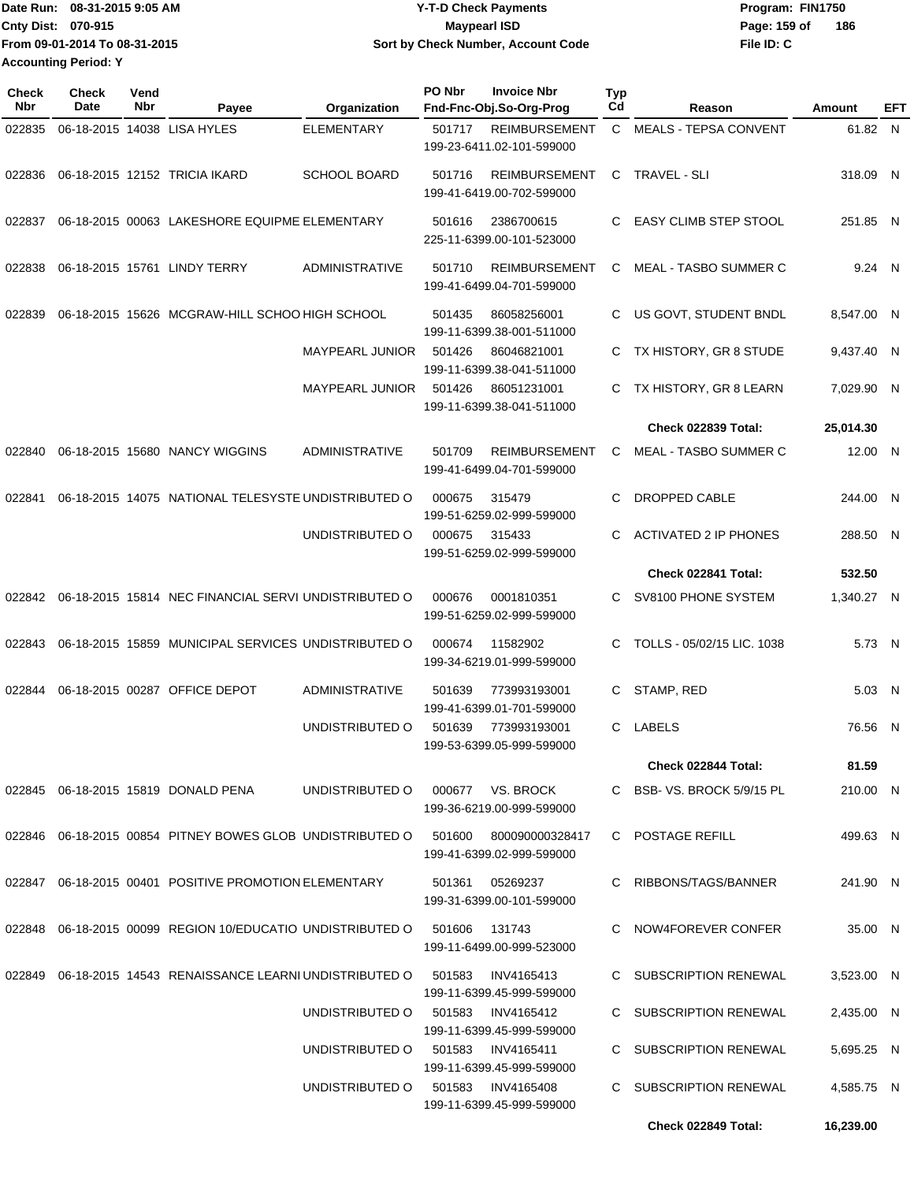| IDate Run: 08-31-2015 9:05 AM | <b>Y-T-D Check Payments</b>        | Program: FIN1750    |
|-------------------------------|------------------------------------|---------------------|
| <b>Cnty Dist: 070-915</b>     | <b>Maypearl ISD</b>                | 186<br>Page: 159 of |
| From 09-01-2014 To 08-31-2015 | Sort by Check Number, Account Code | File ID: C          |
| <b>Accounting Period: Y</b>   |                                    |                     |

| <b>Check</b><br>Nbr | <b>Check</b><br>Date | Vend<br>Nbr | Payee                                                        | Organization                      | PO Nbr | <b>Invoice Nbr</b><br>Fnd-Fnc-Obj.So-Org-Prog     | Typ<br>Cd | Reason                       | Amount     | EFT |
|---------------------|----------------------|-------------|--------------------------------------------------------------|-----------------------------------|--------|---------------------------------------------------|-----------|------------------------------|------------|-----|
| 022835              |                      |             | 06-18-2015 14038 LISA HYLES                                  | <b>ELEMENTARY</b>                 | 501717 | <b>REIMBURSEMENT</b><br>199-23-6411.02-101-599000 |           | C MEALS - TEPSA CONVENT      | 61.82 N    |     |
| 022836              |                      |             | 06-18-2015 12152 TRICIA IKARD                                | <b>SCHOOL BOARD</b>               | 501716 | <b>REIMBURSEMENT</b><br>199-41-6419.00-702-599000 | C         | TRAVEL - SLI                 | 318.09 N   |     |
| 022837              |                      |             | 06-18-2015 00063 LAKESHORE EQUIPME ELEMENTARY                |                                   | 501616 | 2386700615<br>225-11-6399.00-101-523000           | C         | <b>EASY CLIMB STEP STOOL</b> | 251.85 N   |     |
| 022838              |                      |             | 06-18-2015 15761 LINDY TERRY                                 | ADMINISTRATIVE                    | 501710 | <b>REIMBURSEMENT</b><br>199-41-6499.04-701-599000 | C.        | MEAL - TASBO SUMMER C        | 9.24 N     |     |
| 022839              |                      |             | 06-18-2015 15626 MCGRAW-HILL SCHOO HIGH SCHOOL               |                                   | 501435 | 86058256001<br>199-11-6399.38-001-511000          | C.        | US GOVT, STUDENT BNDL        | 8,547.00 N |     |
|                     |                      |             |                                                              | <b>MAYPEARL JUNIOR</b>            | 501426 | 86046821001<br>199-11-6399.38-041-511000          | C         | TX HISTORY, GR 8 STUDE       | 9,437.40 N |     |
|                     |                      |             |                                                              | <b>MAYPEARL JUNIOR</b>            | 501426 | 86051231001<br>199-11-6399.38-041-511000          | C         | TX HISTORY, GR 8 LEARN       | 7,029.90 N |     |
|                     |                      |             |                                                              |                                   |        |                                                   |           | <b>Check 022839 Total:</b>   | 25,014.30  |     |
| 022840              |                      |             | 06-18-2015 15680 NANCY WIGGINS                               | <b>ADMINISTRATIVE</b>             | 501709 | <b>REIMBURSEMENT</b><br>199-41-6499.04-701-599000 | C.        | MEAL - TASBO SUMMER C        | 12.00 N    |     |
| 022841              |                      |             | 06-18-2015 14075 NATIONAL TELESYSTE UNDISTRIBUTED O          |                                   | 000675 | 315479<br>199-51-6259.02-999-599000               | C.        | DROPPED CABLE                | 244.00 N   |     |
|                     |                      |             |                                                              | UNDISTRIBUTED O                   | 000675 | 315433<br>199-51-6259.02-999-599000               | C.        | <b>ACTIVATED 2 IP PHONES</b> | 288.50 N   |     |
|                     |                      |             |                                                              |                                   |        |                                                   |           | Check 022841 Total:          | 532.50     |     |
| 022842              |                      |             | 06-18-2015 15814 NEC FINANCIAL SERVI UNDISTRIBUTED O         |                                   | 000676 | 0001810351<br>199-51-6259.02-999-599000           | C.        | SV8100 PHONE SYSTEM          | 1,340.27 N |     |
| 022843              |                      |             | 06-18-2015 15859 MUNICIPAL SERVICES UNDISTRIBUTED O          |                                   | 000674 | 11582902<br>199-34-6219.01-999-599000             | C         | TOLLS - 05/02/15 LIC. 1038   | 5.73 N     |     |
| 022844              |                      |             | 06-18-2015 00287 OFFICE DEPOT                                | <b>ADMINISTRATIVE</b>             | 501639 | 773993193001<br>199-41-6399.01-701-599000         | C         | STAMP, RED                   | 5.03 N     |     |
|                     |                      |             |                                                              | UNDISTRIBUTED O                   | 501639 | 773993193001<br>199-53-6399.05-999-599000         | C.        | <b>LABELS</b>                | 76.56 N    |     |
|                     |                      |             |                                                              |                                   |        |                                                   |           | Check 022844 Total:          | 81.59      |     |
|                     |                      |             | 022845 06-18-2015 15819 DONALD PENA                          | UNDISTRIBUTED O                   |        | 000677 VS. BROCK<br>199-36-6219.00-999-599000     |           | C BSB-VS. BROCK 5/9/15 PL    | 210.00 N   |     |
|                     |                      |             | 022846  06-18-2015  00854  PITNEY BOWES GLOB UNDISTRIBUTED O |                                   | 501600 | 800090000328417<br>199-41-6399.02-999-599000      |           | C POSTAGE REFILL             | 499.63 N   |     |
|                     |                      |             | 022847 06-18-2015 00401 POSITIVE PROMOTION ELEMENTARY        |                                   | 501361 | 05269237<br>199-31-6399.00-101-599000             |           | C RIBBONS/TAGS/BANNER        | 241.90 N   |     |
| 022848              |                      |             | 06-18-2015 00099 REGION 10/EDUCATIO UNDISTRIBUTED O          |                                   | 501606 | 131743<br>199-11-6499.00-999-523000               |           | C NOW4FOREVER CONFER         | 35.00 N    |     |
| 022849              |                      |             | 06-18-2015 14543 RENAISSANCE LEARNI UNDISTRIBUTED O 501583   |                                   |        | INV4165413<br>199-11-6399.45-999-599000           |           | C SUBSCRIPTION RENEWAL       | 3,523.00 N |     |
|                     |                      |             |                                                              | UNDISTRIBUTED O                   | 501583 | INV4165412<br>199-11-6399.45-999-599000           |           | C SUBSCRIPTION RENEWAL       | 2,435.00 N |     |
|                     |                      |             |                                                              | UNDISTRIBUTED O                   | 501583 | <b>INV4165411</b><br>199-11-6399.45-999-599000    |           | C SUBSCRIPTION RENEWAL       | 5,695.25 N |     |
|                     |                      |             |                                                              | UNDISTRIBUTED O 501583 INV4165408 |        | 199-11-6399.45-999-599000                         |           | C SUBSCRIPTION RENEWAL       | 4,585.75 N |     |
|                     |                      |             |                                                              |                                   |        |                                                   |           | Check 022849 Total:          | 16,239.00  |     |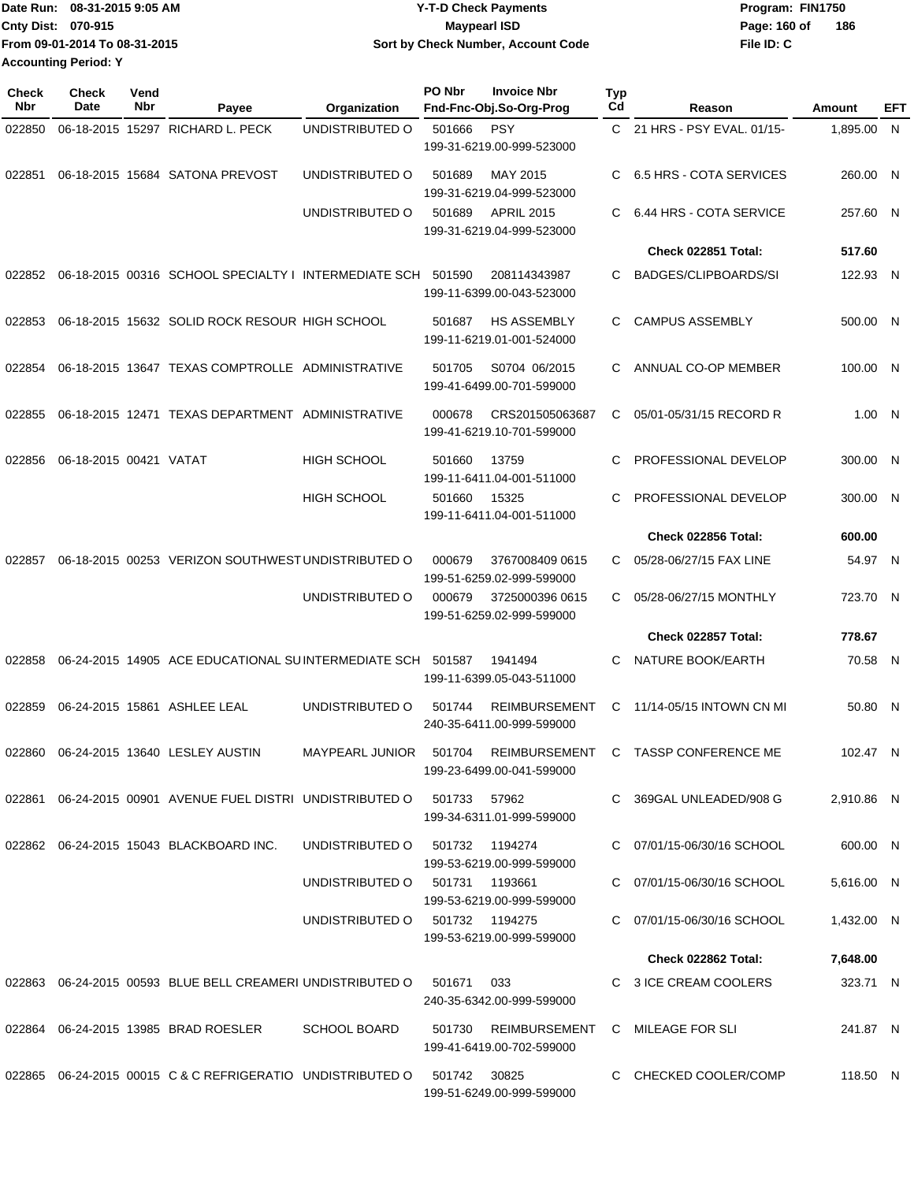| TDate Run: 08-31-2015 9:05 AM | <b>Y-T-D Check Payments</b>        | Program: FIN1750    |
|-------------------------------|------------------------------------|---------------------|
| <b>Cnty Dist: 070-915</b>     | <b>Maypearl ISD</b>                | 186<br>Page: 160 of |
| From 09-01-2014 To 08-31-2015 | Sort by Check Number, Account Code | File ID: C          |
| <b>Accounting Period: Y</b>   |                                    |                     |

| Check<br>Nbr | <b>Check</b><br>Date   | Vend<br>Nbr | Payee                                                          | Organization                   | PO Nbr | <b>Invoice Nbr</b><br>Fnd-Fnc-Obj.So-Org-Prog     | <b>Typ</b><br>Cd | Reason                         | Amount     | EFT |
|--------------|------------------------|-------------|----------------------------------------------------------------|--------------------------------|--------|---------------------------------------------------|------------------|--------------------------------|------------|-----|
| 022850       |                        |             | 06-18-2015 15297 RICHARD L. PECK                               | UNDISTRIBUTED O                | 501666 | <b>PSY</b>                                        |                  | C 21 HRS - PSY EVAL. 01/15-    | 1,895.00 N |     |
|              |                        |             |                                                                |                                |        | 199-31-6219.00-999-523000                         |                  |                                |            |     |
| 022851       |                        |             | 06-18-2015 15684 SATONA PREVOST                                | UNDISTRIBUTED O                | 501689 | MAY 2015<br>199-31-6219.04-999-523000             | C                | <b>6.5 HRS - COTA SERVICES</b> | 260.00 N   |     |
|              |                        |             |                                                                | UNDISTRIBUTED O                | 501689 | <b>APRIL 2015</b><br>199-31-6219.04-999-523000    | C                | 6.44 HRS - COTA SERVICE        | 257.60 N   |     |
|              |                        |             |                                                                |                                |        |                                                   |                  | Check 022851 Total:            | 517.60     |     |
| 022852       |                        |             | 06-18-2015 00316 SCHOOL SPECIALTY I INTERMEDIATE SCH           |                                | 501590 | 208114343987<br>199-11-6399.00-043-523000         | C                | BADGES/CLIPBOARDS/SI           | 122.93 N   |     |
| 022853       |                        |             | 06-18-2015 15632 SOLID ROCK RESOUR HIGH SCHOOL                 |                                | 501687 | <b>HS ASSEMBLY</b><br>199-11-6219.01-001-524000   | C.               | <b>CAMPUS ASSEMBLY</b>         | 500.00 N   |     |
| 022854       |                        |             | 06-18-2015 13647 TEXAS COMPTROLLE ADMINISTRATIVE               |                                | 501705 | S0704 06/2015<br>199-41-6499.00-701-599000        | C.               | ANNUAL CO-OP MEMBER            | 100.00 N   |     |
| 022855       |                        |             | 06-18-2015 12471 TEXAS DEPARTMENT ADMINISTRATIVE               |                                | 000678 | CRS201505063687<br>199-41-6219.10-701-599000      | C                | 05/01-05/31/15 RECORD R        | 1.00 N     |     |
| 022856       | 06-18-2015 00421 VATAT |             |                                                                | <b>HIGH SCHOOL</b>             | 501660 | 13759<br>199-11-6411.04-001-511000                | C                | PROFESSIONAL DEVELOP           | 300.00 N   |     |
|              |                        |             |                                                                | <b>HIGH SCHOOL</b>             | 501660 | 15325<br>199-11-6411.04-001-511000                | C                | PROFESSIONAL DEVELOP           | 300.00 N   |     |
|              |                        |             |                                                                |                                |        |                                                   |                  | Check 022856 Total:            | 600.00     |     |
| 022857       |                        |             | 06-18-2015 00253 VERIZON SOUTHWEST UNDISTRIBUTED O             |                                | 000679 | 3767008409 0615<br>199-51-6259.02-999-599000      | C                | 05/28-06/27/15 FAX LINE        | 54.97 N    |     |
|              |                        |             |                                                                | UNDISTRIBUTED O                | 000679 | 3725000396 0615<br>199-51-6259.02-999-599000      | C.               | 05/28-06/27/15 MONTHLY         | 723.70 N   |     |
|              |                        |             |                                                                |                                |        |                                                   |                  | Check 022857 Total:            | 778.67     |     |
| 022858       |                        |             | 06-24-2015 14905 ACE EDUCATIONAL SUINTERMEDIATE SCH            |                                | 501587 | 1941494<br>199-11-6399.05-043-511000              | C.               | NATURE BOOK/EARTH              | 70.58 N    |     |
| 022859       |                        |             | 06-24-2015 15861 ASHLEE LEAL                                   | UNDISTRIBUTED O                | 501744 | <b>REIMBURSEMENT</b><br>240-35-6411.00-999-599000 | C                | 11/14-05/15 INTOWN CN MI       | 50.80 N    |     |
| 022860       |                        |             | 06-24-2015 13640 LESLEY AUSTIN                                 | MAYPEARL JUNIOR                | 501704 | REIMBURSEMENT<br>199-23-6499.00-041-599000        |                  | C TASSP CONFERENCE ME          | 102.47 N   |     |
|              |                        |             | 022861 06-24-2015  00901   AVENUE FUEL DISTRI  UNDISTRIBUTED O |                                | 501733 | 57962<br>199-34-6311.01-999-599000                |                  | C 369GAL UNLEADED/908 G        | 2,910.86 N |     |
|              |                        |             | 022862 06-24-2015 15043 BLACKBOARD INC.                        | UNDISTRIBUTED O                | 501732 | 1194274<br>199-53-6219.00-999-599000              |                  | C 07/01/15-06/30/16 SCHOOL     | 600.00 N   |     |
|              |                        |             |                                                                | UNDISTRIBUTED O 501731 1193661 |        | 199-53-6219.00-999-599000                         |                  | C 07/01/15-06/30/16 SCHOOL     | 5,616.00 N |     |
|              |                        |             |                                                                | UNDISTRIBUTED 0 501732 1194275 |        | 199-53-6219.00-999-599000                         |                  | C 07/01/15-06/30/16 SCHOOL     | 1,432.00 N |     |
|              |                        |             |                                                                |                                |        |                                                   |                  | Check 022862 Total:            | 7,648.00   |     |
|              |                        |             | 022863 06-24-2015 00593 BLUE BELL CREAMERI UNDISTRIBUTED O     |                                | 501671 | 033<br>240-35-6342.00-999-599000                  |                  | C 3 ICE CREAM COOLERS          | 323.71 N   |     |
|              |                        |             | 022864 06-24-2015 13985 BRAD ROESLER                           | <b>SCHOOL BOARD</b>            | 501730 | REIMBURSEMENT<br>199-41-6419.00-702-599000        |                  | C MILEAGE FOR SLI              | 241.87 N   |     |
| 022865       |                        |             | 06-24-2015 00015 C & C REFRIGERATIO UNDISTRIBUTED O            |                                | 501742 | 30825<br>199-51-6249.00-999-599000                |                  | C CHECKED COOLER/COMP          | 118.50 N   |     |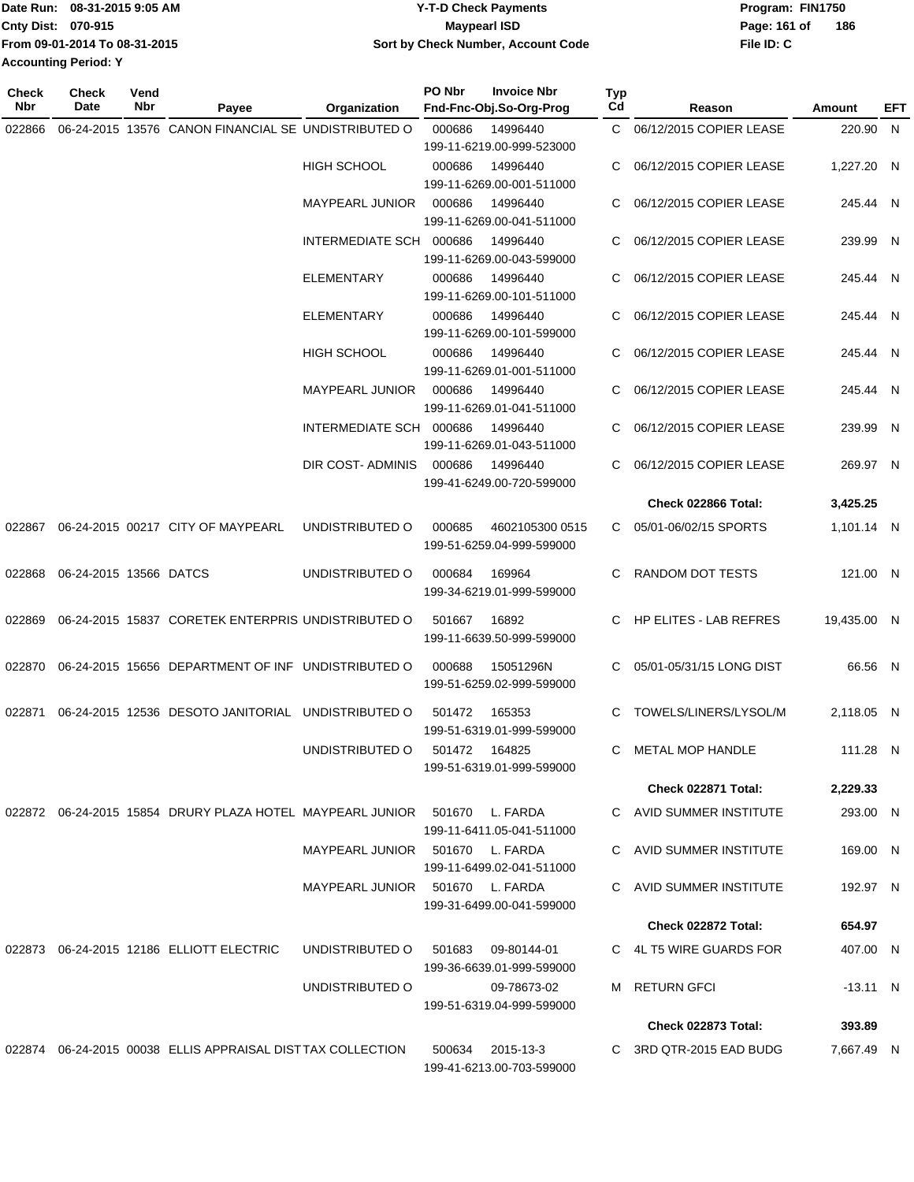| TDate Run: 08-31-2015 9:05 AM | <b>Y-T-D Check Payments</b>        | Program: FIN1750    |
|-------------------------------|------------------------------------|---------------------|
| <b>Cnty Dist: 070-915</b>     | <b>Mavpearl ISD</b>                | 186<br>Page: 161 of |
| From 09-01-2014 To 08-31-2015 | Sort by Check Number, Account Code | File ID: C          |
| <b>Accounting Period: Y</b>   |                                    |                     |

| <b>Check</b><br>Nbr | Check<br>Date          | Vend<br>Nbr | Payee                                                                     | Organization                       | PO Nbr        | <b>Invoice Nbr</b><br>Fnd-Fnc-Obj.So-Org-Prog | Typ<br>Cd    | Reason                     | Amount      | EFT |
|---------------------|------------------------|-------------|---------------------------------------------------------------------------|------------------------------------|---------------|-----------------------------------------------|--------------|----------------------------|-------------|-----|
| 022866              |                        |             | 06-24-2015 13576 CANON FINANCIAL SE UNDISTRIBUTED O                       |                                    | 000686        | 14996440                                      | $\mathbf{C}$ | 06/12/2015 COPIER LEASE    | 220.90 N    |     |
|                     |                        |             |                                                                           |                                    |               | 199-11-6219.00-999-523000                     |              |                            |             |     |
|                     |                        |             |                                                                           | <b>HIGH SCHOOL</b>                 | 000686        | 14996440                                      |              | 06/12/2015 COPIER LEASE    | 1,227.20 N  |     |
|                     |                        |             |                                                                           |                                    |               | 199-11-6269.00-001-511000                     |              |                            |             |     |
|                     |                        |             |                                                                           | <b>MAYPEARL JUNIOR</b>             | 000686        | 14996440<br>199-11-6269.00-041-511000         | C            | 06/12/2015 COPIER LEASE    | 245.44 N    |     |
|                     |                        |             |                                                                           | INTERMEDIATE SCH 000686            |               | 14996440                                      | C            | 06/12/2015 COPIER LEASE    | 239.99 N    |     |
|                     |                        |             |                                                                           |                                    |               | 199-11-6269.00-043-599000                     |              |                            |             |     |
|                     |                        |             |                                                                           | ELEMENTARY                         | 000686        | 14996440                                      |              | 06/12/2015 COPIER LEASE    | 245.44 N    |     |
|                     |                        |             |                                                                           |                                    |               | 199-11-6269.00-101-511000                     |              |                            |             |     |
|                     |                        |             |                                                                           | ELEMENTARY                         | 000686        | 14996440                                      | C.           | 06/12/2015 COPIER LEASE    | 245.44 N    |     |
|                     |                        |             |                                                                           |                                    |               | 199-11-6269.00-101-599000                     |              |                            |             |     |
|                     |                        |             |                                                                           | <b>HIGH SCHOOL</b>                 | 000686        | 14996440                                      | C.           | 06/12/2015 COPIER LEASE    | 245.44 N    |     |
|                     |                        |             |                                                                           | <b>MAYPEARL JUNIOR</b>             | 000686        | 199-11-6269.01-001-511000<br>14996440         | C.           | 06/12/2015 COPIER LEASE    | 245.44 N    |     |
|                     |                        |             |                                                                           |                                    |               | 199-11-6269.01-041-511000                     |              |                            |             |     |
|                     |                        |             |                                                                           | INTERMEDIATE SCH 000686            |               | 14996440                                      | C            | 06/12/2015 COPIER LEASE    | 239.99 N    |     |
|                     |                        |             |                                                                           |                                    |               | 199-11-6269.01-043-511000                     |              |                            |             |     |
|                     |                        |             |                                                                           | DIR COST- ADMINIS                  | 000686        | 14996440                                      | C.           | 06/12/2015 COPIER LEASE    | 269.97 N    |     |
|                     |                        |             |                                                                           |                                    |               | 199-41-6249.00-720-599000                     |              |                            |             |     |
|                     |                        |             |                                                                           |                                    |               |                                               |              | <b>Check 022866 Total:</b> | 3,425.25    |     |
| 022867              |                        |             | 06-24-2015 00217 CITY OF MAYPEARL                                         | UNDISTRIBUTED O                    | 000685        | 4602105300 0515<br>199-51-6259.04-999-599000  | C.           | 05/01-06/02/15 SPORTS      | 1,101.14 N  |     |
| 022868              | 06-24-2015 13566 DATCS |             |                                                                           | UNDISTRIBUTED O                    | 000684        | 169964                                        | C.           | RANDOM DOT TESTS           | 121.00 N    |     |
|                     |                        |             |                                                                           |                                    |               | 199-34-6219.01-999-599000                     |              |                            |             |     |
| 022869              |                        |             | 06-24-2015 15837 CORETEK ENTERPRIS UNDISTRIBUTED O                        |                                    | 501667        | 16892                                         |              | C HP ELITES - LAB REFRES   | 19,435.00 N |     |
|                     |                        |             |                                                                           |                                    |               | 199-11-6639.50-999-599000                     |              |                            |             |     |
| 022870              |                        |             | 06-24-2015 15656 DEPARTMENT OF INF UNDISTRIBUTED O                        |                                    | 000688        | 15051296N                                     | C.           | 05/01-05/31/15 LONG DIST   | 66.56 N     |     |
|                     |                        |             |                                                                           |                                    |               | 199-51-6259.02-999-599000                     |              |                            |             |     |
|                     |                        |             |                                                                           |                                    |               |                                               |              |                            |             |     |
| 022871              |                        |             | 06-24-2015 12536 DESOTO JANITORIAL UNDISTRIBUTED O                        |                                    | 501472        | 165353<br>199-51-6319.01-999-599000           | C            | TOWELS/LINERS/LYSOL/M      | 2,118.05 N  |     |
|                     |                        |             |                                                                           | UNDISTRIBUTED O                    | 501472 164825 |                                               |              | C METAL MOP HANDLE         | 111.28 N    |     |
|                     |                        |             |                                                                           |                                    |               | 199-51-6319.01-999-599000                     |              |                            |             |     |
|                     |                        |             |                                                                           |                                    |               |                                               |              | Check 022871 Total:        | 2,229.33    |     |
|                     |                        |             | 022872 06-24-2015 15854 DRURY PLAZA HOTEL MAYPEARL JUNIOR 501670 L. FARDA |                                    |               |                                               |              | C AVID SUMMER INSTITUTE    | 293.00 N    |     |
|                     |                        |             |                                                                           |                                    |               | 199-11-6411.05-041-511000                     |              |                            |             |     |
|                     |                        |             |                                                                           | MAYPEARL JUNIOR 501670 L. FARDA    |               |                                               |              | C AVID SUMMER INSTITUTE    | 169.00 N    |     |
|                     |                        |             |                                                                           |                                    |               | 199-11-6499.02-041-511000                     |              |                            |             |     |
|                     |                        |             |                                                                           | MAYPEARL JUNIOR 501670 L. FARDA    |               | 199-31-6499.00-041-599000                     |              | C AVID SUMMER INSTITUTE    | 192.97 N    |     |
|                     |                        |             |                                                                           |                                    |               |                                               |              | Check 022872 Total:        | 654.97      |     |
|                     |                        |             | 022873 06-24-2015 12186 ELLIOTT ELECTRIC                                  | UNDISTRIBUTED O 501683 09-80144-01 |               |                                               |              | C 4L T5 WIRE GUARDS FOR    | 407.00 N    |     |
|                     |                        |             |                                                                           |                                    |               | 199-36-6639.01-999-599000                     |              |                            |             |     |
|                     |                        |             |                                                                           | UNDISTRIBUTED O                    |               | 09-78673-02                                   |              | M RETURN GFCI              | $-13.11$ N  |     |
|                     |                        |             |                                                                           |                                    |               | 199-51-6319.04-999-599000                     |              |                            |             |     |
|                     |                        |             |                                                                           |                                    |               |                                               |              | Check 022873 Total:        | 393.89      |     |
|                     |                        |             | 022874 06-24-2015 00038 ELLIS APPRAISAL DISTTAX COLLECTION                |                                    |               | 500634 2015-13-3                              |              | C 3RD QTR-2015 EAD BUDG    | 7,667.49 N  |     |
|                     |                        |             |                                                                           |                                    |               | 199-41-6213.00-703-599000                     |              |                            |             |     |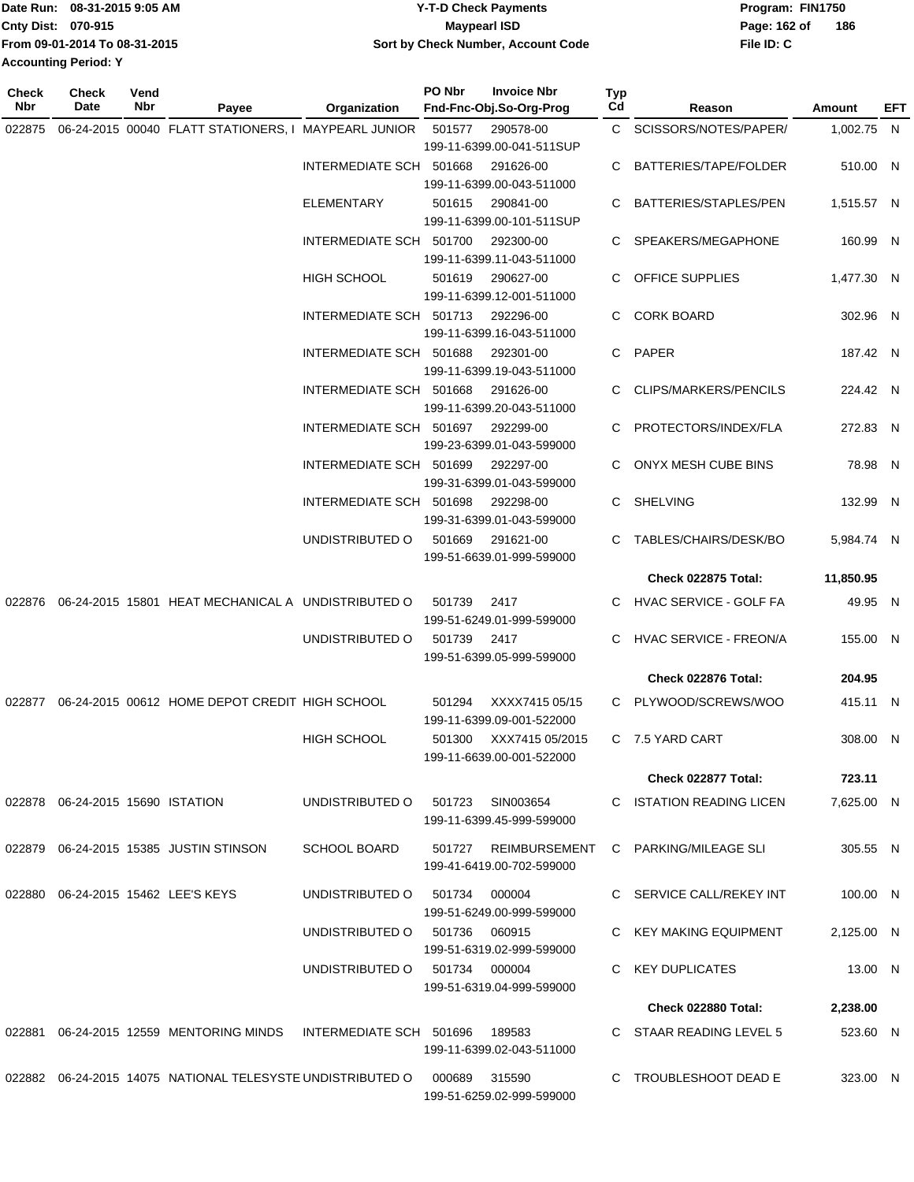| Date Run: 08-31-2015 9:05 AM |                               | <b>Y-T-D Check Payments</b>        | Program: FIN1750    |  |  |  |
|------------------------------|-------------------------------|------------------------------------|---------------------|--|--|--|
| <b>Cnty Dist: 070-915</b>    |                               | <b>Mavpearl ISD</b>                | 186<br>Page: 162 of |  |  |  |
|                              | From 09-01-2014 To 08-31-2015 | Sort by Check Number, Account Code | File ID: C          |  |  |  |
| <b>Accounting Period: Y</b>  |                               |                                    |                     |  |  |  |

**Typ**

**Check**

**Check**

| Nbr    | Date                                | Nbr | Payee                                                       | Organization                  | Fnd-Fnc-Obj.So-Org-Prog                                        | Cd | Reason                     | Amount     | EFT |
|--------|-------------------------------------|-----|-------------------------------------------------------------|-------------------------------|----------------------------------------------------------------|----|----------------------------|------------|-----|
| 022875 |                                     |     | 06-24-2015 00040 FLATT STATIONERS, I MAYPEARL JUNIOR 501577 |                               | 290578-00<br>199-11-6399.00-041-511SUP                         |    | C SCISSORS/NOTES/PAPER/    | 1,002.75 N |     |
|        |                                     |     |                                                             | INTERMEDIATE SCH 501668       | 291626-00<br>199-11-6399.00-043-511000                         |    | C BATTERIES/TAPE/FOLDER    | 510.00 N   |     |
|        |                                     |     |                                                             | ELEMENTARY                    | 501615<br>290841-00<br>199-11-6399.00-101-511SUP               |    | C BATTERIES/STAPLES/PEN    | 1,515.57 N |     |
|        |                                     |     |                                                             | INTERMEDIATE SCH 501700       | 292300-00<br>199-11-6399.11-043-511000                         |    | C SPEAKERS/MEGAPHONE       | 160.99 N   |     |
|        |                                     |     |                                                             | HIGH SCHOOL                   | 290627-00<br>501619<br>199-11-6399.12-001-511000               |    | C OFFICE SUPPLIES          | 1,477.30 N |     |
|        |                                     |     |                                                             |                               | INTERMEDIATE SCH 501713 292296-00<br>199-11-6399.16-043-511000 |    | C CORK BOARD               | 302.96 N   |     |
|        |                                     |     |                                                             | INTERMEDIATE SCH 501688       | 292301-00<br>199-11-6399.19-043-511000                         |    | C PAPER                    | 187.42 N   |     |
|        |                                     |     |                                                             | INTERMEDIATE SCH 501668       | 291626-00<br>199-11-6399.20-043-511000                         |    | C CLIPS/MARKERS/PENCILS    | 224.42 N   |     |
|        |                                     |     |                                                             | INTERMEDIATE SCH 501697       | 292299-00<br>199-23-6399.01-043-599000                         |    | C PROTECTORS/INDEX/FLA     | 272.83 N   |     |
|        |                                     |     |                                                             | INTERMEDIATE SCH 501699       | 292297-00<br>199-31-6399.01-043-599000                         |    | C ONYX MESH CUBE BINS      | 78.98 N    |     |
|        |                                     |     |                                                             | INTERMEDIATE SCH 501698       | 292298-00<br>199-31-6399.01-043-599000                         |    | C SHELVING                 | 132.99 N   |     |
|        |                                     |     |                                                             | UNDISTRIBUTED O               | 501669<br>291621-00<br>199-51-6639.01-999-599000               |    | C TABLES/CHAIRS/DESK/BO    | 5,984.74 N |     |
|        |                                     |     |                                                             |                               |                                                                |    | <b>Check 022875 Total:</b> | 11,850.95  |     |
|        |                                     |     | 022876 06-24-2015 15801 HEAT MECHANICAL A UNDISTRIBUTED O   |                               | 501739<br>2417<br>199-51-6249.01-999-599000                    |    | C HVAC SERVICE - GOLF FA   | 49.95 N    |     |
|        |                                     |     |                                                             | UNDISTRIBUTED O               | 501739 2417<br>199-51-6399.05-999-599000                       |    | C HVAC SERVICE - FREON/A   | 155.00 N   |     |
|        |                                     |     |                                                             |                               |                                                                |    | Check 022876 Total:        | 204.95     |     |
|        |                                     |     | 022877 06-24-2015 00612 HOME DEPOT CREDIT HIGH SCHOOL       |                               | XXXX7415 05/15<br>501294<br>199-11-6399.09-001-522000          |    | C PLYWOOD/SCREWS/WOO       | 415.11 N   |     |
|        |                                     |     |                                                             | <b>HIGH SCHOOL</b>            | XXX7415 05/2015<br>501300<br>199-11-6639.00-001-522000         |    | C 7.5 YARD CART            | 308.00 N   |     |
|        |                                     |     |                                                             |                               |                                                                |    | <b>Check 022877 Total:</b> | 723.11     |     |
|        | 022878  06-24-2015  15690  ISTATION |     |                                                             | UNDISTRIBUTED O               | 501723<br>SIN003654<br>199-11-6399.45-999-599000               |    | C ISTATION READING LICEN   | 7,625.00 N |     |
|        |                                     |     | 022879 06-24-2015 15385 JUSTIN STINSON                      | <b>SCHOOL BOARD</b>           | 501727 REIMBURSEMENT<br>199-41-6419.00-702-599000              |    | C PARKING/MILEAGE SLI      | 305.55 N   |     |
|        |                                     |     | 022880 06-24-2015 15462 LEE'S KEYS                          | UNDISTRIBUTED O               | 000004<br>501734<br>199-51-6249.00-999-599000                  |    | C SERVICE CALL/REKEY INT   | 100.00 N   |     |
|        |                                     |     |                                                             | UNDISTRIBUTED O 501736        | 060915<br>199-51-6319.02-999-599000                            |    | C KEY MAKING EQUIPMENT     | 2,125.00 N |     |
|        |                                     |     |                                                             | UNDISTRIBUTED O 501734 000004 | 199-51-6319.04-999-599000                                      |    | C KEY DUPLICATES           | 13.00 N    |     |
|        |                                     |     |                                                             |                               |                                                                |    | Check 022880 Total:        | 2,238.00   |     |
| 022881 |                                     |     | 06-24-2015 12559 MENTORING MINDS                            | INTERMEDIATE SCH 501696       | 189583<br>199-11-6399.02-043-511000                            |    | C STAAR READING LEVEL 5    | 523.60 N   |     |
|        |                                     |     | 022882 06-24-2015 14075 NATIONAL TELESYSTE UNDISTRIBUTED O  |                               | 315590<br>000689<br>199-51-6259.02-999-599000                  |    | C TROUBLESHOOT DEAD E      | 323.00 N   |     |
|        |                                     |     |                                                             |                               |                                                                |    |                            |            |     |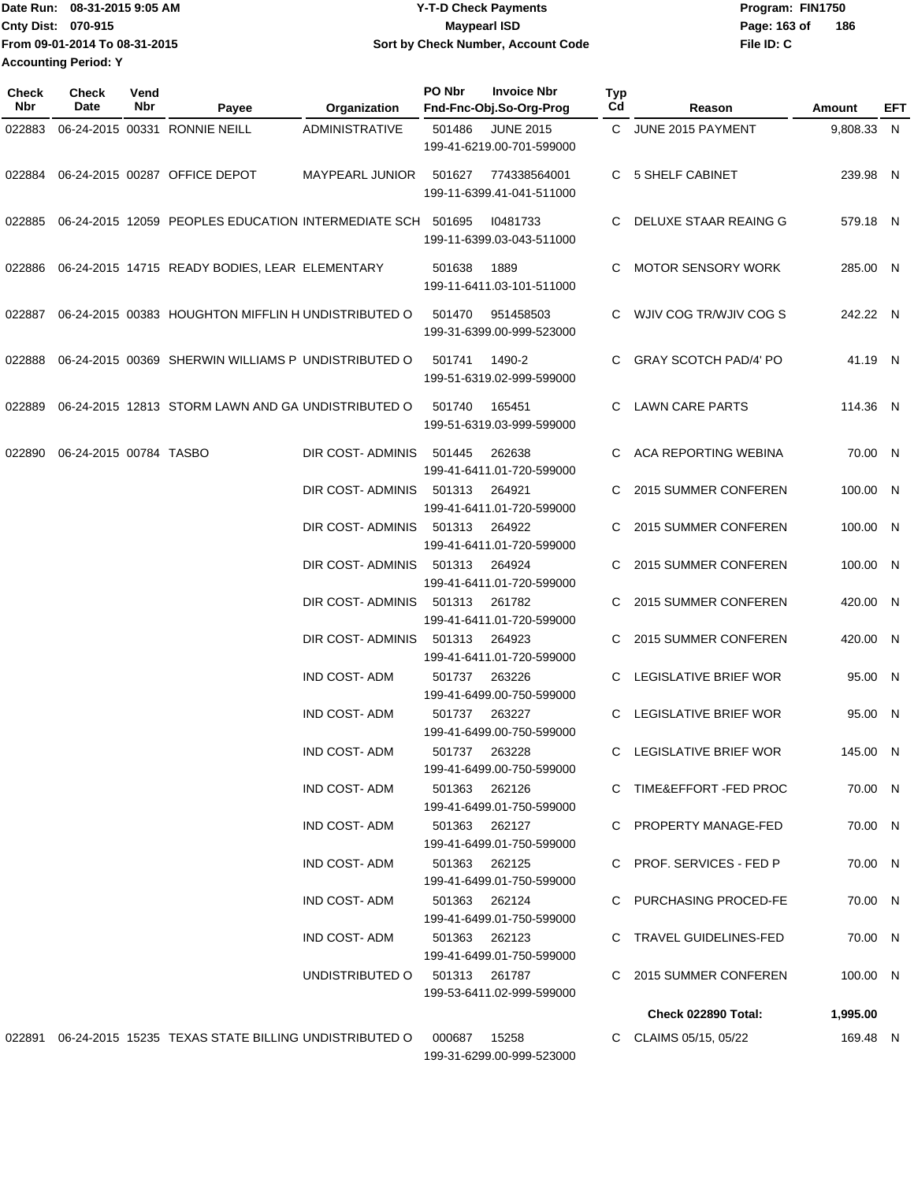Date Run: 08-31-2015 9:05 AM **Date Run:** 08-31-2015 9:05 AM **Cnty Dist:** 070-915 **Page:** 163 of **File ID: C From 09-01-2014 To 08-31-2015 08-31-2015 9:05 AM Y-T-D Check Payments 070-915 Maypearl ISD Sort by Check Number, Account Code 186 Accounting Period: Y**

| Check<br>Nbr | Check<br>Date          | Vend<br>Nbr | Payee                                                          | Organization           | PO Nbr        | <b>Invoice Nbr</b><br>Fnd-Fnc-Obj.So-Org-Prog | Typ<br>Cd | Reason                       | Amount     | EFT |
|--------------|------------------------|-------------|----------------------------------------------------------------|------------------------|---------------|-----------------------------------------------|-----------|------------------------------|------------|-----|
| 022883       |                        |             | 06-24-2015 00331 RONNIE NEILL                                  | <b>ADMINISTRATIVE</b>  | 501486        | <b>JUNE 2015</b><br>199-41-6219.00-701-599000 |           | C JUNE 2015 PAYMENT          | 9,808.33 N |     |
| 022884       |                        |             | 06-24-2015 00287 OFFICE DEPOT                                  | <b>MAYPEARL JUNIOR</b> | 501627        | 774338564001<br>199-11-6399.41-041-511000     |           | C 5 SHELF CABINET            | 239.98 N   |     |
| 022885       |                        |             | 06-24-2015 12059 PEOPLES EDUCATION INTERMEDIATE SCH 501695     |                        |               | 10481733<br>199-11-6399.03-043-511000         |           | C DELUXE STAAR REAING G      | 579.18 N   |     |
| 022886       |                        |             | 06-24-2015 14715 READY BODIES, LEAR ELEMENTARY                 |                        | 501638        | 1889<br>199-11-6411.03-101-511000             | C.        | MOTOR SENSORY WORK           | 285.00 N   |     |
| 022887       |                        |             | 06-24-2015 00383 HOUGHTON MIFFLIN H UNDISTRIBUTED O            |                        | 501470        | 951458503<br>199-31-6399.00-999-523000        | C         | WJIV COG TR/WJIV COG S       | 242.22 N   |     |
| 022888       |                        |             | 06-24-2015 00369 SHERWIN WILLIAMS P UNDISTRIBUTED O            |                        | 501741        | 1490-2<br>199-51-6319.02-999-599000           | C.        | <b>GRAY SCOTCH PAD/4' PO</b> | 41.19 N    |     |
| 022889       |                        |             | 06-24-2015 12813 STORM LAWN AND GA UNDISTRIBUTED O             |                        | 501740        | 165451<br>199-51-6319.03-999-599000           |           | C LAWN CARE PARTS            | 114.36 N   |     |
| 022890       | 06-24-2015 00784 TASBO |             |                                                                | DIR COST-ADMINIS       | 501445        | 262638<br>199-41-6411.01-720-599000           | C         | ACA REPORTING WEBINA         | 70.00 N    |     |
|              |                        |             |                                                                | DIR COST- ADMINIS      | 501313        | 264921<br>199-41-6411.01-720-599000           | C         | 2015 SUMMER CONFEREN         | 100.00 N   |     |
|              |                        |             |                                                                | DIR COST-ADMINIS       | 501313        | 264922<br>199-41-6411.01-720-599000           |           | 2015 SUMMER CONFEREN         | 100.00 N   |     |
|              |                        |             |                                                                | DIR COST-ADMINIS       | 501313        | 264924<br>199-41-6411.01-720-599000           | C         | 2015 SUMMER CONFEREN         | 100.00 N   |     |
|              |                        |             |                                                                | DIR COST-ADMINIS       | 501313        | 261782<br>199-41-6411.01-720-599000           | C.        | 2015 SUMMER CONFEREN         | 420.00 N   |     |
|              |                        |             |                                                                | DIR COST- ADMINIS      | 501313        | 264923<br>199-41-6411.01-720-599000           |           | 2015 SUMMER CONFEREN         | 420.00 N   |     |
|              |                        |             |                                                                | <b>IND COST-ADM</b>    | 501737        | 263226<br>199-41-6499.00-750-599000           |           | LEGISLATIVE BRIEF WOR        | 95.00 N    |     |
|              |                        |             |                                                                | <b>IND COST-ADM</b>    | 501737        | 263227<br>199-41-6499.00-750-599000           |           | C LEGISLATIVE BRIEF WOR      | 95.00 N    |     |
|              |                        |             |                                                                | <b>IND COST-ADM</b>    | 501737        | 263228<br>199-41-6499.00-750-599000           |           | C LEGISLATIVE BRIEF WOR      | 145.00 N   |     |
|              |                        |             |                                                                | IND COST- ADM          |               | 501363 262126<br>199-41-6499.01-750-599000    |           | C TIME&EFFORT-FED PROC       | 70.00 N    |     |
|              |                        |             |                                                                | IND COST- ADM          |               | 501363 262127<br>199-41-6499.01-750-599000    |           | C PROPERTY MANAGE-FED        | 70.00 N    |     |
|              |                        |             |                                                                | IND COST- ADM          | 501363 262125 | 199-41-6499.01-750-599000                     |           | C PROF. SERVICES - FED P     | 70.00 N    |     |
|              |                        |             |                                                                | IND COST-ADM           | 501363 262124 | 199-41-6499.01-750-599000                     |           | C PURCHASING PROCED-FE       | 70.00 N    |     |
|              |                        |             |                                                                | IND COST-ADM           |               | 501363 262123<br>199-41-6499.01-750-599000    |           | C TRAVEL GUIDELINES-FED      | 70.00 N    |     |
|              |                        |             |                                                                | UNDISTRIBUTED O        | 501313 261787 | 199-53-6411.02-999-599000                     |           | C 2015 SUMMER CONFEREN       | 100.00 N   |     |
|              |                        |             |                                                                |                        |               |                                               |           | Check 022890 Total:          | 1,995.00   |     |
|              |                        |             | 022891  06-24-2015  15235  TEXAS STATE BILLING UNDISTRIBUTED O |                        | 000687        | 15258<br>199-31-6299.00-999-523000            |           | C CLAIMS 05/15, 05/22        | 169.48 N   |     |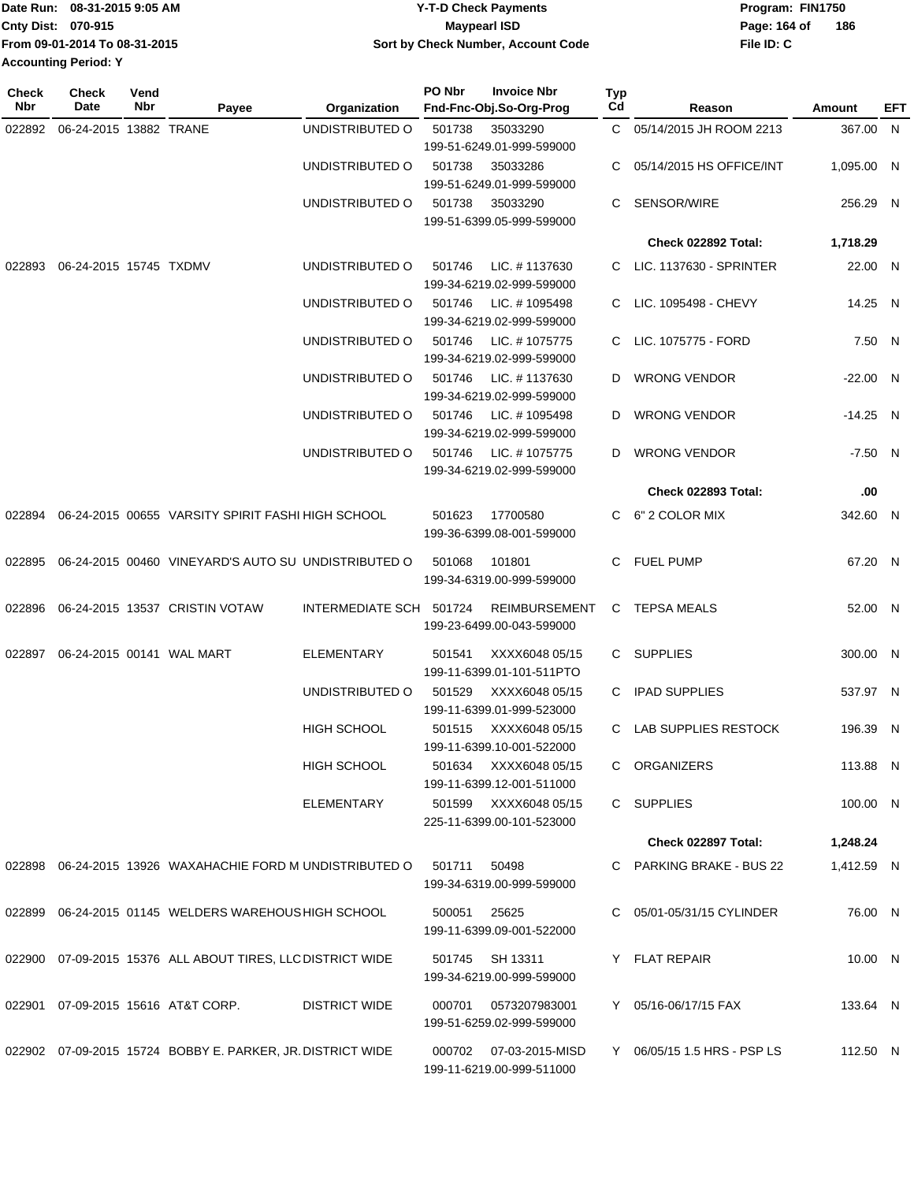| Date Run: 08-31-2015 9:05 AM  | <b>Y-T-D Check Payments</b>        | Program: FIN1750 |     |
|-------------------------------|------------------------------------|------------------|-----|
| Cnty Dist: 070-915            | Maypearl ISD                       | Page: 164 of     | 186 |
| From 09-01-2014 To 08-31-2015 | Sort by Check Number, Account Code | File ID: C       |     |
| <b>Accounting Period: Y</b>   |                                    |                  |     |

| Check<br>Nbr | <b>Check</b><br>Date   | Vend<br>Nbr | Payee                                                      | Organization            | PO Nbr | <b>Invoice Nbr</b><br>Fnd-Fnc-Obj.So-Org-Prog | <b>Typ</b><br>Cd | Reason                      | Amount     | EFT |
|--------------|------------------------|-------------|------------------------------------------------------------|-------------------------|--------|-----------------------------------------------|------------------|-----------------------------|------------|-----|
| 022892       | 06-24-2015 13882 TRANE |             |                                                            | UNDISTRIBUTED O         | 501738 | 35033290                                      | C.               | 05/14/2015 JH ROOM 2213     | 367.00 N   |     |
|              |                        |             |                                                            |                         |        | 199-51-6249.01-999-599000                     |                  |                             |            |     |
|              |                        |             |                                                            | UNDISTRIBUTED O         | 501738 | 35033286                                      | C                | 05/14/2015 HS OFFICE/INT    | 1,095.00 N |     |
|              |                        |             |                                                            |                         |        | 199-51-6249.01-999-599000                     |                  |                             |            |     |
|              |                        |             |                                                            | UNDISTRIBUTED O         | 501738 | 35033290                                      | C                | SENSOR/WIRE                 | 256.29 N   |     |
|              |                        |             |                                                            |                         |        | 199-51-6399.05-999-599000                     |                  |                             |            |     |
|              |                        |             |                                                            |                         |        |                                               |                  | Check 022892 Total:         | 1,718.29   |     |
|              | 06-24-2015 15745 TXDMV |             |                                                            | UNDISTRIBUTED O         |        | LIC. #1137630                                 |                  | C LIC. 1137630 - SPRINTER   | 22.00 N    |     |
| 022893       |                        |             |                                                            |                         | 501746 | 199-34-6219.02-999-599000                     |                  |                             |            |     |
|              |                        |             |                                                            | UNDISTRIBUTED O         | 501746 | LIC. #1095498                                 | C.               | LIC. 1095498 - CHEVY        | 14.25 N    |     |
|              |                        |             |                                                            |                         |        | 199-34-6219.02-999-599000                     |                  |                             |            |     |
|              |                        |             |                                                            | UNDISTRIBUTED O         | 501746 | LIC. #1075775                                 | C.               | LIC. 1075775 - FORD         | 7.50 N     |     |
|              |                        |             |                                                            |                         |        | 199-34-6219.02-999-599000                     |                  |                             |            |     |
|              |                        |             |                                                            | UNDISTRIBUTED O         | 501746 | LIC. #1137630                                 | D                | <b>WRONG VENDOR</b>         | $-22.00$ N |     |
|              |                        |             |                                                            |                         |        | 199-34-6219.02-999-599000                     |                  |                             |            |     |
|              |                        |             |                                                            | UNDISTRIBUTED O         | 501746 | LIC. #1095498                                 | D                | <b>WRONG VENDOR</b>         | $-14.25$ N |     |
|              |                        |             |                                                            |                         |        | 199-34-6219.02-999-599000                     |                  |                             |            |     |
|              |                        |             |                                                            | UNDISTRIBUTED O         | 501746 | LIC. #1075775                                 | D                | <b>WRONG VENDOR</b>         | $-7.50$ N  |     |
|              |                        |             |                                                            |                         |        | 199-34-6219.02-999-599000                     |                  |                             |            |     |
|              |                        |             |                                                            |                         |        |                                               |                  | <b>Check 022893 Total:</b>  | .00        |     |
|              |                        |             |                                                            |                         |        |                                               |                  |                             |            |     |
| 022894       |                        |             | 06-24-2015 00655 VARSITY SPIRIT FASHI HIGH SCHOOL          |                         | 501623 | 17700580                                      | C.               | 6" 2 COLOR MIX              | 342.60 N   |     |
|              |                        |             |                                                            |                         |        | 199-36-6399.08-001-599000                     |                  |                             |            |     |
| 022895       |                        |             | 06-24-2015 00460 VINEYARD'S AUTO SU UNDISTRIBUTED O        |                         | 501068 | 101801                                        | C.               | <b>FUEL PUMP</b>            | 67.20 N    |     |
|              |                        |             |                                                            |                         |        | 199-34-6319.00-999-599000                     |                  |                             |            |     |
|              |                        |             |                                                            |                         |        |                                               |                  |                             |            |     |
| 022896       |                        |             | 06-24-2015 13537 CRISTIN VOTAW                             | INTERMEDIATE SCH 501724 |        | <b>REIMBURSEMENT</b>                          | C                | <b>TEPSA MEALS</b>          | 52.00 N    |     |
|              |                        |             |                                                            |                         |        | 199-23-6499.00-043-599000                     |                  |                             |            |     |
| 022897       |                        |             | 06-24-2015 00141 WAL MART                                  | <b>ELEMENTARY</b>       | 501541 | XXXX6048 05/15                                | C.               | <b>SUPPLIES</b>             | 300.00 N   |     |
|              |                        |             |                                                            |                         |        | 199-11-6399.01-101-511PTO                     |                  |                             |            |     |
|              |                        |             |                                                            | UNDISTRIBUTED O         | 501529 | XXXX6048 05/15                                | C.               | <b>IPAD SUPPLIES</b>        | 537.97 N   |     |
|              |                        |             |                                                            |                         |        | 199-11-6399.01-999-523000                     |                  |                             |            |     |
|              |                        |             |                                                            | HIGH SCHOOL             | 501515 | XXXX6048 05/15                                |                  | C LAB SUPPLIES RESTOCK      | 196.39 N   |     |
|              |                        |             |                                                            |                         |        | 199-11-6399.10-001-522000                     |                  |                             |            |     |
|              |                        |             |                                                            | HIGH SCHOOL             | 501634 | XXXX6048 05/15                                |                  | C ORGANIZERS                | 113.88 N   |     |
|              |                        |             |                                                            |                         |        | 199-11-6399.12-001-511000                     |                  |                             |            |     |
|              |                        |             |                                                            | ELEMENTARY              |        | 501599 XXXX6048 05/15                         |                  | C SUPPLIES                  | 100.00 N   |     |
|              |                        |             |                                                            |                         |        | 225-11-6399.00-101-523000                     |                  |                             |            |     |
|              |                        |             |                                                            |                         |        |                                               |                  | Check 022897 Total:         | 1,248.24   |     |
|              |                        |             | 022898 06-24-2015 13926 WAXAHACHIE FORD M UNDISTRIBUTED O  |                         | 501711 | 50498                                         |                  | C PARKING BRAKE - BUS 22    | 1,412.59 N |     |
|              |                        |             |                                                            |                         |        | 199-34-6319.00-999-599000                     |                  |                             |            |     |
|              |                        |             |                                                            |                         |        |                                               |                  |                             |            |     |
|              |                        |             | 022899 06-24-2015 01145 WELDERS WAREHOUS HIGH SCHOOL       |                         | 500051 | 25625                                         |                  | C 05/01-05/31/15 CYLINDER   | 76.00 N    |     |
|              |                        |             |                                                            |                         |        | 199-11-6399.09-001-522000                     |                  |                             |            |     |
|              |                        |             | 022900 07-09-2015 15376 ALL ABOUT TIRES, LLC DISTRICT WIDE |                         |        | 501745 SH 13311                               |                  | Y FLAT REPAIR               | 10.00 N    |     |
|              |                        |             |                                                            |                         |        | 199-34-6219.00-999-599000                     |                  |                             |            |     |
| 022901       |                        |             | 07-09-2015 15616 AT&T CORP.                                | <b>DISTRICT WIDE</b>    | 000701 | 0573207983001                                 |                  | Y 05/16-06/17/15 FAX        | 133.64 N   |     |
|              |                        |             |                                                            |                         |        | 199-51-6259.02-999-599000                     |                  |                             |            |     |
|              |                        |             |                                                            |                         |        |                                               |                  |                             |            |     |
|              |                        |             | 022902 07-09-2015 15724 BOBBY E. PARKER, JR. DISTRICT WIDE |                         | 000702 | 07-03-2015-MISD                               |                  | Y 06/05/15 1.5 HRS - PSP LS | 112.50 N   |     |
|              |                        |             |                                                            |                         |        | 199-11-6219.00-999-511000                     |                  |                             |            |     |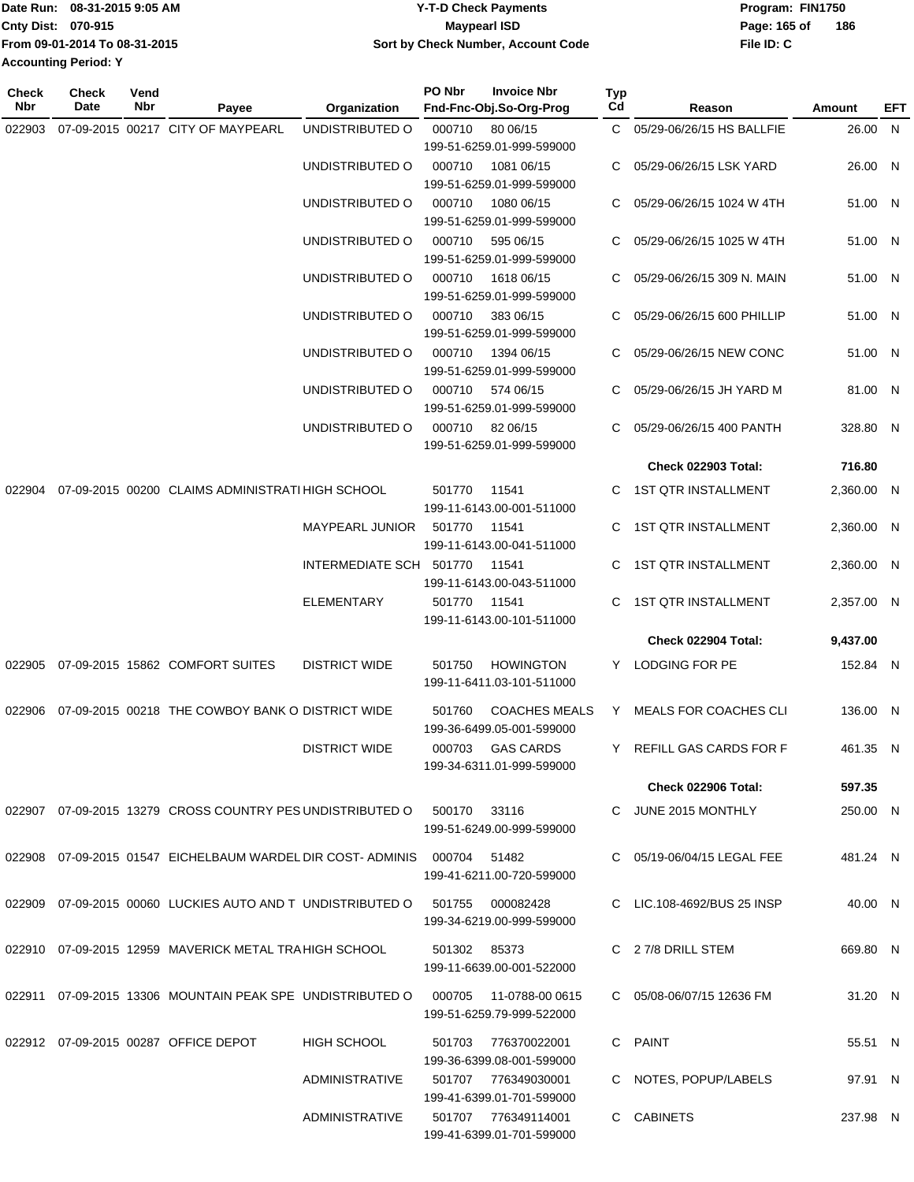|                             | Date Run: 08-31-2015 9:05 AM  | Y-T-D Check Payments               | Program: FIN1750    |
|-----------------------------|-------------------------------|------------------------------------|---------------------|
| <b>Cnty Dist: 070-915</b>   |                               | Maypearl ISD                       | 186<br>Page: 165 of |
|                             | From 09-01-2014 To 08-31-2015 | Sort by Check Number, Account Code | File ID: C          |
| <b>Accounting Period: Y</b> |                               |                                    |                     |
|                             |                               |                                    |                     |

**Typ**

**Check**

**Check**

| Nbr    | Date<br>Nbr                          | Payee                                                                         | Organization            | Fnd-Fnc-Obj.So-Org-Prog                                     | Cd | Reason                      | <b>Amount</b> | <b>EFT</b> |
|--------|--------------------------------------|-------------------------------------------------------------------------------|-------------------------|-------------------------------------------------------------|----|-----------------------------|---------------|------------|
| 022903 |                                      | 07-09-2015 00217 CITY OF MAYPEARL                                             | UNDISTRIBUTED O         | 000710 80 06/15<br>199-51-6259.01-999-599000                |    | C 05/29-06/26/15 HS BALLFIE | 26.00 N       |            |
|        |                                      |                                                                               | UNDISTRIBUTED O         | 000710<br>1081 06/15<br>199-51-6259.01-999-599000           |    | C 05/29-06/26/15 LSK YARD   | 26.00 N       |            |
|        |                                      |                                                                               | UNDISTRIBUTED O         | 000710<br>1080 06/15<br>199-51-6259.01-999-599000           |    | 05/29-06/26/15 1024 W 4TH   | 51.00 N       |            |
|        |                                      |                                                                               | UNDISTRIBUTED O         | 000710<br>595 06/15<br>199-51-6259.01-999-599000            |    | 05/29-06/26/15 1025 W 4TH   | 51.00 N       |            |
|        |                                      |                                                                               | UNDISTRIBUTED O         | 1618 06/15<br>000710<br>199-51-6259.01-999-599000           | C. | 05/29-06/26/15 309 N. MAIN  | 51.00 N       |            |
|        |                                      |                                                                               | UNDISTRIBUTED O         | 000710<br>383 06/15<br>199-51-6259.01-999-599000            |    | 05/29-06/26/15 600 PHILLIP  | 51.00 N       |            |
|        |                                      |                                                                               | UNDISTRIBUTED O         | 000710<br>1394 06/15<br>199-51-6259.01-999-599000           |    | C 05/29-06/26/15 NEW CONC   | 51.00 N       |            |
|        |                                      |                                                                               | UNDISTRIBUTED O         | 000710<br>574 06/15<br>199-51-6259.01-999-599000            |    | C 05/29-06/26/15 JH YARD M  | 81.00 N       |            |
|        |                                      |                                                                               | UNDISTRIBUTED O         | 000710 82 06/15<br>199-51-6259.01-999-599000                | C. | 05/29-06/26/15 400 PANTH    | 328.80 N      |            |
|        |                                      |                                                                               |                         |                                                             |    | <b>Check 022903 Total:</b>  | 716.80        |            |
| 022904 |                                      | 07-09-2015 00200 CLAIMS ADMINISTRATI HIGH SCHOOL                              |                         | 501770<br>11541<br>199-11-6143.00-001-511000                |    | C 1ST QTR INSTALLMENT       | 2,360.00 N    |            |
|        |                                      |                                                                               | MAYPEARL JUNIOR         | 501770<br>11541<br>199-11-6143.00-041-511000                |    | 1ST QTR INSTALLMENT         | 2,360.00 N    |            |
|        |                                      |                                                                               | INTERMEDIATE SCH 501770 | 11541<br>199-11-6143.00-043-511000                          |    | C 1ST QTR INSTALLMENT       | 2,360.00 N    |            |
|        |                                      |                                                                               | <b>ELEMENTARY</b>       | 501770 11541<br>199-11-6143.00-101-511000                   |    | C 1ST QTR INSTALLMENT       | 2,357.00 N    |            |
|        |                                      |                                                                               |                         |                                                             |    | Check 022904 Total:         | 9,437.00      |            |
|        |                                      | 022905 07-09-2015 15862 COMFORT SUITES                                        | <b>DISTRICT WIDE</b>    | 501750<br><b>HOWINGTON</b><br>199-11-6411.03-101-511000     |    | Y LODGING FOR PE            | 152.84 N      |            |
|        |                                      | 022906 07-09-2015 00218 THE COWBOY BANK O DISTRICT WIDE                       |                         | 501760<br><b>COACHES MEALS</b><br>199-36-6499.05-001-599000 |    | Y MEALS FOR COACHES CLI     | 136.00 N      |            |
|        |                                      |                                                                               | <b>DISTRICT WIDE</b>    | <b>GAS CARDS</b><br>000703<br>199-34-6311.01-999-599000     |    | Y REFILL GAS CARDS FOR F    | 461.35 N      |            |
|        |                                      |                                                                               |                         |                                                             |    | <b>Check 022906 Total:</b>  | 597.35        |            |
|        |                                      | 022907  07-09-2015  13279  CROSS COUNTRY PES UNDISTRIBUTED O                  |                         | 500170<br>- 33116<br>199-51-6249.00-999-599000              |    | C JUNE 2015 MONTHLY         | 250.00 N      |            |
|        |                                      | 022908  07-09-2015  01547  EICHELBAUM WARDEL DIR COST- ADMINIS  000704  51482 |                         | 199-41-6211.00-720-599000                                   |    | C 05/19-06/04/15 LEGAL FEE  | 481.24 N      |            |
|        |                                      | 022909 07-09-2015 00060 LUCKIES AUTO AND T UNDISTRIBUTED O                    |                         | 501755<br>000082428<br>199-34-6219.00-999-599000            |    | C LIC.108-4692/BUS 25 INSP  | 40.00 N       |            |
|        |                                      | 022910 07-09-2015 12959 MAVERICK METAL TRA HIGH SCHOOL                        |                         | 501302 85373<br>199-11-6639.00-001-522000                   |    | C 27/8 DRILL STEM           | 669.80 N      |            |
|        |                                      | 022911 07-09-2015 13306 MOUNTAIN PEAK SPE UNDISTRIBUTED O                     |                         | 000705<br>11-0788-00 0615<br>199-51-6259.79-999-522000      |    | C 05/08-06/07/15 12636 FM   | 31.20 N       |            |
|        | 022912 07-09-2015 00287 OFFICE DEPOT |                                                                               | <b>HIGH SCHOOL</b>      | 501703<br>776370022001<br>199-36-6399.08-001-599000         |    | C PAINT                     | 55.51 N       |            |
|        |                                      |                                                                               | ADMINISTRATIVE          | 501707 776349030001<br>199-41-6399.01-701-599000            |    | C NOTES, POPUP/LABELS       | 97.91 N       |            |
|        |                                      |                                                                               | <b>ADMINISTRATIVE</b>   | 501707 776349114001<br>199-41-6399.01-701-599000            |    | C CABINETS                  | 237.98 N      |            |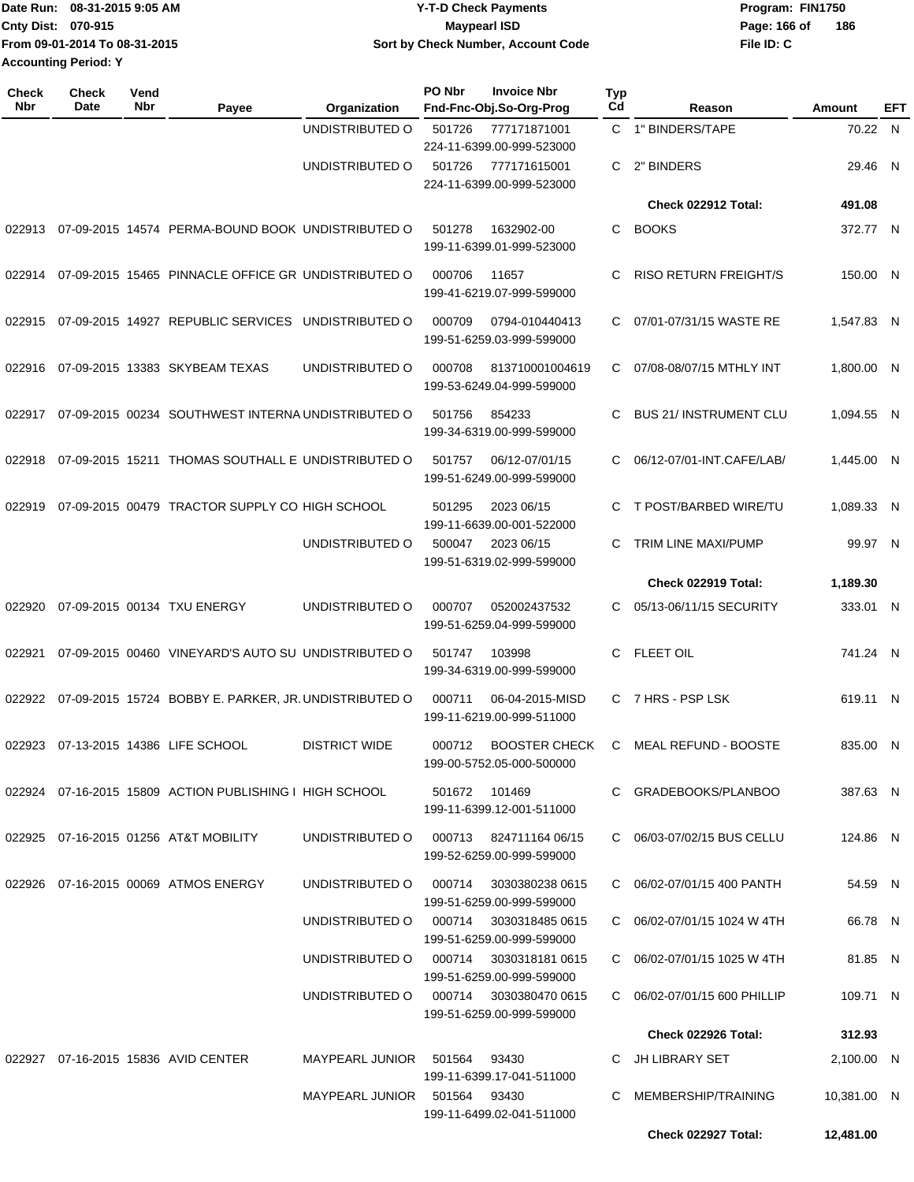| Date Run: 08-31-2015 9:05 AM  | <b>Y-T-D Check Payments</b>        | Program: FIN1750 |     |
|-------------------------------|------------------------------------|------------------|-----|
| <b>Cnty Dist: 070-915</b>     | Maypearl ISD                       | Page: 166 of     | 186 |
| From 09-01-2014 To 08-31-2015 | Sort by Check Number, Account Code | File ID: C       |     |
| <b>Accounting Period: Y</b>   |                                    |                  |     |

| Check<br>Nbr | Check<br>Date | Vend<br>Nbr | Payee                                                   | Organization                           | PO Nbr | <b>Invoice Nbr</b><br>Fnd-Fnc-Obj.So-Org-Prog       | Typ<br>Cd | Reason                       | Amount      | EFT |
|--------------|---------------|-------------|---------------------------------------------------------|----------------------------------------|--------|-----------------------------------------------------|-----------|------------------------------|-------------|-----|
|              |               |             |                                                         | UNDISTRIBUTED O                        | 501726 | 777171871001<br>224-11-6399.00-999-523000           |           | C 1" BINDERS/TAPE            | 70.22 N     |     |
|              |               |             |                                                         | UNDISTRIBUTED O                        | 501726 | 777171615001<br>224-11-6399.00-999-523000           | C.        | 2" BINDERS                   | 29.46 N     |     |
|              |               |             |                                                         |                                        |        |                                                     |           | Check 022912 Total:          | 491.08      |     |
| 022913       |               |             | 07-09-2015 14574 PERMA-BOUND BOOK UNDISTRIBUTED O       |                                        | 501278 | 1632902-00<br>199-11-6399.01-999-523000             | C         | <b>BOOKS</b>                 | 372.77 N    |     |
| 022914       |               |             | 07-09-2015 15465 PINNACLE OFFICE GR UNDISTRIBUTED O     |                                        | 000706 | 11657<br>199-41-6219.07-999-599000                  | C         | <b>RISO RETURN FREIGHT/S</b> | 150.00 N    |     |
| 022915       |               |             | 07-09-2015 14927 REPUBLIC SERVICES UNDISTRIBUTED O      |                                        | 000709 | 0794-010440413<br>199-51-6259.03-999-599000         | C         | 07/01-07/31/15 WASTE RE      | 1,547.83 N  |     |
| 022916       |               |             | 07-09-2015 13383 SKYBEAM TEXAS                          | UNDISTRIBUTED O                        | 000708 | 813710001004619<br>199-53-6249.04-999-599000        | C         | 07/08-08/07/15 MTHLY INT     | 1,800.00 N  |     |
| 022917       |               |             | 07-09-2015 00234 SOUTHWEST INTERNA UNDISTRIBUTED O      |                                        | 501756 | 854233<br>199-34-6319.00-999-599000                 | C         | <b>BUS 21/INSTRUMENT CLU</b> | 1.094.55 N  |     |
| 022918       |               |             | 07-09-2015 15211 THOMAS SOUTHALL E UNDISTRIBUTED O      |                                        | 501757 | 06/12-07/01/15<br>199-51-6249.00-999-599000         | C         | 06/12-07/01-INT.CAFE/LAB/    | 1,445.00 N  |     |
| 022919       |               |             | 07-09-2015 00479 TRACTOR SUPPLY CO HIGH SCHOOL          |                                        | 501295 | 2023 06/15<br>199-11-6639.00-001-522000             | C         | T POST/BARBED WIRE/TU        | 1,089.33 N  |     |
|              |               |             |                                                         | UNDISTRIBUTED O                        | 500047 | 2023 06/15<br>199-51-6319.02-999-599000             | C         | TRIM LINE MAXI/PUMP          | 99.97 N     |     |
|              |               |             |                                                         |                                        |        |                                                     |           | Check 022919 Total:          | 1,189.30    |     |
| 022920       |               |             | 07-09-2015 00134 TXU ENERGY                             | UNDISTRIBUTED O                        | 000707 | 052002437532<br>199-51-6259.04-999-599000           | С         | 05/13-06/11/15 SECURITY      | 333.01 N    |     |
| 022921       |               |             | 07-09-2015 00460 VINEYARD'S AUTO SU UNDISTRIBUTED O     |                                        | 501747 | 103998<br>199-34-6319.00-999-599000                 | C         | <b>FLEET OIL</b>             | 741.24 N    |     |
| 022922       |               |             | 07-09-2015 15724 BOBBY E. PARKER, JR. UNDISTRIBUTED O   |                                        | 000711 | 06-04-2015-MISD<br>199-11-6219.00-999-511000        | C         | 7 HRS - PSP LSK              | 619.11 N    |     |
| 022923       |               |             | 07-13-2015 14386 LIFE SCHOOL                            | <b>DISTRICT WIDE</b>                   | 000712 | <b>BOOSTER CHECK</b><br>199-00-5752.05-000-500000   | C         | <b>MEAL REFUND - BOOSTE</b>  | 835.00 N    |     |
|              |               |             | 022924 07-16-2015 15809 ACTION PUBLISHING I HIGH SCHOOL |                                        |        | 501672 101469<br>199-11-6399.12-001-511000          |           | C GRADEBOOKS/PLANBOO         | 387.63 N    |     |
|              |               |             | 022925 07-16-2015 01256 AT&T MOBILITY                   | UNDISTRIBUTED O                        |        | 000713 824711164 06/15<br>199-52-6259.00-999-599000 |           | C 06/03-07/02/15 BUS CELLU   | 124.86 N    |     |
|              |               |             | 022926 07-16-2015 00069 ATMOS ENERGY                    | UNDISTRIBUTED O                        | 000714 | 3030380238 0615<br>199-51-6259.00-999-599000        |           | C 06/02-07/01/15 400 PANTH   | 54.59 N     |     |
|              |               |             |                                                         | UNDISTRIBUTED O 000714 3030318485 0615 |        | 199-51-6259.00-999-599000                           |           | C 06/02-07/01/15 1024 W 4TH  | 66.78 N     |     |
|              |               |             |                                                         | UNDISTRIBUTED O 000714 3030318181 0615 |        | 199-51-6259.00-999-599000                           |           | C 06/02-07/01/15 1025 W 4TH  | 81.85 N     |     |
|              |               |             |                                                         | UNDISTRIBUTED O 000714 3030380470 0615 |        | 199-51-6259.00-999-599000                           |           | C 06/02-07/01/15 600 PHILLIP | 109.71 N    |     |
|              |               |             |                                                         |                                        |        |                                                     |           | <b>Check 022926 Total:</b>   | 312.93      |     |
|              |               |             | 022927 07-16-2015 15836 AVID CENTER                     | MAYPEARL JUNIOR 501564 93430           |        | 199-11-6399.17-041-511000                           |           | C JH LIBRARY SET             | 2,100.00 N  |     |
|              |               |             |                                                         | MAYPEARL JUNIOR 501564 93430           |        | 199-11-6499.02-041-511000                           |           | C MEMBERSHIP/TRAINING        | 10,381.00 N |     |
|              |               |             |                                                         |                                        |        |                                                     |           | Check 022927 Total:          | 12,481.00   |     |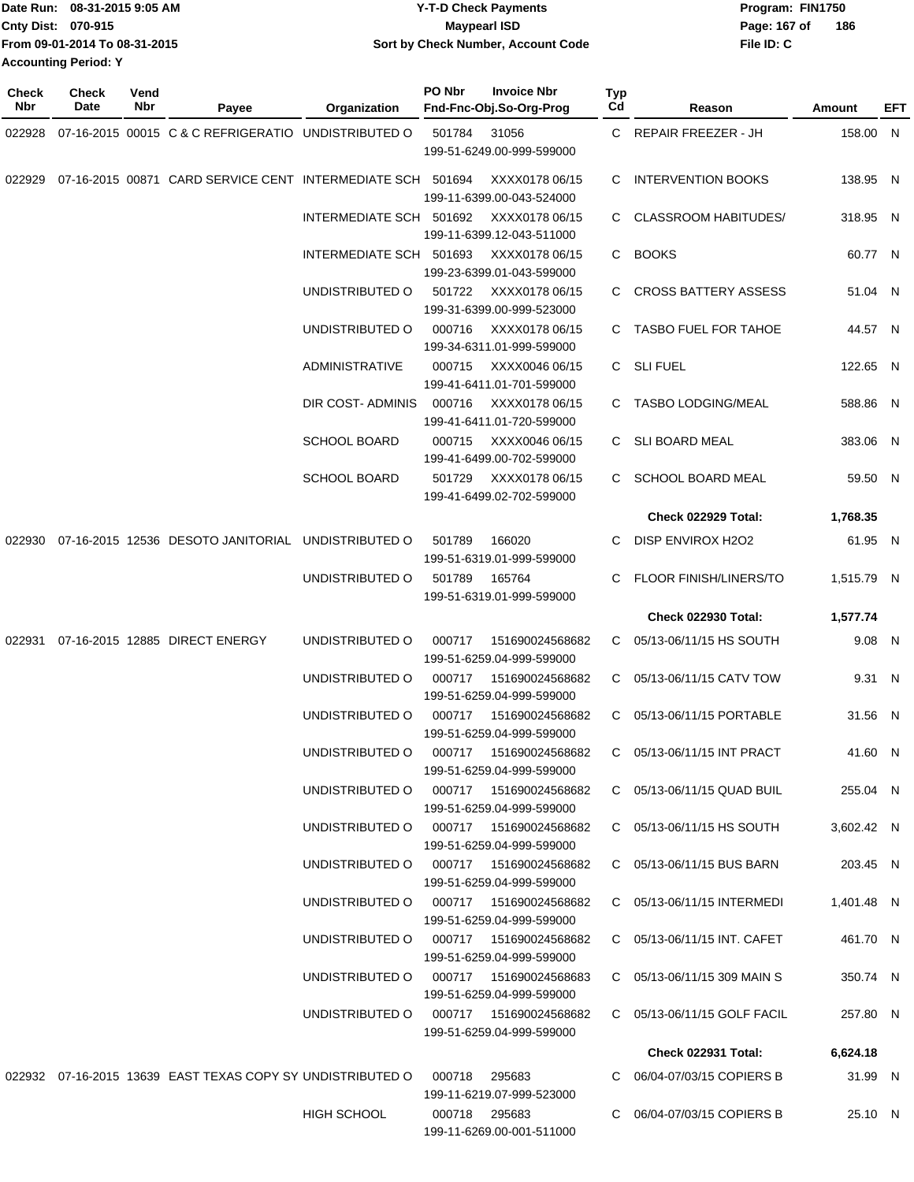| Date Run: 08-31-2015 9:05 AM  | <b>Y-T-D Check Payments</b>        | Program: FIN1750    |
|-------------------------------|------------------------------------|---------------------|
| <b>Cnty Dist: 070-915</b>     | Mavpearl ISD                       | 186<br>Page: 167 of |
| From 09-01-2014 To 08-31-2015 | Sort by Check Number, Account Code | File ID: C          |
| <b>Accounting Period: Y</b>   |                                    |                     |

| <b>Check</b><br>Nbr | Check<br>Date | Vend<br>Nbr | Payee                                                      | Organization                           | PO Nbr        | <b>Invoice Nbr</b><br>Fnd-Fnc-Obj.So-Org-Prog                            | Typ<br>Cd    | Reason                        | Amount     | EFT |
|---------------------|---------------|-------------|------------------------------------------------------------|----------------------------------------|---------------|--------------------------------------------------------------------------|--------------|-------------------------------|------------|-----|
| 022928              |               |             | 07-16-2015 00015 C & C REFRIGERATIO UNDISTRIBUTED O        |                                        | 501784        | 31056<br>199-51-6249.00-999-599000                                       |              | C REPAIR FREEZER - JH         | 158.00 N   |     |
| 022929              |               |             | 07-16-2015 00871 CARD SERVICE CENT INTERMEDIATE SCH 501694 |                                        |               | XXXX0178 06/15<br>199-11-6399.00-043-524000                              |              | C INTERVENTION BOOKS          | 138.95 N   |     |
|                     |               |             |                                                            | INTERMEDIATE SCH 501692 XXXX0178 06/15 |               | 199-11-6399.12-043-511000                                                |              | C CLASSROOM HABITUDES/        | 318.95 N   |     |
|                     |               |             |                                                            | INTERMEDIATE SCH 501693                |               | XXXX0178 06/15<br>199-23-6399.01-043-599000                              |              | C BOOKS                       | 60.77 N    |     |
|                     |               |             |                                                            | UNDISTRIBUTED O                        | 501722        | XXXX0178 06/15                                                           |              | C CROSS BATTERY ASSESS        | 51.04 N    |     |
|                     |               |             |                                                            | UNDISTRIBUTED O                        | 000716        | 199-31-6399.00-999-523000<br>XXXX0178 06/15                              |              | C TASBO FUEL FOR TAHOE        | 44.57 N    |     |
|                     |               |             |                                                            | ADMINISTRATIVE                         | 000715        | 199-34-6311.01-999-599000<br>XXXX0046 06/15                              |              | C SLI FUEL                    | 122.65 N   |     |
|                     |               |             |                                                            | DIR COST- ADMINIS                      | 000716        | 199-41-6411.01-701-599000<br>XXXX0178 06/15<br>199-41-6411.01-720-599000 |              | C TASBO LODGING/MEAL          | 588.86 N   |     |
|                     |               |             |                                                            | <b>SCHOOL BOARD</b>                    | 000715        | XXXX0046 06/15<br>199-41-6499.00-702-599000                              | C.           | SLI BOARD MEAL                | 383.06 N   |     |
|                     |               |             |                                                            | <b>SCHOOL BOARD</b>                    | 501729        | XXXX0178 06/15<br>199-41-6499.02-702-599000                              |              | C SCHOOL BOARD MEAL           | 59.50 N    |     |
|                     |               |             |                                                            |                                        |               |                                                                          |              | Check 022929 Total:           | 1,768.35   |     |
| 022930              |               |             | 07-16-2015 12536 DESOTO JANITORIAL UNDISTRIBUTED O         |                                        | 501789        | 166020<br>199-51-6319.01-999-599000                                      | C.           | DISP ENVIROX H2O2             | 61.95 N    |     |
|                     |               |             |                                                            | UNDISTRIBUTED O                        | 501789        | 165764<br>199-51-6319.01-999-599000                                      |              | <b>FLOOR FINISH/LINERS/TO</b> | 1,515.79 N |     |
|                     |               |             |                                                            |                                        |               |                                                                          |              | <b>Check 022930 Total:</b>    | 1,577.74   |     |
| 022931              |               |             | 07-16-2015 12885 DIRECT ENERGY                             | UNDISTRIBUTED O                        | 000717        | 151690024568682<br>199-51-6259.04-999-599000                             | $\mathbf{C}$ | 05/13-06/11/15 HS SOUTH       | 9.08 N     |     |
|                     |               |             |                                                            | UNDISTRIBUTED O                        | 000717        | 151690024568682<br>199-51-6259.04-999-599000                             | C.           | 05/13-06/11/15 CATV TOW       | 9.31 N     |     |
|                     |               |             |                                                            | UNDISTRIBUTED O                        | 000717        | 151690024568682<br>199-51-6259.04-999-599000                             | C.           | 05/13-06/11/15 PORTABLE       | 31.56 N    |     |
|                     |               |             |                                                            | UNDISTRIBUTED O                        |               | 000717  151690024568682<br>199-51-6259.04-999-599000                     |              | C 05/13-06/11/15 INT PRACT    | 41.60 N    |     |
|                     |               |             |                                                            | UNDISTRIBUTED O 000717 151690024568682 |               | 199-51-6259.04-999-599000                                                |              | C 05/13-06/11/15 QUAD BUIL    | 255.04 N   |     |
|                     |               |             |                                                            | UNDISTRIBUTED O                        |               | 199-51-6259.04-999-599000                                                |              | C 05/13-06/11/15 HS SOUTH     | 3,602.42 N |     |
|                     |               |             |                                                            | UNDISTRIBUTED O                        |               | 000717  151690024568682<br>199-51-6259.04-999-599000                     |              | C 05/13-06/11/15 BUS BARN     | 203.45 N   |     |
|                     |               |             |                                                            | UNDISTRIBUTED O 000717 151690024568682 |               | 199-51-6259.04-999-599000                                                |              | C 05/13-06/11/15 INTERMEDI    | 1,401.48 N |     |
|                     |               |             |                                                            | UNDISTRIBUTED O 000717 151690024568682 |               | 199-51-6259.04-999-599000                                                |              | C 05/13-06/11/15 INT. CAFET   | 461.70 N   |     |
|                     |               |             |                                                            | UNDISTRIBUTED O 000717 151690024568683 |               | 199-51-6259.04-999-599000                                                |              | C 05/13-06/11/15 309 MAIN S   | 350.74 N   |     |
|                     |               |             |                                                            | UNDISTRIBUTED O 000717 151690024568682 |               | 199-51-6259.04-999-599000                                                |              | C 05/13-06/11/15 GOLF FACIL   | 257.80 N   |     |
|                     |               |             |                                                            |                                        |               |                                                                          |              | Check 022931 Total:           | 6,624.18   |     |
|                     |               |             | 022932 07-16-2015 13639 EAST TEXAS COPY SY UNDISTRIBUTED O |                                        | 000718 295683 | 199-11-6219.07-999-523000                                                |              | C 06/04-07/03/15 COPIERS B    | 31.99 N    |     |
|                     |               |             |                                                            | <b>HIGH SCHOOL</b>                     | 000718 295683 | 199-11-6269.00-001-511000                                                |              | C 06/04-07/03/15 COPIERS B    | 25.10 N    |     |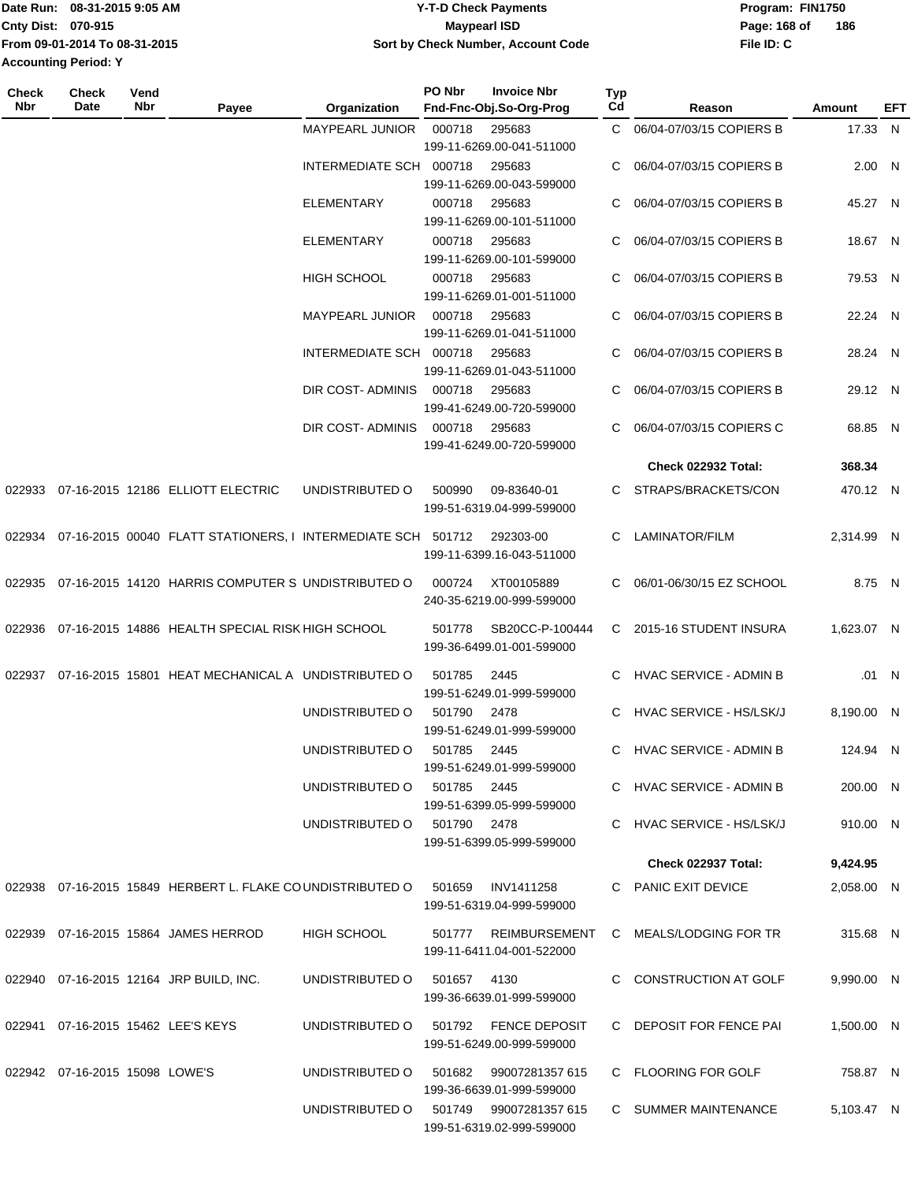| 08-31-2015 9:05 AM<br>Date Run: | <b>Y-T-D Check Payments</b>        | Program: FIN1750    |
|---------------------------------|------------------------------------|---------------------|
| <b>Cnty Dist: 070-915</b>       | Maypearl ISD                       | 186<br>Page: 168 of |
| From 09-01-2014 To 08-31-2015   | Sort by Check Number, Account Code | File ID: C          |
| <b>Accounting Period: Y</b>     |                                    |                     |

| Check<br>Nbr | <b>Check</b><br>Date           | Vend<br>Nbr | Payee                                                        | Organization            | PO Nbr      | <b>Invoice Nbr</b><br>Fnd-Fnc-Obj.So-Org-Prog | Typ<br>Cd | Reason                        | Amount     | EFT   |
|--------------|--------------------------------|-------------|--------------------------------------------------------------|-------------------------|-------------|-----------------------------------------------|-----------|-------------------------------|------------|-------|
|              |                                |             |                                                              | MAYPEARL JUNIOR         | 000718      | 295683                                        |           | C 06/04-07/03/15 COPIERS B    | 17.33 N    |       |
|              |                                |             |                                                              |                         |             | 199-11-6269.00-041-511000                     |           |                               |            |       |
|              |                                |             |                                                              | INTERMEDIATE SCH 000718 |             | 295683                                        | C         | 06/04-07/03/15 COPIERS B      | 2.00 N     |       |
|              |                                |             |                                                              |                         |             | 199-11-6269.00-043-599000                     |           |                               |            |       |
|              |                                |             |                                                              | <b>ELEMENTARY</b>       | 000718      | 295683                                        | C         | 06/04-07/03/15 COPIERS B      | 45.27 N    |       |
|              |                                |             |                                                              |                         |             | 199-11-6269.00-101-511000                     |           |                               |            |       |
|              |                                |             |                                                              | <b>ELEMENTARY</b>       | 000718      | 295683                                        | C         | 06/04-07/03/15 COPIERS B      | 18.67 N    |       |
|              |                                |             |                                                              |                         |             | 199-11-6269.00-101-599000                     |           |                               |            |       |
|              |                                |             |                                                              | <b>HIGH SCHOOL</b>      | 000718      | 295683                                        | C         | 06/04-07/03/15 COPIERS B      | 79.53 N    |       |
|              |                                |             |                                                              |                         |             | 199-11-6269.01-001-511000                     |           |                               |            |       |
|              |                                |             |                                                              | <b>MAYPEARL JUNIOR</b>  | 000718      | 295683                                        | C         | 06/04-07/03/15 COPIERS B      | 22.24 N    |       |
|              |                                |             |                                                              |                         |             | 199-11-6269.01-041-511000                     |           |                               |            |       |
|              |                                |             |                                                              | INTERMEDIATE SCH 000718 |             | 295683                                        | C         | 06/04-07/03/15 COPIERS B      | 28.24 N    |       |
|              |                                |             |                                                              |                         |             | 199-11-6269.01-043-511000                     |           |                               |            |       |
|              |                                |             |                                                              | DIR COST-ADMINIS        | 000718      | 295683                                        | C         | 06/04-07/03/15 COPIERS B      | 29.12 N    |       |
|              |                                |             |                                                              |                         |             | 199-41-6249.00-720-599000                     |           |                               |            |       |
|              |                                |             |                                                              | DIR COST- ADMINIS       | 000718      | 295683                                        | C         | 06/04-07/03/15 COPIERS C      | 68.85 N    |       |
|              |                                |             |                                                              |                         |             | 199-41-6249.00-720-599000                     |           |                               |            |       |
|              |                                |             |                                                              |                         |             |                                               |           | Check 022932 Total:           | 368.34     |       |
| 022933       |                                |             | 07-16-2015 12186 ELLIOTT ELECTRIC                            | UNDISTRIBUTED O         | 500990      | 09-83640-01                                   | C.        | STRAPS/BRACKETS/CON           | 470.12 N   |       |
|              |                                |             |                                                              |                         |             | 199-51-6319.04-999-599000                     |           |                               |            |       |
|              |                                |             |                                                              |                         |             |                                               |           |                               |            |       |
| 022934       |                                |             | 07-16-2015 00040 FLATT STATIONERS, I INTERMEDIATE SCH 501712 |                         |             | 292303-00                                     | C         | LAMINATOR/FILM                | 2,314.99 N |       |
|              |                                |             |                                                              |                         |             | 199-11-6399.16-043-511000                     |           |                               |            |       |
| 022935       |                                |             | 07-16-2015 14120 HARRIS COMPUTER S UNDISTRIBUTED O           |                         | 000724      | XT00105889                                    | C         | 06/01-06/30/15 EZ SCHOOL      | 8.75 N     |       |
|              |                                |             |                                                              |                         |             | 240-35-6219.00-999-599000                     |           |                               |            |       |
|              |                                |             |                                                              |                         |             |                                               |           |                               |            |       |
| 022936       |                                |             | 07-16-2015 14886 HEALTH SPECIAL RISK HIGH SCHOOL             |                         | 501778      | SB20CC-P-100444                               | C.        | 2015-16 STUDENT INSURA        | 1,623.07 N |       |
|              |                                |             |                                                              |                         |             | 199-36-6499.01-001-599000                     |           |                               |            |       |
| 022937       |                                |             | 07-16-2015 15801 HEAT MECHANICAL A UNDISTRIBUTED O           |                         | 501785      | 2445                                          |           | <b>HVAC SERVICE - ADMIN B</b> |            | .01 N |
|              |                                |             |                                                              |                         |             | 199-51-6249.01-999-599000                     |           |                               |            |       |
|              |                                |             |                                                              | UNDISTRIBUTED O         | 501790      | 2478                                          | C.        | HVAC SERVICE - HS/LSK/J       | 8,190.00 N |       |
|              |                                |             |                                                              |                         |             | 199-51-6249.01-999-599000                     |           |                               |            |       |
|              |                                |             |                                                              | UNDISTRIBUTED O         | 501785      | 2445                                          |           | C HVAC SERVICE - ADMIN B      | 124.94 N   |       |
|              |                                |             |                                                              |                         |             | 199-51-6249.01-999-599000                     |           |                               |            |       |
|              |                                |             |                                                              | UNDISTRIBUTED O         | 501785 2445 |                                               |           | C HVAC SERVICE - ADMIN B      | 200.00 N   |       |
|              |                                |             |                                                              |                         |             | 199-51-6399.05-999-599000                     |           |                               |            |       |
|              |                                |             |                                                              | UNDISTRIBUTED O         | 501790 2478 |                                               |           | C HVAC SERVICE - HS/LSK/J     | 910.00 N   |       |
|              |                                |             |                                                              |                         |             | 199-51-6399.05-999-599000                     |           |                               |            |       |
|              |                                |             |                                                              |                         |             |                                               |           | Check 022937 Total:           | 9,424.95   |       |
|              |                                |             | 022938 07-16-2015 15849 HERBERT L. FLAKE COUNDISTRIBUTED O   |                         | 501659      | INV1411258                                    |           | C PANIC EXIT DEVICE           | 2,058.00 N |       |
|              |                                |             |                                                              |                         |             | 199-51-6319.04-999-599000                     |           |                               |            |       |
|              |                                |             | 022939 07-16-2015 15864 JAMES HERROD                         | HIGH SCHOOL             |             | 501777 REIMBURSEMENT                          |           | C MEALS/LODGING FOR TR        | 315.68 N   |       |
|              |                                |             |                                                              |                         |             | 199-11-6411.04-001-522000                     |           |                               |            |       |
|              |                                |             |                                                              |                         |             |                                               |           |                               |            |       |
|              |                                |             | 022940 07-16-2015 12164 JRP BUILD, INC.                      | UNDISTRIBUTED O         | 501657 4130 |                                               |           | C CONSTRUCTION AT GOLF        | 9,990.00 N |       |
|              |                                |             |                                                              |                         |             | 199-36-6639.01-999-599000                     |           |                               |            |       |
|              |                                |             | 022941 07-16-2015 15462 LEE'S KEYS                           | UNDISTRIBUTED O         |             | 501792 FENCE DEPOSIT                          |           | C DEPOSIT FOR FENCE PAI       | 1,500.00 N |       |
|              |                                |             |                                                              |                         |             | 199-51-6249.00-999-599000                     |           |                               |            |       |
|              |                                |             |                                                              |                         |             |                                               |           |                               |            |       |
|              | 022942 07-16-2015 15098 LOWE'S |             |                                                              | UNDISTRIBUTED O         | 501682      | 99007281357 615                               |           | C FLOORING FOR GOLF           | 758.87 N   |       |
|              |                                |             |                                                              |                         |             | 199-36-6639.01-999-599000                     |           |                               |            |       |
|              |                                |             |                                                              | UNDISTRIBUTED O         |             | 501749 99007281357 615                        |           | C SUMMER MAINTENANCE          | 5,103.47 N |       |
|              |                                |             |                                                              |                         |             | 199-51-6319.02-999-599000                     |           |                               |            |       |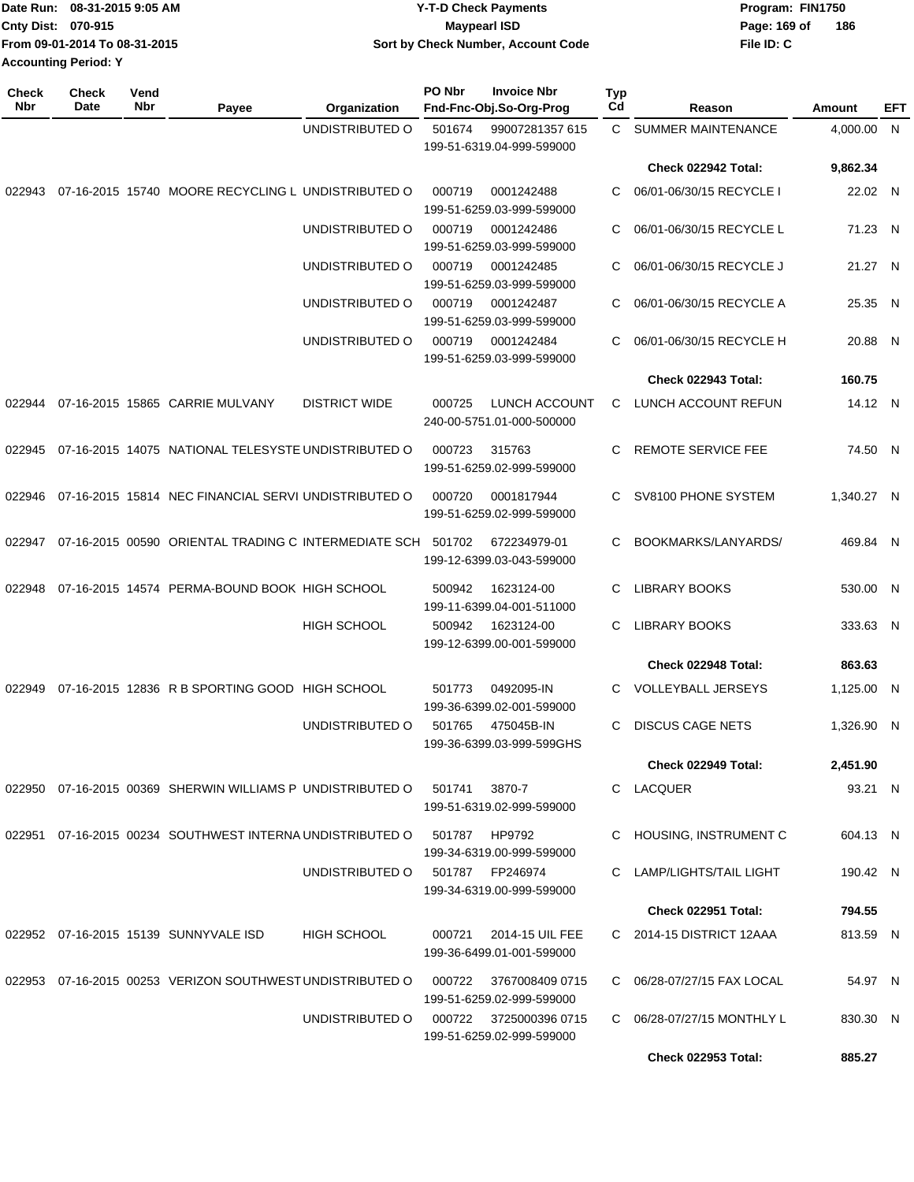| IDate Run: 08-31-2015 9:05 AM | <b>Y-T-D Check Payments</b>        | Program: FIN1750    |
|-------------------------------|------------------------------------|---------------------|
| <b>Cnty Dist: 070-915</b>     | <b>Mavpearl ISD</b>                | 186<br>Page: 169 of |
| From 09-01-2014 To 08-31-2015 | Sort by Check Number, Account Code | File ID: C          |
| <b>Accounting Period: Y</b>   |                                    |                     |

| <b>Check</b><br><b>Nbr</b> | Check<br>Date | Vend<br>Nbr | Payee                                                      | Organization         | PO Nbr | <b>Invoice Nbr</b><br>Fnd-Fnc-Obj.So-Org-Prog | Typ<br>Cd    | Reason                        | Amount     | EFT |
|----------------------------|---------------|-------------|------------------------------------------------------------|----------------------|--------|-----------------------------------------------|--------------|-------------------------------|------------|-----|
|                            |               |             |                                                            | UNDISTRIBUTED O      | 501674 | 99007281357 615<br>199-51-6319.04-999-599000  | $\mathbf{C}$ | <b>SUMMER MAINTENANCE</b>     | 4,000.00 N |     |
|                            |               |             |                                                            |                      |        |                                               |              | Check 022942 Total:           | 9,862.34   |     |
| 022943                     |               |             | 07-16-2015 15740 MOORE RECYCLING L UNDISTRIBUTED O         |                      | 000719 | 0001242488<br>199-51-6259.03-999-599000       | С            | 06/01-06/30/15 RECYCLE I      | 22.02 N    |     |
|                            |               |             |                                                            | UNDISTRIBUTED O      | 000719 | 0001242486<br>199-51-6259.03-999-599000       | С            | 06/01-06/30/15 RECYCLE L      | 71.23 N    |     |
|                            |               |             |                                                            | UNDISTRIBUTED O      | 000719 | 0001242485<br>199-51-6259.03-999-599000       | С            | 06/01-06/30/15 RECYCLE J      | 21.27 N    |     |
|                            |               |             |                                                            | UNDISTRIBUTED O      | 000719 | 0001242487<br>199-51-6259.03-999-599000       | С            | 06/01-06/30/15 RECYCLE A      | 25.35 N    |     |
|                            |               |             |                                                            | UNDISTRIBUTED O      | 000719 | 0001242484<br>199-51-6259.03-999-599000       | С            | 06/01-06/30/15 RECYCLE H      | 20.88 N    |     |
|                            |               |             |                                                            |                      |        |                                               |              | <b>Check 022943 Total:</b>    | 160.75     |     |
| 022944                     |               |             | 07-16-2015 15865 CARRIE MULVANY                            | <b>DISTRICT WIDE</b> | 000725 | LUNCH ACCOUNT<br>240-00-5751.01-000-500000    | С            | LUNCH ACCOUNT REFUN           | 14.12 N    |     |
| 022945                     |               |             | 07-16-2015 14075 NATIONAL TELESYSTE UNDISTRIBUTED O        |                      | 000723 | 315763<br>199-51-6259.02-999-599000           | С            | <b>REMOTE SERVICE FEE</b>     | 74.50 N    |     |
| 022946                     |               |             | 07-16-2015 15814 NEC FINANCIAL SERVI UNDISTRIBUTED O       |                      | 000720 | 0001817944<br>199-51-6259.02-999-599000       | С            | SV8100 PHONE SYSTEM           | 1.340.27 N |     |
| 022947                     |               |             | 07-16-2015 00590 ORIENTAL TRADING C INTERMEDIATE SCH       |                      | 501702 | 672234979-01<br>199-12-6399.03-043-599000     | C            | BOOKMARKS/LANYARDS/           | 469.84 N   |     |
| 022948                     |               |             | 07-16-2015 14574 PERMA-BOUND BOOK HIGH SCHOOL              |                      | 500942 | 1623124-00<br>199-11-6399.04-001-511000       | С            | <b>LIBRARY BOOKS</b>          | 530.00 N   |     |
|                            |               |             |                                                            | <b>HIGH SCHOOL</b>   | 500942 | 1623124-00<br>199-12-6399.00-001-599000       | С            | <b>LIBRARY BOOKS</b>          | 333.63 N   |     |
|                            |               |             |                                                            |                      |        |                                               |              | Check 022948 Total:           | 863.63     |     |
| 022949                     |               |             | 07-16-2015 12836 R B SPORTING GOOD HIGH SCHOOL             |                      | 501773 | 0492095-IN<br>199-36-6399.02-001-599000       | C            | <b>VOLLEYBALL JERSEYS</b>     | 1,125.00 N |     |
|                            |               |             |                                                            | UNDISTRIBUTED O      | 501765 | 475045B-IN<br>199-36-6399.03-999-599GHS       | С            | <b>DISCUS CAGE NETS</b>       | 1,326.90 N |     |
|                            |               |             |                                                            |                      |        |                                               |              | Check 022949 Total:           | 2,451.90   |     |
|                            |               |             | 022950 07-16-2015 00369 SHERWIN WILLIAMS P UNDISTRIBUTED O |                      | 501741 | 3870-7<br>199-51-6319.02-999-599000           |              | C LACQUER                     | 93.21 N    |     |
|                            |               |             | 022951 07-16-2015 00234 SOUTHWEST INTERNA UNDISTRIBUTED O  |                      | 501787 | HP9792<br>199-34-6319.00-999-599000           | С            | HOUSING, INSTRUMENT C         | 604.13 N   |     |
|                            |               |             |                                                            | UNDISTRIBUTED O      |        | 501787 FP246974<br>199-34-6319.00-999-599000  | С            | <b>LAMP/LIGHTS/TAIL LIGHT</b> | 190.42 N   |     |
|                            |               |             |                                                            |                      |        |                                               |              | <b>Check 022951 Total:</b>    | 794.55     |     |
|                            |               |             | 022952 07-16-2015 15139 SUNNYVALE ISD                      | <b>HIGH SCHOOL</b>   | 000721 | 2014-15 UIL FEE<br>199-36-6499.01-001-599000  |              | C 2014-15 DISTRICT 12AAA      | 813.59 N   |     |
|                            |               |             | 022953 07-16-2015 00253 VERIZON SOUTHWEST UNDISTRIBUTED O  |                      | 000722 | 3767008409 0715<br>199-51-6259.02-999-599000  |              | C 06/28-07/27/15 FAX LOCAL    | 54.97 N    |     |
|                            |               |             |                                                            | UNDISTRIBUTED O      | 000722 | 3725000396 0715<br>199-51-6259.02-999-599000  |              | C 06/28-07/27/15 MONTHLY L    | 830.30 N   |     |
|                            |               |             |                                                            |                      |        |                                               |              | <b>Check 022953 Total:</b>    | 885.27     |     |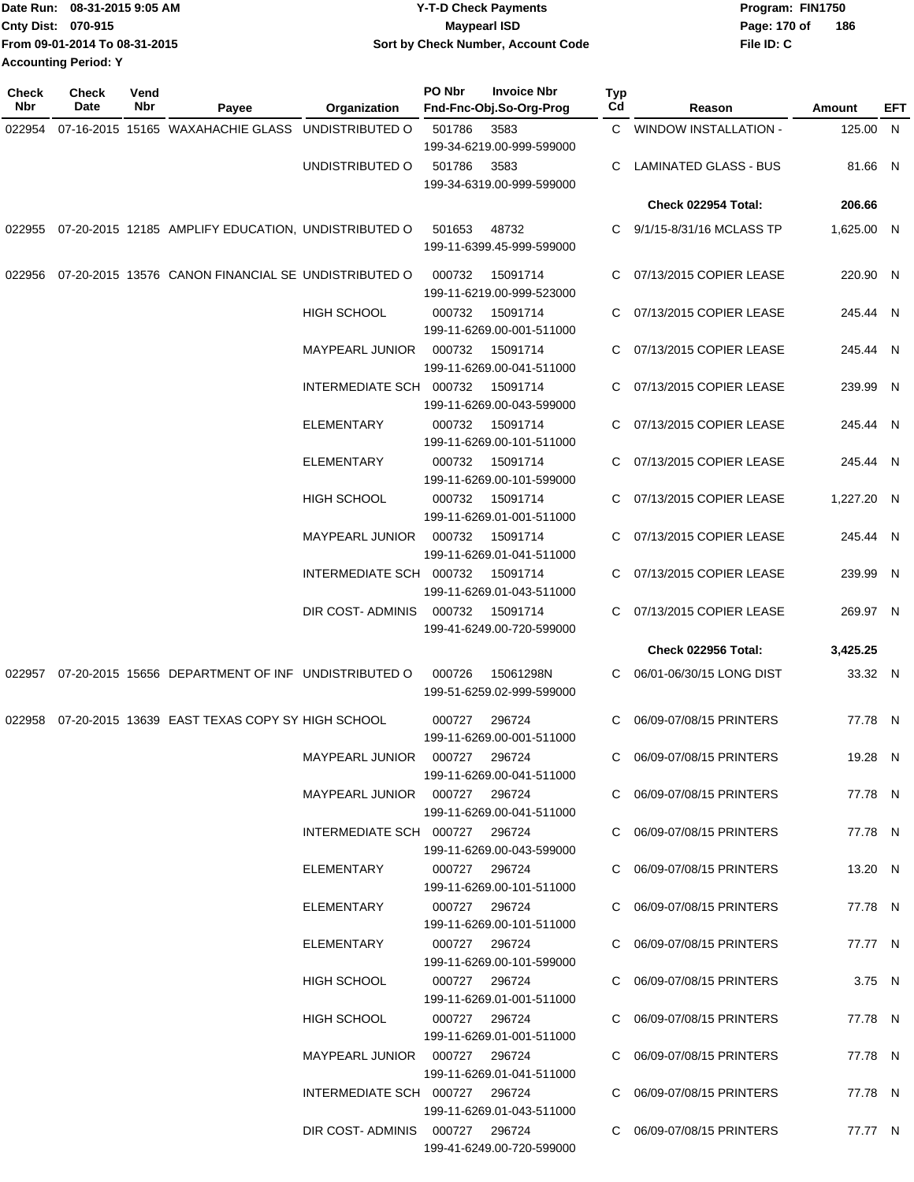|                             | Date Run: 08-31-2015 9:05 AM  | <b>Y-T-D Check Payments</b>        | Program: FIN1750 |     |
|-----------------------------|-------------------------------|------------------------------------|------------------|-----|
| <b>Cnty Dist: 070-915</b>   |                               | <b>Mavpearl ISD</b>                | Page: 170 of     | 186 |
|                             | From 09-01-2014 To 08-31-2015 | Sort by Check Number, Account Code | File ID: C       |     |
| <b>Accounting Period: Y</b> |                               |                                    |                  |     |

**Check**

| <b>Check</b><br><b>Nbr</b> | <b>Check</b><br>Date | Vend<br>Nbr | Payee                                                      | Organization                    | PO Nbr        | <b>Invoice Nbr</b><br>Fnd-Fnc-Obj.So-Org-Prog | Typ<br>Cd | Reason                       | Amount     | EFT |
|----------------------------|----------------------|-------------|------------------------------------------------------------|---------------------------------|---------------|-----------------------------------------------|-----------|------------------------------|------------|-----|
| 022954                     |                      |             | 07-16-2015 15165 WAXAHACHIE GLASS UNDISTRIBUTED O          |                                 | 501786        | 3583                                          |           | C WINDOW INSTALLATION -      | 125.00 N   |     |
|                            |                      |             |                                                            |                                 |               | 199-34-6219.00-999-599000                     |           |                              |            |     |
|                            |                      |             |                                                            | UNDISTRIBUTED O                 | 501786        | 3583<br>199-34-6319.00-999-599000             | C         | <b>LAMINATED GLASS - BUS</b> | 81.66 N    |     |
|                            |                      |             |                                                            |                                 |               |                                               |           | Check 022954 Total:          | 206.66     |     |
|                            |                      |             | 022955 07-20-2015 12185 AMPLIFY EDUCATION, UNDISTRIBUTED O |                                 | 501653        | 48732<br>199-11-6399.45-999-599000            |           | C 9/1/15-8/31/16 MCLASS TP   | 1,625.00 N |     |
|                            |                      |             | 022956 07-20-2015 13576 CANON FINANCIAL SE UNDISTRIBUTED O |                                 | 000732        | 15091714<br>199-11-6219.00-999-523000         | C         | 07/13/2015 COPIER LEASE      | 220.90 N   |     |
|                            |                      |             |                                                            | <b>HIGH SCHOOL</b>              | 000732        | 15091714<br>199-11-6269.00-001-511000         |           | 07/13/2015 COPIER LEASE      | 245.44 N   |     |
|                            |                      |             |                                                            | MAYPEARL JUNIOR                 | 000732        | 15091714<br>199-11-6269.00-041-511000         | C         | 07/13/2015 COPIER LEASE      | 245.44 N   |     |
|                            |                      |             |                                                            | INTERMEDIATE SCH 000732         |               | 15091714<br>199-11-6269.00-043-599000         | C         | 07/13/2015 COPIER LEASE      | 239.99 N   |     |
|                            |                      |             |                                                            | <b>ELEMENTARY</b>               | 000732        | 15091714<br>199-11-6269.00-101-511000         |           | C 07/13/2015 COPIER LEASE    | 245.44 N   |     |
|                            |                      |             |                                                            | <b>ELEMENTARY</b>               | 000732        | 15091714<br>199-11-6269.00-101-599000         |           | C 07/13/2015 COPIER LEASE    | 245.44 N   |     |
|                            |                      |             |                                                            | <b>HIGH SCHOOL</b>              | 000732        | 15091714<br>199-11-6269.01-001-511000         |           | C 07/13/2015 COPIER LEASE    | 1,227.20 N |     |
|                            |                      |             |                                                            | <b>MAYPEARL JUNIOR</b>          | 000732        | 15091714<br>199-11-6269.01-041-511000         |           | C 07/13/2015 COPIER LEASE    | 245.44 N   |     |
|                            |                      |             |                                                            | INTERMEDIATE SCH 000732         |               | 15091714<br>199-11-6269.01-043-511000         |           | C 07/13/2015 COPIER LEASE    | 239.99 N   |     |
|                            |                      |             |                                                            | DIR COST-ADMINIS                | 000732        | 15091714<br>199-41-6249.00-720-599000         |           | C 07/13/2015 COPIER LEASE    | 269.97 N   |     |
|                            |                      |             |                                                            |                                 |               |                                               |           | Check 022956 Total:          | 3,425.25   |     |
|                            |                      |             | 022957 07-20-2015 15656 DEPARTMENT OF INF UNDISTRIBUTED O  |                                 | 000726        | 15061298N<br>199-51-6259.02-999-599000        | C.        | 06/01-06/30/15 LONG DIST     | 33.32 N    |     |
|                            |                      |             | 022958 07-20-2015 13639 EAST TEXAS COPY SY HIGH SCHOOL     |                                 | 000727        | 296724<br>199-11-6269.00-001-511000           |           | C 06/09-07/08/15 PRINTERS    | 77.78 N    |     |
|                            |                      |             |                                                            | MAYPEARL JUNIOR  000727  296724 |               | 199-11-6269.00-041-511000                     |           | C 06/09-07/08/15 PRINTERS    | 19.28 N    |     |
|                            |                      |             |                                                            | MAYPEARL JUNIOR 000727 296724   |               | 199-11-6269.00-041-511000                     |           | C 06/09-07/08/15 PRINTERS    | 77.78 N    |     |
|                            |                      |             |                                                            | INTERMEDIATE SCH 000727 296724  |               | 199-11-6269.00-043-599000                     |           | C 06/09-07/08/15 PRINTERS    | 77.78 N    |     |
|                            |                      |             |                                                            | ELEMENTARY                      | 000727 296724 | 199-11-6269.00-101-511000                     |           | C 06/09-07/08/15 PRINTERS    | 13.20 N    |     |
|                            |                      |             |                                                            | ELEMENTARY                      | 000727 296724 | 199-11-6269.00-101-511000                     |           | C 06/09-07/08/15 PRINTERS    | 77.78 N    |     |
|                            |                      |             |                                                            | ELEMENTARY                      | 000727 296724 | 199-11-6269.00-101-599000                     |           | C 06/09-07/08/15 PRINTERS    | 77.77 N    |     |
|                            |                      |             |                                                            | HIGH SCHOOL                     | 000727 296724 | 199-11-6269.01-001-511000                     |           | C 06/09-07/08/15 PRINTERS    | 3.75 N     |     |
|                            |                      |             |                                                            | <b>HIGH SCHOOL</b>              | 000727 296724 | 199-11-6269.01-001-511000                     |           | C 06/09-07/08/15 PRINTERS    | 77.78 N    |     |
|                            |                      |             |                                                            | MAYPEARL JUNIOR  000727  296724 |               | 199-11-6269.01-041-511000                     |           | C 06/09-07/08/15 PRINTERS    | 77.78 N    |     |
|                            |                      |             |                                                            | INTERMEDIATE SCH 000727 296724  |               | 199-11-6269.01-043-511000                     |           | C 06/09-07/08/15 PRINTERS    | 77.78 N    |     |
|                            |                      |             |                                                            | DIR COST-ADMINIS 000727 296724  |               | 199-41-6249.00-720-599000                     |           | C 06/09-07/08/15 PRINTERS    | 77.77 N    |     |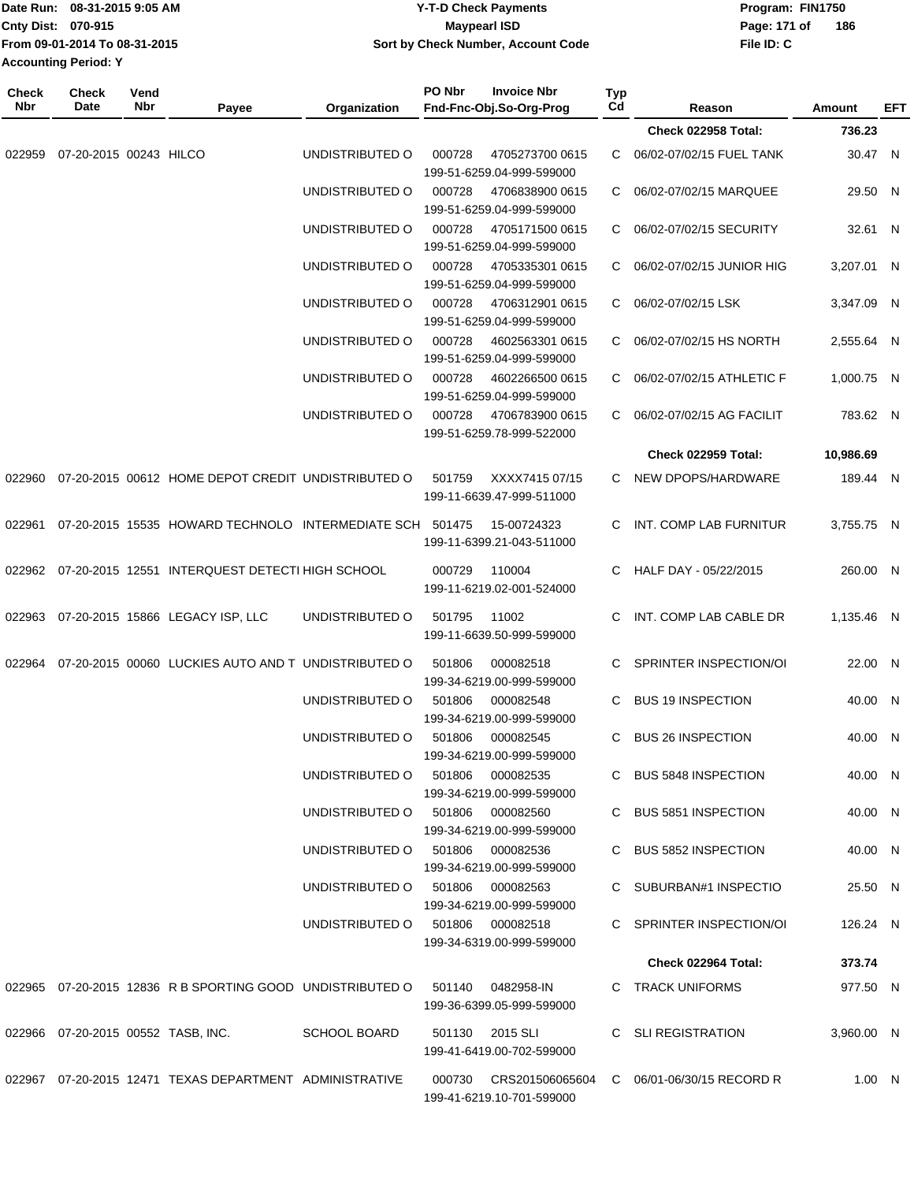|              | Date Run: 08-31-2015 9:05 AM  |             |                                                                             |                                  |        | <b>Y-T-D Check Payments</b>                                               |                  |                            | Program: FIN1750 |     |
|--------------|-------------------------------|-------------|-----------------------------------------------------------------------------|----------------------------------|--------|---------------------------------------------------------------------------|------------------|----------------------------|------------------|-----|
|              | Cnty Dist: 070-915            |             |                                                                             |                                  |        | <b>Maypearl ISD</b>                                                       |                  | Page: 171 of               | 186              |     |
|              | From 09-01-2014 To 08-31-2015 |             |                                                                             |                                  |        | Sort by Check Number, Account Code                                        |                  | File ID: C                 |                  |     |
|              | <b>Accounting Period: Y</b>   |             |                                                                             |                                  |        |                                                                           |                  |                            |                  |     |
| Check<br>Nbr | <b>Check</b><br>Date          | Vend<br>Nbr | Payee                                                                       | Organization                     | PO Nbr | <b>Invoice Nbr</b><br>Fnd-Fnc-Obj.So-Org-Prog                             | <b>Typ</b><br>Cd | Reason                     | Amount           | EFT |
|              |                               |             |                                                                             |                                  |        |                                                                           |                  | Check 022958 Total:        | 736.23           |     |
| 022959       | 07-20-2015 00243 HILCO        |             |                                                                             | UNDISTRIBUTED O                  | 000728 | 4705273700 0615                                                           | C.               | 06/02-07/02/15 FUEL TANK   | 30.47 N          |     |
|              |                               |             |                                                                             | UNDISTRIBUTED O                  | 000728 | 199-51-6259.04-999-599000<br>4706838900 0615                              | C.               | 06/02-07/02/15 MARQUEE     | 29.50 N          |     |
|              |                               |             |                                                                             | UNDISTRIBUTED O                  | 000728 | 199-51-6259.04-999-599000<br>4705171500 0615                              | C                | 06/02-07/02/15 SECURITY    | 32.61 N          |     |
|              |                               |             |                                                                             | UNDISTRIBUTED O                  | 000728 | 199-51-6259.04-999-599000<br>4705335301 0615                              | C                | 06/02-07/02/15 JUNIOR HIG  | 3,207.01 N       |     |
|              |                               |             |                                                                             | UNDISTRIBUTED O                  | 000728 | 199-51-6259.04-999-599000<br>4706312901 0615                              | C                | 06/02-07/02/15 LSK         | 3,347.09 N       |     |
|              |                               |             |                                                                             | UNDISTRIBUTED O                  | 000728 | 199-51-6259.04-999-599000<br>4602563301 0615                              | C                | 06/02-07/02/15 HS NORTH    | 2,555.64 N       |     |
|              |                               |             |                                                                             | UNDISTRIBUTED O                  | 000728 | 199-51-6259.04-999-599000<br>4602266500 0615                              | C                | 06/02-07/02/15 ATHLETIC F  | 1,000.75 N       |     |
|              |                               |             |                                                                             | UNDISTRIBUTED O                  | 000728 | 199-51-6259.04-999-599000<br>4706783900 0615<br>199-51-6259.78-999-522000 | C.               | 06/02-07/02/15 AG FACILIT  | 783.62 N         |     |
|              |                               |             |                                                                             |                                  |        |                                                                           |                  | <b>Check 022959 Total:</b> | 10,986.69        |     |
| 022960       |                               |             | 07-20-2015 00612 HOME DEPOT CREDIT UNDISTRIBUTED O                          |                                  | 501759 | XXXX7415 07/15<br>199-11-6639.47-999-511000                               | C.               | NEW DPOPS/HARDWARE         | 189.44 N         |     |
| 022961       |                               |             | 07-20-2015 15535 HOWARD TECHNOLO INTERMEDIATE SCH 501475                    |                                  |        | 15-00724323<br>199-11-6399.21-043-511000                                  | C                | INT. COMP LAB FURNITUR     | 3,755.75 N       |     |
| 022962       |                               |             | 07-20-2015 12551 INTERQUEST DETECTI HIGH SCHOOL                             |                                  | 000729 | 110004<br>199-11-6219.02-001-524000                                       | C                | HALF DAY - 05/22/2015      | 260.00 N         |     |
| 022963       |                               |             | 07-20-2015 15866 LEGACY ISP, LLC                                            | UNDISTRIBUTED O                  | 501795 | 11002<br>199-11-6639.50-999-599000                                        | C                | INT. COMP LAB CABLE DR     | 1,135.46 N       |     |
|              |                               |             | 022964 07-20-2015 00060 LUCKIES AUTO AND T UNDISTRIBUTED O 501806 000082518 |                                  |        | 199-34-6219.00-999-599000                                                 |                  | C SPRINTER INSPECTION/OI   | 22.00 N          |     |
|              |                               |             |                                                                             | UNDISTRIBUTED O                  |        | 501806 000082548<br>199-34-6219.00-999-599000                             |                  | C BUS 19 INSPECTION        | 40.00 N          |     |
|              |                               |             |                                                                             | UNDISTRIBUTED O 501806 000082545 |        | 199-34-6219.00-999-599000                                                 |                  | C BUS 26 INSPECTION        | 40.00 N          |     |
|              |                               |             |                                                                             | UNDISTRIBUTED O 501806 000082535 |        | 199-34-6219.00-999-599000                                                 |                  | C BUS 5848 INSPECTION      | 40.00 N          |     |
|              |                               |             |                                                                             | UNDISTRIBUTED O 501806 000082560 |        | 199-34-6219.00-999-599000                                                 |                  | C BUS 5851 INSPECTION      | 40.00 N          |     |
|              |                               |             |                                                                             | UNDISTRIBUTED O 501806 000082536 |        | 199-34-6219.00-999-599000                                                 |                  | C BUS 5852 INSPECTION      | 40.00 N          |     |
|              |                               |             |                                                                             | UNDISTRIBUTED O 501806 000082563 |        | 199-34-6219.00-999-599000                                                 |                  | C SUBURBAN#1 INSPECTIO     | 25.50 N          |     |
|              |                               |             |                                                                             | UNDISTRIBUTED O 501806 000082518 |        | 199-34-6319.00-999-599000                                                 |                  | C SPRINTER INSPECTION/OI   | 126.24 N         |     |
|              |                               |             |                                                                             |                                  |        |                                                                           |                  | Check 022964 Total:        | 373.74           |     |
|              |                               |             | 022965 07-20-2015 12836 R B SPORTING GOOD UNDISTRIBUTED O 501140 0482958-IN |                                  |        | 199-36-6399.05-999-599000                                                 |                  | C TRACK UNIFORMS           | 977.50 N         |     |
|              |                               |             | 022966 07-20-2015 00552 TASB, INC.                                          | <b>SCHOOL BOARD</b>              |        | 501130 2015 SLI<br>199-41-6419.00-702-599000                              |                  | C SLI REGISTRATION         | 3,960.00 N       |     |

022967 07-20-2015 12471 TEXAS DEPARTMENT ADMINISTRATIVE 000730 CRS201506065604 C 06/01-06/30/15 RECORD R

199-41-6219.10-701-599000

1.00 N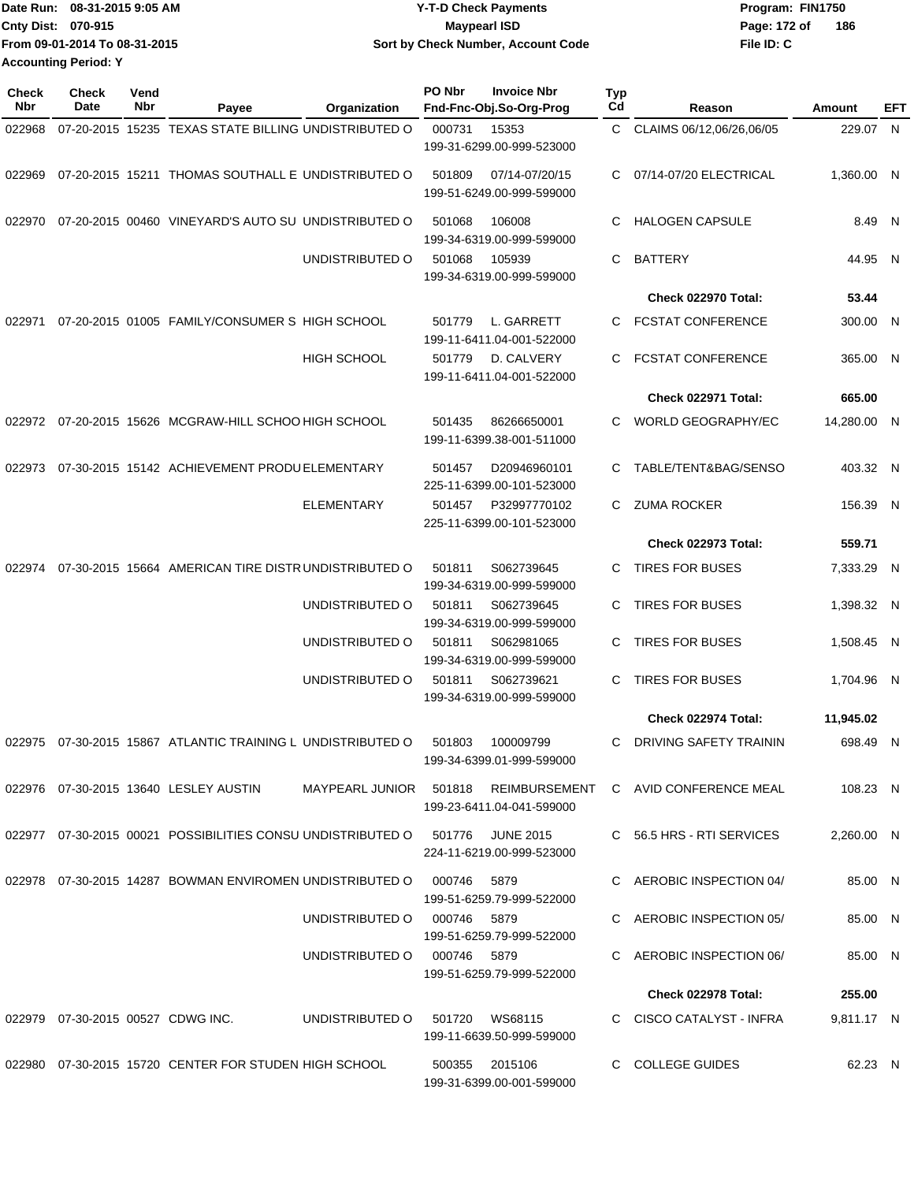| 1Date Run: 08-31-2015 9:05 AM | <b>Y-T-D Check Payments</b>        | Program: FIN1750    |
|-------------------------------|------------------------------------|---------------------|
| Cnty Dist: 070-915            | <b>Mavpearl ISD</b>                | 186<br>Page: 172 of |
| From 09-01-2014 To 08-31-2015 | Sort by Check Number, Account Code | File ID: C          |
| <b>Accounting Period: Y</b>   |                                    |                     |

| <b>Check</b><br>Nbr | Check<br>Date | Vend<br><b>Nbr</b> | Payee                                                       | Organization                | PO Nbr      | <b>Invoice Nbr</b><br>Fnd-Fnc-Obj.So-Org-Prog | <b>Typ</b><br>Cd | Reason                                                      | Amount      | EFT |
|---------------------|---------------|--------------------|-------------------------------------------------------------|-----------------------------|-------------|-----------------------------------------------|------------------|-------------------------------------------------------------|-------------|-----|
| 022968              |               |                    | 07-20-2015 15235 TEXAS STATE BILLING UNDISTRIBUTED O        |                             | 000731      | 15353<br>199-31-6299.00-999-523000            | C.               | CLAIMS 06/12,06/26,06/05                                    | 229.07 N    |     |
| 022969              |               |                    | 07-20-2015 15211 THOMAS SOUTHALL E UNDISTRIBUTED O          |                             | 501809      | 07/14-07/20/15<br>199-51-6249.00-999-599000   | C.               | 07/14-07/20 ELECTRICAL                                      | 1,360.00 N  |     |
| 022970              |               |                    | 07-20-2015 00460 VINEYARD'S AUTO SU UNDISTRIBUTED O         |                             | 501068      | 106008<br>199-34-6319.00-999-599000           | C                | <b>HALOGEN CAPSULE</b>                                      | 8.49 N      |     |
|                     |               |                    |                                                             | UNDISTRIBUTED O             | 501068      | 105939<br>199-34-6319.00-999-599000           | C                | <b>BATTERY</b>                                              | 44.95 N     |     |
|                     |               |                    |                                                             |                             |             |                                               |                  | Check 022970 Total:                                         | 53.44       |     |
| 022971              |               |                    | 07-20-2015 01005 FAMILY/CONSUMER S HIGH SCHOOL              |                             | 501779      | L. GARRETT<br>199-11-6411.04-001-522000       | C.               | <b>FCSTAT CONFERENCE</b>                                    | 300.00 N    |     |
|                     |               |                    |                                                             | <b>HIGH SCHOOL</b>          | 501779      | D. CALVERY<br>199-11-6411.04-001-522000       | C                | <b>FCSTAT CONFERENCE</b>                                    | 365.00 N    |     |
|                     |               |                    |                                                             |                             |             |                                               |                  | Check 022971 Total:                                         | 665.00      |     |
|                     |               |                    | 022972 07-20-2015 15626 MCGRAW-HILL SCHOO HIGH SCHOOL       |                             | 501435      | 86266650001<br>199-11-6399.38-001-511000      | C.               | <b>WORLD GEOGRAPHY/EC</b>                                   | 14,280.00 N |     |
| 022973              |               |                    | 07-30-2015 15142 ACHIEVEMENT PRODU ELEMENTARY               |                             | 501457      | D20946960101<br>225-11-6399.00-101-523000     | C                | TABLE/TENT&BAG/SENSO                                        | 403.32 N    |     |
|                     |               |                    |                                                             | <b>ELEMENTARY</b>           | 501457      | P32997770102<br>225-11-6399.00-101-523000     | C.               | <b>ZUMA ROCKER</b>                                          | 156.39 N    |     |
|                     |               |                    |                                                             |                             |             |                                               |                  | Check 022973 Total:                                         | 559.71      |     |
| 022974              |               |                    | 07-30-2015 15664 AMERICAN TIRE DISTRUNDISTRIBUTED O         |                             | 501811      | S062739645<br>199-34-6319.00-999-599000       | C.               | <b>TIRES FOR BUSES</b>                                      | 7,333.29 N  |     |
|                     |               |                    |                                                             | UNDISTRIBUTED O             | 501811      | S062739645<br>199-34-6319.00-999-599000       | C                | <b>TIRES FOR BUSES</b>                                      | 1,398.32 N  |     |
|                     |               |                    |                                                             | UNDISTRIBUTED O             | 501811      | S062981065<br>199-34-6319.00-999-599000       | C                | <b>TIRES FOR BUSES</b>                                      | 1,508.45 N  |     |
|                     |               |                    |                                                             | UNDISTRIBUTED O             | 501811      | S062739621<br>199-34-6319.00-999-599000       | C                | <b>TIRES FOR BUSES</b>                                      | 1,704.96 N  |     |
|                     |               |                    |                                                             |                             |             |                                               |                  | Check 022974 Total:                                         | 11,945.02   |     |
|                     |               |                    | 022975 07-30-2015 15867 ATLANTIC TRAINING L UNDISTRIBUTED O |                             | 501803      | 100009799<br>199-34-6399.01-999-599000        | C                | <b>DRIVING SAFETY TRAININ</b>                               | 698.49 N    |     |
|                     |               |                    | 022976 07-30-2015 13640 LESLEY AUSTIN                       |                             |             | 199-23-6411.04-041-599000                     |                  | MAYPEARL JUNIOR 501818 REIMBURSEMENT C AVID CONFERENCE MEAL | 108.23 N    |     |
|                     |               |                    | 022977 07-30-2015 00021 POSSIBILITIES CONSU UNDISTRIBUTED O |                             | 501776      | JUNE 2015<br>224-11-6219.00-999-523000        |                  | C 56.5 HRS - RTI SERVICES                                   | 2.260.00 N  |     |
|                     |               |                    | 022978 07-30-2015 14287 BOWMAN ENVIROMEN UNDISTRIBUTED O    |                             | 000746      | 5879<br>199-51-6259.79-999-522000             |                  | C AEROBIC INSPECTION 04/                                    | 85.00 N     |     |
|                     |               |                    |                                                             | UNDISTRIBUTED O             | 000746 5879 | 199-51-6259.79-999-522000                     |                  | C AEROBIC INSPECTION 05/                                    | 85.00 N     |     |
|                     |               |                    |                                                             | UNDISTRIBUTED O 000746 5879 |             | 199-51-6259.79-999-522000                     |                  | C AEROBIC INSPECTION 06/                                    | 85.00 N     |     |
|                     |               |                    |                                                             |                             |             |                                               |                  | <b>Check 022978 Total:</b>                                  | 255.00      |     |
|                     |               |                    | 022979  07-30-2015  00527  CDWG INC.                        | UNDISTRIBUTED O             |             | 501720 WS68115<br>199-11-6639.50-999-599000   |                  | C CISCO CATALYST - INFRA                                    | 9,811.17 N  |     |
|                     |               |                    | 022980  07-30-2015  15720  CENTER FOR STUDEN HIGH SCHOOL    |                             |             | 500355 2015106<br>199-31-6399.00-001-599000   |                  | C COLLEGE GUIDES                                            | 62.23 N     |     |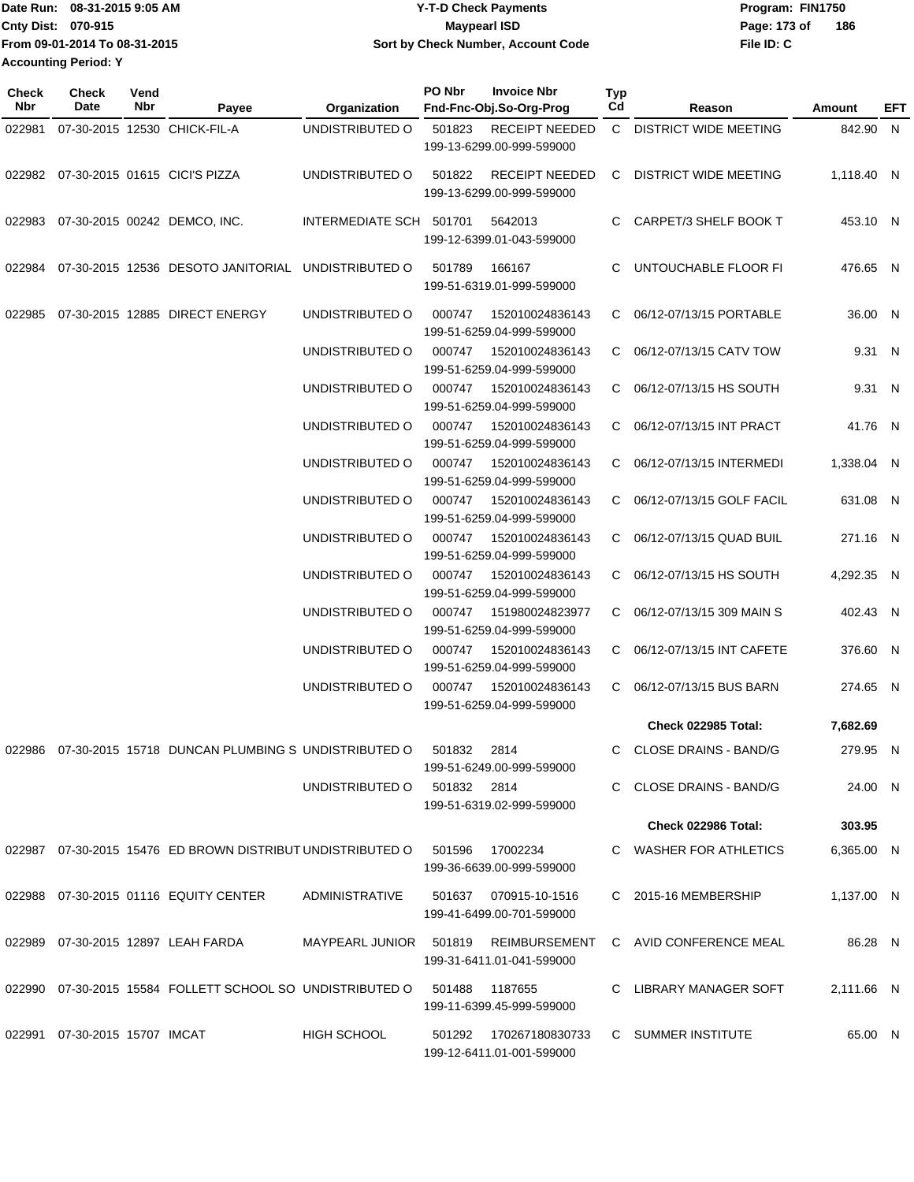| IDate Run: 08-31-2015 9:05 AM | <b>Y-T-D Check Payments</b>        | Program: FIN1750    |
|-------------------------------|------------------------------------|---------------------|
| <b>Cnty Dist: 070-915</b>     | <b>Maypearl ISD</b>                | 186<br>Page: 173 of |
| From 09-01-2014 To 08-31-2015 | Sort by Check Number, Account Code | File ID: C          |
| <b>Accounting Period: Y</b>   |                                    |                     |

| Check<br>Nbr | Check<br>Date                    | Vend<br>Nbr | Payee                                                         | Organization                         | PO Nbr | <b>Invoice Nbr</b><br>Fnd-Fnc-Obj.So-Org-Prog          | <b>Typ</b><br>Cd | Reason                       | Amount     | EFT |
|--------------|----------------------------------|-------------|---------------------------------------------------------------|--------------------------------------|--------|--------------------------------------------------------|------------------|------------------------------|------------|-----|
| 022981       |                                  |             | 07-30-2015 12530 CHICK-FIL-A                                  | UNDISTRIBUTED O                      | 501823 | <b>RECEIPT NEEDED</b><br>199-13-6299.00-999-599000     |                  | C DISTRICT WIDE MEETING      | 842.90 N   |     |
| 022982       |                                  |             | 07-30-2015 01615 CICI'S PIZZA                                 | UNDISTRIBUTED O                      | 501822 | <b>RECEIPT NEEDED</b><br>199-13-6299.00-999-599000     | C                | <b>DISTRICT WIDE MEETING</b> | 1.118.40 N |     |
| 022983       |                                  |             | 07-30-2015 00242 DEMCO, INC.                                  | INTERMEDIATE SCH 501701              |        | 5642013<br>199-12-6399.01-043-599000                   | C.               | CARPET/3 SHELF BOOK T        | 453.10 N   |     |
| 022984       |                                  |             | 07-30-2015 12536 DESOTO JANITORIAL                            | UNDISTRIBUTED O                      | 501789 | 166167<br>199-51-6319.01-999-599000                    | C                | UNTOUCHABLE FLOOR FI         | 476.65 N   |     |
| 022985       |                                  |             | 07-30-2015 12885 DIRECT ENERGY                                | UNDISTRIBUTED O                      | 000747 | 152010024836143<br>199-51-6259.04-999-599000           |                  | C 06/12-07/13/15 PORTABLE    | 36.00 N    |     |
|              |                                  |             |                                                               | UNDISTRIBUTED O                      | 000747 | 152010024836143<br>199-51-6259.04-999-599000           |                  | C 06/12-07/13/15 CATV TOW    | 9.31 N     |     |
|              |                                  |             |                                                               | UNDISTRIBUTED O                      | 000747 | 152010024836143<br>199-51-6259.04-999-599000           |                  | C 06/12-07/13/15 HS SOUTH    | 9.31 N     |     |
|              |                                  |             |                                                               | UNDISTRIBUTED O                      | 000747 | 152010024836143<br>199-51-6259.04-999-599000           |                  | C 06/12-07/13/15 INT PRACT   | 41.76 N    |     |
|              |                                  |             |                                                               | UNDISTRIBUTED O                      | 000747 | 152010024836143<br>199-51-6259.04-999-599000           | C.               | 06/12-07/13/15 INTERMEDI     | 1,338.04 N |     |
|              |                                  |             |                                                               | UNDISTRIBUTED O                      | 000747 | 152010024836143<br>199-51-6259.04-999-599000           | C.               | 06/12-07/13/15 GOLF FACIL    | 631.08 N   |     |
|              |                                  |             |                                                               | UNDISTRIBUTED O                      | 000747 | 152010024836143<br>199-51-6259.04-999-599000           | C                | 06/12-07/13/15 QUAD BUIL     | 271.16 N   |     |
|              |                                  |             |                                                               | UNDISTRIBUTED O                      | 000747 | 152010024836143<br>199-51-6259.04-999-599000           | C.               | 06/12-07/13/15 HS SOUTH      | 4,292.35 N |     |
|              |                                  |             |                                                               | UNDISTRIBUTED O                      | 000747 | 151980024823977<br>199-51-6259.04-999-599000           |                  | C 06/12-07/13/15 309 MAIN S  | 402.43 N   |     |
|              |                                  |             |                                                               | UNDISTRIBUTED O                      | 000747 | 152010024836143<br>199-51-6259.04-999-599000           | C.               | 06/12-07/13/15 INT CAFETE    | 376.60 N   |     |
|              |                                  |             |                                                               | UNDISTRIBUTED O                      | 000747 | 152010024836143<br>199-51-6259.04-999-599000           | C.               | 06/12-07/13/15 BUS BARN      | 274.65 N   |     |
|              |                                  |             |                                                               |                                      |        |                                                        |                  | <b>Check 022985 Total:</b>   | 7,682.69   |     |
| 022986       |                                  |             | 07-30-2015 15718 DUNCAN PLUMBING S UNDISTRIBUTED O            |                                      | 501832 | 2814                                                   |                  | C CLOSE DRAINS - BAND/G      | 279.95 N   |     |
|              |                                  |             |                                                               | UNDISTRIBUTED O 501832 2814          |        | 199-51-6249.00-999-599000<br>199-51-6319.02-999-599000 |                  | C CLOSE DRAINS - BAND/G      | 24.00 N    |     |
|              |                                  |             |                                                               |                                      |        |                                                        |                  | Check 022986 Total:          |            |     |
|              |                                  |             |                                                               |                                      |        |                                                        |                  |                              | 303.95     |     |
|              |                                  |             | 022987  07-30-2015  15476  ED BROWN DISTRIBUT UNDISTRIBUTED O |                                      | 501596 | 17002234<br>199-36-6639.00-999-599000                  |                  | C WASHER FOR ATHLETICS       | 6,365.00 N |     |
|              |                                  |             | 022988 07-30-2015 01116 EQUITY CENTER                         | ADMINISTRATIVE                       |        | 501637 070915-10-1516<br>199-41-6499.00-701-599000     |                  | C 2015-16 MEMBERSHIP         | 1,137.00 N |     |
|              |                                  |             | 022989 07-30-2015 12897 LEAH FARDA                            | MAYPEARL JUNIOR 501819 REIMBURSEMENT |        | 199-31-6411.01-041-599000                              |                  | C AVID CONFERENCE MEAL       | 86.28 N    |     |
|              |                                  |             | 022990 07-30-2015 15584 FOLLETT SCHOOL SO UNDISTRIBUTED O     |                                      | 501488 | 1187655<br>199-11-6399.45-999-599000                   |                  | C LIBRARY MANAGER SOFT       | 2,111.66 N |     |
|              | 022991  07-30-2015  15707  IMCAT |             |                                                               | <b>HIGH SCHOOL</b>                   |        | 501292 170267180830733<br>199-12-6411.01-001-599000    |                  | C SUMMER INSTITUTE           | 65.00 N    |     |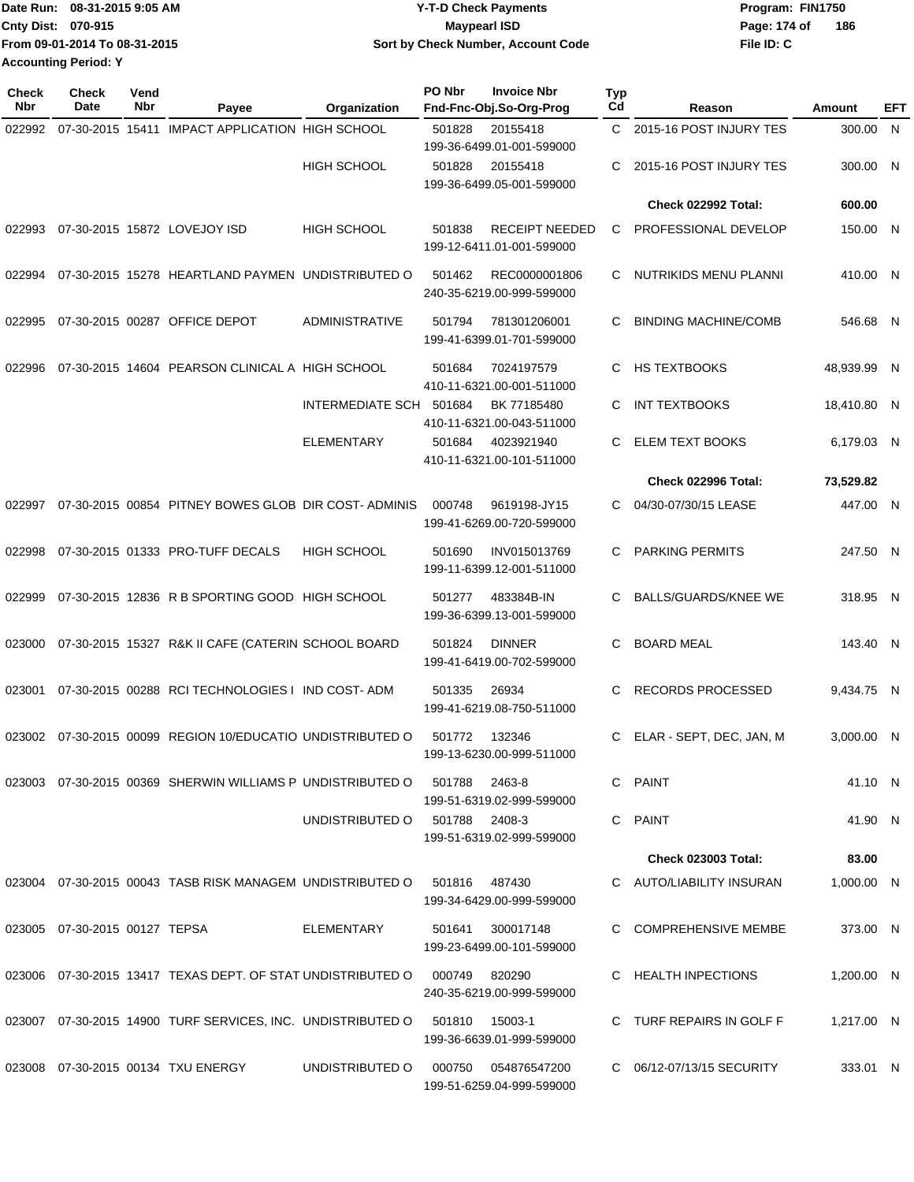|                             | Date Run: 08-31-2015 9:05 AM  | <b>Y-T-D Check Payments</b>        | Program: FIN1750    |
|-----------------------------|-------------------------------|------------------------------------|---------------------|
| <b>Cnty Dist: 070-915</b>   |                               | <b>Mavpearl ISD</b>                | 186<br>Page: 174 of |
|                             | From 09-01-2014 To 08-31-2015 | Sort by Check Number, Account Code | File ID: C          |
| <b>Accounting Period: Y</b> |                               |                                    |                     |

| <b>Check</b><br>Nbr | <b>Check</b><br>Date             | Vend<br>Nbr | Payee                                                                          | Organization                  | PO Nbr | <b>Invoice Nbr</b><br>Fnd-Fnc-Obj.So-Org-Prog      | <b>Typ</b><br>Cd | Reason                       | Amount      | EFT |
|---------------------|----------------------------------|-------------|--------------------------------------------------------------------------------|-------------------------------|--------|----------------------------------------------------|------------------|------------------------------|-------------|-----|
| 022992              |                                  |             | 07-30-2015 15411 IMPACT APPLICATION HIGH SCHOOL                                |                               | 501828 | 20155418<br>199-36-6499.01-001-599000              | C.               | 2015-16 POST INJURY TES      | 300.00 N    |     |
|                     |                                  |             |                                                                                | <b>HIGH SCHOOL</b>            | 501828 | 20155418<br>199-36-6499.05-001-599000              | C                | 2015-16 POST INJURY TES      | 300.00 N    |     |
|                     |                                  |             |                                                                                |                               |        |                                                    |                  | Check 022992 Total:          | 600.00      |     |
| 022993              |                                  |             | 07-30-2015 15872 LOVEJOY ISD                                                   | <b>HIGH SCHOOL</b>            | 501838 | <b>RECEIPT NEEDED</b><br>199-12-6411.01-001-599000 | C                | PROFESSIONAL DEVELOP         | 150.00 N    |     |
| 022994              |                                  |             | 07-30-2015 15278 HEARTLAND PAYMEN UNDISTRIBUTED O                              |                               | 501462 | REC0000001806<br>240-35-6219.00-999-599000         | C                | <b>NUTRIKIDS MENU PLANNI</b> | 410.00 N    |     |
| 022995              |                                  |             | 07-30-2015 00287 OFFICE DEPOT                                                  | ADMINISTRATIVE                | 501794 | 781301206001<br>199-41-6399.01-701-599000          | C                | <b>BINDING MACHINE/COMB</b>  | 546.68 N    |     |
| 022996              |                                  |             | 07-30-2015 14604 PEARSON CLINICAL A HIGH SCHOOL                                |                               | 501684 | 7024197579<br>410-11-6321.00-001-511000            | C                | <b>HS TEXTBOOKS</b>          | 48,939.99 N |     |
|                     |                                  |             |                                                                                | INTERMEDIATE SCH              | 501684 | BK 77185480<br>410-11-6321.00-043-511000           | C                | <b>INT TEXTBOOKS</b>         | 18,410.80 N |     |
|                     |                                  |             |                                                                                | <b>ELEMENTARY</b>             | 501684 | 4023921940<br>410-11-6321.00-101-511000            | С                | <b>ELEM TEXT BOOKS</b>       | 6,179.03 N  |     |
|                     |                                  |             |                                                                                |                               |        |                                                    |                  | Check 022996 Total:          | 73,529.82   |     |
| 022997              |                                  |             | 07-30-2015 00854 PITNEY BOWES GLOB DIR COST-ADMINIS                            |                               | 000748 | 9619198-JY15<br>199-41-6269.00-720-599000          | С                | 04/30-07/30/15 LEASE         | 447.00 N    |     |
| 022998              |                                  |             | 07-30-2015 01333 PRO-TUFF DECALS                                               | <b>HIGH SCHOOL</b>            | 501690 | INV015013769<br>199-11-6399.12-001-511000          | С                | <b>PARKING PERMITS</b>       | 247.50 N    |     |
| 022999              |                                  |             | 07-30-2015 12836 R B SPORTING GOOD HIGH SCHOOL                                 |                               | 501277 | 483384B-IN<br>199-36-6399.13-001-599000            | С                | <b>BALLS/GUARDS/KNEE WE</b>  | 318.95 N    |     |
| 023000              |                                  |             | 07-30-2015 15327 R&K II CAFE (CATERIN SCHOOL BOARD                             |                               | 501824 | <b>DINNER</b><br>199-41-6419.00-702-599000         | С                | <b>BOARD MEAL</b>            | 143.40 N    |     |
| 023001              |                                  |             | 07-30-2015 00288 RCI TECHNOLOGIES I IND COST-ADM                               |                               | 501335 | 26934<br>199-41-6219.08-750-511000                 | C                | <b>RECORDS PROCESSED</b>     | 9,434.75 N  |     |
|                     |                                  |             | 023002 07-30-2015 00099 REGION 10/EDUCATIO UNDISTRIBUTED O                     |                               | 501772 | 132346<br>199-13-6230.00-999-511000                | C                | ELAR - SEPT, DEC, JAN, M     | 3.000.00 N  |     |
|                     |                                  |             |                                                                                |                               |        | 2463-8<br>199-51-6319.02-999-599000                |                  | C PAINT                      | 41.10 N     |     |
|                     |                                  |             |                                                                                | UNDISTRIBUTED O 501788 2408-3 |        | 199-51-6319.02-999-599000                          |                  | C PAINT                      | 41.90 N     |     |
|                     |                                  |             |                                                                                |                               |        |                                                    |                  | <b>Check 023003 Total:</b>   | 83.00       |     |
|                     |                                  |             | 023004 07-30-2015 00043 TASB RISK MANAGEM UNDISTRIBUTED O 501816 487430        |                               |        | 199-34-6429.00-999-599000                          |                  | C AUTO/LIABILITY INSURAN     | 1,000.00 N  |     |
|                     | 023005  07-30-2015  00127  TEPSA |             |                                                                                | ELEMENTARY                    | 501641 | 300017148<br>199-23-6499.00-101-599000             |                  | C COMPREHENSIVE MEMBE        | 373.00 N    |     |
|                     |                                  |             | 023006  07-30-2015  13417  TEXAS DEPT. OF STAT UNDISTRIBUTED O  000749  820290 |                               |        | 240-35-6219.00-999-599000                          |                  | C HEALTH INPECTIONS          | 1,200.00 N  |     |
|                     |                                  |             | 023007 07-30-2015 14900 TURF SERVICES, INC. UNDISTRIBUTED O 501810 15003-1     |                               |        | 199-36-6639.01-999-599000                          |                  | C TURF REPAIRS IN GOLF F     | 1,217.00 N  |     |
|                     |                                  |             | 023008 07-30-2015 00134 TXU ENERGY                                             | UNDISTRIBUTED O               | 000750 | 054876547200<br>199-51-6259.04-999-599000          |                  | C 06/12-07/13/15 SECURITY    | 333.01 N    |     |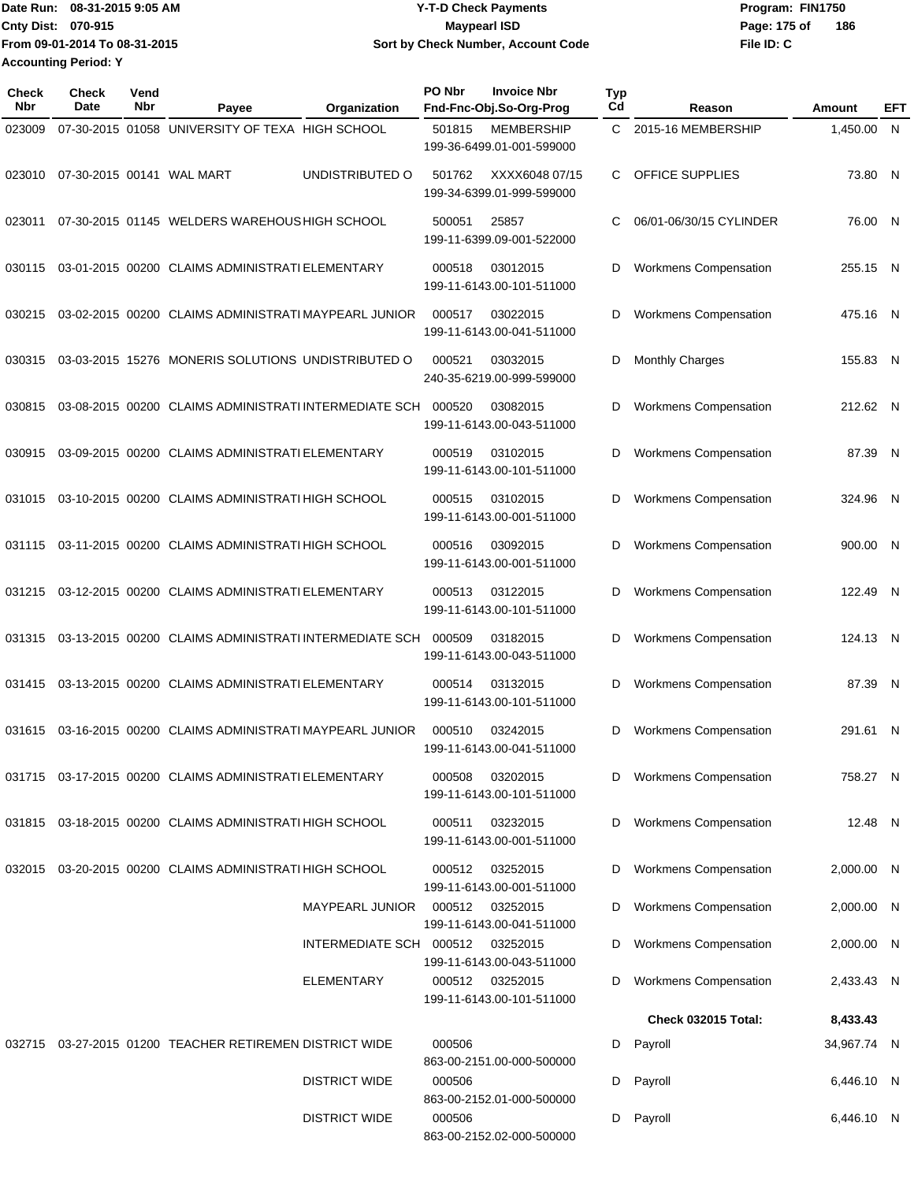Date Run: 08-31-2015 9:05 AM **Date Run:** 08-31-2015 9:05 AM **Cnty Dist:** 070-915 **Page: 175 of** Maypearl ISD **CONTEX IS A RESERVE ASSESS** OF  $\overline{P}$  and  $\overline{P}$  **Page: 175 of From 09-01-2014 To 08-31-2015 08-31-2015 9:05 AM Y-T-D Check Payments 070-915 Maypearl ISD Sort by Check Number, Account Code Accounting Period: Y**

**File ID: C 186**

| <b>Check</b><br>Nbr | Check<br>Date | Vend<br>Nbr | Payee                                                   | Organization            | PO Nbr | <b>Invoice Nbr</b><br>Fnd-Fnc-Obj.So-Org-Prog  | Typ<br>Cd | Reason                       | Amount      | EFT |
|---------------------|---------------|-------------|---------------------------------------------------------|-------------------------|--------|------------------------------------------------|-----------|------------------------------|-------------|-----|
| 023009              |               |             | 07-30-2015 01058 UNIVERSITY OF TEXA HIGH SCHOOL         |                         | 501815 | <b>MEMBERSHIP</b><br>199-36-6499.01-001-599000 | C         | 2015-16 MEMBERSHIP           | 1,450.00    | N.  |
| 023010              |               |             | 07-30-2015 00141 WAL MART                               | UNDISTRIBUTED O         | 501762 | XXXX6048 07/15<br>199-34-6399.01-999-599000    | C         | OFFICE SUPPLIES              | 73.80 N     |     |
| 023011              |               |             | 07-30-2015 01145 WELDERS WAREHOUS HIGH SCHOOL           |                         | 500051 | 25857<br>199-11-6399.09-001-522000             | С         | 06/01-06/30/15 CYLINDER      | 76.00 N     |     |
| 030115              |               |             | 03-01-2015 00200 CLAIMS ADMINISTRATI ELEMENTARY         |                         | 000518 | 03012015<br>199-11-6143.00-101-511000          | D         | <b>Workmens Compensation</b> | 255.15 N    |     |
| 030215              |               |             | 03-02-2015 00200 CLAIMS ADMINISTRATI MAYPEARL JUNIOR    |                         | 000517 | 03022015<br>199-11-6143.00-041-511000          | D         | <b>Workmens Compensation</b> | 475.16 N    |     |
| 030315              |               |             | 03-03-2015 15276 MONERIS SOLUTIONS UNDISTRIBUTED O      |                         | 000521 | 03032015<br>240-35-6219.00-999-599000          | D         | Monthly Charges              | 155.83 N    |     |
| 030815              |               |             | 03-08-2015 00200 CLAIMS ADMINISTRATI INTERMEDIATE SCH   |                         | 000520 | 03082015<br>199-11-6143.00-043-511000          | D         | <b>Workmens Compensation</b> | 212.62 N    |     |
| 030915              |               |             | 03-09-2015 00200 CLAIMS ADMINISTRATI ELEMENTARY         |                         | 000519 | 03102015<br>199-11-6143.00-101-511000          | D         | <b>Workmens Compensation</b> | 87.39 N     |     |
| 031015              |               |             | 03-10-2015 00200 CLAIMS ADMINISTRATI HIGH SCHOOL        |                         | 000515 | 03102015<br>199-11-6143.00-001-511000          | D         | <b>Workmens Compensation</b> | 324.96 N    |     |
| 031115              |               |             | 03-11-2015 00200 CLAIMS ADMINISTRATI HIGH SCHOOL        |                         | 000516 | 03092015<br>199-11-6143.00-001-511000          | D         | <b>Workmens Compensation</b> | 900.00      | - N |
| 031215              |               |             | 03-12-2015 00200 CLAIMS ADMINISTRATI ELEMENTARY         |                         | 000513 | 03122015<br>199-11-6143.00-101-511000          | D         | <b>Workmens Compensation</b> | 122.49 N    |     |
| 031315              |               |             | 03-13-2015 00200 CLAIMS ADMINISTRATI INTERMEDIATE SCH   |                         | 000509 | 03182015<br>199-11-6143.00-043-511000          | D         | <b>Workmens Compensation</b> | 124.13 N    |     |
| 031415              |               |             | 03-13-2015 00200 CLAIMS ADMINISTRATI ELEMENTARY         |                         | 000514 | 03132015<br>199-11-6143.00-101-511000          | D         | <b>Workmens Compensation</b> | 87.39       | - N |
| 031615              |               |             | 03-16-2015 00200 CLAIMS ADMINISTRATI MAYPEARL JUNIOR    |                         | 000510 | 03242015<br>199-11-6143.00-041-511000          | D         | <b>Workmens Compensation</b> | 291.61 N    |     |
|                     |               |             | 031715 03-17-2015 00200 CLAIMS ADMINISTRATI ELEMENTARY  |                         | 000508 | 03202015<br>199-11-6143.00-101-511000          | D         | <b>Workmens Compensation</b> | 758.27 N    |     |
|                     |               |             | 031815 03-18-2015 00200 CLAIMS ADMINISTRATI HIGH SCHOOL |                         | 000511 | 03232015<br>199-11-6143.00-001-511000          | D         | <b>Workmens Compensation</b> | 12.48 N     |     |
| 032015              |               |             | 03-20-2015 00200 CLAIMS ADMINISTRATI HIGH SCHOOL        |                         | 000512 | 03252015<br>199-11-6143.00-001-511000          | D         | <b>Workmens Compensation</b> | 2.000.00 N  |     |
|                     |               |             |                                                         | <b>MAYPEARL JUNIOR</b>  | 000512 | 03252015<br>199-11-6143.00-041-511000          | D         | <b>Workmens Compensation</b> | 2,000.00 N  |     |
|                     |               |             |                                                         | INTERMEDIATE SCH 000512 |        | 03252015<br>199-11-6143.00-043-511000          | D         | <b>Workmens Compensation</b> | 2,000.00 N  |     |
|                     |               |             |                                                         | ELEMENTARY              | 000512 | 03252015<br>199-11-6143.00-101-511000          | D         | Workmens Compensation        | 2,433.43 N  |     |
|                     |               |             |                                                         |                         |        |                                                |           | Check 032015 Total:          | 8,433.43    |     |
|                     |               |             | 032715 03-27-2015 01200 TEACHER RETIREMEN DISTRICT WIDE |                         | 000506 | 863-00-2151.00-000-500000                      | D         | Payroll                      | 34,967.74 N |     |
|                     |               |             |                                                         | <b>DISTRICT WIDE</b>    | 000506 | 863-00-2152.01-000-500000                      | D         | Payroll                      | 6,446.10 N  |     |
|                     |               |             |                                                         | <b>DISTRICT WIDE</b>    | 000506 | 863-00-2152.02-000-500000                      | D         | Payroll                      | 6,446.10 N  |     |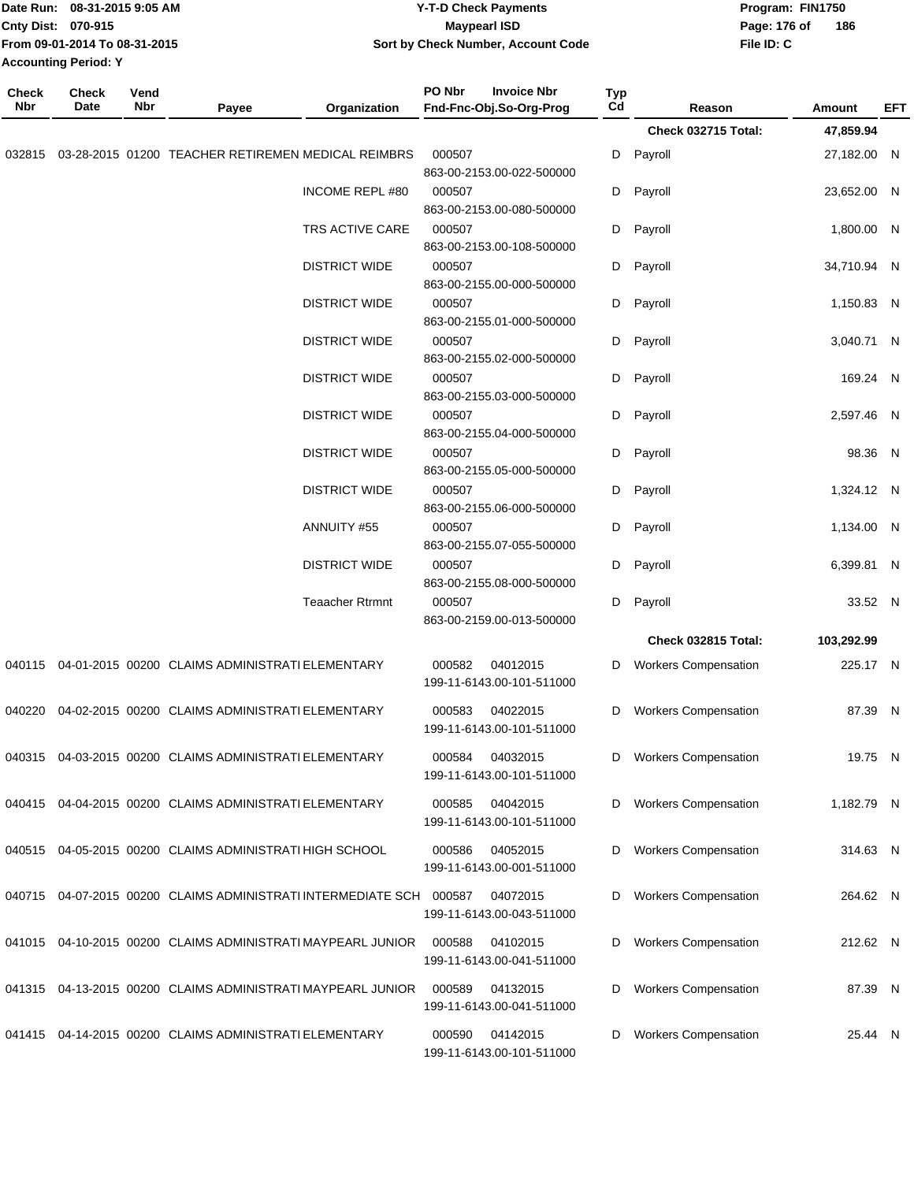|              | Date Run: 08-31-2015 9:05 AM<br>Cnty Dist: 070-915<br>From 09-01-2014 To 08-31-2015<br><b>Accounting Period: Y</b> |             |                                                              |                        | <b>Y-T-D Check Payments</b><br><b>Maypearl ISD</b><br>Sort by Check Number, Account Code |                  |                             | Program: FIN1750<br>Page: 176 of<br>File ID: C | 186         |     |
|--------------|--------------------------------------------------------------------------------------------------------------------|-------------|--------------------------------------------------------------|------------------------|------------------------------------------------------------------------------------------|------------------|-----------------------------|------------------------------------------------|-------------|-----|
| Check<br>Nbr | <b>Check</b><br>Date                                                                                               | Vend<br>Nbr | Payee                                                        | Organization           | PO Nbr<br><b>Invoice Nbr</b><br>Fnd-Fnc-Obj.So-Org-Prog                                  | <b>Typ</b><br>Cd | Reason                      |                                                | Amount      | EFT |
|              |                                                                                                                    |             |                                                              |                        |                                                                                          |                  | Check 032715 Total:         |                                                | 47,859.94   |     |
| 032815       |                                                                                                                    |             | 03-28-2015 01200 TEACHER RETIREMEN MEDICAL REIMBRS           |                        | 000507<br>863-00-2153.00-022-500000                                                      | D                | Payroll                     |                                                | 27,182.00 N |     |
|              |                                                                                                                    |             |                                                              | INCOME REPL #80        | 000507<br>863-00-2153.00-080-500000                                                      | D                | Payroll                     |                                                | 23,652.00 N |     |
|              |                                                                                                                    |             |                                                              | TRS ACTIVE CARE        | 000507<br>863-00-2153.00-108-500000                                                      | D                | Payroll                     |                                                | 1,800.00 N  |     |
|              |                                                                                                                    |             |                                                              | <b>DISTRICT WIDE</b>   | 000507<br>863-00-2155.00-000-500000                                                      | D                | Payroll                     |                                                | 34,710.94 N |     |
|              |                                                                                                                    |             |                                                              | <b>DISTRICT WIDE</b>   | 000507<br>863-00-2155.01-000-500000                                                      | D                | Payroll                     |                                                | 1,150.83 N  |     |
|              |                                                                                                                    |             |                                                              | <b>DISTRICT WIDE</b>   | 000507<br>863-00-2155.02-000-500000                                                      | D                | Payroll                     |                                                | 3,040.71 N  |     |
|              |                                                                                                                    |             |                                                              | <b>DISTRICT WIDE</b>   | 000507<br>863-00-2155.03-000-500000                                                      | D                | Payroll                     |                                                | 169.24 N    |     |
|              |                                                                                                                    |             |                                                              | <b>DISTRICT WIDE</b>   | 000507<br>863-00-2155.04-000-500000                                                      | D                | Payroll                     |                                                | 2,597.46 N  |     |
|              |                                                                                                                    |             |                                                              | <b>DISTRICT WIDE</b>   | 000507<br>863-00-2155.05-000-500000                                                      | D                | Payroll                     |                                                | 98.36 N     |     |
|              |                                                                                                                    |             |                                                              | <b>DISTRICT WIDE</b>   | 000507<br>863-00-2155.06-000-500000                                                      | D                | Payroll                     |                                                | 1,324.12 N  |     |
|              |                                                                                                                    |             |                                                              | ANNUITY #55            | 000507<br>863-00-2155.07-055-500000                                                      | D                | Payroll                     |                                                | 1,134.00 N  |     |
|              |                                                                                                                    |             |                                                              | <b>DISTRICT WIDE</b>   | 000507<br>863-00-2155.08-000-500000                                                      | D                | Payroll                     |                                                | 6,399.81 N  |     |
|              |                                                                                                                    |             |                                                              | <b>Teaacher Rtrmnt</b> | 000507<br>863-00-2159.00-013-500000                                                      | D                | Payroll                     |                                                | 33.52 N     |     |
|              |                                                                                                                    |             |                                                              |                        |                                                                                          |                  | Check 032815 Total:         |                                                | 103,292.99  |     |
| 040115       |                                                                                                                    |             | 04-01-2015 00200 CLAIMS ADMINISTRATI ELEMENTARY              |                        | 000582<br>04012015<br>199-11-6143.00-101-511000                                          | D                | <b>Workers Compensation</b> |                                                | 225.17 N    |     |
| 040220       |                                                                                                                    |             | 04-02-2015 00200 CLAIMS ADMINISTRATI ELEMENTARY              |                        | 04022015<br>000583<br>199-11-6143.00-101-511000                                          | D                | <b>Workers Compensation</b> |                                                | 87.39 N     |     |
|              |                                                                                                                    |             | 040315 04-03-2015 00200 CLAIMS ADMINISTRATI ELEMENTARY       |                        | 000584<br>04032015<br>199-11-6143.00-101-511000                                          | D                | <b>Workers Compensation</b> |                                                | 19.75 N     |     |
| 040415       |                                                                                                                    |             | 04-04-2015 00200 CLAIMS ADMINISTRATI ELEMENTARY              |                        | 04042015<br>000585<br>199-11-6143.00-101-511000                                          | D                | <b>Workers Compensation</b> |                                                | 1,182.79 N  |     |
|              |                                                                                                                    |             | 040515 04-05-2015 00200 CLAIMS ADMINISTRATI HIGH SCHOOL      |                        | 04052015<br>000586<br>199-11-6143.00-001-511000                                          | D                | <b>Workers Compensation</b> |                                                | 314.63 N    |     |
| 040715       |                                                                                                                    |             | 04-07-2015 00200 CLAIMS ADMINISTRATI INTERMEDIATE SCH 000587 |                        | 04072015<br>199-11-6143.00-043-511000                                                    | D                | <b>Workers Compensation</b> |                                                | 264.62 N    |     |
|              |                                                                                                                    |             | 041015 04-10-2015 00200 CLAIMS ADMINISTRATI MAYPEARL JUNIOR  |                        | 04102015<br>000588                                                                       | D                | <b>Workers Compensation</b> |                                                | 212.62 N    |     |
|              |                                                                                                                    |             | 041315 04-13-2015 00200 CLAIMS ADMINISTRATI MAYPEARL JUNIOR  |                        | 199-11-6143.00-041-511000<br>04132015<br>000589                                          | D                | <b>Workers Compensation</b> |                                                | 87.39 N     |     |
|              |                                                                                                                    |             |                                                              |                        | 199-11-6143.00-041-511000                                                                |                  |                             |                                                |             |     |
| 041415       |                                                                                                                    |             | 04-14-2015 00200 CLAIMS ADMINISTRATI ELEMENTARY              |                        | 000590<br>04142015<br>199-11-6143.00-101-511000                                          | D                | <b>Workers Compensation</b> |                                                | 25.44 N     |     |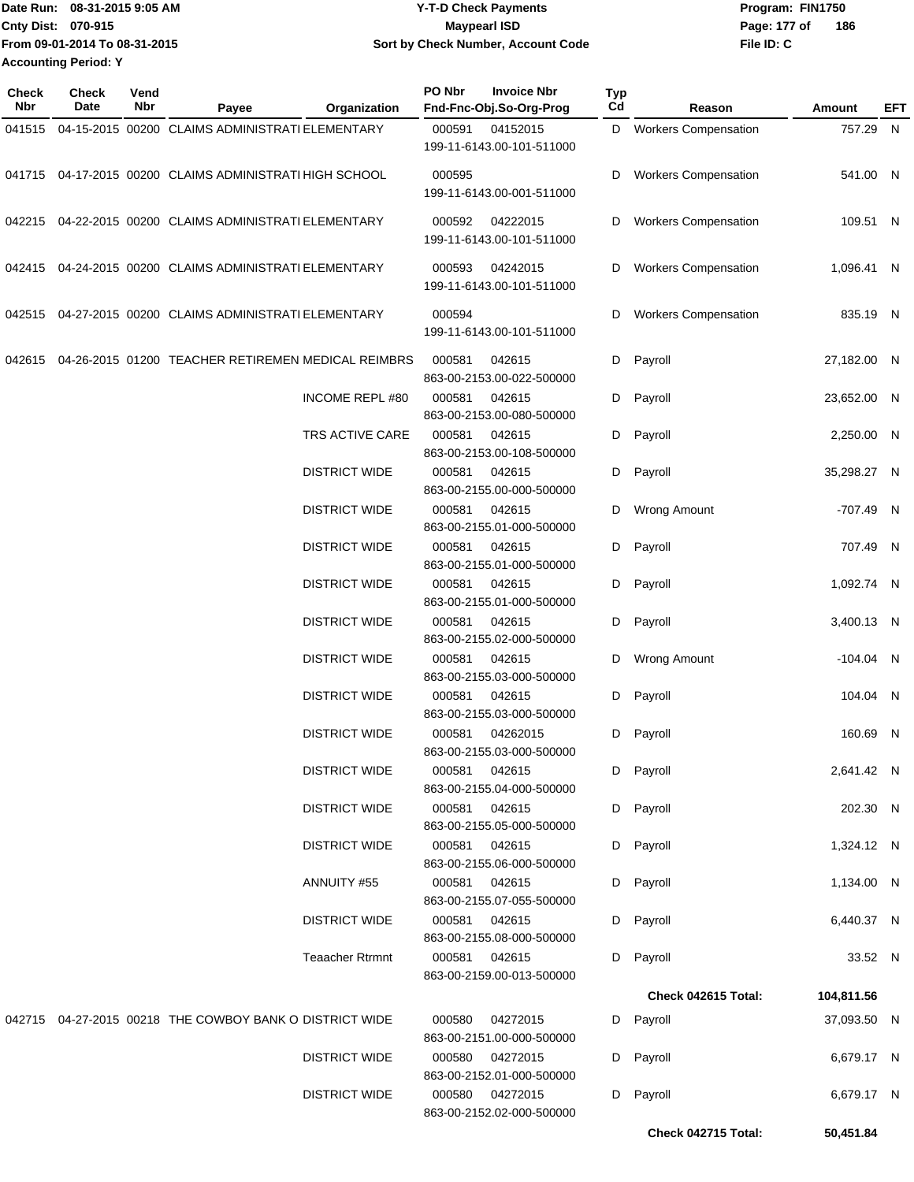Date Run: 08-31-2015 9:05 AM **CONTEX 18 CONTEXNMENT WAS SERVEY THE CHECK Payments Program: FIN1750 Cnty Dist: 070-915 File ID: C From 09-01-2014 To 08-31-2015 08-31-2015 9:05 AM Y-T-D Check Payments 070-915 Maypearl ISD Sort by Check Number, Account Code** Page: 177 of 186 **Accounting Period: Y**

| Check<br>Nbr | <b>Check</b><br>Date | Vend<br><b>Nbr</b> | Payee                                                   | Organization           | PO Nbr        | <b>Invoice Nbr</b><br>Fnd-Fnc-Obj.So-Org-Prog | <b>Typ</b><br>Cd | Reason                      | <b>Amount</b> | EFT |
|--------------|----------------------|--------------------|---------------------------------------------------------|------------------------|---------------|-----------------------------------------------|------------------|-----------------------------|---------------|-----|
| 041515       |                      |                    | 04-15-2015 00200 CLAIMS ADMINISTRATI ELEMENTARY         |                        | 000591        | 04152015<br>199-11-6143.00-101-511000         |                  | D Workers Compensation      | 757.29 N      |     |
|              |                      |                    | 041715 04-17-2015 00200 CLAIMS ADMINISTRATI HIGH SCHOOL |                        | 000595        | 199-11-6143.00-001-511000                     | D                | <b>Workers Compensation</b> | 541.00 N      |     |
|              |                      |                    | 042215 04-22-2015 00200 CLAIMS ADMINISTRATI ELEMENTARY  |                        | 000592        | 04222015<br>199-11-6143.00-101-511000         | D                | <b>Workers Compensation</b> | 109.51 N      |     |
| 042415       |                      |                    | 04-24-2015 00200 CLAIMS ADMINISTRATI ELEMENTARY         |                        | 000593        | 04242015<br>199-11-6143.00-101-511000         | D                | <b>Workers Compensation</b> | 1,096.41 N    |     |
|              |                      |                    | 042515 04-27-2015 00200 CLAIMS ADMINISTRATI ELEMENTARY  |                        | 000594        | 199-11-6143.00-101-511000                     | D                | <b>Workers Compensation</b> | 835.19 N      |     |
| 042615       |                      |                    | 04-26-2015 01200 TEACHER RETIREMEN MEDICAL REIMBRS      |                        | 000581        | 042615<br>863-00-2153.00-022-500000           | D                | Payroll                     | 27,182.00 N   |     |
|              |                      |                    |                                                         | <b>INCOME REPL #80</b> | 000581        | 042615<br>863-00-2153.00-080-500000           | D                | Payroll                     | 23,652.00 N   |     |
|              |                      |                    |                                                         | TRS ACTIVE CARE        | 000581        | 042615<br>863-00-2153.00-108-500000           | D                | Payroll                     | 2,250.00 N    |     |
|              |                      |                    |                                                         | <b>DISTRICT WIDE</b>   | 000581        | 042615<br>863-00-2155.00-000-500000           | D                | Payroll                     | 35,298.27 N   |     |
|              |                      |                    |                                                         | <b>DISTRICT WIDE</b>   | 000581        | 042615<br>863-00-2155.01-000-500000           | D                | <b>Wrong Amount</b>         | -707.49 N     |     |
|              |                      |                    |                                                         | <b>DISTRICT WIDE</b>   | 000581        | 042615<br>863-00-2155.01-000-500000           | D                | Payroll                     | 707.49 N      |     |
|              |                      |                    |                                                         | <b>DISTRICT WIDE</b>   | 000581        | 042615<br>863-00-2155.01-000-500000           | D                | Payroll                     | 1,092.74 N    |     |
|              |                      |                    |                                                         | <b>DISTRICT WIDE</b>   | 000581        | 042615<br>863-00-2155.02-000-500000           | D                | Payroll                     | 3,400.13 N    |     |
|              |                      |                    |                                                         | <b>DISTRICT WIDE</b>   | 000581        | 042615<br>863-00-2155.03-000-500000           | D                | <b>Wrong Amount</b>         | $-104.04$ N   |     |
|              |                      |                    |                                                         | <b>DISTRICT WIDE</b>   | 000581        | 042615<br>863-00-2155.03-000-500000           | D                | Payroll                     | 104.04 N      |     |
|              |                      |                    |                                                         | <b>DISTRICT WIDE</b>   | 000581        | 04262015<br>863-00-2155.03-000-500000         |                  | D Payroll                   | 160.69 N      |     |
|              |                      |                    |                                                         | <b>DISTRICT WIDE</b>   |               | 000581 042615<br>863-00-2155.04-000-500000    |                  | D Payroll                   | 2,641.42 N    |     |
|              |                      |                    |                                                         | <b>DISTRICT WIDE</b>   |               | 000581 042615<br>863-00-2155.05-000-500000    |                  | D Payroll                   | 202.30 N      |     |
|              |                      |                    |                                                         | <b>DISTRICT WIDE</b>   |               | 000581 042615<br>863-00-2155.06-000-500000    |                  | D Payroll                   | 1,324.12 N    |     |
|              |                      |                    |                                                         | ANNUITY #55            |               | 000581 042615<br>863-00-2155.07-055-500000    |                  | D Payroll                   | 1,134.00 N    |     |
|              |                      |                    |                                                         | <b>DISTRICT WIDE</b>   | 000581 042615 | 863-00-2155.08-000-500000                     |                  | D Payroll                   | 6,440.37 N    |     |
|              |                      |                    |                                                         | <b>Teaacher Rtrmnt</b> | 000581 042615 | 863-00-2159.00-013-500000                     |                  | D Payroll                   | 33.52 N       |     |
|              |                      |                    |                                                         |                        |               |                                               |                  | Check 042615 Total:         | 104,811.56    |     |
|              |                      |                    | 042715 04-27-2015 00218 THE COWBOY BANK O DISTRICT WIDE |                        |               | 000580 04272015<br>863-00-2151.00-000-500000  |                  | D Payroll                   | 37,093.50 N   |     |
|              |                      |                    |                                                         | <b>DISTRICT WIDE</b>   |               | 000580 04272015<br>863-00-2152.01-000-500000  |                  | D Payroll                   | 6,679.17 N    |     |
|              |                      |                    |                                                         | <b>DISTRICT WIDE</b>   |               | 000580 04272015<br>863-00-2152.02-000-500000  |                  | D Payroll                   | 6,679.17 N    |     |
|              |                      |                    |                                                         |                        |               |                                               |                  | Check 042715 Total:         | 50,451.84     |     |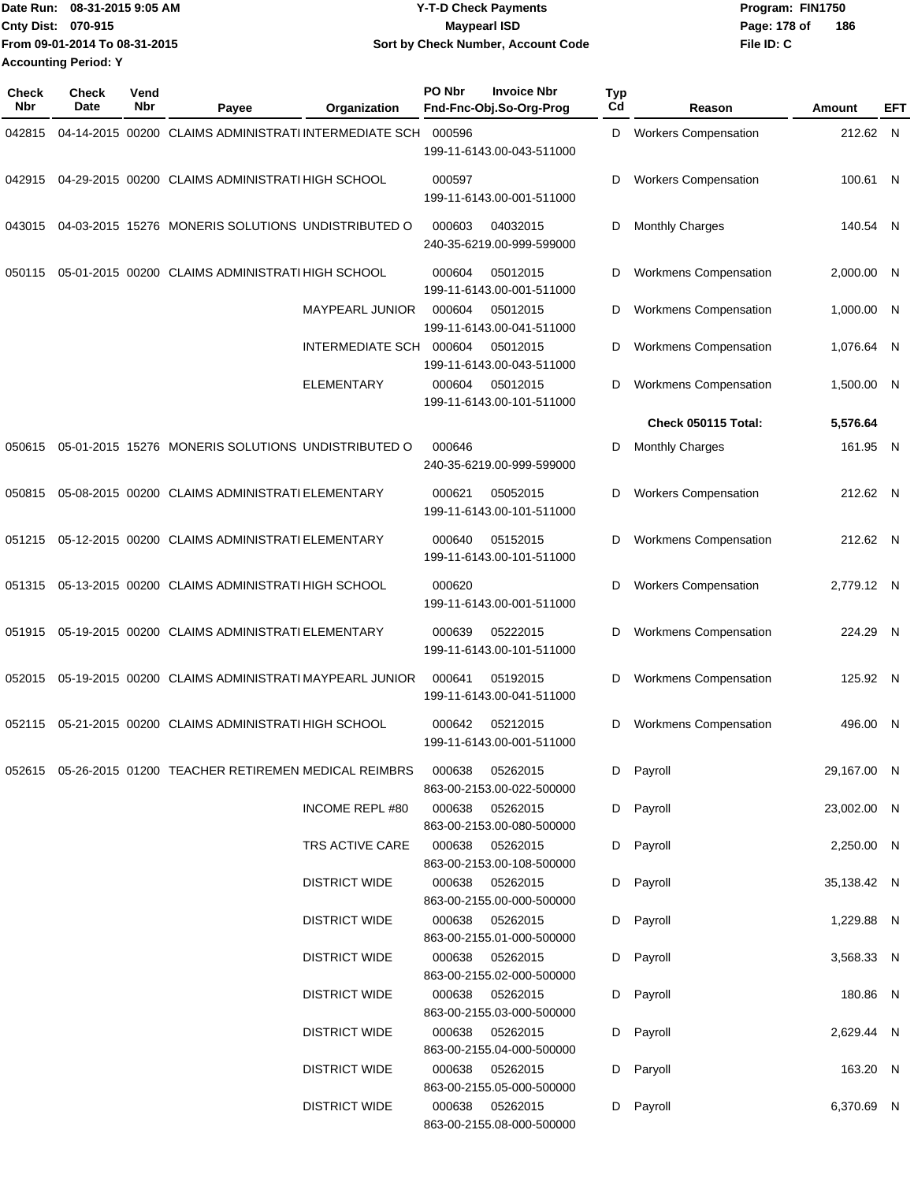|                             | Date Run: 08-31-2015 9:05 AM  | Y-T-D Check Payments               | Program: FIN1750 |     |
|-----------------------------|-------------------------------|------------------------------------|------------------|-----|
| Cnty Dist: 070-915          |                               | Maypearl ISD                       | Page: 178 of     | 186 |
|                             | From 09-01-2014 To 08-31-2015 | Sort by Check Number, Account Code | File ID: C       |     |
| <b>Accounting Period: Y</b> |                               |                                    |                  |     |

| <b>Check</b><br>Nbr | <b>Check</b><br>Date | Vend<br><b>Nbr</b> | Payee                                                                | Organization            | PO Nbr | <b>Invoice Nbr</b><br>Fnd-Fnc-Obj.So-Org-Prog | <b>Typ</b><br>Cd | Reason                       | Amount      | EFT |
|---------------------|----------------------|--------------------|----------------------------------------------------------------------|-------------------------|--------|-----------------------------------------------|------------------|------------------------------|-------------|-----|
| 042815              |                      |                    | 04-14-2015 00200 CLAIMS ADMINISTRATI INTERMEDIATE SCH                |                         | 000596 | 199-11-6143.00-043-511000                     | D                | <b>Workers Compensation</b>  | 212.62 N    |     |
| 042915              |                      |                    | 04-29-2015 00200 CLAIMS ADMINISTRATI HIGH SCHOOL                     |                         | 000597 | 199-11-6143.00-001-511000                     | D                | <b>Workers Compensation</b>  | 100.61 N    |     |
| 043015              |                      |                    | 04-03-2015 15276 MONERIS SOLUTIONS UNDISTRIBUTED O                   |                         | 000603 | 04032015<br>240-35-6219.00-999-599000         | D                | <b>Monthly Charges</b>       | 140.54 N    |     |
| 050115              |                      |                    | 05-01-2015 00200 CLAIMS ADMINISTRATI HIGH SCHOOL                     |                         | 000604 | 05012015<br>199-11-6143.00-001-511000         | D                | <b>Workmens Compensation</b> | 2,000.00 N  |     |
|                     |                      |                    |                                                                      | MAYPEARL JUNIOR         | 000604 | 05012015<br>199-11-6143.00-041-511000         | D                | <b>Workmens Compensation</b> | 1,000.00 N  |     |
|                     |                      |                    |                                                                      | INTERMEDIATE SCH 000604 |        | 05012015<br>199-11-6143.00-043-511000         | D                | <b>Workmens Compensation</b> | 1,076.64 N  |     |
|                     |                      |                    |                                                                      | <b>ELEMENTARY</b>       | 000604 | 05012015<br>199-11-6143.00-101-511000         | D                | <b>Workmens Compensation</b> | 1,500.00 N  |     |
|                     |                      |                    |                                                                      |                         |        |                                               |                  | Check 050115 Total:          | 5,576.64    |     |
| 050615              |                      |                    | 05-01-2015 15276 MONERIS SOLUTIONS UNDISTRIBUTED O                   |                         | 000646 | 240-35-6219.00-999-599000                     | D                | <b>Monthly Charges</b>       | 161.95 N    |     |
| 050815              |                      |                    | 05-08-2015 00200 CLAIMS ADMINISTRATI ELEMENTARY                      |                         | 000621 | 05052015<br>199-11-6143.00-101-511000         | D                | <b>Workers Compensation</b>  | 212.62 N    |     |
| 051215              |                      |                    | 05-12-2015 00200 CLAIMS ADMINISTRATI ELEMENTARY                      |                         | 000640 | 05152015<br>199-11-6143.00-101-511000         | D                | <b>Workmens Compensation</b> | 212.62 N    |     |
| 051315              |                      |                    | 05-13-2015 00200 CLAIMS ADMINISTRATI HIGH SCHOOL                     |                         | 000620 | 199-11-6143.00-001-511000                     | D                | <b>Workers Compensation</b>  | 2,779.12 N  |     |
| 051915              |                      |                    | 05-19-2015 00200 CLAIMS ADMINISTRATI ELEMENTARY                      |                         | 000639 | 05222015<br>199-11-6143.00-101-511000         | D                | <b>Workmens Compensation</b> | 224.29 N    |     |
| 052015              |                      |                    | 05-19-2015 00200 CLAIMS ADMINISTRATI MAYPEARL JUNIOR                 |                         | 000641 | 05192015<br>199-11-6143.00-041-511000         | D                | <b>Workmens Compensation</b> | 125.92 N    |     |
| 052115              |                      |                    | 05-21-2015 00200 CLAIMS ADMINISTRATI HIGH SCHOOL                     |                         | 000642 | 05212015<br>199-11-6143.00-001-511000         | D                | <b>Workmens Compensation</b> | 496.00 N    |     |
|                     |                      |                    | 052615  05-26-2015  01200  TEACHER RETIREMEN MEDICAL REIMBRS  000638 |                         |        | 05262015<br>863-00-2153.00-022-500000         |                  | D Payroll                    | 29,167.00 N |     |
|                     |                      |                    |                                                                      | INCOME REPL #80         | 000638 | 05262015<br>863-00-2153.00-080-500000         |                  | D Payroll                    | 23,002.00 N |     |
|                     |                      |                    |                                                                      | TRS ACTIVE CARE         |        | 000638 05262015<br>863-00-2153.00-108-500000  |                  | D Payroll                    | 2,250.00 N  |     |
|                     |                      |                    |                                                                      | <b>DISTRICT WIDE</b>    |        | 000638 05262015<br>863-00-2155.00-000-500000  |                  | D Payroll                    | 35,138.42 N |     |
|                     |                      |                    |                                                                      | <b>DISTRICT WIDE</b>    | 000638 | 05262015<br>863-00-2155.01-000-500000         |                  | D Payroll                    | 1,229.88 N  |     |
|                     |                      |                    |                                                                      | <b>DISTRICT WIDE</b>    |        | 000638 05262015<br>863-00-2155.02-000-500000  |                  | D Payroll                    | 3,568.33 N  |     |
|                     |                      |                    |                                                                      | <b>DISTRICT WIDE</b>    |        | 000638 05262015<br>863-00-2155.03-000-500000  |                  | D Payroll                    | 180.86 N    |     |
|                     |                      |                    |                                                                      | <b>DISTRICT WIDE</b>    |        | 000638 05262015<br>863-00-2155.04-000-500000  |                  | D Payroll                    | 2,629.44 N  |     |
|                     |                      |                    |                                                                      | <b>DISTRICT WIDE</b>    |        | 000638 05262015<br>863-00-2155.05-000-500000  |                  | D Paryoll                    | 163.20 N    |     |
|                     |                      |                    |                                                                      | <b>DISTRICT WIDE</b>    |        | 000638 05262015<br>863-00-2155.08-000-500000  |                  | D Payroll                    | 6,370.69 N  |     |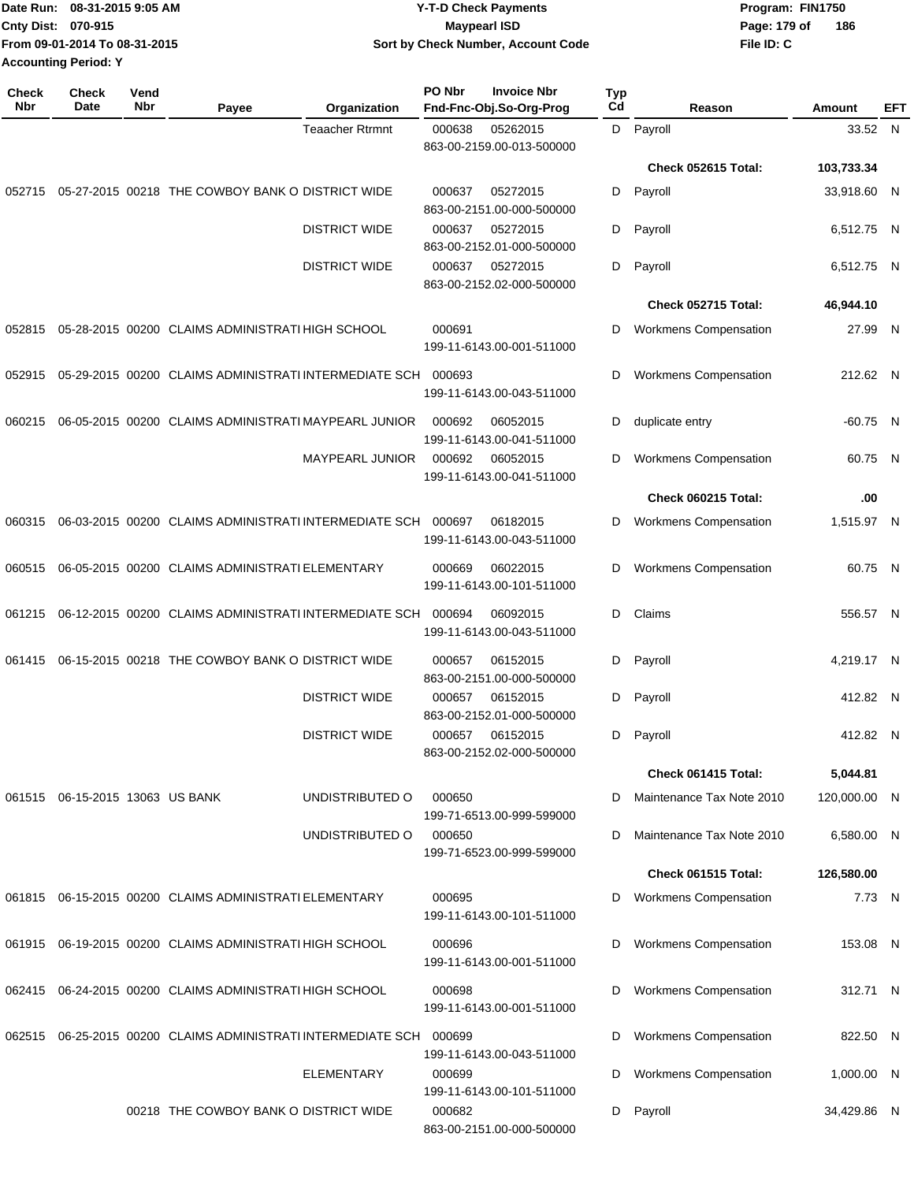|                             | Date Run: 08-31-2015 9:05 AM  | Y-T-D Check Payments               | Program: FIN1750 |     |
|-----------------------------|-------------------------------|------------------------------------|------------------|-----|
| <b>Cnty Dist: 070-915</b>   |                               | <b>Mavpearl ISD</b>                | Page: 179 of     | 186 |
|                             | From 09-01-2014 To 08-31-2015 | Sort by Check Number, Account Code | File ID: C       |     |
| <b>Accounting Period: Y</b> |                               |                                    |                  |     |

| Check<br>Nbr | <b>Check</b><br>Date            | Vend<br>Nbr | Payee                                                        | Organization           | PO Nbr | <b>Invoice Nbr</b><br>Fnd-Fnc-Obj.So-Org-Prog | <b>Typ</b><br>Cd | Reason                       | Amount       | EFT |
|--------------|---------------------------------|-------------|--------------------------------------------------------------|------------------------|--------|-----------------------------------------------|------------------|------------------------------|--------------|-----|
|              |                                 |             |                                                              | <b>Teaacher Rtrmnt</b> | 000638 | 05262015<br>863-00-2159.00-013-500000         | D                | Payroll                      | 33.52 N      |     |
|              |                                 |             |                                                              |                        |        |                                               |                  | Check 052615 Total:          | 103,733.34   |     |
| 052715       |                                 |             | 05-27-2015 00218 THE COWBOY BANK O DISTRICT WIDE             |                        | 000637 | 05272015<br>863-00-2151.00-000-500000         | D                | Payroll                      | 33,918.60 N  |     |
|              |                                 |             |                                                              | <b>DISTRICT WIDE</b>   | 000637 | 05272015<br>863-00-2152.01-000-500000         | D                | Payroll                      | 6,512.75 N   |     |
|              |                                 |             |                                                              | <b>DISTRICT WIDE</b>   | 000637 | 05272015<br>863-00-2152.02-000-500000         | D                | Payroll                      | 6,512.75 N   |     |
|              |                                 |             |                                                              |                        |        |                                               |                  | Check 052715 Total:          | 46,944.10    |     |
| 052815       |                                 |             | 05-28-2015 00200 CLAIMS ADMINISTRATI HIGH SCHOOL             |                        | 000691 | 199-11-6143.00-001-511000                     | D                | Workmens Compensation        | 27.99 N      |     |
| 052915       |                                 |             | 05-29-2015 00200 CLAIMS ADMINISTRATI INTERMEDIATE SCH        |                        | 000693 | 199-11-6143.00-043-511000                     | D                | Workmens Compensation        | 212.62 N     |     |
| 060215       |                                 |             | 06-05-2015 00200 CLAIMS ADMINISTRATI MAYPEARL JUNIOR         |                        | 000692 | 06052015<br>199-11-6143.00-041-511000         | D                | duplicate entry              | $-60.75$ N   |     |
|              |                                 |             |                                                              | <b>MAYPEARL JUNIOR</b> | 000692 | 06052015<br>199-11-6143.00-041-511000         | D                | <b>Workmens Compensation</b> | 60.75 N      |     |
|              |                                 |             |                                                              |                        |        |                                               |                  | Check 060215 Total:          | .00          |     |
| 060315       |                                 |             | 06-03-2015 00200 CLAIMS ADMINISTRATI INTERMEDIATE SCH        |                        | 000697 | 06182015<br>199-11-6143.00-043-511000         | D                | <b>Workmens Compensation</b> | 1,515.97 N   |     |
| 060515       |                                 |             | 06-05-2015 00200 CLAIMS ADMINISTRATI ELEMENTARY              |                        | 000669 | 06022015<br>199-11-6143.00-101-511000         | D                | <b>Workmens Compensation</b> | 60.75 N      |     |
| 061215       |                                 |             | 06-12-2015 00200 CLAIMS ADMINISTRATI INTERMEDIATE SCH 000694 |                        |        | 06092015<br>199-11-6143.00-043-511000         | D                | Claims                       | 556.57 N     |     |
| 061415       |                                 |             | 06-15-2015 00218 THE COWBOY BANK O DISTRICT WIDE             |                        | 000657 | 06152015<br>863-00-2151.00-000-500000         | D                | Payroll                      | 4,219.17 N   |     |
|              |                                 |             |                                                              | <b>DISTRICT WIDE</b>   | 000657 | 06152015<br>863-00-2152.01-000-500000         | D                | Payroll                      | 412.82 N     |     |
|              |                                 |             |                                                              | <b>DISTRICT WIDE</b>   | 000657 | 06152015<br>863-00-2152.02-000-500000         | D                | Payroll                      | 412.82 N     |     |
|              |                                 |             |                                                              |                        |        |                                               |                  | Check 061415 Total:          | 5,044.81     |     |
|              | 061515 06-15-2015 13063 US BANK |             |                                                              | UNDISTRIBUTED O        | 000650 | 199-71-6513.00-999-599000                     | D                | Maintenance Tax Note 2010    | 120,000.00 N |     |
|              |                                 |             |                                                              | UNDISTRIBUTED O        | 000650 | 199-71-6523.00-999-599000                     | D                | Maintenance Tax Note 2010    | 6,580.00 N   |     |
|              |                                 |             |                                                              |                        |        |                                               |                  | Check 061515 Total:          | 126,580.00   |     |
|              |                                 |             | 061815 06-15-2015 00200 CLAIMS ADMINISTRATI ELEMENTARY       |                        | 000695 | 199-11-6143.00-101-511000                     | D                | <b>Workmens Compensation</b> | 7.73 N       |     |
| 061915       |                                 |             | 06-19-2015 00200 CLAIMS ADMINISTRATI HIGH SCHOOL             |                        | 000696 | 199-11-6143.00-001-511000                     | D                | <b>Workmens Compensation</b> | 153.08 N     |     |
|              |                                 |             | 062415 06-24-2015 00200 CLAIMS ADMINISTRATI HIGH SCHOOL      |                        | 000698 | 199-11-6143.00-001-511000                     | D                | Workmens Compensation        | 312.71 N     |     |
| 062515       |                                 |             | 06-25-2015 00200 CLAIMS ADMINISTRATI INTERMEDIATE SCH        |                        | 000699 | 199-11-6143.00-043-511000                     | D                | Workmens Compensation        | 822.50 N     |     |
|              |                                 |             |                                                              | <b>ELEMENTARY</b>      | 000699 | 199-11-6143.00-101-511000                     | D                | Workmens Compensation        | 1,000.00 N   |     |
|              |                                 |             | 00218 THE COWBOY BANK O DISTRICT WIDE                        |                        | 000682 | 863-00-2151.00-000-500000                     | D                | Payroll                      | 34,429.86 N  |     |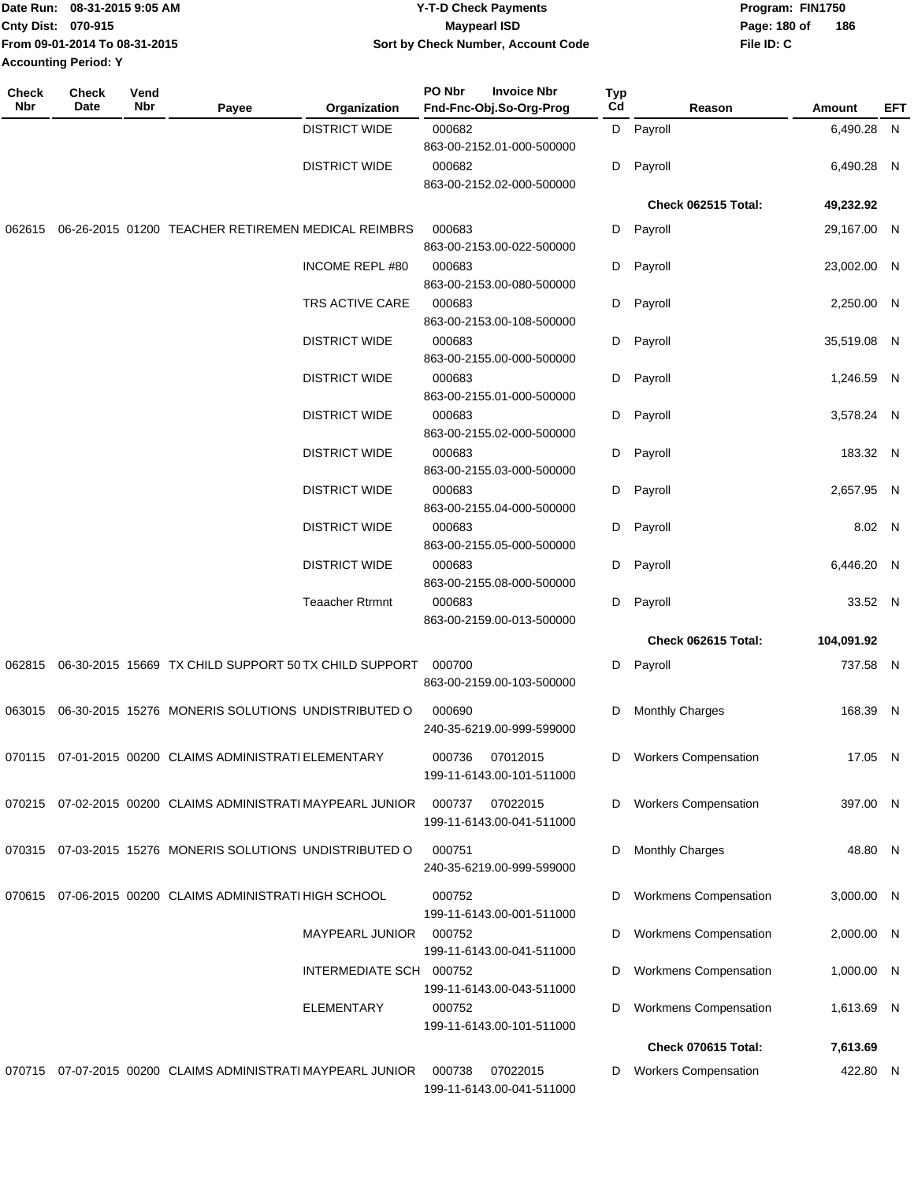| Date Run: 08-31-2015 9:05 AM |                               | <b>Y-T-D Check Payments</b>        | Program: FIN1750    |  |  |
|------------------------------|-------------------------------|------------------------------------|---------------------|--|--|
| <b>Cnty Dist: 070-915</b>    |                               | <b>Mavpearl ISD</b>                | 186<br>Page: 180 of |  |  |
|                              | From 09-01-2014 To 08-31-2015 | Sort by Check Number, Account Code | File ID: C          |  |  |
| <b>Accounting Period: Y</b>  |                               |                                    |                     |  |  |

| <b>Check</b><br>Nbr | <b>Check</b><br>Date | Vend<br>Nbr | Payee                                                       | Organization            | PO Nbr | <b>Invoice Nbr</b><br>Fnd-Fnc-Obj.So-Org-Prog | <b>Typ</b><br>Cd | Reason                       | Amount      | EFT |
|---------------------|----------------------|-------------|-------------------------------------------------------------|-------------------------|--------|-----------------------------------------------|------------------|------------------------------|-------------|-----|
|                     |                      |             |                                                             | <b>DISTRICT WIDE</b>    | 000682 | 863-00-2152.01-000-500000                     | D                | Payroll                      | 6,490.28 N  |     |
|                     |                      |             |                                                             | <b>DISTRICT WIDE</b>    | 000682 | 863-00-2152.02-000-500000                     | D                | Payroll                      | 6,490.28 N  |     |
|                     |                      |             |                                                             |                         |        |                                               |                  | Check 062515 Total:          | 49,232.92   |     |
| 062615              |                      |             | 06-26-2015 01200 TEACHER RETIREMEN MEDICAL REIMBRS          |                         | 000683 | 863-00-2153.00-022-500000                     | D                | Payroll                      | 29,167.00 N |     |
|                     |                      |             |                                                             | <b>INCOME REPL#80</b>   | 000683 | 863-00-2153.00-080-500000                     | D                | Payroll                      | 23,002.00 N |     |
|                     |                      |             |                                                             | TRS ACTIVE CARE         | 000683 | 863-00-2153.00-108-500000                     | D                | Payroll                      | 2,250.00 N  |     |
|                     |                      |             |                                                             | <b>DISTRICT WIDE</b>    | 000683 | 863-00-2155.00-000-500000                     | D                | Payroll                      | 35,519.08 N |     |
|                     |                      |             |                                                             | <b>DISTRICT WIDE</b>    | 000683 | 863-00-2155.01-000-500000                     | D                | Payroll                      | 1,246.59 N  |     |
|                     |                      |             |                                                             | <b>DISTRICT WIDE</b>    | 000683 | 863-00-2155.02-000-500000                     | D                | Payroll                      | 3,578.24 N  |     |
|                     |                      |             |                                                             | <b>DISTRICT WIDE</b>    | 000683 | 863-00-2155.03-000-500000                     | D                | Payroll                      | 183.32 N    |     |
|                     |                      |             |                                                             | <b>DISTRICT WIDE</b>    | 000683 | 863-00-2155.04-000-500000                     | D                | Payroll                      | 2,657.95 N  |     |
|                     |                      |             |                                                             | <b>DISTRICT WIDE</b>    | 000683 | 863-00-2155.05-000-500000                     | D                | Payroll                      | 8.02 N      |     |
|                     |                      |             |                                                             | <b>DISTRICT WIDE</b>    | 000683 | 863-00-2155.08-000-500000                     | D                | Payroll                      | 6,446.20 N  |     |
|                     |                      |             |                                                             | <b>Teaacher Rtrmnt</b>  | 000683 | 863-00-2159.00-013-500000                     | D                | Payroll                      | 33.52 N     |     |
|                     |                      |             |                                                             |                         |        |                                               |                  | Check 062615 Total:          | 104,091.92  |     |
| 062815              |                      |             | 06-30-2015 15669 TX CHILD SUPPORT 50 TX CHILD SUPPORT       |                         | 000700 | 863-00-2159.00-103-500000                     | D                | Payroll                      | 737.58 N    |     |
| 063015              |                      |             | 06-30-2015 15276 MONERIS SOLUTIONS UNDISTRIBUTED O          |                         | 000690 | 240-35-6219.00-999-599000                     | D                | Monthly Charges              | 168.39 N    |     |
|                     |                      |             | 070115 07-01-2015 00200 CLAIMS ADMINISTRATI ELEMENTARY      |                         | 000736 | 07012015<br>199-11-6143.00-101-511000         | D                | <b>Workers Compensation</b>  | 17.05 N     |     |
|                     |                      |             | 070215 07-02-2015 00200 CLAIMS ADMINISTRATI MAYPEARL JUNIOR |                         | 000737 | 07022015<br>199-11-6143.00-041-511000         | D                | <b>Workers Compensation</b>  | 397.00 N    |     |
| 070315              |                      |             | 07-03-2015 15276 MONERIS SOLUTIONS UNDISTRIBUTED O          |                         | 000751 | 240-35-6219.00-999-599000                     | D                | <b>Monthly Charges</b>       | 48.80 N     |     |
|                     |                      |             | 070615 07-06-2015 00200 CLAIMS ADMINISTRATI HIGH SCHOOL     |                         | 000752 | 199-11-6143.00-001-511000                     | D                | <b>Workmens Compensation</b> | 3,000.00 N  |     |
|                     |                      |             |                                                             | MAYPEARL JUNIOR         | 000752 | 199-11-6143.00-041-511000                     | D                | <b>Workmens Compensation</b> | 2,000.00 N  |     |
|                     |                      |             |                                                             | INTERMEDIATE SCH 000752 |        | 199-11-6143.00-043-511000                     | D                | Workmens Compensation        | 1,000.00 N  |     |
|                     |                      |             |                                                             | <b>ELEMENTARY</b>       | 000752 | 199-11-6143.00-101-511000                     | D                | Workmens Compensation        | 1,613.69 N  |     |
|                     |                      |             |                                                             |                         |        |                                               |                  | Check 070615 Total:          | 7,613.69    |     |
|                     |                      |             | 070715 07-07-2015 00200 CLAIMS ADMINISTRATI MAYPEARL JUNIOR |                         | 000738 | 07022015<br>199-11-6143.00-041-511000         | D                | <b>Workers Compensation</b>  | 422.80 N    |     |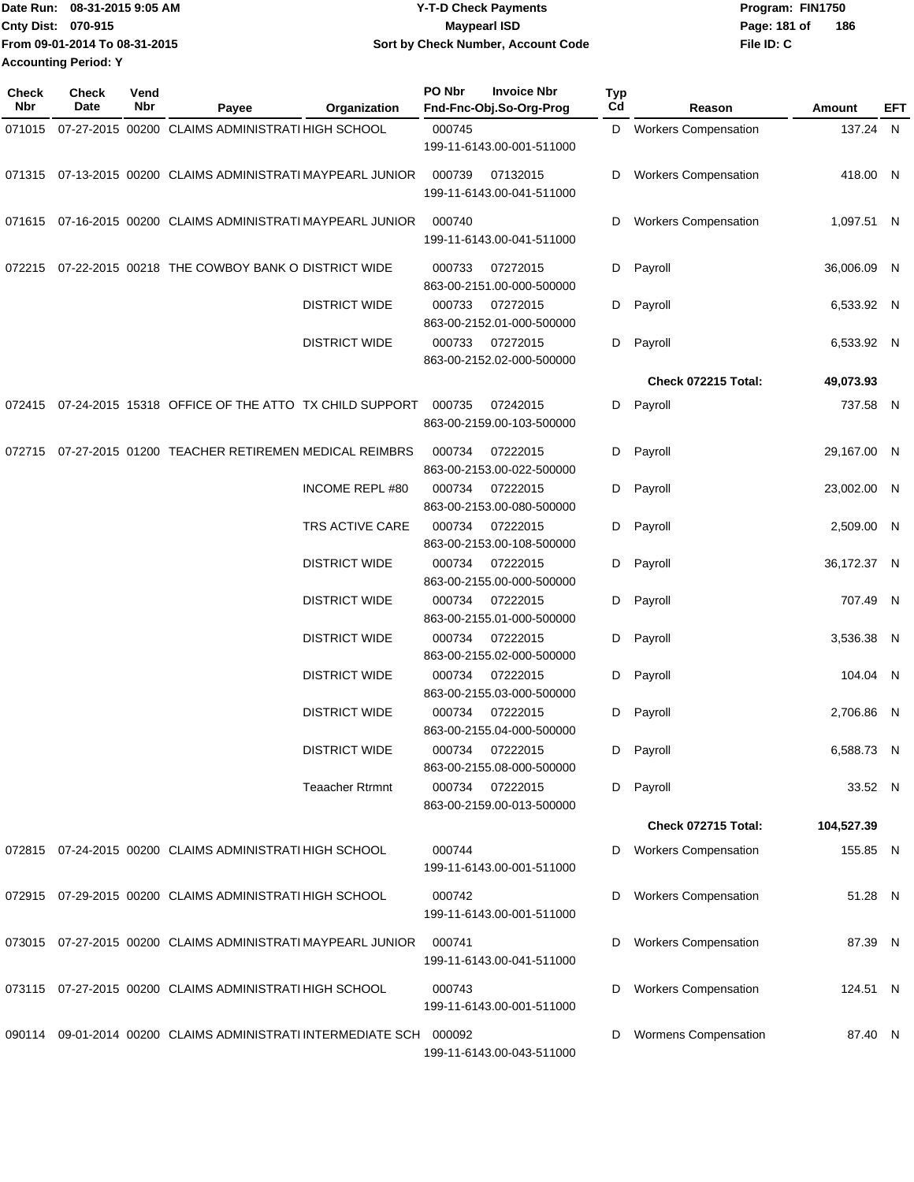| Date Run: 08-31-2015 9:05 AM  | Y-T-D Check Payments               | Program: FIN1750    |  |  |  |
|-------------------------------|------------------------------------|---------------------|--|--|--|
| <b>Cnty Dist: 070-915</b>     | <b>Mavpearl ISD</b>                | 186<br>Page: 181 of |  |  |  |
| From 09-01-2014 To 08-31-2015 | Sort by Check Number, Account Code | File ID: C          |  |  |  |
| <b>Accounting Period: Y</b>   |                                    |                     |  |  |  |

| Check<br>Nbr | <b>Check</b><br>Date | Vend<br>Nbr | Payee                                                               | Organization           | PO Nbr | <b>Invoice Nbr</b><br>Fnd-Fnc-Obj.So-Org-Prog | Typ<br>Cd | Reason                      | Amount      | EFT |
|--------------|----------------------|-------------|---------------------------------------------------------------------|------------------------|--------|-----------------------------------------------|-----------|-----------------------------|-------------|-----|
| 071015       |                      |             | 07-27-2015 00200 CLAIMS ADMINISTRATI HIGH SCHOOL                    |                        | 000745 | 199-11-6143.00-001-511000                     |           | D Workers Compensation      | 137.24 N    |     |
|              |                      |             | 071315 07-13-2015 00200 CLAIMS ADMINISTRATI MAYPEARL JUNIOR         |                        | 000739 | 07132015<br>199-11-6143.00-041-511000         | D         | <b>Workers Compensation</b> | 418.00 N    |     |
|              |                      |             | 071615 07-16-2015 00200 CLAIMS ADMINISTRATI MAYPEARL JUNIOR         |                        | 000740 | 199-11-6143.00-041-511000                     | D         | <b>Workers Compensation</b> | 1,097.51 N  |     |
| 072215       |                      |             | 07-22-2015 00218 THE COWBOY BANK O DISTRICT WIDE                    |                        | 000733 | 07272015<br>863-00-2151.00-000-500000         | D         | Payroll                     | 36,006.09 N |     |
|              |                      |             |                                                                     | <b>DISTRICT WIDE</b>   | 000733 | 07272015<br>863-00-2152.01-000-500000         | D         | Payroll                     | 6,533.92 N  |     |
|              |                      |             |                                                                     | <b>DISTRICT WIDE</b>   | 000733 | 07272015<br>863-00-2152.02-000-500000         | D         | Payroll                     | 6,533.92 N  |     |
|              |                      |             |                                                                     |                        |        |                                               |           | Check 072215 Total:         | 49,073.93   |     |
| 072415       |                      |             | 07-24-2015 15318 OFFICE OF THE ATTO TX CHILD SUPPORT                |                        | 000735 | 07242015<br>863-00-2159.00-103-500000         | D         | Payroll                     | 737.58 N    |     |
| 072715       |                      |             | 07-27-2015 01200 TEACHER RETIREMEN MEDICAL REIMBRS                  |                        | 000734 | 07222015<br>863-00-2153.00-022-500000         | D         | Payroll                     | 29,167.00 N |     |
|              |                      |             |                                                                     | <b>INCOME REPL #80</b> | 000734 | 07222015<br>863-00-2153.00-080-500000         | D         | Payroll                     | 23,002.00 N |     |
|              |                      |             |                                                                     | TRS ACTIVE CARE        | 000734 | 07222015<br>863-00-2153.00-108-500000         | D         | Payroll                     | 2,509.00 N  |     |
|              |                      |             |                                                                     | <b>DISTRICT WIDE</b>   | 000734 | 07222015<br>863-00-2155.00-000-500000         | D         | Payroll                     | 36,172.37 N |     |
|              |                      |             |                                                                     | <b>DISTRICT WIDE</b>   | 000734 | 07222015<br>863-00-2155.01-000-500000         | D         | Payroll                     | 707.49 N    |     |
|              |                      |             |                                                                     | <b>DISTRICT WIDE</b>   | 000734 | 07222015<br>863-00-2155.02-000-500000         | D         | Payroll                     | 3,536.38 N  |     |
|              |                      |             |                                                                     | <b>DISTRICT WIDE</b>   | 000734 | 07222015<br>863-00-2155.03-000-500000         | D         | Payroll                     | 104.04 N    |     |
|              |                      |             |                                                                     | <b>DISTRICT WIDE</b>   | 000734 | 07222015<br>863-00-2155.04-000-500000         | D         | Payroll                     | 2,706.86 N  |     |
|              |                      |             |                                                                     | <b>DISTRICT WIDE</b>   |        | 000734 07222015<br>863-00-2155.08-000-500000  |           | D Payroll                   | 6,588.73 N  |     |
|              |                      |             |                                                                     | <b>Teaacher Rtrmnt</b> |        | 000734 07222015<br>863-00-2159.00-013-500000  |           | D Payroll                   | 33.52 N     |     |
|              |                      |             |                                                                     |                        |        |                                               |           | Check 072715 Total:         | 104,527.39  |     |
|              |                      |             | 072815 07-24-2015 00200 CLAIMS ADMINISTRATI HIGH SCHOOL             |                        | 000744 | 199-11-6143.00-001-511000                     | D         | <b>Workers Compensation</b> | 155.85 N    |     |
|              |                      |             | 072915 07-29-2015 00200 CLAIMS ADMINISTRATI HIGH SCHOOL             |                        | 000742 | 199-11-6143.00-001-511000                     |           | <b>Workers Compensation</b> | 51.28 N     |     |
|              |                      |             | 073015 07-27-2015 00200 CLAIMS ADMINISTRATI MAYPEARL JUNIOR         |                        | 000741 | 199-11-6143.00-041-511000                     | D         | <b>Workers Compensation</b> | 87.39 N     |     |
|              |                      |             | 073115 07-27-2015 00200 CLAIMS ADMINISTRATI HIGH SCHOOL             |                        | 000743 | 199-11-6143.00-001-511000                     | D         | <b>Workers Compensation</b> | 124.51 N    |     |
|              |                      |             | 090114 09-01-2014 00200 CLAIMS ADMINISTRATI INTERMEDIATE SCH 000092 |                        |        | 199-11-6143.00-043-511000                     | D         | Wormens Compensation        | 87.40 N     |     |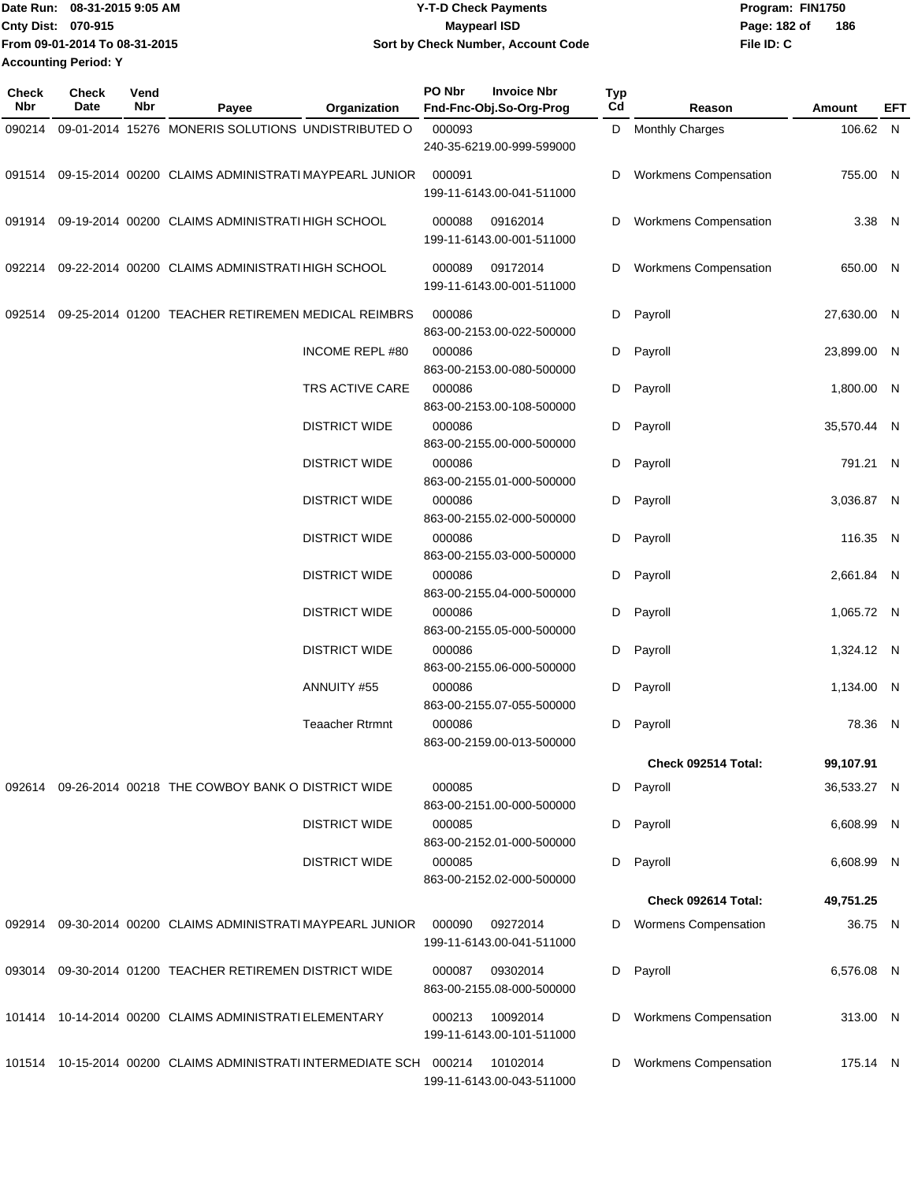| Date Run: 08-31-2015 9:05 AM  | <b>Y-T-D Check Payments</b>        | Program: FIN1750    |  |  |  |  |
|-------------------------------|------------------------------------|---------------------|--|--|--|--|
| <b>Cnty Dist: 070-915</b>     | <b>Mavpearl ISD</b>                | 186<br>Page: 182 of |  |  |  |  |
| From 09-01-2014 To 08-31-2015 | Sort by Check Number, Account Code | File ID: C          |  |  |  |  |
| <b>Accounting Period: Y</b>   |                                    |                     |  |  |  |  |

| Check<br>Nbr | <b>Check</b><br>Date | Vend<br><b>Nbr</b> | Payee                                                               | Organization           | PO Nbr | <b>Invoice Nbr</b><br>Fnd-Fnc-Obj.So-Org-Prog | Typ<br>Cd | Reason                       | Amount      | EFT |
|--------------|----------------------|--------------------|---------------------------------------------------------------------|------------------------|--------|-----------------------------------------------|-----------|------------------------------|-------------|-----|
| 090214       |                      |                    | 09-01-2014 15276 MONERIS SOLUTIONS UNDISTRIBUTED O                  |                        | 000093 | 240-35-6219.00-999-599000                     |           | D Monthly Charges            | 106.62 N    |     |
| 091514       |                      |                    | 09-15-2014 00200 CLAIMS ADMINISTRATI MAYPEARL JUNIOR                |                        | 000091 | 199-11-6143.00-041-511000                     | D         | <b>Workmens Compensation</b> | 755.00 N    |     |
|              |                      |                    | 091914 09-19-2014 00200 CLAIMS ADMINISTRATI HIGH SCHOOL             |                        | 000088 | 09162014<br>199-11-6143.00-001-511000         | D         | <b>Workmens Compensation</b> | 3.38 N      |     |
| 092214       |                      |                    | 09-22-2014 00200 CLAIMS ADMINISTRATI HIGH SCHOOL                    |                        | 000089 | 09172014<br>199-11-6143.00-001-511000         | D         | Workmens Compensation        | 650.00 N    |     |
| 092514       |                      |                    | 09-25-2014 01200 TEACHER RETIREMEN MEDICAL REIMBRS                  |                        | 000086 | 863-00-2153.00-022-500000                     | D         | Payroll                      | 27,630.00 N |     |
|              |                      |                    |                                                                     | <b>INCOME REPL #80</b> | 000086 | 863-00-2153.00-080-500000                     | D         | Payroll                      | 23,899.00 N |     |
|              |                      |                    |                                                                     | TRS ACTIVE CARE        | 000086 | 863-00-2153.00-108-500000                     | D         | Payroll                      | 1,800.00 N  |     |
|              |                      |                    |                                                                     | <b>DISTRICT WIDE</b>   | 000086 | 863-00-2155.00-000-500000                     | D         | Payroll                      | 35,570.44 N |     |
|              |                      |                    |                                                                     | <b>DISTRICT WIDE</b>   | 000086 | 863-00-2155.01-000-500000                     | D         | Payroll                      | 791.21 N    |     |
|              |                      |                    |                                                                     | <b>DISTRICT WIDE</b>   | 000086 | 863-00-2155.02-000-500000                     | D         | Payroll                      | 3,036.87 N  |     |
|              |                      |                    |                                                                     | <b>DISTRICT WIDE</b>   | 000086 | 863-00-2155.03-000-500000                     | D         | Payroll                      | 116.35 N    |     |
|              |                      |                    |                                                                     | <b>DISTRICT WIDE</b>   | 000086 | 863-00-2155.04-000-500000                     | D         | Payroll                      | 2,661.84 N  |     |
|              |                      |                    |                                                                     | <b>DISTRICT WIDE</b>   | 000086 | 863-00-2155.05-000-500000                     | D         | Payroll                      | 1,065.72 N  |     |
|              |                      |                    |                                                                     | <b>DISTRICT WIDE</b>   | 000086 | 863-00-2155.06-000-500000                     | D         | Payroll                      | 1,324.12 N  |     |
|              |                      |                    |                                                                     | ANNUITY #55            | 000086 | 863-00-2155.07-055-500000                     | D         | Payroll                      | 1,134.00 N  |     |
|              |                      |                    |                                                                     | <b>Teaacher Rtrmnt</b> | 000086 | 863-00-2159.00-013-500000                     | D         | Payroll                      | 78.36 N     |     |
|              |                      |                    |                                                                     |                        |        |                                               |           | Check 092514 Total:          | 99,107.91   |     |
|              |                      |                    | 092614 09-26-2014 00218 THE COWBOY BANK O DISTRICT WIDE             |                        | 000085 | 863-00-2151.00-000-500000                     | D         | Payroll                      | 36,533.27 N |     |
|              |                      |                    |                                                                     | <b>DISTRICT WIDE</b>   | 000085 | 863-00-2152.01-000-500000                     | D         | Payroll                      | 6,608.99 N  |     |
|              |                      |                    |                                                                     | <b>DISTRICT WIDE</b>   | 000085 | 863-00-2152.02-000-500000                     | D         | Payroll                      | 6,608.99 N  |     |
|              |                      |                    |                                                                     |                        |        |                                               |           | Check 092614 Total:          | 49,751.25   |     |
| 092914       |                      |                    | 09-30-2014 00200 CLAIMS ADMINISTRATI MAYPEARL JUNIOR                |                        | 000090 | 09272014<br>199-11-6143.00-041-511000         | D         | <b>Wormens Compensation</b>  | 36.75 N     |     |
| 093014       |                      |                    | 09-30-2014 01200 TEACHER RETIREMEN DISTRICT WIDE                    |                        | 000087 | 09302014<br>863-00-2155.08-000-500000         | D         | Payroll                      | 6,576.08 N  |     |
|              |                      |                    | 101414 10-14-2014 00200 CLAIMS ADMINISTRATI ELEMENTARY              |                        | 000213 | 10092014<br>199-11-6143.00-101-511000         | D         | Workmens Compensation        | 313.00 N    |     |
|              |                      |                    | 101514 10-15-2014 00200 CLAIMS ADMINISTRATI INTERMEDIATE SCH 000214 |                        |        | 10102014<br>199-11-6143.00-043-511000         | D         | <b>Workmens Compensation</b> | 175.14 N    |     |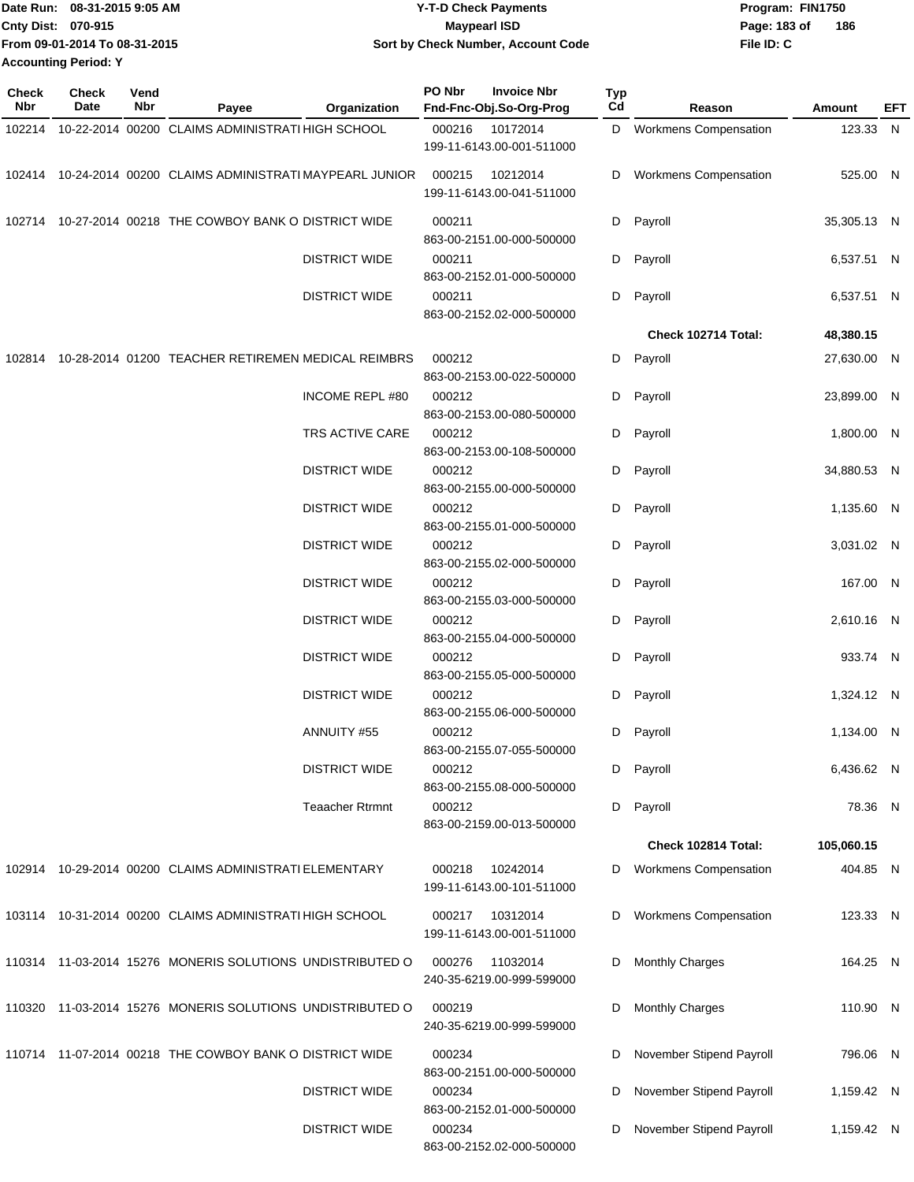| Date Run: 08-31-2015 9:05 AM  | <b>Y-T-D Check Payments</b>        | Program: FIN1750      |  |  |  |
|-------------------------------|------------------------------------|-----------------------|--|--|--|
| <b>Cnty Dist: 070-915</b>     | <b>Mavpearl ISD</b>                | - 186<br>Page: 183 of |  |  |  |
| From 09-01-2014 To 08-31-2015 | Sort by Check Number, Account Code | File ID: C            |  |  |  |
| <b>Accounting Period: Y</b>   |                                    |                       |  |  |  |

| Check<br>Nbr | Check<br>Date | Vend<br>Nbr | Payee                                                       | Organization           | PO Nbr | <b>Invoice Nbr</b><br>Fnd-Fnc-Obj.So-Org-Prog | <b>Typ</b><br>Cd | Reason                       | Amount      | EFT |
|--------------|---------------|-------------|-------------------------------------------------------------|------------------------|--------|-----------------------------------------------|------------------|------------------------------|-------------|-----|
|              |               |             | 102214 10-22-2014 00200 CLAIMS ADMINISTRATI HIGH SCHOOL     |                        | 000216 | 10172014<br>199-11-6143.00-001-511000         |                  | D Workmens Compensation      | 123.33 N    |     |
|              |               |             | 102414 10-24-2014 00200 CLAIMS ADMINISTRATI MAYPEARL JUNIOR |                        | 000215 | 10212014<br>199-11-6143.00-041-511000         | D                | <b>Workmens Compensation</b> | 525.00 N    |     |
|              |               |             | 102714 10-27-2014 00218 THE COWBOY BANK O DISTRICT WIDE     |                        | 000211 | 863-00-2151.00-000-500000                     |                  | D Payroll                    | 35,305.13 N |     |
|              |               |             |                                                             | <b>DISTRICT WIDE</b>   | 000211 | 863-00-2152.01-000-500000                     |                  | D Payroll                    | 6,537.51 N  |     |
|              |               |             |                                                             | <b>DISTRICT WIDE</b>   | 000211 | 863-00-2152.02-000-500000                     | D                | Payroll                      | 6,537.51 N  |     |
|              |               |             |                                                             |                        |        |                                               |                  | Check 102714 Total:          | 48,380.15   |     |
|              |               |             | 102814 10-28-2014 01200 TEACHER RETIREMEN MEDICAL REIMBRS   |                        | 000212 | 863-00-2153.00-022-500000                     | D                | Payroll                      | 27,630.00 N |     |
|              |               |             |                                                             | <b>INCOME REPL #80</b> | 000212 | 863-00-2153.00-080-500000                     |                  | D Payroll                    | 23,899.00 N |     |
|              |               |             |                                                             | TRS ACTIVE CARE        | 000212 | 863-00-2153.00-108-500000                     | D                | Payroll                      | 1,800.00 N  |     |
|              |               |             |                                                             | <b>DISTRICT WIDE</b>   | 000212 | 863-00-2155.00-000-500000                     | D                | Payroll                      | 34,880.53 N |     |
|              |               |             |                                                             | <b>DISTRICT WIDE</b>   | 000212 | 863-00-2155.01-000-500000                     |                  | D Payroll                    | 1,135.60 N  |     |
|              |               |             |                                                             | <b>DISTRICT WIDE</b>   | 000212 | 863-00-2155.02-000-500000                     |                  | D Payroll                    | 3,031.02 N  |     |
|              |               |             |                                                             | <b>DISTRICT WIDE</b>   | 000212 | 863-00-2155.03-000-500000                     | D                | Payroll                      | 167.00 N    |     |
|              |               |             |                                                             | <b>DISTRICT WIDE</b>   | 000212 | 863-00-2155.04-000-500000                     | D                | Payroll                      | 2,610.16 N  |     |
|              |               |             |                                                             | <b>DISTRICT WIDE</b>   | 000212 | 863-00-2155.05-000-500000                     | D                | Payroll                      | 933.74 N    |     |
|              |               |             |                                                             | <b>DISTRICT WIDE</b>   | 000212 | 863-00-2155.06-000-500000                     | D                | Payroll                      | 1,324.12 N  |     |
|              |               |             |                                                             | ANNUITY #55            | 000212 | 863-00-2155.07-055-500000                     | D                | Payroll                      | 1,134.00 N  |     |
|              |               |             |                                                             | <b>DISTRICT WIDE</b>   | 000212 | 863-00-2155.08-000-500000                     | D                | Payroll                      | 6,436.62 N  |     |
|              |               |             |                                                             | <b>Teaacher Rtrmnt</b> | 000212 | 863-00-2159.00-013-500000                     | D                | Payroll                      | 78.36 N     |     |
|              |               |             |                                                             |                        |        |                                               |                  | Check 102814 Total:          | 105,060.15  |     |
|              |               |             | 102914 10-29-2014 00200 CLAIMS ADMINISTRATI ELEMENTARY      |                        | 000218 | 10242014<br>199-11-6143.00-101-511000         | D                | <b>Workmens Compensation</b> | 404.85 N    |     |
|              |               |             | 103114 10-31-2014 00200 CLAIMS ADMINISTRATI HIGH SCHOOL     |                        | 000217 | 10312014<br>199-11-6143.00-001-511000         | D                | <b>Workmens Compensation</b> | 123.33 N    |     |
|              |               |             | 110314 11-03-2014 15276 MONERIS SOLUTIONS UNDISTRIBUTED O   |                        | 000276 | 11032014<br>240-35-6219.00-999-599000         | D                | Monthly Charges              | 164.25 N    |     |
|              |               |             | 110320 11-03-2014 15276 MONERIS SOLUTIONS UNDISTRIBUTED O   |                        | 000219 | 240-35-6219.00-999-599000                     | D                | Monthly Charges              | 110.90 N    |     |
|              |               |             | 110714 11-07-2014 00218 THE COWBOY BANK O DISTRICT WIDE     |                        | 000234 | 863-00-2151.00-000-500000                     | D                | November Stipend Payroll     | 796.06 N    |     |
|              |               |             |                                                             | <b>DISTRICT WIDE</b>   | 000234 | 863-00-2152.01-000-500000                     | D                | November Stipend Payroll     | 1,159.42 N  |     |
|              |               |             |                                                             | <b>DISTRICT WIDE</b>   | 000234 | 863-00-2152.02-000-500000                     | D                | November Stipend Payroll     | 1,159.42 N  |     |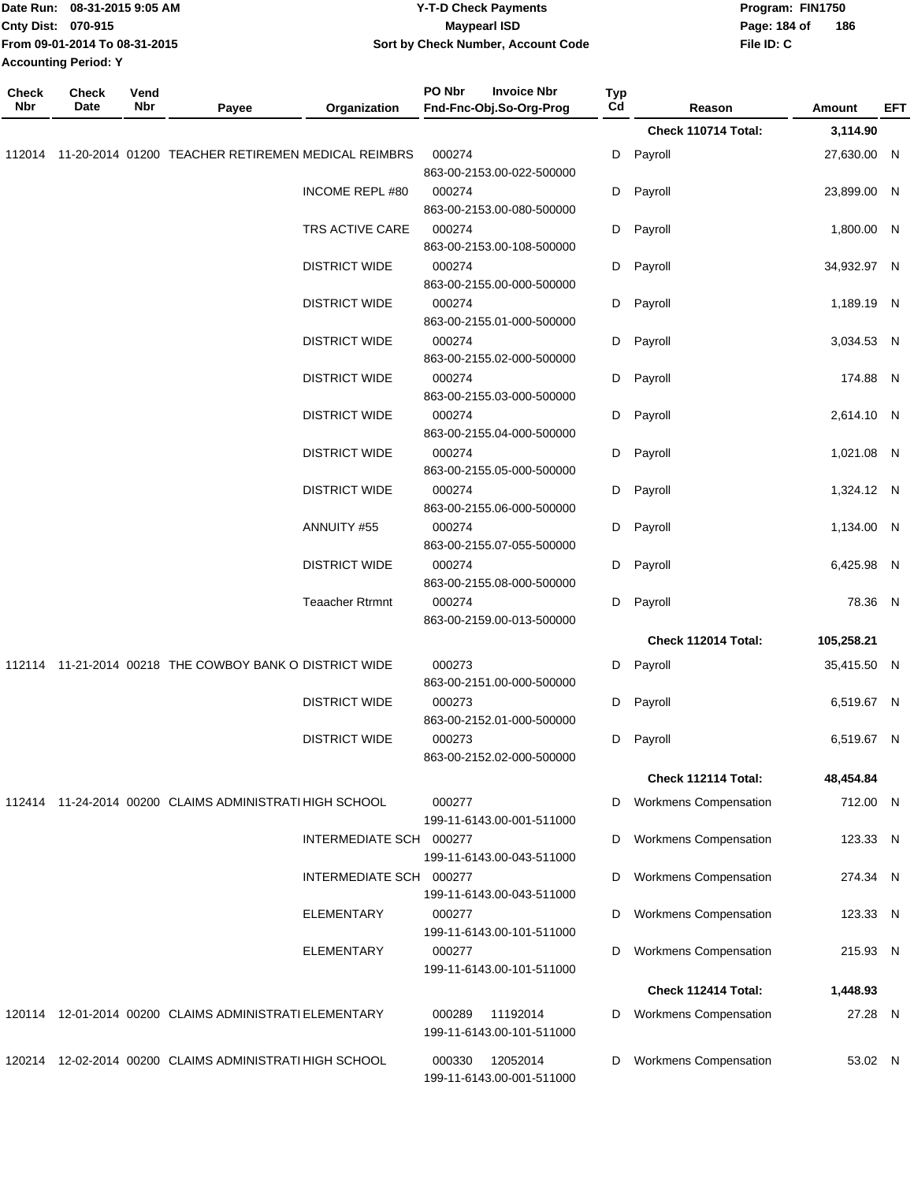|                     | Date Run: 08-31-2015 9:05 AM<br>Cnty Dist: 070-915<br>From 09-01-2014 To 08-31-2015<br><b>Accounting Period: Y</b> |                      |                                                         |                                     | <b>Y-T-D Check Payments</b><br><b>Maypearl ISD</b><br>Sort by Check Number, Account Code |           |                              | Program: FIN1750<br>Page: 184 of<br>186<br>File ID: C |             |     |
|---------------------|--------------------------------------------------------------------------------------------------------------------|----------------------|---------------------------------------------------------|-------------------------------------|------------------------------------------------------------------------------------------|-----------|------------------------------|-------------------------------------------------------|-------------|-----|
| <b>Check</b><br>Nbr | <b>Check</b><br>Date                                                                                               | Vend<br>Nbr          | Payee                                                   | Organization                        | PO Nbr<br><b>Invoice Nbr</b><br>Fnd-Fnc-Obj.So-Org-Prog                                  | Typ<br>Cd | Reason                       |                                                       | Amount      | EFT |
|                     |                                                                                                                    |                      |                                                         |                                     |                                                                                          |           | Check 110714 Total:          |                                                       | 3,114.90    |     |
| 112014              |                                                                                                                    |                      | 11-20-2014 01200 TEACHER RETIREMEN MEDICAL REIMBRS      |                                     | 000274<br>863-00-2153.00-022-500000                                                      | D         | Payroll                      |                                                       | 27,630.00 N |     |
|                     |                                                                                                                    |                      |                                                         | <b>INCOME REPL #80</b>              | 000274<br>863-00-2153.00-080-500000                                                      | D         | Payroll                      |                                                       | 23,899.00 N |     |
|                     |                                                                                                                    |                      |                                                         | TRS ACTIVE CARE                     | 000274<br>863-00-2153.00-108-500000                                                      | D         | Payroll                      |                                                       | 1,800.00 N  |     |
|                     |                                                                                                                    |                      | <b>DISTRICT WIDE</b>                                    | 000274<br>863-00-2155.00-000-500000 | D                                                                                        | Payroll   |                              | 34,932.97 N                                           |             |     |
|                     |                                                                                                                    |                      | <b>DISTRICT WIDE</b>                                    | 000274<br>863-00-2155.01-000-500000 | D                                                                                        | Payroll   |                              | 1,189.19 N                                            |             |     |
|                     |                                                                                                                    |                      |                                                         | <b>DISTRICT WIDE</b>                | 000274<br>863-00-2155.02-000-500000                                                      | D         | Payroll                      |                                                       | 3,034.53 N  |     |
|                     |                                                                                                                    |                      | <b>DISTRICT WIDE</b>                                    | 000274<br>863-00-2155.03-000-500000 | D                                                                                        | Payroll   |                              | 174.88 N                                              |             |     |
|                     |                                                                                                                    | <b>DISTRICT WIDE</b> | 000274<br>863-00-2155.04-000-500000                     | D                                   | Payroll                                                                                  |           | 2,614.10 N                   |                                                       |             |     |
|                     |                                                                                                                    | <b>DISTRICT WIDE</b> | 000274<br>863-00-2155.05-000-500000                     | D                                   | Payroll                                                                                  |           | 1,021.08 N                   |                                                       |             |     |
|                     |                                                                                                                    |                      | <b>DISTRICT WIDE</b>                                    | 000274<br>863-00-2155.06-000-500000 | D                                                                                        | Payroll   |                              | 1,324.12 N                                            |             |     |
|                     |                                                                                                                    |                      | ANNUITY #55                                             | 000274<br>863-00-2155.07-055-500000 | D                                                                                        | Payroll   |                              | 1,134.00 N                                            |             |     |
|                     |                                                                                                                    |                      | <b>DISTRICT WIDE</b>                                    | 000274<br>863-00-2155.08-000-500000 | D                                                                                        | Payroll   |                              | 6,425.98 N                                            |             |     |
|                     |                                                                                                                    |                      |                                                         | <b>Teaacher Rtrmnt</b>              | 000274<br>863-00-2159.00-013-500000                                                      | D         | Payroll                      |                                                       | 78.36 N     |     |
|                     |                                                                                                                    |                      |                                                         |                                     |                                                                                          |           | Check 112014 Total:          |                                                       | 105,258.21  |     |
|                     |                                                                                                                    |                      | 112114 11-21-2014 00218 THE COWBOY BANK O DISTRICT WIDE |                                     | 000273<br>863-00-2151.00-000-500000                                                      | D         | Payroll                      |                                                       | 35,415.50 N |     |
|                     |                                                                                                                    |                      |                                                         | <b>DISTRICT WIDE</b>                | 000273<br>863-00-2152.01-000-500000                                                      |           | D Payroll                    |                                                       | 6,519.67 N  |     |
|                     |                                                                                                                    |                      |                                                         | <b>DISTRICT WIDE</b>                | 000273<br>863-00-2152.02-000-500000                                                      | D         | Payroll                      |                                                       | 6,519.67 N  |     |
|                     |                                                                                                                    |                      |                                                         |                                     |                                                                                          |           | Check 112114 Total:          |                                                       | 48,454.84   |     |
|                     |                                                                                                                    |                      | 112414 11-24-2014 00200 CLAIMS ADMINISTRATI HIGH SCHOOL |                                     | 000277<br>199-11-6143.00-001-511000                                                      | D         | Workmens Compensation        |                                                       | 712.00 N    |     |
|                     |                                                                                                                    |                      |                                                         | INTERMEDIATE SCH 000277             | 199-11-6143.00-043-511000                                                                | D         | Workmens Compensation        |                                                       | 123.33 N    |     |
|                     |                                                                                                                    |                      |                                                         | INTERMEDIATE SCH 000277             | 199-11-6143.00-043-511000                                                                | D         | <b>Workmens Compensation</b> |                                                       | 274.34 N    |     |
|                     |                                                                                                                    |                      |                                                         | <b>ELEMENTARY</b>                   | 000277<br>199-11-6143.00-101-511000                                                      | D         | <b>Workmens Compensation</b> |                                                       | 123.33 N    |     |
|                     |                                                                                                                    |                      |                                                         | <b>ELEMENTARY</b>                   | 000277<br>199-11-6143.00-101-511000                                                      | D         | <b>Workmens Compensation</b> |                                                       | 215.93 N    |     |
|                     |                                                                                                                    |                      |                                                         |                                     |                                                                                          |           | Check 112414 Total:          |                                                       | 1,448.93    |     |
|                     |                                                                                                                    |                      | 120114 12-01-2014 00200 CLAIMS ADMINISTRATI ELEMENTARY  |                                     | 000289<br>11192014<br>199-11-6143.00-101-511000                                          | D         | <b>Workmens Compensation</b> |                                                       | 27.28 N     |     |
|                     |                                                                                                                    |                      | 120214 12-02-2014 00200 CLAIMS ADMINISTRATI HIGH SCHOOL |                                     | 12052014<br>000330<br>199-11-6143.00-001-511000                                          | D         | <b>Workmens Compensation</b> |                                                       | 53.02 N     |     |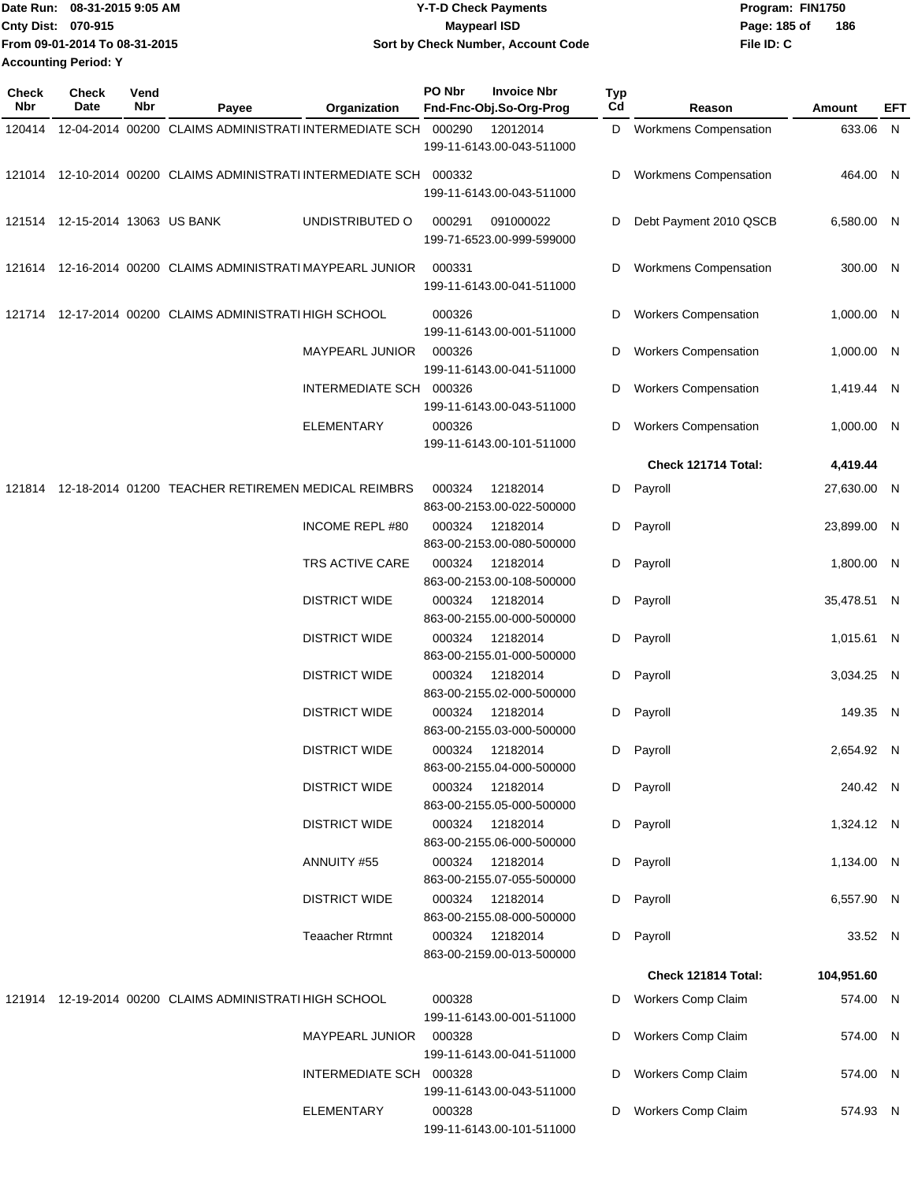|                             | Date Run: 08-31-2015 9:05 AM  | Y-T-D Check Payments               | Program: FIN1750 |     |
|-----------------------------|-------------------------------|------------------------------------|------------------|-----|
| <b>Cnty Dist: 070-915</b>   |                               | <b>Mavpearl ISD</b>                | Page: 185 of     | 186 |
|                             | From 09-01-2014 To 08-31-2015 | Sort by Check Number, Account Code | File ID: C       |     |
| <b>Accounting Period: Y</b> |                               |                                    |                  |     |

| Check<br>Nbr | Check<br>Date                   | Vend<br>Nbr | Payee                                                               | Organization            | PO Nbr | <b>Invoice Nbr</b><br>Fnd-Fnc-Obj.So-Org-Prog | <b>Typ</b><br>Cd | Reason                       | Amount       | EFT |
|--------------|---------------------------------|-------------|---------------------------------------------------------------------|-------------------------|--------|-----------------------------------------------|------------------|------------------------------|--------------|-----|
| 120414       |                                 |             | 12-04-2014 00200 CLAIMS ADMINISTRATI INTERMEDIATE SCH 000290        |                         |        | 12012014                                      | D                | <b>Workmens Compensation</b> | 633.06 N     |     |
|              |                                 |             |                                                                     |                         |        | 199-11-6143.00-043-511000                     |                  |                              |              |     |
|              |                                 |             | 121014 12-10-2014 00200 CLAIMS ADMINISTRATI INTERMEDIATE SCH 000332 |                         |        |                                               | D                | Workmens Compensation        | 464.00 N     |     |
|              |                                 |             |                                                                     |                         |        | 199-11-6143.00-043-511000                     |                  |                              |              |     |
|              | 121514 12-15-2014 13063 US BANK |             |                                                                     | UNDISTRIBUTED O         | 000291 | 091000022                                     | D                | Debt Payment 2010 QSCB       | 6,580.00 N   |     |
|              |                                 |             |                                                                     |                         |        | 199-71-6523.00-999-599000                     |                  |                              |              |     |
|              |                                 |             | 121614 12-16-2014 00200 CLAIMS ADMINISTRATI MAYPEARL JUNIOR         |                         | 000331 |                                               | D                | Workmens Compensation        | 300.00 N     |     |
|              |                                 |             |                                                                     |                         |        | 199-11-6143.00-041-511000                     |                  |                              |              |     |
|              |                                 |             | 121714 12-17-2014 00200 CLAIMS ADMINISTRATI HIGH SCHOOL             |                         | 000326 |                                               | D                | <b>Workers Compensation</b>  | $1,000.00$ N |     |
|              |                                 |             |                                                                     |                         |        | 199-11-6143.00-001-511000                     |                  |                              |              |     |
|              |                                 |             |                                                                     | <b>MAYPEARL JUNIOR</b>  | 000326 |                                               | D                | <b>Workers Compensation</b>  | 1,000.00 N   |     |
|              |                                 |             |                                                                     |                         |        | 199-11-6143.00-041-511000                     |                  |                              |              |     |
|              |                                 |             |                                                                     | INTERMEDIATE SCH 000326 |        | 199-11-6143.00-043-511000                     | D                | <b>Workers Compensation</b>  | 1,419.44 N   |     |
|              |                                 |             |                                                                     | <b>ELEMENTARY</b>       | 000326 |                                               | D                | <b>Workers Compensation</b>  | 1,000.00 N   |     |
|              |                                 |             |                                                                     |                         |        | 199-11-6143.00-101-511000                     |                  |                              |              |     |
|              |                                 |             |                                                                     |                         |        |                                               |                  | Check 121714 Total:          | 4,419.44     |     |
| 121814       |                                 |             | 12-18-2014 01200 TEACHER RETIREMEN MEDICAL REIMBRS                  |                         | 000324 | 12182014                                      |                  | D Payroll                    | 27,630.00 N  |     |
|              |                                 |             |                                                                     |                         |        | 863-00-2153.00-022-500000                     |                  |                              |              |     |
|              |                                 |             |                                                                     | <b>INCOME REPL #80</b>  | 000324 | 12182014<br>863-00-2153.00-080-500000         |                  | D Payroll                    | 23,899.00 N  |     |
|              |                                 |             |                                                                     | TRS ACTIVE CARE         | 000324 | 12182014                                      |                  | D Payroll                    | 1,800.00 N   |     |
|              |                                 |             |                                                                     |                         |        | 863-00-2153.00-108-500000                     |                  |                              |              |     |
|              |                                 |             |                                                                     | <b>DISTRICT WIDE</b>    | 000324 | 12182014                                      |                  | D Payroll                    | 35,478.51 N  |     |
|              |                                 |             |                                                                     |                         |        | 863-00-2155.00-000-500000                     |                  |                              |              |     |
|              |                                 |             |                                                                     | <b>DISTRICT WIDE</b>    | 000324 | 12182014<br>863-00-2155.01-000-500000         | D                | Payroll                      | 1,015.61 N   |     |
|              |                                 |             |                                                                     | <b>DISTRICT WIDE</b>    | 000324 | 12182014                                      | D                | Payroll                      | 3,034.25 N   |     |
|              |                                 |             |                                                                     |                         |        | 863-00-2155.02-000-500000                     |                  |                              |              |     |
|              |                                 |             |                                                                     | <b>DISTRICT WIDE</b>    | 000324 | 12182014                                      | D                | Payroll                      | 149.35 N     |     |
|              |                                 |             |                                                                     | <b>DISTRICT WIDE</b>    | 000324 | 863-00-2155.03-000-500000<br>12182014         | D                | Payroll                      | 2,654.92 N   |     |
|              |                                 |             |                                                                     |                         |        | 863-00-2155.04-000-500000                     |                  |                              |              |     |
|              |                                 |             |                                                                     | <b>DISTRICT WIDE</b>    | 000324 | 12182014                                      |                  | D Payroll                    | 240.42 N     |     |
|              |                                 |             |                                                                     |                         |        | 863-00-2155.05-000-500000                     |                  |                              |              |     |
|              |                                 |             |                                                                     | <b>DISTRICT WIDE</b>    |        | 000324 12182014<br>863-00-2155.06-000-500000  |                  | D Payroll                    | 1,324.12 N   |     |
|              |                                 |             |                                                                     | ANNUITY #55             | 000324 | 12182014                                      |                  | D Payroll                    | 1,134.00 N   |     |
|              |                                 |             |                                                                     |                         |        | 863-00-2155.07-055-500000                     |                  |                              |              |     |
|              |                                 |             |                                                                     | <b>DISTRICT WIDE</b>    |        | 000324 12182014                               |                  | D Payroll                    | 6,557.90 N   |     |
|              |                                 |             |                                                                     |                         |        | 863-00-2155.08-000-500000                     |                  |                              |              |     |
|              |                                 |             |                                                                     | <b>Teaacher Rtrmnt</b>  |        | 000324 12182014<br>863-00-2159.00-013-500000  |                  | D Payroll                    | 33.52 N      |     |
|              |                                 |             |                                                                     |                         |        |                                               |                  | Check 121814 Total:          | 104,951.60   |     |
|              |                                 |             | 121914 12-19-2014 00200 CLAIMS ADMINISTRATI HIGH SCHOOL             |                         | 000328 |                                               | D                | <b>Workers Comp Claim</b>    | 574.00 N     |     |
|              |                                 |             |                                                                     |                         |        | 199-11-6143.00-001-511000                     |                  |                              |              |     |
|              |                                 |             |                                                                     | <b>MAYPEARL JUNIOR</b>  | 000328 |                                               | D                | Workers Comp Claim           | 574.00 N     |     |
|              |                                 |             |                                                                     |                         |        | 199-11-6143.00-041-511000                     |                  |                              |              |     |
|              |                                 |             |                                                                     | INTERMEDIATE SCH 000328 |        | 199-11-6143.00-043-511000                     | D                | Workers Comp Claim           | 574.00 N     |     |
|              |                                 |             |                                                                     | <b>ELEMENTARY</b>       | 000328 |                                               | D                | Workers Comp Claim           | 574.93 N     |     |
|              |                                 |             |                                                                     |                         |        | 199-11-6143.00-101-511000                     |                  |                              |              |     |
|              |                                 |             |                                                                     |                         |        |                                               |                  |                              |              |     |